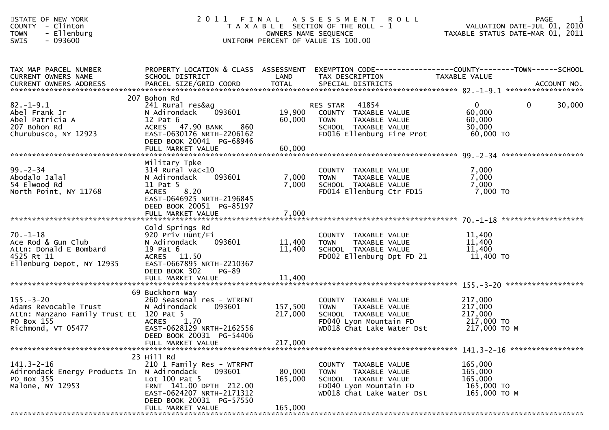| STATE OF NEW YORK<br>- Clinton<br><b>COUNTY</b><br>- Ellenburg<br><b>TOWN</b><br>SWIS<br>- 093600                       | 2011                                                                                                                                                                                |                               | FINAL ASSESSMENT<br><b>ROLL</b><br>T A X A B L E SECTION OF THE ROLL - 1<br>OWNERS NAME SEQUENCE<br>UNIFORM PERCENT OF VALUE IS 100.00 | <b>PAGE</b><br>VALUATION DATE-JUL 01, 2010<br>TAXABLE STATUS DATE-MAR 01, 2011                 |
|-------------------------------------------------------------------------------------------------------------------------|-------------------------------------------------------------------------------------------------------------------------------------------------------------------------------------|-------------------------------|----------------------------------------------------------------------------------------------------------------------------------------|------------------------------------------------------------------------------------------------|
| TAX MAP PARCEL NUMBER<br>CURRENT OWNERS NAME<br><b>CURRENT OWNERS ADDRESS</b>                                           | PROPERTY LOCATION & CLASS ASSESSMENT<br>SCHOOL DISTRICT<br>PARCEL SIZE/GRID COORD                                                                                                   | LAND<br><b>TOTAL</b>          | TAX DESCRIPTION<br>SPECIAL DISTRICTS                                                                                                   | EXEMPTION CODE------------------COUNTY--------TOWN------SCHOOL<br>TAXABLE VALUE<br>ACCOUNT NO. |
| $82. - 1 - 9.1$<br>Abel Frank Jr<br>Abel Patricia A<br>207 Bohon Rd<br>Churubusco, NY 12923                             | 207 Bohon Rd<br>241 Rural res&ag<br>093601<br>N Adirondack<br>$12$ Pat $6$<br>ACRES 47.90 BANK<br>860<br>EAST-0630176 NRTH-2206162<br>DEED BOOK 20041 PG-68946<br>FULL MARKET VALUE | 19,900<br>60,000<br>60,000    | 41854<br>RES STAR<br>COUNTY TAXABLE VALUE<br>TAXABLE VALUE<br><b>TOWN</b><br>SCHOOL TAXABLE VALUE<br>FD016 Ellenburg Fire Prot         | $\mathbf{0}$<br>0<br>30,000<br>60,000<br>60,000<br>30,000<br>60,000 TO                         |
| $99. - 2 - 34$<br>Abodalo Jalal<br>54 Elwood Rd<br>North Point, NY 11768                                                | Military Tpke<br>$314$ Rural vac< $10$<br>093601<br>N Adirondack<br>11 Pat 5<br>8.20<br><b>ACRES</b><br>EAST-0646925 NRTH-2196845<br>DEED BOOK 20051 PG-85197<br>FULL MARKET VALUE  | 7,000<br>7,000<br>7,000       | COUNTY TAXABLE VALUE<br><b>TOWN</b><br>TAXABLE VALUE<br>SCHOOL TAXABLE VALUE<br>FD014 Ellenburg Ctr FD15                               | 7,000<br>7,000<br>7,000<br>7,000 TO                                                            |
| $70. - 1 - 18$<br>Ace Rod & Gun Club<br>Attn: Donald E Bombard<br>4525 Rt 11<br>Ellenburg Depot, NY 12935               | Cold Springs Rd<br>920 Priv Hunt/Fi<br>N Adirondack<br>093601<br>19 Pat 6<br>ACRES 11.50<br>EAST-0667895 NRTH-2210367<br>DEED BOOK 302<br>PG-89                                     | 11,400<br>11,400              | COUNTY TAXABLE VALUE<br>TAXABLE VALUE<br><b>TOWN</b><br>SCHOOL TAXABLE VALUE<br>FD002 Ellenburg Dpt FD 21                              | 11,400<br>11,400<br>11,400<br>11,400 TO                                                        |
| $155. - 3 - 20$<br>Adams Revocable Trust<br>Attn: Manzano Family Trust Et 120 Pat 5<br>PO Box 155<br>Richmond, VT 05477 | 69 Buckhorn Way<br>260 Seasonal res - WTRFNT<br>093601<br>N Adirondack<br>1.70<br><b>ACRES</b><br>EAST-0628129 NRTH-2162556<br>DEED BOOK 20031 PG-54406<br>FULL MARKET VALUE        | 157,500<br>217,000<br>217,000 | COUNTY TAXABLE VALUE<br>TAXABLE VALUE<br><b>TOWN</b><br>SCHOOL TAXABLE VALUE<br>FD040 Lyon Mountain FD<br>WD018 Chat Lake Water Dst    | 217,000<br>217,000<br>217,000<br>217,000 TO<br>217,000 TO M                                    |
| $141.3 - 2 - 16$<br>Adirondack Energy Products In N Adirondack<br>PO Box 355<br>Malone, NY 12953                        | 23 Hill Rd<br>210 1 Family Res - WTRFNT<br>093601<br>Lot $100$ Pat 5<br>FRNT 141.00 DPTH 212.00<br>EAST-0624207 NRTH-2171312<br>DEED BOOK 20031 PG-57550<br>FULL MARKET VALUE       | 80,000<br>165,000<br>165,000  | COUNTY TAXABLE VALUE<br>TAXABLE VALUE<br><b>TOWN</b><br>SCHOOL TAXABLE VALUE<br>FD040 Lyon Mountain FD<br>WD018 Chat Lake Water Dst    | 165,000<br>165,000<br>165,000<br>165,000 TO<br>165,000 ТО М                                    |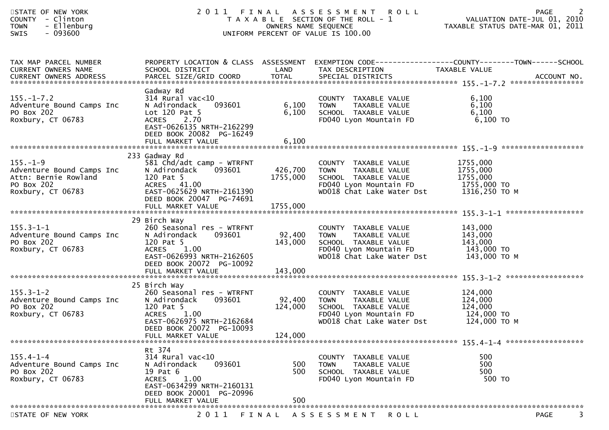| STATE OF NEW YORK<br>COUNTY - Clinton<br>- Ellenburg<br><b>TOWN</b><br>$-093600$<br>SWIS                          |                                                                                                                                                                                        | OWNERS NAME SEQUENCE         | 2011 FINAL ASSESSMENT ROLL<br>T A X A B L E SECTION OF THE ROLL - 1<br>UNIFORM PERCENT OF VALUE IS 100.00                                        | PAGE PAGE 2<br>VALUATION DATE-JUL 01, 2010<br>TAXABLE STATUS DATE MARE 21, 2010                                   |
|-------------------------------------------------------------------------------------------------------------------|----------------------------------------------------------------------------------------------------------------------------------------------------------------------------------------|------------------------------|--------------------------------------------------------------------------------------------------------------------------------------------------|-------------------------------------------------------------------------------------------------------------------|
| TAX MAP PARCEL NUMBER<br>CURRENT OWNERS NAME<br>CURRENT OWNERS ADDRESS                                            | SCHOOL DISTRICT                                                                                                                                                                        | LAND                         | TAX DESCRIPTION                                                                                                                                  | PROPERTY LOCATION & CLASS ASSESSMENT EXEMPTION CODE----------------COUNTY-------TOWN------SCHOOL<br>TAXABLE VALUE |
| $155. - 1 - 7.2$<br>Adventure Bound Camps Inc<br>PO Box 202<br>Roxbury, CT 06783                                  | Gadway Rd<br>$314$ Rural vac< $10$<br>N Adirondack<br>093601<br>Lot $120$ Pat 5<br>ACRES 2.70<br>EAST-0626135 NRTH-2162299<br>DEED BOOK 20082 PG-16249<br>FULL MARKET VALUE            | 6,100<br>6,100<br>6,100      | COUNTY TAXABLE VALUE<br><b>TOWN</b><br>TAXABLE VALUE<br>SCHOOL TAXABLE VALUE<br>FD040 Lyon Mountain FD                                           | 6,100<br>6,100<br>6,100<br>6,100 TO                                                                               |
|                                                                                                                   |                                                                                                                                                                                        |                              |                                                                                                                                                  |                                                                                                                   |
| $155. - 1 - 9$<br>Adventure Bound Camps Inc<br>$S$ Inc<br>Attn: Bernie Rowland<br>PO Box 202<br>Roxbury, CT 06783 | 233 Gadway Rd<br>581 Chd/adt camp - WTRFNT<br>N Adirondack 093601<br>120 Pat 5<br>ACRES 41.00<br>EAST-0625629 NRTH-2161390<br>DEED BOOK 20047 PG-74691                                 | 426,700<br>1755,000          | COUNTY TAXABLE VALUE<br><b>TOWN</b><br>TAXABLE VALUE<br>SCHOOL TAXABLE VALUE<br>FD040 Lyon Mountain FD 1755,000 TO<br>WD018 Chat Lake Water Dst  | 1755,000<br>1755,000<br>1755,000<br>1316,250 то м                                                                 |
|                                                                                                                   | FULL MARKET VALUE                                                                                                                                                                      | 1755,000                     |                                                                                                                                                  |                                                                                                                   |
|                                                                                                                   | 29 Birch Way                                                                                                                                                                           |                              |                                                                                                                                                  |                                                                                                                   |
| $155.3 - 1 - 1$<br>Adventure Bound Camps Inc<br>PO Box 202<br>Roxbury, CT 06783                                   | 260 Seasonal res - WTRFNT<br>N Adirondack<br>093601<br>120 Pat 5<br>1.00<br><b>ACRES</b><br>EAST-0626993 NRTH-2162605<br>DEED BOOK 20072 PG-10092                                      | 92,400<br>143,000            | COUNTY TAXABLE VALUE<br>TAXABLE VALUE<br><b>TOWN</b><br>SCHOOL TAXABLE VALUE<br>FD040 Lyon Mountain FD $143,000$ TO<br>WD018 Chat Lake Water Dst | 143,000<br>143,000<br>143,000<br>143,000 TO M                                                                     |
|                                                                                                                   |                                                                                                                                                                                        |                              |                                                                                                                                                  |                                                                                                                   |
| $155.3 - 1 - 2$<br>Adventure Bound Camps Inc<br>PO Box 202<br>Roxbury, CT 06783                                   | 25 Birch Way<br>260 Seasonal res - WTRFNT<br>093601<br>N Adirondack<br>120 Pat 5<br>1.00<br><b>ACRES</b><br>EAST-0626975 NRTH-2162684<br>DEED BOOK 20072 PG-10093<br>FULL MARKET VALUE | 92,400<br>124,000<br>124,000 | COUNTY TAXABLE VALUE<br>TAXABLE VALUE<br><b>TOWN</b><br>SCHOOL TAXABLE VALUE<br>FD040 Lyon Mountain FD<br>WD018 Chat Lake Water Dst              | 124,000<br>124,000<br>124,000<br>124,000 TO<br>124,000 ТО М                                                       |
|                                                                                                                   |                                                                                                                                                                                        |                              |                                                                                                                                                  |                                                                                                                   |
| $155.4 - 1 - 4$<br>Adventure Bound Camps Inc<br>PO Box 202<br>Roxbury, CT 06783                                   | Rt 374<br>314 Rural vac<10<br>093601<br>N Adirondack<br>19 Pat 6<br>1.00<br><b>ACRES</b><br>EAST-0634299 NRTH-2160131<br>DEED BOOK 20001 PG-20996                                      | 500<br>500                   | COUNTY TAXABLE VALUE<br>TAXABLE VALUE<br><b>TOWN</b><br>SCHOOL TAXABLE VALUE<br>FD040 Lyon Mountain FD                                           | 500<br>500<br>500<br>500 TO                                                                                       |
|                                                                                                                   | FULL MARKET VALUE                                                                                                                                                                      | 500                          |                                                                                                                                                  |                                                                                                                   |
| CTATE OF NEW VOOR                                                                                                 |                                                                                                                                                                                        |                              | ACCECCMENT DOI                                                                                                                                   | <b>DACE</b>                                                                                                       |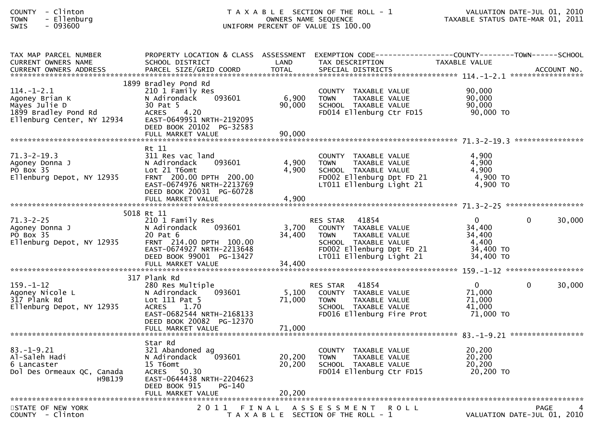| <b>COUNTY</b> | Clinton  |
|---------------|----------|
| <b>TOWN</b>   | Ellenbur |
| <b>CINTC</b>  | 002.COO  |

| TAX MAP PARCEL NUMBER<br><b>CURRENT OWNERS NAME</b><br>. CURRENT OWNERS ADDRESS PARCEL SIZE/GRID COORD TOTAL SPECIAL DISTRICTS ACCOUNT NO ACCOUNT NO ACCOUNT NO AND ANNO | PROPERTY LOCATION & CLASS ASSESSMENT<br>SCHOOL DISTRICT                                                                                                                              | LAND                      | EXEMPTION CODE-----------------COUNTY-------TOWN------SCHOOL<br>TAX DESCRIPTION                                                                                   | TAXABLE VALUE                                                   |             |        |
|--------------------------------------------------------------------------------------------------------------------------------------------------------------------------|--------------------------------------------------------------------------------------------------------------------------------------------------------------------------------------|---------------------------|-------------------------------------------------------------------------------------------------------------------------------------------------------------------|-----------------------------------------------------------------|-------------|--------|
| $114. - 1 - 2.1$<br>Agoney Brian K<br>Mayes Julie D<br>1899 Bradley Pond Rd<br>Ellenburg Center, NY 12934                                                                | 1899 Bradley Pond Rd<br>210 1 Family Res<br>N Adirondack<br>093601<br>30 Pat 5<br>4.20<br><b>ACRES</b><br>EAST-0649951 NRTH-2192095<br>DEED BOOK 20102 PG-32583<br>FULL MARKET VALUE | 6,900<br>90,000<br>90,000 | COUNTY TAXABLE VALUE<br>TAXABLE VALUE<br><b>TOWN</b><br>SCHOOL TAXABLE VALUE<br>FD014 Ellenburg Ctr FD15                                                          | 90,000<br>90,000<br>90,000<br>90,000 TO                         |             |        |
| $71.3 - 2 - 19.3$<br>Agoney Donna J<br>PO Box 35<br>Ellenburg Depot, NY 12935                                                                                            | Rt 11<br>311 Res vac land<br>N Adirondack<br>093601<br>Lot 21 T6omt<br>FRNT 200.00 DPTH 200.00<br>EAST-0674976 NRTH-2213769<br>DEED BOOK 20031 PG-60728                              | 4,900<br>4,900            | COUNTY TAXABLE VALUE<br><b>TOWN</b><br>TAXABLE VALUE<br>SCHOOL TAXABLE VALUE<br>FD002 Ellenburg Dpt FD 21<br>LT011 Ellenburg Light 21                             | 4,900<br>4,900<br>4,900<br>$4,900$ TO<br>$4,900$ TO             |             |        |
| $71.3 - 2 - 25$<br>Agoney Donna J<br>PO Box 35<br>Ellenburg Depot, NY 12935                                                                                              | 5018 Rt 11<br>210 1 Family Res<br>N Adirondack<br>093601<br>20 Pat 6<br>FRNT 214.00 DPTH 100.00<br>EAST-0674927 NRTH-2213648<br>DEED BOOK 99001 PG-13427                             | 3,700<br>34,400           | 41854<br><b>RES STAR</b><br>COUNTY TAXABLE VALUE<br>TAXABLE VALUE<br><b>TOWN</b><br>SCHOOL TAXABLE VALUE<br>FD002 Ellenburg Dpt FD 21<br>LT011 Ellenburg Light 21 | $\Omega$<br>34,400<br>34,400<br>4,400<br>34,400 TO<br>34,400 TO | $\Omega$    | 30,000 |
| $159. - 1 - 12$<br>Agoney Nicole L<br>317 Plank Rd<br>Ellenburg Depot, NY 12935                                                                                          | 317 Plank Rd<br>280 Res Multiple<br>N Adirondack<br>093601<br>Lot 111 Pat 5<br><b>ACRES</b><br>1.70<br>EAST-0682544 NRTH-2168133<br>DEED BOOK 20082 PG-12370                         | 5,100<br>71,000           | 41854<br><b>RES STAR</b><br>COUNTY TAXABLE VALUE<br><b>TOWN</b><br>TAXABLE VALUE<br>SCHOOL TAXABLE VALUE<br>FD016 Ellenburg Fire Prot                             | $\Omega$<br>71,000<br>71,000<br>41,000<br>71,000 TO             | $\Omega$    | 30,000 |
| $83. - 1 - 9.21$<br>Al-Saleh Hadi<br>6 Lancaster<br>Dol Des Ormeaux QC, Canada<br>H9B1J9                                                                                 | Star Rd<br>321 Abandoned ag<br>093601<br>N Adirondack<br>15 T6omt<br>ACRES 50.30<br>EAST-0644438 NRTH-2204623<br>DEED BOOK 915<br>PG-140                                             | 20,200<br>20,200          | COUNTY TAXABLE VALUE<br><b>TOWN</b><br>TAXABLE VALUE<br>SCHOOL TAXABLE VALUE<br>FD014 Ellenburg Ctr FD15                                                          | 20,200<br>20, 200<br>20, 200<br>20,200 TO                       |             |        |
| STATE OF NEW YORK<br>COUNTY - Clinton                                                                                                                                    |                                                                                                                                                                                      |                           | 2011 FINAL ASSESSMENT<br><b>ROLL</b><br>T A X A B L E SECTION OF THE ROLL - 1                                                                                     | VALUATION DATE-JUL 01, 2010                                     | <b>PAGE</b> |        |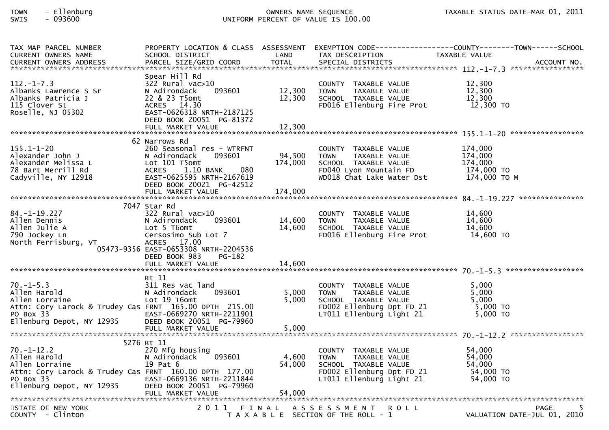| TAX MAP PARCEL NUMBER<br>CURRENT OWNERS NAME                                                                                                           | SCHOOL DISTRICT                                                                                                                                                                         | LAND                         | TAX DESCRIPTION                                                                                                                       | PROPERTY LOCATION & CLASS ASSESSMENT EXEMPTION CODE----------------COUNTY-------TOWN------SCHOOL<br>TAXABLE VALUE<br>ACCOUNT NO.<br>***************** |
|--------------------------------------------------------------------------------------------------------------------------------------------------------|-----------------------------------------------------------------------------------------------------------------------------------------------------------------------------------------|------------------------------|---------------------------------------------------------------------------------------------------------------------------------------|-------------------------------------------------------------------------------------------------------------------------------------------------------|
| $112. - 1 - 7.3$<br>Albanks Lawrence S Sr<br>Albanks Patricia J<br>115 Clover St<br>Roselle, NJ 05302                                                  | Spear Hill Rd<br>322 Rural vac>10<br>093601<br>N Adirondack<br>22 & 23 T5omt<br>ACRES 14.30<br>EAST-0626318 NRTH-2187125<br>DEED BOOK 20051 PG-81372                                    | 12,300<br>12,300             | COUNTY TAXABLE VALUE<br>TAXABLE VALUE<br><b>TOWN</b><br>SCHOOL TAXABLE VALUE<br>FD016 Ellenburg Fire Prot                             | 12,300<br>12,300<br>12,300<br>12,300 TO                                                                                                               |
|                                                                                                                                                        | 62 Narrows Rd                                                                                                                                                                           |                              |                                                                                                                                       |                                                                                                                                                       |
| $155.1 - 1 - 20$<br>Alexander John J<br>Alexander Melissa L<br>78 Bart Merrill Rd<br>Cadyville, NY 12918                                               | 260 Seasonal res - WTRFNT<br>093601<br>N Adirondack<br>Lot 101 T5omt<br>ACRES 1.10 BANK<br>080<br>EAST-0625595 NRTH-2167619<br>DEED BOOK 20021 PG-42512<br>FULL MARKET VALUE            | 94,500<br>174,000<br>174,000 | COUNTY TAXABLE VALUE<br>TAXABLE VALUE<br>TOWN<br>SCHOOL TAXABLE VALUE<br>FD040 Lyon Mountain FD<br>WD018 Chat Lake Water Dst          | 174,000<br>174,000<br>174,000<br>174,000 TO<br>174,000 то м                                                                                           |
|                                                                                                                                                        |                                                                                                                                                                                         |                              |                                                                                                                                       |                                                                                                                                                       |
| 84. –1–19. 227<br>Allen Dennis<br>Allen Julie A<br>790 Jockey Ln<br>North Ferrisburg, VT                                                               | 7047 Star Rd<br>$322$ Rural vac $>10$<br>093601<br>N Adirondack<br>Lot 5 T6omt<br>Cersosimo Sub Lot 7<br>ACRES 17.00<br>05473-9356 EAST-0653308 NRTH-2204536<br>DEED BOOK 983<br>PG-182 | 14,600<br>14,600             | COUNTY TAXABLE VALUE<br>TAXABLE VALUE<br><b>TOWN</b><br>SCHOOL TAXABLE VALUE<br>FD016 Ellenburg Fire Prot                             | 14,600<br>14,600<br>14,600<br>14,600 TO                                                                                                               |
|                                                                                                                                                        |                                                                                                                                                                                         |                              |                                                                                                                                       |                                                                                                                                                       |
| $70. - 1 - 5.3$<br>Allen Harold<br>Allen Lorraine<br>Attn: Cory Larock & Trudey Cas FRNT 165.00 DPTH 215.00<br>PO Box 33<br>Ellenburg Depot, NY 12935  | Rt 11<br>311 Res vac land<br>093601<br>N Adirondack<br>Lot 19 T6omt<br>EAST-0669270 NRTH-2211901<br>DEED BOOK 20051 PG-79960                                                            | 5,000<br>5,000               | COUNTY TAXABLE VALUE<br>TAXABLE VALUE<br><b>TOWN</b><br>SCHOOL TAXABLE VALUE<br>FD002 Ellenburg Dpt FD 21<br>LT011 Ellenburg Light 21 | 5,000<br>5,000<br>5,000<br>5,000 TO<br>5,000 TO                                                                                                       |
|                                                                                                                                                        |                                                                                                                                                                                         |                              |                                                                                                                                       |                                                                                                                                                       |
| $70. - 1 - 12.2$<br>Allen Harold<br>Allen Lorraine<br>Attn: Cory Larock & Trudey Cas FRNT 160.00 DPTH 177.00<br>PO Box 33<br>Ellenburg Depot, NY 12935 | 5276 Rt 11<br>270 Mfg housing<br>N Adirondack<br>093601<br>19 Pat 6<br>EAST-0669136 NRTH-2211844<br>DEED BOOK 20051 PG-79960<br>FULL MARKET VALUE                                       | 4,600<br>54,000<br>54,000    | COUNTY TAXABLE VALUE<br>TAXABLE VALUE<br><b>TOWN</b><br>SCHOOL TAXABLE VALUE<br>FD002 Ellenburg Dpt FD 21<br>LT011 Ellenburg Light 21 | 54,000<br>54,000<br>54,000<br>54,000 TO<br>54,000 TO                                                                                                  |
|                                                                                                                                                        |                                                                                                                                                                                         |                              |                                                                                                                                       |                                                                                                                                                       |
| STATE OF NEW YORK<br>COUNTY - Clinton                                                                                                                  | 2011                                                                                                                                                                                    | FINAL                        | A S S E S S M E N T<br><b>ROLL</b><br>T A X A B L E SECTION OF THE ROLL - 1                                                           | <b>PAGE</b><br>VALUATION DATE-JUL 01, 2010                                                                                                            |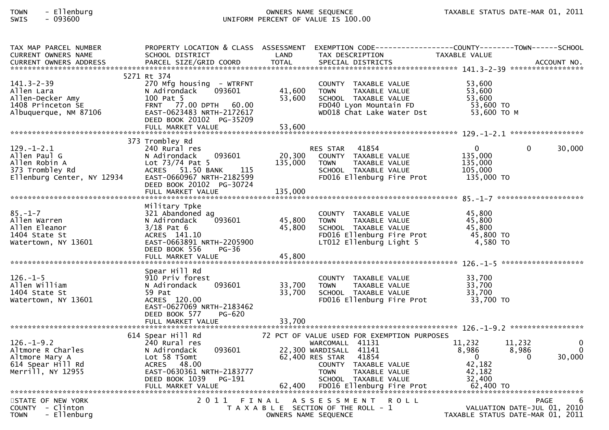| TAX MAP PARCEL NUMBER<br><b>CURRENT OWNERS NAME</b>                                                | SCHOOL DISTRICT                                                                                                                                                                       | LAND                         | PROPERTY LOCATION & CLASS ASSESSMENT EXEMPTION CODE----------------COUNTY-------TOWN------SCHOOL<br>TAX DESCRIPTION                                                                                                            | TAXABLE VALUE                                                                                  |                               |
|----------------------------------------------------------------------------------------------------|---------------------------------------------------------------------------------------------------------------------------------------------------------------------------------------|------------------------------|--------------------------------------------------------------------------------------------------------------------------------------------------------------------------------------------------------------------------------|------------------------------------------------------------------------------------------------|-------------------------------|
| $141.3 - 2 - 39$<br>Allen Lara<br>Allen-Decker Amy<br>1408 Princeton SE<br>Albuquerque, NM 87106   | 5271 Rt 374<br>270 Mfg housing - WTRFNT<br>N Adirondack<br>093601<br>100 Pat 5<br>FRNT 77.00 DPTH 60.00<br>EAST-0623483 NRTH-2172617<br>DEED BOOK 20102 PG-35209<br>FULL MARKET VALUE | 41,600<br>53,600<br>53,600   | COUNTY TAXABLE VALUE<br><b>TOWN</b><br>TAXABLE VALUE<br>SCHOOL TAXABLE VALUE<br>FD040 Lyon Mountain FD<br>WD018 Chat Lake Water Dst                                                                                            | 53,600<br>53,600<br>53,600<br>53,600 TO<br>53,600 TO M                                         |                               |
|                                                                                                    | 373 Trombley Rd                                                                                                                                                                       |                              |                                                                                                                                                                                                                                |                                                                                                |                               |
| $129. - 1 - 2.1$<br>Allen Paul G<br>Allen Robin A<br>373 Trombley Rd<br>Ellenburg Center, NY 12934 | 240 Rural res<br>093601<br>N Adirondack<br>Lot $73/74$ Pat 5<br>115<br>ACRES 51.50 BANK<br>EAST-0660967 NRTH-2182599<br>DEED BOOK 20102 PG-30724<br>FULL MARKET VALUE                 | 20,300<br>135,000<br>135,000 | RES STAR 41854<br>COUNTY TAXABLE VALUE<br><b>TOWN</b><br>TAXABLE VALUE<br>SCHOOL TAXABLE VALUE<br>FD016 Ellenburg Fire Prot                                                                                                    | $\overline{0}$<br>0<br>135,000<br>135,000<br>105,000<br>135,000 TO                             | 30,000                        |
|                                                                                                    | Military Tpke                                                                                                                                                                         |                              |                                                                                                                                                                                                                                |                                                                                                |                               |
| $85. - 1 - 7$<br>Allen Warren<br>Allen Eleanor<br>1404 State St<br>Watertown, NY 13601             | 321 Abandoned ag<br>093601<br>N Adirondack<br>$3/18$ Pat 6<br>ACRES 141.10<br>EAST-0663891 NRTH-2205900<br>DEED BOOK 556<br><b>PG-36</b>                                              | 45,800<br>45,800             | COUNTY TAXABLE VALUE<br><b>TOWN</b><br>TAXABLE VALUE<br>SCHOOL TAXABLE VALUE<br>FD016 Ellenburg Fire Prot<br>LT012 Ellenburg Light 5                                                                                           | 45,800<br>45,800<br>45,800<br>45,800 TO<br>4,580 TO                                            |                               |
|                                                                                                    | FULL MARKET VALUE                                                                                                                                                                     | 45,800                       |                                                                                                                                                                                                                                |                                                                                                |                               |
| $126. - 1 - 5$<br>Allen William<br>1404 State St<br>Watertown, NY 13601                            | Spear Hill Rd<br>910 Priv forest<br>093601<br>N Adirondack<br>59 Pat<br>ACRES 120.00<br>EAST-0627069 NRTH-2183462<br>DEED BOOK 577<br>PG-620                                          | 33,700<br>33,700             | COUNTY TAXABLE VALUE<br><b>TOWN</b><br>TAXABLE VALUE<br>SCHOOL TAXABLE VALUE<br>FD016 Ellenburg Fire Prot                                                                                                                      | 33,700<br>33,700<br>33,700<br>33,700 TO                                                        |                               |
|                                                                                                    | FULL MARKET VALUE                                                                                                                                                                     | 33,700                       |                                                                                                                                                                                                                                |                                                                                                |                               |
| $126. - 1 - 9.2$<br>Altmore R Charles<br>Altmore Mary A<br>614 Spear Hill Rd<br>Merrill, NY 12955  | 614 Spear Hill Rd<br>240 Rural res<br>093601<br>N Adirondack<br>Lot 58 T5omt<br>ACRES 48.00<br>EAST-0630361 NRTH-2183777<br>DEED BOOK 1039<br>PG-191<br>FULL MARKET VALUE             | 62,400                       | 72 PCT OF VALUE USED FOR EXEMPTION PURPOSES<br>WARCOMALL 41131<br>22,300 WARDISALL 41141<br>62,400 RES STAR 41854<br>COUNTY TAXABLE VALUE<br><b>TOWN</b><br>TAXABLE VALUE<br>SCHOOL TAXABLE VALUE<br>FD016 Ellenburg Fire Prot | 11,232<br>11,232<br>8,986<br>8,986<br>0<br>$\Omega$<br>42,182<br>42,182<br>32,400<br>62,400 TO | 0<br>$\overline{0}$<br>30,000 |
| STATE OF NEW YORK<br>COUNTY - Clinton                                                              | 2011                                                                                                                                                                                  |                              | FINAL ASSESSMENT ROLL<br>T A X A B L E SECTION OF THE ROLL - 1                                                                                                                                                                 | <b>PAGE</b><br>VALUATION DATE-JUL 01, 2010                                                     | b                             |
| - Ellenburg<br><b>TOWN</b>                                                                         |                                                                                                                                                                                       |                              | OWNERS NAME SEQUENCE                                                                                                                                                                                                           | TAXABLE STATUS DATE-MAR 01, 2011                                                               |                               |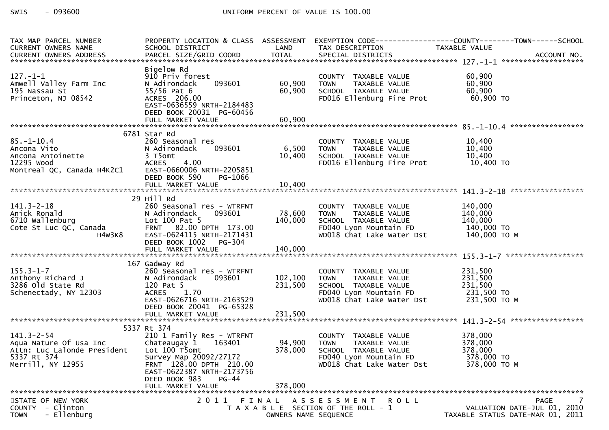| TAX MAP PARCEL NUMBER<br>CURRENT OWNERS NAME                                                                                                | SCHOOL DISTRICT                                                                                                                                                                              |                        | LAND TAX DESCRIPTION                                                                                                                                                                       | PROPERTY LOCATION & CLASS ASSESSMENT EXEMPTION CODE----------------COUNTY-------TOWN------SCHOOL<br>TAXABLE VALUE<br>CURRENT OWNERS ADDRESS FARCEL SIZE/GRID COORD TOTAL SPECIAL DISTRICTS AND MESS ADDRESS FARCEL SIZE/GRID COORD TOTAL SPECIAL DISTRICTS AND MANUSIC MOST DESCRIPT OF A SERVE AND MANUSIC MANUSIC MANUSIC MANUSIC MANUSIC MANUSIC |
|---------------------------------------------------------------------------------------------------------------------------------------------|----------------------------------------------------------------------------------------------------------------------------------------------------------------------------------------------|------------------------|--------------------------------------------------------------------------------------------------------------------------------------------------------------------------------------------|-----------------------------------------------------------------------------------------------------------------------------------------------------------------------------------------------------------------------------------------------------------------------------------------------------------------------------------------------------|
| $127. - 1 - 1$<br>Amwell Valley Farm Inc<br>195 Nassau St<br>Princeton, NJ 08542                                                            | Bigelow Rd<br>910 Priv forest<br>093601<br>N Adirondack<br>55/56 Pat 6<br>ACRES 206.00<br>EAST-0636559 NRTH-2184483<br>DEED BOOK 20031 PG-60456                                              | 60,900<br>60,900       | COUNTY TAXABLE VALUE 60,900<br>TOWN TAXABLE VALUE 60,900<br>SCHOOL TAXABLE VALUE 60,900<br>FD016 Ellenburg Fire Prot 60,900 TO                                                             |                                                                                                                                                                                                                                                                                                                                                     |
|                                                                                                                                             |                                                                                                                                                                                              |                        |                                                                                                                                                                                            |                                                                                                                                                                                                                                                                                                                                                     |
| $85. - 1 - 10.4$<br>85.-1-10.4<br>Ancona Vito<br>Ancona Antoinette<br>12295 wood<br>12295 Wood<br>12295 Wood<br>Montreal QC, Canada H4K2C1  | 6781 Star Rd<br>260 Seasonal res<br>093601<br>N Adirondack<br>3 T5omt<br><b>ACRES</b><br>4.00<br>EAST-0660006 NRTH-2205851                                                                   |                        | COUNTY TAXABLE VALUE $10,400$<br>6,500 TOWN TAXABLE VALUE $10,400$<br>10,400 SCHOOL TAXABLE VALUE $10,400$<br>FD016 Ellenburg Fire Prot 10,400 TO                                          |                                                                                                                                                                                                                                                                                                                                                     |
|                                                                                                                                             | DEED BOOK 590<br>PG-1066                                                                                                                                                                     |                        |                                                                                                                                                                                            |                                                                                                                                                                                                                                                                                                                                                     |
| 141.3-2-18<br>Anick Ronald<br>6710 wallenburg<br>Cote St Luc QC, Canada<br>H4W3K8 EAST-0624115                                              | 29 Hill Rd<br>260 Seasonal res - WTRFNT<br>093601<br>Lot 100 Pat 5<br>FRNT 82.00 DPTH 173.00<br>EAST-0624115 NRTH-2171431<br>DEED BOOK 1002 PG-304                                           | 78,600 TOWN<br>140,000 | COUNTY TAXABLE VALUE 140,000<br>TOWN TAXABLE VALUE 140,000<br>TOWN TAXABLE VALUE<br>SCHOOL TAXABLE VALUE 140,000<br>FD040 Lyon Mountain FD 140,000 TO<br>TARE I ake Water Dst 140,000 TO M |                                                                                                                                                                                                                                                                                                                                                     |
|                                                                                                                                             | 167 Gadway Rd                                                                                                                                                                                |                        |                                                                                                                                                                                            |                                                                                                                                                                                                                                                                                                                                                     |
| 155.3-1-7<br>Anthony Richard J<br>3286 old State Rd<br>Schenectady, NY 12303                                                                | 120 Pat 5<br>ACRES 1.70<br>EAST-0626716 NRTH-2163529<br>DEED BOOK 20041 PG-65328                                                                                                             | 231,500                | SCHOOL TAXABLE VALUE<br>FD040 Lyon Mountain FD 231,500<br>WD018 Chat Lake Water Dst 231,500 TO MD018 Chat Lake Water Dst 231,500 TO M                                                      | 231,500<br>231,500<br>231,500                                                                                                                                                                                                                                                                                                                       |
|                                                                                                                                             |                                                                                                                                                                                              |                        |                                                                                                                                                                                            |                                                                                                                                                                                                                                                                                                                                                     |
| $141.3 - 2 - 54$<br>ודו ווארב.<br>Aqua Nature Of Usa Inc<br>Attr: מבנה ה<br>Attn: Luc Lalonde President<br>5337 Rt 374<br>Merrill, NY 12955 | 5337 Rt 374<br>210 1 Family Res - WTRFNT<br>Chateaugay 1 163401<br>Lot 100 T5omt<br>Survey Map 20092/27172<br>FRNT 128.00 DPTH 210.00<br>EAST-0622387 NRTH-2173756<br>DEED BOOK 983<br>PG-44 | 94,900<br>378,000      | COUNTY TAXABLE VALUE 378,000<br>TAXABLE VALUE 378,000<br>SCHOOL TAXABLE VALUE<br>FD040 Lyon Mountain FD<br>WD018 Chat Lake Water Dst                                                       | 378,000<br>378,000 TO<br>378,000 ТО М                                                                                                                                                                                                                                                                                                               |
|                                                                                                                                             | FULL MARKET VALUE                                                                                                                                                                            | 378,000                |                                                                                                                                                                                            |                                                                                                                                                                                                                                                                                                                                                     |
| STATE OF NEW YORK<br>- Clinton<br><b>COUNTY</b><br>- Ellenburg<br><b>TOWN</b>                                                               |                                                                                                                                                                                              | OWNERS NAME SEQUENCE   | 2011 FINAL ASSESSMENT ROLL<br>T A X A B L E SECTION OF THE ROLL - 1                                                                                                                        | 7<br><b>PAGE</b><br>VALUATION DATE-JUL 01, 2010<br>TAXABLE STATUS DATE-MAR 01, 2011                                                                                                                                                                                                                                                                 |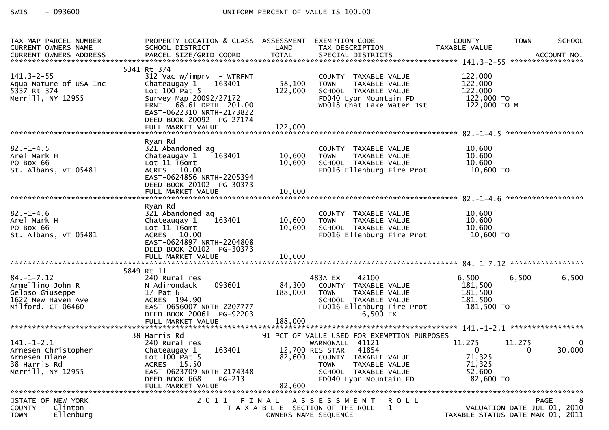| TAX MAP PARCEL NUMBER<br>CURRENT OWNERS NAME                                                                          | PROPERTY LOCATION & CLASS ASSESSMENT<br>SCHOOL DISTRICT                                                                                                                                             | LAND                         | EXEMPTION CODE------------------COUNTY--------TOWN------SCHOOL<br>TAX DESCRIPTION                                                                                                                        | TAXABLE VALUE                                                                      |             |
|-----------------------------------------------------------------------------------------------------------------------|-----------------------------------------------------------------------------------------------------------------------------------------------------------------------------------------------------|------------------------------|----------------------------------------------------------------------------------------------------------------------------------------------------------------------------------------------------------|------------------------------------------------------------------------------------|-------------|
|                                                                                                                       |                                                                                                                                                                                                     |                              |                                                                                                                                                                                                          |                                                                                    |             |
| $141.3 - 2 - 55$<br>Aqua Nature of USA Inc<br>5337 Rt 374<br>Merrill, NY 12955                                        | 5341 Rt 374<br>$312$ Vac w/imprv - WTRFNT<br>163401<br>Chateaugay 1<br>Lot $100$ Pat 5<br>Survey Map 20092/27172<br>FRNT 68.61 DPTH 201.00<br>EAST-0622310 NRTH-2173822<br>DEED BOOK 20092 PG-27174 | 58,100<br>122,000            | COUNTY TAXABLE VALUE<br><b>TOWN</b><br>TAXABLE VALUE<br>SCHOOL TAXABLE VALUE<br>FD040 Lyon Mountain FD<br>WD018 Chat Lake Water Dst                                                                      | 122,000<br>122,000<br>122,000<br>122,000 TO<br>122,000 то м                        |             |
|                                                                                                                       |                                                                                                                                                                                                     |                              |                                                                                                                                                                                                          |                                                                                    |             |
| $82 - 1 - 4.5$<br>Arel Mark H<br>PO Box 66<br>St. Albans, VT 05481                                                    | Ryan Rd<br>321 Abandoned ag<br>163401<br>Chateaugay 1<br>Lot 11 T6omt<br>ACRES 10.00<br>EAST-0624856 NRTH-2205394<br>DEED BOOK 20102 PG-30373                                                       | 10,600<br>10,600             | COUNTY TAXABLE VALUE<br><b>TOWN</b><br>TAXABLE VALUE<br>SCHOOL TAXABLE VALUE<br>FD016 Ellenburg Fire Prot                                                                                                | 10,600<br>10,600<br>10,600<br>$10,600$ TO                                          |             |
|                                                                                                                       | FULL MARKET VALUE                                                                                                                                                                                   | 10,600                       |                                                                                                                                                                                                          |                                                                                    |             |
|                                                                                                                       |                                                                                                                                                                                                     |                              |                                                                                                                                                                                                          |                                                                                    |             |
| $82 - 1 - 4.6$<br>Arel Mark H<br>PO Box 66<br>St. Albans, VT 05481                                                    | Ryan Rd<br>321 Abandoned ag<br>163401<br>Chateaugay 1<br>Lot 11 T6omt<br>ACRES 10.00<br>EAST-0624897 NRTH-2204808<br>DEED BOOK 20102 PG-30373                                                       | 10,600<br>10,600             | COUNTY TAXABLE VALUE<br><b>TOWN</b><br>TAXABLE VALUE<br>SCHOOL TAXABLE VALUE<br>FD016 Ellenburg Fire Prot                                                                                                | 10,600<br>10,600<br>10,600<br>10,600 TO                                            |             |
|                                                                                                                       | FULL MARKET VALUE                                                                                                                                                                                   | 10,600                       |                                                                                                                                                                                                          |                                                                                    |             |
|                                                                                                                       |                                                                                                                                                                                                     |                              |                                                                                                                                                                                                          |                                                                                    |             |
| $84. - 1 - 7.12$<br>Armellino John R<br>Geloso Giuseppe<br>aeroso Gruseppe<br>1622 New Haven Ave<br>Milford, CT 06460 | 5849 Rt 11<br>240 Rural res<br>093601<br>N Adirondack<br>17 Pat 6<br>ACRES 194.90<br>EAST-0656007 NRTH-2207777<br>DEED BOOK 20061 PG-92203<br>FULL MARKET VALUE                                     | 84,300<br>188,000<br>188,000 | 483A EX<br>42100<br>COUNTY TAXABLE VALUE<br><b>TOWN</b><br>TAXABLE VALUE<br>SCHOOL TAXABLE VALUE<br>FD016 Ellenburg Fire Prot<br>6,500 $EX$                                                              | 6,500<br>6,500<br>181,500<br>181,500<br>181,500<br>181,500 TO                      | 6,500       |
|                                                                                                                       |                                                                                                                                                                                                     |                              |                                                                                                                                                                                                          |                                                                                    |             |
| $141. - 1 - 2.1$<br>Arnesen Christopher<br>Arnesen Diane<br>38 Harris Rd<br>Merrill, NY 12955                         | 38 Harris Rd<br>240 Rural res<br>163401<br>Chateaugay 1<br>Lot 100 Pat 5<br>ACRES 15.50<br>EAST-0623709 NRTH-2174348<br>DEED BOOK 668<br>PG-213<br>FULL MARKET VALUE                                | 82,600                       | 91 PCT OF VALUE USED FOR EXEMPTION PURPOSES<br>WARNONALL 41121<br>12,700 RES STAR 41854<br>82,600 COUNTY TAXABLE VALUE<br>TAXABLE VALUE<br><b>TOWN</b><br>SCHOOL TAXABLE VALUE<br>FD040 Lyon Mountain FD | 11,275<br>11,275<br>$\overline{0}$<br>0<br>71,325<br>71,325<br>52,600<br>82,600 TO | 0<br>30,000 |
| STATE OF NEW YORK                                                                                                     | 2011 FINAL                                                                                                                                                                                          |                              |                                                                                                                                                                                                          |                                                                                    | 8           |
| - Clinton<br><b>COUNTY</b><br>- Ellenburg<br><b>TOWN</b>                                                              |                                                                                                                                                                                                     |                              | A S S E S S M E N T<br>R O L L<br>T A X A B L E SECTION OF THE ROLL - 1<br>OWNERS NAME SEQUENCE                                                                                                          | VALUATION DATE-JUL 01, 2010<br>TAXABLE STATUS DATE-MAR 01, 2011                    | <b>PAGE</b> |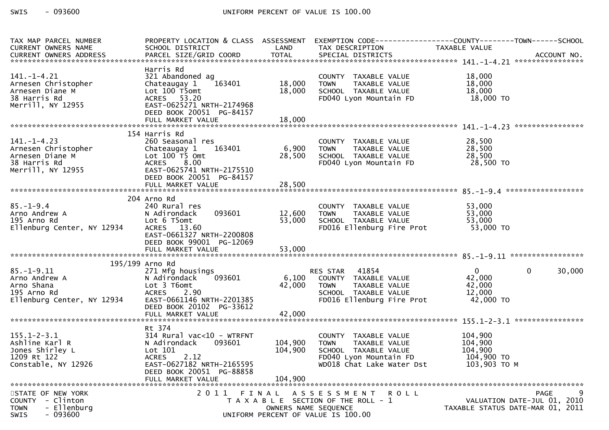| TAX MAP PARCEL NUMBER<br>CURRENT OWNERS NAME                                                                                                                                       | PROPERTY LOCATION & CLASS ASSESSMENT<br>SCHOOL DISTRICT                                                                                                                            | LAND                          | EXEMPTION CODE-----------------COUNTY-------TOWN------SCHOOL<br>TAX DESCRIPTION                                                                  | TAXABLE VALUE                                               |                                                                 |
|------------------------------------------------------------------------------------------------------------------------------------------------------------------------------------|------------------------------------------------------------------------------------------------------------------------------------------------------------------------------------|-------------------------------|--------------------------------------------------------------------------------------------------------------------------------------------------|-------------------------------------------------------------|-----------------------------------------------------------------|
| -CURRENT OWNERS ADDRESS FARCEL SIZE/GRID COORD TOTAL SPECIAL DISTRICTS AND MONERS ADDRESS FARCEL SIZE/GRID COORD TOTAL SPECIAL DISTRICTS AND MONERS ADDRESS FARCEL SIZE/GRID COORD |                                                                                                                                                                                    |                               |                                                                                                                                                  |                                                             |                                                                 |
| $141. - 1 - 4.21$<br>Arnesen Christopher<br>Arnesen Diane M<br>38 Harris Rd<br>Merrill, NY 12955                                                                                   | Harris Rd<br>321 Abandoned ag<br>163401<br>Chateaugay 1<br>Lot 100 T5omt<br>ACRES 53.20<br>EAST-0625271 NRTH-2174968                                                               | 18,000<br>18,000              | COUNTY TAXABLE VALUE<br>TAXABLE VALUE<br><b>TOWN</b><br>SCHOOL TAXABLE VALUE<br>FD040 Lyon Mountain FD                                           | 18,000<br>18,000<br>18,000<br>18,000 TO                     |                                                                 |
|                                                                                                                                                                                    | DEED BOOK 20051 PG-84157                                                                                                                                                           |                               |                                                                                                                                                  |                                                             |                                                                 |
|                                                                                                                                                                                    | 154 Harris Rd                                                                                                                                                                      |                               |                                                                                                                                                  |                                                             |                                                                 |
| $141.-1-4.23$<br>Arnesen Christopher<br>Arnesen Diane M<br>38 Harris Rd<br>Merrill, NY 12955                                                                                       | 260 Seasonal res<br>163401<br>Chateaugay 1<br>Lot 100 T5 Omt<br>ACRES 8.00<br>EAST-0625741 NRTH-2175510<br>DEED BOOK 20051 PG-84157                                                | 6,900<br>28,500               | COUNTY TAXABLE VALUE<br><b>TOWN</b><br>TAXABLE VALUE<br>SCHOOL TAXABLE VALUE<br>FD040 Lyon Mountain FD                                           | 28,500<br>28,500<br>28,500<br>28,500 TO                     |                                                                 |
|                                                                                                                                                                                    | FULL MARKET VALUE                                                                                                                                                                  | 28,500                        |                                                                                                                                                  |                                                             |                                                                 |
|                                                                                                                                                                                    |                                                                                                                                                                                    |                               |                                                                                                                                                  |                                                             |                                                                 |
| $85. - 1 - 9.4$<br>Arno Andrew A<br>195 Arno Rd<br>Ellenburg Center, NY 12934                                                                                                      | 204 Arno Rd<br>240 Rural res<br>093601<br>N Adirondack<br>Lot 6 T5omt<br>ACRES 13.60<br>EAST-0661327 NRTH-2200808<br>DEED BOOK 99001 PG-12069                                      | 12,600<br>53,000              | COUNTY TAXABLE VALUE<br><b>TOWN</b><br>TAXABLE VALUE<br>SCHOOL TAXABLE VALUE<br>FD016 Ellenburg Fire Prot                                        | 53,000<br>53,000<br>53,000<br>53,000 TO                     |                                                                 |
|                                                                                                                                                                                    |                                                                                                                                                                                    |                               |                                                                                                                                                  |                                                             |                                                                 |
|                                                                                                                                                                                    |                                                                                                                                                                                    |                               |                                                                                                                                                  |                                                             |                                                                 |
| $85. - 1 - 9.11$<br>Arno Andrew A<br>Arno Shana<br>195 Arno Rd<br>Ellenburg Center, NY 12934                                                                                       | 195/199 Arno Rd<br>271 Mfg housings<br>093601<br>N Adirondack<br>Lot 3 T6omt<br><b>ACRES</b><br>2.90<br>EAST-0661146 NRTH-2201385<br>DEED BOOK 20102 PG-33612<br>FULL MARKET VALUE | 6,100<br>42,000<br>42,000     | RES STAR 41854<br>ES STAR - 41854<br>COUNTY - TAXABLE VALUE<br>TAXABLE VALUE<br><b>TOWN</b><br>SCHOOL TAXABLE VALUE<br>FD016 Ellenburg Fire Prot | $\mathbf{0}$<br>42,000<br>42,000<br>12,000<br>$-42,000$ TO  | $\mathbf 0$<br>30,000                                           |
|                                                                                                                                                                                    |                                                                                                                                                                                    |                               |                                                                                                                                                  |                                                             |                                                                 |
| $155.1 - 2 - 3.1$<br>Ashline Karl R<br>Jones Shirley L<br>1209 Rt 122<br>Constable, NY 12926                                                                                       | Rt 374<br>314 Rural vac<10 - WTRFNT<br>093601<br>N Adirondack<br>Lot 101<br><b>ACRES</b><br>2.12<br>EAST-0627182 NRTH-2165595<br>DEED BOOK 20051 PG-88858<br>FULL MARKET VALUE     | 104,900<br>104,900<br>104,900 | COUNTY TAXABLE VALUE<br>TAXABLE VALUE<br><b>TOWN</b><br>SCHOOL TAXABLE VALUE<br>FD040 Lyon Mountain FD<br>WD018 Chat Lake Water Dst              | 104,900<br>104,900<br>104,900<br>104,900 TO<br>103,903 ТО М |                                                                 |
| STATE OF NEW YORK                                                                                                                                                                  | 2011 FINAL                                                                                                                                                                         |                               | A S S E S S M E N T R O L L                                                                                                                      |                                                             | 9<br><b>PAGE</b>                                                |
| COUNTY - Clinton<br>- Ellenburg<br><b>TOWN</b><br>$-093600$<br>SWIS                                                                                                                |                                                                                                                                                                                    | OWNERS NAME SEQUENCE          | T A X A B L E SECTION OF THE ROLL - 1<br>UNIFORM PERCENT OF VALUE IS 100.00                                                                      |                                                             | VALUATION DATE-JUL 01, 2010<br>TAXABLE STATUS DATE-MAR 01, 2011 |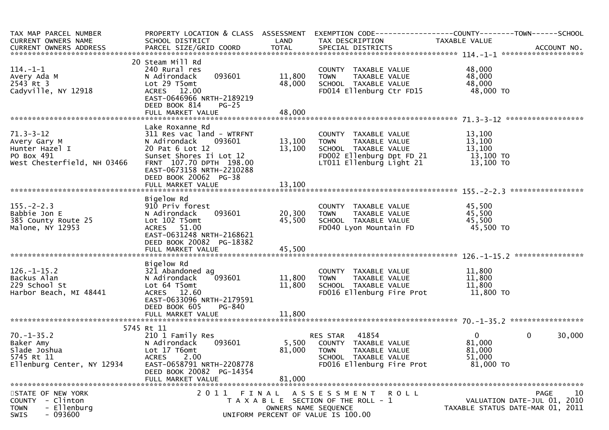| TAX MAP PARCEL NUMBER<br>CURRENT OWNERS NAME                                                       | PROPERTY LOCATION & CLASS ASSESSMENT<br>SCHOOL DISTRICT                                                                                                                                               | LAND                          | TAX DESCRIPTION                                                                                                                       | EXEMPTION CODE-----------------COUNTY-------TOWN------SCHOOL<br>TAXABLE VALUE |
|----------------------------------------------------------------------------------------------------|-------------------------------------------------------------------------------------------------------------------------------------------------------------------------------------------------------|-------------------------------|---------------------------------------------------------------------------------------------------------------------------------------|-------------------------------------------------------------------------------|
| $114. - 1 - 1$<br>Avery Ada M<br>2543 Rt 3<br>Cadyville, NY 12918                                  | 20 Steam Mill Rd<br>240 Rural res<br>093601<br>N Adirondack<br>Lot 29 T5omt<br>ACRES 12.00<br>EAST-0646966 NRTH-2189219<br>DEED BOOK 814<br>$PG-25$                                                   | 11,800<br>48,000              | COUNTY TAXABLE VALUE<br>TAXABLE VALUE<br><b>TOWN</b><br>SCHOOL TAXABLE VALUE<br>FD014 Ellenburg Ctr FD15                              | 48,000<br>48,000<br>48,000<br>48,000 TO                                       |
|                                                                                                    |                                                                                                                                                                                                       |                               |                                                                                                                                       |                                                                               |
| $71.3 - 3 - 12$<br>Avery Gary M<br>Hunter Hazel I<br>PO Box 491<br>West Chesterfield, NH 03466     | Lake Roxanne Rd<br>311 Res vac land - WTRFNT<br>093601<br>N Adirondack<br>20 Pat 6 Lot 12<br>Sunset Shores Ii Lot 12<br>FRNT 107.70 DPTH 198.00<br>EAST-0673158 NRTH-2210288<br>DEED BOOK 20062 PG-38 | 13,100<br>13,100              | COUNTY TAXABLE VALUE<br><b>TOWN</b><br>TAXABLE VALUE<br>SCHOOL TAXABLE VALUE<br>FD002 Ellenburg Dpt FD 21<br>LT011 Ellenburg Light 21 | 13,100<br>13,100<br>13,100<br>13,100 TO<br>13,100 TO                          |
|                                                                                                    |                                                                                                                                                                                                       |                               |                                                                                                                                       |                                                                               |
| $155. - 2 - 2.3$<br>Babbie Jon E<br>385 County Route 25<br>Malone, NY 12953                        | Bigelow Rd<br>910 Priv forest<br>093601<br>N Adirondack<br>Lot 102 T5omt<br>ACRES 51.00<br>EAST-0631248 NRTH-2168621<br>DEED BOOK 20082 PG-18382                                                      | 20,300<br>45,500              | COUNTY TAXABLE VALUE<br>TAXABLE VALUE<br><b>TOWN</b><br>SCHOOL TAXABLE VALUE<br>FD040 Lyon Mountain FD                                | 45,500<br>45,500<br>45,500<br>45,500 TO                                       |
|                                                                                                    | Bigelow Rd                                                                                                                                                                                            |                               |                                                                                                                                       | ****************                                                              |
| $126. - 1 - 15.2$<br>Backus Alan<br>229 School St<br>Harbor Beach, MI 48441                        | 321 Abandoned ag<br>093601<br>N Adirondack<br>Lot 64 T5omt<br>ACRES 12.60<br>EAST-0633096 NRTH-2179591<br>DEED BOOK 605<br>PG-840<br>FULL MARKET VALUE                                                | 11,800<br>11,800<br>11,800    | COUNTY TAXABLE VALUE<br>TAXABLE VALUE<br><b>TOWN</b><br>SCHOOL TAXABLE VALUE<br>FD016 Ellenburg Fire Prot                             | 11,800<br>11,800<br>11,800<br>11,800 TO                                       |
|                                                                                                    |                                                                                                                                                                                                       |                               |                                                                                                                                       |                                                                               |
| $70. - 1 - 35.2$<br>Baker Amy<br>Slade Joshua<br>5745 Rt 11<br>Ellenburg Center, NY 12934          | 5745 Rt 11<br>210 1 Family Res<br>N Adirondack<br>093601<br>Lot 17 T6omt<br>2.00<br><b>ACRES</b><br>EAST-0658791 NRTH-2208778<br>DEED BOOK 20082 PG-14354<br>FULL MARKET VALUE                        | 5,500<br>81,000<br>81,000     | 41854<br>RES STAR<br>COUNTY TAXABLE VALUE<br><b>TOWN</b><br>TAXABLE VALUE<br>SCHOOL TAXABLE VALUE<br>FD016 Ellenburg Fire Prot        | 0<br>30,000<br>$\overline{0}$<br>81,000<br>81,000<br>51,000<br>81,000 TO      |
|                                                                                                    |                                                                                                                                                                                                       |                               |                                                                                                                                       |                                                                               |
| STATE OF NEW YORK<br>- Clinton<br><b>COUNTY</b><br><b>TOWN</b><br>- Ellenburg<br>$-093600$<br>SWIS | 2011                                                                                                                                                                                                  | FINAL<br>OWNERS NAME SEQUENCE | A S S E S S M E N T<br><b>ROLL</b><br>T A X A B L E SECTION OF THE ROLL - 1<br>UNIFORM PERCENT OF VALUE IS 100.00                     | 10<br>PAGE<br>VALUATION DATE-JUL 01, 2010<br>TAXABLE STATUS DATE-MAR 01, 2011 |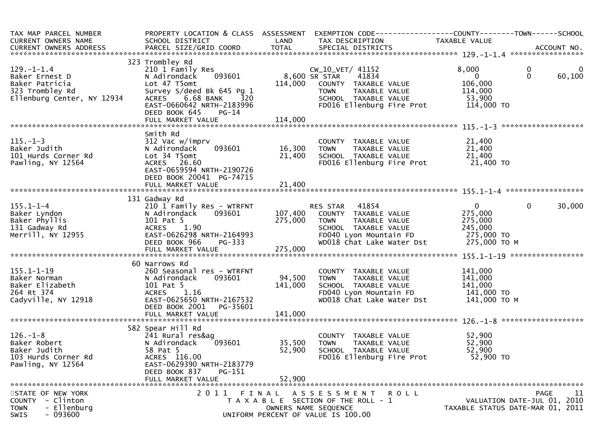| TAX MAP PARCEL NUMBER<br>CURRENT OWNERS NAME<br>CURRENT OWNERS ADDRESS                                | SCHOOL DISTRICT                                                                                                                                                                                    | LAND                          | PROPERTY LOCATION & CLASS ASSESSMENT EXEMPTION CODE----------------COUNTY-------TOWN------SCHOOL<br>TAX DESCRIPTION                                          | TAXABLE VALUE                                                                 |                                                                                |
|-------------------------------------------------------------------------------------------------------|----------------------------------------------------------------------------------------------------------------------------------------------------------------------------------------------------|-------------------------------|--------------------------------------------------------------------------------------------------------------------------------------------------------------|-------------------------------------------------------------------------------|--------------------------------------------------------------------------------|
| $129. - 1 - 1.4$<br>Baker Ernest D<br>Baker Patricia<br>323 Trombley Rd<br>Ellenburg Center, NY 12934 | 323 Trombley Rd<br>210 1 Family Res<br>093601<br>N Adirondack<br>Lot 47 T5omt<br>Survey S/deed Bk 645 Pg 1<br>6.68 BANK 320<br><b>ACRES</b><br>EAST-0660642 NRTH-2183996<br>DEED BOOK 645<br>PG-14 | 114,000                       | CW_10_VET/ 41152<br>8,600 SR STAR<br>41834<br>COUNTY TAXABLE VALUE<br>TAXABLE VALUE<br><b>TOWN</b><br>SCHOOL TAXABLE VALUE<br>FD016 Ellenburg Fire Prot      | 8,000<br>$\overline{0}$<br>106,000<br>114,000<br>53,900<br>114,000 TO         | 0<br>$\mathbf 0$<br>60,100                                                     |
| $115. - 1 - 3$<br>Baker Judith<br>101 Hurds Corner Rd<br>Pawling, NY 12564                            | Smith Rd<br>312 Vac w/imprv<br>093601<br>N Adirondack<br>Lot 34 T5omt<br>ACRES 26.60<br>EAST-0659594 NRTH-2190726<br>DEED BOOK 20041 PG-74715                                                      | 16,300<br>21,400              | COUNTY TAXABLE VALUE<br><b>TOWN</b><br>TAXABLE VALUE<br>SCHOOL TAXABLE VALUE<br>FD016 Ellenburg Fire Prot                                                    | 21,400<br>21,400<br>21,400<br>21,400 TO                                       | ********************                                                           |
| $155.1 - 1 - 4$<br>Baker Lyndon<br>Baker Phyllis<br>131 Gadway Rd<br>Merrill, NY 12955                | 131 Gadway Rd<br>210 1 Family Res - WTRFNT<br>093601<br>N Adirondack<br>101 Pat 5<br>ACRES 1.90<br>EAST-0626298 NRTH-2164993<br>DEED BOOK 966<br>PG-333<br>FULL MARKET VALUE                       | 107,400<br>275,000<br>275,000 | <b>RES STAR 41854</b><br>COUNTY TAXABLE VALUE<br><b>TOWN</b><br>TAXABLE VALUE<br>SCHOOL TAXABLE VALUE<br>FD040 Lyon Mountain FD<br>WD018 Chat Lake Water Dst | $\overline{0}$<br>275,000<br>275,000<br>245,000<br>275,000 TO<br>275,000 TO M | $\overline{0}$<br>30,000                                                       |
| $155.1 - 1 - 19$<br>Baker Norman<br>Baker Elizabeth<br>264 Rt 374<br>Cadyville, NY 12918              | 60 Narrows Rd<br>260 Seasonal res - WTRFNT<br>093601<br>N Adirondack<br>101 Pat 5<br>ACRES 1.16<br>EAST-0625650 NRTH-2167532<br>DEED BOOK 2001<br>PG-35601<br>FULL MARKET VALUE                    | 94,500<br>141,000<br>141,000  | COUNTY TAXABLE VALUE<br>TAXABLE VALUE<br><b>TOWN</b><br>SCHOOL TAXABLE VALUE<br>FD040 Lyon Mountain FD<br>WD018 Chat Lake Water Dst                          | 141,000<br>141,000<br>141,000<br>141,000 TO<br>141,000 ТО М                   |                                                                                |
| $126. - 1 - 8$<br>Baker Robert<br>Baker Judith<br>103 Hurds Corner Rd<br>Pawling, NY 12564            | 582 Spear Hill Rd<br>241 Rural res&ag<br>093601<br>N Adirondack<br>58 Pat 5<br>ACRES 116.00<br>EAST-0629390 NRTH-2183779<br>DEED BOOK 837<br>PG-151<br>FULL MARKET VALUE                           | 35,500<br>52,900<br>52,900    | COUNTY TAXABLE VALUE<br><b>TOWN</b><br>TAXABLE VALUE<br>SCHOOL TAXABLE VALUE<br>FD016 Ellenburg Fire Prot                                                    | 52,900<br>52,900<br>52,900<br>52,900 TO                                       |                                                                                |
| STATE OF NEW YORK<br>- Clinton<br><b>COUNTY</b><br>- Ellenburg<br><b>TOWN</b><br>$-093600$<br>SWIS    | 2011 FINAL                                                                                                                                                                                         |                               | ASSESSMENT ROLL<br>T A X A B L E SECTION OF THE ROLL - 1<br>OWNERS NAME SEQUENCE<br>UNIFORM PERCENT OF VALUE IS 100.00                                       |                                                                               | PAGE<br>-11<br>VALUATION DATE-JUL 01, 2010<br>TAXABLE STATUS DATE-MAR 01, 2011 |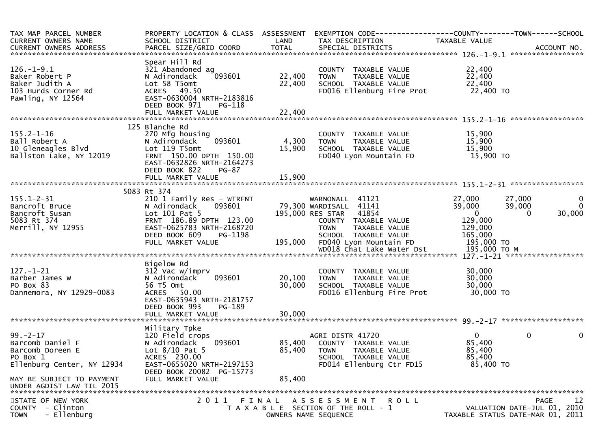| TAX MAP PARCEL NUMBER<br>CURRENT OWNERS NAME<br>CURRENT OWNERS ADDRESS                           | PROPERTY LOCATION & CLASS ASSESSMENT<br>SCHOOL DISTRICT                                                                                                                      | LAND                       | EXEMPTION CODE-----------------COUNTY-------TOWN------SCHOOL<br>TAX DESCRIPTION                                                                     | TAXABLE VALUE                                                       |                                                                               |
|--------------------------------------------------------------------------------------------------|------------------------------------------------------------------------------------------------------------------------------------------------------------------------------|----------------------------|-----------------------------------------------------------------------------------------------------------------------------------------------------|---------------------------------------------------------------------|-------------------------------------------------------------------------------|
| $126. - 1 - 9.1$<br>Baker Robert P<br>Baker Judith A<br>103 Hurds Corner Rd<br>Pawling, NY 12564 | Spear Hill Rd<br>321 Abandoned ag<br>093601<br>N Adirondack<br>Lot 58 T5omt<br>ACRES 49.50<br>EAST-0630004 NRTH-2183816<br>DEED BOOK 971<br>PG-118                           | 22,400<br>22,400           | COUNTY TAXABLE VALUE<br><b>TOWN</b><br>TAXABLE VALUE<br>SCHOOL TAXABLE VALUE<br>FD016 Ellenburg Fire Prot                                           | 22,400<br>22,400<br>22,400<br>22,400 TO                             |                                                                               |
|                                                                                                  |                                                                                                                                                                              |                            |                                                                                                                                                     |                                                                     |                                                                               |
| $155.2 - 1 - 16$<br>Ball Robert A<br>10 Gleneagles Blvd<br>Ballston Lake, NY 12019               | 125 Blanche Rd<br>270 Mfg housing<br>093601<br>N Adirondack<br>Lot 119 T5omt<br>FRNT 150.00 DPTH 150.00<br>EAST-0632826 NRTH-2164273<br>DEED BOOK 822<br>$PG-87$             | 4,300<br>15,900            | COUNTY TAXABLE VALUE<br><b>TOWN</b><br>TAXABLE VALUE<br>SCHOOL TAXABLE VALUE<br>FD040 Lyon Mountain FD                                              | 15,900<br>15,900<br>15,900<br>15,900 TO                             |                                                                               |
|                                                                                                  |                                                                                                                                                                              |                            |                                                                                                                                                     |                                                                     |                                                                               |
|                                                                                                  | 5083 Rt 374                                                                                                                                                                  |                            |                                                                                                                                                     |                                                                     |                                                                               |
| $155.1 - 2 - 31$<br>Bancroft Bruce<br>Bancroft Susan<br>5083 Rt 374<br>Merrill, NY 12955         | 210 1 Family Res - WTRFNT<br>N Adirondack<br>093601<br>Lot 101 Pat 5<br>FRNT 186.89 DPTH 123.00<br>EAST-0625783 NRTH-2168720<br>DEED BOOK 609<br>PG-1198                     |                            | WARNONALL 41121<br>79,300 WARDISALL 41141<br>195,000 RES STAR 41854<br>COUNTY TAXABLE VALUE<br><b>TOWN</b><br>TAXABLE VALUE<br>SCHOOL TAXABLE VALUE | 27,000<br>39,000<br>$\overline{0}$<br>129,000<br>129,000<br>165,000 | 27,000<br>0<br>$\mathbf{0}$<br>39,000<br>30,000<br>$\Omega$                   |
|                                                                                                  | FULL MARKET VALUE                                                                                                                                                            | 195,000                    | FD040 Lyon Mountain FD                                                                                                                              | 195,000 TO                                                          |                                                                               |
|                                                                                                  |                                                                                                                                                                              |                            | WD018 Chat Lake Water Dst                                                                                                                           | 195,000 то м                                                        |                                                                               |
| $127. - 1 - 21$<br>Barber James W<br>PO Box 83<br>Dannemora, NY 12929-0083                       | Bigelow Rd<br>$31\bar{2}$ Vac w/imprv<br>093601<br>N Adirondack<br>56 T5 Omt<br>ACRES 50.00<br>EAST-0635943 NRTH-2181757<br>DEED BOOK 993<br>PG-189<br>FULL MARKET VALUE     | 20,100<br>30,000<br>30,000 | COUNTY TAXABLE VALUE<br>TAXABLE VALUE<br>TOWN<br>SCHOOL TAXABLE VALUE<br>FD016 Ellenburg Fire Prot                                                  | 30,000<br>30,000<br>30,000<br>30,000 TO                             |                                                                               |
|                                                                                                  |                                                                                                                                                                              |                            |                                                                                                                                                     |                                                                     |                                                                               |
| $99. - 2 - 17$<br>Barcomb Daniel F<br>Barcomb Doreen E<br>PO Box 1<br>Ellenburg Center, NY 12934 | Military Tpke<br>120 Field crops<br>N Adirondack<br>093601<br>Lot $8/10$ Pat 5<br>ACRES 230.00<br>EAST-0655020 NRTH-2197153<br>DEED BOOK 20082 PG-15773<br>FULL MARKET VALUE | 85,400<br>85,400           | AGRI DISTR 41720<br>COUNTY TAXABLE VALUE<br><b>TOWN</b><br>TAXABLE VALUE<br>SCHOOL TAXABLE VALUE<br>FD014 Ellenburg Ctr FD15                        | $\overline{0}$<br>85,400<br>85,400<br>85,400<br>85,400 TO           | $\mathbf 0$<br>0                                                              |
| MAY BE SUBJECT TO PAYMENT<br>UNDER AGDIST LAW TIL 2015                                           |                                                                                                                                                                              | 85,400                     |                                                                                                                                                     |                                                                     |                                                                               |
|                                                                                                  |                                                                                                                                                                              |                            |                                                                                                                                                     |                                                                     |                                                                               |
| STATE OF NEW YORK<br><b>COUNTY</b><br>- Clinton<br>- Ellenburg<br><b>TOWN</b>                    | 2011                                                                                                                                                                         |                            | FINAL ASSESSMENT ROLL<br>T A X A B L E SECTION OF THE ROLL - 1<br>OWNERS NAME SEQUENCE                                                              |                                                                     | 12<br>PAGE<br>VALUATION DATE-JUL 01, 2010<br>TAXABLE STATUS DATE-MAR 01, 2011 |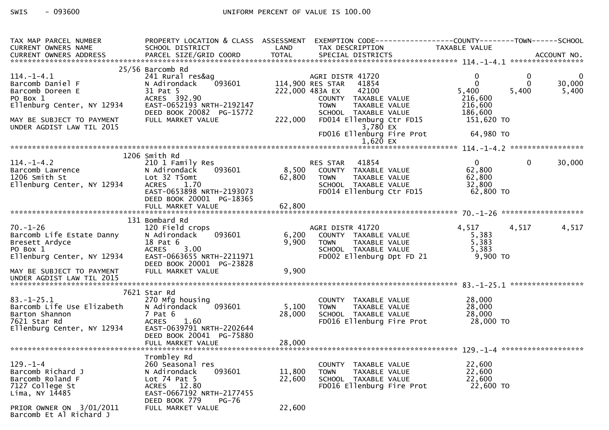| TAX MAP PARCEL NUMBER                                               |                                                    |         | PROPERTY LOCATION & CLASS ASSESSMENT EXEMPTION CODE----------------COUNTY-------TOWN------SCHOOL |                        |              |             |
|---------------------------------------------------------------------|----------------------------------------------------|---------|--------------------------------------------------------------------------------------------------|------------------------|--------------|-------------|
| CURRENT OWNERS NAME                                                 | SCHOOL DISTRICT<br><b>Example 12 District LAND</b> |         | TAX DESCRIPTION                                                                                  | TAXABLE VALUE          |              |             |
|                                                                     |                                                    |         |                                                                                                  |                        |              |             |
|                                                                     |                                                    |         |                                                                                                  |                        |              |             |
|                                                                     | 25/56 Barcomb Rd                                   |         |                                                                                                  |                        |              |             |
| 114.-1-4.1                                                          | 241 Rural res&ag                                   |         | AGRI DISTR 41720                                                                                 | 0                      | $\mathbf 0$  | $\mathbf 0$ |
| Barcomb Daniel F                                                    | 093601<br>N Adirondack                             |         | 114,900 RES STAR 41854                                                                           | $\Omega$               | $\Omega$     | 30,000      |
| Barcomb Doreen E                                                    | 31 Pat 5                                           |         | 42100<br>222,000 483A EX                                                                         | 5,400                  | 5,400        | 5,400       |
| PO Box 1                                                            | ACRES 392.90                                       |         | COUNTY TAXABLE VALUE                                                                             | 216,600                |              |             |
| Ellenburg Center, NY 12934                                          | EAST-0652193 NRTH-2192147                          |         | <b>TOWN</b><br>TAXABLE VALUE                                                                     | 216,600                |              |             |
|                                                                     | DEED BOOK 20082 PG-15772                           |         | SCHOOL TAXABLE VALUE                                                                             | 186,600                |              |             |
| MAY BE SUBJECT TO PAYMENT                                           | FULL MARKET VALUE                                  | 222,000 | FD014 Ellenburg Ctr FD15                                                                         | 151,620 TO             |              |             |
| UNDER AGDIST LAW TIL 2015                                           |                                                    |         | 3,780 EX                                                                                         |                        |              |             |
|                                                                     |                                                    |         | FD016 Ellenburg Fire Prot                                                                        | 64,980 TO              |              |             |
|                                                                     |                                                    |         | 1,620 EX                                                                                         |                        |              |             |
|                                                                     |                                                    |         |                                                                                                  |                        |              |             |
|                                                                     | 1206 Smith Rd                                      |         |                                                                                                  |                        |              |             |
| $114. - 1 - 4.2$                                                    | 210 1 Family Res                                   |         | RES STAR 41854                                                                                   | $\mathbf{0}$<br>62,800 | $\mathbf{0}$ | 30,000      |
| Barcomb Lawrence                                                    | 093601<br>N Adirondack                             |         | 8,500 COUNTY TAXABLE VALUE                                                                       |                        |              |             |
| 1206 Smith St                                                       | Lot 32 T5omt                                       | 62,800  | TAXABLE VALUE<br><b>TOWN</b>                                                                     | 62,800                 |              |             |
| Ellenburg Center, NY 12934                                          | ACRES 1.70                                         |         | SCHOOL TAXABLE VALUE                                                                             | 32,800<br>62,800 TO    |              |             |
|                                                                     | EAST-0653898 NRTH-2193073                          |         | FD014 Ellenburg Ctr FD15                                                                         |                        |              |             |
|                                                                     | DEED BOOK 20001 PG-18365                           |         |                                                                                                  |                        |              |             |
|                                                                     |                                                    |         |                                                                                                  |                        |              |             |
|                                                                     | 131 Bombard Rd                                     |         |                                                                                                  |                        |              |             |
| $70. - 1 - 26$                                                      | 120 Field crops                                    |         | AGRI DISTR 41720                                                                                 | 4,517                  | 4,517        | 4,517       |
|                                                                     | 093601<br>N Adirondack                             | 6,200   | COUNTY TAXABLE VALUE                                                                             | 5,383                  |              |             |
|                                                                     | 18 Pat 6                                           | 9,900   | <b>TOWN</b>                                                                                      | 5,383                  |              |             |
| Barcomb Life Estate Danny<br>Bresett Ardyce<br>PO Box 1<br>PO Box 1 | <b>ACRES</b><br>3.00                               |         | TAXABLE VALUE<br>TAXABLE VALUE<br>SCHOOL TAXABLE VALUE                                           | 5,383                  |              |             |
| Ellenburg Center, NY 12934                                          | EAST-0663655 NRTH-2211971                          |         | FD002 Ellenburg Dpt FD 21                                                                        | 9,900 TO               |              |             |
|                                                                     | DEED BOOK 20001 PG-23828                           |         |                                                                                                  |                        |              |             |
| MAY BE SUBJECT TO PAYMENT                                           | FULL MARKET VALUE                                  | 9,900   |                                                                                                  |                        |              |             |
| UNDER AGDIST LAW TIL 2015                                           |                                                    |         |                                                                                                  |                        |              |             |
|                                                                     |                                                    |         |                                                                                                  |                        |              |             |
|                                                                     | 7621 Star Rd                                       |         |                                                                                                  |                        |              |             |
| $83. - 1 - 25.1$                                                    | 270 Mfg housing                                    |         | COUNTY TAXABLE VALUE                                                                             | 28,000                 |              |             |
| Barcomb Life Use Elizabeth                                          | 093601<br>N Adirondack                             | 5,100   | <b>TOWN</b>                                                                                      | 28,000                 |              |             |
| Barton Shannon                                                      | 7 Pat 6                                            | 28,000  | TAXABLE VALUE<br>TAXABLE VALUE<br>TAXABLE VALUE<br>SCHOOL TAXABLE VALUE                          | 28,000                 |              |             |
| 7621 Star Rd                                                        | <b>ACRES</b><br>1.60                               |         | FD016 Ellenburg Fire Prot 28,000 TO                                                              |                        |              |             |
| Ellenburg Center, NY 12934                                          | EAST-0639791 NRTH-2202644                          |         |                                                                                                  |                        |              |             |
|                                                                     | DEED BOOK 20041 PG-75880                           |         |                                                                                                  |                        |              |             |
|                                                                     |                                                    |         |                                                                                                  |                        |              |             |
|                                                                     |                                                    |         |                                                                                                  |                        |              |             |
|                                                                     | Trombley Rd                                        |         |                                                                                                  |                        |              |             |
| $129. - 1 - 4$                                                      | 260 Seasonal res                                   |         | COUNTY TAXABLE VALUE                                                                             | 22,600                 |              |             |
| Barcomb Richard J                                                   | 093601<br>N Adirondack                             | 11,800  | <b>TOWN</b><br>TAXABLE VALUE                                                                     | 22,600                 |              |             |
| Barcomb Roland F                                                    | Lot $74$ Pat $5$                                   | 22,600  | SCHOOL TAXABLE VALUE                                                                             | 22,600                 |              |             |
| 7127 College St                                                     | ACRES 12.80                                        |         | FD016 Ellenburg Fire Prot                                                                        | 22,600 TO              |              |             |
| Lima, NY 14485                                                      | EAST-0667192 NRTH-2177455                          |         |                                                                                                  |                        |              |             |
|                                                                     | DEED BOOK 779<br><b>PG-76</b>                      |         |                                                                                                  |                        |              |             |
| PRIOR OWNER ON 3/01/2011                                            | FULL MARKET VALUE                                  | 22,600  |                                                                                                  |                        |              |             |
| Barcomb Et Al Richard J                                             |                                                    |         |                                                                                                  |                        |              |             |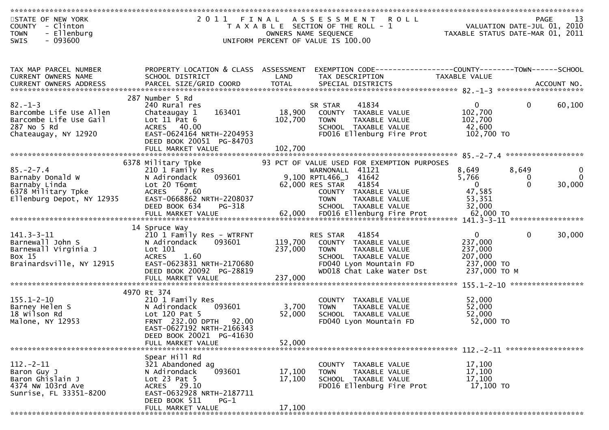| STATE OF NEW YORK<br>COUNTY - Clinton<br><b>TOWN</b><br>- Ellenburg                                      |                                                                                                                                                        |                    | 2011 FINAL ASSESSMENT ROLL<br>T A X A B L E SECTION OF THE ROLL - 1<br>OWNERS NAME SEQUENCE                                   |                                                             | 13<br>PAGE<br>VALUATION DATE-JUL 01, 2010<br>TAXABLE STATUS DATE-MAR 01, 2011 |
|----------------------------------------------------------------------------------------------------------|--------------------------------------------------------------------------------------------------------------------------------------------------------|--------------------|-------------------------------------------------------------------------------------------------------------------------------|-------------------------------------------------------------|-------------------------------------------------------------------------------|
| $-093600$<br><b>SWIS</b>                                                                                 |                                                                                                                                                        |                    | UNIFORM PERCENT OF VALUE IS 100.00                                                                                            |                                                             |                                                                               |
| TAX MAP PARCEL NUMBER<br>CURRENT OWNERS NAME                                                             | PROPERTY LOCATION & CLASS ASSESSMENT<br>SCHOOL DISTRICT<br>CURRENT OWNERS ADDRESS PARCEL SIZE/GRID COORD TOTAL SPECIAL DISTRICTS (2007) ACCOUNT NO.    | LAND               | EXEMPTION CODE-----------------COUNTY--------TOWN------SCHOOL<br>TAX DESCRIPTION                                              | TAXABLE VALUE                                               |                                                                               |
|                                                                                                          |                                                                                                                                                        |                    |                                                                                                                               |                                                             |                                                                               |
| $82 - 1 - 3$<br>Barcombe Life Use Allen<br>Barcombe Life Use Gail<br>287 No 5 Rd<br>Chateaugay, NY 12920 | 287 Number 5 Rd<br>240 Rural res<br>163401<br>Chateaugay 1<br>Lot $11$ Pat $6$<br>ACRES 40.00<br>EAST-0624164 NRTH-2204953<br>DEED BOOK 20051 PG-84703 | 18,900<br>102,700  | 41834<br>SR STAR<br>COUNTY TAXABLE VALUE<br><b>TOWN</b><br>TAXABLE VALUE<br>SCHOOL TAXABLE VALUE<br>FD016 Ellenburg Fire Prot | $\mathbf{0}$<br>102,700<br>102,700<br>42,600<br>102,700 TO  | 60,100<br>$\mathbf 0$                                                         |
|                                                                                                          | FULL MARKET VALUE                                                                                                                                      | 102,700            |                                                                                                                               |                                                             |                                                                               |
| $85. - 2 - 7.4$                                                                                          | 6378 Military Tpke<br>210 1 Family Res                                                                                                                 |                    | 93 PCT OF VALUE USED FOR EXEMPTION PURPOSES<br>WARNONALL 41121                                                                | 8,649                                                       | 8,649<br>$\mathbf{0}$                                                         |
| Barnaby Donald W<br>Barnaby Linda<br>6378 Military Tpke                                                  | 093601<br>N Adirondack<br>Lot 20 T6omt<br>ACRES 7.60                                                                                                   |                    | 9,100 RPTL466_J 41642<br>62,000 RES STAR 41854<br>COUNTY TAXABLE VALUE                                                        | 5,766<br>$\mathbf{0}$<br>47,585                             | $\Omega$<br>0<br>$\mathbf{0}$<br>30,000                                       |
| Ellenburg Depot, NY 12935                                                                                | EAST-0668862 NRTH-2208037<br>PG-318<br>DEED BOOK 634                                                                                                   |                    | <b>TOWN</b><br>TAXABLE VALUE<br>SCHOOL TAXABLE VALUE                                                                          | 53,351<br>32,000                                            |                                                                               |
|                                                                                                          |                                                                                                                                                        |                    |                                                                                                                               |                                                             |                                                                               |
| $141.3 - 3 - 11$<br>Barnewall John S<br>Barnewall Virginia J<br>Box 15<br>Brainardsville, NY 12915       | 14 Spruce Way<br>210 1 Family Res - WTRFNT<br>093601<br>N Adirondack<br>Lot 101<br><b>ACRES</b><br>1.60<br>EAST-0623831 NRTH-2170680                   | 119,700<br>237,000 | RES STAR 41854<br>COUNTY TAXABLE VALUE<br><b>TOWN</b><br>TAXABLE VALUE<br>SCHOOL TAXABLE VALUE<br>FD040 Lyon Mountain FD      | $\mathbf{0}$<br>237,000<br>237,000<br>207,000<br>237,000 TO | $\Omega$<br>30,000                                                            |
|                                                                                                          | DEED BOOK 20092 PG-28819                                                                                                                               |                    | WD018 Chat Lake Water Dst                                                                                                     | 237,000 TO M                                                |                                                                               |
|                                                                                                          | FULL MARKET VALUE                                                                                                                                      | 237,000            |                                                                                                                               |                                                             |                                                                               |
| $155.1 - 2 - 10$<br>Barney Helen S<br>18 Wilson Rd<br>Malone, NY 12953                                   | 4970 Rt 374<br>210 1 Family Res<br>093601<br>N Adirondack<br>Lot 120 Pat 5<br>FRNT 232.00 DPTH 92.00<br>EAST-0627192 NRTH-2166343                      | 3,700<br>52,000    | COUNTY TAXABLE VALUE<br>TAXABLE VALUE<br><b>TOWN</b><br>SCHOOL TAXABLE VALUE<br>FD040 Lyon Mountain FD                        | 52,000<br>52,000<br>52,000<br>52,000 TO                     |                                                                               |
|                                                                                                          | DEED BOOK 20021 PG-41630<br>FULL MARKET VALUE                                                                                                          | 52.000             |                                                                                                                               |                                                             |                                                                               |
| $112 - 2 - 11$<br>Baron Guy J<br>Baron Ghislain J<br>4374 NW 103rd Ave<br>Sunrise, FL 33351-8200         | Spear Hill Rd<br>321 Abandoned ag<br>093601<br>N Adirondack<br>Lot $23$ Pat $5$<br>ACRES 29.10<br>EAST-0632928 NRTH-2187711<br>DEED BOOK 511<br>$PG-1$ | 17,100<br>17,100   | COUNTY TAXABLE VALUE<br><b>TOWN</b><br>TAXABLE VALUE<br>SCHOOL TAXABLE VALUE<br>FD016 Ellenburg Fire Prot                     | 17,100<br>17,100<br>17,100<br>17,100 TO                     |                                                                               |
|                                                                                                          | FULL MARKET VALUE                                                                                                                                      | 17,100             |                                                                                                                               |                                                             |                                                                               |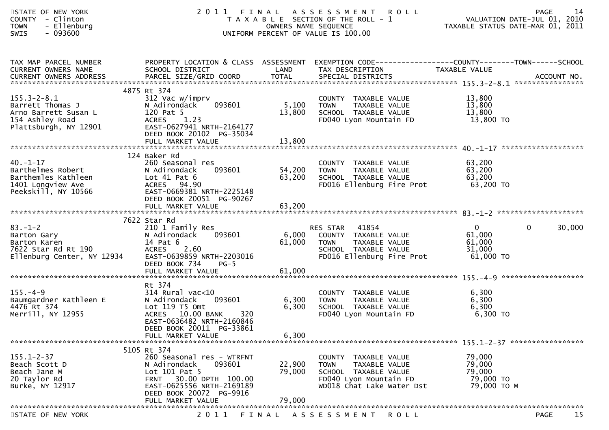| STATE OF NEW YORK<br>COUNTY - Clinton<br>- Ellenburg<br><b>TOWN</b><br>$-093600$<br><b>SWIS</b>           |                                                                                                                                                                                              | OWNERS NAME SEQUENCE       | 2011 FINAL ASSESSMENT ROLL<br>T A X A B L E SECTION OF THE ROLL - 1<br>UNIFORM PERCENT OF VALUE IS 100.00                           |                                                         | 14<br>PAGE<br>VALUATION DATE-JUL 01, 2010<br>TAXABLE STATUS DATE-MAR 01, 2011 |
|-----------------------------------------------------------------------------------------------------------|----------------------------------------------------------------------------------------------------------------------------------------------------------------------------------------------|----------------------------|-------------------------------------------------------------------------------------------------------------------------------------|---------------------------------------------------------|-------------------------------------------------------------------------------|
| TAX MAP PARCEL NUMBER<br>CURRENT OWNERS NAME                                                              | SCHOOL DISTRICT                                                                                                                                                                              | LAND                       | PROPERTY LOCATION & CLASS ASSESSMENT EXEMPTION CODE----------------COUNTY-------TOWN------SCHOOL<br>TAX DESCRIPTION                 | TAXABLE VALUE                                           |                                                                               |
|                                                                                                           | 4875 Rt 374                                                                                                                                                                                  |                            |                                                                                                                                     |                                                         |                                                                               |
| $155.3 - 2 - 8.1$<br>Barrett Thomas J<br>Arno Barrett Susan L<br>154 Ashley Road<br>Plattsburgh, NY 12901 | 312 Vac w/imprv<br>093601<br>N Adirondack<br>120 Pat 5<br>1.23<br><b>ACRES</b><br>EAST-0627941 NRTH-2164177<br>DEED BOOK 20102 PG-35034                                                      | 5,100<br>13,800            | COUNTY TAXABLE VALUE<br>TAXABLE VALUE<br><b>TOWN</b><br>SCHOOL TAXABLE VALUE<br>FD040 Lyon Mountain FD                              | 13,800<br>13,800<br>13,800<br>13,800 TO                 |                                                                               |
|                                                                                                           |                                                                                                                                                                                              |                            |                                                                                                                                     |                                                         |                                                                               |
| $40. -1 - 17$<br>Barthelmes Robert<br>Barthemles Kathleen<br>1401 Longview Ave<br>Peekskill, NY 10566     | 124 Baker Rd<br>260 Seasonal res<br>093601<br>N Adirondack<br>Lot $41$ Pat $6$<br>ACRES 94.90<br>EAST-0669381 NRTH-2225148<br>DEED BOOK 20051 PG-90267                                       | 54,200<br>63,200           | COUNTY TAXABLE VALUE<br><b>TOWN</b><br>TAXABLE VALUE<br>SCHOOL TAXABLE VALUE<br>FD016 Ellenburg Fire Prot                           | 63,200<br>63,200<br>63,200<br>63,200 TO                 |                                                                               |
|                                                                                                           | FULL MARKET VALUE                                                                                                                                                                            | 63,200                     |                                                                                                                                     |                                                         |                                                                               |
|                                                                                                           |                                                                                                                                                                                              |                            |                                                                                                                                     |                                                         |                                                                               |
| $83. - 1 - 2$<br>Barton Gary<br>Barton Karen<br>7622 Star Rd Rt 190<br>Ellenburg Center, NY 12934         | 7622 Star Rd<br>210 1 Family Res<br>N Adirondack<br>093601<br>14 Pat 6<br><b>ACRES</b><br>2.60<br>EAST-0639859 NRTH-2203016<br>DEED BOOK 734<br>$PG-5$                                       | 6,000<br>61,000            | 41854<br>RES STAR<br>COUNTY TAXABLE VALUE<br>TAXABLE VALUE<br><b>TOWN</b><br>SCHOOL TAXABLE VALUE<br>FD016 Ellenburg Fire Prot      | $\mathbf{0}$<br>61,000<br>61,000<br>31,000<br>61,000 TO | $\mathbf{0}$<br>30,000                                                        |
|                                                                                                           |                                                                                                                                                                                              |                            |                                                                                                                                     |                                                         |                                                                               |
|                                                                                                           |                                                                                                                                                                                              |                            |                                                                                                                                     |                                                         |                                                                               |
| $155. - 4 - 9$<br>Baumgardner Kathleen E<br>4476 Rt 374<br>Merrill, NY 12955                              | Rt 374<br>$314$ Rural vac< $10$<br>093601<br>N Adirondack<br>Lot 119 T5 Omt<br>ACRES 10.00 BANK<br>320<br>EAST-0636482 NRTH-2160846<br>DEED BOOK 20011 PG-33861                              | 6,300<br>6,300             | COUNTY TAXABLE VALUE<br><b>TOWN</b><br>TAXABLE VALUE<br>SCHOOL TAXABLE VALUE<br>FD040 Lyon Mountain FD                              | 6,300<br>6,300<br>6,300<br>6,300 TO                     |                                                                               |
|                                                                                                           | FULL MARKET VALUE                                                                                                                                                                            | 6,300                      |                                                                                                                                     |                                                         |                                                                               |
|                                                                                                           |                                                                                                                                                                                              |                            |                                                                                                                                     |                                                         |                                                                               |
| $155.1 - 2 - 37$<br>Beach Scott D<br>Beach Jane M<br>20 Taylor Rd<br>Burke, NY 12917                      | 5105 Rt 374<br>260 Seasonal res - WTRFNT<br>093601<br>N Adirondack<br>Lot $101$ Pat 5<br>FRNT 30.00 DPTH 100.00<br>EAST-0625556 NRTH-2169189<br>DEED BOOK 20072 PG-9916<br>FULL MARKET VALUE | 22,900<br>79,000<br>79,000 | COUNTY TAXABLE VALUE<br><b>TAXABLE VALUE</b><br>TOWN<br>SCHOOL TAXABLE VALUE<br>FD040 Lyon Mountain FD<br>WD018 Chat Lake Water Dst | 79,000<br>79,000<br>79,000<br>79,000 TO<br>79,000 ТО М  |                                                                               |
|                                                                                                           |                                                                                                                                                                                              |                            |                                                                                                                                     |                                                         |                                                                               |
| STATE OF NEW YORK                                                                                         | 2 0 1 1                                                                                                                                                                                      | FINAL                      | A S S E S S M E N T<br><b>ROLL</b>                                                                                                  |                                                         | 15<br><b>PAGE</b>                                                             |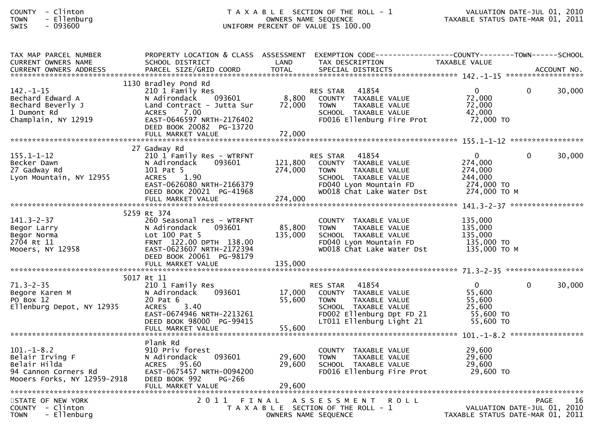| <b>COUNTY</b> | Clinton  |
|---------------|----------|
| <b>TOWN</b>   | Ellenbur |
| $C \cup T C$  | 002COO   |

| TAX MAP PARCEL NUMBER<br><b>CURRENT OWNERS NAME</b>                                                       | SCHOOL DISTRICT                                                                                                                                                                                       | LAND                       | PROPERTY LOCATION & CLASS ASSESSMENT EXEMPTION CODE----------------COUNTY--------TOWN------SCHOOL<br>TAX DESCRIPTION                                              | TAXABLE VALUE                                                               |          |        |
|-----------------------------------------------------------------------------------------------------------|-------------------------------------------------------------------------------------------------------------------------------------------------------------------------------------------------------|----------------------------|-------------------------------------------------------------------------------------------------------------------------------------------------------------------|-----------------------------------------------------------------------------|----------|--------|
|                                                                                                           |                                                                                                                                                                                                       |                            |                                                                                                                                                                   |                                                                             |          |        |
| $142. - 1 - 15$<br>Bechard Edward A<br>Bechard Beverly J<br>1 Dumont Rd<br>Champlain, NY 12919            | 1130 Bradley Pond Rd<br>210 1 Family Res<br>093601<br>N Adirondack<br>Land Contract - Jutta Sur<br>7.00<br><b>ACRES</b><br>EAST-0646597 NRTH-2176402<br>DEED BOOK 20082 PG-13720<br>FULL MARKET VALUE | 8,800<br>72,000<br>72,000  | <b>RES STAR</b><br>41854<br>COUNTY TAXABLE VALUE<br><b>TOWN</b><br>TAXABLE VALUE<br>SCHOOL TAXABLE VALUE<br>FD016 Ellenburg Fire Prot                             | $\mathbf{0}$<br>72,000<br>72,000<br>42,000<br>72,000 TO                     | $\Omega$ | 30,000 |
|                                                                                                           | 27 Gadway Rd                                                                                                                                                                                          |                            |                                                                                                                                                                   |                                                                             |          |        |
| $155.1 - 1 - 12$<br>Becker Dawn<br>27 Gadway Rd<br>Lyon Mountain, NY 12955                                | 210 1 Family Res - WTRFNT<br>N Adirondack<br>093601<br>101 Pat 5<br>1.90<br><b>ACRES</b><br>EAST-0626080 NRTH-2166379<br>DEED BOOK 20021 PG-41968                                                     | 121,800<br>274,000         | 41854<br><b>RES STAR</b><br>COUNTY TAXABLE VALUE<br><b>TOWN</b><br>TAXABLE VALUE<br>SCHOOL TAXABLE VALUE<br>FD040 Lyon Mountain FD<br>WD018 Chat Lake Water Dst   | $\mathbf{0}$<br>274,000<br>274,000<br>244,000<br>274,000 TO<br>274,000 ТО М | $\Omega$ | 30,000 |
|                                                                                                           |                                                                                                                                                                                                       |                            |                                                                                                                                                                   |                                                                             |          |        |
| $141.3 - 2 - 37$<br>Begor Larry<br>Begor Norma<br>2704 Rt 11<br>Mooers, NY 12958                          | 5259 Rt 374<br>260 Seasonal res - WTRFNT<br>N Adirondack<br>093601<br>Lot 100 Pat 5<br>FRNT 122.00 DPTH 138.00<br>EAST-0623607 NRTH-2172394<br>DEED BOOK 20061 PG-98179                               | 85,800<br>135,000          | COUNTY TAXABLE VALUE<br>TAXABLE VALUE<br><b>TOWN</b><br>SCHOOL TAXABLE VALUE<br>FD040 Lyon Mountain FD<br>WD018 Chat Lake Water Dst                               | 135,000<br>135,000<br>135,000<br>135,000 TO<br>135,000 то м                 |          |        |
|                                                                                                           |                                                                                                                                                                                                       |                            |                                                                                                                                                                   |                                                                             |          |        |
| $71.3 - 2 - 35$<br>Begore Karen M<br>PO Box 12<br>Ellenburg Depot, NY 12935                               | 5017 Rt 11<br>210 1 Family Res<br>N Adirondack<br>093601<br>20 Pat 6<br>3.40<br><b>ACRES</b><br>EAST-0674946 NRTH-2213261<br>DEED BOOK 98000 PG-99415<br>FULL MARKET VALUE                            | 17,000<br>55,600<br>55,600 | 41854<br><b>RES STAR</b><br>COUNTY TAXABLE VALUE<br><b>TOWN</b><br>TAXABLE VALUE<br>SCHOOL TAXABLE VALUE<br>FD002 Ellenburg Dpt FD 21<br>LT011 Ellenburg Light 21 | $\overline{0}$<br>55,600<br>55.600<br>25,600<br>55,600 TO<br>55,600 TO      | $\Omega$ | 30,000 |
|                                                                                                           |                                                                                                                                                                                                       |                            |                                                                                                                                                                   |                                                                             |          |        |
| $101 - 1 - 8.2$<br>Belair Irving F<br>Belair Hilda<br>94 Cannon Corners Rd<br>Mooers Forks, NY 12959-2918 | Plank Rd<br>910 Priv forest<br>093601<br>N Adirondack<br>ACRES 95.60<br>EAST-0675457 NRTH-0094200<br>DEED BOOK 992<br>PG-266<br>FULL MARKET VALUE                                                     | 29,600<br>29,600<br>29,600 | COUNTY TAXABLE VALUE<br><b>TOWN</b><br>TAXABLE VALUE<br>SCHOOL TAXABLE VALUE<br>FD016 Ellenburg Fire Prot                                                         | 29,600<br>29,600<br>29,600<br>29,600 TO                                     |          |        |
| STATE OF NEW YORK<br>COUNTY - Clinton<br>- Ellenburg<br><b>TOWN</b>                                       |                                                                                                                                                                                                       | OWNERS NAME SEQUENCE       | 2011 FINAL ASSESSMENT<br><b>ROLL</b><br>T A X A B L E SECTION OF THE ROLL - 1                                                                                     | VALUATION DATE-JUL 01, 2010<br>TAXABLE STATUS DATE-MAR 01, 2011             | PAGE     | 16     |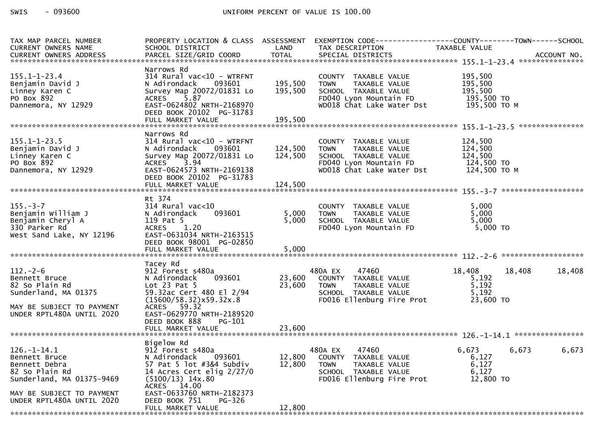| TAX MAP PARCEL NUMBER<br>CURRENT OWNERS NAME                                                                                        | SCHOOL DISTRICT                                                                                                                                                                                     | LAND               | PROPERTY LOCATION & CLASS ASSESSMENT EXEMPTION CODE----------------COUNTY-------TOWN------SCHOOL<br>TAX DESCRIPTION                 | TAXABLE VALUE                                               |        |
|-------------------------------------------------------------------------------------------------------------------------------------|-----------------------------------------------------------------------------------------------------------------------------------------------------------------------------------------------------|--------------------|-------------------------------------------------------------------------------------------------------------------------------------|-------------------------------------------------------------|--------|
|                                                                                                                                     |                                                                                                                                                                                                     |                    |                                                                                                                                     |                                                             |        |
|                                                                                                                                     | Narrows Rd                                                                                                                                                                                          |                    |                                                                                                                                     |                                                             |        |
| $155.1 - 1 - 23.4$<br>Benjamin David J<br>Linney Karen C<br>PO Box 892<br>Dannemora, NY 12929                                       | $314$ Rural vac< $10$ - WTRFNT<br>N Adirondack<br>093601<br>Survey Map 20072/01831 Lo<br>5.87<br><b>ACRES</b><br>EAST-0624802 NRTH-2168970                                                          | 195,500<br>195,500 | COUNTY TAXABLE VALUE<br>TAXABLE VALUE<br><b>TOWN</b><br>SCHOOL TAXABLE VALUE<br>FD040 Lyon Mountain FD<br>WD018 Chat Lake Water Dst | 195,500<br>195,500<br>195,500<br>195,500 TO<br>195,500 то м |        |
|                                                                                                                                     | DEED BOOK 20102 PG-31783<br>FULL MARKET VALUE                                                                                                                                                       | 195,500            |                                                                                                                                     |                                                             |        |
|                                                                                                                                     |                                                                                                                                                                                                     |                    |                                                                                                                                     |                                                             |        |
| $155.1 - 1 - 23.5$<br>Benjamin David J<br>Linney Karen C<br>PO Box 892<br>Dannemora, NY 12929                                       | Narrows Rd<br>314 Rural vac<10 - WTRFNT<br>N Adirondack<br>093601<br>Survey Map 20072/01831 Lo<br>3.94<br><b>ACRES</b><br>EAST-0624573 NRTH-2169138<br>DEED BOOK 20102 PG-31783                     | 124,500<br>124,500 | COUNTY TAXABLE VALUE<br><b>TOWN</b><br>TAXABLE VALUE<br>SCHOOL TAXABLE VALUE<br>FD040 Lyon Mountain FD<br>WD018 Chat Lake Water Dst | 124,500<br>124,500<br>124,500<br>124,500 TO<br>124,500 TO M |        |
|                                                                                                                                     |                                                                                                                                                                                                     |                    |                                                                                                                                     |                                                             |        |
| $155. - 3 - 7$<br>Benjamin William J<br>Benjamin Cheryl A<br>330 Parker Rd<br>West Sand Lake, NY 12196                              | Rt 374<br>$314$ Rural vac< $10$<br>N Adirondack<br>093601<br>119 Pat 5<br>1.20<br><b>ACRES</b><br>EAST-0631034 NRTH-2163515<br>DEED BOOK 98001 PG-02850                                             | 5,000<br>5,000     | COUNTY TAXABLE VALUE<br>TAXABLE VALUE<br><b>TOWN</b><br>SCHOOL TAXABLE VALUE<br>FD040 Lyon Mountain FD                              | 5,000<br>5,000<br>5,000<br>5,000 TO                         |        |
|                                                                                                                                     |                                                                                                                                                                                                     |                    |                                                                                                                                     |                                                             |        |
| $112. - 2 - 6$<br>Bennett Bruce<br>82 So Plain Rd<br>Sunderland, MA 01375<br>MAY BE SUBJECT TO PAYMENT<br>UNDER RPTL480A UNTIL 2020 | Tacey Rd<br>912 Forest s480a<br>093601<br>N Adirondack<br>Lot 23 Pat 5<br>59.32ac Cert 480 El 2/94<br>(15600/58.32)x59.32x.8<br>ACRES 59.32<br>EAST-0629770 NRTH-2189520<br>DEED BOOK 888<br>PG-101 | 23,600<br>23,600   | 480A EX<br>47460<br>COUNTY TAXABLE VALUE<br><b>TOWN</b><br>TAXABLE VALUE<br>SCHOOL TAXABLE VALUE<br>FD016 Ellenburg Fire Prot       | 18,408<br>18,408<br>5,192<br>5,192<br>5,192<br>23,600 TO    | 18,408 |
|                                                                                                                                     |                                                                                                                                                                                                     |                    |                                                                                                                                     |                                                             |        |
| $126. - 1 - 14.1$<br>Bennett Bruce<br>Bennett Debra<br>82 So Plain Rd<br>Sunderland, MA 01375-9469                                  | Bigelow Rd<br>912 Forest s480a<br>N Adirondack<br>093601<br>57 Pat 5 lot #3&4 Subdiv<br>14 Acres Cert elig $2/27/0$<br>$(5100/13)$ 14x.80<br>14.00<br><b>ACRES</b><br>EAST-0633760 NRTH-2182373     | 12,800<br>12,800   | 480A EX<br>47460<br>COUNTY TAXABLE VALUE<br><b>TOWN</b><br>TAXABLE VALUE<br>SCHOOL TAXABLE VALUE<br>FD016 Ellenburg Fire Prot       | 6,673<br>6,673<br>6,127<br>6,127<br>6,127<br>12,800 TO      | 6,673  |
| MAY BE SUBJECT TO PAYMENT<br>UNDER RPTL480A UNTIL 2020                                                                              | DEED BOOK 751<br>PG-326<br>FULL MARKET VALUE                                                                                                                                                        | 12,800             |                                                                                                                                     |                                                             |        |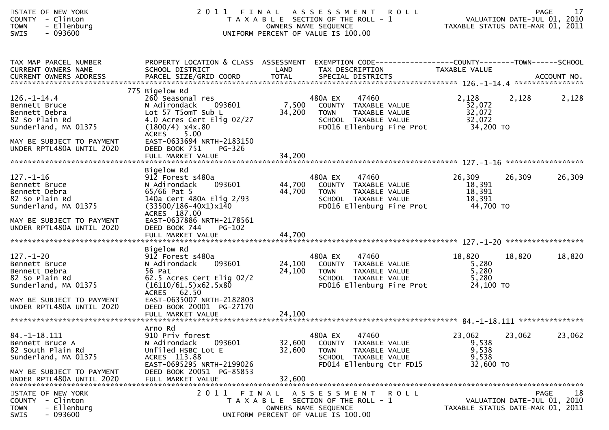| STATE OF NEW YORK<br>COUNTY - Clinton<br>- Ellenburg<br><b>TOWN</b><br><b>SWIS</b><br>- 093600                                                        | 2011                                                                                                                                                                                            | FINAL ASSESSMENT<br>T A X A B L E SECTION OF THE ROLL - 1<br>UNIFORM PERCENT OF VALUE IS 100.00 | OWNERS NAME SEQUENCE                        | <b>ROLL</b>                                                                                                   | VALUATION DATE-JUL 01, 2010<br>VALUATION DATE SUL DI .<br>TAXABLE STATUS DATE-MAR 01, 2011 |        | 17<br><b>PAGE</b>                                |
|-------------------------------------------------------------------------------------------------------------------------------------------------------|-------------------------------------------------------------------------------------------------------------------------------------------------------------------------------------------------|-------------------------------------------------------------------------------------------------|---------------------------------------------|---------------------------------------------------------------------------------------------------------------|--------------------------------------------------------------------------------------------|--------|--------------------------------------------------|
| TAX MAP PARCEL NUMBER<br>CURRENT OWNERS NAME                                                                                                          | PROPERTY LOCATION & CLASS ASSESSMENT EXEMPTION CODE----------------COUNTY-------TOWN------SCHOOL<br>SCHOOL DISTRICT                                                                             | LAND                                                                                            | TAX DESCRIPTION                             |                                                                                                               | TAXABLE VALUE                                                                              |        |                                                  |
| $126. - 1 - 14.4$<br>Bennett Bruce<br>Bennett Debra<br>82 So Plain Rd<br>Sunderland, MA 01375<br>MAY BE SUBJECT TO PAYMENT                            | 775 Bigelow Rd<br>260 Seasonal res<br>N Adirondack<br>093601<br>Lot 57 T5omT Sub L<br>4.0 Acres Cert Elig 02/27<br>$(1800/4)$ x4x.80<br>5.00<br><b>ACRES</b><br>EAST-0633694 NRTH-2183150       | 7,500<br>34,200                                                                                 | 480A EX<br><b>TOWN</b>                      | 47460<br>COUNTY TAXABLE VALUE<br>TAXABLE VALUE<br>SCHOOL TAXABLE VALUE<br>FD016 Ellenburg Fire Prot           | 2,128<br>32,072<br>32,072<br>32,072<br>34,200 TO                                           | 2,128  | 2,128                                            |
| UNDER RPTL480A UNTIL 2020                                                                                                                             | DEED BOOK 751<br>PG-326<br>FULL MARKET VALUE                                                                                                                                                    | 34,200                                                                                          |                                             |                                                                                                               |                                                                                            |        |                                                  |
| $127. - 1 - 16$<br>Bennett Bruce<br>Bennett Debra<br>82 So Plain Rd<br>Sunderland, MA 01375<br>MAY BE SUBJECT TO PAYMENT                              | Bigelow Rd<br>912 Forest s480a<br>093601<br>N Adirondack<br>$65/66$ Pat 5<br>140a Cert 480A Elig 2/93<br>$(33500/186 - 40x1)x140$<br>ACRES 187.00<br>EAST-0637886 NRTH-2178561                  | 44,700<br>44,700                                                                                | 480A EX<br><b>TOWN</b>                      | 47460<br>COUNTY TAXABLE VALUE<br>TAXABLE VALUE<br>SCHOOL TAXABLE VALUE<br>FD016 Ellenburg Fire Prot 44,700 TO | 26,309<br>18,391<br>18,391<br>18,391                                                       | 26,309 | 26,309                                           |
| UNDER RPTL480A UNTIL 2020                                                                                                                             | DEED BOOK 744<br>$PG-102$                                                                                                                                                                       |                                                                                                 |                                             |                                                                                                               |                                                                                            |        |                                                  |
| $127. - 1 - 20$<br>Bennett Bruce<br>Bennett Debra<br>82 So Plain Rd<br>Sunderland, MA 01375<br>MAY BE SUBJECT TO PAYMENT<br>UNDER RPTL480A UNTIL 2020 | Bigelow Rd<br>912 Forest s480a<br>093601<br>N Adirondack<br>56 Pat<br>62.5 Acres Cert Elig 02/2<br>(16110/61.5)x62.5x80<br>ACRES 62.50<br>EAST-0635007 NRTH-2182803<br>DEED BOOK 20001 PG-27170 | 24,100<br>24,100                                                                                | 480A EX<br><b>TOWN</b>                      | 47460<br>COUNTY TAXABLE VALUE<br>TAXABLE VALUE<br>SCHOOL TAXABLE VALUE<br>FD016 Ellenburg Fire Prot           | 18,820<br>5,280<br>5,280<br>5,280<br>24,100 TO                                             | 18,820 | 18,820                                           |
|                                                                                                                                                       |                                                                                                                                                                                                 |                                                                                                 |                                             |                                                                                                               |                                                                                            |        |                                                  |
| $84. -1 - 18.111$<br>Bennett Bruce A<br>82 South Plain Rd<br>Sunderland, MA 01375<br>MAY BE SUBJECT TO PAYMENT                                        | Arno Rd<br>910 Priv forest<br>093601<br>N Adirondack<br>Unfiled HSBC Lot E<br>ACRES 113.88<br>EAST-0695295 NRTH-2199026<br>DEED BOOK 20051 PG-85853                                             | 32,600<br>32,600                                                                                | 480A EX<br><b>TOWN</b>                      | 47460<br>COUNTY TAXABLE VALUE<br>TAXABLE VALUE<br>SCHOOL TAXABLE VALUE<br>FD014 Ellenburg Ctr FD15            | 23,062<br>9,538<br>9,538<br>9,538<br>32,600 TO                                             | 23,062 | 23,062                                           |
| UNDER RPTL480A UNTIL 2020<br>STATE OF NEW YORK<br>- Clinton<br><b>COUNTY</b><br>- Ellenburg<br><b>TOWN</b><br>SWIS<br>- 093600                        | FULL MARKET VALUE<br>2 0 1 1                                                                                                                                                                    | 32,600<br>FINAL<br>T A X A B L E SECTION OF THE ROLL - 1<br>UNIFORM PERCENT OF VALUE IS 100.00  | A S S E S S M E N T<br>OWNERS NAME SEQUENCE | ROLL                                                                                                          | TAXABLE STATUS DATE-MAR 01, 2011                                                           |        | 18<br><b>PAGE</b><br>VALUATION DATE-JUL 01, 2010 |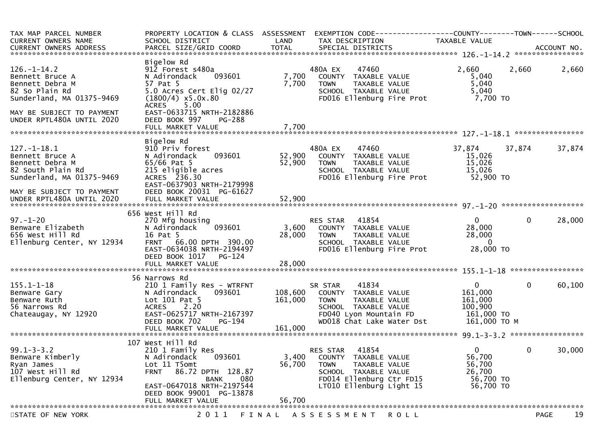| TAX MAP PARCEL NUMBER<br>CURRENT OWNERS NAME                                                                                           | PROPERTY LOCATION & CLASS ASSESSMENT<br>SCHOOL DISTRICT                                                                                                                          | LAND               | EXEMPTION CODE-----------------COUNTY--------TOWN------SCHOOL<br>TAX DESCRIPTION                                                                                 | TAXABLE VALUE                                                           |                       |    |
|----------------------------------------------------------------------------------------------------------------------------------------|----------------------------------------------------------------------------------------------------------------------------------------------------------------------------------|--------------------|------------------------------------------------------------------------------------------------------------------------------------------------------------------|-------------------------------------------------------------------------|-----------------------|----|
|                                                                                                                                        |                                                                                                                                                                                  |                    |                                                                                                                                                                  |                                                                         |                       |    |
| $126. - 1 - 14.2$<br>Bennett Bruce A<br>Bennett Debra M<br>82 So Plain Rd<br>Sunderland, MA 01375-9469                                 | Bigelow Rd<br>912 Forest s480a<br>093601<br>N Adirondack<br>57 Pat 5<br>5.0 Acres Cert Elig 02/27<br>$(1800/4)$ x5.0x.80<br>5.00<br><b>ACRES</b>                                 | 7,700<br>7,700     | 480A EX<br>47460<br>COUNTY TAXABLE VALUE<br><b>TOWN</b><br>TAXABLE VALUE<br>SCHOOL TAXABLE VALUE<br>FD016 Ellenburg Fire Prot                                    | 2,660<br>5,040<br>5,040<br>5,040<br>7,700 TO                            | 2,660<br>2,660        |    |
| MAY BE SUBJECT TO PAYMENT<br>UNDER RPTL480A UNTIL 2020                                                                                 | EAST-0633715 NRTH-2182886<br>DEED BOOK 997<br>PG-288<br>FULL MARKET VALUE                                                                                                        | 7,700              |                                                                                                                                                                  |                                                                         |                       |    |
|                                                                                                                                        |                                                                                                                                                                                  |                    |                                                                                                                                                                  |                                                                         |                       |    |
| $127. - 1 - 18.1$<br>Bennett Bruce A<br>Bennett Debra M<br>82 South Plain Rd<br>Sunderland, MA 01375-9469<br>MAY BE SUBJECT TO PAYMENT | Bigelow Rd<br>910 Priv forest<br>093601<br>N Adirondack<br>$65/66$ Pat 5<br>215 eligible acres<br>ACRES 236.30<br>EAST-0637903 NRTH-2179998<br>DEED BOOK 20031 PG-61627          | 52,900<br>52,900   | 480A EX<br>47460<br>COUNTY TAXABLE VALUE<br><b>TOWN</b><br>TAXABLE VALUE<br>SCHOOL TAXABLE VALUE<br>FD016 Ellenburg Fire Prot                                    | 37,874<br>15,026<br>15,026<br>15,026<br>52,900 TO                       | 37,874<br>37,874      |    |
|                                                                                                                                        |                                                                                                                                                                                  |                    |                                                                                                                                                                  |                                                                         |                       |    |
| $97. - 1 - 20$                                                                                                                         | 656 West Hill Rd<br>270 Mfg housing                                                                                                                                              |                    | RES STAR<br>41854                                                                                                                                                | $\mathbf{0}$                                                            | $\mathbf 0$<br>28,000 |    |
| Benware Elizabeth<br>656 West Hill Rd<br>Ellenburg Center, NY 12934                                                                    | 093601<br>N Adirondack<br>16 Pat 5<br>FRNT 66.00 DPTH 390.00<br>EAST-0634038 NRTH-2194497<br>DEED BOOK 1017<br>PG-124                                                            | 3,600<br>28,000    | COUNTY TAXABLE VALUE<br>TAXABLE VALUE<br>TOWN<br>SCHOOL TAXABLE VALUE<br>FD016 Ellenburg Fire Prot                                                               | 28,000<br>28,000<br>$\overline{0}$<br>28,000 TO                         |                       |    |
|                                                                                                                                        |                                                                                                                                                                                  |                    |                                                                                                                                                                  |                                                                         |                       |    |
| $155.1 - 1 - 18$<br>Benware Gary<br>Benware Ruth<br>56 Narrows Rd<br>Chateaugay, NY 12920                                              | 56 Narrows Rd<br>210 1 Family Res - WTRFNT<br>N Adirondack<br>093601<br>Lot $101$ Pat $5$<br><b>ACRES</b><br>2.20<br>EAST-0625717 NRTH-2167397<br>DEED BOOK 702<br><b>PG-194</b> | 108,600<br>161,000 | 41834<br>SR STAR<br>COUNTY TAXABLE VALUE<br>TAXABLE VALUE<br><b>TOWN</b><br>SCHOOL TAXABLE VALUE<br>FD040 Lyon Mountain FD<br>WD018 Chat Lake Water Dst          | $\Omega$<br>161,000<br>161,000<br>100,900<br>161,000 TO<br>161,000 ТО М | $\mathbf 0$<br>60,100 |    |
|                                                                                                                                        | 107 West Hill Rd                                                                                                                                                                 |                    |                                                                                                                                                                  |                                                                         |                       |    |
| $99.1 - 3 - 3.2$<br>Benware Kimberly<br>Ryan James<br>107 West Hill Rd<br>Ellenburg Center, NY 12934                                   | 210 1 Family Res<br>093601<br>N Adirondack<br>Lot 11 T5omt<br>86.72 DPTH 128.87<br><b>FRNT</b><br>080<br>BANK<br>EAST-0647018 NRTH-2197544<br>DEED BOOK 99001 PG-13878           | 3,400<br>56,700    | 41854<br><b>RES STAR</b><br>COUNTY TAXABLE VALUE<br><b>TOWN</b><br>TAXABLE VALUE<br>SCHOOL TAXABLE VALUE<br>FD014 Ellenburg Ctr FD15<br>LT010 Ellenburg Light 15 | $\mathbf{0}$<br>56,700<br>56,700<br>26,700<br>56,700 TO<br>56,700 TO    | 0<br>30,000           |    |
|                                                                                                                                        | FULL MARKET VALUE                                                                                                                                                                | 56,700             |                                                                                                                                                                  |                                                                         |                       |    |
| STATE OF NEW YORK                                                                                                                      | 2 0 1 1                                                                                                                                                                          | FINAL              | A S S E S S M E N T<br><b>ROLL</b>                                                                                                                               |                                                                         | <b>PAGE</b>           | 19 |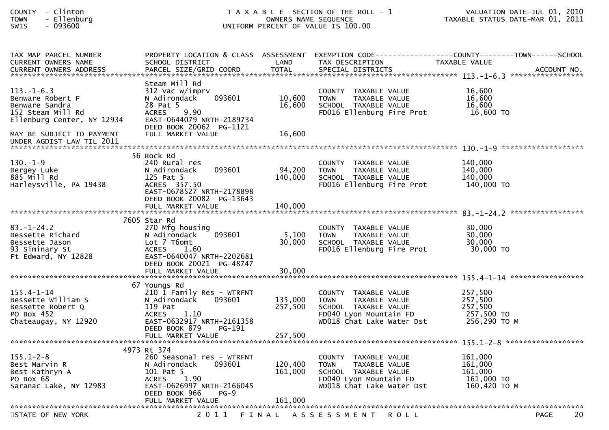| <b>COUNTY</b> | Clinton  |
|---------------|----------|
| <b>TOWN</b>   | Ellenbur |
|               | <i>.</i> |

| TAX MAP PARCEL NUMBER            |                                     |                      |                                                   | PROPERTY LOCATION & CLASS ASSESSMENT EXEMPTION CODE----------------COUNTY--------TOWN------SCHOOL |
|----------------------------------|-------------------------------------|----------------------|---------------------------------------------------|---------------------------------------------------------------------------------------------------|
| <b>CURRENT OWNERS NAME</b>       | SCHOOL DISTRICT                     | LAND<br><b>TOTAL</b> | TAX DESCRIPTION                                   | TAXABLE VALUE                                                                                     |
| <b>CURRENT OWNERS ADDRESS</b>    | PARCEL SIZE/GRID COORD              |                      | SPECIAL DISTRICTS                                 | ACCOUNT NO.                                                                                       |
|                                  | Steam Mill Rd                       |                      |                                                   |                                                                                                   |
| $113. - 1 - 6.3$                 | 312 Vac w/imprv                     |                      | COUNTY TAXABLE VALUE                              | 16,600                                                                                            |
| Benware Robert F                 | N Adirondack<br>093601              | 10.600               | TAXABLE VALUE<br><b>TOWN</b>                      | 16,600                                                                                            |
| Benware Sandra                   | 28 Pat 5                            | 16,600               | SCHOOL TAXABLE VALUE                              | 16,600                                                                                            |
| 152 Steam Mill Rd                | 9.90<br><b>ACRES</b>                |                      | FD016 Ellenburg Fire Prot                         | 16,600 TO                                                                                         |
| Ellenburg Center, NY 12934       | EAST-0644079 NRTH-2189734           |                      |                                                   |                                                                                                   |
|                                  | DEED BOOK 20062 PG-1121             |                      |                                                   |                                                                                                   |
| MAY BE SUBJECT TO PAYMENT        | FULL MARKET VALUE                   | 16,600               |                                                   |                                                                                                   |
| UNDER AGDIST LAW TIL 2011        |                                     |                      |                                                   |                                                                                                   |
|                                  |                                     |                      |                                                   |                                                                                                   |
| $130. - 1 - 9$                   | 56 Rock Rd<br>240 Rural res         |                      | COUNTY TAXABLE VALUE                              | 140,000                                                                                           |
| Bergey Luke                      | 093601<br>N Adirondack              | 94,200               | <b>TOWN</b><br>TAXABLE VALUE                      | 140,000                                                                                           |
| 885 Mill Rd                      | 125 Pat 5                           | 140,000              | SCHOOL TAXABLE VALUE                              | 140,000                                                                                           |
| Harleysville, PA 19438           | ACRES 357.50                        |                      | FD016 Ellenburg Fire Prot                         | 140,000 TO                                                                                        |
|                                  | EAST-0678527 NRTH-2178898           |                      |                                                   |                                                                                                   |
|                                  | DEED BOOK 20082 PG-13643            |                      |                                                   |                                                                                                   |
|                                  | FULL MARKET VALUE                   | 140,000              |                                                   |                                                                                                   |
|                                  |                                     |                      |                                                   |                                                                                                   |
|                                  | 7605 Star Rd                        |                      |                                                   |                                                                                                   |
| $83. - 1 - 24.2$                 | 270 Mfg housing                     |                      | COUNTY TAXABLE VALUE                              | 30,000                                                                                            |
| Bessette Richard                 | 093601<br>N Adirondack              | 5,100<br>30,000      | <b>TOWN</b><br>TAXABLE VALUE                      | 30,000<br>30,000                                                                                  |
| Bessette Jason<br>93 Siminary St | Lot 7 T6omt<br><b>ACRES</b><br>1.60 |                      | SCHOOL TAXABLE VALUE<br>FD016 Ellenburg Fire Prot | 30,000 TO                                                                                         |
| Ft Edward, NY 12828              | EAST-0640047 NRTH-2202681           |                      |                                                   |                                                                                                   |
|                                  | DEED BOOK 20021 PG-48747            |                      |                                                   |                                                                                                   |
|                                  | FULL MARKET VALUE                   | 30,000               |                                                   |                                                                                                   |
|                                  |                                     |                      |                                                   |                                                                                                   |
|                                  | 67 Youngs Rd                        |                      |                                                   |                                                                                                   |
| $155.4 - 1 - 14$                 | 210 1 Family Res - WTRFNT           |                      | COUNTY TAXABLE VALUE                              | 257,500                                                                                           |
| Bessette William S               | 093601<br>N Adirondack              | 135,000              | TAXABLE VALUE<br><b>TOWN</b>                      | 257,500                                                                                           |
| Bessette Robert Q                | 119 Pat                             | 257,500              | SCHOOL TAXABLE VALUE                              | 257,500                                                                                           |
| PO Box 452                       | <b>ACRES</b><br>1.10                |                      | FD040 Lyon Mountain FD                            | 257,500 TO                                                                                        |
| Chateaugay, NY 12920             | EAST-0632917 NRTH-2161358           |                      | WD018 Chat Lake Water Dst                         | 256,290 ТО М                                                                                      |
|                                  | DEED BOOK 879<br>PG-191             |                      |                                                   |                                                                                                   |
|                                  | FULL MARKET VALUE                   | 257,500              |                                                   |                                                                                                   |
|                                  | 4973 Rt 374                         |                      |                                                   |                                                                                                   |
| $155.1 - 2 - 8$                  | 260 Seasonal res - WTRFNT           |                      | COUNTY TAXABLE VALUE                              | 161,000                                                                                           |
| Best Marvin R                    | N Adirondack<br>093601              | 120,400              | TAXABLE VALUE<br><b>TOWN</b>                      | 161,000                                                                                           |
| Best Kathryn A                   | 101 Pat 5                           | 161,000              | SCHOOL TAXABLE VALUE                              | 161,000                                                                                           |
| PO Box 68                        | 1.90<br><b>ACRES</b>                |                      | FD040 Lyon Mountain FD                            | 161,000 TO                                                                                        |
| Saranac Lake, NY 12983           | EAST-0626997 NRTH-2166045           |                      | WD018 Chat Lake Water Dst                         | 160,420 ТО М                                                                                      |
|                                  | DEED BOOK 966<br>$PG-9$             |                      |                                                   |                                                                                                   |
|                                  | FULL MARKET VALUE                   | 161,000              |                                                   |                                                                                                   |
|                                  |                                     |                      |                                                   | 20                                                                                                |
| STATE OF NEW YORK                | 2 0 1 1                             |                      | FINAL ASSESSMENT<br><b>ROLL</b>                   | <b>PAGE</b>                                                                                       |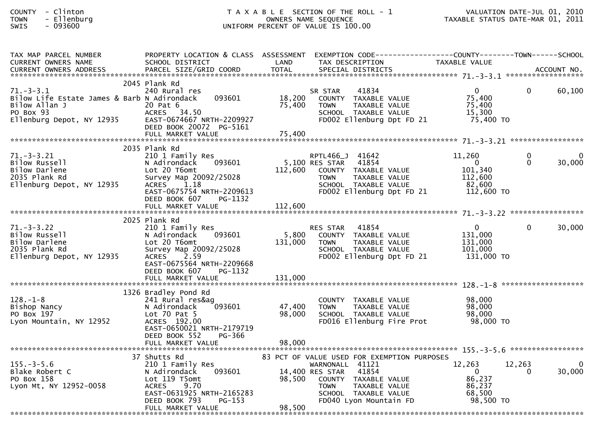| TAX MAP PARCEL NUMBER                                                                                                                             | PROPERTY LOCATION & CLASS ASSESSMENT EXEMPTION CODE----------------COUNTY-------TOWN------SCHOOL                                                           |                  |                                                                                                                                                                                                   |                                                                              |                      |        |
|---------------------------------------------------------------------------------------------------------------------------------------------------|------------------------------------------------------------------------------------------------------------------------------------------------------------|------------------|---------------------------------------------------------------------------------------------------------------------------------------------------------------------------------------------------|------------------------------------------------------------------------------|----------------------|--------|
| CURRENT OWNERS NAME<br>CURRENT OWNERS ADDRESS                                                                                                     | SCHOOL DISTRICT LAND                                                                                                                                       | <b>TOTAL</b>     | TAX DESCRIPTION                                                                                                                                                                                   | TAXABLE VALUE                                                                |                      |        |
|                                                                                                                                                   |                                                                                                                                                            |                  |                                                                                                                                                                                                   |                                                                              |                      |        |
| $71. - 3 - 3.1$<br>Bilow Life Estate James & Barb N Adirondack 093601<br>Bilow Allan J<br>Bilow Allan J<br>PO Box 93<br>Ellenburg Depot, NY 12935 | 2045 Plank Rd<br>240 Rural res<br>20 Pat 6<br>ACRES 34.50<br>EAST-0674667 NRTH-2209927<br>DEED BOOK 20072 PG-5161                                          | 18,200<br>75,400 | SR STAR<br>R STAR      41834<br>COUNTY   TAXABLE  VALUE<br>TAXABLE VALUE<br><b>TOWN</b><br>SCHOOL TAXABLE VALUE<br>FD002 Ellenburg Dpt FD $21$ 75,400 TO                                          | 0<br>75,400<br>75,400<br>15,300                                              | $\Omega$             | 60,100 |
|                                                                                                                                                   | 2035 Plank Rd                                                                                                                                              |                  |                                                                                                                                                                                                   |                                                                              |                      |        |
| %/1.-3-3.21<br>Bilow Russell<br>Bilow Darlene<br>2035 Plank Rd<br>Ellenburg Depot, NY 12935<br>ACRES                                              | 210 1 Family Res<br>093601<br>Survey Map 20092/25028<br>1.18<br>EAST-0675754 NRTH-2209613<br>DEED BOOK 607<br>PG-1132                                      | 112,600          | RPTL466_J 41642<br>5,100 RES STAR 41854<br>COUNTY TAXABLE VALUE<br>TAXABLE VALUE<br><b>TOWN</b><br>SCHOOL TAXABLE VALUE<br>FD002 Ellenburg Dpt FD 21 112,600 TO                                   | 11,260<br>$\overline{0}$<br>101,340<br>112,600<br>82,600                     | $\Omega$<br>$\Omega$ | 30,000 |
|                                                                                                                                                   |                                                                                                                                                            |                  |                                                                                                                                                                                                   |                                                                              |                      |        |
|                                                                                                                                                   | 2025 Plank Rd                                                                                                                                              |                  |                                                                                                                                                                                                   |                                                                              |                      |        |
| 71.-3-3.22<br>Bilow Russell<br>Bilow Darlene<br>2035 Plank Rd<br>Ellenburg Depot, NY 12935                                                        | 210 1 Family Res<br>N Adirondack 093601<br>Lot 20 T6omt<br>Survey Map 20092/25028<br>ACRES 2.59<br>EAST-0675564 NRTH-2209668<br>DEED BOOK 607<br>PG-1132   | 131,000          | 41854<br>RES STAR<br>5,800 COUNTY TAXABLE VALUE<br>TAXABLE VALUE<br>TOWN<br>SCHOOL TAXABLE VALUE<br>FD002 Ellenburg Dpt FD 21                                                                     | $\mathbf{0}$<br>131,000<br>131,000<br>101,000<br>131,000 TO                  | $\Omega$             | 30,000 |
|                                                                                                                                                   |                                                                                                                                                            |                  |                                                                                                                                                                                                   |                                                                              |                      |        |
| $128. - 1 - 8$<br>128.-1-8<br>Bishop Nancy<br>PO Box 197<br>Lyon Mountain, NY 12952<br>Lyon Mountain, NY 12952                                    | 1326 Bradley Pond Rd<br>241 Rural res&ag<br>093601<br>N Adirondack<br>Lot 70 Pat 5<br>ACRES 192.00<br>EAST-0650021 NRTH-2179719<br>DEED BOOK 552<br>PG-366 | 47,400<br>98,000 | COUNTY TAXABLE VALUE<br>TAXABLE VALUE<br><b>TOWN</b><br>SCHOOL TAXABLE VALUE<br>FD016 Ellenburg Fire Prot                                                                                         | 98,000<br>98,000<br>98,000<br>98,000 TO                                      |                      |        |
|                                                                                                                                                   |                                                                                                                                                            |                  |                                                                                                                                                                                                   |                                                                              |                      |        |
|                                                                                                                                                   |                                                                                                                                                            |                  |                                                                                                                                                                                                   |                                                                              |                      |        |
| 155.-3-5.6<br>Blake Robert C<br>PO Box 158<br>Lyon Mt, NY 12952-0058                                                                              | 37 Shutts Rd<br>210 1 Family Res<br>093601<br>N Adirondack<br>Lot 119 T5omt<br>ACRES 9.70<br>EAST-0631925 NRTH-2165283<br>PG-153<br>DEED BOOK 793          | 98,500           | 83 PCT OF VALUE USED FOR EXEMPTION PURPOSES<br>WARNONALL 41121<br>14,400 RES STAR 41854<br>COUNTY TAXABLE VALUE<br>TAXABLE VALUE<br><b>TOWN</b><br>SCHOOL TAXABLE VALUE<br>FD040 Lyon Mountain FD | 12,263<br>$\overline{\mathbf{0}}$<br>86,237<br>86,237<br>68,500<br>98,500 TO | 12,263<br>$\Omega$   | 30,000 |
|                                                                                                                                                   | FULL MARKET VALUE                                                                                                                                          | 98,500           |                                                                                                                                                                                                   |                                                                              |                      |        |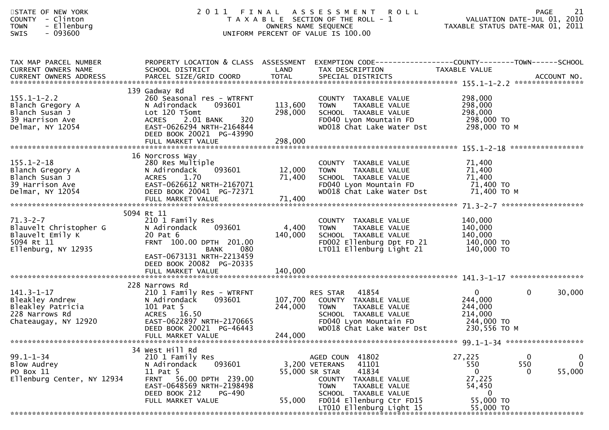| STATE OF NEW YORK<br><b>COUNTY</b><br>- Clinton<br>- Ellenburg<br><b>TOWN</b><br>$-093600$<br><b>SWIS</b> |                                                                                                                                                                                                         |                               | 2011 FINAL ASSESSMENT ROLL<br>T A X A B L E SECTION OF THE ROLL - 1<br>OWNERS NAME SEQUENCE<br>UNIFORM PERCENT OF VALUE IS 100.00                                                                                          |                                                                                         | <b>PAGE</b><br>21<br>VALUATION DATE-JUL 01, 2010<br>TAXABLE STATUS DATE-MAR 01, 2011 |
|-----------------------------------------------------------------------------------------------------------|---------------------------------------------------------------------------------------------------------------------------------------------------------------------------------------------------------|-------------------------------|----------------------------------------------------------------------------------------------------------------------------------------------------------------------------------------------------------------------------|-----------------------------------------------------------------------------------------|--------------------------------------------------------------------------------------|
| TAX MAP PARCEL NUMBER<br>CURRENT OWNERS NAME<br><b>CURRENT OWNERS ADDRESS</b>                             | SCHOOL DISTRICT                                                                                                                                                                                         | LAND                          | PROPERTY LOCATION & CLASS ASSESSMENT EXEMPTION CODE----------------COUNTY-------TOWN------SCHOOL<br>TAX DESCRIPTION                                                                                                        | TAXABLE VALUE                                                                           |                                                                                      |
| $155.1 - 1 - 2.2$<br>Blanch Gregory A<br>Blanch Susan J<br>39 Harrison Ave<br>Delmar, NY 12054            | 139 Gadway Rd<br>260 Seasonal res - WTRFNT<br>N Adirondack<br>093601<br>Lot 120 T5omt<br>320<br><b>ACRES</b><br>2.01 BANK<br>EAST-0626294 NRTH-2164844<br>DEED BOOK 20021 PG-43990<br>FULL MARKET VALUE | 113,600<br>298,000<br>298,000 | COUNTY TAXABLE VALUE<br><b>TOWN</b><br>TAXABLE VALUE<br>SCHOOL TAXABLE VALUE<br>FD040 Lyon Mountain FD 298,000 TO<br>WD018 Chat Lake Water Dst                                                                             | 298,000<br>298,000<br>298,000<br>298,000 ТО М                                           |                                                                                      |
| $155.1 - 2 - 18$<br>Blanch Gregory A<br>Blanch Susan J<br>39 Harrison Ave<br>Delmar, NY 12054             | 16 Norcross Way<br>280 Res Multiple<br>093601<br>N Adirondack<br>ACRES 1.70<br>EAST-0626612 NRTH-2167071<br>DEED BOOK 20041 PG-72371<br>FULL MARKET VALUE                                               | 12,000<br>71,400<br>71,400    | COUNTY TAXABLE VALUE<br>TAXABLE VALUE<br><b>TOWN</b><br>SCHOOL TAXABLE VALUE<br>FD040 Lyon Mountain FD<br>WD018 Chat Lake Water Dst                                                                                        | 71,400<br>71,400<br>71,400<br>71,400 TO<br>71,400 то м                                  |                                                                                      |
| $71.3 - 2 - 7$<br>Blauvelt Christopher G<br>Blauvelt Emily K<br>5094 Rt 11<br>Ellenburg, NY 12935         | 5094 Rt 11<br>210 1 Family Res<br>093601<br>N Adirondack<br>20 Pat 6<br>FRNT 100.00 DPTH 201.00<br>080<br><b>BANK</b><br>EAST-0673131 NRTH-2213459<br>DEED BOOK 20082 PG-20335<br>FULL MARKET VALUE     | 4,400<br>140,000<br>140,000   | COUNTY TAXABLE VALUE<br><b>TOWN</b><br>TAXABLE VALUE<br>SCHOOL TAXABLE VALUE<br>FD002 Ellenburg Dpt FD 21<br>LT011 Ellenburg Light 21                                                                                      | 140,000<br>140,000<br>140,000<br>140,000 TO<br>140,000 TO                               |                                                                                      |
| $141.3 - 1 - 17$<br>Bleakley Andrew<br>Bleakley Patricia<br>228 Narrows Rd<br>Chateaugay, NY 12920        | 228 Narrows Rd<br>210 1 Family Res - WTRFNT<br>N Adirondack<br>093601<br>101 Pat 5<br>ACRES 16.50<br>EAST-0622897 NRTH-2170665<br>DEED BOOK 20021 PG-46443<br>FULL MARKET VALUE                         | 244,000<br>244,000            | 41854<br>RES STAR<br>107,700 COUNTY TAXABLE VALUE<br>TOWN<br>TAXABLE VALUE<br>SCHOOL TAXABLE VALUE<br>FD040 Lyon Mountain FD<br>WD018 Chat Lake Water Dst                                                                  | $\overline{0}$<br>244,000<br>244,000<br>214,000<br>244,000 TO<br>230,556 то м           | $\mathbf 0$<br>30,000                                                                |
| $99.1 - 1 - 34$<br>Blow Audrey<br>PO Box 11<br>Ellenburg Center, NY 12934                                 | 34 West Hill Rd<br>210 1 Family Res<br>093601<br>N Adirondack<br>11 Pat 5<br>56.00 DPTH 239.00<br><b>FRNT</b><br>EAST-0648569 NRTH-2198498<br>DEED BOOK 212<br>PG-490<br>FULL MARKET VALUE              | 55,000                        | 41802<br>AGED COUN<br>3,200 VETERANS<br>41101<br>41834<br>55,000 SR STAR<br><b>COUNTY</b><br>TAXABLE VALUE<br><b>TOWN</b><br>TAXABLE VALUE<br>SCHOOL TAXABLE VALUE<br>FD014 Ellenburg Ctr FD15<br>LT010 Ellenburg Light 15 | 27,225<br>550<br>$\mathbf{0}$<br>27,225<br>54,450<br>$\bf{0}$<br>55,000 TO<br>55,000 TO | $\mathbf 0$<br>0<br>550<br>$\mathbf 0$<br>55,000<br>$\Omega$                         |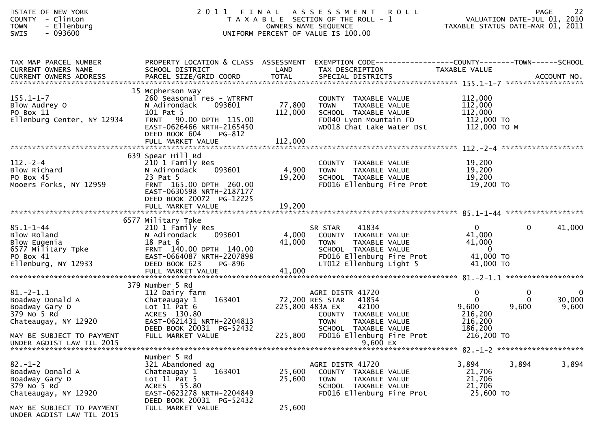| STATE OF NEW YORK<br>COUNTY - Clinton<br>- Ellenburg<br><b>TOWN</b><br>$-093600$<br>SWIS                                           |                                                                                                                                                                                             |                              | 20 1 1 FINAL ASSESSMENT ROLL<br>TAXABLE SECTION OF THE ROLL - 1 VALUATION DATE-JUL 01, 2010<br>OWNERS NAME SEQUENCE TAXABLE STATUS DATE-MAR 01, 2011<br>UNIFORM PERCENT OF VALUE IS 100.00 |                                                                                      |                        |                                |
|------------------------------------------------------------------------------------------------------------------------------------|---------------------------------------------------------------------------------------------------------------------------------------------------------------------------------------------|------------------------------|--------------------------------------------------------------------------------------------------------------------------------------------------------------------------------------------|--------------------------------------------------------------------------------------|------------------------|--------------------------------|
| TAX MAP PARCEL NUMBER<br>CURRENT OWNERS NAME<br><b>CURRENT OWNERS ADDRESS</b>                                                      | SCHOOL DISTRICT                                                                                                                                                                             | LAND                         | PROPERTY LOCATION & CLASS ASSESSMENT EXEMPTION CODE----------------COUNTY-------TOWN------SCHOOL<br>TAX DESCRIPTION                                                                        | TAXABLE VALUE                                                                        |                        |                                |
| $155.1 - 1 - 7$<br>Blow Audrey O<br>PO Box 11<br>Ellenburg Center, NY 12934                                                        | 15 Mcpherson Way<br>260 Seasonal res - WTRFNT<br>N Adirondack<br>093601<br>101 Pat 5<br>FRNT 90.00 DPTH 115.00<br>EAST-0626466 NRTH-2165450<br>DEED BOOK 604<br>PG-812<br>FULL MARKET VALUE | 77,800<br>112,000<br>112,000 | COUNTY TAXABLE VALUE<br>TAXABLE VALUE<br><b>TOWN</b><br>SCHOOL TAXABLE VALUE<br>$FD040$ Lyon Mountain FD<br>WD018 Chat Lake Water Dst                                                      | 112,000<br>112,000<br>112,000<br>$\overline{112}$ ,000 TO<br>112,000 то м            |                        |                                |
| $112. - 2 - 4$<br>Blow Richard<br>PO Box 45<br>Mooers Forks, NY 12959                                                              | 639 Spear Hill Rd<br>210 1 Family Res<br>093601<br>N Adirondack<br>23 Pat 5<br>FRNT 165.00 DPTH 260.00<br>EAST-0630598 NRTH-2187177<br>DEED BOOK 20072 PG-12225<br>FULL MARKET VALUE        | 4,900<br>19,200<br>19,200    | COUNTY TAXABLE VALUE<br>TAXABLE VALUE<br><b>TOWN</b><br>SCHOOL TAXABLE VALUE<br>FD016 Ellenburg Fire Prot                                                                                  | 19,200<br>19,200<br>19,200<br>19,200 то                                              |                        |                                |
| $85.1 - 1 - 44$<br>Blow Roland<br>Blow Roland<br>Blow Eugenia<br>6577 Military Tpke<br>PO Box 41<br>Ellenburg, NY 12933            | 6577 Military Tpke<br>210 1 Family Res<br>N Adirondack<br>093601<br>18 Pat 6<br>FRNT 140.00 DPTH 140.00<br>EAST-0664087 NRTH-2207898<br>DEED BOOK 623<br>PG-896<br>FULL MARKET VALUE        | 4,000<br>41,000<br>41,000    | 41834<br>SR STAR<br>COUNTY TAXABLE VALUE<br><b>TOWN</b><br>TAXABLE VALUE<br>SCHOOL TAXABLE VALUE<br>FD016 Ellenburg Fire Prot<br>LT012 Ellenburg Light 5                                   | $\Omega$<br>41,000<br>41,000<br>$\overline{\phantom{0}}$ 0<br>41,000 TO<br>41,000 TO | $\mathbf{0}$           | 41,000                         |
|                                                                                                                                    | 379 Number 5 Rd                                                                                                                                                                             |                              |                                                                                                                                                                                            |                                                                                      |                        |                                |
| $81.-2-1.1$<br>81.-2-1.1<br>Boadway Donald A<br>Boadway Gary D<br>270 No 5 Rd<br>Chateaugay, NY 12920<br>MAY BE SUBJECT TO PAYMENT | 112 Dairy farm<br>163401<br>Chateaugay 1<br>Lot $11$ Pat $6$<br>ACRES 130.80<br>EAST-0621431 NRTH-2204813<br>DEED BOOK 20031 PG-52432<br>FULL MARKET VALUE                                  | 72,200 RES STAR<br>225,800   | AGRI DISTR 41720<br>41854<br>225,800 483A EX<br>42100<br>COUNTY TAXABLE VALUE<br><b>TOWN</b><br>TAXABLE VALUE<br>SCHOOL TAXABLE VALUE<br>FD016 Ellenburg Fire Prot                         | 0<br>$\overline{0}$<br>9,600<br>216,200<br>216,200<br>186,200<br>216,200 TO          | 0<br>$\Omega$<br>9,600 | $\mathbf 0$<br>30,000<br>9,600 |
| UNDER AGDIST LAW TIL 2015                                                                                                          |                                                                                                                                                                                             |                              | 9,600 EX                                                                                                                                                                                   |                                                                                      |                        |                                |
| $82 - 1 - 2$<br>Boadway Donald A<br>Boadway Gary D<br>379 No 5 Rd<br>Chateaugay, NY 12920                                          | Number 5 Rd<br>321 Abandoned ag<br>163401<br>Chateaugay 1<br>Lot $11$ Pat 5<br>ACRES 55.80<br>EAST-0623278 NRTH-2204849<br>DEED BOOK 20031 PG-52432                                         | 25,600<br>25,600             | AGRI DISTR 41720<br>COUNTY TAXABLE VALUE<br><b>TOWN</b><br>TAXABLE VALUE<br>SCHOOL TAXABLE VALUE<br>FD016 Ellenburg Fire Prot                                                              | 3,894<br>21,706<br>21,706<br>21,706<br>25,600 TO                                     | 3,894                  | 3,894                          |
| MAY BE SUBJECT TO PAYMENT<br>UNDER AGDIST LAW TIL 2015                                                                             | FULL MARKET VALUE                                                                                                                                                                           | 25,600                       |                                                                                                                                                                                            |                                                                                      |                        |                                |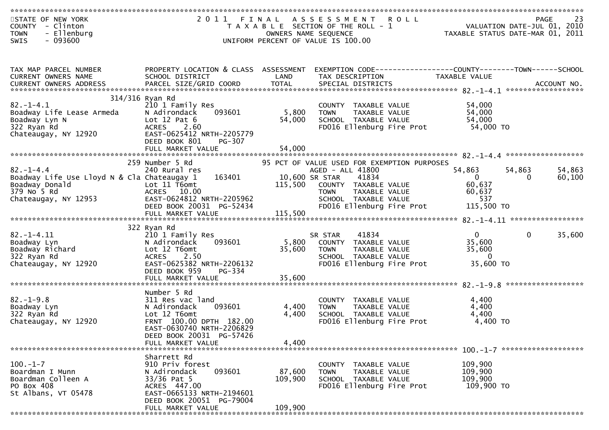| STATE OF NEW YORK<br>COUNTY - Clinton           |                                                       |                 | 2011 FINAL ASSESSMENT ROLL<br>T A X A B L E SECTION OF THE ROLL - 1 |                   | PAGE 23<br>VALUATION DATE-JUL 01, 2010<br>TAXARLE STATUS DATE USE 2010 |
|-------------------------------------------------|-------------------------------------------------------|-----------------|---------------------------------------------------------------------|-------------------|------------------------------------------------------------------------|
| - Ellenburg<br><b>TOWN</b><br>$-093600$<br>SWIS |                                                       |                 | OWNERS NAME SEQUENCE<br>UNIFORM PERCENT OF VALUE IS 100.00          |                   | TAXABLE STATUS DATE-MAR 01, 2011                                       |
|                                                 |                                                       |                 |                                                                     |                   |                                                                        |
|                                                 |                                                       |                 |                                                                     |                   |                                                                        |
|                                                 |                                                       |                 |                                                                     |                   |                                                                        |
| TAX MAP PARCEL NUMBER                           | PROPERTY LOCATION & CLASS ASSESSMENT                  |                 | EXEMPTION CODE-----------------COUNTY--------TOWN------SCHOOL       |                   |                                                                        |
| CURRENT OWNERS NAME                             | SCHOOL DISTRICT                                       | LAND            | TAX DESCRIPTION                                                     | TAXABLE VALUE     |                                                                        |
|                                                 |                                                       |                 |                                                                     |                   |                                                                        |
|                                                 | 314/316 Ryan Rd                                       |                 |                                                                     |                   |                                                                        |
| $82. - 1 - 4.1$                                 | 210 1 Family Res                                      |                 | COUNTY TAXABLE VALUE                                                | 54,000            |                                                                        |
| Boadway Life Lease Armeda                       | 093601<br>N Adirondack                                | 5,800           | TAXABLE VALUE<br><b>TOWN</b>                                        | 54,000            |                                                                        |
| Boadway Lyn N                                   | Lot $12$ Pat $6$                                      | 54,000          | SCHOOL TAXABLE VALUE                                                | 54,000            |                                                                        |
| 322 Ryan Rd                                     | ACRES 2.60                                            |                 | FD016 Ellenburg Fire Prot                                           | 54,000 TO         |                                                                        |
| Chateaugay, NY 12920                            | EAST-0625412 NRTH-2205779                             |                 |                                                                     |                   |                                                                        |
|                                                 | DEED BOOK 801<br>PG-307<br>FULL MARKET VALUE          | 54,000          |                                                                     |                   |                                                                        |
|                                                 |                                                       |                 |                                                                     |                   |                                                                        |
|                                                 | 259 Number 5 Rd                                       |                 | 95 PCT OF VALUE USED FOR EXEMPTION PURPOSES                         |                   |                                                                        |
| $82. - 1 - 4.4$                                 | 240 Rural res                                         |                 | AGED - ALL 41800                                                    | 54,863            | 54,863<br>54,863                                                       |
| Boadway Life Use Lloyd N & Cla Chateaugay 1     | 163401                                                |                 | 10,600 SR STAR<br>41834                                             | $\mathbf{0}$      | 0<br>60,100                                                            |
| Boadway Donald                                  | Lot 11 T6omt                                          | 115,500         | COUNTY TAXABLE VALUE                                                | 60,637            |                                                                        |
| 379 No 5 Rd                                     | ACRES 10.00                                           |                 | TAXABLE VALUE<br><b>TOWN</b>                                        | 60,637            |                                                                        |
| Chateaugay, NY 12953                            | EAST-0624812 NRTH-2205962<br>DEED BOOK 20031 PG-52434 |                 | SCHOOL TAXABLE VALUE<br>FD016 Ellenburg Fire Prot                   | 537<br>115,500 TO |                                                                        |
|                                                 |                                                       |                 |                                                                     |                   |                                                                        |
|                                                 |                                                       |                 |                                                                     |                   |                                                                        |
|                                                 | 322 Ryan Rd                                           |                 |                                                                     |                   |                                                                        |
| $82. - 1 - 4.11$                                | 210 1 Family Res                                      |                 | 41834<br>SR STAR                                                    | 0                 | 35,600<br>$\mathbf{0}$                                                 |
| Boadway Lyn                                     | 093601<br>N Adirondack                                | 5,800<br>35,600 | COUNTY TAXABLE VALUE                                                | 35,600<br>35,600  |                                                                        |
| Boadway Richard<br>322 Ryan Rd                  | Lot 12 T6omt<br><b>ACRES</b><br>2.50                  |                 | <b>TOWN</b><br>TAXABLE VALUE<br>SCHOOL TAXABLE VALUE                | $\overline{0}$    |                                                                        |
| Chateaugay, NY 12920                            | EAST-0625382 NRTH-2206132                             |                 | FD016 Ellenburg Fire Prot                                           | 35,600 TO         |                                                                        |
|                                                 | DEED BOOK 959<br>PG-334                               |                 |                                                                     |                   |                                                                        |
|                                                 | FULL MARKET VALUE                                     | 35,600          |                                                                     |                   |                                                                        |
|                                                 |                                                       |                 |                                                                     |                   |                                                                        |
|                                                 | Number 5 Rd                                           |                 |                                                                     |                   |                                                                        |
| $82. - 1 - 9.8$<br>Boadway Lyn                  | 311 Res vac land<br>093601<br>N Adirondack            | 4,400           | COUNTY TAXABLE VALUE<br><b>TOWN</b><br>TAXABLE VALUE                | 4,400<br>4,400    |                                                                        |
| 322 Ryan Rd                                     | Lot 12 T6omt                                          | 4,400           | SCHOOL TAXABLE VALUE                                                | 4,400             |                                                                        |
| Chateaugay, NY 12920                            | FRNT 100.00 DPTH 182.00                               |                 | FD016 Ellenburg Fire Prot                                           | 4,400 TO          |                                                                        |
|                                                 | EAST-0630740 NRTH-2206829                             |                 |                                                                     |                   |                                                                        |
|                                                 | DEED BOOK 20031 PG-57426                              |                 |                                                                     |                   |                                                                        |
|                                                 | FULL MARKET VALUE                                     | 4.400           |                                                                     |                   |                                                                        |
|                                                 | Sharrett Rd                                           |                 |                                                                     |                   |                                                                        |
| $100. -1 - 7$                                   | 910 Priv forest                                       |                 | COUNTY TAXABLE VALUE                                                | 109,900           |                                                                        |
| Boardman I Munn                                 | 093601<br>N Adirondack                                | 87,600          | <b>TOWN</b><br>TAXABLE VALUE                                        | 109,900           |                                                                        |
| Boardman Colleen A                              | $33/36$ Pat 5                                         | 109,900         | SCHOOL TAXABLE VALUE                                                | 109,900           |                                                                        |
| PO Box 408                                      | ACRES 447.00                                          |                 | FD016 Ellenburg Fire Prot                                           | 109,900 TO        |                                                                        |
| St Albans, VT 05478                             | EAST-0665133 NRTH-2194601                             |                 |                                                                     |                   |                                                                        |
|                                                 | DEED BOOK 20051 PG-79004                              |                 |                                                                     |                   |                                                                        |
|                                                 | FULL MARKET VALUE                                     | 109,900         |                                                                     |                   |                                                                        |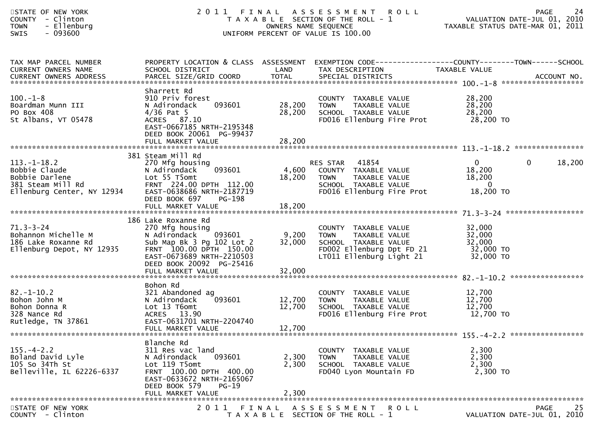| STATE OF NEW YORK<br>COUNTY - Clinton<br>- Ellenburg<br><b>TOWN</b><br>SWIS<br>$-093600$            |                                                                                                                                                                                                                |                                 | 2011 FINAL ASSESSMENT<br><b>ROLL</b><br>T A X A B L E SECTION OF THE ROLL - 1<br>OWNERS NAME SEQUENCE<br>UNIFORM PERCENT OF VALUE IS 100.00 | VALUATION DATE-JUL 01, 2010<br>TAXABLE STATUS DATE-MAR 01, 2011   | 24<br>PAGE                                |
|-----------------------------------------------------------------------------------------------------|----------------------------------------------------------------------------------------------------------------------------------------------------------------------------------------------------------------|---------------------------------|---------------------------------------------------------------------------------------------------------------------------------------------|-------------------------------------------------------------------|-------------------------------------------|
| TAX MAP PARCEL NUMBER<br>CURRENT OWNERS NAME<br>CURRENT OWNERS ADDRESS                              | SCHOOL DISTRICT                                                                                                                                                                                                | LAND                            | PROPERTY LOCATION & CLASS ASSESSMENT EXEMPTION CODE---------------COUNTY-------TOWN------SCHOOL<br>TAX DESCRIPTION                          | TAXABLE VALUE                                                     |                                           |
| $100. - 1 - 8$<br>Boardman Munn III<br>PO Box 408<br>St Albans, VT 05478                            | Sharrett Rd<br>910 Priv forest<br>N Adirondack<br>093601<br>$4/36$ Pat 5<br>ACRES 87.10<br>EAST-0667185 NRTH-2195348<br>DEED BOOK 20061 PG-99437                                                               | 28,200<br>28,200                | COUNTY TAXABLE VALUE<br>TAXABLE VALUE<br><b>TOWN</b><br>SCHOOL TAXABLE VALUE<br>FD016 Ellenburg Fire Prot 28,200 TO                         | 28,200<br>28,200<br>28,200                                        |                                           |
|                                                                                                     |                                                                                                                                                                                                                |                                 |                                                                                                                                             |                                                                   |                                           |
| $113.-1-18.2$<br>roobie Claude<br>Bobbie Darlene<br>381 Steam Mill Rd<br>Ellenburg Center, NY 12934 | 381 Steam Mill Rd<br>270 Mfg housing<br>093601<br>N Adirondack<br>Lot 55 T5omt<br>FRNT 224.00 DPTH 112.00<br>EAST-0638686 NRTH-2187719<br>DEED BOOK 697<br>PG-198<br>FULL MARKET VALUE                         | 18,200                          | RES STAR 41854<br>4,600 COUNTY TAXABLE VALUE<br>18,200 TOWN TAXABLE VALUE<br>SCHOOL TAXABLE VALUE<br>FD016 Ellenburg Fire Prot              | $\overline{0}$<br>18,200<br>18,200<br>$\overline{0}$<br>18,200 TO | $\mathbf{0}$<br>18,200                    |
| $71.3 - 3 - 24$<br>Bohannon Michelle M<br>186 Lake Roxanne Rd<br>Ellenburg Depot, NY 12935          | 186 Lake Roxanne Rd<br>270 Mfg housing<br>N Adirondack <sup>093601</sup><br>Sub Map Bk 3 Pg 102 Lot 2<br>FRNT 100.00 DPTH 150.00<br>EAST-0673689 NRTH-2210503<br>DEED BOOK 20092 PG-25416<br>FULL MARKET VALUE | 9,200<br>32,000<br>32,000       | COUNTY TAXABLE VALUE<br><b>TOWN</b><br>TAXABLE VALUE<br>SCHOOL TAXABLE VALUE<br>FD002 Ellenburg Dpt FD 21<br>LT011 Ellenburg Light 21       | 32,000<br>32,000<br>32,000<br>32,000 TO<br>32,000 TO              |                                           |
|                                                                                                     | Bohon Rd                                                                                                                                                                                                       |                                 |                                                                                                                                             |                                                                   |                                           |
| $82. - 1 - 10.2$<br>Bohon John M<br>Bohon Donna R<br>328 Nance Rd<br>Rutledge, TN 37861             | 321 Abandoned ag<br>093601<br>N Adirondack<br>Lot 13 T6omt<br>ACRES 13.90<br>EAST-0631701 NRTH-2204740<br>FULL MARKET VALUE                                                                                    | 12,700 TOWN<br>12,700<br>12,700 | COUNTY TAXABLE VALUE<br>TAXABLE VALUE<br>SCHOOL TAXABLE VALUE<br>FD016 Ellenburg Fire Prot                                                  | 12,700<br>12,700<br>12,700<br>12,700 TO                           |                                           |
|                                                                                                     | Blanche Rd                                                                                                                                                                                                     |                                 |                                                                                                                                             |                                                                   |                                           |
| $155. - 4 - 2.2$<br>Boland David Lyle<br>105 So 34Th St<br>Belleville, IL 62226-6337                | 311 Res vac land<br>N Adirondack<br>093601<br>Lot 119 T5omt<br>FRNT 100.00 DPTH 400.00<br>EAST-0633672 NRTH-2165067<br>DEED BOOK 579<br>PG-19                                                                  | 2,300<br>2,300                  | COUNTY TAXABLE VALUE<br><b>TOWN</b><br>TAXABLE VALUE<br>SCHOOL TAXABLE VALUE<br>FD040 Lyon Mountain FD                                      | 2,300<br>2,300<br>2,300<br>2,300 TO                               |                                           |
|                                                                                                     | FULL MARKET VALUE                                                                                                                                                                                              | 2,300                           |                                                                                                                                             |                                                                   |                                           |
| STATE OF NEW YORK<br>COUNTY - Clinton                                                               | 2011 FINAL                                                                                                                                                                                                     |                                 | ASSESSMENT ROLL<br>T A X A B L E SECTION OF THE ROLL - 1                                                                                    |                                                                   | PAGE<br>25<br>VALUATION DATE-JUL 01, 2010 |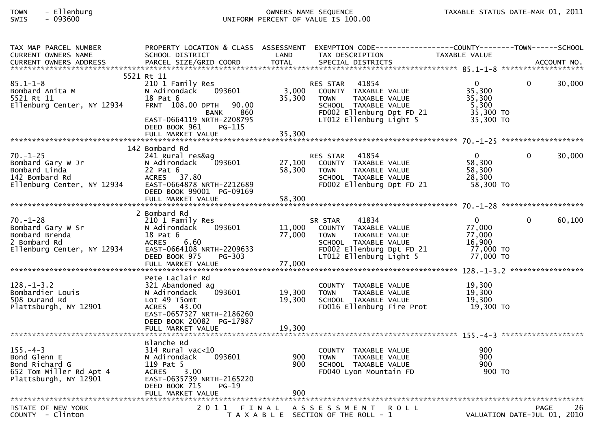| TAX MAP PARCEL NUMBER                                                                                       | PROPERTY LOCATION & CLASS ASSESSMENT EXEMPTION CODE----------------COUNTY-------TOWN------SCHOOL                                                                                              |                           |                                                                                                                                                          |                                                                        |                                     |        |
|-------------------------------------------------------------------------------------------------------------|-----------------------------------------------------------------------------------------------------------------------------------------------------------------------------------------------|---------------------------|----------------------------------------------------------------------------------------------------------------------------------------------------------|------------------------------------------------------------------------|-------------------------------------|--------|
| $85.1 - 1 - 8$<br>Bombard Anita M<br>5521 Rt 11<br>5521 Rt 11<br>א באכנ Kt II<br>Ellenburg Center, NY 12934 | 5521 Rt 11<br>210 1 Family Res<br>093601<br>N Adirondack<br>18 Pat 6<br>FRNT 108.00 DPTH<br>90.00<br>860<br>BANK<br>EAST-0664119 NRTH-2208795<br>DEED BOOK 961<br>PG-115<br>FULL MARKET VALUE | 3,000<br>35,300<br>35,300 | RES STAR 41854<br>COUNTY TAXABLE VALUE<br><b>TOWN</b><br>TAXABLE VALUE<br>SCHOOL TAXABLE VALUE<br>FD002 Ellenburg Dpt FD 21<br>LT012 Ellenburg Light 5   | $\mathbf{0}$<br>35,300<br>35,300<br>5,300<br>35,300 TO<br>35,300 TO    | $\Omega$                            | 30,000 |
|                                                                                                             | 142 Bombard Rd                                                                                                                                                                                |                           |                                                                                                                                                          |                                                                        |                                     |        |
| $70. - 1 - 25$<br>Bombard Gary W Jr<br>Bombard Linda<br>142 Bombard Rd<br>Ellenburg Center, NY 12934        | 241 Rural res&ag<br>093601<br>N Adirondack<br>22 Pat 6<br>ACRES 37.80<br>EAST-0664878 NRTH-2212689<br>DEED BOOK 99001 PG-09169                                                                | 27,100<br>58,300          | 41854<br>RES STAR<br>COUNTY TAXABLE VALUE<br>TOWN     TAXABLE VALUE<br>SCHOOL TAXABLE VALUE<br>FD002 Ellenburg Dpt FD 21                                 | $\mathbf{0}$<br>58,300<br>58,300<br>28,300<br>58,300 TO                | 0                                   | 30,000 |
|                                                                                                             |                                                                                                                                                                                               |                           |                                                                                                                                                          |                                                                        |                                     |        |
| $70. - 1 - 28$                                                                                              | 2 Bombard Rd<br>210 1 Family Res<br>N Adirondack<br>093601<br>6.60<br>EAST-0664108 NRTH-2209633<br>DEED BOOK 975<br>PG-303                                                                    | 11,000<br>77,000          | 41834<br>SR STAR<br>COUNTY TAXABLE VALUE<br>TAXABLE VALUE<br><b>TOWN</b><br>SCHOOL TAXABLE VALUE<br>FD002 Ellenburg Dpt FD 21<br>LT012 Ellenburg Light 5 | $\overline{0}$<br>77,000<br>77,000<br>16,900<br>77,000 TO<br>77,000 TO | $\Omega$                            | 60,100 |
| $128. - 1 - 3.2$<br>Bombardier Louis<br>508 Durand Rd<br>Plattsburgh, NY 12901                              | Pete Laclair Rd<br>321 Abandoned ag<br>093601<br>N Adirondack<br>Lot 49 T5omt<br>ACRES 43.00<br>EAST-0657327 NRTH-2186260<br>DEED BOOK 20082 PG-17987                                         | 19,300<br>19,300          | COUNTY TAXABLE VALUE<br><b>TOWN</b><br>TAXABLE VALUE<br>SCHOOL TAXABLE VALUE<br>FD016 Ellenburg Fire Prot                                                | 19,300<br>19,300<br>19,300<br>19,300 то                                |                                     |        |
|                                                                                                             |                                                                                                                                                                                               |                           |                                                                                                                                                          |                                                                        |                                     |        |
| $155. - 4 - 3$<br>Bond Glenn E<br>Bond Richard G<br>652 Tom Miller Rd Apt 4<br>Plattsburgh, NY 12901        | Blanche Rd<br>314 Rural vac<10<br>N Adirondack<br>093601<br>119 Pat 5<br>ACRES 3.00<br>EAST-0635739 NRTH-2165220<br>DEED BOOK 715<br>$PG-19$<br>FULL MARKET VALUE                             | 900<br>900<br>900         | COUNTY TAXABLE VALUE<br><b>TOWN</b><br>TAXABLE VALUE<br>SCHOOL TAXABLE VALUE<br>FD040 Lyon Mountain FD                                                   | 900<br>900<br>900                                                      | 900 TO                              |        |
|                                                                                                             |                                                                                                                                                                                               |                           |                                                                                                                                                          |                                                                        |                                     |        |
| STATE OF NEW YORK<br>COUNTY - Clinton                                                                       | 2011                                                                                                                                                                                          | FINAL                     | A S S E S S M E N T<br>T A X A B L E SECTION OF THE ROLL - 1                                                                                             | ROLL                                                                   | PAGE<br>VALUATION DATE-JUL 01, 2010 | 26     |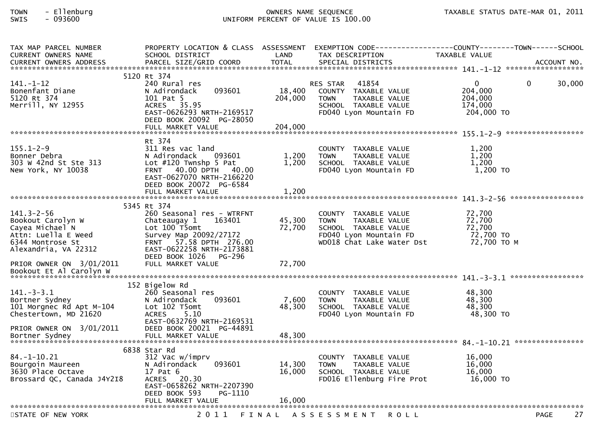| TAX MAP PARCEL NUMBER      | PROPERTY LOCATION & CLASS ASSESSMENT |         | EXEMPTION        CODE-----------------COUNTY-------TOWN------SCHOOL |               |                   |
|----------------------------|--------------------------------------|---------|---------------------------------------------------------------------|---------------|-------------------|
| CURRENT OWNERS NAME        | SCHOOL DISTRICT                      | LAND    | TAX DESCRIPTION                                                     | TAXABLE VALUE |                   |
|                            |                                      |         |                                                                     |               |                   |
|                            |                                      |         |                                                                     |               |                   |
|                            | 5120 Rt 374                          |         |                                                                     |               |                   |
| $141. - 1 - 12$            | 240 Rural res                        |         | 41854<br><b>RES STAR</b>                                            | $\mathbf{0}$  | 0<br>30,000       |
| Bonenfant Diane            | 093601<br>N Adirondack               | 18,400  | COUNTY TAXABLE VALUE                                                | 204,000       |                   |
| 5120 Rt 374                | 101 Pat 5                            | 204,000 | TAXABLE VALUE<br><b>TOWN</b>                                        | 204,000       |                   |
| Merrill, NY 12955          | ACRES 35.95                          |         | SCHOOL TAXABLE VALUE                                                | 174,000       |                   |
|                            | EAST-0626293 NRTH-2169517            |         | FD040 Lyon Mountain FD                                              | 204,000 TO    |                   |
|                            | DEED BOOK 20092 PG-28050             |         |                                                                     |               |                   |
|                            | FULL MARKET VALUE                    | 204,000 |                                                                     |               |                   |
|                            |                                      |         |                                                                     |               |                   |
|                            | Rt 374                               |         |                                                                     |               |                   |
| $155.1 - 2 - 9$            | 311 Res vac land                     |         | COUNTY TAXABLE VALUE                                                | 1,200         |                   |
| Bonner Debra               | 093601<br>N Adirondack               | 1,200   | <b>TOWN</b><br>TAXABLE VALUE                                        | 1,200         |                   |
| 303 W 42nd St Ste 313      | Lot $#120$ Twnshp 5 Pat              | 1,200   | SCHOOL TAXABLE VALUE                                                | 1,200         |                   |
| New York, NY 10038         | FRNT 40.00 DPTH 40.00                |         | FD040 Lyon Mountain FD                                              | 1,200 TO      |                   |
|                            | EAST-0627070 NRTH-2166220            |         |                                                                     |               |                   |
|                            | DEED BOOK 20072 PG-6584              |         |                                                                     |               |                   |
|                            | FULL MARKET VALUE                    | 1,200   |                                                                     |               |                   |
|                            |                                      |         |                                                                     |               |                   |
|                            | 5345 Rt 374                          |         |                                                                     |               |                   |
| $141.3 - 2 - 56$           | 260 Seasonal res - WTRFNT            |         | COUNTY TAXABLE VALUE                                                | 72,700        |                   |
| Bookout Carolyn W          | 163401<br>Chateaugay 1               | 45,300  | <b>TOWN</b><br>TAXABLE VALUE                                        | 72,700        |                   |
| Cayea Michael N            | Lot 100 T5omt                        | 72,700  | SCHOOL TAXABLE VALUE                                                | 72,700        |                   |
| Attn: Luella E Weed        | Survey Map 20092/27172               |         | FD040 Lyon Mountain FD                                              | 72,700 TO     |                   |
| 6344 Montrose St           | FRNT 57.58 DPTH 276.00               |         | WD018 Chat Lake Water Dst                                           | 72,700 TO M   |                   |
| Alexandria, VA 22312       | EAST-0622258 NRTH-2173881            |         |                                                                     |               |                   |
|                            | DEED BOOK 1026<br>PG-296             |         |                                                                     |               |                   |
| PRIOR OWNER ON 3/01/2011   | FULL MARKET VALUE                    | 72,700  |                                                                     |               |                   |
| Bookout Et Al Carolyn W    |                                      |         |                                                                     |               |                   |
|                            |                                      |         |                                                                     |               |                   |
|                            | 152 Bigelow Rd                       |         |                                                                     |               |                   |
| $141. - 3 - 3.1$           | 260 Seasonal res                     |         | COUNTY TAXABLE VALUE                                                | 48,300        |                   |
| Bortner Sydney             | 093601<br>N Adirondack               | 7,600   | TAXABLE VALUE<br><b>TOWN</b>                                        | 48,300        |                   |
| 101 Morgnec Rd Apt M-104   | Lot 102 T5omt                        | 48,300  | SCHOOL TAXABLE VALUE                                                | 48.300        |                   |
| Chestertown, MD 21620      | 5.10<br><b>ACRES</b>                 |         | FD040 Lyon Mountain FD                                              | 48,300 TO     |                   |
|                            | EAST-0632769 NRTH-2169531            |         |                                                                     |               |                   |
| PRIOR OWNER ON 3/01/2011   | DEED BOOK 20021 PG-44891             |         |                                                                     |               |                   |
| Bortner Sydney             | FULL MARKET VALUE                    | 48,300  |                                                                     |               |                   |
|                            |                                      |         |                                                                     |               |                   |
|                            | 6838 Star Rd                         |         |                                                                     |               |                   |
| $84. - 1 - 10.21$          | 312 Vac w/imprv                      |         | COUNTY TAXABLE VALUE                                                | 16,000        |                   |
| Bourgoin Maureen           | N Adirondack<br>093601               | 14,300  | <b>TOWN</b><br>TAXABLE VALUE                                        | 16,000        |                   |
| 3630 Place Octave          | 17 Pat 6                             | 16,000  | SCHOOL TAXABLE VALUE                                                | 16,000        |                   |
| Brossard QC, Canada J4Y2I8 | ACRES 20.30                          |         | FD016 Ellenburg Fire Prot                                           | 16,000 TO     |                   |
|                            | EAST-0658262 NRTH-2207390            |         |                                                                     |               |                   |
|                            | DEED BOOK 593<br>PG-1110             |         |                                                                     |               |                   |
|                            | FULL MARKET VALUE                    | 16,000  |                                                                     |               |                   |
|                            |                                      |         |                                                                     |               |                   |
| STATE OF NEW YORK          | 2011                                 |         | FINAL ASSESSMENT<br><b>ROLL</b>                                     |               | 27<br><b>PAGE</b> |
|                            |                                      |         |                                                                     |               |                   |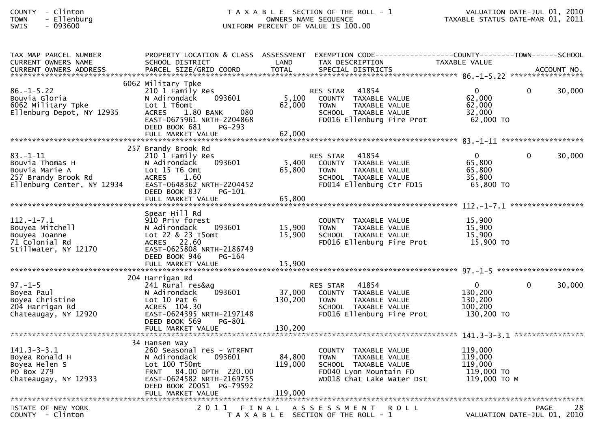| <b>COUNTY</b> | Clinton  |
|---------------|----------|
| <b>TOWN</b>   | Ellenbur |
| CUTC          | 002COO   |

| TAX MAP PARCEL NUMBER<br><b>CURRENT OWNERS NAME</b>                                                      | SCHOOL DISTRICT                                                                                                                                                             | LAND              | PROPERTY LOCATION & CLASS ASSESSMENT EXEMPTION CODE----------------COUNTY-------TOWN------SCHOOL<br>TAX DESCRIPTION                   | TAXABLE VALUE                                               |             |             |
|----------------------------------------------------------------------------------------------------------|-----------------------------------------------------------------------------------------------------------------------------------------------------------------------------|-------------------|---------------------------------------------------------------------------------------------------------------------------------------|-------------------------------------------------------------|-------------|-------------|
| <b>CURRENT OWNERS ADDRESS</b>                                                                            | PARCEL SIZE/GRID COORD                                                                                                                                                      | <b>TOTAL</b>      | SPECIAL DISTRICTS                                                                                                                     |                                                             |             | ACCOUNT NO. |
| $86. - 1 - 5.22$<br>Bouvia Gloria<br>6062 Military Tpke<br>Ellenburg Depot, NY 12935                     | 6062 Military Tpke<br>210 1 Family Res<br>N Adirondack<br>093601<br>Lot 1 T6omt<br>080<br><b>ACRES</b><br>1.80 BANK<br>EAST-0675961 NRTH-2204868<br>DEED BOOK 681<br>PG-293 | 5,100<br>62,000   | 41854<br>RES STAR<br>COUNTY TAXABLE VALUE<br><b>TOWN</b><br>TAXABLE VALUE<br>SCHOOL TAXABLE VALUE<br>FD016 Ellenburg Fire Prot        | $\overline{0}$<br>62,000<br>62,000<br>32,000<br>62,000 TO   | $\Omega$    | 30,000      |
|                                                                                                          |                                                                                                                                                                             |                   |                                                                                                                                       |                                                             |             |             |
|                                                                                                          | 257 Brandy Brook Rd                                                                                                                                                         |                   |                                                                                                                                       |                                                             |             |             |
| $83. - 1 - 11$<br>Bouvia Thomas H<br>Bouvia Marie A<br>257 Brandy Brook Rd<br>Ellenburg Center, NY 12934 | 210 1 Family Res<br>093601<br>N Adirondack<br>Lot 15 T6 Omt<br><b>ACRES</b><br>1.60<br>EAST-0648362 NRTH-2204452<br>DEED BOOK 837<br>$PG-101$                               | 5,400<br>65,800   | 41854<br><b>RES STAR</b><br>COUNTY TAXABLE VALUE<br><b>TOWN</b><br>TAXABLE VALUE<br>SCHOOL TAXABLE VALUE<br>FD014 Ellenburg Ctr FD15  | $\mathbf{0}$<br>65,800<br>65,800<br>35,800<br>65,800 TO     | $\Omega$    | 30,000      |
|                                                                                                          |                                                                                                                                                                             |                   |                                                                                                                                       |                                                             |             |             |
| $112. - 1 - 7.1$<br>Bouyea Mitchell<br>Bouyea Joanne<br>71 Colonial Rd<br>Stillwater, NY 12170           | Spear Hill Rd<br>910 Priv forest<br>093601<br>N Adirondack<br>Lot 22 & 23 T5omt<br>ACRES 22.60<br>EAST-0625808 NRTH-2186749<br>DEED BOOK 946<br>PG-164                      | 15,900<br>15,900  | COUNTY TAXABLE VALUE<br><b>TOWN</b><br>TAXABLE VALUE<br>SCHOOL TAXABLE VALUE<br>FD016 Ellenburg Fire Prot                             | 15,900<br>15,900<br>15,900<br>15,900 TO                     |             |             |
|                                                                                                          |                                                                                                                                                                             |                   |                                                                                                                                       |                                                             |             |             |
| $97. - 1 - 5$<br>Boyea Paul<br>Boyea Christine<br>204 Harrigan Rd<br>Chateaugay, NY 12920                | 204 Harrigan Rd<br>241 Rural res&ag<br>093601<br>N Adirondack<br>Lot $10$ Pat $6$<br>ACRES 104.30<br>EAST-0624395 NRTH-2197148<br>DEED BOOK 569<br>PG-801                   | 37,000<br>130,200 | 41854<br><b>RES STAR</b><br>COUNTY TAXABLE VALUE<br><b>TOWN</b><br>TAXABLE VALUE<br>SCHOOL TAXABLE VALUE<br>FD016 Ellenburg Fire Prot | $\mathbf{0}$<br>130,200<br>130,200<br>100,200<br>130,200 TO | $\Omega$    | 30,000      |
|                                                                                                          |                                                                                                                                                                             |                   |                                                                                                                                       |                                                             |             |             |
| $141.3 - 3 - 3.1$<br>Boyea Ronald H<br>Boyea Helen S<br>PO Box 279<br>Chateaugay, NY 12933               | 34 Hansen Way<br>260 Seasonal res - WTRFNT<br>093601<br>N Adirondack<br>Lot 100 T50mt<br>FRNT 84.00 DPTH 220.00<br>EAST-0624582 NRTH-2169755<br>DEED BOOK 20051 PG-79592    | 84,800<br>119,000 | COUNTY TAXABLE VALUE<br><b>TOWN</b><br>TAXABLE VALUE<br>SCHOOL TAXABLE VALUE<br>FD040 Lyon Mountain FD<br>WD018 Chat Lake Water Dst   | 119,000<br>119,000<br>119,000<br>119,000 TO<br>119,000 то м |             |             |
|                                                                                                          |                                                                                                                                                                             |                   |                                                                                                                                       |                                                             |             |             |
| STATE OF NEW YORK<br>COUNTY - Clinton                                                                    |                                                                                                                                                                             |                   | 2011 FINAL ASSESSMENT<br><b>ROLL</b><br>T A X A B L E SECTION OF THE ROLL - 1                                                         | VALUATION DATE-JUL 01, 2010                                 | <b>PAGE</b> | 28          |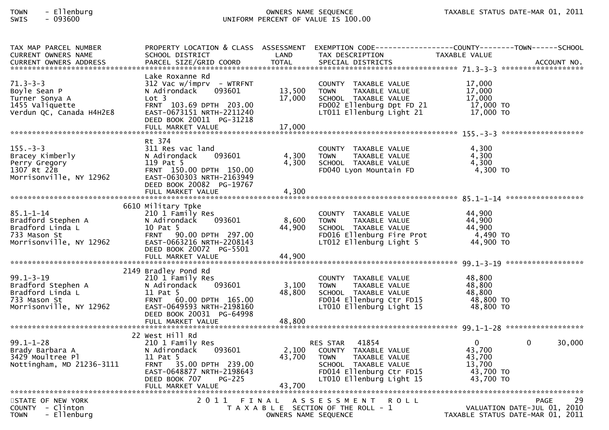| TAX MAP PARCEL NUMBER<br>CURRENT OWNERS NAME                                                                    | SCHOOL DISTRICT                                                                                                                                                                                      | LAND                       | TAX DESCRIPTION                                                                                                                                                  | PROPERTY LOCATION & CLASS ASSESSMENT EXEMPTION CODE----------------COUNTY-------TOWN------SCHOOL<br>TAXABLE VALUE |
|-----------------------------------------------------------------------------------------------------------------|------------------------------------------------------------------------------------------------------------------------------------------------------------------------------------------------------|----------------------------|------------------------------------------------------------------------------------------------------------------------------------------------------------------|-------------------------------------------------------------------------------------------------------------------|
|                                                                                                                 |                                                                                                                                                                                                      |                            |                                                                                                                                                                  |                                                                                                                   |
| $71.3 - 3 - 3$<br>Boyle Sean P<br>Turner Sonya A<br>1455 Valiquette<br>Verdun QC, Canada H4H2E8                 | Lake Roxanne Rd<br>$312$ Vac w/imprv - WTRFNT<br>N Adirondack<br>093601<br>Lot <sub>3</sub><br>FRNT 103.69 DPTH 203.00<br>EAST-0673151 NRTH-2211240<br>DEED BOOK 20011 PG-31218<br>FULL MARKET VALUE | 13,500<br>17,000<br>17,000 | COUNTY TAXABLE VALUE<br><b>TOWN</b><br>TAXABLE VALUE<br>SCHOOL TAXABLE VALUE<br>FD002 Ellenburg Dpt FD 21<br>LT011 Ellenburg Light 21                            | 17,000<br>17,000<br>17,000<br>$12,000$ TO<br>17,000 TO                                                            |
|                                                                                                                 |                                                                                                                                                                                                      |                            |                                                                                                                                                                  |                                                                                                                   |
| $155. - 3 - 3$<br>Bracey Kimberly<br>Perry Gregory<br>1307 Rt 22B<br>Morrisonville, NY 12962                    | Rt 374<br>311 Res vac land<br>093601<br>N Adirondack<br>119 Pat 5<br>FRNT 150.00 DPTH 150.00<br>EAST-0630303 NRTH-2163949<br>DEED BOOK 20082 PG-19767<br>FULL MARKET VALUE                           | 4,300<br>4,300<br>4,300    | COUNTY TAXABLE VALUE<br><b>TOWN</b><br>TAXABLE VALUE<br>SCHOOL TAXABLE VALUE<br>FD040 Lyon Mountain FD                                                           | 4,300<br>4,300<br>4,300<br>4,300 TO                                                                               |
|                                                                                                                 |                                                                                                                                                                                                      |                            |                                                                                                                                                                  |                                                                                                                   |
| 85.1-1-14<br>Bradford Stephen A<br>Aford Linda L<br>Morrisonville, NY 12962                                     | 6610 Military Tpke<br>210 1 Family Res<br>093601<br>N Adirondack<br>10 Pat 5<br>FRNT 90.00 DPTH 297.00<br>EAST-0663216 NRTH-2208143<br>DEED BOOK 20072 PG-5501<br>FULL MARKET VALUE                  | 8,600<br>44,900<br>44,900  | COUNTY TAXABLE VALUE<br><b>TOWN</b><br>TAXABLE VALUE<br>SCHOOL TAXABLE VALUE<br>FD016 Ellenburg Fire Prot<br>LT012 Ellenburg Light 5                             | 44,900<br>44,900<br>44,900<br>4,490 TO<br>44,900 TO                                                               |
|                                                                                                                 |                                                                                                                                                                                                      |                            |                                                                                                                                                                  |                                                                                                                   |
| $99.1 - 3 - 19$<br>Bradford Stephen A<br>Bradford Linda L<br><sup>733 Mason St</sup><br>Morrisonville, NY 12962 | 2149 Bradley Pond Rd<br>210 1 Family Res<br>N Adirondack<br>093601<br>11 Pat 5<br>FRNT 60.00 DPTH 165.00<br>EAST-0649593 NRTH-2198160<br>DEED BOOK 20031 PG-64998                                    | 3,100<br>48,800            | COUNTY TAXABLE VALUE<br><b>TOWN</b><br>TAXABLE VALUE<br>SCHOOL TAXABLE VALUE<br>FD014 Ellenburg Ctr FD15<br>LT010 Ellenburg Light 15                             | 48,800<br>48,800<br>48,800<br>48,800 TO<br>48,800 TO                                                              |
|                                                                                                                 |                                                                                                                                                                                                      |                            |                                                                                                                                                                  |                                                                                                                   |
| $99.1 - 1 - 28$<br>Brady Barbara A<br>3429 Moultree Pl<br>Nottingham, MD 21236-3111                             | 22 West Hill Rd<br>210 1 Family Res<br>N Adirondack<br>093601<br>11 Pat 5<br>FRNT 35.00 DPTH 239.00<br>EAST-0648877 NRTH-2198643<br>DEED BOOK 707<br><b>PG-225</b><br>FULL MARKET VALUE              | 2,100<br>43,700<br>43,700  | 41854<br><b>RES STAR</b><br>COUNTY TAXABLE VALUE<br><b>TOWN</b><br>TAXABLE VALUE<br>SCHOOL TAXABLE VALUE<br>FD014 Ellenburg Ctr FD15<br>LT010 Ellenburg Light 15 | $\mathbf{0}$<br>30,000<br>$\Omega$<br>43,700<br>43,700<br>13,700<br>43,700 TO<br>43,700 TO                        |
|                                                                                                                 |                                                                                                                                                                                                      |                            |                                                                                                                                                                  |                                                                                                                   |
| STATE OF NEW YORK<br>COUNTY - Clinton<br><b>TOWN</b><br>- Ellenburg                                             |                                                                                                                                                                                                      | OWNERS NAME SEQUENCE       | 2011 FINAL ASSESSMENT ROLL<br>T A X A B L E SECTION OF THE ROLL - 1                                                                                              | 29<br>PAGE<br>VALUATION DATE-JUL 01, 2010<br>TAXABLE STATUS DATE-MAR 01, 2011                                     |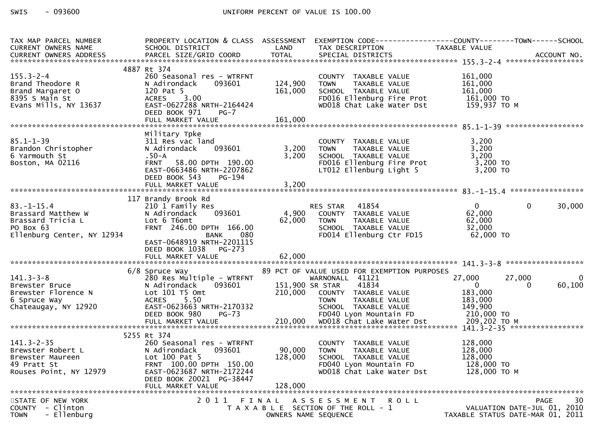| TAX MAP PARCEL NUMBER<br>CURRENT OWNERS NAME<br>CURRENT OWNERS ADDRESS                                              | SCHOOL DISTRICT                                                                                                                                                                              | <b>Example 18 The LAND</b>   | TAX DESCRIPTION                                                                                                                                     | PROPERTY LOCATION & CLASS ASSESSMENT EXEMPTION CODE----------------COUNTY-------TOWN------SCHOOL<br>TAXABLE VALUE |
|---------------------------------------------------------------------------------------------------------------------|----------------------------------------------------------------------------------------------------------------------------------------------------------------------------------------------|------------------------------|-----------------------------------------------------------------------------------------------------------------------------------------------------|-------------------------------------------------------------------------------------------------------------------|
|                                                                                                                     |                                                                                                                                                                                              |                              |                                                                                                                                                     |                                                                                                                   |
| $155.3 - 2 - 4$<br>Brand Theodore R<br>Brand Margaret O<br>8395 S Main St<br>Evans Mills, NY 13637                  | 4887 Rt 374<br>260 Seasonal res - WTRFNT<br>N Adirondack<br>093601<br>120 Pat 5<br>DEED BOOK 971<br>$PG-7$                                                                                   | 124,900<br>161,000           | COUNTY TAXABLE VALUE<br><b>TOWN</b><br>TAXABLE VALUE<br>SCHOOL TAXABLE VALUE<br>FDO16 Ellenburg Fire Prot<br>WD018 Chat Lake Water Dst 159,937 TO M | 161,000<br>161,000<br>161.000<br>161,000                                                                          |
|                                                                                                                     |                                                                                                                                                                                              |                              |                                                                                                                                                     |                                                                                                                   |
|                                                                                                                     |                                                                                                                                                                                              |                              |                                                                                                                                                     |                                                                                                                   |
| $85.1 - 1 - 39$<br>Brandon Christopher<br>6 Yarmouth St<br>6 Yarmouth St<br>Boston, MA 02116                        | Military Tpke<br>311 Res vac land<br>093601<br>N Adirondack<br>.50-A<br>58.00 DPTH 190.00<br><b>FRNT</b><br>EAST-0663486 NRTH-2207862<br>DEED BOOK 543<br>PG-194                             | 3,200                        | COUNTY TAXABLE VALUE<br>TOWN TAXABLE VALUE<br>SCHOOL TAXABLE VALUE<br>FDQ16 Ellenburg Fire Prot<br>3,200 TOWN<br>LT012 Ellenburg Light 5            | 3,200<br>3,200<br>3,200<br>3,200 TO<br>$3,200$ TO                                                                 |
|                                                                                                                     | 117 Brandy Brook Rd                                                                                                                                                                          |                              |                                                                                                                                                     |                                                                                                                   |
| $83. - 1 - 15.4$<br>Brassard Matthew W<br>Brassard Tricia L<br>PO Box 63<br>PO Box 63<br>Ellenburg Center, NY 12934 | 210 1 Family Res<br>093601<br>N Adirondack<br>Lot 6 T6omt<br>FRNT 246.00 DPTH 166.00<br>BANK 080<br>EAST-0648919 NRTH-2201115<br>DEED BOOK 1038 PG-273                                       |                              | RES STAR 41854<br>4,900 COUNTY TAXABLE VALUE<br>62,000 TOWN TAXABLE VALUE<br>SCHOOL TAXABLE VALUE<br>FDO14 Ellenburg Ctr FD15                       | $\overline{0}$<br>$\mathbf 0$<br>30,000<br>62,000<br>62,000<br>32,000<br>62,000 TO                                |
|                                                                                                                     |                                                                                                                                                                                              |                              |                                                                                                                                                     |                                                                                                                   |
|                                                                                                                     |                                                                                                                                                                                              |                              |                                                                                                                                                     |                                                                                                                   |
| $141.3 - 3 - 8$<br>Brewster Bruce<br>Brewster Florence N<br>6 Spruce Way                                            | 6/8 Spruce Way<br>Lot 101 T5 Omt<br>ACRES 5.50                                                                                                                                               |                              | 89 PCT OF VALUE USED FOR EXEMPTION PURPOSES<br>WARNONALL 41121<br>41834<br>210,000 COUNTY TAXABLE_VALUE<br>TOWN      TAXABLE_VALUE                  | 27,000<br>27,000<br>0<br>60,100<br>$\sim$ 0<br>0<br>183,000<br>183,000                                            |
|                                                                                                                     |                                                                                                                                                                                              |                              |                                                                                                                                                     |                                                                                                                   |
|                                                                                                                     |                                                                                                                                                                                              |                              |                                                                                                                                                     |                                                                                                                   |
| $141.3 - 2 - 35$<br>Brewster Robert L<br>Brewster Maureen<br>49 Pratt St<br>Rouses Point, NY 12979                  | 5255 Rt 374<br>260 Seasonal res - WTRFNT<br>093601<br>N Adirondack<br>Lot 100 Pat 5<br>FRNT 100.00 DPTH 150.00<br>EAST-0623687 NRTH-2172244<br>DEED BOOK 20021 PG-38447<br>FULL MARKET VALUE | 90,000<br>128,000<br>128,000 | COUNTY TAXABLE VALUE<br><b>TOWN</b><br>TAXABLE VALUE<br>SCHOOL TAXABLE VALUE<br>FD040 Lyon Mountain FD<br>WD018 Chat Lake Water Dst                 | 128,000<br>128,000<br>128,000<br>128,000 TO<br>128,000 ТО М                                                       |
|                                                                                                                     |                                                                                                                                                                                              |                              |                                                                                                                                                     |                                                                                                                   |
| STATE OF NEW YORK<br>- Clinton<br><b>COUNTY</b><br>- Ellenburg<br><b>TOWN</b>                                       | 2011                                                                                                                                                                                         | FINAL                        | A S S E S S M E N T<br>R O L L<br>T A X A B L E SECTION OF THE ROLL - 1<br>OWNERS NAME SEQUENCE                                                     | 30<br><b>PAGE</b><br>VALUATION DATE-JUL 01, 2010<br>TAXABLE STATUS DATE-MAR 01, 2011                              |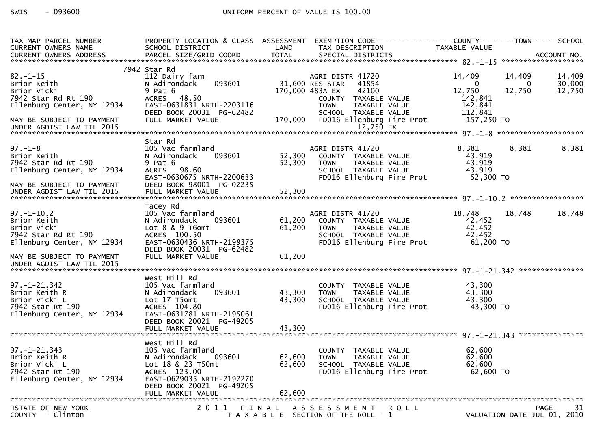| TAX MAP PARCEL NUMBER                                                                    | PROPERTY LOCATION & CLASS ASSESSMENT      |         | EXEMPTION CODE-----------------COUNTY-------TOWN------SCHOOL         |                     |                                            |
|------------------------------------------------------------------------------------------|-------------------------------------------|---------|----------------------------------------------------------------------|---------------------|--------------------------------------------|
| CURRENT OWNERS NAME                                                                      | SCHOOL DISTRICT                           | LAND    | TAX DESCRIPTION                                                      | TAXABLE VALUE       |                                            |
| CURRENT OWNERS ADDRESS PARCEL SIZE/GRID COORD TOTAL SPECIAL DISTRICTS (2007) ACCOUNT NO. |                                           |         |                                                                      |                     |                                            |
|                                                                                          | 7942 Star Rd                              |         |                                                                      |                     |                                            |
| $82 - 1 - 15$                                                                            | 112 Dairy farm                            |         | AGRI DISTR 41720                                                     | 14,409              | 14,409<br>14,409                           |
| Brior Keith                                                                              | 093601<br>N Adirondack                    |         | 31,600 RES STAR<br>41854                                             | $\overline{0}$      | 30,000<br>0                                |
| Brior Vicki                                                                              | $9$ Pat $6$                               |         | 170,000 483A EX<br>42100                                             | 12,750              | 12,750<br>12,750                           |
| 7942 Star Rd Rt 190                                                                      | ACRES 48.50                               |         | COUNTY TAXABLE VALUE                                                 | 142,841             |                                            |
| Ellenburg Center, NY 12934                                                               | EAST-0631831 NRTH-2203116                 |         | <b>TOWN</b><br>TAXABLE VALUE                                         | 142,841             |                                            |
|                                                                                          | DEED BOOK 20031 PG-62482                  |         | SCHOOL TAXABLE VALUE                                                 | 112,841             |                                            |
| MAY BE SUBJECT TO PAYMENT                                                                | FULL MARKET VALUE                         | 170,000 | FD016 Ellenburg Fire Prot                                            | 157,250 TO          |                                            |
| UNDER AGDIST LAW TIL 2015                                                                |                                           |         | 12,750 EX                                                            |                     |                                            |
|                                                                                          |                                           |         |                                                                      |                     |                                            |
| $97. - 1 - 8$                                                                            | Star Rd<br>105 Vac farmland               |         | AGRI DISTR 41720                                                     | 8,381               | 8,381<br>8,381                             |
| Brior Keith                                                                              | 093601<br>N Adirondack                    | 52,300  | COUNTY TAXABLE VALUE                                                 | 43,919              |                                            |
| 7942 Star Rd Rt 190                                                                      | 9 Pat 6                                   | 52,300  | TAXABLE VALUE<br><b>TOWN</b>                                         | 43,919              |                                            |
| Ellenburg Center, NY 12934                                                               | ACRES 98.60                               |         | SCHOOL TAXABLE VALUE                                                 | 43,919              |                                            |
|                                                                                          | EAST-0630675 NRTH-2200633                 |         | FD016 Ellenburg Fire Prot                                            | 52,300 TO           |                                            |
| MAY BE SUBJECT TO PAYMENT                                                                | DEED BOOK 98001 PG-02235                  |         |                                                                      |                     |                                            |
| UNDER AGDIST LAW TIL 2015                                                                | FULL MARKET VALUE                         | 52,300  |                                                                      |                     |                                            |
|                                                                                          |                                           |         |                                                                      |                     |                                            |
|                                                                                          | Tacey Rd                                  |         |                                                                      |                     |                                            |
| $97. - 1 - 10.2$                                                                         | 105 Vac farmland                          |         | AGRI DISTR 41720                                                     | 18,748              | 18,748<br>18,748                           |
| Brior Keith                                                                              | 093601<br>N Adirondack                    | 61,200  | COUNTY TAXABLE VALUE                                                 | 42,452              |                                            |
| Brior Vicki<br>7942 Star Rd Rt 190                                                       | Lot 8 & 9 T6omt                           | 61,200  | <b>TOWN</b><br><br>TAXABLE VALUE<br>TAXABLE VALUE                    | 42,452              |                                            |
| Ellenburg Center, NY 12934                                                               | ACRES 100.50<br>EAST-0630436 NRTH-2199375 |         | SCHOOL TAXABLE VALUE<br>FD016 Ellenburg Fire Prot                    | 42,452<br>61,200 TO |                                            |
|                                                                                          | DEED BOOK 20031 PG-62482                  |         |                                                                      |                     |                                            |
| MAY BE SUBJECT TO PAYMENT                                                                | FULL MARKET VALUE                         | 61,200  |                                                                      |                     |                                            |
| UNDER AGDIST LAW TIL 2015                                                                |                                           |         |                                                                      |                     |                                            |
|                                                                                          |                                           |         |                                                                      |                     |                                            |
|                                                                                          | West Hill Rd                              |         |                                                                      |                     |                                            |
| $97. - 1 - 21.342$                                                                       | 105 Vac farmland                          |         | COUNTY TAXABLE VALUE                                                 | 43,300              |                                            |
| Brior Keith R                                                                            | 093601<br>N Adirondack                    | 43,300  | TAXABLE VALUE<br><b>TOWN</b>                                         | 43,300              |                                            |
| Brior Vicki L                                                                            | Lot 17 T5omt                              | 43,300  | SCHOOL TAXABLE VALUE                                                 | 43,300              |                                            |
| 7942 Star Rt 190                                                                         | ACRES 104.80                              |         | FD016 Ellenburg Fire Prot                                            | 43,300 TO           |                                            |
| Ellenburg Center, NY 12934                                                               | EAST-0631781 NRTH-2195061                 |         |                                                                      |                     |                                            |
|                                                                                          | DEED BOOK 20021 PG-49205                  |         |                                                                      |                     |                                            |
|                                                                                          |                                           |         |                                                                      |                     |                                            |
|                                                                                          | West Hill Rd                              |         |                                                                      |                     |                                            |
| $97. - 1 - 21.343$                                                                       | 105 Vac farmland                          |         | COUNTY TAXABLE VALUE                                                 | 62,600              |                                            |
| Brior Keith R                                                                            | 093601<br>N Adirondack                    | 62,600  | <b>TOWN</b><br>TAXABLE VALUE                                         | 62,600              |                                            |
| Brior Vicki L                                                                            | Lot 18 & 23 T50mt                         | 62,600  | SCHOOL TAXABLE VALUE                                                 | 62,600              |                                            |
| 7942 Star Rt 190                                                                         | ACRES 123.00                              |         | FD016 Ellenburg Fire Prot                                            | 62,600 TO           |                                            |
| Ellenburg Center, NY 12934                                                               | EAST-0629035 NRTH-2192270                 |         |                                                                      |                     |                                            |
|                                                                                          | DEED BOOK 20021 PG-49205                  |         |                                                                      |                     |                                            |
|                                                                                          | FULL MARKET VALUE                         | 62,600  |                                                                      |                     |                                            |
| STATE OF NEW YORK                                                                        | 2011                                      | FINAL   |                                                                      |                     | 31                                         |
| COUNTY - Clinton                                                                         |                                           |         | A S S E S S M E N T R O L L<br>T A X A B L E SECTION OF THE ROLL - 1 |                     | <b>PAGE</b><br>VALUATION DATE-JUL 01, 2010 |
|                                                                                          |                                           |         |                                                                      |                     |                                            |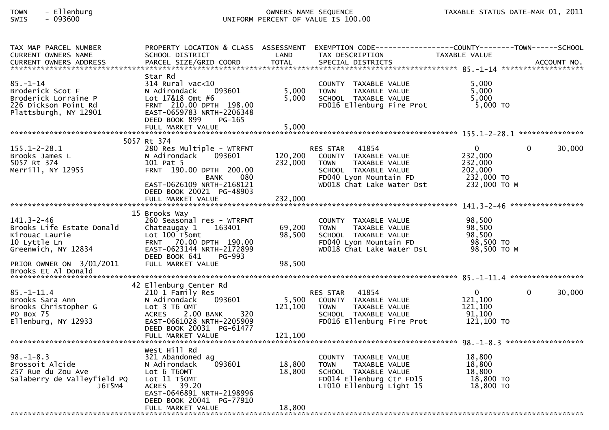| TAX MAP PARCEL NUMBER<br>CURRENT OWNERS NAME                                                                    | PROPERTY LOCATION & CLASS ASSESSMENT<br>SCHOOL DISTRICT                                                                                                                    | LAND               | TAX DESCRIPTION                                                                                                                                                 | TAXABLE VALUE                                                           |                    |        |
|-----------------------------------------------------------------------------------------------------------------|----------------------------------------------------------------------------------------------------------------------------------------------------------------------------|--------------------|-----------------------------------------------------------------------------------------------------------------------------------------------------------------|-------------------------------------------------------------------------|--------------------|--------|
| .CURRENT OWNERS ADDRESS PARCEL SIZE/GRID COORD TOTAL SPECIAL DISTRICTS ACCOUNT NO ACCOUNT NO ACCOUNT NO ACCOUNT |                                                                                                                                                                            |                    |                                                                                                                                                                 |                                                                         |                    |        |
| $85 - 1 - 14$<br>Broderick Scot F<br>Broderick Lorraine P<br>226 Dickson Point Rd<br>Plattsburgh, NY 12901      | Star Rd<br>314 Rural vac<10<br>N Adirondack<br>093601<br>Lot 17&18 Omt #6<br>FRNT 210.00 DPTH 198.00<br>EAST-0659783 NRTH-2206348<br>DEED BOOK 899<br>PG-165               | 5,000<br>5,000     | COUNTY TAXABLE VALUE<br>TAXABLE VALUE<br><b>TOWN</b><br>SCHOOL TAXABLE VALUE<br>FD016 Ellenburg Fire Prot                                                       | 5,000<br>5,000<br>5,000<br>$5,000$ TO                                   |                    |        |
|                                                                                                                 | 5057 Rt 374                                                                                                                                                                |                    |                                                                                                                                                                 |                                                                         |                    |        |
| $155.1 - 2 - 28.1$<br>Brooks James L<br>5057 Rt 374<br>Merrill, NY 12955                                        | 280 Res Multiple - WTRFNT<br>093601<br>N Adirondack<br>101 Pat 5<br>FRNT 190.00 DPTH 200.00<br><b>BANK</b><br>080<br>EAST-0626109 NRTH-2168121<br>DEED BOOK 20021 PG-48903 | 120,200<br>232,000 | 41854<br><b>RES STAR</b><br>COUNTY TAXABLE VALUE<br><b>TOWN</b><br>TAXABLE VALUE<br>SCHOOL TAXABLE VALUE<br>FD040 Lyon Mountain FD<br>WD018 Chat Lake Water Dst | $\Omega$<br>232,000<br>232,000<br>202,000<br>232,000 TO<br>232,000 TO M | $\Omega$           | 30,000 |
|                                                                                                                 |                                                                                                                                                                            |                    |                                                                                                                                                                 |                                                                         |                    |        |
| $141.3 - 2 - 46$<br>Brooks Life Estate Donald<br>Kirouac Laurie<br>10 Lyttle Ln<br>Greenwich, NY 12834          | 15 Brooks Way<br>260 Seasonal res - WTRFNT<br>Chateaugay 1<br>163401<br>Lot 100 T5omt<br>FRNT 70.00 DPTH 190.00<br>EAST-0623144 NRTH-2172899<br>DEED BOOK 641<br>PG-993    | 69,200<br>98,500   | COUNTY TAXABLE VALUE<br>TAXABLE VALUE<br><b>TOWN</b><br>SCHOOL TAXABLE VALUE<br>FD040 Lyon Mountain FD<br>WD018 Chat Lake Water Dst                             | 98,500<br>98,500<br>98,500<br>98,500 TO<br>98,500 ТО М                  |                    |        |
| PRIOR OWNER ON 3/01/2011<br>Brooks Et Al Donald                                                                 | FULL MARKET VALUE                                                                                                                                                          | 98,500             |                                                                                                                                                                 |                                                                         |                    |        |
|                                                                                                                 | 42 Ellenburg Center Rd                                                                                                                                                     |                    |                                                                                                                                                                 |                                                                         |                    |        |
| $85. - 1 - 11.4$<br>Brooks Sara Ann<br>Brooks Christopher G<br>PO Box 75<br>Ellenburg, NY 12933                 | 210 1 Family Res<br>093601<br>N Adirondack<br>Lot 3 T6 OMT<br><b>ACRES</b><br>2.00 BANK<br>320<br>EAST-0661028 NRTH-2205909<br>DEED BOOK 20031 PG-61477                    | 5,500<br>121,100   | RES STAR 41854<br>COUNTY TAXABLE VALUE<br>TAXABLE VALUE<br><b>TOWN</b><br>SCHOOL TAXABLE VALUE<br>FD016 Ellenburg Fire Prot                                     | $\mathbf{0}$<br>121,100<br>121,100<br>91,100<br>$121,100$ TO            | 0                  | 30,000 |
|                                                                                                                 | FULL MARKET VALUE                                                                                                                                                          | 121,100            |                                                                                                                                                                 |                                                                         |                    |        |
|                                                                                                                 | West Hill Rd                                                                                                                                                               |                    |                                                                                                                                                                 |                                                                         | ****************** |        |
| $98. - 1 - 8.3$<br>Brossoit Alcide<br>257 Rue du Zou Ave<br>Salaberry de Valleyfield PQ<br>J6T5M4               | 321 Abandoned ag<br>093601<br>N Adirondack<br>Lot 6 T6OMT<br>Lot 11 T50MT<br>39.20<br>ACRES<br>EAST-0646891 NRTH-2198996<br>DEED BOOK 20041 PG-77910                       | 18,800<br>18,800   | COUNTY TAXABLE VALUE<br>TAXABLE VALUE<br><b>TOWN</b><br>SCHOOL TAXABLE VALUE<br>FD014 Ellenburg Ctr FD15<br>LT010 Ellenburg Light 15                            | 18,800<br>18,800<br>18,800<br>18,800 TO<br>18,800 TO                    |                    |        |
|                                                                                                                 | FULL MARKET VALUE                                                                                                                                                          | 18,800             |                                                                                                                                                                 |                                                                         |                    |        |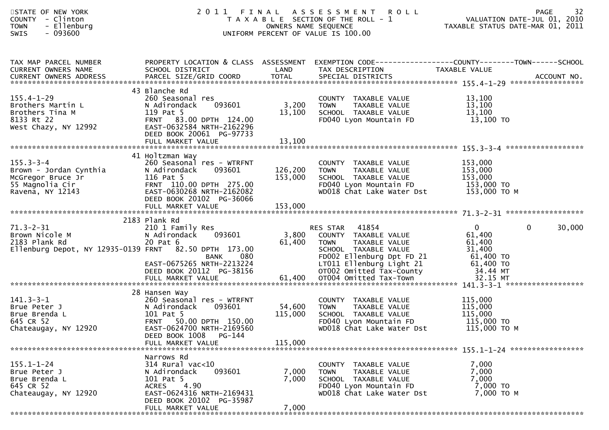| STATE OF NEW YORK<br>COUNTY - Clinton<br>- Ellenburg<br><b>TOWN</b><br>$-093600$<br><b>SWIS</b>                                |                                                                                                                                                                                              |                               | UNIFORM PERCENT OF VALUE IS 100.00                                                                                                                                                  | 2011 FINAL ASSESSMENT ROLL PAGE 32<br>TAXABLE SECTION OF THE ROLL - 1 VALUATION DATE-JUL 01, 2010<br>OWNERS NAME SEQUENCE TAXABLE STATUS DATE-MAR 01, 2011                                                                     |        |
|--------------------------------------------------------------------------------------------------------------------------------|----------------------------------------------------------------------------------------------------------------------------------------------------------------------------------------------|-------------------------------|-------------------------------------------------------------------------------------------------------------------------------------------------------------------------------------|--------------------------------------------------------------------------------------------------------------------------------------------------------------------------------------------------------------------------------|--------|
| TAX MAP PARCEL NUMBER<br>CURRENT OWNERS NAME<br>CURRENT OWNERS ADDRESS                                                         | SCHOOL DISTRICT<br><b>Example 18 Service State LAND</b>                                                                                                                                      |                               | TAX DESCRIPTION                                                                                                                                                                     | PROPERTY LOCATION & CLASS ASSESSMENT EXEMPTION CODE---------------COUNTY-------TOWN------SCHOOL<br>TAXABLE VALUE<br>CURRENT OWNERS ADDRESS FARCEL SIZE/GRID COORD TOTAL SPECIAL DISTRICTS FOR THE SPECIAL POST ACCOUNT NO.     |        |
| $155.4 - 1 - 29$<br>Brothers Martin L<br>Brothers Tina M<br>8133 Rt 22<br>west Chazy, NY 12992                                 | 43 Blanche Rd<br>260 Seasonal res<br>093601<br>N Adirondack<br>119 Pat 5<br>FRNT 83.00 DPTH 124.00<br>EAST-0632584 NRTH-2162296<br>DEED BOOK 20061 PG-97733<br>FULL MARKET VALUE             | 3,200<br>13,100<br>13,100     | COUNTY TAXABLE VALUE<br>TAXABLE VALUE<br>TOWN<br>SCHOOL TAXABLE VALUE<br>FD040 Lyon Mountain FD                                                                                     | 13,100<br>13,100<br>13,100<br>13,100 TO                                                                                                                                                                                        |        |
| $155.3 - 3 - 4$<br>155.5-5- <del>4</del><br>Brown - Jordan Cynthia<br>McGregor Bruce Jr<br>55 Magnolia Cir<br>Ravena, NY 12143 | 41 Holtzman Way<br>260 Seasonal res - WTRFNT<br>N Adirondack<br>093601<br>116 Pat 5<br>FRNT 110.00 DPTH 275.00<br>EAST-0630268 NRTH-2162082<br>DEED BOOK 20102 PG-36066<br>FULL MARKET VALUE | 126,200<br>153,000<br>153,000 | COUNTY TAXABLE VALUE<br>TAXABLE VALUE<br><b>TOWN</b><br>TOWN TAXABLE VALUE<br>SCHOOL TAXABLE VALUE 153,000<br>FD040 Lyon Mountain FD 153,000 TO<br>WD018 Chat Lake Water Dst        | 153,000<br>153,000<br>153,000 то м                                                                                                                                                                                             |        |
| $71.3 - 2 - 31$<br>Brown Nicole M<br>2183 Plank Rd<br>Ellenburg Depot, NY 12935-0139 FRNT 82.50 DPTH 173.00                    | 2183 Plank Rd<br>210 1 Family Res<br>N Adirondack 093601<br>20 Pat 6<br>080<br><b>BANK</b><br>EAST-0675265 NRTH-2213224<br>DEED BOOK 20112 PG-38156                                          | 3,800<br>61,400               | RES STAR 41854<br>COUNTY TAXABLE VALUE<br><b>TOWN</b><br>TAXABLE VALUE<br>SCHOOL TAXABLE VALUE<br>FD002 Ellenburg Dpt FD 21<br>LT011 Ellenburg Light 21<br>OT002 Omitted Tax-County | $\mathbf{0}$<br>$\mathbf{0}$<br>61,400<br>61,400<br>31,400<br>61,400 TO<br>61,400 TO<br>34.44 MT<br>FULL MARKET VALUE 61,400 0T004 Omitted Tax-Town 32.15 MT 32.15 HT FULL MARKET VALUE 61,400 0T004 Omitted Tax-Town 32.15 MT | 30,000 |
| $141.3 - 3 - 1$<br>Brue Peter J<br>Brue Brenda L<br>645 CR 52<br>Chateaugay, NY 12920                                          | 28 Hansen Way<br>260 Seasonal res - WTRFNT<br>093601<br>N Adirondack<br>101 Pat 5<br>FRNT 50.00 DPTH 150.00<br>EAST-0624700 NRTH-2169560<br>DEED BOOK 1008<br>PG-144<br>FULL MARKET VALUE    | 54,600<br>115,000<br>115,000  | COUNTY TAXABLE VALUE<br>TAXABLE VALUE<br>TOWN<br>SCHOOL TAXABLE VALUE<br>FD040 Lyon Mountain FD<br>WD018 Chat Lake Water Dst                                                        | 115,000<br>115,000<br>115,000<br>115,000 TO<br>115,000 то м                                                                                                                                                                    |        |
| $155.1 - 1 - 24$<br>Brue Peter J<br>Brue Brenda L<br>645 CR 52<br>Chateaugay, NY 12920                                         | Narrows Rd<br>314 Rural vac<10<br>093601<br>N Adirondack<br>101 Pat 5<br>4.90<br>ACRES<br>EAST-0624316 NRTH-2169431<br>DEED BOOK 20102 PG-35987<br>FULL MARKET VALUE                         | 7,000<br>7,000<br>7,000       | COUNTY TAXABLE VALUE<br>TAXABLE VALUE<br>TOWN<br>SCHOOL TAXABLE VALUE<br>FD040 Lyon Mountain FD<br>WD018 Chat Lake Water Dst                                                        | 7,000<br>7,000<br>7,000<br>7,000 TO<br>7,000 TO M                                                                                                                                                                              |        |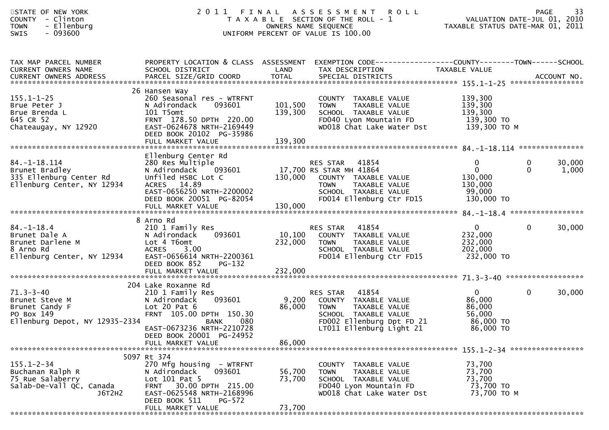| STATE OF NEW YORK<br>- Clinton<br><b>COUNTY</b><br>- Ellenburg<br><b>TOWN</b><br>$-093600$<br><b>SWIS</b> |                                                                                                                                                                                            |                               | 2011 FINAL ASSESSMENT<br><b>ROLL</b><br>T A X A B L E SECTION OF THE ROLL - 1<br>OWNERS NAME SEQUENCE<br>UNIFORM PERCENT OF VALUE IS 100.00                                              | VALUATION DATE-JUL 01, 2010<br>TAXABLE STATUS DATE-MAR 01, 2011            | <b>PAGE</b>       | 33              |
|-----------------------------------------------------------------------------------------------------------|--------------------------------------------------------------------------------------------------------------------------------------------------------------------------------------------|-------------------------------|------------------------------------------------------------------------------------------------------------------------------------------------------------------------------------------|----------------------------------------------------------------------------|-------------------|-----------------|
| TAX MAP PARCEL NUMBER<br>CURRENT OWNERS NAME<br>CURRENT OWNERS ADDRESS                                    | SCHOOL DISTRICT                                                                                                                                                                            | <b>Example 18 The LAND</b>    | PROPERTY LOCATION & CLASS ASSESSMENT EXEMPTION CODE---------------COUNTY-------TOWN------SCHOOL<br>TAX DESCRIPTION                                                                       | TAXABLE VALUE                                                              |                   |                 |
| $155.1 - 1 - 25$<br>Brue Peter J<br>Brue Brenda L<br>645 CR 52<br>Chateaugay, NY 12920                    | 26 Hansen Way<br>260 Seasonal res - WTRFNT<br>N Adirondack<br>093601<br>101 T5omt<br>FRNT 178.50 DPTH 220.00<br>EAST-0624678 NRTH-2169449<br>DEED BOOK 20102 PG-35986<br>FULL MARKET VALUE | 101,500<br>139,300<br>139,300 | COUNTY TAXABLE VALUE<br>TAXABLE VALUE<br><b>TOWN</b><br>SCHOOL TAXABLE VALUE<br>FD040 Lyon Mountain FD 139,300 TO<br>WD018 Chat Lake Water Dst                                           | 139,300<br>139,300<br>139,300<br>139,300 ТО М                              |                   |                 |
| $84. - 1 - 18.114$<br>Brunet Bradley<br>335 Ellenburg Center Rd<br>Ellenburg Center, NY 12934             | Ellenburg Center Rd<br>280 Res Multiple<br>N Adirondack 093601<br>Unfiled HSBC Lot C<br>14.89<br><b>ACRES</b><br>EAST-0656250 NRTH-2200002<br>DEED BOOK 20051 PG-82054                     |                               | RES STAR<br>41854<br>RES STAR    41854<br>17,700 RS STAR MH 41864<br>130,000   COUNTY  TAXABLE VALUE<br>TAXABLE VALUE<br><b>TOWN</b><br>SCHOOL TAXABLE VALUE<br>FD014 Ellenburg Ctr FD15 | $\mathbf{0}$<br>$\mathbf{0}$<br>130,000<br>130,000<br>99,000<br>130,000 TO | 0<br>$\mathbf{0}$ | 30,000<br>1,000 |
|                                                                                                           | FULL MARKET VALUE                                                                                                                                                                          | 130,000                       |                                                                                                                                                                                          |                                                                            |                   |                 |
| $84. - 1 - 18.4$<br>Brunet Dale A<br>Brunet Darlene M<br>8 Arno Rd<br>Ellenburg Center, NY 12934          | 8 Arno Rd<br>210 1 Family Res<br>N Adirondack<br>093601<br>Lot 4 T6omt<br><b>ACRES</b><br>3.00<br>EAST-0656614 NRTH-2200361<br>DEED BOOK 852<br>PG-132<br>FULL MARKET VALUE                | 10,100<br>232,000<br>232,000  | 41854<br>RES STAR<br>COUNTY TAXABLE VALUE<br><b>TOWN</b><br>TAXABLE VALUE<br>SCHOOL TAXABLE VALUE<br>FD014 Ellenburg Ctr FD15                                                            | $\mathbf{0}$<br>232,000<br>232,000<br>202,000<br>232,000 TO                | $\overline{0}$    | 30,000          |
| $71.3 - 3 - 40$<br>Brunet Steve M<br>Brunet Candy F<br>PO Box 149<br>Ellenburg Depot, NY 12935-2334       | 204 Lake Roxanne Rd<br>210 1 Family Res<br>093601<br>N Adirondack<br>Lot $20$ Pat $6$<br>FRNT 105.00 DPTH 150.30<br>BANK<br>080<br>EAST-0673236 NRTH-2210728<br>DEED BOOK 20001 PG-24952   | 86,000                        | 41854<br>RES STAR<br>9,200 COUNTY TAXABLE VALUE<br>TAXABLE VALUE<br><b>TOWN</b><br>SCHOOL TAXABLE VALUE<br>FD002 Ellenburg Dpt FD 21<br>LT011 Ellenburg Light 21                         | $\mathbf{0}$<br>86,000<br>86,000<br>56,000<br>86,000 TO<br>86,000 TO       | $\mathbf{0}$      | 30,000          |
|                                                                                                           | FULL MARKET VALUE                                                                                                                                                                          | 86,000                        |                                                                                                                                                                                          |                                                                            |                   |                 |
| $155.1 - 2 - 34$<br>Buchanan Ralph R<br>75 Rue Salaberry<br>Salab-De-Vall QC, Canada<br>J6T2H2            | 5097 Rt 374<br>270 Mfg housing - WTRFNT<br>N Adirondack<br>093601<br>Lot $101$ Pat 5<br>FRNT 30.00 DPTH 215.00<br>EAST-0625548 NRTH-2168996<br>DEED BOOK 511<br>PG-572                     | 56,700<br>73,700              | COUNTY TAXABLE VALUE<br>TAXABLE VALUE<br>TOWN<br>SCHOOL TAXABLE VALUE<br>FD040 Lyon Mountain FD<br>WD018 Chat Lake Water Dst                                                             | 73,700<br>73,700<br>73,700<br>73,700 TO<br>73,700 TO M                     |                   |                 |
|                                                                                                           | FULL MARKET VALUE                                                                                                                                                                          | 73,700                        |                                                                                                                                                                                          |                                                                            |                   |                 |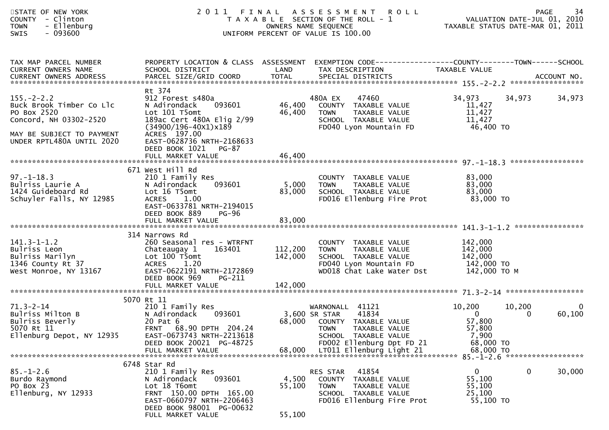| STATE OF NEW YORK<br>COUNTY - Clinton<br>- Ellenburg<br><b>TOWN</b><br>- 093600<br><b>SWIS</b>                                                  |                                                                                                                                                                                                     |                           | 2011 FINAL ASSESSMENT ROLL<br>74 - PAGE<br>2010 VALUATION DATE-JUL 01, 2010<br>TAXABLE STATUS DATE-MAR 01, 2011<br>T A X A B L E SECTION OF THE ROLL - 1<br>OWNERS NAME SEQUENCE<br>UNIFORM PERCENT OF VALUE IS 100.00 |                                                              |             | 34<br><b>PAGE</b>      |
|-------------------------------------------------------------------------------------------------------------------------------------------------|-----------------------------------------------------------------------------------------------------------------------------------------------------------------------------------------------------|---------------------------|------------------------------------------------------------------------------------------------------------------------------------------------------------------------------------------------------------------------|--------------------------------------------------------------|-------------|------------------------|
| TAX MAP PARCEL NUMBER<br>CURRENT OWNERS NAME                                                                                                    | SCHOOL DISTRICT                                                                                                                                                                                     | LAND                      | PROPERTY LOCATION & CLASS ASSESSMENT EXEMPTION CODE---------------COUNTY-------TOWN------SCHOOL<br>TAX DESCRIPTION                                                                                                     | TAXABLE VALUE                                                |             |                        |
| $155. - 2 - 2.2$<br>Buck Brook Timber Co Llc<br>PO Box 2520<br>Concord, NH 03302-2520<br>MAY BE SUBJECT TO PAYMENT<br>UNDER RPTL480A UNTIL 2020 | Rt 374<br>912 Forest s480a<br>093601<br>N Adirondack<br>Lot 101 T5omt<br>189ac Cert 480A Elig 2/99<br>$(34900/196 - 40x1)x189$<br>ACRES 197.00<br>EAST-0628736 NRTH-2168633<br>DEED BOOK 1021 PG-87 | 46,400<br>46,400          | 480A EX<br>47460<br>COUNTY TAXABLE VALUE<br>TAXABLE VALUE<br>TOWN<br>SCHOOL TAXABLE VALUE<br>FD040 Lyon Mountain FD                                                                                                    | 34,973<br>11,427<br>11,427<br>11,427<br>46,400 TO            | 34,973      | 34,973                 |
|                                                                                                                                                 | FULL MARKET VALUE                                                                                                                                                                                   | 46,400                    |                                                                                                                                                                                                                        |                                                              |             |                        |
| $97. - 1 - 18.3$<br>Bulriss Laurie A<br>1424 Guideboard Rd<br>Schuyler Falls, NY 12985                                                          | 671 West Hill Rd<br>210 1 Family Res<br>093601<br>N Adirondack<br>Lot 16 T5omt<br>ACRES 1.00<br>EAST-0633781 NRTH-2194015<br>DEED BOOK 889<br>PG-96<br>FULL MARKET VALUE                            | 5,000<br>83,000<br>83,000 | COUNTY TAXABLE VALUE<br><b>TOWN</b><br>TAXABLE VALUE<br>SCHOOL TAXABLE VALUE<br>FD016 Ellenburg Fire Prot                                                                                                              | 83,000<br>83,000<br>83,000<br>83,000 TO                      |             |                        |
|                                                                                                                                                 | 314 Narrows Rd                                                                                                                                                                                      |                           |                                                                                                                                                                                                                        |                                                              |             |                        |
| $141.3 - 1 - 1.2$<br>Bulriss Leon<br>Bulriss Marilyn<br>1346 County Rt 37<br>West Monroe, NY 13167                                              | 260 Seasonal res - WTRFNT<br>163401<br>Chateaugay 1<br>Lot 100 T5omt<br>ACRES 1.20<br>EAST-0622191 NRTH-2172869<br>DEED BOOK 969<br>PG-211                                                          | 112,200<br>142,000        | COUNTY TAXABLE VALUE<br><b>TOWN</b><br>TAXABLE VALUE<br>SCHOOL TAXABLE VALUE<br>FD040 Lyon Mountain FD<br>WD018 Chat Lake Water Dst                                                                                    | 142,000<br>142,000<br>142,000<br>142,000 TO<br>142,000 то м  |             |                        |
|                                                                                                                                                 | 5070 Rt 11                                                                                                                                                                                          |                           |                                                                                                                                                                                                                        |                                                              |             |                        |
| $71.3 - 2 - 14$<br>Fulriss Milton B<br>Bulriss Beverly<br>FATA 11<br>5070 Rt 11<br>Ellenburg Depot, NY 12935                                    | 210 1 Family Res<br>093601<br>N Adirondack<br>20 Pat 6<br>FRNT 68.90 DPTH 204.24<br>EAST-0673743 NRTH-2213618<br>DEED BOOK 20021 PG-48725                                                           | 3,600 SR STAR<br>68,000   | WARNONALL 41121<br>41834<br>COUNTY TAXABLE VALUE<br>TOWN TAXABLE VALUE<br>SCHOOL TAXABLE VALUE<br>FD002 Ellenburg Dpt FD 21                                                                                            | 10,200<br>$\Omega$<br>57,800<br>57,800<br>7,900<br>68,000 TO | 10,200<br>0 | $\mathbf{0}$<br>60,100 |
|                                                                                                                                                 | FULL MARKET VALUE                                                                                                                                                                                   | 68,000                    | LT011 Ellenburg Light 21                                                                                                                                                                                               | 68,000 TO                                                    |             |                        |
| $85. - 1 - 2.6$<br>Burdo Raymond<br>PO Box 23<br>Ellenburg, NY 12933                                                                            | 6748 Star Rd<br>210 1 Family Res<br>093601<br>N Adirondack<br>Lot 18 T6omt<br>FRNT 150.00 DPTH 165.00<br>EAST-0660797 NRTH-2206463<br>DEED BOOK 98001 PG-00632<br>FULL MARKET VALUE                 | 4,500<br>55,100<br>55,100 | 41854<br>RES STAR<br>COUNTY<br>TAXABLE VALUE<br><b>TOWN</b><br>TAXABLE VALUE<br>SCHOOL TAXABLE VALUE<br>FD016 Ellenburg Fire Prot                                                                                      | 0<br>55,100<br>55,100<br>25,100<br>55,100 TO                 | 0           | 30,000                 |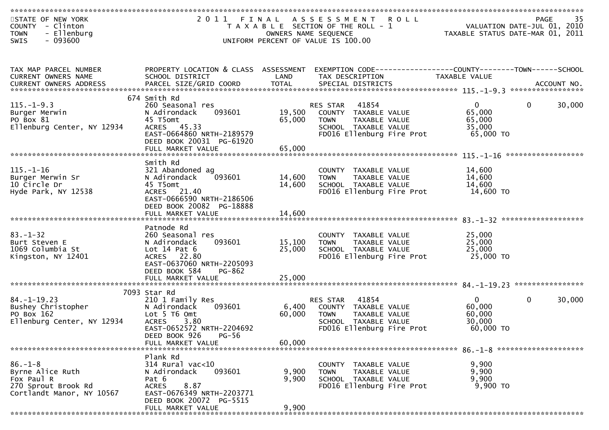| STATE OF NEW YORK<br>COUNTY - Clinton<br>- Ellenburg<br><b>TOWN</b><br>$-093600$<br>SWIS            | 2011 FINAL                                                                                                                                                  | OWNERS NAME SEQUENCE | A S S E S S M E N T<br><b>ROLL</b><br>T A X A B L E SECTION OF THE ROLL - 1<br>UNIFORM PERCENT OF VALUE IS 100.00                 | VALUATION DATE-JUL 01, 2010<br>TAXABLE STATUS DATE-MAR 01, 2011 | 35<br>PAGE             |
|-----------------------------------------------------------------------------------------------------|-------------------------------------------------------------------------------------------------------------------------------------------------------------|----------------------|-----------------------------------------------------------------------------------------------------------------------------------|-----------------------------------------------------------------|------------------------|
|                                                                                                     |                                                                                                                                                             |                      |                                                                                                                                   |                                                                 |                        |
| TAX MAP PARCEL NUMBER<br>CURRENT OWNERS NAME                                                        | PROPERTY LOCATION & CLASS ASSESSMENT<br>SCHOOL DISTRICT                                                                                                     | LAND                 | EXEMPTION CODE------------------COUNTY--------TOWN------SCHOOL<br>TAX DESCRIPTION                                                 | TAXABLE VALUE                                                   |                        |
|                                                                                                     | 674 Smith Rd                                                                                                                                                |                      |                                                                                                                                   |                                                                 |                        |
| $115. - 1 - 9.3$<br>Burger Merwin<br>PO Box 81<br>Ellenburg Center, NY 12934                        | 260 Seasonal res<br>093601<br>N Adirondack<br>45 T5omt<br>ACRES 45.33<br>EAST-0664860 NRTH-2189579<br>DEED BOOK 20031 PG-61920                              | 19,500<br>65,000     | 41854<br>RES STAR<br>COUNTY TAXABLE VALUE<br><b>TOWN</b><br>TAXABLE VALUE<br>SCHOOL TAXABLE VALUE<br>FD016 Ellenburg Fire Prot    | $\overline{0}$<br>65,000<br>65,000<br>35,000<br>65,000 TO       | 30,000<br>$\mathbf{0}$ |
|                                                                                                     |                                                                                                                                                             |                      |                                                                                                                                   |                                                                 |                        |
| $115. - 1 - 16$<br>Burger Merwin Sr<br>10 Circle Dr                                                 | Smith Rd<br>321 Abandoned ag<br>093601<br>N Adirondack<br>45 T5omt                                                                                          | 14,600<br>14,600     | COUNTY TAXABLE VALUE<br><b>TOWN</b><br>TAXABLE VALUE<br>SCHOOL TAXABLE VALUE                                                      | 14,600<br>14,600<br>14,600                                      | ******************     |
| Hyde Park, NY 12538                                                                                 | ACRES 21.40<br>EAST-0666590 NRTH-2186506<br>DEED BOOK 20082 PG-18888<br>FULL MARKET VALUE                                                                   | 14,600               | FD016 Ellenburg Fire Prot                                                                                                         | 14,600 TO                                                       |                        |
|                                                                                                     |                                                                                                                                                             |                      |                                                                                                                                   |                                                                 |                        |
| $83 - 1 - 32$<br>Burt Steven E<br>1069 Columbia St<br>Kingston, NY 12401                            | Patnode Rd<br>260 Seasonal res<br>093601<br>N Adirondack<br>Lot $14$ Pat $6$<br>ACRES 22.80<br>EAST-0637060 NRTH-2205093<br>DEED BOOK 584<br>PG-862         | 15,100<br>25,000     | COUNTY TAXABLE VALUE<br><b>TOWN</b><br>TAXABLE VALUE<br>SCHOOL TAXABLE VALUE<br>FD016 Ellenburg Fire Prot                         | 25,000<br>25,000<br>25,000<br>25,000 TO                         |                        |
|                                                                                                     | FULL MARKET VALUE                                                                                                                                           | 25,000               |                                                                                                                                   |                                                                 |                        |
|                                                                                                     |                                                                                                                                                             |                      |                                                                                                                                   |                                                                 |                        |
| $84. - 1 - 19.23$<br>Bushey Christopher<br>PO Box 162<br>Ellenburg Center, NY 12934                 | 7093 Star Rd<br>210 1 Family Res<br>093601<br>N Adirondack<br>Lot 5 T6 Omt<br><b>ACRES</b><br>3.80<br>EAST-0652572 NRTH-2204692<br>$PG-56$<br>DEED BOOK 926 | 6,400<br>60,000      | 41854<br>RES STAR<br>TAXABLE VALUE<br>COUNTY<br><b>TOWN</b><br>TAXABLE VALUE<br>SCHOOL TAXABLE VALUE<br>FD016 Ellenburg Fire Prot | $\mathbf{0}$<br>60,000<br>60,000<br>30,000<br>60,000 TO         | $\mathbf 0$<br>30,000  |
|                                                                                                     | FULL MARKET VALUE                                                                                                                                           | 60,000               |                                                                                                                                   |                                                                 |                        |
| $86. - 1 - 8$<br>Byrne Alice Ruth<br>Fox Paul R<br>270 Sprout Brook Rd<br>Cortlandt Manor, NY 10567 | Plank Rd<br>314 Rural vac<10<br>N Adirondack<br>093601<br>Pat 6<br>8.87<br><b>ACRES</b><br>EAST-0676349 NRTH-2203771<br>DEED BOOK 20072 PG-5515             | 9,900<br>9,900       | COUNTY TAXABLE VALUE<br><b>TOWN</b><br>TAXABLE VALUE<br>SCHOOL TAXABLE VALUE<br>FD016 Ellenburg Fire Prot                         | 9,900<br>9,900<br>9,900<br>9,900 TO                             |                        |
|                                                                                                     | FULL MARKET VALUE                                                                                                                                           | 9,900                |                                                                                                                                   |                                                                 |                        |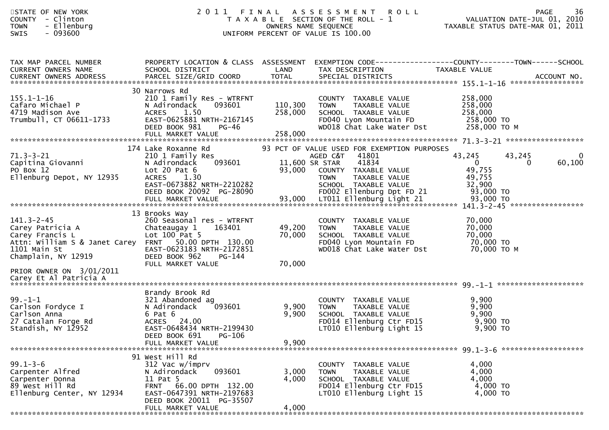| STATE OF NEW YORK<br><b>COUNTY</b><br>- Clinton<br>- Ellenburg<br><b>TOWN</b><br>$-093600$<br><b>SWIS</b>                                                                          | 2011                                                                                                                                                                             |                               | FINAL ASSESSMENT<br><b>ROLL</b><br>T A X A B L E SECTION OF THE ROLL - 1<br>OWNERS NAME SEQUENCE<br>UNIFORM PERCENT OF VALUE IS 100.00                                                                |                                                                     | 36<br><b>PAGE</b><br>VALUATION DATE-JUL 01, 2010<br>TAXABLE STATUS DATE-MAR 01, 2011 |
|------------------------------------------------------------------------------------------------------------------------------------------------------------------------------------|----------------------------------------------------------------------------------------------------------------------------------------------------------------------------------|-------------------------------|-------------------------------------------------------------------------------------------------------------------------------------------------------------------------------------------------------|---------------------------------------------------------------------|--------------------------------------------------------------------------------------|
| TAX MAP PARCEL NUMBER<br>CURRENT OWNERS NAME<br><b>CURRENT OWNERS ADDRESS</b>                                                                                                      | PROPERTY LOCATION & CLASS ASSESSMENT EXEMPTION CODE----------------COUNTY-------TOWN------SCHOOL<br>SCHOOL DISTRICT                                                              | LAND                          | TAX DESCRIPTION                                                                                                                                                                                       | TAXABLE VALUE                                                       |                                                                                      |
| $155.1 - 1 - 16$<br>Cafaro Michael P<br>4719 Madison Ave<br>Trumbull, CT 06611-1733                                                                                                | 30 Narrows Rd<br>210 1 Family Res - WTRFNT<br>N Adirondack<br>093601<br>1.50<br>ACRES<br>EAST-0625881 NRTH-2167145<br>DEED BOOK 981<br>PG-46<br>FULL MARKET VALUE                | 110,300<br>258,000<br>258,000 | COUNTY TAXABLE VALUE<br><b>TOWN</b><br>TAXABLE VALUE<br>SCHOOL TAXABLE VALUE<br>FD040 Lyon Mountain FD<br>WD018 Chat Lake Water Dst                                                                   | 258,000<br>258,000<br>258,000<br>258,000 TO<br>258,000 то м         |                                                                                      |
| $71.3 - 3 - 21$<br>Capitina Giovanni<br>PO Box 12<br>Ellenburg Depot, NY 12935                                                                                                     | 174 Lake Roxanne Rd<br>210 1 Family Res<br>093601<br>N Adirondack<br>Lot 20 Pat $6$<br>ACRES 1.30<br>EAST-0673882 NRTH-2210282<br>DEED BOOK 20092 PG-28090                       | 93,000                        | 93 PCT OF VALUE USED FOR EXEMPTION PURPOSES<br>AGED C&T 41801<br>11,600 SR STAR<br>41834<br>COUNTY TAXABLE VALUE<br><b>TOWN</b><br>TAXABLE VALUE<br>SCHOOL TAXABLE VALUE<br>FD002 Ellenburg Dpt FD 21 | 43,245<br>$\overline{0}$<br>49,755<br>49,755<br>32,900<br>93,000 TO | $\mathbf 0$<br>43,245<br>60,100<br>$\Omega$                                          |
| $141.3 - 2 - 45$<br>Carey Patricia A<br>Carey Francis L<br>Attn: William S & Janet Carey FRNT 50.00 DPTH 130.00<br>1101 Main St<br>Champlain, NY 12919<br>PRIOR OWNER ON 3/01/2011 | 13 Brooks Way<br>260 Seasonal res - WTRFNT<br>Chateaugay 1<br>163401<br>Lot $100$ Pat 5<br>EAST-0623183 NRTH-2172851<br>DEED BOOK 962<br>PG-144<br>FULL MARKET VALUE             | 49,200<br>70,000<br>70,000    | COUNTY TAXABLE VALUE<br><b>TOWN</b><br>TAXABLE VALUE<br>SCHOOL TAXABLE VALUE<br>FD040 Lyon Mountain FD<br>WD018 Chat Lake Water Dst                                                                   | 70,000<br>70,000<br>70,000<br>70,000 TO<br>70,000 то м              |                                                                                      |
| $99. - 1 - 1$<br>Carlson Fordyce I<br>Carlson Anna<br>27 Catalan Forge Rd<br>Standish, NY 12952                                                                                    | Brandy Brook Rd<br>321 Abandoned ag<br>N Adirondack<br>093601<br>6 Pat 6<br>ACRES 24.00<br>EAST-0648434 NRTH-2199430<br>DEED BOOK 691<br>PG-106<br>FULL MARKET VALUE             | 9,900<br>9,900<br>9,900       | COUNTY TAXABLE VALUE<br>TAXABLE VALUE<br><b>TOWN</b><br>SCHOOL TAXABLE VALUE<br>FD014 Ellenburg Ctr FD15<br>LT010 Ellenburg Light 15                                                                  | 9,900<br>9,900<br>9,900<br>9,900 TO<br>9,900 TO                     |                                                                                      |
| $99.1 - 3 - 6$<br>Carpenter Alfred<br>Carpenter Donna<br>89 West Hill Rd<br>Ellenburg Center, NY 12934                                                                             | 91 West Hill Rd<br>312 Vac w/imprv<br>093601<br>N Adirondack<br>11 Pat 5<br>FRNT 66.00 DPTH 132.00<br>EAST-0647391 NRTH-2197683<br>DEED BOOK 20011 PG-35507<br>FULL MARKET VALUE | 3,000<br>4,000<br>4,000       | COUNTY TAXABLE VALUE<br>TAXABLE VALUE<br>TOWN<br>SCHOOL TAXABLE VALUE<br>FD014 Ellenburg Ctr FD15<br>LT010 Ellenburg Light 15                                                                         | 4,000<br>4,000<br>4,000<br>4,000 TO<br>4,000 TO                     |                                                                                      |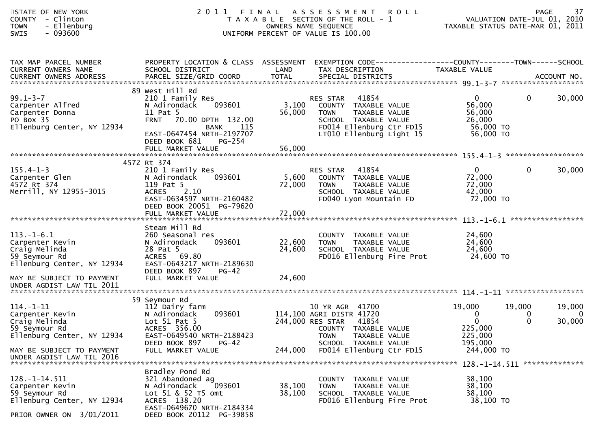| STATE OF NEW YORK<br><b>COUNTY</b><br>- Clinton<br>- Ellenburg<br><b>TOWN</b><br>$-093600$<br><b>SWIS</b>         | 2011                                                                                                                                                                              |                      | FINAL ASSESSMENT<br><b>ROLL</b><br>T A X A B L E SECTION OF THE ROLL - 1<br>OWNERS NAME SEQUENCE<br>UNIFORM PERCENT OF VALUE IS 100.00                    | TAXABLE STATUS DATE-MAR 01, 2011                                     | <b>PAGE</b><br>VALUATION DATE-JUL 01, 2010 | 37                           |
|-------------------------------------------------------------------------------------------------------------------|-----------------------------------------------------------------------------------------------------------------------------------------------------------------------------------|----------------------|-----------------------------------------------------------------------------------------------------------------------------------------------------------|----------------------------------------------------------------------|--------------------------------------------|------------------------------|
| TAX MAP PARCEL NUMBER<br>CURRENT OWNERS NAME<br><b>CURRENT OWNERS ADDRESS</b>                                     | PROPERTY LOCATION & CLASS ASSESSMENT<br>SCHOOL DISTRICT<br>PARCEL SIZE/GRID COORD                                                                                                 | LAND<br><b>TOTAL</b> | EXEMPTION CODE------------------COUNTY--------TOWN------SCHOOL<br>TAX DESCRIPTION<br>SPECIAL DISTRICTS                                                    | TAXABLE VALUE                                                        |                                            | ACCOUNT NO.                  |
|                                                                                                                   |                                                                                                                                                                                   |                      |                                                                                                                                                           |                                                                      |                                            |                              |
| $99.1 - 3 - 7$<br>Carpenter Alfred<br>Carpenter Donna<br>PO Box 35<br>Ellenburg Center, NY 12934                  | 89 West Hill Rd<br>210 1 Family Res<br>N Adirondack<br>093601<br>11 Pat 5<br>FRNT 70.00 DPTH 132.00<br>115<br><b>BANK</b><br>EAST-0647454 NRTH-2197707<br>DEED BOOK 681<br>PG-254 | 3,100<br>56,000      | 41854<br>RES STAR<br>COUNTY TAXABLE VALUE<br>TAXABLE VALUE<br><b>TOWN</b><br>SCHOOL TAXABLE VALUE<br>FD014 Ellenburg Ctr FD15<br>LT010 Ellenburg Light 15 | $\mathbf{0}$<br>56,000<br>56,000<br>26,000<br>56,000 TO<br>56,000 TO | $\mathbf{0}$                               | 30,000                       |
|                                                                                                                   |                                                                                                                                                                                   |                      |                                                                                                                                                           |                                                                      |                                            |                              |
|                                                                                                                   | 4572 Rt 374                                                                                                                                                                       |                      |                                                                                                                                                           |                                                                      |                                            |                              |
| $155.4 - 1 - 3$<br>Carpenter Glen<br>4572 Rt 374<br>Merrill, NY 12955-3015                                        | 210 1 Family Res<br>N Adirondack<br>093601<br>119 Pat 5<br><b>ACRES</b><br>2.10<br>EAST-0634597 NRTH-2160482<br>DEED BOOK 20051 PG-79620                                          | 5,600<br>72,000      | RES STAR<br>41854<br>COUNTY TAXABLE VALUE<br>TAXABLE VALUE<br><b>TOWN</b><br>SCHOOL TAXABLE VALUE<br>FD040 Lyon Mountain FD                               | $\mathbf{0}$<br>72,000<br>72,000<br>42,000<br>72,000 TO              | $\mathbf{0}$                               | 30,000                       |
|                                                                                                                   |                                                                                                                                                                                   |                      |                                                                                                                                                           |                                                                      |                                            |                              |
|                                                                                                                   |                                                                                                                                                                                   |                      |                                                                                                                                                           |                                                                      |                                            |                              |
| $113.-1-6.1$<br>Carpenter Kevin<br>Craig Melinda<br>59 Seymour Rd<br>Ellenburg Center, NY 12934                   | Steam Mill Rd<br>260 Seasonal res<br>N Adirondack<br>093601<br>28 Pat 5<br>ACRES 69.80<br>EAST-0643217 NRTH-2189630                                                               | 22,600<br>24,600     | COUNTY TAXABLE VALUE<br><b>TOWN</b><br>TAXABLE VALUE<br>SCHOOL TAXABLE VALUE<br>FD016 Ellenburg Fire Prot                                                 | 24,600<br>24,600<br>24,600<br>24,600 TO                              |                                            |                              |
| MAY BE SUBJECT TO PAYMENT                                                                                         | DEED BOOK 897<br>$PG-42$<br>FULL MARKET VALUE                                                                                                                                     | 24,600               |                                                                                                                                                           |                                                                      |                                            |                              |
| UNDER AGDIST LAW TIL 2011                                                                                         |                                                                                                                                                                                   |                      |                                                                                                                                                           |                                                                      |                                            |                              |
|                                                                                                                   |                                                                                                                                                                                   |                      |                                                                                                                                                           |                                                                      |                                            |                              |
| $114. - 1 - 11$<br>Carpenter Kevin<br>Craig Melinda<br>59 Seymour Rd<br>Ellenburg Center, NY 12934                | 59 Seymour Rd<br>112 Dairy farm<br>093601<br>N Adirondack<br>Lot $51$ Pat $5$<br>ACRES 356.00<br>EAST-0649540 NRTH-2188423                                                        |                      | 41700<br>10 YR AGR<br>114,100 AGRI DISTR 41720<br>244,000 RES STAR<br>41854<br>COUNTY TAXABLE VALUE<br><b>TOWN</b><br>TAXABLE VALUE                       | 19,000<br>0<br>$\mathbf{0}$<br>225,000<br>225,000                    | 19,000<br>0<br>0                           | 19,000<br>$\Omega$<br>30,000 |
| MAY BE SUBJECT TO PAYMENT<br>UNDER AGDIST LAW TIL 2016                                                            | DEED BOOK 897<br>PG-42<br>FULL MARKET VALUE                                                                                                                                       | 244,000              | SCHOOL TAXABLE VALUE<br>FD014 Ellenburg Ctr FD15                                                                                                          | 195,000<br>244,000 TO                                                |                                            |                              |
| $128. - 1 - 14.511$<br>Carpenter Kevin<br>59 Seymour Rd<br>Ellenburg Center, NY 12934<br>PRIOR OWNER ON 3/01/2011 | Bradley Pond Rd<br>321 Abandoned ag<br>N Adirondack<br>093601<br>Lot 51 & 52 T5 omt<br>ACRES 138.20<br>EAST-0649670 NRTH-2184334<br>DEED BOOK 20112 PG-39858                      | 38,100<br>38,100     | COUNTY TAXABLE VALUE<br><b>TOWN</b><br>TAXABLE VALUE<br>SCHOOL TAXABLE VALUE<br>FD016 Ellenburg Fire Prot                                                 | 38,100<br>38,100<br>38,100<br>38,100 TO                              |                                            |                              |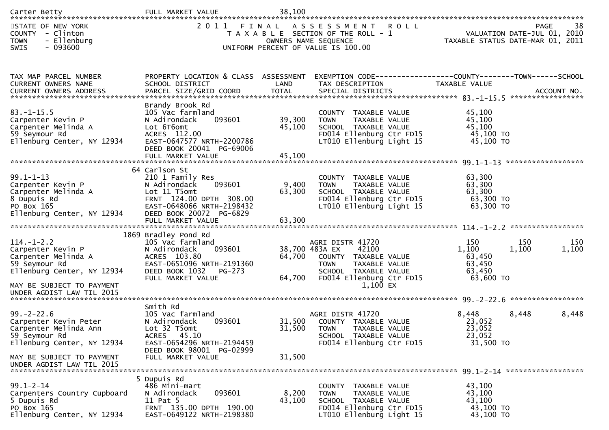| Carter Betty                                                                                                                                                          | FULL MARKET VALUE                                                                                                                                                                   | 38,100                     |                                                                                                                                                                       |                                                         |                                                                               |
|-----------------------------------------------------------------------------------------------------------------------------------------------------------------------|-------------------------------------------------------------------------------------------------------------------------------------------------------------------------------------|----------------------------|-----------------------------------------------------------------------------------------------------------------------------------------------------------------------|---------------------------------------------------------|-------------------------------------------------------------------------------|
| STATE OF NEW YORK<br>COUNTY - Clinton<br>- Ellenburg<br><b>TOWN</b><br>$-093600$<br><b>SWIS</b>                                                                       | 2011<br>FINAL                                                                                                                                                                       |                            | ASSESSMENT<br><b>ROLL</b><br>T A X A B L E SECTION OF THE ROLL - 1<br>OWNERS NAME SEQUENCE<br>UNIFORM PERCENT OF VALUE IS 100.00                                      |                                                         | 38<br>PAGE<br>VALUATION DATE-JUL 01, 2010<br>TAXABLE STATUS DATE-MAR 01, 2011 |
| TAX MAP PARCEL NUMBER<br>CURRENT OWNERS NAME<br>.4CCOUNT NO . PARCEL SIZE/GRID COORD TOTAL SPECIAL DISTRICTS SPERE BELL ACCOUNT NO . ACCOUNT NO . AND A AND RES       | PROPERTY LOCATION & CLASS ASSESSMENT<br>SCHOOL DISTRICT                                                                                                                             | LAND                       | EXEMPTION CODE-----------------COUNTY-------TOWN------SCHOOL<br>TAX DESCRIPTION                                                                                       | TAXABLE VALUE                                           |                                                                               |
| $83. - 1 - 15.5$<br>Carpenter Kevin P<br>Carpenter Melinda A<br>59 Seymour Rd<br>Ellenburg Center, NY 12934                                                           | Brandy Brook Rd<br>105 Vac farmland<br>093601<br>N Adirondack<br>Lot 6T6omt<br>ACRES 112.00<br>EAST-0647577 NRTH-2200786<br>DEED BOOK 20041 PG-69006<br>FULL MARKET VALUE           | 39,300<br>45,100<br>45,100 | COUNTY TAXABLE VALUE<br><b>TOWN</b><br>TAXABLE VALUE<br>SCHOOL TAXABLE VALUE<br>FD014 Ellenburg Ctr FD15<br>LT010 Ellenburg Light 15                                  | 45,100<br>45,100<br>45,100<br>45,100 TO<br>45,100 TO    |                                                                               |
| $99.1 - 1 - 13$<br>Carpenter Kevin P<br>Carpenter Melinda A<br>8 Dupuis Rd<br>PO Box 165<br>Ellenburg Center, NY 12934                                                | 64 Carlson St<br>210 1 Family Res<br>093601<br>N Adirondack<br>Lot 11 T5omt<br>FRNT 124.00 DPTH 308.00<br>EAST-0648066 NRTH-2198432<br>DEED BOOK 20072 PG-6829<br>FULL MARKET VALUE | 9,400<br>63,300<br>63,300  | COUNTY TAXABLE VALUE<br>TAXABLE VALUE<br><b>TOWN</b><br>SCHOOL TAXABLE VALUE<br>FD014 Ellenburg Ctr FD15<br>LT010 Ellenburg Light 15                                  | 63,300<br>63,300<br>63,300<br>63,300 TO<br>63,300 TO    |                                                                               |
| $114. - 1 - 2.2$<br>Carpenter Kevin P<br>Carpenter Melinda A<br>59 Seymour Rd<br>Ellenburg Center, NY 12934<br>MAY BE SUBJECT TO PAYMENT<br>UNDER AGDIST LAW TIL 2015 | 1869 Bradley Pond Rd<br>105 Vac farmland<br>093601<br>N Adirondack<br>ACRES 103.80<br>EAST-0651096 NRTH-2191360<br>DEED BOOK 1032<br>PG-273<br>FULL MARKET VALUE                    | 64,700<br>64,700           | AGRI DISTR 41720<br>38,700 483A EX<br>42100<br>COUNTY TAXABLE VALUE<br>TAXABLE VALUE<br><b>TOWN</b><br>SCHOOL TAXABLE VALUE<br>FD014 Ellenburg Ctr FD15<br>$1,100$ EX | 150<br>1,100<br>63,450<br>63,450<br>63,450<br>63,600 TO | 150<br>150<br>1,100<br>1,100                                                  |
| $99. - 2 - 22.6$<br>Carpenter Kevin Peter<br>Carpenter Melinda Ann<br>59 Seymour Rd<br>Ellenburg Center, NY 12934                                                     | Smith Rd<br>105 Vac farmland<br>093601<br>N Adirondack<br>Lot 32 T5omt<br>ACRES 45.10<br>EAST-0654296 NRTH-2194459<br>DEED BOOK 98001 PG-02999                                      | 31,500<br>31,500           | AGRI DISTR 41720<br>COUNTY TAXABLE VALUE<br><b>TOWN</b><br>TAXABLE VALUE<br>SCHOOL TAXABLE VALUE<br>FD014 Ellenburg Ctr FD15                                          | 8,448<br>23,052<br>23,052<br>23,052<br>31,500 TO        | *****************<br>8,448<br>8,448                                           |
| MAY BE SUBJECT TO PAYMENT<br>UNDER AGDIST LAW TIL 2015                                                                                                                | FULL MARKET VALUE                                                                                                                                                                   | 31,500                     |                                                                                                                                                                       |                                                         |                                                                               |
| $99.1 - 2 - 14$<br>Carpenters Country Cupboard<br>5 Dupuis Rd<br>PO Box 165<br>Ellenburg Center, NY 12934                                                             | 5 Dupuis Rd<br>486 Mini-mart<br>093601<br>N Adirondack<br>11 Pat 5<br>FRNT 135.00 DPTH 190.00<br>EAST-0649122 NRTH-2198380                                                          | 8,200<br>43,100            | <b>COUNTY</b><br>TAXABLE VALUE<br>TAXABLE VALUE<br><b>TOWN</b><br>SCHOOL TAXABLE VALUE<br>FD014 Ellenburg Ctr FD15<br>LT010 Ellenburg Light 15                        | 43,100<br>43,100<br>43,100<br>43,100 TO<br>43,100 TO    |                                                                               |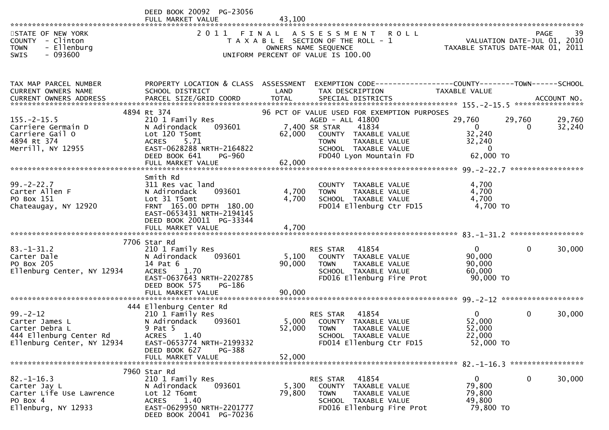|                                                                                                   | DEED BOOK 20092 PG-23056<br>FULL MARKET VALUE | 43.100     |                                                                                                                              |                                                                                |
|---------------------------------------------------------------------------------------------------|-----------------------------------------------|------------|------------------------------------------------------------------------------------------------------------------------------|--------------------------------------------------------------------------------|
| STATE OF NEW YORK<br>- Clinton<br><b>COUNTY</b><br>- Ellenburg<br><b>TOWN</b><br>- 093600<br>SWIS |                                               |            | FINAL ASSESSMENT ROLL<br>T A X A B L E SECTION OF THE ROLL - 1<br>OWNERS NAME SEQUENCE<br>UNIFORM PERCENT OF VALUE IS 100.00 | -39<br>PAGE<br>VALUATION DATE-JUL 01, 2010<br>TAXABLE STATUS DATE-MAR 01, 2011 |
| TAX MAP PARCEL NUMBER                                                                             | PROPERTY LOCATION & CLASS                     | ASSESSMENT | TAX DESCRIPTION                                                                                                              | EXEMPTION CODE------------------COUNTY--------TOWN------SCHOOL                 |
| CURRENT OWNERS NAME                                                                               | SCHOOL DISTRICT                               | LAND       |                                                                                                                              | TAXABLE VALUE                                                                  |
| <b>CURRENT OWNERS ADDRESS</b>                                                                     | PARCEL SIZE/GRID COORD                        | TOTAL      | SPECIAL DISTRICTS                                                                                                            | ACCOUNT NO.                                                                    |
|                                                                                                   | 4894 Rt 374                                   |            | 96 PCT OF VALUE USED FOR EXEMPTION PURPOSES                                                                                  | ****************                                                               |

| CUNNLINI UWINLINJ ADDINLJJ                                                                                                               | <b>I ANCLE SIZE, GIVID COOND</b>                                                                                                            |                 | CIPLE DISINICIO                                                                                                                        |               |                                                                            |          | ALLUUNI IVU. |
|------------------------------------------------------------------------------------------------------------------------------------------|---------------------------------------------------------------------------------------------------------------------------------------------|-----------------|----------------------------------------------------------------------------------------------------------------------------------------|---------------|----------------------------------------------------------------------------|----------|--------------|
| $155. - 2 - 15.5$                                                                                                                        | 4894 Rt 374<br>210 1 Family Res<br>093601                                                                                                   |                 | 96 PCT OF VALUE USED FOR EXEMPTION PURPOSES<br>AGED - ALL 41800                                                                        |               | 29,760                                                                     | 29,760   | 29,760       |
| Carriere Germain D<br>Carriere Gail O<br>4894 Rt 374<br>Merrill, NY 12955                                                                | N Adirondack<br>Lot 120 T5omt<br>ACRES 5.71<br>EAST-0628288 NRTH-2164822<br>DEED BOOK 641<br>PG-960                                         |                 | 7,400 SR STAR<br>41834<br>62,000 COUNTY TAXABLE VALUE<br>TOWN      TAXABLE  VALUE<br>SCHOOL   TAXABLE  VALUE<br>FD040 Lyon Mountain FD |               | $\overline{\mathbf{0}}$<br>32,240<br>32,240<br>$\overline{0}$<br>62,000 TO | $\Omega$ | 32,240       |
|                                                                                                                                          |                                                                                                                                             |                 |                                                                                                                                        |               |                                                                            |          |              |
|                                                                                                                                          |                                                                                                                                             |                 |                                                                                                                                        |               |                                                                            |          |              |
| $99. - 2 - 22.7$<br>Carter Allen F<br>PO Box 151<br>Chateaugay, NY 12920                                                                 | Smith Rd<br>311 Res vac land<br>093601<br>N Adirondack<br>Lot 31 T5omt<br>FRNT 165.00 DPTH 180.00<br>EAST-0653431 NRTH-2194145              | 4,700<br>4,700  | COUNTY TAXABLE VALUE<br><b>TOWN</b><br>SCHOOL TAXABLE VALUE<br>FD014 Ellenburg Ctr FD15                                                | TAXABLE VALUE | 4,700<br>4,700<br>4,700<br>4,700 TO                                        |          |              |
|                                                                                                                                          | DEED BOOK 20011 PG-33344                                                                                                                    |                 |                                                                                                                                        |               |                                                                            |          |              |
|                                                                                                                                          | 7706 Star Rd                                                                                                                                |                 |                                                                                                                                        |               |                                                                            |          |              |
| $83. - 1 - 31.2$<br>Carter Dale<br>PO Box 205<br>Ellenburg Center, NY 12934                                                              | 210 1 Family Res<br>N Adirondack<br>093601<br>14 Pat 6<br>ACRES 1.70<br>EAST-0637643 NRTH-2202785<br>DEED BOOK 575<br>PG-186                | 90,000          | RES STAR 41854<br>5,100 COUNTY TAXABLE VALUE<br>TAXABLE VALUE<br><b>TOWN</b><br>SCHOOL TAXABLE VALUE<br>FD016 Ellenburg Fire Prot      |               | $\overline{0}$<br>90,000<br>90,000<br>60,000<br>90,000 TO                  | $\Omega$ | 30,000       |
|                                                                                                                                          |                                                                                                                                             |                 |                                                                                                                                        |               |                                                                            |          |              |
|                                                                                                                                          | 444 Ellenburg Center Rd                                                                                                                     |                 |                                                                                                                                        |               |                                                                            |          |              |
| $99 - 2 - 12$<br>Carter James L<br>Carter Debra L<br>444 Ellenburg Center Rd<br>Ellenburg Center. NY 12934<br>Ellenburg Center, NY 12934 | 210 1 Family Res<br>093601<br>N Adirondack<br>9 Pat 5<br>ACRES 1.40<br>EAST-0653774 NRTH-2199332<br>DEED BOOK 627<br>PG-388                 | 52,000          | RES STAR 41854<br>5,000 COUNTY TAXABLE VALUE<br><b>TOWN</b><br>SCHOOL TAXABLE VALUE<br>FD014 Ellenburg Ctr FD15                        | TAXABLE VALUE | $\mathbf{0}$<br>52,000<br>52,000<br>22,000<br>52,000 TO                    | $\Omega$ | 30,000       |
|                                                                                                                                          |                                                                                                                                             |                 |                                                                                                                                        |               |                                                                            |          |              |
|                                                                                                                                          | 7960 Star Rd                                                                                                                                |                 |                                                                                                                                        |               |                                                                            |          |              |
| $82 - 1 - 16.3$<br>Carter Jay L<br>Carter Life Use Lawrence<br>PO Box 4<br>Ellenburg, NY 12933                                           | 210 1 Family Res<br>N Adirondack<br>093601<br>Lot 12 T6omt<br><b>ACRES</b><br>1.40<br>EAST-0629950 NRTH-2201777<br>DEED BOOK 20041 PG-70236 | 5,300<br>79,800 | RES STAR 41854<br>COUNTY TAXABLE VALUE<br>TAXABLE VALUE<br><b>TOWN</b><br>SCHOOL TAXABLE VALUE<br>FD016 Ellenburg Fire Prot            |               | $\overline{0}$<br>79,800<br>79,800<br>49,800<br>79,800 TO                  | $\Omega$ | 30,000       |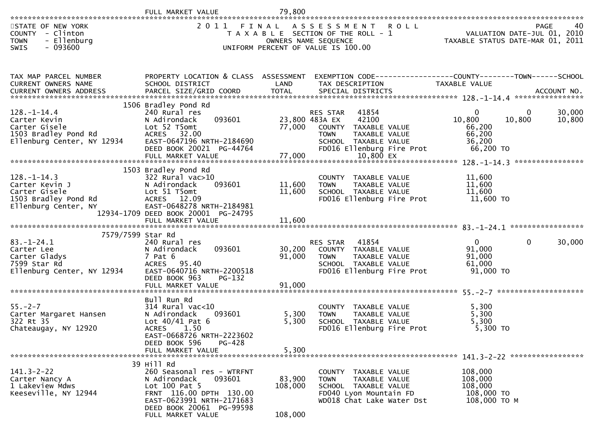|                                                                                                                    | FULL MARKET VALUE                                                                                                                                                                           | 79,800                       |                                                                                                                                                                                      |                                                             |                                                                               |
|--------------------------------------------------------------------------------------------------------------------|---------------------------------------------------------------------------------------------------------------------------------------------------------------------------------------------|------------------------------|--------------------------------------------------------------------------------------------------------------------------------------------------------------------------------------|-------------------------------------------------------------|-------------------------------------------------------------------------------|
| STATE OF NEW YORK<br>COUNTY - Clinton<br>- Ellenburg<br><b>TOWN</b><br>$-093600$<br><b>SWIS</b>                    |                                                                                                                                                                                             |                              | 2011 FINAL ASSESSMENT ROLL<br>T A X A B L E SECTION OF THE ROLL - 1<br>OWNERS NAME SEQUENCE<br>UNIFORM PERCENT OF VALUE IS 100.00                                                    |                                                             | PAGE<br>40<br>VALUATION DATE-JUL 01, 2010<br>TAXABLE STATUS DATE-MAR 01, 2011 |
| TAX MAP PARCEL NUMBER<br><b>CURRENT OWNERS NAME</b><br>CURRENT OWNERS ADDRESS                                      | PROPERTY LOCATION & CLASS ASSESSMENT<br>SCHOOL DISTRICT                                                                                                                                     | LAND                         | EXEMPTION CODE------------------COUNTY--------TOWN------SCHOOL<br>TAX DESCRIPTION                                                                                                    | TAXABLE VALUE                                               |                                                                               |
| 128. - 1 - 14. 4<br>Carter Kevin<br>Carter Gisele<br>1503 Bradley Pond Rd<br>Ellenburg Center, NY 12934            | 1506 Bradley Pond Rd<br>240 Rural res<br>093601<br>N Adirondack<br>Lot 52 T5omt<br><b>ACRES</b><br>32.00<br>EAST-0647196 NRTH-2184690<br>DEED BOOK 20021 PG-44764<br>FULL MARKET VALUE      | 77,000                       | 41854<br><b>RES STAR</b><br>23,800 483A EX<br>42100<br>77,000 COUNTY TAXABLE VALUE<br>TAXABLE VALUE<br><b>TOWN</b><br>SCHOOL TAXABLE VALUE<br>FD016 Ellenburg Fire Prot<br>10,800 EX | 0<br>10,800<br>66,200<br>66,200<br>36,200<br>66,200 TO      | 30,000<br>0<br>10,800<br>10,800                                               |
| $128. - 1 - 14.3$<br>Carter Kevin J<br>Carter Gisele<br>1503 Bradley Pond Rd<br>Ellenburg Center, NY               | 1503 Bradley Pond Rd<br>$322$ Rural vac $>10$<br>093601<br>N Adirondack<br>Lot 51 T5omt<br>ACRES 12.09<br>EAST-0648278 NRTH-2184981<br>12934-1709 DEED BOOK 20001 PG-24795                  | 11,600<br>11,600             | COUNTY TAXABLE VALUE<br>TAXABLE VALUE<br>TOWN<br>SCHOOL TAXABLE VALUE<br>FD016 Ellenburg Fire Prot                                                                                   | 11,600<br>11,600<br>11,600<br>11,600 TO                     |                                                                               |
| 7579/7599 Star Rd<br>$83. - 1 - 24.1$<br>Carter Lee<br>Carter Gladys<br>7599 Star Rd<br>Ellenburg Center, NY 12934 | 240 Rural res<br>093601<br>N Adirondack<br>7 Pat 6<br><b>ACRES</b><br>95.40<br>EAST-0640716 NRTH-2200518<br>DEED BOOK 963<br>PG-132<br>FULL MARKET VALUE                                    | 30,200<br>91,000<br>91,000   | 41854<br><b>RES STAR</b><br>COUNTY TAXABLE VALUE<br>TAXABLE VALUE<br>TOWN<br>SCHOOL TAXABLE VALUE<br>FD016 Ellenburg Fire Prot                                                       | $\overline{0}$<br>91,000<br>91,000<br>61,000<br>91,000 TO   | 30,000<br>$\Omega$                                                            |
| $55. - 2 - 7$<br>Carter Margaret Hansen<br>322 Rt 35<br>Chateaugay, NY 12920                                       | Bull Run Rd<br>$314$ Rural vac<10<br>N Adirondack<br>093601<br>Lot $40/41$ Pat 6<br>ACRES 1.50<br>EAST-0668726 NRTH-2223602<br>DEED BOOK 596<br>PG-428<br>FULL MARKET VALUE                 | 5,300<br>5,300<br>5,300      | <b>COUNTY</b><br>TAXABLE VALUE<br>TAXABLE VALUE<br><b>TOWN</b><br>SCHOOL TAXABLE VALUE<br>FD016 Ellenburg Fire Prot                                                                  | 5,300<br>5,300<br>5,300<br>5,300 TO                         |                                                                               |
| $141.3 - 2 - 22$<br>Carter Nancy A<br>1 Lakeview Mdws<br>Keeseville, NY 12944                                      | 39 Hill Rd<br>260 Seasonal res - WTRFNT<br>N Adirondack<br>093601<br>Lot 100 Pat 5<br>FRNT 116.00 DPTH 130.00<br>EAST-0623991 NRTH-2171683<br>DEED BOOK 20061 PG-99598<br>FULL MARKET VALUE | 83,900<br>108,000<br>108,000 | COUNTY TAXABLE VALUE<br><b>TOWN</b><br>TAXABLE VALUE<br>SCHOOL TAXABLE VALUE<br>FD040 Lyon Mountain FD<br>WD018 Chat Lake Water Dst                                                  | 108,000<br>108,000<br>108,000<br>108,000 TO<br>108,000 ТО М |                                                                               |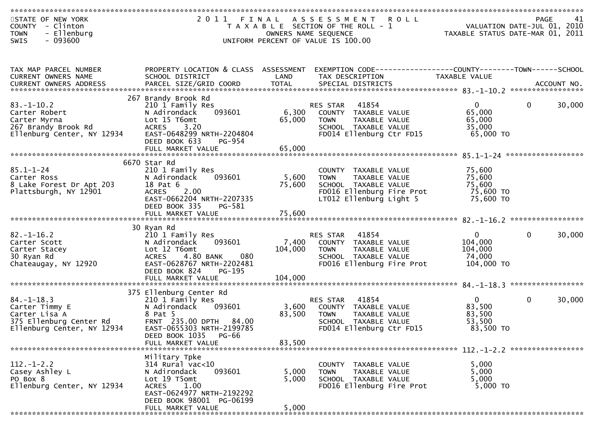| STATE OF NEW YORK<br>COUNTY - Clinton<br><b>TOWN</b><br>- Ellenburg<br>$-093600$<br><b>SWIS</b>              | 2 0 1 1                                                                                                                                                              | OWNERS NAME SEQUENCE | FINAL ASSESSMENT ROLL<br>T A X A B L E SECTION OF THE ROLL - 1<br>UNIFORM PERCENT OF VALUE IS 100.00                                 | VALUATION DATE-JUL 01, 2010<br>TAXABLE STATUS DATE-MAR 01, 2011 | <b>PAGE</b>  | 41     |
|--------------------------------------------------------------------------------------------------------------|----------------------------------------------------------------------------------------------------------------------------------------------------------------------|----------------------|--------------------------------------------------------------------------------------------------------------------------------------|-----------------------------------------------------------------|--------------|--------|
|                                                                                                              |                                                                                                                                                                      |                      |                                                                                                                                      |                                                                 |              |        |
| TAX MAP PARCEL NUMBER<br>CURRENT OWNERS NAME                                                                 | PROPERTY LOCATION & CLASS ASSESSMENT<br>SCHOOL DISTRICT                                                                                                              | LAND                 | EXEMPTION CODE-----------------COUNTY-------TOWN------SCHOOL<br>TAX DESCRIPTION                                                      | <b>TAXABLE VALUE</b>                                            |              |        |
|                                                                                                              | 267 Brandy Brook Rd                                                                                                                                                  |                      |                                                                                                                                      |                                                                 |              |        |
| $83. - 1 - 10.2$<br>Carter Robert<br>Carter Myrna<br>267 Brandy Brook Rd<br>Ellenburg Center, NY 12934       | 210 1 Family Res<br>N Adirondack<br>093601<br>Lot 15 T6omt<br>ACRES 3.20<br>EAST-0648299 NRTH-2204804<br>DEED BOOK 633<br><b>PG-954</b>                              | 6,300<br>65,000      | 41854<br>RES STAR<br>COUNTY TAXABLE VALUE<br><b>TOWN</b><br>TAXABLE VALUE<br>SCHOOL TAXABLE VALUE<br>FD014 Ellenburg Ctr FD15        | $\mathbf{0}$<br>65,000<br>65,000<br>35,000<br>65,000 TO         | $\mathbf 0$  | 30,000 |
|                                                                                                              | FULL MARKET VALUE                                                                                                                                                    | 65,000               |                                                                                                                                      |                                                                 |              |        |
| $85.1 - 1 - 24$<br>Carter Ross<br>8 Lake Forest Dr Apt 203<br>Plattsburgh, NY 12901                          | 6670 Star Rd<br>210 1 Family Res<br>093601<br>N Adirondack<br>18 Pat 6<br>ACRES 2.00<br>EAST-0662204 NRTH-2207335<br>DEED BOOK 335<br>PG-581                         | 5,600<br>75,600      | COUNTY TAXABLE VALUE<br>TAXABLE VALUE<br><b>TOWN</b><br>SCHOOL TAXABLE VALUE<br>FD016 Ellenburg Fire Prot<br>LT012 Ellenburg Light 5 | 75,600<br>75,600<br>75,600<br>75,600 TO<br>75,600 TO            |              |        |
|                                                                                                              |                                                                                                                                                                      |                      |                                                                                                                                      |                                                                 |              |        |
| $82. - 1 - 16.2$<br>Carter Scott<br>Carter Stacey<br>30 Ryan Rd<br>Chateaugay, NY 12920                      | 30 Ryan Rd<br>210 1 Family Res<br>093601<br>N Adirondack<br>Lot 12 T6omt<br>4.80 BANK<br>080<br><b>ACRES</b><br>EAST-0628767 NRTH-2202481<br>DEED BOOK 824<br>PG-195 | 7,400<br>104,000     | RES STAR<br>41854<br>COUNTY TAXABLE VALUE<br>TAXABLE VALUE<br><b>TOWN</b><br>SCHOOL TAXABLE VALUE<br>FD016 Ellenburg Fire Prot       | $\Omega$<br>104,000<br>104,000<br>74,000<br>104,000 TO          | $\Omega$     | 30,000 |
|                                                                                                              |                                                                                                                                                                      |                      |                                                                                                                                      |                                                                 |              |        |
| $84. - 1 - 18.3$<br>Carter Timmy E<br>Carter Lisa A<br>375 Ellenburg Center Rd<br>Ellenburg Center, NY 12934 | 375 Ellenburg Center Rd<br>210 1 Family Res<br>093601<br>N Adirondack<br>8 Pat 5<br>FRNT 235.00 DPTH 84.00<br>EAST-0655303 NRTH-2199785<br>DEED BOOK 1035 PG-66      | 3,600<br>83,500      | 41854<br>RES STAR<br>COUNTY TAXABLE VALUE<br><b>TOWN</b><br>TAXABLE VALUE<br>SCHOOL TAXABLE VALUE<br>FD014 Ellenburg Ctr FD15        | $\mathbf{0}$<br>83,500<br>83,500<br>53,500<br>83,500 TO         | $\mathbf{0}$ | 30,000 |
|                                                                                                              | FULL MARKET VALUE                                                                                                                                                    | 83,500               |                                                                                                                                      |                                                                 |              |        |
| $112. - 1 - 2.2$<br>Casey Ashley L<br>PO Box 8<br>Ellenburg Center, NY 12934                                 | Military Tpke<br>314 Rural vac<10<br>093601<br>N Adirondack<br>Lot 19 T5omt<br>ACRES 1.00<br>EAST-0624977 NRTH-2192292<br>DEED BOOK 98001 PG-06199                   | 5,000<br>5,000       | COUNTY TAXABLE VALUE<br>TAXABLE VALUE<br><b>TOWN</b><br>SCHOOL TAXABLE VALUE<br>FD016 Ellenburg Fire Prot                            | 5,000<br>5,000<br>5,000<br>5,000 TO                             |              |        |
|                                                                                                              | FULL MARKET VALUE                                                                                                                                                    | 5,000                |                                                                                                                                      |                                                                 |              |        |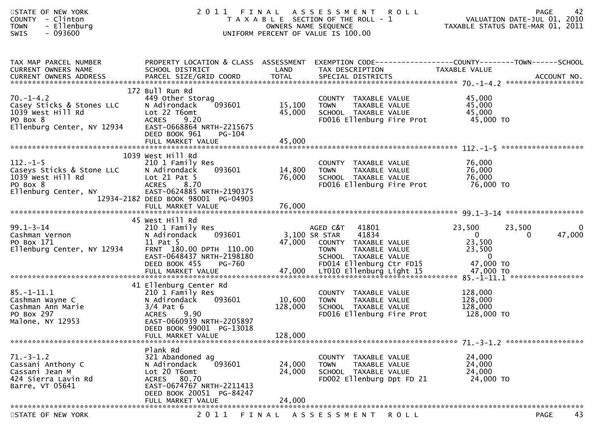| STATE OF NEW YORK<br>- Clinton<br><b>COUNTY</b><br><b>TOWN</b><br>- Ellenburg<br>$-093600$<br><b>SWIS</b>   | 2011                                                                                                                                                                                      |                              | FINAL ASSESSMENT<br><b>ROLL</b><br>T A X A B L E SECTION OF THE ROLL - 1<br>OWNERS NAME SEQUENCE<br>UNIFORM PERCENT OF VALUE IS 100.00                  | 42<br><b>PAGE</b><br>VALUATION DATE-JUL 01, 2010<br>TAXABLE STATUS DATE-MAR 01, 2011                                      |
|-------------------------------------------------------------------------------------------------------------|-------------------------------------------------------------------------------------------------------------------------------------------------------------------------------------------|------------------------------|---------------------------------------------------------------------------------------------------------------------------------------------------------|---------------------------------------------------------------------------------------------------------------------------|
| TAX MAP PARCEL NUMBER<br>CURRENT OWNERS NAME                                                                | PROPERTY LOCATION & CLASS ASSESSMENT<br>SCHOOL DISTRICT                                                                                                                                   | LAND                         | TAX DESCRIPTION                                                                                                                                         | EXEMPTION CODE------------------COUNTY--------TOWN------SCHOOL<br>TAXABLE VALUE                                           |
| $70. - 1 - 4.2$<br>Casey Sticks & Stones LLC<br>1039 West Hill Rd<br>PO Box 8<br>Ellenburg Center, NY 12934 | 172 Bull Run Rd<br>449 Other Storag<br>093601<br>N Adirondack<br>Lot 22 T6omt<br><b>ACRES</b><br>9.20<br>EAST-0668864 NRTH-2215675<br>DEED BOOK 961<br>PG-104<br>FULL MARKET VALUE        | 15,100<br>45,000<br>45,000   | COUNTY TAXABLE VALUE<br>TAXABLE VALUE<br><b>TOWN</b><br>SCHOOL TAXABLE VALUE<br>FD016 Ellenburg Fire Prot 45,000 TO                                     | 45,000<br>45,000<br>45,000                                                                                                |
| $112. - 1 - 5$<br>Caseys Sticks & Stone LLC<br>1039 West Hill Rd<br>PO Box 8<br>Ellenburg Center, NY        | 1039 West Hill Rd<br>210 1 Family Res<br>093601<br>N Adirondack<br>Lot $21$ Pat $5$<br>8.70<br><b>ACRES</b><br>EAST-0624885 NRTH-2190375<br>12934-2182 DEED BOOK 98001 PG-04903           | 14,800<br>76,000             | COUNTY TAXABLE VALUE<br>TAXABLE VALUE<br>TAXABLE VALUE<br><b>TOWN</b><br>SCHOOL TAXABLE VALUE<br>FD016 Ellenburg Fire Prot                              | 76,000<br>76,000<br>76,000<br>76,000 TO                                                                                   |
|                                                                                                             | FULL MARKET VALUE                                                                                                                                                                         | 76,000                       |                                                                                                                                                         |                                                                                                                           |
| $99.1 - 3 - 14$<br>Cashman Vernon<br>PO Box 171<br>Ellenburg Center, NY 12934                               | 45 West Hill Rd<br>210 1 Family Res<br>093601<br>N Adirondack<br>11 Pat 5<br>FRNT 180.00 DPTH 110.00<br>EAST-0648437 NRTH-2198180<br>DEED BOOK 455<br><b>PG-760</b>                       | 47,000                       | AGED C&T<br>41801<br>41834<br>3,100 SR STAR<br>COUNTY TAXABLE VALUE<br>TAXABLE VALUE<br><b>TOWN</b><br>SCHOOL TAXABLE VALUE<br>FD014 Ellenburg Ctr FD15 | $\mathbf{0}$<br>23,500<br>23,500<br>$\overline{0}$<br>47,000<br>$\Omega$<br>23,500<br>23,500<br>$\mathbf{0}$<br>47,000 TO |
| 85.-1-11.1<br>Cashman Wayne C<br>Cashman Ann Marie<br>PO Box 297<br>Malone, NY 12953                        | 41 Ellenburg Center Rd<br>210 1 Family Res<br>093601<br>N Adirondack<br>$3/4$ Pat 6<br>9.90<br><b>ACRES</b><br>EAST-0660939 NRTH-2205897<br>DEED BOOK 99001 PG-13018<br>FULL MARKET VALUE | 10,600<br>128,000<br>128,000 | COUNTY TAXABLE VALUE<br><b>TOWN</b><br>TAXABLE VALUE<br>SCHOOL TAXABLE VALUE<br>FD016 Ellenburg Fire Prot                                               | 128,000<br>128,000<br>128,000<br>128,000 TO                                                                               |
|                                                                                                             | Plank Rd                                                                                                                                                                                  |                              |                                                                                                                                                         |                                                                                                                           |
| $71.-3-1.2$<br>Cassani Anthony C<br>Cassani Jean M<br>424 Sierra Lavin Rd<br>Barre, VT 05641                | 321 Abandoned ag<br>N Adirondack<br>093601<br>Lot 20 T6omt<br>ACRES 80.70<br>EAST-0674767 NRTH-2211413<br>DEED BOOK 20051 PG-84247<br>FULL MARKET VALUE                                   | 24,000<br>24,000<br>24,000   | COUNTY<br>TAXABLE VALUE<br>TAXABLE VALUE<br><b>TOWN</b><br>SCHOOL TAXABLE VALUE<br>FD002 Ellenburg Dpt FD 21                                            | 24,000<br>24,000<br>24,000<br>24,000 TO                                                                                   |
| $NENU$ $NONU$                                                                                               |                                                                                                                                                                                           |                              |                                                                                                                                                         |                                                                                                                           |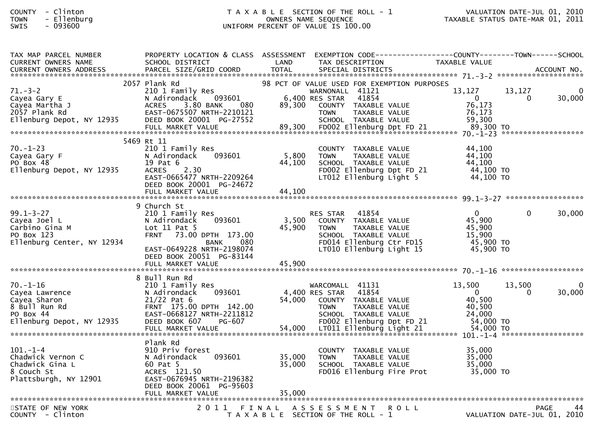## COUNTY - Clinton T A X A B L E SECTION OF THE ROLL - 1 VALUATION DATE-JUL 01, 2010TOWN - Ellenburg OWNERS NAME SEQUENCE TAXABLE STATUS DATE-MAR 01, 2011SWIS - 093600 UNIFORM PERCENT OF VALUE IS 100.00

| TAX MAP PARCEL NUMBER<br><b>CURRENT OWNERS NAME</b>                                                         | PROPERTY LOCATION & CLASS ASSESSMENT EXEMPTION CODE----------------COUNTY-------TOWN------SCHOOL<br>SCHOOL DISTRICT                               | LAND                                  | TAX DESCRIPTION                                        |                                                                                                                       | TAXABLE VALUE                                                          |                                     |                    |
|-------------------------------------------------------------------------------------------------------------|---------------------------------------------------------------------------------------------------------------------------------------------------|---------------------------------------|--------------------------------------------------------|-----------------------------------------------------------------------------------------------------------------------|------------------------------------------------------------------------|-------------------------------------|--------------------|
|                                                                                                             |                                                                                                                                                   |                                       |                                                        |                                                                                                                       |                                                                        |                                     |                    |
|                                                                                                             | 2057 Plank Rd                                                                                                                                     |                                       |                                                        | 98 PCT OF VALUE USED FOR EXEMPTION PURPOSES                                                                           |                                                                        |                                     |                    |
| $71. - 3 - 2$<br>Cayea Gary E<br>Cayea Martha J<br>2057 Plank Rd<br>Ellenburg Depot, NY 12935               | 210 1 Family Res<br>N Adirondack 093601<br>3.80 BANK<br><b>ACRES</b><br>- 080<br>EAST-0675507 NRTH-2210121<br>DEED BOOK 20001 PG-27552            | 89,300                                | WARNONALL 41121<br>6,400 RES STAR<br><b>TOWN</b>       | 41854<br>COUNTY TAXABLE VALUE<br>TAXABLE VALUE<br>SCHOOL TAXABLE VALUE                                                | 13,127<br>$\overline{0}$<br>76,173<br>76,173<br>59,300                 | 13,127<br>$\Omega$                  | $\Omega$<br>30,000 |
|                                                                                                             |                                                                                                                                                   |                                       |                                                        |                                                                                                                       |                                                                        |                                     |                    |
|                                                                                                             | 5469 Rt 11                                                                                                                                        |                                       |                                                        |                                                                                                                       |                                                                        |                                     |                    |
| $70. - 1 - 23$<br>Cayea Gary F<br>PO Box 48<br>Ellenburg Depot, NY 12935                                    | 210 1 Family Res<br>093601<br>N Adirondack<br>19 Pat 6<br>2.30<br><b>ACRES</b><br>EAST-0665477 NRTH-2209264<br>DEED BOOK 20001 PG-24672           | 5,800<br>44,100                       | <b>TOWN</b>                                            | COUNTY TAXABLE VALUE<br>TAXABLE VALUE<br>SCHOOL TAXABLE VALUE<br>FD002 Ellenburg Dpt FD 21<br>LT012 Ellenburg Light 5 | 44.100<br>44.100<br>44,100<br>44,100 TO<br>44,100 TO                   |                                     |                    |
|                                                                                                             | FULL MARKET VALUE                                                                                                                                 | 44,100                                |                                                        |                                                                                                                       |                                                                        |                                     |                    |
| $99.1 - 3 - 27$<br>Cayea Joel L<br>Carbino Gina M<br>PO Box 123<br>Ellenburg Center, NY 12934               | 9 Church St<br>210 1 Family Res<br>093601<br>N Adirondack<br>Lot $11$ Pat 5<br>FRNT 73.00 DPTH 173.00<br>080<br>BANK<br>EAST-0649228 NRTH-2198074 | 3,500<br>45,900                       | RES STAR 41854<br><b>TOWN</b>                          | COUNTY TAXABLE VALUE<br>TAXABLE VALUE<br>SCHOOL TAXABLE VALUE<br>FD014 Ellenburg Ctr FD15<br>LT010 Ellenburg Light 15 | $\overline{0}$<br>45,900<br>45,900<br>15,900<br>45,900 TO<br>45,900 TO | $\Omega$                            | 30,000             |
|                                                                                                             | DEED BOOK 20051 PG-83144                                                                                                                          |                                       |                                                        |                                                                                                                       |                                                                        |                                     |                    |
|                                                                                                             | 8 Bull Run Rd                                                                                                                                     |                                       |                                                        |                                                                                                                       |                                                                        |                                     |                    |
| $70. - 1 - 16$<br>Cayea Lawrence<br>Cayea Sharon<br>8 Bull Run Rd<br>PO Box 44<br>Ellenburg Depot, NY 12935 | 210 1 Family Res<br>N Adirondack<br>093601<br>$21/22$ Pat 6<br>FRNT 175.00 DPTH 142.00<br>EAST-0668127 NRTH-2211812<br>DEED BOOK 607<br>PG-607    | 54,000                                | WARCOMALL 41131<br>4,400 RES STAR 41854<br><b>TOWN</b> | COUNTY TAXABLE VALUE<br>TAXABLE VALUE<br>SCHOOL TAXABLE VALUE<br>FD002 Ellenburg Dpt FD 21                            | 13,500<br>$\Omega$<br>40,500<br>40,500<br>24,000<br>54,000 TO          | 13,500<br>$\Omega$                  | 30,000             |
|                                                                                                             | Plank Rd                                                                                                                                          |                                       |                                                        |                                                                                                                       |                                                                        |                                     |                    |
| $101. - 1 - 4$<br>Chadwick Vernon C<br>Chadwick Gina L<br>8 Couch St<br>Plattsburgh, NY 12901               | 910 Priv forest<br>N Adirondack<br>093601<br>60 Pat 5<br>ACRES 121.50<br>EAST-0676945 NRTH-2196382<br>DEED BOOK 20061 PG-95603                    | 35,000<br>35,000                      | <b>TOWN</b>                                            | COUNTY TAXABLE VALUE<br>TAXABLE VALUE<br>SCHOOL TAXABLE VALUE<br>FD016 Ellenburg Fire Prot                            | 35,000<br>35,000<br>35,000<br>35,000 TO                                |                                     |                    |
|                                                                                                             |                                                                                                                                                   |                                       |                                                        |                                                                                                                       |                                                                        |                                     |                    |
| STATE OF NEW YORK<br>COUNTY - Clinton                                                                       | 2011 FINAL                                                                                                                                        | T A X A B L E SECTION OF THE ROLL - 1 | A S S E S S M E N T                                    | <b>ROLL</b>                                                                                                           |                                                                        | PAGE<br>VALUATION DATE-JUL 01, 2010 | 44                 |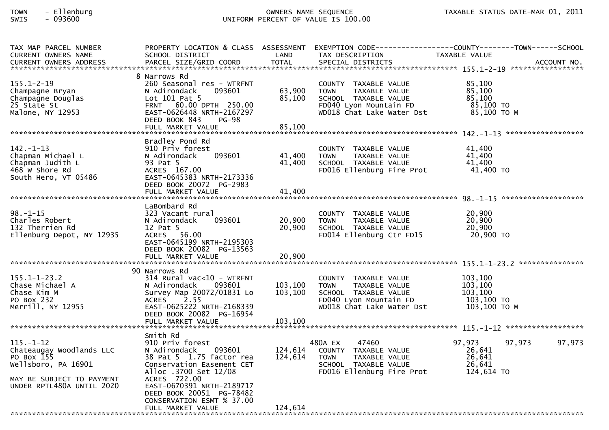## TOWN - Ellenburg OWNERS NAME SEQUENCE TAXABLE STATUS DATE-MAR 01, 2011SWIS - 093600 UNIFORM PERCENT OF VALUE IS 100.00

| TAX MAP PARCEL NUMBER<br>CURRENT OWNERS NAME                                                                                               | PROPERTY LOCATION & CLASS ASSESSMENT<br>SCHOOL DISTRICT                                                                                                                              | LAND               | EXEMPTION CODE-----------------COUNTY--------TOWN------SCHOOL<br>TAX DESCRIPTION                                                    | TAXABLE VALUE                                                |        |
|--------------------------------------------------------------------------------------------------------------------------------------------|--------------------------------------------------------------------------------------------------------------------------------------------------------------------------------------|--------------------|-------------------------------------------------------------------------------------------------------------------------------------|--------------------------------------------------------------|--------|
|                                                                                                                                            |                                                                                                                                                                                      |                    |                                                                                                                                     |                                                              |        |
| $155.1 - 2 - 19$<br>Champagne Bryan<br>Champagne Douglas<br>25 State St<br>Malone, NY 12953                                                | 8 Narrows Rd<br>260 Seasonal res - WTRFNT<br>093601<br>N Adirondack<br>Lot 101 Pat 5<br>FRNT 60.00 DPTH 250.00<br>EAST-0626448 NRTH-2167297<br>DEED BOOK 843<br><b>PG-98</b>         | 63,900<br>85,100   | COUNTY TAXABLE VALUE<br><b>TOWN</b><br>TAXABLE VALUE<br>SCHOOL TAXABLE VALUE<br>FD040 Lyon Mountain FD<br>WD018 Chat Lake Water Dst | 85,100<br>85,100<br>85,100<br>85,100 TO<br>85,100 ТО М       |        |
|                                                                                                                                            | Bradley Pond Rd                                                                                                                                                                      |                    |                                                                                                                                     |                                                              |        |
| $142. - 1 - 13$<br>Chapman Michael L<br>Chapman Judith L<br>468 W Shore Rd<br>South Hero, VT 05486                                         | 910 Priv forest<br>093601<br>N Adirondack<br>93 Pat 5<br>ACRES 167.00<br>EAST-0645383 NRTH-2173336<br>DEED BOOK 20072 PG-2983                                                        | 41,400<br>41,400   | COUNTY TAXABLE VALUE<br><b>TOWN</b><br>TAXABLE VALUE<br>SCHOOL TAXABLE VALUE<br>FD016 Ellenburg Fire Prot                           | 41,400<br>41,400<br>41,400<br>41,400 TO                      |        |
|                                                                                                                                            | FULL MARKET VALUE                                                                                                                                                                    | 41,400             |                                                                                                                                     |                                                              |        |
| $98. - 1 - 15$<br>Charles Robert<br>132 Therrien Rd<br>Ellenburg Depot, NY 12935                                                           | LaBombard Rd<br>323 Vacant rural<br>093601<br>N Adirondack<br>12 Pat 5<br>ACRES 56.00<br>EAST-0645199 NRTH-2195303<br>DEED BOOK 20082 PG-13563                                       | 20,900<br>20,900   | COUNTY TAXABLE VALUE<br><b>TOWN</b><br>TAXABLE VALUE<br>SCHOOL TAXABLE VALUE<br>FD014 Ellenburg Ctr FD15                            | 20,900<br>20,900<br>20,900<br>20,900 TO                      |        |
|                                                                                                                                            | FULL MARKET VALUE                                                                                                                                                                    | 20,900             |                                                                                                                                     |                                                              |        |
| $155.1 - 1 - 23.2$<br>Chase Michael A<br>Chase Kim M<br>PO Box 232<br>Merrill, NY 12955                                                    | 90 Narrows Rd<br>314 Rural vac<10 - WTRFNT<br>093601<br>N Adirondack<br>Survey Map 20072/01831 Lo<br>2.55<br>ACRES<br>EAST-0625222 NRTH-2168339<br>DEED BOOK 20082 PG-16954          | 103,100<br>103,100 | COUNTY TAXABLE VALUE<br><b>TOWN</b><br>TAXABLE VALUE<br>SCHOOL TAXABLE VALUE<br>FD040 Lyon Mountain FD<br>WD018 Chat Lake Water Dst | 103,100<br>103,100<br>103,100<br>103,100 TO<br>103,100 ТО М  |        |
|                                                                                                                                            | FULL MARKET VALUE                                                                                                                                                                    | 103,100            |                                                                                                                                     |                                                              |        |
| $115. - 1 - 12$<br>Chateaugay Woodlands LLC<br>PO Box 155<br>Wellsboro, PA 16901<br>MAY BE SUBJECT TO PAYMENT<br>UNDER RPTL480A UNTIL 2020 | Smith Rd<br>910 Priv forest<br>093601<br>N Adirondack<br>38 Pat 5 1.75 factor rea<br>Conservation Easement CET<br>Alloc .3700 Set 12/08<br>ACRES 722.00<br>EAST-0670391 NRTH-2189717 | 124,614<br>124,614 | 47460<br>480A EX<br>COUNTY TAXABLE VALUE<br>TAXABLE VALUE<br><b>TOWN</b><br>SCHOOL TAXABLE VALUE<br>FD016 Ellenburg Fire Prot       | 97,973<br>97,973<br>26,641<br>26,641<br>26,641<br>124,614 TO | 97,973 |
|                                                                                                                                            | DEED BOOK 20051 PG-78482<br>CONSERVATION ESMT % 37.00<br>FULL MARKET VALUE                                                                                                           | 124,614            |                                                                                                                                     |                                                              |        |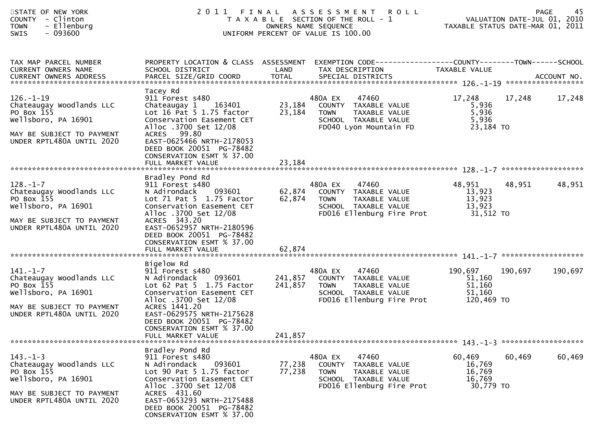| STATE OF NEW YORK<br>COUNTY - Clinton<br><b>TOWN</b><br>- Ellenburg<br>$-093600$<br><b>SWIS</b>                                            |                                                                                                                                                                                                                                                                           | 2011 FINAL ASSESSMENT ROLL<br>T A X A B L E SECTION OF THE ROLL - 1<br>OWNERS NAME SEQUENCE<br>UNIFORM PERCENT OF VALUE IS 100.00                              | 45<br>PAGE<br>VALUATION DATE-JUL 01, 2010<br>TAXABLE STATUS DATE-MAR 01, 2011 |
|--------------------------------------------------------------------------------------------------------------------------------------------|---------------------------------------------------------------------------------------------------------------------------------------------------------------------------------------------------------------------------------------------------------------------------|----------------------------------------------------------------------------------------------------------------------------------------------------------------|-------------------------------------------------------------------------------|
| TAX MAP PARCEL NUMBER<br><b>CURRENT OWNERS NAME</b>                                                                                        | PROPERTY LOCATION & CLASS ASSESSMENT<br>SCHOOL DISTRICT                                                                                                                                                                                                                   | LAND<br>TAX DESCRIPTION                                                                                                                                        | EXEMPTION CODE-----------------COUNTY-------TOWN------SCHOOL<br>TAXABLE VALUE |
| $126. - 1 - 19$<br>Chateaugay Woodlands LLC<br>PO Box 155<br>Wellsboro, PA 16901<br>MAY BE SUBJECT TO PAYMENT<br>UNDER RPTL480A UNTIL 2020 | Tacey Rd<br>911 Forest s480<br>Chateaugay 1<br>163401<br>Lot 16 Pat 5 1.75 factor<br>Conservation Easement CET<br>Alloc .3700 Set 12/08<br>ACRES 99.80<br>EAST-0625466 NRTH-2178053<br>DEED BOOK 20051 PG-78482<br>CONSERVATION ESMT % 37.00<br>FULL MARKET VALUE         | 480A EX<br>47460<br>23,184<br>COUNTY TAXABLE VALUE<br>23,184<br>TAXABLE VALUE<br><b>TOWN</b><br>SCHOOL TAXABLE VALUE<br>FD040 Lyon Mountain FD<br>23,184       | 17,248<br>17,248<br>17,248<br>5,936<br>5,936<br>5,936<br>23,184 TO            |
| $128. - 1 - 7$<br>Chateaugay Woodlands LLC<br>PO Box 155<br>Wellsboro, PA 16901<br>MAY BE SUBJECT TO PAYMENT<br>UNDER RPTL480A UNTIL 2020  | Bradley Pond Rd<br>911 Forest s480<br>N Adirondack<br>093601<br>Lot 71 Pat 5 1.75 Factor<br>Conservation Easement CET<br>Alloc .3700 Set 12/08<br>ACRES 343.20<br>EAST-0652957 NRTH-2180596<br>DEED BOOK 20051 PG-78482<br>CONSERVATION ESMT % 37.00<br>FULL MARKET VALUE | 480A EX<br>47460<br>62,874<br>COUNTY TAXABLE VALUE<br>62,874<br><b>TOWN</b><br>TAXABLE VALUE<br>SCHOOL TAXABLE VALUE<br>FD016 Ellenburg Fire Prot<br>62,874    | 48,951<br>48,951<br>48,951<br>13,923<br>13,923<br>13,923<br>31,512 TO         |
| $141. - 1 - 7$<br>Chateaugay Woodlands LLC<br>PO Box 155<br>Wellsboro, PA 16901<br>MAY BE SUBJECT TO PAYMENT<br>UNDER RPTL480A UNTIL 2020  | Bigelow Rd<br>911 Forest s480<br>N Adirondack<br>093601<br>Lot 62 Pat 5 1.75 Factor<br>Conservation Easement CET<br>Alloc .3700 Set 12/08<br>ACRES 1441.20<br>EAST-0629575 NRTH-2175628<br>DEED BOOK 20051 PG-78482<br>CONSERVATION ESMT % 37.00<br>FULL MARKET VALUE     | 480A EX<br>47460<br>241,857<br>COUNTY TAXABLE VALUE<br>241,857<br>TAXABLE VALUE<br><b>TOWN</b><br>SCHOOL TAXABLE VALUE<br>FD016 Ellenburg Fire Prot<br>241,857 | 190,697<br>190,697<br>190,697<br>51,160<br>51,160<br>51,160<br>120,469 TO     |
| $143. - 1 - 3$<br>Chateaugay Woodlands LLC<br>PO Box 155<br>Wellsboro, PA 16901<br>MAY BE SUBJECT TO PAYMENT<br>UNDER RPTL480A UNTIL 2020  | Bradley Pond Rd<br>911 Forest s480<br>N Adirondack<br>093601<br>Lot 90 Pat 5 1.75 factor<br>Conservation Easement CET<br>Alloc .3700 Set 12/08<br>ACRES 431.60<br>EAST-0653293 NRTH-2175488<br>DEED BOOK 20051 PG-78482<br>CONSERVATION ESMT % 37.00                      | 480A EX<br>47460<br>77,238<br>COUNTY<br>TAXABLE VALUE<br>77,238<br><b>TOWN</b><br>TAXABLE VALUE<br>SCHOOL TAXABLE VALUE<br>FD016 Ellenburg Fire Prot           | 60,469<br>60,469<br>60,469<br>16,769<br>16,769<br>16,769<br>30,779 TO         |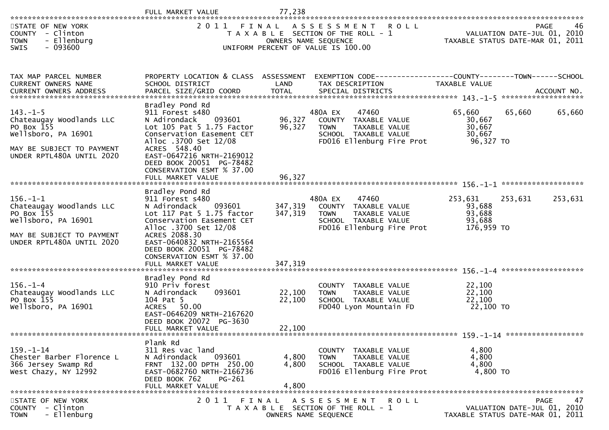|                                                                                                                                                                                     | FULL MARKET VALUE                                                                                                                                                                                                                                                           | 77,238                        |                                                                                                                                   |                                                     |                                                                                      |
|-------------------------------------------------------------------------------------------------------------------------------------------------------------------------------------|-----------------------------------------------------------------------------------------------------------------------------------------------------------------------------------------------------------------------------------------------------------------------------|-------------------------------|-----------------------------------------------------------------------------------------------------------------------------------|-----------------------------------------------------|--------------------------------------------------------------------------------------|
| STATE OF NEW YORK<br>COUNTY - Clinton<br>- Ellenburg<br><b>TOWN</b><br>$-093600$<br>SWIS                                                                                            |                                                                                                                                                                                                                                                                             |                               | 2011 FINAL ASSESSMENT ROLL<br>T A X A B L E SECTION OF THE ROLL - 1<br>OWNERS NAME SEQUENCE<br>UNIFORM PERCENT OF VALUE IS 100.00 |                                                     | 46<br><b>PAGE</b><br>VALUATION DATE-JUL 01, 2010<br>TAXABLE STATUS DATE-MAR 01, 2011 |
| TAX MAP PARCEL NUMBER<br>CURRENT OWNERS NAME<br>.46CCOUNT NO . PARCEL SIZE/GRID COORD TOTAL SPECIAL DISTRICTS SPERENT OWNERS ADDRESS PARCEL SIZE/GRID COORD TOTAL SPECIAL DISTRICTS | PROPERTY LOCATION & CLASS ASSESSMENT<br>SCHOOL DISTRICT                                                                                                                                                                                                                     | LAND                          | EXEMPTION CODE-----------------COUNTY--------TOWN------SCHOOL<br>TAX DESCRIPTION                                                  | TAXABLE VALUE                                       |                                                                                      |
| $143. - 1 - 5$<br>Chateaugay Woodlands LLC<br>PO Box 155<br>Wellsboro, PA 16901<br>MAY BE SUBJECT TO PAYMENT<br>UNDER RPTL480A UNTIL 2020                                           | Bradley Pond Rd<br>911 Forest s480<br>093601<br>N Adirondack<br>Lot 105 Pat 5 1.75 Factor<br>Conservation Easement CET<br>Alloc .3700 Set 12/08<br>ACRES 548.40<br>EAST-0647216 NRTH-2169012<br>DEED BOOK 20051 PG-78482<br>CONSERVATION ESMT % 37.00<br>FULL MARKET VALUE  | 96,327<br>96,327<br>96,327    | 47460<br>480A EX<br>COUNTY TAXABLE VALUE<br>TAXABLE VALUE<br>TOWN<br>SCHOOL TAXABLE VALUE<br>FD016 Ellenburg Fire Prot            | 65,660<br>30,667<br>30,667<br>30,667<br>96,327 TO   | 65,660<br>65,660                                                                     |
|                                                                                                                                                                                     |                                                                                                                                                                                                                                                                             |                               |                                                                                                                                   |                                                     |                                                                                      |
| $156. - 1 - 1$<br>Chateaugay Woodlands LLC<br>PO Box 155<br>Wellsboro, PA 16901<br>MAY BE SUBJECT TO PAYMENT<br>UNDER RPTL480A UNTIL 2020                                           | Bradley Pond Rd<br>911 Forest s480<br>093601<br>N Adirondack<br>Lot 117 Pat 5 1.75 factor<br>Conservation Easement CET<br>Alloc .3700 Set 12/08<br>ACRES 2088.30<br>EAST-0640832 NRTH-2165564<br>DEED BOOK 20051 PG-78482<br>CONSERVATION ESMT % 37.00<br>FULL MARKET VALUE | 347,319<br>347,319<br>347,319 | 47460<br>480A EX<br>COUNTY TAXABLE VALUE<br><b>TOWN</b><br>TAXABLE VALUE<br>SCHOOL TAXABLE VALUE<br>FD016 Ellenburg Fire Prot     | 253,631<br>93,688<br>93,688<br>93,688<br>176,959 TO | 253,631<br>253,631                                                                   |
| $156. - 1 - 4$<br>Chateaugay Woodlands LLC<br>PO Box 155<br>Wellsboro, PA 16901                                                                                                     | Bradley Pond Rd<br>910 Priv forest<br>093601<br>N Adirondack<br>104 Pat 5<br>50.00<br><b>ACRES</b><br>EAST-0646209 NRTH-2167620<br>DEED BOOK 20072 PG-3630<br>FULL MARKET VALUE                                                                                             | 22,100<br>22,100<br>22,100    | COUNTY TAXABLE VALUE<br><b>TOWN</b><br>TAXABLE VALUE<br>SCHOOL TAXABLE VALUE<br>FD040 Lyon Mountain FD                            | 22,100<br>22,100<br>22,100<br>22,100 TO             |                                                                                      |
| $159. - 1 - 14$<br>Chester Barber Florence L<br>366 Jersey Swamp Rd<br>West Chazy, NY 12992                                                                                         | Plank Rd<br>311 Res vac land<br>N Adirondack<br>093601<br>FRNT 132.00 DPTH 250.00<br>EAST-0682760 NRTH-2166736<br>DEED BOOK 762<br>PG-261<br>FULL MARKET VALUE                                                                                                              | 4,800<br>4,800<br>4,800       | COUNTY TAXABLE VALUE<br><b>TOWN</b><br>TAXABLE VALUE<br>SCHOOL TAXABLE VALUE<br>FD016 Ellenburg Fire Prot                         | 4,800<br>4,800<br>4,800<br>4,800 TO                 |                                                                                      |
| STATE OF NEW YORK<br>COUNTY - Clinton<br>- Ellenburg<br><b>TOWN</b>                                                                                                                 | 2 0 1 1                                                                                                                                                                                                                                                                     | FINAL                         | ASSESSMENT ROLL<br>T A X A B L E SECTION OF THE ROLL - 1<br>OWNERS NAME SEQUENCE                                                  |                                                     | 47<br>PAGE<br>VALUATION DATE-JUL 01, 2010<br>TAXABLE STATUS DATE-MAR 01, 2011        |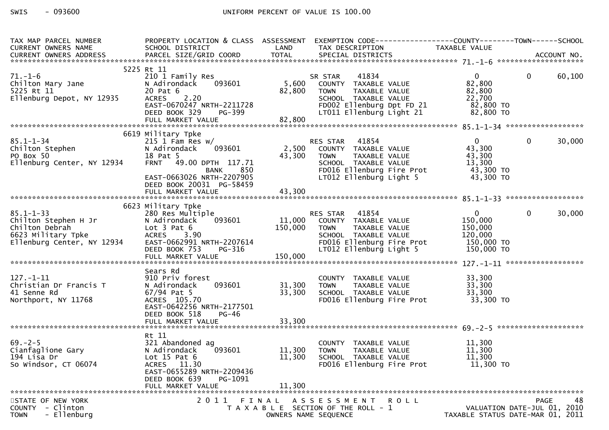| TAX MAP PARCEL NUMBER<br>CURRENT OWNERS NAME                                                                                                                                                                                                                                                                                                                                                                                                 | SCHOOL DISTRICT LAND                                                        |        | PROPERTY LOCATION & CLASS ASSESSMENT EXEMPTION CODE----------------COUNTY-------TOWN------SCHOOL<br>TAX DESCRIPTION                                                                                  | TAXABLE VALUE                    |                |        |
|----------------------------------------------------------------------------------------------------------------------------------------------------------------------------------------------------------------------------------------------------------------------------------------------------------------------------------------------------------------------------------------------------------------------------------------------|-----------------------------------------------------------------------------|--------|------------------------------------------------------------------------------------------------------------------------------------------------------------------------------------------------------|----------------------------------|----------------|--------|
|                                                                                                                                                                                                                                                                                                                                                                                                                                              |                                                                             |        |                                                                                                                                                                                                      |                                  |                |        |
|                                                                                                                                                                                                                                                                                                                                                                                                                                              |                                                                             |        |                                                                                                                                                                                                      |                                  |                |        |
|                                                                                                                                                                                                                                                                                                                                                                                                                                              | 5225 Rt 11                                                                  |        |                                                                                                                                                                                                      |                                  |                |        |
| 5225<br>Chilton Mary Jane<br>5225 Rt 11<br>Ellenburg Depot, NY 12935                                                                                                                                                                                                                                                                                                                                                                         | 210 1 Family Res                                                            |        | SR STAR 41834<br>5,600 COUNTY TAXABLE VALUE                                                                                                                                                          | $\overline{0}$                   | $\overline{0}$ | 60,100 |
|                                                                                                                                                                                                                                                                                                                                                                                                                                              | 093601<br>N Adirondack                                                      |        |                                                                                                                                                                                                      | 82,800                           |                |        |
|                                                                                                                                                                                                                                                                                                                                                                                                                                              |                                                                             |        |                                                                                                                                                                                                      |                                  |                |        |
|                                                                                                                                                                                                                                                                                                                                                                                                                                              |                                                                             |        |                                                                                                                                                                                                      |                                  |                |        |
|                                                                                                                                                                                                                                                                                                                                                                                                                                              |                                                                             |        |                                                                                                                                                                                                      |                                  |                |        |
|                                                                                                                                                                                                                                                                                                                                                                                                                                              |                                                                             |        |                                                                                                                                                                                                      |                                  |                |        |
| 5225 Rt 11<br>Ellenburg Depot, NY 12935 ACRES 2.20<br>ELLENDRIG PRISON CONTROL CONTROL CONTROLL TAXABLE VALUE 22,700<br>ELLENDRIG PRISON SOMENTH-2211728 FOOD Ellenburg Dpt FD 21 82,800 TO<br>ELLENDRIG PRISON SOME DEED BOOK 329 PG-                                                                                                                                                                                                       |                                                                             |        |                                                                                                                                                                                                      |                                  |                |        |
|                                                                                                                                                                                                                                                                                                                                                                                                                                              | 6619 Military Tpke                                                          |        |                                                                                                                                                                                                      |                                  |                |        |
| $85.1 - 1 - 34$                                                                                                                                                                                                                                                                                                                                                                                                                              |                                                                             |        | RES STAR 41854 0<br>2,500 COUNTY TAXABLE VALUE 43,300<br>43,300 TOWN TAXABLE VALUE 43,300<br>SCHOOL TAXABLE VALUE 43,300<br>FDO16 Ellenburg Fire Prot 43,300 TO<br>LTO12 Ellenburg Light 5 43,300 TO |                                  | $\mathbf 0$    | 30,000 |
| 85.1-1-34<br>Chilton Stephen<br>PO Box 50<br>Ellenburg Center, NY 12934                                                                                                                                                                                                                                                                                                                                                                      | 215 1 Fam Res w/<br>N Adirondack  093601                                    |        |                                                                                                                                                                                                      |                                  |                |        |
|                                                                                                                                                                                                                                                                                                                                                                                                                                              | 18 Pat 5                                                                    |        |                                                                                                                                                                                                      |                                  |                |        |
|                                                                                                                                                                                                                                                                                                                                                                                                                                              |                                                                             |        |                                                                                                                                                                                                      |                                  |                |        |
|                                                                                                                                                                                                                                                                                                                                                                                                                                              |                                                                             |        |                                                                                                                                                                                                      |                                  |                |        |
|                                                                                                                                                                                                                                                                                                                                                                                                                                              | 18 Pat 5<br>FRNT 49.00 DPTH 117.71<br>BANK 850<br>EAST-0663026 NRTH-2207905 |        |                                                                                                                                                                                                      |                                  |                |        |
|                                                                                                                                                                                                                                                                                                                                                                                                                                              | DEED BOOK 20031 PG-58459                                                    |        |                                                                                                                                                                                                      |                                  |                |        |
|                                                                                                                                                                                                                                                                                                                                                                                                                                              | FULL MARKET VALUE                                                           | 43,300 |                                                                                                                                                                                                      |                                  |                |        |
|                                                                                                                                                                                                                                                                                                                                                                                                                                              |                                                                             |        |                                                                                                                                                                                                      |                                  |                |        |
|                                                                                                                                                                                                                                                                                                                                                                                                                                              | 6623 Military Tpke                                                          |        |                                                                                                                                                                                                      |                                  |                |        |
|                                                                                                                                                                                                                                                                                                                                                                                                                                              |                                                                             |        |                                                                                                                                                                                                      |                                  |                |        |
|                                                                                                                                                                                                                                                                                                                                                                                                                                              |                                                                             |        |                                                                                                                                                                                                      |                                  |                |        |
|                                                                                                                                                                                                                                                                                                                                                                                                                                              |                                                                             |        |                                                                                                                                                                                                      |                                  |                |        |
|                                                                                                                                                                                                                                                                                                                                                                                                                                              |                                                                             |        |                                                                                                                                                                                                      |                                  |                |        |
|                                                                                                                                                                                                                                                                                                                                                                                                                                              |                                                                             |        |                                                                                                                                                                                                      |                                  |                |        |
|                                                                                                                                                                                                                                                                                                                                                                                                                                              |                                                                             |        |                                                                                                                                                                                                      |                                  |                |        |
|                                                                                                                                                                                                                                                                                                                                                                                                                                              |                                                                             |        |                                                                                                                                                                                                      |                                  |                |        |
| $\begin{array}{lllllllllllllll} 85.1-1-33 & 6623\text{ Military Type} & \text{RES STAR} & 41854 & 0 & 0 & 30,000 \\ \text{Children Stephen H Jr} & \text{A direction} & \text{Cation} & \text{Cation} & \text{Cour} & \text{TXABLE VALUE} & \text{I50,000} & 0 & 30,000 \\ \text{Children Debrah} & \text{Lot 3 Pat 6} & 3.90 & 5000 & 0 & 3000 \\ \text{E1lenburg Center, NY 12934} & \text{ACRES} & 3.90 & \text{SCHOOL TAXABLE VALUE} & $ |                                                                             |        |                                                                                                                                                                                                      |                                  |                |        |
| $127. - 1 - 11$                                                                                                                                                                                                                                                                                                                                                                                                                              | Sears Rd<br>910 Priv forest                                                 |        |                                                                                                                                                                                                      |                                  |                |        |
| Christian Dr Francis T                                                                                                                                                                                                                                                                                                                                                                                                                       | 093601<br>N Adirondack                                                      | 31,300 |                                                                                                                                                                                                      |                                  |                |        |
| 41 Senne Rd                                                                                                                                                                                                                                                                                                                                                                                                                                  | 67/94 Pat 5                                                                 | 33,300 |                                                                                                                                                                                                      |                                  |                |        |
| Northport, NY 11768                                                                                                                                                                                                                                                                                                                                                                                                                          | ACRES 105.70                                                                |        | COUNTY TAXABLE VALUE 33,300<br>TOWN TAXABLE VALUE 33,300<br>SCHOOL TAXABLE VALUE 33,300<br>FDO16 Ellenburg Fire Prot 33,300 TO                                                                       |                                  |                |        |
|                                                                                                                                                                                                                                                                                                                                                                                                                                              | EAST-0642256 NRTH-2177501                                                   |        |                                                                                                                                                                                                      |                                  |                |        |
|                                                                                                                                                                                                                                                                                                                                                                                                                                              | DEED BOOK 518<br>PG-46                                                      |        |                                                                                                                                                                                                      |                                  |                |        |
|                                                                                                                                                                                                                                                                                                                                                                                                                                              |                                                                             |        |                                                                                                                                                                                                      |                                  |                |        |
|                                                                                                                                                                                                                                                                                                                                                                                                                                              |                                                                             |        |                                                                                                                                                                                                      |                                  |                |        |
|                                                                                                                                                                                                                                                                                                                                                                                                                                              | Rt 11                                                                       |        |                                                                                                                                                                                                      |                                  |                |        |
|                                                                                                                                                                                                                                                                                                                                                                                                                                              | 321 Abandoned ag                                                            |        |                                                                                                                                                                                                      | 11,300                           |                |        |
| 69.-2-5<br>Cianfaglione Gary<br>194 Lisa Dr                                                                                                                                                                                                                                                                                                                                                                                                  | 093601<br>N Adirondack                                                      |        | COUNTY TAXABLE VALUE<br>TOWN TAXABLE VALUE<br>COUOL TAVABLE VALUE<br>11,300 TOWN                                                                                                                     | 11,300                           |                |        |
|                                                                                                                                                                                                                                                                                                                                                                                                                                              | Lot $15$ Pat $6$                                                            | 11,300 | SCHOOL TAXABLE VALUE                                                                                                                                                                                 | 11,300                           |                |        |
| So Windsor, CT 06074                                                                                                                                                                                                                                                                                                                                                                                                                         | ACRES 11.30                                                                 |        | FD016 Ellenburg Fire Prot                                                                                                                                                                            | $11,300$ TO                      |                |        |
|                                                                                                                                                                                                                                                                                                                                                                                                                                              | EAST-0655289 NRTH-2209436                                                   |        |                                                                                                                                                                                                      |                                  |                |        |
|                                                                                                                                                                                                                                                                                                                                                                                                                                              | DEED BOOK 639<br>PG-1091                                                    |        |                                                                                                                                                                                                      |                                  |                |        |
|                                                                                                                                                                                                                                                                                                                                                                                                                                              | FULL MARKET VALUE                                                           | 11,300 |                                                                                                                                                                                                      |                                  |                |        |
|                                                                                                                                                                                                                                                                                                                                                                                                                                              | 2011 FINAL                                                                  |        |                                                                                                                                                                                                      |                                  |                |        |
| STATE OF NEW YORK<br>- Clinton<br><b>COUNTY</b>                                                                                                                                                                                                                                                                                                                                                                                              |                                                                             |        | A S S E S S M E N T<br>R O L L                                                                                                                                                                       | VALUATION DATE-JUL 01, 2010      | <b>PAGE</b>    | 48     |
| - Ellenburg<br><b>TOWN</b>                                                                                                                                                                                                                                                                                                                                                                                                                   |                                                                             |        | T A X A B L E SECTION OF THE ROLL - 1<br>OWNERS NAME SEQUENCE                                                                                                                                        | TAXABLE STATUS DATE-MAR 01, 2011 |                |        |
|                                                                                                                                                                                                                                                                                                                                                                                                                                              |                                                                             |        |                                                                                                                                                                                                      |                                  |                |        |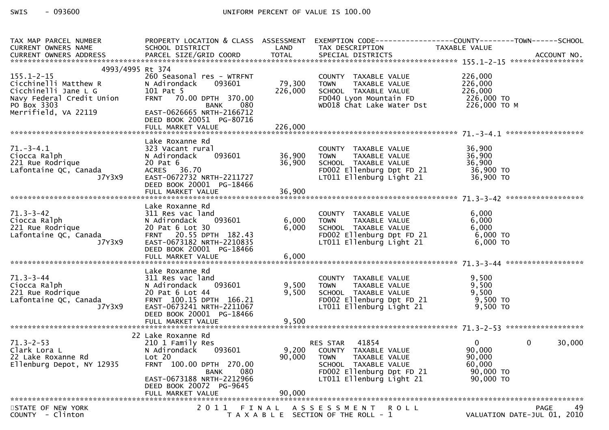| TAX MAP PARCEL NUMBER                             |                                            |             |                                                                             | PROPERTY LOCATION & CLASS ASSESSMENT EXEMPTION CODE----------------COUNTY-------TOWN------SCHOOL |        |
|---------------------------------------------------|--------------------------------------------|-------------|-----------------------------------------------------------------------------|--------------------------------------------------------------------------------------------------|--------|
| <b>CURRENT OWNERS NAME</b>                        | SCHOOL DISTRICT                            | LAND        | TAX DESCRIPTION                                                             | TAXABLE VALUE                                                                                    |        |
|                                                   |                                            |             |                                                                             |                                                                                                  |        |
| 4993/4995 Rt 374                                  |                                            |             |                                                                             |                                                                                                  |        |
| $155.1 - 2 - 15$                                  | 260 Seasonal res - WTRFNT                  |             | COUNTY TAXABLE VALUE                                                        | 226,000                                                                                          |        |
| Cicchinelli Matthew R                             | 093601<br>N Adirondack                     | 79,300 TOWN |                                                                             | 226,000                                                                                          |        |
| Cicchinelli Jane L G<br>Navy Federal Credit Union | 101 Pat 5                                  | 226,000     | SCHOOL TAXABLE VALUE                                                        | 226,000                                                                                          |        |
|                                                   | FRNT 70.00 DPTH 370.00                     |             |                                                                             |                                                                                                  |        |
| PO Box 3303                                       | BANK 080                                   |             | FD040 Lyon Mountain FD 226,000 TO<br>WD018 Chat Lake Water Dst 226,000 TO M |                                                                                                  |        |
| Merrifield, VA 22119                              | EAST-0626665 NRTH-2166712                  |             |                                                                             |                                                                                                  |        |
|                                                   | DEED BOOK 20051 PG-80716                   |             |                                                                             |                                                                                                  |        |
|                                                   | FULL MARKET VALUE                          | 226,000     |                                                                             |                                                                                                  |        |
|                                                   |                                            |             |                                                                             |                                                                                                  |        |
|                                                   | Lake Roxanne Rd                            |             |                                                                             |                                                                                                  |        |
| $71.-3-4.1$                                       | 323 Vacant rural                           |             | COUNTY TAXABLE VALUE                                                        | 36,900                                                                                           |        |
| Ciocca Ralph                                      | N Adirondack                               |             | <b>TOWN</b><br>TAXABLE VALUE                                                | 36,900                                                                                           |        |
| 221 Rue Rodrique                                  | 20 Pat 6                                   | 36,900      | SCHOOL TAXABLE VALUE                                                        | 36,900                                                                                           |        |
| Lafontaine QC, Canada                             | ACRES 36.70                                |             |                                                                             |                                                                                                  |        |
| J7Y3X9                                            | EAST-0672732 NRTH-2211727                  |             | LT011 Ellenburg Light 21                                                    | 36,900 TO                                                                                        |        |
|                                                   | DEED BOOK 20001 PG-18466                   |             |                                                                             |                                                                                                  |        |
|                                                   |                                            |             |                                                                             |                                                                                                  |        |
|                                                   |                                            |             |                                                                             |                                                                                                  |        |
|                                                   | Lake Roxanne Rd                            |             |                                                                             |                                                                                                  |        |
| $71.3 - 3 - 42$<br>Ciocca Ralph                   | 311 Res vac land<br>093601<br>N Adirondack | 6,000       | COUNTY TAXABLE VALUE<br>TAXABLE VALUE<br><b>TOWN</b>                        | 6,000<br>6,000                                                                                   |        |
| 221 Rue Rodrique                                  | 20 Pat 6 Lot 30                            | 6,000       |                                                                             |                                                                                                  |        |
| Lafontaine QC, Canada                             | FRNT 20.55 DPTH 182.43                     |             |                                                                             |                                                                                                  |        |
| J7Y3X9                                            | EAST-0673182 NRTH-2210835                  |             |                                                                             |                                                                                                  |        |
|                                                   | DEED BOOK 20001 PG-18466                   |             |                                                                             |                                                                                                  |        |
|                                                   |                                            |             |                                                                             |                                                                                                  |        |
|                                                   |                                            |             |                                                                             |                                                                                                  |        |
|                                                   | Lake Roxanne Rd                            |             |                                                                             |                                                                                                  |        |
| $71.3 - 3 - 44$                                   | 311 Res vac land                           |             |                                                                             | 9,500                                                                                            |        |
| Ciocca Ralph                                      | 093601<br>N Adirondack                     | 9,500       | COUNTY TAXABLE VALUE<br>TOWN TAXABLE VALUE                                  | 9,500                                                                                            |        |
| 221 Rue Rodrique                                  | 20 Pat 6 Lot 44                            | 9,500       |                                                                             |                                                                                                  |        |
| Lafontaine QC, Canada                             | FRNT 100.15 DPTH 166.21                    |             | SCHOOL TAXABLE VALUE 9,500<br>FD002 Ellenburg Dpt FD 21 9,500 TO            |                                                                                                  |        |
| J7Y3X9                                            | EAST-0673241 NRTH-2211067                  |             | LT011 Ellenburg Light 21                                                    | 9,500 TO                                                                                         |        |
|                                                   | DEED BOOK 20001 PG-18466                   |             |                                                                             |                                                                                                  |        |
|                                                   | FULL MARKET VALUE                          | 9,500       |                                                                             |                                                                                                  |        |
|                                                   |                                            |             |                                                                             |                                                                                                  |        |
|                                                   | 22 Lake Roxanne Rd                         |             |                                                                             |                                                                                                  |        |
| $71.3 - 2 - 53$                                   | 210 1 Family Res<br>093601                 |             | 41854<br>RES STAR                                                           | $\mathbf{0}$<br>0                                                                                | 30,000 |
| Clark Lora L                                      | N Adirondack                               |             | 9,200 COUNTY TAXABLE VALUE                                                  | 90,000                                                                                           |        |
| 22 Lake Roxanne Rd                                | Lot 20<br>FRNT 100.00 DPTH 270.00          | 90,000      | <b>TOWN</b><br>TAXABLE VALUE                                                | 90,000<br>60,000                                                                                 |        |
| Ellenburg Depot, NY 12935                         | 080                                        |             | SCHOOL TAXABLE VALUE<br>FD002 Ellenburg Dpt FD 21                           | 90,000 TO                                                                                        |        |
|                                                   | BANK<br>EAST-0673188 NRTH-2212966          |             | LT011 Ellenburg Light 21                                                    | 90,000 TO                                                                                        |        |
|                                                   | DEED BOOK 20072 PG-9645                    |             |                                                                             |                                                                                                  |        |
|                                                   | FULL MARKET VALUE                          | 90,000      |                                                                             |                                                                                                  |        |
|                                                   |                                            |             |                                                                             |                                                                                                  |        |
| STATE OF NEW YORK                                 | 2011                                       | FINAL       | ASSESSMENT ROLL                                                             | <b>PAGE</b>                                                                                      | 49     |
| COUNTY - Clinton                                  |                                            |             | T A X A B L E SECTION OF THE ROLL - 1                                       | VALUATION DATE-JUL 01, 2010                                                                      |        |
|                                                   |                                            |             |                                                                             |                                                                                                  |        |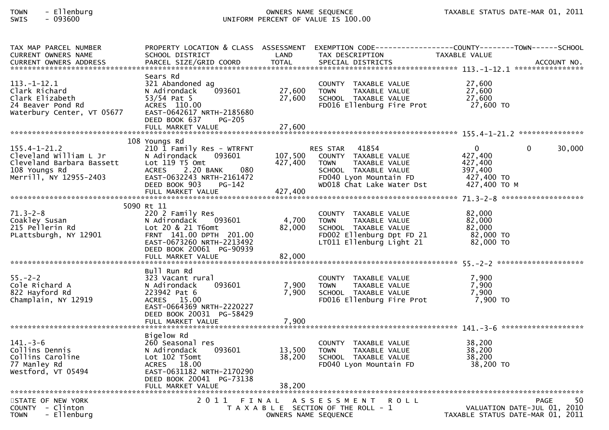## TOWN - Ellenburg OWNERS NAME SEQUENCE TAXABLE STATUS DATE-MAR 01, 2011SWIS - 093600 UNIFORM PERCENT OF VALUE IS 100.00

| TAX MAP PARCEL NUMBER<br><b>CURRENT OWNERS NAME</b>                                                                  | PROPERTY LOCATION & CLASS ASSESSMENT<br>SCHOOL DISTRICT                                                                                                                                | LAND                          | TAX DESCRIPTION                                                                                                                                       | EXEMPTION CODE------------------COUNTY--------TOWN------SCHOOL<br>TAXABLE VALUE<br>.CURRENT OWNERS ADDRESS PARCEL SIZE/GRID COORD TOTAL SPECIAL DISTRICTS ACCOUNT NO ACCOUNT NO ACCOUNT NO ACCOUNT NO |
|----------------------------------------------------------------------------------------------------------------------|----------------------------------------------------------------------------------------------------------------------------------------------------------------------------------------|-------------------------------|-------------------------------------------------------------------------------------------------------------------------------------------------------|-------------------------------------------------------------------------------------------------------------------------------------------------------------------------------------------------------|
| $113.-1-12.1$<br>Clark Richard<br>Clark Elizabeth<br>24 Beaver Pond Rd<br>Waterbury Center, VT 05677                 | Sears Rd<br>321 Abandoned ag<br>N Adirondack<br>093601<br>53/54 Pat 5<br>ACRES 110.00<br>EAST-0642617 NRTH-2185680<br>DEED BOOK 637<br>PG-205                                          | 27,600<br>27,600              | COUNTY TAXABLE VALUE<br>TAXABLE VALUE<br><b>TOWN</b><br>SCHOOL TAXABLE VALUE<br>FD016 Ellenburg Fire Prot                                             | 27,600<br>27,600<br>27,600<br>27,600 TO                                                                                                                                                               |
|                                                                                                                      | 108 Youngs Rd                                                                                                                                                                          |                               |                                                                                                                                                       |                                                                                                                                                                                                       |
| $155.4 - 1 - 21.2$<br>Cleveland William L Jr<br>Cleveland Barbara Bassett<br>108 Youngs Rd<br>Merrill, NY 12955-2403 | 210 1 Family Res - WTRFNT<br>N Adirondack<br>093601<br>Lot 119 T5 Omt<br>080<br>ACRES<br>2.20 BANK<br>EAST-0632243 NRTH-2161472<br>DEED BOOK 903<br>PG-142<br>FULL MARKET VALUE        | 107,500<br>427,400<br>427,400 | RES STAR 41854<br>COUNTY TAXABLE VALUE<br>TAXABLE VALUE<br><b>TOWN</b><br>SCHOOL TAXABLE VALUE<br>FD040 Lyon Mountain FD<br>WD018 Chat Lake Water Dst | $\mathbf 0$<br>$\Omega$<br>30,000<br>427,400<br>427,400<br>397,400<br>427,400 TO<br>427,400 TO M                                                                                                      |
|                                                                                                                      |                                                                                                                                                                                        |                               |                                                                                                                                                       |                                                                                                                                                                                                       |
| $71.3 - 2 - 8$<br>Coakley Susan<br>215 Pellerin Rd<br>PLattsburgh, NY 12901                                          | 5090 Rt 11<br>220 2 Family Res<br>093601<br>N Adirondack<br>Lot 20 & 21 T6omt<br>FRNT 141.00 DPTH 201.00<br>EAST-0673260 NRTH-2213492<br>DEED BOOK 20061 PG-90939<br>FULL MARKET VALUE | 4,700<br>82,000<br>82,000     | COUNTY TAXABLE VALUE<br><b>TOWN</b><br>TAXABLE VALUE<br>SCHOOL TAXABLE VALUE<br>FD002 Ellenburg Dpt FD 21<br>LT011 Ellenburg Light 21                 | 82,000<br>82,000<br>82,000<br>82,000 TO<br>82,000 TO                                                                                                                                                  |
|                                                                                                                      |                                                                                                                                                                                        |                               |                                                                                                                                                       |                                                                                                                                                                                                       |
| $55. - 2 - 2$<br>Cole Richard A<br>822 Hayford Rd<br>Champlain, NY 12919                                             | Bull Run Rd<br>323 Vacant rural<br>093601<br>N Adirondack<br>223942 Pat 6<br>ACRES 15.00<br>EAST-0664369 NRTH-2220227<br>DEED BOOK 20031 PG-58429                                      | 7,900<br>7,900                | COUNTY TAXABLE VALUE<br><b>TOWN</b><br>TAXABLE VALUE<br>SCHOOL TAXABLE VALUE<br>FD016 Ellenburg Fire Prot                                             | 7,900<br>7,900<br>7,900<br>7,900 TO                                                                                                                                                                   |
|                                                                                                                      |                                                                                                                                                                                        |                               |                                                                                                                                                       |                                                                                                                                                                                                       |
|                                                                                                                      | Bigelow Rd                                                                                                                                                                             |                               |                                                                                                                                                       |                                                                                                                                                                                                       |
| $141. - 3 - 6$<br>Collins Dennis<br>Collins Caroline<br>77 Manley Rd<br>Westford, VT 05494                           | 260 Seasonal res<br>N Adirondack<br>093601<br>Lot 102 T5omt<br>ACRES 18.00<br>EAST-0631182 NRTH-2170290<br>DEED BOOK 20041 PG-73138                                                    | 13,500<br>38,200              | COUNTY TAXABLE VALUE<br>TAXABLE VALUE<br><b>TOWN</b><br>SCHOOL TAXABLE VALUE<br>FD040 Lyon Mountain FD                                                | 38,200<br>38,200<br>38,200<br>38,200 TO                                                                                                                                                               |
|                                                                                                                      | FULL MARKET VALUE                                                                                                                                                                      | 38,200                        |                                                                                                                                                       |                                                                                                                                                                                                       |
| STATE OF NEW YORK<br>COUNTY - Clinton<br>- Ellenburg<br><b>TOWN</b>                                                  |                                                                                                                                                                                        | OWNERS NAME SEQUENCE          | 2011 FINAL ASSESSMENT<br><b>ROLL</b><br>T A X A B L E SECTION OF THE ROLL - 1                                                                         | 50<br><b>PAGE</b><br>VALUATION DATE-JUL 01, 2010<br>TAXABLE STATUS DATE-MAR 01, 2011                                                                                                                  |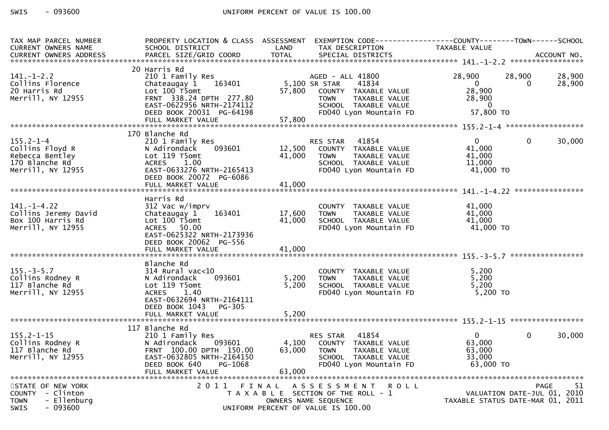| TAX MAP PARCEL NUMBER      | PROPERTY LOCATION & CLASS ASSESSMENT          |        | EXEMPTION CODE-----------------COUNTY-------TOWN------SCHOOL |                                  |                |        |  |  |  |
|----------------------------|-----------------------------------------------|--------|--------------------------------------------------------------|----------------------------------|----------------|--------|--|--|--|
| <b>CURRENT OWNERS NAME</b> | SCHOOL DISTRICT                               | LAND   | TAX DESCRIPTION                                              | TAXABLE VALUE                    |                |        |  |  |  |
|                            |                                               |        |                                                              |                                  |                |        |  |  |  |
| 20 Harris Rd               |                                               |        |                                                              |                                  |                |        |  |  |  |
| $141.-1-2.2$               | 210 1 Family Res                              |        | AGED - ALL 41800                                             | 28,900                           | 28,900         | 28,900 |  |  |  |
| Collins Florence           | 163401<br>Chateaugay 1                        |        | 5,100 SR STAR<br>41834                                       | $\Omega$                         | $\Omega$       | 28,900 |  |  |  |
| 20 Harris Rd               | Lot 100 T5omt                                 | 57,800 | COUNTY TAXABLE VALUE                                         | 28,900                           |                |        |  |  |  |
| Merrill, NY 12955          | FRNT 338.24 DPTH 277.80                       |        | TAXABLE VALUE<br><b>TOWN</b>                                 | 28,900                           |                |        |  |  |  |
|                            | EAST-0622956 NRTH-2174112                     |        | SCHOOL TAXABLE VALUE                                         | - 0                              |                |        |  |  |  |
|                            | DEED BOOK 20031 PG-64198                      |        | FD040 Lyon Mountain FD                                       | 57,800 TO                        |                |        |  |  |  |
|                            | FULL MARKET VALUE                             | 57,800 |                                                              |                                  |                |        |  |  |  |
|                            |                                               |        |                                                              |                                  |                |        |  |  |  |
|                            | 170 Blanche Rd                                |        |                                                              |                                  |                |        |  |  |  |
| $155.2 - 1 - 4$            | 210 1 Family Res                              |        | RES STAR<br>41854                                            | $\mathbf{0}$                     | $\overline{0}$ | 30,000 |  |  |  |
| Collins Floyd R            | 093601<br>N Adirondack                        | 12,500 | COUNTY TAXABLE VALUE                                         | 41,000                           |                |        |  |  |  |
| Rebecca Bentley            | Lot 119 T5omt                                 | 41,000 | TAXABLE VALUE<br>TOWN                                        | 41,000                           |                |        |  |  |  |
| 170 Blanche Rd             | ACRES 1.00<br>EAST-0633276 NRTH-2165413       |        | SCHOOL TAXABLE VALUE<br>FD040 Lyon Mountain FD               | 11,000<br>41,000 TO              |                |        |  |  |  |
| Merrill, NY 12955          | DEED BOOK 20072 PG-6086                       |        |                                                              |                                  |                |        |  |  |  |
|                            | FULL MARKET VALUE                             | 41,000 |                                                              |                                  |                |        |  |  |  |
|                            |                                               |        |                                                              |                                  |                |        |  |  |  |
|                            | Harris Rd                                     |        |                                                              |                                  |                |        |  |  |  |
| $141. - 1 - 4.22$          | 312 Vac w/imprv                               |        | COUNTY TAXABLE VALUE                                         | 41,000                           |                |        |  |  |  |
| Collins Jeremy David       | Chateaugay 1<br>163401                        | 17,600 | TAXABLE VALUE<br><b>TOWN</b>                                 | 41,000                           |                |        |  |  |  |
| Box 100 Harris Rd          | Lot 100 T5omt                                 | 41,000 | SCHOOL TAXABLE VALUE                                         | 41,000                           |                |        |  |  |  |
| Merrill, NY 12955          | ACRES 50.00                                   |        | FD040 Lyon Mountain FD                                       | 41,000 TO                        |                |        |  |  |  |
|                            | EAST-0625322 NRTH-2173936                     |        |                                                              |                                  |                |        |  |  |  |
|                            | DEED BOOK 20062 PG-556                        |        |                                                              |                                  |                |        |  |  |  |
|                            | FULL MARKET VALUE                             | 41,000 |                                                              |                                  |                |        |  |  |  |
|                            |                                               |        |                                                              |                                  |                |        |  |  |  |
| $155. - 3 - 5.7$           | Blanche Rd<br>314 Rural vac<10                |        | COUNTY TAXABLE VALUE                                         | 5,200                            |                |        |  |  |  |
| Collins Rodney R           | N Adirondack<br>093601                        | 5,200  | TAXABLE VALUE<br><b>TOWN</b>                                 | 5,200                            |                |        |  |  |  |
| 117 Blanche Rd             | Lot 119 T5omt                                 | 5,200  | SCHOOL TAXABLE VALUE                                         | 5.200                            |                |        |  |  |  |
| Merrill, NY 12955          | 1.40<br><b>ACRES</b>                          |        | FD040 Lyon Mountain FD                                       | $5,200$ TO                       |                |        |  |  |  |
|                            | EAST-0632694 NRTH-2164111                     |        |                                                              |                                  |                |        |  |  |  |
|                            | DEED BOOK 1043<br>PG-305                      |        |                                                              |                                  |                |        |  |  |  |
|                            |                                               |        |                                                              |                                  |                |        |  |  |  |
|                            |                                               |        |                                                              |                                  |                |        |  |  |  |
|                            | 117 Blanche Rd                                |        |                                                              |                                  |                |        |  |  |  |
| $155.2 - 1 - 15$           | 210 1 Family Res                              |        | 41854<br><b>RES STAR</b>                                     | $\Omega$                         | $\Omega$       | 30,000 |  |  |  |
| Collins Rodney R           | 093601<br>N Adirondack                        | 4,100  | COUNTY TAXABLE VALUE                                         | 63,000                           |                |        |  |  |  |
| 117 Blanche Rd             | FRNT 100.00 DPTH 150.00                       | 63,000 | <b>TOWN</b><br>TAXABLE VALUE                                 | 63,000                           |                |        |  |  |  |
| Merrill, NY 12955          | EAST-0632805 NRTH-2164150                     |        | SCHOOL TAXABLE VALUE                                         | 33,000                           |                |        |  |  |  |
|                            | DEED BOOK 640<br>PG-1068<br>FULL MARKET VALUE | 63,000 | FD040 Lyon Mountain FD                                       | 63,000 TO                        |                |        |  |  |  |
|                            |                                               |        |                                                              |                                  |                |        |  |  |  |
| STATE OF NEW YORK          | 2011 FINAL                                    |        | A S S E S S M E N T<br><b>ROLL</b>                           |                                  | <b>PAGE</b>    | 51     |  |  |  |
| COUNTY - Clinton           |                                               |        | T A X A B L E SECTION OF THE ROLL - 1                        | VALUATION DATE-JUL $01$ , 2010   |                |        |  |  |  |
| <b>TOWN</b><br>- Ellenburg |                                               |        | OWNERS NAME SEQUENCE                                         | TAXABLE STATUS DATE-MAR 01, 2011 |                |        |  |  |  |
| <b>SWIS</b><br>- 093600    |                                               |        | UNIFORM PERCENT OF VALUE IS 100.00                           |                                  |                |        |  |  |  |
|                            |                                               |        |                                                              |                                  |                |        |  |  |  |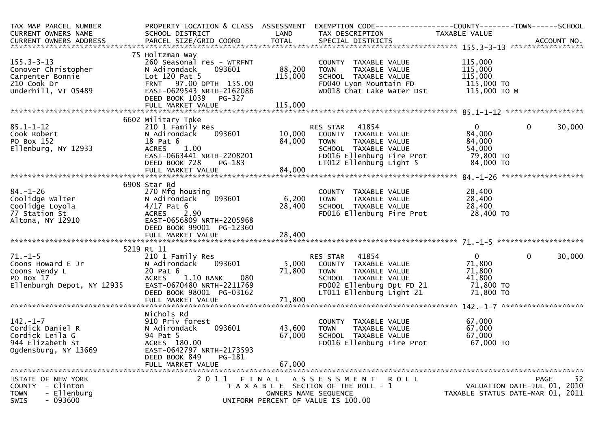| TAX MAP PARCEL NUMBER<br>CURRENT OWNERS NAME<br>CURRENT OWNERS NAME SCHOOL DISTRICT LAND TAX DESCRIPTION TAXABLE VALUE<br>TOTAL SPECIAL DISTRICTS ACCOUNT NO.<br>TOTAL SPECIAL DISTRICTS TO TATE SPECIAL DISTRICTS ACCOUNT NO. | PROPERTY LOCATION & CLASS ASSESSMENT EXEMPTION CODE----------------COUNTY-------TOWN------SCHOOL                                                                                                          |                         |                                                                                                                     |                                        |                                  |
|--------------------------------------------------------------------------------------------------------------------------------------------------------------------------------------------------------------------------------|-----------------------------------------------------------------------------------------------------------------------------------------------------------------------------------------------------------|-------------------------|---------------------------------------------------------------------------------------------------------------------|----------------------------------------|----------------------------------|
|                                                                                                                                                                                                                                |                                                                                                                                                                                                           |                         |                                                                                                                     |                                        |                                  |
| $155.3 - 3 - 13$                                                                                                                                                                                                               | 75 Holtzman Way<br>260 Seasonal res - WTRFNT                                                                                                                                                              | NT COUNT<br>88,200 TOWN | COUNTY TAXABLE VALUE<br>TOWN     TAXABLE VALUE                                                                      | 115,000<br>115,000<br>115,000          |                                  |
|                                                                                                                                                                                                                                | N Adirondack<br>093601<br>N Adironaack (1990)<br>Lot 120 Pat 5 (115,000)<br>FRNT 97.00 DPTH 155.00 (115,000)<br>EAST-0629543 NRTH-2162086                                                                 |                         |                                                                                                                     |                                        |                                  |
|                                                                                                                                                                                                                                |                                                                                                                                                                                                           |                         | CONN<br>SCHOOL TAXABLE VALUE 115,000<br>FDO40 Lyon Mountain FD 115,000 TO<br>WDO18 Chat Lake Water Dst 115,000 TO M |                                        |                                  |
|                                                                                                                                                                                                                                |                                                                                                                                                                                                           |                         |                                                                                                                     |                                        |                                  |
| Carpenter Bonnie<br>Carpenter Bonnie<br>210 Cook Dr<br>Underhill, VT 05489                                                                                                                                                     | DEED BOOK 1039 PG-327                                                                                                                                                                                     |                         |                                                                                                                     |                                        |                                  |
|                                                                                                                                                                                                                                |                                                                                                                                                                                                           |                         |                                                                                                                     |                                        |                                  |
|                                                                                                                                                                                                                                | 6602 Military Tpke                                                                                                                                                                                        |                         |                                                                                                                     |                                        |                                  |
| $85.1 - 1 - 12$                                                                                                                                                                                                                |                                                                                                                                                                                                           |                         |                                                                                                                     | $\mathbf{0}$                           | $\mathbf 0$<br>30,000            |
| Cook Robert                                                                                                                                                                                                                    | 210 1 Family Res<br>N Adirondack 093601 10,000 COUNTY TAXABLE VALUE                                                                                                                                       |                         |                                                                                                                     | 84,000                                 |                                  |
| PO Box 152                                                                                                                                                                                                                     |                                                                                                                                                                                                           |                         | TAXABLE VALUE                                                                                                       | 84,000                                 |                                  |
| Ellenburg, NY 12933                                                                                                                                                                                                            |                                                                                                                                                                                                           |                         | SCHOOL TAXABLE VALUE                                                                                                | $54,000$<br>$79,800$ TO<br>$31,000$ TO |                                  |
|                                                                                                                                                                                                                                |                                                                                                                                                                                                           |                         | FD016 Ellenburg Fire Prot                                                                                           |                                        |                                  |
|                                                                                                                                                                                                                                |                                                                                                                                                                                                           |                         | LT012 Ellenburg Light 5                                                                                             | 84,000 TO                              |                                  |
|                                                                                                                                                                                                                                | 18 Pat 6<br>ACRES 1.00<br>EAST-0663441 NRTH-2208201<br>DEED BOOK 728 PG-183<br>FULL MARKET VALUE<br>FULL MARKET VALUE<br>FULL MARKET VALUE<br>FULL MARKET VALUE<br>FULL MARKET VALUE<br>FULL MARKET VALUE |                         |                                                                                                                     |                                        |                                  |
|                                                                                                                                                                                                                                |                                                                                                                                                                                                           |                         |                                                                                                                     |                                        |                                  |
|                                                                                                                                                                                                                                | 6908 Star Rd                                                                                                                                                                                              |                         |                                                                                                                     |                                        |                                  |
|                                                                                                                                                                                                                                | 270 Mfg housing                                                                                                                                                                                           |                         |                                                                                                                     |                                        |                                  |
|                                                                                                                                                                                                                                | 093601<br>N Adirondack                                                                                                                                                                                    | 6,200 TOWN              |                                                                                                                     |                                        |                                  |
|                                                                                                                                                                                                                                |                                                                                                                                                                                                           | 28,400                  |                                                                                                                     |                                        |                                  |
|                                                                                                                                                                                                                                | ACRES 2.90                                                                                                                                                                                                |                         | FD016 Ellenburg Fire Prot 28,400 TO                                                                                 |                                        |                                  |
| Coolidge Walter<br>Coolidge Loyola<br>77 Station St (Altona, NY 12910)<br>270 Mfg hou<br>270 Mfg hou<br>270 Mfg hou<br>270 Mfg hou<br>270 Mfg hou<br>271 Madirondac<br>285T-0656809                                            | EAST-0656809 NRTH-2205968<br>DEED BOOK 99001 PG-12360                                                                                                                                                     |                         |                                                                                                                     |                                        |                                  |
|                                                                                                                                                                                                                                |                                                                                                                                                                                                           |                         |                                                                                                                     |                                        |                                  |
|                                                                                                                                                                                                                                |                                                                                                                                                                                                           |                         |                                                                                                                     |                                        |                                  |
|                                                                                                                                                                                                                                | 5219 Rt 11                                                                                                                                                                                                |                         |                                                                                                                     |                                        |                                  |
|                                                                                                                                                                                                                                | 210 1 Family Res                                                                                                                                                                                          |                         | s<br>093601 15,000 COUNTY TAXABLE VALUE 71,800                                                                      | $0 \qquad \qquad$                      | $\mathbf 0$<br>30,000            |
|                                                                                                                                                                                                                                | N Adirondack                                                                                                                                                                                              |                         |                                                                                                                     |                                        |                                  |
| 71.-1-5<br>Coons Howard E Jr<br>Coons Wendy L<br>PO Box 17<br>Ellenburgh Depot, NY 12935                                                                                                                                       | N Adironuack bussels<br>20 Pat 6 71,800 TOWN<br>ACRES 1.10 BANK 080 SCHOO SCHOO                                                                                                                           |                         |                                                                                                                     | TAXABLE VALUE 71,800                   |                                  |
|                                                                                                                                                                                                                                |                                                                                                                                                                                                           |                         | SCHOOL TAXABLE VALUE                                                                                                | 41,800                                 |                                  |
|                                                                                                                                                                                                                                |                                                                                                                                                                                                           |                         |                                                                                                                     |                                        |                                  |
|                                                                                                                                                                                                                                | DEED BOOK 98001 PG-03162                                                                                                                                                                                  | 71,800                  | LT011 Ellenburg Light 21 71,800 TO                                                                                  |                                        |                                  |
|                                                                                                                                                                                                                                |                                                                                                                                                                                                           |                         |                                                                                                                     |                                        |                                  |
|                                                                                                                                                                                                                                |                                                                                                                                                                                                           |                         |                                                                                                                     |                                        |                                  |
| $142. - 1 - 7$                                                                                                                                                                                                                 | Nichols Rd<br>910 Priv forest                                                                                                                                                                             |                         |                                                                                                                     |                                        |                                  |
| Cordick Daniel R                                                                                                                                                                                                               | 093601                                                                                                                                                                                                    | 43,600                  | COUNTY TAXABLE VALUE<br><b>TOWN</b><br>TAXABLE VALUE                                                                | 67,000                                 |                                  |
| Cordick Leila G                                                                                                                                                                                                                | N Adirondack<br>94 Pat 5                                                                                                                                                                                  | 67,000                  |                                                                                                                     | 67,000<br>67,000                       |                                  |
| 944 Elizabeth St                                                                                                                                                                                                               | ACRES 180.00                                                                                                                                                                                              |                         | SCHOOL TAXABLE VALUE<br>FD016 Ellenburg Fire Prot                                                                   | 67,000 TO                              |                                  |
| Ogdensburg, NY 13669                                                                                                                                                                                                           | EAST-0642797 NRTH-2173593                                                                                                                                                                                 |                         |                                                                                                                     |                                        |                                  |
|                                                                                                                                                                                                                                | DEED BOOK 849<br>PG-181                                                                                                                                                                                   |                         |                                                                                                                     |                                        |                                  |
|                                                                                                                                                                                                                                | FULL MARKET VALUE                                                                                                                                                                                         | 67,000                  |                                                                                                                     |                                        |                                  |
|                                                                                                                                                                                                                                |                                                                                                                                                                                                           |                         |                                                                                                                     |                                        |                                  |
| STATE OF NEW YORK                                                                                                                                                                                                              | 2011 FINAL                                                                                                                                                                                                |                         | A S S E S S M E N T<br>R O L L                                                                                      |                                        | 52<br><b>PAGE</b>                |
| COUNTY - Clinton                                                                                                                                                                                                               |                                                                                                                                                                                                           |                         | T A X A B L E SECTION OF THE ROLL - 1                                                                               |                                        | VALUATION DATE-JUL 01, 2010      |
| - Ellenburg<br><b>TOWN</b>                                                                                                                                                                                                     |                                                                                                                                                                                                           |                         | OWNERS NAME SEQUENCE                                                                                                |                                        | TAXABLE STATUS DATE-MAR 01, 2011 |
| $-093600$<br>SWIS                                                                                                                                                                                                              |                                                                                                                                                                                                           |                         | UNIFORM PERCENT OF VALUE IS 100.00                                                                                  |                                        |                                  |
|                                                                                                                                                                                                                                |                                                                                                                                                                                                           |                         |                                                                                                                     |                                        |                                  |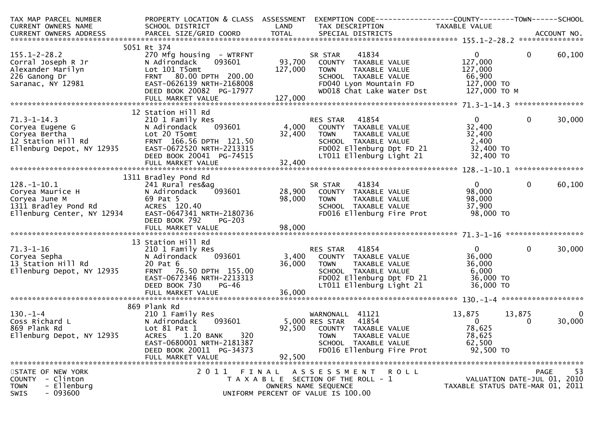| TAX MAP PARCEL NUMBER                                                                              | PROPERTY LOCATION & CLASS ASSESSMENT |                | EXEMPTION CODE-----------------COUNTY-------TOWN------SCHOOL |                                  |                             |
|----------------------------------------------------------------------------------------------------|--------------------------------------|----------------|--------------------------------------------------------------|----------------------------------|-----------------------------|
| CURRENT OWNERS NAME                                                                                | SCHOOL DISTRICT                      | LAND           | TAX DESCRIPTION                                              | TAXABLE VALUE                    |                             |
|                                                                                                    |                                      |                |                                                              |                                  |                             |
|                                                                                                    |                                      |                |                                                              |                                  |                             |
|                                                                                                    | 5051 Rt 374                          |                |                                                              |                                  |                             |
| $155.1 - 2 - 28.2$                                                                                 | 270 Mfg housing - WTRFNT             |                | 41834<br>SR STAR                                             | $0 \qquad \qquad$                | $\mathbf{0}$<br>60,100      |
| Corral Joseph R Jr                                                                                 | 093601<br>N Adirondack               | 93,700         | COUNTY TAXABLE VALUE                                         | 127,000                          |                             |
| Alexander Marilyn                                                                                  | Lot 101 T5omt                        | 127,000        | <b>TOWN</b><br>TAXABLE VALUE                                 | 127,000                          |                             |
| 226 Ganong Dr                                                                                      | FRNT 80.00 DPTH 200.00               |                | SCHOOL TAXABLE VALUE                                         | 66,900                           |                             |
| Saranac, ÑY 12981                                                                                  | EAST-0626139 NRTH-2168008            |                | FD040 Lyon Mountain FD                                       | 127,000 TO                       |                             |
|                                                                                                    | DEED BOOK 20082 PG-17977             |                | WD018 Chat Lake Water Dst                                    | 127,000 TO M                     |                             |
|                                                                                                    |                                      |                |                                                              |                                  |                             |
|                                                                                                    |                                      |                |                                                              |                                  |                             |
|                                                                                                    | 12 Station Hill Rd                   |                |                                                              |                                  |                             |
| $71.3 - 1 - 14.3$                                                                                  | 210 1 Family Res                     |                | 41854<br>RES STAR                                            | 0                                | $\mathbf 0$<br>30,000       |
| riis-1-14:5<br>Coryea Eugene G<br>Coryea Bertha<br>12 Station Hill Rd<br>Ellenburg Depot, NY 12935 | 093601<br>N Adirondack               | 4,000          | COUNTY TAXABLE VALUE                                         | 32,400                           |                             |
|                                                                                                    | Lot 20 T5omt                         | 32,400         | <b>TOWN</b><br>TAXABLE VALUE                                 | 32,400                           |                             |
|                                                                                                    | FRNT 166.56 DPTH 121.50              |                | SCHOOL TAXABLE VALUE                                         | 2,400                            |                             |
|                                                                                                    | EAST-0672520 NRTH-2213315            |                | FD002 Ellenburg Dpt FD 21                                    | 32,400 TO                        |                             |
|                                                                                                    | DEED BOOK 20041 PG-74515             |                | LT011 Ellenburg Light 21                                     | 32,400 TO                        |                             |
|                                                                                                    |                                      |                |                                                              |                                  |                             |
|                                                                                                    |                                      |                |                                                              |                                  |                             |
|                                                                                                    | 1311 Bradley Pond Rd                 |                |                                                              |                                  |                             |
| $128. - 1 - 10.1$                                                                                  | 241 Rural res&ag                     |                | 41834<br>SR STAR                                             | $0 \qquad \qquad$                | $\mathbf 0$<br>60,100       |
| Coryea Maurice H                                                                                   | 093601<br>N Adirondack               |                | 28,900 COUNTY TAXABLE VALUE                                  | 98,000                           |                             |
| Coryea June M                                                                                      | 69 Pat 5                             | 98,000         | TAXABLE VALUE<br><b>TOWN</b>                                 | 98,000                           |                             |
| 1311 Bradley Pond Rd                                                                               | ACRES 120.40                         |                | SCHOOL TAXABLE VALUE                                         | 37,900                           |                             |
| Ellenburg Center, NY 12934                                                                         | EAST-0647341 NRTH-2180736            |                | FD016 Ellenburg Fire Prot                                    | 98,000 TO                        |                             |
|                                                                                                    | DEED BOOK 792<br><b>PG-203</b>       |                |                                                              |                                  |                             |
|                                                                                                    |                                      |                |                                                              |                                  |                             |
|                                                                                                    |                                      |                |                                                              |                                  |                             |
|                                                                                                    | 13 Station Hill Rd                   |                |                                                              |                                  |                             |
| $71.3 - 1 - 16$                                                                                    | 210 1 Family Res                     |                | 41854<br>RES STAR                                            | $\overline{0}$                   | $\mathbf{0}$<br>30,000      |
| Coryea Sepha                                                                                       | 093601<br>N Adirondack               | 3,400          | COUNTY TAXABLE VALUE                                         | 36,000                           |                             |
| 13 Station Hill Rd                                                                                 | 20 Pat 6                             | 36,000         | <b>TOWN</b><br>TAXABLE VALUE                                 | 36,000                           |                             |
| Ellenburg Depot, NY 12935                                                                          | FRNT 76.50 DPTH 155.00               |                | SCHOOL TAXABLE VALUE                                         | 6,000                            |                             |
|                                                                                                    | EAST-0672346 NRTH-2213313            |                | FD002 Ellenburg Dpt FD 21                                    | 36,000 TO                        |                             |
|                                                                                                    | DEED BOOK 730<br>PG-46               |                | LT011 Ellenburg Light 21                                     | 36,000 TO                        |                             |
|                                                                                                    | FULL MARKET VALUE                    | 36,000         |                                                              |                                  |                             |
|                                                                                                    |                                      |                |                                                              |                                  |                             |
|                                                                                                    | 869 Plank Rd                         |                |                                                              |                                  |                             |
| $130 - 1 - 4$                                                                                      | 210 1 Family Res                     |                | WARNONALL 41121                                              | 13,875                           | 13,875<br>$\mathbf{0}$      |
| Coss Richard L                                                                                     | N Adirondack<br>093601               | 5,000 RES STAR | 41854                                                        | $\overline{0}$                   | 30,000<br>0                 |
| 869 Plank Rd                                                                                       | Lot $81$ Pat $1$                     | 92,500         | COUNTY TAXABLE VALUE                                         | 78,625                           |                             |
| Ellenburg Depot, NY 12935                                                                          | 1.20 BANK<br>320<br><b>ACRES</b>     |                | <b>TOWN</b><br>TAXABLE VALUE                                 | 78,625                           |                             |
|                                                                                                    | EAST-0680001 NRTH-2181387            |                | SCHOOL TAXABLE VALUE                                         | 62,500                           |                             |
|                                                                                                    | DEED BOOK 20011 PG-34373             |                | FD016 Ellenburg Fire Prot                                    | 92,500 TO                        |                             |
|                                                                                                    | FULL MARKET VALUE                    | 92,500         |                                                              |                                  |                             |
|                                                                                                    |                                      |                |                                                              |                                  |                             |
| STATE OF NEW YORK                                                                                  | 2011 FINAL                           |                | A S S E S S M E N T<br>R O L L                               |                                  | 53<br>PAGE                  |
| - Clinton<br><b>COUNTY</b>                                                                         |                                      |                | T A X A B L E SECTION OF THE ROLL - 1                        |                                  | VALUATION DATE-JUL 01, 2010 |
| - Ellenburg<br><b>TOWN</b>                                                                         |                                      |                | OWNERS NAME SEQUENCE                                         | TAXABLE STATUS DATE-MAR 01, 2011 |                             |
| - 093600<br><b>SWIS</b>                                                                            |                                      |                | UNIFORM PERCENT OF VALUE IS 100.00                           |                                  |                             |
|                                                                                                    |                                      |                |                                                              |                                  |                             |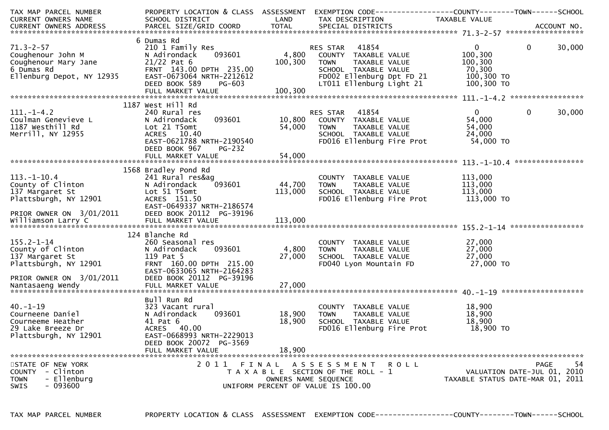| TAX MAP PARCEL NUMBER                                                                                                                    | PROPERTY LOCATION & CLASS ASSESSMENT          |                         | EXEMPTION CODE------------------COUNTY--------TOWN------SCHOOL |                                  |                |                             |
|------------------------------------------------------------------------------------------------------------------------------------------|-----------------------------------------------|-------------------------|----------------------------------------------------------------|----------------------------------|----------------|-----------------------------|
| CURRENT OWNERS NAME                                                                                                                      | SCHOOL DISTRICT<br><b>Example 18 The LAND</b> |                         | TAX DESCRIPTION                                                | TAXABLE VALUE                    |                |                             |
|                                                                                                                                          |                                               |                         |                                                                |                                  |                |                             |
|                                                                                                                                          |                                               |                         |                                                                |                                  |                |                             |
|                                                                                                                                          | 6 Dumas Rd                                    |                         |                                                                |                                  |                |                             |
| $71.3 - 2 - 57$                                                                                                                          | 210 1 Family Res                              |                         | <b>RES STAR 41854</b>                                          | $0 \qquad \qquad$                | $\overline{0}$ | 30,000                      |
| Coughenour John M                                                                                                                        | 093601<br>N Adirondack                        |                         | 4,800 COUNTY TAXABLE VALUE                                     | 100,300                          |                |                             |
|                                                                                                                                          |                                               | 100,300                 | <b>TOWN</b><br>TAXABLE VALUE                                   | 100,300                          |                |                             |
| Coughenour Mary Jane<br>6 Dumas Rd<br>6 Dumas Rd<br>Ellenburg Depot, NY 12935<br>EAST-0673064                                            | FRNT 143.00 DPTH 235.00                       | 100, 300                | SCHOOL TAXABLE VALUE                                           | 70,300                           |                |                             |
|                                                                                                                                          | EAST-0673064 NRTH-2212612                     |                         |                                                                | 100,300 TO                       |                |                             |
|                                                                                                                                          | DEED BOOK 589                                 |                         | FD002 Ellenburg Dpt FD 21<br>LT011 Ellenburg Light 21          | 100,300 TO                       |                |                             |
|                                                                                                                                          |                                               | $PG-603$<br>$= 100,300$ |                                                                |                                  |                |                             |
|                                                                                                                                          |                                               |                         |                                                                |                                  |                |                             |
|                                                                                                                                          | 1187 West Hill Rd                             |                         |                                                                |                                  |                |                             |
| $111.-1-4.2$                                                                                                                             |                                               |                         | RES STAR 41854                                                 | $0 \qquad \qquad$                | $\mathbf 0$    | 30,000                      |
| 111.-1-4.2<br>Coulman Genevieve Land Machiman Senevieve Land Machiman<br>1187 Westhill Rd Lot 21 T5omt<br>Merrill, NY 12955 MacRES 10.40 | 240 Rural res                                 |                         | ES STAR - 41854<br>COUNTY - TAXABLE VALUE                      |                                  |                |                             |
|                                                                                                                                          |                                               |                         |                                                                | 54,000                           |                |                             |
|                                                                                                                                          |                                               | 54,000                  | TAXABLE VALUE<br><b>TOWN</b>                                   | 54,000                           |                |                             |
| Merrill, NY 12955                                                                                                                        | ACRES 10.40                                   |                         | SCHOOL TAXABLE VALUE                                           | 24,000                           |                |                             |
|                                                                                                                                          | EAST-0621788 NRTH-2190540                     |                         | FD016 Ellenburg Fire Prot                                      | 54,000 TO                        |                |                             |
|                                                                                                                                          | DEED BOOK 967<br>PG-232                       |                         |                                                                |                                  |                |                             |
|                                                                                                                                          |                                               |                         |                                                                |                                  |                |                             |
|                                                                                                                                          |                                               |                         |                                                                |                                  |                |                             |
|                                                                                                                                          | 1568 Bradley Pond Rd                          |                         |                                                                |                                  |                |                             |
| $113.-1-10.4$                                                                                                                            | 241 Rural res&ag                              |                         | COUNTY TAXABLE VALUE                                           | 113,000                          |                |                             |
| 113.-1-10.4<br>County of Clinton                                                                                                         | 093601<br>N Adirondack                        | 44,700                  | TAXABLE VALUE<br>TOWN                                          | 113,000                          |                |                             |
| 137 Margaret St                                                                                                                          |                                               | 113,000                 | SCHOOL TAXABLE VALUE 113,000                                   |                                  |                |                             |
| 137 Margaret St                         Lot 51 T5omt<br>Plattsburgh, NY 12901             ACRES  151.50                                  | ACRES 151.50                                  |                         | FD016 Ellenburg Fire Prot                                      | 113,000 TO                       |                |                             |
|                                                                                                                                          | EAST-0649337 NRTH-2186574                     |                         |                                                                |                                  |                |                             |
|                                                                                                                                          | DEED BOOK 20112 PG-39196                      |                         |                                                                |                                  |                |                             |
| PRIOR OWNER ON 3/01/2011<br>Williamson Larry C                                                                                           |                                               |                         |                                                                |                                  |                |                             |
|                                                                                                                                          |                                               |                         |                                                                |                                  |                |                             |
|                                                                                                                                          | 124 Blanche Rd                                |                         |                                                                |                                  |                |                             |
| $155.2 - 1 - 14$                                                                                                                         | 260 Seasonal res                              |                         |                                                                | 27,000                           |                |                             |
|                                                                                                                                          | 093601<br>N Adirondack                        | 4,800                   | COUNTY TAXABLE VALUE 27,000<br>TOWN TAXABLE VALUE 27,000       |                                  |                |                             |
| County of Clinton                                                                                                                        |                                               |                         |                                                                |                                  |                |                             |
| 137 Margaret St<br>Plattsburgh, NY 12901<br>PRIOR OWNER ON 3/01/2011                                                                     | 119 Pat 5                                     | 27,000                  | SCHOOL TAXABLE VALUE                                           | 27,000<br>27,000 TO              |                |                             |
|                                                                                                                                          | FRNT 160.00 DPTH 215.00                       |                         | FD040 Lyon Mountain FD                                         |                                  |                |                             |
|                                                                                                                                          | EAST-0633065 NRTH-2164283                     |                         |                                                                |                                  |                |                             |
|                                                                                                                                          | DEED BOOK 20112 PG-39196                      |                         |                                                                |                                  |                |                             |
|                                                                                                                                          |                                               |                         |                                                                |                                  |                |                             |
|                                                                                                                                          |                                               |                         |                                                                |                                  |                |                             |
|                                                                                                                                          | Bull Run Rd                                   |                         |                                                                |                                  |                |                             |
| $40. - 1 - 19$                                                                                                                           | 323 Vacant rural                              |                         | COUNTY TAXABLE VALUE                                           | 18,900                           |                |                             |
| Courneene Daniel                                                                                                                         | 093601<br>N Adirondack                        | 18,900                  | TAXABLE VALUE<br><b>TOWN</b>                                   | 18,900                           |                |                             |
| Courneeme Heather                                                                                                                        | 41 Pat 6                                      | 18,900                  | SCHOOL TAXABLE VALUE                                           | 18,900                           |                |                             |
| 29 Lake Breeze Dr                                                                                                                        | ACRES 40.00                                   |                         | FD016 Ellenburg Fire Prot                                      | 18,900 TO                        |                |                             |
| Plattsburgh, NY 12901                                                                                                                    | EAST-0668993 NRTH-2229013                     |                         |                                                                |                                  |                |                             |
|                                                                                                                                          | DEED BOOK 20072 PG-3569                       |                         |                                                                |                                  |                |                             |
|                                                                                                                                          | FULL MARKET VALUE                             | 18,900                  |                                                                |                                  |                |                             |
|                                                                                                                                          |                                               |                         |                                                                |                                  |                |                             |
| STATE OF NEW YORK                                                                                                                        | 2011 FINAL                                    |                         | ASSESSMENT ROLL                                                |                                  |                | 54<br>PAGE                  |
| - Clinton<br>COUNTY                                                                                                                      |                                               |                         | T A X A B L E SECTION OF THE ROLL - 1                          |                                  |                | VALUATION DATE-JUL 01, 2010 |
| - Ellenburg<br><b>TOWN</b>                                                                                                               |                                               |                         | OWNERS NAME SEQUENCE                                           | TAXABLE STATUS DATE-MAR 01, 2011 |                |                             |
| <b>SWIS</b><br>- 093600                                                                                                                  |                                               |                         | UNIFORM PERCENT OF VALUE IS 100.00                             |                                  |                |                             |
|                                                                                                                                          |                                               |                         |                                                                |                                  |                |                             |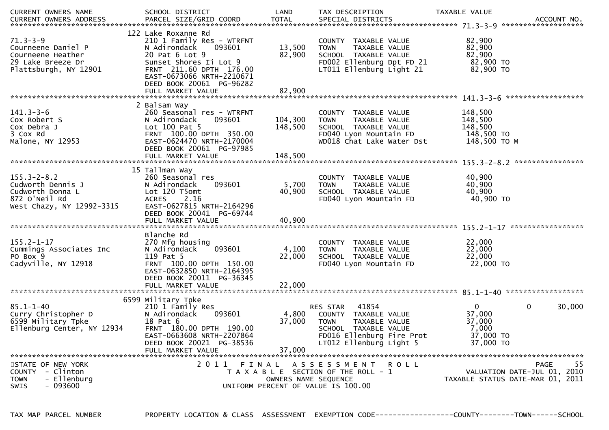| CURRENT OWNERS NAME                                                                                      | SCHOOL DISTRICT                                                                                                                                                                                            | LAND                          | TAX DESCRIPTION                                                                                                                                           | TAXABLE VALUE                                                       |                                                                               |
|----------------------------------------------------------------------------------------------------------|------------------------------------------------------------------------------------------------------------------------------------------------------------------------------------------------------------|-------------------------------|-----------------------------------------------------------------------------------------------------------------------------------------------------------|---------------------------------------------------------------------|-------------------------------------------------------------------------------|
| $71.3 - 3 - 9$<br>Courneene Daniel P<br>Courneene Heather<br>29 Lake Breeze Dr<br>Plattsburgh, NY 12901  | 122 Lake Roxanne Rd<br>210 1 Family Res - WTRFNT<br>093601<br>N Adirondack<br>20 Pat 6 Lot 9<br>Sunset Shores Ii Lot 9<br>FRNT 211.60 DPTH 176.00<br>EAST-0673066 NRTH-2210671<br>DEED BOOK 20061 PG-96282 | 13,500<br>82,900              | COUNTY TAXABLE VALUE<br>TAXABLE VALUE<br><b>TOWN</b><br>SCHOOL TAXABLE VALUE<br>FD002 Ellenburg Dpt FD 21<br>LT011 Ellenburg Light 21                     | 82,900<br>82,900<br>82,900<br>82,900 TO<br>82,900 TO                |                                                                               |
|                                                                                                          | FULL MARKET VALUE                                                                                                                                                                                          | 82,900                        |                                                                                                                                                           |                                                                     |                                                                               |
| $141.3 - 3 - 6$<br>Cox Robert S<br>Cox Debra J<br>3 Cox Rd<br>Malone, NY 12953                           | 2 Balsam Way<br>260 Seasonal res - WTRFNT<br>N Adirondack<br>093601<br>Lot $100$ Pat $5$<br>FRNT 100.00 DPTH 350.00<br>EAST-0624470 NRTH-2170004<br>DEED BOOK 20061 PG-97985<br>FULL MARKET VALUE          | 104,300<br>148,500<br>148,500 | COUNTY TAXABLE VALUE<br><b>TOWN</b><br>TAXABLE VALUE<br>SCHOOL TAXABLE VALUE<br>FD040 Lyon Mountain FD<br>WD018 Chat Lake Water Dst                       | 148,500<br>148,500<br>148,500<br>148,500 TO<br>148,500 TO M         |                                                                               |
|                                                                                                          |                                                                                                                                                                                                            |                               |                                                                                                                                                           |                                                                     |                                                                               |
| $155.3 - 2 - 8.2$<br>Cudworth Dennis J<br>Cudworth Donna L<br>872 O'Neil Rd<br>West Chazy, NY 12992-3315 | 15 Tallman Way<br>260 Seasonal res<br>N Adirondack<br>093601<br>Lot 120 T5omt<br><b>ACRES</b><br>2.16<br>EAST-0627815 NRTH-2164296<br>DEED BOOK 20041 PG-69744                                             | 5,700<br>40,900               | COUNTY TAXABLE VALUE<br><b>TOWN</b><br>TAXABLE VALUE<br>SCHOOL TAXABLE VALUE<br>FD040 Lyon Mountain FD                                                    | 40,900<br>40,900<br>40,900<br>40,900 TO                             |                                                                               |
|                                                                                                          |                                                                                                                                                                                                            |                               |                                                                                                                                                           |                                                                     |                                                                               |
| $155.2 - 1 - 17$<br>Cummings Associates Inc<br>PO Box 9<br>Cadyville, NY 12918                           | Blanche Rd<br>270 Mfg housing<br>093601<br>N Adirondack<br>119 Pat 5<br>FRNT 100.00 DPTH 150.00<br>EAST-0632850 NRTH-2164395<br>DEED BOOK 20011 PG-36345<br>FULL MARKET VALUE                              | 4,100<br>22,000<br>22,000     | COUNTY TAXABLE VALUE<br><b>TOWN</b><br>TAXABLE VALUE<br>SCHOOL TAXABLE VALUE<br>FD040 Lyon Mountain FD                                                    | 22,000<br>22,000<br>22,000<br>22,000 TO                             |                                                                               |
|                                                                                                          | 6599 Military Tpke                                                                                                                                                                                         |                               |                                                                                                                                                           |                                                                     |                                                                               |
| $85.1 - 1 - 40$<br>Curry Christopher D<br>6599 Military Tpke<br>Ellenburg Center, NY 12934               | 210 1 Family Res<br>N Adirondack<br>093601<br>18 Pat 6<br>FRNT 180.00 DPTH 190.00<br>EAST-0663608 NRTH-2207864<br>DEED BOOK 20021 PG-38536<br>FULL MARKET VALUE                                            | 4,800<br>37,000<br>37,000     | 41854<br>RES STAR<br>COUNTY TAXABLE VALUE<br><b>TOWN</b><br>TAXABLE VALUE<br>SCHOOL TAXABLE VALUE<br>FD016 Ellenburg Fire Prot<br>LT012 Ellenburg Light 5 | $\mathbf{0}$<br>37,000<br>37,000<br>7,000<br>37,000 TO<br>37,000 TO | $\mathbf 0$<br>30,000                                                         |
|                                                                                                          |                                                                                                                                                                                                            |                               |                                                                                                                                                           |                                                                     |                                                                               |
| STATE OF NEW YORK<br>COUNTY - Clinton<br>- Ellenburg<br><b>TOWN</b><br>- 093600<br><b>SWIS</b>           | 2011 FINAL                                                                                                                                                                                                 | OWNERS NAME SEQUENCE          | A S S E S S M E N T<br>ROLL<br>T A X A B L E SECTION OF THE ROLL - 1<br>UNIFORM PERCENT OF VALUE IS 100.00                                                |                                                                     | 55<br>PAGE<br>VALUATION DATE-JUL 01, 2010<br>TAXABLE STATUS DATE-MAR 01, 2011 |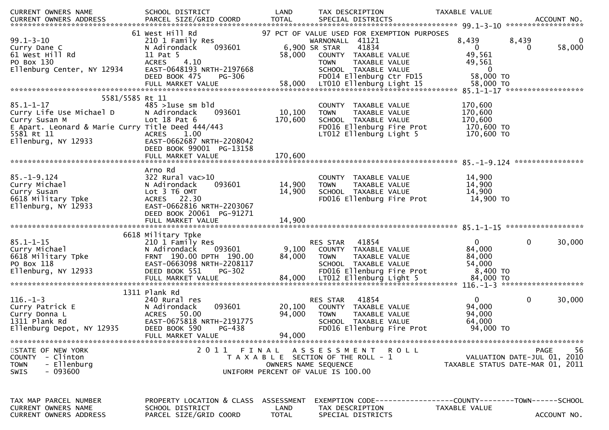| CURRENT OWNERS NAME                                   | SCHOOL DISTRICT                      | LAND         | TAX DESCRIPTION                                            | TAXABLE VALUE                                                  |                                  |
|-------------------------------------------------------|--------------------------------------|--------------|------------------------------------------------------------|----------------------------------------------------------------|----------------------------------|
| <b>CURRENT OWNERS ADDRESS</b>                         | PARCEL SIZE/GRID COORD               | <b>TOTAL</b> | SPECIAL DISTRICTS                                          |                                                                | ACCOUNT NO.                      |
|                                                       |                                      |              |                                                            |                                                                |                                  |
|                                                       | 61 West Hill Rd                      |              | 97 PCT OF VALUE USED FOR EXEMPTION PURPOSES                |                                                                |                                  |
| $99.1 - 3 - 10$                                       | 210 1 Family Res                     |              | WARNONALL 41121                                            | 8,439                                                          | 8,439<br>0                       |
| Curry Dane C                                          | 093601<br>N Adirondack               |              | 41834<br>6,900 SR STAR                                     | $\overline{0}$                                                 | 58,000<br>0                      |
| 61 West Hill Rd                                       | 11 Pat 5                             | 58,000       | COUNTY TAXABLE VALUE                                       | 49,561                                                         |                                  |
| PO Box 130                                            | <b>ACRES</b><br>4.10                 |              | TAXABLE VALUE<br><b>TOWN</b>                               | 49,561                                                         |                                  |
| Ellenburg Center, NY 12934                            | EAST-0648193 NRTH-2197668            |              | SCHOOL TAXABLE VALUE                                       | $\bf{0}$<br>58,000 TO                                          |                                  |
|                                                       | DEED BOOK 475<br>PG-306              | 58,000       | FD014 Ellenburg Ctr FD15                                   |                                                                |                                  |
|                                                       | FULL MARKET VALUE                    |              | LT010 Ellenburg Light 15                                   | 58,000 TO                                                      |                                  |
| 5581/5585 Rt 11                                       |                                      |              |                                                            |                                                                |                                  |
| $85.1 - 1 - 17$                                       | $485 > 1$ use sm bld                 |              | COUNTY TAXABLE VALUE                                       | 170,600                                                        |                                  |
| Curry Life Use Michael D                              | N Adirondack<br>093601               | 10,100       | TAXABLE VALUE<br><b>TOWN</b>                               | 170,600                                                        |                                  |
| Curry Susan M                                         | Lot $18$ Pat $6$                     | 170,600      | SCHOOL TAXABLE VALUE                                       | 170,600                                                        |                                  |
| E Apart. Leonard & Marie Curry Title Deed 444/443     |                                      |              | FD016 Ellenburg Fire Prot                                  | 170,600 то                                                     |                                  |
| 5581 Rt 11                                            | 1.00<br><b>ACRES</b>                 |              | LT012 Ellenburg Light 5                                    | 170,600 TO                                                     |                                  |
| Ellenburg, NY 12933                                   | EAST-0662687 NRTH-2208042            |              |                                                            |                                                                |                                  |
|                                                       | DEED BOOK 99001 PG-13158             |              |                                                            |                                                                |                                  |
|                                                       | FULL MARKET VALUE                    | 170,600      |                                                            |                                                                |                                  |
|                                                       |                                      |              |                                                            |                                                                |                                  |
|                                                       | Arno Rd                              |              |                                                            |                                                                |                                  |
| $85. - 1 - 9.124$                                     | 322 Rural vac>10                     |              | COUNTY TAXABLE VALUE                                       | 14,900                                                         |                                  |
| Curry Michael                                         | 093601<br>N Adirondack               | 14,900       | TAXABLE VALUE<br><b>TOWN</b>                               | 14,900                                                         |                                  |
| Curry Susan                                           | Lot 3 T6 OMT                         | 14,900       | SCHOOL TAXABLE VALUE                                       | 14,900                                                         |                                  |
| 6618 Military Tpke                                    | ACRES 22.30                          |              | FD016 Ellenburg Fire Prot                                  | 14,900 TO                                                      |                                  |
| Ellenburg, NY 12933                                   | EAST-0662816 NRTH-2203067            |              |                                                            |                                                                |                                  |
|                                                       | DEED BOOK 20061 PG-91271             |              |                                                            |                                                                |                                  |
|                                                       | FULL MARKET VALUE                    | 14,900       |                                                            |                                                                |                                  |
|                                                       |                                      |              |                                                            |                                                                |                                  |
|                                                       | 6618 Military Tpke                   |              |                                                            |                                                                |                                  |
| $85.1 - 1 - 15$                                       | 210 1 Family Res                     |              | 41854<br><b>RES STAR</b>                                   | $\mathbf{0}$                                                   | 0<br>30,000                      |
| Curry Michael                                         | N Adirondack<br>093601               | 9,100        | COUNTY TAXABLE VALUE                                       | 84,000                                                         |                                  |
| 6618 Military Tpke                                    | FRNT 190.00 DPTH 190.00              | 84,000       | TAXABLE VALUE<br><b>TOWN</b>                               | 84,000                                                         |                                  |
| PO Box 118                                            | EAST-0663098 NRTH-2208117            |              | SCHOOL TAXABLE VALUE                                       | 54,000                                                         |                                  |
| Ellenburg, NY 12933                                   | DEED BOOK 551<br><b>PG-302</b>       |              | FD016 Ellenburg Fire Prot                                  | 8,400 TO                                                       |                                  |
|                                                       |                                      |              |                                                            |                                                                |                                  |
|                                                       |                                      |              |                                                            |                                                                |                                  |
|                                                       | 1311 Plank Rd                        |              |                                                            |                                                                |                                  |
| $116. - 1 - 3$                                        | 240 Rural res                        |              | 41854<br><b>RES STAR</b>                                   | $\overline{0}$                                                 | 0<br>30,000                      |
| Curry Patrick E                                       | 093601<br>N Adirondack               | 20,100       | COUNTY TAXABLE VALUE                                       | 94,000                                                         |                                  |
| Curry Donna L                                         | <b>ACRES</b><br>50.00                | 94,000       | TAXABLE VALUE<br><b>TOWN</b>                               | 94,000                                                         |                                  |
| 1311 Plank Rd                                         | EAST-0675818 NRTH-2191775            |              | SCHOOL TAXABLE VALUE                                       | 64,000                                                         |                                  |
| Ellenburg Depot, NY 12935                             | DEED BOOK 590<br><b>PG-438</b>       |              | FD016 Ellenburg Fire Prot                                  | 94,000 TO                                                      |                                  |
|                                                       | FULL MARKET VALUE                    | 94,000       |                                                            |                                                                |                                  |
|                                                       |                                      |              |                                                            |                                                                |                                  |
| STATE OF NEW YORK<br>COUNTY - Clinton                 | 2011 FINAL                           |              | ASSESSMENT ROLL                                            |                                                                | 56<br><b>PAGE</b>                |
|                                                       |                                      |              | T A X A B L E SECTION OF THE ROLL - 1                      |                                                                | VALUATION DATE-JUL 01, 2010      |
| - Ellenburg<br><b>TOWN</b><br>- 093600<br><b>SWIS</b> |                                      |              | OWNERS NAME SEQUENCE<br>UNIFORM PERCENT OF VALUE IS 100.00 |                                                                | TAXABLE STATUS DATE-MAR 01, 2011 |
|                                                       |                                      |              |                                                            |                                                                |                                  |
|                                                       |                                      |              |                                                            |                                                                |                                  |
|                                                       |                                      |              |                                                            |                                                                |                                  |
| TAX MAP PARCEL NUMBER                                 | PROPERTY LOCATION & CLASS ASSESSMENT |              |                                                            | EXEMPTION CODE------------------COUNTY--------TOWN------SCHOOL |                                  |
| CURRENT OWNERS NAME                                   | SCHOOL DISTRICT                      | LAND         | TAX DESCRIPTION                                            | TAXABLE VALUE                                                  |                                  |
| <b>CURRENT OWNERS ADDRESS</b>                         | PARCEL SIZE/GRID COORD               | <b>TOTAL</b> | SPECIAL DISTRICTS                                          |                                                                | ACCOUNT NO.                      |
|                                                       |                                      |              |                                                            |                                                                |                                  |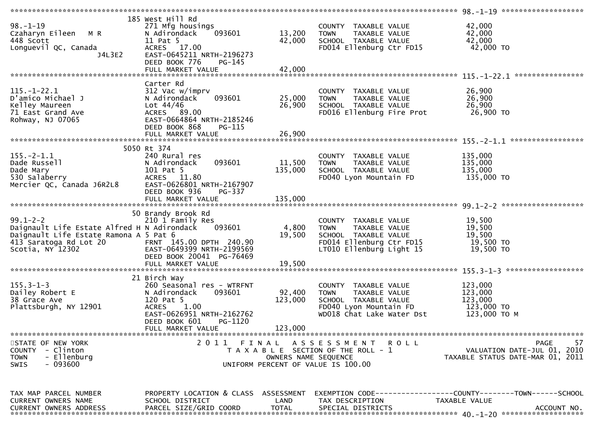|                                             | 185 West Hill Rd                     |                      |                                       |                                                               |    |
|---------------------------------------------|--------------------------------------|----------------------|---------------------------------------|---------------------------------------------------------------|----|
| $98. - 1 - 19$                              | 271 Mfg housings                     |                      | COUNTY TAXABLE VALUE                  | 42,000                                                        |    |
| Czaharyn Eileen M R                         | N Adirondack<br>093601               | 13,200               | <b>TOWN</b><br>TAXABLE VALUE          | 42,000                                                        |    |
| 448 Scott                                   | 11 Pat 5                             | 42,000               | SCHOOL TAXABLE VALUE                  | 42,000                                                        |    |
| Longuevil QC, Canada                        | ACRES 17.00                          |                      | FD014 Ellenburg Ctr FD15              | 42,000 TO                                                     |    |
| J4L3E2                                      | EAST-0645211 NRTH-2196273            |                      |                                       |                                                               |    |
|                                             | DEED BOOK 776<br>$PG-145$            |                      |                                       |                                                               |    |
|                                             |                                      | 42,000               |                                       |                                                               |    |
|                                             | FULL MARKET VALUE                    |                      |                                       |                                                               |    |
|                                             |                                      |                      |                                       |                                                               |    |
|                                             | Carter Rd                            |                      |                                       |                                                               |    |
| $115. - 1 - 22.1$                           | 312 Vac w/imprv                      |                      | COUNTY TAXABLE VALUE                  | 26,900                                                        |    |
| D'amico Michael J                           | 093601<br>N Adirondack               | 25,000               | <b>TOWN</b><br>TAXABLE VALUE          | 26,900                                                        |    |
| Kelley Maureen                              | Lot $44/46$                          | 26,900               | SCHOOL TAXABLE VALUE                  | 26,900                                                        |    |
| 71 East Grand Ave                           | ACRES 89.00                          |                      | FD016 Ellenburg Fire Prot             | 26,900 TO                                                     |    |
| Rohway, NJ 07065                            | EAST-0664864 NRTH-2185246            |                      |                                       |                                                               |    |
|                                             | DEED BOOK 868<br>PG-115              |                      |                                       |                                                               |    |
|                                             | FULL MARKET VALUE                    | 26,900               |                                       |                                                               |    |
|                                             |                                      |                      |                                       | *****************                                             |    |
|                                             | 5050 Rt 374                          |                      |                                       |                                                               |    |
| $155. - 2 - 1.1$                            | 240 Rural res                        |                      | COUNTY TAXABLE VALUE                  | 135,000                                                       |    |
| Dade Russell                                | 093601<br>N Adirondack               | 11,500               | TAXABLE VALUE<br><b>TOWN</b>          | 135,000                                                       |    |
|                                             | 101 Pat 5                            | 135,000              | SCHOOL TAXABLE VALUE                  | 135,000                                                       |    |
| Dade Mary                                   |                                      |                      |                                       |                                                               |    |
| 530 Salaberry                               | ACRES 11.80                          |                      | FD040 Lyon Mountain FD                | 135,000 TO                                                    |    |
| Mercier QC, Canada J6R2L8                   | EAST-0626801 NRTH-2167907            |                      |                                       |                                                               |    |
|                                             | DEED BOOK 936<br>PG-337              |                      |                                       |                                                               |    |
|                                             |                                      |                      |                                       |                                                               |    |
|                                             |                                      |                      |                                       |                                                               |    |
|                                             | 50 Brandy Brook Rd                   |                      |                                       |                                                               |    |
| $99.1 - 2 - 2$                              | 210 1 Family Res                     |                      | COUNTY TAXABLE VALUE                  | 19,500                                                        |    |
| Daignault Life Estate Alfred H N Adirondack | 093601                               | 4,800                | TAXABLE VALUE<br>TOWN                 | 19,500                                                        |    |
| Daignault Life Estate Ramona A 5 Pat 6      |                                      | 19,500               | SCHOOL TAXABLE VALUE                  | 19,500                                                        |    |
| 413 Saratoga Rd Lot 20                      | FRNT 145.00 DPTH 240.90              |                      | FD014 Ellenburg Ctr FD15              | 19,500 TO                                                     |    |
| Scotia, NY 12302                            | EAST-0649399 NRTH-2199569            |                      | LT010 Ellenburg Light 15              | 19,500 TO                                                     |    |
|                                             | DEED BOOK 20041 PG-76469             |                      |                                       |                                                               |    |
|                                             |                                      |                      |                                       |                                                               |    |
|                                             |                                      |                      |                                       |                                                               |    |
|                                             |                                      |                      |                                       |                                                               |    |
|                                             |                                      |                      |                                       |                                                               |    |
|                                             | 21 Birch Way                         |                      |                                       |                                                               |    |
| $155.3 - 1 - 3$                             | 260 Seasonal res - WTRFNT            |                      | COUNTY TAXABLE VALUE                  | 123,000                                                       |    |
| Dailey Robert E                             | N Adirondack<br>093601               | 92,400               | TAXABLE VALUE<br><b>TOWN</b>          | 123,000                                                       |    |
| 38 Grace Ave                                | 120 Pat 5                            | 123,000              | SCHOOL TAXABLE VALUE                  | 123,000                                                       |    |
| Plattsburgh, NY 12901                       | 1.00<br><b>ACRES</b>                 |                      | FD040 Lyon Mountain FD                | 123,000 TO                                                    |    |
|                                             | EAST-0626951 NRTH-2162762            |                      | WD018 Chat Lake Water Dst             | 123,000 ТО М                                                  |    |
|                                             | DEED BOOK 601<br>PG-1120             |                      |                                       |                                                               |    |
|                                             | FULL MARKET VALUE                    | 123,000              |                                       |                                                               |    |
|                                             |                                      |                      |                                       |                                                               |    |
| STATE OF NEW YORK                           | 2011 FINAL                           |                      | A S S E S S M E N T<br>R O L L        | <b>PAGE</b>                                                   | 57 |
| COUNTY - Clinton                            |                                      |                      | T A X A B L E SECTION OF THE ROLL - 1 | VALUATION DATE-JUL 01, 2010                                   |    |
| - Ellenburg<br><b>TOWN</b>                  |                                      | OWNERS NAME SEQUENCE |                                       | TAXABLE STATUS DATE-MAR 01, 2011                              |    |
| - 093600<br><b>SWIS</b>                     |                                      |                      | UNIFORM PERCENT OF VALUE IS 100.00    |                                                               |    |
|                                             |                                      |                      |                                       |                                                               |    |
|                                             |                                      |                      |                                       |                                                               |    |
|                                             |                                      |                      |                                       |                                                               |    |
| TAX MAP PARCEL NUMBER                       |                                      |                      |                                       |                                                               |    |
|                                             | PROPERTY LOCATION & CLASS ASSESSMENT |                      |                                       | EXEMPTION CODE-----------------COUNTY--------TOWN------SCHOOL |    |
| CURRENT OWNERS NAME                         | SCHOOL DISTRICT                      | LAND                 | TAX DESCRIPTION                       | TAXABLE VALUE<br>ACCOUNT NO.                                  |    |
| <b>CURRENT OWNERS ADDRESS</b>               | PARCEL SIZE/GRID COORD               | <b>TOTAL</b>         | SPECIAL DISTRICTS                     |                                                               |    |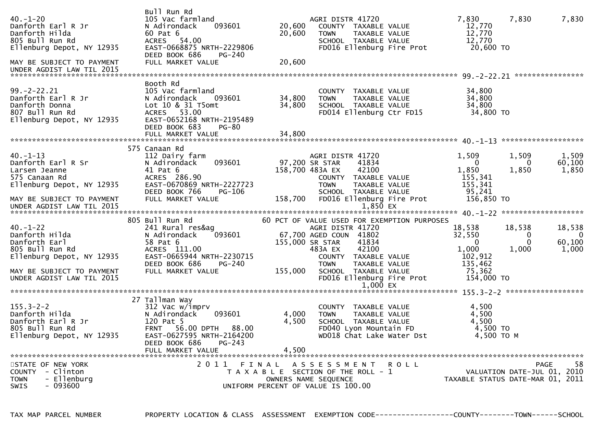| $40. - 1 - 20$<br>Danforth Earl R Jr<br>Danforth Hilda<br>805 Bull Run Rd<br>Ellenburg Depot, NY 12935<br>MAY BE SUBJECT TO PAYMENT<br>UNDER AGDIST LAW TIL 2015                   | Bull Run Rd<br>105 Vac farmland<br>093601<br>N Adirondack<br>60 Pat 6<br>ACRES 54.00<br>EAST-0668875 NRTH-2229806<br>DEED BOOK 686<br>PG-240<br>FULL MARKET VALUE                           | 20,600<br>20,600<br>20,600       | AGRI DISTR 41720<br>COUNTY TAXABLE VALUE<br><b>TOWN</b><br>TAXABLE VALUE<br>SCHOOL TAXABLE VALUE<br>FD016 Ellenburg Fire Prot                                                                                                                                        | 7,830<br>12,770<br>12,770<br>12,770<br>20,600 TO                                    | 7,830                                                           | 7,830                                     |
|------------------------------------------------------------------------------------------------------------------------------------------------------------------------------------|---------------------------------------------------------------------------------------------------------------------------------------------------------------------------------------------|----------------------------------|----------------------------------------------------------------------------------------------------------------------------------------------------------------------------------------------------------------------------------------------------------------------|-------------------------------------------------------------------------------------|-----------------------------------------------------------------|-------------------------------------------|
| $99. -2 - 22.21$<br>Danforth Earl R Jr<br>Danforth Earl R Jr<br>Danforth Donna<br>807 Bull Run Rd<br>Ellenburg Depot, NY 12935                                                     | Booth Rd<br>105 Vac farmland<br>N Adirondack<br>093601<br>Lot 10 & 31 T5omt<br>ACRES 53.00<br>EAST-0652168 NRTH-2195489<br>DEED BOOK 683<br>PG-80                                           | 34,800<br>34,800                 | COUNTY TAXABLE VALUE<br><b>TOWN</b><br>TAXABLE VALUE<br>SCHOOL TAXABLE VALUE                                                                                                                                                                                         | 34,800<br>34,800<br>34,800<br>FD014 Ellenburg Ctr FD15 34,800 TO                    |                                                                 |                                           |
| $40. -1 - 13$<br>Danforth Earl R Sr<br>Danforth Earl R Sr<br>Larsen Jeanne<br>575 Canaan Rd<br>Ellenburg Depot, NY 12935<br>MAY BE SUBJECT TO PAYMENT<br>UNDER AGDIST LAW TIL 2015 | 575 Canaan Rd<br>112 Dairy farm<br>093601<br>N Adirondack<br>41 Pat 6<br>ACRES 286.90<br>EAST-0670869 NRTH-2227723<br>DEED BOOK 766<br>PG-106<br>FULL MARKET VALUE                          | 97,200 SR STAR                   | AGRI DISTR 41720<br>41834<br>158,700 483A EX<br>42100<br>COUNTY TAXABLE VALUE<br><b>TOWN</b><br>TAXABLE VALUE<br>SCHOOL TAXABLE VALUE<br>158,700 FD016 Ellenburg Fire Prot<br>$1,850$ EX                                                                             | 1,509<br>$\overline{0}$<br>1,850<br>155,341<br>155,341<br>95,241<br>156,850 TO      | 1,509<br>0<br>1,850                                             | 1,509<br>60,100<br>1,850                  |
| $40. - 1 - 22$<br>Danforth Hilda<br>Danforth Earl<br>805 Bull Run Rd<br>Ellenburg Depot, NY 12935<br>MAY BE SUBJECT TO PAYMENT<br>UNDER AGDIST LAW TIL 2015                        | 805 Bull Run Rd<br>241 Rural res&ag<br>093601<br>N Adirondack<br>58 Pat 6<br>ACRES 111.00<br>EAST-0665944 NRTH-2230715<br>DEED BOOK 686<br>PG-240<br>FULL MARKET VALUE                      | 155,000                          | 60 PCT OF VALUE USED FOR EXEMPTION PURPOSES<br>AGRI DISTR 41720<br>67,700 AGED COUN 41802<br>155,000 SR STAR<br>41834<br>42100<br>483A EX<br>COUNTY TAXABLE VALUE<br>TAXABLE VALUE<br><b>TOWN</b><br>SCHOOL TAXABLE VALUE<br>FD016 Ellenburg Fire Prot<br>$1,000$ EX | 18,538<br>32,550<br>$\Omega$<br>1,000<br>102,912<br>135,462<br>75,362<br>154,000 TO | 18,538<br>$\bf{0}$<br>$\Omega$<br>1,000                         | 18,538<br>$\mathbf{0}$<br>60,100<br>1,000 |
| $155.3 - 2 - 2$<br>Danforth Hilda<br>Danforth Earl R Jr<br>805 Bull Run Rd<br>Ellenburg Depot, NY 12935<br>STATE OF NEW YORK                                                       | 27 Tallman Way<br>312 Vac w/imprv<br>N Adirondack<br>093601<br>120 Pat 5<br>FRNT 56.00 DPTH<br>88.00<br>EAST-0627595 NRTH-2164200<br>DEED BOOK 686<br>$PG-243$<br>FULL MARKET VALUE<br>2011 | 4,000<br>4,500<br>4,500<br>FINAL | COUNTY TAXABLE VALUE<br>TAXABLE VALUE<br><b>TOWN</b><br>SCHOOL TAXABLE VALUE<br>FD040 Lyon Mountain FD<br>WD018 Chat Lake Water Dst<br>A S S E S S M E N T<br><b>ROLL</b>                                                                                            | 4,500<br>4,500<br>4,500<br>4,500 TO<br>4,500 TO M                                   | <b>PAGE</b>                                                     | 58                                        |
| COUNTY - Clinton<br>- Ellenburg<br><b>TOWN</b><br>$-093600$<br>SWIS                                                                                                                |                                                                                                                                                                                             |                                  | T A X A B L E SECTION OF THE ROLL - 1<br>OWNERS NAME SEQUENCE<br>UNIFORM PERCENT OF VALUE IS 100.00                                                                                                                                                                  |                                                                                     | VALUATION DATE-JUL 01, 2010<br>TAXABLE STATUS DATE-MAR 01, 2011 |                                           |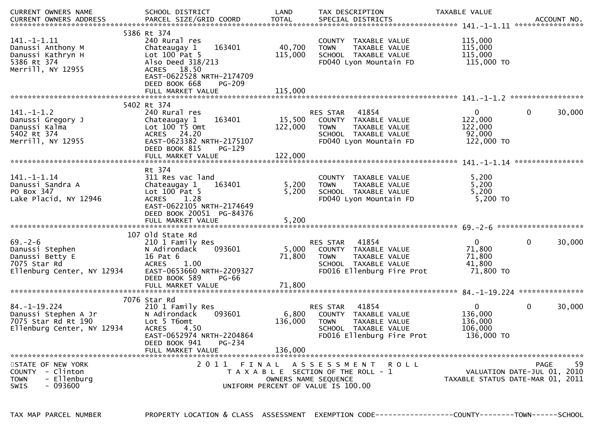| CURRENT OWNERS NAME                                                                               | SCHOOL DISTRICT                                                                                                                                                  | LAND              | TAX DESCRIPTION                                                                                                                       | TAXABLE VALUE                                               |                                                  |
|---------------------------------------------------------------------------------------------------|------------------------------------------------------------------------------------------------------------------------------------------------------------------|-------------------|---------------------------------------------------------------------------------------------------------------------------------------|-------------------------------------------------------------|--------------------------------------------------|
| $141. - 1 - 1.11$<br>Danussi Anthony M<br>Danussi Kathryn H<br>5386 Rt 374<br>Merrill, NY 12955   | 5386 Rt 374<br>240 Rural res<br>163401<br>Chateaugay 1<br>Lot 100 Pat 5<br>Also Deed 318/213<br>ACRES 18.50<br>EAST-0622528 NRTH-2174709                         | 40,700<br>115,000 | COUNTY TAXABLE VALUE<br>TAXABLE VALUE<br><b>TOWN</b><br>SCHOOL TAXABLE VALUE<br>FD040 Lyon Mountain FD                                | 115,000<br>115,000<br>115,000<br>115,000 TO                 |                                                  |
|                                                                                                   | DEED BOOK 668<br><b>PG-209</b>                                                                                                                                   |                   |                                                                                                                                       |                                                             |                                                  |
|                                                                                                   | 5402 Rt 374                                                                                                                                                      |                   |                                                                                                                                       |                                                             |                                                  |
| $141. - 1 - 1.2$<br>Danussi Gregory J<br>Danussi Kalma<br>5402 Rt 374<br>Merrill, NY 12955        | 240 Rural res<br>163401<br>Chateaugay 1<br>Lot 100 T5 Omt<br>ACRES 24.20<br>EAST-0623382 NRTH-2175107<br>DEED BOOK 815<br>$PG-129$                               | 15,500<br>122,000 | 41854<br>RES STAR<br>COUNTY TAXABLE VALUE<br>TAXABLE VALUE<br><b>TOWN</b><br>SCHOOL TAXABLE VALUE<br>FD040 Lyon Mountain FD           | $\mathbf{0}$<br>122,000<br>122,000<br>92,000<br>122,000 TO  | 0<br>30,000                                      |
|                                                                                                   | FULL MARKET VALUE                                                                                                                                                | 122,000           |                                                                                                                                       |                                                             |                                                  |
|                                                                                                   |                                                                                                                                                                  |                   |                                                                                                                                       |                                                             |                                                  |
| 141. - 1 - 1.14<br>Danussi Sandra A<br>PO Box 347<br>Lake Placid, NY 12946                        | Rt 374<br>311 Res vac land<br>163401<br>Chateaugay 1<br>Lot 100 Pat 5<br><b>ACRES</b><br>1.28<br>EAST-0622105 NRTH-2174649<br>DEED BOOK 20051 PG-84376           | 5,200<br>5,200    | COUNTY TAXABLE VALUE<br><b>TOWN</b><br>TAXABLE VALUE<br>SCHOOL TAXABLE VALUE<br>FD040 Lyon Mountain FD                                | 5,200<br>5,200<br>5,200<br>5,200 TO                         |                                                  |
|                                                                                                   |                                                                                                                                                                  |                   |                                                                                                                                       |                                                             |                                                  |
|                                                                                                   |                                                                                                                                                                  |                   |                                                                                                                                       |                                                             |                                                  |
| $69. - 2 - 6$<br>Danussi Stephen<br>Danussi Betty E<br>7075 Star Rd<br>Ellenburg Center, NY 12934 | 107 old State Rd<br>210 1 Family Res<br>093601<br>N Adirondack<br>16 Pat 6<br><b>ACRES</b><br>1.00<br>EAST-0653660 NRTH-2209327<br>DEED BOOK 589<br><b>PG-66</b> | 5,000<br>71,800   | RES STAR<br>41854<br>COUNTY TAXABLE VALUE<br>TAXABLE VALUE<br>TOWN<br>SCHOOL TAXABLE VALUE<br>FD016 Ellenburg Fire Prot               | $\mathbf{0}$<br>71,800<br>71,800<br>41,800<br>71,800 TO     | 0<br>30,000                                      |
|                                                                                                   | FULL MARKET VALUE                                                                                                                                                | 71,800            |                                                                                                                                       |                                                             |                                                  |
|                                                                                                   | 7076 Star Rd                                                                                                                                                     |                   |                                                                                                                                       |                                                             |                                                  |
| $84. - 1 - 19.224$<br>Danussi Stephen A Jr<br>7075 Star Rd Rt 190<br>Ellenburg Center, NY 12934   | 210 1 Family Res<br>N Adirondack<br>093601<br>Lot 5 T6omt<br><b>ACRES</b><br>4.50<br>EAST-0652974 NRTH-2204864<br>DEED BOOK 941<br>PG-234                        | 6,800<br>136,000  | 41854<br>RES STAR<br>COUNTY TAXABLE VALUE<br><b>TOWN</b><br><b>TAXABLE VALUE</b><br>SCHOOL TAXABLE VALUE<br>FD016 Ellenburg Fire Prot | $\mathbf{0}$<br>136,000<br>136,000<br>106,000<br>136,000 TO | 0<br>30,000                                      |
|                                                                                                   | FULL MARKET VALUE                                                                                                                                                | 136,000           |                                                                                                                                       |                                                             |                                                  |
| STATE OF NEW YORK<br>COUNTY - Clinton<br>- Ellenburg<br><b>TOWN</b><br>SWIS<br>- 093600           | 2011<br>FINAL                                                                                                                                                    |                   | A S S E S S M E N T<br>R O L L<br>T A X A B L E SECTION OF THE ROLL - 1<br>OWNERS NAME SEQUENCE<br>UNIFORM PERCENT OF VALUE IS 100.00 | TAXABLE STATUS DATE-MAR 01, 2011                            | 59<br><b>PAGE</b><br>VALUATION DATE-JUL 01, 2010 |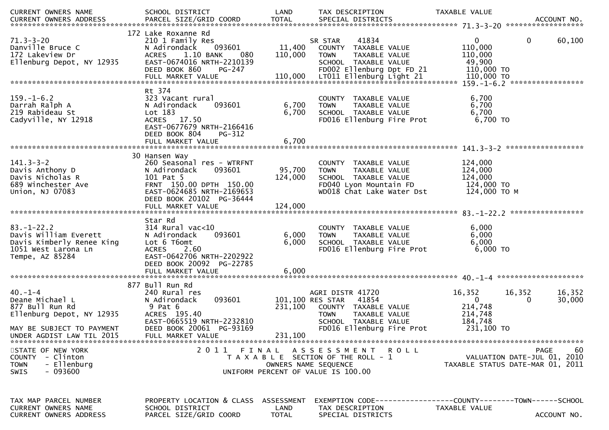| CURRENT OWNERS NAME                                                                                             | SCHOOL DISTRICT                                                                                                                                                       | LAND               | TAX DESCRIPTION                                                                                                                                            | TAXABLE VALUE                                                                     |                                            |
|-----------------------------------------------------------------------------------------------------------------|-----------------------------------------------------------------------------------------------------------------------------------------------------------------------|--------------------|------------------------------------------------------------------------------------------------------------------------------------------------------------|-----------------------------------------------------------------------------------|--------------------------------------------|
| <b>CURRENT OWNERS ADDRESS</b>                                                                                   | PARCEL SIZE/GRID COORD                                                                                                                                                | <b>TOTAL</b>       | SPECIAL DISTRICTS                                                                                                                                          |                                                                                   | ACCOUNT NO.                                |
|                                                                                                                 |                                                                                                                                                                       |                    |                                                                                                                                                            |                                                                                   |                                            |
| $71.3 - 3 - 20$<br>Danville Bruce C<br>172 Lakeview Dr                                                          | 172 Lake Roxanne Rd<br>210 1 Family Res<br>N Adirondack<br>093601<br><b>ACRES</b><br>1.10 BANK<br>080                                                                 | 11,400<br>110,000  | 41834<br>SR STAR<br>COUNTY TAXABLE VALUE<br>TAXABLE VALUE<br><b>TOWN</b>                                                                                   | $\mathbf 0$<br>110,000<br>110,000                                                 | 60,100<br>0                                |
| Ellenburg Depot, NY 12935                                                                                       | EAST-0674016 NRTH-2210139<br>DEED BOOK 860<br>PG-247                                                                                                                  |                    | SCHOOL TAXABLE VALUE<br>FD002 Ellenburg Dpt FD 21                                                                                                          | 49,900<br>110,000 TO                                                              |                                            |
|                                                                                                                 |                                                                                                                                                                       |                    |                                                                                                                                                            |                                                                                   |                                            |
| $159. - 1 - 6.2$<br>Darrah Ralph A<br>219 Rabideau St<br>Cadyville, NY 12918                                    | Rt 374<br>323 Vacant rural<br>093601<br>N Adirondack<br>Lot 183<br>ACRES 17.50<br>EAST-0677679 NRTH-2166416<br>DEED BOOK 804<br>PG-312                                | 6,700<br>6,700     | COUNTY TAXABLE VALUE<br>TAXABLE VALUE<br><b>TOWN</b><br>SCHOOL TAXABLE VALUE<br>FD016 Ellenburg Fire Prot                                                  | 6,700<br>6,700<br>6,700<br>6,700 TO                                               |                                            |
|                                                                                                                 | FULL MARKET VALUE                                                                                                                                                     | 6,700              |                                                                                                                                                            |                                                                                   |                                            |
|                                                                                                                 |                                                                                                                                                                       |                    |                                                                                                                                                            |                                                                                   |                                            |
| $141.3 - 3 - 2$<br>Davis Anthony D<br>Davis Nicholas R<br>689 Winchester Ave<br>Union, NJ 07083                 | 30 Hansen Way<br>260 Seasonal res - WTRFNT<br>N Adirondack<br>093601<br>101 Pat 5<br>FRNT 150.00 DPTH 150.00<br>EAST-0624685 NRTH-2169653<br>DEED BOOK 20102 PG-36444 | 95,700<br>124,000  | COUNTY TAXABLE VALUE<br>TAXABLE VALUE<br><b>TOWN</b><br>SCHOOL TAXABLE VALUE<br>FD040 Lyon Mountain FD<br>WD018 Chat Lake Water Dst                        | 124,000<br>124,000<br>124,000<br>124,000 TO<br>124,000 TO M                       |                                            |
|                                                                                                                 |                                                                                                                                                                       |                    |                                                                                                                                                            |                                                                                   |                                            |
| $83 - 1 - 22.2$<br>Davis William Everett<br>Davis Kimberly Renee King<br>1051 West Larona Ln<br>Tempe, AZ 85284 | Star Rd<br>$314$ Rural vac<10<br>093601<br>N Adirondack<br>Lot 6 T6omt<br>2.60<br><b>ACRES</b><br>EAST-0642706 NRTH-2202922<br>DEED BOOK 20092 PG-22785               | 6,000<br>6,000     | COUNTY TAXABLE VALUE<br><b>TOWN</b><br>TAXABLE VALUE<br>SCHOOL TAXABLE VALUE<br>FD016 Ellenburg Fire Prot                                                  | 6,000<br>6,000<br>6,000<br>$6,000$ TO                                             |                                            |
|                                                                                                                 | FULL MARKET VALUE                                                                                                                                                     | 6,000              |                                                                                                                                                            |                                                                                   |                                            |
|                                                                                                                 | 877 Bull Run Rd                                                                                                                                                       |                    |                                                                                                                                                            |                                                                                   |                                            |
| $40. - 1 - 4$<br>Deane Michael L<br>877 Bull Run Rd<br>Ellenburg Depot, NY 12935<br>MAY BE SUBJECT TO PAYMENT   | 240 Rural res<br>093601<br>N Adirondack<br>9 Pat 6<br>ACRES 195.40<br>EAST-0665519 NRTH-2232810<br>DEED BOOK 20061 PG-93169                                           | 231,100            | AGRI DISTR 41720<br>101,100 RES STAR<br>41854<br>COUNTY TAXABLE VALUE<br><b>TOWN</b><br>TAXABLE VALUE<br>SCHOOL TAXABLE VALUE<br>FD016 Ellenburg Fire Prot | 16,352<br>16,352<br>$\overline{0}$<br>214,748<br>214,748<br>184,748<br>231,100 TO | 16,352<br>30,000<br>$\Omega$               |
| UNDER AGDIST LAW TIL 2015                                                                                       | FULL MARKET VALUE                                                                                                                                                     | 231,100            |                                                                                                                                                            |                                                                                   |                                            |
|                                                                                                                 |                                                                                                                                                                       |                    |                                                                                                                                                            |                                                                                   |                                            |
| STATE OF NEW YORK<br>COUNTY<br>- Clinton<br>- Ellenburg<br><b>TOWN</b><br>$-093600$<br><b>SWIS</b>              | 2011 FINAL                                                                                                                                                            |                    | A S S E S S M E N T R O L L<br>T A X A B L E SECTION OF THE ROLL - 1<br>OWNERS NAME SEQUENCE<br>UNIFORM PERCENT OF VALUE IS 100.00                         | TAXABLE STATUS DATE-MAR 01, 2011                                                  | -60<br>PAGE<br>VALUATION DATE-JUL 01, 2010 |
| TAX MAP PARCEL NUMBER<br>CURRENT OWNERS NAME                                                                    | PROPERTY LOCATION & CLASS<br>SCHOOL DISTRICT                                                                                                                          | ASSESSMENT<br>LAND | EXEMPTION        CODE-----------------COUNTY-------TOWN------SCHOOL<br>TAX DESCRIPTION                                                                     | TAXABLE VALUE                                                                     |                                            |
| CURRENT OWNERS ADDRESS                                                                                          | PARCEL SIZE/GRID COORD                                                                                                                                                | <b>TOTAL</b>       | SPECIAL DISTRICTS                                                                                                                                          |                                                                                   | ACCOUNT NO.                                |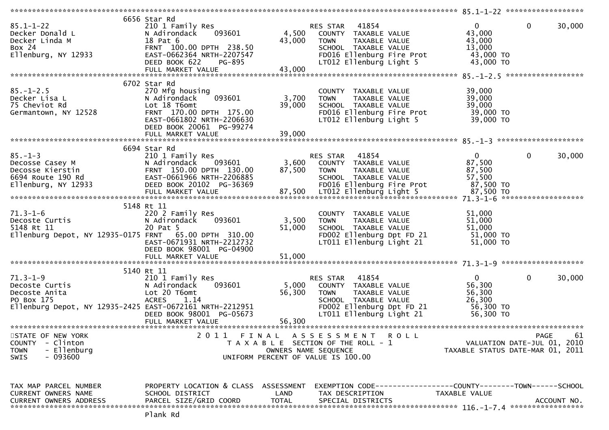| $85.1 - 1 - 22$<br>Decker Donald L<br>Decker Linda M<br>Box 24<br>$E1$ enburg, NY 12933                                     | 6656 Star Rd<br>210 1 Family Res<br>093601<br>N Adirondack<br>18 Pat 6<br>FRNT 100.00 DPTH 238.50<br>EAST-0662364 NRTH-2207547<br>DEED BOOK 622<br>PG-895<br>FULL MARKET VALUE | 4,500<br>43,000<br>43,000 | RES STAR 41854<br>COUNTY TAXABLE VALUE<br><b>TOWN</b><br>TAXABLE VALUE<br>SCHOOL TAXABLE VALUE<br>FD016 Ellenburg Fire Prot<br>LT012 Ellenburg Light 5     |             | $\Omega$<br>43,000<br>43,000<br>13,000<br>43,000 TO<br>43,000 TO     | $\mathbf 0$  | 30,000      |
|-----------------------------------------------------------------------------------------------------------------------------|--------------------------------------------------------------------------------------------------------------------------------------------------------------------------------|---------------------------|------------------------------------------------------------------------------------------------------------------------------------------------------------|-------------|----------------------------------------------------------------------|--------------|-------------|
|                                                                                                                             | 6702 Star Rd                                                                                                                                                                   |                           |                                                                                                                                                            |             |                                                                      |              |             |
| $85. - 1 - 2.5$<br>Decker Lisa L<br>75 Cheviot Rd<br>Germantown, NY 12528                                                   | 270 Mfg housing<br>093601<br>N Adirondack<br>Lot 18 T6omt<br>FRNT 170.00 DPTH 175.00<br>EAST-0661802 NRTH-2206630<br>DEED BOOK 20061 PG-99274<br>FULL MARKET VALUE             | 3,700<br>39,000<br>39,000 | COUNTY TAXABLE VALUE<br><b>TAXABLE VALUE</b><br><b>TOWN</b><br>SCHOOL TAXABLE VALUE<br>FD016 Ellenburg Fire Prot<br>LT012 Ellenburg Light 5                |             | 39,000<br>39,000<br>39,000<br>39,000 TO<br>39,000 TO                 |              |             |
|                                                                                                                             |                                                                                                                                                                                |                           |                                                                                                                                                            |             |                                                                      |              |             |
| $85. - 1 - 3$<br>Decosse Casey M<br>Decosse Kierstin<br>6694 Route 190 Rd<br>Ellenburg, NY 12933                            | 6694 Star Rd<br>210 1 Family Res<br>093601<br>N Adirondack<br>FRNT 150.00 DPTH 130.00<br>EAST-0661966 NRTH-2206885<br>DEED BOOK 20102 PG-36369<br>FULL MARKET VALUE            | 3,600<br>87,500<br>87,500 | RES STAR 41854<br>COUNTY TAXABLE VALUE<br><b>TOWN</b><br>TAXABLE VALUE<br>SCHOOL TAXABLE VALUE<br>FD016 Ellenburg Fire Prot<br>LT012 Ellenburg Light 5     |             | $\mathbf{0}$<br>87,500<br>87,500<br>57,500<br>87,500 TO<br>87,500 TO | $\mathbf{0}$ | 30,000      |
|                                                                                                                             | 5148 Rt 11                                                                                                                                                                     |                           |                                                                                                                                                            |             |                                                                      |              |             |
| 71.3-1-6<br>Decoste Curtis<br>5148 Rt 11<br>Ellenburg Depot, NY 12935-0175 FRNT 65.00 DPTH 310.00                           | 220 2 Family Res<br>093601<br>N Adirondack<br>20 Pat 5<br>EAST-0671931 NRTH-2212732<br>DEED BOOK 98001 PG-04900                                                                | 3,500<br>51,000           | COUNTY TAXABLE VALUE<br>TAXABLE VALUE<br><b>TOWN</b><br>SCHOOL TAXABLE VALUE<br>FD002 Ellenburg Dpt FD 21<br>LT011 Ellenburg Light 21                      |             | 51,000<br>51,000<br>51,000<br>51,000 TO<br>51,000 TO                 |              |             |
|                                                                                                                             | 5140 Rt 11                                                                                                                                                                     |                           |                                                                                                                                                            |             |                                                                      |              |             |
| $71.3 - 1 - 9$<br>Decoste Curtis<br>Decoste Anita<br>PO Box 175<br>Ellenburg Depot, NY 12935-2425 EAST-0672161 NRTH-2212951 | 210 1 Family Res<br>093601<br>N Adirondack<br>Lot 20 T6omt<br><b>ACRES</b><br>1.14<br>DEED BOOK 98001 PG-05673                                                                 | 5,000<br>56,300           | 41854<br>RES STAR<br>COUNTY TAXABLE VALUE<br>TAXABLE VALUE<br><b>TOWN</b><br>SCHOOL TAXABLE VALUE<br>FD002 Ellenburg Dpt FD 21<br>LT011 Ellenburg Light 21 |             | $\mathbf{0}$<br>56,300<br>56,300<br>26,300<br>56,300 TO<br>56,300 TO | $\mathbf 0$  | 30,000      |
|                                                                                                                             | FULL MARKET VALUE                                                                                                                                                              | 56,300                    |                                                                                                                                                            |             |                                                                      |              |             |
| STATE OF NEW YORK<br>COUNTY - Clinton<br>- Ellenburg<br><b>TOWN</b><br>- 093600<br><b>SWIS</b>                              | 2011                                                                                                                                                                           | OWNERS NAME SEQUENCE      | FINAL ASSESSMENT<br>T A X A B L E SECTION OF THE ROLL - 1<br>UNIFORM PERCENT OF VALUE IS 100.00                                                            | <b>ROLL</b> | VALUATION DATE-JUL 01, 2010<br>TAXABLE STATUS DATE-MAR 01, 2011      | PAGE         | 61          |
| TAX MAP PARCEL NUMBER<br>CURRENT OWNERS NAME<br><b>CURRENT OWNERS ADDRESS</b>                                               | PROPERTY LOCATION & CLASS ASSESSMENT<br>SCHOOL DISTRICT<br>PARCEL SIZE/GRID COORD                                                                                              | LAND<br><b>TOTAL</b>      | TAX DESCRIPTION<br>SPECIAL DISTRICTS                                                                                                                       |             | TAXABLE VALUE                                                        |              | ACCOUNT NO. |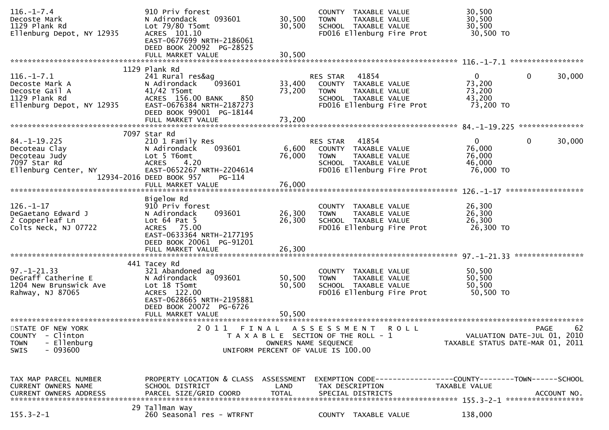| $116. - 1 - 7.4$<br>Decoste Mark<br>1129 Plank Rd<br>Ellenburg Depot, NY 12935                           | 910 Priv forest<br>093601<br>N Adirondack<br>Lot $79/80$ T5omt<br>ACRES 101.10<br>EAST-0677699 NRTH-2186061<br>DEED BOOK 20092 PG-28525<br>FULL MARKET VALUE             | 30,500<br>30,500<br>30,500 | COUNTY TAXABLE VALUE<br>TAXABLE VALUE<br><b>TOWN</b><br>SCHOOL TAXABLE VALUE<br>FD016 Ellenburg Fire Prot                                 | 30,500<br>30,500<br>30,500<br>30,500 TO                 |                                                  |
|----------------------------------------------------------------------------------------------------------|--------------------------------------------------------------------------------------------------------------------------------------------------------------------------|----------------------------|-------------------------------------------------------------------------------------------------------------------------------------------|---------------------------------------------------------|--------------------------------------------------|
|                                                                                                          | 1129 Plank Rd                                                                                                                                                            |                            |                                                                                                                                           |                                                         |                                                  |
| $116. - 1 - 7.1$<br>Decoste Mark A<br>Decoste Gail A<br>1129 Plank Rd<br>Ellenburg Depot, NY 12935       | 241 Rural res&ag<br>N Adirondack<br>093601<br>$41/42$ T5omt<br>ACRES 156.00 BANK<br>850<br>EAST-0676384 NRTH-2187273<br>DEED BOOK 99001 PG-18144<br>FULL MARKET VALUE    | 33,400<br>73,200<br>73,200 | 41854<br>RES STAR<br>COUNTY TAXABLE VALUE<br>TAXABLE VALUE<br><b>TOWN</b><br>SCHOOL TAXABLE VALUE<br>FD016 Ellenburg Fire Prot            | $\mathbf{0}$<br>73,200<br>73,200<br>43,200<br>73,200 TO | $\mathbf 0$<br>30,000                            |
|                                                                                                          |                                                                                                                                                                          |                            |                                                                                                                                           |                                                         |                                                  |
| $84. - 1 - 19.225$<br>Decoteau Clay<br>Decoteau Judy<br>7097 Star Rd<br>Ellenburg Center, NY             | 7097 Star Rd<br>210 1 Family Res<br>N Adirondack<br>093601<br>Lot 5 T6omt<br>4.20<br><b>ACRES</b><br>EAST-0652267 NRTH-2204614<br>12934-2016 DEED BOOK 957<br>PG-114     | 6,600<br>76,000            | 41854<br>RES STAR<br>COUNTY TAXABLE VALUE<br><b>TOWN</b><br>TAXABLE VALUE<br>SCHOOL TAXABLE VALUE<br>FD016 Ellenburg Fire Prot            | $\mathbf{0}$<br>76,000<br>76,000<br>46,000<br>76,000 TO | $\mathbf{0}$<br>30,000                           |
|                                                                                                          | FULL MARKET VALUE                                                                                                                                                        | 76,000                     |                                                                                                                                           |                                                         | ******************                               |
| $126. - 1 - 17$<br>DeGaetano Edward J<br>2 Copperleaf Ln<br>Colts Neck, NJ 07722                         | Bigelow Rd<br>910 Priv forest<br>093601<br>N Adirondack<br>Lot $64$ Pat $5$<br>ACRES 75.00<br>EAST-0633364 NRTH-2177195<br>DEED BOOK 20061 PG-91201<br>FULL MARKET VALUE | 26,300<br>26,300<br>26,300 | COUNTY TAXABLE VALUE<br>TAXABLE VALUE<br><b>TOWN</b><br>SCHOOL TAXABLE VALUE<br>FD016 Ellenburg Fire Prot                                 | 26,300<br>26,300<br>26,300<br>26,300 TO                 |                                                  |
|                                                                                                          |                                                                                                                                                                          |                            |                                                                                                                                           |                                                         |                                                  |
| $97. - 1 - 21.33$<br>DeGraff Catherine E<br>1204 New Brunswick Ave<br>Rahway, NJ 87065                   | 441 Tacey Rd<br>321 Abandoned ag<br>093601<br>N Adirondack<br>Lot 18 T5omt<br>ACRES 122.00<br>EAST-0628665 NRTH-2195881<br>DEED BOOK 20072 PG-6726                       | 50,500<br>50,500           | COUNTY TAXABLE VALUE<br><b>TOWN</b><br>TAXABLE VALUE<br>SCHOOL TAXABLE VALUE<br>FD016 Ellenburg Fire Prot                                 | 50,500<br>50,500<br>50,500<br>50,500 TO                 |                                                  |
|                                                                                                          | FULL MARKET VALUE                                                                                                                                                        | 50,500                     |                                                                                                                                           |                                                         |                                                  |
|                                                                                                          |                                                                                                                                                                          |                            |                                                                                                                                           |                                                         |                                                  |
| STATE OF NEW YORK<br><b>COUNTY</b><br>- Clinton<br><b>TOWN</b><br>- Ellenburg<br>- 093600<br><b>SWIS</b> | 2011<br>FINAL                                                                                                                                                            |                            | A S S E S S M E N T<br><b>ROLL</b><br>T A X A B L E SECTION OF THE ROLL - 1<br>OWNERS NAME SEQUENCE<br>UNIFORM PERCENT OF VALUE IS 100.00 | TAXABLE STATUS DATE-MAR 01, 2011                        | 62<br><b>PAGE</b><br>VALUATION DATE-JUL 01, 2010 |
|                                                                                                          |                                                                                                                                                                          |                            |                                                                                                                                           |                                                         |                                                  |
| TAX MAP PARCEL NUMBER<br>CURRENT OWNERS NAME                                                             | PROPERTY LOCATION & CLASS ASSESSMENT<br>SCHOOL DISTRICT                                                                                                                  | LAND                       | TAX DESCRIPTION                                                                                                                           | TAXABLE VALUE                                           |                                                  |
| $155.3 - 2 - 1$                                                                                          | 29 Tallman Way<br>260 Seasonal res - WTRFNT                                                                                                                              |                            | COUNTY TAXABLE VALUE                                                                                                                      | 138,000                                                 |                                                  |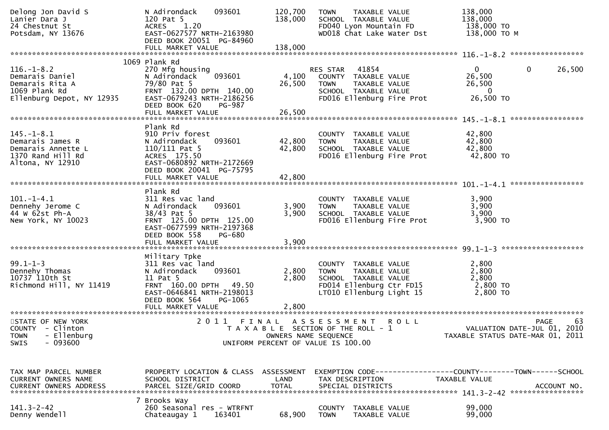| Delong Jon David S<br>Lanier Dara J<br>24 Chestnut St<br>Potsdam, NY 13676                           | N Adirondack<br>093601<br>120 Pat 5<br>1.20<br><b>ACRES</b><br>EAST-0627577 NRTH-2163980<br>DEED BOOK 20051 PG-84960                                                          | 120,700<br>138,000      | TAXABLE VALUE<br><b>TOWN</b><br>SCHOOL TAXABLE VALUE<br>FD040 Lyon Mountain FD<br>WD018 Chat Lake Water Dst                          | 138,000<br>138,000<br>138,000 TO<br>138,000 TO M                |                        |
|------------------------------------------------------------------------------------------------------|-------------------------------------------------------------------------------------------------------------------------------------------------------------------------------|-------------------------|--------------------------------------------------------------------------------------------------------------------------------------|-----------------------------------------------------------------|------------------------|
|                                                                                                      |                                                                                                                                                                               |                         |                                                                                                                                      |                                                                 |                        |
| $116. - 1 - 8.2$<br>Demarais Daniel<br>Demarais Rita A<br>1069 Plank Rd<br>Ellenburg Depot, NY 12935 | 1069 Plank Rd<br>270 Mfg housing<br>093601<br>N Adirondack<br>79/80 Pat 5<br>FRNT 132.00 DPTH 140.00<br>EAST-0679243 NRTH-2186256<br>DEED BOOK 620<br>PG-987                  | 4,100<br>26,500         | 41854<br>RES STAR<br>COUNTY TAXABLE VALUE<br>TAXABLE VALUE<br><b>TOWN</b><br>SCHOOL TAXABLE VALUE<br>FD016 Ellenburg Fire Prot       | $\mathbf{0}$<br>26,500<br>26,500<br>$\Omega$<br>26,500 TO       | 26,500<br>$\mathbf{0}$ |
|                                                                                                      |                                                                                                                                                                               |                         |                                                                                                                                      |                                                                 |                        |
| $145. - 1 - 8.1$<br>Demarais James R<br>Demarais Annette L<br>1370 Rand Hill Rd<br>Altona, NY 12910  | Plank Rd<br>910 Priv forest<br>093601<br>N Adirondack<br>$110/111$ Pat 5<br>ACRES 175.50<br>EAST-0680892 NRTH-2172669<br>DEED BOOK 20041 PG-75795                             | 42,800<br>42,800        | COUNTY TAXABLE VALUE<br>TAXABLE VALUE<br><b>TOWN</b><br>SCHOOL TAXABLE VALUE<br>FD016 Ellenburg Fire Prot                            | 42,800<br>42,800<br>42,800<br>42,800 TO                         |                        |
|                                                                                                      |                                                                                                                                                                               |                         |                                                                                                                                      |                                                                 |                        |
| $101. -1 - 4.1$<br>Dennehy Jerome C<br>44 W 62st Ph-A<br>New York, NY 10023                          | Plank Rd<br>311 Res vac land<br>093601<br>N Adirondack<br>38/43 Pat 5<br>FRNT 125.00 DPTH 125.00<br>EAST-0677599 NRTH-2197368<br>DEED BOOK 558<br>PG-680<br>FULL MARKET VALUE | 3,900<br>3,900<br>3,900 | COUNTY TAXABLE VALUE<br>TAXABLE VALUE<br><b>TOWN</b><br>SCHOOL TAXABLE VALUE<br>FD016 Ellenburg Fire Prot                            | 3,900<br>3,900<br>3,900<br>$3,900$ TO                           |                        |
|                                                                                                      |                                                                                                                                                                               |                         |                                                                                                                                      |                                                                 |                        |
| $99.1 - 1 - 3$<br>Dennehy Thomas<br>10737 110th St<br>Richmond Hill, NY 11419                        | Military Tpke<br>311 Res vac land<br>093601<br>N Adirondack<br>11 Pat 5<br>FRNT 160.00 DPTH 49.50<br>EAST-0646841 NRTH-2198013<br>DEED BOOK 564<br>PG-1065                    | 2,800<br>2,800          | COUNTY TAXABLE VALUE<br>TAXABLE VALUE<br><b>TOWN</b><br>SCHOOL TAXABLE VALUE<br>FD014 Ellenburg Ctr FD15<br>LT010 Ellenburg Light 15 | 2,800<br>2,800<br>2,800<br>2,800 TO<br>2,800 TO                 |                        |
| STATE OF NEW YORK<br>COUNTY - Clinton<br>- Ellenburg<br><b>TOWN</b><br>$-093600$<br>SWIS             |                                                                                                                                                                               |                         | 2011 FINAL ASSESSMENT ROLL<br>T A X A B L E SECTION OF THE ROLL - 1<br>OWNERS NAME SEQUENCE<br>UNIFORM PERCENT OF VALUE IS 100.00    | VALUATION DATE-JUL 01, 2010<br>TAXABLE STATUS DATE-MAR 01, 2011 | 63<br><b>PAGE</b>      |
| TAX MAP PARCEL NUMBER<br><b>CURRENT OWNERS NAME</b><br><b>CURRENT OWNERS ADDRESS</b>                 | PROPERTY LOCATION & CLASS ASSESSMENT<br>SCHOOL DISTRICT<br>PARCEL SIZE/GRID COORD                                                                                             | LAND<br><b>TOTAL</b>    | EXEMPTION CODE-----------------COUNTY-------TOWN------SCHOOL<br>TAX DESCRIPTION<br>SPECIAL DISTRICTS                                 | <b>TAXABLE VALUE</b>                                            | ACCOUNT NO.            |
| $141.3 - 2 - 42$<br>Denny Wendell                                                                    | 7 Brooks Way<br>260 Seasonal res - WTRFNT<br>Chateaugay 1<br>163401                                                                                                           | 68,900                  | COUNTY<br>TAXABLE VALUE<br><b>TOWN</b><br>TAXABLE VALUE                                                                              | 99,000<br>99,000                                                |                        |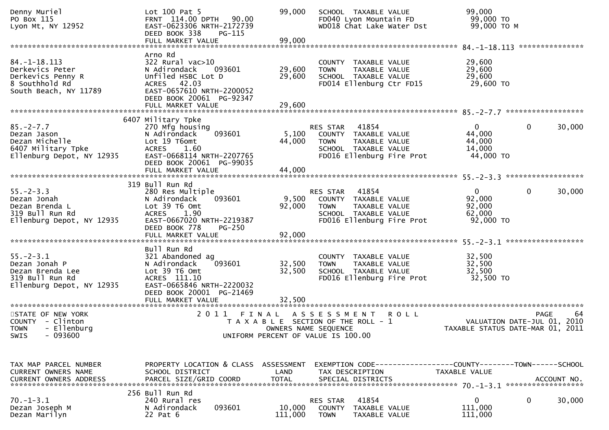| Denny Muriel<br>PO Box 115<br>Lyon Mt, NY 12952                                                       | Lot 100 Pat 5<br>FRNT 114.00 DPTH<br>90.00<br>EAST-0623306 NRTH-2172739<br>DEED BOOK 338<br>PG-115<br>FULL MARKET VALUE                                          | 99,000<br>99,000           | SCHOOL TAXABLE VALUE<br>FD040 Lyon Mountain FD<br>WD018 Chat Lake Water Dst                                                    | 99,000<br>99,000 TO<br>99,000 ТО М                        |                             |
|-------------------------------------------------------------------------------------------------------|------------------------------------------------------------------------------------------------------------------------------------------------------------------|----------------------------|--------------------------------------------------------------------------------------------------------------------------------|-----------------------------------------------------------|-----------------------------|
|                                                                                                       |                                                                                                                                                                  |                            |                                                                                                                                |                                                           |                             |
| $84. - 1 - 18.113$<br>Derkevics Peter<br>Derkevics Penny R<br>8 Southhold Rd<br>South Beach, NY 11789 | Arno Rd<br>$322$ Rural vac $>10$<br>093601<br>N Adirondack<br>Unfiled HSBC Lot D<br>ACRES 42.03<br>EAST-0657610 NRTH-2200052<br>DEED BOOK 20061 PG-92347         | 29,600<br>29,600           | COUNTY TAXABLE VALUE<br><b>TOWN</b><br>TAXABLE VALUE<br>SCHOOL TAXABLE VALUE<br>FD014 Ellenburg Ctr FD15                       | 29,600<br>29,600<br>29,600<br>29,600 TO                   |                             |
|                                                                                                       |                                                                                                                                                                  |                            |                                                                                                                                |                                                           |                             |
|                                                                                                       |                                                                                                                                                                  |                            |                                                                                                                                |                                                           |                             |
| $85. - 2 - 7.7$<br>Dezan Jason<br>Dezan Michelle<br>6407 Military Tpke<br>Ellenburg Depot, NY 12935   | 6407 Military Tpke<br>270 Mfg housing<br>093601<br>N Adirondack<br>Lot 19 T6omt<br><b>ACRES</b><br>1.60<br>EAST-0668114 NRTH-2207765<br>DEED BOOK 20061 PG-99035 | 5,100<br>44,000            | RES STAR<br>41854<br>COUNTY TAXABLE VALUE<br>TAXABLE VALUE<br><b>TOWN</b><br>SCHOOL TAXABLE VALUE<br>FD016 Ellenburg Fire Prot | $\mathbf{0}$<br>44,000<br>44,000<br>14,000<br>44,000 TO   | 0<br>30,000                 |
|                                                                                                       |                                                                                                                                                                  |                            |                                                                                                                                |                                                           |                             |
| $55. - 2 - 3.3$<br>Dezan Jonah<br>Dezan Brenda L<br>319 Bull Run Rd<br>Ellenburg Depot, NY 12935      | 319 Bull Run Rd<br>280 Res Multiple<br>N Adirondack<br>093601<br>Lot 39 T6 Omt<br><b>ACRES</b><br>1.90<br>EAST-0667020 NRTH-2219387<br>DEED BOOK 778<br>$PG-250$ | 9,500<br>92,000            | RES STAR 41854<br>COUNTY TAXABLE VALUE<br><b>TOWN</b><br>TAXABLE VALUE<br>SCHOOL TAXABLE VALUE<br>FD016 Ellenburg Fire Prot    | $\overline{0}$<br>92,000<br>92,000<br>62,000<br>92,000 TO | $\mathbf{0}$<br>30,000      |
|                                                                                                       | Bull Run Rd                                                                                                                                                      |                            |                                                                                                                                |                                                           |                             |
| $55. - 2 - 3.1$<br>Dezan Jonah P<br>Dezan Brenda Lee<br>319 Bull Run Rd<br>Ellenburg Depot, NY 12935  | 321 Abandoned ag<br>093601<br>N Adirondack<br>Lot 39 T6 Omt<br>ACRES 111.10<br>EAST-0665846 NRTH-2220032<br>DEED BOOK 20001 PG-21469<br>FULL MARKET VALUE        | 32,500<br>32,500<br>32,500 | COUNTY TAXABLE VALUE<br><b>TOWN</b><br>TAXABLE VALUE<br>SCHOOL TAXABLE VALUE<br>FD016 Ellenburg Fire Prot                      | 32,500<br>32,500<br>32,500<br>32,500 TO                   |                             |
| STATE OF NEW YORK                                                                                     | 2011                                                                                                                                                             |                            | <b>ROLL</b><br>FINAL ASSESSMENT                                                                                                |                                                           | 64<br><b>PAGE</b>           |
| COUNTY - Clinton<br>TOWN - Ellenburg<br>$-093600$<br>SWIS                                             |                                                                                                                                                                  | OWNERS NAME SEQUENCE       | T A X A B L E SECTION OF THE ROLL - 1<br>UNIFORM PERCENT OF VALUE IS 100.00                                                    | TAXABLE STATUS DATE-MAR 01, 2011                          | VALUATION DATE-JUL 01, 2010 |
| TAX MAP PARCEL NUMBER<br>CURRENT OWNERS NAME                                                          | PROPERTY LOCATION & CLASS ASSESSMENT<br>SCHOOL DISTRICT                                                                                                          | LAND                       | EXEMPTION CODE------------------COUNTY--------TOWN------SCHOOL<br>TAX DESCRIPTION                                              | TAXABLE VALUE                                             |                             |
|                                                                                                       |                                                                                                                                                                  |                            |                                                                                                                                |                                                           |                             |
| $70. - 1 - 3.1$<br>Dezan Joseph M<br>Dezan Marilyn                                                    | 256 Bull Run Rd<br>240 Rural res<br>N Adirondack<br>093601<br>22 Pat 6                                                                                           | 10,000<br>111,000          | RES STAR<br>41854<br>COUNTY TAXABLE VALUE<br><b>TOWN</b><br>TAXABLE VALUE                                                      | 0<br>111,000<br>111,000                                   | 0<br>30,000                 |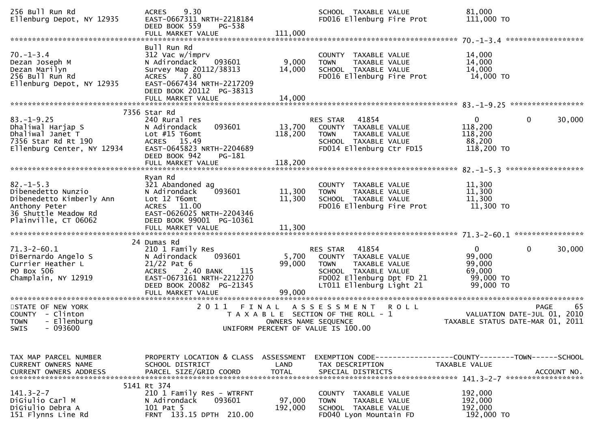| 256 Bull Run Rd<br>Ellenburg Depot, NY 12935                                                                                       | 9.30<br><b>ACRES</b><br>EAST-0667311 NRTH-2218184<br>DEED BOOK 559<br>PG-538<br>FULL MARKET VALUE                                                                       | 111,000                      | SCHOOL TAXABLE VALUE<br>FD016 Ellenburg Fire Prot                                                                                                          | 81,000<br>111,000 TO                                                 |                                                  |
|------------------------------------------------------------------------------------------------------------------------------------|-------------------------------------------------------------------------------------------------------------------------------------------------------------------------|------------------------------|------------------------------------------------------------------------------------------------------------------------------------------------------------|----------------------------------------------------------------------|--------------------------------------------------|
| $70. - 1 - 3.4$<br>Dezan Joseph M<br>Dezan Marilyn<br>256 Bull Run Rd<br>Ellenburg Depot, NY 12935                                 | Bull Run Rd<br>312 Vac w/imprv<br>093601<br>N Adirondack<br>Survey Map 20112/38313<br>ACRES 7.80<br>EAST-0667434 NRTH-2217209<br>DEED BOOK 20112 PG-38313               | 9,000<br>14,000              | COUNTY TAXABLE VALUE<br><b>TOWN</b><br>TAXABLE VALUE<br>SCHOOL TAXABLE VALUE<br>FD016 Ellenburg Fire Prot                                                  | 14,000<br>14,000<br>14,000<br>14,000 TO                              |                                                  |
| $83. - 1 - 9.25$<br>Dhaliwal Harjap S<br>Dhaliwal Janet T<br>7356 Star Rd Rt 190<br>Ellenburg Center, NY 12934                     | 7356 Star Rd<br>240 Rural res<br>093601<br>N Adirondack<br>Lot #15 T6omt<br>ACRES 15.49<br>EAST-0645823 NRTH-2204689<br>DEED BOOK 942<br>PG-181<br>FULL MARKET VALUE    | 13,700<br>118,200<br>118,200 | 41854<br>RES STAR<br>COUNTY TAXABLE VALUE<br><b>TOWN</b><br>TAXABLE VALUE<br>SCHOOL TAXABLE VALUE<br>FD014 Ellenburg Ctr FD15                              | $\mathbf{0}$<br>118,200<br>118,200<br>88,200<br>118,200 TO           | 0<br>30,000                                      |
| $82. - 1 - 5.3$<br>Dibenedetto Nunzio<br>Dibenedetto Kimberly Ann<br>Anthony Peter<br>36 Shuttle Meadow Rd<br>Plainville, CT 06062 | Ryan Rd<br>321 Abandoned ag<br>N Adirondack<br>093601<br>Lot 12 T6omt<br>ACRES 11.00<br>EAST-0626025 NRTH-2204346<br>DEED BOOK 99001 PG-10361                           | 11,300<br>11,300             | COUNTY TAXABLE VALUE<br>TAXABLE VALUE<br><b>TOWN</b><br>SCHOOL TAXABLE VALUE<br>FD016 Ellenburg Fire Prot                                                  | 11,300<br>11,300<br>11,300<br>11,300 TO                              |                                                  |
| $71.3 - 2 - 60.1$<br>DiBernardo Angelo S<br>Currier Heather L<br>PO Box 506<br>Champlain, NY 12919                                 | 24 Dumas Rd<br>210 1 Family Res<br>093601<br>N Adirondack<br>$21/22$ Pat 6<br><b>ACRES</b><br>2.40 BANK<br>115<br>EAST-0673161 NRTH-2212270<br>DEED BOOK 20082 PG-21345 | 5,700<br>99,000<br>99,000    | 41854<br>RES STAR<br>COUNTY TAXABLE VALUE<br><b>TOWN</b><br>TAXABLE VALUE<br>SCHOOL TAXABLE VALUE<br>FD002 Ellenburg Dpt FD 21<br>LT011 Ellenburg Light 21 | $\mathbf{0}$<br>99,000<br>99,000<br>69,000<br>99,000 TO<br>99,000 TO | 0<br>30,000                                      |
| STATE OF NEW YORK<br>COUNTY - Clinton<br>- Ellenburg<br><b>TOWN</b><br>SWIS - 093600                                               | 2011 FINAL                                                                                                                                                              | OWNERS NAME SEQUENCE         | A S S E S S M E N T<br><b>ROLL</b><br>T A X A B L E SECTION OF THE ROLL - 1<br>UNIFORM PERCENT OF VALUE IS 100.00                                          | TAXABLE STATUS DATE-MAR 01, 2011                                     | <b>PAGE</b><br>65<br>VALUATION DATE-JUL 01, 2010 |
| TAX MAP PARCEL NUMBER<br>CURRENT OWNERS NAME                                                                                       | PROPERTY LOCATION & CLASS ASSESSMENT<br>SCHOOL DISTRICT<br>5141 Rt 374                                                                                                  | LAND                         | EXEMPTION CODE-----------------COUNTY-------TOWN------SCHOOL<br>TAX DESCRIPTION                                                                            | <b>TAXABLE VALUE</b>                                                 |                                                  |
| $141.3 - 2 - 7$<br>DiGiulio Carl M<br>DiGiulio Debra A<br>151 Flynns Line Rd                                                       | 210 1 Family Res - WTRFNT<br>N Adirondack<br>093601<br>101 Pat 5<br>FRNT 133.15 DPTH 210.00                                                                             | 97,000<br>192,000            | COUNTY TAXABLE VALUE<br><b>TOWN</b><br>TAXABLE VALUE<br>SCHOOL TAXABLE VALUE<br>FD040 Lyon Mountain FD                                                     | 192,000<br>192,000<br>192,000<br>192,000 TO                          |                                                  |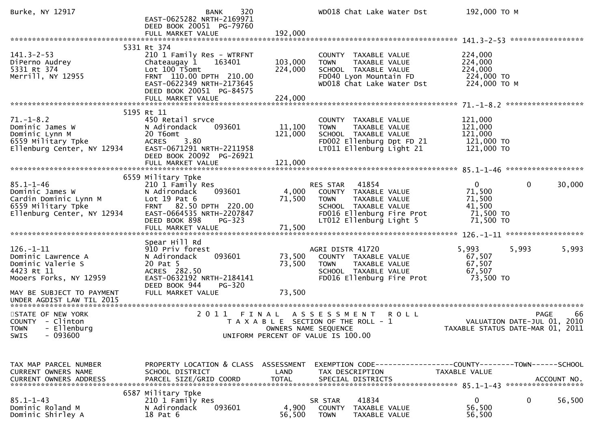| Burke, NY 12917                                                                                                 | 320<br><b>BANK</b><br>EAST-0625282 NRTH-2169971<br>DEED BOOK 20051 PG-79760                                                                                             |                      | WD018 Chat Lake Water Dst                                                                                                                                 | 192,000 ТО М                                                         |                                                                               |
|-----------------------------------------------------------------------------------------------------------------|-------------------------------------------------------------------------------------------------------------------------------------------------------------------------|----------------------|-----------------------------------------------------------------------------------------------------------------------------------------------------------|----------------------------------------------------------------------|-------------------------------------------------------------------------------|
|                                                                                                                 |                                                                                                                                                                         |                      |                                                                                                                                                           |                                                                      |                                                                               |
| $141.3 - 2 - 53$<br>DiPerno Audrey<br>5331 Rt 374<br>Merrill, NY 12955                                          | 5331 Rt 374<br>210 1 Family Res - WTRFNT<br>Chateaugay 1<br>163401<br>Lot 100 T5omt<br>FRNT 110.00 DPTH 210.00<br>EAST-0622349 NRTH-2173645<br>DEED BOOK 20051 PG-84575 | 103,000<br>224,000   | COUNTY TAXABLE VALUE<br>TAXABLE VALUE<br><b>TOWN</b><br>SCHOOL TAXABLE VALUE<br>FD040 Lyon Mountain FD<br>WD018 Chat Lake Water Dst                       | 224,000<br>224,000<br>224,000<br>224,000 TO<br>224,000 ТО М          |                                                                               |
|                                                                                                                 |                                                                                                                                                                         |                      |                                                                                                                                                           |                                                                      |                                                                               |
| $71. - 1 - 8.2$<br>Dominic James W<br>Dominic Lynn M<br>6559 Military Tpke<br>Ellenburg Center, NY 12934        | 5195 Rt 11<br>450 Retail srvce<br>093601<br>N Adirondack<br>20 T6omt<br><b>ACRES</b><br>3.80<br>EAST-0671291 NRTH-2211958<br>DEED BOOK 20092 PG-26921                   | 11,100<br>121,000    | COUNTY TAXABLE VALUE<br>TAXABLE VALUE<br><b>TOWN</b><br>SCHOOL TAXABLE VALUE<br>FD002 Ellenburg Dpt FD 21<br>LT011 Ellenburg Light 21                     | 121,000<br>121,000<br>121,000<br>121,000 TO<br>121,000 TO            |                                                                               |
|                                                                                                                 | 6559 Military Tpke                                                                                                                                                      |                      |                                                                                                                                                           |                                                                      |                                                                               |
| $85.1 - 1 - 46$<br>Dominic James W<br>Cardin Dominic Lynn M<br>6559 Military Tpke<br>Ellenburg Center, NY 12934 | 210 1 Family Res<br>093601<br>N Adirondack<br>Lot $19$ Pat $6$<br>FRNT 82.50 DPTH 220.00<br>EAST-0664535 NRTH-2207847<br>DEED BOOK 898<br>PG-323                        | 4,000<br>71,500      | 41854<br>RES STAR<br>COUNTY TAXABLE VALUE<br><b>TOWN</b><br>TAXABLE VALUE<br>SCHOOL TAXABLE VALUE<br>FD016 Ellenburg Fire Prot<br>LT012 Ellenburg Light 5 | $\mathbf{0}$<br>71,500<br>71,500<br>41,500<br>71,500 TO<br>71,500 TO | 0<br>30,000                                                                   |
|                                                                                                                 |                                                                                                                                                                         |                      |                                                                                                                                                           |                                                                      |                                                                               |
| $126. - 1 - 11$<br>Dominic Lawrence A<br>Dominic Valerie S<br>4423 Rt 11<br>Mooers Forks, NY 12959              | Spear Hill Rd<br>910 Priv forest<br>093601<br>N Adirondack<br>20 Pat 5<br>ACRES 282.50<br>EAST-0632192 NRTH-2184141<br>DEED BOOK 944<br>PG-320                          | 73,500<br>73,500     | AGRI DISTR 41720<br>COUNTY TAXABLE VALUE<br>TAXABLE VALUE<br><b>TOWN</b><br>SCHOOL TAXABLE VALUE<br>FD016 Ellenburg Fire Prot                             | 5,993<br>67,507<br>67,507<br>67,507<br>73,500 TO                     | 5,993<br>5,993                                                                |
| MAY BE SUBJECT TO PAYMENT<br>UNDER AGDIST LAW TIL 2015                                                          | FULL MARKET VALUE                                                                                                                                                       | 73,500               |                                                                                                                                                           |                                                                      |                                                                               |
| STATE OF NEW YORK<br>COUNTY - Clinton<br><b>TOWN</b><br>- Ellenburg<br>$-093600$<br><b>SWIS</b>                 | 2 0 1 1                                                                                                                                                                 | OWNERS NAME SEQUENCE | FINAL ASSESSMENT<br><b>ROLL</b><br>T A X A B L E SECTION OF THE ROLL - 1<br>UNIFORM PERCENT OF VALUE IS 100.00                                            |                                                                      | 66<br>PAGE<br>VALUATION DATE-JUL 01, 2010<br>TAXABLE STATUS DATE-MAR 01, 2011 |
| TAX MAP PARCEL NUMBER<br>CURRENT OWNERS NAME                                                                    | PROPERTY LOCATION & CLASS ASSESSMENT<br>SCHOOL DISTRICT                                                                                                                 | LAND                 | EXEMPTION CODE-----------------COUNTY--------TOWN------SCHOOL<br>TAX DESCRIPTION                                                                          | TAXABLE VALUE                                                        |                                                                               |
| $85.1 - 1 - 43$<br>Dominic Roland M<br>Dominic Shirley A                                                        | 6587 Military Tpke<br>210 1 Family Res<br>093601<br>N Adirondack<br>18 Pat 6                                                                                            | 4,900<br>56,500      | 41834<br>SR STAR<br><b>COUNTY</b><br>TAXABLE VALUE<br><b>TOWN</b><br>TAXABLE VALUE                                                                        | $\mathbf{0}$<br>56,500<br>56,500                                     | 0<br>56,500                                                                   |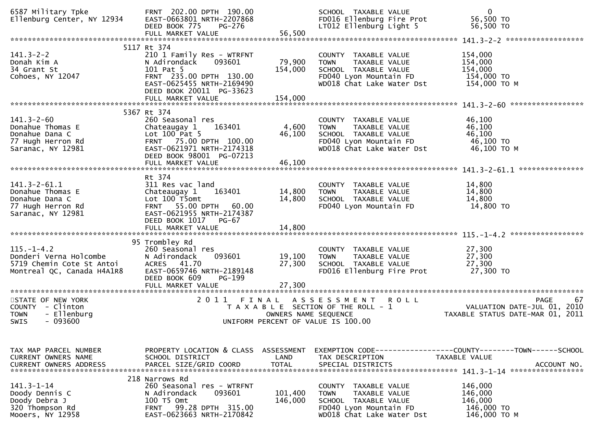| 6587 Military Tpke<br>Ellenburg Center, NY 12934                                                      | FRNT 202.00 DPTH 190.00<br>EAST-0663801 NRTH-2207868<br>DEED BOOK 775<br><b>PG-276</b><br>FULL MARKET VALUE                                                                              | 56,500                             | SCHOOL TAXABLE VALUE<br>FD016 Ellenburg Fire Prot<br>LT012 Ellenburg Light 5                                                        | $\mathbf{0}$<br>56,500 TO<br>56,500 TO                                                                |
|-------------------------------------------------------------------------------------------------------|------------------------------------------------------------------------------------------------------------------------------------------------------------------------------------------|------------------------------------|-------------------------------------------------------------------------------------------------------------------------------------|-------------------------------------------------------------------------------------------------------|
|                                                                                                       |                                                                                                                                                                                          |                                    |                                                                                                                                     |                                                                                                       |
| $141.3 - 2 - 2$<br>Donah Kim A<br>34 Grant St<br>Cohoes, NY 12047                                     | 5117 Rt 374<br>210 1 Family Res - WTRFNT<br>N Adirondack<br>093601<br>101 Pat 5<br>FRNT 235.00 DPTH 130.00<br>EAST-0625455 NRTH-2169490<br>DEED BOOK 20011 PG-33623<br>FULL MARKET VALUE | 79,900<br>154,000<br>154,000       | COUNTY TAXABLE VALUE<br>TAXABLE VALUE<br><b>TOWN</b><br>SCHOOL TAXABLE VALUE<br>FD040 Lyon Mountain FD<br>WD018 Chat Lake Water Dst | 154,000<br>154,000<br>154,000<br>154,000 TO<br>154,000 TO M                                           |
|                                                                                                       |                                                                                                                                                                                          |                                    |                                                                                                                                     |                                                                                                       |
| $141.3 - 2 - 60$<br>Donahue Thomas E<br>Donahue Dana C<br>77 Hugh Herron Rd<br>Saranac, NY 12981      | 5367 Rt 374<br>260 Seasonal res<br>163401<br>Chateaugay 1<br>Lot $100$ Pat 5<br>FRNT 75.00 DPTH 100.00<br>EAST-0621971 NRTH-2174318<br>DEED BOOK 98001 PG-07213<br>FULL MARKET VALUE     | 4,600<br>46,100<br>46,100          | COUNTY TAXABLE VALUE<br><b>TOWN</b><br>TAXABLE VALUE<br>SCHOOL TAXABLE VALUE<br>FD040 Lyon Mountain FD<br>WD018 Chat Lake Water Dst | 46,100<br>46,100<br>46,100<br>46,100 TO<br>46,100 ТО М                                                |
|                                                                                                       |                                                                                                                                                                                          |                                    |                                                                                                                                     |                                                                                                       |
| $141.3 - 2 - 61.1$<br>Donahue Thomas E<br>Donahue Dana C<br>77 Hugh Herron Rd<br>Saranac, NY 12981    | Rt 374<br>311 Res vac land<br>Chateaugay 1<br>163401<br>Lot 100 T5omt<br>FRNT 55.00 DPTH 60.00<br>EAST-0621955 NRTH-2174387<br>DEED BOOK 1017<br>PG-67                                   | 14,800<br>14,800                   | COUNTY TAXABLE VALUE<br><b>TOWN</b><br><b>TAXABLE VALUE</b><br>SCHOOL TAXABLE VALUE<br>FD040 Lyon Mountain FD                       | 14,800<br>14,800<br>14,800<br>14,800 TO                                                               |
|                                                                                                       |                                                                                                                                                                                          |                                    |                                                                                                                                     |                                                                                                       |
| $115. - 1 - 4.2$<br>Donderi Verna Holcombe<br>5719 Chemin Cote St Antoi<br>Montreal QC, Canada H4A1R8 | 95 Trombley Rd<br>260 Seasonal res<br>N Adirondack<br>093601<br>ACRES 41.70<br>EAST-0659746 NRTH-2189148<br>DEED BOOK 609<br>PG-199<br>FULL MARKET VALUE                                 | 19,100<br>27,300<br>27,300         | COUNTY TAXABLE VALUE<br><b>TOWN</b><br>TAXABLE VALUE<br>SCHOOL TAXABLE VALUE<br>FD016 Ellenburg Fire Prot                           | 27,300<br>27,300<br>27,300<br>27,300 TO                                                               |
| STATE OF NEW YORK                                                                                     | 2011 FINAL                                                                                                                                                                               |                                    | A S S E S S M E N T<br><b>ROLL</b>                                                                                                  | <b>PAGE</b><br>67                                                                                     |
| COUNTY - Clinton<br>- Ellenburg<br><b>TOWN</b><br>$-093600$<br>SWIS                                   |                                                                                                                                                                                          | OWNERS NAME SEQUENCE               | T A X A B L E SECTION OF THE ROLL - 1<br>UNIFORM PERCENT OF VALUE IS 100.00                                                         | VALUATION DATE-JUL 01, 2010<br>TAXABLE STATUS DATE-MAR 01, 2011                                       |
| TAX MAP PARCEL NUMBER<br>CURRENT OWNERS NAME<br><b>CURRENT OWNERS ADDRESS</b>                         | PROPERTY LOCATION & CLASS<br>SCHOOL DISTRICT<br>PARCEL SIZE/GRID COORD                                                                                                                   | ASSESSMENT<br>LAND<br><b>TOTAL</b> | TAX DESCRIPTION<br>SPECIAL DISTRICTS                                                                                                | EXEMPTION CODE------------------COUNTY--------TOWN------SCHOOL<br><b>TAXABLE VALUE</b><br>ACCOUNT NO. |
| $141.3 - 1 - 14$<br>Doody Dennis C<br>Doody Debra J<br>320 Thompson Rd<br>Mooers, NY 12958            | 218 Narrows Rd<br>260 Seasonal res - WTRFNT<br>N Adirondack<br>093601<br>100 T5 Omt<br>99.28 DPTH 315.00<br><b>FRNT</b><br>EAST-0623663 NRTH-2170842                                     | 101,400<br>146,000                 | COUNTY TAXABLE VALUE<br>TAXABLE VALUE<br><b>TOWN</b><br>SCHOOL TAXABLE VALUE<br>FD040 Lyon Mountain FD<br>WD018 Chat Lake Water Dst | 146,000<br>146,000<br>146,000<br>146,000 TO<br>146,000 ТО М                                           |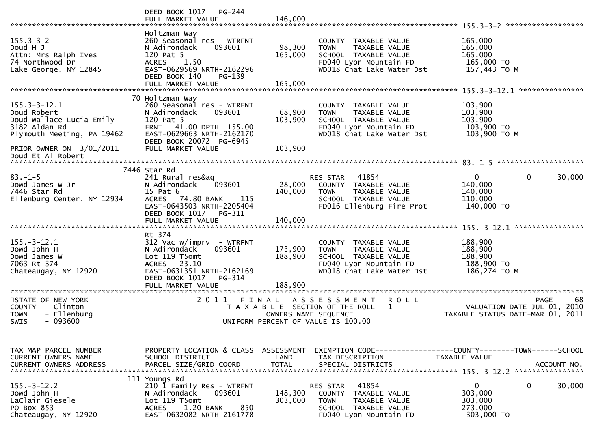|                                                                                                              | DEED BOOK 1017<br>PG-244<br>FULL MARKET VALUE                                                                                                                                          | 146,000                            |                                                                                                                                       |                                                                                      |
|--------------------------------------------------------------------------------------------------------------|----------------------------------------------------------------------------------------------------------------------------------------------------------------------------------------|------------------------------------|---------------------------------------------------------------------------------------------------------------------------------------|--------------------------------------------------------------------------------------|
| $155.3 - 3 - 2$<br>Doud H J<br>Attn: Mrs Ralph Ives<br>74 Northwood Dr<br>Lake George, NY 12845              | Holtzman Way<br>260 Seasonal res - WTRFNT<br>N Adirondack<br>093601<br>120 Pat 5<br><b>ACRES</b><br>1.50<br>EAST-0629569 NRTH-2162296<br>DEED BOOK 140<br>PG-139<br>FULL MARKET VALUE  | 98,300<br>165,000<br>165,000       | COUNTY TAXABLE VALUE<br>TAXABLE VALUE<br><b>TOWN</b><br>SCHOOL TAXABLE VALUE<br>FD040 Lyon Mountain FD<br>WD018 Chat Lake Water Dst   | 165,000<br>165,000<br>165,000<br>165,000 TO<br>157,443 TO M                          |
|                                                                                                              |                                                                                                                                                                                        |                                    |                                                                                                                                       |                                                                                      |
| $155.3 - 3 - 12.1$<br>Doud Robert<br>Doud Wallace Lucia Emily<br>3182 Aldan Rd<br>Plymouth Meeting, PA 19462 | 70 Holtzman Way<br>260 Seasonal res - WTRFNT<br>N Adirondack<br>093601<br>120 Pat 5<br>FRNT 41.00 DPTH 155.00<br>EAST-0629663 NRTH-2162170<br>DEED BOOK 20072 PG-6945                  | 68,900<br>103,900                  | COUNTY TAXABLE VALUE<br><b>TOWN</b><br>TAXABLE VALUE<br>SCHOOL TAXABLE VALUE<br>FD040 Lyon Mountain FD<br>WD018 Chat Lake Water Dst   | 103,900<br>103,900<br>103,900<br>103,900 TO<br>103,900 ТО М                          |
| PRIOR OWNER ON 3/01/2011                                                                                     | FULL MARKET VALUE                                                                                                                                                                      | 103,900                            |                                                                                                                                       |                                                                                      |
| Doud Et Al Robert                                                                                            |                                                                                                                                                                                        |                                    |                                                                                                                                       |                                                                                      |
|                                                                                                              | 7446 Star Rd                                                                                                                                                                           |                                    |                                                                                                                                       |                                                                                      |
| $83. - 1 - 5$<br>Dowd James W Jr<br>7446 Star Rd<br>Ellenburg Center, NY 12934                               | 241 Rural res&ag<br>093601<br>N Adirondack<br>15 Pat 6<br>74.80 BANK<br><b>ACRES</b><br>115<br>EAST-0643503 NRTH-2205404<br>DEED BOOK 1017<br>PG-311<br>FULL MARKET VALUE              | 28,000<br>140,000<br>140,000       | 41854<br><b>RES STAR</b><br>COUNTY TAXABLE VALUE<br>TAXABLE VALUE<br><b>TOWN</b><br>SCHOOL TAXABLE VALUE<br>FD016 Ellenburg Fire Prot | $\mathbf 0$<br>0<br>30,000<br>140,000<br>140,000<br>110,000<br>140,000 TO            |
|                                                                                                              |                                                                                                                                                                                        |                                    |                                                                                                                                       |                                                                                      |
| $155. - 3 - 12.1$<br>Dowd John H<br>Dowd James W<br>7063 Rt 374<br>Chateaugay, NY 12920                      | Rt 374<br>$312$ Vac w/imprv - WTRFNT<br>093601<br>N Adirondack<br>Lot 119 T5omt<br>23.10<br><b>ACRES</b><br>EAST-0631351 NRTH-2162169<br>DEED BOOK 1017<br>PG-314<br>FULL MARKET VALUE | 173,900<br>188,900<br>188,900      | COUNTY TAXABLE VALUE<br><b>TOWN</b><br>TAXABLE VALUE<br>SCHOOL TAXABLE VALUE<br>FD040 Lyon Mountain FD<br>WD018 Chat Lake Water Dst   | 188,900<br>188,900<br>188,900<br>188,900 TO<br>186,274 ТО М                          |
| **********************                                                                                       | ***************************                                                                                                                                                            |                                    |                                                                                                                                       |                                                                                      |
| STATE OF NEW YORK<br>COUNTY - Clinton<br>- Ellenburg<br><b>TOWN</b><br>$-093600$<br><b>SWIS</b>              | 2011<br>FINAL                                                                                                                                                                          | OWNERS NAME SEQUENCE               | ASSESSMENT ROLL<br>T A X A B L E SECTION OF THE ROLL - 1<br>UNIFORM PERCENT OF VALUE IS 100.00                                        | 68<br><b>PAGE</b><br>VALUATION DATE-JUL 01, 2010<br>TAXABLE STATUS DATE-MAR 01, 2011 |
| TAX MAP PARCEL NUMBER<br><b>CURRENT OWNERS NAME</b><br><b>CURRENT OWNERS ADDRESS</b>                         | PROPERTY LOCATION & CLASS<br>SCHOOL DISTRICT<br>PARCEL SIZE/GRID COORD                                                                                                                 | ASSESSMENT<br>LAND<br><b>TOTAL</b> | EXEMPTION CODE-----------------COUNTY-------TOWN------SCHOOL<br>TAX DESCRIPTION<br>SPECIAL DISTRICTS                                  | TAXABLE VALUE<br>ACCOUNT NO.<br>****************                                     |
| $155. - 3 - 12.2$<br>Dowd John H<br>LaClair Giesele<br>PO Box 853<br>Chateaugay, NY 12920                    | 111 Youngs Rd<br>210 1 Family Res - WTRFNT<br>N Adirondack<br>093601<br>Lot 119 T5omt<br><b>ACRES</b><br>1.20 BANK<br>850<br>EAST-0632082 NRTH-2161778                                 | 148,300<br>303,000                 | RES STAR<br>41854<br><b>COUNTY</b><br>TAXABLE VALUE<br><b>TOWN</b><br>TAXABLE VALUE<br>SCHOOL TAXABLE VALUE<br>FD040 Lyon Mountain FD | $\mathbf{0}$<br>0<br>30,000<br>303,000<br>303,000<br>273,000<br>303,000 TO           |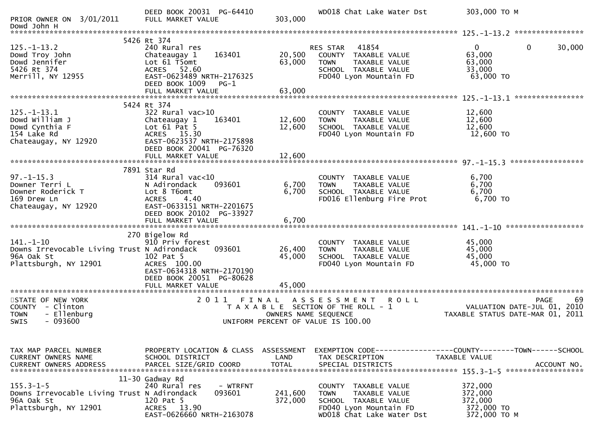| PRIOR OWNER ON 3/01/2011                                                                                            | DEED BOOK 20031 PG-64410<br>FULL MARKET VALUE                                                                                                                                     | 303,000                            | WD018 Chat Lake Water Dst                                                                                                             | 303,000 ТО М                                                                         |
|---------------------------------------------------------------------------------------------------------------------|-----------------------------------------------------------------------------------------------------------------------------------------------------------------------------------|------------------------------------|---------------------------------------------------------------------------------------------------------------------------------------|--------------------------------------------------------------------------------------|
| Dowd John H                                                                                                         |                                                                                                                                                                                   |                                    |                                                                                                                                       |                                                                                      |
| $125. - 1 - 13.2$<br>Dowd Troy John<br>Dowd Jennifer<br>5426 Rt 374<br>Merrill, NY 12955                            | 5426 Rt 374<br>240 Rural res<br>163401<br>Chateaugay 1<br>Lot 61 T5omt<br>ACRES 52.60<br>EAST-0623489 NRTH-2176325                                                                | 20,500<br>63,000                   | 41854<br><b>RES STAR</b><br>TAXABLE VALUE<br>COUNTY<br><b>TOWN</b><br>TAXABLE VALUE<br>SCHOOL TAXABLE VALUE<br>FD040 Lyon Mountain FD | 30,000<br>$\mathbf{0}$<br>0<br>63,000<br>63,000<br>33,000<br>63,000 TO               |
|                                                                                                                     | DEED BOOK 1009<br>$PG-1$<br>FULL MARKET VALUE                                                                                                                                     | 63,000                             |                                                                                                                                       |                                                                                      |
|                                                                                                                     | 5424 Rt 374                                                                                                                                                                       |                                    |                                                                                                                                       |                                                                                      |
| $125. - 1 - 13.1$<br>Dowd William J<br>Dowd Cynthia F<br>154 Lake Rd<br>Chateaugay, NY 12920                        | 322 Rural vac>10<br>163401<br>Chateaugay 1<br>Lot $61$ Pat 5<br>ACRES 15.30<br>EAST-0623537 NRTH-2175898<br>DEED BOOK 20041 PG-76320                                              | 12,600<br>12,600                   | COUNTY TAXABLE VALUE<br><b>TOWN</b><br>TAXABLE VALUE<br>SCHOOL TAXABLE VALUE<br>FD040 Lyon Mountain FD                                | 12,600<br>12,600<br>12,600<br>12,600 TO                                              |
|                                                                                                                     | FULL MARKET VALUE                                                                                                                                                                 | 12,600                             |                                                                                                                                       |                                                                                      |
| $97. - 1 - 15.3$<br>Downer Terri L<br>Downer Roderick T<br>169 Drew Ln<br>Chateaugay, NY 12920                      | 7891 Star Rd<br>$314$ Rural vac<10<br>N Adirondack<br>093601<br>Lot 8 T6omt<br><b>ACRES</b><br>4.40<br>EAST-0633151 NRTH-2201675<br>DEED BOOK 20102 PG-33927<br>FULL MARKET VALUE | 6,700<br>6,700<br>6,700            | COUNTY TAXABLE VALUE<br>TAXABLE VALUE<br><b>TOWN</b><br>SCHOOL TAXABLE VALUE<br>FD016 Ellenburg Fire Prot                             | 6,700<br>6,700<br>6,700<br>6,700 TO                                                  |
|                                                                                                                     |                                                                                                                                                                                   |                                    |                                                                                                                                       |                                                                                      |
| $141. - 1 - 10$<br>Downs Irrevocable Living Trust N Adirondack<br>96A Oak St<br>Plattsburgh, NY 12901               | 270 Bigelow Rd<br>910 Priv forest<br>093601<br>102 Pat 5<br>ACRES 100.00<br>EAST-0634318 NRTH-2170190<br>DEED BOOK 20051 PG-80628<br>FULL MARKET VALUE                            | 26,400<br>45,000<br>45,000         | COUNTY TAXABLE VALUE<br>TAXABLE VALUE<br><b>TOWN</b><br>SCHOOL TAXABLE VALUE<br>FD040 Lyon Mountain FD                                | 45,000<br>45,000<br>45,000<br>45,000 TO                                              |
| ***********************<br>STATE OF NEW YORK<br>COUNTY - Clinton<br>- Ellenburg<br><b>TOWN</b><br>$-093600$<br>SWIS | ****************************<br>2011 FINAL                                                                                                                                        | OWNERS NAME SEQUENCE               | ASSESSMENT ROLL<br>T A X A B L E SECTION OF THE ROLL - 1<br>UNIFORM PERCENT OF VALUE IS 100.00                                        | <b>PAGE</b><br>69<br>VALUATION DATE-JUL 01, 2010<br>TAXABLE STATUS DATE-MAR 01, 2011 |
| TAX MAP PARCEL NUMBER<br>CURRENT OWNERS NAME<br><b>CURRENT OWNERS ADDRESS</b>                                       | PROPERTY LOCATION & CLASS<br>SCHOOL DISTRICT<br>PARCEL SIZE/GRID COORD                                                                                                            | ASSESSMENT<br>LAND<br><b>TOTAL</b> | EXEMPTION CODE------------------COUNTY--------TOWN------SCHOOL<br>TAX DESCRIPTION<br>SPECIAL DISTRICTS                                | TAXABLE VALUE<br>ACCOUNT NO.                                                         |
| $155.3 - 1 - 5$<br>Downs Irrevocable Living Trust N Adirondack<br>96A Oak St<br>Plattsburgh, NY 12901               | 11-30 Gadway Rd<br>240 Rural res<br>- WTRFNT<br>093601<br>120 Pat 5<br>ACRES 13.90<br>EAST-0626660 NRTH-2163078                                                                   | 241,600<br>372,000                 | COUNTY TAXABLE VALUE<br>TAXABLE VALUE<br>TOWN<br>SCHOOL TAXABLE VALUE<br>FD040 Lyon Mountain FD<br>WD018 Chat Lake Water Dst          | 372,000<br>372,000<br>372,000<br>372,000 TO<br>372,000 TO M                          |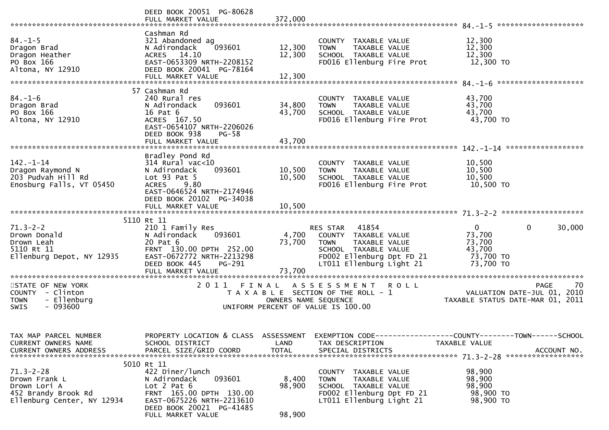|                                                                                                       | DEED BOOK 20051 PG-80628                                                                                                                                                                  |                                    |                                                                                                                                                         |                                                                                               |
|-------------------------------------------------------------------------------------------------------|-------------------------------------------------------------------------------------------------------------------------------------------------------------------------------------------|------------------------------------|---------------------------------------------------------------------------------------------------------------------------------------------------------|-----------------------------------------------------------------------------------------------|
| $84. - 1 - 5$<br>Dragon Brad<br>Dragon Heather<br>PO Box 166<br>Altona, NY 12910                      | Cashman Rd<br>321 Abandoned ag<br>093601<br>N Adirondack<br>ACRES 14.10<br>EAST-0653309 NRTH-2208152<br>DEED BOOK 20041 PG-78164                                                          | 12,300<br>12,300                   | COUNTY TAXABLE VALUE<br><b>TOWN</b><br>TAXABLE VALUE<br>SCHOOL TAXABLE VALUE<br>FD016 Ellenburg Fire Prot                                               | 12,300<br>12,300<br>12,300<br>12,300 TO                                                       |
| $84. - 1 - 6$<br>Dragon Brad<br>PO Box 166<br>Altona, NY 12910                                        | 57 Cashman Rd<br>240 Rural res<br>093601<br>N Adirondack<br>16 Pat 6<br>ACRES 167.50<br>EAST-0654107 NRTH-2206026<br>DEED BOOK 938<br>$PG-58$<br>FULL MARKET VALUE                        | 34,800<br>43,700<br>43,700         | COUNTY TAXABLE VALUE<br>TAXABLE VALUE<br><b>TOWN</b><br>SCHOOL TAXABLE VALUE<br>FD016 Ellenburg Fire Prot                                               | 43,700<br>43,700<br>43,700<br>43,700 TO                                                       |
| $142. - 1 - 14$<br>Dragon Raymond N<br>203 Pudvah Hill Rd<br>Enosburg Falls, VT 05450                 | Bradley Pond Rd<br>$314$ Rural vac<10<br>093601<br>N Adirondack<br>Lot $93$ Pat $5$<br><b>ACRES</b><br>9.80<br>EAST-0646524 NRTH-2174946<br>DEED BOOK 20102 PG-34038<br>FULL MARKET VALUE | 10,500<br>10,500<br>10,500         | COUNTY TAXABLE VALUE<br><b>TOWN</b><br>TAXABLE VALUE<br>SCHOOL TAXABLE VALUE<br>FD016 Ellenburg Fire Prot                                               | 10,500<br>10,500<br>10,500<br>10,500 TO                                                       |
|                                                                                                       |                                                                                                                                                                                           |                                    |                                                                                                                                                         |                                                                                               |
| $71.3 - 2 - 2$<br>Drown Donald<br>Drown Leah<br>5110 Rt 11<br>Ellenburg Depot, NY 12935               | 5110 Rt 11<br>210 1 Family Res<br>093601<br>N Adirondack<br>20 Pat 6<br>FRNT 130.00 DPTH 252.00<br>EAST-0672772 NRTH-2213298<br>DEED BOOK 445<br>PG-291<br>FULL MARKET VALUE              | 4,700<br>73,700<br>73,700          | RES STAR 41854<br>COUNTY TAXABLE VALUE<br>TAXABLE VALUE<br><b>TOWN</b><br>SCHOOL TAXABLE VALUE<br>FD002 Ellenburg Dpt FD 21<br>LT011 Ellenburg Light 21 | $\mathbf 0$<br>$\mathbf{0}$<br>30,000<br>73,700<br>73,700<br>43,700<br>73,700 TO<br>73,700 TO |
| STATE OF NEW YORK<br>COUNTY - Clinton<br>- Ellenburg<br><b>TOWN</b><br>$-093600$<br><b>SWIS</b>       | 2011 FINAL                                                                                                                                                                                | OWNERS NAME SEQUENCE               | ASSESSMENT ROLL<br>T A X A B L E SECTION OF THE ROLL - 1<br>UNIFORM PERCENT OF VALUE IS 100.00                                                          | 70<br><b>PAGE</b><br>2010<br>VALUATION DATE-JUL 01,<br>TAXABLE STATUS DATE-MAR 01, 2011       |
| TAX MAP PARCEL NUMBER<br>CURRENT OWNERS NAME<br><b>CURRENT OWNERS ADDRESS</b>                         | PROPERTY LOCATION & CLASS<br>SCHOOL DISTRICT<br>PARCEL SIZE/GRID COORD                                                                                                                    | ASSESSMENT<br>LAND<br><b>TOTAL</b> | TAX DESCRIPTION<br>SPECIAL DISTRICTS                                                                                                                    | EXEMPTION CODE-----------------COUNTY-------TOWN------SCHOOL<br>TAXABLE VALUE<br>ACCOUNT NO.  |
| $71.3 - 2 - 28$<br>Drown Frank L<br>Drown Lori A<br>452 Brandy Brook Rd<br>Ellenburg Center, NY 12934 | 5010 Rt 11<br>422 Diner/lunch<br>093601<br>N Adirondack<br>Lot $2$ Pat $6$<br>FRNT 165.00 DPTH 130.00<br>EAST-0675226 NRTH-2213610<br>DEED BOOK 20021 PG-41485<br>FULL MARKET VALUE       | 8,400<br>98,900<br>98,900          | COUNTY TAXABLE VALUE<br>TAXABLE VALUE<br><b>TOWN</b><br>SCHOOL TAXABLE VALUE<br>FD002 Ellenburg Dpt FD 21<br>LT011 Ellenburg Light 21                   | 98,900<br>98,900<br>98,900<br>98,900 TO<br>98,900 TO                                          |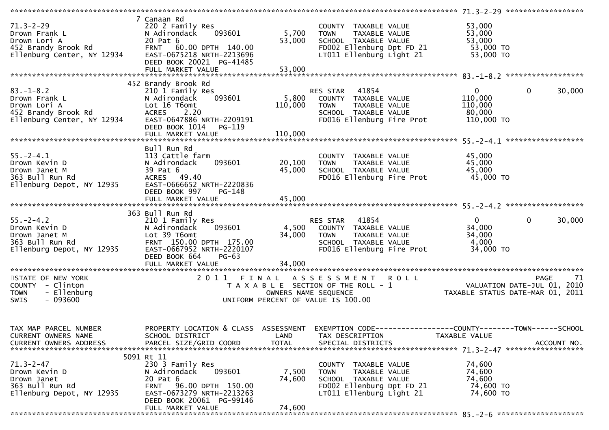| $71.3 - 2 - 29$<br>Drown Frank L<br>Drown Lori A<br>452 Brandy Brook Rd<br>Ellenburg Center, NY 12934                               | 7 Canaan Rd<br>220 2 Family Res<br>N Adirondack<br>093601<br>20 Pat 6<br>FRNT 60.00 DPTH 140.00<br>EAST-0675218 NRTH-2213696<br>DEED BOOK 20021 PG-41485                               | 5,700<br>53,000           | COUNTY TAXABLE VALUE<br><b>TOWN</b><br>TAXABLE VALUE<br>SCHOOL TAXABLE VALUE<br>FD002 Ellenburg Dpt FD 21<br>LT011 Ellenburg Light 21    | 53,000<br>53,000<br>53,000<br>53,000 TO<br>53,000 TO                                         |        |
|-------------------------------------------------------------------------------------------------------------------------------------|----------------------------------------------------------------------------------------------------------------------------------------------------------------------------------------|---------------------------|------------------------------------------------------------------------------------------------------------------------------------------|----------------------------------------------------------------------------------------------|--------|
|                                                                                                                                     |                                                                                                                                                                                        |                           |                                                                                                                                          |                                                                                              |        |
|                                                                                                                                     |                                                                                                                                                                                        |                           |                                                                                                                                          |                                                                                              |        |
| $83. - 1 - 8.2$<br>Drown Frank L<br>Drown Lori A<br>452 Brandy Brook Rd<br>Fllenburg Center. NY 12934<br>Ellenburg Center, NY 12934 | 452 Brandy Brook Rd<br>210 1 Family Res<br>093601<br>N Adirondack<br>Lot 16 T6omt<br>ACRES 2.20<br>EAST-0647886 NRTH-2209191<br>DEED BOOK 1014 PG-119                                  | 5,800<br>110,000          | 41854<br>RES STAR<br>COUNTY TAXABLE VALUE<br>TAXABLE VALUE<br><b>TOWN</b><br>SCHOOL TAXABLE VALUE<br>FD016 Ellenburg Fire Prot           | $\mathbf{0}$<br>$\mathbf{0}$<br>110,000<br>110,000<br>80,000<br>110,000 TO                   | 30,000 |
|                                                                                                                                     |                                                                                                                                                                                        |                           |                                                                                                                                          |                                                                                              |        |
|                                                                                                                                     |                                                                                                                                                                                        |                           |                                                                                                                                          |                                                                                              |        |
| $55. - 2 - 4.1$<br>Drown Kevin D<br>Drown Janet M<br>363 Bull Run Rd<br>Ellenburg Depot, NY 12935                                   | Bull Run Rd<br>113 Cattle farm<br>093601<br>N Adirondack<br>39 Pat 6<br>ACRES 49.40<br>EAST-0666652 NRTH-2220836                                                                       | 20,100<br>45,000          | COUNTY TAXABLE VALUE<br>TAXABLE VALUE<br>TOWN      TAXABLE  VALUE<br>SCHOOL   TAXABLE  VALUE<br>FD016 Ellenburg Fire Prot                | 45,000<br>45,000<br>45,000<br>45,000 TO                                                      |        |
|                                                                                                                                     | DEED BOOK 997<br>PG-148<br>FULL MARKET VALUE                                                                                                                                           | 45,000                    |                                                                                                                                          |                                                                                              |        |
| $55. - 2 - 4.2$<br>Drown Kevin D<br>Drown Janet M<br>363 Bull Run Rd<br>Ellenburg Depot, NY 12935                                   | 363 Bull Run Rd<br>210 1 Family Res<br>093601<br>N Adirondack<br>Lot 39 T6omt<br>FRNT 150.00 DPTH 175.00<br>EAST-0667952 NRTH-2220107<br>DEED BOOK 664<br>$PG-63$                      | 34,000                    | RES STAR 41854<br>4,500 COUNTY TAXABLE VALUE<br><b>TOWN</b><br>TAXABLE VALUE<br>SCHOOL TAXABLE VALUE<br>FD016 Ellenburg Fire Prot        | $\mathbf 0$<br>$\Omega$<br>34,000<br>34,000<br>4,000<br>34,000 TO                            | 30,000 |
|                                                                                                                                     |                                                                                                                                                                                        |                           |                                                                                                                                          |                                                                                              |        |
|                                                                                                                                     |                                                                                                                                                                                        |                           |                                                                                                                                          |                                                                                              |        |
| STATE OF NEW YORK<br>COUNTY - Clinton<br>- Ellenburg<br><b>TOWN</b><br>$-093600$<br>SWIS                                            |                                                                                                                                                                                        |                           | 2011 FINAL ASSESSMENT ROLL<br>T A X A B L E SECTION OF THE ROLL - 1<br>OWNERS NAME SEQUENCE<br>UNIFORM PERCENT OF VALUE IS 100.00        | <b>PAGE</b>                                                                                  | 71     |
| TAX MAP PARCEL NUMBER<br>CURRENT OWNERS NAME<br><b>CURRENT OWNERS ADDRESS</b>                                                       | PROPERTY LOCATION & CLASS ASSESSMENT<br>SCHOOL DISTRICT<br>PARCEL SIZE/GRID COORD                                                                                                      | LAND<br><b>TOTAL</b>      | TAX DESCRIPTION<br>SPECIAL DISTRICTS                                                                                                     | EXEMPTION CODE-----------------COUNTY-------TOWN------SCHOOL<br>TAXABLE VALUE<br>ACCOUNT NO. |        |
| $71.3 - 2 - 47$<br>Drown Kevin D<br>Drown Janet<br>363 Bull Run Rd<br>Ellenburg Depot, NY 12935                                     | 5091 Rt 11<br>230 3 Family Res<br>093601<br>N Adirondack<br>20 Pat 6<br>96.00 DPTH 150.00<br><b>FRNT</b><br>EAST-0673279 NRTH-2213263<br>DEED BOOK 20061 PG-99146<br>FULL MARKET VALUE | 7,500<br>74,600<br>74,600 | COUNTY<br>TAXABLE VALUE<br>TAXABLE VALUE<br><b>TOWN</b><br>SCHOOL TAXABLE VALUE<br>FD002 Ellenburg Dpt FD 21<br>LT011 Ellenburg Light 21 | 74,600<br>74,600<br>74,600<br>74,600 TO<br>74,600 TO                                         |        |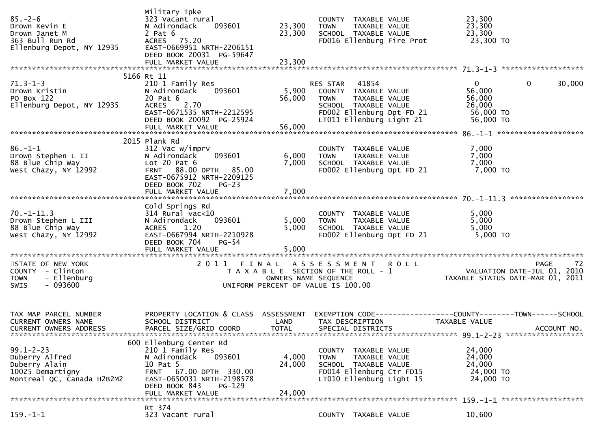| $85. - 2 - 6$<br>Drown Kevin E<br>Drown Janet M<br>363 Bull Run Rd<br>Ellenburg Depot, NY 12935      | Military Tpke<br>323 Vacant rural<br>093601<br>N Adirondack<br>$2$ Pat $6$<br>ACRES 75.20<br>EAST-0669951 NRTH-2206151<br>DEED BOOK 20031 PG-59647                                       | 23,300<br>23,300          | COUNTY TAXABLE VALUE<br><b>TOWN</b><br>TAXABLE VALUE<br>SCHOOL TAXABLE VALUE<br>FD016 Ellenburg Fire Prot                                        | 23,300<br>23,300<br>23,300<br>23,300 TO                                                             |
|------------------------------------------------------------------------------------------------------|------------------------------------------------------------------------------------------------------------------------------------------------------------------------------------------|---------------------------|--------------------------------------------------------------------------------------------------------------------------------------------------|-----------------------------------------------------------------------------------------------------|
| $71.3 - 1 - 3$<br>Drown Kristin<br>PO Box 122<br>Ellenburg Depot, NY 12935                           | 5166 Rt 11<br>210 1 Family Res<br>093601<br>N Adirondack<br>20 Pat 6<br>2.70<br><b>ACRES</b><br>EAST-0671535 NRTH-2212595<br>DEED BOOK 20092 PG-25924                                    | 5,900<br>56,000           | RES STAR 41854<br>COUNTY TAXABLE VALUE<br>TAXABLE VALUE<br>TOWN<br>SCHOOL TAXABLE VALUE<br>FD002 Ellenburg Dpt FD 21<br>LT011 Ellenburg Light 21 | $\mathbf{0}$<br>30,000<br>$\mathbf{0}$<br>56,000<br>56,000<br>26,000<br>56,000 TO<br>56,000 TO      |
| $86. - 1 - 1$<br>Drown Stephen L II<br>88 Blue Chip Way<br>West Chazy, NY 12992                      | 2015 Plank Rd<br>312 Vac w/imprv<br>093601<br>N Adirondack<br>Lot $20$ Pat $6$<br>FRNT 88.00 DPTH 85.00<br>EAST-0675912 NRTH-2209125<br>DEED BOOK 702<br>$PG-23$                         | 6,000<br>7,000            | COUNTY TAXABLE VALUE<br>TAXABLE VALUE<br><b>TOWN</b><br>SCHOOL TAXABLE VALUE<br>FD002 Ellenburg Dpt FD 21                                        | 7,000<br>7,000<br>7,000<br>7,000 TO                                                                 |
| $70. - 1 - 11.3$<br>Drown Stephen L III<br>88 Blue Chip Way<br>West Chazy, NY 12992                  | Cold Springs Rd<br>$314$ Rural vac<10<br>093601<br>N Adirondack<br>ACRES 1.20<br>EAST-0667994 NRTH-2210928<br>DEED BOOK 704<br><b>PG-54</b><br>FULL MARKET VALUE                         | 5,000<br>5,000<br>5,000   | COUNTY TAXABLE VALUE<br>TAXABLE VALUE<br><b>TOWN</b><br>SCHOOL TAXABLE VALUE<br>FD002 Ellenburg Dpt FD 21                                        | 5,000<br>5,000<br>5,000<br>5,000 TO                                                                 |
| STATE OF NEW YORK<br>COUNTY - Clinton<br><b>TOWN</b><br>- Ellenburg<br>$-093600$<br><b>SWIS</b>      |                                                                                                                                                                                          |                           | 2011 FINAL ASSESSMENT ROLL<br>T A X A B L E SECTION OF THE ROLL - 1<br>OWNERS NAME SEQUENCE<br>UNIFORM PERCENT OF VALUE IS 100.00                | 72<br><b>PAGE</b><br>0 L L<br>VALUATION DATE-JUL 01, 2010<br>TAXABLE STATUS DATE-MAR 01, 2011       |
| TAX MAP PARCEL NUMBER<br>CURRENT OWNERS NAME<br>CURRENT OWNERS ADDRESS                               | PROPERTY LOCATION & CLASS ASSESSMENT<br>SCHOOL DISTRICT<br>PARCEL SIZE/GRID COORD                                                                                                        | LAND<br><b>TOTAL</b>      | TAX DESCRIPTION<br>SPECIAL DISTRICTS                                                                                                             | EXEMPTION CODE-----------------COUNTY-------TOWN------SCHOOL<br><b>TAXABLE VALUE</b><br>ACCOUNT NO. |
| $99.1 - 2 - 23$<br>Duberry Alfred<br>Duberry Alain<br>10025 Demartigny<br>Montreal QC, Canada H2B2M2 | 600 Ellenburg Center Rd<br>210 1 Family Res<br>093601<br>N Adirondack<br>10 Pat 5<br>FRNT 67.00 DPTH 330.00<br>EAST-0650031 NRTH-2198578<br>DEED BOOK 843<br>PG-129<br>FULL MARKET VALUE | 4,000<br>24,000<br>24,000 | COUNTY TAXABLE VALUE<br>TAXABLE VALUE<br><b>TOWN</b><br>SCHOOL TAXABLE VALUE<br>FD014 Ellenburg Ctr FD15<br>LT010 Ellenburg Light 15             | 24,000<br>24,000<br>24,000<br>24,000 TO<br>24,000 TO                                                |
| $159. - 1 - 1$                                                                                       | Rt 374<br>323 Vacant rural                                                                                                                                                               |                           | COUNTY TAXABLE VALUE                                                                                                                             | 10,600                                                                                              |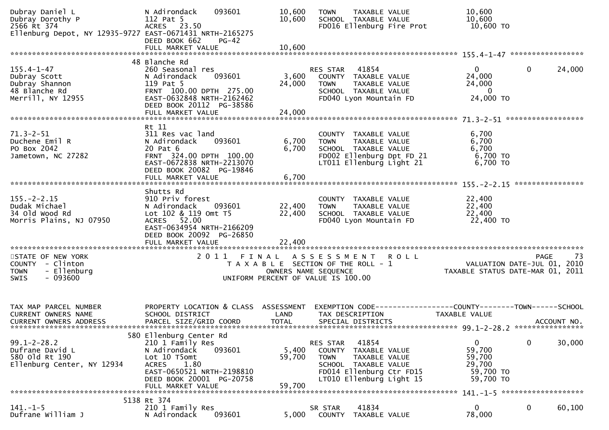| Dubray Daniel L<br>Dubray Dorothy P<br>2566 Rt 374<br>Ellenburg Depot, NY 12935-9727 EAST-0671431 NRTH-2165275 | 093601<br>N Adirondack<br>112 Pat 5<br>ACRES 23.50<br>DEED BOOK 662<br>$PG-42$                                                                                                       | 10,600<br>10,600           | <b>TOWN</b><br>TAXABLE VALUE<br>SCHOOL TAXABLE VALUE<br>FD016 Ellenburg Fire Prot                                                                         | 10,600<br>10,600<br>10,600 TO                                                  |                                                                                              |
|----------------------------------------------------------------------------------------------------------------|--------------------------------------------------------------------------------------------------------------------------------------------------------------------------------------|----------------------------|-----------------------------------------------------------------------------------------------------------------------------------------------------------|--------------------------------------------------------------------------------|----------------------------------------------------------------------------------------------|
|                                                                                                                |                                                                                                                                                                                      |                            |                                                                                                                                                           |                                                                                |                                                                                              |
| $155.4 - 1 - 47$<br>Dubray Scott<br>Dubray Shannon<br>48 Blanche Rd<br>Merrill, NY 12955                       | 48 Blanche Rd<br>260 Seasonal res<br>093601<br>N Adirondack<br>119 Pat 5<br>FRNT 100.00 DPTH 275.00<br>EAST-0632848 NRTH-2162462<br>DEED BOOK 20112 PG-38586<br>FULL MARKET VALUE    | 3,600<br>24,000<br>24,000  | 41854<br>RES STAR<br>COUNTY TAXABLE VALUE<br><b>TOWN</b><br>TAXABLE VALUE<br>SCHOOL TAXABLE VALUE<br>FD040 Lyon Mountain FD                               | 0<br>24,000<br>24,000<br>- 0<br>24,000 TO                                      | 24,000<br>$\mathbf{0}$                                                                       |
|                                                                                                                |                                                                                                                                                                                      |                            |                                                                                                                                                           |                                                                                |                                                                                              |
| $71.3 - 2 - 51$<br>Duchene Emil R<br>PO Box 2042<br>Jametown, NC 27282                                         | Rt 11<br>311 Res vac land<br>N Adirondack<br>093601<br>20 Pat 6<br>FRNT 324.00 DPTH 100.00<br>EAST-0672838 NRTH-2213070<br>DEED BOOK 20082 PG-19846<br>FULL MARKET VALUE             | 6,700<br>6,700<br>6,700    | COUNTY TAXABLE VALUE<br>TAXABLE VALUE<br><b>TOWN</b><br>SCHOOL TAXABLE VALUE<br>FD002 Ellenburg Dpt FD 21<br>LT011 Ellenburg Light 21                     | 6,700<br>6,700<br>6,700<br>6,700 TO<br>6,700 TO                                |                                                                                              |
|                                                                                                                |                                                                                                                                                                                      |                            |                                                                                                                                                           |                                                                                |                                                                                              |
| $155. - 2 - 2.15$<br>Dudak Michael<br>34 old wood Rd<br>Morris Plains, NJ 07950                                | Shutts Rd<br>910 Priv forest<br>093601<br>N Adirondack<br>Lot 102 & 119 Omt T5<br>ACRES 52.00<br>EAST-0634954 NRTH-2166209<br>DEED BOOK 20092 PG-26850<br>FULL MARKET VALUE          | 22,400<br>22,400<br>22,400 | COUNTY TAXABLE VALUE<br><b>TOWN</b><br>TAXABLE VALUE<br>SCHOOL TAXABLE VALUE<br>FD040 Lyon Mountain FD                                                    | 22,400<br>22,400<br>22,400<br>22,400 TO                                        |                                                                                              |
|                                                                                                                |                                                                                                                                                                                      |                            |                                                                                                                                                           |                                                                                |                                                                                              |
| STATE OF NEW YORK<br>COUNTY - Clinton<br>- Ellenburg<br><b>TOWN</b><br>$-093600$<br><b>SWIS</b>                | 2011 FINAL                                                                                                                                                                           |                            | ASSESSMENT ROLL<br>T A X A B L E SECTION OF THE ROLL - 1<br>OWNERS NAME SEQUENCE<br>UNIFORM PERCENT OF VALUE IS 100.00                                    |                                                                                | 73<br><b>PAGE</b><br><br>10) VALUATION DATE-JUL 01, 2010<br>1102 TAXABLE STATUS DATE-MAR 01, |
| TAX MAP PARCEL NUMBER<br>CURRENT OWNERS NAME<br>CURRENT OWNERS ADDRESS                                         | PROPERTY LOCATION & CLASS ASSESSMENT<br>SCHOOL DISTRICT<br>PARCEL SIZE/GRID COORD                                                                                                    | LAND<br><b>TOTAL</b>       | TAX DESCRIPTION<br>SPECIAL DISTRICTS                                                                                                                      | EXEMPTION CODE-----------------COUNTY--------TOWN------SCHOOL<br>TAXABLE VALUE | ACCOUNT NO.                                                                                  |
| $99.1 - 2 - 28.2$<br>Dufrane David L<br>580 old Rt 190<br>Ellenburg Center, NY 12934                           | 580 Ellenburg Center Rd<br>210 1 Family Res<br>093601<br>N Adirondack<br>Lot 10 T5omt<br>1.80<br>ACRES<br>EAST-0650521 NRTH-2198810<br>DEED BOOK 20001 PG-20758<br>FULL MARKET VALUE | 5,400<br>59,700<br>59,700  | 41854<br>RES STAR<br>COUNTY TAXABLE VALUE<br><b>TOWN</b><br>TAXABLE VALUE<br>SCHOOL TAXABLE VALUE<br>FD014 Ellenburg Ctr FD15<br>LT010 Ellenburg Light 15 | $\overline{0}$<br>59,700<br>59,700<br>29,700<br>59,700 TO<br>59,700 TO         | $\mathbf 0$<br>30,000                                                                        |
| 5138 Rt 374                                                                                                    |                                                                                                                                                                                      |                            |                                                                                                                                                           |                                                                                |                                                                                              |
| $141. - 1 - 5$<br>Dufrane William J                                                                            | 210 1 Family Res<br>093601<br>N Adirondack                                                                                                                                           | 5,000                      | 41834<br>SR STAR<br>COUNTY<br>TAXABLE VALUE                                                                                                               | 0<br>78,000                                                                    | 0<br>60,100                                                                                  |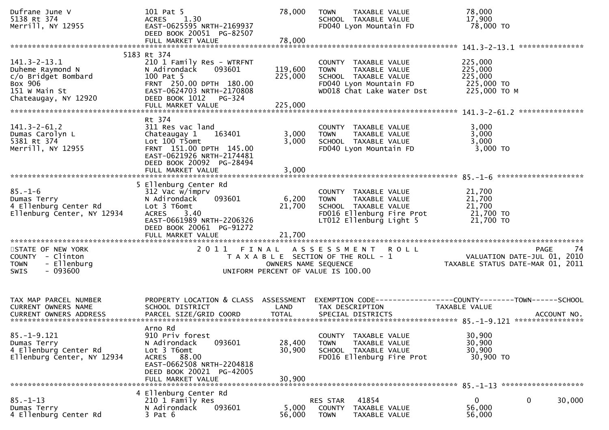| Dufrane June V<br>5138 Rt 374<br>Merrill, NY 12955                                                                | 101 Pat 5<br>1.30<br><b>ACRES</b><br>EAST-0625595 NRTH-2169937<br>DEED BOOK 20051 PG-82507<br>FULL MARKET VALUE                                                    | 78,000<br>78,000           | <b>TOWN</b><br>TAXABLE VALUE<br>SCHOOL TAXABLE VALUE<br>FD040 Lyon Mountain FD                                                       | 78,000<br>17,900<br>78,000 TO                                                                   |
|-------------------------------------------------------------------------------------------------------------------|--------------------------------------------------------------------------------------------------------------------------------------------------------------------|----------------------------|--------------------------------------------------------------------------------------------------------------------------------------|-------------------------------------------------------------------------------------------------|
|                                                                                                                   | 5183 Rt 374                                                                                                                                                        |                            |                                                                                                                                      |                                                                                                 |
| $141.3 - 2 - 13.1$<br>Duheme Raymond N<br>c/o Bridget Bombard<br>Box 906<br>151 W Main St<br>Chateaugay, NY 12920 | 210 1 Family Res - WTRFNT<br>N Adirondack<br>093601<br>100 Pat 5<br>FRNT 250.00 DPTH 180.00<br>EAST-0624703 NRTH-2170808<br>DEED BOOK 1012 PG-324                  | 119,600<br>225,000         | COUNTY TAXABLE VALUE<br><b>TOWN</b><br>TAXABLE VALUE<br>SCHOOL TAXABLE VALUE<br>FD040 Lyon Mountain FD<br>WD018 Chat Lake Water Dst  | 225,000<br>225,000<br>225,000<br>225,000 TO<br>225,000 ТО М                                     |
|                                                                                                                   | Rt 374                                                                                                                                                             |                            |                                                                                                                                      |                                                                                                 |
| $141.3 - 2 - 61.2$<br>Dumas Carolyn L<br>5381 Rt 374<br>Merrill, NY 12955                                         | 311 Res vac land<br>Chateaugay 1<br>163401<br>Lot 100 T5omt<br>FRNT 151.00 DPTH 145.00<br>EAST-0621926 NRTH-2174481<br>DEED BOOK 20092 PG-28494                    | 3,000<br>3,000             | COUNTY TAXABLE VALUE<br>TAXABLE VALUE<br><b>TOWN</b><br>SCHOOL TAXABLE VALUE<br>FD040 Lyon Mountain FD                               | 3,000<br>3,000<br>3,000<br>3,000 TO                                                             |
|                                                                                                                   | FULL MARKET VALUE                                                                                                                                                  | 3,000                      |                                                                                                                                      |                                                                                                 |
| $85. - 1 - 6$<br>Dumas Terry<br>4 Ellenburg Center Rd<br>Ellenburg Center, NY 12934                               | 5 Ellenburg Center Rd<br>312 Vac w/imprv<br>093601<br>N Adirondack<br>Lot 3 T6omt<br>3.40<br><b>ACRES</b><br>EAST-0661989 NRTH-2206326<br>DEED BOOK 20061 PG-91272 | 6,200<br>21,700            | COUNTY TAXABLE VALUE<br><b>TOWN</b><br>TAXABLE VALUE<br>SCHOOL TAXABLE VALUE<br>FD016 Ellenburg Fire Prot<br>LT012 Ellenburg Light 5 | 21,700<br>21,700<br>21,700<br>21,700 TO<br>21,700 TO                                            |
| STATE OF NEW YORK<br>COUNTY - Clinton<br>- Ellenburg<br><b>TOWN</b><br><b>SWIS</b><br>- 093600                    |                                                                                                                                                                    | OWNERS NAME SEQUENCE       | 2011 FINAL ASSESSMENT ROLL<br>T A X A B L E SECTION OF THE ROLL - 1<br>UNIFORM PERCENT OF VALUE IS 100.00                            | <b>PAGE</b><br>74<br>4/ PAGE<br>VALUATION DATE-JUL 01, 2010<br>TAXABLE STATUS DATE-MAR 01, 2011 |
| TAX MAP PARCEL NUMBER<br>CURRENT OWNERS NAME                                                                      | PROPERTY LOCATION & CLASS ASSESSMENT<br>SCHOOL DISTRICT                                                                                                            | LAND                       | TAX DESCRIPTION                                                                                                                      | TAXABLE VALUE                                                                                   |
| $85. - 1 - 9.121$<br>Dumas Terry<br>4 Ellenburg Center Rd<br>Ellenburg Center, NY 12934                           | Arno Rd<br>910 Priv forest<br>093601<br>N Adirondack<br>Lot 3 T6omt<br>ACRES 88.00<br>EAST-0662508 NRTH-2204818<br>DEED BOOK 20021 PG-42005<br>FULL MARKET VALUE   | 28,400<br>30,900<br>30,900 | TAXABLE VALUE<br><b>COUNTY</b><br>TAXABLE VALUE<br><b>TOWN</b><br>SCHOOL TAXABLE VALUE<br>FD016 Ellenburg Fire Prot                  | 30,900<br>30,900<br>30,900<br>30,900 TO                                                         |
|                                                                                                                   | 4 Ellenburg Center Rd                                                                                                                                              |                            |                                                                                                                                      |                                                                                                 |
| $85. - 1 - 13$<br>Dumas Terry<br>4 Ellenburg Center Rd                                                            | 210 1 Family Res<br>093601<br>N Adirondack<br>$3$ Pat $6$                                                                                                          | 5,000<br>56,000            | RES STAR<br>41854<br>COUNTY<br>TAXABLE VALUE<br><b>TOWN</b><br>TAXABLE VALUE                                                         | 0<br>30,000<br>$\mathbf{0}$<br>56,000<br>56,000                                                 |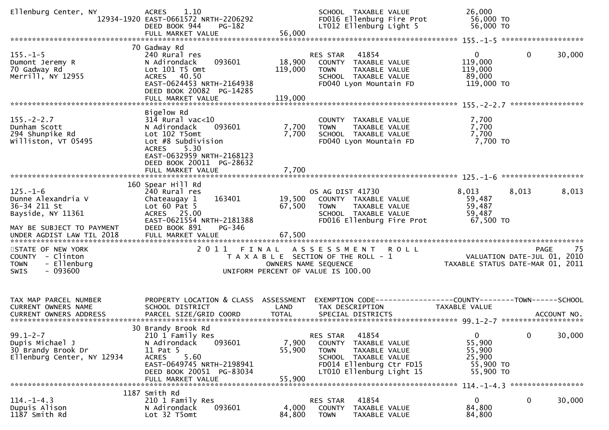| Ellenburg Center, NY                                                                                   | 1.10<br><b>ACRES</b><br>12934-1920 EAST-0661572 NRTH-2206292<br>DEED BOOK 944<br>PG-182<br>FULL MARKET VALUE                                                                                                       | 56,000                       | SCHOOL TAXABLE VALUE<br>FD016 Ellenburg Fire Prot<br>LT012 Ellenburg Light 5                                                                                 | 26,000<br>56,000 TO<br>56,000 TO                                     |              |            |
|--------------------------------------------------------------------------------------------------------|--------------------------------------------------------------------------------------------------------------------------------------------------------------------------------------------------------------------|------------------------------|--------------------------------------------------------------------------------------------------------------------------------------------------------------|----------------------------------------------------------------------|--------------|------------|
| $155. - 1 - 5$<br>Dumont Jeremy R<br>70 Gadway Rd<br>Merrill, NY 12955                                 | 70 Gadway Rd<br>240 Rural res<br>093601<br>N Adirondack<br>Lot $101$ T5 Omt<br>ACRES 40.50<br>EAST-0624453 NRTH-2164938<br>DEED BOOK 20082 PG-14285<br>FULL MARKET VALUE                                           | 18,900<br>119,000<br>119,000 | 41854<br><b>RES STAR</b><br>COUNTY TAXABLE VALUE<br>TAXABLE VALUE<br><b>TOWN</b><br>SCHOOL TAXABLE VALUE<br>FD040 Lyon Mountain FD                           | 0<br>119,000<br>119,000<br>89,000<br>119,000 TO                      | $\mathbf{0}$ | 30,000     |
| $155. - 2 - 2.7$<br>Dunham Scott<br>294 Shunpike Rd<br>Williston, VT 05495                             | Bigelow Rd<br>$31\overline{4}$ Rural vac<10<br>093601<br>N Adirondack<br>Lot 102 T5omt<br>Lot #8 Subdivision<br><b>ACRES</b><br>5.30<br>EAST-0632959 NRTH-2168123<br>DEED BOOK 20011 PG-28632<br>FULL MARKET VALUE | 7,700<br>7,700<br>7,700      | COUNTY TAXABLE VALUE<br>TAXABLE VALUE<br><b>TOWN</b><br>SCHOOL TAXABLE VALUE<br>FD040 Lyon Mountain FD                                                       | 7,700<br>7,700<br>7,700<br>7,700 TO                                  |              |            |
| $125. - 1 - 6$<br>Dunne Alexandria V<br>36-34 211 St<br>Bayside, NY 11361<br>MAY BE SUBJECT TO PAYMENT | 160 Spear Hill Rd<br>240 Rural res<br>163401<br>Chateaugay 1<br>Lot $60$ Pat $5$<br>ACRES 25.00<br>EAST-0621554 NRTH-2181388<br>DEED BOOK 891<br>PG-346                                                            | 19,500<br>67,500             | OS AG DIST 41730<br>COUNTY TAXABLE VALUE<br><b>TOWN</b><br>TAXABLE VALUE<br>SCHOOL TAXABLE VALUE<br>FD016 Ellenburg Fire Prot                                | 8,013<br>59,487<br>59,487<br>59,487<br>67,500 TO                     | 8,013        | 8,013      |
| STATE OF NEW YORK<br>COUNTY - Clinton<br>- Ellenburg<br><b>TOWN</b><br>SWIS<br>- 093600                | 2011 FINAL                                                                                                                                                                                                         | OWNERS NAME SEQUENCE         | A S S E S S M E N T<br><b>ROLL</b><br>T A X A B L E SECTION OF THE ROLL - 1<br>UNIFORM PERCENT OF VALUE IS 100.00                                            | VALUATION DATE-JUL 01, 2010<br>TAXABLE STATUS DATE-MAR 01, 2011      |              | 75<br>PAGE |
| TAX MAP PARCEL NUMBER<br>CURRENT OWNERS NAME                                                           | PROPERTY LOCATION & CLASS ASSESSMENT<br>SCHOOL DISTRICT                                                                                                                                                            | LAND                         | EXEMPTION CODE-----------------COUNTY-------TOWN------SCHOOL<br>TAX DESCRIPTION                                                                              | TAXABLE VALUE                                                        |              |            |
| $99.1 - 2 - 7$<br>Dupis Michael J<br>30 Brandy Brook Dr<br>Ellenburg Center, NY 12934                  | 30 Brandy Brook Rd<br>210 1 Family Res<br>N Adirondack<br>093601<br>11 Pat 5<br>5.60<br><b>ACRES</b><br>EAST-0649745 NRTH-2198941<br>DEED BOOK 20051 PG-83034<br>FULL MARKET VALUE                                 | 7,900<br>55,900<br>55,900    | 41854<br>RES STAR<br>COUNTY<br>TAXABLE VALUE<br><b>TOWN</b><br>TAXABLE VALUE<br>SCHOOL TAXABLE VALUE<br>FD014 Ellenburg Ctr FD15<br>LT010 Ellenburg Light 15 | $\mathbf{0}$<br>55,900<br>55,900<br>25,900<br>55,900 TO<br>55,900 TO | 0            | 30,000     |
|                                                                                                        |                                                                                                                                                                                                                    |                              |                                                                                                                                                              |                                                                      |              |            |
| $114. - 1 - 4.3$<br>Dupuis Alison<br>1187 Smith Rd                                                     | 1187 Smith Rd<br>210 1 Family Res<br>093601<br>N Adirondack<br>Lot 32 T5omt                                                                                                                                        | 4,000<br>84,800              | 41854<br>RES STAR<br><b>COUNTY</b><br>TAXABLE VALUE<br><b>TOWN</b><br>TAXABLE VALUE                                                                          | 0<br>84,800<br>84,800                                                | 0            | 30,000     |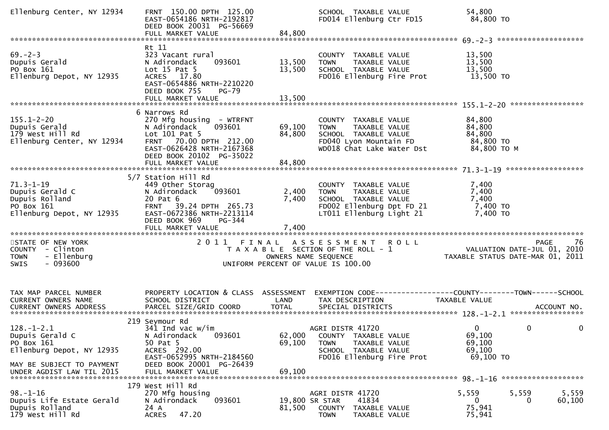| Ellenburg Center, NY 12934                                                                                                           | FRNT 150.00 DPTH 125.00<br>EAST-0654186 NRTH-2192817<br>DEED BOOK 20031 PG-56669<br>FULL MARKET VALUE                                                                                                 | 84,800                     | SCHOOL TAXABLE VALUE<br>FD014 Ellenburg Ctr FD15                                                                                      | 54,800<br>84,800 TO                                                       |                 |
|--------------------------------------------------------------------------------------------------------------------------------------|-------------------------------------------------------------------------------------------------------------------------------------------------------------------------------------------------------|----------------------------|---------------------------------------------------------------------------------------------------------------------------------------|---------------------------------------------------------------------------|-----------------|
| $69 - 2 - 3$<br>Dupuis Gerald<br>PO Box 161<br>Ellenburg Depot, NY 12935                                                             | Rt 11<br>323 Vacant rural<br>N Adirondack<br>093601<br>Lot $15$ Pat $5$<br>ACRES 17.80<br>EAST-0654886 NRTH-2210220<br>DEED BOOK 755<br>$PG-79$                                                       | 13,500<br>13,500           | COUNTY TAXABLE VALUE<br>TAXABLE VALUE<br><b>TOWN</b><br>SCHOOL TAXABLE VALUE<br>FD016 Ellenburg Fire Prot                             | 13,500<br>13,500<br>13,500<br>13,500 TO                                   |                 |
| $155.1 - 2 - 20$<br>Dupuis Gerald<br>179 West Hill Rd<br>Ellenburg Center, NY 12934                                                  | 6 Narrows Rd<br>270 Mfg housing - WTRFNT<br>093601<br>N Adirondack<br>Lot 101 Pat 5<br>70.00 DPTH 212.00<br><b>FRNT</b><br>EAST-0626428 NRTH-2167368<br>DEED BOOK 20102 PG-35022<br>FULL MARKET VALUE | 69,100<br>84,800<br>84,800 | COUNTY TAXABLE VALUE<br>TAXABLE VALUE<br><b>TOWN</b><br>SCHOOL TAXABLE VALUE<br>FD040 Lyon Mountain FD<br>WD018 Chat Lake Water Dst   | 84,800<br>84,800<br>84,800<br>84,800 TO<br>84,800 TO M                    |                 |
| $71.3 - 1 - 19$<br>Dupuis Gerald C<br>Dupuis Rolland<br>PO Box 161<br>Ellenburg Depot, NY 12935                                      | 5/7 Station Hill Rd<br>449 Other Storag<br>093601<br>N Adirondack<br>20 Pat 6<br>FRNT 39.24 DPTH 265.73<br>EAST-0672386 NRTH-2213114<br>DEED BOOK 969<br>PG-344                                       | 2,400<br>7,400             | COUNTY TAXABLE VALUE<br>TAXABLE VALUE<br><b>TOWN</b><br>SCHOOL TAXABLE VALUE<br>FD002 Ellenburg Dpt FD 21<br>LT011 Ellenburg Light 21 | 7,400<br>7,400<br>7,400<br>7,400 TO<br>7,400 TO                           |                 |
| STATE OF NEW YORK<br>COUNTY - Clinton<br>- Ellenburg<br><b>TOWN</b><br>$-093600$<br><b>SWIS</b>                                      |                                                                                                                                                                                                       |                            | 2011 FINAL ASSESSMENT ROLL<br>T A X A B L E SECTION OF THE ROLL - 1<br>OWNERS NAME SEQUENCE<br>UNIFORM PERCENT OF VALUE IS 100.00     | VALUATION DATE-JUL 01, 2010<br>TAXABLE STATUS DATE-MAR 01, 2011           | 76<br>PAGE      |
| TAX MAP PARCEL NUMBER<br>CURRENT OWNERS NAME                                                                                         | PROPERTY LOCATION & CLASS ASSESSMENT<br>SCHOOL DISTRICT                                                                                                                                               | LAND                       | EXEMPTION CODE-----------------COUNTY-------TOWN------SCHOOL<br>TAX DESCRIPTION                                                       | TAXABLE VALUE                                                             |                 |
| $128.-1-2.1$<br>Dupuis Gerald C<br>PO Box 161<br>Ellenburg Depot, NY 12935<br>MAY BE SUBJECT TO PAYMENT<br>UNDER AGDIST LAW TIL 2015 | 219 Seymour Rd<br>$341$ Ind vac w/im<br>093601<br>N Adirondack<br>50 Pat 5<br>ACRES 292.00<br>EAST-0652995 NRTH-2184560<br>DEED BOOK 20001 PG-26439<br>FULL MARKET VALUE                              | 62,000<br>69,100<br>69,100 | AGRI DISTR 41720<br>COUNTY TAXABLE VALUE<br>TAXABLE VALUE<br><b>TOWN</b><br>SCHOOL TAXABLE VALUE<br>FD016 Ellenburg Fire Prot         | $\overline{0}$<br>$\mathbf{0}$<br>69,100<br>69,100<br>69,100<br>69,100 TO | 0               |
| $98. - 1 - 16$<br>Dupuis Life Estate Gerald<br>Dupuis Rolland<br>179 West Hill Rd                                                    | 179 West Hill Rd<br>270 Mfg housing<br>093601<br>N Adirondack<br>24 A<br>47.20<br><b>ACRES</b>                                                                                                        | 81,500                     | AGRI DISTR 41720<br>19,800 SR STAR<br>41834<br>COUNTY TAXABLE VALUE<br><b>TOWN</b><br>TAXABLE VALUE                                   | 5,559<br>5,559<br>$\bf{0}$<br>0<br>75,941<br>75,941                       | 5,559<br>60,100 |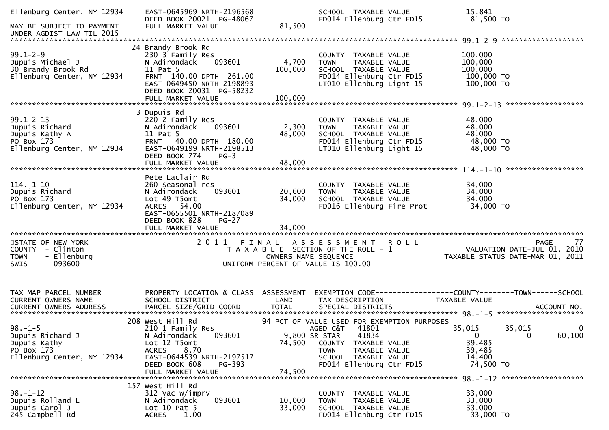| Ellenburg Center, NY 12934<br>MAY BE SUBJECT TO PAYMENT                                         | EAST-0645969 NRTH-2196568<br>DEED BOOK 20021 PG-48067<br>FULL MARKET VALUE                                                                                                          | 81,500               | SCHOOL TAXABLE VALUE<br>FD014 Ellenburg Ctr FD15                                                                                                                                                    | 15,841<br>81,500 то                                                                       |        |
|-------------------------------------------------------------------------------------------------|-------------------------------------------------------------------------------------------------------------------------------------------------------------------------------------|----------------------|-----------------------------------------------------------------------------------------------------------------------------------------------------------------------------------------------------|-------------------------------------------------------------------------------------------|--------|
| UNDER AGDIST LAW TIL 2015                                                                       |                                                                                                                                                                                     |                      |                                                                                                                                                                                                     |                                                                                           |        |
| $99.1 - 2 - 9$<br>Dupuis Michael J<br>30 Brandy Brook Rd<br>Ellenburg Center, NY 12934          | 24 Brandy Brook Rd<br>230 3 Family Res<br>093601<br>N Adirondack<br>11 Pat 5<br>FRNT 140.00 DPTH 261.00<br>EAST-0649450 NRTH-2198893<br>DEED BOOK 20031 PG-58232                    | 4,700<br>100,000     | COUNTY<br>TAXABLE VALUE<br>TAXABLE VALUE<br><b>TOWN</b><br>SCHOOL TAXABLE VALUE<br>FD014 Ellenburg Ctr FD15<br>LT010 Ellenburg Light 15                                                             | 100,000<br>100,000<br>100,000<br>100,000 TO<br>100,000 TO                                 |        |
| $99.1 - 2 - 13$<br>Dupuis Richard<br>Dupuis Kathy A<br>PO Box 173<br>Ellenburg Center, NY 12934 | 3 Dupuis Rd<br>220 2 Family Res<br>093601<br>N Adirondack<br>11 Pat 5<br>FRNT 40.00 DPTH 180.00<br>EAST-0649199 NRTH-2198513<br>DEED BOOK 774<br>$PG-3$                             | 2,300<br>48,000      | COUNTY TAXABLE VALUE<br>TAXABLE VALUE<br><b>TOWN</b><br>SCHOOL TAXABLE VALUE<br>FD014 Ellenburg Ctr FD15<br>LT010 Ellenburg Light 15                                                                | 48,000<br>48,000<br>48,000<br>48,000 TO<br>48,000 TO                                      |        |
| $114. - 1 - 10$<br>Dupuis Richard<br>PO Box 173<br>Ellenburg Center, NY 12934                   | Pete Laclair Rd<br>260 Seasonal res<br>N Adirondack<br>093601<br>Lot 49 T5omt<br>ACRES 54.00<br>EAST-0655501 NRTH-2187089<br>DEED BOOK 828<br>$PG-27$                               | 20,600<br>34,000     | COUNTY TAXABLE VALUE<br>TAXABLE VALUE<br><b>TOWN</b><br>SCHOOL TAXABLE VALUE<br>FD016 Ellenburg Fire Prot                                                                                           | 34,000<br>34,000<br>34,000<br>34,000 TO                                                   |        |
| STATE OF NEW YORK<br>COUNTY - Clinton<br>- Ellenburg<br><b>TOWN</b><br>$-093600$<br>SWIS        |                                                                                                                                                                                     | OWNERS NAME SEQUENCE | 2011 FINAL ASSESSMENT ROLL<br>T A X A B L E SECTION OF THE ROLL - 1<br>UNIFORM PERCENT OF VALUE IS 100.00                                                                                           | <b>PAGE</b><br>VALUATION DATE-JUL 01, 2010<br>TAXABLE STATUS DATE-MAR 01, 2011            | 77     |
| TAX MAP PARCEL NUMBER<br><b>CURRENT OWNERS NAME</b>                                             | PROPERTY LOCATION & CLASS ASSESSMENT<br>SCHOOL DISTRICT                                                                                                                             | LAND                 | TAX DESCRIPTION                                                                                                                                                                                     | EXEMPTION CODE-----------------COUNTY-------TOWN------SCHOOL<br>TAXABLE VALUE             |        |
| $98. - 1 - 5$<br>Dupuis Richard J<br>Dupuis Kathy<br>PO Box 173<br>Ellenburg Center, NY 12934   | 208 West Hill Rd<br>210 1 Family Res<br>093601<br>N Adirondack<br>Lot 12 T5omt<br>8.70<br><b>ACRES</b><br>EAST-0644539 NRTH-2197517<br>DEED BOOK 608<br>PG-393<br>FULL MARKET VALUE | 74,500<br>74,500     | 94 PCT OF VALUE USED FOR EXEMPTION PURPOSES<br>AGED C&T 41801<br>9,800 SR STAR<br>41834<br>COUNTY TAXABLE VALUE<br><b>TOWN</b><br>TAXABLE VALUE<br>SCHOOL TAXABLE VALUE<br>FD014 Ellenburg Ctr FD15 | 35,015<br>35,015<br>$\overline{0}$<br>$\Omega$<br>39,485<br>39,485<br>14,400<br>74,500 TO | 60,100 |
| $98. - 1 - 12$<br>Dupuis Rolland L<br>Dupuis Carol J<br>245 Campbell Rd                         | 157 West Hill Rd<br>312 Vac w/imprv<br>093601<br>N Adirondack<br>Lot $10$ Pat $5$<br>1.00<br><b>ACRES</b>                                                                           | 10,000<br>33,000     | COUNTY TAXABLE VALUE<br>TAXABLE VALUE<br>TOWN<br>SCHOOL TAXABLE VALUE<br>FD014 Ellenburg Ctr FD15                                                                                                   | 33,000<br>33,000<br>33,000<br>33,000 TO                                                   |        |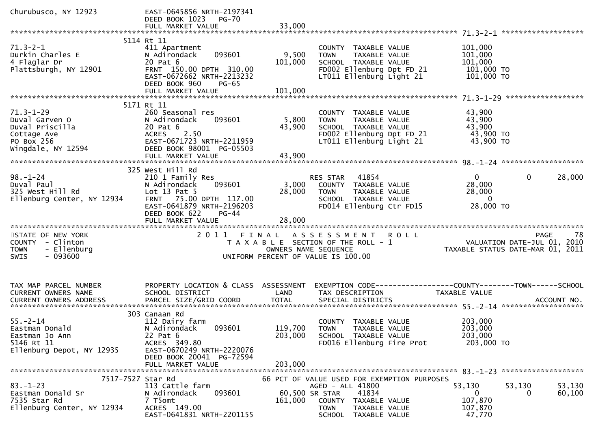| Churubusco, NY 12923                                                                                   | EAST-0645856 NRTH-2197341<br>DEED BOOK 1023 PG-70<br>FULL MARKET VALUE                                                                                     | 33,000                    |                                                                                                                                                          |                                                                                                      |
|--------------------------------------------------------------------------------------------------------|------------------------------------------------------------------------------------------------------------------------------------------------------------|---------------------------|----------------------------------------------------------------------------------------------------------------------------------------------------------|------------------------------------------------------------------------------------------------------|
|                                                                                                        |                                                                                                                                                            |                           |                                                                                                                                                          |                                                                                                      |
| $71.3 - 2 - 1$<br>Durkin Charles E<br>4 Flaglar Dr<br>Plattsburgh, NY 12901                            | 5114 Rt 11<br>411 Apartment<br>093601<br>N Adirondack<br>20 Pat 6<br>FRNT 150.00 DPTH 310.00<br>EAST-0672662 NRTH-2213232<br>DEED BOOK 960<br><b>PG-65</b> | 9,500<br>101,000          | COUNTY TAXABLE VALUE<br>TAXABLE VALUE<br><b>TOWN</b><br>SCHOOL TAXABLE VALUE<br>FD002 Ellenburg Dpt FD 21<br>LT011 Ellenburg Light 21                    | 101,000<br>101,000<br>101,000<br>101,000 TO<br>101,000 TO                                            |
|                                                                                                        | FULL MARKET VALUE                                                                                                                                          | 101,000                   |                                                                                                                                                          |                                                                                                      |
|                                                                                                        |                                                                                                                                                            |                           |                                                                                                                                                          |                                                                                                      |
|                                                                                                        | 5171 Rt 11                                                                                                                                                 |                           |                                                                                                                                                          |                                                                                                      |
| $71.3 - 1 - 29$<br>Duval Garven O<br>Duval Priscilla<br>Cottage Ave<br>PO Box 256                      | 260 Seasonal res<br>N Adirondack<br>093601<br>20 Pat 6<br>ACRES 2.50<br>EAST-0671723 NRTH-2211959                                                          | 5,800<br>43,900           | COUNTY TAXABLE VALUE<br>TAXABLE VALUE<br><b>TOWN</b><br>SCHOOL TAXABLE VALUE<br>FD002 Ellenburg Dpt FD 21<br>LT011 Ellenburg Light 21                    | 43,900<br>43,900<br>43,900<br>43,900 TO<br>43,900 TO                                                 |
| Wingdale, NY 12594                                                                                     | DEED BOOK 98001 PG-05503                                                                                                                                   |                           |                                                                                                                                                          |                                                                                                      |
|                                                                                                        |                                                                                                                                                            |                           |                                                                                                                                                          |                                                                                                      |
|                                                                                                        | 325 West Hill Rd                                                                                                                                           |                           |                                                                                                                                                          |                                                                                                      |
| $98. - 1 - 24$<br>Duval Paul<br>325 West Hill Rd<br>Ellenburg Center, NY 12934                         | 210 1 Family Res<br>093601<br>N Adirondack<br>Lot $13$ Pat $5$<br>FRNT 75.00 DPTH 117.00<br>EAST-0641879 NRTH-2196203<br>DEED BOOK 622<br>$PG-44$          | 3,000<br>28,000           | RES STAR 41854<br>COUNTY TAXABLE VALUE<br><b>TOWN</b><br>TAXABLE VALUE<br>SCHOOL TAXABLE VALUE<br>FD014 Ellenburg Ctr FD15                               | $\mathbf 0$<br>$\overline{0}$<br>28,000<br>28,000<br>28,000<br>$\overline{\phantom{0}}$<br>28,000 TO |
|                                                                                                        | FULL MARKET VALUE                                                                                                                                          | 28,000                    |                                                                                                                                                          |                                                                                                      |
| STATE OF NEW YORK<br>COUNTY - Clinton<br>- Ellenburg<br><b>TOWN</b><br>$-093600$<br><b>SWIS</b>        |                                                                                                                                                            | OWNERS NAME SEQUENCE      | 2011 FINAL ASSESSMENT ROLL<br>T A X A B L E SECTION OF THE ROLL - 1<br>UNIFORM PERCENT OF VALUE IS 100.00                                                | PAGE 78<br>VALUATION DATE-JUL 01, 2010<br>TAXABLE STATUS DATE 110 01, 2010                           |
| TAX MAP PARCEL NUMBER<br>CURRENT OWNERS NAME                                                           | PROPERTY LOCATION & CLASS ASSESSMENT<br>SCHOOL DISTRICT                                                                                                    | LAND                      | TAX DESCRIPTION                                                                                                                                          | EXEMPTION CODE------------------COUNTY--------TOWN------SCHOOL<br><b>TAXABLE VALUE</b>               |
|                                                                                                        |                                                                                                                                                            |                           |                                                                                                                                                          |                                                                                                      |
| $55. - 2 - 14$<br>Eastman Donald<br>Eastman Jo Ann<br>5146 Rt 11<br>Ellenburg Depot, NY 12935          | 303 Canaan Rd<br>112 Dairy farm<br>N Adirondack 093601<br>22 Pat 6<br>ACRES 349.80<br>EAST-0670249 NRTH-2220076<br>DEED BOOK 20041 PG-72594                | 203,000                   | COUNTY TAXABLE VALUE<br>119,700 TOWN TAXABLE VALUE<br>SCHOOL TAXABLE VALUE<br>FD016 Ellenburg Fire Prot                                                  | 203,000<br>203,000<br>203,000<br>203,000 TO                                                          |
|                                                                                                        | FULL MARKET VALUE                                                                                                                                          | 203,000                   |                                                                                                                                                          |                                                                                                      |
| 7517-7527 Star Rd<br>$83. - 1 - 23$<br>Eastman Donald Sr<br>7535 Star Rd<br>Ellenburg Center, NY 12934 | 113 Cattle farm<br>093601<br>N Adirondack<br>7 T5omt<br>ACRES 149.00<br>EAST-0641831 NRTH-2201155                                                          | 60,500 SR STAR<br>161,000 | 66 PCT OF VALUE USED FOR EXEMPTION PURPOSES<br>AGED - ALL 41800<br>41834<br>COUNTY TAXABLE VALUE<br><b>TOWN</b><br>TAXABLE VALUE<br>SCHOOL TAXABLE VALUE | 53,130<br>53,130<br>53,130<br>$\mathbf{0}$<br>60,100<br>0<br>107,870<br>107,870<br>47,770            |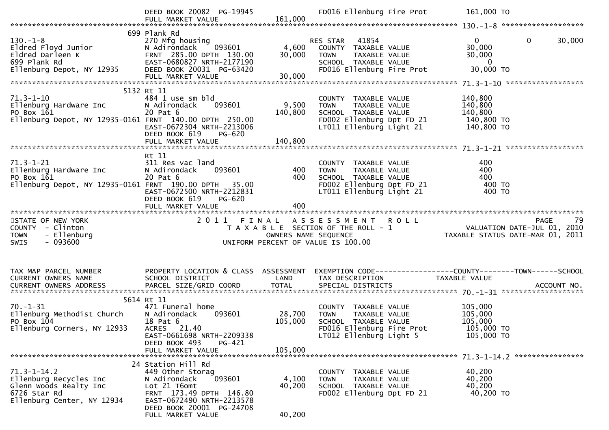|                                                        | DEED BOOK 20082 PG-19945<br>FULL MARKET VALUE               | 161,000         | FD016 Ellenburg Fire Prot                                              | 161,000 TO                                                                                       |
|--------------------------------------------------------|-------------------------------------------------------------|-----------------|------------------------------------------------------------------------|--------------------------------------------------------------------------------------------------|
|                                                        |                                                             |                 |                                                                        |                                                                                                  |
| $130. - 1 - 8$                                         | 699 Plank Rd<br>270 Mfg housing                             | 4,600<br>30,000 | RES STAR 41854<br>COUNTY TAXABLE VALUE<br>TAXABLE VALUE<br><b>TOWN</b> | $\overline{0}$<br>$\mathbf{0}$<br>30,000<br>30,000<br>30,000                                     |
|                                                        | FULL MARKET VALUE                                           | 30,000          | SCHOOL TAXABLE VALUE<br>FD016 Ellenburg Fire Prot                      | $\overline{\phantom{0}}$ 0<br>30,000 TO                                                          |
|                                                        |                                                             |                 |                                                                        |                                                                                                  |
|                                                        | 5132 Rt 11                                                  |                 |                                                                        |                                                                                                  |
| $71.3 - 1 - 10$<br>Ellenburg Hardware Inc              | 484 1 use sm bld<br>093601<br>N Adirondack                  | 9,500           | COUNTY TAXABLE VALUE<br><b>TOWN</b><br>TAXABLE VALUE                   | 140,800<br>140,800                                                                               |
| PO Box 161                                             | 20 Pat 6                                                    | 140,800         | SCHOOL TAXABLE VALUE                                                   | 140,800                                                                                          |
| Ellenburg Depot, NY 12935-0161 FRNT 140.00 DPTH 250.00 |                                                             |                 | FD002 Ellenburg Dpt FD 21 140,800 TO                                   |                                                                                                  |
|                                                        | EAST-0672304 NRTH-2213006                                   |                 | LT011 Ellenburg Light 21                                               | 140,800 TO                                                                                       |
|                                                        | DEED BOOK 619<br>PG-620                                     |                 |                                                                        |                                                                                                  |
|                                                        |                                                             |                 |                                                                        |                                                                                                  |
|                                                        | Rt 11                                                       |                 |                                                                        |                                                                                                  |
|                                                        | 311 Res vac land                                            |                 | COUNTY TAXABLE VALUE                                                   | 400                                                                                              |
| 71.3-1-21<br>Ellenburg Hardware Inc<br>PO Box 161      | N Adirondack 093601                                         | 400             | <b>TOWN</b><br>TAXABLE VALUE                                           | 400                                                                                              |
| PO Box 161                                             | 20 Pat 6                                                    | 400             | TOWN<br>SCHOOL TAXABLE VALUE<br>FD002 Ellenburg Dpt FD 21              | 400                                                                                              |
| Ellenburg Depot, NY 12935-0161 FRNT 190.00 DPTH 35.00  |                                                             |                 |                                                                        | 400 TO                                                                                           |
|                                                        | EAST-0672500 NRTH-2212831<br>DEED BOOK 619<br><b>PG-620</b> |                 | LT011 Ellenburg Light 21                                               | 400 TO                                                                                           |
|                                                        | FULL MARKET VALUE                                           | 400             |                                                                        |                                                                                                  |
|                                                        |                                                             |                 |                                                                        |                                                                                                  |
|                                                        |                                                             |                 |                                                                        |                                                                                                  |
| STATE OF NEW YORK                                      |                                                             |                 |                                                                        |                                                                                                  |
| COUNTY - Clinton                                       |                                                             |                 |                                                                        |                                                                                                  |
| - Ellenburg<br><b>TOWN</b>                             |                                                             |                 |                                                                        |                                                                                                  |
| $-093600$<br><b>SWIS</b>                               |                                                             |                 | UNIFORM PERCENT OF VALUE IS 100.00                                     |                                                                                                  |
|                                                        |                                                             |                 |                                                                        |                                                                                                  |
|                                                        |                                                             |                 |                                                                        |                                                                                                  |
| TAX MAP PARCEL NUMBER                                  |                                                             |                 |                                                                        | PROPERTY LOCATION & CLASS ASSESSMENT EXEMPTION CODE----------------COUNTY-------TOWN------SCHOOL |
| CURRENT OWNERS NAME                                    | SCHOOL DISTRICT                                             | LAND            | TAX DESCRIPTION                                                        | TAXABLE VALUE                                                                                    |
| CURRENT OWNERS ADDRESS                                 |                                                             |                 |                                                                        |                                                                                                  |
|                                                        | 5614 Rt 11                                                  |                 |                                                                        |                                                                                                  |
| $70. - 1 - 31$                                         | 471 Funeral home                                            |                 | COUNTY TAXABLE VALUE                                                   | 105,000                                                                                          |
| Ellenburg Methodist Church                             | N Adirondack<br>093601                                      | 28,700          | TAXABLE VALUE<br><b>TOWN</b>                                           | 105,000                                                                                          |
| PO Box 104                                             | 18 Pat 6                                                    | 105,000         | SCHOOL TAXABLE VALUE                                                   | 105,000                                                                                          |
| Ellenburg Corners, NY 12933                            | ACRES 21.40                                                 |                 | FD016 Ellenburg Fire Prot                                              | 105.000 TO                                                                                       |
|                                                        | EAST-0661698 NRTH-2209338                                   |                 | LT012 Ellenburg Light 5                                                | 105,000 TO                                                                                       |
|                                                        | DEED BOOK 493<br>PG-421<br>FULL MARKET VALUE                | 105,000         |                                                                        |                                                                                                  |
|                                                        |                                                             |                 |                                                                        |                                                                                                  |
|                                                        | 24 Station Hill Rd                                          |                 |                                                                        |                                                                                                  |
| $71.3 - 1 - 14.2$                                      | 449 Other Storag                                            |                 | COUNTY TAXABLE VALUE                                                   | 40,200                                                                                           |
| Ellenburg Recycles Inc                                 | 093601<br>N Adirondack                                      | 4,100           | <b>TOWN</b><br>TAXABLE VALUE                                           | 40,200                                                                                           |
| Glenn Woods Realty Inc<br>6726 Star Rd                 | Lot 21 T6omt                                                | 40,200          | SCHOOL TAXABLE VALUE                                                   | 40,200                                                                                           |
| Ellenburg Center, NY 12934                             | FRNT 173.49 DPTH 146.80<br>EAST-0672490 NRTH-2213578        |                 | FD002 Ellenburg Dpt FD 21                                              | 40,200 TO                                                                                        |
|                                                        | DEED BOOK 20001 PG-24708<br>FULL MARKET VALUE               | 40,200          |                                                                        |                                                                                                  |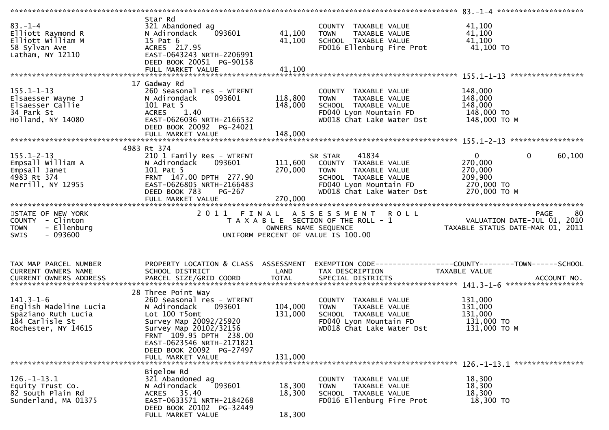| $83 - 1 - 4$<br>Elliott Raymond R<br>Elliott William M<br>58 Sylvan Ave<br>Latham, NY 12110                | Star Rd<br>321 Abandoned ag<br>093601<br>N Adirondack<br>15 Pat 6<br>ACRES 217.95<br>EAST-0643243 NRTH-2206991<br>DEED BOOK 20051 PG-90158<br>FULL MARKET VALUE                                                                                         | 41,100<br>41,100<br>41,100    | COUNTY TAXABLE VALUE<br><b>TOWN</b><br>TAXABLE VALUE<br>SCHOOL TAXABLE VALUE<br>FD016 Ellenburg Fire Prot                                               | 41,100<br>41,100<br>41,100<br>41,100 TO                                                                 |
|------------------------------------------------------------------------------------------------------------|---------------------------------------------------------------------------------------------------------------------------------------------------------------------------------------------------------------------------------------------------------|-------------------------------|---------------------------------------------------------------------------------------------------------------------------------------------------------|---------------------------------------------------------------------------------------------------------|
|                                                                                                            |                                                                                                                                                                                                                                                         |                               |                                                                                                                                                         |                                                                                                         |
| $155.1 - 1 - 13$<br>Elsaesser Wayne J<br>Elsaesser Callie<br>34 Park St<br>Holland, NY 14080               | 17 Gadway Rd<br>260 Seasonal res - WTRFNT<br>093601<br>N Adirondack<br>101 Pat 5<br><b>ACRES</b><br>1.40<br>EAST-0626036 NRTH-2166532<br>DEED BOOK 20092 PG-24021                                                                                       | 118,800<br>148,000            | COUNTY TAXABLE VALUE<br>TAXABLE VALUE<br><b>TOWN</b><br>SCHOOL TAXABLE VALUE<br>FD040 Lyon Mountain FD<br>WD018 Chat Lake Water Dst                     | 148,000<br>148,000<br>148,000<br>148,000 TO<br>148,000 ТО М                                             |
|                                                                                                            |                                                                                                                                                                                                                                                         |                               |                                                                                                                                                         |                                                                                                         |
| $155.1 - 2 - 13$<br>l55.1-2-1<br>Empsall William A<br>מחבר בר<br>4983 Rt 374<br>Merrill, NY 12955          | 4983 Rt 374<br>210 1 Family Res - WTRFNT<br>093601<br>N Adirondack<br>101 Pat 5<br>FRNT 147.00 DPTH 277.90<br>EAST-0626805 NRTH-2166483<br>DEED BOOK 783<br>PG-267<br>FULL MARKET VALUE                                                                 | 111,600<br>270,000<br>270,000 | 41834<br>SR STAR<br>COUNTY TAXABLE VALUE<br>TAXABLE VALUE<br><b>TOWN</b><br>SCHOOL TAXABLE VALUE<br>FD040 Lyon Mountain FD<br>WD018 Chat Lake Water Dst | $\overline{0}$<br>$\mathbf{0}$<br>60,100<br>270,000<br>270,000<br>209,900<br>270,000 TO<br>270,000 ТО М |
|                                                                                                            |                                                                                                                                                                                                                                                         |                               |                                                                                                                                                         |                                                                                                         |
| STATE OF NEW YORK<br>COUNTY - Clinton<br>- Ellenburg<br><b>TOWN</b><br>$-093600$<br><b>SWIS</b>            | 2011 FINAL                                                                                                                                                                                                                                              | OWNERS NAME SEQUENCE          | ASSESSMENT ROLL<br>T A X A B L E SECTION OF THE ROLL - 1<br>UNIFORM PERCENT OF VALUE IS 100.00                                                          | 80<br><b>PAGE</b><br>00 PAGE<br>101, 2010 VALUATION DATE-JUL<br>101, TAXABLE STATUS DATE-MAR            |
| TAX MAP PARCEL NUMBER<br>CURRENT OWNERS NAME                                                               | PROPERTY LOCATION & CLASS ASSESSMENT<br>SCHOOL DISTRICT                                                                                                                                                                                                 | LAND                          | TAX DESCRIPTION                                                                                                                                         | TAXABLE VALUE                                                                                           |
| $141.3 - 1 - 6$<br>English Madeline Lucia<br>Spaziano Ruth Lucia<br>184 Carlisle St<br>Rochester, NY 14615 | 28 Three Point Way<br>260 Seasonal res - WTRFNT<br>N Adirondack<br>093601<br>Lot 100 T5omt<br>Survey Map 20092/25920<br>Survey Map 20102/32156<br>FRNT 109.95 DPTH 238.00<br>EAST-0623546 NRTH-2171821<br>DEED BOOK 20092 PG-27497<br>FULL MARKET VALUE | 104,000<br>131,000<br>131,000 | COUNTY TAXABLE VALUE<br>TAXABLE VALUE<br><b>TOWN</b><br>SCHOOL TAXABLE VALUE<br>FD040 Lyon Mountain FD<br>WD018 Chat Lake Water Dst                     | 131,000<br>131,000<br>131,000<br>131,000 TO<br>131,000 ТО М                                             |
|                                                                                                            |                                                                                                                                                                                                                                                         |                               |                                                                                                                                                         |                                                                                                         |
| $126. - 1 - 13.1$<br>Equity Trust Co.<br>82 South Plain Rd<br>Sunderland, MA 01375                         | Bigelow Rd<br>321 Abandoned ag<br>093601<br>N Adirondack<br>ACRES 35.40<br>EAST-0633571 NRTH-2184268<br>DEED BOOK 20102 PG-32449<br>FULL MARKET VALUE                                                                                                   | 18,300<br>18,300<br>18,300    | COUNTY<br>TAXABLE VALUE<br><b>TOWN</b><br>TAXABLE VALUE<br>SCHOOL TAXABLE VALUE<br>FD016 Ellenburg Fire Prot                                            | 18,300<br>18,300<br>18,300<br>18,300 TO                                                                 |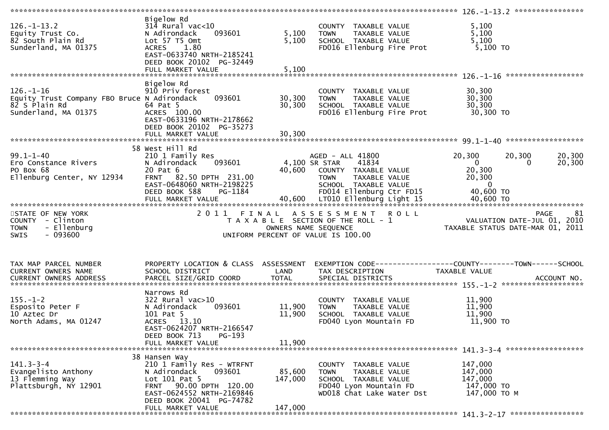| $126. - 1 - 13.2$<br>Equity Trust Co.<br>82 South Plain Rd<br>Sunderland, MA 01375                      | Bigelow Rd<br>$314$ Rural vac<10<br>093601<br>N Adirondack<br>Lot 57 T5 Omt<br>1.80<br><b>ACRES</b><br>EAST-0633740 NRTH-2185241<br>DEED BOOK 20102 PG-32449<br>FULL MARKET VALUE                       | 5,100<br>5,100<br>5,100      | COUNTY TAXABLE VALUE<br><b>TOWN</b><br>TAXABLE VALUE<br>SCHOOL TAXABLE VALUE<br>FD016 Ellenburg Fire Prot                                    | 5,100<br>5,100<br>5,100<br>5,100 TO                                                             |                   |
|---------------------------------------------------------------------------------------------------------|---------------------------------------------------------------------------------------------------------------------------------------------------------------------------------------------------------|------------------------------|----------------------------------------------------------------------------------------------------------------------------------------------|-------------------------------------------------------------------------------------------------|-------------------|
|                                                                                                         |                                                                                                                                                                                                         |                              |                                                                                                                                              |                                                                                                 |                   |
| $126. - 1 - 16$<br>Equity Trust Company FBO Bruce N Adirondack<br>82 S Plain Rd<br>Sunderland, MA 01375 | Bigelow Rd<br>910 Priv forest<br>093601<br>64 Pat 5<br>ACRES 100.00<br>EAST-0633196 NRTH-2178662<br>DEED BOOK 20102 PG-35273                                                                            | 30,300<br>30,300             | COUNTY TAXABLE VALUE<br>TAXABLE VALUE<br>TOWN<br>SCHOOL TAXABLE VALUE<br>FD016 Ellenburg Fire Prot                                           | 30,300<br>30,300<br>30,300<br>30,300 TO                                                         |                   |
|                                                                                                         |                                                                                                                                                                                                         |                              |                                                                                                                                              |                                                                                                 |                   |
| $99.1 - 1 - 40$<br>Ero Constance Rivers<br>PO Box 68<br>Ellenburg Center, NY 12934                      | 58 West Hill Rd<br>210 1 Family Res<br>N Adirondack<br>093601<br>20 Pat 6<br><b>FRNT</b><br>82.50 DPTH 231.00<br>EAST-0648060 NRTH-2198225<br>DEED BOOK 588<br>PG-1184                                  | 4,100 SR STAR                | AGED - ALL 41800<br>41834<br>40,600 COUNTY TAXABLE VALUE<br><b>TOWN</b><br>TAXABLE VALUE<br>SCHOOL TAXABLE VALUE<br>FD014 Ellenburg Ctr FD15 | 20,300<br>20,300<br>$\ddot{\mathbf{0}}$<br>0<br>20,300<br>20,300<br>$\overline{0}$<br>40,600 TO | 20,300<br>20,300  |
|                                                                                                         |                                                                                                                                                                                                         |                              |                                                                                                                                              |                                                                                                 |                   |
| STATE OF NEW YORK<br>COUNTY - Clinton<br>- Ellenburg<br><b>TOWN</b><br><b>SWIS</b><br>- 093600          | 2011 FINAL                                                                                                                                                                                              | OWNERS NAME SEQUENCE         | ASSESSMENT<br><b>ROLL</b><br>T A X A B L E SECTION OF THE ROLL - 1<br>UNIFORM PERCENT OF VALUE IS 100.00                                     | VALUATION DATE-JUL 01, 2010<br>TAXABLE STATUS DATE-MAR 01, 2011                                 | <b>PAGE</b><br>81 |
| TAX MAP PARCEL NUMBER<br>CURRENT OWNERS NAME                                                            | PROPERTY LOCATION & CLASS ASSESSMENT<br>SCHOOL DISTRICT                                                                                                                                                 | LAND                         | TAX DESCRIPTION                                                                                                                              | TAXABLE VALUE                                                                                   |                   |
| $155. - 1 - 2$<br>Esposito Peter F<br>10 Aztec Dr<br>North Adams, MA 01247                              | Narrows Rd<br>322 Rural vac>10<br>093601<br>N Adirondack<br>101 Pat 5<br>ACRES 13.10<br>EAST-0624207 NRTH-2166547<br>PG-193<br>DEED BOOK 713<br>FULL MARKET VALUE                                       | 11,900<br>11,900<br>11,900   | COUNTY TAXABLE VALUE<br>TAXABLE VALUE<br><b>TOWN</b><br>SCHOOL TAXABLE VALUE<br>FD040 Lyon Mountain FD                                       | 11,900<br>11,900<br>11,900<br>11,900 TO                                                         |                   |
|                                                                                                         |                                                                                                                                                                                                         |                              |                                                                                                                                              |                                                                                                 |                   |
| $141.3 - 3 - 4$<br>Evangelisto Anthony<br>13 Flemming Way<br>Plattsburgh, NY 12901                      | 38 Hansen Way<br>210 1 Family Res - WTRFNT<br>093601<br>N Adirondack<br>Lot 101 Pat 5<br>90.00 DPTH 120.00<br><b>FRNT</b><br>EAST-0624552 NRTH-2169846<br>DEED BOOK 20041 PG-74782<br>FULL MARKET VALUE | 85,600<br>147,000<br>147,000 | COUNTY TAXABLE VALUE<br><b>TAXABLE VALUE</b><br><b>TOWN</b><br>SCHOOL TAXABLE VALUE<br>FD040 Lyon Mountain FD<br>WD018 Chat Lake Water Dst   | 147,000<br>147,000<br>147,000<br>147,000 TO<br>147,000 TO M                                     |                   |
|                                                                                                         |                                                                                                                                                                                                         |                              |                                                                                                                                              |                                                                                                 |                   |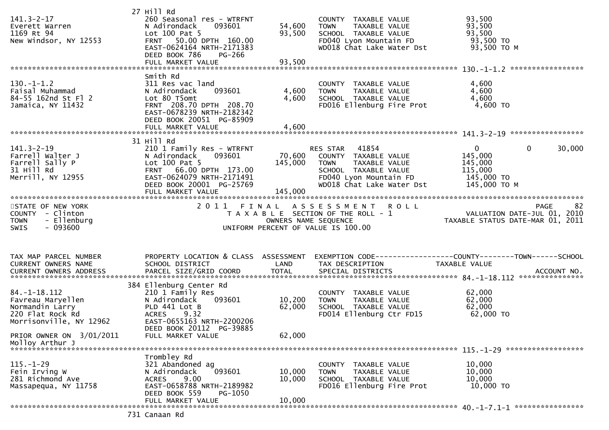| $141.3 - 2 - 17$<br>Everett Warren<br>1169 Rt 94<br>New Windsor, NY 12553                                                        | 27 Hill Rd<br>260 Seasonal res - WTRFNT<br>N Adirondack<br>093601<br>Lot 100 Pat 5<br>FRNT 50.00 DPTH 160.00<br>EAST-0624164 NRTH-2171383<br>DEED BOOK 786<br>PG-266<br>FULL MARKET VALUE  | 54,600<br>93,500<br>93,500 | COUNTY TAXABLE VALUE<br><b>TOWN</b><br>TAXABLE VALUE<br>SCHOOL TAXABLE VALUE<br>FD040 Lyon Mountain FD<br>WD018 Chat Lake Water Dst                   | 93,500<br>93,500<br>93,500<br>93,500 TO<br>93,500 TO M                                      |                   |
|----------------------------------------------------------------------------------------------------------------------------------|--------------------------------------------------------------------------------------------------------------------------------------------------------------------------------------------|----------------------------|-------------------------------------------------------------------------------------------------------------------------------------------------------|---------------------------------------------------------------------------------------------|-------------------|
|                                                                                                                                  |                                                                                                                                                                                            |                            |                                                                                                                                                       |                                                                                             |                   |
| $130.-1-1.2$<br>Faisal Muhammad<br>84-55 162nd St Fl 2<br>Jamaica, NY 11432                                                      | Smith Rd<br>311 Res vac land<br>093601<br>N Adirondack<br>Lot 80 T5omt<br>FRNT 208.70 DPTH 208.70<br>EAST-0678239 NRTH-2182342<br>DEED BOOK 20051 PG-85909<br>FULL MARKET VALUE            | 4,600<br>4,600<br>4,600    | COUNTY TAXABLE VALUE<br>TAXABLE VALUE<br><b>TOWN</b><br>SCHOOL TAXABLE VALUE<br>FD016 Ellenburg Fire Prot                                             | 4,600<br>4,600<br>4,600<br>4,600 TO                                                         |                   |
|                                                                                                                                  |                                                                                                                                                                                            |                            |                                                                                                                                                       |                                                                                             |                   |
| $141.3 - 2 - 19$<br>Farrell Walter J<br>Farrell Sally P<br>31 Hill Rd<br>Merrill, NY 12955                                       | 31 Hill Rd<br>210 1 Family Res - WTRFNT<br>093601<br>N Adirondack<br>Lot 100 Pat 5<br>FRNT 66.00 DPTH 173.00<br>EAST-0624079 NRTH-2171491<br>DEED BOOK 20001 PG-25769<br>FULL MARKET VALUE | 145,000<br>145,000         | 41854<br>RES STAR<br>70,600 COUNTY TAXABLE VALUE<br>TOWN TAXABLE VALUE<br>SCHOOL TAXABLE VALUE<br>FD040 Lyon Mountain FD<br>WD018 Chat Lake Water Dst | $\mathbf{0}$<br>$\mathbf{0}$<br>145,000<br>145,000<br>115,000<br>145,000 TO<br>145,000 TO M | 30,000            |
|                                                                                                                                  |                                                                                                                                                                                            |                            |                                                                                                                                                       |                                                                                             |                   |
| STATE OF NEW YORK<br>COUNTY - Clinton<br>- Ellenburg<br><b>TOWN</b><br>$-093600$<br>SWIS                                         |                                                                                                                                                                                            | OWNERS NAME SEQUENCE       | 2011 FINAL ASSESSMENT ROLL<br>T A X A B L E SECTION OF THE ROLL - 1<br>UNIFORM PERCENT OF VALUE IS 100.00                                             | ں ہے ہی ہے ۔<br>101, VALUATION DATE-JUL 01, 2010<br>101, TAXABLE STATUS DATE-MAR 01, 2011   | 82<br><b>PAGE</b> |
| TAX MAP PARCEL NUMBER<br>CURRENT OWNERS NAME                                                                                     | PROPERTY LOCATION & CLASS ASSESSMENT<br>SCHOOL DISTRICT                                                                                                                                    | LAND                       | EXEMPTION CODE-----------------COUNTY--------TOWN------SCHOOL                                                                                         |                                                                                             |                   |
|                                                                                                                                  |                                                                                                                                                                                            |                            | TAX DESCRIPTION                                                                                                                                       | TAXABLE VALUE                                                                               |                   |
| 84. –1–18.112<br>Favreau Maryellen<br>Normandin Larry<br>220 Flat Rock Rd<br>Morrisonville, NY 12962<br>PRIOR OWNER ON 3/01/2011 | 384 Ellenburg Center Rd<br>210 1 Family Res<br>093601<br>N Adirondack<br>PLD 441 Lot B<br>ACRES 9.32<br>EAST-0655163 NRTH-2200206<br>DEED BOOK 20112 PG-39885<br>FULL MARKET VALUE         | 10,200<br>62,000<br>62,000 | COUNTY TAXABLE VALUE<br><b>TOWN</b><br>TAXABLE VALUE<br>SCHOOL TAXABLE VALUE<br>FD014 Ellenburg Ctr FD15                                              | 62,000<br>62,000<br>62,000<br>62,000 TO                                                     |                   |
| Molloy Arthur J                                                                                                                  |                                                                                                                                                                                            |                            |                                                                                                                                                       |                                                                                             |                   |
| $115. - 1 - 29$<br>Fein Irving W<br>281 Richmond Ave<br>Massapequa, NY 11758                                                     | Trombley Rd<br>321 Abandoned ag<br>093601<br>N Adirondack<br>9.00<br><b>ACRES</b><br>EAST-0658788 NRTH-2189982<br>DEED BOOK 559<br>PG-1050                                                 | 10,000<br>10,000           | COUNTY TAXABLE VALUE<br>TAXABLE VALUE<br><b>TOWN</b><br>SCHOOL TAXABLE VALUE<br>FD016 Ellenburg Fire Prot                                             | 10,000<br>10,000<br>10,000<br>10,000 TO                                                     |                   |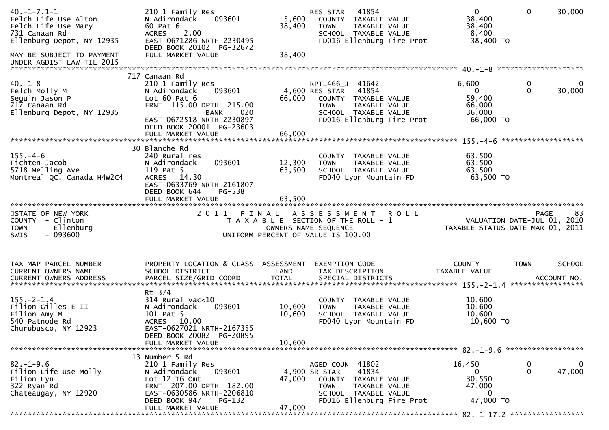| $40. -1 - 7.1 - 1$<br>Felch Life Use Alton<br>Felch Life Use Mary<br>731 Canaan Rd<br>Ellenburg Depot, NY 12935<br>MAY BE SUBJECT TO PAYMENT | 210 1 Family Res<br>093601<br>N Adirondack<br>60 Pat 6<br>2.00<br><b>ACRES</b><br>EAST-0671286 NRTH-2230495<br>DEED BOOK 20102 PG-32672<br>FULL MARKET VALUE                                            | 5,600<br>38,400<br>38,400 | 41854<br>RES STAR<br>COUNTY TAXABLE VALUE<br>TAXABLE VALUE<br><b>TOWN</b><br>SCHOOL TAXABLE VALUE<br>FD016 Ellenburg Fire Prot                          | $\mathbf{0}$<br>38,400<br>38,400<br>8,400<br>38,400 TO             | $\mathbf{0}$<br>30,000           |
|----------------------------------------------------------------------------------------------------------------------------------------------|---------------------------------------------------------------------------------------------------------------------------------------------------------------------------------------------------------|---------------------------|---------------------------------------------------------------------------------------------------------------------------------------------------------|--------------------------------------------------------------------|----------------------------------|
| UNDER AGDIST LAW TIL 2015                                                                                                                    |                                                                                                                                                                                                         |                           |                                                                                                                                                         |                                                                    |                                  |
| $40. -1 - 8$<br>Felch Molly M<br>Seguin Jason P<br>717 Canaan Rd<br>Ellenburg Depot, NY 12935                                                | 717 Canaan Rd<br>210 1 Family Res<br>093601<br>N Adirondack<br>Lot $60$ Pat $6$<br>FRNT 115.00 DPTH 215.00<br>020<br>BANK<br>EAST-0672518 NRTH-2230897<br>DEED BOOK 20001 PG-23603<br>FULL MARKET VALUE | 66,000<br>66,000          | RPTL466_J 41642<br>4,600 RES STAR<br>41854<br>COUNTY TAXABLE VALUE<br>TAXABLE VALUE<br><b>TOWN</b><br>SCHOOL TAXABLE VALUE<br>FD016 Ellenburg Fire Prot | 6,600<br>$\overline{0}$<br>59,400<br>66,000<br>36,000<br>66,000 TO | 0<br>0<br>$\Omega$<br>30,000     |
|                                                                                                                                              | 30 Blanche Rd                                                                                                                                                                                           |                           |                                                                                                                                                         |                                                                    |                                  |
| $155. - 4 - 6$<br>Fichten Jacob<br>5718 Melling Ave<br>Montreal QC, Canada H4W2C4                                                            | 240 Rural res<br>093601<br>N Adirondack<br>119 Pat 5<br>ACRES 14.30<br>EAST-0633769 NRTH-2161807                                                                                                        | 12,300<br>63,500          | COUNTY TAXABLE VALUE<br>TAXABLE VALUE<br><b>TOWN</b><br>SCHOOL TAXABLE VALUE<br>FD040 Lyon Mountain FD                                                  | 63,500<br>63,500<br>63,500<br>63,500 TO                            |                                  |
|                                                                                                                                              | DEED BOOK 644<br>PG-538<br>FULL MARKET VALUE                                                                                                                                                            | 63,500                    |                                                                                                                                                         |                                                                    |                                  |
| STATE OF NEW YORK<br>COUNTY - Clinton<br>- Ellenburg<br><b>TOWN</b><br>$-093600$<br><b>SWIS</b>                                              | 2011 FINAL                                                                                                                                                                                              |                           | ASSESSMENT ROLL<br>T A X A B L E SECTION OF THE ROLL - 1<br>OWNERS NAME SEQUENCE<br>UNIFORM PERCENT OF VALUE IS 100.00                                  | VALUATION DATE-JUL 01, 2010<br>TAXABLE STATUS DATE-MAR 01, 2011    | <b>PAGE</b><br>83                |
| TAX MAP PARCEL NUMBER<br>CURRENT OWNERS NAME                                                                                                 | PROPERTY LOCATION & CLASS ASSESSMENT<br>SCHOOL DISTRICT                                                                                                                                                 | LAND                      | EXEMPTION CODE-----------------COUNTY--------TOWN------SCHOOL<br>TAX DESCRIPTION                                                                        | TAXABLE VALUE                                                      |                                  |
| $155. - 2 - 1.4$<br>Filion Gilles E II<br>Filion Amy M<br>540 Patnode Rd<br>Churubusco, NY 12923                                             | Rt 374<br>$314$ Rural vac< $10$<br>093601<br>N Adirondack<br>101 Pat 5<br>ACRES 10.00<br>EAST-0627021 NRTH-2167355<br>DEED BOOK 20082 PG-20895                                                          | 10,600<br>10,600          | COUNTY TAXABLE VALUE<br><b>TOWN</b><br>TAXABLE VALUE<br>SCHOOL TAXABLE VALUE<br>FD040 Lyon Mountain FD                                                  | 10,600<br>10,600<br>10,600<br>10,600 TO                            |                                  |
|                                                                                                                                              | FULL MARKET VALUE                                                                                                                                                                                       | 10,600                    |                                                                                                                                                         |                                                                    |                                  |
| $82. - 1 - 9.6$<br>Filion Life Use Molly<br>Filion Lyn<br>322 Ryan Rd<br>Chateaugay, NY 12920                                                | 13 Number 5 Rd<br>210 1 Family Res<br>093601<br>N Adirondack<br>Lot 12 T6 Omt<br>FRNT 207.00 DPTH 182.00<br>EAST-0630586 NRTH-2206810<br>DEED BOOK 947<br>$PG-132$<br>FULL MARKET VALUE                 | 47,000                    | AGED COUN 41802<br>41834<br>4,900 SR STAR<br>COUNTY TAXABLE VALUE<br><b>TOWN</b><br>TAXABLE VALUE<br>SCHOOL TAXABLE VALUE<br>FD016 Ellenburg Fire Prot  | 16,450<br>0<br>30,550<br>47,000<br>0<br>47,000 TO                  | 0<br>0<br>47,000<br>$\mathbf{0}$ |
|                                                                                                                                              |                                                                                                                                                                                                         | 47,000                    |                                                                                                                                                         |                                                                    |                                  |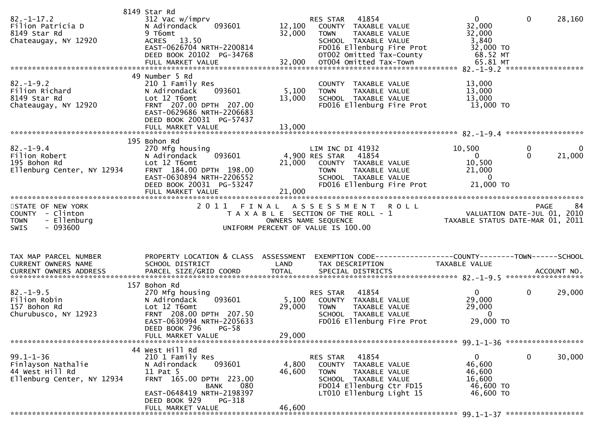| 49 Number 5 Rd<br>$82. - 1 - 9.2$<br>13,000<br>210 1 Family Res<br>COUNTY TAXABLE VALUE<br>Filion Richard<br>093601<br>5,100<br>13,000<br>N Adirondack<br>TAXABLE VALUE<br><b>TOWN</b><br>13,000<br>8149 Star Rd<br>Lot 12 T6omt<br>13,000<br>SCHOOL TAXABLE VALUE<br>FRNT 207.00 DPTH 207.00<br>13,000 TO<br>Chateaugay, NY 12920<br>FD016 Ellenburg Fire Prot<br>EAST-0629686 NRTH-2206683<br>DEED BOOK 20031 PG-57437<br>195 Bohon Rd<br>$82. - 1 - 9.4$<br>270 Mfg housing<br>10,500<br>LIM INC DI 41932<br>0<br>0<br>093601<br>$\Omega$<br>21,000<br>Filion Robert<br>4,900 RES STAR<br>41854<br>N Adirondack<br>$\overline{0}$<br>10,500<br>195 Bohon Rd<br>Lot 12 T6omt<br>21,000<br>COUNTY TAXABLE VALUE<br>Ellenburg Center, NY 12934<br>FRNT 184.00 DPTH 198.00<br>21,000<br>TAXABLE VALUE<br><b>TOWN</b><br>$\mathbf{0}$<br>EAST-0630894 NRTH-2206552<br>SCHOOL TAXABLE VALUE<br>DEED BOOK 20031 PG-53247<br>FD016 Ellenburg Fire Prot<br>21,000 TO<br>21,000<br>FULL MARKET VALUE<br>STATE OF NEW YORK<br>2 0 1 1<br>ASSESSMENT<br><b>ROLL</b><br><b>PAGE</b><br>FINAL<br>84<br>VALUATION DATE-JUL 01, 2010<br>TAXABLE STATUS DATE-MAR 01, 2011<br>COUNTY - Clinton<br>T A X A B L E SECTION OF THE ROLL - 1<br>- Ellenburg<br><b>TOWN</b><br>OWNERS NAME SEQUENCE<br>$-093600$<br>UNIFORM PERCENT OF VALUE IS 100.00<br><b>SWIS</b><br>PROPERTY LOCATION & CLASS ASSESSMENT<br>EXEMPTION CODE-----------------COUNTY--------TOWN------SCHOOL<br>TAX MAP PARCEL NUMBER<br>CURRENT OWNERS NAME<br>SCHOOL DISTRICT<br>LAND<br>TAX DESCRIPTION<br>TAXABLE VALUE<br><b>TOTAL</b><br>SPECIAL DISTRICTS<br>PARCEL SIZE/GRID COORD<br><b>CURRENT OWNERS ADDRESS</b><br>ACCOUNT NO.<br>157 Bohon Rd<br>$82. - 1 - 9.5$<br>270 Mfg housing<br>41854<br>$\mathbf{0}$<br>$\mathbf{0}$<br>29,000<br>RES STAR<br>093601<br>Filion Robin<br>5,100<br>29,000<br>N Adirondack<br>COUNTY TAXABLE VALUE<br>Lot 12 T6omt<br>29,000<br>157 Bohon Rd<br>29,000<br><b>TOWN</b><br>TAXABLE VALUE<br>$\mathbf{0}$<br>Churubusco, NY 12923<br>FRNT 208.00 DPTH 207.50<br>SCHOOL TAXABLE VALUE<br>29,000 TO<br>EAST-0630994 NRTH-2205633<br>FD016 Ellenburg Fire Prot<br>DEED BOOK 796<br>$PG-58$<br>29,000<br>FULL MARKET VALUE<br>44 West Hill Rd<br>0<br>$99.1 - 1 - 36$<br>41854<br>30,000<br>210 1 Family Res<br>RES STAR<br>$\mathbf{0}$<br>Finlayson Nathalie<br>093601<br>4,800<br>46,600<br>N Adirondack<br>COUNTY TAXABLE VALUE<br>44 West Hill Rd<br>46,600<br>11 Pat 5<br>TAXABLE VALUE<br>46,600<br><b>TOWN</b><br>Ellenburg Center, NY 12934<br>FRNT 165.00 DPTH 223.00<br>16,600<br>SCHOOL TAXABLE VALUE<br>46,600 TO<br>080<br>FD014 Ellenburg Ctr FD15<br>BANK<br>EAST-0648419 NRTH-2198397<br>46,600 TO<br>LT010 Ellenburg Light 15<br>DEED BOOK 929<br>PG-318<br>46,600<br>FULL MARKET VALUE | $82. - 1 - 17.2$<br>Filion Patricia D<br>8149 Star Rd<br>Chateaugay, NY 12920 | 8149 Star Rd<br>312 Vac w/imprv<br>N Adirondack<br>093601<br>9 T6omt<br>13.50<br><b>ACRES</b><br>EAST-0626704 NRTH-2200814<br>DEED BOOK 20102 PG-34768<br>FULL MARKET VALUE | 12,100<br>32,000<br>32,000 | 41854<br><b>RES STAR</b><br>COUNTY TAXABLE VALUE<br><b>TOWN</b><br>SCHOOL TAXABLE VALUE | TAXABLE VALUE<br>FD016 Ellenburg Fire Prot<br>OT002 Omitted Tax-County<br>OT004 Omitted Tax-Town | $\mathbf{0}$<br>32,000<br>32,000<br>3,840<br>32,000 TO<br>68.52 MT<br>65.81 MT | $\mathbf{0}$ | 28,160 |
|---------------------------------------------------------------------------------------------------------------------------------------------------------------------------------------------------------------------------------------------------------------------------------------------------------------------------------------------------------------------------------------------------------------------------------------------------------------------------------------------------------------------------------------------------------------------------------------------------------------------------------------------------------------------------------------------------------------------------------------------------------------------------------------------------------------------------------------------------------------------------------------------------------------------------------------------------------------------------------------------------------------------------------------------------------------------------------------------------------------------------------------------------------------------------------------------------------------------------------------------------------------------------------------------------------------------------------------------------------------------------------------------------------------------------------------------------------------------------------------------------------------------------------------------------------------------------------------------------------------------------------------------------------------------------------------------------------------------------------------------------------------------------------------------------------------------------------------------------------------------------------------------------------------------------------------------------------------------------------------------------------------------------------------------------------------------------------------------------------------------------------------------------------------------------------------------------------------------------------------------------------------------------------------------------------------------------------------------------------------------------------------------------------------------------------------------------------------------------------------------------------------------------------------------------------------------------------------------------------------------------------------------------------------------------------------------------------------------------------------------------------------------------------------------------|-------------------------------------------------------------------------------|-----------------------------------------------------------------------------------------------------------------------------------------------------------------------------|----------------------------|-----------------------------------------------------------------------------------------|--------------------------------------------------------------------------------------------------|--------------------------------------------------------------------------------|--------------|--------|
|                                                                                                                                                                                                                                                                                                                                                                                                                                                                                                                                                                                                                                                                                                                                                                                                                                                                                                                                                                                                                                                                                                                                                                                                                                                                                                                                                                                                                                                                                                                                                                                                                                                                                                                                                                                                                                                                                                                                                                                                                                                                                                                                                                                                                                                                                                                                                                                                                                                                                                                                                                                                                                                                                                                                                                                                   |                                                                               |                                                                                                                                                                             |                            |                                                                                         |                                                                                                  |                                                                                |              |        |
|                                                                                                                                                                                                                                                                                                                                                                                                                                                                                                                                                                                                                                                                                                                                                                                                                                                                                                                                                                                                                                                                                                                                                                                                                                                                                                                                                                                                                                                                                                                                                                                                                                                                                                                                                                                                                                                                                                                                                                                                                                                                                                                                                                                                                                                                                                                                                                                                                                                                                                                                                                                                                                                                                                                                                                                                   |                                                                               |                                                                                                                                                                             |                            |                                                                                         |                                                                                                  |                                                                                |              |        |
|                                                                                                                                                                                                                                                                                                                                                                                                                                                                                                                                                                                                                                                                                                                                                                                                                                                                                                                                                                                                                                                                                                                                                                                                                                                                                                                                                                                                                                                                                                                                                                                                                                                                                                                                                                                                                                                                                                                                                                                                                                                                                                                                                                                                                                                                                                                                                                                                                                                                                                                                                                                                                                                                                                                                                                                                   |                                                                               |                                                                                                                                                                             |                            |                                                                                         |                                                                                                  |                                                                                |              |        |
|                                                                                                                                                                                                                                                                                                                                                                                                                                                                                                                                                                                                                                                                                                                                                                                                                                                                                                                                                                                                                                                                                                                                                                                                                                                                                                                                                                                                                                                                                                                                                                                                                                                                                                                                                                                                                                                                                                                                                                                                                                                                                                                                                                                                                                                                                                                                                                                                                                                                                                                                                                                                                                                                                                                                                                                                   |                                                                               |                                                                                                                                                                             |                            |                                                                                         |                                                                                                  |                                                                                |              |        |
|                                                                                                                                                                                                                                                                                                                                                                                                                                                                                                                                                                                                                                                                                                                                                                                                                                                                                                                                                                                                                                                                                                                                                                                                                                                                                                                                                                                                                                                                                                                                                                                                                                                                                                                                                                                                                                                                                                                                                                                                                                                                                                                                                                                                                                                                                                                                                                                                                                                                                                                                                                                                                                                                                                                                                                                                   |                                                                               |                                                                                                                                                                             |                            |                                                                                         |                                                                                                  |                                                                                |              |        |
|                                                                                                                                                                                                                                                                                                                                                                                                                                                                                                                                                                                                                                                                                                                                                                                                                                                                                                                                                                                                                                                                                                                                                                                                                                                                                                                                                                                                                                                                                                                                                                                                                                                                                                                                                                                                                                                                                                                                                                                                                                                                                                                                                                                                                                                                                                                                                                                                                                                                                                                                                                                                                                                                                                                                                                                                   |                                                                               |                                                                                                                                                                             |                            |                                                                                         |                                                                                                  |                                                                                |              |        |
|                                                                                                                                                                                                                                                                                                                                                                                                                                                                                                                                                                                                                                                                                                                                                                                                                                                                                                                                                                                                                                                                                                                                                                                                                                                                                                                                                                                                                                                                                                                                                                                                                                                                                                                                                                                                                                                                                                                                                                                                                                                                                                                                                                                                                                                                                                                                                                                                                                                                                                                                                                                                                                                                                                                                                                                                   |                                                                               |                                                                                                                                                                             |                            |                                                                                         |                                                                                                  |                                                                                |              |        |
|                                                                                                                                                                                                                                                                                                                                                                                                                                                                                                                                                                                                                                                                                                                                                                                                                                                                                                                                                                                                                                                                                                                                                                                                                                                                                                                                                                                                                                                                                                                                                                                                                                                                                                                                                                                                                                                                                                                                                                                                                                                                                                                                                                                                                                                                                                                                                                                                                                                                                                                                                                                                                                                                                                                                                                                                   |                                                                               |                                                                                                                                                                             |                            |                                                                                         |                                                                                                  |                                                                                |              |        |
|                                                                                                                                                                                                                                                                                                                                                                                                                                                                                                                                                                                                                                                                                                                                                                                                                                                                                                                                                                                                                                                                                                                                                                                                                                                                                                                                                                                                                                                                                                                                                                                                                                                                                                                                                                                                                                                                                                                                                                                                                                                                                                                                                                                                                                                                                                                                                                                                                                                                                                                                                                                                                                                                                                                                                                                                   |                                                                               |                                                                                                                                                                             |                            |                                                                                         |                                                                                                  |                                                                                |              |        |
|                                                                                                                                                                                                                                                                                                                                                                                                                                                                                                                                                                                                                                                                                                                                                                                                                                                                                                                                                                                                                                                                                                                                                                                                                                                                                                                                                                                                                                                                                                                                                                                                                                                                                                                                                                                                                                                                                                                                                                                                                                                                                                                                                                                                                                                                                                                                                                                                                                                                                                                                                                                                                                                                                                                                                                                                   |                                                                               |                                                                                                                                                                             |                            |                                                                                         |                                                                                                  |                                                                                |              |        |
|                                                                                                                                                                                                                                                                                                                                                                                                                                                                                                                                                                                                                                                                                                                                                                                                                                                                                                                                                                                                                                                                                                                                                                                                                                                                                                                                                                                                                                                                                                                                                                                                                                                                                                                                                                                                                                                                                                                                                                                                                                                                                                                                                                                                                                                                                                                                                                                                                                                                                                                                                                                                                                                                                                                                                                                                   |                                                                               |                                                                                                                                                                             |                            |                                                                                         |                                                                                                  |                                                                                |              |        |
|                                                                                                                                                                                                                                                                                                                                                                                                                                                                                                                                                                                                                                                                                                                                                                                                                                                                                                                                                                                                                                                                                                                                                                                                                                                                                                                                                                                                                                                                                                                                                                                                                                                                                                                                                                                                                                                                                                                                                                                                                                                                                                                                                                                                                                                                                                                                                                                                                                                                                                                                                                                                                                                                                                                                                                                                   |                                                                               |                                                                                                                                                                             |                            |                                                                                         |                                                                                                  |                                                                                |              |        |
|                                                                                                                                                                                                                                                                                                                                                                                                                                                                                                                                                                                                                                                                                                                                                                                                                                                                                                                                                                                                                                                                                                                                                                                                                                                                                                                                                                                                                                                                                                                                                                                                                                                                                                                                                                                                                                                                                                                                                                                                                                                                                                                                                                                                                                                                                                                                                                                                                                                                                                                                                                                                                                                                                                                                                                                                   |                                                                               |                                                                                                                                                                             |                            |                                                                                         |                                                                                                  |                                                                                |              |        |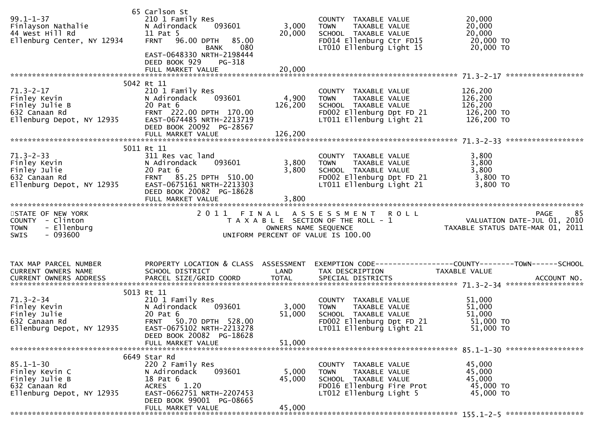| $99.1 - 1 - 37$<br>Finlayson Nathalie<br>44 West Hill Rd<br>Ellenburg Center, NY 12934                                | 65 Carlson St<br>210 1 Family Res<br>093601<br>N Adirondack<br>11 Pat 5<br>96.00 DPTH<br>85.00<br><b>FRNT</b><br>080<br>BANK<br>EAST-0648330 NRTH-2198444<br>DEED BOOK 929<br>PG-318<br>FULL MARKET VALUE | 3,000<br>20,000<br>20,000   | COUNTY TAXABLE VALUE<br>TAXABLE VALUE<br><b>TOWN</b><br>SCHOOL TAXABLE VALUE<br>FD014 Ellenburg Ctr FD15<br>LT010 Ellenburg Light 15  | 20,000<br>20,000<br>20,000<br>20,000 TO<br>20,000 TO                                                                                                                                 |
|-----------------------------------------------------------------------------------------------------------------------|-----------------------------------------------------------------------------------------------------------------------------------------------------------------------------------------------------------|-----------------------------|---------------------------------------------------------------------------------------------------------------------------------------|--------------------------------------------------------------------------------------------------------------------------------------------------------------------------------------|
|                                                                                                                       |                                                                                                                                                                                                           |                             |                                                                                                                                       |                                                                                                                                                                                      |
| $71.3 - 2 - 17$<br>Finley Kevin<br>Finley Julie B<br>632 Canaan Rd<br>Ellenburg Depot, NY 12935                       | 5042 Rt 11<br>210 1 Family Res<br>N Adirondack<br>093601<br>20 Pat 6<br>FRNT 222.00 DPTH 170.00<br>EAST-0674485 NRTH-2213719<br>DEED BOOK 20092 PG-28567<br>FULL MARKET VALUE                             | 4,900<br>126,200<br>126,200 | COUNTY TAXABLE VALUE<br>TAXABLE VALUE<br><b>TOWN</b><br>SCHOOL TAXABLE VALUE<br>FD002 Ellenburg Dpt FD 21<br>LT011 Ellenburg Light 21 | 126,200<br>126,200<br>126,200<br>126,200 TO<br>126,200 TO                                                                                                                            |
|                                                                                                                       |                                                                                                                                                                                                           |                             |                                                                                                                                       |                                                                                                                                                                                      |
| $71.3 - 2 - 33$<br>Finley Kevin<br>Finley Julie<br>632 Canaan Rd<br>Ellenburg Depot, NY 12935                         | 5011 Rt 11<br>311 Res vac land<br>093601<br>N Adirondack<br>20 Pat 6<br>FRNT 85.25 DPTH 510.00<br>EAST-0675161 NRTH-2213303<br>DEED BOOK 20082 PG-18628                                                   | 3,800<br>3,800              | COUNTY TAXABLE VALUE<br>TAXABLE VALUE<br>TOWN<br>SCHOOL TAXABLE VALUE<br>FD002 Ellenburg Dpt FD 21<br>LT011 Ellenburg Light 21        | 3,800<br>3,800<br>3,800<br>3,800 TO<br>3,800 TO                                                                                                                                      |
| STATE OF NEW YORK<br>COUNTY - Clinton<br>- Ellenburg<br><b>TOWN</b><br>$-093600$<br>SWIS                              |                                                                                                                                                                                                           |                             | 2011 FINAL ASSESSMENT ROLL<br>UNIFORM PERCENT OF VALUE IS 100.00                                                                      | 85<br><b>PAGE</b><br>לא PAGE 8 S E S S M E N T R O L L<br>T A X A B L E SECTION OF THE ROLL - 1 VALUATION DATE-JUL 01, 2010<br>OWNERS NAME SEQUENCE TAXABLE STATUS DATE-MAR 01, 2011 |
| TAX MAP PARCEL NUMBER<br><b>CURRENT OWNERS NAME</b>                                                                   | PROPERTY LOCATION & CLASS ASSESSMENT<br>SCHOOL DISTRICT                                                                                                                                                   | LAND                        | TAX DESCRIPTION                                                                                                                       | EXEMPTION CODE-----------------COUNTY--------TOWN------SCHOOL<br>TAXABLE VALUE                                                                                                       |
| $71.3 - 2 - 34$<br>$\frac{2}{\sqrt{1}}$<br>Finley Kevin<br>Finley Julie<br>632 Canaan Rd<br>Ellenburg Depot, NY 12935 | 5013 Rt 11<br>210 1 Family Res<br>093601<br>N Adirondack<br>20 Pat 6<br>FRNT 50.70 DPTH 528.00<br>EAST-0675102 NRTH-2213278<br>DEED BOOK 20082 PG-18628                                                   | 3,000<br>51,000             | COUNTY TAXABLE VALUE<br>TAXABLE VALUE<br><b>TOWN</b><br>SCHOOL TAXABLE VALUE<br>FD002 Ellenburg Dpt FD 21<br>LT011 Ellenburg Light 21 | 51,000<br>51,000<br>51,000<br>51,000 TO<br>51,000 TO                                                                                                                                 |
|                                                                                                                       | FULL MARKET VALUE                                                                                                                                                                                         | 51,000                      |                                                                                                                                       |                                                                                                                                                                                      |
| $85.1 - 1 - 30$<br>Finley Kevin C<br>Finley Julie B<br>632 Canaan Rd<br>Ellenburg Depot, NY 12935                     | 6649 Star Rd<br>220 2 Family Res<br>093601<br>N Adirondack<br>18 Pat 6<br><b>ACRES</b><br>1.20<br>EAST-0662751 NRTH-2207453<br>DEED BOOK 99001 PG-08665<br>FULL MARKET VALUE                              | 5,000<br>45,000<br>45,000   | COUNTY TAXABLE VALUE<br>TAXABLE VALUE<br>TOWN<br>SCHOOL TAXABLE VALUE<br>FD016 Ellenburg Fire Prot<br>LT012 Ellenburg Light 5         | 45,000<br>45,000<br>45,000<br>45,000 TO<br>45,000 TO                                                                                                                                 |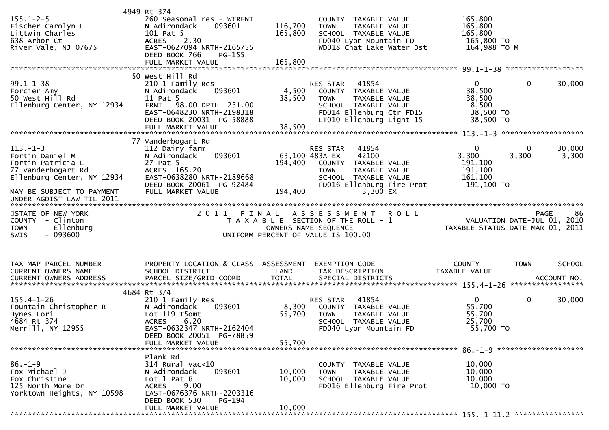|                                            | 4949 Rt 374                                   |                    |                                                                     |                                                                 |                    |
|--------------------------------------------|-----------------------------------------------|--------------------|---------------------------------------------------------------------|-----------------------------------------------------------------|--------------------|
| $155.1 - 2 - 5$                            | 260 Seasonal res - WTRFNT                     |                    | COUNTY TAXABLE VALUE                                                | 165,800                                                         |                    |
| Fischer Carolyn L<br>Littwin Charles       | N Adirondack<br>093601<br>101 Pat 5           | 116,700<br>165,800 | TAXABLE VALUE<br><b>TOWN</b><br>SCHOOL TAXABLE VALUE                | 165,800<br>165,800                                              |                    |
| 638 Arbor Ct                               | 2.30<br><b>ACRES</b>                          |                    | FD040 Lyon Mountain FD                                              | 165,800 TO                                                      |                    |
| River Vale, NJ 07675                       | EAST-0627094 NRTH-2165755                     |                    | WD018 Chat Lake Water Dst                                           | 164,988 ТО М                                                    |                    |
|                                            | DEED BOOK 766<br>PG-155                       |                    |                                                                     |                                                                 |                    |
|                                            |                                               |                    |                                                                     |                                                                 |                    |
|                                            |                                               |                    |                                                                     |                                                                 |                    |
| $99.1 - 1 - 38$                            | 50 West Hill Rd<br>210 1 Family Res           |                    | 41854<br>RES STAR                                                   | $\mathbf{0}$                                                    | $\Omega$<br>30,000 |
| Forcier Amy                                | 093601<br>N Adirondack                        | 4,500              | COUNTY TAXABLE VALUE                                                | 38,500                                                          |                    |
| 50 West Hill Rd                            | 11 Pat 5                                      | 38,500             | <b>TOWN</b><br>TAXABLE VALUE                                        | 38,500                                                          |                    |
| Ellenburg Center, NY 12934                 | FRNT 98.00 DPTH 231.00                        |                    | SCHOOL TAXABLE VALUE                                                | 8,500                                                           |                    |
|                                            | EAST-0648230 NRTH-2198318                     |                    | FD014 Ellenburg Ctr FD15                                            | 38,500 TO                                                       |                    |
|                                            | DEED BOOK 20031 PG-58888                      |                    | LT010 Ellenburg Light 15                                            | 38,500 TO                                                       |                    |
|                                            |                                               |                    |                                                                     |                                                                 |                    |
|                                            | 77 Vanderbogart Rd                            |                    |                                                                     |                                                                 |                    |
| $113. - 1 - 3$                             | 112 Dairy farm                                |                    | RES STAR<br>41854                                                   | $\mathbf{0}$                                                    | 30,000<br>0        |
| Fortin Daniel M                            | 093601<br>N Adirondack                        |                    | 63,100 483A EX<br>42100                                             | 3,300                                                           | 3,300<br>3,300     |
| Fortin Patricia L                          | 27 Pat 5                                      | 194,400            | COUNTY TAXABLE VALUE                                                | 191,100                                                         |                    |
| 77 Vanderbogart Rd                         | ACRES 165.20                                  |                    | TAXABLE VALUE<br><b>TOWN</b>                                        | 191,100                                                         |                    |
| Ellenburg Center, NY 12934                 | EAST-0638280 NRTH-2189668                     |                    | SCHOOL TAXABLE VALUE                                                | 161,100                                                         |                    |
| MAY BE SUBJECT TO PAYMENT                  | DEED BOOK 20061 PG-92484<br>FULL MARKET VALUE |                    | FD016 Ellenburg Fire Prot<br>3,300 EX                               | 191,100 TO                                                      |                    |
|                                            |                                               | 194,400            |                                                                     |                                                                 |                    |
|                                            |                                               |                    |                                                                     |                                                                 |                    |
| STATE OF NEW YORK                          |                                               |                    |                                                                     |                                                                 | 86                 |
|                                            |                                               |                    | 2011 FINAL ASSESSMENT ROLL                                          |                                                                 | <b>PAGE</b>        |
| COUNTY - Clinton                           |                                               |                    | T A X A B L E SECTION OF THE ROLL - 1                               |                                                                 |                    |
| - Ellenburg<br><b>TOWN</b>                 |                                               |                    | OWNERS NAME SEQUENCE                                                | VALUATION DATE-JUL 01, 2010<br>TAXABLE STATUS DATE-MAR 01, 2011 |                    |
| SWIS<br>$-093600$                          |                                               |                    | UNIFORM PERCENT OF VALUE IS 100.00                                  |                                                                 |                    |
|                                            |                                               |                    |                                                                     |                                                                 |                    |
|                                            |                                               |                    |                                                                     |                                                                 |                    |
| TAX MAP PARCEL NUMBER                      | PROPERTY LOCATION & CLASS ASSESSMENT          |                    | EXEMPTION        CODE-----------------COUNTY-------TOWN------SCHOOL |                                                                 |                    |
| CURRENT OWNERS NAME                        | SCHOOL DISTRICT                               | LAND               | TAX DESCRIPTION                                                     | TAXABLE VALUE                                                   |                    |
| CURRENT OWNERS ADDRESS                     |                                               |                    |                                                                     |                                                                 |                    |
|                                            |                                               |                    |                                                                     |                                                                 |                    |
|                                            | 4684 Rt 374                                   |                    |                                                                     |                                                                 | $\mathbf 0$        |
| $155.4 - 1 - 26$<br>Fountain Christopher R | 210 1 Family Res<br>N Adirondack<br>093601    | 8,300              | RES STAR<br>41854<br>COUNTY TAXABLE VALUE                           | $\overline{0}$<br>55,700                                        | 30,000             |
| Hynes Lori                                 | Lot 119 T5omt                                 | 55,700             | <b>TOWN</b><br>TAXABLE VALUE                                        | 55,700                                                          |                    |
| 4684 Rt 374                                | <b>ACRES</b><br>6.20                          |                    | SCHOOL TAXABLE VALUE                                                | 25,700                                                          |                    |
| Merrill, NY 12955                          | EAST-0632347 NRTH-2162404                     |                    | FD040 Lyon Mountain FD                                              | 55,700 TO                                                       |                    |
|                                            | DEED BOOK 20051 PG-78859                      |                    |                                                                     |                                                                 |                    |
|                                            | FULL MARKET VALUE                             | 55,700             |                                                                     |                                                                 |                    |
|                                            | Plank Rd                                      |                    |                                                                     |                                                                 |                    |
| $86. - 1 - 9$                              | 314 Rural vac<10                              |                    | COUNTY TAXABLE VALUE                                                | 10,000                                                          |                    |
| Fox Michael J                              | 093601<br>N Adirondack                        | 10,000             | TAXABLE VALUE<br><b>TOWN</b>                                        | 10,000                                                          |                    |
| Fox Christine                              | Lot $1$ Pat $6$                               | 10,000             | SCHOOL TAXABLE VALUE                                                | 10,000                                                          |                    |
| 125 North More Dr                          | 9.00<br><b>ACRES</b>                          |                    | FD016 Ellenburg Fire Prot                                           | 10,000 TO                                                       |                    |
| Yorktown Heights, NY 10598                 | EAST-0676376 NRTH-2203316                     |                    |                                                                     |                                                                 |                    |
|                                            | DEED BOOK 530<br>PG-194<br>FULL MARKET VALUE  | 10,000             |                                                                     |                                                                 |                    |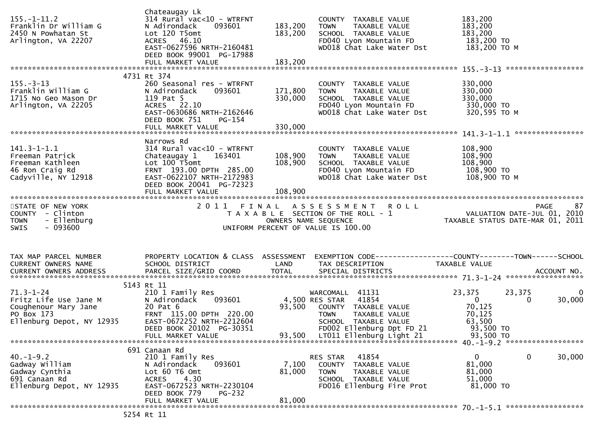| $155. - 1 - 11.2$<br>Franklin Dr William G<br>2450 N Powhatan St<br>Arlington, VA 22207                     | Chateaugay Lk<br>$314$ Rural vac< $10$ - WTRFNT<br>093601<br>N Adirondack<br>Lot 120 T5omt<br>ACRES 46.10<br>EAST-0627596 NRTH-2160481<br>DEED BOOK 99001 PG-17988                          | 183,200<br>183,200                 | COUNTY TAXABLE VALUE<br>TAXABLE VALUE<br><b>TOWN</b><br>SCHOOL TAXABLE VALUE<br>FD040 Lyon Mountain FD<br>WD018 Chat Lake Water Dst                               | 183,200<br>183,200<br>183,200<br>183,200 TO<br>183,200 ТО М                                                                     |
|-------------------------------------------------------------------------------------------------------------|---------------------------------------------------------------------------------------------------------------------------------------------------------------------------------------------|------------------------------------|-------------------------------------------------------------------------------------------------------------------------------------------------------------------|---------------------------------------------------------------------------------------------------------------------------------|
| $155. - 3 - 13$<br>Franklin William G<br>1715 No Geo Mason Dr<br>Arlington, VA 22205                        | 4731 Rt 374<br>260 Seasonal res - WTRFNT<br>093601<br>N Adirondack<br>119 Pat 5<br>ACRES 22.10<br>EAST-0630686 NRTH-2162646<br>DEED BOOK 751<br>PG-154<br>FULL MARKET VALUE                 | 171,800<br>330,000<br>330,000      | COUNTY TAXABLE VALUE<br><b>TOWN</b><br>TAXABLE VALUE<br>SCHOOL TAXABLE VALUE<br>FD040 Lyon Mountain FD<br>WD018 Chat Lake Water Dst                               | 330,000<br>330,000<br>330,000<br>330,000 TO<br>320,595 TO M<br>****************                                                 |
| $141.3 - 1 - 1.1$<br>Freeman Patrick<br>Freeman Kathleen<br>46 Ron Craig Rd<br>Cadyville, NY 12918          | Narrows Rd<br>314 Rural vac<10 - WTRFNT<br>Chateaugay 1<br>163401<br>Lot 100 T5omt<br>FRNT 193.00 DPTH 285.00<br>EAST-0622107 NRTH-2172983<br>DEED BOOK 20041 PG-72323<br>FULL MARKET VALUE | 108,900<br>108,900<br>108,900      | COUNTY TAXABLE VALUE<br><b>TOWN</b><br>TAXABLE VALUE<br>SCHOOL TAXABLE VALUE<br>FD040 Lyon Mountain FD<br>WD018 Chat Lake Water Dst                               | 108,900<br>108,900<br>108,900<br>108,900 TO<br>108,900 ТО М                                                                     |
| STATE OF NEW YORK<br>COUNTY - Clinton<br>- Ellenburg<br><b>TOWN</b><br>$-093600$<br><b>SWIS</b>             |                                                                                                                                                                                             | OWNERS NAME SEQUENCE               | 2011 FINAL ASSESSMENT ROLL<br>T A X A B L E SECTION OF THE ROLL - 1<br>UNIFORM PERCENT OF VALUE IS 100.00                                                         | 87<br>PAGE<br>VALUATION DATE-JUL 01, 2010<br>TAXABLE STATUS DATE-MAR 01, 2011                                                   |
| TAX MAP PARCEL NUMBER<br>CURRENT OWNERS NAME                                                                | PROPERTY LOCATION & CLASS ASSESSMENT<br>SCHOOL DISTRICT                                                                                                                                     | LAND                               | TAX DESCRIPTION                                                                                                                                                   | EXEMPTION CODE------------------COUNTY--------TOWN------SCHOOL<br>TAXABLE VALUE                                                 |
| $71.3 - 1 - 24$<br>Fritz Life Use Jane M<br>Coughenour Mary Jane<br>PO Box 173<br>Ellenburg Depot, NY 12935 | 5143 Rt 11<br>210 1 Family Res<br>N Adirondack<br>093601<br>20 Pat 6<br>FRNT 115.00 DPTH 220.00<br>EAST-0672252 NRTH-2212604<br>DEED BOOK 20102 PG-30351<br>FULL MARKET VALUE               | 4,500 RES STAR<br>93,500<br>93,500 | WARCOMALL 41131<br>41854<br>COUNTY TAXABLE VALUE<br><b>TOWN</b><br>TAXABLE VALUE<br>SCHOOL TAXABLE VALUE<br>FD002 Ellenburg Dpt FD 21<br>LT011 Ellenburg Light 21 | $\mathbf 0$<br>23,375<br>23,375<br>$\overline{0}$<br>30,000<br>$\Omega$<br>70,125<br>70,125<br>63,500<br>93,500 TO<br>93,500 TO |
| $40. - 1 - 9.2$<br>Gadway William<br>Gadway Cynthia<br>691 Canaan Rd<br>Ellenburg Depot, NY 12935           | 691 Canaan Rd<br>210 1 Family Res<br>093601<br>N Adirondack<br>Lot 60 T6 Omt<br>4.30<br><b>ACRES</b><br>EAST-0672523 NRTH-2230104<br>DEED BOOK 779<br><b>PG-232</b><br>FULL MARKET VALUE    | 7,100<br>81,000<br>81,000          | 41854<br>RES STAR<br><b>COUNTY</b><br>TAXABLE VALUE<br><b>TOWN</b><br>TAXABLE VALUE<br>SCHOOL TAXABLE VALUE<br>FD016 Ellenburg Fire Prot                          | $\mathbf{0}$<br>0<br>30,000<br>81,000<br>81,000<br>51,000<br>81,000 TO                                                          |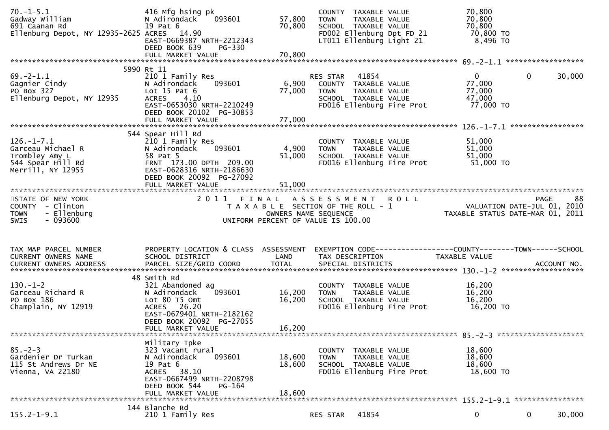| $70. - 1 - 5.1$<br>Gadway William<br>691 Caanan Rd<br>Ellenburg Depot, NY 12935-2625 ACRES 14.90  | 416 Mfg hsing pk<br>N Adirondack<br>093601<br>19 Pat 6<br>EAST-0669387 NRTH-2212343<br>DEED BOOK 639<br>PG-330                                                      | 57,800<br>70,800           | COUNTY TAXABLE VALUE<br>TAXABLE VALUE<br><b>TOWN</b><br>SCHOOL TAXABLE VALUE<br>FD002 Ellenburg Dpt FD 21<br>LT011 Ellenburg Light 21 | 70,800<br>70,800<br>70,800<br>70,800 TO<br>8,496 то                            |        |
|---------------------------------------------------------------------------------------------------|---------------------------------------------------------------------------------------------------------------------------------------------------------------------|----------------------------|---------------------------------------------------------------------------------------------------------------------------------------|--------------------------------------------------------------------------------|--------|
|                                                                                                   | 5990 Rt 11                                                                                                                                                          |                            |                                                                                                                                       |                                                                                |        |
| $69. - 2 - 1.1$<br>Gagnier Cindy<br>PO Box 327<br>Ellenburg Depot, NY 12935                       | 210 1 Family Res<br>N Adirondack<br>093601<br>Lot $15$ Pat $6$<br><b>ACRES</b><br>4.10<br>EAST-0653030 NRTH-2210249<br>DEED BOOK 20102 PG-30853                     | 6,900<br>77,000            | 41854<br>RES STAR<br>COUNTY TAXABLE VALUE<br>TAXABLE VALUE<br>TOWN<br>SCHOOL TAXABLE VALUE<br>FD016 Ellenburg Fire Prot               | $\mathbf{0}$<br>$\mathbf 0$<br>77,000<br>77,000<br>47,000<br>77,000 TO         | 30,000 |
|                                                                                                   | 544 Spear Hill Rd                                                                                                                                                   |                            |                                                                                                                                       |                                                                                |        |
| $126. - 1 - 7.1$<br>Garceau Michael R<br>Trombley Amy L<br>544 Spear Hill Rd<br>Merrill, NY 12955 | 210 1 Family Res<br>N Adirondack<br>093601<br>58 Pat 5<br>FRNT 173.00 DPTH 209.00<br>EAST-0628316 NRTH-2186630<br>DEED BOOK 20092 PG-27092<br>FULL MARKET VALUE     | 4,900<br>51,000<br>51,000  | COUNTY TAXABLE VALUE<br><b>TOWN</b><br>TAXABLE VALUE<br>SCHOOL TAXABLE VALUE<br>FD016 Ellenburg Fire Prot                             | 51,000<br>51,000<br>51,000<br>51,000 TO                                        |        |
|                                                                                                   |                                                                                                                                                                     |                            |                                                                                                                                       |                                                                                |        |
| STATE OF NEW YORK<br>COUNTY - Clinton<br>- Ellenburg<br><b>TOWN</b><br>$-093600$<br>SWIS          |                                                                                                                                                                     | OWNERS NAME SEQUENCE       | 2011 FINAL ASSESSMENT ROLL<br>T A X A B L E SECTION OF THE ROLL - 1<br>UNIFORM PERCENT OF VALUE IS 100.00                             | <b>PAGE</b><br>VALUATION DATE-JUL 01, 2010<br>TAXABLE STATUS DATE-MAR 01, 2011 | 88     |
|                                                                                                   |                                                                                                                                                                     |                            |                                                                                                                                       |                                                                                |        |
|                                                                                                   |                                                                                                                                                                     |                            |                                                                                                                                       |                                                                                |        |
| TAX MAP PARCEL NUMBER<br>CURRENT OWNERS NAME                                                      | PROPERTY LOCATION & CLASS ASSESSMENT<br>SCHOOL DISTRICT                                                                                                             | LAND                       | TAX DESCRIPTION                                                                                                                       | EXEMPTION CODE-----------------COUNTY-------TOWN------SCHOOL<br>TAXABLE VALUE  |        |
|                                                                                                   |                                                                                                                                                                     |                            |                                                                                                                                       |                                                                                |        |
| $130. - 1 - 2$<br>Garceau Richard R<br>PO Box 186<br>Champlain, NY 12919                          | 48 Smith Rd<br>321 Abandoned ag<br>093601<br>N Adirondack<br>Lot 80 T5 Omt<br>ACRES 26.20<br>EAST-0679401 NRTH-2182162<br>DEED BOOK 20092 PG-27055                  | 16,200<br>16,200           | COUNTY TAXABLE VALUE<br>TAXABLE VALUE<br><b>TOWN</b><br>SCHOOL TAXABLE VALUE<br>FD016 Ellenburg Fire Prot                             | 16,200<br>16,200<br>16,200<br>16,200 TO                                        |        |
|                                                                                                   | FULL MARKET VALUE                                                                                                                                                   | 16,200                     |                                                                                                                                       |                                                                                |        |
| $85 - 2 - 3$<br>Gardenier Dr Turkan<br>115 St Andrews Dr NE<br>Vienna, VA 22180                   | Military Tpke<br>323 Vacant rural<br>093601<br>N Adirondack<br>19 Pat 6<br>ACRES 38.10<br>EAST-0667499 NRTH-2208798<br>DEED BOOK 544<br>PG-164<br>FULL MARKET VALUE | 18,600<br>18,600<br>18,600 | COUNTY TAXABLE VALUE<br>TAXABLE VALUE<br><b>TOWN</b><br>SCHOOL TAXABLE VALUE<br>FD016 Ellenburg Fire Prot                             | 18,600<br>18,600<br>18,600<br>18,600 TO                                        |        |
|                                                                                                   | 144 Blanche Rd                                                                                                                                                      |                            |                                                                                                                                       |                                                                                |        |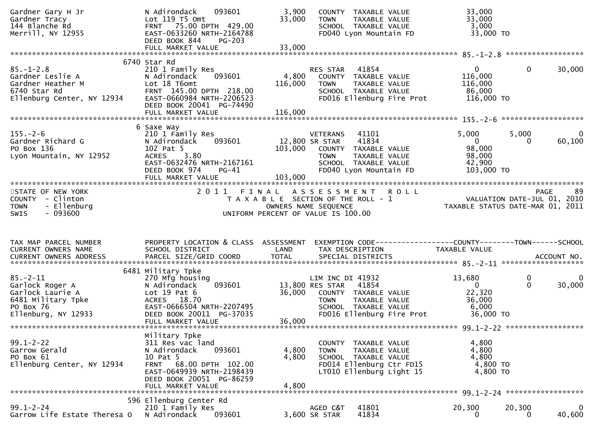| Gardner Gary H Jr<br>Gardner Tracy<br>144 Blanche Rd<br>Merrill, NY 12955                                      | 093601<br>N Adirondack<br>Lot 119 T5 Omt<br>FRNT 75.00 DPTH 429.00<br>EAST-0633260 NRTH-2164788<br>DEED BOOK 844<br><b>PG-203</b>                                                         | 3,900<br>33,000                                                             | <b>TOWN</b>                                        | COUNTY TAXABLE VALUE<br>TAXABLE VALUE<br>SCHOOL TAXABLE VALUE<br>FD040 Lyon Mountain FD                        | 33,000<br>33,000<br>3,000<br>33,000 TO                                                           |                       |                        |
|----------------------------------------------------------------------------------------------------------------|-------------------------------------------------------------------------------------------------------------------------------------------------------------------------------------------|-----------------------------------------------------------------------------|----------------------------------------------------|----------------------------------------------------------------------------------------------------------------|--------------------------------------------------------------------------------------------------|-----------------------|------------------------|
|                                                                                                                |                                                                                                                                                                                           |                                                                             |                                                    |                                                                                                                |                                                                                                  |                       |                        |
| $85. - 1 - 2.8$<br>Gardner Leslie A<br>Gardner Heather M<br>6740 Star Rd<br>Ellenburg Center, NY 12934         | 6740 Star Rd<br>210 1 Family Res<br>093601<br>N Adirondack<br>Lot 18 T6omt<br>FRNT 145.00 DPTH 218.00<br>EAST-0660984 NRTH-2206523<br>DEED BOOK 20041 PG-74490<br>FULL MARKET VALUE       | 4,800<br>116,000<br>116,000                                                 | RES STAR<br>TOWN                                   | 41854<br>COUNTY TAXABLE VALUE<br>TAXABLE VALUE<br>SCHOOL TAXABLE VALUE<br>FD016 Ellenburg Fire Prot            | $\mathbf{0}$<br>116,000<br>116,000<br>86,000<br>116,000 TO                                       | 0                     | 30,000                 |
|                                                                                                                | 6 Saxe Way                                                                                                                                                                                |                                                                             |                                                    |                                                                                                                |                                                                                                  |                       |                        |
| $155. - 2 - 6$<br>Gardner Richard G<br>PO Box 136<br>Lyon Mountain, NY 12952                                   | 210 1 Family Res<br>N Adirondack<br>093601<br>102 Pat 5<br>3.80<br><b>ACRES</b><br>EAST-0632476 NRTH-2167161<br>DEED BOOK 974<br>$PG-41$                                                  | 103,000                                                                     | <b>VETERANS</b><br>12,800 SR STAR<br>TOWN          | 41101<br>41834<br>COUNTY TAXABLE VALUE<br>TAXABLE VALUE<br>SCHOOL TAXABLE VALUE<br>FD040 Lyon Mountain FD      | 5,000<br>$\overline{0}$<br>98,000<br>98,000<br>42,900<br>103,000 TO                              | 5,000<br>$\mathbf{0}$ | $\mathbf{0}$<br>60,100 |
|                                                                                                                |                                                                                                                                                                                           |                                                                             |                                                    |                                                                                                                |                                                                                                  |                       |                        |
| STATE OF NEW YORK<br>COUNTY - Clinton<br>- Ellenburg<br><b>TOWN</b><br><b>SWIS</b><br>- 093600                 | 2011 FINAL ASSESSMENT ROLL                                                                                                                                                                | T A X A B L E SECTION OF THE ROLL - 1<br>UNIFORM PERCENT OF VALUE IS 100.00 | OWNERS NAME SEQUENCE                               |                                                                                                                | PAGE 89<br>VALUATION DATE-JUL 01, 2010<br>TAYARLE CTATUS ALT<br>TAXABLE STATUS DATE-MAR 01, 2011 |                       | 89                     |
|                                                                                                                |                                                                                                                                                                                           |                                                                             |                                                    |                                                                                                                |                                                                                                  |                       |                        |
| TAX MAP PARCEL NUMBER<br>CURRENT OWNERS NAME                                                                   | PROPERTY LOCATION & CLASS ASSESSMENT<br>SCHOOL DISTRICT                                                                                                                                   | LAND                                                                        | TAX DESCRIPTION                                    |                                                                                                                | EXEMPTION CODE------------------COUNTY--------TOWN------SCHOOL<br>TAXABLE VALUE                  |                       |                        |
|                                                                                                                | 6481 Military Tpke                                                                                                                                                                        |                                                                             |                                                    |                                                                                                                |                                                                                                  |                       |                        |
| $85 - 2 - 11$<br>Garlock Roger A<br>Garlock Laurie A<br>6481 Military Tpke<br>PO Box 76<br>Ellenburg, NY 12933 | 270 Mfg housing<br>093601<br>N Adirondack<br>Lot $19$ Pat $6$<br>ACRES<br>18.70<br>EAST-0666504 NRTH-2207495<br>DEED BOOK 20011 PG-37035<br>FULL MARKET VALUE                             | 36,000<br>36,000                                                            | LIM INC DI 41932<br>13,800 RES STAR<br><b>TOWN</b> | 41854<br>COUNTY TAXABLE VALUE<br>TAXABLE VALUE<br>SCHOOL TAXABLE VALUE<br>FD016 Ellenburg Fire Prot            | 13,680<br>$\overline{0}$<br>22,320<br>36,000<br>6,000<br>36,000 TO                               | 0<br>$\mathbf{0}$     | 0<br>30,000            |
|                                                                                                                |                                                                                                                                                                                           |                                                                             |                                                    |                                                                                                                |                                                                                                  |                       |                        |
| $99.1 - 2 - 22$<br>Garrow Gerald<br>PO Box 61<br>Ellenburg Center, NY 12934                                    | Military Tpke<br>311 Res vac land<br>093601<br>N Adirondack<br>10 Pat 5<br>68.00 DPTH 102.00<br><b>FRNT</b><br>EAST-0649939 NRTH-2198439<br>DEED BOOK 20051 PG-86259<br>FULL MARKET VALUE | 4,800<br>4,800<br>4,800                                                     | COUNTY<br><b>TOWN</b>                              | TAXABLE VALUE<br>TAXABLE VALUE<br>SCHOOL TAXABLE VALUE<br>FD014 Ellenburg Ctr FD15<br>LT010 Ellenburg Light 15 | 4,800<br>4,800<br>4,800<br>4,800 TO<br>4,800 TO                                                  |                       |                        |
|                                                                                                                | 596 Ellenburg Center Rd                                                                                                                                                                   |                                                                             |                                                    |                                                                                                                |                                                                                                  |                       |                        |
| $99.1 - 2 - 24$<br>Garrow Life Estate Theresa O                                                                | 210 1 Family Res<br>093601<br>N Adirondack                                                                                                                                                |                                                                             | AGED C&T<br>3,600 SR STAR                          | 41801<br>41834                                                                                                 | 20,300<br>0                                                                                      | 20,300<br>0           | 0<br>40,600            |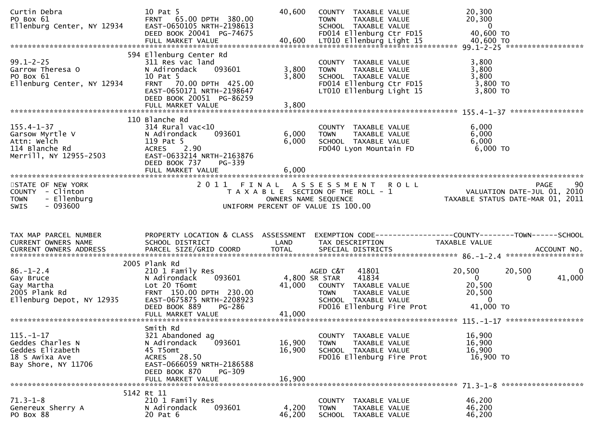| Curtin Debra<br>PO Box 61<br>Ellenburg Center, NY 12934                                          | 10 Pat 5<br>FRNT 65.00 DPTH 380.00<br>EAST-0650105 NRTH-2198613<br>DEED BOOK 20041 PG-74675                                                                                               | 40,600                     | COUNTY TAXABLE VALUE<br>TAXABLE VALUE<br><b>TOWN</b><br>SCHOOL TAXABLE VALUE<br>FD014 Ellenburg Ctr FD15                             | 20,300<br>20,300<br>- 0<br>40,600 TO                                                         |
|--------------------------------------------------------------------------------------------------|-------------------------------------------------------------------------------------------------------------------------------------------------------------------------------------------|----------------------------|--------------------------------------------------------------------------------------------------------------------------------------|----------------------------------------------------------------------------------------------|
| $99.1 - 2 - 25$<br>Garrow Theresa O<br>PO Box 61<br>Ellenburg Center, NY 12934                   | 594 Ellenburg Center Rd<br>311 Res vac land<br>093601<br>N Adirondack<br>10 Pat 5<br>FRNT 70.00 DPTH 425.00<br>EAST-0650171 NRTH-2198647<br>DEED BOOK 20051 PG-86259<br>FULL MARKET VALUE | 3,800<br>3,800<br>3,800    | COUNTY TAXABLE VALUE<br><b>TOWN</b><br>TAXABLE VALUE<br>SCHOOL TAXABLE VALUE<br>FD014 Ellenburg Ctr FD15<br>LT010 Ellenburg Light 15 | 3,800<br>3,800<br>3,800<br>$3,800$ TO<br>3,800 TO                                            |
|                                                                                                  |                                                                                                                                                                                           |                            |                                                                                                                                      |                                                                                              |
| $155.4 - 1 - 37$<br>Garsow Myrtle V<br>Attn: Welch<br>114 Blanche Rd<br>Merrill, NY 12955-2503   | 110 Blanche Rd<br>$314$ Rural vac<10<br>093601<br>N Adirondack<br>119 Pat 5<br>ACRES 2.90<br>EAST-0633214 NRTH-2163876<br>DEED BOOK 737<br>PG-339<br>FULL MARKET VALUE                    | 6,000<br>6,000<br>6,000    | COUNTY TAXABLE VALUE<br>TAXABLE VALUE<br><b>TOWN</b><br>SCHOOL TAXABLE VALUE<br>FD040 Lyon Mountain FD                               | 6,000<br>6,000<br>6,000<br>6,000 TO                                                          |
|                                                                                                  |                                                                                                                                                                                           |                            |                                                                                                                                      |                                                                                              |
| STATE OF NEW YORK<br>COUNTY - Clinton<br>- Ellenburg<br><b>TOWN</b><br>$-093600$<br><b>SWIS</b>  | 2011 FINAL                                                                                                                                                                                |                            | ASSESSMENT ROLL<br>T A X A B L E SECTION OF THE ROLL - 1<br>OWNERS NAME SEQUENCE<br>UNIFORM PERCENT OF VALUE IS 100.00               | 90<br><b>PAGE</b><br>VALUATION DATE-JUL $01$ , 2010<br>TAXABLE STATUS DATE-MAR 01, 2011      |
|                                                                                                  |                                                                                                                                                                                           |                            |                                                                                                                                      |                                                                                              |
|                                                                                                  |                                                                                                                                                                                           |                            |                                                                                                                                      |                                                                                              |
| TAX MAP PARCEL NUMBER<br>CURRENT OWNERS NAME                                                     | PROPERTY LOCATION & CLASS ASSESSMENT<br>SCHOOL DISTRICT                                                                                                                                   | LAND                       | TAX DESCRIPTION                                                                                                                      | TAXABLE VALUE                                                                                |
|                                                                                                  |                                                                                                                                                                                           |                            |                                                                                                                                      |                                                                                              |
| $86 - 1 - 2.4$<br>Gay Bruce<br>Gay Martha<br>2005 Plank Rd<br>Ellenburg Depot, NY 12935          | 2005 Plank Rd<br>210 1 Family Res<br>093601<br>N Adirondack<br>Lot 20 T6omt<br>FRNT 150.00 DPTH 230.00<br>EAST-0675875 NRTH-2208923                                                       | 41,000                     | AGED C&T<br>41801<br>41834<br>4,800 SR STAR<br>COUNTY TAXABLE VALUE<br><b>TOWN</b><br>TAXABLE VALUE<br>SCHOOL TAXABLE VALUE          | 20,500<br>20,500<br>$\Omega$<br>$\overline{0}$<br>41,000<br>20,500<br>20,500<br>$\mathbf{0}$ |
|                                                                                                  | DEED BOOK 889<br>PG-286                                                                                                                                                                   |                            | FD016 Ellenburg Fire Prot                                                                                                            | 41,000 TO                                                                                    |
|                                                                                                  |                                                                                                                                                                                           |                            |                                                                                                                                      |                                                                                              |
| $115. - 1 - 17$<br>Geddes Charles N<br>Geddes Elizabeth<br>18 S Awixa Ave<br>Bay Shore, NY 11706 | Smith Rd<br>321 Abandoned ag<br>N Adirondack<br>093601<br>45 T5omt<br>ACRES 28.50<br>EAST-0666059 NRTH-2186588<br>DEED BOOK 870<br>PG-309                                                 | 16,900<br>16,900<br>16,900 | COUNTY TAXABLE VALUE<br>TAXABLE VALUE<br><b>TOWN</b><br>SCHOOL TAXABLE VALUE<br>FD016 Ellenburg Fire Prot                            | 16,900<br>16,900<br>16,900<br>16,900 TO                                                      |
|                                                                                                  | FULL MARKET VALUE<br>5142 Rt 11                                                                                                                                                           |                            |                                                                                                                                      |                                                                                              |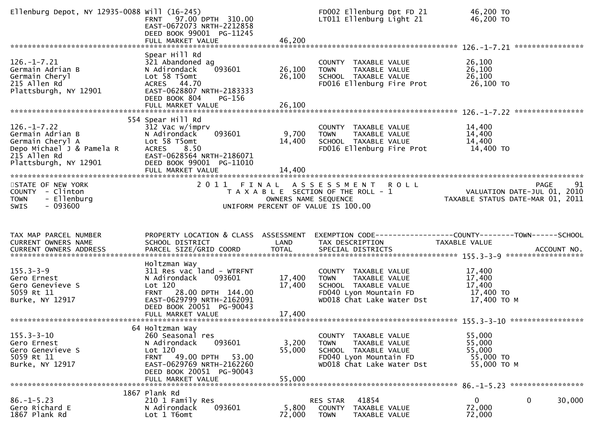| Ellenburg Depot, NY 12935-0088 Will (16-245)                                                                                    | FRNT 97.00 DPTH 310.00<br>EAST-0672073 NRTH-2212858<br>DEED BOOK 99001 PG-11245<br>FULL MARKET VALUE                                                                                      | 46,200                     | FD002 Ellenburg Dpt FD 21<br>LT011 Ellenburg Light 21                                                                               | 46,200 TO<br>46,200 TO                                                                         |
|---------------------------------------------------------------------------------------------------------------------------------|-------------------------------------------------------------------------------------------------------------------------------------------------------------------------------------------|----------------------------|-------------------------------------------------------------------------------------------------------------------------------------|------------------------------------------------------------------------------------------------|
| $126. - 1 - 7.21$<br>Germain Adrian B<br>Germain Cheryl<br>215 Allen Rd<br>Plattsburgh, NY 12901                                | Spear Hill Rd<br>321 Abandoned ag<br>093601<br>N Adirondack<br>Lot 58 T5omt<br>ACRES 44.70<br>EAST-0628807 NRTH-2183333<br>DEED BOOK 804<br>$PG-156$<br>FULL MARKET VALUE                 | 26,100<br>26,100<br>26,100 | COUNTY TAXABLE VALUE<br>TAXABLE VALUE<br><b>TOWN</b><br>SCHOOL TAXABLE VALUE<br>FD016 Ellenburg Fire Prot                           | 26,100<br>26,100<br>26,100<br>26,100 TO                                                        |
| $126. - 1 - 7.22$<br>Germain Adrian B<br>Germain Cheryl A<br>Depo Michael J & Pamela R<br>215 Allen Rd<br>Plattsburgh, NY 12901 | 554 Spear Hill Rd<br>312 Vac w/imprv<br>093601<br>N Adirondack<br>Lot 58 T5omt<br>8.50<br><b>ACRES</b><br>EAST-0628564 NRTH-2186071<br>DEED BOOK 99001 PG-11010<br>FULL MARKET VALUE      | 9,700<br>14,400<br>14,400  | COUNTY TAXABLE VALUE<br>TAXABLE VALUE<br><b>TOWN</b><br>SCHOOL TAXABLE VALUE<br>FD016 Ellenburg Fire Prot                           | 14,400<br>14,400<br>14,400<br>14,400 TO                                                        |
| STATE OF NEW YORK<br>COUNTY - Clinton<br>- Ellenburg<br><b>TOWN</b><br>$-093600$<br><b>SWIS</b>                                 | 2011 FINAL                                                                                                                                                                                | OWNERS NAME SEQUENCE       | A S S E S S M E N T<br><b>ROLL</b><br>T A X A B L E SECTION OF THE ROLL - 1<br>UNIFORM PERCENT OF VALUE IS 100.00                   | <b>PAGE</b><br>91<br>VALUATION DATE-JUL 01, 2010<br>TAXABLE STATUS DATE-MAR 01, 2011           |
|                                                                                                                                 |                                                                                                                                                                                           |                            |                                                                                                                                     |                                                                                                |
| TAX MAP PARCEL NUMBER<br>CURRENT OWNERS NAME<br>CURRENT OWNERS ADDRESS                                                          | PROPERTY LOCATION & CLASS ASSESSMENT<br>SCHOOL DISTRICT<br>PARCEL SIZE/GRID COORD                                                                                                         | LAND<br><b>TOTAL</b>       | TAX DESCRIPTION<br>SPECIAL DISTRICTS                                                                                                | EXEMPTION CODE------------------COUNTY--------TOWN------SCHOOL<br>TAXABLE VALUE<br>ACCOUNT NO. |
| $155.3 - 3 - 9$<br>Gero Ernest<br>Gero Genevieve S<br>5059 Rt 11<br>Burke, NY 12917                                             | Holtzman Way<br>311 Res vac land - WTRFNT<br>N Adirondack<br>093601<br>Lot 120<br>28.00 DPTH 144.00<br><b>FRNT</b><br>EAST-0629799 NRTH-2162091<br>DEED BOOK 20051 PG-90043               | 17,400<br>17,400           | COUNTY TAXABLE VALUE<br>TAXABLE VALUE<br><b>TOWN</b><br>SCHOOL TAXABLE VALUE<br>FD040 Lyon Mountain FD<br>WD018 Chat Lake Water Dst | 17,400<br>17,400<br>17,400<br>17,400 TO<br>17,400 TO M                                         |
| $155.3 - 3 - 10$<br>Gero Ernest<br>Gero Genevieve S<br>5059 Rt 11<br>Burke, NY 12917                                            | 64 Holtzman Way<br>260 Seasonal res<br>N Adirondack<br>093601<br>Lot 120<br>53.00<br><b>FRNT 49.00 DPTH</b><br>EAST-0629769 NRTH-2162260<br>DEED BOOK 20051 PG-90043<br>FULL MARKET VALUE | 3,200<br>55,000<br>55,000  | COUNTY TAXABLE VALUE<br>TAXABLE VALUE<br><b>TOWN</b><br>SCHOOL TAXABLE VALUE<br>FD040 Lyon Mountain FD<br>WD018 Chat Lake Water Dst | 55,000<br>55,000<br>55,000<br>55,000 TO<br>55,000 TO M                                         |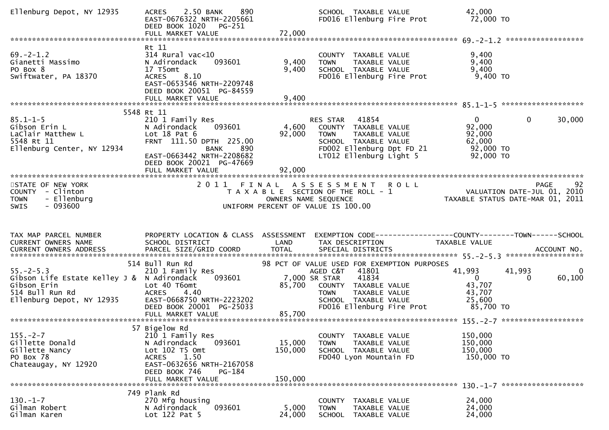| Ellenburg Depot, NY 12935                                                                                                    | 890<br>2.50 BANK<br><b>ACRES</b><br>EAST-0676322 NRTH-2205661<br>DEED BOOK 1020 PG-251<br>FULL MARKET VALUE                                                                                                 | 72,000                       | SCHOOL TAXABLE VALUE<br>FD016 Ellenburg Fire Prot                                                                                                  |             | 42,000<br>72,000 TO                                                  |                    |                        |
|------------------------------------------------------------------------------------------------------------------------------|-------------------------------------------------------------------------------------------------------------------------------------------------------------------------------------------------------------|------------------------------|----------------------------------------------------------------------------------------------------------------------------------------------------|-------------|----------------------------------------------------------------------|--------------------|------------------------|
|                                                                                                                              |                                                                                                                                                                                                             |                              |                                                                                                                                                    |             |                                                                      |                    |                        |
| $69. -2 - 1.2$<br>Gianetti Massimo<br>PO Box 8<br>Swiftwater, PA 18370                                                       | Rt 11<br>$314$ Rural vac<10<br>093601<br>N Adirondack<br>17 T5omt<br>8.10<br><b>ACRES</b><br>EAST-0653546 NRTH-2209748<br>DEED BOOK 20051 PG-84559<br>FULL MARKET VALUE                                     | 9,400<br>9,400<br>9,400      | COUNTY<br>TAXABLE VALUE<br>TAXABLE VALUE<br><b>TOWN</b><br>SCHOOL TAXABLE VALUE<br>FD016 Ellenburg Fire Prot                                       |             | 9,400<br>9,400<br>9,400<br>9,400 TO                                  |                    |                        |
|                                                                                                                              |                                                                                                                                                                                                             |                              |                                                                                                                                                    |             |                                                                      |                    |                        |
| $85.1 - 1 - 5$<br>Gibson Erin L<br>LaClair Matthew L<br>5548 Rt 11<br>Ellenburg Center, NY 12934                             | 5548 Rt 11<br>210 1 Family Res<br>093601<br>N Adirondack<br>Lot $18$ Pat $6$<br>FRNT 111.50 DPTH 225.00<br><b>BANK</b><br>890<br>EAST-0663442 NRTH-2208682<br>DEED BOOK 20021 PG-47669<br>FULL MARKET VALUE | 4,600<br>92,000<br>92,000    | 41854<br>RES STAR<br>COUNTY TAXABLE VALUE<br>TAXABLE VALUE<br>TOWN<br>SCHOOL TAXABLE VALUE<br>FD002 Ellenburg Dpt FD 21<br>LT012 Ellenburg Light 5 |             | $\mathbf{0}$<br>92,000<br>92,000<br>62,000<br>92,000 TO<br>92,000 TO | $\mathbf{0}$       | 30,000                 |
|                                                                                                                              |                                                                                                                                                                                                             |                              |                                                                                                                                                    |             |                                                                      |                    |                        |
| STATE OF NEW YORK<br>COUNTY - Clinton<br>- Ellenburg<br><b>TOWN</b><br>$-093600$<br><b>SWIS</b>                              | 2 0 1 1                                                                                                                                                                                                     | FINAL                        | A S S E S S M E N T<br>T A X A B L E SECTION OF THE ROLL - 1<br>OWNERS NAME SEQUENCE<br>UNIFORM PERCENT OF VALUE IS 100.00                         | <b>ROLL</b> | VALUATION DATE-JUL 01, 2010<br>TAXABLE STATUS DATE-MAR 01, 2011      |                    | 92<br>PAGE             |
|                                                                                                                              |                                                                                                                                                                                                             |                              |                                                                                                                                                    |             |                                                                      |                    |                        |
| TAX MAP PARCEL NUMBER<br>CURRENT OWNERS NAME                                                                                 | PROPERTY LOCATION & CLASS ASSESSMENT<br>SCHOOL DISTRICT                                                                                                                                                     | LAND                         | EXEMPTION CODE------------------COUNTY--------TOWN------SCHOOL<br>TAX DESCRIPTION                                                                  |             | TAXABLE VALUE                                                        |                    |                        |
|                                                                                                                              | 514 Bull Run Rd                                                                                                                                                                                             |                              | 98 PCT OF VALUE USED FOR EXEMPTION PURPOSES                                                                                                        |             |                                                                      |                    |                        |
| $55. - 2 - 5.3$<br>Gibson Life Estate Kelley J & N Adirondack<br>Gibson Erin<br>514 Bull Run Rd<br>Ellenburg Depot, NY 12935 | 210 1 Family Res<br>093601<br>Lot 40 T6omt<br><b>ACRES</b><br>4.40<br>EAST-0668750 NRTH-2223202                                                                                                             | 85,700                       | AGED C&T<br>41801<br>41834<br>7,000 SR STAR<br>COUNTY TAXABLE VALUE<br><b>TOWN</b><br>TAXABLE VALUE<br>SCHOOL TAXABLE VALUE                        |             | 41,993<br>$\mathbf{0}$<br>43,707<br>43,707<br>25,600                 | 41,993<br>$\Omega$ | $\mathbf{0}$<br>60,100 |
|                                                                                                                              | DEED BOOK 20001 PG-25033                                                                                                                                                                                    |                              | FD016 Ellenburg Fire Prot                                                                                                                          |             | 85,700 TO                                                            |                    |                        |
|                                                                                                                              |                                                                                                                                                                                                             |                              |                                                                                                                                                    |             |                                                                      |                    |                        |
| $155. - 2 - 7$<br>Gillette Donald<br>Gillette Nancy<br>PO Box 78<br>Chateaugay, NY 12920                                     | 57 Bigelow Rd<br>210 1 Family Res<br>093601<br>N Adirondack<br>Lot $102$ T5 Omt<br>1.50<br><b>ACRES</b><br>EAST-0632656 NRTH-2167058<br>DEED BOOK 746<br>PG-184<br>FULL MARKET VALUE                        | 15,000<br>150,000<br>150,000 | TAXABLE VALUE<br>COUNTY<br><b>TOWN</b><br>TAXABLE VALUE<br>SCHOOL TAXABLE VALUE<br>FD040 Lyon Mountain FD                                          |             | 150,000<br>150,000<br>150,000<br>150,000 TO                          |                    |                        |
|                                                                                                                              |                                                                                                                                                                                                             |                              |                                                                                                                                                    |             |                                                                      |                    |                        |
|                                                                                                                              | 749 Plank Rd                                                                                                                                                                                                |                              |                                                                                                                                                    |             |                                                                      |                    |                        |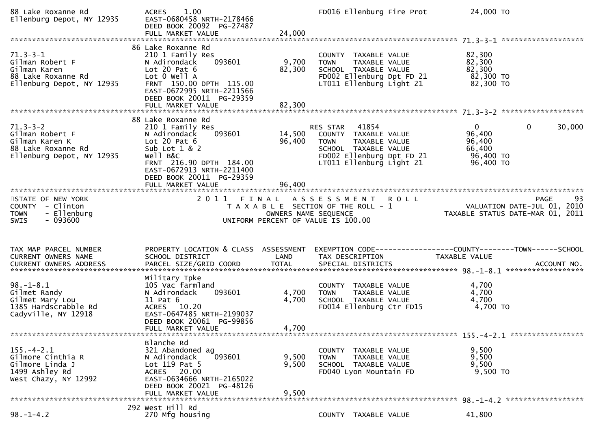| 88 Lake Roxanne Rd<br>Ellenburg Depot, NY 12935                                                        | 1.00<br><b>ACRES</b><br>EAST-0680458 NRTH-2178466<br>DEED BOOK 20092 PG-27487<br>FULL MARKET VALUE                                                                                                                       | 24,000                     | FD016 Ellenburg Fire Prot                                                                                                                           | 24,000 TO                                                            |                       |
|--------------------------------------------------------------------------------------------------------|--------------------------------------------------------------------------------------------------------------------------------------------------------------------------------------------------------------------------|----------------------------|-----------------------------------------------------------------------------------------------------------------------------------------------------|----------------------------------------------------------------------|-----------------------|
|                                                                                                        |                                                                                                                                                                                                                          |                            |                                                                                                                                                     |                                                                      |                       |
| $71.3 - 3 - 1$<br>Gilman Robert F<br>Gilman Karen<br>88 Lake Roxanne Rd<br>Ellenburg Depot, NY 12935   | 86 Lake Roxanne Rd<br>210 1 Family Res<br>093601<br>N Adirondack<br>Lot 20 Pat $6$<br>Lot 0 Well A<br>FRNT 150.00 DPTH 115.00<br>EAST-0672995 NRTH-2211566<br>DEED BOOK 20011 PG-29359                                   | 9,700<br>82,300            | COUNTY TAXABLE VALUE<br>TAXABLE VALUE<br><b>TOWN</b><br>SCHOOL TAXABLE VALUE<br>FD002 Ellenburg Dpt FD 21<br>LT011 Ellenburg Light 21               | 82,300<br>82,300<br>82,300<br>82,300 TO<br>82,300 TO                 |                       |
|                                                                                                        |                                                                                                                                                                                                                          |                            |                                                                                                                                                     |                                                                      |                       |
| $71.3 - 3 - 2$<br>Gilman Robert F<br>Gilman Karen K<br>88 Lake Roxanne Rd<br>Ellenburg Depot, NY 12935 | 88 Lake Roxanne Rd<br>210 1 Family Res<br>093601<br>N Adirondack<br>Lot 20 Pat $6$<br>Sub Lot 1 & 2<br>well B&C<br>FRNT 216.90 DPTH 184.00<br>EAST-0672913 NRTH-2211400<br>DEED BOOK 20011 PG-29359<br>FULL MARKET VALUE | 14,500<br>96,400<br>96,400 | RES STAR<br>41854<br>COUNTY TAXABLE VALUE<br>TAXABLE VALUE<br>TOWN<br>SCHOOL TAXABLE VALUE<br>FD002 Ellenburg Dpt FD 21<br>LT011 Ellenburg Light 21 | $\mathbf{0}$<br>96,400<br>96,400<br>66,400<br>96,400 TO<br>96,400 TO | $\mathbf 0$<br>30,000 |
|                                                                                                        |                                                                                                                                                                                                                          |                            |                                                                                                                                                     |                                                                      |                       |
| STATE OF NEW YORK<br>COUNTY - Clinton<br>- Ellenburg<br><b>TOWN</b><br>$-093600$<br>SWIS               |                                                                                                                                                                                                                          | OWNERS NAME SEQUENCE       | 2011 FINAL ASSESSMENT ROLL<br>T A X A B L E SECTION OF THE ROLL - 1<br>UNIFORM PERCENT OF VALUE IS 100.00                                           | VALUATION DATE-JUL 01, 2010<br>TAXABLE STATUS DATE-MAR 01, 2011      | 93<br><b>PAGE</b>     |
| TAX MAP PARCEL NUMBER                                                                                  | PROPERTY LOCATION & CLASS ASSESSMENT                                                                                                                                                                                     |                            |                                                                                                                                                     | EXEMPTION CODE-----------------COUNTY-------TOWN------SCHOOL         |                       |
| CURRENT OWNERS NAME                                                                                    | SCHOOL DISTRICT                                                                                                                                                                                                          | LAND                       | TAX DESCRIPTION                                                                                                                                     | TAXABLE VALUE                                                        |                       |
|                                                                                                        |                                                                                                                                                                                                                          |                            |                                                                                                                                                     |                                                                      |                       |
| $98. - 1 - 8.1$<br>Gilmet Randy<br>Gilmet Mary Lou<br>1385 Hardscrabble Rd<br>Cadyville, NY 12918      | Military Tpke<br>105 Vac farmland<br>N Adirondack<br>093601<br>11 Pat 6<br>ACRES 10.20<br>EAST-0647485 NRTH-2199037<br>DEED BOOK 20061 PG-99856                                                                          | 4,700<br>4,700             | COUNTY TAXABLE VALUE<br>TAXABLE VALUE<br>TOWN<br>SCHOOL TAXABLE VALUE<br>FD014 Ellenburg Ctr FD15                                                   | 4,700<br>4,700<br>4,700<br>4,700 TO                                  |                       |
|                                                                                                        | FULL MARKET VALUE                                                                                                                                                                                                        | 4,700                      |                                                                                                                                                     |                                                                      |                       |
|                                                                                                        |                                                                                                                                                                                                                          |                            |                                                                                                                                                     |                                                                      |                       |
| $155. - 4 - 2.1$<br>Gilmore Cinthia R<br>Gilmore Linda J<br>1499 Ashley Rd<br>West Chazy, NY 12992     | Blanche Rd<br>321 Abandoned ag<br>093601<br>N Adirondack<br>Lot 119 Pat 5<br>ACRES 20.00<br>EAST-0634666 NRTH-2165022<br>DEED BOOK 20021 PG-48126<br>FULL MARKET VALUE                                                   | 9,500<br>9,500<br>9,500    | COUNTY TAXABLE VALUE<br>TAXABLE VALUE<br>TOWN<br>SCHOOL TAXABLE VALUE<br>FD040 Lyon Mountain FD                                                     | 9,500<br>9,500<br>9,500<br>9,500 TO                                  |                       |
|                                                                                                        |                                                                                                                                                                                                                          |                            |                                                                                                                                                     |                                                                      |                       |
| 292 West Hill Rd                                                                                       |                                                                                                                                                                                                                          |                            |                                                                                                                                                     |                                                                      |                       |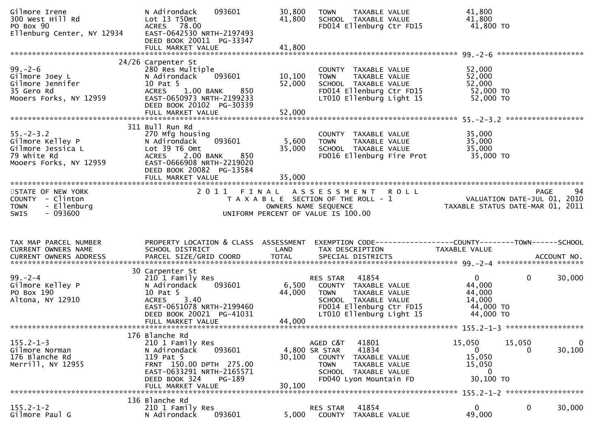| Gilmore Irene<br>300 West Hill Rd<br>PO Box 90<br>ro вох эо<br>Ellenburg Center, NY 12934         | 093601<br>N Adirondack<br>Lot 13 T50mt<br>ACRES 78.00<br>EAST-0642530 NRTH-2197493<br>DEED BOOK 20011 PG-33347<br>FULL MARKET VALUE                                                              | 30,800<br>41,800<br>41,800  | <b>TOWN</b><br>TAXABLE VALUE<br>SCHOOL TAXABLE VALUE<br>FD014 Ellenburg Ctr FD15                                                                                | 41,800<br>41,800<br>41,800 TO                                                        |                   |
|---------------------------------------------------------------------------------------------------|--------------------------------------------------------------------------------------------------------------------------------------------------------------------------------------------------|-----------------------------|-----------------------------------------------------------------------------------------------------------------------------------------------------------------|--------------------------------------------------------------------------------------|-------------------|
|                                                                                                   |                                                                                                                                                                                                  |                             |                                                                                                                                                                 |                                                                                      |                   |
| $99. - 2 - 6$<br>Gilmore Joey L<br>Gilmore Jennifer<br>35 Gero Rd<br>Mooers Forks, NY 12959       | 24/26 Carpenter St<br>280 Res Multiple<br>N Adirondack<br>093601<br>10 Pat 5<br>850<br><b>ACRES</b><br>$1.00$ BANK<br>EAST-0650973 NRTH-2199233<br>DEED BOOK 20102 PG-30339<br>FULL MARKET VALUE | 10, 100<br>52,000<br>52,000 | COUNTY TAXABLE VALUE<br>TAXABLE VALUE<br><b>TOWN</b><br>SCHOOL TAXABLE VALUE<br>FD014 Ellenburg Ctr FD15<br>LT010 Ellenburg Light 15                            | 52,000<br>52,000<br>52,000<br>52,000 TO<br>52,000 TO                                 |                   |
|                                                                                                   |                                                                                                                                                                                                  |                             |                                                                                                                                                                 |                                                                                      |                   |
| $55. - 2 - 3.2$<br>Gilmore Kelley P<br>Gilmore Jessica L<br>79 white Rd<br>Mooers Forks, NY 12959 | 311 Bull Run Rd<br>270 Mfg housing<br>093601<br>N Adirondack<br>Lot 39 T6 Omt<br>850<br><b>ACRES</b><br>2.00 BANK<br>EAST-0666908 NRTH-2219020<br>DEED BOOK 20082 PG-13584                       | 5,600<br>35,000             | COUNTY TAXABLE VALUE<br>TAXABLE VALUE<br><b>TOWN</b><br>SCHOOL TAXABLE VALUE<br>FD016 Ellenburg Fire Prot                                                       | 35,000<br>35,000<br>35,000<br>35,000 TO                                              |                   |
| STATE OF NEW YORK<br>COUNTY - Clinton<br>- Ellenburg<br><b>TOWN</b><br>$-093600$<br>SWIS          |                                                                                                                                                                                                  |                             | 2011 FINAL ASSESSMENT ROLL<br>T A X A B L E SECTION OF THE ROLL - 1<br>OWNERS NAME SEQUENCE<br>UNIFORM PERCENT OF VALUE IS 100.00                               | VALUATION DATE-JUL $01$ , $2010$<br>TAXABLE STATUS DATE-MAR 01, 2011                 | 94<br><b>PAGE</b> |
| TAX MAP PARCEL NUMBER<br><b>CURRENT OWNERS NAME</b>                                               | PROPERTY LOCATION & CLASS ASSESSMENT<br>SCHOOL DISTRICT                                                                                                                                          | LAND                        | TAX DESCRIPTION                                                                                                                                                 | <b>TAXABLE VALUE</b>                                                                 |                   |
| $99. - 2 - 4$<br>Gilmore Kelley P<br>PO Box 190<br>Altona, NY 12910                               | 30 Carpenter St<br>210 1 Family Res<br>093601<br>N Adirondack<br>10 Pat 5<br>3.40<br><b>ACRES</b><br>EAST-0651078 NRTH-2199460<br>DEED BOOK 20021 PG-41031<br>FULL MARKET VALUE                  | 6,500<br>44,000<br>44,000   | 41854<br>RES STAR<br>COUNTY TAXABLE VALUE<br><b>TOWN</b><br>TAXABLE VALUE<br>SCHOOL TAXABLE VALUE<br>FD014 Ellenburg Ctr FD15<br>LT010 Ellenburg Light 15       | $\mathbf{0}$<br>$\mathbf{0}$<br>44,000<br>44,000<br>14,000<br>44,000 TO<br>44,000 TO | 30,000            |
|                                                                                                   | 176 Blanche Rd                                                                                                                                                                                   |                             |                                                                                                                                                                 |                                                                                      |                   |
| $155.2 - 1 - 3$<br>Gilmore Norman<br>176 Blanche Rd<br>Merrill, NY 12955                          | 210 1 Family Res<br>093601<br>N Adirondack<br>119 Pat 5<br>FRNT 150.00 DPTH 275.00<br>EAST-0633291 NRTH-2165571<br>DEED BOOK 324<br>PG-189<br>FULL MARKET VALUE                                  | 30,100<br>30.100            | 41801<br>AGED C&T<br>4,800 SR STAR<br>41834<br><b>COUNTY</b><br>TAXABLE VALUE<br><b>TOWN</b><br>TAXABLE VALUE<br>SCHOOL TAXABLE VALUE<br>FD040 Lyon Mountain FD | 15,050<br>15,050<br>0<br>0<br>15,050<br>15,050<br>0<br>30,100 TO                     | 0<br>30, 100      |
|                                                                                                   | 136 Blanche Rd                                                                                                                                                                                   |                             |                                                                                                                                                                 |                                                                                      |                   |
| $155.2 - 1 - 2$<br>Gilmore Paul G                                                                 | 210 1 Family Res<br>N Adirondack<br>093601                                                                                                                                                       | 5,000                       | 41854<br>RES STAR<br>COUNTY<br>TAXABLE VALUE                                                                                                                    | 0<br>0<br>49,000                                                                     | 30,000            |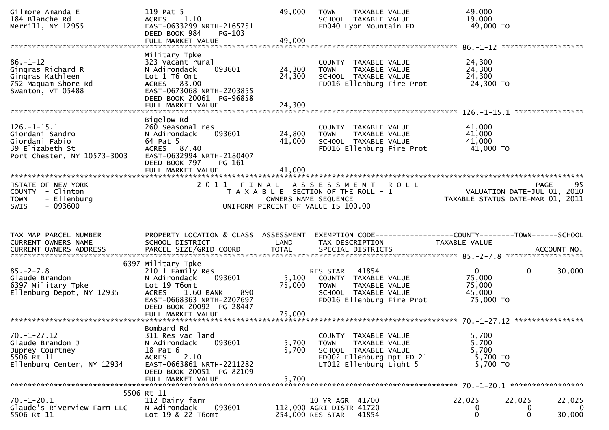| Gilmore Amanda E<br>184 Blanche Rd<br>Merrill, NY 12955                                                  | 119 Pat 5<br>1.10<br><b>ACRES</b><br>EAST-0633299 NRTH-2165751<br>DEED BOOK 984<br>PG-103<br>FULL MARKET VALUE                                                             | 49,000<br>49,000           | TAXABLE VALUE<br><b>TOWN</b><br>SCHOOL TAXABLE VALUE<br>FD040 Lyon Mountain FD                                                            | 49,000<br>19,000<br>49,000 TO                                   |                       |
|----------------------------------------------------------------------------------------------------------|----------------------------------------------------------------------------------------------------------------------------------------------------------------------------|----------------------------|-------------------------------------------------------------------------------------------------------------------------------------------|-----------------------------------------------------------------|-----------------------|
| $86. - 1 - 12$<br>Gingras Richard R<br>Gingras Kathleen<br>752 Maquam Shore Rd<br>Swanton, VT 05488      | Military Tpke<br>323 Vacant rural<br>093601<br>N Adirondack<br>Lot 1 T6 Omt<br>ACRES 83.00<br>EAST-0673068 NRTH-2203855<br>DEED BOOK 20061 PG-96858                        | 24,300<br>24,300           | COUNTY TAXABLE VALUE<br><b>TOWN</b><br>TAXABLE VALUE<br>SCHOOL TAXABLE VALUE<br>FD016 Ellenburg Fire Prot                                 | 24,300<br>24,300<br>24,300<br>24,300 TO                         |                       |
|                                                                                                          | FULL MARKET VALUE                                                                                                                                                          | 24,300                     |                                                                                                                                           |                                                                 | ****************      |
| $126. - 1 - 15.1$<br>Giordani Sandro<br>Giordani Fabio<br>39 Elizabeth St<br>Port Chester, NY 10573-3003 | Bigelow Rd<br>260 Seasonal res<br>N Adirondack<br>093601<br>64 Pat 5<br>ACRES 87.40<br>EAST-0632994 NRTH-2180407<br>DEED BOOK 797<br>PG-161<br>FULL MARKET VALUE           | 24,800<br>41,000<br>41,000 | COUNTY TAXABLE VALUE<br>TAXABLE VALUE<br>TOWN<br>SCHOOL TAXABLE VALUE<br>FD016 Ellenburg Fire Prot                                        | 41,000<br>41,000<br>41,000<br>41,000 TO                         |                       |
|                                                                                                          |                                                                                                                                                                            |                            |                                                                                                                                           |                                                                 |                       |
| STATE OF NEW YORK<br>COUNTY - Clinton<br>- Ellenburg<br><b>TOWN</b><br>$-093600$<br><b>SWIS</b>          | 2011 FINAL                                                                                                                                                                 |                            | <b>ROLL</b><br>A S S E S S M E N T<br>T A X A B L E SECTION OF THE ROLL - 1<br>OWNERS NAME SEQUENCE<br>UNIFORM PERCENT OF VALUE IS 100.00 | VALUATION DATE-JUL 01, 2010<br>TAXABLE STATUS DATE-MAR 01, 2011 | 95<br><b>PAGE</b>     |
|                                                                                                          |                                                                                                                                                                            |                            |                                                                                                                                           |                                                                 |                       |
|                                                                                                          |                                                                                                                                                                            |                            |                                                                                                                                           |                                                                 |                       |
| TAX MAP PARCEL NUMBER<br>CURRENT OWNERS NAME                                                             | PROPERTY LOCATION & CLASS ASSESSMENT<br>SCHOOL DISTRICT                                                                                                                    | LAND                       | TAX DESCRIPTION                                                                                                                           | TAXABLE VALUE                                                   |                       |
|                                                                                                          | 6397 Military Tpke                                                                                                                                                         |                            |                                                                                                                                           |                                                                 |                       |
| $85. - 2 - 7.8$<br>Glaude Brandon<br>6397 Military Tpke<br>Ellenburg Depot, NY 12935                     | 210 1 Family Res<br>093601<br>N Adirondack<br>Lot 19 T6omt<br><b>ACRES</b><br>1.60 BANK<br>890<br>EAST-0668363 NRTH-2207697                                                | 5,100<br>75,000            | 41854<br>RES STAR<br>COUNTY TAXABLE VALUE<br><b>TOWN</b><br>TAXABLE VALUE<br>SCHOOL TAXABLE VALUE<br>FD016 Ellenburg Fire Prot            | $\overline{0}$<br>75,000<br>75,000<br>45,000<br>75,000 TO       | $\mathbf 0$<br>30,000 |
|                                                                                                          | DEED BOOK 20092 PG-28447                                                                                                                                                   |                            |                                                                                                                                           |                                                                 |                       |
|                                                                                                          |                                                                                                                                                                            |                            |                                                                                                                                           |                                                                 |                       |
| $70. - 1 - 27.12$<br>Glaude Brandon J<br>Duprey Courtney<br>5506 Rt 11<br>Ellenburg Center, NY 12934     | Bombard Rd<br>311 Res vac land<br>093601<br>N Adirondack<br>18 Pat 6<br>2.10<br><b>ACRES</b><br>EAST-0663861 NRTH-2211282<br>DEED BOOK 20051 PG-82109<br>FULL MARKET VALUE | 5,700<br>5,700<br>5,700    | COUNTY TAXABLE VALUE<br><b>TOWN</b><br>TAXABLE VALUE<br>SCHOOL TAXABLE VALUE<br>FD002 Ellenburg Dpt FD 21<br>LT012 Ellenburg Light 5      | 5,700<br>5,700<br>5,700<br>5,700 TO<br>5,700 TO                 |                       |
|                                                                                                          | 5506 Rt 11                                                                                                                                                                 |                            |                                                                                                                                           |                                                                 |                       |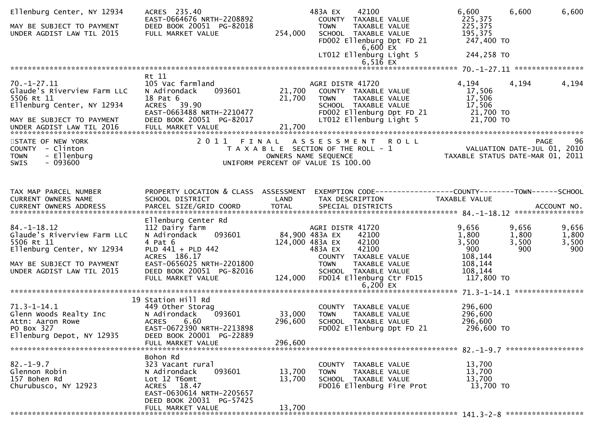| Ellenburg Center, NY 12934<br>MAY BE SUBJECT TO PAYMENT<br>UNDER AGDIST LAW TIL 2015                                                                   | ACRES 235.40<br>EAST-0664676 NRTH-2208892<br>DEED BOOK 20051 PG-82018<br>FULL MARKET VALUE                                                          | 254,000                    | 483A EX<br>42100<br>COUNTY TAXABLE VALUE<br><b>TOWN</b><br>TAXABLE VALUE<br>SCHOOL TAXABLE VALUE<br>FD002 Ellenburg Dpt FD 21<br>$6,600$ EX<br>LT012 Ellenburg Light 5 | 6,600<br>225,375<br>225,375<br>195,375<br>247,400 TO<br>244,258 TO | 6,600                          | 6,600                          |
|--------------------------------------------------------------------------------------------------------------------------------------------------------|-----------------------------------------------------------------------------------------------------------------------------------------------------|----------------------------|------------------------------------------------------------------------------------------------------------------------------------------------------------------------|--------------------------------------------------------------------|--------------------------------|--------------------------------|
|                                                                                                                                                        |                                                                                                                                                     |                            | $6,51\bar{6}$ EX                                                                                                                                                       |                                                                    |                                |                                |
|                                                                                                                                                        | Rt 11                                                                                                                                               |                            |                                                                                                                                                                        |                                                                    |                                |                                |
| $70. - 1 - 27.11$<br>Glaude's Riverview Farm LLC<br>5506 Rt 11<br>Ellenburg Center, NY 12934<br>MAY BE SUBJECT TO PAYMENT<br>UNDER AGDIST LAW TIL 2016 | 105 Vac farmland<br>093601<br>N Adirondack<br>18 Pat 6<br>ACRES 39.90<br>EAST-0663488 NRTH-2210477<br>DEED BOOK 20051 PG-82017<br>FULL MARKET VALUE | 21,700<br>21,700<br>21,700 | AGRI DISTR 41720<br>COUNTY TAXABLE VALUE<br>TAXABLE VALUE<br><b>TOWN</b><br>SCHOOL TAXABLE VALUE<br>FD002 Ellenburg Dpt FD 21<br>LT012 Ellenburg Light 5               | 4,194<br>17,506<br>17,506<br>17,506<br>21,700 TO<br>21,700 TO      | 4,194                          | 4,194                          |
|                                                                                                                                                        |                                                                                                                                                     |                            |                                                                                                                                                                        |                                                                    |                                |                                |
| STATE OF NEW YORK<br>COUNTY - Clinton<br>- Ellenburg<br><b>TOWN</b><br>$-093600$<br>SWIS                                                               | 2011 FINAL                                                                                                                                          |                            | A S S E S S M E N T R O L L<br>T A X A B L E SECTION OF THE ROLL - 1<br>OWNERS NAME SEQUENCE<br>UNIFORM PERCENT OF VALUE IS 100.00                                     | VALUATION DATE-JUL 01, 2010<br>TAXABLE STATUS DATE-MAR 01, 2011    |                                | 96<br><b>PAGE</b>              |
|                                                                                                                                                        |                                                                                                                                                     |                            |                                                                                                                                                                        |                                                                    |                                |                                |
| TAX MAP PARCEL NUMBER<br>CURRENT OWNERS NAME                                                                                                           | PROPERTY LOCATION & CLASS ASSESSMENT<br>SCHOOL DISTRICT                                                                                             | LAND                       | TAX DESCRIPTION                                                                                                                                                        | <b>TAXABLE VALUE</b>                                               |                                |                                |
|                                                                                                                                                        | Ellenburg Center Rd                                                                                                                                 |                            |                                                                                                                                                                        |                                                                    |                                |                                |
| $84. - 1 - 18.12$<br>Glaude's Riverview Farm LLC<br>5506 Rt 11<br>Ellenburg Center, NY 12934<br>MAY BE SUBJECT TO PAYMENT                              | 112 Dairy farm<br>093601<br>N Adirondack<br>4 Pat 6<br>PLD 441 + PLD 442<br>ACRES 186.17<br>EAST-0656025 NRTH-2201800                               |                            | AGRI DISTR 41720<br>84,900 483A EX<br>42100<br>124,000 483A EX<br>42100<br>42100<br>483A EX<br>COUNTY<br>TAXABLE VALUE<br><b>TOWN</b><br>TAXABLE VALUE                 | 9,656<br>1,800<br>3,500<br>900<br>108,144<br>108,144               | 9,656<br>1,800<br>3,500<br>900 | 9,656<br>1,800<br>3,500<br>900 |
| UNDER AGDIST LAW TIL 2015                                                                                                                              | DEED BOOK 20051 PG-82016<br>FULL MARKET VALUE                                                                                                       | 124,000                    | SCHOOL TAXABLE VALUE<br>FD014 Ellenburg Ctr FD15<br>6,200 $EX$                                                                                                         | 108,144<br>117,800 TO                                              |                                |                                |
|                                                                                                                                                        |                                                                                                                                                     |                            |                                                                                                                                                                        |                                                                    |                                |                                |
| $71.3 - 1 - 14.1$<br>Glenn Woods Realty Inc<br>Attn: Aaron Rowe<br>PO Box 327<br>Ellenburg Depot, NY 12935                                             | 19 Station Hill Rd<br>449 Other Storag<br>N Adirondack<br>093601<br><b>ACRES</b><br>6.60<br>EAST-0672390 NRTH-2213898<br>DEED BOOK 20001 PG-22889   | 33,000<br>296,600          | COUNTY TAXABLE VALUE<br>TAXABLE VALUE<br><b>TOWN</b><br>SCHOOL TAXABLE VALUE<br>FD002 Ellenburg Dpt FD 21                                                              | 296,600<br>296,600<br>296,600<br>296,600 TO                        |                                |                                |
|                                                                                                                                                        | FULL MARKET VALUE                                                                                                                                   | 296,600                    |                                                                                                                                                                        |                                                                    |                                |                                |
| $82. - 1 - 9.7$<br>Glennon Robin<br>157 Bohen Rd<br>Churubusco, NY 12923                                                                               | Bohon Rd<br>323 Vacant rural<br>093601<br>N Adirondack<br>Lot 12 T6omt<br>ACRES 18.47<br>EAST-0630614 NRTH-2205657                                  | 13,700<br>13,700           | COUNTY TAXABLE VALUE<br><b>TOWN</b><br>TAXABLE VALUE<br>SCHOOL TAXABLE VALUE<br>FD016 Ellenburg Fire Prot                                                              | 13,700<br>13,700<br>13,700<br>13,700 TO                            |                                |                                |
|                                                                                                                                                        | DEED BOOK 20031 PG-57425<br>FULL MARKET VALUE                                                                                                       | 13,700                     |                                                                                                                                                                        |                                                                    |                                |                                |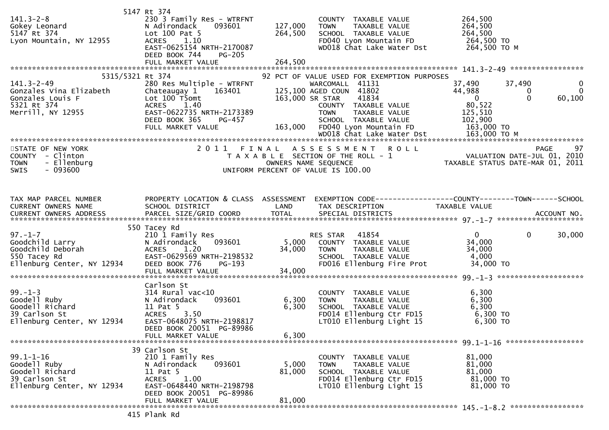|                                                                          | 5147 Rt 374                          |         |                                             |                                                                                                                                                                                     |              |
|--------------------------------------------------------------------------|--------------------------------------|---------|---------------------------------------------|-------------------------------------------------------------------------------------------------------------------------------------------------------------------------------------|--------------|
| $141.3 - 2 - 8$                                                          | 230 3 Family Res - WTRFNT            |         | COUNTY TAXABLE VALUE                        | 264,500                                                                                                                                                                             |              |
| 141.3-2-8<br>Gokey Leonard<br>5147 Rt 374<br>Lyon Mountain, NY 12955     | N Adirondack<br>093601               | 127,000 | <b>TOWN</b><br>TAXABLE VALUE                | 264,500                                                                                                                                                                             |              |
|                                                                          | Lot 100 Pat 5                        | 264,500 | SCHOOL TAXABLE VALUE                        | 264,500                                                                                                                                                                             |              |
|                                                                          | <b>ACRES</b><br>1.10                 |         | FD040 Lyon Mountain FD                      | 264,500 TO                                                                                                                                                                          |              |
|                                                                          | EAST-0625154 NRTH-2170087            |         | WD018 Chat Lake Water Dst                   | 264,500 ТО М                                                                                                                                                                        |              |
|                                                                          | DEED BOOK 744<br>$PG-205$            |         |                                             |                                                                                                                                                                                     |              |
|                                                                          | FULL MARKET VALUE                    | 264,500 |                                             |                                                                                                                                                                                     |              |
|                                                                          |                                      |         |                                             |                                                                                                                                                                                     |              |
|                                                                          |                                      |         |                                             |                                                                                                                                                                                     |              |
| 5315/5321 Rt 374                                                         |                                      |         | 92 PCT OF VALUE USED FOR EXEMPTION PURPOSES |                                                                                                                                                                                     |              |
| $141.3 - 2 - 49$                                                         | 280 Res Multiple - WTRFNT            |         | WARCOMALL 41131                             | 37,490<br>37,490                                                                                                                                                                    | $\mathbf{0}$ |
| Gonzales Vina Elizabeth                                                  | Chateaugay 1 163401                  |         | 125,100 AGED COUN 41802                     | 44,988<br>0                                                                                                                                                                         | $\mathbf{0}$ |
| Gonzales Louis F                                                         | Lot 100 T5omt                        |         | 163,000 SR STAR<br>41834                    | $\overline{\mathbf{0}}$<br>$\Omega$<br>60,100                                                                                                                                       |              |
| 5321 Rt 374                                                              | 1.40<br>ACRES                        |         | COUNTY TAXABLE VALUE                        | 80,522                                                                                                                                                                              |              |
| Merrill, NY 12955                                                        | EAST-0622735 NRTH-2173389            |         | <b>TOWN</b><br>TAXABLE VALUE                | 125,510                                                                                                                                                                             |              |
|                                                                          | PG-457<br>DEED BOOK 365              |         | SCHOOL TAXABLE VALUE                        | 102,900                                                                                                                                                                             |              |
|                                                                          |                                      |         |                                             |                                                                                                                                                                                     |              |
|                                                                          |                                      |         |                                             |                                                                                                                                                                                     |              |
|                                                                          |                                      |         |                                             |                                                                                                                                                                                     |              |
| STATE OF NEW YORK                                                        |                                      |         | 2011 FINAL ASSESSMENT ROLL                  | PAGE 97<br>T A X A B L E SECTION OF THE ROLL - 1<br>OWNERS NAME SEQUENCE THE ROLL - 1<br>OWNERS NAME SEQUENCE TAXABLE STATUS DATE-MAR 01, 2011<br>DIFORM PERCENT OF VALUE IS 100.00 |              |
| COUNTY - Clinton                                                         |                                      |         |                                             |                                                                                                                                                                                     |              |
| <b>TOWN</b><br>- Ellenburg                                               |                                      |         |                                             |                                                                                                                                                                                     |              |
| $-093600$<br><b>SWIS</b>                                                 |                                      |         | UNIFORM PERCENT OF VALUE IS 100.00          |                                                                                                                                                                                     |              |
|                                                                          |                                      |         |                                             |                                                                                                                                                                                     |              |
|                                                                          |                                      |         |                                             |                                                                                                                                                                                     |              |
|                                                                          |                                      |         |                                             |                                                                                                                                                                                     |              |
| TAX MAP PARCEL NUMBER                                                    | PROPERTY LOCATION & CLASS ASSESSMENT |         |                                             | EXEMPTION CODE-----------------COUNTY--------TOWN------SCHOOL                                                                                                                       |              |
| CURRENT OWNERS NAME                                                      | SCHOOL DISTRICT                      | LAND    | TAX DESCRIPTION                             | TAXABLE VALUE                                                                                                                                                                       |              |
|                                                                          |                                      |         |                                             |                                                                                                                                                                                     |              |
|                                                                          |                                      |         |                                             |                                                                                                                                                                                     |              |
|                                                                          | 550 Tacey Rd                         |         |                                             |                                                                                                                                                                                     |              |
|                                                                          |                                      |         |                                             |                                                                                                                                                                                     |              |
|                                                                          |                                      |         |                                             |                                                                                                                                                                                     |              |
| $97. - 1 - 7$                                                            | 210 1 Family Res                     |         | RES STAR 41854                              | $0 \qquad \qquad$<br>$\mathbf 0$<br>30,000                                                                                                                                          |              |
|                                                                          | 093601<br>N Adirondack               | 5,000   | COUNTY TAXABLE VALUE                        | 34,000                                                                                                                                                                              |              |
|                                                                          | 1.20<br><b>ACRES</b>                 | 34,000  | TAXABLE VALUE<br>TOWN                       | 34,000                                                                                                                                                                              |              |
| <br>Goodchild Larry<br>Goodchild Deborah<br>550 Tacev Rd<br>550 Tacey Rd | EAST-0629569 NRTH-2198532            |         | SCHOOL TAXABLE VALUE                        | 4,000                                                                                                                                                                               |              |
| Ellenburg Center, NY 12934                                               | DEED BOOK 776<br>PG-193              |         | FD016 Ellenburg Fire Prot                   | 34,000 TO                                                                                                                                                                           |              |
|                                                                          | FULL MARKET VALUE                    | 34,000  |                                             |                                                                                                                                                                                     |              |
|                                                                          |                                      |         |                                             |                                                                                                                                                                                     |              |
|                                                                          | Carlson St                           |         |                                             |                                                                                                                                                                                     |              |
|                                                                          | 314 Rural vac<10                     |         | COUNTY TAXABLE VALUE                        | 6,300                                                                                                                                                                               |              |
|                                                                          | 093601<br>N Adirondack               |         | <b>TOWN</b>                                 |                                                                                                                                                                                     |              |
|                                                                          |                                      | 6,300   | TAXABLE VALUE                               | 6,300                                                                                                                                                                               |              |
| 99.-1-3<br>Goodell Ruby<br>Goodell Richard                               | 11 Pat 5                             | 6,300   | SCHOOL TAXABLE VALUE                        | 6,300                                                                                                                                                                               |              |
| 39 Carlson St                                                            | <b>ACRES</b><br>3.50                 |         | FD014 Ellenburg Ctr FD15                    | 6,300 TO                                                                                                                                                                            |              |
| Ellenburg Center, NY 12934                                               | EAST-0648075 NRTH-2198817            |         | LT010 Ellenburg Light 15                    | 6,300 TO                                                                                                                                                                            |              |
|                                                                          | DEED BOOK 20051 PG-89986             |         |                                             |                                                                                                                                                                                     |              |
|                                                                          | FULL MARKET VALUE                    | 6,300   |                                             |                                                                                                                                                                                     |              |
|                                                                          |                                      |         |                                             |                                                                                                                                                                                     |              |
|                                                                          | 39 Carlson St                        |         |                                             |                                                                                                                                                                                     |              |
| $99.1 - 1 - 16$                                                          | 210 1 Family Res                     |         | COUNTY TAXABLE VALUE                        | 81,000                                                                                                                                                                              |              |
| Goodell Ruby                                                             | 093601<br>N Adirondack               | 5,000   | <b>TOWN</b><br>TAXABLE VALUE                | 81,000                                                                                                                                                                              |              |
| Goodell Richard                                                          | 11 Pat 5                             | 81,000  | SCHOOL TAXABLE VALUE                        | 81,000                                                                                                                                                                              |              |
| 39 Carlson St                                                            | 1.00<br><b>ACRES</b>                 |         | FD014 Ellenburg Ctr FD15                    | 81,000 TO                                                                                                                                                                           |              |
| Ellenburg Center, NY 12934                                               | EAST-0648440 NRTH-2198798            |         | LT010 Ellenburg Light 15                    | 81,000 TO                                                                                                                                                                           |              |
|                                                                          | DEED BOOK 20051 PG-89986             |         |                                             |                                                                                                                                                                                     |              |
|                                                                          | FULL MARKET VALUE                    | 81,000  |                                             |                                                                                                                                                                                     |              |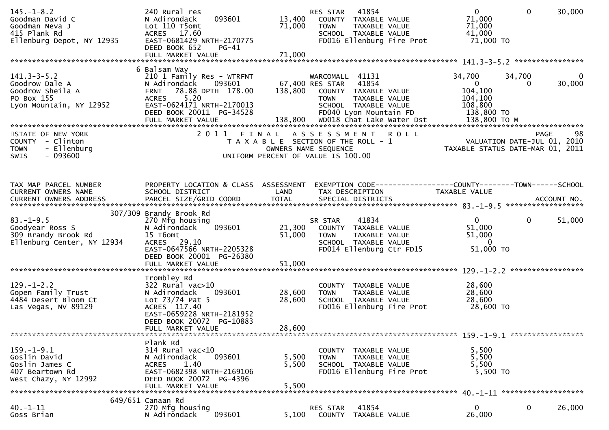| $145. - 1 - 8.2$<br>Goodman David C<br>Goodman Neva J<br>415 Plank Rd<br>Ellenburg Depot, NY 12935 | 240 Rural res<br>093601<br>N Adirondack<br>Lot 110 T5omt<br>ACRES 17.60<br>EAST-0681429 NRTH-2170775<br>DEED BOOK 652<br>PG-41<br>FULL MARKET VALUE                               | 13,400<br>71,000<br>71,000                                                                          | <b>RES STAR</b><br><b>TOWN</b>                         | 41854<br>COUNTY TAXABLE VALUE<br>TAXABLE VALUE<br>SCHOOL TAXABLE VALUE   | FD016 Ellenburg Fire Prot | $\mathbf{0}$<br>71,000<br>71,000<br>41,000<br>71,000 TO                  | $\mathbf 0$ | 30,000                |
|----------------------------------------------------------------------------------------------------|-----------------------------------------------------------------------------------------------------------------------------------------------------------------------------------|-----------------------------------------------------------------------------------------------------|--------------------------------------------------------|--------------------------------------------------------------------------|---------------------------|--------------------------------------------------------------------------|-------------|-----------------------|
|                                                                                                    | 6 Balsam Way                                                                                                                                                                      |                                                                                                     |                                                        |                                                                          |                           |                                                                          |             |                       |
| $141.3 - 3 - 5.2$<br>Goodrow Dale A<br>Goodrow Sheila A<br>PO Box 155<br>Lyon Mountain, NY 12952   | 210 1 Family Res - WTRFNT<br>N Adirondack<br>093601<br>78.88 DPTH 178.00<br><b>FRNT</b><br>5.20<br><b>ACRES</b><br>EAST-0624171 NRTH-2170013<br>DEED BOOK 20011 PG-34528          | 67,400 RES STAR<br>138,800                                                                          | WARCOMALL 41131<br>COUNTY TAXABLE VALUE<br><b>TOWN</b> | 41854<br>TAXABLE VALUE<br>SCHOOL TAXABLE VALUE<br>FD040 Lyon Mountain FD |                           | 34,700<br>$\mathbf{0}$<br>104,100<br>104,100<br>108,800<br>138,800 TO    | 34,700<br>0 | $\mathbf 0$<br>30,000 |
| STATE OF NEW YORK                                                                                  | 2011 FINAL                                                                                                                                                                        |                                                                                                     | ASSESSMENT                                             |                                                                          | <b>ROLL</b>               |                                                                          | PAGE        | 98                    |
| COUNTY - Clinton<br>- Ellenburg<br><b>TOWN</b><br>$-093600$<br>SWIS                                |                                                                                                                                                                                   | T A X A B L E SECTION OF THE ROLL - 1<br>OWNERS NAME SEQUENCE<br>UNIFORM PERCENT OF VALUE IS 100.00 |                                                        |                                                                          |                           | VALUATION DATE-JUL 01, 2010<br>TAXABLE STATUS DATE-MAR 01, 2011          |             |                       |
|                                                                                                    |                                                                                                                                                                                   |                                                                                                     |                                                        |                                                                          |                           |                                                                          |             |                       |
| TAX MAP PARCEL NUMBER                                                                              | PROPERTY LOCATION & CLASS ASSESSMENT EXEMPTION CODE----------------COUNTY-------TOWN------SCHOOL                                                                                  |                                                                                                     |                                                        |                                                                          |                           |                                                                          |             |                       |
| CURRENT OWNERS NAME                                                                                | SCHOOL DISTRICT                                                                                                                                                                   | LAND                                                                                                | TAX DESCRIPTION                                        |                                                                          |                           | TAXABLE VALUE                                                            |             |                       |
|                                                                                                    | 307/309 Brandy Brook Rd                                                                                                                                                           |                                                                                                     |                                                        |                                                                          |                           |                                                                          |             |                       |
| $83. - 1 - 9.5$<br>Goodyear Ross S<br>309 Brandy Brook Rd<br>Ellenburg Center, NY 12934            | 270 Mfg housing<br>093601<br>N Adirondack<br>15 T6omt<br>ACRES 29.10<br>EAST-0647566 NRTH-2205328<br>DEED BOOK 20001 PG-26380                                                     | 21,300<br>51,000                                                                                    | SR STAR<br>COUNTY TAXABLE VALUE<br><b>TOWN</b>         | 41834<br>TAXABLE VALUE<br>SCHOOL TAXABLE VALUE                           | FD014 Ellenburg Ctr FD15  | $\mathbf{0}$<br>51,000<br>51,000<br>$\overline{\mathbf{0}}$<br>51,000 TO | $\mathbf 0$ | 51,000                |
|                                                                                                    |                                                                                                                                                                                   |                                                                                                     |                                                        |                                                                          |                           |                                                                          |             |                       |
| $129. - 1 - 2.2$<br>Gopen Family Trust<br>4484 Desert Bloom Ct<br>Las Vegas, NV 89129              | Trombley Rd<br>$322$ Rural vac $>10$<br>093601<br>N Adirondack<br>Lot $73/74$ Pat 5<br>ACRES 117.40<br>EAST-0659228 NRTH-2181952<br>DEED BOOK 20072 PG-10883<br>FULL MARKET VALUE | 28,600<br>28,600<br>28,600                                                                          | <b>TOWN</b>                                            | COUNTY TAXABLE VALUE<br>TAXABLE VALUE<br>SCHOOL TAXABLE VALUE            | FD016 Ellenburg Fire Prot | 28,600<br>28,600<br>28,600<br>28,600 TO                                  |             |                       |
|                                                                                                    |                                                                                                                                                                                   |                                                                                                     |                                                        |                                                                          |                           |                                                                          |             |                       |
| $159. - 1 - 9.1$<br>Goslin David<br>Goslin James C<br>407 Beartown Rd<br>West Chazy, NY 12992      | Plank Rd<br>314 Rural vac<10<br>093601<br>N Adirondack<br>1.40<br><b>ACRES</b><br>EAST-0682398 NRTH-2169106<br>DEED BOOK 20072 PG-4396<br>FULL MARKET VALUE                       | 5,500<br>5,500<br>5,500                                                                             | <b>TOWN</b>                                            | COUNTY TAXABLE VALUE<br>TAXABLE VALUE<br>SCHOOL TAXABLE VALUE            | FD016 Ellenburg Fire Prot | 5,500<br>5,500<br>5,500<br>5,500 TO                                      |             |                       |
|                                                                                                    | 649/651 Canaan Rd                                                                                                                                                                 |                                                                                                     |                                                        |                                                                          |                           |                                                                          |             |                       |
| $40. -1 - 11$<br>Goss Brian                                                                        | 270 Mfg housing<br>093601<br>N Adirondack                                                                                                                                         | 5,100                                                                                               | RES STAR                                               | 41854<br>COUNTY TAXABLE VALUE                                            |                           | 0<br>26,000                                                              | $\mathbf 0$ | 26,000                |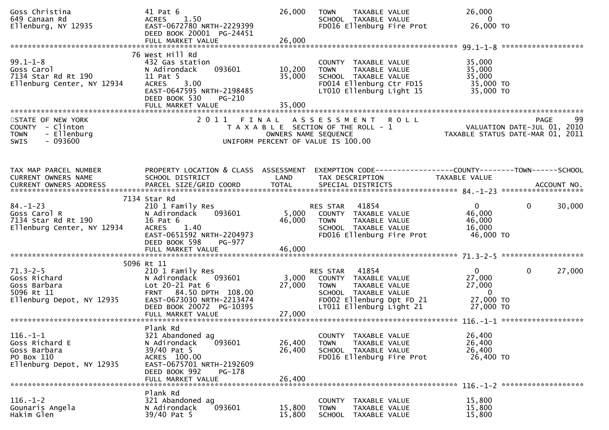| Goss Christina<br>649 Canaan Rd<br>Ellenburg, NY 12935                                                          | 41 Pat 6<br>ACRES 1.50<br>EAST-0672780 NRTH-2229399<br>DEED BOOK 20001 PG-24451<br>FULL MARKET VALUE                                                                | 26,000<br>26,000           | <b>TOWN</b><br>TAXABLE VALUE<br>SCHOOL TAXABLE VALUE<br>FD016 Ellenburg Fire Prot                                                                                                                                                                       | 26,000<br>$\overline{\phantom{0}}$<br>26,000 TO                                 |              |        |
|-----------------------------------------------------------------------------------------------------------------|---------------------------------------------------------------------------------------------------------------------------------------------------------------------|----------------------------|---------------------------------------------------------------------------------------------------------------------------------------------------------------------------------------------------------------------------------------------------------|---------------------------------------------------------------------------------|--------------|--------|
|                                                                                                                 |                                                                                                                                                                     |                            |                                                                                                                                                                                                                                                         |                                                                                 |              |        |
| $99.1 - 1 - 8$<br>Goss Carol<br>7134 Star Rd Rt 190<br>Ellenburg Center, NY 12934<br>Ellenburg Center, NY 12934 | 76 West Hill Rd<br>432 Gas station<br>093601<br>N Adirondack<br>11 Pat 5<br>ACRES 3.00<br>EAST-0647595 NRTH-2198485<br>DEED BOOK 530<br>PG-210<br>FULL MARKET VALUE | 10,200<br>35,000<br>35,000 | COUNTY TAXABLE VALUE<br>TAXABLE VALUE<br>TOWN<br>SCHOOL TAXABLE VALUE<br>FD014 Ellenburg Ctr FD15<br>LT010 Ellenburg Light 15                                                                                                                           | 35,000<br>35,000<br>35,000<br>35,000 TO<br>35,000 TO                            |              |        |
|                                                                                                                 |                                                                                                                                                                     |                            |                                                                                                                                                                                                                                                         |                                                                                 |              |        |
| STATE OF NEW YORK<br>COUNTY - Clinton<br>- Ellenburg<br><b>TOWN</b><br>$-093600$<br>SWIS                        |                                                                                                                                                                     |                            | 2011 FINAL ASSESSMENT ROLL<br>ב יא אייך אין א דאר א בין א בין דאר א דאר א דאר א דאר א דאר א דאר א דאר א דאר א דאר א דאר א דאר א דאר א דאר בי<br>101, 2010 VALUATION DATE-JUL 01, 2010<br>103 OWNERS NAME SEQUENCE<br>UNIFORM PERCENT OF VALUE IS 100.00 |                                                                                 | <b>PAGE</b>  | 99     |
| TAX MAP PARCEL NUMBER<br>CURRENT OWNERS NAME                                                                    | PROPERTY LOCATION & CLASS ASSESSMENT<br>SCHOOL DISTRICT                                                                                                             | <b>Example 12</b>          | TAX DESCRIPTION                                                                                                                                                                                                                                         | EXEMPTION CODE------------------COUNTY--------TOWN------SCHOOL<br>TAXABLE VALUE |              |        |
|                                                                                                                 |                                                                                                                                                                     |                            |                                                                                                                                                                                                                                                         |                                                                                 |              |        |
| $84. - 1 - 23$<br>Goss Carol R<br>7134 Star Rd Rt 190<br>Contor NY 12934<br>Ellenburg Center, NY 12934          | 7134 Star Rd<br>210 1 Family Res<br>N Adirondack<br>093601<br>16 Pat 6<br>ACRES 1.40<br>EAST-0651592 NRTH-2204973<br>DEED BOOK 598<br>PG-977                        | 46,000                     | RES STAR 41854<br>5,000 COUNTY TAXABLE VALUE<br><b>TOWN</b><br>TAXABLE VALUE<br>SCHOOL TAXABLE VALUE<br>FD016 Ellenburg Fire Prot                                                                                                                       | $\mathbf{0}$<br>46,000<br>46,000<br>16,000<br>46,000 TO                         | $\mathbf 0$  | 30,000 |
|                                                                                                                 | FULL MARKET VALUE                                                                                                                                                   | 46,000                     |                                                                                                                                                                                                                                                         |                                                                                 |              |        |
|                                                                                                                 |                                                                                                                                                                     |                            |                                                                                                                                                                                                                                                         |                                                                                 |              |        |
| 71.3-2-5<br>Goss Richard<br>Goss Barbara<br>5096 Rt 11<br>Ellenburg Depot, NY 12935<br>EAST-0673030 NRT         | 5096 Rt 11<br>210 1 Family Res<br>093601<br>FRNT 84.50 DPTH 108.00<br>EAST-0673030 NRTH-2213474                                                                     | 27,000                     | RES STAR 41854<br>3,000 COUNTY TAXABLE VALUE<br>TAXABLE VALUE<br>TOWN<br>SCHOOL TAXABLE VALUE<br>FD002 Ellenburg Dpt FD 21                                                                                                                              | 0<br>27,000<br>27,000<br>$\overline{\phantom{0}}$<br>27,000 TO                  | $\mathbf{0}$ | 27,000 |
|                                                                                                                 | DEED BOOK 20072 PG-10395                                                                                                                                            |                            | LT011 Ellenburg Light 21                                                                                                                                                                                                                                | 27,000 TO                                                                       |              |        |
| $116. - 1 - 1$<br>Goss Richard E<br>Goss Barbara<br>PO Box 110<br>Ellenburg Depot, NY 12935                     | Plank Rd<br>321 Abandoned ag<br>N Adirondack<br>093601<br>39/40 Pat 5<br>ACRES 100.00<br>EAST-0675701 NRTH-2192609<br>DEED BOOK 992<br>PG-178<br>FULL MARKET VALUE  | 26,400<br>26,400<br>26,400 | COUNTY TAXABLE VALUE<br><b>TOWN</b><br>TAXABLE VALUE<br>SCHOOL TAXABLE VALUE<br>FD016 Ellenburg Fire Prot                                                                                                                                               | 26,400<br>26,400<br>26,400<br>26,400 TO                                         |              |        |
|                                                                                                                 | Plank Rd                                                                                                                                                            |                            |                                                                                                                                                                                                                                                         |                                                                                 |              |        |
| $116. - 1 - 2$<br>Gounaris Angela<br>Hakim Glen                                                                 | 321 Abandoned ag<br>N Adirondack<br>093601<br>39/40 Pat 5                                                                                                           | 15,800<br>15,800           | COUNTY TAXABLE VALUE<br>TAXABLE VALUE<br><b>TOWN</b><br><b>SCHOOL</b><br>TAXABLE VALUE                                                                                                                                                                  | 15,800<br>15,800<br>15,800                                                      |              |        |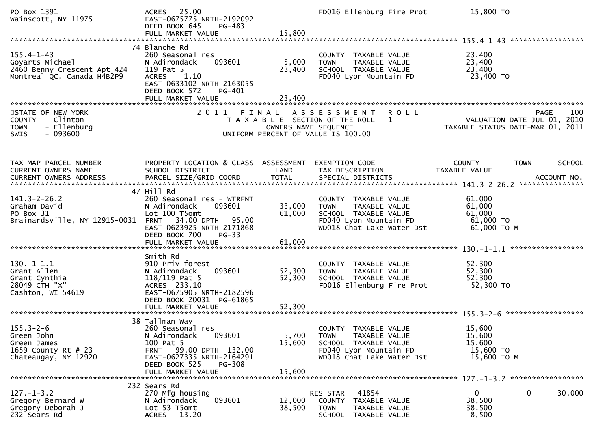| PO Box 1391<br>Wainscott, NY 11975                                                               | ACRES 25.00<br>EAST-0675775 NRTH-2192092<br>DEED BOOK 645<br>PG-483<br>FULL MARKET VALUE                                                                                                  | 15,800                     | FD016 Ellenburg Fire Prot                                                                                                           | 15,800 TO                                                       |                    |
|--------------------------------------------------------------------------------------------------|-------------------------------------------------------------------------------------------------------------------------------------------------------------------------------------------|----------------------------|-------------------------------------------------------------------------------------------------------------------------------------|-----------------------------------------------------------------|--------------------|
|                                                                                                  |                                                                                                                                                                                           |                            |                                                                                                                                     |                                                                 |                    |
| $155.4 - 1 - 43$<br>Goyarts Michael<br>2460 Benny Crescent Apt 424<br>Montreal QC, Canada H4B2P9 | 74 Blanche Rd<br>260 Seasonal res<br>093601<br>N Adirondack<br>119 Pat 5<br>1.10<br><b>ACRES</b><br>EAST-0633102 NRTH-2163055<br>DEED BOOK 572<br>PG-401                                  | 5,000<br>23,400            | COUNTY TAXABLE VALUE<br>TAXABLE VALUE<br><b>TOWN</b><br>SCHOOL TAXABLE VALUE<br>FD040 Lyon Mountain FD                              | 23,400<br>23,400<br>23,400<br>23,400 TO                         |                    |
|                                                                                                  |                                                                                                                                                                                           |                            |                                                                                                                                     |                                                                 |                    |
| STATE OF NEW YORK<br>COUNTY - Clinton<br>- Ellenburg<br><b>TOWN</b><br>$-093600$<br><b>SWIS</b>  |                                                                                                                                                                                           | OWNERS NAME SEQUENCE       | 2011 FINAL ASSESSMENT ROLL<br>T A X A B L E SECTION OF THE ROLL - 1<br>UNIFORM PERCENT OF VALUE IS 100.00                           | VALUATION DATE-JUL 01, 2010<br>TAXABLE STATUS DATE-MAR 01, 2011 | 100<br><b>PAGE</b> |
| TAX MAP PARCEL NUMBER<br>CURRENT OWNERS NAME                                                     | PROPERTY LOCATION & CLASS ASSESSMENT<br>SCHOOL DISTRICT                                                                                                                                   | LAND                       | EXEMPTION CODE------------------COUNTY--------TOWN------SCHOOL<br>TAX DESCRIPTION                                                   | TAXABLE VALUE                                                   |                    |
| $141.3 - 2 - 26.2$<br>Graham David<br>PO Box 31<br>Brainardsville, NY 12915-0031                 | 47 Hill Rd<br>260 Seasonal res - WTRFNT<br>093601<br>N Adirondack<br>Lot 100 T5omt<br>FRNT 34.00 DPTH 95.00<br>EAST-0623925 NRTH-2171868<br>DEED BOOK 700<br>$PG-33$<br>FULL MARKET VALUE | 33,000<br>61,000<br>61,000 | COUNTY TAXABLE VALUE<br>TAXABLE VALUE<br><b>TOWN</b><br>SCHOOL TAXABLE VALUE<br>FD040 Lyon Mountain FD<br>WD018 Chat Lake Water Dst | 61,000<br>61,000<br>61,000<br>$61,000$ TO<br>61,000 ТО М        |                    |
|                                                                                                  |                                                                                                                                                                                           |                            |                                                                                                                                     |                                                                 |                    |
| $130. - 1 - 1.1$<br>Grant Allen<br>Grant Cynthia<br>28049 CTH "X"<br>Cashton, WI 54619           | Smith Rd<br>910 Priv forest<br>093601<br>N Adirondack<br>$118/119$ Pat 5<br>ACRES 233.10<br>EAST-0675905 NRTH-2182596<br>DEED BOOK 20031 PG-61865                                         | 52,300<br>52,300           | COUNTY TAXABLE VALUE<br>TAXABLE VALUE<br><b>TOWN</b><br>SCHOOL TAXABLE VALUE<br>FD016 Ellenburg Fire Prot                           | 52,300<br>52,300<br>52,300<br>52,300 TO                         |                    |
|                                                                                                  |                                                                                                                                                                                           |                            |                                                                                                                                     |                                                                 |                    |
| $155.3 - 2 - 6$<br>Green John<br>Green James<br>1659 County Rt # 23<br>Chateaugay, NY 12920      | 38 Tallman Way<br>260 Seasonal res<br>093601<br>N Adirondack<br>100 Pat 5<br>FRNT 99.00 DPTH 132.00<br>EAST-0627335 NRTH-2164291<br>DEED BOOK 525<br><b>PG-308</b><br>FULL MARKET VALUE   | 5,700<br>15,600<br>15,600  | COUNTY TAXABLE VALUE<br><b>TOWN</b><br>TAXABLE VALUE<br>SCHOOL TAXABLE VALUE<br>FD040 Lyon Mountain FD<br>WD018 Chat Lake Water Dst | 15,600<br>15,600<br>15,600<br>15,600 TO<br>15,600 TO M          |                    |
|                                                                                                  |                                                                                                                                                                                           |                            |                                                                                                                                     |                                                                 |                    |
| $127. - 1 - 3.2$<br>Gregory Bernard W<br>Gregory Deborah J<br>232 Sears Rd                       | 232 Sears Rd<br>270 Mfg housing<br>093601<br>N Adirondack<br>Lot 53 T5omt<br>ACRES 13.20                                                                                                  | 12,000<br>38,500           | 41854<br>RES STAR<br>COUNTY TAXABLE VALUE<br><b>TOWN</b><br>TAXABLE VALUE<br><b>SCHOOL</b><br>TAXABLE VALUE                         | $\mathbf{0}$<br>38,500<br>38,500<br>8,500                       | 30,000<br>0        |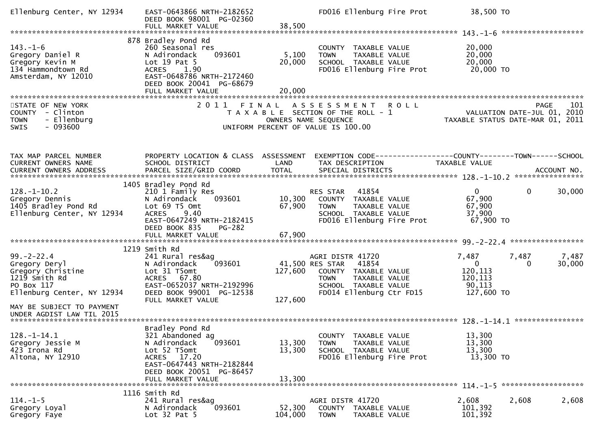| Ellenburg Center, NY 12934                                                                                          | EAST-0643866 NRTH-2182652<br>DEED BOOK 98001 PG-02360<br>FULL MARKET VALUE                                                                                                                  | 38,500                     | FD016 Ellenburg Fire Prot                                                                                                                                       |             | 38,500 TO                                                           |                                                                                       |
|---------------------------------------------------------------------------------------------------------------------|---------------------------------------------------------------------------------------------------------------------------------------------------------------------------------------------|----------------------------|-----------------------------------------------------------------------------------------------------------------------------------------------------------------|-------------|---------------------------------------------------------------------|---------------------------------------------------------------------------------------|
|                                                                                                                     |                                                                                                                                                                                             |                            |                                                                                                                                                                 |             |                                                                     | *******************                                                                   |
| $143. - 1 - 6$<br>Gregory Daniel R<br>Gregory Kevin M<br>134 Hammondtown Rd<br>Amsterdam, NY 12010                  | 878 Bradley Pond Rd<br>260 Seasonal res<br>N Adirondack<br>093601<br>Lot $19$ Pat $5$<br>1.90<br><b>ACRES</b><br>EAST-0648786 NRTH-2172460<br>DEED BOOK 20041 PG-68679<br>FULL MARKET VALUE | 5,100<br>20,000<br>20,000  | COUNTY TAXABLE VALUE<br>TAXABLE VALUE<br><b>TOWN</b><br>SCHOOL TAXABLE VALUE<br>FD016 Ellenburg Fire Prot                                                       |             | 20,000<br>20,000<br>20,000<br>20,000 TO                             |                                                                                       |
|                                                                                                                     |                                                                                                                                                                                             |                            |                                                                                                                                                                 |             |                                                                     |                                                                                       |
| STATE OF NEW YORK<br>COUNTY - Clinton<br>- Ellenburg<br><b>TOWN</b><br>$-093600$<br><b>SWIS</b>                     | 2011 FINAL                                                                                                                                                                                  |                            | A S S E S S M E N T<br>T A X A B L E SECTION OF THE ROLL - 1<br>OWNERS NAME SEQUENCE<br>UNIFORM PERCENT OF VALUE IS 100.00                                      | <b>ROLL</b> |                                                                     | 101<br><b>PAGE</b><br>VALUATION DATE-JUL 01, 2010<br>TAXABLE STATUS DATE-MAR 01, 2011 |
| TAX MAP PARCEL NUMBER<br>CURRENT OWNERS NAME                                                                        | PROPERTY LOCATION & CLASS ASSESSMENT<br>SCHOOL DISTRICT                                                                                                                                     | LAND                       | TAX DESCRIPTION                                                                                                                                                 |             | TAXABLE VALUE                                                       | EXEMPTION CODE-----------------COUNTY-------TOWN------SCHOOL                          |
|                                                                                                                     | 1405 Bradley Pond Rd                                                                                                                                                                        |                            |                                                                                                                                                                 |             |                                                                     |                                                                                       |
| $128. - 1 - 10.2$<br>Gregory Dennis<br>1405 Bradley Pond Rd<br>Ellenburg Center, NY 12934                           | 210 1 Family Res<br>N Adirondack<br>093601<br>Lot 69 T5 Omt<br>9.40<br><b>ACRES</b><br>EAST-0647249 NRTH-2182415<br>DEED BOOK 835<br><b>PG-282</b>                                          | 10,300<br>67,900           | 41854<br>RES STAR<br>COUNTY TAXABLE VALUE<br>TAXABLE VALUE<br><b>TOWN</b><br>SCHOOL TAXABLE VALUE<br>FD016 Ellenburg Fire Prot                                  |             | $\overline{0}$<br>67,900<br>67,900<br>37,900<br>67,900 TO           | 0<br>30,000                                                                           |
|                                                                                                                     | FULL MARKET VALUE                                                                                                                                                                           | 67,900                     |                                                                                                                                                                 |             |                                                                     |                                                                                       |
|                                                                                                                     |                                                                                                                                                                                             |                            |                                                                                                                                                                 |             |                                                                     |                                                                                       |
| $99. - 2 - 22.4$<br>Gregory Deryl<br>Gregory Christine<br>1219 Smith Rd<br>PO Box 117<br>Ellenburg Center, NY 12934 | 1219 Smith Rd<br>241 Rural res&ag<br>N Adirondack<br>093601<br>Lot 31 T5omt<br>ACRES 67.80<br>EAST-0652037 NRTH-2192996<br>DEED BOOK 99001 PG-12538<br>FULL MARKET VALUE                    | 127,600<br>127,600         | AGRI DISTR 41720<br>41,500 RES STAR<br>41854<br>COUNTY TAXABLE VALUE<br><b>TOWN</b><br><b>TAXABLE VALUE</b><br>SCHOOL TAXABLE VALUE<br>FD014 Ellenburg Ctr FD15 |             | 7,487<br>$\mathbf{0}$<br>120,113<br>120,113<br>90,113<br>127,600 TO | 7,487<br>7,487<br>30,000<br>0                                                         |
| MAY BE SUBJECT TO PAYMENT<br>UNDER AGDIST LAW TIL 2015                                                              |                                                                                                                                                                                             |                            |                                                                                                                                                                 |             |                                                                     |                                                                                       |
| $128. - 1 - 14.1$<br>Gregory Jessie M<br>423 Irona Rd<br>Altona, NY 12910                                           | Bradley Pond Rd<br>321 Abandoned ag<br>N Adirondack<br>093601<br>Lot 52 T5omt<br>ACRES 17.20<br>EAST-0647443 NRTH-2182844<br>DEED BOOK 20051 PG-86457<br>FULL MARKET VALUE                  | 13,300<br>13,300<br>13,300 | TAXABLE VALUE<br><b>COUNTY</b><br><b>TOWN</b><br>TAXABLE VALUE<br>SCHOOL TAXABLE VALUE<br>FD016 Ellenburg Fire Prot                                             |             | 13,300<br>13,300<br>13,300<br>13,300 TO                             |                                                                                       |
|                                                                                                                     | 1116 Smith Rd                                                                                                                                                                               |                            |                                                                                                                                                                 |             |                                                                     |                                                                                       |
| $114. - 1 - 5$<br>Gregory Loyal<br>Gregory Faye                                                                     | 241 Rural res&ag<br>093601<br>N Adirondack<br>Lot $32$ Pat $5$                                                                                                                              | 52,300<br>104,000          | AGRI DISTR 41720<br>COUNTY TAXABLE VALUE<br><b>TOWN</b><br>TAXABLE VALUE                                                                                        |             | 2,608<br>101,392<br>101,392                                         | 2,608<br>2,608                                                                        |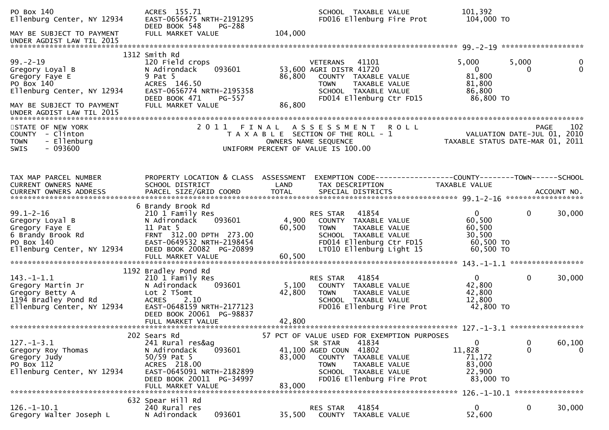| PO Box 140<br>Ellenburg Center, NY 12934                                                                              | ACRES 155.71<br>EAST-0656475 NRTH-2191295<br>DEED BOOK 548<br>PG-288                                                                                                                    |                           | SCHOOL TAXABLE VALUE<br>FD016 Ellenburg Fire Prot                                                                                                                 | 101,392<br>104,000 TO                                                |                                                                                       |
|-----------------------------------------------------------------------------------------------------------------------|-----------------------------------------------------------------------------------------------------------------------------------------------------------------------------------------|---------------------------|-------------------------------------------------------------------------------------------------------------------------------------------------------------------|----------------------------------------------------------------------|---------------------------------------------------------------------------------------|
| MAY BE SUBJECT TO PAYMENT<br>UNDER AGDIST LAW TIL 2015                                                                | FULL MARKET VALUE                                                                                                                                                                       | 104,000                   |                                                                                                                                                                   |                                                                      |                                                                                       |
|                                                                                                                       | 1312 Smith Rd                                                                                                                                                                           |                           |                                                                                                                                                                   |                                                                      |                                                                                       |
| $99. - 2 - 19$<br>Gregory Loyal B<br>Gregory Faye E<br>PO Box 140<br>Ellenburg Center, NY 12934                       | 120 Field crops<br>093601<br>N Adirondack<br>9 Pat 5<br>ACRES 146.50<br>EAST-0656774 NRTH-2195358<br>DEED BOOK 471<br>PG-557                                                            | 86,800                    | <b>VETERANS</b><br>41101<br>53,600 AGRI DISTR 41720<br>COUNTY TAXABLE VALUE<br>TAXABLE VALUE<br><b>TOWN</b><br>SCHOOL TAXABLE VALUE<br>FD014 Ellenburg Ctr FD15   | 5,000<br>$\overline{0}$<br>81,800<br>81,800<br>86,800<br>86,800 TO   | 5,000<br>0<br>$\mathbf{0}$<br>0                                                       |
| MAY BE SUBJECT TO PAYMENT<br>UNDER AGDIST LAW TIL 2015                                                                | FULL MARKET VALUE                                                                                                                                                                       | 86,800                    |                                                                                                                                                                   |                                                                      |                                                                                       |
| STATE OF NEW YORK<br>COUNTY - Clinton<br>- Ellenburg<br><b>TOWN</b><br>$-093600$<br>SWIS                              |                                                                                                                                                                                         |                           | 2011 FINAL ASSESSMENT ROLL<br>T A X A B L E SECTION OF THE ROLL - 1<br>OWNERS NAME SEQUENCE<br>UNIFORM PERCENT OF VALUE IS 100.00                                 |                                                                      | 102<br><b>PAGE</b><br>VALUATION DATE-JUL 01, 2010<br>TAXABLE STATUS DATE-MAR 01, 2011 |
|                                                                                                                       |                                                                                                                                                                                         |                           |                                                                                                                                                                   |                                                                      |                                                                                       |
| TAX MAP PARCEL NUMBER<br>CURRENT OWNERS NAME                                                                          | PROPERTY LOCATION & CLASS ASSESSMENT<br>SCHOOL DISTRICT                                                                                                                                 | LAND                      | EXEMPTION CODE-----------------COUNTY-------TOWN------SCHOOL<br>TAX DESCRIPTION                                                                                   | TAXABLE VALUE                                                        |                                                                                       |
| <b>CURRENT OWNERS ADDRESS</b>                                                                                         |                                                                                                                                                                                         |                           |                                                                                                                                                                   |                                                                      |                                                                                       |
|                                                                                                                       | 6 Brandy Brook Rd                                                                                                                                                                       |                           |                                                                                                                                                                   |                                                                      |                                                                                       |
| $99.1 - 2 - 16$<br>Gregory Loyal B<br>Gregory Faye E<br>6 Brandy Brook Rd<br>PO Box 140<br>Ellenburg Center, NY 12934 | 210 1 Family Res<br>093601<br>N Adirondack<br>11 Pat 5<br>FRNT 312.00 DPTH 273.00<br>EAST-0649532 NRTH-2198454<br>DEED BOOK 20082 PG-20899<br>FULL MARKET VALUE                         | 4,900<br>60,500<br>60,500 | RES STAR<br>41854<br>COUNTY TAXABLE VALUE<br>TAXABLE VALUE<br>TOWN<br>SCHOOL TAXABLE VALUE<br>FD014 Ellenburg Ctr FD15<br>LT010 Ellenburg Light 15                | $\mathbf{0}$<br>60,500<br>60,500<br>30,500<br>60,500 TO<br>60,500 TO | $\mathbf 0$<br>30,000                                                                 |
|                                                                                                                       |                                                                                                                                                                                         |                           |                                                                                                                                                                   |                                                                      |                                                                                       |
| $143. - 1 - 1.1$<br>Gregory Martin Jr<br>Gregory Betty A<br>1194 Bradley Pond Rd<br>Ellenburg Center, NY 12934        | 1192 Bradley Pond Rd<br>210 1 Family Res<br>N Adirondack<br>093601<br>Lot 2 T5omt<br><b>ACRES</b><br>2.10<br>EAST-0648159 NRTH-2177123<br>DEED BOOK 20061 PG-98837<br>FULL MARKET VALUE | 5,100<br>42,800<br>42,800 | 41854<br>RES STAR<br>COUNTY TAXABLE VALUE<br><b>TOWN</b><br>TAXABLE VALUE<br>SCHOOL TAXABLE VALUE<br>FD016 Ellenburg Fire Prot                                    | $\mathbf{0}$<br>42,800<br>42,800<br>12,800<br>42,800 TO              | $\mathbf 0$<br>30,000                                                                 |
|                                                                                                                       | 202 Sears Rd                                                                                                                                                                            |                           | 57 PCT OF VALUE USED FOR EXEMPTION PURPOSES                                                                                                                       |                                                                      |                                                                                       |
| $127. - 1 - 3.1$<br>Gregory Roy Thomas<br>Gregory Judy<br>PO Box 112<br>Ellenburg Center, NY 12934                    | 241 Rural res&ag<br>093601<br>N Adirondack<br>$50/59$ Pat 5<br>ACRES 218.00<br>EAST-0645091 NRTH-2182899<br>DEED BOOK 20011 PG-34997<br>FULL MARKET VALUE                               | 83,000<br>83,000          | 41834<br>SR STAR<br>41,100 AGED COUN 41802<br><b>COUNTY</b><br>TAXABLE VALUE<br><b>TOWN</b><br>TAXABLE VALUE<br>SCHOOL TAXABLE VALUE<br>FD016 Ellenburg Fire Prot | 0<br>11,828<br>71,172<br>83,000<br>22,900<br>83,000 TO               | 0<br>60,100<br>$\mathbf 0$<br>$\overline{0}$                                          |
|                                                                                                                       |                                                                                                                                                                                         |                           |                                                                                                                                                                   |                                                                      |                                                                                       |
| $126. - 1 - 10.1$<br>Gregory Walter Joseph L                                                                          | 632 Spear Hill Rd<br>240 Rural res<br>093601<br>N Adirondack                                                                                                                            | 35,500                    | 41854<br>RES STAR<br>COUNTY<br>TAXABLE VALUE                                                                                                                      | $\overline{0}$<br>52,600                                             | 0<br>30,000                                                                           |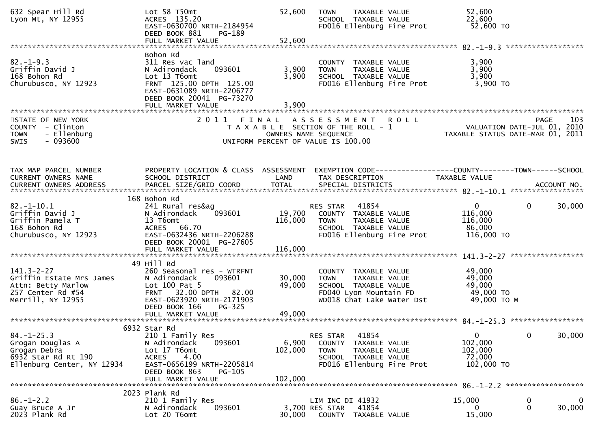| 632 Spear Hill Rd<br>Lyon Mt, NY 12955                                                                       | $Lot$ 58 $T50mt$<br>ACRES 135.20<br>EAST-0630700 NRTH-2184954<br>DEED BOOK 881<br>$PG-189$<br>FULL MARKET VALUE                                                                 | 52,600<br>52,600             | <b>TOWN</b><br>TAXABLE VALUE<br>SCHOOL TAXABLE VALUE<br>FD016 Ellenburg Fire Prot                                                   | 52,600<br>22,600<br>52,600 TO                                                         |     |
|--------------------------------------------------------------------------------------------------------------|---------------------------------------------------------------------------------------------------------------------------------------------------------------------------------|------------------------------|-------------------------------------------------------------------------------------------------------------------------------------|---------------------------------------------------------------------------------------|-----|
| $82. - 1 - 9.3$<br>Griffin David J<br>168 Bohon Rd<br>Churubusco, NY 12923                                   | Bohon Rd<br>311 Res vac land<br>093601<br>N Adirondack<br>Lot 13 T6omt<br>FRNT 125.00 DPTH 125.00<br>EAST-0631089 NRTH-2206777<br>DEED BOOK 20041 PG-73270<br>FULL MARKET VALUE | 3,900<br>3,900<br>3,900      | COUNTY TAXABLE VALUE<br><b>TOWN</b><br>TAXABLE VALUE<br>SCHOOL TAXABLE VALUE<br>FD016 Ellenburg Fire Prot                           | 3,900<br>3,900<br>3,900<br>$3,900$ TO                                                 |     |
| STATE OF NEW YORK<br>COUNTY - Clinton<br>- Ellenburg<br><b>TOWN</b><br>$-093600$<br><b>SWIS</b>              | 2011 FINAL                                                                                                                                                                      |                              | ASSESSMENT ROLL<br>T A X A B L E SECTION OF THE ROLL - 1<br>OWNERS NAME SEQUENCE<br>UNIFORM PERCENT OF VALUE IS 100.00              | <b>PAGE</b><br>VALUATION DATE-JUL 01, 2010<br>TAXABLE STATUS DATE-MAR 01, 2011        | 103 |
| TAX MAP PARCEL NUMBER<br>CURRENT OWNERS NAME                                                                 | PROPERTY LOCATION & CLASS ASSESSMENT<br>SCHOOL DISTRICT                                                                                                                         | LAND                         | TAX DESCRIPTION                                                                                                                     | EXEMPTION CODE-----------------COUNTY--------TOWN------SCHOOL<br>TAXABLE VALUE        |     |
| $82.-1-10.1$<br>Griffin David J<br>Griffin Pamela T<br>168 Bohon Rd<br>Churubusco, NY 12923                  | 168 Bohon Rd<br>241 Rural res&ag<br>093601<br>N Adirondack<br>13 T6omt<br>ACRES 66.70<br>EAST-0632436 NRTH-2206288<br>DEED BOOK 20001 PG-27605<br>FULL MARKET VALUE             | 19,700<br>116,000<br>116,000 | 41854<br>RES STAR<br>COUNTY TAXABLE VALUE<br>TAXABLE VALUE<br>TOWN<br>SCHOOL TAXABLE VALUE<br>FD016 Ellenburg Fire Prot             | $\overline{0}$<br>$\mathbf 0$<br>30,000<br>116,000<br>116,000<br>86,000<br>116,000 TO |     |
| $141.3 - 2 - 27$<br>Griffin Estate Mrs James<br>Attn: Betty Marlow<br>257 Center Rd #54<br>Merrill, NY 12955 | 49 Hill Rd<br>260 Seasonal res - WTRFNT<br>093601<br>N Adirondack<br>Lot 100 Pat 5<br>FRNT 32.00 DPTH 82.00<br>EAST-0623920 NRTH-2171903<br>DEED BOOK 166<br>PG-325             | 30,000<br>49,000             | COUNTY TAXABLE VALUE<br>TAXABLE VALUE<br><b>TOWN</b><br>SCHOOL TAXABLE VALUE<br>FD040 Lyon Mountain FD<br>WD018 Chat Lake Water Dst | 49,000<br>49,000<br>49,000<br>49,000 TO<br>49,000 ТО М                                |     |
| $84. - 1 - 25.3$<br>Grogan Douglas A<br>Grogan Debra<br>6932 Star Rd Rt 190<br>Ellenburg Center, NY 12934    | 6932 Star Rd<br>210 1 Family Res<br>093601<br>N Adirondack<br>Lot 17 T6omt<br>4.00<br><b>ACRES</b><br>EAST-0656199 NRTH-2205814<br>DEED BOOK 863<br>PG-105<br>FULL MARKET VALUE | 6,900<br>102,000<br>102,000  | 41854<br>RES STAR<br>COUNTY TAXABLE VALUE<br><b>TOWN</b><br>TAXABLE VALUE<br>SCHOOL TAXABLE VALUE<br>FD016 Ellenburg Fire Prot      | $\overline{0}$<br>0<br>30,000<br>102,000<br>102,000<br>72,000<br>102,000 TO           |     |
| $86. - 1 - 2.2$<br>Guay Bruce A Jr<br>2023 Plank Rd                                                          | 2023 Plank Rd<br>210 1 Family Res<br>093601<br>N Adirondack<br>Lot 20 T6omt                                                                                                     | 30,000                       | LIM INC DI 41932<br>3,700 RES STAR<br>41854<br>COUNTY TAXABLE VALUE                                                                 | 15,000<br>0<br>0<br>30,000<br>$\mathbf{0}$<br>15,000                                  | 0   |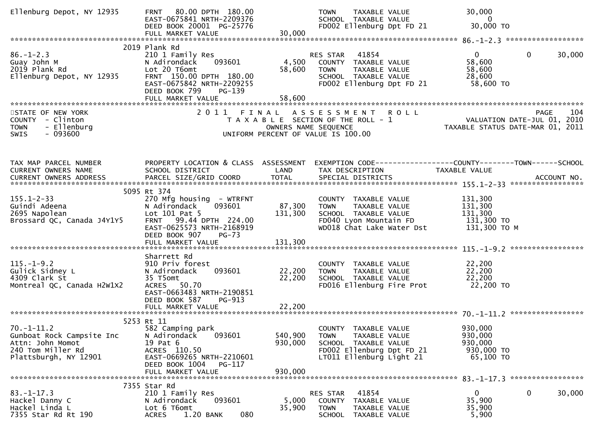| Ellenburg Depot, NY 12935                                                                                       | 80.00 DPTH 180.00<br><b>FRNT</b><br>EAST-0675841 NRTH-2209376<br>DEED BOOK 20001 PG-25776<br>FULL MARKET VALUE                                                                                  | 30,000                        | <b>TOWN</b><br>TAXABLE VALUE<br>SCHOOL TAXABLE VALUE<br>FD002 Ellenburg Dpt FD 21                                                     | 30,000<br>$\overline{\mathbf{0}}$<br>30,000 TO                                                            |                    |
|-----------------------------------------------------------------------------------------------------------------|-------------------------------------------------------------------------------------------------------------------------------------------------------------------------------------------------|-------------------------------|---------------------------------------------------------------------------------------------------------------------------------------|-----------------------------------------------------------------------------------------------------------|--------------------|
| $86. - 1 - 2.3$<br>Guay John M<br>2019 Plank Rd<br>Ellenburg Depot, NY 12935                                    | 2019 Plank Rd<br>210 1 Family Res<br>093601<br>N Adirondack<br>Lot 20 T6omt<br>FRNT 150.00 DPTH 180.00<br>EAST-0675842 NRTH-2209255<br>DEED BOOK 799<br>PG-139                                  | 4,500<br>58,600               | 41854<br>RES STAR<br>COUNTY TAXABLE VALUE<br><b>TOWN</b><br>TAXABLE VALUE<br>SCHOOL TAXABLE VALUE<br>FD002 Ellenburg Dpt FD 21        | $\mathbf{0}$<br>58,600<br>58,600<br>28,600<br>58,600 TO                                                   | $\Omega$<br>30,000 |
| STATE OF NEW YORK<br>COUNTY - Clinton<br>- Ellenburg<br><b>TOWN</b><br>$-093600$<br>SWIS                        |                                                                                                                                                                                                 |                               | 2011 FINAL ASSESSMENT ROLL<br>T A X A B L E SECTION OF THE ROLL - 1<br>OWNERS NAME SEQUENCE<br>UNIFORM PERCENT OF VALUE IS 100.00     | PAGE 104<br>VALUATION DATE-JUL 01, 2010<br>TAXARLE STATILE DATE  2010<br>TAXABLE STATUS DATE-MAR 01, 2011 |                    |
| TAX MAP PARCEL NUMBER<br>CURRENT OWNERS NAME                                                                    | PROPERTY LOCATION & CLASS ASSESSMENT<br>SCHOOL DISTRICT                                                                                                                                         | LAND                          | EXEMPTION CODE-----------------COUNTY-------TOWN------SCHOOL<br>TAX DESCRIPTION                                                       | <b>TAXABLE VALUE</b>                                                                                      |                    |
| $155.1 - 2 - 33$<br>Guindi Adeena<br>2695 Napolean<br>Brossard QC, Canada J4Y1Y5                                | 5095 Rt 374<br>270 Mfg housing - WTRFNT<br>093601<br>N Adirondack<br>Lot 101 Pat 5<br>FRNT 99.44 DPTH 224.00<br>EAST-0625573 NRTH-2168919<br>DEED BOOK 907<br><b>PG-73</b><br>FULL MARKET VALUE | 87,300<br>131,300<br>131,300  | COUNTY TAXABLE VALUE<br><b>TOWN</b><br>TAXABLE VALUE<br>SCHOOL TAXABLE VALUE<br>FD040 Lyon Mountain FD<br>WD018 Chat Lake Water Dst   | 131,300<br>131,300<br>131,300<br>131,300 TO<br>131,300 ТО М                                               |                    |
| $115. - 1 - 9.2$<br>Gulick Sidney L<br>4309 Clark St<br>Montreal QC, Canada H2W1X2                              | Sharrett Rd<br>910 Priv forest<br>093601<br>N Adirondack<br>35 T5omt<br>ACRES 50.70<br>EAST-0663483 NRTH-2190851<br>DEED BOOK 587<br>PG-913<br>FULL MARKET VALUE                                | 22,200<br>22,200<br>22,200    | COUNTY TAXABLE VALUE<br>TAXABLE VALUE<br><b>TOWN</b><br>SCHOOL TAXABLE VALUE<br>FD016 Ellenburg Fire Prot                             | 22,200<br>22,200<br>22,200<br>22,200 TO                                                                   |                    |
| $70. - 1 - 11.2$<br>Gunboat Rock Campsite Inc<br>Attn: John Momot<br>240 Tom Miller Rd<br>Plattsburgh, NY 12901 | 5253 Rt 11<br>582 Camping park<br>093601<br>N Adirondack<br>19 Pat 6<br>ACRES 110.50<br>EAST-0669265 NRTH-2210601<br>DEED BOOK 1004<br>PG-117<br>FULL MARKET VALUE                              | 540,900<br>930,000<br>930,000 | COUNTY TAXABLE VALUE<br>TAXABLE VALUE<br><b>TOWN</b><br>SCHOOL TAXABLE VALUE<br>FD002 Ellenburg Dpt FD 21<br>LT011 Ellenburg Light 21 | 930,000<br>930,000<br>930,000<br>930,000 TO<br>65,100 TO                                                  |                    |
| $83. - 1 - 17.3$<br>Hackel Danny C<br>Hackel Linda L<br>7355 Star Rd Rt 190                                     | 7355 Star Rd<br>210 1 Family Res<br>093601<br>N Adirondack<br>Lot 6 T6omt<br>080<br>1.20 BANK<br><b>ACRES</b>                                                                                   | 5,000<br>35,900               | 41854<br>RES STAR<br>COUNTY TAXABLE VALUE<br>TOWN<br>TAXABLE VALUE<br>SCHOOL TAXABLE VALUE                                            | $\mathbf{0}$<br>35,900<br>35,900<br>5,900                                                                 | 30,000<br>0        |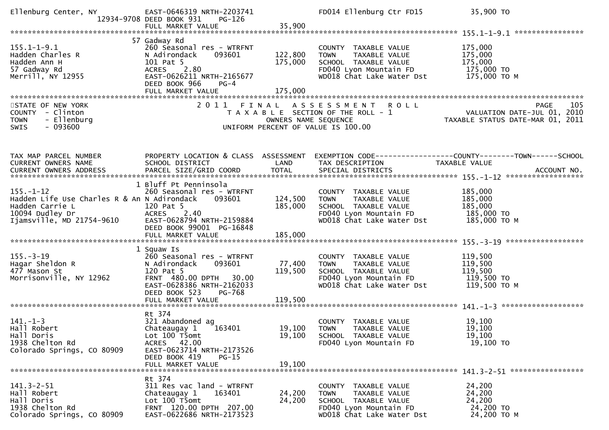| Ellenburg Center, NY                                                                                                           | EAST-0646319 NRTH-2203741<br>12934-9708 DEED BOOK 931<br>PG-126<br>FULL MARKET VALUE                                                                             | 35,900               | FD014 Ellenburg Ctr FD15                                                                                                                    | 35,900 TO                                                                                                  |
|--------------------------------------------------------------------------------------------------------------------------------|------------------------------------------------------------------------------------------------------------------------------------------------------------------|----------------------|---------------------------------------------------------------------------------------------------------------------------------------------|------------------------------------------------------------------------------------------------------------|
|                                                                                                                                |                                                                                                                                                                  |                      |                                                                                                                                             |                                                                                                            |
| $155.1 - 1 - 9.1$<br>Hadden Charles R<br>Hadden Ann H<br>57 Gadway Rd<br>Merrill, NY 12955                                     | 57 Gadway Rd<br>260 Seasonal res - WTRFNT<br>N Adirondack<br>093601<br>101 Pat 5<br>ACRES 2.80<br>EAST-0626211 NRTH-2165677<br>DEED BOOK 966<br>$PG-4$           | 122,800<br>175,000   | COUNTY TAXABLE VALUE<br>TAXABLE VALUE<br><b>TOWN</b><br>SCHOOL TAXABLE VALUE<br>FD040 Lyon Mountain FD<br>WD018 Chat Lake Water Dst         | 175,000<br>175,000<br>175,000<br>175,000 TO<br>175,000 то м                                                |
|                                                                                                                                | FULL MARKET VALUE                                                                                                                                                | 175,000              |                                                                                                                                             |                                                                                                            |
| STATE OF NEW YORK<br>COUNTY - Clinton<br>- Ellenburg<br><b>TOWN</b><br>$-093600$<br><b>SWIS</b>                                |                                                                                                                                                                  | OWNERS NAME SEQUENCE | 2011 FINAL ASSESSMENT ROLL<br>T A X A B L E SECTION OF THE ROLL - 1<br>UNIFORM PERCENT OF VALUE IS 100.00                                   | 105<br><b>PAGE</b><br>PAGE 105<br>ROLL - 1 VALUATION DATE-JUL 01, 2010<br>TAXABLE STATUS DATE-MAR 01, 2011 |
|                                                                                                                                |                                                                                                                                                                  |                      |                                                                                                                                             |                                                                                                            |
| TAX MAP PARCEL NUMBER<br>CURRENT OWNERS NAME                                                                                   | PROPERTY LOCATION & CLASS ASSESSMENT<br>SCHOOL DISTRICT                                                                                                          | LAND                 | TAX DESCRIPTION                                                                                                                             | EXEMPTION CODE------------------COUNTY--------TOWN------SCHOOL<br>TAXABLE VALUE                            |
|                                                                                                                                |                                                                                                                                                                  |                      |                                                                                                                                             |                                                                                                            |
| $155. -1-12$<br>Hadden Life Use Charles R & An N Adirondack<br>Hadden Carrie L<br>10094 Dudley Dr<br>Ijamsville, MD 21754-9610 | 1 Bluff Pt Penninsola<br>260 Seasonal res - WTRFNT<br>093601<br>120 Pat 5<br>ACRES 2.40<br>EAST-0628794 NRTH-2159884<br>DEED BOOK 99001 PG-16848                 | 124,500<br>185,000   | COUNTY TAXABLE VALUE<br><b>TOWN</b><br>TAXABLE VALUE<br>SCHOOL TAXABLE VALUE<br>SCHOOL TAANDEL WILLE<br>FD040 Lyon Mountain FD 185,000 TO M | 185,000<br>185,000<br>185,000                                                                              |
|                                                                                                                                |                                                                                                                                                                  |                      |                                                                                                                                             |                                                                                                            |
| 155.-3-19<br>Hagar Sheldon R<br>The Mosen St<br>Morrisonville, NY 12962                                                        | 1 Squaw Is<br>260 Seasonal res - WTRFNT<br>093601<br>N Adirondack<br>120 Pat 5<br>FRNT 480.00 DPTH 30.00<br>EAST-0628386 NRTH-2162033<br>DEED BOOK 523<br>PG-768 | 77,400<br>119,500    | COUNTY TAXABLE VALUE<br>TOWN TAXABLE VALUE<br>SCHOOL TAXABLE VALUE<br>FD040 Lyon Mountain FD<br>WD018 Chat Lake Water Dst                   | 119,500<br>119,500<br>119,500<br>119,500 TO<br>119,500 то м                                                |
|                                                                                                                                |                                                                                                                                                                  |                      |                                                                                                                                             |                                                                                                            |
| $141. - 1 - 3$<br>Hall Robert<br>Hall Doris<br>1938 Chelton Rd<br>Colorado Springs, CO 80909                                   | Rt 374<br>321 Abandoned ag<br>Chateaugay 1 163401<br>Lot 100 T5omt<br>ACRES 42.00<br>EAST-0623714 NRTH-2173526<br>DEED BOOK 419<br>$PG-15$                       | 19,100               | COUNTY TAXABLE VALUE<br>19,100 TOWN TAXABLE VALUE<br>SCHOOL TAXABLE VALUE<br>FD040 Lyon Mountain FD                                         | 19,100<br>19,100<br>19,100<br>19,100 TO                                                                    |
|                                                                                                                                | FULL MARKET VALUE                                                                                                                                                | 19,100               |                                                                                                                                             |                                                                                                            |
| $141.3 - 2 - 51$<br>Hall Robert<br>Hall Doris<br>1938 Chelton Rd<br>Colorado Springs, CO 80909                                 | Rt 374<br>311 Res vac land - WTRFNT<br>Chateaugay 1<br>163401<br>Lot 100 T5omt<br>FRNT 120.00 DPTH 207.00<br>EAST-0622686 NRTH-2173523                           | 24,200<br>24,200     | COUNTY TAXABLE VALUE<br>TAXABLE VALUE<br><b>TOWN</b><br>SCHOOL TAXABLE VALUE<br>FD040 Lyon Mountain FD<br>WD018 Chat Lake Water Dst         | 24,200<br>24,200<br>24,200<br>24,200 TO<br>24,200 TO M                                                     |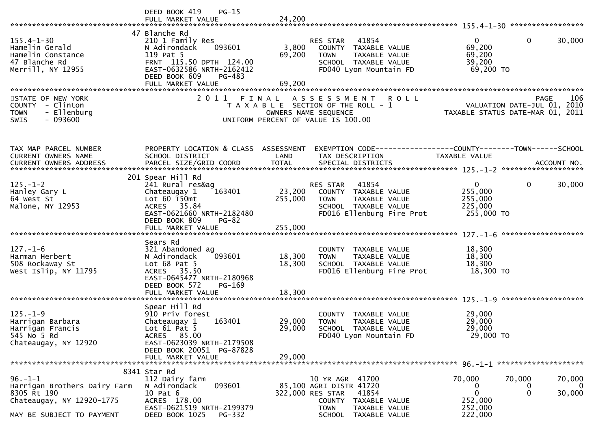|                                                                                                                        | DEED BOOK 419<br>$PG-15$                                                                                                                                                         |                            |                                                                                                                                                         |                                                               |                                                                                |
|------------------------------------------------------------------------------------------------------------------------|----------------------------------------------------------------------------------------------------------------------------------------------------------------------------------|----------------------------|---------------------------------------------------------------------------------------------------------------------------------------------------------|---------------------------------------------------------------|--------------------------------------------------------------------------------|
| $155.4 - 1 - 30$<br>Hamelin Gerald<br>Hamelin Constance<br>47 Blanche Rd<br>Merrill, NY 12955                          | 47 Blanche Rd<br>210 1 Family Res<br>093601<br>N Adirondack<br>119 Pat 5<br>FRNT 115.50 DPTH 124.00<br>EAST-0632586 NRTH-2162412<br>DEED BOOK 609<br>PG-483<br>FULL MARKET VALUE | 3,800<br>69,200<br>69,200  | RES STAR 41854<br>COUNTY TAXABLE VALUE<br><b>TOWN</b><br>TAXABLE VALUE<br>SCHOOL TAXABLE VALUE<br>FD040 Lyon Mountain FD                                | $\mathbf{0}$<br>69,200<br>69,200<br>39,200<br>69,200 TO       | $\mathbf{0}$<br>30,000                                                         |
| STATE OF NEW YORK<br>COUNTY - Clinton<br>- Ellenburg<br><b>TOWN</b><br>$-093600$<br>SWIS                               | 2011 FINAL                                                                                                                                                                       |                            | <b>ROLL</b><br>ASSESSMENT<br>T A X A B L E SECTION OF THE ROLL - 1<br>OWNERS NAME SEQUENCE<br>UNIFORM PERCENT OF VALUE IS 100.00                        |                                                               | 106<br>PAGE<br>VALUATION DATE-JUL 01, 2010<br>TAXABLE STATUS DATE-MAR 01, 2011 |
| TAX MAP PARCEL NUMBER<br><b>CURRENT OWNERS NAME</b>                                                                    | PROPERTY LOCATION & CLASS ASSESSMENT<br>SCHOOL DISTRICT                                                                                                                          | LAND                       | TAX DESCRIPTION                                                                                                                                         | <b>TAXABLE VALUE</b>                                          |                                                                                |
| $125. - 1 - 2$<br>Hanley Gary L<br>64 West St<br>Malone, NY 12953                                                      | 201 Spear Hill Rd<br>241 Rural res&ag<br>163401<br>Chateaugay 1<br>Lot $60$ T50 $m$ t<br>ACRES 35.84<br>EAST-0621660 NRTH-2182480<br>DEED BOOK 809<br><b>PG-82</b>               | 23,200<br>255,000          | 41854<br>RES STAR<br>COUNTY TAXABLE VALUE<br><b>TOWN</b><br><b>TAXABLE VALUE</b><br>SCHOOL TAXABLE VALUE<br>FD016 Ellenburg Fire Prot                   | $\overline{0}$<br>255,000<br>255,000<br>225,000<br>255,000 TO | 30,000<br>$\mathbf{0}$                                                         |
| $127. - 1 - 6$<br>Harman Herbert<br>508 Rockaway St<br>West Islip, NY 11795                                            | Sears Rd<br>321 Abandoned ag<br>093601<br>N Adirondack<br>Lot $68$ Pat $5$<br>ACRES 35.50<br>EAST-0645477 NRTH-2180968<br>DEED BOOK 572<br>PG-169                                | 18,300<br>18,300           | COUNTY TAXABLE VALUE<br><b>TOWN</b><br>TAXABLE VALUE<br>SCHOOL TAXABLE VALUE<br>FD016 Ellenburg Fire Prot                                               | 18,300<br>18,300<br>18,300<br>18,300 TO                       |                                                                                |
| $125. - 1 - 9$<br>Harrigan Barbara<br>Harrigan Francis<br>545 No 5 Rd<br>Chateaugay, NY 12920                          | Spear Hill Rd<br>910 Priv forest<br>163401<br>Chateaugay 1<br>Lot $61$ Pat $5$<br>ACRES 85.00<br>EAST-0623039 NRTH-2179508<br>DEED BOOK 20051 PG-87828<br>FULL MARKET VALUE      | 29,000<br>29,000<br>29,000 | COUNTY TAXABLE VALUE<br>TAXABLE VALUE<br><b>TOWN</b><br>SCHOOL TAXABLE VALUE<br>FD040 Lyon Mountain FD                                                  | 29,000<br>29,000<br>29,000<br>29,000 TO                       |                                                                                |
|                                                                                                                        | 8341 Star Rd                                                                                                                                                                     |                            |                                                                                                                                                         |                                                               |                                                                                |
| $96. - 1 - 1$<br>Harrigan Brothers Dairy Farm<br>8305 Rt 190<br>Chateaugay, NY 12920-1775<br>MAY BE SUBJECT TO PAYMENT | 112 Dairy farm<br>093601<br>N Adirondack<br>10 Pat 6<br>ACRES 178.00<br>EAST-0621519 NRTH-2199379<br>DEED BOOK 1025<br>PG-332                                                    |                            | 10 YR AGR 41700<br>85,100 AGRI DISTR 41720<br>322,000 RES STAR<br>41854<br>COUNTY TAXABLE VALUE<br><b>TOWN</b><br>TAXABLE VALUE<br>SCHOOL TAXABLE VALUE | 70,000<br>0<br>$\mathbf 0$<br>252,000<br>252,000<br>222,000   | 70,000<br>70,000<br>$\overline{0}$<br>0<br>$\Omega$<br>30,000                  |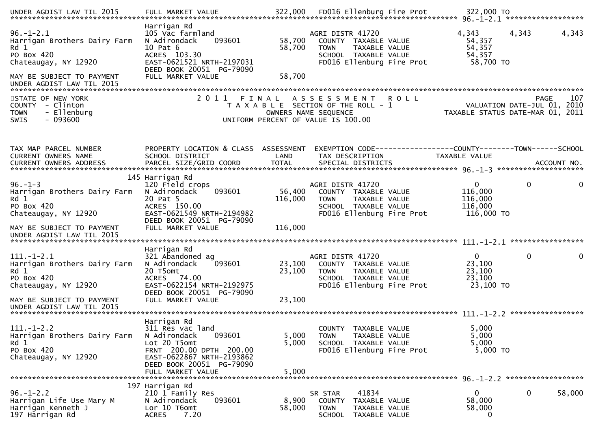| $96. - 1 - 2.1$<br>Harrigan Brothers Dairy Farm<br>Rd 1<br>PO Box 420<br>Chateaugay, NY 12920   | Harrigan Rd<br>105 Vac farmland<br>N Adirondack<br>093601<br>10 Pat 6<br>ACRES 103.30<br>EAST-0621521 NRTH-2197031<br>DEED BOOK 20051 PG-79090                                     | 58,700<br>58,700<br>58,700 | AGRI DISTR 41720<br>COUNTY TAXABLE VALUE<br>TAXABLE VALUE<br><b>TOWN</b><br>SCHOOL TAXABLE VALUE<br>FD016 Ellenburg Fire Prot |             | 4,343<br>54,357<br>54,357<br>54,357<br>58,700 TO                | 4,343        | 4,343  |
|-------------------------------------------------------------------------------------------------|------------------------------------------------------------------------------------------------------------------------------------------------------------------------------------|----------------------------|-------------------------------------------------------------------------------------------------------------------------------|-------------|-----------------------------------------------------------------|--------------|--------|
| MAY BE SUBJECT TO PAYMENT                                                                       | FULL MARKET VALUE                                                                                                                                                                  |                            |                                                                                                                               |             |                                                                 |              |        |
| STATE OF NEW YORK<br>COUNTY - Clinton<br>- Ellenburg<br><b>TOWN</b><br>$-093600$<br><b>SWIS</b> | 2011 FINAL                                                                                                                                                                         |                            | A S S E S S M E N T<br>T A X A B L E SECTION OF THE ROLL - 1<br>OWNERS NAME SEQUENCE<br>UNIFORM PERCENT OF VALUE IS 100.00    | <b>ROLL</b> | VALUATION DATE-JUL 01, 2010<br>TAXABLE STATUS DATE-MAR 01, 2011 | <b>PAGE</b>  | 107    |
|                                                                                                 |                                                                                                                                                                                    |                            |                                                                                                                               |             |                                                                 |              |        |
| TAX MAP PARCEL NUMBER<br>CURRENT OWNERS NAME<br>CURRENT OWNERS ADDRESS                          | PROPERTY LOCATION & CLASS ASSESSMENT<br>SCHOOL DISTRICT                                                                                                                            | LAND                       | EXEMPTION CODE-----------------COUNTY-------TOWN------SCHOOL<br>TAX DESCRIPTION                                               |             | TAXABLE VALUE                                                   |              |        |
|                                                                                                 | 145 Harrigan Rd                                                                                                                                                                    |                            |                                                                                                                               |             |                                                                 |              |        |
| $96. - 1 - 3$<br>Harrigan Brothers Dairy Farm<br>Rd 1<br>PO Box 420<br>Chateaugay, NY 12920     | 120 Field crops<br>N Adirondack<br>093601<br>20 Pat 5<br>ACRES 150.00<br>EAST-0621549 NRTH-2194982<br>DEED BOOK 20051 PG-79090                                                     | 56,400<br>116,000          | AGRI DISTR 41720<br>COUNTY TAXABLE VALUE<br><b>TOWN</b><br>TAXABLE VALUE<br>SCHOOL TAXABLE VALUE<br>FD016 Ellenburg Fire Prot |             | $\mathbf{0}$<br>116,000<br>116,000<br>116,000<br>116,000 TO     | $\mathbf{0}$ | 0      |
| MAY BE SUBJECT TO PAYMENT<br>UNDER AGDIST LAW TIL 2015                                          | FULL MARKET VALUE                                                                                                                                                                  | 116,000                    |                                                                                                                               |             |                                                                 |              |        |
| $111.-1-2.1$<br>Harrigan Brothers Dairy Farm<br>Rd 1<br>PO Box 420<br>Chateaugay, NY 12920      | Harrigan Rd<br>321 Abandoned ag<br>N Adirondack<br>093601<br>20 T5omt<br>ACRES 74.00<br>EAST-0622154 NRTH-2192975                                                                  | 23,100<br>23,100           | AGRI DISTR 41720<br>COUNTY TAXABLE VALUE<br>TAXABLE VALUE<br><b>TOWN</b><br>SCHOOL TAXABLE VALUE<br>FD016 Ellenburg Fire Prot |             | $\mathbf{0}$<br>23,100<br>23,100<br>23,100<br>23,100 TO         | $\pmb{0}$    | 0      |
| MAY BE SUBJECT TO PAYMENT<br>UNDER AGDIST LAW TIL 2015                                          | DEED BOOK 20051 PG-79090<br>FULL MARKET VALUE                                                                                                                                      | 23,100                     |                                                                                                                               |             |                                                                 |              |        |
| $111. - 1 - 2.2$<br>Harrigan Brothers Dairy Farm<br>Rd 1<br>PO Box 420<br>Chateaugay, NY 12920  | Harrigan Rd<br>311 Res vac land<br>093601<br>N Adirondack<br>Lot 20 T5omt<br>FRNT 200.00 DPTH 200.00<br>EAST-0622867 NRTH-2193862<br>DEED BOOK 20051 PG-79090<br>FULL MARKET VALUE | 5,000<br>5,000<br>5,000    | COUNTY TAXABLE VALUE<br><b>TOWN</b><br>TAXABLE VALUE<br>SCHOOL TAXABLE VALUE<br>FD016 Ellenburg Fire Prot                     |             | 5,000<br>5,000<br>5,000<br>5,000 TO                             |              |        |
| $96. - 1 - 2.2$<br>Harrigan Life Use Mary M<br>Harrigan Kenneth J<br>197 Harrigan Rd            | 197 Harrigan Rd<br>210 1 Family Res<br>093601<br>N Adirondack<br>Lor 10 T6omt<br>7.20<br><b>ACRES</b>                                                                              | 8,900<br>58,000            | 41834<br>SR STAR<br>COUNTY TAXABLE VALUE<br><b>TOWN</b><br>TAXABLE VALUE<br>SCHOOL TAXABLE VALUE                              |             | 0<br>58,000<br>58,000<br>0                                      | 0            | 58,000 |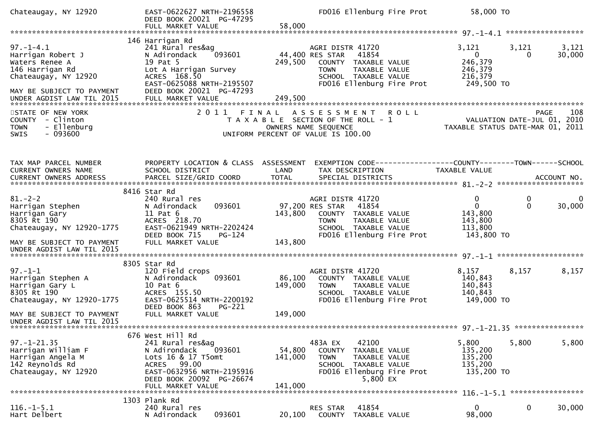| Chateaugay, NY 12920                                                                                                                                        | EAST-0622627 NRTH-2196558<br>DEED BOOK 20021 PG-47295<br>FULL MARKET VALUE                                                                                                                       | 58,000             | FD016 Ellenburg Fire Prot                                                                                                                                           | 58,000 TO                                                                   |                  |                        |
|-------------------------------------------------------------------------------------------------------------------------------------------------------------|--------------------------------------------------------------------------------------------------------------------------------------------------------------------------------------------------|--------------------|---------------------------------------------------------------------------------------------------------------------------------------------------------------------|-----------------------------------------------------------------------------|------------------|------------------------|
|                                                                                                                                                             |                                                                                                                                                                                                  |                    |                                                                                                                                                                     |                                                                             |                  |                        |
| $97. - 1 - 4.1$<br>Harrigan Robert J<br>Waters Renee A<br>146 Harrigan Rd<br>Chateaugay, NY 12920<br>MAY BE SUBJECT TO PAYMENT<br>UNDER AGDIST LAW TIL 2015 | 146 Harrigan Rd<br>241 Rural res&ag<br>N Adirondack<br>093601<br>19 Pat 5<br>Lot A Harrigan Survey<br>ACRES 168.50<br>EAST-0625088 NRTH-2195507<br>DEED BOOK 20021 PG-47293<br>FULL MARKET VALUE | 249,500<br>249,500 | AGRI DISTR 41720<br>44,400 RES STAR<br>41854<br><b>COUNTY</b><br>TAXABLE VALUE<br><b>TOWN</b><br>TAXABLE VALUE<br>SCHOOL TAXABLE VALUE<br>FD016 Ellenburg Fire Prot | 3,121<br>$\mathbf{0}$<br>246,379<br>246,379<br>216,379<br>249,500 TO        | 3,121<br>0       | 3,121<br>30,000        |
| STATE OF NEW YORK<br>COUNTY - Clinton<br>- Ellenburg<br><b>TOWN</b><br>$-093600$<br><b>SWIS</b>                                                             |                                                                                                                                                                                                  |                    | 2011 FINAL ASSESSMENT<br><b>ROLL</b><br>T A X A B L E SECTION OF THE ROLL - 1<br>OWNERS NAME SEQUENCE<br>UNIFORM PERCENT OF VALUE IS 100.00                         | VALUATION DATE-JUL 01, 2010<br>TAXABLE STATUS DATE-MAR 01, 2011             | PAGE             | 108                    |
| TAX MAP PARCEL NUMBER<br>CURRENT OWNERS NAME                                                                                                                | PROPERTY LOCATION & CLASS ASSESSMENT<br>SCHOOL DISTRICT                                                                                                                                          | LAND               | EXEMPTION CODE------------------COUNTY--------TOWN------SCHOOL<br>TAX DESCRIPTION                                                                                   | TAXABLE VALUE                                                               |                  |                        |
|                                                                                                                                                             | 8416 Star Rd                                                                                                                                                                                     |                    |                                                                                                                                                                     |                                                                             |                  |                        |
| $81 - 2 - 2$<br>Harrigan Stephen<br>Harrigan Gary<br>8305 Rt 190<br>Chateaugay, NY 12920-1775                                                               | 240 Rural res<br>093601<br>N Adirondack<br>$11$ Pat $6$<br>ACRES 218.70<br>EAST-0621949 NRTH-2202424<br>DEED BOOK 715<br>PG-124                                                                  | 143,800            | AGRI DISTR 41720<br>97,200 RES STAR<br>41854<br>COUNTY TAXABLE VALUE<br><b>TOWN</b><br>TAXABLE VALUE<br>SCHOOL TAXABLE VALUE<br>FD016 Ellenburg Fire Prot           | $\mathbf{0}$<br>$\mathbf{0}$<br>143,800<br>143,800<br>113,800<br>143,800 TO | 0<br>$\mathbf 0$ | $\mathbf{0}$<br>30,000 |
| MAY BE SUBJECT TO PAYMENT<br>UNDER AGDIST LAW TIL 2015                                                                                                      | FULL MARKET VALUE                                                                                                                                                                                | 143,800            |                                                                                                                                                                     |                                                                             |                  |                        |
|                                                                                                                                                             | 8305 Star Rd                                                                                                                                                                                     |                    |                                                                                                                                                                     |                                                                             |                  |                        |
| $97. - 1 - 1$<br>Harrigan Stephen A<br>Harrigan Gary L<br>8305 Rt 190<br>Chateaugay, NY 12920-1775                                                          | 120 Field crops<br>N Adirondack<br>093601<br>10 Pat 6<br>ACRES 155.50<br>EAST-0625514 NRTH-2200192<br>DEED BOOK 863<br>PG-221                                                                    | 86,100<br>149,000  | AGRI DISTR 41720<br>COUNTY TAXABLE VALUE<br><b>TOWN</b><br>TAXABLE VALUE<br>SCHOOL TAXABLE VALUE<br>FD016 Ellenburg Fire Prot                                       | 8,157<br>140,843<br>140,843<br>140,843<br>149,000 TO                        | 8,157            | 8,157                  |
| MAY BE SUBJECT TO PAYMENT<br>UNDER AGDIST LAW TIL 2015                                                                                                      | FULL MARKET VALUE                                                                                                                                                                                | 149,000            |                                                                                                                                                                     |                                                                             |                  |                        |
|                                                                                                                                                             | 676 West Hill Rd                                                                                                                                                                                 |                    |                                                                                                                                                                     |                                                                             |                  |                        |
| $97. - 1 - 21.35$<br>Harrigan William F<br>Harrigan Angela M<br>142 Reynolds Rd<br>Chateaugay, NY 12920                                                     | 241 Rural res&ag<br>093601<br>N Adirondack<br>Lots 16 & 17 T5omt<br>ACRES 99.00<br>EAST-0632956 NRTH-2195916<br>DEED BOOK 20092 PG-26674                                                         | 54,800<br>141,000  | 483A EX<br>42100<br><b>COUNTY</b><br>TAXABLE VALUE<br><b>TOWN</b><br>TAXABLE VALUE<br>SCHOOL TAXABLE VALUE<br>FD016 Ellenburg Fire Prot<br>5,800 EX                 | 5,800<br>135,200<br>135,200<br>135,200<br>135,200 TO                        | 5,800            | 5,800                  |
|                                                                                                                                                             | FULL MARKET VALUE                                                                                                                                                                                | 141,000            |                                                                                                                                                                     |                                                                             |                  | *****************      |
| $116. - 1 - 5.1$<br>Hart Delbert                                                                                                                            | 1303 Plank Rd<br>240 Rural res<br>093601<br>N Adirondack                                                                                                                                         | 20,100             | 41854<br>RES STAR<br>COUNTY<br>TAXABLE VALUE                                                                                                                        | $\mathbf{0}$<br>98,000                                                      | $\mathbf 0$      | 30,000                 |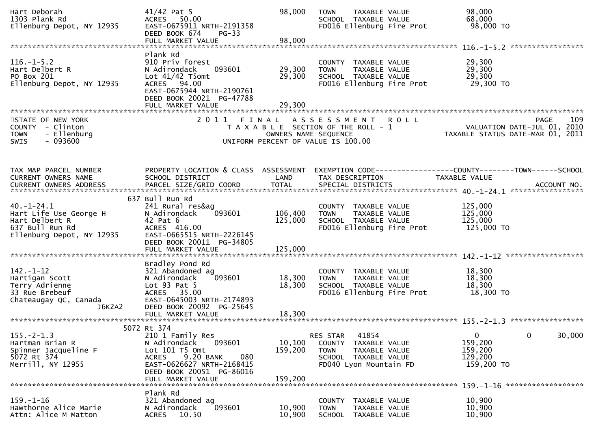| Hart Deborah<br>1303 Plank Rd<br>Ellenburg Depot, NY 12935                                                   | $41/42$ Pat 5<br>ACRES 50.00<br>EAST-0675911 NRTH-2191358<br>DEED BOOK 674<br>$PG-33$                                                                                                           | 98,000                        | <b>TOWN</b><br>TAXABLE VALUE<br>SCHOOL TAXABLE VALUE<br>FD016 Ellenburg Fire Prot                                           | 98,000<br>68,000<br>98,000 TO                                                         |
|--------------------------------------------------------------------------------------------------------------|-------------------------------------------------------------------------------------------------------------------------------------------------------------------------------------------------|-------------------------------|-----------------------------------------------------------------------------------------------------------------------------|---------------------------------------------------------------------------------------|
|                                                                                                              |                                                                                                                                                                                                 |                               |                                                                                                                             |                                                                                       |
| $116. - 1 - 5.2$<br>Hart Delbert R<br>PO Box 201<br>Ellenburg Depot, NY 12935                                | Plank Rd<br>910 Priv forest<br>093601<br>N Adirondack<br>Lot $41/42$ T5omt<br>ACRES 94.00<br>EAST-0675944 NRTH-2190761<br>DEED BOOK 20021 PG-47788                                              | 29,300<br>29,300              | COUNTY TAXABLE VALUE<br>TAXABLE VALUE<br><b>TOWN</b><br>SCHOOL TAXABLE VALUE<br>FD016 Ellenburg Fire Prot                   | 29,300<br>29,300<br>29,300<br>29,300 TO                                               |
|                                                                                                              | FULL MARKET VALUE                                                                                                                                                                               | 29,300                        |                                                                                                                             |                                                                                       |
| STATE OF NEW YORK<br>COUNTY - Clinton<br>- Ellenburg<br><b>TOWN</b><br>$-093600$<br>SWIS                     | 2011 FINAL                                                                                                                                                                                      | OWNERS NAME SEQUENCE          | ASSESSMENT ROLL<br>T A X A B L E SECTION OF THE ROLL - 1<br>UNIFORM PERCENT OF VALUE IS 100.00                              | 109<br><b>PAGE</b><br>VALUATION DATE-JUL 01, 2010<br>TAXABLE STATUS DATE-MAR 01, 2011 |
| TAX MAP PARCEL NUMBER<br>CURRENT OWNERS NAME                                                                 | PROPERTY LOCATION & CLASS ASSESSMENT<br>SCHOOL DISTRICT                                                                                                                                         | LAND                          | TAX DESCRIPTION                                                                                                             | EXEMPTION CODE-----------------COUNTY--------TOWN------SCHOOL<br>TAXABLE VALUE        |
| $40. - 1 - 24.1$<br>Hart Life Use George H<br>Hart Delbert R<br>637 Bull Run Rd<br>Ellenburg Depot, NY 12935 | 637 Bull Run Rd<br>241 Rural res&ag<br>093601<br>N Adirondack<br>42 Pat 6<br>ACRES 416.00<br>EAST-0665515 NRTH-2226145<br>DEED BOOK 20011 PG-34805<br>FULL MARKET VALUE                         | 106,400<br>125,000<br>125,000 | COUNTY TAXABLE VALUE<br>TAXABLE VALUE<br><b>TOWN</b><br>SCHOOL TAXABLE VALUE<br>FD016 Ellenburg Fire Prot                   | 125,000<br>125,000<br>125,000<br>125,000 TO                                           |
| $142. - 1 - 12$<br>Hartigan Scott<br>Terry Adrienne<br>33 Rue Brebeuf<br>Chateaugay QC, Canada<br>J6K2A2     | Bradley Pond Rd<br>321 Abandoned ag<br>093601<br>N Adirondack<br>Lot $93$ Pat $5$<br>ACRES 35.00<br>EAST-0645003 NRTH-2174893<br>DEED BOOK 20092 PG-25645                                       | 18,300<br>18,300              | COUNTY TAXABLE VALUE<br>TAXABLE VALUE<br><b>TOWN</b><br>SCHOOL TAXABLE VALUE<br>FD016 Ellenburg Fire Prot                   | 18,300<br>18,300<br>18,300<br>18,300 TO                                               |
|                                                                                                              |                                                                                                                                                                                                 |                               |                                                                                                                             |                                                                                       |
| $155. - 2 - 1.3$<br>Hartman Brian R<br>Spinner Jacqueline F<br>5072 Rt 374<br>Merrill, NY 12955              | 5072 Rt 374<br>210 1 Family Res<br>N Adirondack<br>093601<br>Lot $101$ T5 Omt<br>9.20 BANK<br>080<br><b>ACRES</b><br>EAST-0626627 NRTH-2168415<br>DEED BOOK 20051 PG-86016<br>FULL MARKET VALUE | 10,100<br>159,200<br>159,200  | 41854<br>RES STAR<br>COUNTY TAXABLE VALUE<br><b>TOWN</b><br>TAXABLE VALUE<br>SCHOOL TAXABLE VALUE<br>FD040 Lyon Mountain FD | $\mathbf 0$<br>0<br>30,000<br>159,200<br>159,200<br>129,200<br>159,200 TO             |
|                                                                                                              |                                                                                                                                                                                                 |                               |                                                                                                                             | ******************                                                                    |
| $159. - 1 - 16$<br>Hawthorne Alice Marie<br>Attn: Alice M Matton                                             | Plank Rd<br>321 Abandoned ag<br>N Adirondack<br>093601<br>10.50<br><b>ACRES</b>                                                                                                                 | 10,900<br>10,900              | COUNTY TAXABLE VALUE<br><b>TOWN</b><br>TAXABLE VALUE<br><b>SCHOOL</b><br>TAXABLE VALUE                                      | 10,900<br>10,900<br>10,900                                                            |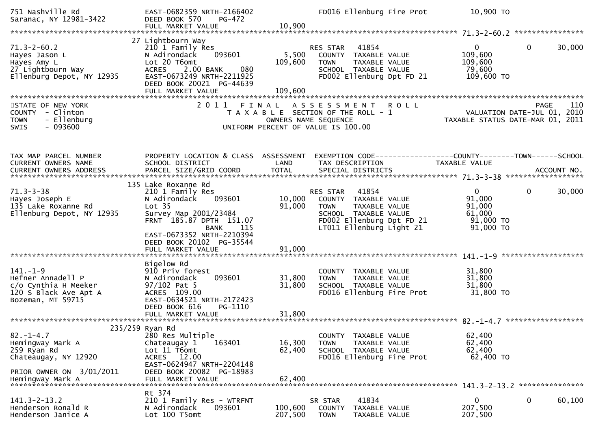| 751 Nashville Rd<br>Saranac, NY 12981-3422                                                                                 | EAST-0682359 NRTH-2166402<br>DEED BOOK 570<br>PG-472<br>FULL MARKET VALUE                                                                                                                                                                      | 10,900                      | FD016 Ellenburg Fire Prot                                                                                                                           | 10,900 TO                                                            |                    |
|----------------------------------------------------------------------------------------------------------------------------|------------------------------------------------------------------------------------------------------------------------------------------------------------------------------------------------------------------------------------------------|-----------------------------|-----------------------------------------------------------------------------------------------------------------------------------------------------|----------------------------------------------------------------------|--------------------|
| $71.3 - 2 - 60.2$<br>Hayes Jason L<br>Hayes Amy L                                                                          | 27 Lightbourn Way<br>210 1 Family Res<br>093601<br>N Adirondack<br>Lot 20 T6omt<br>2.00 BANK<br>080<br>ACRES<br>EAST-0673249 NRTH-2211925<br>DEED BOOK 20021 PG-44639<br>FULL MARKET VALUE                                                     | 5,500<br>109,600<br>109,600 | RES STAR<br>41854<br>COUNTY TAXABLE VALUE<br><b>TOWN</b><br>TAXABLE VALUE<br>SCHOOL TAXABLE VALUE<br>FD002 Ellenburg Dpt FD 21                      | $\mathbf{0}$<br>109,600<br>109,600<br>79,600<br>109,600 TO           | $\Omega$<br>30,000 |
| STATE OF NEW YORK<br>COUNTY - Clinton<br>- Ellenburg<br><b>TOWN</b><br>$-093600$<br><b>SWIS</b>                            | 2011                                                                                                                                                                                                                                           |                             | <b>ROLL</b><br>FINAL ASSESSMENT<br>T A X A B L E SECTION OF THE ROLL - 1<br>OWNERS NAME SEQUENCE<br>UNIFORM PERCENT OF VALUE IS 100.00              | VALUATION DATE-JUL 01, 2010<br>TAXABLE STATUS DATE-MAR 01, 2011      | 110<br><b>PAGE</b> |
| TAX MAP PARCEL NUMBER<br>CURRENT OWNERS NAME                                                                               | PROPERTY LOCATION & CLASS ASSESSMENT<br>SCHOOL DISTRICT                                                                                                                                                                                        | LAND                        | TAX DESCRIPTION                                                                                                                                     | TAXABLE VALUE                                                        |                    |
| $71.3 - 3 - 38$<br>Hayes Joseph E<br>135 Lake Roxanne Rd<br>Ellenburg Depot, NY 12935                                      | 135 Lake Roxanne Rd<br>210 1 Family Res<br>093601<br>N Adirondack<br>Lot <sub>35</sub><br>Survey Map 2001/23484<br>FRNT 185.87 DPTH 151.07<br><b>BANK</b><br>115<br>EAST-0673352 NRTH-2210394<br>DEED BOOK 20102 PG-35544<br>FULL MARKET VALUE | 10,000<br>91,000<br>91,000  | 41854<br>RES STAR<br>COUNTY TAXABLE VALUE<br>TAXABLE VALUE<br>TOWN<br>SCHOOL TAXABLE VALUE<br>FD002 Ellenburg Dpt FD 21<br>LT011 Ellenburg Light 21 | $\mathbf{0}$<br>91,000<br>91,000<br>61,000<br>91,000 TO<br>91,000 TO | 0<br>30,000        |
| $141. - 1 - 9$<br>Hefner Annadell P<br>c/o Cynthia H Meeker<br>120 S Black Ave Apt A<br>Bozeman, MT 59715                  | Bigelow Rd<br>910 Priv forest<br>093601<br>N Adirondack<br>$97/102$ Pat 5<br>ACRES 109.00<br>EAST-0634521 NRTH-2172423<br>DEED BOOK 616<br>PG-1110                                                                                             | 31,800<br>31,800            | COUNTY TAXABLE VALUE<br>TAXABLE VALUE<br><b>TOWN</b><br>SCHOOL TAXABLE VALUE<br>FD016 Ellenburg Fire Prot                                           | 31,800<br>31,800<br>31,800<br>31,800 TO                              |                    |
| $82. - 1 - 4.7$<br>Hemingway Mark A<br>259 Ryan Rd<br>Chateaugay, NY 12920<br>PRIOR OWNER ON 3/01/2011<br>Hemingway Mark A | 235/259 Ryan Rd<br>280 Res Multiple<br>Chateaugay 1<br>163401<br>Lot 11 T6omt<br>ACRES 12.00<br>EAST-0624947 NRTH-2204148<br>DEED BOOK 20082 PG-18983<br>FULL MARKET VALUE                                                                     | 16,300<br>62,400<br>62,400  | TAXABLE VALUE<br><b>COUNTY</b><br>TAXABLE VALUE<br><b>TOWN</b><br>SCHOOL TAXABLE VALUE<br>FD016 Ellenburg Fire Prot                                 | 62,400<br>62,400<br>62,400<br>62,400 TO                              |                    |
| $141.3 - 2 - 13.2$<br>Henderson Ronald R<br>Henderson Janice A                                                             | Rt 374<br>210 1 Family Res - WTRFNT<br>093601<br>N Adirondack<br>Lot 100 T5omt                                                                                                                                                                 | 100,600<br>207,500          | 41834<br>SR STAR<br><b>COUNTY</b><br>TAXABLE VALUE<br><b>TOWN</b><br>TAXABLE VALUE                                                                  | $\mathbf{0}$<br>207,500<br>207,500                                   | 0<br>60,100        |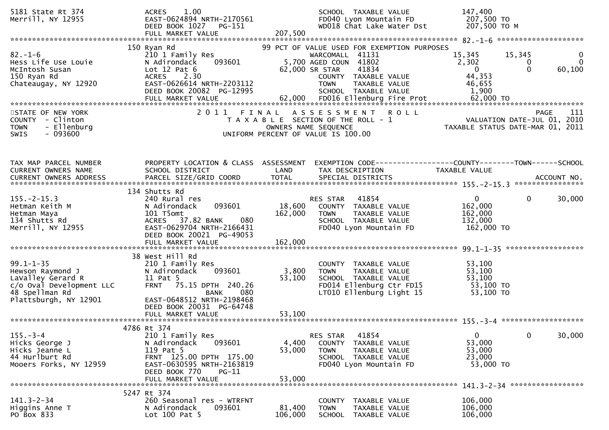| 5181 State Rt 374<br>Merrill, NY 12955                                                                                          | 1.00<br><b>ACRES</b><br>EAST-0624894 NRTH-2170561<br>DEED BOOK 1027<br>PG-151<br>FULL MARKET VALUE                                                               | SCHOOL TAXABLE VALUE<br>FD040 Lyon Mountain FD<br>WD018 Chat Lake Water Dst<br>207,500                                                                   | 147,400<br>207,500 TO<br>207,500 ТО М                                                                                  |
|---------------------------------------------------------------------------------------------------------------------------------|------------------------------------------------------------------------------------------------------------------------------------------------------------------|----------------------------------------------------------------------------------------------------------------------------------------------------------|------------------------------------------------------------------------------------------------------------------------|
|                                                                                                                                 | 150 Ryan Rd                                                                                                                                                      | 99 PCT OF VALUE USED FOR EXEMPTION PURPOSES                                                                                                              |                                                                                                                        |
| $82 - 1 - 6$<br>Hess Life Use Louie<br>McIntosh Susan<br>150 Ryan Rd<br>Chateaugay, NY 12920                                    | 210 1 Family Res<br>093601<br>N Adirondack<br>Lot $12$ Pat $6$<br>2.30<br><b>ACRES</b><br>EAST-0626614 NRTH-2203112<br>DEED BOOK 20082 PG-12995                  | WARCOMALL 41131<br>5,700 AGED COUN 41802<br>62,000 SR STAR<br>41834<br>COUNTY TAXABLE VALUE<br><b>TOWN</b><br>TAXABLE VALUE<br>SCHOOL TAXABLE VALUE      | 15,345<br>15,345<br>0<br>2,302<br>$\mathbf{0}$<br>0<br>$\mathbf{0}$<br>$\Omega$<br>60,100<br>44,353<br>46,655<br>1,900 |
| STATE OF NEW YORK                                                                                                               | 2011<br>FINAL                                                                                                                                                    | A S S E S S M E N T<br><b>ROLL</b>                                                                                                                       | -111<br><b>PAGE</b>                                                                                                    |
| <b>COUNTY</b><br>- Clinton<br>- Ellenburg<br><b>TOWN</b><br>- 093600<br><b>SWIS</b>                                             |                                                                                                                                                                  | T A X A B L E SECTION OF THE ROLL - 1<br>OWNERS NAME SEQUENCE<br>UNIFORM PERCENT OF VALUE IS 100.00                                                      | VALUATION DATE-JUL 01, 2010<br>TAXABLE STATUS DATE-MAR 01, 2011                                                        |
|                                                                                                                                 |                                                                                                                                                                  |                                                                                                                                                          |                                                                                                                        |
| TAX MAP PARCEL NUMBER<br>CURRENT OWNERS NAME                                                                                    | PROPERTY LOCATION & CLASS ASSESSMENT<br>SCHOOL DISTRICT                                                                                                          | LAND<br>TAX DESCRIPTION                                                                                                                                  | EXEMPTION CODE-----------------COUNTY-------TOWN------SCHOOL<br>TAXABLE VALUE                                          |
|                                                                                                                                 |                                                                                                                                                                  |                                                                                                                                                          |                                                                                                                        |
| $155. - 2 - 15.3$<br>Hetman Keith M<br>Hetman Maya<br>134 Shutts Rd<br>Merrill, NY 12955                                        | 134 Shutts Rd<br>240 Rural res<br>093601<br>N Adirondack<br>101 T5omt<br>ACRES 37.82 BANK<br>080<br>EAST-0629704 NRTH-2166431<br>DEED BOOK 20021 PG-49053        | 41854<br><b>RES STAR</b><br>18,600<br>COUNTY TAXABLE VALUE<br>162,000<br>TAXABLE VALUE<br><b>TOWN</b><br>SCHOOL TAXABLE VALUE<br>FD040 Lyon Mountain FD  | $\mathbf{0}$<br>0<br>30,000<br>162,000<br>162,000<br>132,000<br>162,000 TO                                             |
|                                                                                                                                 | FULL MARKET VALUE                                                                                                                                                | 162,000                                                                                                                                                  |                                                                                                                        |
| $99.1 - 1 - 35$<br>Hewson Raymond J<br>LaValley Gerard R<br>c/o Oval Development LLC<br>48 Spellman Rd<br>Plattsburgh, NY 12901 | 38 West Hill Rd<br>210 1 Family Res<br>N Adirondack<br>093601<br>11 Pat 5<br>75.15 DPTH 240.26<br><b>FRNT</b><br>080<br><b>BANK</b><br>EAST-0648512 NRTH-2198468 | COUNTY TAXABLE VALUE<br>3,800<br>TAXABLE VALUE<br><b>TOWN</b><br>53,100<br>SCHOOL TAXABLE VALUE<br>FD014 Ellenburg Ctr FD15<br>LT010 Ellenburg Light 15  | 53,100<br>53,100<br>53,100<br>53,100 TO<br>53,100 TO                                                                   |
|                                                                                                                                 | DEED BOOK 20031 PG-64748                                                                                                                                         |                                                                                                                                                          |                                                                                                                        |
|                                                                                                                                 | 4786 Rt 374                                                                                                                                                      |                                                                                                                                                          |                                                                                                                        |
| $155. - 3 - 4$<br>Hicks George J<br>Hicks Jeanne L<br>44 Hurlburt Rd<br>Mooers Forks, NY 12959                                  | 210 1 Family Res<br>093601<br>N Adirondack<br>119 Pat 5<br>FRNT 125.00 DPTH 175.00<br>EAST-0630595 NRTH-2163819<br>DEED BOOK 770<br>$PG-11$<br>FULL MARKET VALUE | 41854<br>RES STAR<br>4,400<br>COUNTY TAXABLE VALUE<br>53,000<br><b>TOWN</b><br>TAXABLE VALUE<br>SCHOOL TAXABLE VALUE<br>FD040 Lyon Mountain FD<br>53,000 | $\overline{0}$<br>$\mathbf 0$<br>30,000<br>53,000<br>53,000<br>23,000<br>53,000 TO                                     |
|                                                                                                                                 | 5247 Rt 374                                                                                                                                                      |                                                                                                                                                          |                                                                                                                        |
| $141.3 - 2 - 34$<br>Higgins Anne T<br>PO Box 833                                                                                | 260 Seasonal res - WTRFNT<br>093601<br>N Adirondack<br>Lot 100 Pat 5                                                                                             | COUNTY TAXABLE VALUE<br>81,400<br><b>TOWN</b><br>TAXABLE VALUE<br>106,000<br>SCHOOL<br>TAXABLE VALUE                                                     | 106,000<br>106,000<br>106,000                                                                                          |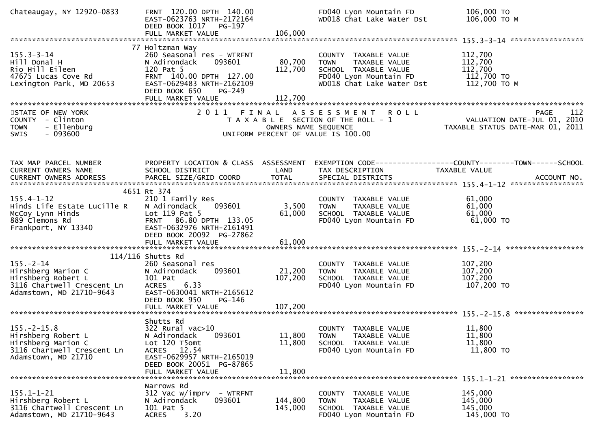| Chateaugay, NY 12920-0833                                                                                             | FRNT 120.00 DPTH 140.00<br>EAST-0623763 NRTH-2172164<br>DEED BOOK 1017 PG-197<br>FULL MARKET VALUE                                                                                | 106,000                      | FD040 Lyon Mountain FD<br>WD018 Chat Lake Water Dst                                                                                 | 106,000 TO<br>106,000 ТО М                                                             |
|-----------------------------------------------------------------------------------------------------------------------|-----------------------------------------------------------------------------------------------------------------------------------------------------------------------------------|------------------------------|-------------------------------------------------------------------------------------------------------------------------------------|----------------------------------------------------------------------------------------|
| $155.3 - 3 - 14$<br>Hill Donal H<br>Rio Hill Eileen<br>47675 Lucas Cove Rd<br>Lexington Park, MD 20653                | 77 Holtzman Way<br>260 Seasonal res - WTRFNT<br>N Adirondack<br>093601<br>120 Pat 5<br>FRNT 140.00 DPTH 127.00<br>EAST-0629483 NRTH-2162109<br>DEED BOOK 650<br>PG-249            | 80,700<br>112,700            | COUNTY TAXABLE VALUE<br>TAXABLE VALUE<br><b>TOWN</b><br>SCHOOL TAXABLE VALUE<br>FD040 Lyon Mountain FD<br>WD018 Chat Lake Water Dst | 112,700<br>112,700<br>112,700<br>112,700 TO<br>112,700 TO M                            |
| STATE OF NEW YORK<br>COUNTY - Clinton<br>- Ellenburg<br><b>TOWN</b><br>$-093600$<br>SWIS                              |                                                                                                                                                                                   | OWNERS NAME SEQUENCE         | 2011 FINAL ASSESSMENT<br><b>ROLL</b><br>T A X A B L E SECTION OF THE ROLL - 1<br>UNIFORM PERCENT OF VALUE IS 100.00                 | 112<br>PAGE<br>VALUATION DATE-JUL 01, 2010<br>TAXABLE STATUS DATE-MAR 01, 2011         |
| TAX MAP PARCEL NUMBER<br>CURRENT OWNERS NAME                                                                          | PROPERTY LOCATION & CLASS ASSESSMENT<br>SCHOOL DISTRICT                                                                                                                           | LAND                         | TAX DESCRIPTION                                                                                                                     | EXEMPTION CODE------------------COUNTY--------TOWN------SCHOOL<br><b>TAXABLE VALUE</b> |
| $155.4 - 1 - 12$<br>Hinds Life Estate Lucille R<br>McCoy Lynn Hinds<br>889 Clemons Rd<br>Frankport, NY 13340          | 4651 Rt 374<br>210 1 Family Res<br>093601<br>N Adirondack<br>Lot 119 Pat 5<br>FRNT 86.80 DPTH 133.05<br>EAST-0632976 NRTH-2161491<br>DEED BOOK 20092 PG-27862                     | 3,500<br>61,000              | COUNTY TAXABLE VALUE<br>TAXABLE VALUE<br><b>TOWN</b><br>SCHOOL TAXABLE VALUE<br>FD040 Lyon Mountain FD                              | 61,000<br>61,000<br>61,000<br>61,000 TO                                                |
| $155. - 2 - 14$<br>Hirshberg Marion C<br>Hirshberg Robert L<br>3116 Chartwell Crescent Ln<br>Adamstown, MD 21710-9643 | $114/116$ Shutts Rd<br>260 Seasonal res<br>093601<br>N Adirondack<br>101 Pat<br>6.33<br><b>ACRES</b><br>EAST-0630041 NRTH-2165612<br>DEED BOOK 950<br>PG-146<br>FULL MARKET VALUE | 21,200<br>107,200<br>107,200 | COUNTY<br>TAXABLE VALUE<br><b>TOWN</b><br>TAXABLE VALUE<br>SCHOOL TAXABLE VALUE<br>FD040 Lyon Mountain FD                           | 107,200<br>107,200<br>107,200<br>107,200 TO                                            |
| $155. -2 - 15.8$<br>Hirshberg Robert L<br>Hirshberg Marion C<br>3116 Chartwell Crescent Ln<br>Adamstown, MD 21710     | Shutts Rd<br>322 Rural vac>10<br>093601<br>N Adirondack<br>Lot 120 T5omt<br>ACRES 12.54<br>EAST-0629957 NRTH-2165019<br>DEED BOOK 20051 PG-87865<br>FULL MARKET VALUE             | 11,800<br>11,800<br>11,800   | COUNTY TAXABLE VALUE<br>TAXABLE VALUE<br><b>TOWN</b><br>SCHOOL TAXABLE VALUE<br>FD040 Lyon Mountain FD                              | 11,800<br>11,800<br>11,800<br>11,800 TO                                                |
| $155.1 - 1 - 21$<br>Hirshberg Robert L<br>3116 Chartwell Crescent Ln<br>Adamstown, MD 21710-9643                      | Narrows Rd<br>$312$ Vac w/imprv - WTRFNT<br>N Adirondack<br>093601<br>101 Pat 5<br>3.20<br><b>ACRES</b>                                                                           | 144,800<br>145,000           | COUNTY TAXABLE VALUE<br>TAXABLE VALUE<br><b>TOWN</b><br>SCHOOL TAXABLE VALUE<br>FD040 Lyon Mountain FD                              | 145,000<br>145,000<br>145,000<br>145,000 TO                                            |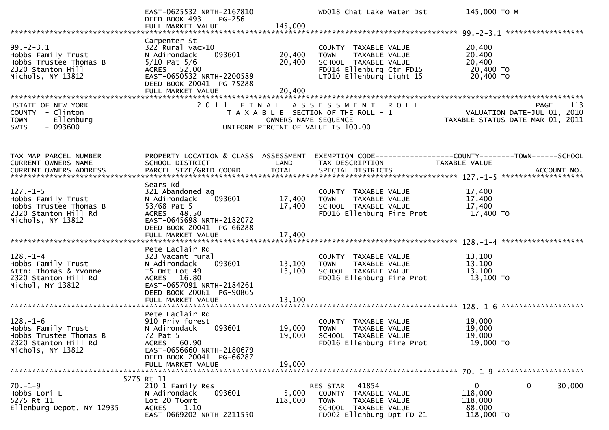|                                                                                                             | EAST-0625532 NRTH-2167810<br>DEED BOOK 493<br>PG-256<br>FULL MARKET VALUE                                                                                                        | 145,000                    | WD018 Chat Lake Water Dst                                                                                                            | 145,000 TO M                                                                                                     |
|-------------------------------------------------------------------------------------------------------------|----------------------------------------------------------------------------------------------------------------------------------------------------------------------------------|----------------------------|--------------------------------------------------------------------------------------------------------------------------------------|------------------------------------------------------------------------------------------------------------------|
|                                                                                                             |                                                                                                                                                                                  |                            |                                                                                                                                      |                                                                                                                  |
| $99. - 2 - 3.1$<br>Hobbs Family Trust<br>Hobbs Trustee Thomas B<br>2320 Stanton Hill<br>Nichols, NY 13812   | Carpenter St<br>$322$ Rural vac $>10$<br>093601<br>N Adirondack<br>$5/10$ Pat $5/6$<br>ACRES 52.00<br>EAST-0650532 NRTH-2200589<br>DEED BOOK 20041 PG-75288<br>FULL MARKET VALUE | 20,400<br>20,400<br>20,400 | COUNTY TAXABLE VALUE<br>TAXABLE VALUE<br><b>TOWN</b><br>SCHOOL TAXABLE VALUE<br>FD014 Ellenburg Ctr FD15<br>LT010 Ellenburg Light 15 | 20,400<br>20,400<br>20,400<br>20,400 TO<br>20,400 ТО                                                             |
|                                                                                                             |                                                                                                                                                                                  |                            |                                                                                                                                      |                                                                                                                  |
| STATE OF NEW YORK<br>COUNTY - Clinton<br><b>TOWN</b><br>- Ellenburg<br>$-093600$<br><b>SWIS</b>             |                                                                                                                                                                                  | OWNERS NAME SEQUENCE       | 2011 FINAL ASSESSMENT ROLL<br>T A X A B L E SECTION OF THE ROLL - 1<br>UNIFORM PERCENT OF VALUE IS 100.00                            | PAGE 113<br>VALUATION DATE-JUL 01, 2010<br>TAXARLE STATUS DATE :::- 21, 2010<br>TAXABLE STATUS DATE-MAR 01, 2011 |
| TAX MAP PARCEL NUMBER<br><b>CURRENT OWNERS NAME</b>                                                         | PROPERTY LOCATION & CLASS ASSESSMENT<br>SCHOOL DISTRICT                                                                                                                          | LAND                       | TAX DESCRIPTION                                                                                                                      | EXEMPTION CODE------------------COUNTY--------TOWN------SCHOOL<br>TAXABLE VALUE                                  |
|                                                                                                             | Sears Rd                                                                                                                                                                         |                            |                                                                                                                                      |                                                                                                                  |
| $127. - 1 - 5$<br>Hobbs Family Trust<br>Hobbs Trustee Thomas B<br>2320 Stanton Hill Rd<br>Nichols, NY 13812 | 321 Abandoned ag<br>093601<br>N Adirondack<br>53/68 Pat 5<br>ACRES 48.50<br>EAST-0645698 NRTH-2182072<br>DEED BOOK 20041 PG-66288<br>FULL MARKET VALUE                           | 17,400<br>17,400<br>17,400 | COUNTY TAXABLE VALUE<br><b>TOWN</b><br>TAXABLE VALUE<br>SCHOOL TAXABLE VALUE<br>FD016 Ellenburg Fire Prot                            | 17,400<br>17,400<br>17,400<br>17,400 TO                                                                          |
|                                                                                                             |                                                                                                                                                                                  |                            |                                                                                                                                      |                                                                                                                  |
| $128. - 1 - 4$<br>Hobbs Family Trust<br>Attn: Thomas & Yvonne<br>2320 Stanton Hill Rd<br>Nichol, NY 13812   | Pete Laclair Rd<br>323 Vacant rural<br>093601<br>N Adirondack<br>T5 Omt Lot 49<br>ACRES 16.80<br>EAST-0657091 NRTH-2184261<br>DEED BOOK 20061 PG-90865                           | 13,100<br>13,100           | COUNTY TAXABLE VALUE<br>TAXABLE VALUE<br><b>TOWN</b><br>SCHOOL TAXABLE VALUE<br>FD016 Ellenburg Fire Prot                            | 13,100<br>13,100<br>13,100<br>13,100 TO                                                                          |
|                                                                                                             | FULL MARKET VALUE                                                                                                                                                                | 13,100                     |                                                                                                                                      |                                                                                                                  |
| $128. - 1 - 6$<br>Hobbs Family Trust<br>Hobbs Trustee Thomas B<br>2320 Stanton Hill Rd<br>Nichols, NY 13812 | Pete Laclair Rd<br>910 Priv forest<br>093601<br>N Adirondack<br>72 Pat 5<br>ACRES 60.90<br>EAST-0656660 NRTH-2180679<br>DEED BOOK 20041 PG-66287                                 | 19,000                     | COUNTY TAXABLE VALUE<br>19,000 TOWN TAXABLE VALUE<br>SCHOOL TAXABLE VALUE<br>FD016 Ellenburg Fire Prot                               | 19,000<br>19,000<br>19,000<br>19,000 TO                                                                          |
|                                                                                                             | FULL MARKET VALUE                                                                                                                                                                | 19,000                     |                                                                                                                                      |                                                                                                                  |
|                                                                                                             |                                                                                                                                                                                  |                            |                                                                                                                                      |                                                                                                                  |
| $70. - 1 - 9$<br>Hobbs Lori L<br>5275 Rt 11<br>Ellenburg Depot, NY 12935                                    | 5275 Rt 11<br>210 1 Family Res<br>093601<br>N Adirondack<br>Lot 20 T6omt<br>1.10<br>ACRES<br>EAST-0669202 NRTH-2211550                                                           | 5,000<br>118,000           | 41854<br>RES STAR<br>COUNTY TAXABLE VALUE<br><b>TOWN</b><br>TAXABLE VALUE<br>SCHOOL TAXABLE VALUE<br>FD002 Ellenburg Dpt FD 21       | $\mathbf{0}$<br>0<br>30,000<br>118,000<br>118,000<br>88,000<br>118,000 TO                                        |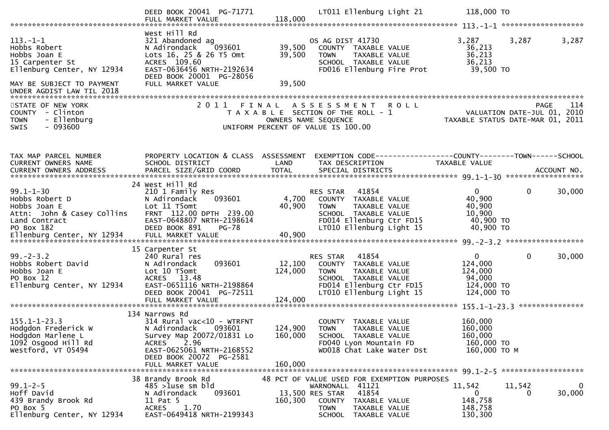|                                                                                                                                                           | DEED BOOK 20041 PG-71771<br>FULL MARKET VALUE                                                                                                                                                           | 118,000                      | LT011 Ellenburg Light 21                                                                                                                                                   | 118,000 TO                                                                           |             |
|-----------------------------------------------------------------------------------------------------------------------------------------------------------|---------------------------------------------------------------------------------------------------------------------------------------------------------------------------------------------------------|------------------------------|----------------------------------------------------------------------------------------------------------------------------------------------------------------------------|--------------------------------------------------------------------------------------|-------------|
| $113. - 1 - 1$<br>Hobbs Robert<br>Hobbs Joan E<br>15 Carpenter St<br>Ellenburg Center, NY 12934<br>MAY BE SUBJECT TO PAYMENT<br>UNDER AGDIST LAW TIL 2018 | West Hill Rd<br>321 Abandoned ag<br>N Adirondack<br>093601<br>Lots 16, 25 & 26 T5 Omt<br>ACRES 109.60<br>EAST-0636456 NRTH-2192634<br>DEED BOOK 20001 PG-28056<br>FULL MARKET VALUE                     | 39,500<br>39,500<br>39,500   | OS AG DIST 41730<br>COUNTY TAXABLE VALUE<br>TAXABLE VALUE<br><b>TOWN</b><br>SCHOOL TAXABLE VALUE<br>FD016 Ellenburg Fire Prot                                              | 3,287<br>3,287<br>36,213<br>36,213<br>36,213<br>39,500 TO                            | 3,287       |
| STATE OF NEW YORK<br>COUNTY - Clinton<br><b>TOWN</b><br>- Ellenburg<br>$-093600$<br><b>SWIS</b>                                                           |                                                                                                                                                                                                         |                              | 2011 FINAL ASSESSMENT<br><b>ROLL</b><br>T A X A B L E SECTION OF THE ROLL - 1<br>OWNERS NAME SEQUENCE<br>UNIFORM PERCENT OF VALUE IS 100.00                                | VALUATION DATE-JUL 01, 2010<br>TAXABLE STATUS DATE-MAR 01, 2011                      | 114<br>PAGE |
| TAX MAP PARCEL NUMBER<br>CURRENT OWNERS NAME                                                                                                              | PROPERTY LOCATION & CLASS ASSESSMENT<br>SCHOOL DISTRICT                                                                                                                                                 | LAND                         | EXEMPTION CODE-----------------COUNTY-------TOWN------SCHOOL<br>TAX DESCRIPTION                                                                                            | TAXABLE VALUE                                                                        |             |
| $99.1 - 1 - 30$<br>Hobbs Robert D<br>Hobbs Joan E<br>Attn: John & Casey Collins<br>Land Contract<br>PO Box 182                                            | 24 West Hill Rd<br>210 1 Family Res<br>093601<br>N Adirondack<br>Lot 11 T5omt<br>FRNT 112.00 DPTH 239.00<br>EAST-0648807 NRTH-2198614<br>DEED BOOK 891<br><b>PG-78</b>                                  | 4,700<br>40,900              | RES STAR 41854<br>COUNTY TAXABLE VALUE<br><b>TOWN</b><br>TAXABLE VALUE<br>SCHOOL TAXABLE VALUE<br>FD014 Ellenburg Ctr FD15<br>LT010 Ellenburg Light 15                     | $\mathbf{0}$<br>$\mathbf{0}$<br>40,900<br>40,900<br>10,900<br>40,900 TO<br>40,900 TO | 30,000      |
| $99. - 2 - 3.2$<br>Hobbs Robert David<br>Hobbs Joan E<br>PO Box 12<br>Ellenburg Center, NY 12934                                                          | 15 Carpenter St<br>240 Rural res<br>093601<br>N Adirondack<br>Lot 10 T5omt<br>ACRES 13.48<br>EAST-0651116 NRTH-2198864<br>DEED BOOK 20041 PG-72511<br>FULL MARKET VALUE                                 | 12,100<br>124,000<br>124,000 | RES STAR<br>41854<br>COUNTY TAXABLE VALUE<br><b>TOWN</b><br>TAXABLE VALUE<br>SCHOOL TAXABLE VALUE<br>FD014 Ellenburg Ctr FD15<br>LT010 Ellenburg Light 15                  | $\Omega$<br>0<br>124,000<br>124,000<br>94,000<br>124,000 TO<br>124,000 TO            | 30,000      |
| $155.1 - 1 - 23.3$<br>Hodgdon Frederick W<br>Hodgdon Marlene L<br>1092 Osgood Hill Rd<br>Westford, VT 05494                                               | 134 Narrows Rd<br>314 Rural vac<10 - WTRFNT<br>N Adirondack<br>093601<br>Survey Map 20072/01831 Lo<br>2.96<br><b>ACRES</b><br>EAST-0625061 NRTH-2168552<br>DEED BOOK 20072 PG-2581<br>FULL MARKET VALUE | 160,000<br>160,000           | COUNTY TAXABLE VALUE<br>124,900 TOWN<br>TAXABLE VALUE<br>SCHOOL TAXABLE VALUE<br>FD040 Lyon Mountain FD<br>WD018 Chat Lake Water Dst                                       | 160,000<br>160,000<br>160,000<br>160,000 TO<br>160,000 ТО М                          |             |
| $99.1 - 2 - 5$<br>Hoff David<br>439 Brandy Brook Rd<br>PO Box 5<br>Ellenburg Center, NY 12934                                                             | 38 Brandy Brook Rd<br>$485 > 1$ use sm bld<br>093601<br>N Adirondack<br>11 Pat 5<br>1.70<br>ACRES<br>EAST-0649418 NRTH-2199343                                                                          | 160,300                      | 48 PCT OF VALUE USED FOR EXEMPTION PURPOSES<br>WARNONALL 41121<br>13,500 RES STAR<br>41854<br>COUNTY TAXABLE VALUE<br><b>TOWN</b><br>TAXABLE VALUE<br>SCHOOL TAXABLE VALUE | 11,542<br>11,542<br>0<br>0<br>148,758<br>148,758<br>130,300                          | 0<br>30,000 |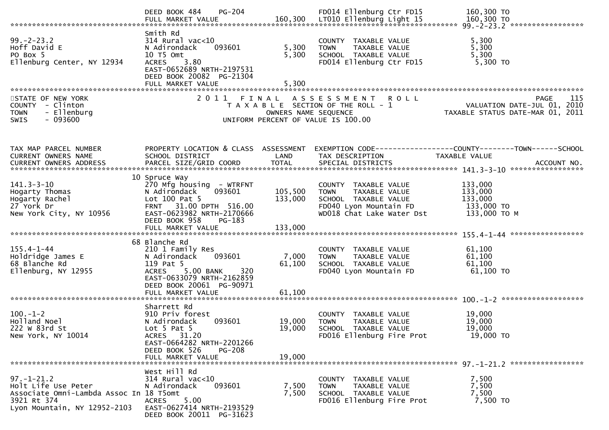|                                                                                                                                   | PG-204<br>DEED BOOK 484                                                                                                                                                 |                            | FD014 Ellenburg Ctr FD15                                                                                                            | 160,300 TO<br>160,300 LTO DULL MARKET VALUE<br>FULL MARKET VALUE 160,300 LTOIO Ellemburg Light 15 160,300 TO FUNTARKET VALUE 160,300 TO FULL MARKET VALUE |
|-----------------------------------------------------------------------------------------------------------------------------------|-------------------------------------------------------------------------------------------------------------------------------------------------------------------------|----------------------------|-------------------------------------------------------------------------------------------------------------------------------------|-----------------------------------------------------------------------------------------------------------------------------------------------------------|
| $99. - 2 - 23.2$<br>Hoff David E<br>PO Box 5<br>Ellenburg Center, NY 12934                                                        | Smith Rd<br>$314$ Rural vac<10<br>N Adirondack<br>093601<br>10 T5 Omt<br>ACRES 3.80<br>EAST-0652689 NRTH-2197531<br>DEED BOOK 20082 PG-21304<br>FULL MARKET VALUE       | 5,300<br>5,300<br>5,300    | COUNTY TAXABLE VALUE<br>TAXABLE VALUE<br>TOWN<br>SCHOOL TAXABLE VALUE<br>FD014 Ellenburg Ctr FD15                                   | 5,300<br>5,300<br>5,300<br>5,300 TO                                                                                                                       |
| STATE OF NEW YORK<br>COUNTY - Clinton<br>- Ellenburg<br><b>TOWN</b><br>$-093600$<br><b>SWIS</b>                                   | 2011 FINAL                                                                                                                                                              | OWNERS NAME SEQUENCE       | A S S E S S M E N T R O L L<br>T A X A B L E SECTION OF THE ROLL - 1<br>UNIFORM PERCENT OF VALUE IS 100.00                          | 115<br>PAGE<br>VALUATION DATE-JUL 01, 2010<br>TAXABLE STATUS DATE-MAR 01, 2011                                                                            |
| TAX MAP PARCEL NUMBER<br>CURRENT OWNERS NAME                                                                                      | PROPERTY LOCATION & CLASS ASSESSMENT<br>SCHOOL DISTRICT                                                                                                                 | LAND                       | TAX DESCRIPTION                                                                                                                     | EXEMPTION CODE-----------------COUNTY-------TOWN------SCHOOL<br>TAXABLE VALUE                                                                             |
| $141.3 - 3 - 10$<br>Hogarty Thomas<br>Hogarty Rachel<br>27 York Dr<br>New York City, NY 10956                                     | 10 Spruce Way<br>270 Mfg housing - WTRFNT<br>093601<br>N Adirondack<br>Lot 100 Pat 5<br>FRNT 31.00 DPTH 516.00<br>EAST-0623982 NRTH-2170666<br>DEED BOOK 958<br>PG-183  | 105,500<br>133,000         | COUNTY TAXABLE VALUE<br><b>TOWN</b><br>TAXABLE VALUE<br>SCHOOL TAXABLE VALUE<br>FD040 Lyon Mountain FD<br>WD018 Chat Lake Water Dst | 133,000<br>133,000<br>133,000<br>133,000 TO<br>133,000 TO M                                                                                               |
| $155.4 - 1 - 44$<br>Holdridge James E<br>68 Blanche Rd<br>Ellenburg, NY 12955                                                     | 68 Blanche Rd<br>210 1 Family Res<br>093601<br>N Adirondack<br>119 Pat 5<br><b>ACRES</b><br>5.00 BANK<br>320<br>EAST-0633079 NRTH-2162859<br>DEED BOOK 20061 PG-90971   | 7,000<br>61,100            | COUNTY TAXABLE VALUE<br>TAXABLE VALUE<br><b>TOWN</b><br>SCHOOL TAXABLE VALUE<br>FD040 Lyon Mountain FD                              | 61,100<br>61,100<br>61,100<br>61,100 TO                                                                                                                   |
| $100. - 1 - 2$<br>Holland Noel<br>222 W 83rd St<br>New York, NY 10014                                                             | Sharrett Rd<br>910 Priv forest<br>093601<br>N Adirondack<br>Lot $5$ Pat $5$<br>ACRES 31.20<br>EAST-0664282 NRTH-2201266<br>DEED BOOK 526<br>PG-208<br>FULL MARKET VALUE | 19,000<br>19,000<br>19,000 | COUNTY TAXABLE VALUE<br>TAXABLE VALUE<br><b>TOWN</b><br>SCHOOL TAXABLE VALUE<br>FD016 Ellenburg Fire Prot                           | 19,000<br>19,000<br>19,000<br>19,000 TO                                                                                                                   |
| $97. - 1 - 21.2$<br>Holt Life Use Peter<br>Associate Omni-Lambda Assoc In 18 T5omt<br>3921 Rt 374<br>Lyon Mountain, NY 12952-2103 | West Hill Rd<br>$314$ Rural vac<10<br>093601<br>N Adirondack<br>5.00<br><b>ACRES</b><br>EAST-0627414 NRTH-2193529<br>DEED BOOK 20011 PG-31623                           | 7,500<br>7,500             | COUNTY TAXABLE VALUE<br>TAXABLE VALUE<br><b>TOWN</b><br>SCHOOL TAXABLE VALUE<br>FD016 Ellenburg Fire Prot                           | 7,500<br>7,500<br>7,500<br>7,500 TO                                                                                                                       |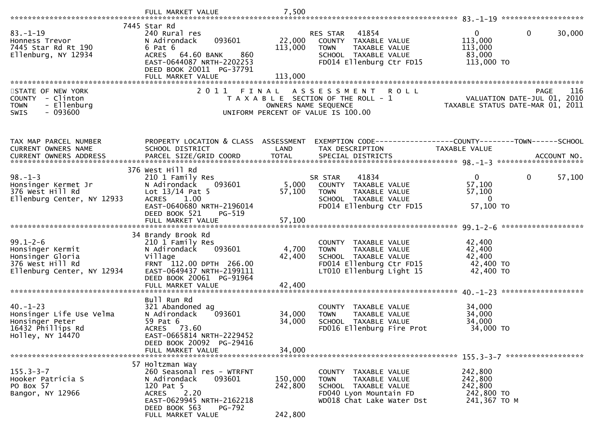| $83 - 1 - 19$<br>Honness Trevor<br>7445 Star Rd Rt 190<br>Ellenburg, NY 12934           | 7445 Star Rd<br>240 Rural res<br>093601<br>N Adirondack<br>6 Pat 6<br>860<br>ACRES 64.60 BANK<br>EAST-0644087 NRTH-2202253<br>DEED BOOK 20011 PG-37791 | 22,000<br>113,000  | 41854<br>RES STAR<br>COUNTY TAXABLE VALUE<br>TAXABLE VALUE<br><b>TOWN</b><br>SCHOOL TAXABLE VALUE<br>FD014 Ellenburg Ctr FD15             | $\mathbf{0}$<br>0<br>30,000<br>113,000<br>113,000<br>83,000<br>113,000 TO             |
|-----------------------------------------------------------------------------------------|--------------------------------------------------------------------------------------------------------------------------------------------------------|--------------------|-------------------------------------------------------------------------------------------------------------------------------------------|---------------------------------------------------------------------------------------|
|                                                                                         | FULL MARKET VALUE                                                                                                                                      | 113,000            |                                                                                                                                           |                                                                                       |
|                                                                                         |                                                                                                                                                        |                    |                                                                                                                                           |                                                                                       |
| STATE OF NEW YORK<br>COUNTY - Clinton<br>- Ellenburg<br><b>TOWN</b><br>SWIS<br>- 093600 | 2011<br>FINAL                                                                                                                                          |                    | A S S E S S M E N T<br><b>ROLL</b><br>T A X A B L E SECTION OF THE ROLL - 1<br>OWNERS NAME SEQUENCE<br>UNIFORM PERCENT OF VALUE IS 100.00 | <b>PAGE</b><br>116<br>VALUATION DATE-JUL 01, 2010<br>TAXABLE STATUS DATE-MAR 01, 2011 |
| TAX MAP PARCEL NUMBER                                                                   | PROPERTY LOCATION & CLASS ASSESSMENT                                                                                                                   |                    |                                                                                                                                           | EXEMPTION CODE------------------COUNTY--------TOWN------SCHOOL                        |
| CURRENT OWNERS NAME                                                                     | SCHOOL DISTRICT                                                                                                                                        | LAND               | TAX DESCRIPTION                                                                                                                           | <b>TAXABLE VALUE</b>                                                                  |
|                                                                                         |                                                                                                                                                        |                    |                                                                                                                                           |                                                                                       |
|                                                                                         | 376 West Hill Rd                                                                                                                                       |                    |                                                                                                                                           |                                                                                       |
| $98. - 1 - 3$<br>Honsinger Kermet Jr                                                    | 210 1 Family Res<br>N Adirondack<br>093601                                                                                                             | 5,000              | 41834<br>SR STAR<br>COUNTY TAXABLE VALUE                                                                                                  | $\mathbf{0}$<br>$\mathbf{0}$<br>57,100<br>57,100                                      |
| 376 West Hill Rd                                                                        | Lot $13/14$ Pat 5<br>ACRES 1.00                                                                                                                        | 57,100             | TAXABLE VALUE<br><b>TOWN</b>                                                                                                              | 57,100<br>$\overline{0}$                                                              |
| Ellenburg Center, NY 12933                                                              | EAST-0640680 NRTH-2196014                                                                                                                              |                    | SCHOOL TAXABLE VALUE<br>FD014 Ellenburg Ctr FD15                                                                                          | 57,100 TO                                                                             |
|                                                                                         | DEED BOOK 521<br>$PG-519$                                                                                                                              |                    |                                                                                                                                           |                                                                                       |
|                                                                                         |                                                                                                                                                        |                    |                                                                                                                                           |                                                                                       |
| $99.1 - 2 - 6$                                                                          | 34 Brandy Brook Rd<br>210 1 Family Res                                                                                                                 |                    | COUNTY TAXABLE VALUE                                                                                                                      | 42,400                                                                                |
| Honsinger Kermit                                                                        | 093601<br>N Adirondack                                                                                                                                 | 4,700              | TAXABLE VALUE<br><b>TOWN</b>                                                                                                              | 42,400                                                                                |
| Honsinger Gloria<br>376 West Hill Rd                                                    | Village<br>FRNT 112.00 DPTH 266.00                                                                                                                     | 42,400             | SCHOOL TAXABLE VALUE<br>FD014 Ellenburg Ctr FD15                                                                                          | 42,400<br>42,400 TO                                                                   |
| Ellenburg Center, NY 12934                                                              | EAST-0649437 NRTH-2199111<br>DEED BOOK 20061 PG-91964                                                                                                  |                    | LT010 Ellenburg Light 15                                                                                                                  | 42,400 TO                                                                             |
|                                                                                         | FULL MARKET VALUE                                                                                                                                      | 42,400             |                                                                                                                                           |                                                                                       |
|                                                                                         | Bull Run Rd                                                                                                                                            |                    |                                                                                                                                           |                                                                                       |
| $40. - 1 - 23$                                                                          | 321 Abandoned ag                                                                                                                                       |                    | COUNTY TAXABLE VALUE                                                                                                                      | 34,000                                                                                |
| Honsinger Life Use Velma<br>Honsinger Peter                                             | N Adirondack<br>093601<br>59 Pat 6                                                                                                                     | 34,000<br>34,000   | TAXABLE VALUE<br><b>TOWN</b><br>SCHOOL TAXABLE VALUE                                                                                      | 34,000<br>34,000                                                                      |
| 16432 Phillips Rd                                                                       | ACRES 73.60                                                                                                                                            |                    | FD016 Ellenburg Fire Prot                                                                                                                 | 34,000 TO                                                                             |
| Holley, NY 14470                                                                        | EAST-0665814 NRTH-2229452<br>DEED BOOK 20092 PG-29416                                                                                                  |                    |                                                                                                                                           |                                                                                       |
|                                                                                         | FULL MARKET VALUE                                                                                                                                      | 34,000             |                                                                                                                                           |                                                                                       |
|                                                                                         | 57 Holtzman Way                                                                                                                                        |                    |                                                                                                                                           |                                                                                       |
| $155.3 - 3 - 7$                                                                         | 260 Seasonal res - WTRFNT                                                                                                                              |                    | COUNTY TAXABLE VALUE                                                                                                                      | 242,800                                                                               |
| Hooker Patricia S<br>PO Box 57                                                          | 093601<br>N Adirondack<br>120 Pat 5                                                                                                                    | 150,000<br>242,800 | TAXABLE VALUE<br><b>TOWN</b><br>SCHOOL TAXABLE VALUE                                                                                      | 242,800<br>242,800                                                                    |
| Bangor, NY 12966                                                                        | 2.20<br>ACRES                                                                                                                                          |                    | FD040 Lyon Mountain FD                                                                                                                    | 242,800 TO                                                                            |
|                                                                                         | EAST-0629945 NRTH-2162218<br>DEED BOOK 563<br>PG-792                                                                                                   |                    | WD018 Chat Lake Water Dst                                                                                                                 | 241,367 TO M                                                                          |
|                                                                                         | FULL MARKET VALUE                                                                                                                                      | 242,800            |                                                                                                                                           |                                                                                       |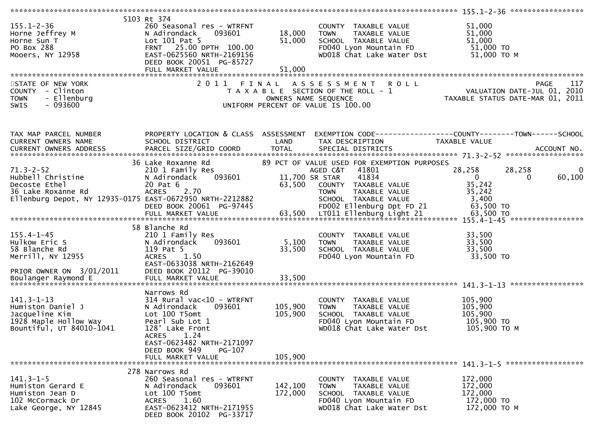| $155.1 - 2 - 36$<br>Horne Jeffrey M<br>Horne Sun T<br>PO Box 288<br>Mooers, NY 12958                                              | 5103 Rt 374<br>260 Seasonal res - WTRFNT<br>093601<br>N Adirondack<br>Lot $101$ Pat 5<br>FRNT 25.00 DPTH 100.00<br>EAST-0625560 NRTH-2169156<br>DEED BOOK 20051 PG-85727<br>FULL MARKET VALUE | 18,000<br>51,000<br>51,000 | COUNTY TAXABLE VALUE<br><b>TOWN</b><br>TAXABLE VALUE<br>SCHOOL TAXABLE VALUE<br>FD040 Lyon Mountain FD 51,000 TO<br>WD018 Chat Lake Water Dst                                                            | 51,000<br>51,000<br>51,000<br>51,000 ТО М                                                                                                                 |
|-----------------------------------------------------------------------------------------------------------------------------------|-----------------------------------------------------------------------------------------------------------------------------------------------------------------------------------------------|----------------------------|----------------------------------------------------------------------------------------------------------------------------------------------------------------------------------------------------------|-----------------------------------------------------------------------------------------------------------------------------------------------------------|
|                                                                                                                                   |                                                                                                                                                                                               |                            |                                                                                                                                                                                                          |                                                                                                                                                           |
| STATE OF NEW YORK<br>COUNTY - Clinton<br>- Ellenburg<br><b>TOWN</b><br>$-093600$<br><b>SWIS</b>                                   |                                                                                                                                                                                               |                            | 2011 FINAL ASSESSMENT ROLL                                                                                                                                                                               | TAXABLE ASSESSMENT ROLL<br>TAXABLE SECTION OF THE ROLL - 1<br>OWNERS NAME SEQUENCE TAXABLE STATUS DATE-JUL 01, 2010<br>UNIFORM PERCENT OF VALUE IS 100.00 |
| TAX MAP PARCEL NUMBER<br>CURRENT OWNERS NAME                                                                                      | PROPERTY LOCATION & CLASS ASSESSMENT<br>SCHOOL DISTRICT                                                                                                                                       | LAND                       | TAX DESCRIPTION                                                                                                                                                                                          | EXEMPTION CODE------------------COUNTY--------TOWN------SCHOOL<br>TAXABLE VALUE                                                                           |
| Hubbell Christine<br>Decoste Ethel<br>36 Lake C<br>36 Lake Roxanne Rd<br>Ellenburg Depot, NY 12935-0175 EAST-0672950 NRTH-2212882 | 36 Lake Roxanne Rd<br>210 1 Family Res<br>093601<br>N Adirondack<br>20 Pat 6<br><b>ACRES</b><br>2.70<br>DEED BOOK 20061 PG-97445                                                              | 63,500                     | 89 PCT OF VALUE USED FOR EXEMPTION PURPOSES<br>AGED C&T<br>41801<br>41834<br>11,700 SR STAR<br>COUNTY TAXABLE VALUE<br><b>TOWN</b><br>TAXABLE VALUE<br>SCHOOL TAXABLE VALUE<br>FD002 Ellenburg Dpt FD 21 | 28,258<br>28,258<br>0<br>$\Omega$<br>60,100<br>$\Omega$<br>35,242<br>35,242<br>3,400<br>$63,500$ TO                                                       |
|                                                                                                                                   |                                                                                                                                                                                               |                            |                                                                                                                                                                                                          |                                                                                                                                                           |
| $155.4 - 1 - 45$<br>Hulkow Eric S<br>58 Blanche Rd<br>Merrill, NY 12955<br>PRIOR OWNER ON 3/01/2011                               | 58 Blanche Rd<br>210 1 Family Res<br>093601<br>N Adirondack<br>119 Pat 5<br>1.50<br><b>ACRES</b><br>EAST-0633038 NRTH-2162649<br>DEED BOOK 20112 PG-39010                                     | 5,100<br>33,500            | COUNTY TAXABLE VALUE<br>TAXABLE VALUE<br><b>TOWN</b><br>TOWN        TAXABLE  VALUE<br>SCHOOL    TAXABLE  VALUE<br>FD040 Lyon Mountain FD                                                                 | 33,500<br>33,500<br>33,500<br>33,500 TO                                                                                                                   |
|                                                                                                                                   |                                                                                                                                                                                               |                            |                                                                                                                                                                                                          |                                                                                                                                                           |
| $141.3 - 1 - 13$<br>Humiston Daniel J<br>Jacqueline Kim<br>1928 Maple Hollow Way<br>Bountiful, UT 84010-1041                      | Narrows Rd<br>$314$ Rural vac<10 - WTRFNT<br>093601<br>N Adirondack<br>Lot 100 T5omt<br>Pearl Sub Lot 1<br>128' Lake Front<br>1.24<br><b>ACRES</b>                                            | 105,900<br>105,900         | COUNTY TAXABLE VALUE<br>TAXABLE VALUE<br><b>TOWN</b><br>SCHOOL TAXABLE VALUE<br>FD040 Lyon Mountain FD<br>WD018 Chat Lake Water Dst                                                                      | 105,900<br>105,900<br>105,900<br>105,900 TO<br>105,900 ТО М                                                                                               |
|                                                                                                                                   | EAST-0623482 NRTH-2171097<br>DEED BOOK 949<br>PG-107<br>FULL MARKET VALUE                                                                                                                     | 105,900                    |                                                                                                                                                                                                          |                                                                                                                                                           |
| $141.3 - 1 - 5$<br>Humiston Gerard E<br>Humiston Jean D<br>102 McCormack Dr<br>Lake George, NY 12845                              | 278 Narrows Rd<br>260 Seasonal res - WTRFNT<br>093601<br>N Adirondack<br>Lot 100 T5omt<br>1.60<br><b>ACRES</b><br>EAST-0623412 NRTH-2171955<br>DEED BOOK 20102 PG-33717                       | 142,100<br>172,000         | COUNTY TAXABLE VALUE<br><b>TOWN</b><br>TAXABLE VALUE<br>SCHOOL TAXABLE VALUE<br>FD040 Lyon Mountain FD<br>WD018 Chat Lake Water Dst                                                                      | 172,000<br>172,000<br>172,000<br>172,000 TO<br>172,000 TO M                                                                                               |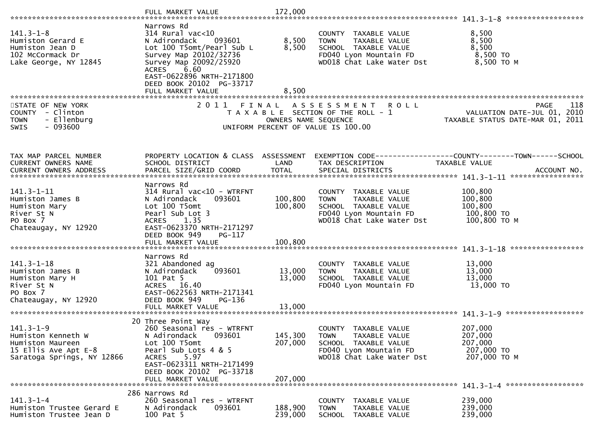| $141.3 - 1 - 8$<br>Humiston Gerard E<br>Humiston Jean D<br>102 McCormack Dr<br>Lake George, NY 12845            | Narrows Rd<br>314 Rural vac<10<br>N Adirondack<br>093601<br>Lot 100 T5omt/Pearl Sub L<br>Survey Map 20102/32736<br>Survey Map 20092/25920<br>6.60<br><b>ACRES</b><br>EAST-0622896 NRTH-2171800<br>DEED BOOK 20102 PG-33717<br>FULL MARKET VALUE | 8,500<br>8,500<br>8,500       | COUNTY TAXABLE VALUE<br><b>TOWN</b><br>TAXABLE VALUE<br>SCHOOL TAXABLE VALUE<br>FD040 Lyon Mountain FD<br>WD018 Chat Lake Water Dst | 8,500<br>8,500<br>8,500<br>8,500 TO<br>8,500 ТО М                                             |
|-----------------------------------------------------------------------------------------------------------------|-------------------------------------------------------------------------------------------------------------------------------------------------------------------------------------------------------------------------------------------------|-------------------------------|-------------------------------------------------------------------------------------------------------------------------------------|-----------------------------------------------------------------------------------------------|
| STATE OF NEW YORK<br>COUNTY - Clinton<br>- Ellenburg<br><b>TOWN</b><br>$-093600$<br><b>SWIS</b>                 |                                                                                                                                                                                                                                                 | OWNERS NAME SEQUENCE          | 2011 FINAL ASSESSMENT<br><b>ROLL</b><br>T A X A B L E SECTION OF THE ROLL - 1<br>UNIFORM PERCENT OF VALUE IS 100.00                 | 118<br><b>PAGE</b><br>VALUATION DATE-JUL 01, 2010<br>TAXABLE STATUS DATE-MAR 01, 2011         |
| TAX MAP PARCEL NUMBER<br>CURRENT OWNERS NAME                                                                    | PROPERTY LOCATION & CLASS ASSESSMENT<br>SCHOOL DISTRICT                                                                                                                                                                                         | LAND                          | EXEMPTION CODE-----------------COUNTY-------TOWN------SCHOOL<br>TAX DESCRIPTION                                                     | <b>TAXABLE VALUE</b>                                                                          |
| 141.3-1-11<br>Humiston James B<br>Humiston Mary<br>River St N<br>PO Box 7<br>Chateaugay, NY 12920               | Narrows Rd<br>$314$ Rural vac< $10$ - WTRFNT<br>093601<br>N Adirondack<br>Lot 100 T5omt<br>Pearl Sub Lot 3<br><b>ACRES</b><br>1.35<br>EAST-0623370 NRTH-2171297<br>DEED BOOK 949<br>PG-117<br>FULL MARKET VALUE                                 | 100,800<br>100,800<br>100,800 | COUNTY TAXABLE VALUE<br><b>TOWN</b><br>TAXABLE VALUE<br>SCHOOL TAXABLE VALUE<br>FD040 Lyon Mountain FD<br>WD018 Chat Lake Water Dst | 100,800<br>100,800<br>100,800<br>100,800 TO<br>100,800 ТО М                                   |
| $141.3 - 1 - 18$<br>Humiston James B<br>Humiston Mary H<br>River St N<br>PO Box 7<br>Chateaugay, NY 12920       | Narrows Rd<br>321 Abandoned ag<br>093601<br>N Adirondack<br>101 Pat 5<br>ACRES 16.40<br>EAST-0622563 NRTH-2171341<br>DEED BOOK 949<br><b>PG-136</b>                                                                                             | 13,000<br>13,000              | COUNTY TAXABLE VALUE<br>TAXABLE VALUE<br><b>TOWN</b><br>SCHOOL TAXABLE VALUE<br>FD040 Lyon Mountain FD                              | 13,000<br>13,000<br>13,000<br>13,000 TO                                                       |
| $141.3 - 1 - 9$<br>Humiston Kenneth W<br>Humiston Maureen<br>15 Ellis Ave Apt E-8<br>Saratoga Springs, NY 12866 | 20 Three Point Way<br>260 Seasonal res - WTRFNT<br>093601<br>N Adirondack<br>Lot 100 T5omt<br>Pearl Sub Lots 4 & 5<br>5.97<br><b>ACRES</b><br>EAST-0623311 NRTH-2171499<br>DEED BOOK 20102 PG-33718<br>FULL MARKET VALUE                        | 145,300<br>207,000<br>207,000 | COUNTY TAXABLE VALUE<br>TAXABLE VALUE<br><b>TOWN</b><br>SCHOOL TAXABLE VALUE<br>FD040 Lyon Mountain FD<br>WD018 Chat Lake Water Dst | 207,000<br>207,000<br>207,000<br>207,000 TO<br>207,000 ТО М<br>141.3-1-4 ******************** |
| $141.3 - 1 - 4$<br>Humiston Trustee Gerard E<br>Humiston Trustee Jean D                                         | 286 Narrows Rd<br>260 Seasonal res - WTRFNT<br>N Adirondack<br>093601<br>100 Pat 5                                                                                                                                                              | 188,900<br>239,000            | COUNTY<br>TAXABLE VALUE<br>TAXABLE VALUE<br><b>TOWN</b><br>SCHOOL TAXABLE VALUE                                                     | 239,000<br>239,000<br>239,000                                                                 |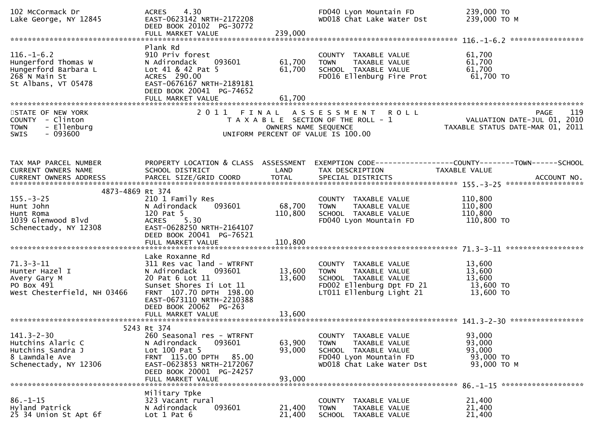| 102 McCormack Dr<br>Lake George, NY 12845                                                                    | 4.30<br><b>ACRES</b><br>EAST-0623142 NRTH-2172208<br>DEED BOOK 20102 PG-30772<br>FULL MARKET VALUE                                                                                                     | 239,000                      | FD040 Lyon Mountain FD<br>WD018 Chat Lake Water Dst                                                                                           | 239,000 TO<br>239,000 ТО М                                                     |
|--------------------------------------------------------------------------------------------------------------|--------------------------------------------------------------------------------------------------------------------------------------------------------------------------------------------------------|------------------------------|-----------------------------------------------------------------------------------------------------------------------------------------------|--------------------------------------------------------------------------------|
| $116. - 1 - 6.2$<br>Hungerford Thomas W<br>Hungerford Barbara L<br>268 N Main St<br>St Albans, VT 05478      | Plank Rd<br>910 Priv forest<br>N Adirondack<br>093601<br>Lot 41 & 42 Pat 5<br>ACRES 290.00<br>EAST-0676167 NRTH-2189181<br>DEED BOOK 20041 PG-74652<br>FULL MARKET VALUE                               | 61,700<br>61,700<br>61,700   | COUNTY TAXABLE VALUE<br>TAXABLE VALUE<br><b>TOWN</b><br>SCHOOL TAXABLE VALUE<br>FD016 Ellenburg Fire Prot                                     | 61,700<br>61,700<br>61,700<br>61,700 TO                                        |
| STATE OF NEW YORK<br>COUNTY - Clinton<br>- Ellenburg<br><b>TOWN</b><br>$-093600$<br>SWIS                     |                                                                                                                                                                                                        | OWNERS NAME SEQUENCE         | 2011 FINAL ASSESSMENT<br>R O L L<br>T A X A B L E SECTION OF THE ROLL - 1<br>UNIFORM PERCENT OF VALUE IS 100.00                               | 119<br>PAGE<br>VALUATION DATE-JUL 01, 2010<br>TAXABLE STATUS DATE-MAR 01, 2011 |
| TAX MAP PARCEL NUMBER<br>CURRENT OWNERS NAME                                                                 | PROPERTY LOCATION & CLASS ASSESSMENT<br>SCHOOL DISTRICT                                                                                                                                                | LAND                         | TAX DESCRIPTION                                                                                                                               | <b>TAXABLE VALUE</b>                                                           |
| 4873-4869 Rt 374<br>$155. - 3 - 25$<br>Hunt John<br>Hunt Roma<br>1039 Glenwood Blvd<br>Schenectady, NY 12308 | 210 1 Family Res<br>093601<br>N Adirondack<br>120 Pat 5<br>5.30<br><b>ACRES</b><br>EAST-0628250 NRTH-2164107<br>DEED BOOK 20041 PG-76521<br>FULL MARKET VALUE                                          | 68,700<br>110,800<br>110,800 | COUNTY TAXABLE VALUE<br><b>TOWN</b><br>TAXABLE VALUE<br>SCHOOL TAXABLE VALUE<br>FD040 Lyon Mountain FD                                        | 110,800<br>110,800<br>110,800<br>110,800 TO                                    |
| $71.3 - 3 - 11$<br>Hunter Hazel I<br>Avery Gary M<br>PO Box 491<br>West Chesterfield, NH 03466               | Lake Roxanne Rd<br>311 Res vac land - WTRFNT<br>N Adirondack<br>093601<br>20 Pat 6 Lot 11<br>Sunset Shores Ii Lot 11<br>FRNT 107.70 DPTH 198.00<br>EAST-0673110 NRTH-2210388<br>DEED BOOK 20062 PG-263 | 13,600<br>13,600             | COUNTY<br>TAXABLE VALUE<br><b>TOWN</b><br>TAXABLE VALUE<br>SCHOOL TAXABLE VALUE<br>FD002 Ellenburg Dpt FD 21<br>LT011 Ellenburg Light 21      | 13,600<br>13,600<br>13,600<br>13,600 TO<br>13,600 TO                           |
| $141.3 - 2 - 30$<br>Hutchins Alaric C<br>Hutchins Sandra J<br>8 Lawndale Ave<br>Schenectady, NY 12306        | 5243 Rt 374<br>260 Seasonal res - WTRFNT<br>N Adirondack<br>093601<br>Lot 100 Pat 5<br>FRNT 115.00 DPTH<br>85.00<br>EAST-0623853 NRTH-2172067<br>DEED BOOK 20001 PG-24257<br>FULL MARKET VALUE         | 63,900<br>93,000<br>93,000   | TAXABLE VALUE<br><b>COUNTY</b><br><b>TOWN</b><br>TAXABLE VALUE<br>SCHOOL TAXABLE VALUE<br>FD040 Lyon Mountain FD<br>WD018 Chat Lake Water Dst | 93,000<br>93,000<br>93,000<br>93,000 TO<br>93,000 TO M                         |
| $86. - 1 - 15$<br>Hyland Patrick<br>25 34 Union St Apt 6f                                                    | Military Tpke<br>323 Vacant rural<br>093601<br>N Adirondack<br>Lot $1$ Pat $6$                                                                                                                         | 21,400<br>21,400             | COUNTY TAXABLE VALUE<br><b>TAXABLE VALUE</b><br><b>TOWN</b><br><b>SCHOOL</b><br>TAXABLE VALUE                                                 | 21,400<br>21,400<br>21,400                                                     |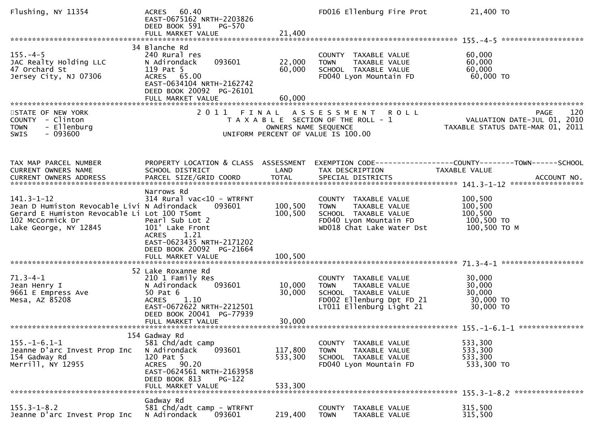| Flushing, NY 11354                                                                                                                                           | 60.40<br><b>ACRES</b><br>EAST-0675162 NRTH-2203826<br>DEED BOOK 591<br>PG-570<br>FULL MARKET VALUE                                                                                                 | 21,400                                                     | FD016 Ellenburg Fire Prot                                                                                                             | 21,400 TO                                                                      |     |
|--------------------------------------------------------------------------------------------------------------------------------------------------------------|----------------------------------------------------------------------------------------------------------------------------------------------------------------------------------------------------|------------------------------------------------------------|---------------------------------------------------------------------------------------------------------------------------------------|--------------------------------------------------------------------------------|-----|
|                                                                                                                                                              | 34 Blanche Rd                                                                                                                                                                                      |                                                            |                                                                                                                                       |                                                                                |     |
| $155. - 4 - 5$<br>JAC Realty Holding LLC<br>47 Orchard St<br>Jersey City, NJ 07306                                                                           | 240 Rural res<br>N Adirondack<br>093601<br>119 Pat 5<br>ACRES 65.00<br>EAST-0634104 NRTH-2162742                                                                                                   | 22,000<br>60,000                                           | COUNTY TAXABLE VALUE<br>TAXABLE VALUE<br><b>TOWN</b><br>SCHOOL TAXABLE VALUE<br>FD040 Lyon Mountain FD                                | 60,000<br>60,000<br>60,000<br>60,000 TO                                        |     |
|                                                                                                                                                              | DEED BOOK 20092 PG-26101<br>FULL MARKET VALUE                                                                                                                                                      | 60,000                                                     |                                                                                                                                       |                                                                                |     |
|                                                                                                                                                              |                                                                                                                                                                                                    |                                                            |                                                                                                                                       |                                                                                |     |
| STATE OF NEW YORK<br>COUNTY - Clinton<br>- Ellenburg<br><b>TOWN</b><br>$-093600$<br><b>SWIS</b>                                                              | 2011                                                                                                                                                                                               | OWNERS NAME SEQUENCE<br>UNIFORM PERCENT OF VALUE IS 100.00 | FINAL ASSESSMENT<br><b>ROLL</b><br>T A X A B L E SECTION OF THE ROLL - 1                                                              | <b>PAGE</b><br>VALUATION DATE-JUL 01, 2010<br>TAXABLE STATUS DATE-MAR 01, 2011 | 120 |
|                                                                                                                                                              |                                                                                                                                                                                                    |                                                            |                                                                                                                                       |                                                                                |     |
| TAX MAP PARCEL NUMBER<br>CURRENT OWNERS NAME                                                                                                                 | PROPERTY LOCATION & CLASS ASSESSMENT<br>SCHOOL DISTRICT                                                                                                                                            | LAND                                                       | EXEMPTION CODE-----------------COUNTY-------TOWN------SCHOOL<br>TAX DESCRIPTION                                                       | TAXABLE VALUE                                                                  |     |
|                                                                                                                                                              |                                                                                                                                                                                                    |                                                            |                                                                                                                                       |                                                                                |     |
| $141.3 - 1 - 12$<br>Jean D Humiston Revocable Livi N Adirondack<br>Gerard E Humiston Revocable Li Lot 100 T5omt<br>102 McCormick Dr<br>Lake George, NY 12845 | Narrows Rd<br>$314$ Rural vac< $10$ - WTRFNT<br>093601<br>Pearl Sub Lot 2<br>101' Lake Front<br><b>ACRES</b><br>1.21<br>EAST-0623435 NRTH-2171202<br>DEED BOOK 20092 PG-21664<br>FULL MARKET VALUE | 100,500<br>100,500<br>100,500                              | COUNTY TAXABLE VALUE<br><b>TOWN</b><br>TAXABLE VALUE<br>SCHOOL TAXABLE VALUE<br>FD040 Lyon Mountain FD<br>WD018 Chat Lake Water Dst   | 100,500<br>100,500<br>100,500<br>100,500 TO<br>100,500 ТО М                    |     |
|                                                                                                                                                              |                                                                                                                                                                                                    |                                                            |                                                                                                                                       |                                                                                |     |
| $71.3 - 4 - 1$<br>Jean Henry I<br>9661 E Empress Ave<br>Mesa, AZ 85208                                                                                       | 52 Lake Roxanne Rd<br>210 1 Family Res<br>N Adirondack<br>093601<br>50 Pat 6<br>1.10<br><b>ACRES</b><br>EAST-0672622 NRTH-2212501<br>DEED BOOK 20041 PG-77939<br>FULL MARKET VALUE                 | 10,000<br>30,000<br>30,000                                 | COUNTY TAXABLE VALUE<br>TAXABLE VALUE<br><b>TOWN</b><br>SCHOOL TAXABLE VALUE<br>FD002 Ellenburg Dpt FD 21<br>LT011 Ellenburg Light 21 | 30,000<br>30,000<br>30,000<br>30,000 TO<br>30,000 TO                           |     |
|                                                                                                                                                              | 154 Gadway Rd                                                                                                                                                                                      |                                                            |                                                                                                                                       |                                                                                |     |
| $155. - 1 - 6.1 - 1$<br>Jeanne D'arc Invest Prop Inc<br>154 Gadway Rd<br>Merrill, NY 12955                                                                   | 581 Chd/adt camp<br>N Adirondack<br>093601<br>120 Pat 5<br>ACRES 90.20<br>EAST-0624561 NRTH-2163958<br>DEED BOOK 813<br>$PG-122$<br>FULL MARKET VALUE                                              | 117,800<br>533,300<br>533,300                              | COUNTY TAXABLE VALUE<br>TAXABLE VALUE<br><b>TOWN</b><br>SCHOOL TAXABLE VALUE<br>FD040 Lyon Mountain FD                                | 533,300<br>533,300<br>533,300<br>533,300 TO                                    |     |
|                                                                                                                                                              | Gadway Rd                                                                                                                                                                                          |                                                            |                                                                                                                                       |                                                                                |     |
| $155.3 - 1 - 8.2$<br>Jeanne D'arc Invest Prop Inc                                                                                                            | 581 Chd/adt camp - WTRFNT<br>N Adirondack<br>093601                                                                                                                                                | 219,400                                                    | <b>COUNTY</b><br>TAXABLE VALUE<br><b>TOWN</b><br>TAXABLE VALUE                                                                        | 315,500<br>315,500                                                             |     |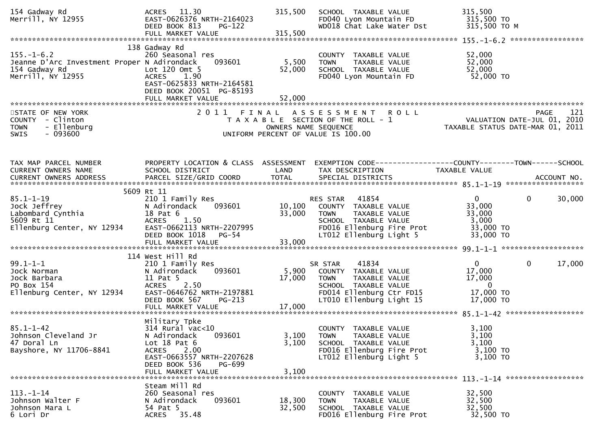| 154 Gadway Rd<br>Merrill, NY 12955                                                                    | ACRES 11.30<br>EAST-0626376 NRTH-2164023<br>DEED BOOK 813<br>PG-122<br>FULL MARKET VALUE                                                                                          | 315,500<br>315,500         | SCHOOL TAXABLE VALUE<br>FD040 Lyon Mountain FD<br>WD018 Chat Lake Water Dst                                                                               | 315,500<br>315,500 TO<br>315,500 ТО М                                                        |             |
|-------------------------------------------------------------------------------------------------------|-----------------------------------------------------------------------------------------------------------------------------------------------------------------------------------|----------------------------|-----------------------------------------------------------------------------------------------------------------------------------------------------------|----------------------------------------------------------------------------------------------|-------------|
| $155. - 1 - 6.2$<br>Jeanne D'Arc Investment Proper N Adirondack<br>154 Gadway Rd<br>Merrill, NY 12955 | 138 Gadway Rd<br>260 Seasonal res<br>093601<br>Lot $120$ Omt $5$<br><b>ACRES</b><br>1.90<br>EAST-0625833 NRTH-2164581<br>DEED BOOK 20051 PG-85193<br>FULL MARKET VALUE            | 5,500<br>52,000<br>52,000  | COUNTY TAXABLE VALUE<br>TAXABLE VALUE<br><b>TOWN</b><br>SCHOOL TAXABLE VALUE<br>FD040 Lyon Mountain FD                                                    | 52,000<br>52,000<br>52,000<br>52,000 TO                                                      |             |
| STATE OF NEW YORK<br>COUNTY - Clinton<br>- Ellenburg<br><b>TOWN</b><br><b>SWIS</b><br>- 093600        |                                                                                                                                                                                   |                            | 2011 FINAL ASSESSMENT ROLL<br>T A X A B L E SECTION OF THE ROLL - 1<br>OWNERS NAME SEQUENCE<br>UNIFORM PERCENT OF VALUE IS 100.00                         | VALUATION DATE-JUL 01, 2010<br>TAXABLE STATUS DATE-MAR 01, 2011                              | 121<br>PAGE |
| TAX MAP PARCEL NUMBER<br>CURRENT OWNERS NAME                                                          | PROPERTY LOCATION & CLASS ASSESSMENT<br>SCHOOL DISTRICT                                                                                                                           | LAND                       | EXEMPTION CODE-----------------COUNTY-------TOWN------SCHOOL<br>TAX DESCRIPTION                                                                           | TAXABLE VALUE                                                                                |             |
| $85.1 - 1 - 19$<br>Jock Jeffrey<br>Labombard Cynthia<br>5609 Rt 11<br>Ellenburg Center, NY 12934      | 5609 Rt 11<br>210 1 Family Res<br>093601<br>N Adirondack<br>18 Pat 6<br><b>ACRES</b><br>1.50<br>EAST-0662113 NRTH-2207995<br>DEED BOOK 1018<br>PG-54<br>FULL MARKET VALUE         | 10,100<br>33,000<br>33,000 | RES STAR<br>41854<br>COUNTY TAXABLE VALUE<br><b>TOWN</b><br>TAXABLE VALUE<br>SCHOOL TAXABLE VALUE<br>FD016 Ellenburg Fire Prot<br>LT012 Ellenburg Light 5 | $\Omega$<br>$\mathbf{0}$<br>33,000<br>33,000<br>3,000<br>33,000 TO<br>33,000 TO              | 30,000      |
| $99.1 - 1 - 1$<br>Jock Norman<br>Jock Barbara<br>PO Box 154<br>Ellenburg Center, NY 12934             | 114 West Hill Rd<br>210 1 Family Res<br>093601<br>N Adirondack<br>11 Pat 5<br><b>ACRES</b><br>2.50<br>EAST-0646762 NRTH-2197881<br>DEED BOOK 567<br>$PG-213$<br>FULL MARKET VALUE | 5,900<br>17,000<br>17,000  | 41834<br>SR STAR<br>COUNTY TAXABLE VALUE<br><b>TOWN</b><br>TAXABLE VALUE<br>SCHOOL TAXABLE VALUE<br>FD014 Ellenburg Ctr FD15<br>LT010 Ellenburg Light 15  | $\mathbf{0}$<br>$\mathbf{0}$<br>17,000<br>17,000<br>$\overline{0}$<br>17,000 TO<br>17,000 TO | 17,000      |
| $85.1 - 1 - 42$<br>Johnson Cleveland Jr<br>47 Doral Ln<br>Bayshore, NY 11706-8841                     | Military Tpke<br>314 Rural vac<10<br>093601<br>N Adirondack<br>Lot $18$ Pat $6$<br>ACRES 2.00<br>EAST-0663557 NRTH-2207628<br>DEED BOOK 536<br>PG-699<br>FULL MARKET VALUE        | 3,100<br>3,100<br>3,100    | COUNTY TAXABLE VALUE<br>TAXABLE VALUE<br><b>TOWN</b><br>SCHOOL TAXABLE VALUE<br>FD016 Ellenburg Fire Prot<br>LT012 Ellenburg Light 5                      | 3,100<br>3,100<br>3,100<br>3,100 TO<br>3,100 TO                                              |             |
| $113 - 1 - 14$<br>Johnson Walter F<br>Johnson Mara L<br>6 Lori Dr                                     | Steam Mill Rd<br>260 Seasonal res<br>093601<br>N Adirondack<br>54 Pat 5<br>ACRES 35.48                                                                                            | 18,300<br>32,500           | COUNTY TAXABLE VALUE<br><b>TOWN</b><br>TAXABLE VALUE<br>SCHOOL TAXABLE VALUE<br>FD016 Ellenburg Fire Prot                                                 | 32,500<br>32,500<br>32,500<br>32,500 TO                                                      |             |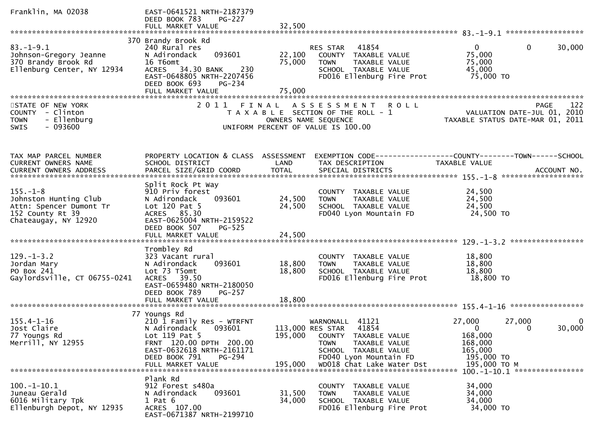| Franklin, MA 02038             | EAST-0641521 NRTH-2187379<br>DEED BOOK 783<br>$PG-227$<br>FULL MARKET VALUE | 32,500  |                                                      |                                                                             |        |
|--------------------------------|-----------------------------------------------------------------------------|---------|------------------------------------------------------|-----------------------------------------------------------------------------|--------|
|                                |                                                                             |         |                                                      |                                                                             |        |
|                                | 370 Brandy Brook Rd                                                         |         |                                                      |                                                                             |        |
| $83. - 1 - 9.1$                | 240 Rural res                                                               |         | 41854<br>RES STAR                                    | $\mathbf{0}$<br>$\Omega$                                                    | 30,000 |
| Johnson-Gregory Jeanne         | 093601<br>N Adirondack                                                      | 22,100  | COUNTY TAXABLE VALUE                                 | 75,000                                                                      |        |
| 370 Brandy Brook Rd            | 16 T6omt                                                                    | 75,000  | TAXABLE VALUE<br><b>TOWN</b>                         | 75,000                                                                      |        |
| Ellenburg Center, NY 12934     | ACRES 34.30 BANK<br>230                                                     |         | SCHOOL TAXABLE VALUE                                 | 45,000                                                                      |        |
|                                | EAST-0648805 NRTH-2207456<br>DEED BOOK 693<br>PG-234                        |         | FD016 Ellenburg Fire Prot                            | 75,000 TO                                                                   |        |
|                                | FULL MARKET VALUE                                                           | 75,000  |                                                      |                                                                             |        |
|                                |                                                                             |         |                                                      |                                                                             |        |
| STATE OF NEW YORK              |                                                                             |         | 2011 FINAL ASSESSMENT<br><b>ROLL</b>                 |                                                                             |        |
| COUNTY - Clinton               |                                                                             |         | T A X A B L E SECTION OF THE ROLL - 1                | PAGE 122<br>VALUATION DATE-JUL 01, 2010<br>TAXARLE STATUS DATE WAS 01, 2010 |        |
| - Ellenburg<br><b>TOWN</b>     |                                                                             |         | OWNERS NAME SEQUENCE                                 | TAXABLE STATUS DATE-MAR 01, 2011                                            |        |
| $-093600$<br><b>SWIS</b>       |                                                                             |         | UNIFORM PERCENT OF VALUE IS 100.00                   |                                                                             |        |
|                                |                                                                             |         |                                                      |                                                                             |        |
|                                |                                                                             |         |                                                      |                                                                             |        |
|                                |                                                                             |         |                                                      |                                                                             |        |
| TAX MAP PARCEL NUMBER          | PROPERTY LOCATION & CLASS ASSESSMENT                                        | LAND    |                                                      | EXEMPTION CODE------------------COUNTY--------TOWN------SCHOOL              |        |
| CURRENT OWNERS NAME            | SCHOOL DISTRICT                                                             |         | TAX DESCRIPTION                                      | TAXABLE VALUE                                                               |        |
|                                |                                                                             |         |                                                      |                                                                             |        |
|                                | Split Rock Pt Way                                                           |         |                                                      |                                                                             |        |
| $155. - 1 - 8$                 | 910 Priv forest                                                             |         | COUNTY TAXABLE VALUE                                 | 24,500                                                                      |        |
| Johnston Hunting Club          | 093601<br>N Adirondack                                                      | 24,500  | <b>TOWN</b><br>TAXABLE VALUE                         | 24,500                                                                      |        |
| Attn: Spencer Dumont Tr        | Lot 120 Pat 5                                                               | 24,500  | SCHOOL TAXABLE VALUE                                 | 24,500                                                                      |        |
| 152 County Rt 39               | ACRES 85.30                                                                 |         | FD040 Lyon Mountain FD                               | 24,500 TO                                                                   |        |
| Chateaugay, NY 12920           | EAST-0625004 NRTH-2159522                                                   |         |                                                      |                                                                             |        |
|                                | DEED BOOK 507<br>$PG-525$                                                   |         |                                                      |                                                                             |        |
|                                | FULL MARKET VALUE                                                           | 24,500  |                                                      |                                                                             |        |
|                                | Trombley Rd                                                                 |         |                                                      |                                                                             |        |
| $129. - 1 - 3.2$               | 323 Vacant rural                                                            |         | COUNTY TAXABLE VALUE                                 | 18,800                                                                      |        |
| Jordan Mary                    | 093601<br>N Adirondack                                                      | 18,800  | TAXABLE VALUE<br><b>TOWN</b>                         | 18,800                                                                      |        |
| PO Box 241                     | Lot 73 T5omt                                                                | 18,800  | SCHOOL TAXABLE VALUE                                 | 18,800                                                                      |        |
| Gaylordsville, CT 06755-0241   | ACRES 39.50                                                                 |         | FD016 Ellenburg Fire Prot                            | 18,800 TO                                                                   |        |
|                                | EAST-0659480 NRTH-2180050                                                   |         |                                                      |                                                                             |        |
|                                | DEED BOOK 789<br>PG-257                                                     |         |                                                      |                                                                             |        |
|                                |                                                                             |         |                                                      |                                                                             |        |
|                                |                                                                             |         |                                                      |                                                                             |        |
| $155.4 - 1 - 16$               | 77 Youngs Rd<br>210 1 Family Res - WTRFNT                                   |         | WARNONALL 41121                                      | 27,000<br>27,000                                                            | 0      |
| Jost Claire                    | N Adirondack<br>093601                                                      |         | 41854<br>113,000 RES STAR                            | $\mathbf{0}$<br>$\Omega$                                                    | 30,000 |
| 77 Youngs Rd                   | Lot 119 Pat 5                                                               | 195,000 | TAXABLE VALUE<br>COUNTY                              | 168,000                                                                     |        |
| Merrill, NY 12955              | FRNT 120.00 DPTH 200.00                                                     |         | TAXABLE VALUE<br><b>TOWN</b>                         | 168,000                                                                     |        |
|                                | EAST-0632618 NRTH-2161171                                                   |         | SCHOOL TAXABLE VALUE                                 | 165,000                                                                     |        |
|                                | DEED BOOK 791<br>PG-294                                                     |         | FD040 Lyon Mountain FD                               | 195,000 TO                                                                  |        |
|                                | FULL MARKET VALUE                                                           | 195,000 | WD018 Chat Lake Water Dst                            | 195,000 ТО М                                                                |        |
|                                |                                                                             |         |                                                      | 100.-1-10.1 *****************                                               |        |
|                                | Plank Rd                                                                    |         |                                                      |                                                                             |        |
| $100.-1-10.1$<br>Juneau Gerald | 912 Forest s480a<br>N Adirondack<br>093601                                  | 31,500  | <b>COUNTY</b><br>TAXABLE VALUE                       | 34,000<br>34,000                                                            |        |
| 6016 Military Tpk              | $1$ Pat $6$                                                                 | 34,000  | TAXABLE VALUE<br><b>TOWN</b><br>SCHOOL TAXABLE VALUE | 34,000                                                                      |        |
| Ellenburgh Depot, NY 12935     | ACRES 107.00                                                                |         | FD016 Ellenburg Fire Prot                            | 34,000 TO                                                                   |        |
|                                | EAST-0671387 NRTH-2199710                                                   |         |                                                      |                                                                             |        |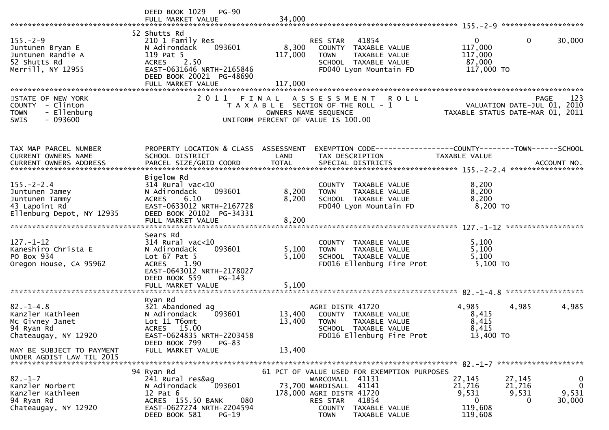|                                                                                                    | DEED BOOK 1029 PG-90<br>FULL MARKET VALUE                                                                                                                                           | 34,000                                                                      |                                                                                                            |                                                                                                  |                                                                               |                                |                                                       |
|----------------------------------------------------------------------------------------------------|-------------------------------------------------------------------------------------------------------------------------------------------------------------------------------------|-----------------------------------------------------------------------------|------------------------------------------------------------------------------------------------------------|--------------------------------------------------------------------------------------------------|-------------------------------------------------------------------------------|--------------------------------|-------------------------------------------------------|
| $155. - 2 - 9$<br>Juntunen Bryan E<br>Juntunen Randie A<br>52 Shutts Rd<br>Merrill, NY 12955       | 52 Shutts Rd<br>210 1 Family Res<br>093601<br>N Adirondack<br>119 Pat 5<br>ACRES 2.50<br>EAST-0631646 NRTH-2165846<br>DEED BOOK 20021 PG-48690<br>FULL MARKET VALUE                 | 8,300<br>117,000<br>117,000                                                 | RES STAR<br><b>TOWN</b>                                                                                    | 41854<br>COUNTY TAXABLE VALUE<br>TAXABLE VALUE<br>SCHOOL TAXABLE VALUE<br>FD040 Lyon Mountain FD | $\Omega$<br>117,000<br>117,000<br>87,000<br>117,000 TO                        | 0                              | 30,000                                                |
| STATE OF NEW YORK<br>COUNTY - Clinton<br>- Ellenburg<br><b>TOWN</b><br>$-093600$<br><b>SWIS</b>    |                                                                                                                                                                                     | T A X A B L E SECTION OF THE ROLL - 1<br>UNIFORM PERCENT OF VALUE IS 100.00 | OWNERS NAME SEQUENCE                                                                                       | 2011 FINAL ASSESSMENT ROLL                                                                       | VALUATION DATE-JUL 01, 2010<br>TAXABLE STATUS DATE-MAR 01, 2011               | <b>PAGE</b>                    | 123                                                   |
| TAX MAP PARCEL NUMBER<br>CURRENT OWNERS NAME                                                       | PROPERTY LOCATION & CLASS ASSESSMENT<br>SCHOOL DISTRICT                                                                                                                             | LAND                                                                        | TAX DESCRIPTION                                                                                            |                                                                                                  | EXEMPTION CODE-----------------COUNTY-------TOWN------SCHOOL<br>TAXABLE VALUE |                                |                                                       |
| $155. - 2 - 2.4$<br>Juntunen Jamey<br>Juntunen Tammy<br>43 Lapoint Rd<br>Ellenburg Depot, NY 12935 | Bigelow Rd<br>$314$ Rural vac<10<br>N Adirondack<br>093601<br>6.10<br><b>ACRES</b><br>EAST-0633012 NRTH-2167728<br>DEED BOOK 20102 PG-34331<br>FULL MARKET VALUE                    | 8,200<br>8,200<br>8,200                                                     | <b>TOWN</b>                                                                                                | COUNTY TAXABLE VALUE<br>TAXABLE VALUE<br>SCHOOL TAXABLE VALUE<br>FD040 Lyon Mountain FD          | 8,200<br>8,200<br>8,200<br>$8,200$ TO                                         |                                |                                                       |
| $127. - 1 - 12$<br>Kaneshiro Christa E<br>PO Box 934<br>Oregon House, CA 95962                     | Sears Rd<br>$314$ Rural vac<10<br>093601<br>N Adirondack<br>Lot $67$ Pat $5$<br>1.90<br><b>ACRES</b><br>EAST-0643012 NRTH-2178027<br>DEED BOOK 559<br>$PG-143$<br>FULL MARKET VALUE | 5,100<br>5,100<br>5,100                                                     | <b>TOWN</b>                                                                                                | COUNTY TAXABLE VALUE<br>TAXABLE VALUE<br>SCHOOL TAXABLE VALUE<br>FD016 Ellenburg Fire Prot       | 5,100<br>5,100<br>5,100<br>5,100 TO                                           |                                |                                                       |
| $82. - 1 - 4.8$<br>Kanzler Kathleen<br>Mc Givney Janet<br>94 Ryan Rd<br>Chateaugay, NY 12920       | Ryan Rd<br>321 Abandoned ag<br>N Adirondack<br>093601<br>Lot 11 T6omt<br>ACRES 15.00<br>EAST-0624835 NRTH-2203458<br>DEED BOOK 799<br>$PG-83$                                       | 13,400<br>13,400                                                            | AGRI DISTR 41720<br><b>TOWN</b>                                                                            | COUNTY TAXABLE VALUE<br>TAXABLE VALUE<br>SCHOOL TAXABLE VALUE<br>FD016 Ellenburg Fire Prot       | 4,985<br>8,415<br>8,415<br>8,415<br>13,400 TO                                 | 4,985                          | 4,985                                                 |
| MAY BE SUBJECT TO PAYMENT<br>UNDER AGDIST LAW TIL 2015                                             | FULL MARKET VALUE                                                                                                                                                                   | 13,400                                                                      |                                                                                                            |                                                                                                  |                                                                               |                                |                                                       |
| $82 - 1 - 7$<br>Kanzler Norbert<br>Kanzler Kathleen<br>94 Ryan Rd<br>Chateaugay, NY 12920          | 94 Ryan Rd<br>241 Rural res&ag<br>093601<br>N Adirondack<br>$12$ Pat $6$<br>080<br>ACRES 155.50 BANK<br>EAST-0627274 NRTH-2204594<br>DEED BOOK 581<br>$PG-19$                       |                                                                             | WARCOMALL 41131<br>73,700 WARDISALL 41141<br>178,000 AGRI DISTR 41720<br>RES STAR<br>COUNTY<br><b>TOWN</b> | 61 PCT OF VALUE USED FOR EXEMPTION PURPOSES<br>41854<br>TAXABLE VALUE<br>TAXABLE VALUE           | 27,145<br>21,716<br>9,531<br>$\bf{0}$<br>119,608<br>119,608                   | 27,145<br>21,716<br>9,531<br>0 | $\boldsymbol{0}$<br>$\overline{0}$<br>9,531<br>30,000 |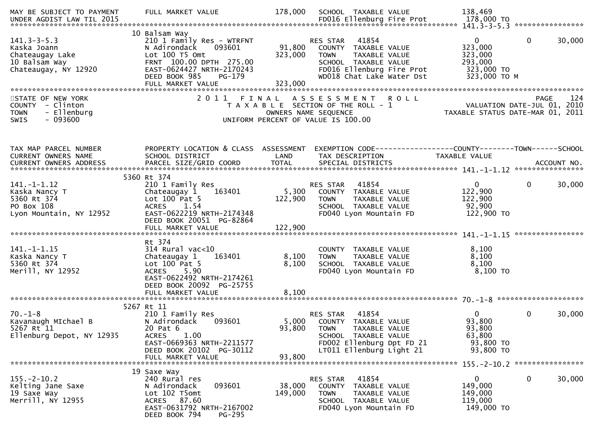| MAY BE SUBJECT TO PAYMENT                                                                    | FULL MARKET VALUE                                                                                                                                                                                     | 178,000                      | SCHOOL TAXABLE VALUE                                                                                                                                        | 138,469                                                                       |                        |
|----------------------------------------------------------------------------------------------|-------------------------------------------------------------------------------------------------------------------------------------------------------------------------------------------------------|------------------------------|-------------------------------------------------------------------------------------------------------------------------------------------------------------|-------------------------------------------------------------------------------|------------------------|
| $141.3 - 3 - 5.3$<br>Kaska Joann<br>Chateaugay Lake<br>10 Balsam Way<br>Chateaugay, NY 12920 | 10 Balsam Way<br>210 1 Family Res - WTRFNT<br>093601<br>N Adirondack<br>Lot 100 T5 Omt<br>FRNT 100.00 DPTH 275.00<br>EAST-0624427 NRTH-2170243<br>DEED BOOK 985<br><b>PG-179</b><br>FULL MARKET VALUE | 91,800<br>323,000<br>323,000 | RES STAR<br>41854<br>COUNTY TAXABLE VALUE<br><b>TOWN</b><br>TAXABLE VALUE<br>SCHOOL TAXABLE VALUE<br>FD016 Ellenburg Fire Prot<br>WD018 Chat Lake Water Dst | $\overline{0}$<br>323,000<br>323,000<br>293,000<br>323,000 TO<br>323,000 ТО М | $\mathbf{0}$<br>30,000 |
| STATE OF NEW YORK<br>COUNTY - Clinton<br>- Ellenburg<br><b>TOWN</b><br>- 093600<br>SWIS      |                                                                                                                                                                                                       | OWNERS NAME SEQUENCE         | 2011 FINAL ASSESSMENT ROLL<br>T A X A B L E SECTION OF THE ROLL - 1<br>UNIFORM PERCENT OF VALUE IS 100.00                                                   | PAGE 124<br>VALUATION DATE-JUL 01, 2010<br>TAXABLE STATUS DATE 115 2010       |                        |
| TAX MAP PARCEL NUMBER<br>CURRENT OWNERS NAME                                                 | PROPERTY LOCATION & CLASS ASSESSMENT<br>SCHOOL DISTRICT                                                                                                                                               | LAND                         | EXEMPTION CODE------------------COUNTY--------TOWN------SCHOOL<br>TAX DESCRIPTION                                                                           | TAXABLE VALUE                                                                 |                        |
|                                                                                              |                                                                                                                                                                                                       |                              |                                                                                                                                                             |                                                                               |                        |
| $141. - 1 - 1.12$<br>Kaska Nancy T<br>5360 Rt 374<br>PO Box 108<br>Lyon Mountain, NY 12952   | 5360 Rt 374<br>210 1 Family Res<br>Chateaugay 1<br>163401<br>Lot 100 Pat 5<br>ACRES 1.54<br>EAST-0622219 NRTH-2174348<br>DEED BOOK 20051 PG-82864                                                     | 122,900                      | RES STAR 41854<br>5,300 COUNTY TAXABLE VALUE<br><b>TOWN</b><br>TAXABLE VALUE<br>SCHOOL TAXABLE VALUE<br>FD040 Lyon Mountain FD                              | $\overline{0}$<br>122,900<br>122,900<br>92,900<br>122,900 TO                  | 30,000<br>$\mathbf{0}$ |
|                                                                                              |                                                                                                                                                                                                       |                              |                                                                                                                                                             |                                                                               |                        |
| $141. - 1 - 1.15$<br>Kaska Nancy T<br>5360 Rt 374<br>Merill, NY 12952                        | Rt 374<br>314 Rural vac<10<br>Chateaugay 1<br>163401<br>Lot $100$ Pat 5<br>ACRES 5.90<br>EAST-0622492 NRTH-2174261<br>DEED BOOK 20092 PG-25755                                                        | 8,100<br>8,100               | COUNTY TAXABLE VALUE<br><b>TOWN</b><br>TAXABLE VALUE<br>SCHOOL TAXABLE VALUE<br>FD040 Lyon Mountain FD                                                      | 8,100<br>8,100<br>8,100<br>$8,100$ TO                                         |                        |
|                                                                                              |                                                                                                                                                                                                       |                              |                                                                                                                                                             |                                                                               |                        |
| $70. - 1 - 8$<br>Kavanaugh MIchael B<br>5267 Rt 11<br>Ellenburg Depot, NY 12935              | 5267 Rt 11<br>210 1 Family Res<br>N Adirondack<br>093601<br>20 Pat 6<br>1.00<br><b>ACRES</b><br>EAST-0669363 NRTH-2211577<br>DEED BOOK 20102 PG-30112                                                 | 93,800 TOWN                  | RES STAR 41854<br>5,000 COUNTY TAXABLE VALUE<br>TAXABLE VALUE<br>SCHOOL TAXABLE VALUE<br>FD002 Ellenburg Dpt FD 21<br>LT011 Ellenburg Light 21              | $\mathbf{0}$<br>93,800<br>93,800<br>63,800<br>93,800 TO<br>93,800 TO          | 0<br>30,000            |
|                                                                                              | FULL MARKET VALUE                                                                                                                                                                                     | 93,800                       |                                                                                                                                                             |                                                                               |                        |
|                                                                                              | 19 Saxe Way                                                                                                                                                                                           |                              |                                                                                                                                                             |                                                                               |                        |
| $155. - 2 - 10.2$<br>Kelting Jane Saxe<br>19 Saxe Way<br>Merrill, NY 12955                   | 240 Rural res<br>093601<br>N Adirondack<br>Lot 102 T5omt<br>ACRES 87.60<br>EAST-0631792 NRTH-2167002<br>DEED BOOK 794<br>PG-295                                                                       | 38,000<br>149,000            | RES STAR<br>41854<br>COUNTY TAXABLE VALUE<br>TAXABLE VALUE<br><b>TOWN</b><br>SCHOOL TAXABLE VALUE<br>FD040 Lyon Mountain FD                                 | $\mathbf{0}$<br>149,000<br>149,000<br>119,000<br>149,000 TO                   | 0<br>30,000            |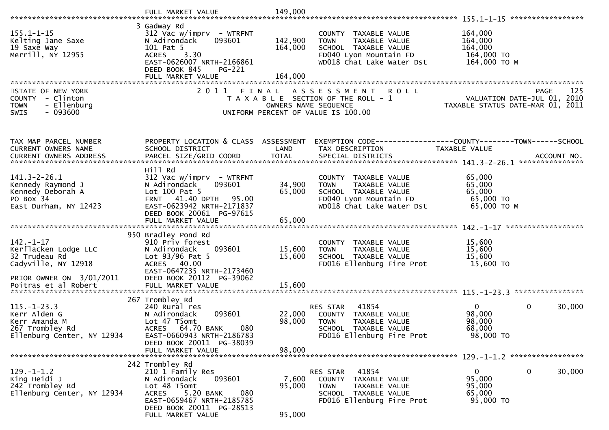| $155.1 - 1 - 15$<br>Kelting Jane Saxe<br>19 Saxe Way<br>Merrill, NY 12955                           | 3 Gadway Rd<br>$312$ Vac w/imprv - WTRFNT<br>093601<br>N Adirondack<br>101 Pat 5<br>3.30<br><b>ACRES</b><br>EAST-0626007 NRTH-2166861<br>DEED BOOK 845<br><b>PG-221</b>    | 142,900<br>164,000   | COUNTY TAXABLE VALUE<br><b>TOWN</b><br>TAXABLE VALUE<br>SCHOOL TAXABLE VALUE<br>FD040 Lyon Mountain FD<br>WD018 Chat Lake Water Dst | 164,000<br>164,000<br>164,000<br>164,000 TO<br>164,000 ТО М                    |
|-----------------------------------------------------------------------------------------------------|----------------------------------------------------------------------------------------------------------------------------------------------------------------------------|----------------------|-------------------------------------------------------------------------------------------------------------------------------------|--------------------------------------------------------------------------------|
|                                                                                                     | FULL MARKET VALUE                                                                                                                                                          | 164,000              |                                                                                                                                     |                                                                                |
| STATE OF NEW YORK<br>COUNTY - Clinton<br>- Ellenburg<br><b>TOWN</b><br>$-093600$<br>SWIS            | 2011                                                                                                                                                                       | OWNERS NAME SEQUENCE | FINAL ASSESSMENT ROLL<br>T A X A B L E SECTION OF THE ROLL - 1<br>UNIFORM PERCENT OF VALUE IS 100.00                                | PAGE<br>125<br>VALUATION DATE-JUL 01, 2010<br>TAXABLE STATUS DATE-MAR 01, 2011 |
| TAX MAP PARCEL NUMBER                                                                               | PROPERTY LOCATION & CLASS ASSESSMENT                                                                                                                                       |                      | EXEMPTION CODE-----------------COUNTY--------TOWN------SCHOOL                                                                       |                                                                                |
| CURRENT OWNERS NAME                                                                                 | SCHOOL DISTRICT                                                                                                                                                            | LAND                 | TAX DESCRIPTION                                                                                                                     | TAXABLE VALUE                                                                  |
|                                                                                                     |                                                                                                                                                                            |                      |                                                                                                                                     |                                                                                |
|                                                                                                     | Hill Rd                                                                                                                                                                    |                      |                                                                                                                                     |                                                                                |
| $141.3 - 2 - 26.1$<br>Kennedy Raymond J<br>Kennedy Deborah A<br>PO Box 34<br>East Durham, NY 12423  | $312$ Vac w/imprv - WTRFNT<br>N Adirondack<br>093601<br>Lot 100 Pat 5<br>FRNT 41.40 DPTH 95.00<br>EAST-0623942 NRTH-2171837<br>DEED BOOK 20061 PG-97615                    | 34,900<br>65,000     | COUNTY TAXABLE VALUE<br><b>TOWN</b><br>TAXABLE VALUE<br>SCHOOL TAXABLE VALUE<br>FD040 Lyon Mountain FD<br>WD018 Chat Lake Water Dst | 65,000<br>65,000<br>65,000<br>65,000 TO<br>65,000 TO M                         |
|                                                                                                     | FULL MARKET VALUE                                                                                                                                                          | 65,000               |                                                                                                                                     |                                                                                |
| $142. - 1 - 17$<br>Kerflacken Lodge LLC<br>32 Trudeau Rd<br>Cadyville, NY 12918                     | 950 Bradley Pond Rd<br>910 Priv forest<br>N Adirondack<br>093601<br>Lot 93/96 Pat 5<br>ACRES 40.00<br>EAST-0647235 NRTH-2173460                                            | 15,600<br>15,600     | COUNTY TAXABLE VALUE<br><b>TOWN</b><br>TAXABLE VALUE<br>SCHOOL TAXABLE VALUE<br>FD016 Ellenburg Fire Prot                           | 15,600<br>15,600<br>15,600<br>15,600 TO                                        |
| PRIOR OWNER ON 3/01/2011<br>Poitras et al Robert                                                    | DEED BOOK 20112 PG-39062<br>FULL MARKET VALUE                                                                                                                              | 15,600               |                                                                                                                                     |                                                                                |
|                                                                                                     | 267 Trombley Rd                                                                                                                                                            |                      |                                                                                                                                     |                                                                                |
| $115. - 1 - 23.3$<br>Kerr Alden G<br>Kerr Amanda M<br>267 Trombley Rd<br>Ellenburg Center, NY 12934 | 240 Rural res<br>093601<br>N Adirondack<br>Lot 47 T5omt<br>080<br>ACRES 64.70 BANK<br>EAST-0660943 NRTH-2186783<br>DEED BOOK 20011 PG-38039                                | 22,000<br>98,000     | 41854<br>RES STAR<br>COUNTY TAXABLE VALUE<br><b>TOWN</b><br>TAXABLE VALUE<br>SCHOOL TAXABLE VALUE<br>FD016 Ellenburg Fire Prot      | $\mathbf{0}$<br>0<br>30,000<br>98,000<br>98,000<br>68,000<br>98,000 TO         |
|                                                                                                     | FULL MARKET VALUE                                                                                                                                                          | 98,000               |                                                                                                                                     |                                                                                |
|                                                                                                     |                                                                                                                                                                            |                      |                                                                                                                                     |                                                                                |
| $129. - 1 - 1.2$<br>King Heidi J<br>242 Trombley Rd<br>Ellenburg Center, NY 12934                   | 242 Trombley Rd<br>210 1 Family Res<br>093601<br>N Adirondack<br>Lot 48 T5omt<br>5.20 BANK<br>080<br><b>ACRES</b><br>EAST-0659467 NRTH-2185785<br>DEED BOOK 20011 PG-28513 | 7,600<br>95,000      | 41854<br>RES STAR<br>COUNTY TAXABLE VALUE<br>TAXABLE VALUE<br><b>TOWN</b><br>SCHOOL TAXABLE VALUE<br>FD016 Ellenburg Fire Prot      | 0<br>0<br>30,000<br>95,000<br>95,000<br>65,000<br>95,000 TO                    |
|                                                                                                     | FULL MARKET VALUE                                                                                                                                                          | 95,000               |                                                                                                                                     |                                                                                |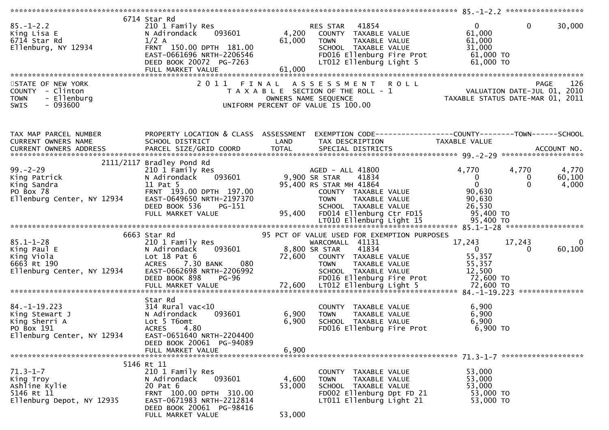| $85. - 1 - 2.2$<br>King Lisa E<br>6714 Star Rd<br>Ellenburg, NY 12934<br>STATE OF NEW YORK        | 6714 Star Rd<br>210 1 Family Res<br>093601<br>N Adirondack<br>$1/2$ A<br>FRNT 150.00 DPTH 181.00<br>EAST-0661696 NRTH-2206546<br>DEED BOOK 20072 PG-7263<br>FULL MARKET VALUE<br>2011 | 4,200<br>61,000<br>61,000<br>FINAL | RES STAR 41854<br>COUNTY TAXABLE VALUE<br>TAXABLE VALUE<br><b>TOWN</b><br>SCHOOL TAXABLE VALUE<br>FD016 Ellenburg Fire Prot<br>LT012 Ellenburg Light 5<br><b>ROLL</b><br>A S S E S S M E N T | 0<br>61,000<br>61,000<br>31,000<br>61,000 TO<br>61,000 TO           | $\mathbf 0$<br>30,000<br>126<br><b>PAGE</b>                     |
|---------------------------------------------------------------------------------------------------|---------------------------------------------------------------------------------------------------------------------------------------------------------------------------------------|------------------------------------|----------------------------------------------------------------------------------------------------------------------------------------------------------------------------------------------|---------------------------------------------------------------------|-----------------------------------------------------------------|
| COUNTY - Clinton<br>- Ellenburg<br><b>TOWN</b>                                                    |                                                                                                                                                                                       |                                    | T A X A B L E SECTION OF THE ROLL - 1<br>OWNERS NAME SEQUENCE                                                                                                                                |                                                                     | VALUATION DATE-JUL 01, 2010<br>TAXABLE STATUS DATE-MAR 01, 2011 |
| SWIS<br>- 093600                                                                                  |                                                                                                                                                                                       |                                    | UNIFORM PERCENT OF VALUE IS 100.00                                                                                                                                                           |                                                                     |                                                                 |
| TAX MAP PARCEL NUMBER<br>CURRENT OWNERS NAME                                                      | PROPERTY LOCATION & CLASS ASSESSMENT<br>SCHOOL DISTRICT                                                                                                                               | LAND                               | EXEMPTION CODE------------------COUNTY--------TOWN------SCHOOL<br>TAX DESCRIPTION                                                                                                            | TAXABLE VALUE                                                       |                                                                 |
|                                                                                                   |                                                                                                                                                                                       |                                    |                                                                                                                                                                                              |                                                                     |                                                                 |
|                                                                                                   | 2111/2117 Bradley Pond Rd                                                                                                                                                             |                                    |                                                                                                                                                                                              |                                                                     |                                                                 |
| $99. - 2 - 29$<br>King Patrick                                                                    | 210 1 Family Res<br>093601<br>N Adirondack                                                                                                                                            |                                    | AGED - ALL 41800<br>41834<br>9,900 SR STAR                                                                                                                                                   | 4,770<br>$\bf{0}$                                                   | 4,770<br>4,770<br>60,100<br>$\mathbf 0$                         |
| King Sandra                                                                                       | 11 Pat 5                                                                                                                                                                              |                                    | 95,400 RS STAR MH 41864                                                                                                                                                                      | $\mathbf{0}$                                                        | $\Omega$<br>4,000                                               |
| PO Box 78<br>Ellenburg Center, NY 12934                                                           | FRNT 193.00 DPTH 197.00<br>EAST-0649650 NRTH-2197370                                                                                                                                  |                                    | COUNTY TAXABLE VALUE<br><b>TOWN</b><br>TAXABLE VALUE                                                                                                                                         | 90,630<br>90,630                                                    |                                                                 |
|                                                                                                   | DEED BOOK 536<br>PG-151<br>FULL MARKET VALUE                                                                                                                                          | 95,400                             | SCHOOL TAXABLE VALUE<br>FD014 Ellenburg Ctr FD15                                                                                                                                             | 26,530<br>95,400 TO                                                 |                                                                 |
|                                                                                                   |                                                                                                                                                                                       |                                    |                                                                                                                                                                                              |                                                                     |                                                                 |
|                                                                                                   | 6663 Star Rd                                                                                                                                                                          |                                    | 95 PCT OF VALUE USED FOR EXEMPTION PURPOSES                                                                                                                                                  |                                                                     |                                                                 |
| $85.1 - 1 - 28$<br>King Paul E<br>King Viola<br>6663 Rt 190<br>Ellenburg Center, NY 12934         | 210 1 Family Res<br>093601<br>N Adirondack<br>Lot $18$ Pat $6$<br>ACRES 7.30 BANK<br>080<br>EAST-0662698 NRTH-2206992<br>DEED BOOK 898<br><b>PG-96</b>                                | 72,600                             | WARCOMALL 41131<br>8,800 SR STAR<br>41834<br>COUNTY TAXABLE VALUE<br><b>TOWN</b><br>TAXABLE VALUE<br>SCHOOL TAXABLE VALUE<br>FD016 Ellenburg Fire Prot                                       | 17,243<br>$\overline{0}$<br>55,357<br>55,357<br>12,500<br>72,600 TO | 17,243<br>0<br>60,100<br>0                                      |
|                                                                                                   |                                                                                                                                                                                       |                                    |                                                                                                                                                                                              |                                                                     |                                                                 |
|                                                                                                   | Star Rd                                                                                                                                                                               |                                    |                                                                                                                                                                                              |                                                                     |                                                                 |
| $84. - 1 - 19.223$<br>King Stewart J<br>King Sherri A<br>PO Box 191<br>Ellenburg Center, NY 12934 | 314 Rural vac<10<br>093601<br>N Adirondack<br>Lot 5 T6omt<br>4.80<br><b>ACRES</b><br>EAST-0651640 NRTH-2204400                                                                        | 6,900<br>6,900                     | COUNTY TAXABLE VALUE<br><b>TAXABLE VALUE</b><br><b>TOWN</b><br>SCHOOL TAXABLE VALUE<br>FD016 Ellenburg Fire Prot                                                                             | 6,900<br>6,900<br>6,900<br>6,900 TO                                 |                                                                 |
|                                                                                                   | DEED BOOK 20061 PG-94089<br>FULL MARKET VALUE                                                                                                                                         | 6,900                              |                                                                                                                                                                                              |                                                                     |                                                                 |
|                                                                                                   |                                                                                                                                                                                       |                                    |                                                                                                                                                                                              |                                                                     |                                                                 |
| $71.3 - 1 - 7$<br>King Troy<br>Ashline Kylie<br>5146 Rt 11<br>Ellenburg Depot, NY 12935           | 5146 Rt 11<br>210 1 Family Res<br>N Adirondack<br>093601<br>20 Pat 6<br>FRNT 100.00 DPTH 310.00<br>EAST-0671983 NRTH-2212814<br>DEED BOOK 20061 PG-98416                              | 4,600<br>53,000                    | COUNTY TAXABLE VALUE<br>TAXABLE VALUE<br><b>TOWN</b><br>SCHOOL TAXABLE VALUE<br>FD002 Ellenburg Dpt FD 21<br>LT011 Ellenburg Light 21                                                        | 53,000<br>53,000<br>53,000<br>53,000 TO<br>53,000 TO                |                                                                 |
|                                                                                                   | FULL MARKET VALUE                                                                                                                                                                     | 53,000                             |                                                                                                                                                                                              |                                                                     |                                                                 |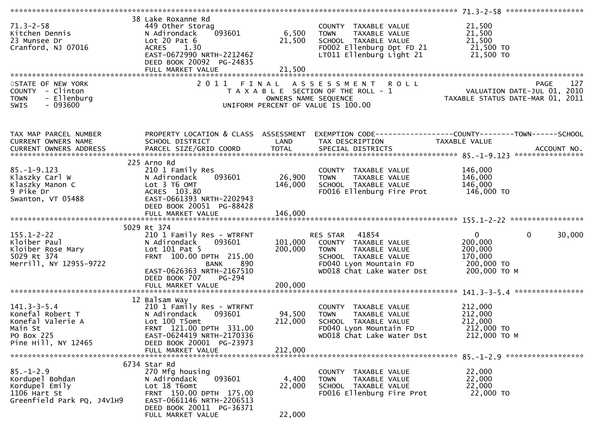| $71.3 - 2 - 58$<br>Kitchen Dennis<br>23 Munsee Dr                             | 38 Lake Roxanne Rd<br>449 Other Storag<br>093601<br>N Adirondack<br>Lot $20$ Pat $6$               | 6,500<br>21,500      | COUNTY TAXABLE VALUE<br><b>TOWN</b><br>TAXABLE VALUE<br>SCHOOL TAXABLE VALUE | 21,500<br>21,500<br>21,500                                                                          |
|-------------------------------------------------------------------------------|----------------------------------------------------------------------------------------------------|----------------------|------------------------------------------------------------------------------|-----------------------------------------------------------------------------------------------------|
| Cranford, NJ 07016                                                            | <b>ACRES</b><br>1.30<br>EAST-0672990 NRTH-2212462<br>DEED BOOK 20092 PG-24835<br>FULL MARKET VALUE | 21,500               | FD002 Ellenburg Dpt FD 21<br>LT011 Ellenburg Light 21                        | 21,500 TO<br>21,500 TO                                                                              |
|                                                                               |                                                                                                    |                      |                                                                              |                                                                                                     |
| STATE OF NEW YORK<br>COUNTY - Clinton<br>- Ellenburg<br><b>TOWN</b>           | 2011 FINAL                                                                                         | OWNERS NAME SEQUENCE | A S S E S S M E N T<br><b>ROLL</b><br>T A X A B L E SECTION OF THE ROLL - 1  | 127<br>PAGE<br>ROLL - I<br>PAUL - 1 VALUATION DATE-JUL 01, 2010<br>TAXABLE STATUS DATE-MAR 01, 2011 |
| $-093600$<br><b>SWIS</b>                                                      |                                                                                                    |                      | UNIFORM PERCENT OF VALUE IS 100.00                                           |                                                                                                     |
| TAX MAP PARCEL NUMBER<br>CURRENT OWNERS NAME<br><b>CURRENT OWNERS ADDRESS</b> | PROPERTY LOCATION & CLASS ASSESSMENT<br>SCHOOL DISTRICT                                            | LAND                 | TAX DESCRIPTION                                                              | EXEMPTION CODE------------------COUNTY--------TOWN------SCHOOL<br>TAXABLE VALUE                     |
|                                                                               |                                                                                                    |                      |                                                                              |                                                                                                     |
|                                                                               | 225 Arno Rd                                                                                        |                      |                                                                              |                                                                                                     |
| $85. - 1 - 9.123$<br>Klaszky Carl W                                           | 210 1 Family Res<br>N Adirondack<br>093601                                                         | 26,900               | COUNTY TAXABLE VALUE<br><b>TOWN</b><br>TAXABLE VALUE                         | 146,000<br>146,000                                                                                  |
| Klaszky Manon C                                                               | Lot 3 T6 OMT                                                                                       | 146,000              | SCHOOL TAXABLE VALUE                                                         | 146,000                                                                                             |
| 9 Pike Dr                                                                     | ACRES 103.80                                                                                       |                      | FD016 Ellenburg Fire Prot                                                    | 146,000 TO                                                                                          |
| Swanton, VT 05488                                                             | EAST-0661393 NRTH-2202943<br>DEED BOOK 20051 PG-88428                                              |                      |                                                                              |                                                                                                     |
|                                                                               |                                                                                                    |                      |                                                                              |                                                                                                     |
|                                                                               | 5029 Rt 374                                                                                        |                      |                                                                              |                                                                                                     |
| $155.1 - 2 - 22$                                                              | 210 1 Family Res - WTRFNT                                                                          |                      | 41854<br>RES STAR                                                            | $\mathbf{0}$<br>$\mathbf{0}$<br>30,000                                                              |
| Kloiber Paul<br>Kloiber Rose Mary                                             | 093601<br>N Adirondack<br>Lot 101 Pat 5                                                            | 200,000              | 101,000 COUNTY TAXABLE VALUE<br>TAXABLE VALUE<br><b>TOWN</b>                 | 200,000<br>200,000                                                                                  |
| 5029 Rt 374                                                                   | FRNT 100.00 DPTH 215.00                                                                            |                      | SCHOOL TAXABLE VALUE                                                         | 170,000                                                                                             |
| Merrill, NY 12955-9722                                                        | 890<br>BANK                                                                                        |                      | FD040 Lyon Mountain FD                                                       | 200,000 TO                                                                                          |
|                                                                               | EAST-0626363 NRTH-2167510<br>DEED BOOK 707<br>PG-294                                               |                      | WD018 Chat Lake Water Dst                                                    | 200,000 ТО М                                                                                        |
|                                                                               | FULL MARKET VALUE                                                                                  | 200,000              |                                                                              |                                                                                                     |
|                                                                               | 12 Balsam Way                                                                                      |                      |                                                                              |                                                                                                     |
| $141.3 - 3 - 5.4$                                                             | 210 1 Family Res - WTRFNT                                                                          |                      | COUNTY TAXABLE VALUE                                                         | 212,000                                                                                             |
| Konefal Robert T<br>Konefal Valerie A                                         | N Adirondack<br>093601<br>Lot 100 T5omt                                                            | 94,500<br>212,000    | <b>TOWN</b><br>TAXABLE VALUE                                                 | 212,000<br>212,000                                                                                  |
| Main St                                                                       | FRNT 121.00 DPTH 331.00                                                                            |                      | SCHOOL TAXABLE VALUE<br>FD040 Lyon Mountain FD                               | 212,000 TO                                                                                          |
| PO Box 225                                                                    | EAST-0624419 NRTH-2170336                                                                          |                      | WD018 Chat Lake Water Dst                                                    | 212,000 ТО М                                                                                        |
| Pine Hill, NY 12465                                                           | DEED BOOK 20001 PG-23973<br>FULL MARKET VALUE                                                      | 212,000              |                                                                              |                                                                                                     |
|                                                                               |                                                                                                    |                      |                                                                              |                                                                                                     |
| $85. - 1 - 2.9$                                                               | 6734 Star Rd                                                                                       |                      |                                                                              |                                                                                                     |
| Kordupel Bohdan                                                               | 270 Mfg housing<br>N Adirondack<br>093601                                                          | 4,400                | COUNTY TAXABLE VALUE<br>TAXABLE VALUE<br><b>TOWN</b>                         | 22,000<br>22,000                                                                                    |
| Kordupel Emily                                                                | Lot 18 T6omt                                                                                       | 22,000               | SCHOOL TAXABLE VALUE                                                         | 22,000                                                                                              |
| 1106 Hart St<br>Greenfield Park PQ, J4V1H9                                    | FRNT 150.00 DPTH 175.00<br>EAST-0661146 NRTH-2206513                                               |                      | FD016 Ellenburg Fire Prot                                                    | 22,000 TO                                                                                           |
|                                                                               | DEED BOOK 20011 PG-36371                                                                           |                      |                                                                              |                                                                                                     |
|                                                                               | FULL MARKET VALUE                                                                                  | 22,000               |                                                                              |                                                                                                     |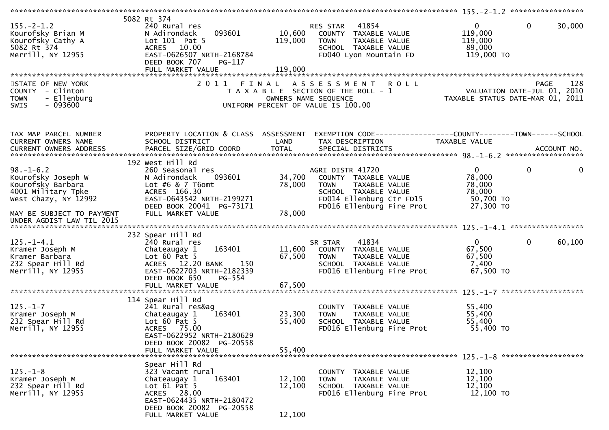| $155. - 2 - 1.2$<br>Kourofsky Brian M<br>Kourofsky Cathy A<br>5082 Rt 374<br>Merrill, NY 12955<br>STATE OF NEW YORK                                                | 5082 Rt 374<br>240 Rural res<br>093601<br>N Adirondack<br>Lot 101 Pat 5<br>ACRES 10.00<br>EAST-0626507 NRTH-2168784<br>DEED BOOK 707<br>PG-117<br>FULL MARKET VALUE                      | 10,600<br>119,000<br>119,000 | 41854<br>RES STAR<br>COUNTY TAXABLE VALUE<br>TAXABLE VALUE<br>TOWN<br>SCHOOL TAXABLE VALUE<br>FD040 Lyon Mountain FD<br>2011 FINAL ASSESSMENT<br><b>ROLL</b> | $\mathbf{0}$<br>119,000<br>119,000<br>89,000<br>119,000 TO             | $\mathbf{0}$<br>30,000<br>128<br>PAGE |
|--------------------------------------------------------------------------------------------------------------------------------------------------------------------|------------------------------------------------------------------------------------------------------------------------------------------------------------------------------------------|------------------------------|--------------------------------------------------------------------------------------------------------------------------------------------------------------|------------------------------------------------------------------------|---------------------------------------|
| COUNTY - Clinton<br>- Ellenburg<br><b>TOWN</b><br>$-093600$<br><b>SWIS</b>                                                                                         |                                                                                                                                                                                          |                              | T A X A B L E SECTION OF THE ROLL - 1<br>OWNERS NAME SEQUENCE<br>UNIFORM PERCENT OF VALUE IS 100.00                                                          |                                                                        |                                       |
| TAX MAP PARCEL NUMBER<br>CURRENT OWNERS NAME<br>CURRENT OWNERS ADDRESS                                                                                             | PROPERTY LOCATION & CLASS ASSESSMENT<br>SCHOOL DISTRICT<br>192 West Hill Rd                                                                                                              | LAND                         | EXEMPTION CODE------------------COUNTY--------TOWN------SCHOOL<br>TAX DESCRIPTION                                                                            | TAXABLE VALUE                                                          |                                       |
| $98. - 1 - 6.2$<br>Kourofsky Joseph W<br>Kourofsky Barbara<br>4001 Military Tpke<br>West Chazy, NY 12992<br>MAY BE SUBJECT TO PAYMENT<br>UNDER AGDIST LAW TIL 2015 | 260 Seasonal res<br>N Adirondack<br>093601<br>Lot $#6 & 7$ T6omt<br>ACRES 166.30<br>EAST-0643542 NRTH-2199271<br>DEED BOOK 20041 PG-73171<br>FULL MARKET VALUE                           | 34,700<br>78,000<br>78,000   | AGRI DISTR 41720<br>COUNTY TAXABLE VALUE<br><b>TOWN</b><br>TAXABLE VALUE<br>SCHOOL TAXABLE VALUE<br>FD014 Ellenburg Ctr FD15<br>FD016 Ellenburg Fire Prot    | $\overline{0}$<br>78,000<br>78,000<br>78,000<br>50,700 TO<br>27,300 TO | $\mathbf{0}$<br>0                     |
| $125. - 1 - 4.1$<br>Kramer Joseph M<br>Kramer Barbara<br>232 Spear Hill Rd<br>Merrill, NY 12955                                                                    | 232 Spear Hill Rd<br>240 Rural res<br>163401<br>Chateaugay 1<br>Lot $60$ Pat $5$<br>ACRES 12.20 BANK<br>150<br>EAST-0622703 NRTH-2182339<br>DEED BOOK 650<br>PG-554<br>FULL MARKET VALUE | 67,500<br>67,500             | 41834<br>SR STAR<br>11,600 COUNTY TAXABLE VALUE<br><b>TOWN</b><br>TAXABLE VALUE<br>SCHOOL TAXABLE VALUE<br>FD016 Ellenburg Fire Prot                         | 0<br>67,500<br>67,500<br>7,400<br>67,500 TO                            | $\mathbf 0$<br>60,100                 |
| $125. - 1 - 7$<br>Kramer Joseph M<br>232 Spear Hill Rd<br>Merrill, NY 12955                                                                                        | 114 Spear Hill Rd<br>241 Rural res&ag<br>Chateaugay 1<br>163401<br>Lot $60$ Pat 5<br>ACRES 75.00<br>EAST-0622952 NRTH-2180629<br>DEED BOOK 20082 PG-20558<br>FULL MARKET VALUE           | 23,300<br>55,400<br>55,400   | COUNTY TAXABLE VALUE<br><b>TOWN</b><br>TAXABLE VALUE<br>SCHOOL TAXABLE VALUE<br>FD016 Ellenburg Fire Prot                                                    | 55,400<br>55,400<br>55,400<br>55,400 TO                                |                                       |
| $125. - 1 - 8$<br>Kramer Joseph M<br>232 Spear Hill Rd<br>Merrill, NY 12955                                                                                        | Spear Hill Rd<br>323 Vacant rural<br>163401<br>Chateaugay 1<br>Lot $61$ Pat $5$<br>ACRES 28.00<br>EAST-0624435 NRTH-2180472<br>DEED BOOK 20082 PG-20558<br>FULL MARKET VALUE             | 12,100<br>12,100<br>12,100   | COUNTY TAXABLE VALUE<br>TAXABLE VALUE<br><b>TOWN</b><br>SCHOOL TAXABLE VALUE<br>FD016 Ellenburg Fire Prot                                                    | 12,100<br>12,100<br>12,100<br>12,100 TO                                |                                       |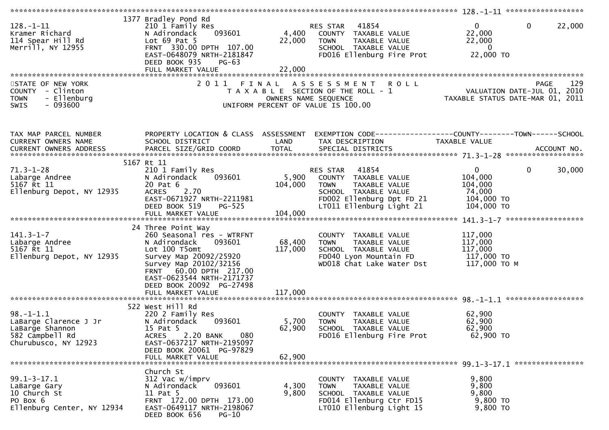| $128. - 1 - 11$<br>Kramer Richard<br>114 Spear Hill Rd<br>Merrill, NY 12955                            | 1377 Bradley Pond Rd<br>210 1 Family Res<br>N Adirondack<br>093601<br>Lot $69$ Pat $5$<br>FRNT 330.00 DPTH 107.00<br>EAST-0648079 NRTH-2181847<br>DEED BOOK 935<br>PG-63<br>FULL MARKET VALUE               | 4,400<br>22,000<br>22,000 | 41854<br>RES STAR<br>COUNTY TAXABLE VALUE<br>TAXABLE VALUE<br>TOWN<br>SCHOOL TAXABLE VALUE<br>FD016 Ellenburg Fire Prot                             | $\mathbf{0}$<br>22,000<br>$\mathbf{0}$<br>22,000<br>22,000<br>$\overline{0}$<br>22,000 TO                |
|--------------------------------------------------------------------------------------------------------|-------------------------------------------------------------------------------------------------------------------------------------------------------------------------------------------------------------|---------------------------|-----------------------------------------------------------------------------------------------------------------------------------------------------|----------------------------------------------------------------------------------------------------------|
| STATE OF NEW YORK<br>COUNTY - Clinton<br>- Ellenburg<br><b>TOWN</b><br>$-093600$<br><b>SWIS</b>        | 2011                                                                                                                                                                                                        | FINAL                     | <b>ROLL</b><br>A S S E S S M E N T<br>T A X A B L E SECTION OF THE ROLL - 1<br>OWNERS NAME SEQUENCE<br>UNIFORM PERCENT OF VALUE IS 100.00           | 129<br><b>PAGE</b><br>rage 129<br>10 VALUATION DATE-JUL 01, 2010<br>110 TAXABLE STATUS DATE-MAR 01, 2011 |
| TAX MAP PARCEL NUMBER<br>CURRENT OWNERS NAME<br>CURRENT OWNERS ADDRESS                                 | PROPERTY LOCATION & CLASS ASSESSMENT<br>SCHOOL DISTRICT                                                                                                                                                     | LAND                      | TAX DESCRIPTION                                                                                                                                     | EXEMPTION CODE------------------COUNTY--------TOWN------SCHOOL<br>TAXABLE VALUE                          |
| $71.3 - 1 - 28$<br>Labarge Andree<br>5167 Rt 11<br>Ellenburg Depot, NY 12935                           | 5167 Rt 11<br>210 1 Family Res<br>093601<br>N Adirondack<br>20 Pat 6<br><b>ACRES</b><br>2.70<br>EAST-0671927 NRTH-2211981<br>DEED BOOK 519<br>PG-525                                                        | 5,900<br>104,000          | 41854<br>RES STAR<br>COUNTY TAXABLE VALUE<br>TAXABLE VALUE<br>TOWN<br>SCHOOL TAXABLE VALUE<br>FD002 Ellenburg Dpt FD 21<br>LT011 Ellenburg Light 21 | $\overline{0}$<br>30,000<br>$\mathbf{0}$<br>104,000<br>104,000<br>74,000<br>104,000 TO<br>104,000 TO     |
|                                                                                                        | 24 Three Point Way                                                                                                                                                                                          |                           |                                                                                                                                                     |                                                                                                          |
| $141.3 - 1 - 7$<br>Labarge Andree<br>5167 Rt 11<br>Ellenburg Depot, NY 12935                           | 260 Seasonal res - WTRFNT<br>N Adirondack<br>093601<br>Lot 100 T5omt<br>Survey Map 20092/25920<br>Survey Map 20102/32156<br>FRNT 60.00 DPTH 217.00<br>EAST-0623544 NRTH-2171737<br>DEED BOOK 20092 PG-27498 | 68,400<br>117,000         | COUNTY TAXABLE VALUE<br>TAXABLE VALUE<br>TOWN<br>SCHOOL TAXABLE VALUE<br>FD040 Lyon Mountain FD<br>WD018 Chat Lake Water Dst                        | 117,000<br>117,000<br>117,000<br>117,000 TO<br>117,000 TO M                                              |
|                                                                                                        |                                                                                                                                                                                                             |                           |                                                                                                                                                     |                                                                                                          |
| $98. - 1 - 1.1$<br>LaBarge Clarence J Jr<br>LaBarge Shannon<br>582 Campbell Rd<br>Churubusco, NY 12923 | 522 West Hill Rd<br>220 2 Family Res<br>093601<br>N Adirondack<br>15 Pat 5<br>2.20 BANK<br><b>ACRES</b><br>080<br>EAST-0637217 NRTH-2195097<br>DEED BOOK 20061 PG-97829<br>FULL MARKET VALUE                | 5,700<br>62,900<br>62,900 | COUNTY TAXABLE VALUE<br><b>TOWN</b><br>TAXABLE VALUE<br>SCHOOL TAXABLE VALUE<br>FD016 Ellenburg Fire Prot                                           | 62,900<br>62,900<br>62,900<br>$62,900$ TO                                                                |
|                                                                                                        |                                                                                                                                                                                                             |                           |                                                                                                                                                     |                                                                                                          |
| $99.1 - 3 - 17.1$<br>LaBarge Gary<br>10 Church St<br>PO Box 6<br>Ellenburg Center, NY 12934            | Church St<br>312 Vac w/imprv<br>093601<br>N Adirondack<br>11 Pat 5<br>FRNT 172.00 DPTH 173.00<br>EAST-0649117 NRTH-2198067<br>DEED BOOK 656<br>$PG-10$                                                      | 4,300<br>9,800            | COUNTY TAXABLE VALUE<br>TAXABLE VALUE<br><b>TOWN</b><br>SCHOOL TAXABLE VALUE<br>FD014 Ellenburg Ctr FD15<br>LT010 Ellenburg Light 15                | 9,800<br>9,800<br>9,800<br>9,800 TO<br>9,800 TO                                                          |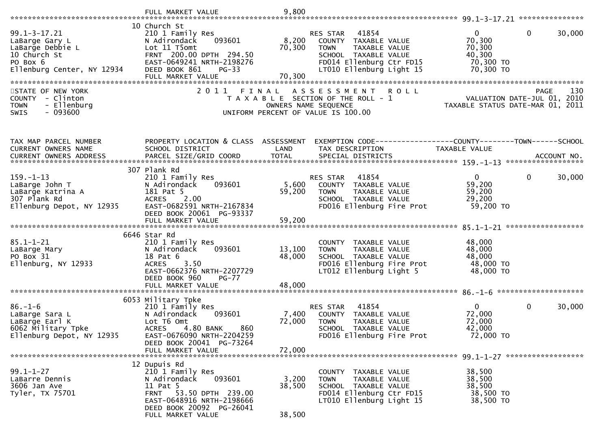|                                                                                                                    | FULL MARKET VALUE                                                                                                                                              | 9,800                |                                                                                                                                                           |                                                                                           |
|--------------------------------------------------------------------------------------------------------------------|----------------------------------------------------------------------------------------------------------------------------------------------------------------|----------------------|-----------------------------------------------------------------------------------------------------------------------------------------------------------|-------------------------------------------------------------------------------------------|
|                                                                                                                    |                                                                                                                                                                |                      |                                                                                                                                                           |                                                                                           |
| $99.1 - 3 - 17.21$<br>LaBarge Gary L<br>LaBarge Debbie L<br>10 Church St<br>PO Box 6<br>Ellenburg Center, NY 12934 | 10 Church St<br>210 1 Family Res<br>093601<br>N Adirondack<br>Lot 11 T5omt<br>FRNT 200.00 DPTH 294.50<br>EAST-0649241 NRTH-2198276<br>DEED BOOK 861<br>$PG-33$ | 8,200<br>70,300      | RES STAR<br>41854<br>COUNTY TAXABLE VALUE<br><b>TOWN</b><br>TAXABLE VALUE<br>SCHOOL TAXABLE VALUE<br>FD014 Ellenburg Ctr FD15<br>LT010 Ellenburg Light 15 | $\Omega$<br>$\mathbf 0$<br>30,000<br>70,300<br>70,300<br>40,300<br>70,300 TO<br>70,300 TO |
|                                                                                                                    | FULL MARKET VALUE                                                                                                                                              | 70,300               |                                                                                                                                                           |                                                                                           |
|                                                                                                                    |                                                                                                                                                                |                      |                                                                                                                                                           |                                                                                           |
| STATE OF NEW YORK<br>COUNTY - Clinton<br>- Ellenburg<br><b>TOWN</b><br>$-093600$<br><b>SWIS</b>                    | 2011<br>FINAL                                                                                                                                                  | OWNERS NAME SEQUENCE | <b>ROLL</b><br>A S S E S S M E N T<br>T A X A B L E SECTION OF THE ROLL - 1<br>UNIFORM PERCENT OF VALUE IS 100.00                                         | 130<br><b>PAGE</b><br>VALUATION DATE-JUL 01, 2010<br>TAXABLE STATUS DATE-MAR 01, 2011     |
|                                                                                                                    |                                                                                                                                                                |                      |                                                                                                                                                           |                                                                                           |
| TAX MAP PARCEL NUMBER<br>CURRENT OWNERS NAME                                                                       | PROPERTY LOCATION & CLASS ASSESSMENT<br>SCHOOL DISTRICT                                                                                                        | LAND                 | TAX DESCRIPTION                                                                                                                                           | EXEMPTION CODE-----------------COUNTY-------TOWN------SCHOOL<br>TAXABLE VALUE             |
| <b>CURRENT OWNERS ADDRESS</b>                                                                                      |                                                                                                                                                                |                      |                                                                                                                                                           |                                                                                           |
|                                                                                                                    | 307 Plank Rd                                                                                                                                                   |                      |                                                                                                                                                           |                                                                                           |
| $159. - 1 - 13$<br>LaBarge John T                                                                                  | 210 1 Family Res<br>093601<br>N Adirondack                                                                                                                     | 5,600                | 41854<br>RES STAR<br>COUNTY TAXABLE VALUE                                                                                                                 | $\overline{0}$<br>$\mathbf 0$<br>30,000<br>59,200                                         |
| LaBarge Katrina A                                                                                                  | 181 Pat 5                                                                                                                                                      | 59,200               | <b>TOWN</b><br>TAXABLE VALUE                                                                                                                              | 59,200                                                                                    |
| 307 Plank Rd                                                                                                       | <b>ACRES</b><br>2.00                                                                                                                                           |                      | SCHOOL TAXABLE VALUE                                                                                                                                      | 29,200                                                                                    |
| Ellenburg Depot, NY 12935                                                                                          | EAST-0682591 NRTH-2167834                                                                                                                                      |                      | FD016 Ellenburg Fire Prot                                                                                                                                 | 59,200 TO                                                                                 |
|                                                                                                                    | DEED BOOK 20061 PG-93337                                                                                                                                       |                      |                                                                                                                                                           |                                                                                           |
|                                                                                                                    |                                                                                                                                                                |                      |                                                                                                                                                           |                                                                                           |
|                                                                                                                    | 6646 Star Rd                                                                                                                                                   |                      |                                                                                                                                                           |                                                                                           |
| $85.1 - 1 - 21$                                                                                                    | 210 1 Family Res                                                                                                                                               |                      | COUNTY TAXABLE VALUE                                                                                                                                      | 48,000                                                                                    |
| LaBarge Mary<br>PO Box 31                                                                                          | 093601<br>N Adirondack<br>18 Pat 6                                                                                                                             | 13,100<br>48,000     | TAXABLE VALUE<br><b>TOWN</b><br>SCHOOL TAXABLE VALUE                                                                                                      | 48,000<br>48,000                                                                          |
| Ellenburg, NY 12933                                                                                                | 3.50<br><b>ACRES</b>                                                                                                                                           |                      | FD016 Ellenburg Fire Prot                                                                                                                                 | 48,000 TO                                                                                 |
|                                                                                                                    | EAST-0662376 NRTH-2207729<br>DEED BOOK 960<br>$PG-77$                                                                                                          |                      | LT012 Ellenburg Light 5                                                                                                                                   | 48,000 TO                                                                                 |
|                                                                                                                    | FULL MARKET VALUE                                                                                                                                              | 48,000               |                                                                                                                                                           |                                                                                           |
|                                                                                                                    |                                                                                                                                                                |                      |                                                                                                                                                           |                                                                                           |
|                                                                                                                    | 6053 Military Tpke                                                                                                                                             |                      | 41854                                                                                                                                                     | $\mathbf{0}$<br>$\mathbf 0$                                                               |
| $86. - 1 - 6$<br>LaBarge Sara L                                                                                    | 210 1 Family Res<br>N Adirondack<br>093601                                                                                                                     | 7,400                | RES STAR<br>COUNTY TAXABLE VALUE                                                                                                                          | 30,000<br>72,000                                                                          |
| LaBarge Earl K                                                                                                     | Lot T6 Omt                                                                                                                                                     | 72,000               | <b>TOWN</b><br>TAXABLE VALUE                                                                                                                              | 72,000                                                                                    |
| 6062 Military Tpke                                                                                                 | 860<br>4.80 BANK<br><b>ACRES</b>                                                                                                                               |                      | SCHOOL TAXABLE VALUE                                                                                                                                      | 42,000                                                                                    |
| Ellenburg Depot, NY 12935                                                                                          | EAST-0676090 NRTH-2204259                                                                                                                                      |                      | FD016 Ellenburg Fire Prot                                                                                                                                 | 72,000 TO                                                                                 |
|                                                                                                                    | DEED BOOK 20041 PG-73264<br>FULL MARKET VALUE                                                                                                                  | 72,000               |                                                                                                                                                           |                                                                                           |
|                                                                                                                    |                                                                                                                                                                |                      |                                                                                                                                                           |                                                                                           |
|                                                                                                                    | 12 Dupuis Rd                                                                                                                                                   |                      |                                                                                                                                                           |                                                                                           |
| $99.1 - 1 - 27$                                                                                                    | 210 1 Family Res                                                                                                                                               |                      | COUNTY<br>TAXABLE VALUE                                                                                                                                   | 38,500                                                                                    |
| LaBarre Dennis                                                                                                     | 093601<br>N Adirondack                                                                                                                                         | 3,200                | <b>TOWN</b><br>TAXABLE VALUE<br>SCHOOL TAXABLE VALUE                                                                                                      | 38,500<br>38,500                                                                          |
| 3606 Jan Ave<br>Tyler, TX 75701                                                                                    | 11 Pat 5<br>FRNT 53.50 DPTH 239.00                                                                                                                             | 38,500               | FD014 Ellenburg Ctr FD15                                                                                                                                  | 38,500 TO                                                                                 |
|                                                                                                                    | EAST-0648916 NRTH-2198666                                                                                                                                      |                      | LT010 Ellenburg Light 15                                                                                                                                  | 38,500 TO                                                                                 |
|                                                                                                                    | DEED BOOK 20092 PG-26041                                                                                                                                       |                      |                                                                                                                                                           |                                                                                           |
|                                                                                                                    | FULL MARKET VALUE                                                                                                                                              | 38,500               |                                                                                                                                                           |                                                                                           |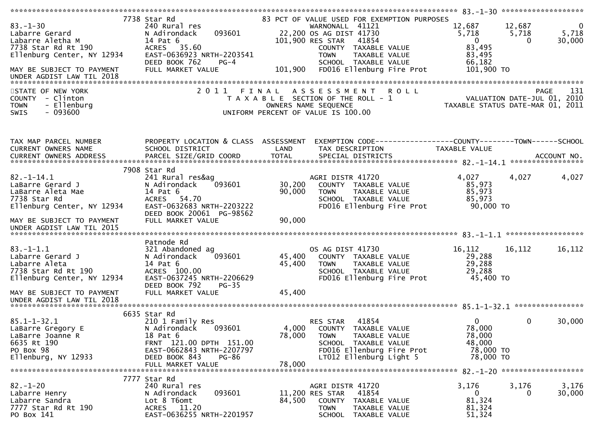| $83. - 1 - 30$<br>Labarre Gerard<br>Labarre Aletha M<br>7738 Star Rd Rt 190<br>Ellenburg Center, NY 12934<br>MAY BE SUBJECT TO PAYMENT<br>UNDER AGDIST LAW TIL 2018<br>STATE OF NEW YORK<br>COUNTY - Clinton<br>- Ellenburg<br><b>TOWN</b><br>$-093600$<br><b>SWIS</b> | 7738 Star Rd<br>240 Rural res<br>093601<br>N Adirondack<br>14 Pat 6<br>ACRES 35.60<br>EAST-0636923 NRTH-2203541<br>DEED BOOK 762<br>$PG-4$<br>FULL MARKET VALUE<br>2011 FINAL        | 101,900 RES STAR<br>101,900<br>OWNERS NAME SEQUENCE<br>UNIFORM PERCENT OF VALUE IS 100.00 | 83 PCT OF VALUE USED FOR EXEMPTION PURPOSES<br>WARNONALL 41121<br>22,200 OS AG DIST 41730<br>41854<br>COUNTY TAXABLE VALUE<br><b>TOWN</b><br>TAXABLE VALUE<br>SCHOOL TAXABLE VALUE<br>FD016 Ellenburg Fire Prot<br><b>ROLL</b><br>A S S E S S M E N T<br>T A X A B L E SECTION OF THE ROLL - 1 | 12,687<br>5,718<br>$\Omega$<br>83,495<br>83,495<br>66,182<br>101,900 TO<br>TAXABLE STATUS DATE-MAR 01, 2011 | $\overline{0}$<br>12,687<br>5,718<br>5,718<br>30,000<br>$\Omega$<br>131<br>PAGE<br>VALUATION DATE-JUL 01, 2010 |
|------------------------------------------------------------------------------------------------------------------------------------------------------------------------------------------------------------------------------------------------------------------------|--------------------------------------------------------------------------------------------------------------------------------------------------------------------------------------|-------------------------------------------------------------------------------------------|------------------------------------------------------------------------------------------------------------------------------------------------------------------------------------------------------------------------------------------------------------------------------------------------|-------------------------------------------------------------------------------------------------------------|----------------------------------------------------------------------------------------------------------------|
| TAX MAP PARCEL NUMBER<br>CURRENT OWNERS NAME<br>CURRENT OWNERS ADDRESS                                                                                                                                                                                                 | PROPERTY LOCATION & CLASS ASSESSMENT<br>SCHOOL DISTRICT                                                                                                                              | LAND                                                                                      | EXEMPTION CODE-----------------COUNTY-------TOWN------SCHOOL<br>TAX DESCRIPTION                                                                                                                                                                                                                | TAXABLE VALUE                                                                                               | ACCOUNT NO.<br>******************                                                                              |
| $82. - 1 - 14.1$<br>LaBarre Gerard J<br>LaBarre Aleta Mae<br>7738 Star Rd<br>Ellenburg Center, NY 12934<br>MAY BE SUBJECT TO PAYMENT<br>UNDER AGDIST LAW TIL 2015                                                                                                      | 7908 Star Rd<br>241 Rural res&ag<br>N Adirondack<br>093601<br>14 Pat 6<br>ACRES 54.70<br>EAST-0632683 NRTH-2203222<br>DEED BOOK 20061 PG-98562<br>FULL MARKET VALUE                  | 30,200<br>90,000<br>90,000                                                                | AGRI DISTR 41720<br>COUNTY TAXABLE VALUE<br><b>TOWN</b><br><b>TAXABLE VALUE</b><br>SCHOOL TAXABLE VALUE<br>FD016 Ellenburg Fire Prot                                                                                                                                                           | 4,027<br>85,973<br>85,973<br>85,973<br>90,000 TO                                                            | 4,027<br>4,027                                                                                                 |
| $83. - 1 - 1.1$<br>Labarre Gerard J<br>Labarre Aleta<br>7738 Star Rd Rt 190<br>Ellenburg Center, NY 12934<br>MAY BE SUBJECT TO PAYMENT                                                                                                                                 | Patnode Rd<br>321 Abandoned ag<br>N Adirondack<br>093601<br>14 Pat 6<br>ACRES 100.00<br>EAST-0637245 NRTH-2206629<br>DEED BOOK 792<br>$PG-35$<br>FULL MARKET VALUE                   | 45,400<br>45,400<br>45,400                                                                | OS AG DIST 41730<br>COUNTY TAXABLE VALUE<br>TAXABLE VALUE<br><b>TOWN</b><br>SCHOOL TAXABLE VALUE<br>FD016 Ellenburg Fire Prot                                                                                                                                                                  | 16,112<br>29,288<br>29,288<br>29,288<br>45,400 TO                                                           | 16,112<br>16,112                                                                                               |
| $85.1 - 1 - 32.1$<br>LaBarre Gregory E<br>LaBarre Joanne R<br>6635 Rt 190<br>PO Box 98<br>Ellenburg, NY 12933                                                                                                                                                          | 6635 Star Rd<br>210 1 Family Res<br>N Adirondack<br>093601<br>18 Pat 6<br>FRNT 121.00 DPTH 151.00<br>EAST-0662843 NRTH-2207797<br>DEED BOOK 843<br><b>PG-86</b><br>FULL MARKET VALUE | 4,000<br>78,000<br>78,000                                                                 | 41854<br>RES STAR<br>COUNTY TAXABLE VALUE<br>TAXABLE VALUE<br><b>TOWN</b><br>SCHOOL TAXABLE VALUE<br>FD016 Ellenburg Fire Prot<br>LT012 Ellenburg Light 5                                                                                                                                      | 0<br>78,000<br>78,000<br>48,000<br>78,000 TO<br>78,000 TO                                                   | 0<br>30,000                                                                                                    |
| $82 - 1 - 20$<br>Labarre Henry<br>Labarre Sandra<br>7777 Star Rd Rt 190<br>PO Box 141                                                                                                                                                                                  | 7777 Star Rd<br>240 Rural res<br>093601<br>N Adirondack<br>Lot 8 T6omt<br>ACRES 11.20<br>EAST-0636255 NRTH-2201957                                                                   | 11,200 RES STAR<br>84,500                                                                 | AGRI DISTR 41720<br>41854<br>COUNTY<br>TAXABLE VALUE<br><b>TOWN</b><br>TAXABLE VALUE<br>SCHOOL TAXABLE VALUE                                                                                                                                                                                   | 3,176<br>$\mathbf{0}$<br>81,324<br>81,324<br>51,324                                                         | 3,176<br>3,176<br>30,000<br>0                                                                                  |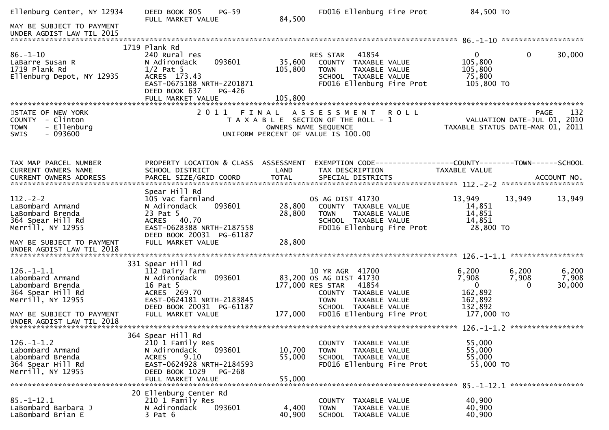| Ellenburg Center, NY 12934                                                                         | DEED BOOK 805<br><b>PG-59</b><br>FULL MARKET VALUE                                                                                                                           | 84,500                     | FD016 Ellenburg Fire Prot                                                                                                                                      | 84,500 TO                                                                                    |                          |
|----------------------------------------------------------------------------------------------------|------------------------------------------------------------------------------------------------------------------------------------------------------------------------------|----------------------------|----------------------------------------------------------------------------------------------------------------------------------------------------------------|----------------------------------------------------------------------------------------------|--------------------------|
| MAY BE SUBJECT TO PAYMENT<br>UNDER AGDIST LAW TIL 2015                                             |                                                                                                                                                                              |                            |                                                                                                                                                                |                                                                                              |                          |
|                                                                                                    | 1719 Plank Rd                                                                                                                                                                |                            |                                                                                                                                                                |                                                                                              |                          |
| $86. - 1 - 10$<br>LaBarre Susan R<br>1719 Plank Rd<br>Ellenburg Depot, NY 12935                    | 240 Rural res<br>093601<br>N Adirondack<br>$1/2$ Pat 5<br>ACRES 173.43<br>EAST-0675188 NRTH-2201871<br>DEED BOOK 637<br>PG-426                                               | 35,600<br>105,800          | 41854<br><b>RES STAR</b><br>COUNTY TAXABLE VALUE<br><b>TOWN</b><br>TAXABLE VALUE<br>SCHOOL TAXABLE VALUE<br>FD016 Ellenburg Fire Prot                          | $\overline{0}$<br>$\Omega$<br>105,800<br>105,800<br>75,800<br>105,800 TO                     | 30,000                   |
|                                                                                                    | FULL MARKET VALUE                                                                                                                                                            | 105,800                    |                                                                                                                                                                |                                                                                              |                          |
| STATE OF NEW YORK<br>COUNTY - Clinton<br>- Ellenburg<br><b>TOWN</b><br>SWIS<br>- 093600            | 2011                                                                                                                                                                         |                            | FINAL ASSESSMENT<br><b>ROLL</b><br>T A X A B L E SECTION OF THE ROLL - 1<br>OWNERS NAME SEQUENCE<br>UNIFORM PERCENT OF VALUE IS 100.00                         | <b>PAGE</b><br>VALUATION DATE-JUL 01, 2010<br>TAXABLE STATUS DATE-MAR 01, 2011               | 132                      |
| TAX MAP PARCEL NUMBER<br>CURRENT OWNERS NAME                                                       | PROPERTY LOCATION & CLASS ASSESSMENT<br>SCHOOL DISTRICT                                                                                                                      | LAND                       | TAX DESCRIPTION                                                                                                                                                | EXEMPTION CODE-----------------COUNTY-------TOWN------SCHOOL<br><b>TAXABLE VALUE</b>         |                          |
|                                                                                                    | Spear Hill Rd                                                                                                                                                                |                            |                                                                                                                                                                |                                                                                              |                          |
| $112 - 2 - 2$<br>LaBombard Armand<br>LaBombard Brenda<br>364 Spear Hill Rd<br>Merrill, NY 12955    | 105 Vac farmland<br>093601<br>N Adirondack<br>23 Pat 5<br>ACRES 40.70<br>EAST-0628388 NRTH-2187558<br>DEED BOOK 20031 PG-61187                                               | 28,800<br>28,800           | OS AG DIST 41730<br>COUNTY TAXABLE VALUE<br>TAXABLE VALUE<br>TOWN<br>SCHOOL TAXABLE VALUE<br>FD016 Ellenburg Fire Prot                                         | 13,949<br>13,949<br>14,851<br>14,851<br>14,851<br>28,800 TO                                  | 13,949                   |
| MAY BE SUBJECT TO PAYMENT<br>UNDER AGDIST LAW TIL 2018                                             | FULL MARKET VALUE                                                                                                                                                            | 28,800                     |                                                                                                                                                                |                                                                                              |                          |
|                                                                                                    | 331 Spear Hill Rd                                                                                                                                                            |                            |                                                                                                                                                                |                                                                                              |                          |
| $126. - 1 - 1.1$<br>Labombard Armand<br>Labombard Brenda<br>364 Spear Hill Rd<br>Merrill, NY 12955 | 112 Dairy farm<br>093601<br>N Adirondack<br>16 Pat 5<br>ACRES 269.70<br>EAST-0624181 NRTH-2183845<br>DEED BOOK 20031 PG-61187                                                |                            | 10 YR AGR 41700<br>83,200 OS AG DIST 41730<br>177,000 RES STAR<br>41854<br>COUNTY TAXABLE VALUE<br><b>TOWN</b><br><b>TAXABLE VALUE</b><br>SCHOOL TAXABLE VALUE | 6,200<br>6,200<br>7,908<br>7,908<br>$\mathbf 0$<br>$\Omega$<br>162,892<br>162,892<br>132,892 | 6,200<br>7,908<br>30,000 |
| MAY BE SUBJECT TO PAYMENT<br>UNDER AGDIST LAW TIL 2018                                             | FULL MARKET VALUE                                                                                                                                                            | 177,000                    | FD016 Ellenburg Fire Prot                                                                                                                                      | 177,000 TO                                                                                   |                          |
|                                                                                                    |                                                                                                                                                                              |                            |                                                                                                                                                                |                                                                                              |                          |
| $126. - 1 - 1.2$<br>Labombard Armand<br>Labombard Brenda<br>364 Spear Hill Rd<br>Merrill, NY 12955 | 364 Spear Hill Rd<br>210 1 Family Res<br>093601<br>N Adirondack<br>9.10<br><b>ACRES</b><br>EAST-0624928 NRTH-2184593<br>DEED BOOK 1029<br><b>PG-268</b><br>FULL MARKET VALUE | 10,700<br>55,000<br>55,000 | COUNTY TAXABLE VALUE<br><b>TOWN</b><br>TAXABLE VALUE<br>SCHOOL TAXABLE VALUE<br>FD016 Ellenburg Fire Prot                                                      | 55,000<br>55,000<br>55,000<br>55,000 TO                                                      |                          |
|                                                                                                    |                                                                                                                                                                              |                            |                                                                                                                                                                |                                                                                              |                          |
| $85. - 1 - 12.1$<br>LaBombard Barbara J<br>LaBombard Brian E                                       | 20 Ellenburg Center Rd<br>210 1 Family Res<br>093601<br>N Adirondack<br>$3$ Pat $6$                                                                                          | 4,400<br>40,900            | COUNTY TAXABLE VALUE<br><b>TOWN</b><br>TAXABLE VALUE<br><b>SCHOOL</b><br>TAXABLE VALUE                                                                         | 40,900<br>40,900<br>40,900                                                                   |                          |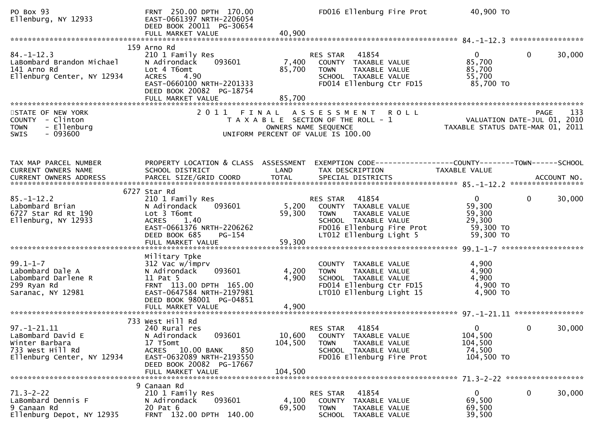| PO Box 93<br>Ellenburg, NY 12933                                                                           | FRNT 250.00 DPTH 170.00<br>EAST-0661397 NRTH-2206054<br>DEED BOOK 20011 PG-30654<br>FULL MARKET VALUE                                                                            | 40,900                       | FD016 Ellenburg Fire Prot                                                                                                                                 | 40,900 TO                                                            |                                                 |
|------------------------------------------------------------------------------------------------------------|----------------------------------------------------------------------------------------------------------------------------------------------------------------------------------|------------------------------|-----------------------------------------------------------------------------------------------------------------------------------------------------------|----------------------------------------------------------------------|-------------------------------------------------|
| $84. - 1 - 12.3$<br>LaBombard Brandon Michael<br>141 Arno Rd<br>Ellenburg Center, NY 12934                 | 159 Arno Rd<br>210 1 Family Res<br>093601<br>N Adirondack<br>Lot 4 T6omt<br>4.90<br><b>ACRES</b><br>EAST-0660100 NRTH-2201333<br>DEED BOOK 20082 PG-18754<br>FULL MARKET VALUE   | 7,400<br>85,700<br>85,700    | RES STAR<br>41854<br>COUNTY TAXABLE VALUE<br><b>TOWN</b><br>TAXABLE VALUE<br>SCHOOL TAXABLE VALUE<br>FD014 Ellenburg Ctr FD15                             | $\overline{0}$<br>85,700<br>85,700<br>55,700<br>85,700 TO            | $\mathbf{0}$<br>30,000                          |
| STATE OF NEW YORK<br>COUNTY - Clinton<br>- Ellenburg<br><b>TOWN</b><br>$-093600$<br><b>SWIS</b>            |                                                                                                                                                                                  |                              | 2011 FINAL ASSESSMENT<br><b>ROLL</b><br>T A X A B L E SECTION OF THE ROLL - 1<br>OWNERS NAME SEQUENCE<br>UNIFORM PERCENT OF VALUE IS 100.00               | VALUATION DATE-JUL 01, 2010                                          | 133<br>PAGE<br>TAXABLE STATUS DATE-MAR 01, 2011 |
| TAX MAP PARCEL NUMBER<br>CURRENT OWNERS NAME                                                               | PROPERTY LOCATION & CLASS ASSESSMENT<br>SCHOOL DISTRICT                                                                                                                          | LAND                         | TAX DESCRIPTION                                                                                                                                           | TAXABLE VALUE                                                        |                                                 |
| $85. - 1 - 12.2$<br>Labombard Brian<br>6727 Star Rd Rt 190<br>Ellenburg, NY 12933                          | 6727 Star Rd<br>210 1 Family Res<br>093601<br>N Adirondack<br>Lot 3 T6omt<br>ACRES 1.40<br>EAST-0661376 NRTH-2206262<br>DEED BOOK 685<br>PG-154<br>FULL MARKET VALUE             | 5,200<br>59,300<br>59,300    | 41854<br>RES STAR<br>COUNTY TAXABLE VALUE<br><b>TOWN</b><br>TAXABLE VALUE<br>SCHOOL TAXABLE VALUE<br>FD016 Ellenburg Fire Prot<br>LT012 Ellenburg Light 5 | $\mathbf{0}$<br>59,300<br>59,300<br>29,300<br>59,300 TO<br>59,300 TO | $\mathbf{0}$<br>30,000                          |
| $99.1 - 1 - 7$<br>Labombard Dale A<br>Labombard Darlene R<br>299 Ryan Rd<br>Saranac, NY 12981              | Military Tpke<br>312 Vac w/imprv<br>093601<br>N Adirondack<br>11 Pat 5<br>FRNT 113.00 DPTH 165.00<br>EAST-0647584 NRTH-2197981<br>DEED BOOK 98001 PG-04851<br>FULL MARKET VALUE  | 4,200<br>4,900<br>4,900      | COUNTY TAXABLE VALUE<br><b>TOWN</b><br>TAXABLE VALUE<br>SCHOOL TAXABLE VALUE<br>FD014 Ellenburg Ctr FD15<br>LT010 Ellenburg Light 15                      | 4,900<br>4,900<br>4,900<br>4,900 TO<br>4,900 TO                      |                                                 |
| $97. - 1 - 21.11$<br>LaBombard David E<br>Winter Barbara<br>733 West Hill Rd<br>Ellenburg Center, NY 12934 | 733 West Hill Rd<br>240 Rural res<br>093601<br>N Adirondack<br>17 T5omt<br>ACRES 10.00 BANK<br>850<br>EAST-0632089 NRTH-2193550<br>DEED BOOK 20082 PG-17667<br>FULL MARKET VALUE | 10,600<br>104,500<br>104,500 | RES STAR 41854<br>COUNTY TAXABLE VALUE<br>TAXABLE VALUE<br><b>TOWN</b><br>SCHOOL TAXABLE VALUE<br>FD016 Ellenburg Fire Prot                               | $\overline{0}$<br>104,500<br>104,500<br>74,500<br>104,500 TO         | 30,000<br>$\mathbf{0}$                          |
| $71.3 - 2 - 22$<br>LaBombard Dennis F<br>9 Canaan Rd<br>Ellenburg Depot, NY 12935                          | 9 Canaan Rd<br>210 1 Family Res<br>093601<br>N Adirondack<br>20 Pat 6<br>FRNT 132.00 DPTH 140.00                                                                                 | 4,100<br>69,500              | 41854<br>RES STAR<br>COUNTY TAXABLE VALUE<br><b>TOWN</b><br>TAXABLE VALUE<br>SCHOOL TAXABLE VALUE                                                         | $\overline{0}$<br>69,500<br>69,500<br>39,500                         | 30,000<br>0                                     |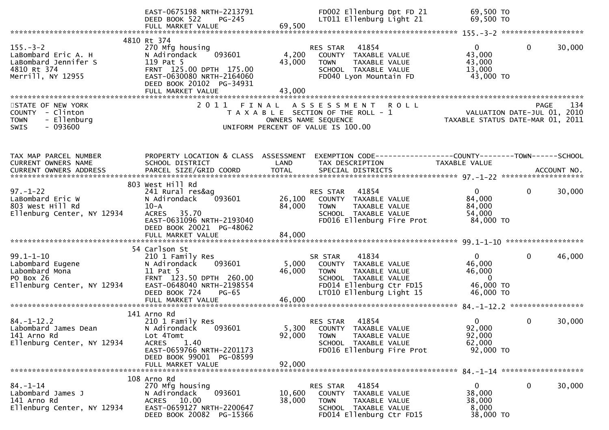|                                                                                                   | EAST-0675198 NRTH-2213791<br>DEED BOOK 522<br>PG-245<br>FULL MARKET VALUE                                                                                                             | 69,500                     | FD002 Ellenburg Dpt FD 21<br>LT011 Ellenburg Light 21                                                                                                    | 69,500 TO<br>69,500 TO                                                                                   |                        |
|---------------------------------------------------------------------------------------------------|---------------------------------------------------------------------------------------------------------------------------------------------------------------------------------------|----------------------------|----------------------------------------------------------------------------------------------------------------------------------------------------------|----------------------------------------------------------------------------------------------------------|------------------------|
|                                                                                                   | 4810 Rt 374                                                                                                                                                                           |                            |                                                                                                                                                          |                                                                                                          |                        |
| $155. - 3 - 2$<br>LaBombard Eric A. H<br>LaBombard Jennifer S<br>4810 Rt 374<br>Merrill, NY 12955 | 270 Mfg housing<br>093601<br>N Adirondack<br>119 Pat 5<br>FRNT 125.00 DPTH 175.00<br>EAST-0630080 NRTH-2164060<br>DEED BOOK 20102 PG-34931<br>FULL MARKET VALUE                       | 4,200<br>43,000<br>43,000  | RES STAR<br>41854<br>COUNTY TAXABLE VALUE<br><b>TOWN</b><br>TAXABLE VALUE<br>SCHOOL TAXABLE VALUE<br>FD040 Lyon Mountain FD                              | $\mathbf{0}$<br>43,000<br>43,000<br>13,000<br>43,000 TO                                                  | 30,000<br>$\mathbf{0}$ |
| STATE OF NEW YORK<br>COUNTY - Clinton<br>- Ellenburg<br><b>TOWN</b><br>$-093600$<br><b>SWIS</b>   |                                                                                                                                                                                       |                            | 2011 FINAL ASSESSMENT<br>ROLL<br>T A X A B L E SECTION OF THE ROLL - 1<br>OWNERS NAME SEQUENCE<br>UNIFORM PERCENT OF VALUE IS 100.00                     | PAGE 134<br>VALUATION DATE-JUL 01, 2010<br>TAXARLE STATUS DATE  2010<br>TAXABLE STATUS DATE-MAR 01, 2011 |                        |
| TAX MAP PARCEL NUMBER<br>CURRENT OWNERS NAME                                                      | PROPERTY LOCATION & CLASS ASSESSMENT<br>SCHOOL DISTRICT                                                                                                                               | LAND                       | EXEMPTION CODE------------------COUNTY--------TOWN------SCHOOL<br>TAX DESCRIPTION                                                                        | TAXABLE VALUE                                                                                            |                        |
| $97. - 1 - 22$<br>LaBombard Eric W<br>803 West Hill Rd<br>Ellenburg Center, NY 12934              | 803 West Hill Rd<br>241 Rural res&ag<br>093601<br>N Adirondack<br>$10 - A$<br>ACRES 35.70<br>EAST-0631096 NRTH-2193040<br>DEED BOOK 20021 PG-48062<br>FULL MARKET VALUE               | 26,100<br>84,000<br>84,000 | 41854<br>RES STAR<br>COUNTY TAXABLE VALUE<br><b>TOWN</b><br>TAXABLE VALUE<br>SCHOOL TAXABLE VALUE<br>FD016 Ellenburg Fire Prot                           | $\Omega$<br>84,000<br>84,000<br>54,000<br>84,000 TO                                                      | 30,000<br>$\Omega$     |
| $99.1 - 1 - 10$<br>Labombard Eugene<br>Labombard Mona<br>PO Box 26<br>Ellenburg Center, NY 12934  | 54 Carlson St<br>210 1 Family Res<br>093601<br>N Adirondack<br>11 Pat 5<br>FRNT 123.50 DPTH 260.00<br>EAST-0648040 NRTH-2198554<br>DEED BOOK 724<br><b>PG-65</b><br>FULL MARKET VALUE | 5,000<br>46,000<br>46,000  | 41834<br>SR STAR<br>COUNTY TAXABLE VALUE<br><b>TOWN</b><br>TAXABLE VALUE<br>SCHOOL TAXABLE VALUE<br>FD014 Ellenburg Ctr FD15<br>LT010 Ellenburg Light 15 | $\mathbf{0}$<br>46,000<br>46,000<br>$\Omega$<br>46,000 TO<br>46,000 TO                                   | 46,000<br>$\mathbf{0}$ |
| $84. - 1 - 12.2$<br>Labombard James Dean<br>141 Arno Rd<br>Ellenburg Center, NY 12934             | 141 Arno Rd<br>210 1 Family Res<br>093601<br>N Adirondack<br>Lot 4Tomt<br><b>ACRES</b><br>1.40<br>EAST-0659766 NRTH-2201173<br>DEED BOOK 99001 PG-08599<br>FULL MARKET VALUE          | 5,300<br>92,000<br>92,000  | 41854<br>RES STAR<br>COUNTY TAXABLE VALUE<br>TAXABLE VALUE<br><b>TOWN</b><br>SCHOOL TAXABLE VALUE<br>FD016 Ellenburg Fire Prot                           | $\mathbf{0}$<br>92,000<br>92,000<br>62,000<br>$92,000$ TO                                                | 0<br>30,000            |
| $84. - 1 - 14$<br>Labombard James J<br>141 Arno Rd<br>Ellenburg Center, NY 12934                  | 108 Arno Rd<br>270 Mfg housing<br>093601<br>N Adirondack<br>10.00<br>ACRES<br>EAST-0659127 NRTH-2200647<br>DEED BOOK 20082 PG-15366                                                   | 10,600<br>38,000           | 41854<br>RES STAR<br>COUNTY TAXABLE VALUE<br><b>TOWN</b><br>TAXABLE VALUE<br>SCHOOL TAXABLE VALUE<br>FD014 Ellenburg Ctr FD15                            | 0<br>38,000<br>38,000<br>8,000<br>38,000 TO                                                              | 0<br>30,000            |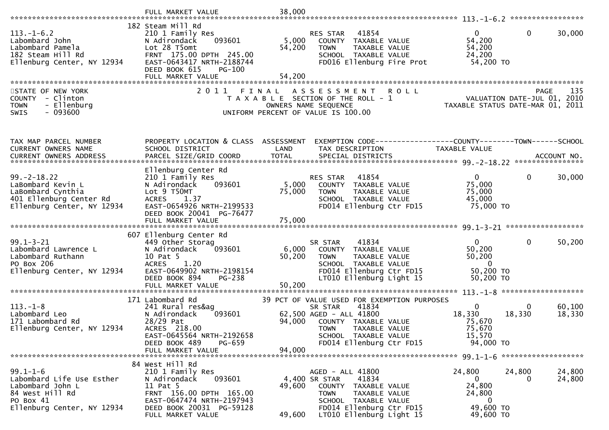|                                                                                                                               | FULL MARKET VALUE                                                                                                                                                                              | 38,000                    |                                                                                                                                                                                                        |                                                                              |                                                                                       |
|-------------------------------------------------------------------------------------------------------------------------------|------------------------------------------------------------------------------------------------------------------------------------------------------------------------------------------------|---------------------------|--------------------------------------------------------------------------------------------------------------------------------------------------------------------------------------------------------|------------------------------------------------------------------------------|---------------------------------------------------------------------------------------|
| $113.-1-6.2$<br>Labombard John<br>Labombard Pamela<br>182 Steam Hill Rd<br>Ellenburg Center, NY 12934                         | 182 Steam Mill Rd<br>210 1 Family Res<br>093601<br>N Adirondack<br>Lot 28 T5omt<br>FRNT 175.00 DPTH 245.00<br>EAST-0643417 NRTH-2188744<br>DEED BOOK 615<br><b>PG-100</b><br>FULL MARKET VALUE | 5,000<br>54,200<br>54,200 | RES STAR<br>41854<br>COUNTY TAXABLE VALUE<br><b>TOWN</b><br>TAXABLE VALUE<br>SCHOOL TAXABLE VALUE<br>FD016 Ellenburg Fire Prot                                                                         | $\mathbf{0}$<br>54,200<br>54,200<br>24,200<br>54,200 TO                      | $\mathbf{0}$<br>30,000                                                                |
| STATE OF NEW YORK<br>COUNTY - Clinton<br>- Ellenburg<br><b>TOWN</b><br>SWIS<br>$-093600$                                      | 2011                                                                                                                                                                                           | FINAL                     | A S S E S S M E N T<br><b>ROLL</b><br>T A X A B L E SECTION OF THE ROLL - 1<br>OWNERS NAME SEQUENCE<br>UNIFORM PERCENT OF VALUE IS 100.00                                                              |                                                                              | <b>PAGE</b><br>135<br>VALUATION DATE-JUL 01, 2010<br>TAXABLE STATUS DATE-MAR 01, 2011 |
| TAX MAP PARCEL NUMBER<br>CURRENT OWNERS NAME<br><b>CURRENT OWNERS ADDRESS</b>                                                 | PROPERTY LOCATION & CLASS ASSESSMENT<br>SCHOOL DISTRICT                                                                                                                                        | LAND                      | EXEMPTION CODE-----------------COUNTY-------TOWN------SCHOOL<br>TAX DESCRIPTION                                                                                                                        | <b>TAXABLE VALUE</b>                                                         |                                                                                       |
| $99. - 2 - 18.22$<br>LaBombard Kevin L<br>LaBombard Cynthia<br>401 Ellenburg Center Rd<br>Ellenburg Center, NY 12934          | Ellenburg Center Rd<br>210 1 Family Res<br>093601<br>N Adirondack<br>Lot 9 T50MT<br><b>ACRES</b><br>1.37<br>EAST-0654926 NRTH-2199533<br>DEED BOOK 20041 PG-76477                              | 5,000<br>75,000           | 41854<br>RES STAR<br>COUNTY TAXABLE VALUE<br><b>TOWN</b><br>TAXABLE VALUE<br>SCHOOL TAXABLE VALUE<br>FD014 Ellenburg Ctr FD15                                                                          | $\mathbf{0}$<br>75,000<br>75,000<br>45,000<br>75,000 TO                      | $\mathbf{0}$<br>30,000                                                                |
| $99.1 - 3 - 21$<br>Labombard Lawrence L<br>Labombard Ruthann<br>PO Box 206<br>Ellenburg Center, NY 12934                      | 607 Ellenburg Center Rd<br>449 Other Storag<br>093601<br>N Adirondack<br>10 Pat 5<br>1.20<br><b>ACRES</b><br>EAST-0649902 NRTH-2198154<br>DEED BOOK 894<br>PG-238<br>FULL MARKET VALUE         | 50,200<br>50,200          | 41834<br>SR STAR<br>6,000 COUNTY TAXABLE VALUE<br><b>TOWN</b><br>TAXABLE VALUE<br>SCHOOL TAXABLE VALUE<br>FD014 Ellenburg Ctr FD15<br>LT010 Ellenburg Light 15                                         | $\mathbf{0}$<br>50,200<br>50,200<br>$\overline{0}$<br>50,200 TO<br>50,200 TO | $\mathbf{0}$<br>50,200                                                                |
| $113.-1-8$<br>Labombard Leo<br>171 Labombard Rd<br>Ellenburg Center, NY 12934                                                 | 171 Labombard Rd<br>241 Rural res&ag<br>093601<br>N Adirondack<br>28/29 Pat<br>ACRES 218.00<br>EAST-0645564 NRTH-2192658<br>DEED BOOK 489<br>PG-659<br>FULL MARKET VALUE                       | 94,000<br>94,000          | 39 PCT OF VALUE USED FOR EXEMPTION PURPOSES<br>SR STAR<br>41834<br>62,500 AGED - ALL 41800<br>COUNTY TAXABLE VALUE<br><b>TOWN</b><br>TAXABLE VALUE<br>SCHOOL TAXABLE VALUE<br>FD014 Ellenburg Ctr FD15 | $\mathbf{0}$<br>18,330<br>75,670<br>75,670<br>15,570<br>94,000 TO            | 0<br>60,100<br>18,330<br>18,330                                                       |
| $99.1 - 1 - 6$<br>Labombard Life Use Esther<br>Labombard John L<br>84 West Hill Rd<br>PO Box 41<br>Ellenburg Center, NY 12934 | 84 West Hill Rd<br>210 1 Family Res<br>N Adirondack<br>093601<br>11 Pat 5<br>FRNT 156.00 DPTH 165.00<br>EAST-0647474 NRTH-2197943<br>DEED BOOK 20031 PG-59128<br>FULL MARKET VALUE             | 49,600<br>49,600          | AGED - ALL 41800<br>4,400 SR STAR<br>41834<br>COUNTY TAXABLE VALUE<br><b>TOWN</b><br>TAXABLE VALUE<br>SCHOOL TAXABLE VALUE<br>FD014 Ellenburg Ctr FD15<br>LT010 Ellenburg Light 15                     | 24,800<br>$\mathbf{0}$<br>24,800<br>24,800<br>0<br>49,600 TO<br>49,600 TO    | 24,800<br>24,800<br>24,800<br>0                                                       |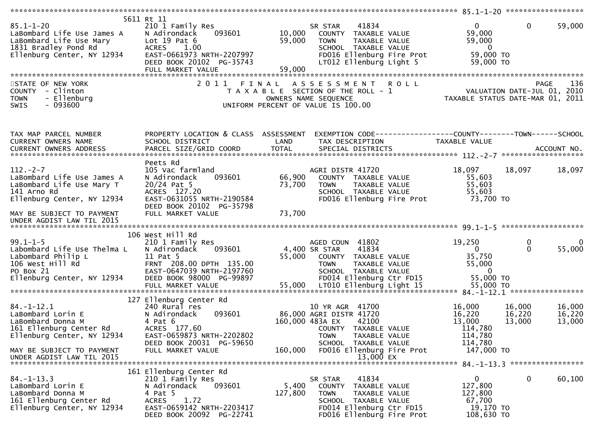| $85.1 - 1 - 20$<br>LaBombard Life Use James A<br>LaBombard Life Use Mary<br>1831 Bradley Pond Rd<br>Ellenburg Center, NY 12934                                                | 5611 Rt 11<br>210 1 Family Res<br>N Adirondack<br>093601<br>Lot $19$ Pat $6$<br><b>ACRES</b><br>1.00<br>EAST-0661973 NRTH-2207997<br>DEED BOOK 20102 PG-35743<br>FULL MARKET VALUE<br>2 0 1 1 | 10,000<br>59,000<br>59,000 | 41834<br>SR STAR<br>COUNTY TAXABLE VALUE<br>TAXABLE VALUE<br><b>TOWN</b><br>SCHOOL TAXABLE VALUE<br>FD016 Ellenburg Fire Prot<br>LT012 Ellenburg Light 5<br>R O L L                       | $\mathbf{0}$<br>59,000<br>59,000<br>$\overline{\mathbf{0}}$<br>59,000 TO<br>59,000 TO | $\mathbf{0}$<br>59,000<br>136                                                               |
|-------------------------------------------------------------------------------------------------------------------------------------------------------------------------------|-----------------------------------------------------------------------------------------------------------------------------------------------------------------------------------------------|----------------------------|-------------------------------------------------------------------------------------------------------------------------------------------------------------------------------------------|---------------------------------------------------------------------------------------|---------------------------------------------------------------------------------------------|
| STATE OF NEW YORK<br>COUNTY - Clinton<br>- Ellenburg<br><b>TOWN</b><br>$-093600$<br>SWIS                                                                                      | FINAL                                                                                                                                                                                         |                            | ASSESSMENT<br>T A X A B L E SECTION OF THE ROLL - 1<br>OWNERS NAME SEQUENCE<br>UNIFORM PERCENT OF VALUE IS 100.00                                                                         |                                                                                       | PAGE<br>VALUATION DATE-JUL 01, 2010<br>TAXABLE STATUS DATE-MAR 01, 2011                     |
| TAX MAP PARCEL NUMBER<br>CURRENT OWNERS NAME<br><b>CURRENT OWNERS ADDRESS</b>                                                                                                 | PROPERTY LOCATION & CLASS ASSESSMENT<br>SCHOOL DISTRICT<br>PARCEL SIZE/GRID COORD<br>Peets Rd                                                                                                 | LAND<br><b>TOTAL</b>       | TAX DESCRIPTION<br>SPECIAL DISTRICTS                                                                                                                                                      | TAXABLE VALUE                                                                         | ACCOUNT NO.                                                                                 |
| $112. - 2 - 7$<br>LaBombard Life Use James A<br>LaBombard Life Use Mary T<br>141 Arno Rd<br>Ellenburg Center, NY 12934<br>MAY BE SUBJECT TO PAYMENT                           | 105 Vac farmland<br>N Adirondack<br>093601<br>$20/24$ Pat 5<br>ACRES 127.20<br>EAST-0631055 NRTH-2190584<br>DEED BOOK 20102 PG-35798<br>FULL MARKET VALUE                                     | 66,900<br>73,700<br>73,700 | AGRI DISTR 41720<br>COUNTY TAXABLE VALUE<br><b>TOWN</b><br>TAXABLE VALUE<br>SCHOOL TAXABLE VALUE<br>FD016 Ellenburg Fire Prot                                                             | 18,097<br>55,603<br>55,603<br>55,603<br>73,700 TO                                     | 18,097<br>18,097                                                                            |
| UNDER AGDIST LAW TIL 2015                                                                                                                                                     |                                                                                                                                                                                               |                            |                                                                                                                                                                                           |                                                                                       |                                                                                             |
| $99.1 - 1 - 5$<br>Labombard Life Use Thelma L<br>Labombard Philip L<br>106 West Hill Rd<br>PO Box 21<br>Ellenburg Center, NY 12934                                            | 106 West Hill Rd<br>210 1 Family Res<br>N Adirondack<br>093601<br>11 Pat 5<br>FRNT 208.00 DPTH 135.00<br>EAST-0647039 NRTH-2197760<br>DEED BOOK 98000 PG-99897                                | 55,000                     | AGED COUN 41802<br>4,400 SR STAR<br>41834<br>COUNTY TAXABLE VALUE<br><b>TOWN</b><br>TAXABLE VALUE<br>SCHOOL TAXABLE VALUE<br>FD014 Ellenburg Ctr FD15                                     | 19,250<br>$\mathbf{0}$<br>35,750<br>55,000<br>$\bf{0}$<br>55,000 TO                   | 0<br>0<br>55,000<br>$\Omega$                                                                |
| $84. - 1 - 12.1$<br>LaBombard Lorin E<br>LaBombard Donna M<br>161 Ellenburg Center Rd<br>Ellenburg Center, NY 12934<br>MAY BE SUBJECT TO PAYMENT<br>UNDER AGDIST LAW TIL 2015 | 127 Ellenburg Center Rd<br>240 Rural res<br>N Adirondack<br>093601<br>4 Pat 6<br>ACRES 177.60<br>EAST-0659873 NRTH-2202802<br>DEED BOOK 20031 PG-59650<br>FULL MARKET VALUE                   | 160,000                    | 10 YR AGR 41700<br>86,000 AGRI DISTR 41720<br>160,000 483A EX<br>42100<br>COUNTY TAXABLE VALUE<br>TAXABLE VALUE<br>TOWN<br>SCHOOL TAXABLE VALUE<br>FD016 Ellenburg Fire Prot<br>13,000 EX | 16,000<br>16,220<br>13,000<br>114,780<br>114,780<br>114,780<br>147,000 TO             | 16,000<br>16,000<br>16,220<br>16,220<br>13,000<br>13,000<br>84. -1-13. 3 ****************** |
| $84. - 1 - 13.3$<br>LaBombard Lorin E<br>LaBombard Donna M<br>161 Ellenburg Center Rd<br>Ellenburg Center, NY 12934                                                           | 161 Ellenburg Center Rd<br>210 1 Family Res<br>093601<br>N Adirondack<br>4 Pat 5<br><b>ACRES</b><br>1.72<br>EAST-0659142 NRTH-2203417<br>DEED BOOK 20092 PG-22741                             | 5,400<br>127,800           | 41834<br>SR STAR<br>TAXABLE VALUE<br>COUNTY<br><b>TOWN</b><br>TAXABLE VALUE<br>SCHOOL TAXABLE VALUE<br>FD014 Ellenburg Ctr FD15<br>FD016 Ellenburg Fire Prot                              | $\overline{0}$<br>127,800<br>127,800<br>67,700<br>19,170 TO<br>108,630 TO             | 0<br>60,100                                                                                 |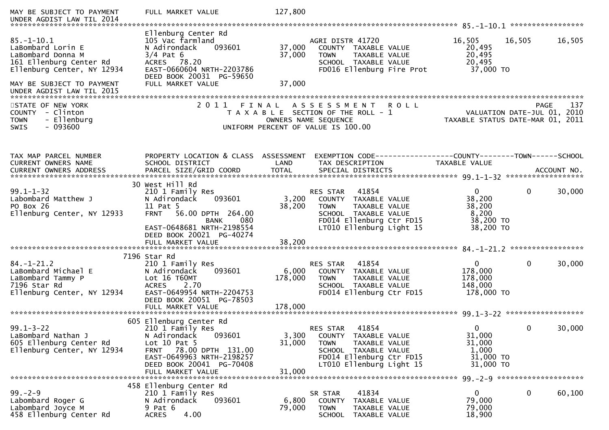| MAY BE SUBJECT TO PAYMENT<br>UNDER AGDIST LAW TIL 2014                                                                                                                        | FULL MARKET VALUE                                                                                                                                                                                                 | 127,800                                                                                                                                                                                |                                                                                                           |
|-------------------------------------------------------------------------------------------------------------------------------------------------------------------------------|-------------------------------------------------------------------------------------------------------------------------------------------------------------------------------------------------------------------|----------------------------------------------------------------------------------------------------------------------------------------------------------------------------------------|-----------------------------------------------------------------------------------------------------------|
| $85. - 1 - 10.1$<br>LaBombard Lorin E<br>LaBombard Donna M<br>161 Ellenburg Center Rd<br>Ellenburg Center, NY 12934<br>MAY BE SUBJECT TO PAYMENT<br>UNDER AGDIST LAW TIL 2015 | Ellenburg Center Rd<br>105 Vac farmland<br>093601<br>N Adirondack<br>$3/4$ Pat 6<br>ACRES 78.20<br>EAST-0660604 NRTH-2203786<br>DEED BOOK 20031 PG-59650<br>FULL MARKET VALUE                                     | AGRI DISTR 41720<br>37,000<br>COUNTY TAXABLE VALUE<br>37,000<br><b>TOWN</b><br>TAXABLE VALUE<br>SCHOOL TAXABLE VALUE<br>FD016 Ellenburg Fire Prot<br>37,000                            | 16,505<br>16,505<br>16,505<br>20,495<br>20,495<br>20,495<br>37,000 TO                                     |
| STATE OF NEW YORK<br>COUNTY - Clinton<br>- Ellenburg<br><b>TOWN</b><br>$-093600$<br>SWIS                                                                                      |                                                                                                                                                                                                                   | 2011 FINAL ASSESSMENT ROLL<br>T A X A B L E SECTION OF THE ROLL - 1<br>OWNERS NAME SEQUENCE<br>UNIFORM PERCENT OF VALUE IS 100.00                                                      | 137<br>PAGE 137<br>VALUATION DATE-JUL 01, 2010<br>TAYARLE STATUS SITE<br>TAXABLE STATUS DATE-MAR 01, 2011 |
| TAX MAP PARCEL NUMBER<br>CURRENT OWNERS NAME<br>CURRENT OWNERS ADDRESS                                                                                                        | PROPERTY LOCATION & CLASS ASSESSMENT<br>SCHOOL DISTRICT                                                                                                                                                           | LAND<br>TAX DESCRIPTION                                                                                                                                                                | EXEMPTION CODE------------------COUNTY--------TOWN------SCHOOL<br>TAXABLE VALUE                           |
| $99.1 - 1 - 32$<br>Labombard Matthew J<br>PO Box 26<br>Ellenburg Center, NY 12933                                                                                             | 30 West Hill Rd<br>210 1 Family Res<br>093601<br>N Adirondack<br>11 Pat 5<br><b>FRNT</b><br>56.00 DPTH 264.00<br><b>BANK</b><br>080<br>EAST-0648681 NRTH-2198554<br>DEED BOOK 20021 PG-40274<br>FULL MARKET VALUE | 41854<br>RES STAR<br>3,200<br>COUNTY TAXABLE VALUE<br>38,200<br><b>TOWN</b><br>TAXABLE VALUE<br>SCHOOL TAXABLE VALUE<br>FD014 Ellenburg Ctr FD15<br>LT010 Ellenburg Light 15<br>38,200 | $\mathbf{0}$<br>30,000<br>$\mathbf{0}$<br>38,200<br>38,200<br>8,200<br>38,200 TO<br>38,200 TO             |
| $84. - 1 - 21.2$<br>LaBombard Michael E<br>LaBombard Tammy P<br>7196 Star Rd<br>Ellenburg Center, NY 12934                                                                    | 7196 Star Rd<br>210 1 Family Res<br>093601<br>N Adirondack<br>Lot 16 T60MT<br><b>ACRES</b><br>2.70<br>EAST-0649954 NRTH-2204753<br>DEED BOOK 20051 PG-78503                                                       | 41854<br>RES STAR<br>6,000<br>COUNTY TAXABLE VALUE<br>178,000<br><b>TOWN</b><br>TAXABLE VALUE<br>SCHOOL TAXABLE VALUE<br>FD014 Ellenburg Ctr FD15                                      | $\overline{0}$<br>$\mathbf 0$<br>30,000<br>178,000<br>178,000<br>148,000<br>178,000 TO                    |
| $99.1 - 3 - 22$<br>LaBombard Nathan J<br>605 Ellenburg Center Rd<br>Ellenburg Center, NY 12934                                                                                | 605 Ellenburg Center Rd<br>210 1 Family Res<br>093601<br>N Adirondack<br>Lot $10$ Pat $5$<br>FRNT 78.00 DPTH 131.00<br>EAST-0649963 NRTH-2198257<br>DEED BOOK 20041 PG-70408<br>FULL MARKET VALUE                 | 41854<br>RES STAR<br>3,300<br>COUNTY TAXABLE VALUE<br>31,000<br><b>TOWN</b><br>TAXABLE VALUE<br>SCHOOL TAXABLE VALUE<br>FD014 Ellenburg Ctr FD15<br>LT010 Ellenburg Light 15<br>31,000 | $\Omega$<br>$\mathbf{0}$<br>30,000<br>31,000<br>31,000<br>1,000<br>31,000 TO<br>31,000 TO                 |
| $99 - 2 - 9$<br>Labombard Roger G<br>Labombard Joyce M<br>458 Ellenburg Center Rd                                                                                             | 458 Ellenburg Center Rd<br>210 1 Family Res<br>093601<br>N Adirondack<br>9 Pat 6<br>4.00<br><b>ACRES</b>                                                                                                          | 41834<br>SR STAR<br>6,800<br>COUNTY TAXABLE VALUE<br>79,000<br><b>TOWN</b><br>TAXABLE VALUE<br>SCHOOL TAXABLE VALUE                                                                    | $\bf{0}$<br>$\mathbf{0}$<br>60,100<br>79,000<br>79,000<br>18,900                                          |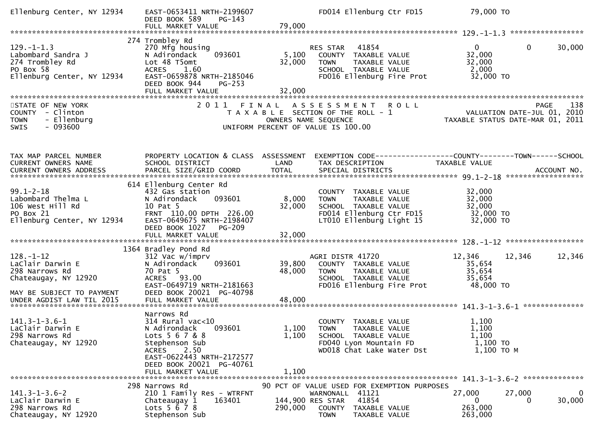| Ellenburg Center, NY 12934                                                                           | EAST-0653411 NRTH-2199607<br>DEED BOOK 589<br>$PG-143$<br>FULL MARKET VALUE                                                                                                                          | 79,000                    | FD014 Ellenburg Ctr FD15                                                                                                                            | 79,000 TO                                                               |                         |
|------------------------------------------------------------------------------------------------------|------------------------------------------------------------------------------------------------------------------------------------------------------------------------------------------------------|---------------------------|-----------------------------------------------------------------------------------------------------------------------------------------------------|-------------------------------------------------------------------------|-------------------------|
|                                                                                                      |                                                                                                                                                                                                      |                           |                                                                                                                                                     |                                                                         |                         |
| $129. - 1 - 1.3$<br>Labombard Sandra J<br>274 Trombley Rd<br>PO Box 58<br>Ellenburg Center, NY 12934 | 274 Trombley Rd<br>270 Mfg housing<br>093601<br>N Adirondack<br>Lot 48 T5omt<br>ACRES 1.60<br>EAST-0659878 NRTH-2185046<br>DEED BOOK 944<br>$PG-253$<br>FULL MARKET VALUE                            | 5,100<br>32,000<br>32,000 | RES STAR<br>41854<br>COUNTY TAXABLE VALUE<br>TAXABLE VALUE<br><b>TOWN</b><br>SCHOOL TAXABLE VALUE<br>FD016 Ellenburg Fire Prot                      | $\overline{0}$<br>32,000<br>32,000<br>2,000<br>32,000 TO                | $\mathbf{0}$<br>30,000  |
| STATE OF NEW YORK<br>COUNTY - Clinton<br><b>TOWN</b><br>- Ellenburg<br>$-093600$<br><b>SWIS</b>      |                                                                                                                                                                                                      |                           | 2011 FINAL ASSESSMENT ROLL<br>T A X A B L E SECTION OF THE ROLL - 1<br>OWNERS NAME SEQUENCE<br>UNIFORM PERCENT OF VALUE IS 100.00                   | PAGE 138<br>VALUATION DATE-JUL 01, 2010<br>TAXABLE STATIIS DATE 110 2.1 |                         |
| TAX MAP PARCEL NUMBER<br>CURRENT OWNERS NAME                                                         | PROPERTY LOCATION & CLASS ASSESSMENT<br>SCHOOL DISTRICT                                                                                                                                              | LAND                      | TAX DESCRIPTION                                                                                                                                     | TAXABLE VALUE                                                           |                         |
| $99.1 - 2 - 18$<br>Labombard Thelma L<br>106 West Hill Rd<br>PO Box 21<br>Ellenburg Center, NY 12934 | 614 Ellenburg Center Rd<br>432 Gas station<br>093601<br>N Adirondack<br>10 Pat 5<br>FRNT 110.00 DPTH 226.00<br>EAST-0649675 NRTH-2198407<br>DEED BOOK 1027<br><b>PG-209</b>                          | 8,000<br>32,000           | COUNTY TAXABLE VALUE<br><b>TOWN</b><br>TAXABLE VALUE<br>SCHOOL TAXABLE VALUE<br>FD014 Ellenburg Ctr FD15<br>LT010 Ellenburg Light 15                | 32,000<br>32,000<br>32,000<br>32,000 TO<br>32,000 TO                    |                         |
| $128. - 1 - 12$<br>LaClair Darwin E<br>298 Narrows Rd<br>Chateaugay, NY 12920                        | 1364 Bradley Pond Rd<br>312 Vac w/imprv<br>093601<br>N Adirondack<br>70 Pat 5<br>ACRES 93.00<br>EAST-0649719 NRTH-2181663                                                                            | 39,800<br>48,000          | AGRI DISTR 41720<br>COUNTY TAXABLE VALUE<br><b>TOWN</b><br>TAXABLE VALUE<br>SCHOOL TAXABLE VALUE<br>FD016 Ellenburg Fire Prot                       | 12,346<br>12,346<br>35,654<br>35,654<br>35,654<br>48,000 TO             | 12,346                  |
| MAY BE SUBJECT TO PAYMENT<br>UNDER AGDIST LAW TIL 2015                                               | DEED BOOK 20021 PG-40798<br>FULL MARKET VALUE                                                                                                                                                        | 48,000                    |                                                                                                                                                     |                                                                         |                         |
| $141.3 - 1 - 3.6 - 1$<br>LaClair Darwin E<br>298 Narrows Rd<br>Chateaugay, NY 12920                  | Narrows Rd<br>$314$ Rural vac<10<br>093601<br>N Adirondack<br>Lots 5 6 7 & 8<br>Stephenson Sub<br>2.50<br><b>ACRES</b><br>EAST-0622443 NRTH-2172577<br>DEED BOOK 20021 PG-40761<br>FULL MARKET VALUE | 1,100<br>1.100            | COUNTY TAXABLE VALUE<br>1,100 TOWN TAXABLE VALUE<br>SCHOOL TAXABLE VALUE<br>FD040 Lyon Mountain FD<br>WD018 Chat Lake Water Dst                     | 1,100<br>1,100<br>1,100<br>1,100 TO<br>$1,100$ TO M                     |                         |
| $141.3 - 1 - 3.6 - 2$<br>LaClair Darwin E<br>298 Narrows Rd<br>Chateaugay, NY 12920                  | 298 Narrows Rd<br>210 1 Family Res - WTRFNT<br>163401<br>Chateaugay 1<br>Lots $5 \, 6 \, 7 \, 8$<br>Stephenson Sub                                                                                   | 290,000                   | 90 PCT OF VALUE USED FOR EXEMPTION PURPOSES<br>WARNONALL 41121<br>144,900 RES STAR<br>41854<br>COUNTY TAXABLE VALUE<br><b>TOWN</b><br>TAXABLE VALUE | 27,000<br>27,000<br>$\mathbf{0}$<br>263,000<br>263,000                  | $\bf{0}$<br>30,000<br>0 |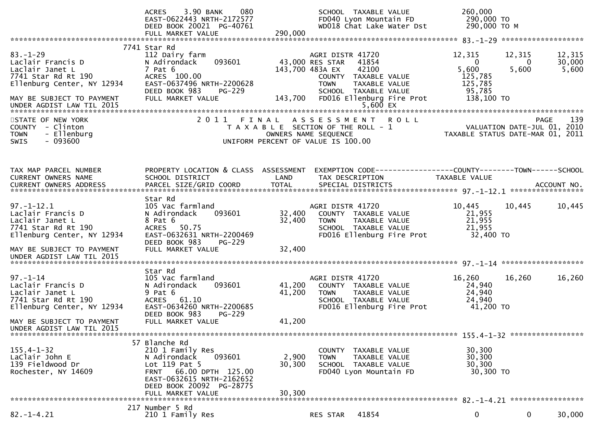|                                                                                                                                                                         | 3.90 BANK<br>080<br><b>ACRES</b><br>EAST-0622443 NRTH-2172577<br>DEED BOOK 20021 PG-40761<br>FULL MARKET VALUE                                                                       | 290,000                                                    | SCHOOL TAXABLE VALUE<br>FD040 Lyon Mountain FD<br>WD018 Chat Lake Water Dst                                                                     | 260,000<br>290,000 TO<br>290,000 ТО М                                                                           |                             |                           |
|-------------------------------------------------------------------------------------------------------------------------------------------------------------------------|--------------------------------------------------------------------------------------------------------------------------------------------------------------------------------------|------------------------------------------------------------|-------------------------------------------------------------------------------------------------------------------------------------------------|-----------------------------------------------------------------------------------------------------------------|-----------------------------|---------------------------|
| $83. - 1 - 29$<br>Laclair Francis D<br>Laclair Janet L<br>7741 Star Rd Rt 190<br>Ellenburg Center, NY 12934<br>MAY BE SUBJECT TO PAYMENT                                | 7741 Star Rd<br>112 Dairy farm<br>N Adirondack<br>093601<br>$7$ Pat $6$<br>ACRES 100.00<br>EAST-0637496 NRTH-2200628<br>DEED BOOK 983<br>$PG-229$<br>FULL MARKET VALUE               | 43,000 RES STAR<br>143,700 483A EX<br>143,700              | AGRI DISTR 41720<br>41854<br>42100<br>COUNTY TAXABLE VALUE<br><b>TOWN</b><br>TAXABLE VALUE<br>SCHOOL TAXABLE VALUE<br>FD016 Ellenburg Fire Prot | 12,315<br>$\overline{0}$<br>5,600<br>125,785<br>125,785<br>95,785<br>138,100 TO                                 | 12,315<br>$\bf{0}$<br>5,600 | 12,315<br>30,000<br>5,600 |
| STATE OF NEW YORK<br>COUNTY - Clinton<br>- Ellenburg<br><b>TOWN</b><br>SWIS<br>- 093600                                                                                 |                                                                                                                                                                                      | OWNERS NAME SEQUENCE<br>UNIFORM PERCENT OF VALUE IS 100.00 | 2011 FINAL ASSESSMENT ROLL<br>T A X A B L E SECTION OF THE ROLL - 1                                                                             | 139 - FAGE<br>VALUATION DATE-JUL 01, 2010<br>TAXARLE STATUS DATE ::: - 2017<br>TAXABLE STATUS DATE-MAR 01, 2011 |                             | 139<br><b>PAGE</b>        |
| TAX MAP PARCEL NUMBER<br>CURRENT OWNERS NAME<br>CURRENT OWNERS ADDRESS                                                                                                  | PROPERTY LOCATION & CLASS ASSESSMENT<br>SCHOOL DISTRICT                                                                                                                              | LAND                                                       | EXEMPTION CODE------------------COUNTY--------TOWN------SCHOOL<br>TAX DESCRIPTION                                                               | TAXABLE VALUE                                                                                                   |                             |                           |
| $97. - 1 - 12.1$<br>Laclair Francis D<br>Laclair Janet L<br>7741 Star Rd Rt 190<br>Ellenburg Center, NY 12934<br>MAY BE SUBJECT TO PAYMENT<br>UNDER AGDIST LAW TIL 2015 | Star Rd<br>105 Vac farmland<br>093601<br>N Adirondack<br>8 Pat 6<br>50.75<br><b>ACRES</b><br>EAST-0632631 NRTH-2200469<br>DEED BOOK 983<br>$PG-229$<br>FULL MARKET VALUE             | 32,400<br>32,400<br>32,400                                 | AGRI DISTR 41720<br>COUNTY TAXABLE VALUE<br>TAXABLE VALUE<br>TOWN<br>SCHOOL TAXABLE VALUE<br>FD016 Ellenburg Fire Prot                          | 10,445<br>21,955<br>21,955<br>21,955<br>32,400 TO                                                               | 10,445                      | 10,445                    |
|                                                                                                                                                                         |                                                                                                                                                                                      |                                                            |                                                                                                                                                 |                                                                                                                 |                             |                           |
| $97. - 1 - 14$<br>Laclair Francis D<br>Laclair Janet L<br>7741 Star Rd Rt 190<br>Ellenburg Center, NY 12934                                                             | Star Rd<br>105 Vac farmland<br>093601<br>N Adirondack<br>$9$ Pat $6$<br>ACRES 61.10<br>EAST-0634260 NRTH-2200685<br>DEED BOOK 983<br>$PG-229$                                        | 41,200<br>41,200                                           | AGRI DISTR 41720<br>COUNTY TAXABLE VALUE<br><b>TOWN</b><br>TAXABLE VALUE<br>SCHOOL TAXABLE VALUE<br>FD016 Ellenburg Fire Prot                   | 16,260<br>24,940<br>24,940<br>24,940<br>41,200 TO                                                               | 16,260                      | 16,260                    |
| MAY BE SUBJECT TO PAYMENT<br>UNDER AGDIST LAW TIL 2015                                                                                                                  | FULL MARKET VALUE                                                                                                                                                                    | 41,200                                                     |                                                                                                                                                 |                                                                                                                 |                             |                           |
|                                                                                                                                                                         |                                                                                                                                                                                      |                                                            |                                                                                                                                                 |                                                                                                                 |                             |                           |
| $155.4 - 1 - 32$<br>LaClair John E<br>139 Fieldwood Dr<br>Rochester, NY 14609                                                                                           | 57 Blanche Rd<br>210 1 Family Res<br>093601<br>N Adirondack<br>Lot 119 Pat 5<br>FRNT 66.00 DPTH 125.00<br>EAST-0632615 NRTH-2162652<br>DEED BOOK 20092 PG-28775<br>FULL MARKET VALUE | 2,900<br>30,300<br>30,300                                  | COUNTY TAXABLE VALUE<br><b>TOWN</b><br>TAXABLE VALUE<br>SCHOOL TAXABLE VALUE<br>FD040 Lyon Mountain FD                                          | 30,300<br>30,300<br>30,300<br>30,300 TO                                                                         |                             |                           |
|                                                                                                                                                                         |                                                                                                                                                                                      |                                                            |                                                                                                                                                 |                                                                                                                 |                             |                           |
| $82. - 1 - 4.21$                                                                                                                                                        | 217 Number 5 Rd<br>210 1 Family Res                                                                                                                                                  |                                                            | 41854<br>RES STAR                                                                                                                               | 0                                                                                                               | 0                           | 30,000                    |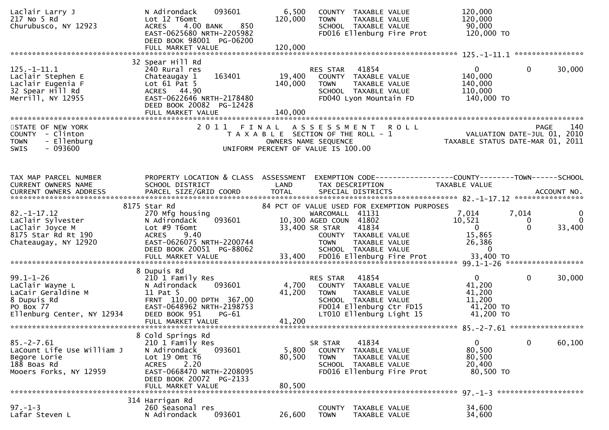| Laclair Larry J<br>217 No 5 Rd<br>Churubusco, NY 12923                                                             | 093601<br>N Adirondack<br>Lot 12 T6omt<br>850<br>4.00 BANK<br><b>ACRES</b><br>EAST-0625680 NRTH-2205982<br>DEED BOOK 98001 PG-06200                                                   | 6,500<br>120,000             | COUNTY TAXABLE VALUE<br><b>TOWN</b><br>TAXABLE VALUE<br>SCHOOL TAXABLE VALUE<br>FD016 Ellenburg Fire Prot                                                                                                                        | 120,000<br>120,000<br>90,000<br>120,000 TO                                         |                                                              |
|--------------------------------------------------------------------------------------------------------------------|---------------------------------------------------------------------------------------------------------------------------------------------------------------------------------------|------------------------------|----------------------------------------------------------------------------------------------------------------------------------------------------------------------------------------------------------------------------------|------------------------------------------------------------------------------------|--------------------------------------------------------------|
|                                                                                                                    | FULL MARKET VALUE                                                                                                                                                                     | 120,000                      |                                                                                                                                                                                                                                  |                                                                                    |                                                              |
| $125. - 1 - 11.1$<br>Laclair Stephen E<br>Laclair Eugenia F<br>32 Spear Hill Rd<br>Merrill, NY 12955               | 32 Spear Hill Rd<br>240 Rural res<br>163401<br>Chateaugay 1<br>Lot $61$ Pat $5$<br>ACRES 44.90<br>EAST-0622646 NRTH-2178480<br>DEED BOOK 20082 PG-12428<br>FULL MARKET VALUE          | 19,400<br>140,000<br>140,000 | 41854<br><b>RES STAR</b><br>COUNTY TAXABLE VALUE<br><b>TOWN</b><br>TAXABLE VALUE<br>SCHOOL TAXABLE VALUE<br>FD040 Lyon Mountain FD                                                                                               | $\mathbf{0}$<br>140,000<br>140,000<br>110,000<br>140,000 TO                        | $\mathbf{0}$<br>30,000                                       |
| STATE OF NEW YORK<br>COUNTY - Clinton<br><b>TOWN</b><br>- Ellenburg<br>$-093600$<br><b>SWIS</b>                    | 2011                                                                                                                                                                                  | FINAL                        | <b>ROLL</b><br>A S S E S S M E N T<br>T A X A B L E SECTION OF THE ROLL - 1<br>OWNERS NAME SEQUENCE<br>UNIFORM PERCENT OF VALUE IS 100.00                                                                                        | rage 140<br>10. VALUATION DATE-JUL 01, 2010<br>1102 TAXABLE STATUS DATE-MAR 01, 20 | PAGE<br>140                                                  |
| TAX MAP PARCEL NUMBER<br><b>CURRENT OWNERS NAME</b><br><b>CURRENT OWNERS ADDRESS</b>                               | PROPERTY LOCATION & CLASS ASSESSMENT<br>SCHOOL DISTRICT<br>PARCEL SIZE/GRID COORD                                                                                                     | LAND<br><b>TOTAL</b>         | EXEMPTION CODE------------------COUNTY--------TOWN------SCHOOL<br>TAX DESCRIPTION<br>SPECIAL DISTRICTS                                                                                                                           | TAXABLE VALUE                                                                      | ACCOUNT NO.                                                  |
| $82. - 1 - 17.12$<br>LaClair Sylvester<br>LaClair Joyce M<br>8175 Star Rd Rt 190<br>Chateaugay, NY 12920           | 8175 Star Rd<br>270 Mfg housing<br>093601<br>N Adirondack<br>Lot $#9$ T6omt<br><b>ACRES</b><br>9.40<br>EAST-0626075 NRTH-2200744<br>DEED BOOK 20051 PG-88062<br>FULL MARKET VALUE     | 33,400                       | 84 PCT OF VALUE USED FOR EXEMPTION PURPOSES<br>WARCOMALL 41131<br>10,300 AGED COUN 41802<br>33,400 SR STAR<br>41834<br>COUNTY TAXABLE VALUE<br><b>TOWN</b><br>TAXABLE VALUE<br>SCHOOL TAXABLE VALUE<br>FD016 Ellenburg Fire Prot | 7,014<br>10,521<br>$\overline{0}$<br>15,865<br>26,386<br>0<br>33,400 TO            | 7,014<br>$\mathbf{0}$<br>$\Omega$<br>0<br>$\Omega$<br>33,400 |
| $99.1 - 1 - 26$<br>LaClair Wayne L<br>LaCair Geraldine M<br>8 Dupuis Rd<br>PO Box 77<br>Ellenburg Center, NY 12934 | 8 Dupuis Rd<br>210 1 Family Res<br>093601<br>N Adirondack<br>11 Pat 5<br>FRNT 110.00 DPTH 367.00<br>EAST-0648962 NRTH-2198753<br>DEED BOOK 951<br>$PG-61$<br>FULL MARKET VALUE        | 4,700<br>41,200<br>41,200    | 41854<br>RES STAR<br>COUNTY TAXABLE VALUE<br>TAXABLE VALUE<br><b>TOWN</b><br>SCHOOL TAXABLE VALUE<br>FD014 Ellenburg Ctr FD15<br>LT010 Ellenburg Light 15                                                                        | $\overline{0}$<br>41,200<br>41,200<br>11,200<br>41,200 TO<br>41,200 TO             | $\mathbf{0}$<br>30,000                                       |
| $85. - 2 - 7.61$<br>LaCount Life Use William J<br>Begore Lorie<br>188 Boas Rd<br>Mooers Forks, NY 12959            | 8 Cold Springs Rd<br>210 1 Family Res<br>N Adirondack<br>093601<br>Lot 19 Omt T6<br>2.20<br><b>ACRES</b><br>EAST-0668470 NRTH-2208095<br>DEED BOOK 20072 PG-2133<br>FULL MARKET VALUE | 5,800<br>80,500<br>80,500    | 41834<br>SR STAR<br>COUNTY<br>TAXABLE VALUE<br>TAXABLE VALUE<br><b>TOWN</b><br>SCHOOL TAXABLE VALUE<br>FD016 Ellenburg Fire Prot                                                                                                 | 0<br>80,500<br>80,500<br>20,400<br>80,500 TO                                       | $\mathbf{0}$<br>60,100                                       |
| $97. - 1 - 3$<br>Lafar Steven L                                                                                    | 314 Harrigan Rd<br>260 Seasonal res<br>093601<br>N Adirondack                                                                                                                         | 26,600                       | TAXABLE VALUE<br><b>COUNTY</b><br><b>TOWN</b><br>TAXABLE VALUE                                                                                                                                                                   | 34,600<br>34,600                                                                   |                                                              |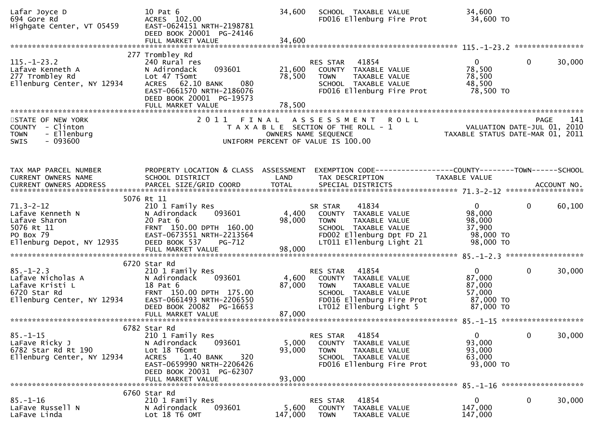| Lafar Joyce D<br>694 Gore Rd<br>Highgate Center, VT 05459                                                                          | 10 Pat 6<br>ACRES 102.00<br>EAST-0624151 NRTH-2198781<br>DEED BOOK 20001 PG-24146<br>FULL MARKET VALUE                                                                       | 34,600<br>34,600          | SCHOOL TAXABLE VALUE<br>FD016 Ellenburg Fire Prot                                                                                                         | 34,600<br>34,600 TO                                                  |              |        |
|------------------------------------------------------------------------------------------------------------------------------------|------------------------------------------------------------------------------------------------------------------------------------------------------------------------------|---------------------------|-----------------------------------------------------------------------------------------------------------------------------------------------------------|----------------------------------------------------------------------|--------------|--------|
|                                                                                                                                    | 277 Trombley Rd                                                                                                                                                              |                           |                                                                                                                                                           |                                                                      |              |        |
| $115. - 1 - 23.2$<br>Lafave Kenneth A<br>$\overline{\phantom{a}}$<br>277 Trombley Rd<br>Ellenburg Center, NY 12934                 | 240 Rural res<br>093601<br>N Adirondack<br>Lot 47 T5omt<br>080<br>ACRES 62.10 BANK<br>EAST-0661570 NRTH-2186076<br>DEED BOOK 20001 PG-19573<br>FULL MARKET VALUE             | 78,500<br>78,500          | 41854<br>RES STAR<br>21,600 COUNTY TAXABLE VALUE<br>TAXABLE VALUE<br><b>TOWN</b><br>SCHOOL TAXABLE VALUE<br>FD016 Ellenburg Fire Prot                     | $0 \qquad \qquad$<br>78,500<br>78,500<br>48,500<br>78,500 TO         | $\mathbf{0}$ | 30,000 |
|                                                                                                                                    |                                                                                                                                                                              |                           |                                                                                                                                                           |                                                                      |              |        |
| STATE OF NEW YORK<br>COUNTY - Clinton<br>- Ellenburg<br><b>TOWN</b><br>$-093600$<br>SWIS                                           |                                                                                                                                                                              |                           | 2011 FINAL ASSESSMENT<br><b>ROLL</b><br>T A X A B L E SECTION OF THE ROLL - 1<br>OWNERS NAME SEQUENCE<br>UNIFORM PERCENT OF VALUE IS 100.00               | VALUATION DATE-JUL 01, 2010<br>TAXABLE STATUS DATE-MAR 01, 2011      | <b>PAGE</b>  | 141    |
|                                                                                                                                    |                                                                                                                                                                              |                           |                                                                                                                                                           |                                                                      |              |        |
| TAX MAP PARCEL NUMBER<br>CURRENT OWNERS NAME                                                                                       | PROPERTY LOCATION & CLASS ASSESSMENT<br>SCHOOL DISTRICT                                                                                                                      | LAND                      | EXEMPTION CODE-----------------COUNTY-------TOWN------SCHOOL<br>TAX DESCRIPTION                                                                           | TAXABLE VALUE                                                        |              |        |
|                                                                                                                                    |                                                                                                                                                                              |                           |                                                                                                                                                           |                                                                      |              |        |
|                                                                                                                                    | 5076 Rt 11                                                                                                                                                                   |                           |                                                                                                                                                           |                                                                      |              |        |
| $71.3 - 2 - 12$<br>Lafave Kenneth N<br>Lafave Sharon<br>5076 Rt 11<br>PO Box 79                                                    | 210 1 Family Res<br>N Adirondack<br>093601<br>20 Pat 6<br>FRNT 150.00 DPTH 160.00<br>EAST-0673551 NRTH-2213564                                                               | 4,400<br>98,000           | 41834<br>SR STAR<br>COUNTY TAXABLE VALUE<br><b>TOWN</b><br>TAXABLE VALUE<br>SCHOOL TAXABLE VALUE<br>FD002 Ellenburg Dpt FD 21                             | $\mathbf{0}$<br>98,000<br>98,000<br>37,900<br>98,000 TO              | $\mathbf 0$  | 60,100 |
| Ellenburg Depot, NY 12935                                                                                                          | DEED BOOK 537<br><b>PG-712</b><br>FULL MARKET VALUE                                                                                                                          | 98,000                    | LT011 Ellenburg Light 21                                                                                                                                  | 98,000 TO                                                            |              |        |
|                                                                                                                                    | 6720 Star Rd                                                                                                                                                                 |                           |                                                                                                                                                           |                                                                      |              |        |
| $85. - 1 - 2.3$<br>oɔ.-⊥-∠.ɔ<br>Lafave Nicholas A<br>Lafave Kristi L<br>6720 star Pd<br>6720 Star Rd<br>Ellenburg Center, NY 12934 | 210 1 Family Res<br>N Adirondack<br>093601<br>18 Pat 6<br>FRNT 150.00 DPTH 175.00<br>EAST-0661493 NRTH-2206550<br>DEED BOOK 20082 PG-16653                                   | 4,600<br>87,000           | 41854<br>RES STAR<br>COUNTY TAXABLE VALUE<br>TAXABLE VALUE<br><b>TOWN</b><br>SCHOOL TAXABLE VALUE<br>FD016 Ellenburg Fire Prot<br>LT012 Ellenburg Light 5 | $\mathbf{0}$<br>87,000<br>87,000<br>57,000<br>87,000 TO<br>87,000 TO | $\mathbf 0$  | 30,000 |
|                                                                                                                                    |                                                                                                                                                                              |                           |                                                                                                                                                           |                                                                      |              |        |
|                                                                                                                                    | 6782 Star Rd                                                                                                                                                                 |                           |                                                                                                                                                           |                                                                      |              |        |
| $85. - 1 - 15$<br>LaFave Ricky J<br>6782 Star Rd Rt 190<br>Ellenburg Center, NY 12934                                              | 210 1 Family Res<br>N Adirondack<br>093601<br>Lot 18 T6omt<br><b>ACRES</b><br>1.40 BANK<br>320<br>EAST-0659990 NRTH-2206426<br>DEED BOOK 20031 PG-62307<br>FULL MARKET VALUE | 5,000<br>93,000<br>93,000 | 41854<br>RES STAR<br>COUNTY TAXABLE VALUE<br>TAXABLE VALUE<br><b>TOWN</b><br>SCHOOL TAXABLE VALUE<br>FD016 Ellenburg Fire Prot                            | $\mathbf{0}$<br>93,000<br>93,000<br>63,000<br>93,000 TO              | 0            | 30,000 |
|                                                                                                                                    |                                                                                                                                                                              |                           |                                                                                                                                                           |                                                                      |              |        |
| $85. - 1 - 16$<br>LaFave Russell N<br>LaFave Linda                                                                                 | 6760 Star Rd<br>210 1 Family Res<br>093601<br>N Adirondack<br>Lot 18 T6 OMT                                                                                                  | 5,600<br>147,000          | 41854<br>RES STAR<br><b>COUNTY</b><br>TAXABLE VALUE<br><b>TOWN</b><br>TAXABLE VALUE                                                                       | $\mathbf{0}$<br>147,000<br>147,000                                   | 0            | 30,000 |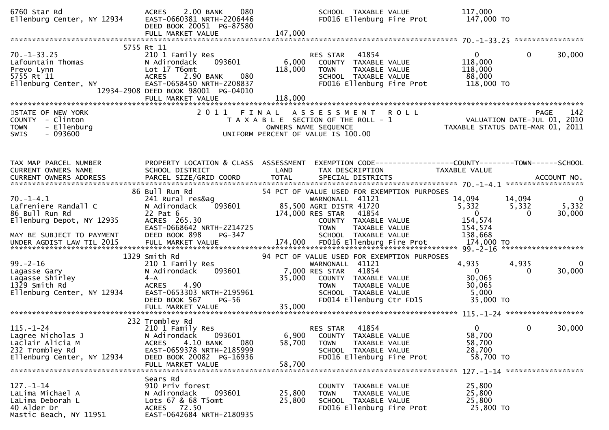| 6760 Star Rd<br>Ellenburg Center, NY 12934                                                                          | 080<br>2.00 BANK<br><b>ACRES</b><br>EAST-0660381 NRTH-2206446<br>DEED BOOK 20051 PG-87580<br>FULL MARKET VALUE                                                                   | 147,000                   | SCHOOL TAXABLE VALUE<br>FD016 Ellenburg Fire Prot                                                                                                                                                            | 117,000<br>147,000 TO                                                                      |                                 |                             |
|---------------------------------------------------------------------------------------------------------------------|----------------------------------------------------------------------------------------------------------------------------------------------------------------------------------|---------------------------|--------------------------------------------------------------------------------------------------------------------------------------------------------------------------------------------------------------|--------------------------------------------------------------------------------------------|---------------------------------|-----------------------------|
|                                                                                                                     |                                                                                                                                                                                  |                           |                                                                                                                                                                                                              |                                                                                            |                                 |                             |
| $70. - 1 - 33.25$<br>Lafountain Thomas<br>Prevo Lynn<br>5755 Rt 11<br>Ellenburg Center, NY                          | 5755 Rt 11<br>210 1 Family Res<br>093601<br>N Adirondack<br>Lot 17 T6omt<br>080<br><b>ACRES</b><br>2.90 BANK<br>EAST-0658450 NRTH-2208837<br>12934-2908 DEED BOOK 98001 PG-04010 | 6,000<br>118,000          | 41854<br>RES STAR<br>COUNTY TAXABLE VALUE<br><b>TOWN</b><br>TAXABLE VALUE<br>SCHOOL TAXABLE VALUE<br>FD016 Ellenburg Fire Prot                                                                               | $\mathbf{0}$<br>118,000<br>118,000<br>88,000<br>118,000 TO                                 | $\Omega$                        | 30,000                      |
|                                                                                                                     |                                                                                                                                                                                  |                           |                                                                                                                                                                                                              |                                                                                            |                                 |                             |
| STATE OF NEW YORK<br>COUNTY - Clinton<br>- Ellenburg<br><b>TOWN</b><br>$-093600$<br>SWIS                            |                                                                                                                                                                                  |                           | 2011 FINAL ASSESSMENT<br>T A X A B L E SECTION OF THE ROLL - 1<br>OWNERS NAME SEQUENCE<br>UNIFORM PERCENT OF VALUE IS 100.00                                                                                 | <b>ROLL</b><br>PAGE 142<br>VALUATION DATE-JUL 01, 2010<br>TAXABLE STATUS DATE-MAR 01, 2011 |                                 |                             |
|                                                                                                                     |                                                                                                                                                                                  |                           |                                                                                                                                                                                                              |                                                                                            |                                 |                             |
| TAX MAP PARCEL NUMBER<br>CURRENT OWNERS NAME                                                                        | PROPERTY LOCATION & CLASS ASSESSMENT<br>SCHOOL DISTRICT                                                                                                                          | LAND                      | TAX DESCRIPTION                                                                                                                                                                                              | <b>TAXABLE VALUE</b>                                                                       |                                 |                             |
|                                                                                                                     |                                                                                                                                                                                  |                           |                                                                                                                                                                                                              |                                                                                            |                                 |                             |
| $70. - 1 - 4.1$<br>Lafreniere Randall C<br>86 Bull Run Rd<br>Ellenburg Depot, NY 12935<br>MAY BE SUBJECT TO PAYMENT | 86 Bull Run Rd<br>241 Rural res&ag<br>093601<br>N Adirondack<br>22 Pat 6<br>ACRES 265.30<br>EAST-0668642 NRTH-2214725<br>DEED BOOK 898<br>PG-347                                 |                           | 54 PCT OF VALUE USED FOR EXEMPTION PURPOSES<br>WARNONALL 41121<br>85,500 AGRI DISTR 41720<br>174,000 RES STAR<br>41854<br>COUNTY TAXABLE VALUE<br>TAXABLE VALUE<br><b>TOWN</b><br>SCHOOL TAXABLE VALUE       | 14,094<br>5,332<br>$\mathbf 0$<br>154,574<br>154,574<br>138,668                            | 14,094<br>5,332<br>$\mathbf{0}$ | $\bf{0}$<br>5,332<br>30,000 |
|                                                                                                                     |                                                                                                                                                                                  |                           |                                                                                                                                                                                                              |                                                                                            |                                 |                             |
| $99. - 2 - 16$<br>Lagasse Gary<br>Lagasse Shirley<br>1329 Smith Rd<br>Ellenburg Center, NY 12934                    | 1329 Smith Rd<br>210 1 Family Res<br>N Adirondack<br>093601<br>$4 - A$<br><b>ACRES</b><br>4.90<br>EAST-0653303 NRTH-2195961<br>$PG-56$<br>DEED BOOK 567<br>FULL MARKET VALUE     | 35,000<br>35,000          | 94 PCT OF VALUE USED FOR EXEMPTION PURPOSES<br>WARNONALL 41121<br>41854<br>7,000 RES STAR<br>COUNTY TAXABLE VALUE<br><b>TAXABLE VALUE</b><br><b>TOWN</b><br>SCHOOL TAXABLE VALUE<br>FD014 Ellenburg Ctr FD15 | 4,935<br>$\overline{0}$<br>30,065<br>30,065<br>5,000<br>35,000 TO                          | 4,935<br>$\Omega$               | 0<br>30,000                 |
|                                                                                                                     |                                                                                                                                                                                  |                           |                                                                                                                                                                                                              |                                                                                            |                                 |                             |
| $115. - 1 - 24$<br>Lagree Nicholas J<br>Laclair Alicia M<br>232 Trombley Rd<br>Ellenburg Center, NY 12934           | 232 Trombley Rd<br>210 1 Family Res<br>093601<br>N Adirondack<br>4.10 BANK<br>080<br><b>ACRES</b><br>EAST-0659378 NRTH-2185999<br>DEED BOOK 20082 PG-16936<br>FULL MARKET VALUE  | 6,900<br>58,700<br>58,700 | RES STAR<br>41854<br>COUNTY TAXABLE VALUE<br><b>TOWN</b><br>TAXABLE VALUE<br>SCHOOL TAXABLE VALUE<br>FD016 Ellenburg Fire Prot                                                                               | 0<br>58,700<br>58,700<br>28,700<br>58,700 TO                                               | $\bf{0}$                        | 30,000                      |
| $127. - 1 - 14$<br>LaLima Michael A<br>LaLima Deborah L<br>40 Alder Dr<br>Mastic Beach, NY 11951                    | Sears Rd<br>910 Priv forest<br>093601<br>N Adirondack<br>Lots 67 & 68 T5omt<br>ACRES 72.50<br>EAST-0642684 NRTH-2180935                                                          | 25,800<br>25,800          | COUNTY TAXABLE VALUE<br>TAXABLE VALUE<br><b>TOWN</b><br>SCHOOL TAXABLE VALUE<br>FD016 Ellenburg Fire Prot                                                                                                    | 25,800<br>25,800<br>25,800<br>25,800 TO                                                    |                                 |                             |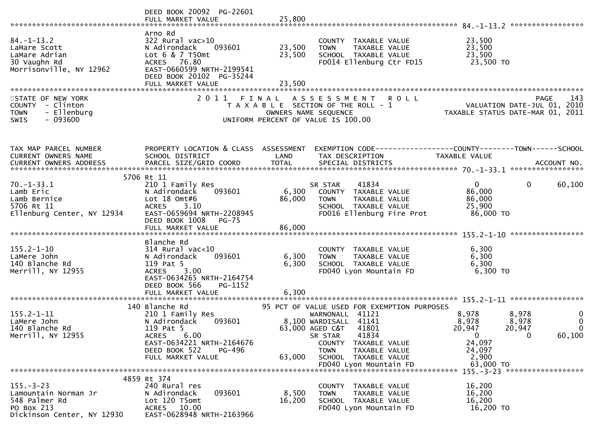|                                                                                                      | DEED BOOK 20092 PG-22601<br>FULL MARKET VALUE                                                                                                                                 | 25,800                     |                                                                                                                                                                                                                                                |                                                                                                                                                                             |
|------------------------------------------------------------------------------------------------------|-------------------------------------------------------------------------------------------------------------------------------------------------------------------------------|----------------------------|------------------------------------------------------------------------------------------------------------------------------------------------------------------------------------------------------------------------------------------------|-----------------------------------------------------------------------------------------------------------------------------------------------------------------------------|
| $84. - 1 - 13.2$<br>LaMare Scott<br>LaMare Adrian<br>30 Vaughn Rd<br>Morrisonville, NY 12962         | Arno Rd<br>$322$ Rural vac $>10$<br>093601<br>N Adirondack<br>Lot 6 & 7 T50mt<br>ACRES 76.80<br>EAST-0660599 NRTH-2199541<br>DEED BOOK 20102 PG-35244<br>FULL MARKET VALUE    | 23,500<br>23,500<br>23,500 | COUNTY TAXABLE VALUE<br><b>TOWN</b><br>TAXABLE VALUE<br>SCHOOL TAXABLE VALUE<br>FD014 Ellenburg Ctr FD15                                                                                                                                       | 23,500<br>23,500<br>23,500<br>23,500 TO                                                                                                                                     |
| STATE OF NEW YORK<br>COUNTY - Clinton<br>- Ellenburg<br><b>TOWN</b><br>$-093600$<br><b>SWIS</b>      | 2011<br>FINAL                                                                                                                                                                 |                            | A S S E S S M E N T<br><b>ROLL</b><br>T A X A B L E SECTION OF THE ROLL - 1<br>OWNERS NAME SEQUENCE<br>UNIFORM PERCENT OF VALUE IS 100.00                                                                                                      | PAGE 143<br>VALUATION DATE-JUL 01, 2010<br>TAXABLE STATUS DATE USE 101 TAXABLE<br>TAXABLE STATUS DATE-MAR 01, 2011                                                          |
| TAX MAP PARCEL NUMBER<br>CURRENT OWNERS NAME<br>CURRENT OWNERS ADDRESS                               | PROPERTY LOCATION & CLASS ASSESSMENT<br>SCHOOL DISTRICT                                                                                                                       | LAND                       | TAX DESCRIPTION                                                                                                                                                                                                                                | EXEMPTION CODE-----------------COUNTY-------TOWN------SCHOOL<br>TAXABLE VALUE                                                                                               |
| $70. - 1 - 33.1$<br>Lamb Eric<br>Lamb Bernice<br>5706 Rt 11<br>Ellenburg Center, NY 12934            | 5706 Rt 11<br>210 1 Family Res<br>093601<br>N Adirondack<br>Lot $18$ Omt#6<br><b>ACRES</b><br>3.10<br>EAST-0659694 NRTH-2208945<br>DEED BOOK 1008<br>$PG-75$                  | 6,300<br>86,000            | 41834<br>SR STAR<br>COUNTY TAXABLE VALUE<br>TAXABLE VALUE<br><b>TOWN</b><br>SCHOOL TAXABLE VALUE<br>FD016 Ellenburg Fire Prot                                                                                                                  | 60,100<br>$\Omega$<br>$\mathbf{0}$<br>86,000<br>86,000<br>25,900<br>86,000 TO                                                                                               |
| $155.2 - 1 - 10$<br>LaMere John<br>140 Blanche Rd<br>Merrill, NY 12955                               | Blanche Rd<br>$314$ Rural vac<10<br>093601<br>N Adirondack<br>119 Pat 5<br>3.00<br><b>ACRES</b><br>EAST-0634265 NRTH-2164754<br>DEED BOOK 566<br>PG-1152<br>FULL MARKET VALUE | 6,300<br>6,300<br>6,300    | COUNTY TAXABLE VALUE<br>TAXABLE VALUE<br>TOWN<br>SCHOOL TAXABLE VALUE<br>FD040 Lyon Mountain FD                                                                                                                                                | 6,300<br>6,300<br>6,300<br>6,300 то                                                                                                                                         |
| $155.2 - 1 - 11$<br>LaMere John<br>140 Blanche Rd<br>Merrill, NY 12955                               | 140 Blanche Rd<br>210 1 Family Res<br>093601<br>N Adirondack<br>119 Pat 5<br>6.00<br>ACRES<br>EAST-0634221 NRTH-2164676<br>DEED BOOK 522<br>PG-496<br>FULL MARKET VALUE       | 63,000                     | 95 PCT OF VALUE USED FOR EXEMPTION PURPOSES<br>WARNONALL 41121<br>8,100 WARDISALL 41141<br>63,000 AGED C&T 41801<br>41834<br>SR STAR<br>COUNTY TAXABLE VALUE<br><b>TOWN</b><br>TAXABLE VALUE<br>SCHOOL TAXABLE VALUE<br>FD040 Lyon Mountain FD | 8,978<br>8,978<br>$\bf{0}$<br>$\mathbf 0$<br>8,978<br>8,978<br>20,947<br>20,947<br>$\Omega$<br>60,100<br>$\mathbf{0}$<br>$\Omega$<br>24,097<br>24,097<br>2,900<br>63,000 TO |
| $155. - 3 - 23$<br>Lamountain Norman Jr<br>548 Palmer Rd<br>PO Box 213<br>Dickinson Center, NY 12930 | 4859 Rt 374<br>240 Rural res<br>N Adirondack<br>093601<br>Lot 120 T5omt<br>ACRES 10.00<br>EAST-0628948 NRTH-2163966                                                           | 8,500<br>16,200            | COUNTY TAXABLE VALUE<br><b>TOWN</b><br>TAXABLE VALUE<br>SCHOOL TAXABLE VALUE<br>FD040 Lyon Mountain FD                                                                                                                                         | 16,200<br>16,200<br>16,200<br>16,200 TO                                                                                                                                     |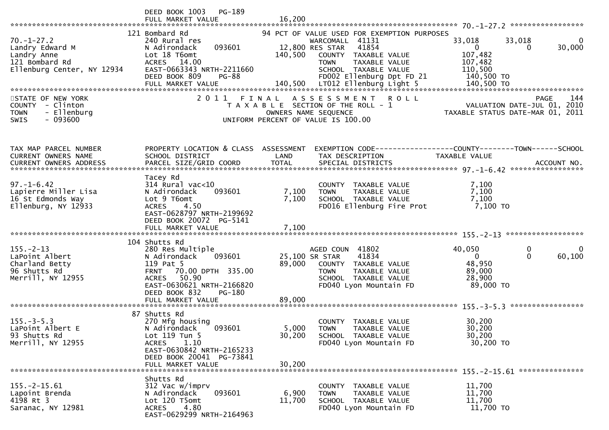|                                                                                                    | DEED BOOK 1003<br>$PG-189$<br>FULL MARKET VALUE                                                                                                                                                          | 16,200                    |                                                                                                                                                                                                         |                                                                                             |                    |
|----------------------------------------------------------------------------------------------------|----------------------------------------------------------------------------------------------------------------------------------------------------------------------------------------------------------|---------------------------|---------------------------------------------------------------------------------------------------------------------------------------------------------------------------------------------------------|---------------------------------------------------------------------------------------------|--------------------|
| $70. - 1 - 27.2$<br>Landry Edward M<br>Landry Anne<br>121 Bombard Rd<br>Ellenburg Center, NY 12934 | 121 Bombard Rd<br>240 Rural res<br>093601<br>N Adirondack<br>Lot 18 T6omt<br>ACRES 14.00<br>EAST-0663343 NRTH-2211660<br>DEED BOOK 809<br><b>PG-88</b>                                                   | 140,500                   | 94 PCT OF VALUE USED FOR EXEMPTION PURPOSES<br>WARCOMALL 41131<br>41854<br>12,800 RES STAR<br>COUNTY TAXABLE VALUE<br>TAXABLE VALUE<br><b>TOWN</b><br>SCHOOL TAXABLE VALUE<br>FD002 Ellenburg Dpt FD 21 | 33,018<br>33,018<br>$\mathbf{0}$<br>$\Omega$<br>107,482<br>107,482<br>110,500<br>140,500 TO | 0<br>30,000        |
| STATE OF NEW YORK<br>COUNTY - Clinton<br>- Ellenburg<br><b>TOWN</b><br>$-093600$<br><b>SWIS</b>    | 2011 FINAL                                                                                                                                                                                               |                           | <b>ROLL</b><br>A S S E S S M E N T<br>T A X A B L E SECTION OF THE ROLL - 1<br>OWNERS NAME SEQUENCE<br>UNIFORM PERCENT OF VALUE IS 100.00                                                               | VALUATION DATE-JUL 01, 2010<br>TAXABLE STATUS DATE-MAR 01, 2011                             | 144<br><b>PAGE</b> |
| TAX MAP PARCEL NUMBER<br><b>CURRENT OWNERS NAME</b>                                                | PROPERTY LOCATION & CLASS ASSESSMENT<br>SCHOOL DISTRICT                                                                                                                                                  | LAND                      | TAX DESCRIPTION                                                                                                                                                                                         | EXEMPTION CODE------------------COUNTY--------TOWN------SCHOOL<br><b>TAXABLE VALUE</b>      |                    |
| $97. - 1 - 6.42$<br>Lapierre Miller Lisa<br>16 St Edmonds Way<br>Ellenburg, NY 12933               | Tacey Rd<br>314 Rural vac<10<br>N Adirondack<br>093601<br>Lot 9 T6omt<br>4.50<br><b>ACRES</b><br>EAST-0628797 NRTH-2199692<br>DEED BOOK 20072 PG-5141                                                    | 7,100<br>7,100            | COUNTY TAXABLE VALUE<br>TAXABLE VALUE<br><b>TOWN</b><br>SCHOOL TAXABLE VALUE<br>FD016 Ellenburg Fire Prot                                                                                               | 7,100<br>7,100<br>7,100<br>7,100 TO                                                         |                    |
| $155. - 2 - 13$<br>LaPoint Albert<br>Charland Betty<br>96 Shutts Rd<br>Merrill, NY 12955           | 104 Shutts Rd<br>280 Res Multiple<br>N Adirondack<br>093601<br>119 Pat 5<br>70.00 DPTH 335.00<br><b>FRNT</b><br>ACRES 50.90<br>EAST-0630621 NRTH-2166820<br>DEED BOOK 832<br>PG-180<br>FULL MARKET VALUE | 89,000<br>89,000          | AGED COUN 41802<br>25,100 SR STAR<br>41834<br>COUNTY TAXABLE VALUE<br><b>TOWN</b><br>TAXABLE VALUE<br>SCHOOL TAXABLE VALUE<br>FD040 Lyon Mountain FD                                                    | 40,050<br>0<br>$\Omega$<br>$\overline{0}$<br>48,950<br>89,000<br>28,900<br>89,000 TO        | 0<br>60,100        |
| $155. - 3 - 5.3$<br>LaPoint Albert E<br>93 Shutts Rd<br>Merrill, NY 12955                          | 87 Shutts Rd<br>270 Mfg housing<br>N Adirondack<br>093601<br>Lot 119 Tun 5<br><b>ACRES</b><br>1.10<br>EAST-0630842 NRTH-2165233<br>DEED BOOK 20041 PG-73841<br>FULL MARKET VALUE                         | 5,000<br>30,200<br>30,200 | COUNTY<br>TAXABLE VALUE<br><b>TOWN</b><br>TAXABLE VALUE<br>SCHOOL TAXABLE VALUE<br>FD040 Lyon Mountain FD                                                                                               | 30,200<br>30,200<br>30,200<br>30,200 TO                                                     |                    |
| $155. - 2 - 15.61$<br>Lapoint Brenda<br>4198 Rt 3<br>Saranac, NY 12981                             | Shutts Rd<br>312 Vac w/imprv<br>093601<br>N Adirondack<br>Lot 120 T5omt<br>4.80<br><b>ACRES</b><br>EAST-0629299 NRTH-2164963                                                                             | 6,900<br>11,700           | COUNTY<br>TAXABLE VALUE<br>TAXABLE VALUE<br><b>TOWN</b><br>SCHOOL TAXABLE VALUE<br>FD040 Lyon Mountain FD                                                                                               | 11,700<br>11,700<br>11,700<br>11,700 TO                                                     |                    |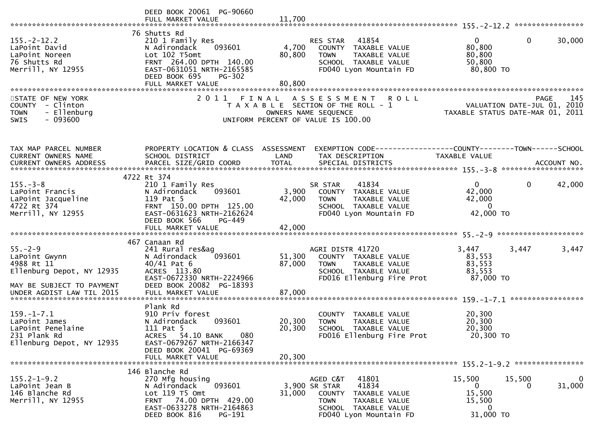|                                                                                                                                     | DEED BOOK 20061 PG-90660<br>FULL MARKET VALUE                                                                                                                                              | 11,700                     |                                                                                                                                                       |                                                                              |                    |
|-------------------------------------------------------------------------------------------------------------------------------------|--------------------------------------------------------------------------------------------------------------------------------------------------------------------------------------------|----------------------------|-------------------------------------------------------------------------------------------------------------------------------------------------------|------------------------------------------------------------------------------|--------------------|
| $155. - 2 - 12.2$<br>LaPoint David<br>LaPoint Noreen<br>76 Shutts Rd<br>Merrill, NY 12955                                           | 76 Shutts Rd<br>210 1 Family Res<br>093601<br>N Adirondack<br>Lot 102 T5omt<br>FRNT 264.00 DPTH 140.00<br>EAST-0631051 NRTH-2165585<br>DEED BOOK 695<br><b>PG-302</b><br>FULL MARKET VALUE | 4,700<br>80,800<br>80,800  | RES STAR<br>41854<br>COUNTY TAXABLE VALUE<br><b>TOWN</b><br>TAXABLE VALUE<br>SCHOOL TAXABLE VALUE<br>FD040 Lyon Mountain FD                           | $\Omega$<br>$\mathbf{0}$<br>80,800<br>80,800<br>50,800<br>80,800 TO          | 30,000             |
| STATE OF NEW YORK<br>COUNTY - Clinton<br>- Ellenburg<br><b>TOWN</b><br>$-093600$<br><b>SWIS</b>                                     |                                                                                                                                                                                            | OWNERS NAME SEQUENCE       | 2011 FINAL ASSESSMENT ROLL<br>T A X A B L E SECTION OF THE ROLL - 1<br>UNIFORM PERCENT OF VALUE IS 100.00                                             | VALUATION DATE-JUL 01, 2010<br>TAXABLE STATUS DATE-MAR 01, 2011              | 145<br><b>PAGE</b> |
| TAX MAP PARCEL NUMBER<br>CURRENT OWNERS NAME                                                                                        | SCHOOL DISTRICT                                                                                                                                                                            | LAND                       | PROPERTY LOCATION & CLASS ASSESSMENT EXEMPTION CODE----------------COUNTY-------TOWN------SCHOOL<br>TAX DESCRIPTION                                   | TAXABLE VALUE                                                                |                    |
| $155. - 3 - 8$<br>LaPoint Francis<br>LaPoint Jacqueline<br>4722 Rt 374<br>Merrill, NY 12955                                         | 4722 Rt 374<br>210 1 Family Res<br>093601<br>N Adirondack<br>119 Pat 5<br>FRNT 150.00 DPTH 125.00<br>EAST-0631623 NRTH-2162624<br>DEED BOOK 566<br>PG-449                                  | 3,900<br>42,000            | 41834<br>SR STAR<br>COUNTY TAXABLE VALUE<br><b>TOWN</b><br>TAXABLE VALUE<br>SCHOOL TAXABLE VALUE<br>FD040 Lyon Mountain FD                            | $\mathbf{0}$<br>$\mathbf 0$<br>42,000<br>42,000<br>$\mathbf{0}$<br>42,000 TO | 42,000             |
| $55. - 2 - 9$<br>LaPoint Gwynn<br>4988 Rt 11<br>Ellenburg Depot, NY 12935<br>MAY BE SUBJECT TO PAYMENT<br>UNDER AGDIST LAW TIL 2015 | 467 Canaan Rd<br>241 Rural res&ag<br>093601<br>N Adirondack<br>$40/41$ Pat 6<br>ACRES 113.80<br>EAST-0672330 NRTH-2224966<br>DEED BOOK 20082 PG-18393<br>FULL MARKET VALUE                 | 51,300<br>87,000<br>87,000 | AGRI DISTR 41720<br>COUNTY TAXABLE VALUE<br><b>TOWN</b><br>TAXABLE VALUE<br>SCHOOL TAXABLE VALUE<br>FD016 Ellenburg Fire Prot                         | 3,447<br>3,447<br>83,553<br>83,553<br>83,553<br>87,000 TO                    | 3,447              |
| $159. - 1 - 7.1$<br>LaPoint James<br>LaPoint Penelaine<br>231 Plank Rd<br>Ellenburg Depot, NY 12935                                 | Plank Rd<br>910 Priv forest<br>N Adirondack<br>093601<br>111 Pat 5<br>ACRES 54.10 BANK<br>080<br>EAST-0679267 NRTH-2166347<br>DEED BOOK 20041 PG-69369<br>FULL MARKET VALUE                | 20,300<br>20,300<br>20,300 | COUNTY TAXABLE VALUE<br><b>TOWN</b><br>TAXABLE VALUE<br>SCHOOL TAXABLE VALUE<br>FD016 Ellenburg Fire Prot                                             | 20,300<br>20,300<br>20,300<br>20,300 TO                                      |                    |
| $155.2 - 1 - 9.2$<br>LaPoint Jean B<br>146 Blanche Rd<br>Merrill, NY 12955                                                          | 146 Blanche Rd<br>270 Mfg housing<br>093601<br>N Adirondack<br>Lot 119 T5 Omt<br>FRNT 74.00 DPTH 429.00<br>EAST-0633278 NRTH-2164863<br>DEED BOOK 816<br>PG-191                            | 31,000                     | AGED C&T<br>41801<br>41834<br>3,900 SR STAR<br>COUNTY TAXABLE VALUE<br><b>TOWN</b><br>TAXABLE VALUE<br>SCHOOL TAXABLE VALUE<br>FD040 Lyon Mountain FD | 15,500<br>15,500<br>0<br>0<br>15,500<br>15,500<br>0<br>31,000 TO             | $\bf{0}$<br>31,000 |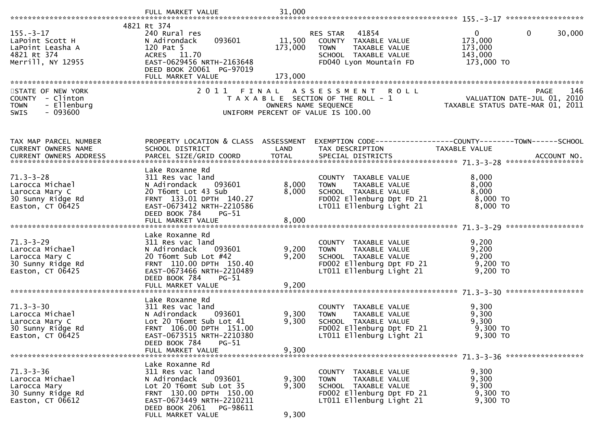| $155. - 3 - 17$<br>LaPoint Scott H<br>LaPoint Leasha A<br>4821 Rt 374<br>Merrill, NY 12955    | 4821 Rt 374<br>240 Rural res<br>093601<br>N Adirondack<br>120 Pat 5<br>ACRES 11.70<br>EAST-0629456 NRTH-2163648<br>DEED BOOK 20061 PG-97019<br>FULL MARKET VALUE                                  | 11,500<br>173,000<br>173,000 | RES STAR 41854<br>COUNTY TAXABLE VALUE<br>TOWN<br>TAXABLE VALUE<br>SCHOOL TAXABLE VALUE<br>FD040 Lyon Mountain FD                     | $\mathbf{0}$<br>$\mathbf{0}$<br>30,000<br>173,000<br>173,000<br>143,000<br>173,000 TO                                                                                                                                                                                                                                                               |
|-----------------------------------------------------------------------------------------------|---------------------------------------------------------------------------------------------------------------------------------------------------------------------------------------------------|------------------------------|---------------------------------------------------------------------------------------------------------------------------------------|-----------------------------------------------------------------------------------------------------------------------------------------------------------------------------------------------------------------------------------------------------------------------------------------------------------------------------------------------------|
| STATE OF NEW YORK<br>COUNTY - Clinton<br>- Ellenburg<br><b>TOWN</b><br>SWIS<br>$-093600$      | 2011 FINAL                                                                                                                                                                                        | OWNERS NAME SEQUENCE         | ASSESSMENT ROLL<br>T A X A B L E SECTION OF THE ROLL - 1<br>UNIFORM PERCENT OF VALUE IS 100.00                                        | PAGE<br>146                                                                                                                                                                                                                                                                                                                                         |
| TAX MAP PARCEL NUMBER<br>CURRENT OWNERS NAME                                                  | SCHOOL DISTRICT                                                                                                                                                                                   | LAND                         | TAX DESCRIPTION                                                                                                                       | PROPERTY LOCATION & CLASS ASSESSMENT EXEMPTION CODE----------------COUNTY-------TOWN------SCHOOL<br>TAXABLE VALUE<br>.4CCOUNT NO . PARCEL SIZE/GRID COORD TOTAL SPECIAL DISTRICTS . ACCOUNT NO . ACCOUNT NO . ACCOUNT NO . بالمكتبة المستوى المستوى المستوى المستوى المستوى المستوى المستوى المستوى المستوى المستوى المستوى المستوى المستوى المستوى |
| $71.3 - 3 - 28$<br>Larocca Michael<br>Larocca Mary C<br>30 Sunny Ridge Rd<br>Easton, CT 06425 | Lake Roxanne Rd<br>311 Res vac land<br>093601<br>N Adirondack<br>20 T6omt Lot 43 Sub<br>FRNT 133.01 DPTH 140.27<br>EAST-0673412 NRTH-2210586<br>DEED BOOK 784<br>$PG-51$                          | 8,000<br>8,000               | COUNTY TAXABLE VALUE<br><b>TOWN</b><br>TAXABLE VALUE<br>SCHOOL TAXABLE VALUE<br>FD002 Ellenburg Dpt FD 21<br>LT011 Ellenburg Light 21 | 8,000<br>8,000<br>8,000<br>8,000 TO<br>$8,000$ TO                                                                                                                                                                                                                                                                                                   |
| $71.3 - 3 - 29$<br>Larocca Michael<br>Larocca Mary C<br>30 Sunny Ridge Rd<br>Easton, CT 06425 | Lake Roxanne Rd<br>311 Res vac land<br>N Adirondack 093601<br>20 T6omt Sub Lot #42<br>FRNT 110.00 DPTH 150.40<br>EAST-0673466 NRTH-2210489<br>DEED BOOK 784<br>PG-51<br>FULL MARKET VALUE         | 9,200<br>9,200<br>9,200      | COUNTY TAXABLE VALUE<br><b>TOWN</b><br>TAXABLE VALUE<br>SCHOOL TAXABLE VALUE<br>FD002 Ellenburg Dpt FD 21<br>LT011 Ellenburg Light 21 | 9,200<br>9,200<br>9,200<br>9,200 TO<br>$9,200$ TO                                                                                                                                                                                                                                                                                                   |
| $71.3 - 3 - 30$<br>Larocca Michael<br>Larocca Mary C<br>30 Sunny Ridge Rd<br>Easton, CT 06425 | Lake Roxanne Rd<br>311 Res vac land<br>N Adirondack<br>093601<br>Lot 20 T6omt Sub Lot 41<br>FRNT 106.00 DPTH 151.00<br>EAST-0673515 NRTH-2210380<br>DEED BOOK 784<br>$PG-51$<br>FULL MARKET VALUE | 9,300<br>9,300<br>9,300      | COUNTY TAXABLE VALUE<br>TAXABLE VALUE<br><b>TOWN</b><br>SCHOOL TAXABLE VALUE<br>FD002 Ellenburg Dpt FD 21<br>LT011 Ellenburg Light 21 | 9,300<br>9,300<br>9,300<br>9,300 TO<br>9,300 TO                                                                                                                                                                                                                                                                                                     |
| $71.3 - 3 - 36$<br>Larocca Michael<br>Larocca Mary<br>30 Sunny Ridge Rd<br>Easton, CT 06612   | Lake Roxanne Rd<br>311 Res vac land<br>N Adirondack<br>093601<br>Lot 20 T6omt Sub Lot 35<br>FRNT 130.00 DPTH 150.00<br>EAST-0673449 NRTH-2210211<br>DEED BOOK 2061 PG-98611<br>FULL MARKET VALUE  | 9,300<br>9,300<br>9,300      | COUNTY TAXABLE VALUE<br>TAXABLE VALUE<br><b>TOWN</b><br>SCHOOL TAXABLE VALUE<br>FD002 Ellenburg Dpt FD 21<br>LT011 Ellenburg Light 21 | 9,300<br>9,300<br>9,300<br>9,300 TO<br>9,300 TO                                                                                                                                                                                                                                                                                                     |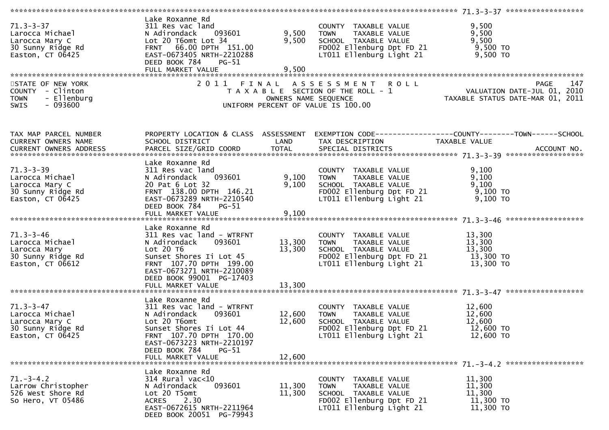| Lake Roxanne Rd<br>$71.3 - 3 - 37$<br>9,500<br>311 Res vac land<br>COUNTY TAXABLE VALUE<br>9,500 TOWN TAXABLE VALUE<br>9,500 SCHOOL TAXABLE VALUE<br>71.3-3-37<br>Larocca Michael<br>Larocca Mary C<br>30 Sunny Ridge Rd<br>Easton, CT 06425<br>N Adirondack 093601<br>9,500<br>9,500<br>Lot 20 T6omt Lot 34<br>FD002 Ellenburg Dpt FD $21$ 9,500 TO<br>FRNT 66.00 DPTH 151.00<br>LT011 Ellenburg Light 21 9,500 TO<br>EAST-0673405 NRTH-2210288<br>DEED BOOK 784<br><b>PG-51</b><br>FULL MARKET VALUE<br>9,500<br>STATE OF NEW YORK<br>2011 FINAL ASSESSMENT ROLL PAGE 147<br>TAXABLE SECTION OF THE ROLL - 1<br>OWNERS NAME SEQUENCE TAXABLE STATUS DATE-JUL 01, 2010<br>UNIFORM PERCENT OF VALUE IS 100.00<br>COUNTY - Clinton<br><b>TOWN</b><br>- Ellenburg<br>$-093600$<br><b>SWIS</b><br>PROPERTY LOCATION & CLASS ASSESSMENT EXEMPTION CODE---------------COUNTY-------TOWN------SCHOOL<br>TAX MAP PARCEL NUMBER<br>CURRENT OWNERS NAME<br>SCHOOL DISTRICT<br><b>Example 18 The LAND</b><br>TAX DESCRIPTION<br>TAXABLE VALUE<br>CURRENT OWNERS ADDRESS<br>Lake Roxanne Rd<br>$71.3 - 3 - 39$<br>9,100<br>311 Res vac land<br>COUNTY TAXABLE VALUE<br>TOWN - TAXABLE VALUE<br>SCHOOL - TAXABLE VALUE<br>9,100<br>N Adirondack     093601<br>20 Pat 6 Lot 32<br>9,100 TOWN<br>9,100<br>9,100<br>20 Pat 6 Lot 32<br>Larocca Mary C<br>FD002 Ellenburg Dpt FD 21 9,100 TO<br>30 Sunny Ridge Rd<br>FRNT 138.00 DPTH 146.21<br>LT011 Ellenburg Light 21 9,100 TO<br>Easton, CT 06425<br>EAST-0673289 NRTH-2210540<br>DEED BOOK 784<br>PG-51<br>Lake Roxanne Rd<br>71.3-3-46<br>Larocca Michael<br>Larocca Mary<br>30 Sunny Ridge Rd<br>311 Res vac land - WTRFNT<br>COUNTY TAXABLE VALUE 13,300<br>13,300 TOWN TAXABLE VALUE 13,300<br>13,300 SCHOOL TAXABLE VALUE 13,300<br>FD002 Ellenburg Dpt FD 21 13,300 TO<br>N Adirondack 093601<br>Lot 20 T6<br>Sunset Shores Ii Lot 45<br>LT011 Ellenburg Light 21 13,300 TO<br>FRNT 107.70 DPTH 199.00<br>Easton, CT 06612<br>EAST-0673271 NRTH-2210089<br>DEED BOOK 99001 PG-17403<br>13,300<br>FULL MARKET VALUE<br>Lake Roxanne Rd<br>$71.3 - 3 - 47$<br>311 Res vac land - WTRFNT<br>12,600<br>COUNTY TAXABLE VALUE<br>$\bar{1}2,600$<br>Larocca Michael<br>Larocca Mary C<br>30 Sunny Bidse Rd<br>093601<br>12,600 TOWN<br>TAXABLE VALUE<br>N Adirondack<br>12,600<br>12,600<br>Lot 20 T6omt<br>SCHOOL TAXABLE VALUE<br>FD002 Ellenburg Dpt FD 21<br>12,600 TO<br>30 Sunny Ridge Rd<br>Sunset Shores Ii Lot 44<br>FRNT 107.70 DPTH 170.00<br>LT011 Ellenburg Light 21<br>$12,600$ TO<br>Easton, $CT$ 06425<br>EAST-0673223 NRTH-2210197<br>DEED BOOK 784<br><b>PG-51</b><br>FULL MARKET VALUE<br>12,600<br>Lake Roxanne Rd<br>$71. - 3 - 4.2$<br>$314$ Rural vac<10<br>11,300<br>COUNTY TAXABLE VALUE |
|-------------------------------------------------------------------------------------------------------------------------------------------------------------------------------------------------------------------------------------------------------------------------------------------------------------------------------------------------------------------------------------------------------------------------------------------------------------------------------------------------------------------------------------------------------------------------------------------------------------------------------------------------------------------------------------------------------------------------------------------------------------------------------------------------------------------------------------------------------------------------------------------------------------------------------------------------------------------------------------------------------------------------------------------------------------------------------------------------------------------------------------------------------------------------------------------------------------------------------------------------------------------------------------------------------------------------------------------------------------------------------------------------------------------------------------------------------------------------------------------------------------------------------------------------------------------------------------------------------------------------------------------------------------------------------------------------------------------------------------------------------------------------------------------------------------------------------------------------------------------------------------------------------------------------------------------------------------------------------------------------------------------------------------------------------------------------------------------------------------------------------------------------------------------------------------------------------------------------------------------------------------------------------------------------------------------------------------------------------------------------------------------------------------------------------------------------------------------------------------------------------------------------------------------------------------------------------------------------------------------------------------------------------------------------------------------------------------------------------------------------------|
|                                                                                                                                                                                                                                                                                                                                                                                                                                                                                                                                                                                                                                                                                                                                                                                                                                                                                                                                                                                                                                                                                                                                                                                                                                                                                                                                                                                                                                                                                                                                                                                                                                                                                                                                                                                                                                                                                                                                                                                                                                                                                                                                                                                                                                                                                                                                                                                                                                                                                                                                                                                                                                                                                                                                                       |
|                                                                                                                                                                                                                                                                                                                                                                                                                                                                                                                                                                                                                                                                                                                                                                                                                                                                                                                                                                                                                                                                                                                                                                                                                                                                                                                                                                                                                                                                                                                                                                                                                                                                                                                                                                                                                                                                                                                                                                                                                                                                                                                                                                                                                                                                                                                                                                                                                                                                                                                                                                                                                                                                                                                                                       |
|                                                                                                                                                                                                                                                                                                                                                                                                                                                                                                                                                                                                                                                                                                                                                                                                                                                                                                                                                                                                                                                                                                                                                                                                                                                                                                                                                                                                                                                                                                                                                                                                                                                                                                                                                                                                                                                                                                                                                                                                                                                                                                                                                                                                                                                                                                                                                                                                                                                                                                                                                                                                                                                                                                                                                       |
|                                                                                                                                                                                                                                                                                                                                                                                                                                                                                                                                                                                                                                                                                                                                                                                                                                                                                                                                                                                                                                                                                                                                                                                                                                                                                                                                                                                                                                                                                                                                                                                                                                                                                                                                                                                                                                                                                                                                                                                                                                                                                                                                                                                                                                                                                                                                                                                                                                                                                                                                                                                                                                                                                                                                                       |
|                                                                                                                                                                                                                                                                                                                                                                                                                                                                                                                                                                                                                                                                                                                                                                                                                                                                                                                                                                                                                                                                                                                                                                                                                                                                                                                                                                                                                                                                                                                                                                                                                                                                                                                                                                                                                                                                                                                                                                                                                                                                                                                                                                                                                                                                                                                                                                                                                                                                                                                                                                                                                                                                                                                                                       |
|                                                                                                                                                                                                                                                                                                                                                                                                                                                                                                                                                                                                                                                                                                                                                                                                                                                                                                                                                                                                                                                                                                                                                                                                                                                                                                                                                                                                                                                                                                                                                                                                                                                                                                                                                                                                                                                                                                                                                                                                                                                                                                                                                                                                                                                                                                                                                                                                                                                                                                                                                                                                                                                                                                                                                       |
|                                                                                                                                                                                                                                                                                                                                                                                                                                                                                                                                                                                                                                                                                                                                                                                                                                                                                                                                                                                                                                                                                                                                                                                                                                                                                                                                                                                                                                                                                                                                                                                                                                                                                                                                                                                                                                                                                                                                                                                                                                                                                                                                                                                                                                                                                                                                                                                                                                                                                                                                                                                                                                                                                                                                                       |
|                                                                                                                                                                                                                                                                                                                                                                                                                                                                                                                                                                                                                                                                                                                                                                                                                                                                                                                                                                                                                                                                                                                                                                                                                                                                                                                                                                                                                                                                                                                                                                                                                                                                                                                                                                                                                                                                                                                                                                                                                                                                                                                                                                                                                                                                                                                                                                                                                                                                                                                                                                                                                                                                                                                                                       |
|                                                                                                                                                                                                                                                                                                                                                                                                                                                                                                                                                                                                                                                                                                                                                                                                                                                                                                                                                                                                                                                                                                                                                                                                                                                                                                                                                                                                                                                                                                                                                                                                                                                                                                                                                                                                                                                                                                                                                                                                                                                                                                                                                                                                                                                                                                                                                                                                                                                                                                                                                                                                                                                                                                                                                       |
|                                                                                                                                                                                                                                                                                                                                                                                                                                                                                                                                                                                                                                                                                                                                                                                                                                                                                                                                                                                                                                                                                                                                                                                                                                                                                                                                                                                                                                                                                                                                                                                                                                                                                                                                                                                                                                                                                                                                                                                                                                                                                                                                                                                                                                                                                                                                                                                                                                                                                                                                                                                                                                                                                                                                                       |
|                                                                                                                                                                                                                                                                                                                                                                                                                                                                                                                                                                                                                                                                                                                                                                                                                                                                                                                                                                                                                                                                                                                                                                                                                                                                                                                                                                                                                                                                                                                                                                                                                                                                                                                                                                                                                                                                                                                                                                                                                                                                                                                                                                                                                                                                                                                                                                                                                                                                                                                                                                                                                                                                                                                                                       |
|                                                                                                                                                                                                                                                                                                                                                                                                                                                                                                                                                                                                                                                                                                                                                                                                                                                                                                                                                                                                                                                                                                                                                                                                                                                                                                                                                                                                                                                                                                                                                                                                                                                                                                                                                                                                                                                                                                                                                                                                                                                                                                                                                                                                                                                                                                                                                                                                                                                                                                                                                                                                                                                                                                                                                       |
|                                                                                                                                                                                                                                                                                                                                                                                                                                                                                                                                                                                                                                                                                                                                                                                                                                                                                                                                                                                                                                                                                                                                                                                                                                                                                                                                                                                                                                                                                                                                                                                                                                                                                                                                                                                                                                                                                                                                                                                                                                                                                                                                                                                                                                                                                                                                                                                                                                                                                                                                                                                                                                                                                                                                                       |
|                                                                                                                                                                                                                                                                                                                                                                                                                                                                                                                                                                                                                                                                                                                                                                                                                                                                                                                                                                                                                                                                                                                                                                                                                                                                                                                                                                                                                                                                                                                                                                                                                                                                                                                                                                                                                                                                                                                                                                                                                                                                                                                                                                                                                                                                                                                                                                                                                                                                                                                                                                                                                                                                                                                                                       |
|                                                                                                                                                                                                                                                                                                                                                                                                                                                                                                                                                                                                                                                                                                                                                                                                                                                                                                                                                                                                                                                                                                                                                                                                                                                                                                                                                                                                                                                                                                                                                                                                                                                                                                                                                                                                                                                                                                                                                                                                                                                                                                                                                                                                                                                                                                                                                                                                                                                                                                                                                                                                                                                                                                                                                       |
|                                                                                                                                                                                                                                                                                                                                                                                                                                                                                                                                                                                                                                                                                                                                                                                                                                                                                                                                                                                                                                                                                                                                                                                                                                                                                                                                                                                                                                                                                                                                                                                                                                                                                                                                                                                                                                                                                                                                                                                                                                                                                                                                                                                                                                                                                                                                                                                                                                                                                                                                                                                                                                                                                                                                                       |
|                                                                                                                                                                                                                                                                                                                                                                                                                                                                                                                                                                                                                                                                                                                                                                                                                                                                                                                                                                                                                                                                                                                                                                                                                                                                                                                                                                                                                                                                                                                                                                                                                                                                                                                                                                                                                                                                                                                                                                                                                                                                                                                                                                                                                                                                                                                                                                                                                                                                                                                                                                                                                                                                                                                                                       |
|                                                                                                                                                                                                                                                                                                                                                                                                                                                                                                                                                                                                                                                                                                                                                                                                                                                                                                                                                                                                                                                                                                                                                                                                                                                                                                                                                                                                                                                                                                                                                                                                                                                                                                                                                                                                                                                                                                                                                                                                                                                                                                                                                                                                                                                                                                                                                                                                                                                                                                                                                                                                                                                                                                                                                       |
|                                                                                                                                                                                                                                                                                                                                                                                                                                                                                                                                                                                                                                                                                                                                                                                                                                                                                                                                                                                                                                                                                                                                                                                                                                                                                                                                                                                                                                                                                                                                                                                                                                                                                                                                                                                                                                                                                                                                                                                                                                                                                                                                                                                                                                                                                                                                                                                                                                                                                                                                                                                                                                                                                                                                                       |
|                                                                                                                                                                                                                                                                                                                                                                                                                                                                                                                                                                                                                                                                                                                                                                                                                                                                                                                                                                                                                                                                                                                                                                                                                                                                                                                                                                                                                                                                                                                                                                                                                                                                                                                                                                                                                                                                                                                                                                                                                                                                                                                                                                                                                                                                                                                                                                                                                                                                                                                                                                                                                                                                                                                                                       |
|                                                                                                                                                                                                                                                                                                                                                                                                                                                                                                                                                                                                                                                                                                                                                                                                                                                                                                                                                                                                                                                                                                                                                                                                                                                                                                                                                                                                                                                                                                                                                                                                                                                                                                                                                                                                                                                                                                                                                                                                                                                                                                                                                                                                                                                                                                                                                                                                                                                                                                                                                                                                                                                                                                                                                       |
|                                                                                                                                                                                                                                                                                                                                                                                                                                                                                                                                                                                                                                                                                                                                                                                                                                                                                                                                                                                                                                                                                                                                                                                                                                                                                                                                                                                                                                                                                                                                                                                                                                                                                                                                                                                                                                                                                                                                                                                                                                                                                                                                                                                                                                                                                                                                                                                                                                                                                                                                                                                                                                                                                                                                                       |
|                                                                                                                                                                                                                                                                                                                                                                                                                                                                                                                                                                                                                                                                                                                                                                                                                                                                                                                                                                                                                                                                                                                                                                                                                                                                                                                                                                                                                                                                                                                                                                                                                                                                                                                                                                                                                                                                                                                                                                                                                                                                                                                                                                                                                                                                                                                                                                                                                                                                                                                                                                                                                                                                                                                                                       |
|                                                                                                                                                                                                                                                                                                                                                                                                                                                                                                                                                                                                                                                                                                                                                                                                                                                                                                                                                                                                                                                                                                                                                                                                                                                                                                                                                                                                                                                                                                                                                                                                                                                                                                                                                                                                                                                                                                                                                                                                                                                                                                                                                                                                                                                                                                                                                                                                                                                                                                                                                                                                                                                                                                                                                       |
|                                                                                                                                                                                                                                                                                                                                                                                                                                                                                                                                                                                                                                                                                                                                                                                                                                                                                                                                                                                                                                                                                                                                                                                                                                                                                                                                                                                                                                                                                                                                                                                                                                                                                                                                                                                                                                                                                                                                                                                                                                                                                                                                                                                                                                                                                                                                                                                                                                                                                                                                                                                                                                                                                                                                                       |
|                                                                                                                                                                                                                                                                                                                                                                                                                                                                                                                                                                                                                                                                                                                                                                                                                                                                                                                                                                                                                                                                                                                                                                                                                                                                                                                                                                                                                                                                                                                                                                                                                                                                                                                                                                                                                                                                                                                                                                                                                                                                                                                                                                                                                                                                                                                                                                                                                                                                                                                                                                                                                                                                                                                                                       |
|                                                                                                                                                                                                                                                                                                                                                                                                                                                                                                                                                                                                                                                                                                                                                                                                                                                                                                                                                                                                                                                                                                                                                                                                                                                                                                                                                                                                                                                                                                                                                                                                                                                                                                                                                                                                                                                                                                                                                                                                                                                                                                                                                                                                                                                                                                                                                                                                                                                                                                                                                                                                                                                                                                                                                       |
|                                                                                                                                                                                                                                                                                                                                                                                                                                                                                                                                                                                                                                                                                                                                                                                                                                                                                                                                                                                                                                                                                                                                                                                                                                                                                                                                                                                                                                                                                                                                                                                                                                                                                                                                                                                                                                                                                                                                                                                                                                                                                                                                                                                                                                                                                                                                                                                                                                                                                                                                                                                                                                                                                                                                                       |
|                                                                                                                                                                                                                                                                                                                                                                                                                                                                                                                                                                                                                                                                                                                                                                                                                                                                                                                                                                                                                                                                                                                                                                                                                                                                                                                                                                                                                                                                                                                                                                                                                                                                                                                                                                                                                                                                                                                                                                                                                                                                                                                                                                                                                                                                                                                                                                                                                                                                                                                                                                                                                                                                                                                                                       |
|                                                                                                                                                                                                                                                                                                                                                                                                                                                                                                                                                                                                                                                                                                                                                                                                                                                                                                                                                                                                                                                                                                                                                                                                                                                                                                                                                                                                                                                                                                                                                                                                                                                                                                                                                                                                                                                                                                                                                                                                                                                                                                                                                                                                                                                                                                                                                                                                                                                                                                                                                                                                                                                                                                                                                       |
|                                                                                                                                                                                                                                                                                                                                                                                                                                                                                                                                                                                                                                                                                                                                                                                                                                                                                                                                                                                                                                                                                                                                                                                                                                                                                                                                                                                                                                                                                                                                                                                                                                                                                                                                                                                                                                                                                                                                                                                                                                                                                                                                                                                                                                                                                                                                                                                                                                                                                                                                                                                                                                                                                                                                                       |
|                                                                                                                                                                                                                                                                                                                                                                                                                                                                                                                                                                                                                                                                                                                                                                                                                                                                                                                                                                                                                                                                                                                                                                                                                                                                                                                                                                                                                                                                                                                                                                                                                                                                                                                                                                                                                                                                                                                                                                                                                                                                                                                                                                                                                                                                                                                                                                                                                                                                                                                                                                                                                                                                                                                                                       |
|                                                                                                                                                                                                                                                                                                                                                                                                                                                                                                                                                                                                                                                                                                                                                                                                                                                                                                                                                                                                                                                                                                                                                                                                                                                                                                                                                                                                                                                                                                                                                                                                                                                                                                                                                                                                                                                                                                                                                                                                                                                                                                                                                                                                                                                                                                                                                                                                                                                                                                                                                                                                                                                                                                                                                       |
|                                                                                                                                                                                                                                                                                                                                                                                                                                                                                                                                                                                                                                                                                                                                                                                                                                                                                                                                                                                                                                                                                                                                                                                                                                                                                                                                                                                                                                                                                                                                                                                                                                                                                                                                                                                                                                                                                                                                                                                                                                                                                                                                                                                                                                                                                                                                                                                                                                                                                                                                                                                                                                                                                                                                                       |
|                                                                                                                                                                                                                                                                                                                                                                                                                                                                                                                                                                                                                                                                                                                                                                                                                                                                                                                                                                                                                                                                                                                                                                                                                                                                                                                                                                                                                                                                                                                                                                                                                                                                                                                                                                                                                                                                                                                                                                                                                                                                                                                                                                                                                                                                                                                                                                                                                                                                                                                                                                                                                                                                                                                                                       |
|                                                                                                                                                                                                                                                                                                                                                                                                                                                                                                                                                                                                                                                                                                                                                                                                                                                                                                                                                                                                                                                                                                                                                                                                                                                                                                                                                                                                                                                                                                                                                                                                                                                                                                                                                                                                                                                                                                                                                                                                                                                                                                                                                                                                                                                                                                                                                                                                                                                                                                                                                                                                                                                                                                                                                       |
|                                                                                                                                                                                                                                                                                                                                                                                                                                                                                                                                                                                                                                                                                                                                                                                                                                                                                                                                                                                                                                                                                                                                                                                                                                                                                                                                                                                                                                                                                                                                                                                                                                                                                                                                                                                                                                                                                                                                                                                                                                                                                                                                                                                                                                                                                                                                                                                                                                                                                                                                                                                                                                                                                                                                                       |
|                                                                                                                                                                                                                                                                                                                                                                                                                                                                                                                                                                                                                                                                                                                                                                                                                                                                                                                                                                                                                                                                                                                                                                                                                                                                                                                                                                                                                                                                                                                                                                                                                                                                                                                                                                                                                                                                                                                                                                                                                                                                                                                                                                                                                                                                                                                                                                                                                                                                                                                                                                                                                                                                                                                                                       |
|                                                                                                                                                                                                                                                                                                                                                                                                                                                                                                                                                                                                                                                                                                                                                                                                                                                                                                                                                                                                                                                                                                                                                                                                                                                                                                                                                                                                                                                                                                                                                                                                                                                                                                                                                                                                                                                                                                                                                                                                                                                                                                                                                                                                                                                                                                                                                                                                                                                                                                                                                                                                                                                                                                                                                       |
|                                                                                                                                                                                                                                                                                                                                                                                                                                                                                                                                                                                                                                                                                                                                                                                                                                                                                                                                                                                                                                                                                                                                                                                                                                                                                                                                                                                                                                                                                                                                                                                                                                                                                                                                                                                                                                                                                                                                                                                                                                                                                                                                                                                                                                                                                                                                                                                                                                                                                                                                                                                                                                                                                                                                                       |
|                                                                                                                                                                                                                                                                                                                                                                                                                                                                                                                                                                                                                                                                                                                                                                                                                                                                                                                                                                                                                                                                                                                                                                                                                                                                                                                                                                                                                                                                                                                                                                                                                                                                                                                                                                                                                                                                                                                                                                                                                                                                                                                                                                                                                                                                                                                                                                                                                                                                                                                                                                                                                                                                                                                                                       |
|                                                                                                                                                                                                                                                                                                                                                                                                                                                                                                                                                                                                                                                                                                                                                                                                                                                                                                                                                                                                                                                                                                                                                                                                                                                                                                                                                                                                                                                                                                                                                                                                                                                                                                                                                                                                                                                                                                                                                                                                                                                                                                                                                                                                                                                                                                                                                                                                                                                                                                                                                                                                                                                                                                                                                       |
|                                                                                                                                                                                                                                                                                                                                                                                                                                                                                                                                                                                                                                                                                                                                                                                                                                                                                                                                                                                                                                                                                                                                                                                                                                                                                                                                                                                                                                                                                                                                                                                                                                                                                                                                                                                                                                                                                                                                                                                                                                                                                                                                                                                                                                                                                                                                                                                                                                                                                                                                                                                                                                                                                                                                                       |
|                                                                                                                                                                                                                                                                                                                                                                                                                                                                                                                                                                                                                                                                                                                                                                                                                                                                                                                                                                                                                                                                                                                                                                                                                                                                                                                                                                                                                                                                                                                                                                                                                                                                                                                                                                                                                                                                                                                                                                                                                                                                                                                                                                                                                                                                                                                                                                                                                                                                                                                                                                                                                                                                                                                                                       |
|                                                                                                                                                                                                                                                                                                                                                                                                                                                                                                                                                                                                                                                                                                                                                                                                                                                                                                                                                                                                                                                                                                                                                                                                                                                                                                                                                                                                                                                                                                                                                                                                                                                                                                                                                                                                                                                                                                                                                                                                                                                                                                                                                                                                                                                                                                                                                                                                                                                                                                                                                                                                                                                                                                                                                       |
|                                                                                                                                                                                                                                                                                                                                                                                                                                                                                                                                                                                                                                                                                                                                                                                                                                                                                                                                                                                                                                                                                                                                                                                                                                                                                                                                                                                                                                                                                                                                                                                                                                                                                                                                                                                                                                                                                                                                                                                                                                                                                                                                                                                                                                                                                                                                                                                                                                                                                                                                                                                                                                                                                                                                                       |
|                                                                                                                                                                                                                                                                                                                                                                                                                                                                                                                                                                                                                                                                                                                                                                                                                                                                                                                                                                                                                                                                                                                                                                                                                                                                                                                                                                                                                                                                                                                                                                                                                                                                                                                                                                                                                                                                                                                                                                                                                                                                                                                                                                                                                                                                                                                                                                                                                                                                                                                                                                                                                                                                                                                                                       |
|                                                                                                                                                                                                                                                                                                                                                                                                                                                                                                                                                                                                                                                                                                                                                                                                                                                                                                                                                                                                                                                                                                                                                                                                                                                                                                                                                                                                                                                                                                                                                                                                                                                                                                                                                                                                                                                                                                                                                                                                                                                                                                                                                                                                                                                                                                                                                                                                                                                                                                                                                                                                                                                                                                                                                       |
| 093601<br>11,300<br>11,300<br>Larrow Christopher<br>N Adirondack<br>TAXABLE VALUE<br><b>TOWN</b>                                                                                                                                                                                                                                                                                                                                                                                                                                                                                                                                                                                                                                                                                                                                                                                                                                                                                                                                                                                                                                                                                                                                                                                                                                                                                                                                                                                                                                                                                                                                                                                                                                                                                                                                                                                                                                                                                                                                                                                                                                                                                                                                                                                                                                                                                                                                                                                                                                                                                                                                                                                                                                                      |
| 11,300<br>526 West Shore Rd<br>Lot 20 T5omt<br>11,300<br>SCHOOL TAXABLE VALUE                                                                                                                                                                                                                                                                                                                                                                                                                                                                                                                                                                                                                                                                                                                                                                                                                                                                                                                                                                                                                                                                                                                                                                                                                                                                                                                                                                                                                                                                                                                                                                                                                                                                                                                                                                                                                                                                                                                                                                                                                                                                                                                                                                                                                                                                                                                                                                                                                                                                                                                                                                                                                                                                         |
| FD002 Ellenburg Dpt FD 21<br>11,300 TO<br>So Hero, VT 05486<br>2.30<br>ACRES                                                                                                                                                                                                                                                                                                                                                                                                                                                                                                                                                                                                                                                                                                                                                                                                                                                                                                                                                                                                                                                                                                                                                                                                                                                                                                                                                                                                                                                                                                                                                                                                                                                                                                                                                                                                                                                                                                                                                                                                                                                                                                                                                                                                                                                                                                                                                                                                                                                                                                                                                                                                                                                                          |
| EAST-0672615 NRTH-2211964<br>LT011 Ellenburg Light 21<br>11,300 TO                                                                                                                                                                                                                                                                                                                                                                                                                                                                                                                                                                                                                                                                                                                                                                                                                                                                                                                                                                                                                                                                                                                                                                                                                                                                                                                                                                                                                                                                                                                                                                                                                                                                                                                                                                                                                                                                                                                                                                                                                                                                                                                                                                                                                                                                                                                                                                                                                                                                                                                                                                                                                                                                                    |
| DEED BOOK 20051 PG-79943                                                                                                                                                                                                                                                                                                                                                                                                                                                                                                                                                                                                                                                                                                                                                                                                                                                                                                                                                                                                                                                                                                                                                                                                                                                                                                                                                                                                                                                                                                                                                                                                                                                                                                                                                                                                                                                                                                                                                                                                                                                                                                                                                                                                                                                                                                                                                                                                                                                                                                                                                                                                                                                                                                                              |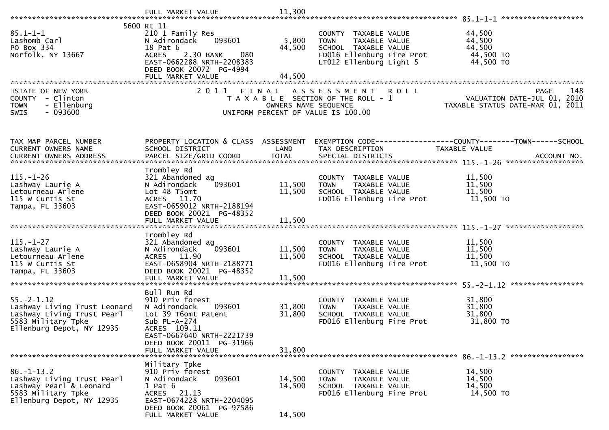|                                                                                                                                   | FULL MARKET VALUE                                                                                                                                                       | 11,300                     |                                                                                                                                      |                                                                                                             |
|-----------------------------------------------------------------------------------------------------------------------------------|-------------------------------------------------------------------------------------------------------------------------------------------------------------------------|----------------------------|--------------------------------------------------------------------------------------------------------------------------------------|-------------------------------------------------------------------------------------------------------------|
|                                                                                                                                   | 5600 Rt 11                                                                                                                                                              |                            |                                                                                                                                      |                                                                                                             |
| $85.1 - 1 - 1$<br>Lashomb Carl<br>PO Box 334<br>Norfolk, NY 13667                                                                 | 210 1 Family Res<br>093601<br>N Adirondack<br>18 Pat 6<br>080<br><b>ACRES</b><br>2.30 BANK<br>EAST-0662288 NRTH-2208383<br>DEED BOOK 20072 PG-4994<br>FULL MARKET VALUE | 5,800<br>44,500<br>44.500  | COUNTY TAXABLE VALUE<br>TAXABLE VALUE<br><b>TOWN</b><br>SCHOOL TAXABLE VALUE<br>FD016 Ellenburg Fire Prot<br>LT012 Ellenburg Light 5 | 44,500<br>44,500<br>44,500<br>44,500 TO<br>44,500 TO                                                        |
|                                                                                                                                   |                                                                                                                                                                         |                            |                                                                                                                                      |                                                                                                             |
| STATE OF NEW YORK<br>COUNTY - Clinton<br>- Ellenburg<br><b>TOWN</b><br>$-093600$<br>SWIS                                          | 2011 FINAL                                                                                                                                                              | OWNERS NAME SEQUENCE       | <b>ROLL</b><br>A S S E S S M E N T<br>T A X A B L E SECTION OF THE ROLL - 1<br>UNIFORM PERCENT OF VALUE IS 100.00                    | PAGE 148<br>VALUATION DATE-JUL 01, 2010<br>TAXARLE STATUS DATE  TAXARLE<br>TAXABLE STATUS DATE-MAR 01, 2011 |
| TAX MAP PARCEL NUMBER                                                                                                             | PROPERTY LOCATION & CLASS ASSESSMENT                                                                                                                                    |                            |                                                                                                                                      | EXEMPTION CODE------------------COUNTY--------TOWN------SCHOOL                                              |
| CURRENT OWNERS NAME                                                                                                               | SCHOOL DISTRICT                                                                                                                                                         | LAND                       | TAX DESCRIPTION                                                                                                                      | TAXABLE VALUE                                                                                               |
| CURRENT OWNERS ADDRESS                                                                                                            | PARCEL SIZE/GRID COORD                                                                                                                                                  | <b>TOTAL</b>               | SPECIAL DISTRICTS                                                                                                                    | ACCOUNT NO.                                                                                                 |
| $115. - 1 - 26$<br>Lashway Laurie A<br>Letourneau Arlene<br>115 W Curtis St<br>Tampa, FL 33603                                    | Trombley Rd<br>321 Abandoned ag<br>093601<br>N Adirondack<br>Lot 48 T5omt<br>ACRES 11.70<br>EAST-0659012 NRTH-2188194<br>DEED BOOK 20021 PG-48352<br>FULL MARKET VALUE  | 11,500<br>11,500<br>11,500 | COUNTY TAXABLE VALUE<br>TAXABLE VALUE<br><b>TOWN</b><br>SCHOOL TAXABLE VALUE<br>FD016 Ellenburg Fire Prot                            | 11,500<br>11,500<br>11,500<br>11,500 TO                                                                     |
|                                                                                                                                   | Trombley Rd                                                                                                                                                             |                            |                                                                                                                                      |                                                                                                             |
| $115. - 1 - 27$<br>Lashway Laurie A<br>Letourneau Arlene<br>115 W Curtis St<br>Tampa, FL 33603                                    | 321 Abandoned ag<br>093601<br>N Adirondack<br>ACRES 11.90<br>EAST-0658904 NRTH-2188771<br>DEED BOOK 20021 PG-48352<br>FULL MARKET VALUE                                 | 11,500<br>11,500<br>11,500 | COUNTY TAXABLE VALUE<br><b>TOWN</b><br>TAXABLE VALUE<br>SCHOOL TAXABLE VALUE<br>FD016 Ellenburg Fire Prot                            | 11,500<br>11,500<br>11,500<br>11,500 TO                                                                     |
|                                                                                                                                   |                                                                                                                                                                         |                            |                                                                                                                                      |                                                                                                             |
| $55. - 2 - 1.12$<br>Lashway Living Trust Leonard<br>Lashway Living Trust Pearl<br>5583 Military Tpke<br>Ellenburg Depot, NY 12935 | Bull Run Rd<br>910 Priv forest<br>093601<br>N Adirondack<br>Lot 39 T6omt Patent<br>Sub $PL-A-274$<br>ACRES 109.11<br>EAST-0667640 NRTH-2221739                          | 31,800<br>31,800           | COUNTY TAXABLE VALUE<br><b>TOWN</b><br><b>TAXABLE VALUE</b><br>SCHOOL TAXABLE VALUE<br>FD016 Ellenburg Fire Prot                     | 31,800<br>31,800<br>31,800<br>31,800 TO                                                                     |
|                                                                                                                                   | DEED BOOK 20011 PG-31966<br>FULL MARKET VALUE                                                                                                                           | 31,800                     |                                                                                                                                      |                                                                                                             |
|                                                                                                                                   |                                                                                                                                                                         |                            |                                                                                                                                      |                                                                                                             |
| $86. - 1 - 13.2$<br>Lashway Living Trust Pearl<br>Lashway Pearl & Leonard<br>5583 Military Tpke<br>Ellenburg Depot, NY 12935      | Military Tpke<br>910 Priv forest<br>N Adirondack<br>093601<br>$1$ Pat $6$<br>ACRES 21.13<br>EAST-0674228 NRTH-2204095<br>DEED BOOK 20061 PG-97586                       | 14,500<br>14,500           | COUNTY TAXABLE VALUE<br><b>TOWN</b><br><b>TAXABLE VALUE</b><br>SCHOOL TAXABLE VALUE<br>FD016 Ellenburg Fire Prot                     | 14,500<br>14,500<br>14,500<br>14,500 TO                                                                     |
|                                                                                                                                   | FULL MARKET VALUE                                                                                                                                                       | 14,500                     |                                                                                                                                      |                                                                                                             |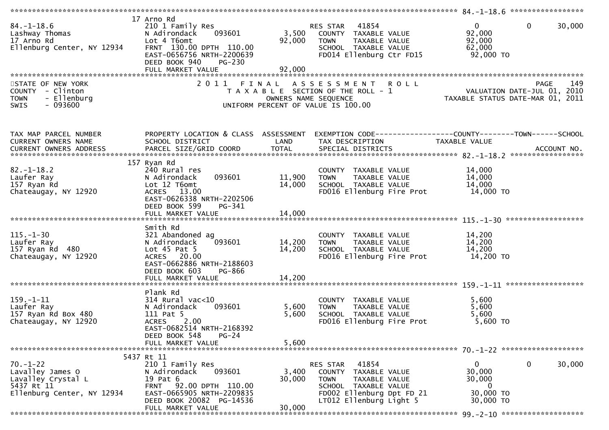| $84. - 1 - 18.6$<br>Lashway Thomas<br>17 Arno Rd<br>Ellenburg Center, NY 12934                       | 17 Arno Rd<br>210 1 Family Res<br>093601<br>N Adirondack<br>Lot 4 T6omt<br>FRNT 130.00 DPTH 110.00<br>EAST-0656756 NRTH-2200639<br>DEED BOOK 940<br>$PG-230$<br>FULL MARKET VALUE | 3,500<br>92,000<br>92,000     | 41854<br>RES STAR<br>COUNTY TAXABLE VALUE<br>TAXABLE VALUE<br><b>TOWN</b><br>SCHOOL TAXABLE VALUE<br>FD014 Ellenburg Ctr FD15                             | $\mathbf{0}$<br>$\mathbf{0}$<br>30,000<br>92,000<br>92,000<br>62,000<br>92,000 TO                                |
|------------------------------------------------------------------------------------------------------|-----------------------------------------------------------------------------------------------------------------------------------------------------------------------------------|-------------------------------|-----------------------------------------------------------------------------------------------------------------------------------------------------------|------------------------------------------------------------------------------------------------------------------|
| STATE OF NEW YORK<br>COUNTY - Clinton<br>- Ellenburg<br><b>TOWN</b><br>$-093600$<br><b>SWIS</b>      | 2011                                                                                                                                                                              | FINAL<br>OWNERS NAME SEQUENCE | ASSESSMENT ROLL<br>T A X A B L E SECTION OF THE ROLL - 1<br>UNIFORM PERCENT OF VALUE IS 100.00                                                            | 149<br>PAGE<br>VALUATION DATE-JUL 01, 2010<br>TAXABLE STATUS DATE-MAR 01, 2011                                   |
| TAX MAP PARCEL NUMBER<br>CURRENT OWNERS NAME                                                         | SCHOOL DISTRICT                                                                                                                                                                   | LAND                          | TAX DESCRIPTION                                                                                                                                           | PROPERTY LOCATION & CLASS ASSESSMENT EXEMPTION CODE---------------COUNTY-------TOWN------SCHOOL<br>TAXABLE VALUE |
| $82. - 1 - 18.2$<br>Laufer Ray<br>157 Ryan Rd<br>Chateaugay, NY 12920                                | 157 Ryan Rd<br>240 Rural res<br>N Adirondack<br>093601<br>Lot 12 T6omt<br>ACRES 13.00<br>EAST-0626338 NRTH-2202506<br>DEED BOOK 599<br>PG-341                                     | 11,900<br>14,000              | COUNTY TAXABLE VALUE<br>TAXABLE VALUE<br><b>TOWN</b><br>SCHOOL TAXABLE VALUE<br>FD016 Ellenburg Fire Prot                                                 | 14,000<br>14,000<br>14,000<br>14,000 TO                                                                          |
| $115. - 1 - 30$<br>Laufer Ray<br>157 Ryan Rd 480<br>Chateaugay, NY 12920                             | Smith Rd<br>321 Abandoned ag<br>093601<br>N Adirondack<br>Lot $45$ Pat $5$<br>20.00<br><b>ACRES</b><br>EAST-0662886 NRTH-2188603<br>DEED BOOK 603<br>PG-866                       | 14,200<br>14,200<br>14,200    | COUNTY TAXABLE VALUE<br><b>TOWN</b><br>TAXABLE VALUE<br>SCHOOL TAXABLE VALUE<br>FD016 Ellenburg Fire Prot                                                 | 14,200<br>14,200<br>14,200<br>14,200 TO                                                                          |
|                                                                                                      | FULL MARKET VALUE                                                                                                                                                                 |                               |                                                                                                                                                           |                                                                                                                  |
| $159. - 1 - 11$<br>Laufer Ray<br>157 Ryan Rd Box 480<br>Chateaugay, NY 12920                         | Plank Rd<br>$314$ Rural vac< $10$<br>N Adirondack<br>093601<br>111 Pat 5<br>2.00<br><b>ACRES</b><br>EAST-0682514 NRTH-2168392<br>$PG-24$<br>DEED BOOK 548                         | 5,600<br>5,600                | COUNTY TAXABLE VALUE<br>TAXABLE VALUE<br><b>TOWN</b><br>SCHOOL TAXABLE VALUE<br>FD016 Ellenburg Fire Prot                                                 | 5,600<br>5,600<br>5,600<br>$5,600$ TO                                                                            |
|                                                                                                      | FULL MARKET VALUE                                                                                                                                                                 | 5,600                         |                                                                                                                                                           |                                                                                                                  |
|                                                                                                      |                                                                                                                                                                                   |                               |                                                                                                                                                           |                                                                                                                  |
| $70. - 1 - 22$<br>Lavalley James O<br>Lavalley Crystal L<br>5437 Rt 11<br>Ellenburg Center, NY 12934 | 5437 Rt 11<br>210 1 Family Res<br>093601<br>N Adirondack<br>19 Pat 6<br>FRNT 92.00 DPTH 110.00<br>EAST-0665905 NRTH-2209835<br>DEED BOOK 20082 PG-14536                           | 3,400<br>30,000               | 41854<br>RES STAR<br>COUNTY TAXABLE VALUE<br>TAXABLE VALUE<br><b>TOWN</b><br>SCHOOL TAXABLE VALUE<br>FD002 Ellenburg Dpt FD 21<br>LT012 Ellenburg Light 5 | 0<br>0<br>30,000<br>30,000<br>30,000<br>0<br>30,000 TO<br>30,000 TO                                              |
|                                                                                                      | FULL MARKET VALUE                                                                                                                                                                 | 30,000                        |                                                                                                                                                           |                                                                                                                  |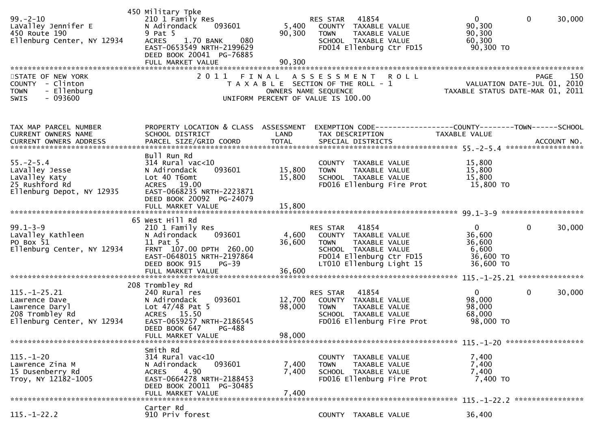| $99. - 2 - 10$<br>LaValley Jennifer E<br>450 Route 190<br>Ellenburg Center, NY 12934                   | 450 Military Tpke<br>210 1 Family Res<br>N Adirondack<br>093601<br>9 Pat 5<br>080<br><b>ACRES</b><br>1.70 BANK<br>EAST-0653549 NRTH-2199629<br>DEED BOOK 20041 PG-76885<br>FULL MARKET VALUE | 5,400<br>90,300<br>90,300  | 41854<br>RES STAR<br>COUNTY TAXABLE VALUE<br>TAXABLE VALUE<br><b>TOWN</b><br>SCHOOL TAXABLE VALUE<br>FD014 Ellenburg Ctr FD15                             | $\mathbf{0}$<br>$\mathbf{0}$<br>30,000<br>90,300<br>90,300<br>60,300<br>90,300 TO     |  |
|--------------------------------------------------------------------------------------------------------|----------------------------------------------------------------------------------------------------------------------------------------------------------------------------------------------|----------------------------|-----------------------------------------------------------------------------------------------------------------------------------------------------------|---------------------------------------------------------------------------------------|--|
| STATE OF NEW YORK<br>COUNTY - Clinton<br>- Ellenburg<br><b>TOWN</b><br>$-093600$<br>SWIS               | 2 0 1 1                                                                                                                                                                                      | FINAL                      | <b>ROLL</b><br>A S S E S S M E N T<br>T A X A B L E SECTION OF THE ROLL - 1<br>OWNERS NAME SEQUENCE<br>UNIFORM PERCENT OF VALUE IS 100.00                 | 150<br><b>PAGE</b><br>VALUATION DATE-JUL 01, 2010<br>TAXABLE STATUS DATE-MAR 01, 2011 |  |
| TAX MAP PARCEL NUMBER<br><b>CURRENT OWNERS NAME</b>                                                    | PROPERTY LOCATION & CLASS ASSESSMENT<br>SCHOOL DISTRICT                                                                                                                                      | LAND                       | TAX DESCRIPTION                                                                                                                                           | EXEMPTION CODE-----------------COUNTY--------TOWN------SCHOOL<br>TAXABLE VALUE        |  |
| $55. - 2 - 5.4$<br>LaValley Jesse<br>LaValley Katy<br>25 Rushford Rd<br>Ellenburg Depot, NY 12935      | Bull Run Rd<br>$314$ Rural vac<10<br>N Adirondack<br>093601<br>Lot 40 T6omt<br>ACRES 19.00<br>EAST-0668235 NRTH-2223871<br>DEED BOOK 20092 PG-24079<br>FULL MARKET VALUE                     | 15,800<br>15,800<br>15,800 | COUNTY TAXABLE VALUE<br>TAXABLE VALUE<br><b>TOWN</b><br>SCHOOL TAXABLE VALUE<br>FD016 Ellenburg Fire Prot                                                 | 15,800<br>15,800<br>15,800<br>15,800 TO                                               |  |
| $99.1 - 3 - 9$<br>LaValley Kathleen<br>PO Box 51<br>Ellenburg Center, NY 12934                         | 65 West Hill Rd<br>210 1 Family Res<br>093601<br>N Adirondack<br>11 Pat 5<br>FRNT 107.00 DPTH 260.00<br>EAST-0648015 NRTH-2197864<br>DEED BOOK 915<br>$PG-39$<br>FULL MARKET VALUE           | 4,600<br>36,600<br>36,600  | 41854<br>RES STAR<br>COUNTY TAXABLE VALUE<br><b>TOWN</b><br>TAXABLE VALUE<br>SCHOOL TAXABLE VALUE<br>FD014 Ellenburg Ctr FD15<br>LT010 Ellenburg Light 15 | $\mathbf{0}$<br>30,000<br>0<br>36,600<br>36,600<br>6,600<br>36,600 TO<br>36,600 TO    |  |
| $115. - 1 - 25.21$<br>Lawrence Dave<br>Lawrence Daryl<br>208 Trombley Rd<br>Ellenburg Center, NY 12934 | 208 Trombley Rd<br>240 Rural res<br>093601<br>N Adirondack<br>Lot $47/48$ Pat 5<br>ACRES 15.50<br>EAST-0659257 NRTH-2186545<br>DEED BOOK 647<br>PG-488<br>FULL MARKET VALUE                  | 12,700<br>98,000<br>98,000 | RES STAR<br>41854<br>COUNTY<br>TAXABLE VALUE<br><b>TOWN</b><br>TAXABLE VALUE<br>SCHOOL TAXABLE VALUE<br>FD016 Ellenburg Fire Prot                         | $\Omega$<br>$\mathbf{0}$<br>30,000<br>98,000<br>98,000<br>68,000<br>98,000 TO         |  |
| $115. - 1 - 20$<br>Lawrence Zina M<br>15 Dusenberry Rd<br>Troy, NY 12182-1005                          | Smith Rd<br>$314$ Rural vac<10<br>093601<br>N Adirondack<br>4.90<br><b>ACRES</b><br>EAST-0664278 NRTH-2188453<br>DEED BOOK 20011 PG-30485<br>FULL MARKET VALUE                               | 7,400<br>7,400<br>7,400    | COUNTY<br>TAXABLE VALUE<br><b>TOWN</b><br>TAXABLE VALUE<br>SCHOOL TAXABLE VALUE<br>FD016 Ellenburg Fire Prot                                              | 7,400<br>7,400<br>7,400<br>7,400 TO                                                   |  |
| $115. - 1 - 22.2$                                                                                      | Carter Rd<br>910 Priv forest                                                                                                                                                                 |                            | COUNTY TAXABLE VALUE                                                                                                                                      | 36,400                                                                                |  |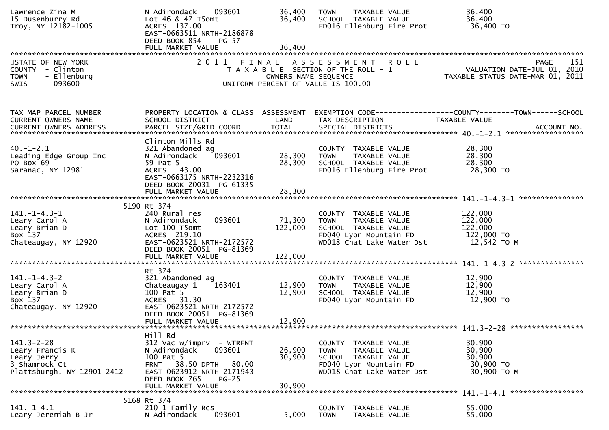| Lawrence Zina M<br>15 Dusenburry Rd<br>Troy, NY 12182-1005                                        | N Adirondack<br>093601<br>Lot 46 & 47 T5omt<br>ACRES 137.00<br>EAST-0663511 NRTH-2186878<br>DEED BOOK 854<br>$PG-57$                                   | 36,400<br>36,400             | <b>TAXABLE VALUE</b><br><b>TOWN</b><br>SCHOOL TAXABLE VALUE<br>FD016 Ellenburg Fire Prot                                            | 36,400<br>36,400<br>36,400 TO                                                  |
|---------------------------------------------------------------------------------------------------|--------------------------------------------------------------------------------------------------------------------------------------------------------|------------------------------|-------------------------------------------------------------------------------------------------------------------------------------|--------------------------------------------------------------------------------|
|                                                                                                   |                                                                                                                                                        |                              |                                                                                                                                     |                                                                                |
| STATE OF NEW YORK<br>COUNTY - Clinton<br>- Ellenburg<br><b>TOWN</b><br>$-093600$<br>SWIS          |                                                                                                                                                        | OWNERS NAME SEQUENCE         | 2011 FINAL ASSESSMENT<br><b>ROLL</b><br>T A X A B L E SECTION OF THE ROLL - 1<br>UNIFORM PERCENT OF VALUE IS 100.00                 | 151<br>PAGE<br>VALUATION DATE-JUL 01, 2010<br>TAXABLE STATUS DATE-MAR 01, 2011 |
| TAX MAP PARCEL NUMBER<br><b>CURRENT OWNERS NAME</b>                                               | PROPERTY LOCATION & CLASS ASSESSMENT<br>SCHOOL DISTRICT                                                                                                | LAND                         | TAX DESCRIPTION                                                                                                                     | TAXABLE VALUE                                                                  |
| $40. - 1 - 2.1$<br>Leading Edge Group Inc<br>PO Box 69<br>Saranac, NY 12981                       | Clinton Mills Rd<br>321 Abandoned ag<br>093601<br>N Adirondack<br>59 Pat 5<br>ACRES 43.00<br>EAST-0663175 NRTH-2232316<br>DEED BOOK 20031 PG-61335     | 28,300<br>28,300             | COUNTY TAXABLE VALUE<br><b>TOWN</b><br>TAXABLE VALUE<br>SCHOOL TAXABLE VALUE<br>FD016 Ellenburg Fire Prot                           | 28,300<br>28,300<br>28,300<br>28,300 TO                                        |
|                                                                                                   | FULL MARKET VALUE                                                                                                                                      | 28,300                       |                                                                                                                                     |                                                                                |
|                                                                                                   | 5190 Rt 374                                                                                                                                            |                              |                                                                                                                                     |                                                                                |
| $141. - 1 - 4.3 - 1$<br>Leary Carol A<br>Leary Brian D<br>Box 137<br>Chateaugay, NY 12920         | 240 Rural res<br>N Adirondack<br>093601<br>Lot 100 T5omt<br>ACRES 219.10<br>EAST-0623521 NRTH-2172572<br>DEED BOOK 20051 PG-81369<br>FULL MARKET VALUE | 71,300<br>122,000<br>122,000 | COUNTY TAXABLE VALUE<br>TAXABLE VALUE<br><b>TOWN</b><br>SCHOOL TAXABLE VALUE<br>FD040 Lyon Mountain FD<br>WD018 Chat Lake Water Dst | 122,000<br>122,000<br>122,000<br>122,000 TO<br>12,542 TO M                     |
|                                                                                                   | Rt 374                                                                                                                                                 |                              |                                                                                                                                     |                                                                                |
| $141. - 1 - 4.3 - 2$<br>Leary Carol A<br>Leary Brian D<br>Box 137<br>Chateaugay, NY 12920         | 321 Abandoned ag<br>163401<br>Chateaugay 1<br>100 Pat 5<br>ACRES 31.30<br>EAST-0623521 NRTH-2172572                                                    | 12,900<br>12,900             | COUNTY TAXABLE VALUE<br><b>TOWN</b><br>TAXABLE VALUE<br>SCHOOL TAXABLE VALUE<br>FD040 Lyon Mountain FD                              | 12,900<br>12,900<br>12,900<br>12,900 TO                                        |
|                                                                                                   | DEED BOOK 20051 PG-81369<br>FULL MARKET VALUE                                                                                                          | 12,900                       |                                                                                                                                     |                                                                                |
|                                                                                                   | Hill Rd                                                                                                                                                |                              |                                                                                                                                     |                                                                                |
| $141.3 - 2 - 28$<br>Leary Francis K<br>Leary Jerry<br>3 Shamrock Ct<br>Plattsburgh, NY 12901-2412 | $312$ Vac w/imprv - WTRFNT<br>093601<br>N Adirondack<br>100 Pat 5<br>38.50 DPTH<br>80.00<br><b>FRNT</b><br>EAST-0623912 NRTH-2171943                   | 26,900<br>30,900             | COUNTY TAXABLE VALUE<br>TAXABLE VALUE<br><b>TOWN</b><br>SCHOOL TAXABLE VALUE<br>FD040 Lyon Mountain FD<br>WD018 Chat Lake Water Dst | 30,900<br>30,900<br>30,900<br>30,900 TO<br>30,900 TO M                         |
|                                                                                                   | DEED BOOK 765<br>$PG-25$<br>FULL MARKET VALUE                                                                                                          | 30,900                       |                                                                                                                                     |                                                                                |
|                                                                                                   | 5168 Rt 374                                                                                                                                            |                              |                                                                                                                                     |                                                                                |
| $141. - 1 - 4.1$<br>Leary Jeremiah B Jr                                                           | 210 1 Family Res<br>093601<br>N Adirondack                                                                                                             | 5,000                        | TAXABLE VALUE<br><b>COUNTY</b><br><b>TOWN</b><br>TAXABLE VALUE                                                                      | 55,000<br>55,000                                                               |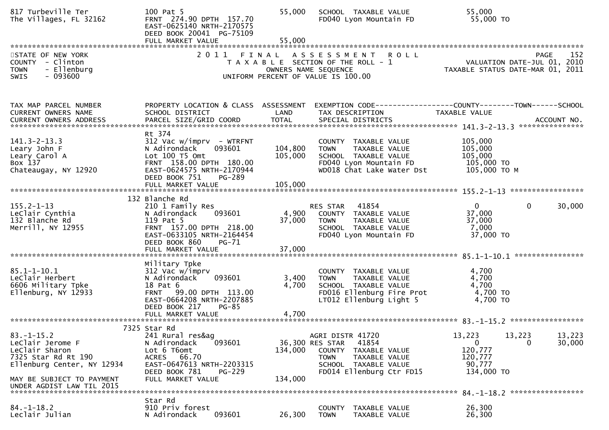| 817 Turbeville Ter<br>The Villages, FL 32162                                                                                                                          | 100 Pat 5<br>FRNT 274.90 DPTH 157.70<br>EAST-0625140 NRTH-2170575<br>DEED BOOK 20041 PG-75109<br>FULL MARKET VALUE                                                                      | 55,000<br>55,000          | SCHOOL TAXABLE VALUE<br>FD040 Lyon Mountain FD                                                                                                              | 55,000<br>55,000 TO                                                                          |
|-----------------------------------------------------------------------------------------------------------------------------------------------------------------------|-----------------------------------------------------------------------------------------------------------------------------------------------------------------------------------------|---------------------------|-------------------------------------------------------------------------------------------------------------------------------------------------------------|----------------------------------------------------------------------------------------------|
| STATE OF NEW YORK<br>COUNTY - Clinton<br>- Ellenburg<br><b>TOWN</b><br>$-093600$<br>SWIS                                                                              | 2011 FINAL                                                                                                                                                                              |                           | ASSESSMENT ROLL<br>T A X A B L E SECTION OF THE ROLL - 1<br>OWNERS NAME SEQUENCE<br>UNIFORM PERCENT OF VALUE IS 100.00                                      | 152<br><b>PAGE</b><br>VALUATION DATE-JUL 01, 2010<br>TAXABLE STATUS DATE-MAR 01, 2011        |
| TAX MAP PARCEL NUMBER<br><b>CURRENT OWNERS NAME</b>                                                                                                                   | PROPERTY LOCATION & CLASS ASSESSMENT<br>SCHOOL DISTRICT                                                                                                                                 | LAND                      | TAX DESCRIPTION                                                                                                                                             | TAXABLE VALUE                                                                                |
| $141.3 - 2 - 13.3$<br>Leary John F<br>Leary Carol A<br>Box 137<br>Chateaugay, NY 12920                                                                                | Rt 374<br>$312$ Vac w/imprv - WTRFNT<br>N Adirondack<br>093601<br>Lot 100 T5 Omt<br>FRNT 158.00 DPTH 180.00<br>EAST-0624575 NRTH-2170944<br>DEED BOOK 751<br>PG-289                     | 104,800<br>105,000        | COUNTY TAXABLE VALUE<br>TAXABLE VALUE<br><b>TOWN</b><br>SCHOOL TAXABLE VALUE<br>FD040 Lyon Mountain FD<br>WD018 Chat Lake Water Dst                         | 105,000<br>105,000<br>105,000<br>105,000 TO<br>105,000 ТО М                                  |
| $155.2 - 1 - 13$<br>LeClair Cynthia<br>132 Blanche Rd<br>Merrill, NY 12955                                                                                            | 132 Blanche Rd<br>210 1 Family Res<br>093601<br>N Adirondack<br>119 Pat 5<br>FRNT 157.00 DPTH 218.00<br>EAST-0633105 NRTH-2164454<br>DEED BOOK 860<br><b>PG-71</b><br>FULL MARKET VALUE | 4,900<br>37,000<br>37,000 | RES STAR 41854<br>COUNTY TAXABLE VALUE<br><b>TOWN</b><br>TAXABLE VALUE<br>SCHOOL TAXABLE VALUE<br>FD040 Lyon Mountain FD                                    | $\Omega$<br>$\mathbf 0$<br>30,000<br>37,000<br>37,000<br>7,000<br>37,000 TO                  |
| $85.1 - 1 - 10.1$<br>LeClair Herbert<br>6606 Military Tpke<br>Ellenburg, NY 12933                                                                                     | Military Tpke<br>312 Vac w/imprv<br>N Adirondack<br>093601<br>18 Pat 6<br>FRNT 99.00 DPTH 113.00<br>EAST-0664208 NRTH-2207885<br>DEED BOOK 217<br>$PG-85$                               | 3,400<br>4,700            | COUNTY TAXABLE VALUE<br><b>TOWN</b><br>TAXABLE VALUE<br>SCHOOL TAXABLE VALUE<br>FD016 Ellenburg Fire Prot<br>LT012 Ellenburg Light 5                        | 4,700<br>4,700<br>4,700<br>4,700 TO<br>4,700 TO                                              |
| $83. - 1 - 15.2$<br>LeClair Jerome F<br>Leclair Sharon<br>7325 Star Rd Rt 190<br>Ellenburg Center, NY 12934<br>MAY BE SUBJECT TO PAYMENT<br>UNDER AGDIST LAW TIL 2015 | 7325 Star Rd<br>241 Rural res&ag<br>N Adirondack<br>093601<br>Lot 6 T6omt<br>ACRES 66.70<br>EAST-0647613 NRTH-2203315<br>DEED BOOK 781<br><b>PG-229</b><br>FULL MARKET VALUE            | 134,000<br>134,000        | AGRI DISTR 41720<br>36,300 RES STAR<br>41854<br>COUNTY<br>TAXABLE VALUE<br><b>TOWN</b><br>TAXABLE VALUE<br>SCHOOL TAXABLE VALUE<br>FD014 Ellenburg Ctr FD15 | 13,223<br>13,223<br>13,223<br>0<br>30,000<br>0<br>120,777<br>120,777<br>90,777<br>134,000 TO |
| $84. - 1 - 18.2$<br>Leclair Julian                                                                                                                                    | Star Rd<br>910 Priv forest<br>093601<br>N Adirondack                                                                                                                                    | 26,300                    | TAXABLE VALUE<br><b>COUNTY</b><br><b>TOWN</b><br>TAXABLE VALUE                                                                                              | 84. -1-18.2 ******************<br>26,300<br>26,300                                           |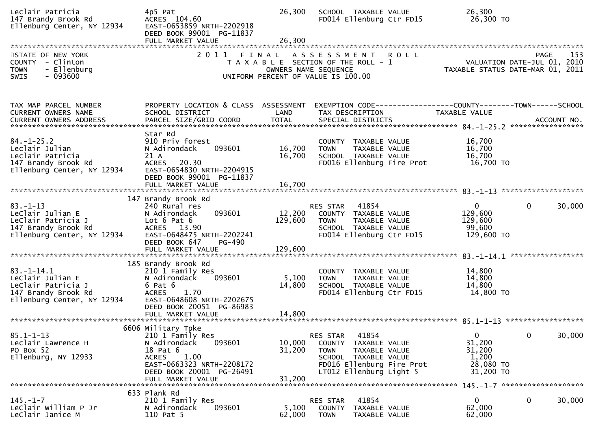| Leclair Patricia<br>147 Brandy Brook Rd<br>Ellenburg Center, NY 12934                                         | 4p5 Pat<br>ACRES 104.60<br>EAST-0653859 NRTH-2202918<br>DEED BOOK 99001 PG-11837<br>FULL MARKET VALUE                                                                              | 26,300<br>26,300             | SCHOOL TAXABLE VALUE<br>FD014 Ellenburg Ctr FD15                                                                                                          | 26,300<br>26,300 TO                                                           |                                                                                       |
|---------------------------------------------------------------------------------------------------------------|------------------------------------------------------------------------------------------------------------------------------------------------------------------------------------|------------------------------|-----------------------------------------------------------------------------------------------------------------------------------------------------------|-------------------------------------------------------------------------------|---------------------------------------------------------------------------------------|
| STATE OF NEW YORK<br>COUNTY - Clinton<br><b>TOWN</b><br>- Ellenburg<br>$-093600$<br>SWIS                      | 2011                                                                                                                                                                               | FINAL                        | A S S E S S M E N T<br><b>ROLL</b><br>T A X A B L E SECTION OF THE ROLL - 1<br>OWNERS NAME SEQUENCE<br>UNIFORM PERCENT OF VALUE IS 100.00                 |                                                                               | 153<br><b>PAGE</b><br>VALUATION DATE-JUL 01, 2010<br>TAXABLE STATUS DATE-MAR 01, 2011 |
| TAX MAP PARCEL NUMBER<br><b>CURRENT OWNERS NAME</b><br><b>CURRENT OWNERS ADDRESS</b>                          | PROPERTY LOCATION & CLASS ASSESSMENT<br>SCHOOL DISTRICT<br>PARCEL SIZE/GRID COORD                                                                                                  | LAND<br><b>TOTAL</b>         | TAX DESCRIPTION<br>SPECIAL DISTRICTS                                                                                                                      | EXEMPTION CODE-----------------COUNTY--------TOWN-----SCHOOL<br>TAXABLE VALUE | ACCOUNT NO.                                                                           |
| $84. - 1 - 25.2$<br>Leclair Julian<br>Leclair Patricia<br>147 Brandy Brook Rd<br>Ellenburg Center, NY 12934   | Star Rd<br>910 Priv forest<br>093601<br>N Adirondack<br>21 A<br>20.30<br><b>ACRES</b><br>EAST-0654830 NRTH-2204915<br>DEED BOOK 99001 PG-11837<br>FULL MARKET VALUE                | 16,700<br>16,700<br>16,700   | COUNTY TAXABLE VALUE<br>TAXABLE VALUE<br><b>TOWN</b><br>SCHOOL TAXABLE VALUE<br>FD016 Ellenburg Fire Prot                                                 | 16,700<br>16,700<br>16,700<br>16,700 TO                                       |                                                                                       |
| $83. - 1 - 13$<br>LeClair Julian E<br>LeClair Patricia J<br>147 Brandy Brook Rd<br>Ellenburg Center, NY 12934 | 147 Brandy Brook Rd<br>240 Rural res<br>093601<br>N Adirondack<br>Lot $6$ Pat $6$<br>ACRES 13.90<br>EAST-0648475 NRTH-2202241<br>DEED BOOK 647<br>PG-490<br>FULL MARKET VALUE      | 12,200<br>129,600<br>129,600 | 41854<br>RES STAR<br>COUNTY TAXABLE VALUE<br><b>TOWN</b><br>TAXABLE VALUE<br>SCHOOL TAXABLE VALUE<br>FD014 Ellenburg Ctr FD15                             | $\overline{0}$<br>129,600<br>129,600<br>99,600<br>129,600 TO                  | 0<br>30,000                                                                           |
| $83.-1-14.1$<br>LeClair Julian E<br>LeClair Patricia J<br>147 Brandy Brook Rd<br>Ellenburg Center, NY 12934   | 185 Brandy Brook Rd<br>210 1 Family Res<br>093601<br>N Adirondack<br>$6$ Pat $6$<br><b>ACRES</b><br>1.70<br>EAST-0648608 NRTH-2202675<br>DEED BOOK 20051 PG-86983                  | 5,100<br>14,800              | COUNTY TAXABLE VALUE<br>TAXABLE VALUE<br>TOWN<br>SCHOOL TAXABLE VALUE<br>FD014 Ellenburg Ctr FD15                                                         | 14,800<br>14,800<br>14,800<br>14,800 TO                                       |                                                                                       |
| $85.1 - 1 - 13$<br>Leclair Lawrence H<br>PO Box 52<br>Ellenburg, NY 12933                                     | 6606 Military Tpke<br>210 1 Family Res<br>N Adirondack<br>093601<br>18 Pat 6<br>1.00<br><b>ACRES</b><br>EAST-0663323 NRTH-2208172<br>DEED BOOK 20001 PG-26491<br>FULL MARKET VALUE | 10,000<br>31,200<br>31,200   | 41854<br>RES STAR<br>COUNTY TAXABLE VALUE<br><b>TOWN</b><br>TAXABLE VALUE<br>SCHOOL TAXABLE VALUE<br>FD016 Ellenburg Fire Prot<br>LT012 Ellenburg Light 5 | $\overline{0}$<br>31,200<br>31,200<br>1,200<br>28,080 TO<br>31,200 TO         | $\mathbf{0}$<br>30,000                                                                |
| $145. - 1 - 7$<br>Leclair William P Jr<br>LeClair Janice M                                                    | 633 Plank Rd<br>210 1 Family Res<br>093601<br>N Adirondack<br>110 Pat 5                                                                                                            | 5,100<br>62,000              | 41854<br>RES STAR<br>COUNTY<br>TAXABLE VALUE<br><b>TOWN</b><br>TAXABLE VALUE                                                                              | 0<br>62,000<br>62,000                                                         | 0<br>30,000                                                                           |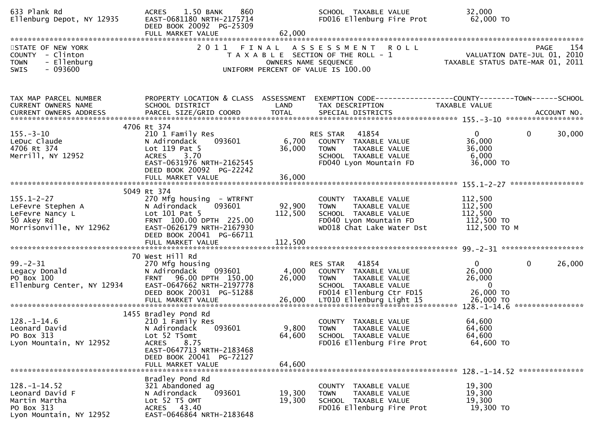| 633 Plank Rd<br>Ellenburg Depot, NY 12935                                                         | 1.50 BANK<br>860<br><b>ACRES</b><br>EAST-0681180 NRTH-2175714<br>DEED BOOK 20092 PG-25309<br>FULL MARKET VALUE                                                                              | 62,000                       | SCHOOL TAXABLE VALUE<br>FD016 Ellenburg Fire Prot                                                                                                         | 32,000<br>62,000 TO                                                                                             |
|---------------------------------------------------------------------------------------------------|---------------------------------------------------------------------------------------------------------------------------------------------------------------------------------------------|------------------------------|-----------------------------------------------------------------------------------------------------------------------------------------------------------|-----------------------------------------------------------------------------------------------------------------|
| STATE OF NEW YORK<br>COUNTY - Clinton<br>- Ellenburg<br><b>TOWN</b><br>$-093600$<br>SWIS          | 2011 FINAL                                                                                                                                                                                  |                              | <b>ROLL</b><br>A S S E S S M E N T<br>T A X A B L E SECTION OF THE ROLL - 1<br>OWNERS NAME SEQUENCE<br>UNIFORM PERCENT OF VALUE IS 100.00                 | PAGE<br>154                                                                                                     |
| TAX MAP PARCEL NUMBER<br>CURRENT OWNERS NAME                                                      | PROPERTY LOCATION & CLASS ASSESSMENT<br>SCHOOL DISTRICT                                                                                                                                     | LAND                         | TAX DESCRIPTION                                                                                                                                           | EXEMPTION CODE-----------------COUNTY--------TOWN-----SCHOOL<br>TAXABLE VALUE                                   |
| $155. - 3 - 10$<br>LeDuc Claude<br>4706 Rt 374<br>Merrill, NY 12952                               | 4706 Rt 374<br>210 1 Family Res<br>N Adirondack<br>093601<br>Lot 119 Pat 5<br>ACRES 3.70<br>EAST-0631976 NRTH-2162545<br>DEED BOOK 20092 PG-22242<br>FULL MARKET VALUE                      | 6,700<br>36,000<br>36,000    | RES STAR<br>41854<br>COUNTY TAXABLE VALUE<br><b>TOWN</b><br>TAXABLE VALUE<br>SCHOOL TAXABLE VALUE<br>FD040 Lyon Mountain FD                               | $\mathbf{0}$<br>$\mathbf{0}$<br>30,000<br>36,000<br>36,000<br>6,000<br>36,000 TO                                |
| $155.1 - 2 - 27$<br>LeFevre Stephen A<br>LeFevre Nancy L<br>50 Akey Rd<br>Morrisonville, NY 12962 | 5049 Rt 374<br>270 Mfg housing - WTRFNT<br>093601<br>N Adirondack<br>Lot 101 Pat 5<br>FRNT 100.00 DPTH 225.00<br>EAST-0626179 NRTH-2167930<br>DEED BOOK 20041 PG-66711<br>FULL MARKET VALUE | 92,900<br>112,500<br>112,500 | COUNTY TAXABLE VALUE<br><b>TOWN</b><br>TAXABLE VALUE<br>SCHOOL TAXABLE VALUE<br>FD040 Lyon Mountain FD<br>WD018 Chat Lake Water Dst                       | 112,500<br>112,500<br>112,500<br>112,500 TO<br>112,500 TO M                                                     |
| $99 - 2 - 31$<br>Legacy Donald<br>PO Box 100<br>Ellenburg Center, NY 12934                        | 70 West Hill Rd<br>270 Mfg housing<br>093601<br>N Adirondack<br>FRNT 96.00 DPTH 150.00<br>EAST-0647662 NRTH-2197778<br>DEED BOOK 20031 PG-51288<br>FULL MARKET VALUE                        | 4,000<br>26,000<br>26,000    | RES STAR<br>41854<br>COUNTY TAXABLE VALUE<br><b>TOWN</b><br>TAXABLE VALUE<br>SCHOOL TAXABLE VALUE<br>FD014 Ellenburg Ctr FD15<br>LT010 Ellenburg Light 15 | 26,000<br>0<br>$\overline{0}$<br>26,000<br>26,000<br>$\mathbf{0}$<br>26,000 TO<br>26,000 TO<br>**************** |
| $128. - 1 - 14.6$<br>Leonard David<br>PO Box 313<br>Lyon Mountain, NY 12952                       | 1455 Bradley Pond Rd<br>210 1 Family Res<br>093601<br>N Adirondack<br>Lot 52 T5omt<br><b>ACRES</b><br>8.75<br>EAST-0647713 NRTH-2183468<br>DEED BOOK 20041 PG-72127<br>FULL MARKET VALUE    | 64,600<br>64,600             | COUNTY TAXABLE VALUE<br>9,800 TOWN<br>TAXABLE VALUE<br>SCHOOL TAXABLE VALUE<br>FD016 Ellenburg Fire Prot                                                  | 64,600<br>64,600<br>64,600<br>64,600 TO                                                                         |
| $128. - 1 - 14.52$<br>Leonard David F<br>Martin Martha<br>PO Box 313<br>Lyon Mountain, NY 12952   | Bradley Pond Rd<br>321 Abandoned ag<br>093601<br>N Adirondack<br>Lot 52 T5 OMT<br>ACRES 43.40<br>EAST-0646864 NRTH-2183648                                                                  | 19,300<br>19,300             | COUNTY TAXABLE VALUE<br><b>TAXABLE VALUE</b><br><b>TOWN</b><br>SCHOOL TAXABLE VALUE<br>FD016 Ellenburg Fire Prot                                          | 19,300<br>19,300<br>19,300<br>19,300 TO                                                                         |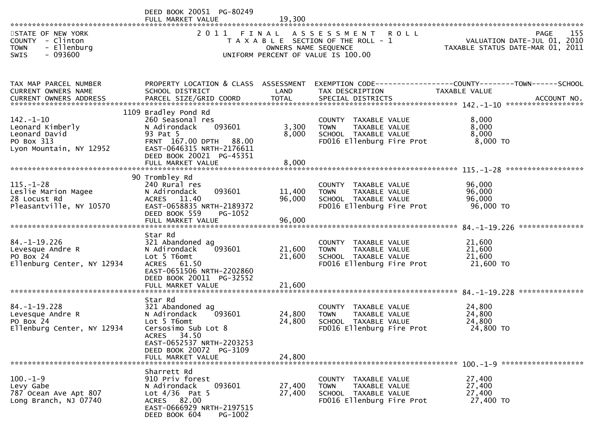|                                                                                               | DEED BOOK 20051 PG-80249<br>FULL MARKET VALUE                                                                                                                                             | 19,300                     |                                                                                                                     |                                                                                       |
|-----------------------------------------------------------------------------------------------|-------------------------------------------------------------------------------------------------------------------------------------------------------------------------------------------|----------------------------|---------------------------------------------------------------------------------------------------------------------|---------------------------------------------------------------------------------------|
| STATE OF NEW YORK<br>COUNTY - Clinton<br>- Ellenburg<br><b>TOWN</b><br>$-093600$<br>SWIS      | 2011 FINAL                                                                                                                                                                                | OWNERS NAME SEQUENCE       | ASSESSMENT ROLL<br>T A X A B L E SECTION OF THE ROLL - 1<br>UNIFORM PERCENT OF VALUE IS 100.00                      | 155<br><b>PAGE</b><br>VALUATION DATE-JUL 01, 2010<br>TAXABLE STATUS DATE-MAR 01, 2011 |
| TAX MAP PARCEL NUMBER                                                                         | PROPERTY LOCATION & CLASS ASSESSMENT                                                                                                                                                      |                            |                                                                                                                     | EXEMPTION CODE-----------------COUNTY-------TOWN------SCHOOL                          |
| CURRENT OWNERS NAME                                                                           | SCHOOL DISTRICT                                                                                                                                                                           | LAND                       | TAX DESCRIPTION                                                                                                     | TAXABLE VALUE                                                                         |
| $142. - 1 - 10$<br>Leonard Kimberly<br>Leonard David<br>PO Box 313<br>Lyon Mountain, NY 12952 | 1109 Bradley Pond Rd<br>260 Seasonal res<br>093601<br>N Adirondack<br>93 Pat 5<br>FRNT 167.00 DPTH<br>88.00<br>EAST-0646315 NRTH-2176611<br>DEED BOOK 20021 PG-45351<br>FULL MARKET VALUE | 3,300<br>8,000<br>8,000    | <b>COUNTY</b><br>TAXABLE VALUE<br><b>TOWN</b><br>TAXABLE VALUE<br>SCHOOL TAXABLE VALUE<br>FD016 Ellenburg Fire Prot | 8,000<br>8,000<br>8,000<br>8,000 TO                                                   |
|                                                                                               | 90 Trombley Rd                                                                                                                                                                            |                            |                                                                                                                     |                                                                                       |
| $115. - 1 - 28$<br>Leslie Marion Magee<br>28 Locust Rd<br>Pleasantville, NY 10570             | 240 Rural res<br>093601<br>N Adirondack<br>ACRES 11.40<br>EAST-0658835 NRTH-2189372<br>DEED BOOK 559<br>PG-1052                                                                           | 11,400<br>96,000<br>96,000 | COUNTY TAXABLE VALUE<br>TAXABLE VALUE<br><b>TOWN</b><br>SCHOOL TAXABLE VALUE<br>FD016 Ellenburg Fire Prot           | 96,000<br>96,000<br>96,000<br>96,000 TO                                               |
|                                                                                               | FULL MARKET VALUE                                                                                                                                                                         |                            |                                                                                                                     |                                                                                       |
| $84. - 1 - 19.226$<br>Levesque Andre R<br>PO Box 24<br>Ellenburg Center, NY 12934             | Star Rd<br>321 Abandoned ag<br>093601<br>N Adirondack<br>Lot 5 T6omt<br><b>ACRES</b><br>61.50<br>EAST-0651506 NRTH-2202860<br>DEED BOOK 20011 PG-32552                                    | 21,600<br>21,600           | COUNTY TAXABLE VALUE<br>TAXABLE VALUE<br><b>TOWN</b><br>SCHOOL TAXABLE VALUE<br>FD016 Ellenburg Fire Prot           | 21,600<br>21,600<br>21,600<br>21,600 TO                                               |
|                                                                                               | FULL MARKET VALUE                                                                                                                                                                         | 21,600                     |                                                                                                                     |                                                                                       |
| $84. -1 - 19.228$<br>Levesque Andre R<br>PO Box 24<br>Ellenburg Center, NY 12934              | Star Rd<br>321 Abandoned ag<br>N Adirondack<br>093601<br>Lot 5 T6omt<br>Cersosimo Sub Lot 8<br>ACRES 34.50                                                                                | 24,800<br>24,800           | <b>COUNTY</b><br>TAXABLE VALUE<br>TAXABLE VALUE<br><b>TOWN</b><br>SCHOOL TAXABLE VALUE<br>FD016 Ellenburg Fire Prot | 24,800<br>24,800<br>24,800<br>24,800 TO                                               |
|                                                                                               | EAST-0652537 NRTH-2203253<br>DEED BOOK 20072 PG-3109<br>FULL MARKET VALUE                                                                                                                 | 24,800                     |                                                                                                                     |                                                                                       |
| $100. - 1 - 9$<br>Levy Gabe<br>787 Ocean Ave Apt 807<br>Long Branch, NJ 07740                 | Sharrett Rd<br>910 Priv forest<br>093601<br>N Adirondack<br>Lot $4/36$ Pat 5<br>ACRES 82.00<br>EAST-0666929 NRTH-2197515<br>DEED BOOK 604<br>PG-1002                                      | 27,400<br>27,400           | COUNTY TAXABLE VALUE<br><b>TOWN</b><br>TAXABLE VALUE<br>SCHOOL TAXABLE VALUE<br>FD016 Ellenburg Fire Prot           | 27,400<br>27,400<br>27,400<br>27,400 TO                                               |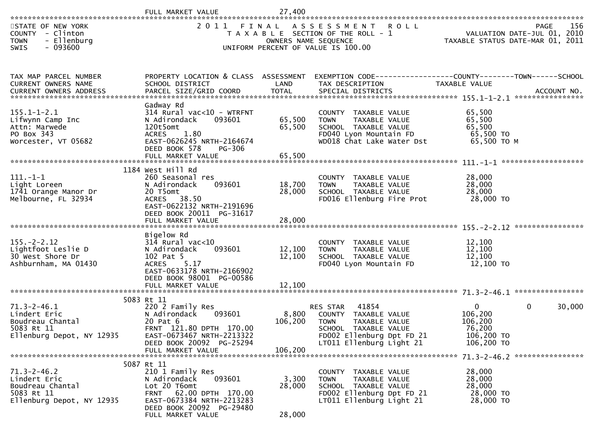| STATE OF NEW YORK<br>COUNTY - Clinton<br>- Ellenburg<br><b>TOWN</b><br>$-093600$<br><b>SWIS</b>  |                                                                                                                                                                                            | OWNERS NAME SEQUENCE        | 2011 FINAL ASSESSMENT ROLL<br>T A X A B L E SECTION OF THE ROLL - 1<br>UNIFORM PERCENT OF VALUE IS 100.00                                                         | TAXABLE STATUS DATE-MAR 01, 2011                                     | 156<br>PAGE<br>VALUATION DATE-JUL 01, 2010 |
|--------------------------------------------------------------------------------------------------|--------------------------------------------------------------------------------------------------------------------------------------------------------------------------------------------|-----------------------------|-------------------------------------------------------------------------------------------------------------------------------------------------------------------|----------------------------------------------------------------------|--------------------------------------------|
| TAX MAP PARCEL NUMBER<br>CURRENT OWNERS NAME                                                     | PROPERTY LOCATION & CLASS ASSESSMENT<br>SCHOOL DISTRICT                                                                                                                                    | LAND                        | EXEMPTION CODE-----------------COUNTY--------TOWN------SCHOOL<br>TAX DESCRIPTION                                                                                  | TAXABLE VALUE                                                        |                                            |
| $155.1 - 1 - 2.1$<br>Lifwynn Camp Inc<br>Attn: Marwede<br>PO Box 343<br>Worcester, VT 05682      | Gadway Rd<br>$314$ Rural vac< $10$ - WTRFNT<br>N Adirondack<br>093601<br>120t5omt<br><b>ACRES</b><br>1.80<br>EAST-0626245 NRTH-2164674<br>DEED BOOK 578<br>PG-306<br>FULL MARKET VALUE     | 65,500<br>65,500<br>65,500  | COUNTY TAXABLE VALUE<br><b>TOWN</b><br>TAXABLE VALUE<br>SCHOOL TAXABLE VALUE<br>FD040 Lyon Mountain FD<br>WD018 Chat Lake Water Dst                               | 65,500<br>65,500<br>65,500<br>65,500 TO<br>65,500 ТО М               |                                            |
| $111. - 1 - 1$<br>Light Loreen<br>1741 Orange Manor Dr<br>Melbourne, FL 32934                    | 1184 West Hill Rd<br>260 Seasonal res<br>N Adirondack<br>093601<br>20 T5omt<br>ACRES 38.50<br>EAST-0622132 NRTH-2191696<br>DEED BOOK 20011 PG-31617<br>FULL MARKET VALUE                   | 18,700<br>28,000<br>28,000  | COUNTY TAXABLE VALUE<br>TAXABLE VALUE<br><b>TOWN</b><br>SCHOOL TAXABLE VALUE<br>FD016 Ellenburg Fire Prot                                                         | 28,000<br>28,000<br>28,000<br>28,000 TO                              |                                            |
| $155. - 2 - 2.12$<br>Lightfoot Leslie D<br>30 West Shore Dr<br>Ashburnham, MA 01430              | Bigelow Rd<br>$314$ Rural vac< $10$<br>093601<br>N Adirondack<br>102 Pat 5<br>5.17<br><b>ACRES</b><br>EAST-0633178 NRTH-2166902<br>DEED BOOK 98001 PG-00586<br>FULL MARKET VALUE           | 12,100<br>12,100<br>12,100  | COUNTY TAXABLE VALUE<br><b>TOWN</b><br>TAXABLE VALUE<br>SCHOOL TAXABLE VALUE<br>FD040 Lyon Mountain FD                                                            | 12,100<br>12,100<br>12,100<br>12,100 TO                              |                                            |
| $71.3 - 2 - 46.1$<br>Lindert Eric<br>Boudreau Chantal<br>5083 Rt 11<br>Ellenburg Depot, NY 12935 | 5083 Rt 11<br>220 2 Family Res<br>093601<br>N Adirondack<br>20 Pat 6<br>FRNT 121.80 DPTH 170.00<br>EAST-0673467 NRTH-2213322<br>DEED BOOK 20092 PG-25294<br>FULL MARKET VALUE              | 8,800<br>106,200<br>106,200 | 41854<br><b>RES STAR</b><br>COUNTY TAXABLE VALUE<br><b>TOWN</b><br>TAXABLE VALUE<br>SCHOOL TAXABLE VALUE<br>FD002 Ellenburg Dpt FD 21<br>LT011 Ellenburg Light 21 | $\Omega$<br>106,200<br>106,200<br>76,200<br>106,200 TO<br>106,200 TO | 30,000<br>$\Omega$                         |
| $71.3 - 2 - 46.2$<br>Lindert Eric<br>Boudreau Chantal<br>5083 Rt 11<br>Ellenburg Depot, NY 12935 | 5087 Rt 11<br>210 1 Family Res<br>093601<br>N Adirondack<br>Lot 20 T6omt<br>62.00 DPTH 170.00<br><b>FRNT</b><br>EAST-0673384 NRTH-2213283<br>DEED BOOK 20092 PG-29480<br>FULL MARKET VALUE | 3,300<br>28,000<br>28,000   | COUNTY TAXABLE VALUE<br>TAXABLE VALUE<br><b>TOWN</b><br>SCHOOL TAXABLE VALUE<br>FD002 Ellenburg Dpt FD 21<br>LT011 Ellenburg Light 21                             | 28,000<br>28,000<br>28,000<br>28,000 TO<br>28,000 TO                 |                                            |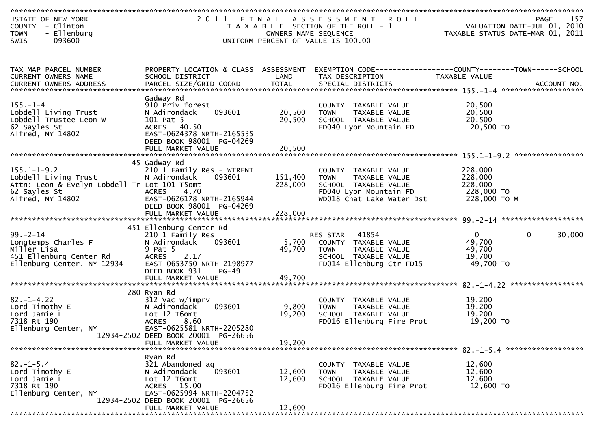| STATE OF NEW YORK<br>COUNTY - Clinton<br>- Ellenburg<br><b>TOWN</b><br>$-093600$<br><b>SWIS</b>                               |                                                                                                                                                                      | OWNERS NAME SEQUENCE          | 2011 FINAL ASSESSMENT ROLL<br>T A X A B L E SECTION OF THE ROLL - 1<br>UNIFORM PERCENT OF VALUE IS 100.00                           | VALUATION DATE-JUL 01, 2010<br>TAXABLE STATUS DATE-MAR 01, 2011 | 157<br>PAGE        |
|-------------------------------------------------------------------------------------------------------------------------------|----------------------------------------------------------------------------------------------------------------------------------------------------------------------|-------------------------------|-------------------------------------------------------------------------------------------------------------------------------------|-----------------------------------------------------------------|--------------------|
|                                                                                                                               |                                                                                                                                                                      |                               |                                                                                                                                     |                                                                 |                    |
| TAX MAP PARCEL NUMBER<br>CURRENT OWNERS NAME                                                                                  | PROPERTY LOCATION & CLASS ASSESSMENT<br>SCHOOL DISTRICT                                                                                                              | LAND                          | EXEMPTION CODE-----------------COUNTY-------TOWN------SCHOOL<br>TAX DESCRIPTION                                                     | TAXABLE VALUE                                                   |                    |
| $155. - 1 - 4$<br>Lobdell Living Trust<br>Lobdell Trustee Leon W<br>62 Sayles St<br>Alfred, NY 14802                          | Gadway Rd<br>910 Priv forest<br>N Adirondack<br>093601<br>101 Pat 5<br>ACRES 40.50<br>EAST-0624378 NRTH-2165535<br>DEED BOOK 98001 PG-04269<br>FULL MARKET VALUE     | 20,500<br>20,500<br>20,500    | COUNTY TAXABLE VALUE<br><b>TOWN</b><br>TAXABLE VALUE<br>SCHOOL TAXABLE VALUE<br>FD040 Lyon Mountain FD                              | 20,500<br>20,500<br>20,500<br>20,500 TO                         |                    |
| $155.1 - 1 - 9.2$<br>Lobdell Living Trust<br>Attn: Leon & Evelyn Lobdell Tr Lot 101 T5omt<br>62 Sayles St<br>Alfred, NY 14802 | 45 Gadway Rd<br>210 1 Family Res - WTRFNT<br>N Adirondack<br>093601<br>4.70<br>ACRES<br>EAST-0626178 NRTH-2165944<br>DEED BOOK 98001 PG-04269<br>FULL MARKET VALUE   | 151,400<br>228,000<br>228,000 | COUNTY TAXABLE VALUE<br>TAXABLE VALUE<br><b>TOWN</b><br>SCHOOL TAXABLE VALUE<br>FD040 Lyon Mountain FD<br>WD018 Chat Lake Water Dst | 228,000<br>228,000<br>228,000<br>228,000 TO<br>228,000 TO M     |                    |
|                                                                                                                               | 451 Ellenburg Center Rd                                                                                                                                              |                               |                                                                                                                                     |                                                                 |                    |
| $99 - 2 - 14$<br>Longtemps Charles F<br>Miller Lisa<br>451 Ellenburg Center Rd<br>Ellenburg Center, NY 12934                  | 210 1 Family Res<br>093601<br>N Adirondack<br>9 Pat 5<br>2.17<br><b>ACRES</b><br>EAST-0653750 NRTH-2198977<br>DEED BOOK 931<br><b>PG-49</b>                          | 5,700<br>49,700               | 41854<br>RES STAR<br>COUNTY TAXABLE VALUE<br><b>TOWN</b><br>TAXABLE VALUE<br>SCHOOL TAXABLE VALUE<br>FD014 Ellenburg Ctr FD15       | 0<br>49,700<br>49,700<br>19,700<br>49,700 TO                    | $\Omega$<br>30,000 |
|                                                                                                                               | FULL MARKET VALUE                                                                                                                                                    | 49,700                        |                                                                                                                                     |                                                                 |                    |
| $82 - 1 - 4.22$<br>Lord Timothy E<br>Lord Jamie L<br>7318 Rt 190<br>Ellenburg Center, NY                                      | 280 Ryan Rd<br>312 Vac w/imprv<br>093601<br>N Adirondack<br>Lot 12 T6omt<br><b>ACRES</b><br>8.60<br>EAST-0625581 NRTH-2205280<br>12934-2502 DEED BOOK 20001 PG-26656 | 9,800<br>19,200               | COUNTY TAXABLE VALUE<br>TAXABLE VALUE<br>TOWN<br>SCHOOL TAXABLE VALUE<br>FD016 Ellenburg Fire Prot                                  | 19,200<br>19,200<br>19,200<br>19,200 TO                         |                    |
|                                                                                                                               | FULL MARKET VALUE                                                                                                                                                    | 19,200                        |                                                                                                                                     |                                                                 |                    |
| $82. - 1 - 5.4$<br>Lord Timothy E<br>Lord Jamie L<br>7318 Rt 190<br>Ellenburg Center, NY                                      | Ryan Rd<br>321 Abandoned ag<br>093601<br>N Adirondack<br>Lot 12 T6omt<br>ACRES 15.00<br>EAST-0625994 NRTH-2204752<br>12934-2502 DEED BOOK 20001 PG-26656             | 12,600<br>12,600              | COUNTY TAXABLE VALUE<br><b>TOWN</b><br>TAXABLE VALUE<br>SCHOOL TAXABLE VALUE<br>FD016 Ellenburg Fire Prot                           | 12,600<br>12,600<br>12,600<br>12,600 TO                         |                    |
|                                                                                                                               | FULL MARKET VALUE                                                                                                                                                    | 12,600                        |                                                                                                                                     |                                                                 |                    |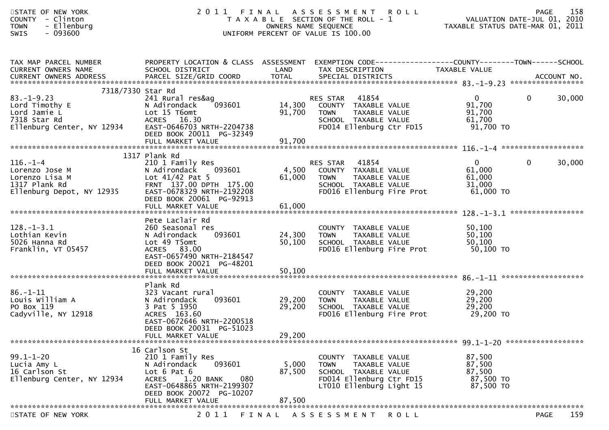| STATE OF NEW YORK<br>- Clinton<br><b>COUNTY</b><br>- Ellenburg<br><b>TOWN</b><br>$-093600$<br><b>SWIS</b>             | 2011                                                                                                                                                                                             |                            | FINAL ASSESSMENT<br><b>ROLL</b><br>T A X A B L E SECTION OF THE ROLL - 1<br>OWNERS NAME SEQUENCE<br>UNIFORM PERCENT OF VALUE IS 100.00 | VALUATION DATE-JUL 01, 2010<br>TAXABLE STATUS DATE-MAR 01, 2011 | <b>PAGE</b>  | 158    |
|-----------------------------------------------------------------------------------------------------------------------|--------------------------------------------------------------------------------------------------------------------------------------------------------------------------------------------------|----------------------------|----------------------------------------------------------------------------------------------------------------------------------------|-----------------------------------------------------------------|--------------|--------|
| TAX MAP PARCEL NUMBER<br>CURRENT OWNERS NAME<br>CURRENT OWNERS ADDRESS                                                | PROPERTY LOCATION & CLASS ASSESSMENT<br>SCHOOL DISTRICT                                                                                                                                          | LAND                       | EXEMPTION CODE------------------COUNTY--------TOWN------SCHOOL<br>TAX DESCRIPTION                                                      | TAXABLE VALUE                                                   |              |        |
| 7318/7330 Star Rd<br>$83. - 1 - 9.23$<br>Lord Timothy E<br>Lord Jamie L<br>7318 Star Rd<br>Ellenburg Center, NY 12934 | 241 Rural res&ag<br>093601<br>N Adirondack<br>Lot 15 T6omt<br>ACRES 16.30<br>EAST-0646703 NRTH-2204738<br>DEED BOOK 20011 PG-32349<br>FULL MARKET VALUE                                          | 14,300<br>91,700<br>91,700 | 41854<br>RES STAR<br>COUNTY TAXABLE VALUE<br>TAXABLE VALUE<br><b>TOWN</b><br>SCHOOL TAXABLE VALUE<br>FD014 Ellenburg Ctr FD15          | $\overline{0}$<br>91,700<br>91,700<br>61,700<br>91,700 TO       | $\mathbf{0}$ | 30,000 |
|                                                                                                                       |                                                                                                                                                                                                  |                            |                                                                                                                                        |                                                                 |              |        |
| $116. - 1 - 4$<br>Lorenzo Jose M<br>Lorenzo Lisa M<br>1317 Plank Rd<br>Ellenburg Depot, NY 12935                      | 1317 Plank Rd<br>210 1 Family Res<br>N Adirondack<br>093601<br>Lot $41/42$ Pat 5<br>FRNT 137.00 DPTH 175.00<br>EAST-0678329 NRTH-2192208<br>DEED BOOK 20061 PG-92913<br>FULL MARKET VALUE        | 4,500<br>61,000<br>61,000  | 41854<br>RES STAR<br>COUNTY TAXABLE VALUE<br>TAXABLE VALUE<br><b>TOWN</b><br>SCHOOL TAXABLE VALUE<br>FD016 Ellenburg Fire Prot         | $\overline{0}$<br>61,000<br>61,000<br>31,000<br>61,000 TO       | $\mathbf{0}$ | 30,000 |
|                                                                                                                       |                                                                                                                                                                                                  |                            |                                                                                                                                        |                                                                 |              |        |
| $128. - 1 - 3.1$<br>Lothian Kevin<br>5026 Hanna Rd<br>Franklin, VT 05457                                              | Pete Laclair Rd<br>260 Seasonal res<br>093601<br>N Adirondack<br>Lot 49 T5omt<br>ACRES 83.00<br>EAST-0657490 NRTH-2184547<br>DEED BOOK 20021 PG-48201                                            | 24,300<br>50,100           | COUNTY TAXABLE VALUE<br>TAXABLE VALUE<br><b>TOWN</b><br>SCHOOL TAXABLE VALUE<br>FD016 Ellenburg Fire Prot                              | 50,100<br>50,100<br>50,100<br>50,100 TO                         |              |        |
|                                                                                                                       |                                                                                                                                                                                                  |                            |                                                                                                                                        |                                                                 |              |        |
| $86. - 1 - 11$<br>Louis William A<br>PO Box 119<br>Cadyville, NY 12918                                                | Plank Rd<br>323 Vacant rural<br>093601<br>N Adirondack<br>3 Pat 5 1950<br>ACRES 163.60<br>EAST-0672646 NRTH-2200518<br>DEED BOOK 20031 PG-51023                                                  | 29,200<br>29,200           | COUNTY TAXABLE VALUE<br>TAXABLE VALUE<br><b>TOWN</b><br>SCHOOL TAXABLE VALUE<br>FD016 Ellenburg Fire Prot                              | 29,200<br>29,200<br>29,200<br>29,200 TO                         |              |        |
|                                                                                                                       | FULL MARKET VALUE                                                                                                                                                                                | 29,200                     |                                                                                                                                        |                                                                 |              |        |
| $99.1 - 1 - 20$<br>Lucia Amy L<br>16 Carlson St<br>Ellenburg Center, NY 12934                                         | 16 Carlson St<br>210 1 Family Res<br>093601<br>N Adirondack<br>Lot $6$ Pat $6$<br>1.20 BANK<br><b>ACRES</b><br>080<br>EAST-0648865 NRTH-2199307<br>DEED BOOK 20072 PG-10207<br>FULL MARKET VALUE | 5,000<br>87,500<br>87,500  | COUNTY TAXABLE VALUE<br><b>TOWN</b><br>TAXABLE VALUE<br>SCHOOL TAXABLE VALUE<br>FD014 Ellenburg Ctr FD15<br>LT010 Ellenburg Light 15   | 87,500<br>87,500<br>87,500<br>87,500 TO<br>87,500 TO            |              |        |
|                                                                                                                       |                                                                                                                                                                                                  |                            |                                                                                                                                        |                                                                 |              | 1.50   |

STATE OF NEW YORK 2 0 1 1 F I N A L A S S E S S M E N T R O L L PAGE <sup>159</sup>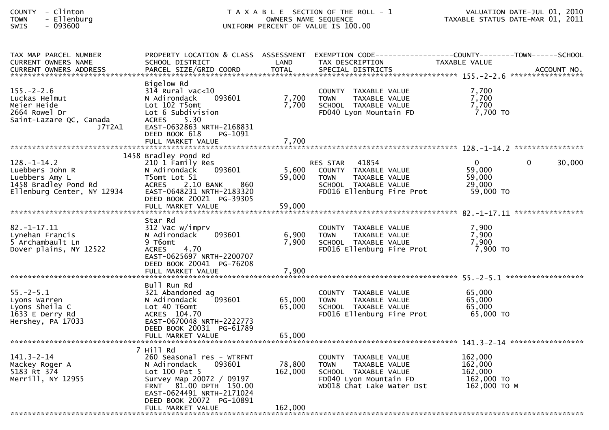| <b>COUNTY</b> | Clinton  |
|---------------|----------|
| <b>TOWN</b>   | Ellenbur |
| -----         | 003000   |

## COUNTY - Clinton T A X A B L E SECTION OF THE ROLL - 1 VALUATION DATE-JUL 01, 2010 TOWN - Ellenburg OWNERS NAME SEQUENCE TAXABLE STATUS DATE-MAR 01, 2011SWIS - 093600 UNIFORM PERCENT OF VALUE IS 100.00

| TAX MAP PARCEL NUMBER                                                                                                                                                                                                          |                                                                                                                                                                                                  |                   | PROPERTY LOCATION & CLASS ASSESSMENT EXEMPTION CODE----------------COUNTY-------TOWN------SCHOOL                                    |                                                             |                    |
|--------------------------------------------------------------------------------------------------------------------------------------------------------------------------------------------------------------------------------|--------------------------------------------------------------------------------------------------------------------------------------------------------------------------------------------------|-------------------|-------------------------------------------------------------------------------------------------------------------------------------|-------------------------------------------------------------|--------------------|
| CURRENT OWNERS NAME                                                                                                                                                                                                            | SCHOOL DISTRICT                                                                                                                                                                                  | LAND              | TAX DESCRIPTION                                                                                                                     | TAXABLE VALUE                                               |                    |
| .4CCOUNT NO . PARCEL SIZE/GRID COORD TOTAL SPECIAL DISTRICTS . ACCOUNT NO . ACCOUNT NO . ACCOUNT NO . بالمحتمد المستوى المستوى المستوى المستوى المستوى المستوى المستوى المستوى المستوى المستوى المستوى المستوى المستوى المستوى |                                                                                                                                                                                                  |                   |                                                                                                                                     |                                                             |                    |
| $155. - 2 - 2.6$<br>Luckas Helmut<br>Meier Heide<br>2664 Rowel Dr<br>Saint-Lazare QC, Canada                                                                                                                                   | Bigelow Rd<br>$314$ Rural vac $<$ 10<br>093601<br>N Adirondack<br>Lot 102 T5omt<br>Lot 6 Subdivision<br>5.30<br><b>ACRES</b>                                                                     | 7,700<br>7,700    | COUNTY TAXABLE VALUE<br><b>TOWN</b><br>TAXABLE VALUE<br>SCHOOL TAXABLE VALUE<br>FD040 Lyon Mountain FD                              | 7,700<br>7,700<br>7,700<br>7,700 TO                         |                    |
| J7T2A1                                                                                                                                                                                                                         | EAST-0632863 NRTH-2168831<br>DEED BOOK 618<br>PG-1091<br>FULL MARKET VALUE                                                                                                                       | 7,700             |                                                                                                                                     |                                                             |                    |
|                                                                                                                                                                                                                                | 1458 Bradley Pond Rd                                                                                                                                                                             |                   |                                                                                                                                     |                                                             |                    |
| $128. - 1 - 14.2$<br>Luebbers John R<br>ושא כובאצבה<br>1458 Bradley Pond Rd<br>Ellenburg Center, NY 12934                                                                                                                      | 210 1 Family Res<br>093601<br>N Adirondack<br>T5omt Lot 51<br>860<br>ACRES 2.10 BANK<br>EAST-0648231 NRTH-2183320<br>DEED BOOK 20021 PG-39305                                                    | 5,600<br>59,000   | RES STAR 41854<br>COUNTY TAXABLE VALUE<br>TAXABLE VALUE<br><b>TOWN</b><br>SCHOOL TAXABLE VALUE<br>FD016 Ellenburg Fire Prot         | $\mathbf{0}$<br>59,000<br>59,000<br>29,000<br>59,000 TO     | $\Omega$<br>30,000 |
|                                                                                                                                                                                                                                | FULL MARKET VALUE                                                                                                                                                                                | 59,000            |                                                                                                                                     |                                                             |                    |
|                                                                                                                                                                                                                                |                                                                                                                                                                                                  |                   |                                                                                                                                     |                                                             |                    |
| $82. - 1 - 17.11$<br>Lynehan Francis<br>5 Archambault Ln<br>Dover plains, NY 12522                                                                                                                                             | Star Rd<br>312 Vac w/imprv<br>093601<br>N Adirondack<br>9 T6omt<br>4.70<br>ACRES<br>EAST-0625697 NRTH-2200707<br>DEED BOOK 20041 PG-76208                                                        | 6,900<br>7,900    | COUNTY TAXABLE VALUE<br><b>TOWN</b><br>TAXABLE VALUE<br>SCHOOL TAXABLE VALUE<br>FD016 Ellenburg Fire Prot                           | 7,900<br>7,900<br>7,900<br>7,900 TO                         |                    |
|                                                                                                                                                                                                                                | Bull Run Rd                                                                                                                                                                                      |                   |                                                                                                                                     |                                                             |                    |
| $55. - 2 - 5.1$<br>Lyons Warren<br>Lyons Sheila C<br>1633 E Derry Rd<br>Hershey, PA 17033                                                                                                                                      | 321 Abandoned ag<br>093601<br>N Adirondack<br>Lot 40 T6omt<br>ACRES 104.70<br>EAST-0670048 NRTH-2222773<br>DEED BOOK 20031 PG-61789                                                              | 65,000<br>65,000  | COUNTY TAXABLE VALUE<br><b>TOWN</b><br>TAXABLE VALUE<br>SCHOOL TAXABLE VALUE<br>FD016 Ellenburg Fire Prot                           | 65,000<br>65,000<br>65,000<br>65,000 TO                     |                    |
|                                                                                                                                                                                                                                | FULL MARKET VALUE                                                                                                                                                                                | 65,000            |                                                                                                                                     |                                                             |                    |
|                                                                                                                                                                                                                                |                                                                                                                                                                                                  |                   |                                                                                                                                     |                                                             |                    |
| $141.3 - 2 - 14$<br>Mackey Roger A<br>5183 Rt 374<br>Merrill, NY 12955                                                                                                                                                         | 7 Hill Rd<br>260 Seasonal res - WTRFNT<br>093601<br>N Adirondack<br>Lot 100 Pat 5<br>Survey Map 20072 / 09197<br>FRNT 81.00 DPTH 150.00<br>EAST-0624491 NRTH-2171024<br>DEED BOOK 20072 PG-10891 | 78,800<br>162,000 | COUNTY TAXABLE VALUE<br><b>TOWN</b><br>TAXABLE VALUE<br>SCHOOL TAXABLE VALUE<br>FD040 Lyon Mountain FD<br>WD018 Chat Lake Water Dst | 162,000<br>162,000<br>162,000<br>162,000 TO<br>162,000 то м |                    |
|                                                                                                                                                                                                                                | FULL MARKET VALUE                                                                                                                                                                                | 162,000           |                                                                                                                                     |                                                             |                    |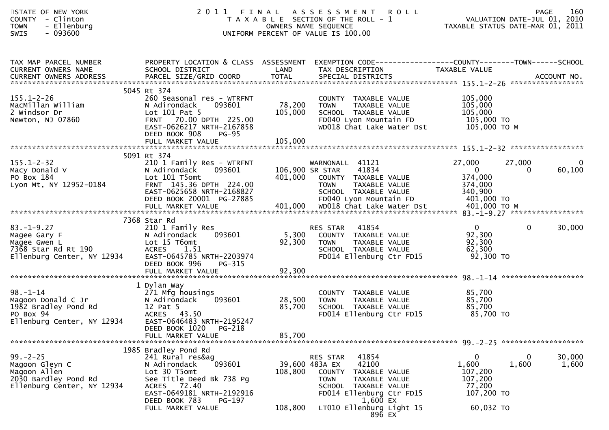| STATE OF NEW YORK<br>COUNTY - Clinton<br>- Ellenburg<br><b>TOWN</b><br>SWIS<br>$-093600$                                                                     |                                                                                                                                                                                                            |                              | 2011 FINAL ASSESSMENT ROLL<br>PAGE 160<br>ROLL - 1 VALUATION DATE-JUL 01, 2010<br>TAXABLE STATUS DATE WARE 2010<br>T A X A B L E SECTION OF THE ROLL - 1<br>OWNERS NAME SEQUENCE<br>UNIFORM PERCENT OF VALUE IS 100.00 |                                                                           |                    |                 |
|--------------------------------------------------------------------------------------------------------------------------------------------------------------|------------------------------------------------------------------------------------------------------------------------------------------------------------------------------------------------------------|------------------------------|------------------------------------------------------------------------------------------------------------------------------------------------------------------------------------------------------------------------|---------------------------------------------------------------------------|--------------------|-----------------|
| TAX MAP PARCEL NUMBER<br>CURRENT OWNERS NAME<br>.CURRENT OWNERS ADDRESS PARCEL SIZE/GRID COORD TOTAL SPECIAL DISTRICTS ACCOUNT NO ACCOUNT NO ACCOUNT NO CORP | SCHOOL DISTRICT                                                                                                                                                                                            | <b>Example 18 The LAND</b>   | PROPERTY LOCATION & CLASS ASSESSMENT EXEMPTION CODE---------------COUNTY-------TOWN------SCHOOL<br>TAX DESCRIPTION                                                                                                     | TAXABLE VALUE                                                             |                    |                 |
| $155.1 - 2 - 26$<br>MacMillan William<br>2 Windsor Dr<br>Newton, NJ 07860                                                                                    | 5045 Rt 374<br>260 Seasonal res - WTRFNT<br>N Adirondack<br>093601<br>Lot 101 Pat 5<br>FRNT 70.00 DPTH 225.00<br>EAST-0626217 NRTH-2167858<br>DEED BOOK 908<br>PG-95<br>FULL MARKET VALUE                  | 78,200<br>105,000<br>105,000 | COUNTY TAXABLE VALUE<br><b>TOWN</b><br>TAXABLE VALUE<br>SCHOOL TAXABLE VALUE<br>FD040 Lyon Mountain FD 105,000 TO<br>WD018 Chat Lake Water Dst                                                                         | 105,000<br>105,000<br>105,000<br>105,000 то м                             |                    |                 |
| $155.1 - 2 - 32$<br>Macy Donald V<br>PO Box 184<br>Lyon Mt, NY 12952-0184                                                                                    | 5091 Rt 374<br>210 1 Family Res - WTRFNT<br>093601<br>N Adirondack<br>Lot 101 T5omt<br>FRNT 145.36 DPTH 224.00<br>EAST-0625658 NRTH-2168827<br>DEED BOOK 20001 PG-27885                                    |                              | WARNONALL 41121<br>106,900 SR STAR<br>41834<br>401,000 COUNTY TAXABLE VALUE<br>TOWN<br>TAXABLE VALUE<br>SCHOOL TAXABLE VALUE<br>FD040 Lyon Mountain FD                                                                 | 27,000<br>$\overline{0}$<br>374,000<br>374,000<br>340,900<br>$401,000$ TO | 27,000<br>$\Omega$ | 0<br>60,100     |
| $83. - 1 - 9.27$<br>Magee Gary F<br>Magee Gwen L<br>$7368$ Star Rd Rt 190<br>Ellenburg Center, NY 12934                                                      | 7368 Star Rd<br>210 1 Family Res<br>N Adirondack<br>093601<br>Lot 15 T6omt<br><b>ACRES</b><br>1.51<br>EAST-0645785 NRTH-2203974<br>DEED BOOK 996<br>PG-315                                                 | 5,300<br>92,300              | 41854<br>RES STAR<br>COUNTY TAXABLE VALUE<br><b>TOWN</b><br>TAXABLE VALUE<br>SCHOOL TAXABLE VALUE<br>FD014 Ellenburg Ctr FD15                                                                                          | $\overline{0}$<br>92,300<br>92,300<br>62,300<br>92,300 TO                 | $\mathbf{0}$       | 30,000          |
| 98.-1-14<br>Magoon Donald C Jr<br>1982 Bradley Pond Rd<br>DO Boy 94<br>PO Box 94<br>Ellenburg Center, NY 12934                                               | 1 Dylan Way<br>271 Mfg housings<br>N Adirondack 093601<br>12 Pat 5<br>ACRES 43.50<br>EAST-0646483 NRTH-2195247<br>DEED BOOK 1020 PG-218<br>FULL MARKET VALUE                                               | 85,700<br>85,700             | COUNTY TAXABLE VALUE<br>28,500 TOWN<br>TAXABLE VALUE<br>SCHOOL TAXABLE VALUE<br>FD014 Ellenburg Ctr FD15                                                                                                               | 85,700<br>85,700<br>85,700<br>85,700 TO                                   |                    |                 |
| $99. - 2 - 25$<br>Magoon Gleyn C<br>Magoon Allen<br>2030 Bardley Pond Rd<br>Ellenburg Center, NY 12934                                                       | 1985 Bradley Pond Rd<br>241 Rural res&ag<br>093601<br>N Adirondack<br>Lot 30 T5omt<br>See Title Deed Bk 738 Pg<br>ACRES 72.40<br>EAST-0649181 NRTH-2192916<br>DEED BOOK 783<br>PG-197<br>FULL MARKET VALUE | 108,800<br>108,800           | RES STAR<br>41854<br>42100<br>39,600 483A EX<br><b>COUNTY</b><br>TAXABLE VALUE<br><b>TOWN</b><br>TAXABLE VALUE<br>SCHOOL TAXABLE VALUE<br>FD014 Ellenburg Ctr FD15<br>1,600 EX<br>LT010 Ellenburg Light 15<br>896 EX   | 0<br>1,600<br>107,200<br>107,200<br>77,200<br>107,200 TO<br>60,032 TO     | 0<br>1,600         | 30,000<br>1,600 |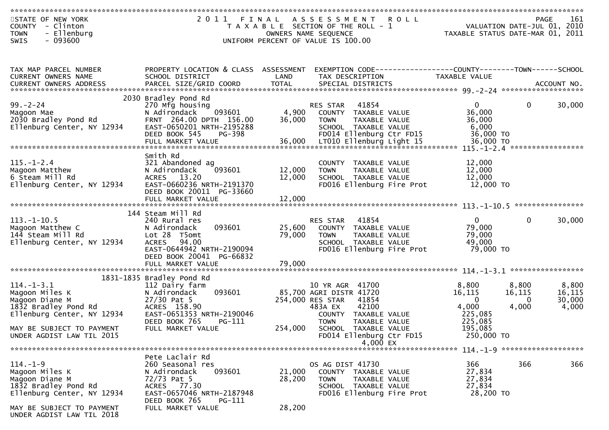| STATE OF NEW YORK<br>COUNTY - Clinton<br><b>TOWN</b><br>- Ellenburg<br>$-093600$<br><b>SWIS</b>               | 2011 FINAL                                                                                                                                          |                            | <b>ROLL</b><br>A S S E S S M E N T<br>T A X A B L E SECTION OF THE ROLL - 1<br>OWNERS NAME SEQUENCE<br>UNIFORM PERCENT OF VALUE IS 100.00 | VALUATION DATE-JUL 01, 2010<br>TAXABLE STATUS DATE-MAR 01, 2011 |                               | <b>PAGE</b><br>161                 |
|---------------------------------------------------------------------------------------------------------------|-----------------------------------------------------------------------------------------------------------------------------------------------------|----------------------------|-------------------------------------------------------------------------------------------------------------------------------------------|-----------------------------------------------------------------|-------------------------------|------------------------------------|
|                                                                                                               |                                                                                                                                                     |                            |                                                                                                                                           |                                                                 |                               |                                    |
| TAX MAP PARCEL NUMBER<br>CURRENT OWNERS NAME                                                                  | PROPERTY LOCATION & CLASS ASSESSMENT<br>SCHOOL DISTRICT                                                                                             | LAND                       | EXEMPTION CODE------------------COUNTY--------TOWN------SCHOOL<br>TAX DESCRIPTION                                                         | TAXABLE VALUE                                                   |                               |                                    |
|                                                                                                               | 2030 Bradley Pond Rd                                                                                                                                |                            |                                                                                                                                           |                                                                 |                               |                                    |
| $99. - 2 - 24$<br>Magoon Mae<br>2030 Bradley Pond Rd<br>Ellenburg Center, NY 12934                            | 270 Mfg housing<br>N Adirondack<br>093601<br>FRNT 264.00 DPTH 156.00<br>EAST-0650201 NRTH-2195288<br>DEED BOOK 545<br>PG-398                        | 4,900<br>36,000            | 41854<br>RES STAR<br>COUNTY TAXABLE VALUE<br><b>TOWN</b><br>TAXABLE VALUE<br>SCHOOL TAXABLE VALUE<br>FD014 Ellenburg Ctr FD15             | $\mathbf{0}$<br>36,000<br>36,000<br>6,000<br>36,000 TO          | $\mathbf 0$                   | 30,000                             |
| = 111 MARKET VALUE<br>FULL MARKET VALUE 36,000 LT010 Ellenburg Light 15 36,000 TO FULL MARKET VALUE 36,000 FO |                                                                                                                                                     |                            |                                                                                                                                           |                                                                 |                               |                                    |
| $115. - 1 - 2.4$<br>Magoon Matthew<br>6 Steam Mill Rd<br>Ellenburg Center, NY 12934                           | Smith Rd<br>321 Abandoned ag<br>093601<br>N Adirondack<br>ACRES 13.20<br>EAST-0660236 NRTH-2191370<br>DEED BOOK 20011 PG-33660<br>FULL MARKET VALUE | 12,000<br>12,000<br>12,000 | COUNTY TAXABLE VALUE<br><b>TOWN</b><br>TAXABLE VALUE<br>SCHOOL TAXABLE VALUE<br>FD016 Ellenburg Fire Prot                                 | 12,000<br>12,000<br>12,000<br>12,000 TO                         |                               |                                    |
|                                                                                                               |                                                                                                                                                     |                            |                                                                                                                                           |                                                                 |                               |                                    |
| $113 - 1 - 10.5$<br>Magoon Matthew C<br>144 Steam Mill Rd<br>Ellenburg Center, NY 12934                       | 144 Steam Mill Rd<br>240 Rural res<br>093601<br>N Adirondack<br>Lot 28 T5omt<br>94.00<br><b>ACRES</b><br>EAST-0644942 NRTH-2190094                  | 25,600<br>79,000           | 41854<br>RES STAR<br>COUNTY TAXABLE VALUE<br>TAXABLE VALUE<br><b>TOWN</b><br>SCHOOL TAXABLE VALUE<br>FD016 Ellenburg Fire Prot            | $\mathbf{0}$<br>79,000<br>79,000<br>49,000<br>79,000 TO         | $\mathbf{0}$                  | 30,000                             |
|                                                                                                               | DEED BOOK 20041 PG-66832<br>FULL MARKET VALUE                                                                                                       | 79,000                     |                                                                                                                                           |                                                                 |                               |                                    |
|                                                                                                               |                                                                                                                                                     |                            |                                                                                                                                           |                                                                 |                               |                                    |
| $114. - 1 - 3.1$<br>Magoon Miles K<br>Magoon Diane M<br>1832 Bradley Pond Rd<br>Ellenburg Center, NY 12934    | 1831-1835 Bradley Pond Rd<br>112 Dairy farm<br>093601<br>N Adirondack<br>$27/30$ Pat 5<br>ACRES 158.90<br>EAST-0651353 NRTH-2190046                 |                            | 10 YR AGR 41700<br>85,700 AGRI DISTR 41720<br>254,000 RES STAR<br>41854<br>42100<br>483A EX<br>COUNTY TAXABLE VALUE                       | 8,800<br>16,115<br>$\mathbf{0}$<br>4,000<br>225,085             | 8,800<br>16,115<br>0<br>4,000 | 8,800<br>16,115<br>30,000<br>4,000 |
| MAY BE SUBJECT TO PAYMENT<br>UNDER AGDIST LAW TIL 2015                                                        | DEED BOOK 765<br>PG-111<br>FULL MARKET VALUE                                                                                                        |                            | <b>TOWN</b><br>TAXABLE VALUE<br>254,000 SCHOOL TAXABLE VALUE<br>FD014 Ellenburg Ctr FD15<br>4,000 $EX$                                    | 225,085<br>195,085<br>250,000 TO                                |                               |                                    |
|                                                                                                               |                                                                                                                                                     |                            |                                                                                                                                           |                                                                 |                               |                                    |
| $114. - 1 - 9$<br>Magoon Miles K<br>Magoon Diane M<br>1832 Bradley Pond Rd<br>Ellenburg Center, NY 12934      | Pete Laclair Rd<br>260 Seasonal res<br>093601<br>N Adirondack<br>72/73 Pat 5<br>ACRES 77.30<br>EAST-0657046 NRTH-2187948<br>DEED BOOK 765<br>PG-111 | 21,000<br>28,200           | OS AG DIST 41730<br>COUNTY TAXABLE VALUE<br><b>TOWN</b><br>TAXABLE VALUE<br>SCHOOL TAXABLE VALUE<br>FD016 Ellenburg Fire Prot             | 366<br>27,834<br>27,834<br>27,834<br>28,200 TO                  | 366                           | 366                                |
| MAY BE SUBJECT TO PAYMENT<br>UNDER AGDIST LAW TIL 2018                                                        | FULL MARKET VALUE                                                                                                                                   | 28,200                     |                                                                                                                                           |                                                                 |                               |                                    |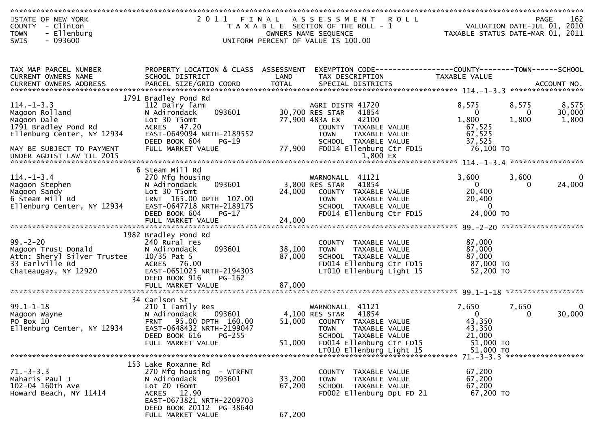| STATE OF NEW YORK<br>COUNTY - Clinton<br>- Ellenburg<br><b>TOWN</b> |                                                       |        | 2011 FINAL ASSESSMENT ROLL<br>T A X A B L E SECTION OF THE ROLL - 1<br>OWNERS NAME SEQUENCE | D L L<br>VALUATION DATE-JUL 01, 2010<br>TAXABLE STATUS DATE-MAR 01, 2011 | 162<br><b>PAGE</b>                      |
|---------------------------------------------------------------------|-------------------------------------------------------|--------|---------------------------------------------------------------------------------------------|--------------------------------------------------------------------------|-----------------------------------------|
| $-093600$<br>SWIS                                                   |                                                       |        | UNIFORM PERCENT OF VALUE IS 100.00                                                          |                                                                          |                                         |
|                                                                     |                                                       |        |                                                                                             |                                                                          |                                         |
| TAX MAP PARCEL NUMBER                                               | PROPERTY LOCATION & CLASS ASSESSMENT                  |        | EXEMPTION CODE-----------------COUNTY--------TOWN------SCHOOL                               |                                                                          |                                         |
| CURRENT OWNERS NAME                                                 | SCHOOL DISTRICT                                       | LAND   | TAX DESCRIPTION                                                                             | TAXABLE VALUE                                                            |                                         |
|                                                                     |                                                       |        |                                                                                             |                                                                          |                                         |
|                                                                     | 1791 Bradley Pond Rd                                  |        |                                                                                             |                                                                          |                                         |
| $114. - 1 - 3.3$                                                    | 112 Dairy farm                                        |        | AGRI DISTR 41720                                                                            | 8,575                                                                    | 8,575<br>8,575                          |
| Magoon Rolland                                                      | 093601<br>N Adirondack<br>Lot 30 T5omt                |        | 30,700 RES STAR<br>41854<br>77,900 483A EX<br>42100                                         | $\mathbf{0}$<br>1,800                                                    | 30,000<br>$\Omega$<br>1,800<br>1,800    |
| Magoon Dale<br>1791 Bradley Pond Rd                                 | ACRES 47.20                                           |        | COUNTY TAXABLE VALUE                                                                        | 67,525                                                                   |                                         |
| Ellenburg Center, NY 12934                                          | EAST-0649094 NRTH-2189552                             |        | <b>TOWN</b><br>TAXABLE VALUE                                                                | 67,525                                                                   |                                         |
|                                                                     | DEED BOOK 604<br>PG-19                                |        | SCHOOL TAXABLE VALUE                                                                        | 37,525                                                                   |                                         |
| MAY BE SUBJECT TO PAYMENT<br>UNDER AGDIST LAW TIL 2015              | FULL MARKET VALUE                                     |        | 77,900 FD014 Ellenburg Ctr FD15<br>1,800 EX                                                 | 76,100 TO                                                                |                                         |
|                                                                     |                                                       |        |                                                                                             |                                                                          |                                         |
|                                                                     | 6 Steam Mill Rd                                       |        |                                                                                             |                                                                          |                                         |
| $114. - 1 - 3.4$<br>Magoon Stephen                                  | 270 Mfg housing<br>093601<br>N Adirondack             |        | WARNONALL 41121<br>3,800 RES STAR<br>41854                                                  | 3,600<br>$\overline{0}$                                                  | 3,600<br>$\bf{0}$<br>24,000<br>$\Omega$ |
| Magoon Sandy                                                        | Lot 30 T5omt                                          | 24,000 | COUNTY TAXABLE VALUE                                                                        | 20,400                                                                   |                                         |
| 6 Steam Mill Rd                                                     | FRNT 165.00 DPTH 107.00                               |        | TAXABLE VALUE<br><b>TOWN</b>                                                                | 20,400                                                                   |                                         |
| Ellenburg Center, NY 12934                                          | EAST-0647718 NRTH-2189175                             |        | SCHOOL TAXABLE VALUE                                                                        | $\overline{0}$                                                           |                                         |
|                                                                     | DEED BOOK 604<br>$PG-17$<br>FULL MARKET VALUE         | 24,000 | FD014 Ellenburg Ctr FD15                                                                    | 24,000 TO                                                                |                                         |
|                                                                     |                                                       |        |                                                                                             |                                                                          |                                         |
|                                                                     | 1982 Bradley Pond Rd                                  |        |                                                                                             |                                                                          |                                         |
| $99. - 2 - 20$                                                      | 240 Rural res                                         |        | COUNTY TAXABLE VALUE                                                                        | 87,000                                                                   |                                         |
| Magoon Trust Donald                                                 | 093601<br>N Adirondack                                | 38,100 | TAXABLE VALUE<br>TOWN                                                                       | 87,000                                                                   |                                         |
| Attn: Sheryl Silver Trustee<br>33 Earlville Rd                      | 10/35 Pat 5<br>ACRES 76.00                            | 87,000 | SCHOOL TAXABLE VALUE<br>FD014 Ellenburg Ctr FD15                                            | 87,000<br>87,000 TO                                                      |                                         |
| Chateaugay, NY 12920                                                | EAST-0651025 NRTH-2194303                             |        | LT010 Ellenburg Light 15                                                                    | 52,200 TO                                                                |                                         |
|                                                                     | DEED BOOK 916<br>PG-162                               |        |                                                                                             |                                                                          |                                         |
|                                                                     | FULL MARKET VALUE                                     | 87,000 |                                                                                             |                                                                          |                                         |
|                                                                     | 34 Carlson St                                         |        |                                                                                             |                                                                          |                                         |
| $99.1 - 1 - 18$                                                     | 210 1 Family Res                                      |        | WARNONALL<br>41121                                                                          | 7,650                                                                    | 7,650<br>0                              |
| Magoon Wayne                                                        | N Adirondack<br>093601                                |        | 41854<br>4,100 RES STAR                                                                     | $\mathbf{0}$                                                             | 30,000<br>0                             |
| PO Box 10                                                           | FRNT 95.00 DPTH 160.00                                | 51,000 | COUNTY TAXABLE VALUE                                                                        | 43,350                                                                   |                                         |
| Ellenburg Center, NY 12934                                          | EAST-0648432 NRTH-2199047<br>$PG-255$                 |        | <b>TOWN</b><br>TAXABLE VALUE                                                                | 43,350<br>21,000                                                         |                                         |
|                                                                     | DEED BOOK 616<br>FULL MARKET VALUE                    | 51,000 | SCHOOL TAXABLE VALUE<br>FD014 Ellenburg Ctr FD15                                            | 51,000 TO                                                                |                                         |
|                                                                     |                                                       |        | LT010 Ellenburg Light 15                                                                    | 51,000 TO                                                                |                                         |
|                                                                     |                                                       |        |                                                                                             |                                                                          | 71. - 3 - 3.3 ********************      |
| $71. - 3 - 3.3$                                                     | 153 Lake Roxanne Rd                                   |        |                                                                                             |                                                                          |                                         |
| Maharis Paul J                                                      | 270 Mfg housing<br>- WTRFNT<br>093601<br>N Adirondack | 33,200 | <b>COUNTY</b><br>TAXABLE VALUE<br>TAXABLE VALUE<br><b>TOWN</b>                              | 67,200<br>67,200                                                         |                                         |
| 102-04 160th Ave                                                    | Lot 20 T6omt                                          | 67,200 | SCHOOL TAXABLE VALUE                                                                        | 67,200                                                                   |                                         |
| Howard Beach, NY 11414                                              | ACRES 12.90                                           |        | FD002 Ellenburg Dpt FD 21                                                                   | 67,200 TO                                                                |                                         |
|                                                                     | EAST-0673821 NRTH-2209703                             |        |                                                                                             |                                                                          |                                         |
|                                                                     | DEED BOOK 20112 PG-38640<br>FULL MARKET VALUE         | 67,200 |                                                                                             |                                                                          |                                         |
|                                                                     |                                                       |        |                                                                                             |                                                                          |                                         |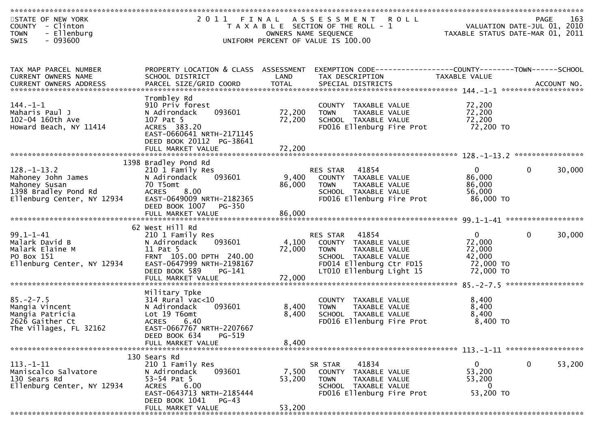| STATE OF NEW YORK<br>COUNTY - Clinton<br>- Ellenburg<br><b>TOWN</b><br>$-093600$<br><b>SWIS</b>                |                                                                                                                                                                                   |                           | 2011 FINAL ASSESSMENT<br><b>ROLL</b><br>T A X A B L E SECTION OF THE ROLL - 1<br>OWNERS NAME SEQUENCE<br>UNIFORM PERCENT OF VALUE IS 100.00               |                                                                      | 163<br>PAGE<br>VALUATION DATE-JUL 01, 2010<br>TAXABLE STATUS DATE-MAR 01, 2011 |
|----------------------------------------------------------------------------------------------------------------|-----------------------------------------------------------------------------------------------------------------------------------------------------------------------------------|---------------------------|-----------------------------------------------------------------------------------------------------------------------------------------------------------|----------------------------------------------------------------------|--------------------------------------------------------------------------------|
| TAX MAP PARCEL NUMBER                                                                                          | PROPERTY LOCATION & CLASS ASSESSMENT                                                                                                                                              |                           |                                                                                                                                                           |                                                                      |                                                                                |
| CURRENT OWNERS NAME                                                                                            | SCHOOL DISTRICT                                                                                                                                                                   | LAND                      | TAX DESCRIPTION                                                                                                                                           | TAXABLE VALUE                                                        |                                                                                |
| $144. - 1 - 1$<br>Maharis Paul J<br>102-04 160th Ave<br>Howard Beach, NY 11414                                 | Trombley Rd<br>910 Priv forest<br>093601<br>N Adirondack<br>107 Pat 5<br>ACRES 383.20<br>EAST-0660641 NRTH-2171145<br>DEED BOOK 20112 PG-38641                                    | 72,200<br>72,200          | COUNTY TAXABLE VALUE<br><b>TOWN</b><br>TAXABLE VALUE<br>SCHOOL TAXABLE VALUE<br>FD016 Ellenburg Fire Prot                                                 | 72,200<br>72,200<br>72,200<br>72,200 TO                              |                                                                                |
|                                                                                                                |                                                                                                                                                                                   |                           |                                                                                                                                                           |                                                                      |                                                                                |
| $128. - 1 - 13.2$<br>Mahoney John James<br>Mahoney Susan<br>1398 Bradley Pond Rd<br>Ellenburg Center, NY 12934 | 1398 Bradley Pond Rd<br>210 1 Family Res<br>N Adirondack<br>093601<br>70 T5omt<br><b>ACRES</b><br>8.00<br>EAST-0649009 NRTH-2182365                                               | 9,400<br>86,000           | RES STAR<br>41854<br>COUNTY TAXABLE VALUE<br><b>TOWN</b><br>TAXABLE VALUE<br>SCHOOL TAXABLE VALUE<br>FD016 Ellenburg Fire Prot                            | $\overline{0}$<br>86,000<br>86,000<br>56,000<br>86,000 TO            | $\mathbf{0}$<br>30,000                                                         |
|                                                                                                                | DEED BOOK 1007<br>PG-350<br>FULL MARKET VALUE                                                                                                                                     | 86,000                    |                                                                                                                                                           |                                                                      |                                                                                |
| $99.1 - 1 - 41$<br>Malark David B<br>Malark Elaine M<br>PO Box 151<br>Ellenburg Center, NY 12934               | 62 West Hill Rd<br>210 1 Family Res<br>093601<br>N Adirondack<br>11 Pat 5<br>FRNT 105.00 DPTH 240.00<br>EAST-0647999 NRTH-2198167<br>DEED BOOK 589<br>PG-141<br>FULL MARKET VALUE | 4,100<br>72,000<br>72,000 | 41854<br>RES STAR<br>COUNTY TAXABLE VALUE<br><b>TOWN</b><br>TAXABLE VALUE<br>SCHOOL TAXABLE VALUE<br>FD014 Ellenburg Ctr FD15<br>LT010 Ellenburg Light 15 | $\mathbf{0}$<br>72,000<br>72,000<br>42,000<br>72,000 TO<br>72,000 TO | $\mathbf{0}$<br>30,000                                                         |
|                                                                                                                |                                                                                                                                                                                   |                           |                                                                                                                                                           |                                                                      |                                                                                |
| $85. - 2 - 7.5$<br>Mangia Vincent<br>Mangia Patricia<br>2626 Gaither Ct<br>The Villages, FL 32162              | Military Tpke<br>$314$ Rural vac< $10$<br>093601<br>N Adirondack<br>Lot 19 T6omt<br><b>ACRES</b><br>6.40<br>EAST-0667767 NRTH-2207667                                             | 8,400<br>8,400            | COUNTY TAXABLE VALUE<br>TAXABLE VALUE<br><b>TOWN</b><br>SCHOOL TAXABLE VALUE<br>FD016 Ellenburg Fire Prot                                                 | 8,400<br>8,400<br>8,400<br>8,400 TO                                  |                                                                                |
|                                                                                                                | DEED BOOK 634<br>PG-519<br>FULL MARKET VALUE                                                                                                                                      | 8,400                     |                                                                                                                                                           |                                                                      |                                                                                |
|                                                                                                                |                                                                                                                                                                                   |                           |                                                                                                                                                           |                                                                      |                                                                                |
| $113. - 1 - 11$<br>Maniscalco Salvatore<br>130 Sears Rd<br>Ellenburg Center, NY 12934                          | 130 Sears Rd<br>210 1 Family Res<br>093601<br>N Adirondack<br>53-54 Pat 5<br>ACRES 6.00<br>EAST-0643713 NRTH-2185444<br>DEED BOOK 1041<br>PG-43                                   | 7,500<br>53,200           | SR STAR<br>41834<br>COUNTY TAXABLE VALUE<br>TAXABLE VALUE<br><b>TOWN</b><br>SCHOOL TAXABLE VALUE<br>FD016 Ellenburg Fire Prot                             | $\overline{0}$<br>53,200<br>53,200<br>0<br>53,200 TO                 | $\mathbf{0}$<br>53,200                                                         |
|                                                                                                                | FULL MARKET VALUE                                                                                                                                                                 | 53,200                    |                                                                                                                                                           |                                                                      |                                                                                |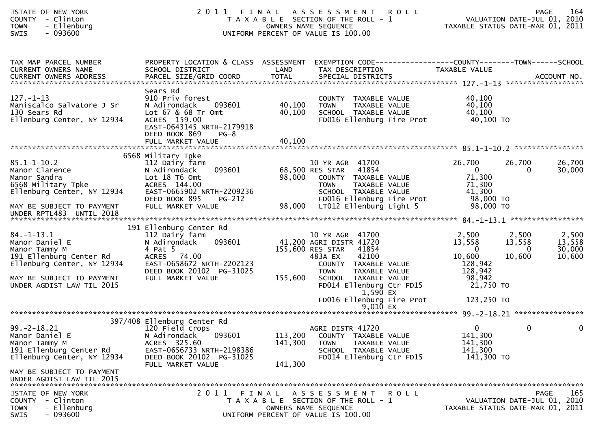| STATE OF NEW YORK<br>COUNTY - Clinton<br>- Ellenburg<br><b>TOWN</b><br>$-093600$<br><b>SWIS</b>              |                                                                                                                                                                |                    | 2011 FINAL ASSESSMENT<br>R O L L<br>T A X A B L E SECTION OF THE ROLL - 1<br>OWNERS NAME SEQUENCE<br>UNIFORM PERCENT OF VALUE IS 100.00                         | VALUATION DATE-JUL 01, 2010<br>TAXABLE STATUS DATE-MAR 01, 2011     | PAGE<br>164                                                                  |
|--------------------------------------------------------------------------------------------------------------|----------------------------------------------------------------------------------------------------------------------------------------------------------------|--------------------|-----------------------------------------------------------------------------------------------------------------------------------------------------------------|---------------------------------------------------------------------|------------------------------------------------------------------------------|
| TAX MAP PARCEL NUMBER<br>CURRENT OWNERS NAME                                                                 | SCHOOL DISTRICT                                                                                                                                                | LAND               | PROPERTY LOCATION & CLASS ASSESSMENT EXEMPTION CODE----------------COUNTY-------TOWN------SCHOOL<br>TAX DESCRIPTION                                             | TAXABLE VALUE                                                       |                                                                              |
| $127. - 1 - 13$<br>Maniscalco Salvatore J Sr<br>130 Sears Rd<br>Ellenburg Center, NY 12934                   | Sears Rd<br>910 Priv forest<br>N Adirondack<br>093601<br>Lot 67 & 68 Tr Omt<br>ACRES 159.00<br>EAST-0643145 NRTH-2179918<br>DEED BOOK 869<br>$PG-8$            | 40,100<br>40,100   | COUNTY TAXABLE VALUE<br><b>TOWN</b><br>TAXABLE VALUE<br>SCHOOL TAXABLE VALUE<br>FD016 Ellenburg Fire Prot                                                       | 40,100<br>40,100<br>40,100<br>40,100 TO                             |                                                                              |
|                                                                                                              | FULL MARKET VALUE                                                                                                                                              | 40,100             |                                                                                                                                                                 |                                                                     |                                                                              |
| $85.1 - 1 - 10.2$<br>Manor Clarence<br>Manor Sandra<br>6568 Military Tpke<br>Ellenburg Center, NY 12934      | 6568 Military Tpke<br>112 Dairy farm<br>093601<br>N Adirondack<br>Lot 18 T6 Omt<br>ACRES 144.00<br>EAST-0665902 NRTH-2209236<br>DEED BOOK 895<br><b>PG-212</b> |                    | 10 YR AGR 41700<br>68,500 RES STAR<br>41854<br>98,000 COUNTY TAXABLE VALUE<br>TAXABLE VALUE<br><b>TOWN</b><br>SCHOOL TAXABLE VALUE<br>FD016 Ellenburg Fire Prot | 26,700<br>$\overline{0}$<br>71,300<br>71,300<br>41,300<br>98,000 TO | 26,700<br>26,700<br>$\mathbf{0}$<br>30,000                                   |
| MAY BE SUBJECT TO PAYMENT<br>UNDER RPTL483 UNTIL 2018                                                        | FULL MARKET VALUE                                                                                                                                              | 98,000             | LT012 Ellenburg Light 5                                                                                                                                         | 98,000 TO                                                           |                                                                              |
|                                                                                                              | 191 Ellenburg Center Rd                                                                                                                                        |                    |                                                                                                                                                                 |                                                                     |                                                                              |
| $84. - 1 - 13.1$<br>Manor Daniel E<br>Manor Tammy M<br>191 Ellenburg Center Rd<br>Ellenburg Center, NY 12934 | 112 Dairy farm<br>093601<br>N Adirondack<br>4 Pat 5<br>ACRES 74.00<br>EAST-0658672 NRTH-2202123<br>DEED BOOK 20102 PG-31025                                    |                    | 10 YR AGR 41700<br>41,200 AGRI DISTR 41720<br>155,600 RES STAR<br>41854<br>483A EX<br>42100<br>COUNTY TAXABLE VALUE<br><b>TOWN</b><br>TAXABLE VALUE             | 2,500<br>13,558<br>$\overline{0}$<br>10,600<br>128,942<br>128,942   | 2,500<br>2,500<br>13,558<br>13,558<br>$\Omega$<br>30,000<br>10,600<br>10,600 |
| MAY BE SUBJECT TO PAYMENT<br>UNDER AGDIST LAW TIL 2015                                                       | FULL MARKET VALUE                                                                                                                                              | 155,600            | SCHOOL TAXABLE VALUE<br>FD014 Ellenburg Ctr FD15<br>1,590 EX<br>FD016 Ellenburg Fire Prot<br>$9,010$ EX                                                         | 98,942<br>21,750 TO<br>123,250 TO                                   |                                                                              |
|                                                                                                              |                                                                                                                                                                |                    |                                                                                                                                                                 |                                                                     |                                                                              |
| $99. -2 - 18.21$<br>Manor Daniel E<br>Manor Tammy M<br>191 Ellenburg Center Rd<br>Ellenburg Center, NY 12934 | 397/408 Ellenburg Center Rd<br>120 Field crops<br>093601<br>N Adirondack<br>ACRES 325.60<br>EAST-0656733 NRTH-2198386<br>DEED BOOK 20102 PG-31025              | 113,200<br>141,300 | AGRI DISTR 41720<br>COUNTY TAXABLE VALUE<br>TAXABLE VALUE<br><b>TOWN</b><br>SCHOOL TAXABLE VALUE<br>FD014 Ellenburg Ctr FD15                                    | 141,300<br>141,300<br>141,300<br>141,300 TO                         | $\begin{matrix} 0 & 0 \end{matrix}$                                          |
| MAY BE SUBJECT TO PAYMENT<br>UNDER AGDIST LAW TIL 2015                                                       | FULL MARKET VALUE                                                                                                                                              | 141,300            |                                                                                                                                                                 |                                                                     |                                                                              |
| STATE OF NEW YORK<br><b>COUNTY</b><br>- Clinton<br>- Ellenburg<br><b>TOWN</b><br>- 093600<br><b>SWIS</b>     |                                                                                                                                                                |                    | 2011 FINAL ASSESSMENT ROLL<br>T A X A B L E SECTION OF THE ROLL - 1<br>OWNERS NAME SEQUENCE<br>UNIFORM PERCENT OF VALUE IS 100.00                               | TAXABLE STATUS DATE-MAR 01, 2011                                    | 165<br>PAGE<br>VALUATION DATE-JUL 01, 2010                                   |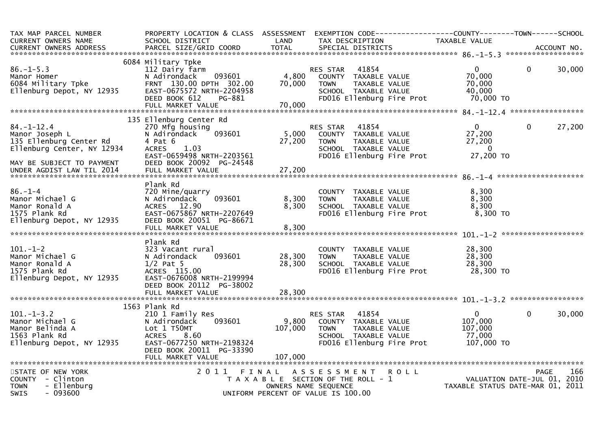| TAX MAP PARCEL NUMBER<br>CURRENT OWNERS NAME                                                                             | PROPERTY LOCATION & CLASS ASSESSMENT<br>SCHOOL DISTRICT                                                                                                                          | LAND                        | TAX DESCRIPTION                                                                                                                           | EXEMPTION        CODE-----------------COUNTY-------TOWN------SCHOOL<br>TAXABLE VALUE |                                                                                |
|--------------------------------------------------------------------------------------------------------------------------|----------------------------------------------------------------------------------------------------------------------------------------------------------------------------------|-----------------------------|-------------------------------------------------------------------------------------------------------------------------------------------|--------------------------------------------------------------------------------------|--------------------------------------------------------------------------------|
|                                                                                                                          |                                                                                                                                                                                  |                             |                                                                                                                                           |                                                                                      |                                                                                |
| $86. - 1 - 5.3$<br>Manor Homer<br>6084 Military Tpke<br>Ellenburg Depot, NY 12935                                        | 6084 Military Tpke<br>112 Dairy farm<br>093601<br>N Adirondack<br>FRNT 130.00 DPTH 302.00<br>EAST-0675572 NRTH-2204958<br>DEED BOOK 612<br>PG-881<br>FULL MARKET VALUE           | 4,800<br>70,000<br>70,000   | 41854<br>RES STAR<br>COUNTY TAXABLE VALUE<br>TAXABLE VALUE<br><b>TOWN</b><br>SCHOOL TAXABLE VALUE<br>FD016 Ellenburg Fire Prot            | $\Omega$<br>70,000<br>70,000<br>40,000<br>70,000 TO                                  | $\Omega$<br>30,000                                                             |
|                                                                                                                          | 135 Ellenburg Center Rd                                                                                                                                                          |                             |                                                                                                                                           |                                                                                      |                                                                                |
| $84. - 1 - 12.4$<br>Manor Joseph L<br>135 Ellenburg Center Rd<br>Ellenburg Center, NY 12934<br>MAY BE SUBJECT TO PAYMENT | 270 Mfg housing<br>093601<br>N Adirondack<br>4 Pat 6<br>1.03<br><b>ACRES</b><br>EAST-0659498 NRTH-2203561<br>DEED BOOK 20092 PG-24548                                            | 5,000<br>27,200             | <b>RES STAR</b><br>41854<br>COUNTY TAXABLE VALUE<br><b>TOWN</b><br>TAXABLE VALUE<br>SCHOOL TAXABLE VALUE<br>FD016 Ellenburg Fire Prot     | $\Omega$<br>27,200<br>27,200<br>$\Omega$<br>27,200 TO                                | $\Omega$<br>27,200                                                             |
| UNDER AGDIST LAW TIL 2014                                                                                                | FULL MARKET VALUE                                                                                                                                                                | 27,200                      |                                                                                                                                           |                                                                                      |                                                                                |
| $86. - 1 - 4$<br>Manor Michael G<br>Manor Ronald A<br>1575 Plank Rd<br>Ellenburg Depot, NY 12935                         | Plank Rd<br>720 Mine/quarry<br>093601<br>N Adirondack<br>ACRES 12.90<br>EAST-0675867 NRTH-2207649<br>DEED BOOK 20051 PG-86671<br>FULL MARKET VALUE                               | 8,300<br>8,300<br>8,300     | COUNTY TAXABLE VALUE<br>TAXABLE VALUE<br><b>TOWN</b><br>SCHOOL TAXABLE VALUE<br>FD016 Ellenburg Fire Prot                                 | 8,300<br>8,300<br>8,300<br>8,300 TO                                                  |                                                                                |
|                                                                                                                          | Plank Rd                                                                                                                                                                         |                             |                                                                                                                                           |                                                                                      |                                                                                |
| $101. - 1 - 2$<br>Manor Michael G<br>Manor Ronald A<br>1575 Plank Rd<br>Ellenburg Depot, NY 12935                        | 323 Vacant rural<br>093601<br>N Adirondack<br>$1/2$ Pat 5<br>ACRES 115.00<br>EAST-0676008 NRTH-2199994<br>DEED BOOK 20112 PG-38002                                               | 28,300<br>28,300            | COUNTY TAXABLE VALUE<br>TAXABLE VALUE<br><b>TOWN</b><br>SCHOOL TAXABLE VALUE<br>FD016 Ellenburg Fire Prot                                 | 28,300<br>28,300<br>28,300<br>28,300 TO                                              |                                                                                |
|                                                                                                                          |                                                                                                                                                                                  |                             |                                                                                                                                           |                                                                                      |                                                                                |
| $101. - 1 - 3.2$<br>Manor Michael G<br>Manor Belinda A<br>1563 Plank Rd<br>Ellenburg Depot, NY 12935                     | 1563 Plank Rd<br>210 1 Family Res<br>N Adirondack<br>093601<br>Lot 1 T50MT<br><b>ACRES</b><br>8.60<br>EAST-0677250 NRTH-2198324<br>DEED BOOK 20011 PG-33390<br>FULL MARKET VALUE | 9,800<br>107,000<br>107,000 | 41854<br>RES STAR<br>COUNTY TAXABLE VALUE<br>TAXABLE VALUE<br><b>TOWN</b><br>SCHOOL TAXABLE VALUE<br>FD016 Ellenburg Fire Prot            | $\mathbf{0}$<br>107,000<br>107,000<br>77,000<br>107,000 TO                           | 0<br>30,000                                                                    |
|                                                                                                                          |                                                                                                                                                                                  |                             |                                                                                                                                           |                                                                                      | 166                                                                            |
| STATE OF NEW YORK<br>COUNTY - Clinton<br><b>TOWN</b><br>- Ellenburg<br><b>SWIS</b><br>- 093600                           | 2011<br>FINAL                                                                                                                                                                    |                             | <b>ROLL</b><br>A S S E S S M E N T<br>T A X A B L E SECTION OF THE ROLL - 1<br>OWNERS NAME SEQUENCE<br>UNIFORM PERCENT OF VALUE IS 100.00 |                                                                                      | <b>PAGE</b><br>VALUATION DATE-JUL 01, 2010<br>TAXABLE STATUS DATE-MAR 01, 2011 |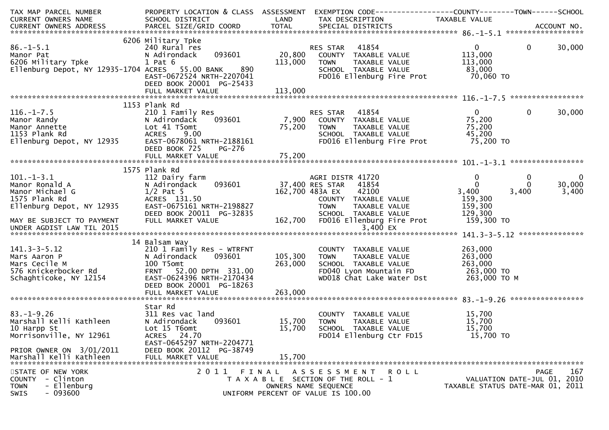| TAX MAP PARCEL NUMBER                                                                                                                                                                                                                                    | PROPERTY LOCATION & CLASS ASSESSMENT EXEMPTION CODE---------------COUNTY-------TOWN------SCHOOL                                                                                                                                                                |                 |                                                                                                                                                                           |                              |                                     |
|----------------------------------------------------------------------------------------------------------------------------------------------------------------------------------------------------------------------------------------------------------|----------------------------------------------------------------------------------------------------------------------------------------------------------------------------------------------------------------------------------------------------------------|-----------------|---------------------------------------------------------------------------------------------------------------------------------------------------------------------------|------------------------------|-------------------------------------|
|                                                                                                                                                                                                                                                          |                                                                                                                                                                                                                                                                |                 |                                                                                                                                                                           | TAXABLE VALUE                |                                     |
|                                                                                                                                                                                                                                                          |                                                                                                                                                                                                                                                                |                 |                                                                                                                                                                           |                              |                                     |
|                                                                                                                                                                                                                                                          | 6206 Military Tpke<br>Military Tpke<br>240 Rural res<br>N Adirondack 093601 20,800 COUNTY TAXABLE VALUE 113,000<br>1 Pat 6 113,000 TOWN TAXABLE VALUE 113,000<br>1 ACRES 55.00 BANK 890 5CHOOL TAXABLE VALUE 83,000<br>1 ACRES 55.00 BANK 890 5CHOOL TAXABLE V |                 |                                                                                                                                                                           |                              |                                     |
|                                                                                                                                                                                                                                                          |                                                                                                                                                                                                                                                                |                 |                                                                                                                                                                           |                              | $\overline{0}$<br>30,000            |
| 86.-1-5.1<br>Manor Pat<br>6206 Military Tpke                                                                                                                                                                                                             |                                                                                                                                                                                                                                                                |                 |                                                                                                                                                                           |                              |                                     |
|                                                                                                                                                                                                                                                          |                                                                                                                                                                                                                                                                |                 |                                                                                                                                                                           |                              |                                     |
|                                                                                                                                                                                                                                                          |                                                                                                                                                                                                                                                                |                 |                                                                                                                                                                           |                              |                                     |
| 6206 Military Tpke<br>Ellenburg Depot, NY 12935-1704 ACRES<br>EAST-0672524 NRTH-2207041                                                                                                                                                                  |                                                                                                                                                                                                                                                                |                 | FD016 Ellenburg Fire Prot 70,060 TO                                                                                                                                       |                              |                                     |
|                                                                                                                                                                                                                                                          | DEED BOOK 20001 PG-25433                                                                                                                                                                                                                                       |                 |                                                                                                                                                                           |                              |                                     |
|                                                                                                                                                                                                                                                          |                                                                                                                                                                                                                                                                | 113,000         |                                                                                                                                                                           |                              |                                     |
|                                                                                                                                                                                                                                                          |                                                                                                                                                                                                                                                                |                 |                                                                                                                                                                           |                              |                                     |
|                                                                                                                                                                                                                                                          | 1153 Plank Rd                                                                                                                                                                                                                                                  |                 |                                                                                                                                                                           |                              |                                     |
|                                                                                                                                                                                                                                                          |                                                                                                                                                                                                                                                                |                 |                                                                                                                                                                           |                              | $\mathbf{0}$<br>30,000              |
|                                                                                                                                                                                                                                                          |                                                                                                                                                                                                                                                                |                 |                                                                                                                                                                           |                              |                                     |
|                                                                                                                                                                                                                                                          |                                                                                                                                                                                                                                                                |                 |                                                                                                                                                                           |                              |                                     |
|                                                                                                                                                                                                                                                          |                                                                                                                                                                                                                                                                |                 |                                                                                                                                                                           |                              |                                     |
| 116.-1-7.5<br>Manor Randy<br>Manor Annette<br>1153 Plank Rd<br>Ellenburg Depot, NY 12935<br>Manor Annette<br>1153 Plank Rd<br>Ellenburg Depot, NY 12935<br>Manor Annette<br>210 1 Family Res<br>210 1 Family Res<br>093601<br>093601<br>25,200 7,900 COU |                                                                                                                                                                                                                                                                |                 | 8<br>093601 7,900 COUNTY TAXABLE VALUE 75,200<br>75,200 TOWN TAXABLE VALUE 75,200<br>75,200 SCHOOL TAXABLE VALUE 75,200<br>TH-2188161 FD016 Ellenburg Fire Prot 75,200 TO |                              |                                     |
|                                                                                                                                                                                                                                                          | DEED BOOK 725<br>PG-276                                                                                                                                                                                                                                        |                 |                                                                                                                                                                           |                              |                                     |
|                                                                                                                                                                                                                                                          |                                                                                                                                                                                                                                                                |                 |                                                                                                                                                                           |                              |                                     |
|                                                                                                                                                                                                                                                          | 1575 Plank Rd                                                                                                                                                                                                                                                  |                 |                                                                                                                                                                           |                              |                                     |
| 101.-1-3.1<br>Manor Ronald A<br>Manor Michael G<br>17 Pat 5<br>1575 Plank Rd<br>Ellenburg Depot, NY 12935<br>17 Pat 5<br>17 Pat 5<br>17 Pat 5<br>17 Pat 5<br>17 Pat 5<br>17 Pat 5<br>17 Pat 5<br>1875 Plank Rd<br>17 Pat 5<br>18827<br>18827             | 112 Dairy farm<br>N Adirondack 093601 137,400 RES STAR 41854                                                                                                                                                                                                   |                 |                                                                                                                                                                           | $\mathbf{0}$                 | $\overline{\mathbf{0}}$<br>$\Omega$ |
|                                                                                                                                                                                                                                                          |                                                                                                                                                                                                                                                                |                 | GRI DISTR 41720<br>ES STAR   41854<br>83A EX     42100<br>COUNTY  TAXABLE VALUE                                                                                           | $\Omega$                     | $\Omega$<br>30,000                  |
|                                                                                                                                                                                                                                                          |                                                                                                                                                                                                                                                                | 162,700 483A EX |                                                                                                                                                                           | 3,400                        | 3,400<br>3,400                      |
|                                                                                                                                                                                                                                                          |                                                                                                                                                                                                                                                                |                 |                                                                                                                                                                           | 159,300                      |                                     |
|                                                                                                                                                                                                                                                          |                                                                                                                                                                                                                                                                |                 | TAXABLE VALUE<br><b>TOWN</b>                                                                                                                                              | 159,300                      |                                     |
|                                                                                                                                                                                                                                                          | DEED BOOK 20011 PG-32835                                                                                                                                                                                                                                       |                 |                                                                                                                                                                           |                              |                                     |
| MAY BE SUBJECT TO PAYMENT                                                                                                                                                                                                                                | FULL MARKET VALUE                                                                                                                                                                                                                                              |                 |                                                                                                                                                                           | $\frac{129,300}{159,300}$ TO |                                     |
|                                                                                                                                                                                                                                                          |                                                                                                                                                                                                                                                                |                 |                                                                                                                                                                           |                              |                                     |
|                                                                                                                                                                                                                                                          |                                                                                                                                                                                                                                                                |                 |                                                                                                                                                                           |                              |                                     |
|                                                                                                                                                                                                                                                          | 14 Balsam Way                                                                                                                                                                                                                                                  |                 |                                                                                                                                                                           |                              |                                     |
| $141.3 - 3 - 5.12$                                                                                                                                                                                                                                       | 210 1 Family Res - WTRFNT                                                                                                                                                                                                                                      |                 | COUNTY TAXABLE VALUE                                                                                                                                                      | 263,000                      |                                     |
|                                                                                                                                                                                                                                                          | N Adirondack 093601                                                                                                                                                                                                                                            | 105,300         |                                                                                                                                                                           |                              |                                     |
|                                                                                                                                                                                                                                                          | 100 T5omt                                                                                                                                                                                                                                                      | 263,000         |                                                                                                                                                                           |                              |                                     |
| Mars Aaron P<br>Mars Cecile M<br>576 Knickerbocker Rd<br>Schaghticoke, NY 12154                                                                                                                                                                          | FRNT 52.00 DPTH 331.00                                                                                                                                                                                                                                         |                 | TOWN TAXABLE VALUE 263,000<br>SCHOOL TAXABLE VALUE 263,000<br>FDO40 Lyon Mountain FD 263,000 TO                                                                           |                              |                                     |
|                                                                                                                                                                                                                                                          | EAST-0624396 NRTH-2170434                                                                                                                                                                                                                                      |                 | WD018 Chat Lake Water Dst 263,000 TO M                                                                                                                                    |                              |                                     |
|                                                                                                                                                                                                                                                          | DEED BOOK 20001 PG-18263                                                                                                                                                                                                                                       |                 |                                                                                                                                                                           |                              |                                     |
|                                                                                                                                                                                                                                                          |                                                                                                                                                                                                                                                                |                 |                                                                                                                                                                           |                              |                                     |
|                                                                                                                                                                                                                                                          | Star Rd                                                                                                                                                                                                                                                        |                 |                                                                                                                                                                           |                              |                                     |
| $83. - 1 - 9.26$                                                                                                                                                                                                                                         |                                                                                                                                                                                                                                                                |                 |                                                                                                                                                                           |                              |                                     |
| Marshall Kelli Kathleen                                                                                                                                                                                                                                  | 311 Res vac land<br>N Adirondack 0<br>093601                                                                                                                                                                                                                   |                 | COUNTY TAXABLE VALUE $15,700$<br>TOWN TAXABLE VALUE $15,700$<br>SCHOOL TAXABLE VALUE $15,700$<br>15,700 TOWN                                                              |                              |                                     |
| 10 Harpp St                                                                                                                                                                                                                                              | Lot 15 T6omt                                                                                                                                                                                                                                                   | 15,700          | SCHOOL TAXABLE VALUE                                                                                                                                                      | 15,700                       |                                     |
| Morrisonville, NY 12961                                                                                                                                                                                                                                  | ACRES 24.70                                                                                                                                                                                                                                                    |                 | FD014 Ellenburg Ctr FD15                                                                                                                                                  | 15,700 TO                    |                                     |
|                                                                                                                                                                                                                                                          | EAST-0645297 NRTH-2204771                                                                                                                                                                                                                                      |                 |                                                                                                                                                                           |                              |                                     |
| PRIOR OWNER ON 3/01/2011                                                                                                                                                                                                                                 | DEED BOOK 20112 PG-38749                                                                                                                                                                                                                                       |                 |                                                                                                                                                                           |                              |                                     |
| Marshall Kelli Kathleen                                                                                                                                                                                                                                  | FULL MARKET VALUE                                                                                                                                                                                                                                              | 15,700          |                                                                                                                                                                           |                              |                                     |
|                                                                                                                                                                                                                                                          |                                                                                                                                                                                                                                                                |                 |                                                                                                                                                                           |                              |                                     |
| STATE OF NEW YORK                                                                                                                                                                                                                                        | 2011                                                                                                                                                                                                                                                           |                 | FINAL ASSESSMENT ROLL                                                                                                                                                     |                              | 167<br>PAGE                         |
| - Clinton<br>COUNTY                                                                                                                                                                                                                                      |                                                                                                                                                                                                                                                                |                 | T A X A B L E SECTION OF THE ROLL - 1                                                                                                                                     |                              | VALUATION DATE-JUL 01, 2010         |
| <b>TOWN</b><br>- Ellenburg                                                                                                                                                                                                                               |                                                                                                                                                                                                                                                                |                 | OWNERS NAME SEQUENCE                                                                                                                                                      |                              | TAXABLE STATUS DATE-MAR 01, 2011    |
| $-093600$<br>SWIS                                                                                                                                                                                                                                        |                                                                                                                                                                                                                                                                |                 | UNIFORM PERCENT OF VALUE IS 100.00                                                                                                                                        |                              |                                     |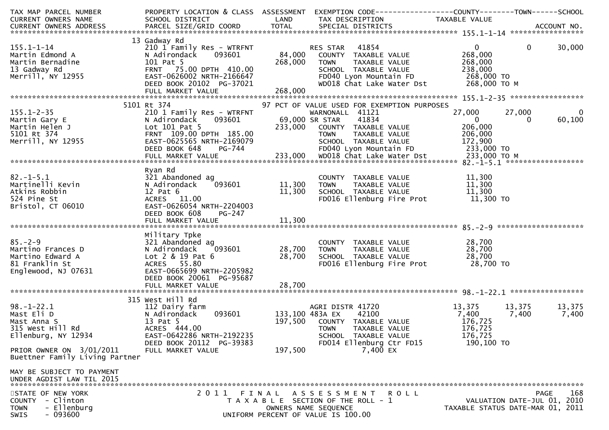| TAX MAP PARCEL NUMBER<br>CURRENT OWNERS NAME                                                                         | PROPERTY LOCATION & CLASS ASSESSMENT<br>SCHOOL DISTRICT                                                                                                                      | LAND                                  | EXEMPTION CODE------------------COUNTY--------TOWN------SCHOOL<br>TAX DESCRIPTION                                                                                                 | TAXABLE VALUE                                                                 |                                                                                       |
|----------------------------------------------------------------------------------------------------------------------|------------------------------------------------------------------------------------------------------------------------------------------------------------------------------|---------------------------------------|-----------------------------------------------------------------------------------------------------------------------------------------------------------------------------------|-------------------------------------------------------------------------------|---------------------------------------------------------------------------------------|
|                                                                                                                      |                                                                                                                                                                              |                                       |                                                                                                                                                                                   |                                                                               |                                                                                       |
| $155.1 - 1 - 14$<br>Martin Edmond A<br>Martin Bernadine<br>13 Gadway Rd<br>Merrill, NY 12955                         | 13 Gadway Rd<br>210 1 Family Res - WTRFNT<br>093601<br>N Adirondack<br>101 Pat 5<br>FRNT 75.00 DPTH 410.00<br>EAST-0626002 NRTH-2166647<br>DEED BOOK 20102 PG-37021          | 84,000<br>268,000                     | 41854<br>RES STAR<br>COUNTY TAXABLE VALUE<br>TAXABLE VALUE<br>TOWN<br>SCHOOL TAXABLE VALUE<br>FD040 Lyon Mountain FD<br>WD018 Chat Lake Water Dst                                 | $\overline{0}$<br>268,000<br>268,000<br>238,000<br>268,000 TO<br>268,000 ТО М | $\mathbf{0}$<br>30,000                                                                |
|                                                                                                                      | FULL MARKET VALUE                                                                                                                                                            | 268,000                               |                                                                                                                                                                                   |                                                                               |                                                                                       |
| $155.1 - 2 - 35$<br>Martin Gary E<br>Martin Helen J<br>5101 Rt 374<br>Merrill, NY 12955                              | 5101 Rt 374<br>210 1 Family Res - WTRFNT<br>N Adirondack<br>093601<br>Lot 101 Pat 5<br>FRNT 109.00 DPTH 185.00<br>EAST-0625565 NRTH-2169079                                  |                                       | 97 PCT OF VALUE USED FOR EXEMPTION PURPOSES<br>WARNONALL 41121<br>69,000 SR STAR<br>41834<br>233,000 COUNTY TAXABLE VALUE<br><b>TOWN</b><br>TAXABLE VALUE<br>SCHOOL TAXABLE VALUE | 27,000<br>$\mathbf{0}$<br>206,000<br>206,000<br>172,900                       | 27,000<br>$\mathbf{0}$<br>60,100<br>$\Omega$                                          |
|                                                                                                                      | DEED BOOK 648<br>PG-744                                                                                                                                                      |                                       | FD040 Lyon Mountain FD                                                                                                                                                            | 233,000 TO                                                                    |                                                                                       |
|                                                                                                                      |                                                                                                                                                                              |                                       |                                                                                                                                                                                   |                                                                               |                                                                                       |
| $82. - 1 - 5.1$<br>Martinelli Kevin<br>Atkins Robbin<br>524 Pine St<br>Bristol, CT 06010                             | Ryan Rd<br>321 Abandoned ag<br>093601<br>N Adirondack<br>$12$ Pat $6$<br>ACRES 11.00<br>EAST-0626054 NRTH-2204003<br>DEED BOOK 608<br>PG-247                                 | 11,300<br>11,300                      | COUNTY TAXABLE VALUE<br><b>TOWN</b><br>TAXABLE VALUE<br>SCHOOL TAXABLE VALUE<br>FD016 Ellenburg Fire Prot                                                                         | 11,300<br>11,300<br>11,300<br>11,300 TO                                       |                                                                                       |
| $85. - 2 - 9$<br>Martino Frances D<br>Martino Edward A<br>81 Franklin St<br>Englewood, NJ 07631                      | Military Tpke<br>321 Abandoned ag<br>093601<br>N Adirondack<br>Lot 2 & 19 Pat 6<br>ACRES 55.80<br>EAST-0665699 NRTH-2205982<br>DEED BOOK 20061 PG-95687<br>FULL MARKET VALUE | 28,700<br>28,700<br>28,700            | COUNTY TAXABLE VALUE<br>TAXABLE VALUE<br><b>TOWN</b><br>SCHOOL TAXABLE VALUE<br>FD016 Ellenburg Fire Prot                                                                         | 28,700<br>28,700<br>28,700<br>28,700 TO                                       |                                                                                       |
|                                                                                                                      | 315 West Hill Rd                                                                                                                                                             |                                       |                                                                                                                                                                                   |                                                                               |                                                                                       |
| $98. - 1 - 22.1$<br>Mast Eli D<br>Mast Anna S<br>315 West Hill Rd<br>Ellenburg, NY 12934<br>PRIOR OWNER ON 3/01/2011 | 112 Dairy farm<br>093601<br>N Adirondack<br>13 Pat 5<br>ACRES 444.00<br>EAST-0642286 NRTH-2192235<br>DEED BOOK 20112 PG-39383<br>FULL MARKET VALUE                           | 133,100 483A EX<br>197,500<br>197,500 | AGRI DISTR 41720<br>42100<br>COUNTY TAXABLE VALUE<br><b>TOWN</b><br>TAXABLE VALUE<br>SCHOOL TAXABLE VALUE<br>FD014 Ellenburg Ctr FD15<br>7,400 EX                                 | 13,375<br>7,400<br>176,725<br>176,725<br>176,725<br>190,100 TO                | 13,375<br>13,375<br>7,400<br>7,400                                                    |
| Buettner Family Living Partner                                                                                       |                                                                                                                                                                              |                                       |                                                                                                                                                                                   |                                                                               |                                                                                       |
| MAY BE SUBJECT TO PAYMENT<br>UNDER AGDIST LAW TIL 2015                                                               |                                                                                                                                                                              |                                       |                                                                                                                                                                                   |                                                                               |                                                                                       |
| STATE OF NEW YORK<br>- Clinton<br><b>COUNTY</b><br>- Ellenburg<br><b>TOWN</b><br>$-093600$<br>SWIS                   | 2011 FINAL                                                                                                                                                                   |                                       | A S S E S S M E N T<br>R O L L<br>T A X A B L E SECTION OF THE ROLL - 1<br>OWNERS NAME SEQUENCE<br>UNIFORM PERCENT OF VALUE IS 100.00                                             |                                                                               | 168<br><b>PAGE</b><br>VALUATION DATE-JUL 01, 2010<br>TAXABLE STATUS DATE-MAR 01, 2011 |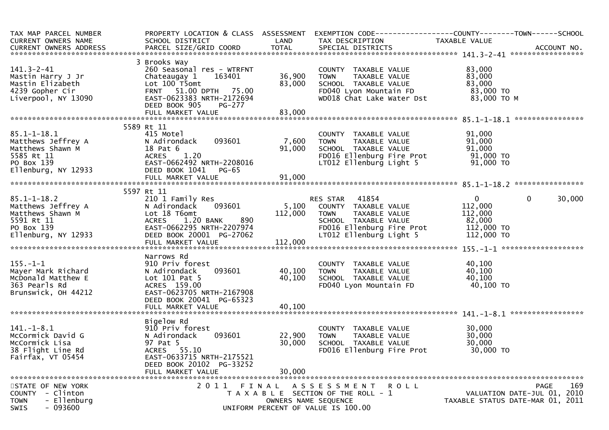| TAX MAP PARCEL NUMBER<br><b>CURRENT OWNERS NAME</b><br>CURRENT OWNERS ADDRESS                                                                       | PROPERTY LOCATION & CLASS ASSESSMENT<br>SCHOOL DISTRICT                                                                                                               | LAND                          | EXEMPTION CODE-----------------COUNTY-------TOWN------SCHOOL<br>TAX DESCRIPTION                                                                               | TAXABLE VALUE                                                        |                                                                                |
|-----------------------------------------------------------------------------------------------------------------------------------------------------|-----------------------------------------------------------------------------------------------------------------------------------------------------------------------|-------------------------------|---------------------------------------------------------------------------------------------------------------------------------------------------------------|----------------------------------------------------------------------|--------------------------------------------------------------------------------|
|                                                                                                                                                     |                                                                                                                                                                       |                               |                                                                                                                                                               |                                                                      |                                                                                |
| $141.3 - 2 - 41$<br>Mastin Harry J Jr<br>Mastin Elizabeth<br>4239 Gopher Cir<br>Liverpool, NY 13090                                                 | 3 Brooks Way<br>260 Seasonal res - WTRFNT<br>Chateaugay 1<br>163401<br>Lot 100 T5omt<br>FRNT 51.00 DPTH 75.00<br>EAST-0623383 NRTH-2172694<br>DEED BOOK 905<br>PG-277 | 36,900<br>83,000              | COUNTY TAXABLE VALUE<br>TAXABLE VALUE<br><b>TOWN</b><br>SCHOOL TAXABLE VALUE<br>FD040 Lyon Mountain FD<br>WD018 Chat Lake Water Dst                           | 83,000<br>83,000<br>83,000<br>83,000 TO<br>83,000 TO M               |                                                                                |
|                                                                                                                                                     |                                                                                                                                                                       |                               |                                                                                                                                                               |                                                                      |                                                                                |
|                                                                                                                                                     |                                                                                                                                                                       |                               |                                                                                                                                                               |                                                                      |                                                                                |
|                                                                                                                                                     | 5589 Rt 11                                                                                                                                                            |                               |                                                                                                                                                               |                                                                      |                                                                                |
| $85.1 - 1 - 18.1$<br>Matthews Jeffrey A<br>ראס האסורים בהסיים.<br>Matthews Shawn M<br>5585 P+ 11<br>5585 Rt 11<br>PO Box 139<br>Ellenburg, NY 12933 | 415 Motel<br>093601<br>N Adirondack<br>18 Pat 6<br>1.20<br><b>ACRES</b><br>EAST-0662492 NRTH-2208016<br>DEED BOOK 1041<br>$PG-65$                                     | 7,600<br>91,000               | COUNTY TAXABLE VALUE<br><b>TOWN</b><br>TAXABLE VALUE<br>SCHOOL TAXABLE VALUE<br>FD016 Ellenburg Fire Prot<br>LT012 Ellenburg Light 5                          | 91,000<br>91,000<br>91,000<br>91,000 то<br>91,000 TO                 |                                                                                |
|                                                                                                                                                     |                                                                                                                                                                       |                               |                                                                                                                                                               |                                                                      |                                                                                |
|                                                                                                                                                     |                                                                                                                                                                       |                               |                                                                                                                                                               |                                                                      |                                                                                |
| $85.1 - 1 - 18.2$<br>Matthews Jeffrey A<br>Matthews Shawn M<br>5591 Rt 11<br>PO Box 139<br>Ellenburg, NY 12933                                      | 5597 Rt 11<br>210 1 Family Res<br>093601<br>N Adirondack<br>Lot 18 T6omt<br>1.20 BANK<br>890<br>ACRES<br>EAST-0662295 NRTH-2207974<br>DEED BOOK 20001 PG-27062        | 5,100<br>112,000              | <b>RES STAR 41854</b><br>COUNTY TAXABLE VALUE<br>TAXABLE VALUE<br><b>TOWN</b><br>SCHOOL TAXABLE VALUE<br>FD016 Ellenburg Fire Prot<br>LT012 Ellenburg Light 5 | $\Omega$<br>112,000<br>112,000<br>82,000<br>112,000 TO<br>112,000 TO | $\mathbf{0}$<br>30,000                                                         |
|                                                                                                                                                     | Narrows Rd                                                                                                                                                            |                               |                                                                                                                                                               |                                                                      |                                                                                |
| $155. - 1 - 1$<br>Mayer Mark Richard<br>McDonald Matthew E<br>363 Pearls Rd<br>Brunswick, OH 44212                                                  | 910 Priv forest<br>093601<br>N Adirondack<br>Lot $101$ Pat 5<br>ACRES 159.00<br>EAST-0623705 NRTH-2167908<br>DEED BOOK 20041 PG-65323<br>FULL MARKET VALUE            | 40,100<br>40,100<br>40,100    | COUNTY TAXABLE VALUE<br><b>TOWN</b><br>TAXABLE VALUE<br>SCHOOL TAXABLE VALUE<br>FD040 Lyon Mountain FD                                                        | 40,100<br>40,100<br>40,100<br>40,100 TO                              |                                                                                |
|                                                                                                                                                     |                                                                                                                                                                       |                               |                                                                                                                                                               |                                                                      |                                                                                |
| $141. - 1 - 8.1$<br>McCormick David G<br>McCormick Lisa<br>38 Flight Line Rd<br>Fairfax, VT 05454                                                   | Bigelow Rd<br>910 Priv forest<br>N Adirondack<br>093601<br>97 Pat 5<br>ACRES 55.10<br>EAST-0633715 NRTH-2175521<br>DEED BOOK 20102 PG-33252                           | 22,900<br>30,000              | COUNTY TAXABLE VALUE<br>TAXABLE VALUE<br><b>TOWN</b><br>SCHOOL TAXABLE VALUE<br>FD016 Ellenburg Fire Prot                                                     | 30,000<br>30,000<br>30,000<br>30,000 TO                              |                                                                                |
|                                                                                                                                                     | FULL MARKET VALUE                                                                                                                                                     | 30,000                        |                                                                                                                                                               |                                                                      |                                                                                |
| STATE OF NEW YORK<br>COUNTY - Clinton<br>- Ellenburg<br><b>TOWN</b><br>$-093600$<br>SWIS                                                            | 2011                                                                                                                                                                  | FINAL<br>OWNERS NAME SEQUENCE | A S S E S S M E N T R O L L<br>T A X A B L E SECTION OF THE ROLL - 1<br>UNIFORM PERCENT OF VALUE IS 100.00                                                    |                                                                      | 169<br>PAGE<br>VALUATION DATE-JUL 01, 2010<br>TAXABLE STATUS DATE-MAR 01, 2011 |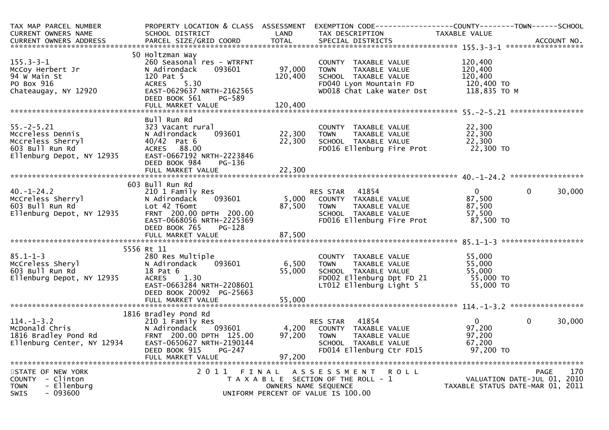| TAX MAP PARCEL NUMBER<br><b>CURRENT OWNERS NAME</b><br><b>CURRENT OWNERS ADDRESS</b>                                | PROPERTY LOCATION & CLASS ASSESSMENT EXEMPTION CODE----------------COUNTY-------TOWN------SCHOOL<br>SCHOOL DISTRICT<br>PARCEL SIZE/GRID COORD                              | LAND<br><b>TOTAL</b>      | TAX DESCRIPTION<br>SPECIAL DISTRICTS                                                                                                 | TAXABLE VALUE                                                            | ACCOUNT NO.                                            |
|---------------------------------------------------------------------------------------------------------------------|----------------------------------------------------------------------------------------------------------------------------------------------------------------------------|---------------------------|--------------------------------------------------------------------------------------------------------------------------------------|--------------------------------------------------------------------------|--------------------------------------------------------|
|                                                                                                                     |                                                                                                                                                                            |                           |                                                                                                                                      |                                                                          |                                                        |
| $155.3 - 3 - 1$<br>McCoy Herbert Jr<br>94 W Main St<br>PO Box 916<br>Chateaugay, NY 12920                           | 50 Holtzman Way<br>260 Seasonal res - WTRFNT<br>N Adirondack<br>093601<br>120 Pat 5<br>5.30<br><b>ACRES</b><br>EAST-0629637 NRTH-2162565<br>DEED BOOK 561<br>PG-589        | 97,000<br>120,400         | COUNTY TAXABLE VALUE<br>TAXABLE VALUE<br><b>TOWN</b><br>SCHOOL TAXABLE VALUE<br>FD040 Lyon Mountain FD<br>WD018 Chat Lake Water Dst  | 120,400<br>120.400<br>120,400<br>120,400 TO<br>118,835 TO M              |                                                        |
|                                                                                                                     | FULL MARKET VALUE                                                                                                                                                          | 120,400                   |                                                                                                                                      |                                                                          |                                                        |
| $55. - 2 - 5.21$<br>Mccreless Dennis<br>Mccreless Sherryl<br>603 Bull Run Rd<br>Ellenburg Depot, NY 12935           | Bull Run Rd<br>323 Vacant rural<br>093601<br>N Adirondack<br>$40/42$ Pat 6<br>ACRES 88.00<br>EAST-0667192 NRTH-2223846<br>DEED BOOK 984<br>PG-136                          | 22,300<br>22,300          | COUNTY TAXABLE VALUE<br>TAXABLE VALUE<br><b>TOWN</b><br>SCHOOL TAXABLE VALUE<br>FD016 Ellenburg Fire Prot 22,300 TO                  | 22,300<br>22,300<br>22,300                                               |                                                        |
|                                                                                                                     | 603 Bull Run Rd                                                                                                                                                            |                           |                                                                                                                                      |                                                                          |                                                        |
| $40. - 1 - 24.2$<br>McCreless Sherryl<br>603 Bull Run Rd<br>Ellenburg Depot, NY 12935                               | 210 1 Family Res<br>N Adirondack<br>093601<br>Lot 42 T6omt<br>FRNT 200.00 DPTH 200.00<br>EAST-0668056 NRTH-2225369<br>DEED BOOK 765<br>PG-128                              | 5,000<br>87,500           | 41854<br><b>RES STAR</b><br>COUNTY TAXABLE VALUE<br>TOWN     TAXABLE VALUE<br>SCHOOL TAXABLE VALUE<br>FD016 Ellenburg Fire Prot      | $\mathbf{0}$<br>87,500<br>87,500<br>57,500<br>87,500 TO                  | $\mathbf{0}$<br>30,000                                 |
|                                                                                                                     | FULL MARKET VALUE                                                                                                                                                          | 87,500                    |                                                                                                                                      |                                                                          |                                                        |
|                                                                                                                     | 5556 Rt 11                                                                                                                                                                 |                           |                                                                                                                                      |                                                                          |                                                        |
| 85.1-1-3<br>McCreless Sheryl<br>603 Bull Run Rd<br>Ellenburg Depot, NY 12935                                        | 280 Res Multiple<br>N Adirondack<br>093601<br>18 Pat 6<br><b>ACRES</b><br>1.30<br>EAST-0663284 NRTH-2208601<br>DEED BOOK 20092 PG-25663                                    | 6,500<br>55,000           | COUNTY TAXABLE VALUE<br>TAXABLE VALUE<br><b>TOWN</b><br>SCHOOL TAXABLE VALUE<br>FD002 Ellenburg Dpt FD 21<br>LT012 Ellenburg Light 5 | 55,000<br>55,000<br>טט, לא 55,000<br>55,000 TO<br>רחים הר<br>$55,000$ TO |                                                        |
|                                                                                                                     |                                                                                                                                                                            |                           |                                                                                                                                      |                                                                          |                                                        |
| 114.-1-3.2<br>McDonald Chris<br>1816 Bradley Pond Rd<br>1816 Bradley Ponter, NY 12934<br>Ellenburg Center, NY 12934 | 1816 Bradley Pond Rd<br>210 1 Family Res<br>093601<br>N Adirondack<br>FRNT 200.00 DPTH 125.00<br>EAST-0650627 NRTH-2190144<br>DEED BOOK 915<br>PG-247<br>FULL MARKET VALUE | 4,200<br>97,200<br>97,200 | 41854<br>RES STAR<br>COUNTY TAXABLE VALUE<br>TOWN<br>TAXABLE VALUE<br>SCHOOL TAXABLE VALUE<br>FD014 Ellenburg Ctr FD15               | $\mathbf{0}$<br>97,200<br>97,200<br>67,200<br>97,200 TO                  | $\mathbf{0}$<br>30,000                                 |
|                                                                                                                     |                                                                                                                                                                            |                           |                                                                                                                                      |                                                                          |                                                        |
| STATE OF NEW YORK<br>COUNTY - Clinton<br>- Ellenburg<br><b>TOWN</b><br><b>SWIS</b><br>- 093600                      | 2011 FINAL                                                                                                                                                                 | OWNERS NAME SEQUENCE      | ROLL<br>A S S E S S M E N T<br>T A X A B L E SECTION OF THE ROLL - 1<br>UNIFORM PERCENT OF VALUE IS 100.00                           | VALUATION DATE-JUL 01, 2010                                              | 170<br><b>PAGE</b><br>TAXABLE STATUS DATE-MAR 01, 2011 |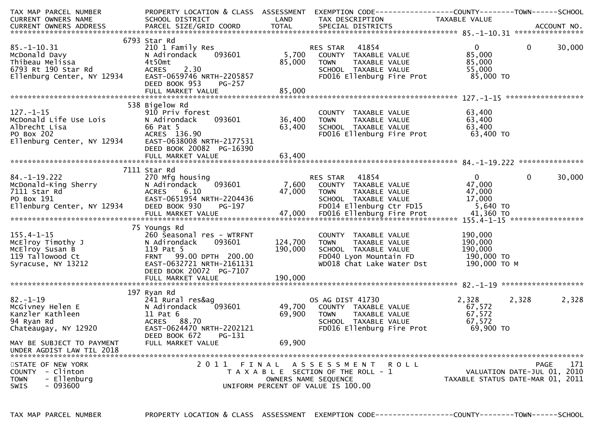| TAX MAP PARCEL NUMBER                                                                                                                       |                                                                                  |         | PROPERTY LOCATION & CLASS ASSESSMENT EXEMPTION CODE---------------COUNTY-------TOWN------SCHOOL |                |                                  |
|---------------------------------------------------------------------------------------------------------------------------------------------|----------------------------------------------------------------------------------|---------|-------------------------------------------------------------------------------------------------|----------------|----------------------------------|
| CURRENT OWNERS NAME                                                                                                                         | SCHOOL DISTRICT<br><b>Example 12</b>                                             |         | TAX DESCRIPTION                                                                                 | TAXABLE VALUE  |                                  |
|                                                                                                                                             |                                                                                  |         |                                                                                                 |                |                                  |
|                                                                                                                                             |                                                                                  |         |                                                                                                 |                |                                  |
|                                                                                                                                             | 6793 Star Rd                                                                     |         |                                                                                                 |                |                                  |
| sɔ.-1-10.31<br>McDonald Davy<br>Thibeau Melissa<br>6793 Rt 190 Star Rd<br>Ellenburg Center, NY 12934                                        | 210 1 Family Res                                                                 |         | RES STAR 41854<br>5,700 COUNTY TAXABLE VALUE                                                    | $\mathbf{0}$   | $\overline{0}$<br>30,000         |
|                                                                                                                                             | 093601<br>N Adirondack                                                           |         |                                                                                                 | 85,000         |                                  |
|                                                                                                                                             | 4t50mt                                                                           | 85,000  | TAXABLE VALUE<br><b>TOWN</b>                                                                    | 85,000         |                                  |
|                                                                                                                                             | 2.30<br><b>ACRES</b>                                                             |         | SCHOOL TAXABLE VALUE                                                                            | 55,000         |                                  |
|                                                                                                                                             | EAST-0659746 NRTH-2205857                                                        |         | FD016 Ellenburg Fire Prot 85,000 TO                                                             |                |                                  |
|                                                                                                                                             | DEED BOOK 953<br>PG-257                                                          |         |                                                                                                 |                |                                  |
|                                                                                                                                             |                                                                                  |         |                                                                                                 |                |                                  |
|                                                                                                                                             |                                                                                  |         |                                                                                                 |                |                                  |
|                                                                                                                                             | 538 Bigelow Rd                                                                   |         |                                                                                                 |                |                                  |
| $127. - 1 - 15$                                                                                                                             |                                                                                  |         | COUNTY TAXABLE VALUE<br>TOWN TAXABLE VALUE                                                      | 63,400         |                                  |
|                                                                                                                                             | 093601 36,400                                                                    |         |                                                                                                 | 63,400         |                                  |
|                                                                                                                                             |                                                                                  | 63,400  |                                                                                                 |                |                                  |
|                                                                                                                                             |                                                                                  |         | SCHOOL TAXABLE VALUE 63,400<br>FDO16 Ellenburg Fire Prot 63,400 TO                              |                |                                  |
|                                                                                                                                             |                                                                                  |         |                                                                                                 |                |                                  |
|                                                                                                                                             | DEED BOOK 20082 PG-16390                                                         |         |                                                                                                 |                |                                  |
|                                                                                                                                             |                                                                                  |         |                                                                                                 |                |                                  |
|                                                                                                                                             |                                                                                  |         |                                                                                                 |                |                                  |
|                                                                                                                                             | 7111 Star Rd                                                                     |         |                                                                                                 |                |                                  |
| 84.-1-19.222<br>McDonald-King Sherry<br>7111 Star Rd<br>7111 Star Rd<br>80 Box 191<br>811 EAST-06<br>82 Ellenburg Center, NY 12934 DEED BOR | 270 Mfg housing                                                                  |         | RES STAR 41854                                                                                  | $\overline{0}$ | $\overline{0}$<br>30,000         |
|                                                                                                                                             | 093601<br>N Adirondack                                                           |         | 7,600 COUNTY TAXABLE VALUE                                                                      | 47,000         |                                  |
|                                                                                                                                             |                                                                                  |         | 47,000 TOWN                                                                                     |                |                                  |
|                                                                                                                                             |                                                                                  |         |                                                                                                 |                |                                  |
|                                                                                                                                             | 47,000<br>EAST-0651954 NRTH-2204436<br>DEED BOOK 930 PG-197<br>FULL MARKET VALUE |         | TOWN TAXABLE VALUE 47,000<br>SCHOOL TAXABLE VALUE 17,000<br>FD014 Ellenburg Ctr FD15 5,640 TO   |                |                                  |
|                                                                                                                                             |                                                                                  |         |                                                                                                 |                |                                  |
| ETTERDATE THE EXAMPLE THE CONTROLL OF THE CONTROLLE<br>FULL MARKET VALUE 47,000 FD016 Ellenburg Fire Prot 41,360 TO                         |                                                                                  |         |                                                                                                 |                |                                  |
|                                                                                                                                             | 75 Youngs Rd                                                                     |         |                                                                                                 |                |                                  |
| $155.4 - 1 - 15$                                                                                                                            | 260 Seasonal res - WTRFNT                                                        |         | COUNTY TAXABLE VALUE                                                                            | 190,000        |                                  |
|                                                                                                                                             | 093601<br>N Adirondack                                                           | 124,700 | TAXABLE VALUE<br><b>TOWN</b>                                                                    | 190,000        |                                  |
| MCElroy Timothy J<br>MCElroy Susan B<br>119 Tallowood Ct<br>Syracuse, NY 13212                                                              | 119 Pat 5                                                                        | 190,000 | SCHOOL TAXABLE VALUE                                                                            | 190,000        |                                  |
|                                                                                                                                             | FRNT 99.00 DPTH 200.00                                                           |         | SCHOOL TAXABLE VALUE<br>FD040 Lyon Mountain FD 190,000 TO M<br>190,000 TO M                     |                |                                  |
|                                                                                                                                             | EAST-0632721 NRTH-2161131                                                        |         |                                                                                                 |                |                                  |
|                                                                                                                                             | DEED BOOK 20072 PG-7107                                                          |         |                                                                                                 |                |                                  |
|                                                                                                                                             |                                                                                  |         |                                                                                                 |                |                                  |
|                                                                                                                                             |                                                                                  |         |                                                                                                 |                |                                  |
|                                                                                                                                             |                                                                                  |         |                                                                                                 |                |                                  |
| $82 - 1 - 19$                                                                                                                               | 241 Rural res&ag                                                                 |         | OS AG DIST 41730                                                                                | 2,328          | 2,328<br>2,328                   |
| McGivney Helen E                                                                                                                            |                                                                                  |         |                                                                                                 | 67,572         |                                  |
| Kanzler Kathleen                                                                                                                            |                                                                                  |         | 093601 49,700 COUNTY TAXABLE VALUE<br>69,900 TOWN TAXABLE VALUE<br>SCHOOL TAXABLE VALUE         | 67,572         |                                  |
| 94 Ryan Rd                                                                                                                                  |                                                                                  |         |                                                                                                 | 67,572         |                                  |
| Chateaugay, NY 12920                                                                                                                        | EAST-0624470 NRTH-2202121                                                        |         | FD016 Ellenburg Fire Prot                                                                       | 69,900 TO      |                                  |
|                                                                                                                                             |                                                                                  |         |                                                                                                 |                |                                  |
| Aelen E<br>Athleen<br>Adirondack<br>Ad Acres 88.70<br>Not acres 88.70<br>Not acres 88.70<br>Not acres 88.70<br>DEED BOOK 67                 | PG-131                                                                           |         |                                                                                                 |                |                                  |
| MAY BE SUBJECT TO PAYMENT                                                                                                                   | FULL MARKET VALUE                                                                | 69,900  |                                                                                                 |                |                                  |
| UNDER AGDIST LAW TIL 2018                                                                                                                   |                                                                                  |         |                                                                                                 |                |                                  |
|                                                                                                                                             |                                                                                  |         |                                                                                                 |                |                                  |
| STATE OF NEW YORK                                                                                                                           |                                                                                  |         | 2011 FINAL ASSESSMENT ROLL                                                                      |                | 171<br>PAGE                      |
| - Clinton<br><b>COUNTY</b>                                                                                                                  |                                                                                  |         | T A X A B L E SECTION OF THE ROLL - 1                                                           |                | VALUATION DATE-JUL 01, 2010      |
| - Ellenburg<br><b>TOWN</b>                                                                                                                  |                                                                                  |         | OWNERS NAME SEQUENCE                                                                            |                | TAXABLE STATUS DATE-MAR 01, 2011 |
| - 093600<br><b>SWIS</b>                                                                                                                     |                                                                                  |         | UNIFORM PERCENT OF VALUE IS 100.00                                                              |                |                                  |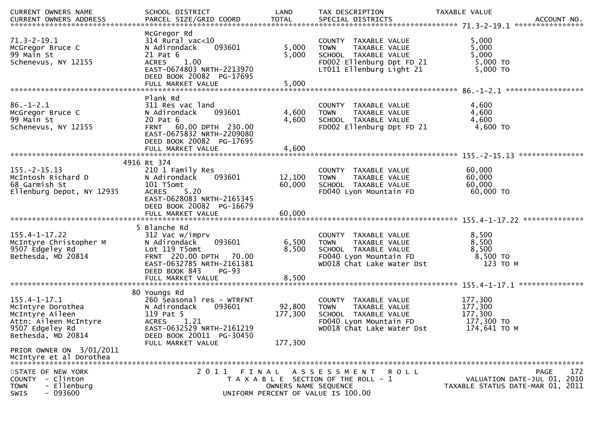| CURRENT OWNERS NAME                                                                                                                                       | SCHOOL DISTRICT                                                                                                                                                                        | LAND                         | TAX DESCRIPTION                                                                                                                               | TAXABLE VALUE                                                                         |
|-----------------------------------------------------------------------------------------------------------------------------------------------------------|----------------------------------------------------------------------------------------------------------------------------------------------------------------------------------------|------------------------------|-----------------------------------------------------------------------------------------------------------------------------------------------|---------------------------------------------------------------------------------------|
| $71.3 - 2 - 19.1$<br>McGregor Bruce C<br>99 Main St<br>Schenevus, NY 12155                                                                                | McGregor Rd<br>$314$ Rural vac<10<br>093601<br>N Adirondack<br>21 Pat 6<br><b>ACRES</b><br>1.00<br>EAST-0674803 NRTH-2213970<br>DEED BOOK 20082 PG-17695<br>FULL MARKET VALUE          | 5,000<br>5,000<br>5,000      | COUNTY TAXABLE VALUE<br><b>TOWN</b><br>TAXABLE VALUE<br>SCHOOL TAXABLE VALUE<br>FD002 Ellenburg Dpt FD 21<br>LT011 Ellenburg Light 21         | 5,000<br>5,000<br>5,000<br>5,000 TO<br>$5,000$ TO                                     |
| $86. - 1 - 2.1$<br>McGregor Bruce C<br>99 Main St<br>Schenevus, NY 12155                                                                                  | Plank Rd<br>311 Res vac land<br>093601<br>N Adirondack<br>20 Pat 6<br>60.00 DPTH 230.00<br><b>FRNT</b><br>EAST-0675832 NRTH-2209080<br>DEED BOOK 20082 PG-17695<br>FULL MARKET VALUE   | 4,600<br>4,600<br>4,600      | COUNTY TAXABLE VALUE<br><b>TOWN</b><br>TAXABLE VALUE<br>SCHOOL TAXABLE VALUE<br>FD002 Ellenburg Dpt FD 21                                     | 4,600<br>4,600<br>4,600<br>4,600 TO                                                   |
| $155. - 2 - 15.13$<br>McIntosh Richard D<br>68 Garmish St<br>Ellenburg Depot, NY 12935                                                                    | 4916 Rt 374<br>210 1 Family Res<br>N Adirondack<br>093601<br>101 T5omt<br>5.20<br><b>ACRES</b><br>EAST-0628083 NRTH-2165345<br>DEED BOOK 20082 PG-16679                                | 12,100<br>60,000             | COUNTY TAXABLE VALUE<br>TAXABLE VALUE<br><b>TOWN</b><br>SCHOOL TAXABLE VALUE<br>FD040 Lyon Mountain FD                                        | 60,000<br>60,000<br>60,000<br>60,000 TO                                               |
| 155.4-1-17.22<br>McIntyre Christopher M<br>9507 Edgeley Rd<br>Bethesda, MD 20814                                                                          | 5 Blanche Rd<br>312 Vac w/imprv<br>N Adirondack<br>093601<br>Lot 119 T5omt<br>FRNT 220.00 DPTH<br>70.00<br>EAST-0632785 NRTH-2161381<br>DEED BOOK 843<br>$PG-93$<br>FULL MARKET VALUE  | 6,500<br>8,500<br>8,500      | COUNTY TAXABLE VALUE<br>TAXABLE VALUE<br><b>TOWN</b><br>SCHOOL TAXABLE VALUE<br>FD040 Lyon Mountain FD<br>WD018 Chat Lake Water Dst           | 8,500<br>8,500<br>8,500<br>8,500 TO<br>123 TO M                                       |
| 155.4-1-17.1<br>McIntyre Dorothea<br>McIntyre Aileen<br>Attn: Aileen McIntyre<br>9507 Edgeley Rd<br>Bethesda, MD 20814                                    | 80 Youngs Rd<br>260 Seasonal res - WTRFNT<br>093601<br>N Adirondack<br>119 Pat 5<br>1.21<br><b>ACRES</b><br>EAST-0632529 NRTH-2161219<br>DEED BOOK 20011 PG-30450<br>FULL MARKET VALUE | 92,800<br>177,300<br>177,300 | TAXABLE VALUE<br><b>COUNTY</b><br>TAXABLE VALUE<br><b>TOWN</b><br>SCHOOL TAXABLE VALUE<br>FD040 Lyon Mountain FD<br>WD018 Chat Lake Water Dst | 177,300<br>177,300<br>177,300<br>177,300 TO<br>174,641 ТО М                           |
| PRIOR OWNER ON 3/01/2011<br>McIntyre et al Dorothea<br>STATE OF NEW YORK<br>- Clinton<br><b>COUNTY</b><br>- Ellenburg<br><b>TOWN</b><br>$-093600$<br>SWIS | 2011                                                                                                                                                                                   | OWNERS NAME SEQUENCE         | FINAL ASSESSMENT<br><b>ROLL</b><br>T A X A B L E SECTION OF THE ROLL - 1<br>UNIFORM PERCENT OF VALUE IS 100.00                                | 172<br><b>PAGE</b><br>VALUATION DATE-JUL 01, 2010<br>TAXABLE STATUS DATE-MAR 01, 2011 |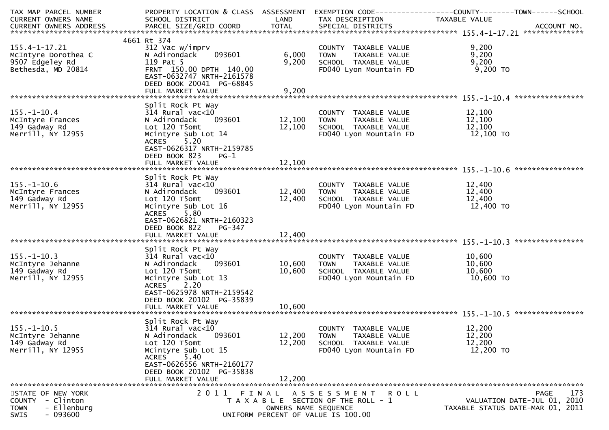| TAX MAP PARCEL NUMBER<br><b>CURRENT OWNERS NAME</b><br>CURRENT OWNERS ADDRESS                   | PROPERTY LOCATION & CLASS ASSESSMENT<br>SCHOOL DISTRICT<br>PARCEL SIZE/GRID COORD                                                                                                                               | LAND<br><b>TOTAL</b>          | TAX DESCRIPTION<br>SPECIAL DISTRICTS                                                                          | TAXABLE VALUE<br>ACCOUNT NO.                                            |     |
|-------------------------------------------------------------------------------------------------|-----------------------------------------------------------------------------------------------------------------------------------------------------------------------------------------------------------------|-------------------------------|---------------------------------------------------------------------------------------------------------------|-------------------------------------------------------------------------|-----|
|                                                                                                 | 4661 Rt 374                                                                                                                                                                                                     |                               |                                                                                                               |                                                                         |     |
| 155.4-1-17.21<br>McIntyre Dorothea C<br>9507 Edgeley Rd<br>Bethesda, MD 20814                   | 312 Vac w/imprv<br>093601<br>N Adirondack<br>119 Pat 5<br>FRNT 150.00 DPTH 140.00<br>EAST-0632747 NRTH-2161578<br>DEED BOOK 20041 PG-68845                                                                      | 6,000<br>9,200                | COUNTY TAXABLE VALUE<br><b>TOWN</b><br>TAXABLE VALUE<br>SCHOOL TAXABLE VALUE<br>FD040 Lyon Mountain FD        | 9,200<br>9,200<br>9,200<br>9,200 TO                                     |     |
|                                                                                                 | FULL MARKET VALUE                                                                                                                                                                                               | 9,200                         |                                                                                                               |                                                                         |     |
| $155. - 1 - 10.4$<br>McIntyre Frances<br>149 Gadway Rd<br>Merrill, NY 12955                     | Split Rock Pt Way<br>$314$ Rural vac<10<br>N Adirondack<br>093601<br>Lot 120 T5omt<br>Mcintyre Sub Lot 14<br>ACRES 5.20<br>EAST-0626317 NRTH-2159785<br>DEED BOOK 823<br>$PG-1$<br>FULL MARKET VALUE            | 12,100<br>12,100<br>12,100    | COUNTY TAXABLE VALUE<br><b>TOWN</b><br>TAXABLE VALUE<br>SCHOOL TAXABLE VALUE<br>FD040 Lyon Mountain FD        | 12,100<br>12,100<br>12,100<br>12,100 TO                                 |     |
|                                                                                                 |                                                                                                                                                                                                                 |                               |                                                                                                               |                                                                         |     |
| $155. - 1 - 10.6$<br>McIntyre Frances<br>149 Gadway Rd<br>Merrill, NY 12955                     | Split Rock Pt Way<br>$314$ Rural vac< $10$<br>093601<br>N Adirondack<br>Lot 120 T5omt<br>Mcintyre Sub Lot 16<br>5.80<br><b>ACRES</b><br>EAST-0626821 NRTH-2160323                                               | 12,400<br>12,400              | COUNTY TAXABLE VALUE<br>TAXABLE VALUE<br><b>TOWN</b><br>SCHOOL TAXABLE VALUE<br>FD040 Lyon Mountain FD        | 12,400<br>12,400<br>12,400<br>12,400 TO                                 |     |
|                                                                                                 | DEED BOOK 822<br>PG-347<br>FULL MARKET VALUE                                                                                                                                                                    | 12,400                        |                                                                                                               |                                                                         |     |
| $155. - 1 - 10.3$<br>McIntyre Jehanne<br>149 Gadway Rd<br>Merrill, NY 12955                     | Split Rock Pt Way<br>$314$ Rural vac< $10$<br>N Adirondack<br>093601<br>Lot 120 T5omt<br>Mcintyre Sub Lot 13<br>ACRES 2.20<br>EAST-0625978 NRTH-2159542<br>DEED BOOK 20102 PG-35839<br>FULL MARKET VALUE        | 10,600<br>10,600<br>10,600    | COUNTY TAXABLE VALUE<br>TAXABLE VALUE<br>TOWN<br>SCHOOL TAXABLE VALUE<br>FD040 Lyon Mountain FD               | 10,600<br>10,600<br>10,600<br>10,600 TO                                 |     |
|                                                                                                 |                                                                                                                                                                                                                 |                               |                                                                                                               | ****************                                                        |     |
| $155. - 1 - 10.5$<br>McIntyre Jehanne<br>149 Gadway Rd<br>Merrill, NY 12955                     | Split Rock Pt Way<br>$314$ Rural vac<10<br>093601<br>N Adirondack<br>Lot 120 T5omt<br>Mcintyre Sub Lot 15<br>5.40<br><b>ACRES</b><br>EAST-0626556 NRTH-2160177<br>DEED BOOK 20102 PG-35838<br>FULL MARKET VALUE | 12,200<br>12,200<br>12,200    | COUNTY TAXABLE VALUE<br>TAXABLE VALUE<br><b>TOWN</b><br>SCHOOL TAXABLE VALUE<br>FD040 Lyon Mountain FD        | 12,200<br>12,200<br>12,200<br>12,200 TO                                 |     |
|                                                                                                 |                                                                                                                                                                                                                 |                               |                                                                                                               |                                                                         |     |
| STATE OF NEW YORK<br>COUNTY - Clinton<br>- Ellenburg<br><b>TOWN</b><br>$-093600$<br><b>SWIS</b> | 2011                                                                                                                                                                                                            | FINAL<br>OWNERS NAME SEQUENCE | A S S E S S M E N T<br>R O L L<br>T A X A B L E SECTION OF THE ROLL - 1<br>UNIFORM PERCENT OF VALUE IS 100.00 | PAGE<br>VALUATION DATE-JUL 01, 2010<br>TAXABLE STATUS DATE-MAR 01, 2011 | 173 |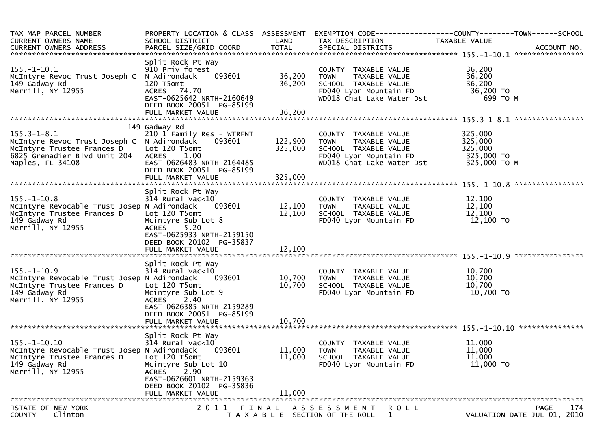| TAX MAP PARCEL NUMBER<br><b>CURRENT OWNERS NAME</b><br><b>CURRENT OWNERS ADDRESS</b>                                                              | PROPERTY LOCATION & CLASS ASSESSMENT<br>SCHOOL DISTRICT<br>PARCEL SIZE/GRID COORD                                                                                                               | LAND<br><b>TOTAL</b>          | EXEMPTION CODE-----<br>TAX DESCRIPTION<br>SPECIAL DISTRICTS                                                                         | ------------COUNTY--------TOWN------SCHOOL<br><b>TAXABLE VALUE</b> | ACCOUNT NO.                                       |
|---------------------------------------------------------------------------------------------------------------------------------------------------|-------------------------------------------------------------------------------------------------------------------------------------------------------------------------------------------------|-------------------------------|-------------------------------------------------------------------------------------------------------------------------------------|--------------------------------------------------------------------|---------------------------------------------------|
| $155. - 1 - 10.1$<br>McIntyre Revoc Trust Joseph C<br>149 Gadway Rd<br>Merrill, NY 12955                                                          | Split Rock Pt Way<br>910 Priv forest<br>N Adirondack<br>093601<br>120 T5omt<br>ACRES 74.70<br>EAST-0625642 NRTH-2160649<br>DEED BOOK 20051 PG-85199<br>FULL MARKET VALUE                        | 36,200<br>36,200<br>36,200    | COUNTY TAXABLE VALUE<br>TAXABLE VALUE<br><b>TOWN</b><br>SCHOOL TAXABLE VALUE<br>FD040 Lyon Mountain FD<br>WD018 Chat Lake Water Dst | 36,200<br>36,200<br>36,200<br>36,200 TO<br>699 ТО М                |                                                   |
|                                                                                                                                                   |                                                                                                                                                                                                 |                               |                                                                                                                                     |                                                                    |                                                   |
| $155.3 - 1 - 8.1$<br>McIntyre Revoc Trust Joseph C N Adirondack<br>McIntyre Trustee Frances D<br>6825 Grenadier Blvd Unit 204<br>Naples, FL 34108 | 149 Gadway Rd<br>210 1 Family Res - WTRFNT<br>093601<br>Lot 120 T5omt<br><b>ACRES</b><br>1.00<br>EAST-0626483 NRTH-2164485<br>DEED BOOK 20051 PG-85199<br>FULL MARKET VALUE                     | 122,900<br>325,000<br>325,000 | COUNTY TAXABLE VALUE<br><b>TOWN</b><br>TAXABLE VALUE<br>SCHOOL TAXABLE VALUE<br>FD040 Lyon Mountain FD<br>WD018 Chat Lake Water Dst | 325,000<br>325,000<br>325,000<br>325,000 TO<br>325,000 TO M        |                                                   |
|                                                                                                                                                   |                                                                                                                                                                                                 |                               |                                                                                                                                     |                                                                    |                                                   |
| $155. - 1 - 10.8$<br>McIntyre Revocable Trust Josep N Adirondack<br>McIntyre Trustee Frances D<br>149 Gadway Rd<br>Merrill, NY 12955              | Split Rock Pt Way<br>314 Rural vac<10<br>093601<br>Lot 120 T5omt<br>Mcintyre Sub Lot 8<br>5.20<br><b>ACRES</b><br>EAST-0625933 NRTH-2159150<br>DEED BOOK 20102 PG-35837<br>FULL MARKET VALUE    | 12,100<br>12,100<br>12,100    | COUNTY TAXABLE VALUE<br><b>TOWN</b><br>TAXABLE VALUE<br>SCHOOL TAXABLE VALUE<br>FD040 Lyon Mountain FD                              | 12,100<br>12,100<br>12,100<br>12,100 TO                            |                                                   |
|                                                                                                                                                   | Split Rock Pt Way                                                                                                                                                                               |                               |                                                                                                                                     |                                                                    | ****************                                  |
| $155. - 1 - 10.9$<br>McIntyre Revocable Trust Josep N Adirondack<br>McIntyre Trustee Frances D<br>149 Gadway Rd<br>Merrill, NY 12955              | $314$ Rural vac<10<br>093601<br>Lot 120 T5omt<br>Mcintyre Sub Lot 9<br>2.40<br><b>ACRES</b><br>EAST-0626385 NRTH-2159289<br>DEED BOOK 20051 PG-85199                                            | 10,700<br>10,700              | COUNTY TAXABLE VALUE<br><b>TOWN</b><br>TAXABLE VALUE<br>SCHOOL TAXABLE VALUE<br>FD040 Lyon Mountain FD                              | 10,700<br>10,700<br>10,700<br>10,700 TO                            |                                                   |
|                                                                                                                                                   | FULL MARKET VALUE                                                                                                                                                                               | 10,700                        |                                                                                                                                     |                                                                    |                                                   |
| $155. - 1 - 10.10$<br>McIntyre Revocable Trust Josep N Adirondack<br>McIntyre Trustee Frances D<br>149 Gadway Rd<br>Merrill, NY 12955             | Split Rock Pt Way<br>$314$ Rural vac<10<br>093601<br>Lot 120 T5omt<br>Mcintyre Sub Lot 10<br>2.90<br><b>ACRES</b><br>EAST-0626601 NRTH-2159363<br>DEED BOOK 20102 PG-35836<br>FULL MARKET VALUE | 11,000<br>11,000<br>11,000    | TAXABLE VALUE<br>COUNTY<br><b>TOWN</b><br>TAXABLE VALUE<br>SCHOOL TAXABLE VALUE<br>FD040 Lyon Mountain FD                           | 11,000<br>11,000<br>11,000<br>11,000 TO                            |                                                   |
|                                                                                                                                                   |                                                                                                                                                                                                 |                               |                                                                                                                                     |                                                                    |                                                   |
| STATE OF NEW YORK<br>COUNTY - Clinton                                                                                                             | 2011 FINAL                                                                                                                                                                                      |                               | ASSESSMENT ROLL<br>T A X A B L E SECTION OF THE ROLL - 1                                                                            |                                                                    | <b>PAGE</b><br>174<br>VALUATION DATE-JUL 01, 2010 |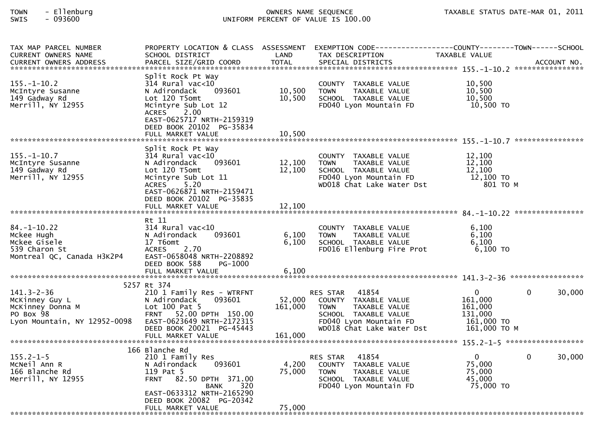# TOWN - Ellenburg OWNERS NAME SEQUENCE TAXABLE STATUS DATE-MAR 01, 2011SWIS - 093600 UNIFORM PERCENT OF VALUE IS 100.00

| TAX MAP PARCEL NUMBER<br><b>CURRENT OWNERS NAME</b>                                                 | PROPERTY LOCATION & CLASS ASSESSMENT EXEMPTION CODE----------------COUNTY--------TOWN------SCHOOL<br>SCHOOL DISTRICT                                                                                            | LAND                       | TAX DESCRIPTION                                                                                                                                          | TAXABLE VALUE                                                               |             |
|-----------------------------------------------------------------------------------------------------|-----------------------------------------------------------------------------------------------------------------------------------------------------------------------------------------------------------------|----------------------------|----------------------------------------------------------------------------------------------------------------------------------------------------------|-----------------------------------------------------------------------------|-------------|
| <b>CURRENT OWNERS ADDRESS</b>                                                                       | PARCEL SIZE/GRID COORD                                                                                                                                                                                          | TOTAL                      | SPECIAL DISTRICTS                                                                                                                                        |                                                                             | ACCOUNT NO. |
| $155. - 1 - 10.2$<br>McIntyre Susanne<br>149 Gadway Rd<br>Merrill, NY 12955                         | Split Rock Pt Way<br>$314$ Rural vac<10<br>N Adirondack<br>093601<br>Lot 120 T5omt<br>Mcintyre Sub Lot 12<br>2.00<br><b>ACRES</b><br>EAST-0625717 NRTH-2159319<br>DEED BOOK 20102 PG-35834<br>FULL MARKET VALUE | 10,500<br>10,500<br>10,500 | COUNTY TAXABLE VALUE<br>TAXABLE VALUE<br><b>TOWN</b><br>SCHOOL TAXABLE VALUE<br>FD040 Lyon Mountain FD                                                   | 10,500<br>10,500<br>10.500<br>10,500 TO                                     |             |
|                                                                                                     |                                                                                                                                                                                                                 |                            |                                                                                                                                                          |                                                                             |             |
| $155. - 1 - 10.7$<br>McIntyre Susanne<br>149 Gadway Rd<br>Merrill, NY 12955                         | Split Rock Pt Way<br>$314$ Rural vac< $10$<br>N Adirondack<br>093601<br>Lot 120 T5omt<br>Mcintyre Sub Lot 11<br>5.20<br><b>ACRES</b><br>EAST-0626871 NRTH-2159471<br>DEED BOOK 20102 PG-35835                   | 12,100<br>12,100           | COUNTY TAXABLE VALUE<br><b>TOWN</b><br>TAXABLE VALUE<br>SCHOOL TAXABLE VALUE<br>FD040 Lyon Mountain FD<br>WD018 Chat Lake Water Dst                      | 12,100<br>12,100<br>12,100<br>12,100 TO<br>801 TO M                         |             |
|                                                                                                     | FULL MARKET VALUE                                                                                                                                                                                               | 12,100                     |                                                                                                                                                          |                                                                             |             |
|                                                                                                     | Rt 11                                                                                                                                                                                                           |                            |                                                                                                                                                          |                                                                             |             |
| $84. - 1 - 10.22$<br>Mckee Hugh<br>Mckee Gisele<br>539 Charon St<br>Montreal QC, Canada H3K2P4      | 314 Rural vac<10<br>093601<br>N Adirondack<br>17 T6omt<br>2.70<br><b>ACRES</b><br>EAST-0658048 NRTH-2208892<br>DEED BOOK 588<br>PG-1000                                                                         | 6,100<br>6,100             | COUNTY TAXABLE VALUE<br>TAXABLE VALUE<br><b>TOWN</b><br>SCHOOL TAXABLE VALUE<br>FD016 Ellenburg Fire Prot                                                | 6.100<br>6,100<br>6,100<br>$6,100$ TO                                       |             |
|                                                                                                     | FULL MARKET VALUE                                                                                                                                                                                               | 6,100                      |                                                                                                                                                          |                                                                             |             |
|                                                                                                     |                                                                                                                                                                                                                 |                            |                                                                                                                                                          |                                                                             |             |
| $141.3 - 2 - 36$<br>McKinney Guy L<br>McKinney Donna M<br>PO Box 98<br>Lyon Mountain, NY 12952-0098 | 5257 Rt 374<br>210 1 Family Res - WTRFNT<br>093601<br>N Adirondack<br>Lot $100$ Pat 5<br>FRNT 52.00 DPTH 150.00<br>EAST-0623649 NRTH-2172315                                                                    | 52,000<br>161,000          | 41854<br>RES STAR<br>COUNTY TAXABLE VALUE<br>TAXABLE VALUE<br><b>TOWN</b><br>SCHOOL TAXABLE VALUE<br>FD040 Lyon Mountain FD<br>WD018 Chat Lake Water Dst | $\mathbf{0}$<br>161,000<br>161,000<br>131,000<br>161,000 TO<br>161,000 ТО М | 30,000<br>0 |
|                                                                                                     | DEED BOOK 20021 PG-45443<br>FULL MARKET VALUE                                                                                                                                                                   | 161,000                    |                                                                                                                                                          |                                                                             |             |
|                                                                                                     |                                                                                                                                                                                                                 |                            |                                                                                                                                                          |                                                                             |             |
| $155.2 - 1 - 5$<br>MCNeil Ann R<br>166 Blanche Rd<br>Merrill, NY 12955                              | 166 Blanche Rd<br>210 1 Family Res<br>N Adirondack<br>093601<br>119 Pat 5<br>FRNT 82.50 DPTH 371.00<br>320<br><b>BANK</b>                                                                                       | 4,200<br>75,000            | 41854<br><b>RES STAR</b><br>COUNTY TAXABLE VALUE<br><b>TOWN</b><br>TAXABLE VALUE<br>SCHOOL TAXABLE VALUE<br>FD040 Lyon Mountain FD                       | $\mathbf{0}$<br>75,000<br>75,000<br>45,000<br>75,000 TO                     | 30,000<br>0 |
|                                                                                                     | EAST-0633312 NRTH-2165290<br>DEED BOOK 20082 PG-20342<br>FULL MARKET VALUE                                                                                                                                      | 75,000                     |                                                                                                                                                          |                                                                             |             |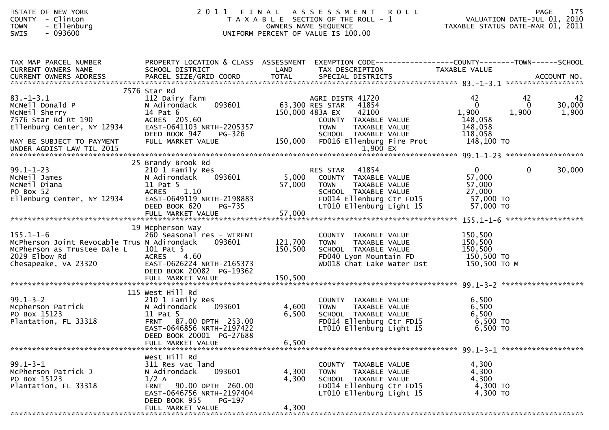| STATE OF NEW YORK<br>- Clinton<br><b>COUNTY</b><br>- Ellenburg<br><b>TOWN</b><br>$-093600$<br>SWIS                                     |                                                                                                                                                                                        |                         | 2011 FINAL ASSESSMENT<br>R O L L<br>T A X A B L E SECTION OF THE ROLL - 1<br>OWNERS NAME SEQUENCE<br>UNIFORM PERCENT OF VALUE IS 100.00                                               | ROLL – 1<br>VALUATION DATE-JUL 01, 2010<br>TAXABLE STATUS DATE-MAR 01, 2011 | <b>PAGE</b>             | 175                   |
|----------------------------------------------------------------------------------------------------------------------------------------|----------------------------------------------------------------------------------------------------------------------------------------------------------------------------------------|-------------------------|---------------------------------------------------------------------------------------------------------------------------------------------------------------------------------------|-----------------------------------------------------------------------------|-------------------------|-----------------------|
| TAX MAP PARCEL NUMBER<br>CURRENT OWNERS NAME<br>CURRENT OWNERS ADDRESS                                                                 | SCHOOL DISTRICT                                                                                                                                                                        | LAND                    | PROPERTY LOCATION & CLASS ASSESSMENT EXEMPTION CODE----------------COUNTY-------TOWN------SCHOOL<br>TAX DESCRIPTION                                                                   | TAXABLE VALUE                                                               |                         |                       |
| $83. - 1 - 3.1$<br>MCNeil Donald P<br>McNeil Sherry<br>7576 Star Rd Rt 190<br>Ellenburg Center, NY 12934<br>MAY BE SUBJECT TO PAYMENT  | 7576 Star Rd<br>112 Dairy farm<br>093601<br>N Adirondack<br>14 Pat 6<br>ACRES 205.60<br>EAST-0641103 NRTH-2205357<br>DEED BOOK 947<br>PG-326<br>FULL MARKET VALUE                      | 150,000                 | AGRI DISTR 41720<br>63,300 RES STAR<br>41854<br>150,000 483A EX<br>42100<br>COUNTY TAXABLE VALUE<br><b>TOWN</b><br>TAXABLE VALUE<br>SCHOOL TAXABLE VALUE<br>FD016 Ellenburg Fire Prot | 42<br>$\mathbf{0}$<br>1,900<br>148,058<br>148,058<br>118,058<br>148,100 TO  | 42<br>$\Omega$<br>1,900 | 42<br>30,000<br>1,900 |
| $99.1 - 1 - 23$<br>McNeil James<br>McNeil Diana<br>PO Box 52<br>Ellenburg Center, NY 12934                                             | 25 Brandy Brook Rd<br>210 1 Family Res<br>093601<br>N Adirondack<br>11 Pat 5<br><b>ACRES</b><br>1.10<br>EAST-0649119 NRTH-2198883<br>DEED BOOK 620<br>PG-735                           | 5,000<br>57,000         | RES STAR<br>41854<br>COUNTY TAXABLE VALUE<br>TAXABLE VALUE<br><b>TOWN</b><br>SCHOOL TAXABLE VALUE<br>FD014 Ellenburg Ctr FD15<br>LT010 Ellenburg Light 15                             | $0 \qquad \qquad$<br>57,000<br>57,000<br>27,000<br>57,000 TO<br>57,000 TO   | $\mathbf{0}$            | 30,000                |
| $155.1 - 1 - 6$<br>McPherson Joint Revocable Trus N Adirondack<br>McPherson as Trustee Dale L<br>2029 Elbow Rd<br>Chesapeake, VA 23320 | 19 Mcpherson Way<br>260 Seasonal res - WTRFNT<br>093601<br>101 Pat 5<br>4.60<br><b>ACRES</b><br>EAST-0626224 NRTH-2165373<br>DEED BOOK 20082 PG-19362                                  | 121,700<br>150,500      | COUNTY TAXABLE VALUE<br>TAXABLE VALUE<br>TOWN<br>SCHOOL TAXABLE VALUE<br>FD040 Lyon Mountain FD<br>WD018 Chat Lake Water Dst                                                          | 150,500<br>150,500<br>150,500<br>150,500 TO<br>150,500 ТО М                 |                         |                       |
| 99.1-3-2<br>Mcpherson Patrick<br>PO Box 15123<br>Plantation, FL 33318                                                                  | 115 West Hill Rd<br>210 1 Family Res<br>093601<br>N Adirondack<br>11 Pat 5<br>FRNT 87.00 DPTH 253.00<br>EAST-0646856 NRTH-2197422<br>DEED BOOK 20001 PG-27688<br>FULL MARKET VALUE     | 4,600<br>6,500<br>6,500 | COUNTY TAXABLE VALUE<br>TAXABLE VALUE<br><b>TOWN</b><br>SCHOOL TAXABLE VALUE<br>FD014 Ellenburg Ctr FD15<br>LT010 Ellenburg Light 15                                                  | 6,500<br>6,500<br>6,500<br>6,500 TO<br>6,500 TO                             |                         |                       |
| $99.1 - 3 - 1$<br>McPherson Patrick J<br>PO Box 15123<br>Plantation, FL 33318                                                          | West Hill Rd<br>311 Res vac land<br>093601<br>N Adirondack<br>$1/2$ A<br>90.00 DPTH 260.00<br><b>FRNT</b><br>EAST-0646756 NRTH-2197404<br>DEED BOOK 955<br>PG-197<br>FULL MARKET VALUE | 4,300<br>4,300<br>4,300 | COUNTY TAXABLE VALUE<br>TAXABLE VALUE<br>TOWN<br>SCHOOL TAXABLE VALUE<br>FD014 Ellenburg Ctr FD15<br>LT010 Ellenburg Light 15                                                         | 4,300<br>4,300<br>4,300<br>4,300 TO<br>4,300 TO                             |                         |                       |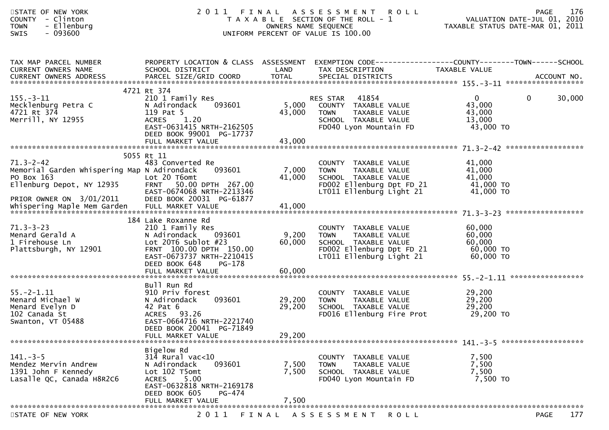| STATE OF NEW YORK<br>COUNTY - Clinton<br>- Ellenburg<br><b>TOWN</b><br>$-093600$<br><b>SWIS</b>                                       |                                                                                                                                                                                 | OWNERS NAME SEQUENCE       | 2011 FINAL ASSESSMENT ROLL<br>T A X A B L E SECTION OF THE ROLL - 1<br>UNIFORM PERCENT OF VALUE IS 100.00                             | VALUATION DATE-JUL 01, 2010<br>TAXABLE STATUS DATE-MAR 01, 2011 | <b>PAGE</b> | 176    |
|---------------------------------------------------------------------------------------------------------------------------------------|---------------------------------------------------------------------------------------------------------------------------------------------------------------------------------|----------------------------|---------------------------------------------------------------------------------------------------------------------------------------|-----------------------------------------------------------------|-------------|--------|
| TAX MAP PARCEL NUMBER<br>CURRENT OWNERS NAME                                                                                          | SCHOOL DISTRICT                                                                                                                                                                 | LAND                       | PROPERTY LOCATION & CLASS ASSESSMENT EXEMPTION CODE---------------COUNTY-------TOWN------SCHOOL<br>TAX DESCRIPTION                    | TAXABLE VALUE                                                   |             |        |
|                                                                                                                                       |                                                                                                                                                                                 |                            |                                                                                                                                       |                                                                 |             |        |
| $155. - 3 - 11$<br>Mecklenburg Petra C<br>4721 Rt 374<br>Merrill, NY 12955                                                            | 4721 Rt 374<br>210 1 Family Res<br>N Adirondack<br>093601<br>119 Pat 5<br>1.20<br><b>ACRES</b><br>EAST-0631415 NRTH-2162505<br>DEED BOOK 99001 PG-17737                         | 5,000<br>43,000            | 41854<br>RES STAR<br>COUNTY TAXABLE VALUE<br>TAXABLE VALUE<br><b>TOWN</b><br>SCHOOL TAXABLE VALUE<br>FD040 Lyon Mountain FD           | $\mathbf{0}$<br>43,000<br>43,000<br>13,000<br>43,000 TO         | $\mathbf 0$ | 30,000 |
|                                                                                                                                       |                                                                                                                                                                                 |                            |                                                                                                                                       |                                                                 |             |        |
| $71.3 - 2 - 42$<br>Memorial Garden whispering Map N Adirondack<br>PO Box 163<br>Ellenburg Depot, NY 12935<br>PRIOR OWNER ON 3/01/2011 | 5055 Rt 11<br>483 Converted Re<br>093601<br>Lot 20 T6omt<br>50.00 DPTH 267.00<br><b>FRNT</b><br>EAST-0674068 NRTH-2213346<br>DEED BOOK 20031 PG-61877                           | 7,000<br>41,000            | COUNTY TAXABLE VALUE<br>TAXABLE VALUE<br>TOWN<br>SCHOOL TAXABLE VALUE<br>FD002 Ellenburg Dpt FD 21<br>LT011 Ellenburg Light 21        | 41,000<br>41,000<br>41,000<br>41,000 TO<br>41,000 TO            |             |        |
| $71.3 - 3 - 23$<br>Menard Gerald A<br>1 Firehouse Ln<br>Plattsburgh, NY 12901                                                         | 184 Lake Roxanne Rd<br>210 1 Family Res<br>N Adirondack<br>093601<br>Lot $20T6$ Sublot $#23$<br>FRNT 100.00 DPTH 150.00<br>EAST-0673737 NRTH-2210415<br>DEED BOOK 648<br>PG-178 | 9,200<br>60,000            | COUNTY TAXABLE VALUE<br>TAXABLE VALUE<br><b>TOWN</b><br>SCHOOL TAXABLE VALUE<br>FD002 Ellenburg Dpt FD 21<br>LT011 Ellenburg Light 21 | 60,000<br>60,000<br>60,000<br>60,000 TO<br>60,000 TO            |             |        |
|                                                                                                                                       |                                                                                                                                                                                 |                            |                                                                                                                                       |                                                                 |             |        |
| $55. - 2 - 1.11$<br>Menard Michael W<br>Menard Evelyn D<br>102 Canada St<br>Swanton, VT 05488                                         | Bull Run Rd<br>910 Priv forest<br>093601<br>N Adirondack<br>42 Pat 6<br>ACRES 93.26<br>EAST-0664716 NRTH-2221740<br>DEED BOOK 20041 PG-71849<br>FULL MARKET VALUE               | 29,200<br>29,200<br>29,200 | COUNTY TAXABLE VALUE<br>TAXABLE VALUE<br><b>TOWN</b><br>SCHOOL TAXABLE VALUE<br>FD016 Ellenburg Fire Prot                             | 29,200<br>29,200<br>29,200<br>29,200 TO                         |             |        |
|                                                                                                                                       |                                                                                                                                                                                 |                            |                                                                                                                                       |                                                                 |             |        |
| $141. - 3 - 5$<br>Mendez Mervin Andrew<br>1391 John F Kennedy<br>Lasalle QC, Canada H8R2C6                                            | Bigelow Rd<br>$314$ Rural vac<10<br>093601<br>N Adirondack<br>Lot 102 T5omt<br>5.00<br><b>ACRES</b><br>EAST-0632818 NRTH-2169178<br>DEED BOOK 605<br>PG-474                     | 7,500<br>7,500<br>7,500    | COUNTY TAXABLE VALUE<br>TAXABLE VALUE<br><b>TOWN</b><br>SCHOOL TAXABLE VALUE<br>FD040 Lyon Mountain FD                                | 7,500<br>7,500<br>7,500<br>7,500 TO                             |             |        |
|                                                                                                                                       | FULL MARKET VALUE                                                                                                                                                               |                            |                                                                                                                                       |                                                                 |             |        |
| STATE OF NEW YORK                                                                                                                     | 2 0 1 1                                                                                                                                                                         | FINAL                      | A S S E S S M E N T R O L L                                                                                                           |                                                                 | <b>PAGE</b> | 177    |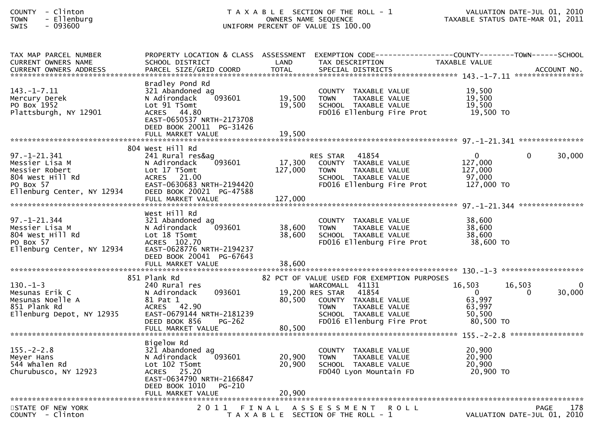| <b>COUNTY</b> | $\overline{\phantom{0}}$ | Clinton  |
|---------------|--------------------------|----------|
| <b>TOWN</b>   |                          | Ellenbur |
| $\sim$ $\sim$ |                          |          |

## COUNTY - Clinton T A X A B L E SECTION OF THE ROLL - 1 VALUATION DATE-JUL 01, 2010TOWN - Ellenburg OWNERS NAME SEQUENCE TAXABLE STATUS DATE-MAR 01, 2011SWIS - 093600 UNIFORM PERCENT OF VALUE IS 100.00

| TAX MAP PARCEL NUMBER<br><b>CURRENT OWNERS NAME</b>                                                                   | SCHOOL DISTRICT                                                                                                                                        | LAND              | PROPERTY LOCATION & CLASS ASSESSMENT EXEMPTION CODE----------------COUNTY--------TOWN------SCHOOL<br>TAX DESCRIPTION                                                                                    | TAXABLE VALUE                                                 |                                                   |  |
|-----------------------------------------------------------------------------------------------------------------------|--------------------------------------------------------------------------------------------------------------------------------------------------------|-------------------|---------------------------------------------------------------------------------------------------------------------------------------------------------------------------------------------------------|---------------------------------------------------------------|---------------------------------------------------|--|
| $143. - 1 - 7.11$<br>Mercury Derek<br>PO Box 1952<br>Plattsburgh, NY 12901                                            | Bradley Pond Rd<br>321 Abandoned ag<br>093601<br>N Adirondack<br>Lot 91 T5omt<br>ACRES 44.80<br>EAST-0650537 NRTH-2173708<br>DEED BOOK 20011 PG-31426  | 19,500<br>19,500  | COUNTY TAXABLE VALUE<br><b>TOWN</b><br>TAXABLE VALUE<br>SCHOOL TAXABLE VALUE<br>FD016 Ellenburg Fire Prot                                                                                               | 19,500<br>19,500<br>19,500<br>19,500 TO                       |                                                   |  |
|                                                                                                                       |                                                                                                                                                        |                   |                                                                                                                                                                                                         |                                                               |                                                   |  |
| $97. - 1 - 21.341$<br>Messier Lisa M<br>Messier Robert<br>804 West Hill Rd<br>PO Box 57<br>Ellenburg Center, NY 12934 | 804 West Hill Rd<br>241 Rural res&ag<br>093601<br>N Adirondack<br>Lot 17 T5omt<br>ACRES 21.00<br>EAST-0630683 NRTH-2194420<br>DEED BOOK 20021 PG-47588 | 17,300<br>127,000 | 41854<br><b>RES STAR</b><br>COUNTY TAXABLE VALUE<br><b>TOWN</b><br>TAXABLE VALUE<br>SCHOOL TAXABLE VALUE<br>FD016 Ellenburg Fire Prot                                                                   | $\Omega$<br>127,000<br>127,000<br>97,000<br>$127,000$ TO      | $\Omega$<br>30,000                                |  |
|                                                                                                                       |                                                                                                                                                        |                   |                                                                                                                                                                                                         |                                                               |                                                   |  |
| $97. - 1 - 21.344$<br>Messier Lisa M<br>804 West Hill Rd<br>PO Box 57<br>Ellenburg Center, NY 12934                   | West Hill Rd<br>321 Abandoned ag<br>N Adirondack<br>093601<br>Lot 18 T5omt<br>ACRES 102.70<br>EAST-0628776 NRTH-2194237<br>DEED BOOK 20041 PG-67643    | 38,600<br>38,600  | COUNTY TAXABLE VALUE<br><b>TOWN</b><br>TAXABLE VALUE<br>SCHOOL TAXABLE VALUE<br>FD016 Ellenburg Fire Prot                                                                                               | 38,600<br>38,600<br>38,600<br>38,600 TO                       |                                                   |  |
|                                                                                                                       |                                                                                                                                                        |                   |                                                                                                                                                                                                         |                                                               |                                                   |  |
|                                                                                                                       |                                                                                                                                                        |                   |                                                                                                                                                                                                         |                                                               |                                                   |  |
| $130. - 1 - 3$<br>Mesunas Erik C<br>Mesunas Noelle A<br>851 Plank Rd<br>Ellenburg Depot, NY 12935                     | 851 Plank Rd<br>240 Rural res<br>N Adirondack<br>093601<br>81 Pat 1<br>ACRES 42.90<br>EAST-0679144 NRTH-2181239<br>DEED BOOK 856<br>PG-262             | 80,500            | 82 PCT OF VALUE USED FOR EXEMPTION PURPOSES<br>WARCOMALL 41131<br>41854<br>19,200 RES STAR<br>COUNTY TAXABLE VALUE<br><b>TOWN</b><br>TAXABLE VALUE<br>SCHOOL TAXABLE VALUE<br>FD016 Ellenburg Fire Prot | 16,503<br>$\Omega$<br>63,997<br>63,997<br>50.500<br>80,500 TO | 16,503<br>30,000<br>$\Omega$                      |  |
|                                                                                                                       |                                                                                                                                                        |                   |                                                                                                                                                                                                         |                                                               |                                                   |  |
| $155. - 2 - 2.8$<br>Meyer Hans<br>544 whalen Rd<br>Churubusco, NY 12923                                               | Bigelow Rd<br>321 Abandoned ag<br>093601<br>N Adirondack<br>Lot 102 T5omt<br>ACRES 25.20<br>EAST-0634790 NRTH-2166847<br>DEED BOOK 1010 PG-210         | 20,900<br>20,900  | COUNTY TAXABLE VALUE<br><b>TOWN</b><br>TAXABLE VALUE<br>SCHOOL TAXABLE VALUE<br>FD040 Lyon Mountain FD                                                                                                  | 20,900<br>20,900<br>20,900<br>20,900 TO                       |                                                   |  |
|                                                                                                                       |                                                                                                                                                        |                   |                                                                                                                                                                                                         |                                                               |                                                   |  |
| STATE OF NEW YORK<br>COUNTY - Clinton                                                                                 | 2011                                                                                                                                                   | FINAL             | A S S E S S M E N T<br><b>ROLL</b><br>T A X A B L E SECTION OF THE ROLL - 1                                                                                                                             |                                                               | 178<br><b>PAGE</b><br>VALUATION DATE-JUL 01, 2010 |  |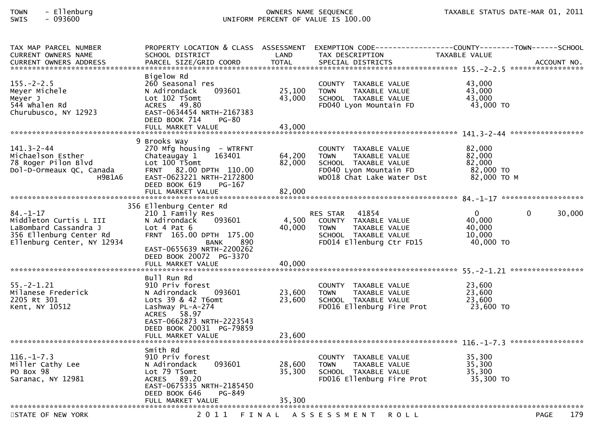## TOWN - Ellenburg OWNERS NAME SEQUENCE TAXABLE STATUS DATE-MAR 01, 2011SWIS - 093600 UNIFORM PERCENT OF VALUE IS 100.00

| TAX MAP PARCEL NUMBER                                                                                              | PROPERTY LOCATION & CLASS ASSESSMENT     |        | EXEMPTION CODE---                                    | ---------------COUNTY--------TOWN------SCHOOL |                    |
|--------------------------------------------------------------------------------------------------------------------|------------------------------------------|--------|------------------------------------------------------|-----------------------------------------------|--------------------|
| <b>CURRENT OWNERS NAME</b>                                                                                         | SCHOOL DISTRICT                          | LAND   | TAX DESCRIPTION                                      | TAXABLE VALUE                                 |                    |
| .CURRENT OWNERS ADDRESS PARCEL SIZE/GRID COORD TOTAL SPECIAL DISTRICTS ACCOUNT NO ACCOUNT NO ACCOUNT NO ACCOUNT NO |                                          |        |                                                      |                                               |                    |
|                                                                                                                    |                                          |        |                                                      |                                               |                    |
| $155. - 2 - 2.5$                                                                                                   | Bigelow Rd                               |        |                                                      |                                               |                    |
|                                                                                                                    | 260 Seasonal res<br>093601               | 25,100 | COUNTY TAXABLE VALUE<br><b>TOWN</b>                  | 43,000<br>43,000                              |                    |
| Meyer Michele<br>Meyer J                                                                                           | N Adirondack<br>Lot 102 T5omt            | 43,000 | TAXABLE VALUE<br>SCHOOL TAXABLE VALUE                | 43,000                                        |                    |
| 544 whalen Rd                                                                                                      | ACRES 49.80                              |        | FD040 Lyon Mountain FD                               | 43,000 TO                                     |                    |
| Churubusco, NY 12923                                                                                               | EAST-0634454 NRTH-2167383                |        |                                                      |                                               |                    |
|                                                                                                                    | DEED BOOK 714<br><b>PG-80</b>            |        |                                                      |                                               |                    |
|                                                                                                                    | FULL MARKET VALUE                        | 43,000 |                                                      |                                               |                    |
|                                                                                                                    |                                          |        |                                                      |                                               |                    |
|                                                                                                                    | 9 Brooks Way                             |        |                                                      |                                               |                    |
| $141.3 - 2 - 44$                                                                                                   | 270 Mfg housing - WTRFNT                 |        | COUNTY TAXABLE VALUE                                 | 82,000                                        |                    |
| Michaelson Esther                                                                                                  | 163401<br>Chateaugay 1                   | 64,200 | <b>TOWN</b><br>TAXABLE VALUE                         | 82,000                                        |                    |
| 78 Roger Pilon Blvd                                                                                                | Lot 100 T5omt                            | 82,000 | SCHOOL TAXABLE VALUE                                 | 82,000                                        |                    |
| Dol-D-Ormeaux QC, Canada                                                                                           | FRNT 82.00 DPTH 110.00                   |        | FD040 Lyon Mountain FD                               | 82,000 TO                                     |                    |
| H9B1A6                                                                                                             | EAST-0623221 NRTH-2172800                |        | WD018 Chat Lake Water Dst                            | 82,000 TO M                                   |                    |
|                                                                                                                    | DEED BOOK 619<br>PG-167                  |        |                                                      |                                               |                    |
|                                                                                                                    | FULL MARKET VALUE                        | 82,000 |                                                      |                                               |                    |
|                                                                                                                    |                                          |        |                                                      |                                               |                    |
|                                                                                                                    | 356 Ellenburg Center Rd                  |        |                                                      |                                               |                    |
| $84. - 1 - 17$                                                                                                     | 210 1 Family Res                         |        | <b>RES STAR</b><br>41854                             | $\mathbf{0}$                                  | 0<br>30,000        |
| Middleton Curtis L III                                                                                             | N Adirondack<br>093601                   | 4,500  | COUNTY TAXABLE VALUE                                 | 40,000<br>40,000                              |                    |
| LaBombard Cassandra J<br>356 Ellenburg Center Rd                                                                   | Lot 4 Pat $6$<br>FRNT 165.00 DPTH 175.00 | 40,000 | TAXABLE VALUE<br>TOWN<br>SCHOOL TAXABLE VALUE        | 10,000                                        |                    |
| Ellenburg Center, NY 12934                                                                                         | 890<br>BANK                              |        | FD014 Ellenburg Ctr FD15                             | 40,000 TO                                     |                    |
|                                                                                                                    | EAST-0655639 NRTH-2200262                |        |                                                      |                                               |                    |
|                                                                                                                    | DEED BOOK 20072 PG-3370                  |        |                                                      |                                               |                    |
|                                                                                                                    | FULL MARKET VALUE                        | 40,000 |                                                      |                                               |                    |
|                                                                                                                    |                                          |        |                                                      |                                               |                    |
|                                                                                                                    | Bull Run Rd                              |        |                                                      |                                               |                    |
| $55. - 2 - 1.21$                                                                                                   | 910 Priv forest                          |        | COUNTY TAXABLE VALUE                                 | 23,600                                        |                    |
| Milanese Frederick                                                                                                 | N Adirondack<br>093601                   | 23,600 | <b>TOWN</b><br>TAXABLE VALUE                         | 23,600                                        |                    |
| 2205 Rt 301                                                                                                        | Lots 39 & 42 T6omt                       | 23,600 | SCHOOL TAXABLE VALUE                                 | 23,600                                        |                    |
| Kent, NY 10512                                                                                                     | Lashway PL-A-274                         |        | FD016 Ellenburg Fire Prot                            | 23,600 TO                                     |                    |
|                                                                                                                    | 58.97<br><b>ACRES</b>                    |        |                                                      |                                               |                    |
|                                                                                                                    | EAST-0662873 NRTH-2223543                |        |                                                      |                                               |                    |
|                                                                                                                    | DEED BOOK 20031 PG-79859                 |        |                                                      |                                               |                    |
|                                                                                                                    | FULL MARKET VALUE                        | 23,600 |                                                      |                                               |                    |
|                                                                                                                    |                                          |        |                                                      |                                               |                    |
| $116. - 1 - 7.3$                                                                                                   | Smith Rd<br>910 Priv forest              |        |                                                      | 35,300                                        |                    |
| Miller Cathy Lee                                                                                                   | 093601<br>N Adirondack                   | 28,600 | COUNTY TAXABLE VALUE<br>TAXABLE VALUE<br><b>TOWN</b> | 35,300                                        |                    |
| PO Box 98                                                                                                          | Lot 79 T5omt                             | 35.300 | SCHOOL TAXABLE VALUE                                 | 35,300                                        |                    |
| Saranac, NY 12981                                                                                                  | 89.20<br><b>ACRES</b>                    |        | FD016 Ellenburg Fire Prot                            | 35,300 TO                                     |                    |
|                                                                                                                    | EAST-0675335 NRTH-2185450                |        |                                                      |                                               |                    |
|                                                                                                                    | DEED BOOK 646<br>PG-849                  |        |                                                      |                                               |                    |
|                                                                                                                    | FULL MARKET VALUE                        | 35,300 |                                                      |                                               |                    |
| ******************************                                                                                     |                                          |        |                                                      |                                               |                    |
| STATE OF NEW YORK                                                                                                  | 2011                                     |        | FINAL ASSESSMENT<br><b>ROLL</b>                      |                                               | 179<br><b>PAGE</b> |
|                                                                                                                    |                                          |        |                                                      |                                               |                    |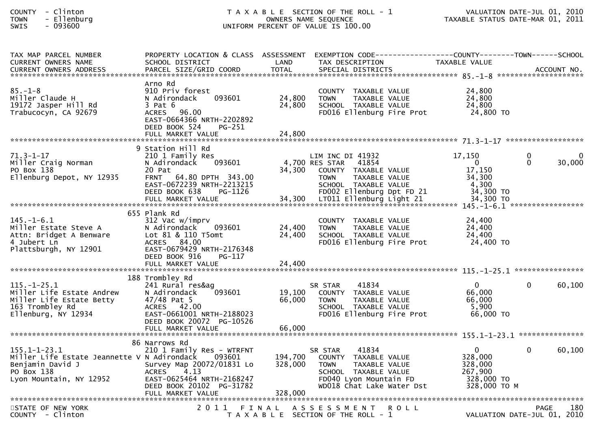| <b>COUNTY</b> |          | Clinton  |
|---------------|----------|----------|
| <b>TOWN</b>   | $\equiv$ | Ellenbur |

## COUNTY - Clinton T A X A B L E SECTION OF THE ROLL - 1 VALUATION DATE-JUL 01, 2010 TOWN - Ellenburg OWNERS NAME SEQUENCE TAXABLE STATUS DATE-MAR 01, 2011SWIS - 093600 UNIFORM PERCENT OF VALUE IS 100.00

| TAX MAP PARCEL NUMBER<br><b>CURRENT OWNERS NAME</b>                                                                            | SCHOOL DISTRICT                                                                                                                                                    | LAND                          | PROPERTY LOCATION & CLASS ASSESSMENT EXEMPTION CODE----------------COUNTY--------TOWN------SCHOOL<br>TAX DESCRIPTION                                     | TAXABLE VALUE                                                               |                          |                    |
|--------------------------------------------------------------------------------------------------------------------------------|--------------------------------------------------------------------------------------------------------------------------------------------------------------------|-------------------------------|----------------------------------------------------------------------------------------------------------------------------------------------------------|-----------------------------------------------------------------------------|--------------------------|--------------------|
| <b>CURRENT OWNERS ADDRESS</b>                                                                                                  | PARCEL SIZE/GRID COORD                                                                                                                                             | <b>TOTAL</b>                  | SPECIAL DISTRICTS                                                                                                                                        |                                                                             |                          | ACCOUNT NO.        |
| $85. - 1 - 8$<br>Miller Claude H<br>19172 Jasper Hill Rd<br>Trabucocyn, CA 92679                                               | Arno Rd<br>910 Priv forest<br>093601<br>N Adirondack<br>$3$ Pat $6$<br>ACRES 96.00<br>EAST-0664366 NRTH-2202892<br>DEED BOOK 524<br>PG-251<br>FULL MARKET VALUE    | 24,800<br>24,800<br>24,800    | COUNTY TAXABLE VALUE<br>TAXABLE VALUE<br><b>TOWN</b><br>SCHOOL TAXABLE VALUE<br>FD016 Ellenburg Fire Prot                                                | 24,800<br>24,800<br>24,800<br>24,800 TO                                     |                          |                    |
| $71.3 - 1 - 17$<br>Miller Craig Norman<br>PO Box 138<br>Ellenburg Depot, NY 12935                                              | 9 Station Hill Rd<br>210 1 Family Res<br>093601<br>N Adirondack<br>20 Pat<br>FRNT 64.80 DPTH 343.00<br>EAST-0672239 NRTH-2213215<br>DEED BOOK 638<br>PG-1126       | 34,300                        | LIM INC DI 41932<br>4,700 RES STAR<br>41854<br>COUNTY TAXABLE VALUE<br>TAXABLE VALUE<br><b>TOWN</b><br>SCHOOL TAXABLE VALUE<br>FD002 Ellenburg Dpt FD 21 | 17,150<br>$\overline{0}$<br>17,150<br>34,300<br>4,300<br>34,300 TO          | $\mathbf{0}$<br>$\Omega$ | $\Omega$<br>30,000 |
| $145. - 1 - 6.1$<br>Miller Estate Steve A<br>Attn: Bridget A Benware<br>4 Jubert Ln<br>Plattsburgh, NY 12901                   | 655 Plank Rd<br>312 Vac w/imprv<br>093601<br>N Adirondack<br>Lot 81 & 110 T5omt<br>ACRES 84.00<br>EAST-0679429 NRTH-2176348<br>DEED BOOK 916<br>$PG-117$           | 24,400<br>24,400              | COUNTY TAXABLE VALUE<br><b>TOWN</b><br>TAXABLE VALUE<br>SCHOOL TAXABLE VALUE<br>FD016 Ellenburg Fire Prot                                                | 24,400<br>24,400<br>24,400<br>24,400 TO                                     |                          |                    |
| $115. - 1 - 25.1$<br>Miller Life Estate Andrew<br>Miller Life Estate Betty<br>163 Trombley Rd<br>Ellenburg, NY 12934           | 188 Trombley Rd<br>241 Rural res&ag<br>093601<br>N Adirondack<br>47/48 Pat 5<br>ACRES 42.00<br>EAST-0661001 NRTH-2188023<br>DEED BOOK 20072 PG-10526               | 19,100<br>66,000              | 41834<br>SR STAR<br>COUNTY TAXABLE VALUE<br><b>TOWN</b><br>TAXABLE VALUE<br>SCHOOL TAXABLE VALUE<br>FD016 Ellenburg Fire Prot                            | $\Omega$<br>66,000<br>66,000<br>5,900<br>66,000 TO                          | $\Omega$                 | 60,100             |
| $155.1 - 1 - 23.1$<br>Miller Life Estate Jeannette V N Adirondack<br>Benjamin David J<br>PO Box 138<br>Lyon Mountain, NY 12952 | 86 Narrows Rd<br>210 1 Family Res - WTRFNT<br>093601<br>Survey Map 20072/01831 Lo<br><b>ACRES</b><br>4.13<br>EAST-0625464 NRTH-2168247<br>DEED BOOK 20102 PG-31782 | 194,700<br>328,000<br>328,000 | 41834<br>SR STAR<br>COUNTY TAXABLE VALUE<br><b>TOWN</b><br>TAXABLE VALUE<br>SCHOOL TAXABLE VALUE<br>FD040 Lyon Mountain FD<br>WD018 Chat Lake Water Dst  | $\mathbf{0}$<br>328,000<br>328,000<br>267,900<br>328,000 TO<br>328,000 TO M | $\Omega$                 | 60,100             |
| STATE OF NEW YORK<br>$COUNTY - Clinton$                                                                                        |                                                                                                                                                                    |                               | 2011 FINAL ASSESSMENT<br><b>ROLL</b><br>T A X A B L E SECTION OF THE ROLL - 1                                                                            | VALUATION DATE-JUL 01, 2010                                                 | <b>PAGE</b>              | 180                |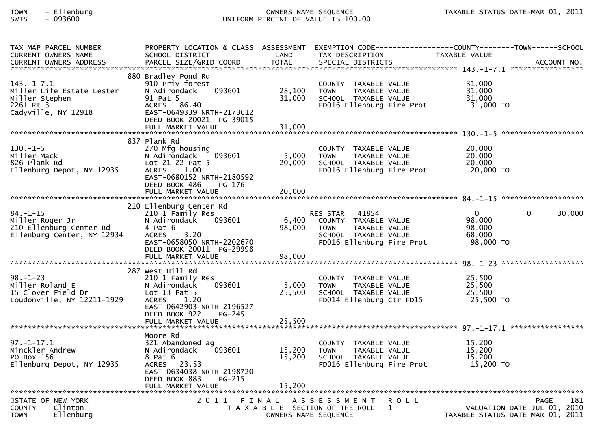# TOWN - Ellenburg OWNERS NAME SEQUENCE TAXABLE STATUS DATE-MAR 01, 2011SWIS - 093600 UNIFORM PERCENT OF VALUE IS 100.00

| TAX MAP PARCEL NUMBER<br><b>CURRENT OWNERS NAME</b><br><b>CURRENT OWNERS ADDRESS</b>                | SCHOOL DISTRICT<br>PARCEL SIZE/GRID COORD                                                                                                                                              | LAND<br><b>TOTAL</b>       | TAX DESCRIPTION<br>SPECIAL DISTRICTS                                                                                           | PROPERTY LOCATION & CLASS ASSESSMENT EXEMPTION CODE----------------COUNTY-------TOWN------SCHOOL<br>TAXABLE VALUE<br>ACCOUNT NO. |  |
|-----------------------------------------------------------------------------------------------------|----------------------------------------------------------------------------------------------------------------------------------------------------------------------------------------|----------------------------|--------------------------------------------------------------------------------------------------------------------------------|----------------------------------------------------------------------------------------------------------------------------------|--|
| $143. - 1 - 7.1$<br>Miller Life Estate Lester<br>Miller Stephen<br>2261 Rt 3<br>Cadyville, NY 12918 | 880 Bradley Pond Rd<br>910 Priv forest<br>N Adirondack<br>093601<br>91 Pat 5<br>ACRES 86.40<br>EAST-0649339 NRTH-2173612<br>DEED BOOK 20021 PG-39015<br>FULL MARKET VALUE              | 28,100<br>31,000<br>31,000 | COUNTY TAXABLE VALUE<br>TAXABLE VALUE<br><b>TOWN</b><br>SCHOOL TAXABLE VALUE<br>FD016 Ellenburg Fire Prot                      | 31,000<br>31,000<br>31,000<br>31,000 TO                                                                                          |  |
| $130. -1 - 5$<br>Miller Mack<br>826 Plank Rd<br>Ellenburg Depot, NY 12935                           | 837 Plank Rd<br>270 Mfg housing<br>N Adirondack<br>093601<br>Lot $21-22$ Pat 5<br><b>ACRES</b><br>1.00<br>EAST-0680152 NRTH-2180592<br>DEED BOOK 486<br>PG-176<br>FULL MARKET VALUE    | 5,000<br>20,000<br>20,000  | COUNTY TAXABLE VALUE<br>TAXABLE VALUE<br><b>TOWN</b><br>SCHOOL TAXABLE VALUE<br>FD016 Ellenburg Fire Prot                      | 20,000<br>20,000<br>20,000<br>20,000 TO                                                                                          |  |
|                                                                                                     |                                                                                                                                                                                        |                            |                                                                                                                                |                                                                                                                                  |  |
| $84. - 1 - 15$<br>Miller Roger Jr<br>210 Ellenburg Center Rd<br>Ellenburg Center, NY 12934          | 210 Ellenburg Center Rd<br>210 1 Family Res<br>N Adirondack<br>093601<br>4 Pat 6<br>3.20<br><b>ACRES</b><br>EAST-0658050 NRTH-2202670<br>DEED BOOK 20011 PG-29998<br>FULL MARKET VALUE | 6,400<br>98,000<br>98,000  | 41854<br>RES STAR<br>COUNTY TAXABLE VALUE<br>TAXABLE VALUE<br><b>TOWN</b><br>SCHOOL TAXABLE VALUE<br>FD016 Ellenburg Fire Prot | $\mathbf{0}$<br>30,000<br>$\mathbf{0}$<br>98,000<br>98,000<br>68,000<br>98,000 TO                                                |  |
|                                                                                                     |                                                                                                                                                                                        |                            |                                                                                                                                |                                                                                                                                  |  |
| $98. - 1 - 23$<br>Miller Roland E<br>15 Clover Field Dr<br>Loudonville, NY 12211-1929               | 287 West Hill Rd<br>210 1 Family Res<br>N Adirondack<br>093601<br>Lot $13$ Pat $5$<br>ACRES 1.20<br>EAST-0642903 NRTH-2196527<br>DEED BOOK 922<br>$PG-245$                             | 5,000<br>25,500            | COUNTY TAXABLE VALUE<br><b>TOWN</b><br>TAXABLE VALUE<br>SCHOOL TAXABLE VALUE<br>FD014 Ellenburg Ctr FD15                       | 25,500<br>25,500<br>25,500<br>25,500 TO                                                                                          |  |
|                                                                                                     | FULL MARKET VALUE                                                                                                                                                                      | 25,500                     |                                                                                                                                |                                                                                                                                  |  |
| $97. - 1 - 17.1$<br>Minckler Andrew<br>PO Box 156<br>Ellenburg Depot, NY 12935                      | Moore Rd<br>321 Abandoned ag<br>N Adirondack<br>093601<br>8 Pat 6<br>ACRES 23.53<br>EAST-0634038 NRTH-2198720<br>DEED BOOK 883<br>PG-215<br>FULL MARKET VALUE                          | 15,200<br>15,200<br>15,200 | COUNTY TAXABLE VALUE<br><b>TOWN</b><br>TAXABLE VALUE<br>SCHOOL TAXABLE VALUE<br>FD016 Ellenburg Fire Prot                      | 15,200<br>15,200<br>15,200<br>15,200 TO                                                                                          |  |
| 181<br>2011 FINAL ASSESSMENT                                                                        |                                                                                                                                                                                        |                            |                                                                                                                                |                                                                                                                                  |  |
| STATE OF NEW YORK<br>COUNTY - Clinton<br><b>TOWN</b><br>- Ellenburg                                 |                                                                                                                                                                                        | OWNERS NAME SEQUENCE       | <b>ROLL</b><br>T A X A B L E SECTION OF THE ROLL - 1                                                                           | <b>PAGE</b><br>VALUATION DATE-JUL 01, 2010<br>TAXABLE STATUS DATE-MAR 01, 2011                                                   |  |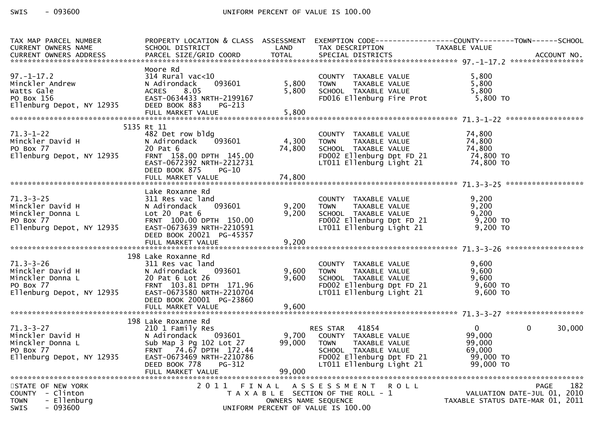| TAX MAP PARCEL NUMBER                                                    | PROPERTY LOCATION & CLASS ASSESSMENT |              | EXEMPTION CODE-----------------COUNTY-------TOWN------SCHOOL |  |                                  |                        |
|--------------------------------------------------------------------------|--------------------------------------|--------------|--------------------------------------------------------------|--|----------------------------------|------------------------|
| CURRENT OWNERS NAME                                                      | SCHOOL DISTRICT                      | LAND         | TAX DESCRIPTION                                              |  | TAXABLE VALUE                    |                        |
| <b>CURRENT OWNERS ADDRESS</b>                                            | PARCEL SIZE/GRID COORD               | <b>TOTAL</b> | SPECIAL DISTRICTS                                            |  |                                  | ACCOUNT NO.            |
|                                                                          |                                      |              |                                                              |  |                                  |                        |
|                                                                          | Moore Rd                             |              |                                                              |  |                                  |                        |
| $97. - 1 - 17.2$                                                         | 314 Rural vac<10                     |              | COUNTY TAXABLE VALUE                                         |  | 5,800                            |                        |
|                                                                          | 093601<br>N Adirondack               | 5,800        | TAXABLE VALUE<br><b>TOWN</b>                                 |  | 5,800                            |                        |
| Minckler Andrew<br>Watts Gale<br>PO Box 156<br>Ellenburg Depot, NY 12935 | 8.05<br><b>ACRES</b>                 | 5,800        | SCHOOL TAXABLE VALUE                                         |  | 5,800                            |                        |
|                                                                          | EAST-0634433 NRTH-2199167            |              | FD016 Ellenburg Fire Prot                                    |  | 5,800 TO                         |                        |
|                                                                          | DEED BOOK 883<br><b>PG-213</b>       |              |                                                              |  |                                  |                        |
|                                                                          |                                      |              |                                                              |  |                                  |                        |
|                                                                          | 5135 Rt 11                           |              |                                                              |  |                                  |                        |
| $71.3 - 1 - 22$                                                          | 482 Det row bldg                     |              | COUNTY TAXABLE VALUE                                         |  | 74,800                           |                        |
| Minckler David H                                                         | N Adirondack<br>093601               | 4,300        | <b>TOWN</b><br>TAXABLE VALUE                                 |  | 74,800                           |                        |
| PO Box 77                                                                | 20 Pat 6                             | 74,800       | SCHOOL TAXABLE VALUE                                         |  | 74,800                           |                        |
| Ellenburg Depot, NY 12935                                                | FRNT 158.00 DPTH 145.00              |              | FD002 Ellenburg Dpt FD 21                                    |  | 74,800 TO                        |                        |
|                                                                          | EAST-0672392 NRTH-2212731            |              | LT011 Ellenburg Light 21                                     |  | 74,800 TO                        |                        |
|                                                                          | DEED BOOK 875<br>PG-10               |              |                                                              |  |                                  |                        |
|                                                                          | FULL MARKET VALUE                    | 74,800       |                                                              |  |                                  |                        |
|                                                                          |                                      |              |                                                              |  |                                  |                        |
|                                                                          | Lake Roxanne Rd                      |              |                                                              |  |                                  |                        |
| $71.3 - 3 - 25$                                                          | 311 Res vac land                     |              | COUNTY TAXABLE VALUE                                         |  | 9,200                            |                        |
| Minckler David H                                                         | 093601<br>N Adirondack               | 9,200        | TAXABLE VALUE<br><b>TOWN</b>                                 |  | 9,200                            |                        |
| Minckler Donna L                                                         | Lot $20$ Pat $6$                     | 9,200        | SCHOOL TAXABLE VALUE                                         |  | 9,200                            |                        |
| PO Box 77                                                                | FRNT 100.00 DPTH 150.00              |              | FD002 Ellenburg Dpt FD 21                                    |  | 9,200 TO                         |                        |
| Ellenburg Depot, NY 12935                                                | EAST-0673639 NRTH-2210591            |              | LT011 Ellenburg Light 21                                     |  | 9,200 TO                         |                        |
|                                                                          | DEED BOOK 20021 PG-45357             |              |                                                              |  |                                  |                        |
|                                                                          | FULL MARKET VALUE                    | 9,200        |                                                              |  |                                  |                        |
|                                                                          |                                      |              |                                                              |  |                                  |                        |
|                                                                          | 198 Lake Roxanne Rd                  |              |                                                              |  |                                  |                        |
| $71.3 - 3 - 26$                                                          | 311 Res vac land                     |              | COUNTY TAXABLE VALUE                                         |  | 9,600                            |                        |
| Minckler David H                                                         | N Adirondack<br>093601               | 9,600        | TAXABLE VALUE<br><b>TOWN</b>                                 |  | 9,600                            |                        |
| Minckler Donna L                                                         | 20 Pat 6 Lot 26                      | 9,600        | SCHOOL TAXABLE VALUE                                         |  | 9.600                            |                        |
| PO Box 77                                                                | FRNT 103.81 DPTH 171.96              |              | FD002 Ellenburg Dpt FD 21                                    |  | $9,600$ TO                       |                        |
| Ellenburg Depot, NY 12935                                                | EAST-0673580 NRTH-2210704            |              | LT011 Ellenburg Light 21                                     |  | $9,600$ TO                       |                        |
|                                                                          | DEED BOOK 20001 PG-23860             |              |                                                              |  |                                  |                        |
|                                                                          | FULL MARKET VALUE                    | 9,600        |                                                              |  |                                  |                        |
|                                                                          |                                      |              |                                                              |  |                                  |                        |
|                                                                          | 198 Lake Roxanne Rd                  |              |                                                              |  |                                  |                        |
| $71.3 - 3 - 27$                                                          | 210 1 Family Res                     |              | RES STAR 41854                                               |  | $\mathbf{0}$                     | $\mathbf{0}$<br>30,000 |
| Minckler David H                                                         | 093601<br>N Adirondack               | 9,700        | COUNTY TAXABLE VALUE                                         |  | 99,000                           |                        |
| Minckler Donna L                                                         | Sub Map 3 Pg 102 Lot 27              | 99,000       | <b>TOWN</b><br>TAXABLE VALUE                                 |  | 99,000                           |                        |
| PO Box 77                                                                | FRNT 74.67 DPTH 172.44               |              | SCHOOL TAXABLE VALUE                                         |  | 69,000                           |                        |
| Ellenburg Depot, NY 12935                                                | EAST-0673469 NRTH-2210786            |              | FD002 Ellenburg Dpt FD 21                                    |  | 99,000 TO                        |                        |
|                                                                          | DEED BOOK 778<br>PG-312              |              | LT011 Ellenburg Light 21                                     |  | 99,000 TO                        |                        |
|                                                                          | FULL MARKET VALUE                    | 99,000       |                                                              |  |                                  |                        |
|                                                                          |                                      |              |                                                              |  |                                  |                        |
| STATE OF NEW YORK                                                        | 2011 FINAL                           |              | A S S E S S M E N T R O L L                                  |  | VALUATION DATE-JUL 01, 2010      | 182<br><b>PAGE</b>     |
| COUNTY - Clinton                                                         |                                      |              | T A X A B L E SECTION OF THE ROLL - 1                        |  |                                  |                        |
| <b>TOWN</b><br>- Ellenburg<br><b>SWIS</b>                                |                                      |              | OWNERS NAME SEQUENCE                                         |  | TAXABLE STATUS DATE-MAR 01, 2011 |                        |
| - 093600                                                                 |                                      |              | UNIFORM PERCENT OF VALUE IS 100.00                           |  |                                  |                        |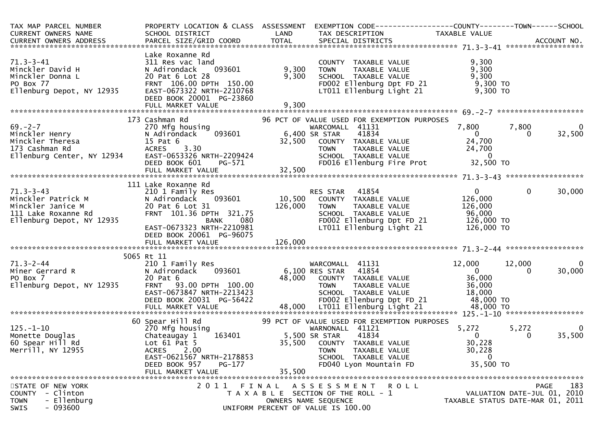| TAX MAP PARCEL NUMBER<br>CURRENT OWNERS NAME                                                                   | PROPERTY LOCATION & CLASS ASSESSMENT<br>SCHOOL DISTRICT                                                                                                                                   | LAND                                                                                                                                                                                                                                                                | EXEMPTION CODE-----------------COUNTY-------TOWN------SCHOOL<br>TAX DESCRIPTION                                                                                                      | TAXABLE VALUE                                                              |                                                                 |
|----------------------------------------------------------------------------------------------------------------|-------------------------------------------------------------------------------------------------------------------------------------------------------------------------------------------|---------------------------------------------------------------------------------------------------------------------------------------------------------------------------------------------------------------------------------------------------------------------|--------------------------------------------------------------------------------------------------------------------------------------------------------------------------------------|----------------------------------------------------------------------------|-----------------------------------------------------------------|
| $71.3 - 3 - 41$<br>Minckler David H<br>Minckler Donna L<br>PO Box 77<br>Ellenburg Depot, NY 12935              | Lake Roxanne Rd<br>311 Res vac land<br>093601<br>N Adirondack<br>20 Pat 6 Lot 28<br>FRNT 106.00 DPTH 150.00<br>EAST-0673322 NRTH-2210768<br>DEED BOOK 20001 PG-23860<br>FULL MARKET VALUE | 9,300<br>9,300<br>9,300                                                                                                                                                                                                                                             | COUNTY TAXABLE VALUE<br>TAXABLE VALUE<br><b>TOWN</b><br>SCHOOL TAXABLE VALUE<br>FD002 Ellenburg Dpt FD 21<br>LT011 Ellenburg Light 21                                                | 9,300<br>9,300<br>9,300<br>9,300 TO<br>9,300 TO                            |                                                                 |
|                                                                                                                |                                                                                                                                                                                           |                                                                                                                                                                                                                                                                     |                                                                                                                                                                                      |                                                                            |                                                                 |
| $69. -2 - 7$<br>Minckler Henry<br>Minckler Theresa<br>173 Cashman Rd<br>Ellenburg Center, NY 12934             | 173 Cashman Rd<br>270 Mfg housing<br>093601<br>N Adirondack<br>15 Pat 6<br>3.30<br><b>ACRES</b><br>EAST-0653326 NRTH-2209424<br>DEED BOOK 601<br>FULL MARKET VALUE                        | 6,400 SR STAR<br>32,500<br>PG-571 and the state of the state of the state of the state of the state of the state of the state of the state of the state of the state of the state of the state of the state of the state of the state of the state of the<br>32,500 | 96 PCT OF VALUE USED FOR EXEMPTION PURPOSES<br>WARCOMALL 41131<br>41834<br>COUNTY TAXABLE VALUE<br><b>TOWN</b><br>TAXABLE VALUE<br>SCHOOL TAXABLE VALUE<br>FD016 Ellenburg Fire Prot | 7,800<br>$\overline{0}$<br>24,700<br>24,700<br>$\overline{0}$<br>32,500 TO | 7,800<br>0<br>32,500<br>0                                       |
|                                                                                                                |                                                                                                                                                                                           |                                                                                                                                                                                                                                                                     |                                                                                                                                                                                      |                                                                            |                                                                 |
| $71.3 - 3 - 43$<br>Minckler Patrick M<br>Minckler Janice M<br>111 Lake Roxanne Rd<br>Ellenburg Depot, NY 12935 | 111 Lake Roxanne Rd<br>210 1 Family Res<br>N Adirondack<br>093601<br>20 Pat 6 Lot 31<br>FRNT 101.36 DPTH 321.75<br>080<br>BANK<br>EAST-0673323 NRTH-2210981<br>DEED BOOK 20061 PG-96075   | 10,500<br>126,000                                                                                                                                                                                                                                                   | 41854<br>RES STAR<br>COUNTY TAXABLE VALUE<br>TAXABLE VALUE<br>TOWN<br>SCHOOL TAXABLE VALUE<br>FD002 Ellenburg Dpt FD 21<br>LT011 Ellenburg Light 21                                  | $\mathbf{0}$<br>126,000<br>126,000<br>96,000<br>126,000 TO<br>126,000 TO   | $\mathbf 0$<br>30,000                                           |
|                                                                                                                |                                                                                                                                                                                           |                                                                                                                                                                                                                                                                     |                                                                                                                                                                                      |                                                                            |                                                                 |
| $71.3 - 2 - 44$<br>Miner Gerrard R<br>PO Box 7<br>Ellenburg Depot, NY 12935                                    | 5065 Rt 11<br>210 1 Family Res<br>N Adirondack<br>093601<br>20 Pat 6<br>FRNT 93.00 DPTH 100.00<br>EAST-0673847 NRTH-2213423<br>DEED BOOK 20031 PG-56422                                   | 48,000                                                                                                                                                                                                                                                              | WARCOMALL 41131<br>6,100 RES STAR<br>41854<br>COUNTY TAXABLE VALUE<br>TAXABLE VALUE<br><b>TOWN</b><br>SCHOOL TAXABLE VALUE<br>FD002 Ellenburg Dpt FD 21                              | 12,000<br>$\overline{0}$<br>36,000<br>36,000<br>18,000<br>48,000 TO        | 12,000<br>0<br>30,000<br>0                                      |
|                                                                                                                | 60 Spear Hill Rd                                                                                                                                                                          |                                                                                                                                                                                                                                                                     | 99 PCT OF VALUE USED FOR EXEMPTION PURPOSES                                                                                                                                          |                                                                            |                                                                 |
| $125. - 1 - 10$<br>Monette Douglas<br>60 Spear Hill Rd<br>Merrill, NY 12955                                    | 270 Mfg housing<br>163401<br>Chateaugay 1<br>Lot $61$ Pat $5$<br>2.00<br><b>ACRES</b><br>EAST-0621567 NRTH-2178853<br>DEED BOOK 957<br>PG-177<br>FULL MARKET VALUE                        | 35,500                                                                                                                                                                                                                                                              | WARNONALL 41121<br>41834<br>5,500 SR STAR<br>35,500 COUNTY TAXABLE VALUE<br>TAXABLE VALUE<br><b>TOWN</b><br>SCHOOL TAXABLE VALUE<br>FD040 Lyon Mountain FD                           | 5,272<br>$\mathbf{0}$<br>30,228<br>30,228<br>$\mathbf{0}$<br>35,500 TO     | 5,272<br>0<br>35,500<br>0                                       |
| STATE OF NEW YORK                                                                                              | 2011 FINAL                                                                                                                                                                                |                                                                                                                                                                                                                                                                     | A S S E S S M E N T<br>R O L L                                                                                                                                                       |                                                                            | 183<br>PAGE                                                     |
| - Clinton<br><b>COUNTY</b><br><b>TOWN</b><br>- Ellenburg<br>$-093600$<br><b>SWIS</b>                           |                                                                                                                                                                                           |                                                                                                                                                                                                                                                                     | T A X A B L E SECTION OF THE ROLL - 1<br>OWNERS NAME SEQUENCE<br>UNIFORM PERCENT OF VALUE IS 100.00                                                                                  |                                                                            | VALUATION DATE-JUL 01, 2010<br>TAXABLE STATUS DATE-MAR 01, 2011 |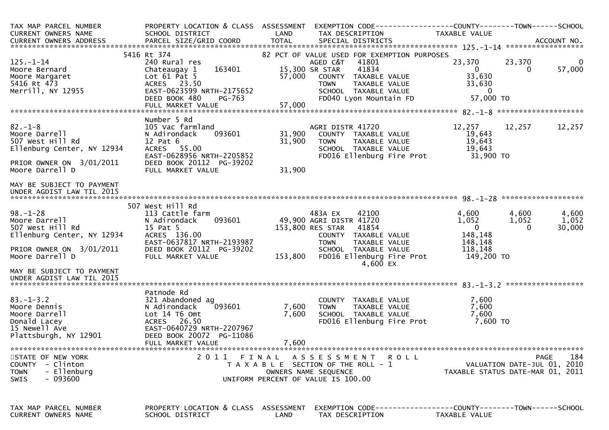| TAX MAP PARCEL NUMBER<br>CURRENT OWNERS NAME                                                               | PROPERTY LOCATION & CLASS ASSESSMENT<br>SCHOOL DISTRICT                                                                             | LAND             | EXEMPTION CODE------------------COUNTY--------TOWN------SCHOOL<br>TAX DESCRIPTION                                                                                        | <b>TAXABLE VALUE</b>                                           |                                                                                       |
|------------------------------------------------------------------------------------------------------------|-------------------------------------------------------------------------------------------------------------------------------------|------------------|--------------------------------------------------------------------------------------------------------------------------------------------------------------------------|----------------------------------------------------------------|---------------------------------------------------------------------------------------|
|                                                                                                            |                                                                                                                                     |                  |                                                                                                                                                                          |                                                                |                                                                                       |
|                                                                                                            |                                                                                                                                     |                  |                                                                                                                                                                          |                                                                |                                                                                       |
| $125. - 1 - 14$<br>Moore Bernard<br>Moore Margaret<br>5416 Rt 473<br>Merrill, NY 12955                     | 5416 Rt 374<br>240 Rural res<br>163401<br>Chateaugay 1<br>Lot $61$ Pat 5<br>ACRES 23.50<br>EAST-0623599 NRTH-2175652                | 57,000           | 82 PCT OF VALUE USED FOR EXEMPTION PURPOSES<br>AGED C&T<br>41801<br>41834<br>15,300 SR STAR<br>COUNTY TAXABLE VALUE<br>TOWN      TAXABLE VALUE<br>SCHOOL   TAXABLE VALUE | 23,370<br>$\overline{0}$<br>33,630<br>33,630<br>$\overline{0}$ | 23,370<br>$\overline{0}$<br>57,000<br>$\Omega$                                        |
|                                                                                                            | DEED BOOK 480<br>PG-763                                                                                                             |                  | FD040 Lyon Mountain FD                                                                                                                                                   | 57,000 TO                                                      |                                                                                       |
|                                                                                                            |                                                                                                                                     |                  |                                                                                                                                                                          |                                                                |                                                                                       |
|                                                                                                            | Number 5 Rd                                                                                                                         |                  |                                                                                                                                                                          |                                                                |                                                                                       |
| $82 - 1 - 8$<br>Moore Darrell<br>507 West Hill Rd<br>Ellenburg Center, NY 12934                            | 105 Vac farmland<br>093601<br>N Adirondack<br>$12$ Pat $6$<br>ACRES 55.00<br>EAST-0628956 NRTH-2205852                              | 31,900<br>31,900 | AGRI DISTR 41720<br>COUNTY TAXABLE VALUE<br>TAXABLE VALUE<br><b>TOWN</b><br>SCHOOL TAXABLE VALUE<br>FD016 Ellenburg Fire Prot                                            | 12,257<br>19,643<br>19,643<br>19,643<br>31,900 TO              | 12,257<br>12,257                                                                      |
| PRIOR OWNER ON 3/01/2011<br>Moore Darrell D                                                                | DEED BOOK 20112 PG-39202<br>FULL MARKET VALUE                                                                                       | 31,900           |                                                                                                                                                                          |                                                                |                                                                                       |
| MAY BE SUBJECT TO PAYMENT<br>UNDER AGDIST LAW TIL 2015                                                     |                                                                                                                                     |                  |                                                                                                                                                                          |                                                                |                                                                                       |
|                                                                                                            | 507 West Hill Rd                                                                                                                    |                  |                                                                                                                                                                          |                                                                |                                                                                       |
| $98. - 1 - 28$<br>Moore Darrell<br>507 West Hill Rd<br>Ellenburg Center, NY 12934                          | 113 Cattle farm<br>093601<br>N Adirondack<br>15 Pat 5<br>ACRES 136.00                                                               |                  | 483A EX<br>42100<br>49,900 AGRI DISTR 41720<br>153,800 RES STAR<br>41854<br>COUNTY TAXABLE VALUE                                                                         | 4,600<br>1,052<br>$\overline{\mathbf{0}}$<br>148,148           | 4,600<br>4,600<br>1,052<br>1,052<br>30,000<br>$\Omega$                                |
| PRIOR OWNER ON 3/01/2011<br>Moore Darrell D                                                                | EAST-0637817 NRTH-2193987<br>DEED BOOK 20112 PG-39202<br>FULL MARKET VALUE                                                          |                  | <b>TOWN</b><br>TAXABLE VALUE<br>SCHOOL TAXABLE VALUE<br>153,800 FD016 Ellenburg Fire Prot<br>4,600 EX                                                                    | 148,148<br>118,148<br>149,200 TO                               |                                                                                       |
| MAY BE SUBJECT TO PAYMENT                                                                                  |                                                                                                                                     |                  |                                                                                                                                                                          |                                                                |                                                                                       |
|                                                                                                            | Patnode Rd                                                                                                                          |                  |                                                                                                                                                                          |                                                                |                                                                                       |
| $83. - 1 - 3.2$<br>Moore Dennis<br>Moore Darrell<br>Donald Lacey<br>15 Newell Ave<br>Plattsburgh, NY 12901 | 321 Abandoned ag<br>093601<br>N Adirondack<br>Lot 14 T6 Omt<br>ACRES 26.50<br>EAST-0640729 NRTH-2207967<br>DEED BOOK 20072 PG-11086 | 7,600<br>7,600   | COUNTY TAXABLE VALUE<br><b>TOWN</b><br>TAXABLE VALUE<br>SCHOOL TAXABLE VALUE<br>FD016 Ellenburg Fire Prot                                                                | 7,600<br>7,600<br>7,600<br>7,600 TO                            |                                                                                       |
|                                                                                                            | FULL MARKET VALUE                                                                                                                   | 7,600            |                                                                                                                                                                          |                                                                |                                                                                       |
| STATE OF NEW YORK<br>COUNTY - Clinton<br>- Ellenburg<br><b>TOWN</b><br>$-093600$<br>SWIS                   | 2 0 1 1                                                                                                                             | FINAL            | A S S E S S M E N T<br>R O L L<br>T A X A B L E SECTION OF THE ROLL - 1<br>OWNERS NAME SEQUENCE<br>UNIFORM PERCENT OF VALUE IS 100.00                                    |                                                                | 184<br><b>PAGE</b><br>VALUATION DATE-JUL 01, 2010<br>TAXABLE STATUS DATE-MAR 01, 2011 |
| TAX MAP PARCEL NUMBER<br>CURRENT OWNERS NAME                                                               | PROPERTY LOCATION & CLASS ASSESSMENT<br>SCHOOL DISTRICT                                                                             | <b>LAND</b>      | TAX DESCRIPTION                                                                                                                                                          | TAXABLE VALUE                                                  |                                                                                       |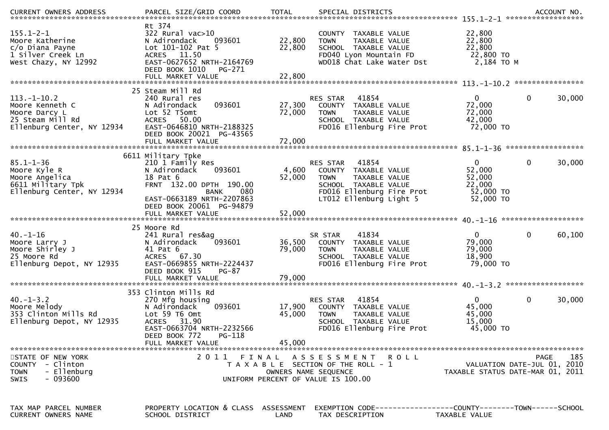| $155.1 - 2 - 1$<br>Moore Katherine<br>c/o Diana Payne<br>1 Silver Creek Ln<br>West Chazy, NY 12992   | Rt 374<br>322 Rural vac>10<br>093601<br>N Adirondack<br>Lot 101-102 Pat 5<br>ACRES 11.50<br>EAST-0627652 NRTH-2164769<br>DEED BOOK 1010<br>PG-271                              | 22,800<br>22,800           | COUNTY TAXABLE VALUE<br>TAXABLE VALUE<br><b>TOWN</b><br>SCHOOL TAXABLE VALUE<br>FD040 Lyon Mountain FD<br>WD018 Chat Lake Water Dst   | 22,800<br>22,800<br>22,800<br>22,800 TO<br>2,184 TO M     |                                            |
|------------------------------------------------------------------------------------------------------|--------------------------------------------------------------------------------------------------------------------------------------------------------------------------------|----------------------------|---------------------------------------------------------------------------------------------------------------------------------------|-----------------------------------------------------------|--------------------------------------------|
|                                                                                                      |                                                                                                                                                                                |                            |                                                                                                                                       |                                                           |                                            |
|                                                                                                      | 25 Steam Mill Rd                                                                                                                                                               |                            |                                                                                                                                       |                                                           |                                            |
| $113.-1-10.2$<br>Moore Kenneth C<br>Moore Darcy L<br>25 Steam Mill Rd<br>Ellenburg Center, NY 12934  | 240 Rural res<br>093601<br>N Adirondack<br>Lot 52 T5omt<br>ACRES 50.00<br>EAST-0646810 NRTH-2188325<br>DEED BOOK 20021 PG-43565                                                | 27,300<br>72,000           | 41854<br>RES STAR<br>COUNTY TAXABLE VALUE<br>TAXABLE VALUE<br><b>TOWN</b><br>SCHOOL TAXABLE VALUE<br>FD016 Ellenburg Fire Prot        | $\Omega$<br>72,000<br>72,000<br>42,000<br>72,000 TO       | 0<br>30,000                                |
|                                                                                                      |                                                                                                                                                                                |                            |                                                                                                                                       |                                                           |                                            |
| $85.1 - 1 - 36$<br>Moore Kyle R<br>Moore Angelica<br>6611 Military Tpk<br>Ellenburg Center, NY 12934 | 6611 Military Tpke<br>210 1 Family Res<br>N Adirondack<br>093601<br>18 Pat 6<br>FRNT 132.00 DPTH 190.00<br>080<br>BANK                                                         | 4,600<br>52,000            | 41854<br><b>RES STAR</b><br>COUNTY TAXABLE VALUE<br>TAXABLE VALUE<br><b>TOWN</b><br>SCHOOL TAXABLE VALUE<br>FD016 Ellenburg Fire Prot | $\mathbf{0}$<br>52,000<br>52,000<br>22,000<br>52,000 TO   | 0<br>30,000                                |
|                                                                                                      | EAST-0663189 NRTH-2207863<br>DEED BOOK 20061 PG-94879                                                                                                                          |                            | LT012 Ellenburg Light 5                                                                                                               | 52,000 TO                                                 |                                            |
| $40. - 1 - 16$<br>Moore Larry J<br>Moore Shirley J<br>25 Moore Rd<br>Ellenburg Depot, NY 12935       | 25 Moore Rd<br>241 Rural res&ag<br>093601<br>N Adirondack<br>41 Pat 6<br>ACRES 67.30<br>EAST-0669855 NRTH-2224437<br>DEED BOOK 915<br>PG-87                                    | 36,500<br>79,000           | 41834<br>SR STAR<br>COUNTY TAXABLE VALUE<br><b>TOWN</b><br>TAXABLE VALUE<br>SCHOOL TAXABLE VALUE<br>FD016 Ellenburg Fire Prot         | $\overline{0}$<br>79,000<br>79,000<br>18,900<br>79,000 TO | 60,100<br>0                                |
|                                                                                                      | FULL MARKET VALUE                                                                                                                                                              | 79,000                     |                                                                                                                                       |                                                           |                                            |
| $40. - 1 - 3.2$<br>Moore Melody<br>353 Clinton Mills Rd<br>Ellenburg Depot, NY 12935                 | 353 Clinton Mills Rd<br>270 Mfg housing<br>093601<br>N Adirondack<br>Lot 59 T6 Omt<br>ACRES 31.90<br>EAST-0663704 NRTH-2232566<br>PG-118<br>DEED BOOK 772<br>FULL MARKET VALUE | 17,900<br>45,000<br>45,000 | 41854<br><b>RES STAR</b><br>COUNTY TAXABLE VALUE<br><b>TOWN</b><br>TAXABLE VALUE<br>SCHOOL TAXABLE VALUE<br>FD016 Ellenburg Fire Prot | 0<br>45,000<br>45,000<br>15,000<br>45,000 TO              | 30,000<br>0                                |
|                                                                                                      |                                                                                                                                                                                |                            |                                                                                                                                       |                                                           |                                            |
| STATE OF NEW YORK<br>COUNTY - Clinton<br>- Ellenburg<br><b>TOWN</b><br>$-093600$<br><b>SWIS</b>      | 2011                                                                                                                                                                           | FINAL                      | A S S E S S M E N T<br>R O L L<br>T A X A B L E SECTION OF THE ROLL - 1<br>OWNERS NAME SEQUENCE<br>UNIFORM PERCENT OF VALUE IS 100.00 | TAXABLE STATUS DATE-MAR 01, 2011                          | 185<br>PAGE<br>VALUATION DATE-JUL 01, 2010 |
| TAX MAP PARCEL NUMBER<br>CURRENT OWNERS NAME                                                         | PROPERTY LOCATION & CLASS ASSESSMENT<br>SCHOOL DISTRICT                                                                                                                        | LAND                       | EXEMPTION CODE------------------COUNTY--------TOWN------SCHOOL<br>TAX DESCRIPTION                                                     | <b>TAXABLE VALUE</b>                                      |                                            |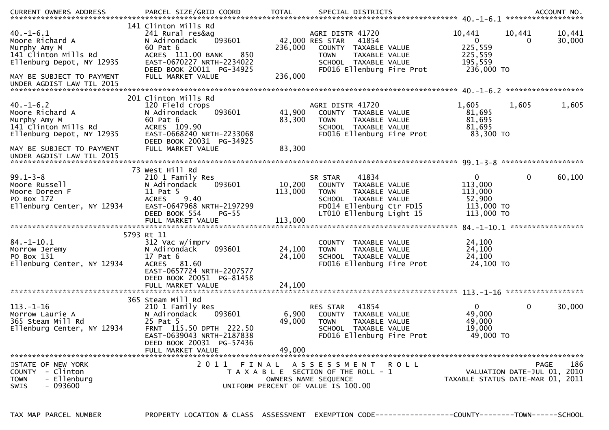| .CURRENT OWNERS ADDRESS PARCEL SIZE/GRID COORD TOTAL SPECIAL DISTRICTS ACCOUNT NO ACCOUNT NO ACCOUNT NO AND ARTY |                                                                                                                                                                     |                   |                                                                                                                                |                                         |                           |                                                                            |                             |                  |
|------------------------------------------------------------------------------------------------------------------|---------------------------------------------------------------------------------------------------------------------------------------------------------------------|-------------------|--------------------------------------------------------------------------------------------------------------------------------|-----------------------------------------|---------------------------|----------------------------------------------------------------------------|-----------------------------|------------------|
| $40. - 1 - 6.1$<br>Moore Richard A<br>Murphy Amy M<br>141 Clinton Mills Rd<br>Ellenburg Depot, NY 12935          | 141 Clinton Mills Rd<br>241 Rural res&ag<br>093601<br>N Adirondack<br>60 Pat 6<br>ACRES 111.00 BANK<br>850<br>EAST-0670227 NRTH-2234022<br>DEED BOOK 20011 PG-34925 | 236,000           | AGRI DISTR 41720<br>42,000 RES STAR<br>COUNTY TAXABLE VALUE<br><b>TOWN</b><br>SCHOOL TAXABLE VALUE                             | 41854<br>TAXABLE VALUE                  | FD016 Ellenburg Fire Prot | 10,441<br>$\overline{0}$<br>225,559<br>225,559<br>195,559<br>236,000 TO    | 10,441<br>0                 | 10,441<br>30,000 |
| MAY BE SUBJECT TO PAYMENT<br>UNDER AGDIST LAW TIL 2015                                                           | FULL MARKET VALUE                                                                                                                                                   | 236,000           |                                                                                                                                |                                         |                           |                                                                            | ******************          |                  |
|                                                                                                                  | 201 Clinton Mills Rd                                                                                                                                                |                   |                                                                                                                                |                                         |                           |                                                                            |                             |                  |
| $40. - 1 - 6.2$<br>Moore Richard A<br>Murphy Amy M<br>141 Clinton Mills Rd<br>Ellenburg Depot, NY 12935          | 120 Field crops<br>093601<br>N Adirondack<br>60 Pat 6<br>ACRES 109.90<br>EAST-0668240 NRTH-2233068<br>DEED BOOK 20031 PG-34925                                      | 41,900<br>83,300  | AGRI DISTR 41720<br>COUNTY TAXABLE VALUE<br><b>TOWN</b><br>SCHOOL TAXABLE VALUE                                                | TAXABLE VALUE                           | FD016 Ellenburg Fire Prot | 1,605<br>81,695<br>81,695<br>81,695<br>83,300 TO                           | 1,605                       | 1,605            |
| MAY BE SUBJECT TO PAYMENT<br>UNDER AGDIST LAW TIL 2015                                                           | FULL MARKET VALUE                                                                                                                                                   | 83,300            |                                                                                                                                |                                         |                           |                                                                            |                             |                  |
|                                                                                                                  | 73 West Hill Rd                                                                                                                                                     |                   |                                                                                                                                |                                         |                           |                                                                            |                             |                  |
| $99.1 - 3 - 8$<br>Moore Russell<br>Moore Doreen F<br>PO Box 172<br>Ellenburg Center, NY 12934                    | 210 1 Family Res<br>N Adirondack<br>093601<br>11 Pat 5<br>9.40<br><b>ACRES</b><br>EAST-0647968 NRTH-2197299<br>DEED BOOK 554<br>$PG-55$                             | 10,200<br>113,000 | SR STAR<br>COUNTY TAXABLE VALUE<br><b>TOWN</b><br>SCHOOL TAXABLE VALUE<br>FD014 Ellenburg Ctr FD15<br>LT010 Ellenburg Light 15 | 41834<br>TAXABLE VALUE                  |                           | $\overline{0}$<br>113,000<br>113,000<br>52,900<br>113,000 TO<br>113,000 TO | $\mathbf 0$                 | 60,100           |
|                                                                                                                  |                                                                                                                                                                     |                   |                                                                                                                                |                                         |                           |                                                                            |                             |                  |
| $84. - 1 - 10.1$<br>Morrow Jeremy<br>PO Box 131<br>Ellenburg Center, NY 12934                                    | 5793 Rt 11<br>312 Vac w/imprv<br>093601<br>N Adirondack<br>17 Pat 6<br>ACRES 81.60<br>EAST-0657724 NRTH-2207577<br>DEED BOOK 20051 PG-81458                         | 24,100<br>24,100  | COUNTY TAXABLE VALUE<br><b>TOWN</b><br>SCHOOL TAXABLE VALUE                                                                    | TAXABLE VALUE                           | FD016 Ellenburg Fire Prot | 24,100<br>24,100<br>24,100<br>24,100 TO                                    |                             |                  |
|                                                                                                                  | FULL MARKET VALUE                                                                                                                                                   | 24,100            |                                                                                                                                |                                         |                           |                                                                            |                             |                  |
|                                                                                                                  | 365 Steam Mill Rd                                                                                                                                                   |                   |                                                                                                                                |                                         |                           |                                                                            |                             |                  |
| $113. - 1 - 16$<br>Morrow Laurie A<br>365 Steam Mill Rd<br>Ellenburg Center, NY 12934                            | 210 1 Family Res<br>N Adirondack<br>093601<br>25 Pat 5<br>FRNT 115.50 DPTH 222.50<br>EAST-0639043 NRTH-2187838<br>DEED BOOK 20031 PG-57436                          | 6,900<br>49,000   | <b>RES STAR</b><br>COUNTY TAXABLE VALUE<br><b>TOWN</b><br><b>SCHOOL</b>                                                        | 41854<br>TAXABLE VALUE<br>TAXABLE VALUE | FD016 Ellenburg Fire Prot | $\mathbf{0}$<br>49,000<br>49,000<br>19,000<br>49,000 TO                    | $\mathbf 0$                 | 30,000           |
|                                                                                                                  | FULL MARKET VALUE                                                                                                                                                   | 49,000            |                                                                                                                                |                                         |                           |                                                                            |                             |                  |
| STATE OF NEW YORK                                                                                                | 2011<br>FINAL                                                                                                                                                       |                   | A S S E S S M E N T R O L L                                                                                                    |                                         |                           |                                                                            | <b>PAGE</b>                 | 186              |
| COUNTY - Clinton<br>- Ellenburg<br><b>TOWN</b><br>$-093600$<br>SWIS                                              |                                                                                                                                                                     |                   | T A X A B L E SECTION OF THE ROLL - 1<br>OWNERS NAME SEQUENCE<br>UNIFORM PERCENT OF VALUE IS 100.00                            |                                         |                           | TAXABLE STATUS DATE-MAR 01, 2011                                           | VALUATION DATE-JUL 01, 2010 |                  |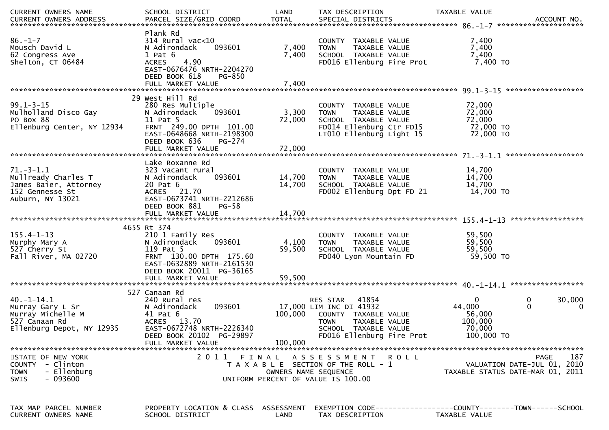| CURRENT OWNERS NAME                                                                                     | SCHOOL DISTRICT                                                                                                                                                              | LAND                    | TAX DESCRIPTION                                                                                                                                                  | TAXABLE VALUE                                                                                |
|---------------------------------------------------------------------------------------------------------|------------------------------------------------------------------------------------------------------------------------------------------------------------------------------|-------------------------|------------------------------------------------------------------------------------------------------------------------------------------------------------------|----------------------------------------------------------------------------------------------|
| $86. - 1 - 7$<br>Mousch David L<br>62 Congress Ave<br>Shelton, CT 06484                                 | Plank Rd<br>$314$ Rural vac<10<br>N Adirondack<br>093601<br>$1$ Pat $6$<br>4.90<br><b>ACRES</b><br>EAST-0676476 NRTH-2204270<br>DEED BOOK 618<br>PG-850<br>FULL MARKET VALUE | 7,400<br>7,400<br>7,400 | COUNTY TAXABLE VALUE<br>TAXABLE VALUE<br><b>TOWN</b><br>SCHOOL TAXABLE VALUE<br>FD016 Ellenburg Fire Prot                                                        | 7,400<br>7,400<br>7,400<br>7,400 TO                                                          |
|                                                                                                         |                                                                                                                                                                              |                         |                                                                                                                                                                  |                                                                                              |
| $99.1 - 3 - 15$<br>Mulholland Disco Gay<br>PO Box 88<br>Ellenburg Center, NY 12934                      | 29 West Hill Rd<br>280 Res Multiple<br>N Adirondack<br>093601<br>11 Pat 5<br>FRNT 249.00 DPTH 101.00<br>EAST-0648668 NRTH-2198300<br>DEED BOOK 636<br>PG-274                 | 3,300<br>72,000         | COUNTY TAXABLE VALUE<br><b>TOWN</b><br>TAXABLE VALUE<br>SCHOOL TAXABLE VALUE<br>FD014 Ellenburg Ctr FD15<br>LT010 Ellenburg Light 15                             | 72,000<br>72,000<br>72,000<br>72,000 TO<br>72,000 TO                                         |
|                                                                                                         |                                                                                                                                                                              |                         |                                                                                                                                                                  |                                                                                              |
| $71.-3-1.1$<br>Mullready Charles T<br>James Baier, Attorney<br>152 Gennesse St<br>Auburn, NY 13021      | Lake Roxanne Rd<br>323 Vacant rural<br>093601<br>N Adirondack<br>20 Pat 6<br>ACRES 21.70<br>EAST-0673741 NRTH-2212686                                                        | 14,700<br>14,700        | COUNTY TAXABLE VALUE<br><b>TOWN</b><br>TAXABLE VALUE<br>SCHOOL TAXABLE VALUE<br>FD002 Ellenburg Dpt FD 21                                                        | 14,700<br>14,700<br>14,700<br>14,700 TO                                                      |
|                                                                                                         | DEED BOOK 881<br>$PG-58$                                                                                                                                                     |                         |                                                                                                                                                                  |                                                                                              |
|                                                                                                         |                                                                                                                                                                              |                         |                                                                                                                                                                  |                                                                                              |
| $155.4 - 1 - 13$<br>Murphy Mary A<br>527 Cherry St<br>Fall River, MA 02720                              | 4655 Rt 374<br>210 1 Family Res<br>093601<br>N Adirondack<br>119 Pat 5<br>FRNT 130.00 DPTH 175.60<br>EAST-0632889 NRTH-2161530<br>DEED BOOK 20011 PG-36165                   | 4,100<br>59,500         | COUNTY TAXABLE VALUE<br><b>TOWN</b><br>TAXABLE VALUE<br>SCHOOL TAXABLE VALUE<br>FD040 Lyon Mountain FD                                                           | 59,500<br>59,500<br>59,500<br>59,500 TO                                                      |
|                                                                                                         | FULL MARKET VALUE                                                                                                                                                            | 59,500                  |                                                                                                                                                                  |                                                                                              |
| $40. - 1 - 14.1$<br>Murray Gary L Sr<br>Murray Michelle M<br>527 Canaan Rd<br>Ellenburg Depot, NY 12935 | 527 Canaan Rd<br>240 Rural res<br>093601<br>N Adirondack<br>41 Pat 6<br>ACRES 13.70<br>EAST-0672748 NRTH-2226340<br>DEED BOOK 20102 PG-29897<br>FULL MARKET VALUE            | 100,000<br>100,000      | 41854<br><b>RES STAR</b><br>17,000 LIM INC DI 41932<br>COUNTY TAXABLE VALUE<br><b>TOWN</b><br>TAXABLE VALUE<br>SCHOOL TAXABLE VALUE<br>FD016 Ellenburg Fire Prot | 0<br>0<br>30,000<br>44,000<br>$\mathbf{0}$<br>0<br>56,000<br>100,000<br>70,000<br>100,000 TO |
| STATE OF NEW YORK<br>COUNTY - Clinton<br>- Ellenburg<br><b>TOWN</b><br>$-093600$<br><b>SWIS</b>         |                                                                                                                                                                              | OWNERS NAME SEQUENCE    | 2011 FINAL ASSESSMENT ROLL<br>T A X A B L E SECTION OF THE ROLL - 1<br>UNIFORM PERCENT OF VALUE IS 100.00                                                        | PAGE<br>187<br>VALUATION DATE-JUL 01, 2010<br>TAXABLE STATUS DATE-MAR 01, 2011               |
| TAX MAP PARCEL NUMBER<br>CURRENT OWNERS NAME                                                            | PROPERTY LOCATION & CLASS ASSESSMENT<br>SCHOOL DISTRICT                                                                                                                      | LAND                    | TAX DESCRIPTION                                                                                                                                                  | EXEMPTION CODE------------------COUNTY--------TOWN------SCHOOL<br>TAXABLE VALUE              |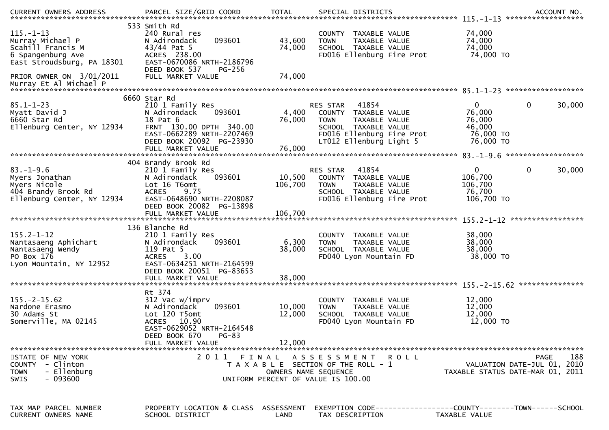| $115. - 1 - 13$<br>Murray Michael P<br>Scahill Francis M<br>6 Spangenburg Ave<br>East Stroudsburg, PA 18301 | 533 Smith Rd<br>240 Rural res<br>093601<br>N Adirondack<br>$43/44$ Pat 5<br>ACRES 238.00<br>EAST-0670086 NRTH-2186796<br>DEED BOOK 537<br>$PG-256$ | 43,600<br>74,000  | COUNTY TAXABLE VALUE<br>TAXABLE VALUE<br><b>TOWN</b><br>SCHOOL TAXABLE VALUE<br>FD016 Ellenburg Fire Prot                                                 | 74,000<br>74,000<br>74,000<br>74,000 TO                                               |
|-------------------------------------------------------------------------------------------------------------|----------------------------------------------------------------------------------------------------------------------------------------------------|-------------------|-----------------------------------------------------------------------------------------------------------------------------------------------------------|---------------------------------------------------------------------------------------|
| PRIOR OWNER ON 3/01/2011                                                                                    | FULL MARKET VALUE                                                                                                                                  | 74,000            |                                                                                                                                                           |                                                                                       |
|                                                                                                             | 6660 Star Rd                                                                                                                                       |                   |                                                                                                                                                           |                                                                                       |
| $85.1 - 1 - 23$<br>Myatt David J<br>6660 Star Rd<br>Ellenburg Center, NY 12934                              | 210 1 Family Res<br>N Adirondack<br>093601<br>18 Pat 6<br>FRNT 130.00 DPTH 340.00<br>EAST-0662289 NRTH-2207469<br>DEED BOOK 20092 PG-23930         | 4,400<br>76,000   | RES STAR<br>41854<br>COUNTY TAXABLE VALUE<br><b>TOWN</b><br>TAXABLE VALUE<br>SCHOOL TAXABLE VALUE<br>FD016 Ellenburg Fire Prot<br>LT012 Ellenburg Light 5 | 30,000<br>$\mathbf{0}$<br>0<br>76,000<br>76,000<br>46,000<br>76,000 TO<br>76,000 TO   |
|                                                                                                             |                                                                                                                                                    |                   |                                                                                                                                                           |                                                                                       |
|                                                                                                             | 404 Brandy Brook Rd                                                                                                                                |                   |                                                                                                                                                           |                                                                                       |
| $83. - 1 - 9.6$<br>Myers Jonathan<br>Myers Nicole<br>404 Brandy Brook Rd<br>Ellenburg Center, NY 12934      | 210 1 Family Res<br>N Adirondack<br>093601<br>Lot 16 T6omt<br>9.75<br><b>ACRES</b><br>EAST-0648690 NRTH-2208087                                    | 10,500<br>106,700 | 41854<br><b>RES STAR</b><br>COUNTY TAXABLE VALUE<br><b>TOWN</b><br>TAXABLE VALUE<br>SCHOOL TAXABLE VALUE<br>FD016 Ellenburg Fire Prot                     | $\mathbf{0}$<br>0<br>30,000<br>106,700<br>106,700<br>76,700<br>106,700 TO             |
|                                                                                                             | DEED BOOK 20082 PG-13898                                                                                                                           |                   |                                                                                                                                                           |                                                                                       |
|                                                                                                             |                                                                                                                                                    |                   |                                                                                                                                                           |                                                                                       |
| $155.2 - 1 - 12$<br>Nantasaeng Aphichart<br>Nantasaeng Wendy<br>PO Box 176<br>Lyon Mountain, NY 12952       | 136 Blanche Rd<br>210 1 Family Res<br>N Adirondack<br>093601<br>119 Pat 5<br>3.00<br><b>ACRES</b><br>EAST-0634251 NRTH-2164599                     | 6,300<br>38,000   | COUNTY TAXABLE VALUE<br>TAXABLE VALUE<br><b>TOWN</b><br>SCHOOL TAXABLE VALUE<br>FD040 Lyon Mountain FD                                                    | 38,000<br>38,000<br>38,000<br>38,000 TO                                               |
|                                                                                                             | DEED BOOK 20051 PG-83653<br>FULL MARKET VALUE                                                                                                      | 38,000            |                                                                                                                                                           | ***************                                                                       |
| $155. - 2 - 15.62$<br>Nardone Erasmo<br>30 Adams St<br>Somerville, MA 02145                                 | Rt 374<br>312 Vac w/imprv<br>N Adirondack<br>093601<br>Lot 120 T5omt<br>ACRES 10.90<br>EAST-0629052 NRTH-2164548<br>$PG-83$<br>DEED BOOK 670       | 10,000<br>12,000  | <b>COUNTY</b><br>TAXABLE VALUE<br><b>TOWN</b><br>TAXABLE VALUE<br>SCHOOL TAXABLE VALUE<br>FD040 Lyon Mountain FD                                          | 12,000<br>12,000<br>12,000<br>12,000 TO                                               |
|                                                                                                             | FULL MARKET VALUE                                                                                                                                  | 12,000            |                                                                                                                                                           |                                                                                       |
| STATE OF NEW YORK<br>COUNTY - Clinton<br>- Ellenburg<br><b>TOWN</b><br>$-093600$<br><b>SWIS</b>             | 2 0 1 1                                                                                                                                            | FINAL             | A S S E S S M E N T<br>R O L L<br>T A X A B L E SECTION OF THE ROLL - 1<br>OWNERS NAME SEQUENCE<br>UNIFORM PERCENT OF VALUE IS 100.00                     | 188<br><b>PAGE</b><br>VALUATION DATE-JUL 01, 2010<br>TAXABLE STATUS DATE-MAR 01, 2011 |
| TAX MAP PARCEL NUMBER<br>CURRENT OWNERS NAME                                                                | PROPERTY LOCATION & CLASS ASSESSMENT<br>SCHOOL DISTRICT                                                                                            | LAND              | TAX DESCRIPTION                                                                                                                                           | EXEMPTION        CODE-----------------COUNTY-------TOWN------SCHOOL<br>TAXABLE VALUE  |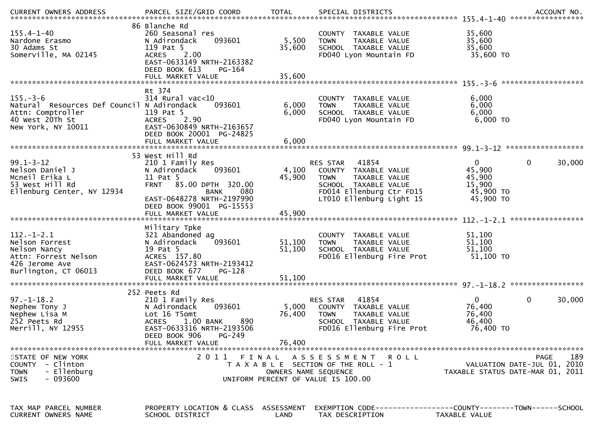| $155.4 - 1 - 40$<br>Nardone Erasmo<br>30 Adams St<br>Somerville, MA 02145                                                  | 86 Blanche Rd<br>260 Seasonal res<br>093601<br>N Adirondack<br>119 Pat 5<br>2.00<br><b>ACRES</b><br>EAST-0633149 NRTH-2163382<br>DEED BOOK 613<br>$PG-164$                                      | 5,500<br>35,600           | COUNTY TAXABLE VALUE<br>TAXABLE VALUE<br><b>TOWN</b><br>SCHOOL TAXABLE VALUE<br>FD040 Lyon Mountain FD                                                           | 35,600<br>35,600<br>35,600<br>35,600 TO                                             |
|----------------------------------------------------------------------------------------------------------------------------|-------------------------------------------------------------------------------------------------------------------------------------------------------------------------------------------------|---------------------------|------------------------------------------------------------------------------------------------------------------------------------------------------------------|-------------------------------------------------------------------------------------|
|                                                                                                                            |                                                                                                                                                                                                 |                           |                                                                                                                                                                  |                                                                                     |
| $155. - 3 - 6$<br>Natural Resources Def Council N Adirondack<br>Attn: Comptroller<br>40 West 20Th St<br>New York, NY 10011 | Rt 374<br>$314$ Rural vac<10<br>093601<br>119 Pat 5<br>2.90<br><b>ACRES</b><br>EAST-0630849 NRTH-2163657<br>DEED BOOK 20001 PG-24825                                                            | 6,000<br>6,000            | COUNTY TAXABLE VALUE<br>TAXABLE VALUE<br><b>TOWN</b><br>SCHOOL TAXABLE VALUE<br>FD040 Lyon Mountain FD                                                           | 6,000<br>6,000<br>6,000<br>$6,000$ TO                                               |
|                                                                                                                            |                                                                                                                                                                                                 |                           |                                                                                                                                                                  |                                                                                     |
| $99.1 - 3 - 12$<br>Nelson Daniel J<br>Mcneil Erika L<br>53 West Hill Rd<br>Ellenburg Center, NY 12934                      | 53 West Hill Rd<br>210 1 Family Res<br>N Adirondack<br>093601<br>11 Pat 5<br>85.00 DPTH 320.00<br><b>FRNT</b><br>080<br>BANK<br>EAST-0648278 NRTH-2197990                                       | 4,100<br>45,900           | 41854<br><b>RES STAR</b><br>COUNTY TAXABLE VALUE<br>TAXABLE VALUE<br><b>TOWN</b><br>SCHOOL TAXABLE VALUE<br>FD014 Ellenburg Ctr FD15<br>LT010 Ellenburg Light 15 | $\mathbf{0}$<br>0<br>30,000<br>45,900<br>45,900<br>15,900<br>45,900 TO<br>45,900 TO |
|                                                                                                                            | DEED BOOK 99001 PG-15553                                                                                                                                                                        |                           |                                                                                                                                                                  |                                                                                     |
| $112. - 1 - 2.1$<br>Nelson Forrest<br>Nelson Nancy<br>Attn: Forrest Nelson<br>426 Jerome Ave                               | Military Tpke<br>321 Abandoned ag<br>093601<br>N Adirondack<br>19 Pat 5<br>ACRES 157.80<br>EAST-0624573 NRTH-2193412                                                                            | 51,100<br>51,100          | COUNTY TAXABLE VALUE<br>TAXABLE VALUE<br><b>TOWN</b><br>SCHOOL TAXABLE VALUE<br>FD016 Ellenburg Fire Prot                                                        | 51,100<br>51,100<br>51,100<br>51,100 TO                                             |
| Burlington, CT 06013                                                                                                       | DEED BOOK 677<br>PG-128<br>FULL MARKET VALUE                                                                                                                                                    | 51,100                    |                                                                                                                                                                  |                                                                                     |
| $97. - 1 - 18.2$<br>Nephew Tony J<br>Nephew Lisa M<br>252 Peets Rd<br>Merrill, NY 12955                                    | 252 Peets Rd<br>210 1 Family Res<br>093601<br>N Adirondack<br>Lot 16 T5omt<br><b>ACRES</b><br>$1.00$ BANK<br>890<br>EAST-0633316 NRTH-2193506<br>$PG-249$<br>DEED BOOK 906<br>FULL MARKET VALUE | 5,000<br>76,400<br>76,400 | 41854<br><b>RES STAR</b><br>COUNTY TAXABLE VALUE<br><b>TOWN</b><br>TAXABLE VALUE<br>SCHOOL TAXABLE VALUE<br>FD016 Ellenburg Fire Prot                            | 0<br>30,000<br>0<br>76,400<br>76,400<br>46,400<br>76,400 TO                         |
| STATE OF NEW YORK<br>COUNTY - Clinton<br>- Ellenburg<br><b>TOWN</b><br>$-093600$<br><b>SWIS</b>                            | 2011 FINAL                                                                                                                                                                                      | OWNERS NAME SEQUENCE      | A S S E S S M E N T<br>R O L L<br>T A X A B L E SECTION OF THE ROLL - 1<br>UNIFORM PERCENT OF VALUE IS 100.00                                                    | 189<br>PAGE<br>VALUATION DATE-JUL 01, 2010<br>TAXABLE STATUS DATE-MAR 01, 2011      |
| TAX MAP PARCEL NUMBER<br>CURRENT OWNERS NAME                                                                               | PROPERTY LOCATION & CLASS ASSESSMENT<br>SCHOOL DISTRICT                                                                                                                                         | LAND                      | TAX DESCRIPTION                                                                                                                                                  | EXEMPTION CODE------------------COUNTY--------TOWN------SCHOOL<br>TAXABLE VALUE     |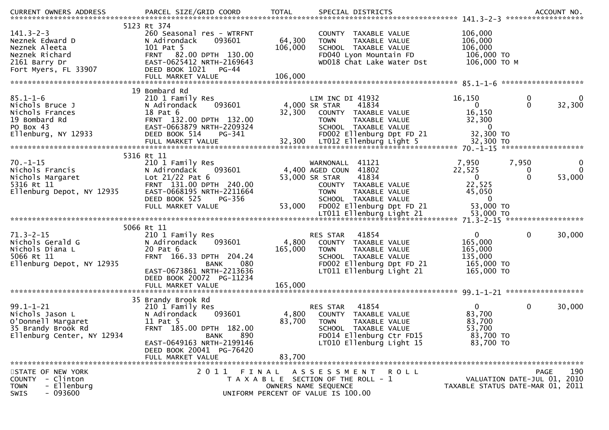| $141.3 - 2 - 3$<br>Neznek Edward D<br>Neznek Aleeta<br>Neznek Richard<br>2161 Barry Dr<br>Fort Myers, FL 33907 | 5123 Rt 374<br>260 Seasonal res - WTRFNT<br>093601<br>N Adirondack<br>101 Pat 5<br>FRNT 82.00 DPTH 130.00<br>EAST-0625412 NRTH-2169643<br>DEED BOOK 1021<br>$PG-44$<br>FULL MARKET VALUE                    | 64,300<br>106,000<br>106,000 | COUNTY TAXABLE VALUE<br>TAXABLE VALUE<br><b>TOWN</b><br>SCHOOL TAXABLE VALUE<br>FD040 Lyon Mountain FD<br>WD018 Chat Lake Water Dst                                 | 106,000<br>106,000<br>106,000<br>106,000 TO<br>106,000 ТО М                                          |                         |
|----------------------------------------------------------------------------------------------------------------|-------------------------------------------------------------------------------------------------------------------------------------------------------------------------------------------------------------|------------------------------|---------------------------------------------------------------------------------------------------------------------------------------------------------------------|------------------------------------------------------------------------------------------------------|-------------------------|
|                                                                                                                | 19 Bombard Rd                                                                                                                                                                                               |                              |                                                                                                                                                                     |                                                                                                      |                         |
| $85.1 - 1 - 6$<br>Nichols Bruce J<br>Nichols Frances<br>19 Bombard Rd<br>PO Box 43<br>Ellenburg, NY 12933      | 210 1 Family Res<br>093601<br>N Adirondack<br>18 Pat 6<br>FRNT 132.00 DPTH 132.00<br>EAST-0663879 NRTH-2209324<br>DEED BOOK 514<br>PG-341                                                                   | 32,300                       | LIM INC DI 41932<br>41834<br>4,000 SR STAR<br>COUNTY TAXABLE VALUE<br><b>TOWN</b><br>TAXABLE VALUE<br>SCHOOL TAXABLE VALUE<br>FD002 Ellenburg Dpt FD 21             | 16,150<br>$\mathbf 0$<br>$\mathbf{0}$<br>$\overline{0}$<br>16,150<br>32,300<br>$\Omega$<br>32,300 TO | $\mathbf{0}$<br>32,300  |
|                                                                                                                |                                                                                                                                                                                                             |                              |                                                                                                                                                                     |                                                                                                      |                         |
|                                                                                                                |                                                                                                                                                                                                             |                              |                                                                                                                                                                     |                                                                                                      |                         |
| $70. - 1 - 15$<br>Nichols Francis<br>Nichols Margaret<br>5316 Rt 11<br>Ellenburg Depot, NY 12935               | 5316 Rt 11<br>210 1 Family Res<br>N Adirondack<br>093601<br>Lot $21/22$ Pat 6<br>FRNT 131.00 DPTH 240.00<br>EAST-0668195 NRTH-2211664                                                                       |                              | WARNONALL<br>41121<br>4,400 AGED COUN 41802<br>53,000 SR STAR<br>41834<br>COUNTY TAXABLE VALUE<br>TAXABLE VALUE<br><b>TOWN</b>                                      | 7,950<br>7,950<br>22,525<br>$\mathbf 0$<br>$\Omega$<br>$\mathbf{0}$<br>22,525<br>45,050              | $\bf{0}$<br>0<br>53,000 |
|                                                                                                                | DEED BOOK 525<br>PG-356<br>FULL MARKET VALUE                                                                                                                                                                | 53,000                       | SCHOOL TAXABLE VALUE<br>FD002 Ellenburg Dpt FD 21                                                                                                                   | 0<br>53,000 TO                                                                                       |                         |
|                                                                                                                | 5066 Rt 11                                                                                                                                                                                                  |                              |                                                                                                                                                                     |                                                                                                      |                         |
| $71.3 - 2 - 15$<br>Nichols Gerald G<br>Nichols Diana L<br>5066 Rt 11<br>Ellenburg Depot, NY 12935              | 210 1 Family Res<br>N Adirondack<br>093601<br>20 Pat 6<br>FRNT 166.33 DPTH 204.24<br>080<br><b>BANK</b><br>EAST-0673861 NRTH-2213636<br>DEED BOOK 20072 PG-11234                                            | 4,800<br>165,000             | 41854<br>RES STAR<br>COUNTY TAXABLE VALUE<br><b>TOWN</b><br>TAXABLE VALUE<br>SCHOOL TAXABLE VALUE<br>FD002 Ellenburg Dpt FD 21<br>LT011 Ellenburg Light 21          | $\mathbf{0}$<br>0<br>165,000<br>165,000<br>135,000<br>165,000 TO<br>165,000 TO                       | 30,000                  |
|                                                                                                                | FULL MARKET VALUE                                                                                                                                                                                           | 165,000                      |                                                                                                                                                                     |                                                                                                      |                         |
|                                                                                                                |                                                                                                                                                                                                             |                              |                                                                                                                                                                     |                                                                                                      |                         |
| $99.1 - 1 - 21$<br>Nichols Jason L<br>O'Donnell Margaret<br>35 Brandy Brook Rd<br>Ellenburg Center, NY 12934   | 35 Brandy Brook Rd<br>210 1 Family Res<br>N Adirondack<br>093601<br>11 Pat 5<br>FRNT 185.00 DPTH 182.00<br><b>BANK</b><br>890<br>EAST-0649163 NRTH-2199146<br>DEED BOOK 20041 PG-76420<br>FULL MARKET VALUE | 4,800<br>83,700<br>83,700    | 41854<br>RES STAR<br>COUNTY TAXABLE VALUE<br><b>TOWN</b><br>TAXABLE VALUE<br><b>SCHOOL</b><br>TAXABLE VALUE<br>FD014 Ellenburg Ctr FD15<br>LT010 Ellenburg Light 15 | $\mathbf{0}$<br>0<br>83,700<br>83,700<br>53,700<br>83,700 TO<br>83,700 TO                            | 30,000                  |
|                                                                                                                |                                                                                                                                                                                                             |                              |                                                                                                                                                                     |                                                                                                      |                         |
| STATE OF NEW YORK<br>COUNTY - Clinton<br>- Ellenburg<br><b>TOWN</b><br>$-093600$<br>SWIS                       | 2011<br>FINAL                                                                                                                                                                                               |                              | A S S E S S M E N T R O L L<br>T A X A B L E SECTION OF THE ROLL - 1<br>OWNERS NAME SEQUENCE<br>UNIFORM PERCENT OF VALUE IS 100.00                                  | VALUATION DATE-JUL 01, 2010<br>TAXABLE STATUS DATE-MAR 01, 2011                                      | 190<br><b>PAGE</b>      |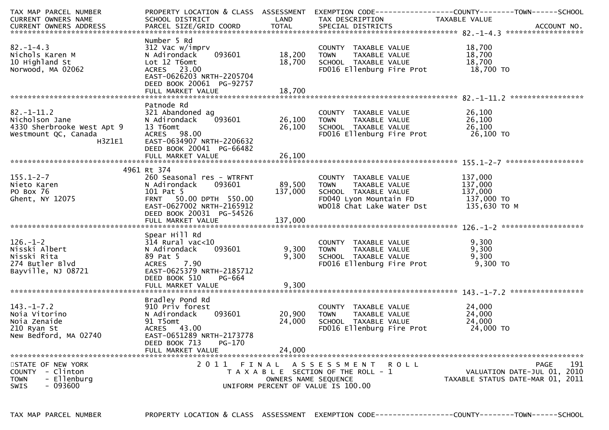| TAX MAP PARCEL NUMBER      | PROPERTY LOCATION & CLASS ASSESSMENT EXEMPTION CODE----------------COUNTY-------TOWN------SCHOOL |                      |                                                                                                                                                                           |                  |                                  |
|----------------------------|--------------------------------------------------------------------------------------------------|----------------------|---------------------------------------------------------------------------------------------------------------------------------------------------------------------------|------------------|----------------------------------|
| CURRENT OWNERS NAME        | SCHOOL DISTRICT<br><b>Example 12 DE LAND</b>                                                     |                      | TAX DESCRIPTION                                                                                                                                                           | TAXABLE VALUE    |                                  |
|                            |                                                                                                  |                      |                                                                                                                                                                           |                  |                                  |
|                            |                                                                                                  |                      |                                                                                                                                                                           |                  |                                  |
|                            | Number 5 Rd                                                                                      |                      |                                                                                                                                                                           |                  |                                  |
| $82. - 1 - 4.3$            | 312 Vac w/imprv                                                                                  |                      | COUNTY TAXABLE VALUE<br>TOWN      TAXABLE VALUE                                                                                                                           | 18,700<br>18,700 |                                  |
| Nichols Karen M            | 093601<br>N Adirondack                                                                           | 18,200 TOWN          |                                                                                                                                                                           |                  |                                  |
| 10 Highland St             | Lot 12 T6omt                                                                                     | 18,700               | SCHOOL TAXABLE VALUE                                                                                                                                                      | 18,700           |                                  |
| Norwood, MA 02062          | ACRES 23.00                                                                                      |                      | FD016 Ellenburg Fire Prot                                                                                                                                                 | 18,700 TO        |                                  |
|                            | EAST-0626203 NRTH-2205704                                                                        |                      |                                                                                                                                                                           |                  |                                  |
|                            | DEED BOOK 20061 PG-92757                                                                         |                      |                                                                                                                                                                           |                  |                                  |
|                            |                                                                                                  |                      |                                                                                                                                                                           |                  |                                  |
|                            |                                                                                                  |                      |                                                                                                                                                                           |                  |                                  |
|                            | Patnode Rd                                                                                       |                      |                                                                                                                                                                           |                  |                                  |
| $82. - 1 - 11.2$           | 321 Abandoned ag                                                                                 |                      | COUNTY TAXABLE VALUE<br>TOWN      TAXABLE VALUE                                                                                                                           | 26,100           |                                  |
| Nicholson Jane             | N Adirondack                                                                                     |                      |                                                                                                                                                                           | 26,100           |                                  |
| 4330 Sherbrooke West Apt 9 | 13 T6omt                                                                                         | 26,100               |                                                                                                                                                                           |                  |                                  |
| Westmount QC, Canada       | ACRES 98.00                                                                                      |                      |                                                                                                                                                                           |                  |                                  |
| H3Z1E1                     | EAST-0634907 NRTH-2206632                                                                        |                      |                                                                                                                                                                           |                  |                                  |
|                            | DEED BOOK 20041 PG-66482                                                                         |                      |                                                                                                                                                                           |                  |                                  |
|                            |                                                                                                  |                      |                                                                                                                                                                           |                  |                                  |
|                            |                                                                                                  |                      |                                                                                                                                                                           |                  |                                  |
|                            | 4961 Rt 374                                                                                      |                      |                                                                                                                                                                           |                  |                                  |
| $155.1 - 2 - 7$            | 260 Seasonal res - WTRFNT                                                                        |                      |                                                                                                                                                                           |                  |                                  |
| Nieto Karen                | 093601<br>N Adirondack                                                                           | 89,500 TOWN          |                                                                                                                                                                           |                  |                                  |
| PO Box 76                  |                                                                                                  | 137,000              |                                                                                                                                                                           |                  |                                  |
| Ghent, NY 12075            | N Adironuack (1999)<br>101 Pat 5<br>FRNT 150.00 DPTH 550.00<br>- 2022002 NPTH-2165912            |                      | COUNTY TAXABLE VALUE 137,000<br>TOWN TAXABLE VALUE 137,000<br>SCHOOL TAXABLE VALUE 137,000<br>FDO40 Lyon Mountain FD 137,000 TO<br>WDO18 Chat Lake Water Dst 135,630 TO M |                  |                                  |
|                            | EAST-0627002 NRTH-2165912                                                                        |                      |                                                                                                                                                                           |                  |                                  |
|                            | DEED BOOK 20031 PG-54526                                                                         |                      |                                                                                                                                                                           |                  |                                  |
|                            |                                                                                                  |                      |                                                                                                                                                                           |                  |                                  |
|                            |                                                                                                  |                      |                                                                                                                                                                           |                  |                                  |
|                            | Spear Hill Rd                                                                                    |                      |                                                                                                                                                                           |                  |                                  |
| $126. - 1 - 2$             |                                                                                                  |                      | COUNTY TAXABLE VALUE<br>TOWN       TAXABLE VALUE                                                                                                                          | 9,300            |                                  |
| Nisski Albert              |                                                                                                  | 093601 9,300 TOWN    |                                                                                                                                                                           | 9,300            |                                  |
| Nisski Rita                |                                                                                                  | 9,300                | SCHOOL TAXABLE VALUE                                                                                                                                                      | 9,300            |                                  |
| 274 Butler Blvd            |                                                                                                  |                      | FD016 Ellenburg Fire Prot                                                                                                                                                 | 9,300 TO         |                                  |
| Bayville, NJ 08721         |                                                                                                  |                      |                                                                                                                                                                           |                  |                                  |
|                            | DEED BOOK 510<br>PG-664                                                                          |                      |                                                                                                                                                                           |                  |                                  |
|                            | FULL MARKET VALUE                                                                                | 9,300                |                                                                                                                                                                           |                  |                                  |
|                            |                                                                                                  |                      |                                                                                                                                                                           |                  |                                  |
|                            | Bradley Pond Rd                                                                                  |                      |                                                                                                                                                                           |                  |                                  |
| $143. - 1 - 7.2$           | 910 Priv forest                                                                                  |                      | COUNTY TAXABLE VALUE                                                                                                                                                      | 24,000           |                                  |
| Noja Vitorino              | N Adirondack                                                                                     | 093601 20,900        | TAXABLE VALUE<br><b>TOWN</b>                                                                                                                                              | 24,000           |                                  |
| Noia Zenaide               | 91 T5omt                                                                                         | 24,000               | SCHOOL TAXABLE VALUE                                                                                                                                                      | 24,000           |                                  |
| 210 Ryan St                | ACRES 43.00                                                                                      |                      | FD016 Ellenburg Fire Prot                                                                                                                                                 | 24,000 TO        |                                  |
| New Bedford, MA 02740      | EAST-0651289 NRTH-2173778                                                                        |                      |                                                                                                                                                                           |                  |                                  |
|                            | DEED BOOK 713<br>PG-170                                                                          |                      |                                                                                                                                                                           |                  |                                  |
|                            | FULL MARKET VALUE                                                                                | 24,000               |                                                                                                                                                                           |                  |                                  |
|                            |                                                                                                  |                      |                                                                                                                                                                           |                  |                                  |
| STATE OF NEW YORK          |                                                                                                  |                      | 2011 FINAL ASSESSMENT ROLL                                                                                                                                                |                  | 191<br>PAGE                      |
| - Clinton<br>COUNTY        |                                                                                                  |                      | T A X A B L E SECTION OF THE ROLL - 1                                                                                                                                     |                  | VALUATION DATE-JUL 01, 2010      |
| - Ellenburg<br><b>TOWN</b> |                                                                                                  | OWNERS NAME SEQUENCE |                                                                                                                                                                           |                  | TAXABLE STATUS DATE-MAR 01, 2011 |
| - 093600<br>SWIS           |                                                                                                  |                      | UNIFORM PERCENT OF VALUE IS 100.00                                                                                                                                        |                  |                                  |
|                            |                                                                                                  |                      |                                                                                                                                                                           |                  |                                  |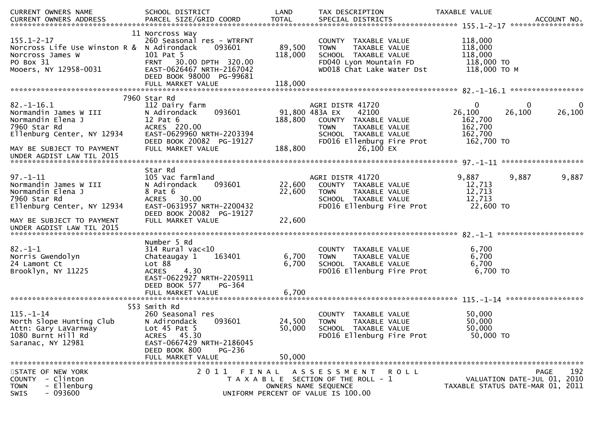| CURRENT OWNERS NAME<br>CURRENT OWNERS ADDRESS                                                                            | SCHOOL DISTRICT                                                                                                                                                                   | LAND                         | TAX DESCRIPTION                                                                                                                                          | <b>TAXABLE VALUE</b>                                                  |                                                                                       |
|--------------------------------------------------------------------------------------------------------------------------|-----------------------------------------------------------------------------------------------------------------------------------------------------------------------------------|------------------------------|----------------------------------------------------------------------------------------------------------------------------------------------------------|-----------------------------------------------------------------------|---------------------------------------------------------------------------------------|
| $155.1 - 2 - 17$<br>Norcross Life Use Winston R & N Adirondack<br>Norcross James W<br>PO Box 31<br>Mooers, NY 12958-0031 | 11 Norcross Way<br>260 Seasonal res - WTRFNT<br>093601<br>101 Pat 5<br>FRNT 30.00 DPTH 320.00<br>EAST-0626467 NRTH-2167042<br>DEED BOOK 98000 PG-99681<br>FULL MARKET VALUE       | 89,500<br>118,000<br>118,000 | COUNTY TAXABLE VALUE<br>TAXABLE VALUE<br><b>TOWN</b><br>SCHOOL TAXABLE VALUE<br>FD040 Lyon Mountain FD<br>WD018 Chat Lake Water Dst                      | 118,000<br>118,000<br>118,000<br>118,000 TO<br>118,000 ТО М           |                                                                                       |
|                                                                                                                          | 7960 Star Rd                                                                                                                                                                      |                              |                                                                                                                                                          |                                                                       |                                                                                       |
| $82.-1-16.1$<br>Normandin James W III<br>Normandin Elena J<br>7960 Star Rd<br>Ellenburg Center, NY 12934                 | 112 Dairy farm<br>N Adirondack<br>093601<br>$12$ Pat $6$<br>ACRES 220.00<br>EAST-0629960 NRTH-2203394<br>DEED BOOK 20082 PG-19127                                                 | 188,800                      | AGRI DISTR 41720<br>91,800 483A EX<br>42100<br>COUNTY TAXABLE VALUE<br>TAXABLE VALUE<br><b>TOWN</b><br>SCHOOL TAXABLE VALUE<br>FD016 Ellenburg Fire Prot | $\mathbf{0}$<br>26,100<br>162,700<br>162,700<br>162,700<br>162,700 TO | 0<br>0<br>26,100<br>26,100                                                            |
| MAY BE SUBJECT TO PAYMENT                                                                                                | FULL MARKET VALUE                                                                                                                                                                 | 188,800                      | 26,100 EX                                                                                                                                                |                                                                       |                                                                                       |
| UNDER AGDIST LAW TIL 2015                                                                                                |                                                                                                                                                                                   |                              |                                                                                                                                                          |                                                                       |                                                                                       |
|                                                                                                                          | Star Rd                                                                                                                                                                           |                              |                                                                                                                                                          |                                                                       |                                                                                       |
| $97. - 1 - 11$<br>Normandin James W III<br>Normandin Elena J<br>7960 Star Rd<br>Ellenburg Center, NY 12934               | 105 Vac farmland<br>N Adirondack<br>093601<br>8 Pat 6<br>ACRES 30.00<br>EAST-0631957 NRTH-2200432                                                                                 | 22,600<br>22,600             | AGRI DISTR 41720<br>COUNTY TAXABLE VALUE<br>TAXABLE VALUE<br><b>TOWN</b><br>SCHOOL TAXABLE VALUE<br>FD016 Ellenburg Fire Prot                            | 9,887<br>12,713<br>12,713<br>12,713<br>22,600 TO                      | 9,887<br>9,887                                                                        |
| MAY BE SUBJECT TO PAYMENT<br>UNDER AGDIST LAW TIL 2015                                                                   | DEED BOOK 20082 PG-19127<br>FULL MARKET VALUE                                                                                                                                     | 22,600                       |                                                                                                                                                          |                                                                       |                                                                                       |
|                                                                                                                          | Number 5 Rd                                                                                                                                                                       |                              |                                                                                                                                                          |                                                                       |                                                                                       |
| $82 - 1 - 1$<br>Norris Gwendolyn<br>24 Lamont Ct<br>Brooklyn, NY 11225                                                   | $314$ Rural vac<10<br>163401<br>Chateaugay 1<br>Lot 88<br><b>ACRES</b><br>4.30<br>EAST-0622927 NRTH-2205911<br>DEED BOOK 577<br><b>PG-364</b><br>FULL MARKET VALUE                | 6,700<br>6,700<br>6,700      | COUNTY TAXABLE VALUE<br>TAXABLE VALUE<br><b>TOWN</b><br>SCHOOL TAXABLE VALUE<br>FD016 Ellenburg Fire Prot                                                | 6,700<br>6,700<br>6,700<br>6,700 TO                                   |                                                                                       |
|                                                                                                                          |                                                                                                                                                                                   |                              |                                                                                                                                                          |                                                                       |                                                                                       |
| $115. - 1 - 14$<br>North Slope Hunting Club<br>Attn: Gary LaVarnway<br>1080 Burnt Hill Rd<br>Saranac, NY 12981           | 553 Smith Rd<br>260 Seasonal res<br>093601<br>N Adirondack<br>Lot $45$ Pat $5$<br>ACRES 45.30<br>EAST-0667429 NRTH-2186045<br>DEED BOOK 800<br><b>PG-236</b><br>FULL MARKET VALUE | 24,500<br>50,000<br>50,000   | COUNTY TAXABLE VALUE<br><b>TOWN</b><br>TAXABLE VALUE<br>SCHOOL TAXABLE VALUE<br>FD016 Ellenburg Fire Prot                                                | 50,000<br>50,000<br>50,000<br>50,000 TO                               |                                                                                       |
|                                                                                                                          |                                                                                                                                                                                   |                              |                                                                                                                                                          |                                                                       |                                                                                       |
| STATE OF NEW YORK<br>- Clinton<br>COUNTY<br>- Ellenburg<br><b>TOWN</b><br>$-093600$<br>SWIS                              | 2011 FINAL                                                                                                                                                                        |                              | A S S E S S M E N T R O L L<br>T A X A B L E SECTION OF THE ROLL - 1<br>OWNERS NAME SEQUENCE<br>UNIFORM PERCENT OF VALUE IS 100.00                       |                                                                       | 192<br><b>PAGE</b><br>VALUATION DATE-JUL 01, 2010<br>TAXABLE STATUS DATE-MAR 01, 2011 |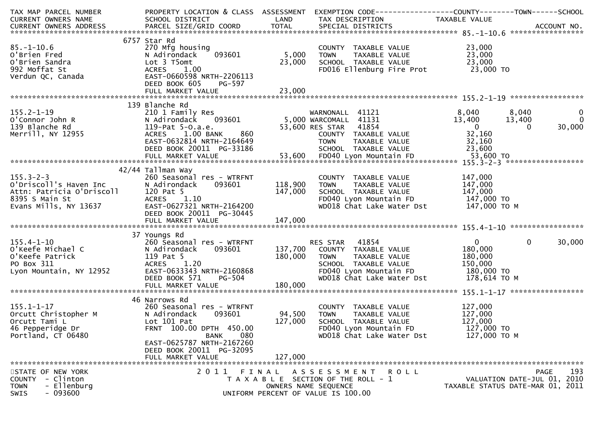| TAX MAP PARCEL NUMBER                                                                                                                               | PROPERTY LOCATION & CLASS ASSESSMENT                    |         | EXEMPTION CODE-----------------COUNTY-------TOWN------SCHOOL                  |                                                                 |                        |
|-----------------------------------------------------------------------------------------------------------------------------------------------------|---------------------------------------------------------|---------|-------------------------------------------------------------------------------|-----------------------------------------------------------------|------------------------|
| CURRENT OWNERS NAME                                                                                                                                 | SCHOOL DISTRICT<br><b>Example 12 Service State LAND</b> |         | TAX DESCRIPTION                                                               | TAXABLE VALUE                                                   |                        |
|                                                                                                                                                     |                                                         |         |                                                                               |                                                                 |                        |
|                                                                                                                                                     | 6757 Star Rd                                            |         |                                                                               |                                                                 |                        |
| $85. - 1 - 10.6$                                                                                                                                    | 270 Mfg housing                                         |         |                                                                               | 23,000                                                          |                        |
|                                                                                                                                                     | 093601<br>N Adirondack                                  | 5,000   | COUNTY TAXABLE VALUE<br>TOWN      TAXABLE VALUE                               | 23,000                                                          |                        |
|                                                                                                                                                     | Lot 3 T5omt                                             | 23,000  | SCHOOL TAXABLE VALUE                                                          | 23,000                                                          |                        |
| u Brien Fred<br>O'Brien Sandra<br>992 Moffat St<br>Verdun QC, Canada                                                                                | ACRES 1.00                                              |         | FD016 Ellenburg Fire Prot                                                     | 23,000 TO                                                       |                        |
|                                                                                                                                                     | EAST-0660598 NRTH-2206113                               |         |                                                                               |                                                                 |                        |
|                                                                                                                                                     | DEED BOOK 605<br>PG-597                                 |         |                                                                               |                                                                 |                        |
|                                                                                                                                                     |                                                         |         |                                                                               |                                                                 |                        |
|                                                                                                                                                     |                                                         |         |                                                                               |                                                                 |                        |
|                                                                                                                                                     | 139 Blanche Rd<br>210 1 Family Res                      |         |                                                                               | 8,040<br>8,040                                                  | $\mathbf 0$            |
| 155.2-1-19<br>O'Connor John R<br>139 Blanche Rd                                                                                                     | N Adirondack                                            |         | WARNONALL 41121<br>093601 - 1121 - 1121<br>1131 - 1132 - 5,000 WARCOMALL      | 13,400<br>13,400                                                | $\overline{0}$         |
|                                                                                                                                                     | 119-Pat 5-O.a.e.                                        |         | 53,600 RES STAR 41854                                                         | $\overline{\mathbf{0}}$                                         | 30,000<br>$\Omega$     |
| Merrill, NY 12955                                                                                                                                   | 860<br>ACRES 1.00 BANK                                  |         | COUNTY TAXABLE VALUE                                                          | 32,160                                                          |                        |
|                                                                                                                                                     | EAST-0632814 NRTH-2164649                               |         | TAXABLE VALUE<br><b>TOWN</b>                                                  | 32,160                                                          |                        |
|                                                                                                                                                     |                                                         |         |                                                                               |                                                                 |                        |
|                                                                                                                                                     |                                                         |         |                                                                               |                                                                 |                        |
|                                                                                                                                                     |                                                         |         |                                                                               |                                                                 |                        |
|                                                                                                                                                     | 42/44 Tallman Way                                       |         |                                                                               |                                                                 |                        |
|                                                                                                                                                     | 260 Seasonal res - WTRFNT                               |         | COUNTY TAXABLE VALUE                                                          | 147,000                                                         |                        |
|                                                                                                                                                     | 093601<br>N Adirondack                                  | 118,900 | TAXABLE VALUE<br>TOWN                                                         | 147,000                                                         |                        |
| 155.3-2-3<br>0'Driscoll's Haven Inc N Adironda<br>Attn: Patricia O'Driscoll 120 Pat 5<br>8395 S Main St ACRES 1<br>Evans Mills, NY 13637 EAST-06273 |                                                         | 147,000 | SCHOOL TAXABLE VALUE 147,000<br>FD040 Lyon Mountain FD 147,000 TO             |                                                                 |                        |
|                                                                                                                                                     | ACRES 1.10                                              |         | WD018 Chat Lake Water Dst 147,000 TO M                                        |                                                                 |                        |
|                                                                                                                                                     | EAST-0627321 NRTH-2164200<br>DEED BOOK 20011 PG-30445   |         |                                                                               |                                                                 |                        |
|                                                                                                                                                     |                                                         | 147,000 |                                                                               |                                                                 |                        |
|                                                                                                                                                     |                                                         |         |                                                                               |                                                                 |                        |
|                                                                                                                                                     | 37 Youngs Rd                                            |         |                                                                               |                                                                 |                        |
| $155.4 - 1 - 10$                                                                                                                                    | 260 Seasonal res - WTRFNT                               |         | RES STAR 41854                                                                | $\mathbf{0}$                                                    | $\mathbf{0}$<br>30,000 |
|                                                                                                                                                     | N Adirondack<br>093601                                  | 137,700 | COUNTY TAXABLE VALUE                                                          | 180,000                                                         |                        |
| o'Keefe Michael C<br>O'Keefe Patrick<br>PO Box 311<br>Lyon Mountain, NY 12952                                                                       | 119 Pat 5                                               | 180,000 | <b>TOWN</b><br>TAXABLE VALUE                                                  | 180,000                                                         |                        |
|                                                                                                                                                     | ACRES 1.20                                              |         | SCHOOL TAXABLE VALUE                                                          | 150,000                                                         |                        |
|                                                                                                                                                     | EAST-0633343 NRTH-2160868                               |         | FD040 Lyon Mountain FD                                                        | 180,000 TO                                                      |                        |
|                                                                                                                                                     | <b>PG-504</b><br>DEED BOOK 571                          |         | WD018 Chat Lake Water Dst                                                     | 178,614 ТО М                                                    |                        |
|                                                                                                                                                     | FULL MARKET VALUE                                       | 180,000 |                                                                               |                                                                 |                        |
| 155.1-1-17<br>Orcutt Christopher M<br>Orcutt Tami L<br>Comparing Dr. 260 Seasonal<br>N Adirondack<br>Lot 101 Pat<br>FRNT 100.00                     |                                                         |         |                                                                               |                                                                 |                        |
|                                                                                                                                                     | 260 Seasonal res - WTRFNT                               |         | COUNTY TAXABLE VALUE                                                          | 127,000                                                         |                        |
|                                                                                                                                                     | 093601                                                  | 94,500  | TAXABLE VALUE<br><b>TOWN</b>                                                  | 127,000                                                         |                        |
|                                                                                                                                                     |                                                         | 127,000 | SCHOOL TAXABLE VALUE                                                          | 127,000                                                         |                        |
|                                                                                                                                                     | FRNT 100.00 DPTH 450.00                                 |         | FD040 Lyon Mountain FD                                                        | 127,000 TO                                                      |                        |
| Portland, CT 06480                                                                                                                                  | <b>BANK</b><br>080                                      |         | WD018 Chat Lake Water Dst                                                     | 127,000 ТО М                                                    |                        |
|                                                                                                                                                     | EAST-0625787 NRTH-2167260                               |         |                                                                               |                                                                 |                        |
|                                                                                                                                                     | DEED BOOK 20011 PG-32095                                |         |                                                                               |                                                                 |                        |
|                                                                                                                                                     | FULL MARKET VALUE                                       | 127,000 |                                                                               |                                                                 |                        |
|                                                                                                                                                     |                                                         |         |                                                                               |                                                                 |                        |
| STATE OF NEW YORK                                                                                                                                   |                                                         |         | 2011 FINAL ASSESSMENT<br><b>ROLL</b><br>T A X A B L E SECTION OF THE ROLL - 1 |                                                                 | 193<br><b>PAGE</b>     |
| - Clinton<br>COUNTY<br>- Ellenburg<br><b>TOWN</b>                                                                                                   |                                                         |         | OWNERS NAME SEQUENCE                                                          | VALUATION DATE-JUL 01, 2010<br>TAXABLE STATUS DATE-MAR 01, 2011 |                        |
| $-093600$<br>SWIS                                                                                                                                   |                                                         |         | UNIFORM PERCENT OF VALUE IS 100.00                                            |                                                                 |                        |
|                                                                                                                                                     |                                                         |         |                                                                               |                                                                 |                        |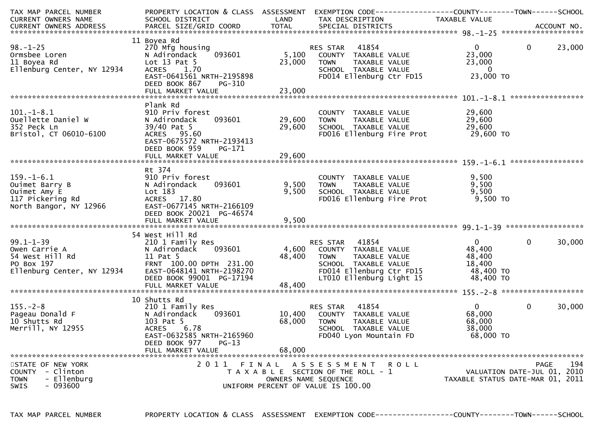| TAX MAP PARCEL NUMBER                                                                      |                                                         |        | PROPERTY LOCATION & CLASS ASSESSMENT EXEMPTION CODE---------------COUNTY-------TOWN------SCHOOL |                                  |                |        |
|--------------------------------------------------------------------------------------------|---------------------------------------------------------|--------|-------------------------------------------------------------------------------------------------|----------------------------------|----------------|--------|
| CURRENT OWNERS NAME                                                                        | SCHOOL DISTRICT<br><b>Example 18 Service State LAND</b> |        | TAX DESCRIPTION                                                                                 | TAXABLE VALUE                    |                |        |
|                                                                                            |                                                         |        |                                                                                                 |                                  |                |        |
|                                                                                            | 11 Boyea Rd                                             |        |                                                                                                 |                                  |                |        |
| $98. - 1 - 25$                                                                             | 270 Mfg housing                                         |        | 41854<br>RES STAR                                                                               | $\overline{0}$                   | $\overline{0}$ | 23,000 |
| Ormsbee Loren                                                                              | 093601<br>N Adirondack                                  |        | 5,100 COUNTY TAXABLE VALUE                                                                      | 23,000                           |                |        |
| 11 Boyea Rd                                                                                | Lot $13$ Pat $5$                                        | 23,000 | TAXABLE VALUE<br><b>TOWN</b>                                                                    | 23,000                           |                |        |
| Ellenburg Center, NY 12934                                                                 | ACRES 1.70                                              |        | SCHOOL TAXABLE VALUE                                                                            | $\overline{\mathbf{0}}$          |                |        |
|                                                                                            | EAST-0641561 NRTH-2195898                               |        | FD014 Ellenburg Ctr FD15                                                                        | 23,000 TO                        |                |        |
|                                                                                            | DEED BOOK 867<br>PG-310                                 |        |                                                                                                 |                                  |                |        |
|                                                                                            |                                                         |        |                                                                                                 |                                  |                |        |
|                                                                                            |                                                         |        |                                                                                                 |                                  |                |        |
|                                                                                            | Plank Rd                                                |        |                                                                                                 |                                  |                |        |
| $101.-1-8.1$                                                                               | 910 Priv forest                                         |        | COUNTY TAXABLE VALUE                                                                            | 29,600                           |                |        |
| Ouellette Daniel W                                                                         | 093601<br>N Adirondack                                  | 29,600 | TAXABLE VALUE<br>TOWN                                                                           | 29,600                           |                |        |
| 352 Peck Ln                                                                                | 39/40 Pat 5                                             | 29,600 | SCHOOL TAXABLE VALUE                                                                            | 29,600                           |                |        |
| Bristol, CT 06010-6100                                                                     | ACRES 95.60                                             |        | FD016 Ellenburg Fire Prot                                                                       | 29,600<br>29,600 то              |                |        |
|                                                                                            | EAST-0675572 NRTH-2193413                               |        |                                                                                                 |                                  |                |        |
|                                                                                            | DEED BOOK 959<br>PG-171                                 |        |                                                                                                 |                                  |                |        |
|                                                                                            |                                                         |        |                                                                                                 |                                  |                |        |
|                                                                                            |                                                         |        |                                                                                                 |                                  |                |        |
|                                                                                            | Rt 374                                                  |        |                                                                                                 |                                  |                |        |
|                                                                                            | 910 Priv forest                                         |        | COUNTY TAXABLE VALUE                                                                            | 9,500                            |                |        |
|                                                                                            | 093601<br>N Adirondack                                  | 9,500  | TAXABLE VALUE<br>TOWN                                                                           | 9,500                            |                |        |
|                                                                                            | Lot 183                                                 | 9,500  | SCHOOL TAXABLE VALUE                                                                            | 9,500                            |                |        |
| 159.-1-6.1<br>Ouimet Barry B<br>Ouimet Amy E<br>117 Pickering Rd<br>North Bangor, NY 12966 | ACRES 17.80                                             |        | FD016 Ellenburg Fire Prot                                                                       | 9,500 TO                         |                |        |
|                                                                                            | EAST-0677145 NRTH-2166109                               |        |                                                                                                 |                                  |                |        |
|                                                                                            | DEED BOOK 20021 PG-46574                                |        |                                                                                                 |                                  |                |        |
|                                                                                            |                                                         |        |                                                                                                 |                                  |                |        |
|                                                                                            | 54 West Hill Rd                                         |        |                                                                                                 |                                  |                |        |
| $99.1 - 1 - 39$                                                                            | 210 1 Family Res                                        |        | RES STAR 41854                                                                                  | $\overline{0}$                   | $\mathbf 0$    | 30,000 |
| Owen Carrie A                                                                              | 093601<br>N Adirondack                                  | 4,600  | COUNTY TAXABLE VALUE                                                                            | 48,400                           |                |        |
|                                                                                            | 11 Pat 5                                                | 48,400 | <b>TOWN</b><br>TAXABLE VALUE                                                                    | 48,400                           |                |        |
| 54 West Hill Rd<br>PO Box 197<br>Ellenburg Center, NY 12934                                | FRNT 100.00 DPTH 231.00                                 |        | SCHOOL TAXABLE VALUE                                                                            | 18,400                           |                |        |
|                                                                                            | EAST-0648141 NRTH-2198270                               |        | FD014 Ellenburg Ctr FD15                                                                        | 48,400 TO                        |                |        |
|                                                                                            | DEED BOOK 99001 PG-17194                                |        | LT010 Ellenburg Light 15                                                                        | 48,400 TO                        |                |        |
|                                                                                            | FULL MARKET VALUE                                       | 48,400 |                                                                                                 |                                  |                |        |
|                                                                                            |                                                         |        |                                                                                                 |                                  |                |        |
|                                                                                            | 10 Shutts Rd                                            |        |                                                                                                 |                                  |                |        |
| $155. - 2 - 8$                                                                             | 210 1 Family Res                                        |        | <b>RES STAR 41854</b>                                                                           | $\overline{0}$                   | $\mathbf{0}$   | 30,000 |
| 1ээ.-z-o<br>Pageau Donald F<br>10 Shutts Rd<br>мerrill. NY 12955                           | 093601<br>N Adirondack                                  |        | 10,400 COUNTY TAXABLE VALUE                                                                     | 68,000                           |                |        |
|                                                                                            | 103 Pat 5                                               | 68,000 | <b>TOWN</b><br>TAXABLE VALUE                                                                    | 68,000                           |                |        |
| Merrill, NY 12955                                                                          | ACRES 6.78                                              |        | SCHOOL TAXABLE VALUE                                                                            | 38,000                           |                |        |
|                                                                                            | EAST-0632585 NRTH-2165960                               |        | FD040 Lyon Mountain FD                                                                          | 68,000 TO                        |                |        |
|                                                                                            | DEED BOOK 977<br>$PG-13$                                |        |                                                                                                 |                                  |                |        |
|                                                                                            | FULL MARKET VALUE                                       | 68,000 |                                                                                                 |                                  |                |        |
|                                                                                            |                                                         |        |                                                                                                 |                                  |                |        |
| STATE OF NEW YORK                                                                          |                                                         |        | 2011 FINAL ASSESSMENT ROLL                                                                      |                                  | PAGE           | 194    |
| COUNTY - Clinton                                                                           |                                                         |        | T A X A B L E SECTION OF THE ROLL - 1                                                           | VALUATION DATE-JUL 01, 2010      |                |        |
| - Ellenburg<br><b>TOWN</b>                                                                 |                                                         |        | OWNERS NAME SEQUENCE                                                                            | TAXABLE STATUS DATE-MAR 01, 2011 |                |        |
| <b>SWIS</b><br>- 093600                                                                    |                                                         |        | UNIFORM PERCENT OF VALUE IS 100.00                                                              |                                  |                |        |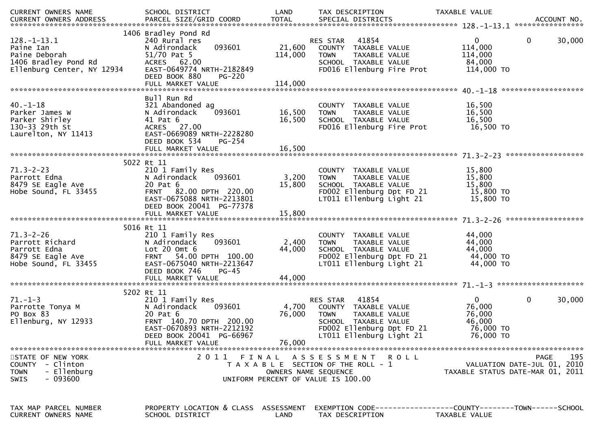| CURRENT OWNERS NAME                                 | SCHOOL DISTRICT                              | LAND                 | TAX DESCRIPTION                                                                  | TAXABLE VALUE                    |                             |
|-----------------------------------------------------|----------------------------------------------|----------------------|----------------------------------------------------------------------------------|----------------------------------|-----------------------------|
|                                                     |                                              |                      |                                                                                  |                                  |                             |
|                                                     |                                              |                      |                                                                                  |                                  |                             |
|                                                     | 1406 Bradley Pond Rd                         |                      |                                                                                  |                                  |                             |
| $128. - 1 - 13.1$                                   | 240 Rural res                                |                      | 41854<br>RES STAR                                                                | $\mathbf{0}$                     | $\mathbf{0}$<br>30,000      |
| Paine Ian                                           | N Adirondack<br>093601                       | 21,600               | COUNTY TAXABLE VALUE                                                             | 114,000                          |                             |
| Paine Deborah                                       | 51/70 Pat 5                                  | 114,000              | <b>TOWN</b><br>TAXABLE VALUE                                                     | 114,000                          |                             |
| 1406 Bradley Pond Rd                                | ACRES 62.00                                  |                      | SCHOOL TAXABLE VALUE                                                             | 84,000                           |                             |
| Ellenburg Center, NY 12934                          | EAST-0649774 NRTH-2182849                    |                      | FD016 Ellenburg Fire Prot                                                        | 114,000 TO                       |                             |
|                                                     | DEED BOOK 880<br><b>PG-220</b>               |                      |                                                                                  |                                  |                             |
|                                                     |                                              |                      |                                                                                  |                                  |                             |
|                                                     |                                              |                      |                                                                                  |                                  |                             |
|                                                     | Bull Run Rd                                  |                      |                                                                                  |                                  |                             |
| $40. - 1 - 18$                                      | 321 Abandoned ag                             |                      | COUNTY TAXABLE VALUE                                                             | 16,500                           |                             |
| Parker James W                                      | 093601<br>N Adirondack                       | 16,500               | TAXABLE VALUE<br><b>TOWN</b>                                                     | 16,500                           |                             |
| Parker Shirley                                      | 41 Pat 6                                     | 16,500               | SCHOOL TAXABLE VALUE                                                             | 16,500                           |                             |
| 130-33 29th St                                      | ACRES 27.00                                  |                      | FD016 Ellenburg Fire Prot                                                        | 16,500 TO                        |                             |
| Laurelton, NY 11413                                 | EAST-0669089 NRTH-2228280                    |                      |                                                                                  |                                  |                             |
|                                                     | DEED BOOK 534<br>PG-254                      |                      |                                                                                  |                                  |                             |
|                                                     | FULL MARKET VALUE                            | 16,500               |                                                                                  |                                  |                             |
|                                                     |                                              |                      |                                                                                  |                                  |                             |
|                                                     | 5022 Rt 11                                   |                      |                                                                                  |                                  |                             |
| $71.3 - 2 - 23$                                     | 210 1 Family Res                             |                      | COUNTY TAXABLE VALUE                                                             | 15,800                           |                             |
| Parrott Edna                                        | 093601<br>N Adirondack                       | 3,200                | TAXABLE VALUE<br><b>TOWN</b>                                                     | 15,800                           |                             |
| 8479 SE Eagle Ave                                   | 20 Pat 6                                     | 15,800               | SCHOOL TAXABLE VALUE                                                             | 15,800                           |                             |
| Hobe Sound, FL 33455                                | FRNT 82.00 DPTH 220.00                       |                      | FD002 Ellenburg Dpt FD 21                                                        | 15,800 TO                        |                             |
|                                                     | EAST-0675088 NRTH-2213801                    |                      | LT011 Ellenburg Light 21                                                         | 15,800 TO                        |                             |
|                                                     | DEED BOOK 20041 PG-77378                     |                      |                                                                                  |                                  |                             |
|                                                     |                                              |                      |                                                                                  |                                  |                             |
|                                                     |                                              |                      |                                                                                  |                                  |                             |
|                                                     | 5016 Rt 11                                   |                      |                                                                                  |                                  |                             |
| $71.3 - 2 - 26$                                     | 210 1 Family Res                             |                      | COUNTY TAXABLE VALUE                                                             | 44,000                           |                             |
| Parrott Richard                                     | 093601<br>N Adirondack                       | 2,400                | <b>TOWN</b><br>TAXABLE VALUE                                                     | 44,000                           |                             |
| Parrott Edna                                        | Lot $20$ Omt $6$                             | 44,000               | SCHOOL TAXABLE VALUE                                                             | 44,000                           |                             |
| 8479 SE Eagle Ave                                   | 54.00 DPTH 100.00<br><b>FRNT</b>             |                      | FD002 Ellenburg Dpt FD 21                                                        | 44,000 TO                        |                             |
| Hobe Sound, FL 33455                                | EAST-0675040 NRTH-2213647                    |                      | LT011 Ellenburg Light 21                                                         | 44,000 TO                        |                             |
|                                                     | DEED BOOK 746<br>$PG-45$                     |                      |                                                                                  |                                  |                             |
|                                                     | FULL MARKET VALUE                            | 44,000               |                                                                                  |                                  |                             |
|                                                     |                                              |                      |                                                                                  |                                  |                             |
|                                                     | 5202 Rt 11                                   |                      |                                                                                  |                                  |                             |
| $71. - 1 - 3$                                       | 210 1 Family Res                             |                      | 41854<br>RES STAR                                                                | $\mathbf{0}$                     | 0<br>30,000                 |
| Parrotte Tonya M                                    | N Adirondack<br>093601                       | 4,700                | COUNTY TAXABLE VALUE                                                             | 76,000                           |                             |
| PO Box 83                                           | 20 Pat 6                                     | 76,000               | TAXABLE VALUE<br><b>TOWN</b>                                                     | 76,000                           |                             |
| Ellenburg, NY 12933                                 | FRNT 140.70 DPTH 200.00                      |                      | SCHOOL TAXABLE VALUE                                                             | 46,000                           |                             |
|                                                     | EAST-0670893 NRTH-2212192                    |                      | FD002 Ellenburg Dpt FD 21                                                        | 76,000 TO                        |                             |
|                                                     | DEED BOOK 20041 PG-66967                     |                      | LT011 Ellenburg Light 21                                                         | 76,000 TO                        |                             |
|                                                     | FULL MARKET VALUE                            | 76,000               |                                                                                  |                                  |                             |
|                                                     |                                              |                      |                                                                                  |                                  |                             |
| STATE OF NEW YORK                                   | 2011                                         | FINAL                | ASSESSMENT ROLL                                                                  |                                  | 195<br>PAGE                 |
| COUNTY - Clinton                                    |                                              |                      | T A X A B L E SECTION OF THE ROLL - 1                                            |                                  | VALUATION DATE-JUL 01, 2010 |
| - Ellenburg<br><b>TOWN</b>                          |                                              | OWNERS NAME SEQUENCE |                                                                                  | TAXABLE STATUS DATE-MAR 01, 2011 |                             |
| - 093600<br><b>SWIS</b>                             |                                              |                      | UNIFORM PERCENT OF VALUE IS 100.00                                               |                                  |                             |
|                                                     |                                              |                      |                                                                                  |                                  |                             |
|                                                     |                                              |                      |                                                                                  |                                  |                             |
|                                                     |                                              |                      |                                                                                  |                                  |                             |
|                                                     |                                              |                      |                                                                                  |                                  |                             |
|                                                     |                                              |                      |                                                                                  |                                  |                             |
| TAX MAP PARCEL NUMBER<br><b>CURRENT OWNERS NAME</b> | PROPERTY LOCATION & CLASS<br>SCHOOL DISTRICT | ASSESSMENT<br>LAND   | EXEMPTION CODE-----------------COUNTY--------TOWN------SCHOOL<br>TAX DESCRIPTION | TAXABLE VALUE                    |                             |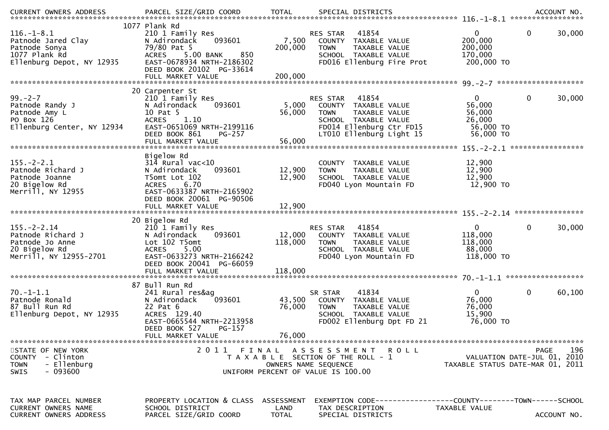| .CURRENT OWNERS ADDRESS PARCEL SIZE/GRID COORD TOTAL SPECIAL DISTRICTS ACCOUNT NO ACCOUNT NO ACCOUNT NO AND ARTY |                                                                                                                                                                         |                                    |                                                                                                                                      |                                                             |                                            |
|------------------------------------------------------------------------------------------------------------------|-------------------------------------------------------------------------------------------------------------------------------------------------------------------------|------------------------------------|--------------------------------------------------------------------------------------------------------------------------------------|-------------------------------------------------------------|--------------------------------------------|
| $116. - 1 - 8.1$<br>Patnode Jared Clay<br>Patnode Sonya<br>1077 Plank Rd<br>Ellenburg Depot, NY 12935            | 1077 Plank Rd<br>210 1 Family Res<br>093601<br>N Adirondack<br>79/80 Pat 5<br>5.00 BANK<br>850<br><b>ACRES</b><br>EAST-0678934 NRTH-2186302<br>DEED BOOK 20102 PG-33614 | 7,500<br>200,000                   | 41854<br>RES STAR<br>COUNTY TAXABLE VALUE<br>TAXABLE VALUE<br><b>TOWN</b><br>SCHOOL TAXABLE VALUE<br>FD016 Ellenburg Fire Prot       | $\mathbf{0}$<br>200,000<br>200,000<br>170,000<br>200,000 TO | $\mathbf{0}$<br>30,000                     |
| $99 - 2 - 7$                                                                                                     | 20 Carpenter St<br>210 1 Family Res                                                                                                                                     |                                    | 41854<br>RES STAR                                                                                                                    | $\mathbf{0}$                                                | $\mathbf 0$<br>30,000                      |
| Patnode Randy J<br>Patnode Amy L<br>PO Box 126<br>Ellenburg Center, NY 12934                                     | 093601<br>N Adirondack<br>10 Pat 5<br>1.10<br><b>ACRES</b><br>EAST-0651069 NRTH-2199116<br>DEED BOOK 861<br>PG-257                                                      | 5,000<br>56,000                    | COUNTY TAXABLE VALUE<br>TAXABLE VALUE<br><b>TOWN</b><br>SCHOOL TAXABLE VALUE<br>FD014 Ellenburg Ctr FD15<br>LT010 Ellenburg Light 15 | 56,000<br>56,000<br>26,000<br>56,000 TO<br>56,000 TO        |                                            |
|                                                                                                                  | FULL MARKET VALUE                                                                                                                                                       | 56,000                             |                                                                                                                                      |                                                             |                                            |
| $155. - 2 - 2.1$<br>Patnode Richard J<br>Patnode Joanne<br>20 Bigelow Rd<br>Merrill, NY 12955                    | Bigelow Rd<br>$314$ Rural vac<10<br>093601<br>N Adirondack<br>T5omt Lot 102<br>6.70<br><b>ACRES</b><br>EAST-0633387 NRTH-2165902<br>DEED BOOK 20061 PG-90506            | 12,900<br>12,900                   | COUNTY TAXABLE VALUE<br>TAXABLE VALUE<br><b>TOWN</b><br>SCHOOL TAXABLE VALUE<br>FD040 Lyon Mountain FD                               | 12,900<br>12,900<br>12,900<br>12,900 TO                     |                                            |
|                                                                                                                  |                                                                                                                                                                         |                                    |                                                                                                                                      |                                                             |                                            |
| $155. - 2 - 2.14$<br>Patnode Richard J<br>Patnode Jo Anne<br>20 Bigelow Rd<br>Merrill, NY 12955-2701             | 20 Bigelow Rd<br>210 1 Family Res<br>N Adirondack<br>093601<br>Lot 102 T5omt<br>5.00<br><b>ACRES</b><br>EAST-0633273 NRTH-2166242<br>DEED BOOK 20041 PG-66059           | 12,000<br>118,000                  | RES STAR 41854<br>COUNTY TAXABLE VALUE<br><b>TOWN</b><br>TAXABLE VALUE<br>SCHOOL TAXABLE VALUE<br>FD040 Lyon Mountain FD             | $\mathbf 0$<br>118,000<br>118,000<br>88,000<br>118,000 TO   | $\mathbf 0$<br>30,000                      |
|                                                                                                                  | 87 Bull Run Rd                                                                                                                                                          |                                    |                                                                                                                                      |                                                             |                                            |
| $70. - 1 - 1.1$<br>Patnode Ronald<br>87 Bull Run Rd<br>Ellenburg Depot, NY 12935                                 | 241 Rural res&ag<br>093601<br>N Adirondack<br>22 Pat 6<br>ACRES 129.40<br>EAST-0665544 NRTH-2213958                                                                     | 43,500<br>76,000                   | 41834<br>SR STAR<br>COUNTY TAXABLE VALUE<br><b>TOWN</b><br>TAXABLE VALUE<br>SCHOOL TAXABLE VALUE<br>FD002 Ellenburg Dpt FD 21        | $\mathbf{0}$<br>76,000<br>76,000<br>15,900<br>76,000 TO     | $\mathbf 0$<br>60,100                      |
|                                                                                                                  | DEED BOOK 527<br>PG-157<br>FULL MARKET VALUE                                                                                                                            | 76,000                             |                                                                                                                                      |                                                             |                                            |
| STATE OF NEW YORK<br>COUNTY - Clinton<br>- Ellenburg<br><b>TOWN</b><br>- 093600<br><b>SWIS</b>                   | 2011<br>FINAL                                                                                                                                                           |                                    | ASSESSMENT ROLL<br>T A X A B L E SECTION OF THE ROLL - 1<br>OWNERS NAME SEOUENCE<br>UNIFORM PERCENT OF VALUE IS 100.00               | TAXABLE STATUS DATE-MAR 01, 2011                            | 196<br>PAGE<br>VALUATION DATE-JUL 01, 2010 |
| TAX MAP PARCEL NUMBER<br><b>CURRENT OWNERS NAME</b><br><b>CURRENT OWNERS ADDRESS</b>                             | PROPERTY LOCATION & CLASS<br>SCHOOL DISTRICT<br>PARCEL SIZE/GRID COORD                                                                                                  | ASSESSMENT<br>LAND<br><b>TOTAL</b> | EXEMPTION CODE-----------------COUNTY-------TOWN------SCHOOL<br>TAX DESCRIPTION<br>SPECIAL DISTRICTS                                 | TAXABLE VALUE                                               | ACCOUNT NO.                                |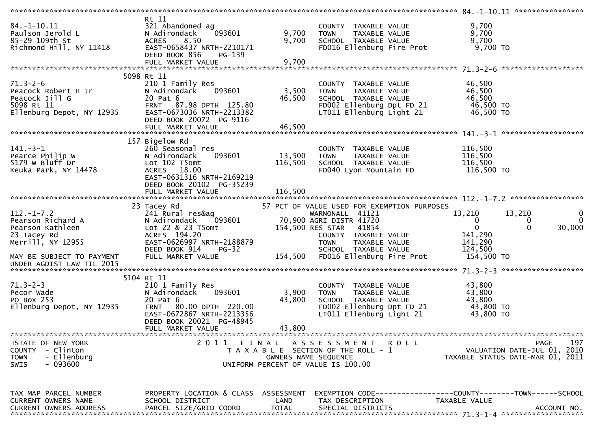|                               | Rt 11                                                |                      |                                             |                                  |                    |
|-------------------------------|------------------------------------------------------|----------------------|---------------------------------------------|----------------------------------|--------------------|
| $84. - 1 - 10.11$             | 321 Abandoned ag                                     |                      | COUNTY TAXABLE VALUE                        | 9,700                            |                    |
|                               |                                                      |                      |                                             |                                  |                    |
| Paulson Jerold L              | 093601<br>N Adirondack                               | 9,700                | TAXABLE VALUE<br><b>TOWN</b>                | 9,700                            |                    |
| 85-29 109th St                | 8.50<br><b>ACRES</b>                                 | 9,700                | SCHOOL TAXABLE VALUE                        | 9,700                            |                    |
| Richmond Hill, NY 11418       | EAST-0658437 NRTH-2210171<br>DEED BOOK 856<br>PG-139 |                      | FD016 Ellenburg Fire Prot                   | 9,700 TO                         |                    |
|                               | FULL MARKET VALUE                                    | 9,700                |                                             |                                  |                    |
|                               |                                                      |                      |                                             |                                  |                    |
|                               | 5098 Rt 11                                           |                      |                                             |                                  |                    |
| $71.3 - 2 - 6$                | 210 1 Family Res                                     |                      | COUNTY TAXABLE VALUE                        | 46,500                           |                    |
| Peacock Robert H Jr           | N Adirondack<br>093601                               | 3,500                | TAXABLE VALUE<br><b>TOWN</b>                | 46,500                           |                    |
| Peacock Jill G                | 20 Pat 6                                             | 46,500               | SCHOOL TAXABLE VALUE                        | 46,500                           |                    |
|                               | FRNT 87.98 DPTH 125.80                               |                      |                                             |                                  |                    |
| 5098 Rt 11                    |                                                      |                      | FD002 Ellenburg Dpt FD 21                   | 46,500 TO                        |                    |
| Ellenburg Depot, NY 12935     | EAST-0673036 NRTH-2213382                            |                      | LT011 Ellenburg Light 21                    | 46,500 TO                        |                    |
|                               | DEED BOOK 20072 PG-9116                              |                      |                                             |                                  |                    |
|                               |                                                      |                      |                                             |                                  |                    |
|                               |                                                      |                      |                                             |                                  |                    |
|                               | 157 Bigelow Rd                                       |                      |                                             |                                  |                    |
| $141 - 3 - 1$                 | 260 Seasonal res                                     |                      | COUNTY TAXABLE VALUE                        | 116,500                          |                    |
| Pearce Philip W               | 093601<br>N Adirondack                               | 13,500               |                                             |                                  |                    |
|                               |                                                      |                      | TAXABLE VALUE<br><b>TOWN</b>                | 116,500                          |                    |
| 5179 W Bluff Dr               | Lot 102 T5omt                                        | 116,500              | SCHOOL TAXABLE VALUE                        | 116,500                          |                    |
| Keuka Park, NY 14478          | <b>ACRES</b><br>18.00                                |                      | FD040 Lyon Mountain FD                      | 116,500 TO                       |                    |
|                               | EAST-0631316 NRTH-2169219                            |                      |                                             |                                  |                    |
|                               | DEED BOOK 20102 PG-35239                             |                      |                                             |                                  |                    |
|                               | FULL MARKET VALUE                                    | 116,500              |                                             |                                  |                    |
|                               |                                                      |                      |                                             |                                  |                    |
|                               | 23 Tacey Rd                                          |                      | 57 PCT OF VALUE USED FOR EXEMPTION PURPOSES |                                  |                    |
| $112. - 1 - 7.2$              |                                                      |                      |                                             |                                  | 0                  |
|                               |                                                      |                      |                                             |                                  |                    |
|                               | 241 Rural res&ag                                     |                      | WARNONALL 41121                             | 13,210<br>13,210                 |                    |
| Pearson Richard A             | N Adirondack<br>093601                               |                      | 70,900 AGRI DISTR 41720                     | $\mathbf{0}$                     | $\mathbf 0$<br>0   |
| Pearson Kathleen              | Lot 22 & 23 T5omt                                    | 154,500 RES STAR     | 41854                                       | $\overline{0}$                   | $\Omega$           |
|                               |                                                      |                      |                                             |                                  | 30,000             |
| 23 Tacey Rd                   | ACRES 194.20                                         |                      | COUNTY TAXABLE VALUE                        | 141,290                          |                    |
| Merrill, NY 12955             | EAST-0626997 NRTH-2188879                            |                      | <b>TOWN</b><br>TAXABLE VALUE                | 141,290                          |                    |
|                               | DEED BOOK 914<br>PG-32                               |                      | SCHOOL TAXABLE VALUE                        | 124,500                          |                    |
| MAY BE SUBJECT TO PAYMENT     | FULL MARKET VALUE                                    |                      | 154,500 FD016 Ellenburg Fire Prot           | 154,500 TO                       |                    |
| UNDER AGDIST LAW TIL 2015     |                                                      |                      |                                             |                                  |                    |
|                               |                                                      |                      |                                             |                                  |                    |
|                               | 5104 Rt 11                                           |                      |                                             |                                  |                    |
| $71.3 - 2 - 3$                | 210 1 Family Res                                     |                      | COUNTY TAXABLE VALUE                        | 43,800                           |                    |
| Pecor Wade                    | N Adirondack<br>093601                               | 3,900                | TAXABLE VALUE<br>TOWN                       | 43,800                           |                    |
|                               |                                                      |                      |                                             |                                  |                    |
| PO Box 253                    | 20 Pat 6                                             | 43,800               | SCHOOL TAXABLE VALUE                        | 43,800                           |                    |
| Ellenburg Depot, NY 12935     | <b>FRNT</b><br>80.00 DPTH 220.00                     |                      | FD002 Ellenburg Dpt FD 21                   | 43,800 TO                        |                    |
|                               | EAST-0672867 NRTH-2213356                            |                      | LT011 Ellenburg Light 21                    | 43,800 TO                        |                    |
|                               | DEED BOOK 20021 PG-48945                             |                      |                                             |                                  |                    |
|                               | FULL MARKET VALUE                                    | 43,800               |                                             |                                  |                    |
|                               |                                                      |                      |                                             |                                  |                    |
| STATE OF NEW YORK             | 2011                                                 | FINAL                | A S S E S S M E N T<br>R O L L              |                                  | 197<br><b>PAGE</b> |
| COUNTY - Clinton              |                                                      |                      | T A X A B L E SECTION OF THE ROLL - 1       | VALUATION DATE-JUL 01, 2010      |                    |
| - Ellenburg<br><b>TOWN</b>    |                                                      | OWNERS NAME SEQUENCE |                                             | TAXABLE STATUS DATE-MAR 01, 2011 |                    |
|                               |                                                      |                      |                                             |                                  |                    |
| $-093600$<br><b>SWIS</b>      |                                                      |                      | UNIFORM PERCENT OF VALUE IS 100.00          |                                  |                    |
|                               |                                                      |                      |                                             |                                  |                    |
|                               |                                                      |                      |                                             |                                  |                    |
|                               |                                                      |                      |                                             |                                  |                    |
| TAX MAP PARCEL NUMBER         | PROPERTY LOCATION & CLASS ASSESSMENT                 |                      |                                             |                                  |                    |
| CURRENT OWNERS NAME           | SCHOOL DISTRICT                                      | LAND                 | TAX DESCRIPTION                             | TAXABLE VALUE                    |                    |
| <b>CURRENT OWNERS ADDRESS</b> | PARCEL SIZE/GRID COORD                               | <b>TOTAL</b>         | SPECIAL DISTRICTS                           |                                  | ACCOUNT NO.        |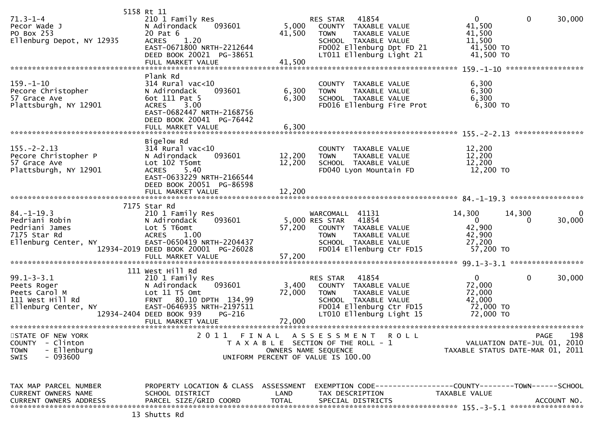| $71.3 - 1 - 4$<br>Pecor Wade J<br>PO Box 253<br>Ellenburg Depot, NY 12935                    | 5158 Rt 11<br>210 1 Family Res<br>N Adirondack<br>093601<br>20 Pat 6<br>1.20<br><b>ACRES</b>                                                             | 5,000<br>41,500      | 41854<br><b>RES STAR</b><br>COUNTY TAXABLE VALUE<br>TAXABLE VALUE<br><b>TOWN</b><br>SCHOOL TAXABLE VALUE                                                         | $\overline{0}$<br>41,500<br>41,500<br>11,500                         | $\overline{0}$<br>30,000                                        |
|----------------------------------------------------------------------------------------------|----------------------------------------------------------------------------------------------------------------------------------------------------------|----------------------|------------------------------------------------------------------------------------------------------------------------------------------------------------------|----------------------------------------------------------------------|-----------------------------------------------------------------|
|                                                                                              | EAST-0671800 NRTH-2212644<br>DEED BOOK 20021 PG-38651<br>FULL MARKET VALUE                                                                               | 41,500               | FD002 Ellenburg Dpt FD 21<br>LT011 Ellenburg Light 21                                                                                                            | 41,500 TO<br>41,500 TO                                               |                                                                 |
|                                                                                              | Plank Rd                                                                                                                                                 |                      |                                                                                                                                                                  |                                                                      |                                                                 |
| $159. - 1 - 10$<br>Pecore Christopher<br>57 Grace Ave<br>Plattsburgh, NY 12901               | $314$ Rural vac<10<br>N Adirondack<br>093601<br>6ot 111 Pat 5<br><b>ACRES</b><br>3.00<br>EAST-0682447 NRTH-2168756<br>DEED BOOK 20041 PG-76442           | 6,300<br>6,300       | COUNTY<br>TAXABLE VALUE<br>TAXABLE VALUE<br><b>TOWN</b><br>SCHOOL TAXABLE VALUE<br>FD016 Ellenburg Fire Prot                                                     | 6,300<br>6,300<br>6,300<br>6,300 то                                  |                                                                 |
|                                                                                              |                                                                                                                                                          |                      |                                                                                                                                                                  |                                                                      |                                                                 |
| $155. - 2 - 2.13$<br>Pecore Christopher P<br>57 Grace Ave<br>Plattsburgh, NY 12901           | Bigelow Rd<br>$314$ Rural vac<10<br>093601<br>N Adirondack<br>Lot 102 T5omt<br><b>ACRES</b><br>5.40<br>EAST-0633229 NRTH-2166544                         | 12,200<br>12,200     | COUNTY TAXABLE VALUE<br>TAXABLE VALUE<br><b>TOWN</b><br>SCHOOL TAXABLE VALUE<br>FD040 Lyon Mountain FD                                                           | 12,200<br>12,200<br>12,200<br>12,200 TO                              |                                                                 |
|                                                                                              | DEED BOOK 20051 PG-86598<br>FULL MARKET VALUE                                                                                                            | 12,200               |                                                                                                                                                                  |                                                                      |                                                                 |
|                                                                                              | 7175 Star Rd                                                                                                                                             |                      |                                                                                                                                                                  |                                                                      |                                                                 |
| $84. - 1 - 19.3$<br>Pedriani Robin<br>Pedriani James<br>7175 Star Rd<br>Ellenburg Center, NY | 210 1 Family Res<br>N Adirondack<br>093601<br>Lot 5 T6omt<br><b>ACRES</b><br>1.00<br>EAST-0650419 NRTH-2204437                                           | 57,200               | 41131<br>WARCOMALL<br>41854<br>5,000 RES STAR<br>COUNTY TAXABLE VALUE<br><b>TOWN</b><br>TAXABLE VALUE<br>SCHOOL TAXABLE VALUE                                    | 14,300<br>$\overline{0}$<br>42,900<br>42,900<br>27,200               | 14,300<br>30,000                                                |
|                                                                                              | 12934-2019 DEED BOOK 20001 PG-26028                                                                                                                      |                      | FD014 Ellenburg Ctr FD15                                                                                                                                         | 57,200 TO                                                            |                                                                 |
|                                                                                              | 111 West Hill Rd                                                                                                                                         |                      |                                                                                                                                                                  |                                                                      |                                                                 |
| $99.1 - 3 - 3.1$<br>Peets Roger<br>Peets Carol M<br>111 West Hill Rd<br>Ellenburg Center, NY | 210 1 Family Res<br>N Adirondack<br>093601<br>Lot 11 T5 Omt<br>FRNT 80.10 DPTH 134.99<br>EAST-0646935 NRTH-2197511<br>12934-2404 DEED BOOK 939<br>PG-216 | 3,400<br>72,000      | 41854<br><b>RES STAR</b><br>COUNTY TAXABLE VALUE<br>TAXABLE VALUE<br><b>TOWN</b><br>SCHOOL TAXABLE VALUE<br>FD014 Ellenburg Ctr FD15<br>LT010 Ellenburg Light 15 | $\mathbf{0}$<br>72,000<br>72,000<br>42,000<br>72,000 TO<br>72,000 TO | 0<br>30,000                                                     |
|                                                                                              | FULL MARKET VALUE                                                                                                                                        | 72,000               |                                                                                                                                                                  |                                                                      |                                                                 |
| STATE OF NEW YORK                                                                            |                                                                                                                                                          |                      | 2011 FINAL ASSESSMENT ROLL                                                                                                                                       |                                                                      | PAGE<br>198                                                     |
| COUNTY - Clinton<br><b>TOWN</b><br>- Ellenburg<br>- 093600<br><b>SWIS</b>                    |                                                                                                                                                          |                      | T A X A B L E SECTION OF THE ROLL - 1<br>OWNERS NAME SEQUENCE<br>UNIFORM PERCENT OF VALUE IS 100.00                                                              |                                                                      | VALUATION DATE-JUL 01, 2010<br>TAXABLE STATUS DATE-MAR 01, 2011 |
|                                                                                              |                                                                                                                                                          |                      |                                                                                                                                                                  |                                                                      |                                                                 |
| TAX MAP PARCEL NUMBER<br>CURRENT OWNERS NAME<br><b>CURRENT OWNERS ADDRESS</b>                | PROPERTY LOCATION & CLASS ASSESSMENT<br>SCHOOL DISTRICT<br>PARCEL SIZE/GRID COORD                                                                        | LAND<br><b>TOTAL</b> | EXEMPTION        CODE-----------------COUNTY-------TOWN------SCHOOL<br>TAX DESCRIPTION<br>SPECIAL DISTRICTS                                                      | TAXABLE VALUE                                                        | ACCOUNT NO.                                                     |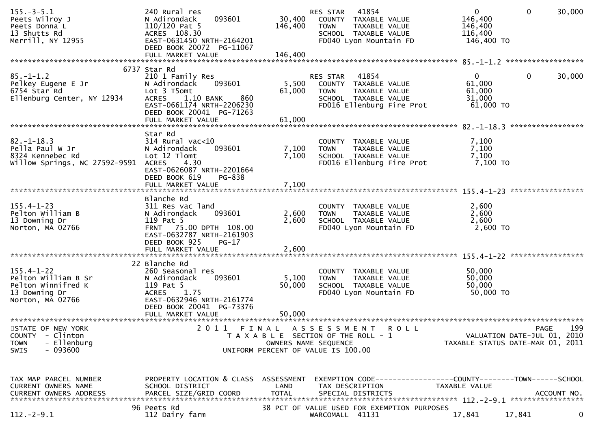| $155. - 3 - 5.1$<br>Peets Wilroy J<br>Peets Donna L<br>13 Shutts Rd<br>Merrill, NY 12955                 | 240 Rural res<br>093601<br>N Adirondack<br>$110/120$ Pat 5<br>ACRES 108.30<br>EAST-0631450 NRTH-2164201<br>DEED BOOK 20072 PG-11067<br>FULL MARKET VALUE                      | 30,400<br>146,400<br>146,400       | 41854<br>RES STAR<br>COUNTY TAXABLE VALUE<br><b>TOWN</b><br>TAXABLE VALUE<br>SCHOOL TAXABLE VALUE<br>FD040 Lyon Mountain FD               | $\overline{0}$<br>146,400<br>146,400<br>116,400<br>146,400 TO | $\mathbf{0}$<br>30,000                                                                |
|----------------------------------------------------------------------------------------------------------|-------------------------------------------------------------------------------------------------------------------------------------------------------------------------------|------------------------------------|-------------------------------------------------------------------------------------------------------------------------------------------|---------------------------------------------------------------|---------------------------------------------------------------------------------------|
|                                                                                                          | 6737 Star Rd                                                                                                                                                                  |                                    |                                                                                                                                           |                                                               |                                                                                       |
| $85. - 1 - 1.2$<br>Pelkey Eugene E Jr<br>6754 Star Rd<br>Ellenburg Center, NY 12934                      | 210 1 Family Res<br>N Adirondack<br>093601<br>Lot 3 T5omt<br>1.10 BANK<br>860<br><b>ACRES</b><br>EAST-0661174 NRTH-2206230<br>DEED BOOK 20041 PG-71263<br>FULL MARKET VALUE   | 5,500<br>61,000<br>61,000          | 41854<br>RES STAR<br>COUNTY TAXABLE VALUE<br><b>TOWN</b><br>TAXABLE VALUE<br>SCHOOL TAXABLE VALUE<br>FD016 Ellenburg Fire Prot            | $\overline{0}$<br>61,000<br>61,000<br>31,000<br>61,000 TO     | $\mathbf 0$<br>30,000                                                                 |
|                                                                                                          |                                                                                                                                                                               |                                    |                                                                                                                                           |                                                               |                                                                                       |
| $82. - 1 - 18.3$<br>Pella Paul W Jr<br>8324 Kennebec Rd<br>Willow Springs, NC 27592-9591                 | Star Rd<br>$314$ Rural vac< $10$<br>093601<br>N Adirondack<br>Lot 12 Tlomt<br>4.30<br><b>ACRES</b><br>EAST-0626087 NRTH-2201664<br>DEED BOOK 619<br>PG-838                    | 7,100<br>7,100                     | COUNTY TAXABLE VALUE<br>TAXABLE VALUE<br><b>TOWN</b><br>SCHOOL TAXABLE VALUE<br>FD016 Ellenburg Fire Prot                                 | 7,100<br>7,100<br>7,100<br>7,100 TO                           |                                                                                       |
|                                                                                                          | FULL MARKET VALUE                                                                                                                                                             | 7,100                              |                                                                                                                                           |                                                               |                                                                                       |
| $155.4 - 1 - 23$<br>Pelton William B<br>13 Downing Dr<br>Norton, MA 02766                                | Blanche Rd<br>311 Res vac land<br>093601<br>N Adirondack<br>119 Pat 5<br>FRNT 75.00 DPTH 108.00<br>EAST-0632787 NRTH-2161903<br>DEED BOOK 925<br>$PG-17$<br>FULL MARKET VALUE | 2,600<br>2,600<br>2,600            | COUNTY TAXABLE VALUE<br>TAXABLE VALUE<br><b>TOWN</b><br>SCHOOL TAXABLE VALUE<br>FD040 Lyon Mountain FD                                    | 2,600<br>2,600<br>2,600<br>2,600 TO                           |                                                                                       |
|                                                                                                          |                                                                                                                                                                               |                                    |                                                                                                                                           |                                                               |                                                                                       |
| $155.4 - 1 - 22$<br>Pelton William B Sr<br>Pelton Winnifred K<br>13 Downing Dr<br>Norton, MA 02766       | 22 Blanche Rd<br>260 Seasonal res<br>093601<br>N Adirondack<br>119 Pat 5<br>1.75<br>ACRES<br>EAST-0632946 NRTH-2161774<br>DEED BOOK 20041 PG-73376                            | 5,100<br>50,000                    | COUNTY TAXABLE VALUE<br>TAXABLE VALUE<br><b>TOWN</b><br>SCHOOL TAXABLE VALUE<br>FD040 Lyon Mountain FD                                    | 50,000<br>50,000<br>50,000<br>50,000 TO                       |                                                                                       |
|                                                                                                          | FULL MARKET VALUE                                                                                                                                                             | 50.000                             |                                                                                                                                           |                                                               |                                                                                       |
| STATE OF NEW YORK<br><b>COUNTY</b><br>- Clinton<br>- Ellenburg<br><b>TOWN</b><br>- 093600<br><b>SWIS</b> | 2011 FINAL                                                                                                                                                                    |                                    | A S S E S S M E N T<br><b>ROLL</b><br>T A X A B L E SECTION OF THE ROLL - 1<br>OWNERS NAME SEQUENCE<br>UNIFORM PERCENT OF VALUE IS 100.00 |                                                               | 199<br><b>PAGE</b><br>VALUATION DATE-JUL 01, 2010<br>TAXABLE STATUS DATE-MAR 01, 2011 |
| TAX MAP PARCEL NUMBER<br>CURRENT OWNERS NAME<br><b>CURRENT OWNERS ADDRESS</b>                            | PROPERTY LOCATION & CLASS<br>SCHOOL DISTRICT<br>PARCEL SIZE/GRID COORD                                                                                                        | ASSESSMENT<br>LAND<br><b>TOTAL</b> | EXEMPTION        CODE-----------------COUNTY-------TOWN------SCHOOL<br>TAX DESCRIPTION<br>SPECIAL DISTRICTS                               | TAXABLE VALUE                                                 | ACCOUNT NO.                                                                           |
| $112. - 2 - 9.1$                                                                                         | 96 Peets Rd<br>112 Dairy farm                                                                                                                                                 |                                    | 38 PCT OF VALUE USED FOR EXEMPTION PURPOSES<br>WARCOMALL 41131                                                                            | 17,841                                                        | $\mathbf 0$<br>17,841                                                                 |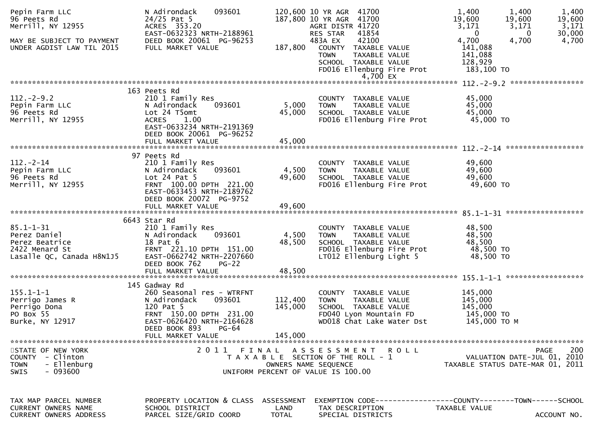| Pepin Farm LLC<br>96 Peets Rd<br>Merrill, NY 12955<br>MAY BE SUBJECT TO PAYMENT<br>UNDER AGDIST LAW TIL 2015 | N Adirondack<br>093601<br>$24/25$ Pat 5<br>ACRES 353.20<br>EAST-0632323 NRTH-2188961<br>DEED BOOK 20061 PG-96253<br>FULL MARKET VALUE                                      | 187,800                            | 120,600 10 YR AGR 41700<br>187,800 10 YR AGR 41700<br>AGRI DISTR 41720<br>RES STAR<br>41854<br>483A EX<br>42100<br>COUNTY TAXABLE VALUE<br><b>TOWN</b><br>TAXABLE VALUE<br>SCHOOL TAXABLE VALUE<br>FD016 Ellenburg Fire Prot<br>4,700 EX | 1,400<br>1,400<br>19,600<br>19,600<br>3,171<br>3,171<br>$\mathbf 0$<br>4,700<br>4,700<br>141,088<br>141,088<br>128,929<br>183,100 TO | 1,400<br>19,600<br>3,171<br>30,000<br>$\bf{0}$<br>4,700 |
|--------------------------------------------------------------------------------------------------------------|----------------------------------------------------------------------------------------------------------------------------------------------------------------------------|------------------------------------|------------------------------------------------------------------------------------------------------------------------------------------------------------------------------------------------------------------------------------------|--------------------------------------------------------------------------------------------------------------------------------------|---------------------------------------------------------|
|                                                                                                              |                                                                                                                                                                            |                                    |                                                                                                                                                                                                                                          |                                                                                                                                      |                                                         |
| $112. - 2 - 9.2$<br>Pepin Farm LLC<br>96 Peets Rd<br>Merrill, NY 12955                                       | 163 Peets Rd<br>210 1 Family Res<br>093601<br>N Adirondack<br>Lot 24 T5omt<br>1.00<br><b>ACRES</b><br>EAST-0633234 NRTH-2191369<br>DEED BOOK 20061 PG-96252                | 5,000<br>45,000                    | COUNTY TAXABLE VALUE<br><b>TOWN</b><br>TAXABLE VALUE<br>SCHOOL TAXABLE VALUE<br>FD016 Ellenburg Fire Prot                                                                                                                                | 45,000<br>45,000<br>45,000<br>45,000 TO                                                                                              |                                                         |
|                                                                                                              | FULL MARKET VALUE                                                                                                                                                          | 45,000                             |                                                                                                                                                                                                                                          |                                                                                                                                      |                                                         |
|                                                                                                              |                                                                                                                                                                            |                                    |                                                                                                                                                                                                                                          |                                                                                                                                      |                                                         |
| $112. - 2 - 14$<br>Pepin Farm LLC<br>96 Peets Rd<br>Merrill, NY 12955                                        | 97 Peets Rd<br>210 1 Family Res<br>093601<br>N Adirondack<br>Lot $24$ Pat $5$<br>FRNT 100.00 DPTH 221.00<br>EAST-0633453 NRTH-2189762<br>DEED BOOK 20072 PG-9752           | 4,500<br>49,600<br>49,600          | COUNTY TAXABLE VALUE<br><b>TOWN</b><br>TAXABLE VALUE<br>SCHOOL TAXABLE VALUE<br>FD016 Ellenburg Fire Prot                                                                                                                                | 49,600<br>49,600<br>49,600<br>49,600 TO                                                                                              |                                                         |
|                                                                                                              | FULL MARKET VALUE                                                                                                                                                          |                                    |                                                                                                                                                                                                                                          |                                                                                                                                      |                                                         |
|                                                                                                              | 6643 Star Rd                                                                                                                                                               |                                    |                                                                                                                                                                                                                                          |                                                                                                                                      |                                                         |
| $85.1 - 1 - 31$<br>Perez Daniel<br>Perez Beatrice<br>2422 Menard St<br>Lasalle QC, Canada H8N1J5             | 210 1 Family Res<br>093601<br>N Adirondack<br>18 Pat 6<br>FRNT 221.10 DPTH 151.00<br>EAST-0662742 NRTH-2207660<br>DEED BOOK 762<br>$PG-22$<br>FULL MARKET VALUE            | 4,500<br>48,500<br>48,500          | COUNTY TAXABLE VALUE<br><b>TOWN</b><br>TAXABLE VALUE<br>SCHOOL TAXABLE VALUE<br>FD016 Ellenburg Fire Prot<br>LT012 Ellenburg Light 5                                                                                                     | 48,500<br>48,500<br>48,500<br>48,500 TO<br>48,500 TO                                                                                 |                                                         |
|                                                                                                              |                                                                                                                                                                            |                                    |                                                                                                                                                                                                                                          |                                                                                                                                      |                                                         |
| $155.1 - 1 - 1$<br>Perrigo James R<br>Perrigo Dona<br>PO Box 55<br>Burke, NY 12917                           | 145 Gadway Rd<br>260 Seasonal res - WTRFNT<br>N Adirondack<br>093601<br>120 Pat 5<br>FRNT 150.00 DPTH 231.00<br>EAST-0626420 NRTH-2164628<br>DEED BOOK 893<br><b>PG-64</b> | 112,400<br>145,000                 | COUNTY TAXABLE VALUE<br>TAXABLE VALUE<br><b>TOWN</b><br>SCHOOL TAXABLE VALUE<br>FD040 Lyon Mountain FD<br>WD018 Chat Lake Water Dst                                                                                                      | 145,000<br>145,000<br>145,000<br>145,000 TO<br>145,000 ТО М                                                                          |                                                         |
|                                                                                                              | FULL MARKET VALUE                                                                                                                                                          | 145,000                            |                                                                                                                                                                                                                                          |                                                                                                                                      |                                                         |
| STATE OF NEW YORK<br>COUNTY - Clinton<br><b>TOWN</b><br>- Ellenburg<br>$-093600$<br><b>SWIS</b>              | 2011                                                                                                                                                                       | FINAL                              | ASSESSMENT ROLL<br>T A X A B L E SECTION OF THE ROLL - 1<br>OWNERS NAME SEQUENCE<br>UNIFORM PERCENT OF VALUE IS 100.00                                                                                                                   | VALUATION DATE-JUL 01, 2010<br>TAXABLE STATUS DATE-MAR 01, 2011                                                                      | 200<br>PAGE                                             |
| TAX MAP PARCEL NUMBER<br><b>CURRENT OWNERS NAME</b><br><b>CURRENT OWNERS ADDRESS</b>                         | PROPERTY LOCATION & CLASS<br>SCHOOL DISTRICT<br>PARCEL SIZE/GRID COORD                                                                                                     | ASSESSMENT<br>LAND<br><b>TOTAL</b> | TAX DESCRIPTION<br>SPECIAL DISTRICTS                                                                                                                                                                                                     | EXEMPTION CODE------------------COUNTY--------TOWN------SCHOOL<br>TAXABLE VALUE                                                      | ACCOUNT NO.                                             |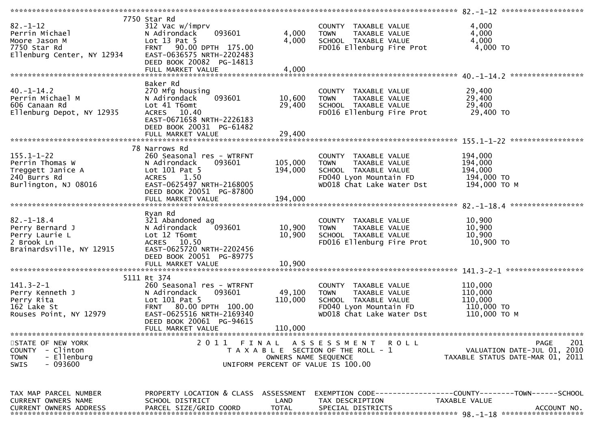|                                            | 7750 Star Rd                         |                      |                                       |                                  |
|--------------------------------------------|--------------------------------------|----------------------|---------------------------------------|----------------------------------|
| $82 - 1 - 12$                              | 312 Vac w/imprv                      |                      | COUNTY TAXABLE VALUE                  | 4,000                            |
| Perrin Michael                             | 093601<br>N Adirondack               | 4,000                | <b>TOWN</b><br>TAXABLE VALUE          | 4,000                            |
| Moore Jason M                              | Lot $13$ Pat $5$                     | 4,000                | SCHOOL TAXABLE VALUE                  | 4,000                            |
|                                            |                                      |                      |                                       |                                  |
| 7750 Star Rd<br>Ellenburg Center, NY 12934 | FRNT 90.00 DPTH 175.00               |                      | FD016 Ellenburg Fire Prot             | 4,000 TO                         |
|                                            | EAST-0636575 NRTH-2202483            |                      |                                       |                                  |
|                                            | DEED BOOK 20082 PG-14813             |                      |                                       |                                  |
|                                            | FULL MARKET VALUE                    | 4,000                |                                       |                                  |
|                                            |                                      |                      |                                       |                                  |
|                                            | Baker Rd                             |                      |                                       |                                  |
| $40. - 1 - 14.2$                           | 270 Mfg housing                      |                      | COUNTY TAXABLE VALUE                  | 29,400                           |
| Perrin Michael M                           | 093601<br>N Adirondack               | 10,600               | TAXABLE VALUE<br><b>TOWN</b>          | 29,400                           |
|                                            | Lot 41 T6omt                         |                      |                                       | 29,400                           |
| 606 Canaan Rd                              |                                      | 29,400               | SCHOOL TAXABLE VALUE                  |                                  |
| Ellenburg Depot, NY 12935                  | ACRES 10.40                          |                      | FD016 Ellenburg Fire Prot             | 29,400 TO                        |
|                                            | EAST-0671658 NRTH-2226183            |                      |                                       |                                  |
|                                            | DEED BOOK 20031 PG-61482             |                      |                                       |                                  |
|                                            | FULL MARKET VALUE                    | 29,400               |                                       |                                  |
|                                            |                                      |                      |                                       |                                  |
|                                            | 78 Narrows Rd                        |                      |                                       |                                  |
| $155.1 - 1 - 22$                           | 260 Seasonal res - WTRFNT            |                      | COUNTY TAXABLE VALUE                  | 194,000                          |
|                                            |                                      |                      |                                       |                                  |
| Perrin Thomas W                            | 093601<br>N Adirondack               | 105,000              | <b>TOWN</b><br>TAXABLE VALUE          | 194,000                          |
| Treggett Janice A                          | Lot 101 Pat 5                        | 194,000              | SCHOOL TAXABLE VALUE                  | 194,000                          |
| 240 Burrs Rd                               | ACRES 1.50                           |                      | FD040 Lyon Mountain FD                | 194,000 TO                       |
| Burlington, NJ 08016                       | EAST-0625497 NRTH-2168005            |                      | WD018 Chat Lake Water Dst             | 194,000 ТО М                     |
|                                            | DEED BOOK 20051 PG-87800             |                      |                                       |                                  |
|                                            |                                      |                      |                                       |                                  |
|                                            |                                      |                      |                                       |                                  |
|                                            |                                      |                      |                                       |                                  |
|                                            | Ryan Rd                              |                      |                                       |                                  |
| $82. - 1 - 18.4$                           | 321 Abandoned ag                     |                      | COUNTY TAXABLE VALUE                  | 10,900                           |
| Perry Bernard J                            | 093601<br>N Adirondack               | 10,900               | <b>TOWN</b><br>TAXABLE VALUE          | 10,900                           |
| Perry Laurie L                             | Lot 12 T6omt                         | 10,900               | SCHOOL TAXABLE VALUE                  | 10,900                           |
| 2 Brook Ln                                 | ACRES 10.50                          |                      | FD016 Ellenburg Fire Prot             | 10,900 TO                        |
| Brainardsville, NY 12915                   | EAST-0625720 NRTH-2202456            |                      |                                       |                                  |
|                                            | DEED BOOK 20051 PG-89775             |                      |                                       |                                  |
|                                            |                                      |                      |                                       |                                  |
|                                            |                                      |                      |                                       |                                  |
|                                            |                                      |                      |                                       |                                  |
|                                            | 5111 Rt 374                          |                      |                                       |                                  |
| $141.3 - 2 - 1$                            | 260 Seasonal res - WTRFNT            |                      | COUNTY TAXABLE VALUE                  | 110,000                          |
| Perry Kenneth J                            | 093601<br>N Adirondack               | 49,100               | <b>TOWN</b><br>TAXABLE VALUE          | 110,000                          |
| Perry Rita                                 | Lot $101$ Pat $5$                    | 110,000              | SCHOOL TAXABLE VALUE                  | 110,000                          |
| 162 Lake St                                | FRNT 80.00 DPTH 100.00               |                      | FD040 Lyon Mountain FD                | 110,000 TO                       |
| Rouses Point, NY 12979                     | EAST-0625516 NRTH-2169340            |                      | WD018 Chat Lake Water Dst             | 110,000 ТО М                     |
|                                            | DEED BOOK 20061 PG-94615             |                      |                                       |                                  |
|                                            | FULL MARKET VALUE                    | 110,000              |                                       |                                  |
|                                            |                                      |                      |                                       |                                  |
|                                            | 2011 FINAL                           |                      |                                       |                                  |
| STATE OF NEW YORK                          |                                      |                      | A S S E S S M E N T<br>ROLL           | 201<br><b>PAGE</b>               |
| COUNTY - Clinton                           |                                      |                      | T A X A B L E SECTION OF THE ROLL - 1 | VALUATION DATE-JUL 01, 2010      |
| - Ellenburg<br><b>TOWN</b>                 |                                      | OWNERS NAME SEQUENCE |                                       | TAXABLE STATUS DATE-MAR 01, 2011 |
| - 093600<br>SWIS                           |                                      |                      | UNIFORM PERCENT OF VALUE IS 100.00    |                                  |
|                                            |                                      |                      |                                       |                                  |
|                                            |                                      |                      |                                       |                                  |
|                                            |                                      |                      |                                       |                                  |
| TAX MAP PARCEL NUMBER                      | PROPERTY LOCATION & CLASS ASSESSMENT |                      |                                       |                                  |
| CURRENT OWNERS NAME                        | SCHOOL DISTRICT                      | LAND                 | TAX DESCRIPTION                       | TAXABLE VALUE                    |
|                                            |                                      |                      |                                       |                                  |
|                                            |                                      |                      |                                       |                                  |
| <b>CURRENT OWNERS ADDRESS</b>              | PARCEL SIZE/GRID COORD               | <b>TOTAL</b>         | SPECIAL DISTRICTS                     | ACCOUNT NO.                      |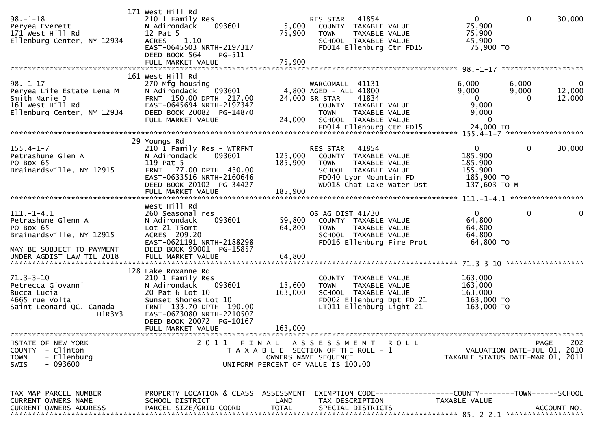| $98. - 1 - 18$<br>Peryea Everett<br>171 West Hill Rd<br>Ellenburg Center, NY 12934                                                        | 171 West Hill Rd<br>210 1 Family Res<br>093601<br>N Adirondack<br>12 Pat 5<br>1.10<br><b>ACRES</b><br>EAST-0645503 NRTH-2197317<br>DEED BOOK 564<br>$PG-511$                                   | 5,000<br>75,900              | 41854<br>RES STAR<br>COUNTY TAXABLE VALUE<br><b>TOWN</b><br>TAXABLE VALUE<br>SCHOOL TAXABLE VALUE<br>FD014 Ellenburg Ctr FD15                        | $\mathbf{0}$<br>75,900<br>75,900<br>45,900<br>75,900 TO                     | $\mathbf{0}$<br>30,000                                                         |
|-------------------------------------------------------------------------------------------------------------------------------------------|------------------------------------------------------------------------------------------------------------------------------------------------------------------------------------------------|------------------------------|------------------------------------------------------------------------------------------------------------------------------------------------------|-----------------------------------------------------------------------------|--------------------------------------------------------------------------------|
|                                                                                                                                           |                                                                                                                                                                                                |                              |                                                                                                                                                      |                                                                             |                                                                                |
| $98. - 1 - 17$<br>Peryea Life Estate Lena M<br>Smith Marie J<br>161 West Hill Rd<br>Ellenburg Center, NY 12934                            | 161 West Hill Rd<br>270 Mfg housing<br>093601<br>N Adirondack<br>FRNT 150.00 DPTH 217.00<br>EAST-0645694 NRTH-2197347<br>DEED BOOK 20082 PG-14870<br>FULL MARKET VALUE                         | 24,000                       | WARCOMALL 41131<br>4,800 AGED - ALL 41800<br>24,000 SR STAR<br>41834<br>COUNTY TAXABLE VALUE<br><b>TOWN</b><br>TAXABLE VALUE<br>SCHOOL TAXABLE VALUE | 6,000<br>9,000<br>$\overline{0}$<br>9,000<br>9,000<br>0                     | 6,000<br>$\bf{0}$<br>9,000<br>12,000<br>12,000<br>$\Omega$                     |
|                                                                                                                                           |                                                                                                                                                                                                |                              |                                                                                                                                                      |                                                                             |                                                                                |
| $155.4 - 1 - 7$<br>Petrashune Glen A<br>PO Box 65<br>Brainardsville, NY 12915                                                             | 29 Youngs Rd<br>210 1 Family Res - WTRFNT<br>093601<br>N Adirondack<br>119 Pat 5<br>FRNT 77.00 DPTH 430.00<br>EAST-0633516 NRTH-2160646<br>DEED BOOK 20102 PG-34427                            | 125,000<br>185,900           | 41854<br>RES STAR<br>COUNTY TAXABLE VALUE<br>TOWN<br>TAXABLE VALUE<br>SCHOOL TAXABLE VALUE<br>FD040 Lyon Mountain FD<br>WD018 Chat Lake Water Dst    | $\mathbf{0}$<br>185,900<br>185,900<br>155,900<br>185,900 TO<br>137,603 TO M | $\mathbf{0}$<br>30,000                                                         |
|                                                                                                                                           |                                                                                                                                                                                                |                              |                                                                                                                                                      |                                                                             |                                                                                |
|                                                                                                                                           | West Hill Rd                                                                                                                                                                                   |                              |                                                                                                                                                      |                                                                             |                                                                                |
| $111. - 1 - 4.1$<br>Petrashune Glenn A<br>PO Box 65<br>Brainardsville, NY 12915<br>MAY BE SUBJECT TO PAYMENT<br>UNDER AGDIST LAW TIL 2018 | 260 Seasonal res<br>093601<br>N Adirondack<br>Lot 21 T5omt<br>ACRES 209.20<br>EAST-0621191 NRTH-2188298<br>DEED BOOK 99001 PG-15857                                                            | 59,800<br>64,800             | OS AG DIST 41730<br>COUNTY TAXABLE VALUE<br>TAXABLE VALUE<br>TOWN<br>SCHOOL TAXABLE VALUE<br>FD016 Ellenburg Fire Prot                               | $\mathbf{0}$<br>64,800<br>64,800<br>64,800<br>64,800 TO                     | 0<br>0                                                                         |
|                                                                                                                                           | 128 Lake Roxanne Rd                                                                                                                                                                            |                              |                                                                                                                                                      |                                                                             |                                                                                |
| $71.3 - 3 - 10$<br>Petrecca Giovanni<br>Bucca Lucia<br>4665 rue Volta<br>Saint Leonard QC, Canada<br>H1R3Y3                               | 210 1 Family Res<br>N Adirondack<br>093601<br>20 Pat 6 Lot 10<br>Sunset Shores Lot 10<br>FRNT 133.70 DPTH 190.00<br>EAST-0673080 NRTH-2210507<br>DEED BOOK 20072 PG-10167<br>FULL MARKET VALUE | 13,600<br>163,000<br>163,000 | COUNTY TAXABLE VALUE<br><b>TOWN</b><br>TAXABLE VALUE<br>SCHOOL TAXABLE VALUE<br>FD002 Ellenburg Dpt FD 21<br>LT011 Ellenburg Light 21                | 163,000<br>163,000<br>163,000<br>163,000 TO<br>163,000 TO                   |                                                                                |
|                                                                                                                                           |                                                                                                                                                                                                |                              |                                                                                                                                                      |                                                                             |                                                                                |
| STATE OF NEW YORK<br>COUNTY - Clinton<br><b>TOWN</b><br>- Ellenburg<br>$-093600$<br><b>SWIS</b>                                           |                                                                                                                                                                                                |                              | 2011 FINAL ASSESSMENT ROLL<br>T A X A B L E SECTION OF THE ROLL - 1<br>OWNERS NAME SEQUENCE<br>UNIFORM PERCENT OF VALUE IS 100.00                    |                                                                             | 202<br>PAGE<br>VALUATION DATE-JUL 01, 2010<br>TAXABLE STATUS DATE-MAR 01, 2011 |
| TAX MAP PARCEL NUMBER<br>CURRENT OWNERS NAME<br><b>CURRENT OWNERS ADDRESS</b>                                                             | PROPERTY LOCATION & CLASS ASSESSMENT<br>SCHOOL DISTRICT<br>PARCEL SIZE/GRID COORD                                                                                                              | LAND<br><b>TOTAL</b>         | TAX DESCRIPTION<br>SPECIAL DISTRICTS                                                                                                                 | TAXABLE VALUE                                                               | ACCOUNT NO.                                                                    |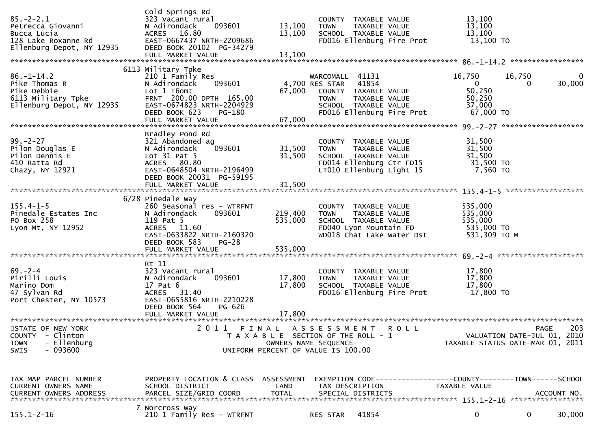| $85. - 2 - 2.1$<br>Petrecca Giovanni<br>Bucca Lucia (ACRES 16.80)<br>128 Lake Roxanne Rd (ACRES 16.80)<br>Ellenburg Depot, NY 12935 (DEED BOOK 20102 PG-34279) | Cold Springs Rd<br>323 Vacant rural<br>FULL MARKET VALUE                                                                                                                                | 13,100<br>13,100<br>13,100    | COUNTY TAXABLE VALUE<br><b>TOWN</b><br>TAXABLE VALUE<br>SCHOOL TAXABLE VALUE<br>FD016 Ellenburg Fire Prot                                                   | 13,100<br>13,100<br>13,100<br>13,100 TO                             |                                                                                |
|----------------------------------------------------------------------------------------------------------------------------------------------------------------|-----------------------------------------------------------------------------------------------------------------------------------------------------------------------------------------|-------------------------------|-------------------------------------------------------------------------------------------------------------------------------------------------------------|---------------------------------------------------------------------|--------------------------------------------------------------------------------|
| $86. - 1 - 14.2$<br>Pike Thomas R<br>Pike Debbie<br>6113 Military Tpke<br>Ellenburg Depot, NY 12935                                                            | 6113 Military Tpke<br>210 1 Family Res<br>093601<br>N Adirondack<br>Lot 1 T6omt<br>FRNT 200.00 DPTH 165.00<br>EAST-0674823 NRTH-2204929<br>DEED BOOK 623<br>PG-180<br>FULL MARKET VALUE | 67,000                        | WARCOMALL 41131<br>4,700 RES STAR 41854<br>67,000 COUNTY TAXABLE VALUE<br>TAXABLE VALUE<br><b>TOWN</b><br>SCHOOL TAXABLE VALUE<br>FD016 Ellenburg Fire Prot | 16,750<br>$\overline{0}$<br>50,250<br>50,250<br>37,000<br>67,000 TO | 16,750<br>$\mathbf{0}$<br>30,000<br>$\overline{0}$                             |
| $99. - 2 - 27$<br>Pilon Douglas E<br>Pilon Dennis E<br>410 Ratta Rd<br>Chazy, NY 12921                                                                         | Bradley Pond Rd<br>321 Abandoned ag<br>093601<br>N Adirondack<br>Lot $31$ Pat $5$<br>ACRES 80.80<br>EAST-0648504 NRTH-2196499<br>DEED BOOK 20031 PG-59195                               | 31,500<br>31,500              | COUNTY TAXABLE VALUE<br>TAXABLE VALUE<br><b>TOWN</b><br>SCHOOL TAXABLE VALUE<br>FD014 Ellenburg Ctr FD15<br>LT010 Ellenburg Light 15                        | 31,500<br>31,500<br>31,500<br>31,500 TO<br>7,560 TO                 |                                                                                |
| $155.4 - 1 - 5$<br>Pinedale Estates Inc<br>PO Box 258<br>Lyon Mt, NY 12952                                                                                     | 6/28 Pinedale Way<br>260 Seasonal res - WTRFNT<br>093601<br>N Adirondack<br>119 Pat 5<br>ACRES 11.60<br>EAST-0633822 NRTH-2160320<br>DEED BOOK 583<br>PG-28<br>FULL MARKET VALUE        | 219,400<br>535,000<br>535,000 | COUNTY TAXABLE VALUE<br>TAXABLE VALUE<br><b>TOWN</b><br>SCHOOL TAXABLE VALUE<br>FD040 Lyon Mountain FD 535,000 TO<br>WD018 Chat Lake Water Dst              | 535,000<br>535,000<br>535,000<br>531,309 ТО М                       |                                                                                |
| $69 - 2 - 4$<br>Pirilli Louis<br>Marino Dom<br>47 Sylvan Rd<br>Port Chester, NY 10573                                                                          | Rt 11<br>323 Vacant rural<br>N Adirondack<br>093601<br>17 Pat 6<br>ACRES 31.40<br>EAST-0655816 NRTH-2210228<br>DEED BOOK 564<br>PG-626                                                  | 17,800<br>17,800              | COUNTY TAXABLE VALUE<br><b>TOWN</b><br>TAXABLE VALUE<br>SCHOOL TAXABLE VALUE<br>FD016 Ellenburg Fire Prot 17,800 TO                                         | 17,800<br>17,800<br>17,800                                          |                                                                                |
| STATE OF NEW YORK<br>COUNTY - Clinton<br>- Ellenburg<br><b>TOWN</b><br>- 093600<br>SWIS                                                                        |                                                                                                                                                                                         | OWNERS NAME SEQUENCE          | 2011 FINAL ASSESSMENT ROLL<br>T A X A B L E SECTION OF THE ROLL - 1<br>UNIFORM PERCENT OF VALUE IS 100.00                                                   |                                                                     | 203<br>PAGE<br>VALUATION DATE-JUL 01, 2010<br>TAXABLE STATUS DATE-MAR 01, 2011 |
| TAX MAP PARCEL NUMBER<br>CURRENT OWNERS NAME<br>CURRENT OWNERS ADDRESS                                                                                         | PROPERTY LOCATION & CLASS ASSESSMENT<br>SCHOOL DISTRICT<br>PARCEL SIZE/GRID COORD                                                                                                       | LAND<br><b>TOTAL</b>          | EXEMPTION CODE-----------------COUNTY-------TOWN------SCHOOL<br>TAX DESCRIPTION<br>SPECIAL DISTRICTS                                                        | TAXABLE VALUE                                                       | ACCOUNT NO.                                                                    |
| $155.1 - 2 - 16$                                                                                                                                               | 7 Norcross Way<br>210 1 Family Res - WTRFNT                                                                                                                                             |                               | 41854<br>RES STAR                                                                                                                                           | 0                                                                   | 30,000<br>$\bf{0}$                                                             |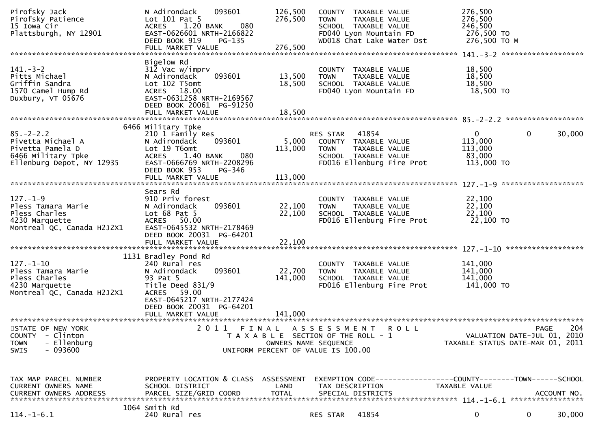| Pirofsky Jack<br>Pirofsky Patience<br>15 Iowa Cir<br>Plattsburgh, NY 12901                                  | 093601<br>N Adirondack<br>Lot 101 Pat 5<br><b>ACRES</b><br>1.20 BANK<br>080<br>EAST-0626601 NRTH-2166822<br>DEED BOOK 919<br>PG-135<br>FULL MARKET VALUE                     | 126,500<br>276,500<br>276,500 | COUNTY TAXABLE VALUE<br><b>TOWN</b><br>TAXABLE VALUE<br>SCHOOL TAXABLE VALUE<br>FD040 Lyon Mountain FD<br>WD018 Chat Lake Water Dst | 276,500<br>276,500<br>246,500<br>276,500 TO<br>276,500 ТО М |                                                                 |
|-------------------------------------------------------------------------------------------------------------|------------------------------------------------------------------------------------------------------------------------------------------------------------------------------|-------------------------------|-------------------------------------------------------------------------------------------------------------------------------------|-------------------------------------------------------------|-----------------------------------------------------------------|
|                                                                                                             |                                                                                                                                                                              |                               |                                                                                                                                     |                                                             |                                                                 |
| $141 - 3 - 2$<br>Pitts Michael<br>Griffin Sandra<br>1570 Camel Hump Rd<br>Duxbury, VT 05676                 | Bigelow Rd<br>312 Vac w/imprv<br>093601<br>N Adirondack<br>Lot 102 T5omt<br>ACRES 18.00<br>EAST-0631258 NRTH-2169567<br>DEED BOOK 20061 PG-91250<br>FULL MARKET VALUE        | 13,500<br>18,500<br>18,500    | COUNTY TAXABLE VALUE<br><b>TOWN</b><br>TAXABLE VALUE<br>SCHOOL TAXABLE VALUE<br>FD040 Lyon Mountain FD                              | 18,500<br>18,500<br>18,500<br>18,500 TO                     |                                                                 |
|                                                                                                             |                                                                                                                                                                              |                               |                                                                                                                                     |                                                             |                                                                 |
| $85. - 2 - 2.2$<br>Pivetta Michael A<br>Pivetta Pamela D<br>6466 Military Tpke<br>Ellenburg Depot, NY 12935 | 6466 Military Tpke<br>210 1 Family Res<br>N Adirondack<br>093601<br>Lot 19 T6omt<br>1.40 BANK<br><b>ACRES</b><br>080<br>EAST-0666769 NRTH-2208296<br>DEED BOOK 953<br>PG-346 | 5,000<br>113,000              | 41854<br>RES STAR<br>COUNTY TAXABLE VALUE<br><b>TOWN</b><br>TAXABLE VALUE<br>SCHOOL TAXABLE VALUE<br>FD016 Ellenburg Fire Prot      | 0<br>113,000<br>113,000<br>83,000<br>113,000 TO             | 0<br>30,000                                                     |
|                                                                                                             | FULL MARKET VALUE                                                                                                                                                            | 113,000                       |                                                                                                                                     |                                                             |                                                                 |
| $127. - 1 - 9$<br>Pless Tamara Marie<br>Pless Charles<br>4230 Marquette<br>Montreal QC, Canada H2J2X1       | Sears Rd<br>910 Priv forest<br>093601<br>N Adirondack<br>Lot $68$ Pat $5$<br>ACRES 50.00<br>EAST-0645532 NRTH-2178469<br>DEED BOOK 20031 PG-64201<br>FULL MARKET VALUE       | 22,100<br>22,100<br>22,100    | COUNTY TAXABLE VALUE<br><b>TOWN</b><br>TAXABLE VALUE<br>SCHOOL TAXABLE VALUE<br>FD016 Ellenburg Fire Prot                           | 22,100<br>22,100<br>22,100<br>22,100 TO                     |                                                                 |
|                                                                                                             |                                                                                                                                                                              |                               |                                                                                                                                     |                                                             |                                                                 |
| $127. - 1 - 10$<br>Pless Tamara Marie<br>Pless Charles<br>4230 Marquette<br>Montreal QC, Canada H2J2X1      | 1131 Bradley Pond Rd<br>240 Rural res<br>N Adirondack<br>093601<br>93 Pat 5<br>Title Deed 831/9<br>ACRES 59.00<br>EAST-0645217 NRTH-2177424<br>DEED BOOK 20031 PG-64201      | 22,700<br>141,000             | COUNTY<br>TAXABLE VALUE<br>TAXABLE VALUE<br><b>TOWN</b><br>SCHOOL TAXABLE VALUE<br>FD016 Ellenburg Fire Prot                        | 141,000<br>141,000<br>141,000<br>141,000 TO                 |                                                                 |
|                                                                                                             |                                                                                                                                                                              |                               |                                                                                                                                     |                                                             |                                                                 |
| STATE OF NEW YORK                                                                                           | 2011                                                                                                                                                                         |                               | FINAL ASSESSMENT<br>R O L L                                                                                                         |                                                             | 204<br><b>PAGE</b>                                              |
| - Clinton<br><b>COUNTY</b><br>- Ellenburg<br><b>TOWN</b><br>- 093600<br><b>SWIS</b>                         |                                                                                                                                                                              | OWNERS NAME SEQUENCE          | T A X A B L E SECTION OF THE ROLL - 1<br>UNIFORM PERCENT OF VALUE IS 100.00                                                         |                                                             | VALUATION DATE-JUL 01, 2010<br>TAXABLE STATUS DATE-MAR 01, 2011 |
| TAX MAP PARCEL NUMBER<br>CURRENT OWNERS NAME<br><b>CURRENT OWNERS ADDRESS</b>                               | PROPERTY LOCATION & CLASS ASSESSMENT<br>SCHOOL DISTRICT<br>PARCEL SIZE/GRID COORD                                                                                            | LAND<br><b>TOTAL</b>          | EXEMPTION CODE-----------------COUNTY-------TOWN------SCHOOL<br>TAX DESCRIPTION<br>SPECIAL DISTRICTS                                | TAXABLE VALUE                                               | ACCOUNT NO.                                                     |
| $114.-1-6.1$                                                                                                | 1064 Smith Rd<br>240 Rural res                                                                                                                                               |                               | 41854<br>RES STAR                                                                                                                   | $\bf{0}$                                                    | 0<br>30,000                                                     |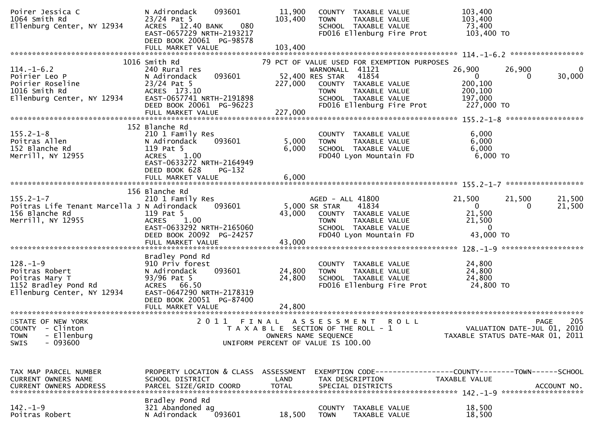| Poirer Jessica C<br>1064 Smith Rd<br>Ellenburg Center, NY 12934                                          | 093601<br>N Adirondack<br>$23/24$ Pat 5<br>12.40 BANK<br>080<br><b>ACRES</b><br>EAST-0657229 NRTH-2193217<br>DEED BOOK 20061 PG-98578                           | 11,900<br>103,400    | COUNTY TAXABLE VALUE<br><b>TOWN</b><br>TAXABLE VALUE<br>SCHOOL TAXABLE VALUE<br>FD016 Ellenburg Fire Prot                                                                                               | 103,400<br>103,400<br>73,400<br>103,400 TO                                                      |                    |
|----------------------------------------------------------------------------------------------------------|-----------------------------------------------------------------------------------------------------------------------------------------------------------------|----------------------|---------------------------------------------------------------------------------------------------------------------------------------------------------------------------------------------------------|-------------------------------------------------------------------------------------------------|--------------------|
|                                                                                                          |                                                                                                                                                                 |                      |                                                                                                                                                                                                         |                                                                                                 |                    |
| $114. - 1 - 6.2$<br>Poirier Leo P<br>Poirier Roseline<br>1016 Smith Rd<br>Ellenburg Center, NY 12934     | 1016 Smith Rd<br>240 Rural res<br>093601<br>N Adirondack<br>$23/24$ Pat 5<br>ACRES 173.10<br>EAST-0657741 NRTH-2191898<br>DEED BOOK 20061 PG-96223              | 227,000              | 79 PCT OF VALUE USED FOR EXEMPTION PURPOSES<br>WARNONALL 41121<br>52,400 RES STAR<br>41854<br>COUNTY TAXABLE VALUE<br>TAXABLE VALUE<br><b>TOWN</b><br>SCHOOL TAXABLE VALUE<br>FD016 Ellenburg Fire Prot | 26,900<br>26,900<br>$\mathbf{0}$<br>0<br>200,100<br>200,100<br>197,000<br>227,000 TO            | 0<br>30,000        |
|                                                                                                          |                                                                                                                                                                 |                      |                                                                                                                                                                                                         |                                                                                                 |                    |
| $155.2 - 1 - 8$<br>Poitras Allen<br>152 Blanche Rd<br>Merrill, NY 12955                                  | 152 Blanche Rd<br>210 1 Family Res<br>093601<br>N Adirondack<br>119 Pat 5<br>1.00<br><b>ACRES</b><br>EAST-0633272 NRTH-2164949<br>DEED BOOK 628<br>PG-132       | 5,000<br>6,000       | COUNTY TAXABLE VALUE<br>TAXABLE VALUE<br><b>TOWN</b><br>SCHOOL TAXABLE VALUE<br>FD040 Lyon Mountain FD                                                                                                  | 6,000<br>6,000<br>6,000<br>$6,000$ TO                                                           |                    |
|                                                                                                          |                                                                                                                                                                 |                      |                                                                                                                                                                                                         |                                                                                                 |                    |
| $155.2 - 1 - 7$<br>Poitras Life Tenant Marcella J N Adirondack<br>156 Blanche Rd<br>Merrill, NY 12955    | 156 Blanche Rd<br>210 1 Family Res<br>093601<br>119 Pat 5<br><b>ACRES</b><br>1.00<br>EAST-0633292 NRTH-2165060<br>DEED BOOK 20092 PG-24257<br>FULL MARKET VALUE | 43,000<br>43,000     | AGED - ALL 41800<br>5,000 SR STAR<br>41834<br>COUNTY TAXABLE VALUE<br><b>TOWN</b><br>TAXABLE VALUE<br>SCHOOL TAXABLE VALUE<br>FD040 Lyon Mountain FD                                                    | 21,500<br>21,500<br>$\overline{0}$<br>$\Omega$<br>21,500<br>21,500<br>$\mathbf{0}$<br>43,000 TO | 21,500<br>21,500   |
| $128. - 1 - 9$<br>Poitras Robert<br>Poitras Mary T<br>1152 Bradley Pond Rd<br>Ellenburg Center, NY 12934 | Bradley Pond Rd<br>910 Priv forest<br>093601<br>N Adirondack<br>93/96 Pat 5<br>ACRES 66.50<br>EAST-0647290 NRTH-2178319<br>DEED BOOK 20051 PG-87400             | 24,800<br>24,800     | COUNTY TAXABLE VALUE<br>TAXABLE VALUE<br><b>TOWN</b><br>SCHOOL TAXABLE VALUE<br>FD016 Ellenburg Fire Prot                                                                                               | 24,800<br>24,800<br>24,800<br>24,800 TO                                                         |                    |
| STATE OF NEW YORK<br>COUNTY - Clinton<br>- Ellenburg<br><b>TOWN</b><br>$-093600$<br>SWIS                 | 2011                                                                                                                                                            |                      | FINAL ASSESSMENT<br><b>ROLL</b><br>T A X A B L E SECTION OF THE ROLL - 1<br>OWNERS NAME SEQUENCE<br>UNIFORM PERCENT OF VALUE IS 100.00                                                                  | VALUATION DATE-JUL 01, 2010<br>TAXABLE STATUS DATE-MAR 01, 2011                                 | 205<br><b>PAGE</b> |
| TAX MAP PARCEL NUMBER<br>CURRENT OWNERS NAME<br><b>CURRENT OWNERS ADDRESS</b>                            | PROPERTY LOCATION & CLASS ASSESSMENT<br>SCHOOL DISTRICT<br>PARCEL SIZE/GRID COORD                                                                               | LAND<br><b>TOTAL</b> | EXEMPTION CODE-----------------COUNTY-------TOWN------SCHOOL<br>TAX DESCRIPTION<br>SPECIAL DISTRICTS                                                                                                    | TAXABLE VALUE                                                                                   | ACCOUNT NO.        |
| $142. - 1 - 9$<br>Poitras Robert                                                                         | Bradley Pond Rd<br>321 Abandoned ag<br>N Adirondack<br>093601                                                                                                   | 18,500               | COUNTY<br>TAXABLE VALUE<br><b>TOWN</b><br>TAXABLE VALUE                                                                                                                                                 | 18,500<br>18,500                                                                                |                    |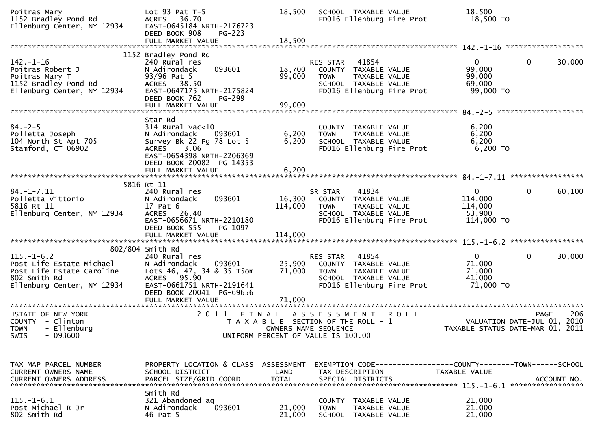| Poitras Mary<br>1152 Bradley Pond Rd<br>Ellenburg Center, NY 12934                                                                              | Lot $93$ Pat T-5<br>ACRES 36.70<br>EAST-0645184 NRTH-2176723<br>DEED BOOK 908<br>$PG-223$                                                                                                 | 18,500                     | SCHOOL TAXABLE VALUE<br>FD016 Ellenburg Fire Prot                                                                                  | 18,500<br>18,500 TO                                          |                                                                                |
|-------------------------------------------------------------------------------------------------------------------------------------------------|-------------------------------------------------------------------------------------------------------------------------------------------------------------------------------------------|----------------------------|------------------------------------------------------------------------------------------------------------------------------------|--------------------------------------------------------------|--------------------------------------------------------------------------------|
|                                                                                                                                                 |                                                                                                                                                                                           |                            |                                                                                                                                    |                                                              |                                                                                |
| $142. - 1 - 16$<br>Poitras Robert J<br>Poitras Mary T<br>1152 Bradley Pond Rd<br>Ellenburg Center, NY 12934                                     | 1152 Bradley Pond Rd<br>240 Rural res<br>093601<br>N Adirondack<br>93/96 Pat 5<br>ACRES 38.50<br>EAST-0647175 NRTH-2175824<br>DEED BOOK 762<br>PG-299                                     | 18,700<br>99,000           | <b>RES STAR 41854</b><br>COUNTY TAXABLE VALUE<br>TAXABLE VALUE<br><b>TOWN</b><br>SCHOOL TAXABLE VALUE<br>FD016 Ellenburg Fire Prot | $\mathbf{0}$<br>99,000<br>99,000<br>69,000<br>99,000 TO      | 30,000<br>$\mathbf 0$                                                          |
|                                                                                                                                                 | FULL MARKET VALUE                                                                                                                                                                         | 99,000                     |                                                                                                                                    |                                                              |                                                                                |
| $84. - 2 - 5$<br>Polletta Joseph<br>104 North St Apt 705<br>Stamford, CT 06902                                                                  | Star Rd<br>$314$ Rural vac<10<br>093601<br>N Adirondack<br>Survey Bk 22 Pg 78 Lot 5<br>3.06<br><b>ACRES</b><br>EAST-0654398 NRTH-2206369<br>DEED BOOK 20082 PG-14353<br>FULL MARKET VALUE | 6,200<br>6,200<br>6,200    | COUNTY TAXABLE VALUE<br>TAXABLE VALUE<br><b>TOWN</b><br>SCHOOL TAXABLE VALUE<br>FD016 Ellenburg Fire Prot                          | 6,200<br>6,200<br>6,200<br>6,200 TO                          |                                                                                |
|                                                                                                                                                 |                                                                                                                                                                                           |                            |                                                                                                                                    |                                                              |                                                                                |
| $84. - 1 - 7.11$<br>Polletta Vittorio<br>5816 Rt 11<br>5816 Rt 11<br>Ellenburg Center, NY 12934                                                 | 5816 Rt 11<br>240 Rural res<br>093601<br>N Adirondack<br>17 Pat 6<br>ACRES 26.40<br>EAST-0656671 NRTH-2210180<br>DEED BOOK 555<br>PG-1097                                                 | 16,300<br>114,000          | 41834<br>SR STAR<br>COUNTY TAXABLE VALUE<br>TAXABLE VALUE<br>TOWN<br>SCHOOL TAXABLE VALUE<br>FD016 Ellenburg Fire Prot             | $\overline{0}$<br>114,000<br>114,000<br>53,900<br>114,000 TO | 60,100<br>$\Omega$                                                             |
|                                                                                                                                                 |                                                                                                                                                                                           |                            |                                                                                                                                    |                                                              |                                                                                |
| $115. - 1 - 6.2$<br>Post Life Estate Michael<br>Post Life Estate Caroline<br>802 Smith Rd<br>Ellenburg Center, NY 12934                         | 802/804 Smith Rd<br>240 Rural res<br>093601<br>N Adirondack<br>Lots 46, 47, 34 & 35 T5om<br>ACRES 95.90<br>EAST-0661751 NRTH-2191641<br>DEED BOOK 20041 PG-69656<br>FULL MARKET VALUE     | 25,900<br>71,000<br>71,000 | 41854<br>RES STAR<br>COUNTY TAXABLE VALUE<br><b>TOWN</b><br>TAXABLE VALUE<br>SCHOOL TAXABLE VALUE<br>FD016 Ellenburg Fire Prot     | $\mathbf{0}$<br>71,000<br>71,000<br>41,000<br>71,000 TO      | 30,000<br>$\mathbf{0}$                                                         |
| STATE OF NEW YORK<br>COUNTY - Clinton<br>TOWN - Ellenburg<br>$-093600$<br><b>SWIS</b>                                                           |                                                                                                                                                                                           | OWNERS NAME SEQUENCE       | 2011 FINAL ASSESSMENT ROLL<br>T A X A B L E SECTION OF THE ROLL - 1<br>UNIFORM PERCENT OF VALUE IS 100.00                          |                                                              | 206<br>PAGE<br>VALUATION DATE-JUL 01, 2010<br>TAXABLE STATUS DATE-MAR 01, 2011 |
|                                                                                                                                                 |                                                                                                                                                                                           |                            |                                                                                                                                    |                                                              |                                                                                |
| TAX MAP PARCEL NUMBER<br>CURRENT OWNERS NAME<br>CURRENT OWNERS ADDRESS PARCEL SIZE/GRID COORD TOTAL SPECIAL DISTRICTS (15.15.16.1%) ACCOUNT NO. | PROPERTY LOCATION & CLASS ASSESSMENT<br>SCHOOL DISTRICT                                                                                                                                   | LAND                       | EXEMPTION CODE------------------COUNTY--------TOWN------SCHOOL<br>TAX DESCRIPTION                                                  | TAXABLE VALUE                                                |                                                                                |
| $115. - 1 - 6.1$<br>Post Michael R Jr<br>802 Smith Rd                                                                                           | Smith Rd<br>321 Abandoned ag<br>N Adirondack<br>093601<br>46 Pat 5                                                                                                                        | 21,000<br>21,000           | COUNTY TAXABLE VALUE<br><b>TOWN</b><br><b>TAXABLE VALUE</b><br>SCHOOL TAXABLE VALUE                                                | 21,000<br>21,000<br>21,000                                   |                                                                                |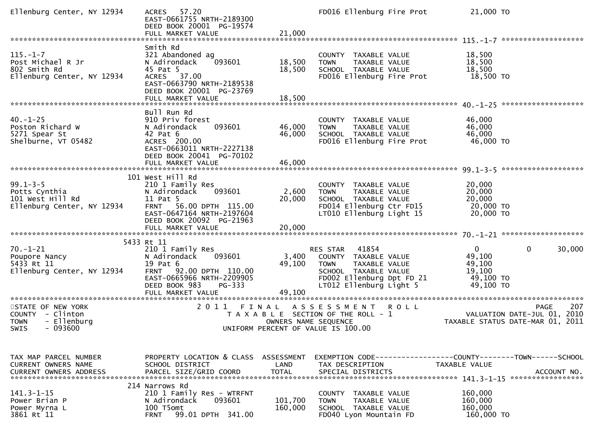| Ellenburg Center, NY 12934                                                              | 57.20<br><b>ACRES</b><br>EAST-0661755 NRTH-2189300<br>DEED BOOK 20001 PG-19574<br>FULL MARKET VALUE                                                              | 21,000                    | FD016 Ellenburg Fire Prot                                                                                                                          | 21,000 TO                                                              |                                                                                       |
|-----------------------------------------------------------------------------------------|------------------------------------------------------------------------------------------------------------------------------------------------------------------|---------------------------|----------------------------------------------------------------------------------------------------------------------------------------------------|------------------------------------------------------------------------|---------------------------------------------------------------------------------------|
| $115. - 1 - 7$<br>Post Michael R Jr<br>802 Smith Rd<br>Ellenburg Center, NY 12934       | Smith Rd<br>321 Abandoned ag<br>093601<br>N Adirondack<br>45 Pat 5<br>ACRES 37.00<br>EAST-0663790 NRTH-2189538<br>DEED BOOK 20001 PG-23769                       | 18,500<br>18,500          | COUNTY TAXABLE VALUE<br>TAXABLE VALUE<br><b>TOWN</b><br>SCHOOL TAXABLE VALUE<br>FD016 Ellenburg Fire Prot                                          | 18,500<br>18,500<br>18,500<br>18,500 TO                                |                                                                                       |
| $40. - 1 - 25$<br>Poston Richard W<br>5271 Spear St<br>Shelburne, VT 05482              | Bull Run Rd<br>910 Priv forest<br>093601<br>N Adirondack<br>42 Pat 6<br>ACRES 200.00<br>EAST-0663011 NRTH-2227138<br>DEED BOOK 20041 PG-70102                    | 46,000<br>46,000          | COUNTY TAXABLE VALUE<br>TAXABLE VALUE<br><b>TOWN</b><br>SCHOOL TAXABLE VALUE<br>FD016 Ellenburg Fire Prot                                          | 46,000<br>46,000<br>46,000<br>46,000 TO                                |                                                                                       |
| $99.1 - 3 - 5$<br>Potts Cynthia<br>101 West Hill Rd<br>Ellenburg Center, NY 12934       | 101 West Hill Rd<br>210 1 Family Res<br>093601<br>N Adirondack<br>11 Pat 5<br>FRNT 56.00 DPTH 115.00<br>EAST-0647164 NRTH-2197604<br>DEED BOOK 20092 PG-21963    | 2,600<br>20,000           | COUNTY TAXABLE VALUE<br>TAXABLE VALUE<br><b>TOWN</b><br>SCHOOL TAXABLE VALUE<br>FD014 Ellenburg Ctr FD15<br>LT010 Ellenburg Light 15               | 20,000<br>20,000<br>20,000<br>20,000 TO<br>20,000 TO                   |                                                                                       |
| $70. - 1 - 21$<br>Poupore Nancy<br>5433 Rt 11<br>Ellenburg Center, NY 12934             | 5433 Rt 11<br>210 1 Family Res<br>093601<br>N Adirondack<br>19 Pat 6<br>92.00 DPTH 110.00<br><b>FRNT</b><br>EAST-0665966 NRTH-2209905<br>DEED BOOK 983<br>PG-333 | 3,400<br>49,100<br>49,100 | RES STAR<br>41854<br>COUNTY TAXABLE VALUE<br>TAXABLE VALUE<br>TOWN<br>SCHOOL TAXABLE VALUE<br>FD002 Ellenburg Dpt FD 21<br>LT012 Ellenburg Light 5 | $\overline{0}$<br>49,100<br>49,100<br>19,100<br>49,100 TO<br>49,100 TO | $\mathbf 0$<br>30,000                                                                 |
| STATE OF NEW YORK<br>COUNTY - Clinton<br>- Ellenburg<br><b>TOWN</b><br>SWIS<br>- 093600 | 2011<br>FINAL                                                                                                                                                    | OWNERS NAME SEQUENCE      | A S S E S S M E N T<br><b>ROLL</b><br>T A X A B L E SECTION OF THE ROLL - 1<br>UNIFORM PERCENT OF VALUE IS 100.00                                  |                                                                        | 207<br><b>PAGE</b><br>VALUATION DATE-JUL 01, 2010<br>TAXABLE STATUS DATE-MAR 01, 2011 |
| TAX MAP PARCEL NUMBER<br>CURRENT OWNERS NAME<br><b>CURRENT OWNERS ADDRESS</b>           | PROPERTY LOCATION & CLASS ASSESSMENT<br>SCHOOL DISTRICT<br>PARCEL SIZE/GRID COORD<br>214 Narrows Rd                                                              | LAND<br><b>TOTAL</b>      | EXEMPTION CODE-----------------COUNTY-------TOWN------SCHOOL<br>TAX DESCRIPTION<br>SPECIAL DISTRICTS                                               | TAXABLE VALUE                                                          | ACCOUNT NO.                                                                           |
| $141.3 - 1 - 15$<br>Power Brian P<br>Power Myrna L<br>3861 Rt 11                        | 210 1 Family Res - WTRFNT<br>N Adirondack<br>093601<br>100 T5omt<br>99.01 DPTH 341.00<br><b>FRNT</b>                                                             | 101,700<br>160,000        | COUNTY TAXABLE VALUE<br><b>TOWN</b><br>TAXABLE VALUE<br>SCHOOL TAXABLE VALUE<br>FD040 Lyon Mountain FD                                             | 160,000<br>160,000<br>160,000<br>160,000 TO                            |                                                                                       |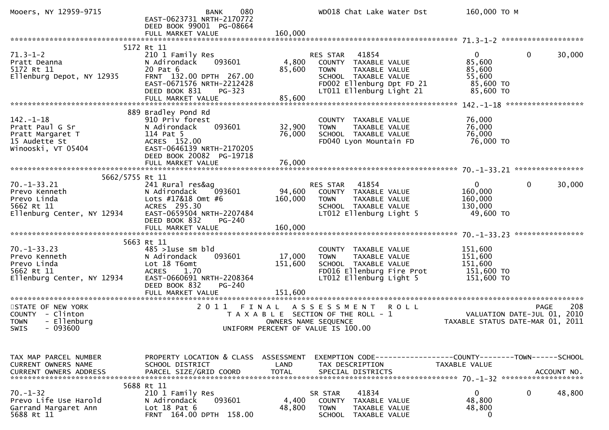| Mooers, NY 12959-9715                                                                         | 080<br><b>BANK</b><br>EAST-0623731 NRTH-2170772<br>DEED BOOK 99001 PG-08664<br>FULL MARKET VALUE                                                                                | 160,000                      | WD018 Chat Lake Water Dst                                                                                                                                  | 160,000 ТО М                                                         |                                            |
|-----------------------------------------------------------------------------------------------|---------------------------------------------------------------------------------------------------------------------------------------------------------------------------------|------------------------------|------------------------------------------------------------------------------------------------------------------------------------------------------------|----------------------------------------------------------------------|--------------------------------------------|
|                                                                                               |                                                                                                                                                                                 |                              |                                                                                                                                                            |                                                                      |                                            |
| $71.3 - 1 - 2$<br>Pratt Deanna<br>5172 Rt 11<br>Ellenburg Depot, NY 12935                     | 5172 Rt 11<br>210 1 Family Res<br>N Adirondack<br>093601<br>20 Pat 6<br>FRNT 132.00 DPTH 267.00<br>EAST-0671576 NRTH-2212428<br>DEED BOOK 831<br>PG-323                         | 4,800<br>85,600              | 41854<br>RES STAR<br>COUNTY TAXABLE VALUE<br>TAXABLE VALUE<br><b>TOWN</b><br>SCHOOL TAXABLE VALUE<br>FD002 Ellenburg Dpt FD 21<br>LT011 Ellenburg Light 21 | $\mathbf{0}$<br>85,600<br>85,600<br>55,600<br>85,600 TO<br>85,600 TO | $\mathbf{0}$<br>30,000                     |
|                                                                                               |                                                                                                                                                                                 |                              |                                                                                                                                                            |                                                                      |                                            |
| $142. - 1 - 18$<br>Pratt Paul G Sr<br>Pratt Margaret T<br>15 Audette St<br>Winooski, VT 05404 | 889 Bradley Pond Rd<br>910 Priv forest<br>093601<br>N Adirondack<br>114 Pat 5<br>ACRES 152.00<br>EAST-0646139 NRTH-2170205<br>DEED BOOK 20082 PG-19718                          | 32,900<br>76,000             | COUNTY TAXABLE VALUE<br>TAXABLE VALUE<br><b>TOWN</b><br>SCHOOL TAXABLE VALUE<br>FD040 Lyon Mountain FD                                                     | 76,000<br>76,000<br>76,000<br>76,000 TO                              |                                            |
|                                                                                               |                                                                                                                                                                                 |                              |                                                                                                                                                            |                                                                      |                                            |
| 5662/5755 Rt 11                                                                               |                                                                                                                                                                                 |                              |                                                                                                                                                            |                                                                      |                                            |
| $70. - 1 - 33.21$<br>Prevo Kenneth<br>Prevo Linda<br>5662 Rt 11<br>Ellenburg Center, NY 12934 | 241 Rural res&ag<br>093601<br>N Adirondack<br>Lots #17&18 Omt #6<br>ACRES 295.30<br>EAST-0659504 NRTH-2207484<br>DEED BOOK 832<br>PG-240                                        | 94,600<br>160,000            | 41854<br>RES STAR<br>COUNTY TAXABLE VALUE<br><b>TOWN</b><br>TAXABLE VALUE<br>SCHOOL TAXABLE VALUE<br>LT012 Ellenburg Light 5                               | $\mathbf{0}$<br>160,000<br>160,000<br>130,000<br>49,600 TO           | $\mathbf{0}$<br>30,000                     |
|                                                                                               |                                                                                                                                                                                 |                              |                                                                                                                                                            |                                                                      |                                            |
|                                                                                               |                                                                                                                                                                                 |                              |                                                                                                                                                            |                                                                      |                                            |
| $70. - 1 - 33.23$<br>Prevo Kenneth<br>Prevo Linda<br>5662 Rt 11<br>Ellenburg Center, NY 12934 | 5663 Rt 11<br>$485$ >1use sm bld<br>093601<br>N Adirondack<br>Lot 18 T6omt<br><b>ACRES</b><br>1.70<br>EAST-0660691 NRTH-2208364<br>DEED BOOK 832<br>PG-240<br>FULL MARKET VALUE | 17,000<br>151,600<br>151,600 | COUNTY TAXABLE VALUE<br><b>TOWN</b><br>TAXABLE VALUE<br>SCHOOL TAXABLE VALUE<br>FD016 Ellenburg Fire Prot<br>LT012 Ellenburg Light 5                       | 151,600<br>151,600<br>151,600<br>151,600 TO<br>151,600 TO            |                                            |
|                                                                                               |                                                                                                                                                                                 |                              |                                                                                                                                                            |                                                                      |                                            |
| STATE OF NEW YORK<br>COUNTY - Clinton<br><b>TOWN</b><br>- Ellenburg<br>SWIS - 093600          | 2011 FINAL                                                                                                                                                                      | OWNERS NAME SEQUENCE         | A S S E S S M E N T<br><b>ROLL</b><br>T A X A B L E SECTION OF THE ROLL - 1<br>UNIFORM PERCENT OF VALUE IS 100.00                                          | TAXABLE STATUS DATE-MAR 01, 2011                                     | 208<br>PAGE<br>VALUATION DATE-JUL 01, 2010 |
|                                                                                               |                                                                                                                                                                                 |                              |                                                                                                                                                            |                                                                      |                                            |
| TAX MAP PARCEL NUMBER<br>CURRENT OWNERS NAME<br><b>CURRENT OWNERS ADDRESS</b>                 | PROPERTY LOCATION & CLASS ASSESSMENT<br>SCHOOL DISTRICT<br>PARCEL SIZE/GRID COORD                                                                                               | LAND<br><b>TOTAL</b>         | EXEMPTION CODE-----------------COUNTY--------TOWN------SCHOOL<br>TAX DESCRIPTION<br>SPECIAL DISTRICTS                                                      | TAXABLE VALUE                                                        | ACCOUNT NO.                                |
|                                                                                               | 5688 Rt 11                                                                                                                                                                      |                              |                                                                                                                                                            |                                                                      |                                            |
| $70. - 1 - 32$<br>Prevo Life Use Harold<br>Garrand Margaret Ann<br>5688 Rt 11                 | 210 1 Family Res<br>N Adirondack<br>093601<br>Lot $18$ Pat $6$<br>FRNT 164.00 DPTH 158.00                                                                                       | 4,400<br>48,800              | 41834<br>SR STAR<br>COUNTY TAXABLE VALUE<br><b>TOWN</b><br>TAXABLE VALUE<br><b>SCHOOL</b><br>TAXABLE VALUE                                                 | $\mathbf 0$<br>48,800<br>48,800<br>0                                 | 48,800<br>0                                |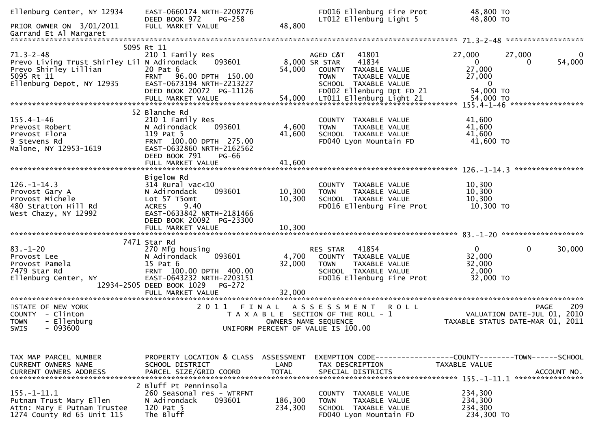| Ellenburg Center, NY 12934                                                                                                         | EAST-0660174 NRTH-2208776<br>DEED BOOK 972<br>PG-258                                                                                                                                      |                           | FD016 Ellenburg Fire Prot<br>LT012 Ellenburg Light 5                                                                                                     | 48,800 TO<br>48,800 TO                                         |                             |
|------------------------------------------------------------------------------------------------------------------------------------|-------------------------------------------------------------------------------------------------------------------------------------------------------------------------------------------|---------------------------|----------------------------------------------------------------------------------------------------------------------------------------------------------|----------------------------------------------------------------|-----------------------------|
| PRIOR OWNER ON 3/01/2011                                                                                                           | FULL MARKET VALUE                                                                                                                                                                         | 48,800                    |                                                                                                                                                          |                                                                |                             |
|                                                                                                                                    |                                                                                                                                                                                           |                           |                                                                                                                                                          |                                                                |                             |
| $71.3 - 2 - 48$<br>Prevo Living Trust Shirley Lil N Adirondack<br>Prevo Shirley Lillian<br>5095 Rt 11<br>Ellenburg Depot, NY 12935 | 5095 Rt 11<br>210 1 Family Res<br>093601<br>20 Pat 6<br>96.00 DPTH 150.00<br><b>FRNT</b><br>EAST-0673194 NRTH-2213227<br>DEED BOOK 20072 PG-11126                                         | 54,000                    | 41801<br>AGED C&T<br>41834<br>8,000 SR STAR<br>COUNTY TAXABLE VALUE<br><b>TOWN</b><br>TAXABLE VALUE<br>SCHOOL TAXABLE VALUE<br>FD002 Ellenburg Dpt FD 21 | 27,000<br>$\overline{0}$<br>27,000<br>27,000<br>0<br>54,000 TO | 27,000<br>0<br>54,000<br>0  |
|                                                                                                                                    |                                                                                                                                                                                           |                           |                                                                                                                                                          |                                                                |                             |
| $155.4 - 1 - 46$<br>Prevost Robert<br>Prevost Flora<br>9 Stevens Rd<br>Malone, NY 12953-1619                                       | 52 Blanche Rd<br>210 1 Family Res<br>093601<br>N Adirondack<br>119 Pat 5<br>FRNT 100.00 DPTH 275.00<br>EAST-0632860 NRTH-2162562<br>DEED BOOK 791<br>PG-66                                | 4,600<br>41,600           | <b>COUNTY</b><br>TAXABLE VALUE<br>TAXABLE VALUE<br><b>TOWN</b><br>SCHOOL TAXABLE VALUE<br>FD040 Lyon Mountain FD                                         | 41,600<br>41,600<br>41,600<br>41,600 TO                        |                             |
|                                                                                                                                    |                                                                                                                                                                                           |                           |                                                                                                                                                          |                                                                |                             |
| $126. - 1 - 14.3$<br>Provost Gary A<br>Provost Michele<br>480 Stratton Hill Rd<br>West Chazy, NY 12992                             | Bigelow Rd<br>$314$ Rural vac<10<br>N Adirondack<br>093601<br>Lot 57 T5omt<br><b>ACRES</b><br>9.40<br>EAST-0633842 NRTH-2181466<br>DEED BOOK 20092 PG-23300                               | 10,300<br>10,300          | <b>COUNTY</b><br>TAXABLE VALUE<br>TAXABLE VALUE<br><b>TOWN</b><br>SCHOOL TAXABLE VALUE<br>FD016 Ellenburg Fire Prot                                      | 10,300<br>10,300<br>10,300<br>10,300 TO                        |                             |
|                                                                                                                                    |                                                                                                                                                                                           |                           |                                                                                                                                                          |                                                                |                             |
| $83. - 1 - 20$<br>Provost Lee<br>Provost Pamela<br>7479 Star Rd<br>Ellenburg Center, NY<br>********************                    | 7471 Star Rd<br>270 Mfg housing<br>093601<br>N Adirondack<br>15 Pat 6<br>FRNT 100.00 DPTH 400.00<br>EAST-0643232 NRTH-2203151<br>12934-2505 DEED BOOK 1029<br>PG-272<br>FULL MARKET VALUE | 4,700<br>32,000<br>32,000 | RES STAR<br>41854<br>COUNTY TAXABLE VALUE<br>TAXABLE VALUE<br><b>TOWN</b><br>SCHOOL TAXABLE VALUE<br>FD016 Ellenburg Fire Prot                           | $\mathbf{0}$<br>32,000<br>32,000<br>2,000<br>32,000 TO         | $\mathbf 0$<br>30,000       |
| STATE OF NEW YORK                                                                                                                  | 2 0 1 1                                                                                                                                                                                   | FINAL                     | <b>ROLL</b>                                                                                                                                              |                                                                | 209<br><b>PAGE</b>          |
| COUNTY - Clinton<br>- Ellenburg<br><b>TOWN</b><br>$-093600$<br>SWIS                                                                |                                                                                                                                                                                           | OWNERS NAME SEQUENCE      | A S S E S S M E N T<br>T A X A B L E SECTION OF THE ROLL - 1<br>UNIFORM PERCENT OF VALUE IS 100.00                                                       | TAXABLE STATUS DATE-MAR 01, 2011                               | VALUATION DATE-JUL 01, 2010 |
|                                                                                                                                    |                                                                                                                                                                                           |                           |                                                                                                                                                          |                                                                |                             |
| TAX MAP PARCEL NUMBER<br>CURRENT OWNERS NAME<br><b>CURRENT OWNERS ADDRESS</b>                                                      | PROPERTY LOCATION & CLASS ASSESSMENT<br>SCHOOL DISTRICT<br>PARCEL SIZE/GRID COORD                                                                                                         | LAND<br><b>TOTAL</b>      | EXEMPTION CODE------------------COUNTY--------TOWN------SCHOOL<br>TAX DESCRIPTION<br>SPECIAL DISTRICTS                                                   | TAXABLE VALUE                                                  | ACCOUNT NO.                 |
|                                                                                                                                    | 2 Bluff Pt Penninsola                                                                                                                                                                     |                           |                                                                                                                                                          |                                                                |                             |
| $155. - 1 - 11.1$<br>Putnam Trust Mary Ellen<br>Attn: Mary E Putnam Trustee<br>1274 County Rd 65 Unit 115                          | 260 Seasonal res - WTRFNT<br>N Adirondack<br>093601<br>120 Pat 5<br>The Bluff                                                                                                             | 186,300<br>234,300        | COUNTY TAXABLE VALUE<br><b>TOWN</b><br>TAXABLE VALUE<br>SCHOOL TAXABLE VALUE<br>FD040 Lyon Mountain FD                                                   | 234,300<br>234,300<br>234,300<br>234,300 TO                    |                             |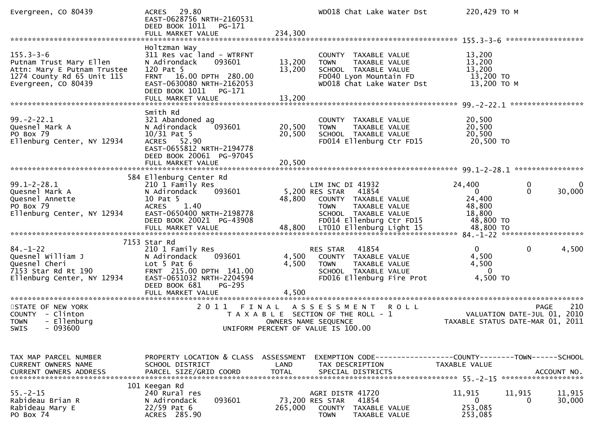| Evergreen, CO 80439                                                                                                            | 29.80<br><b>ACRES</b><br>EAST-0628756 NRTH-2160531<br>DEED BOOK 1011<br>PG-171<br>FULL MARKET VALUE                                                                                   | 234,300                    | WD018 Chat Lake Water Dst                                                                                                                               | 220,429 ТО М                                                        |                                                                                       |
|--------------------------------------------------------------------------------------------------------------------------------|---------------------------------------------------------------------------------------------------------------------------------------------------------------------------------------|----------------------------|---------------------------------------------------------------------------------------------------------------------------------------------------------|---------------------------------------------------------------------|---------------------------------------------------------------------------------------|
| $155.3 - 3 - 6$<br>Putnam Trust Mary Ellen<br>Attn: Mary E Putnam Trustee<br>1274 County Rd 65 Unit 115<br>Evergreen, CO 80439 | Holtzman Way<br>311 Res vac land - WTRFNT<br>093601<br>N Adirondack<br>120 Pat 5<br>16.00 DPTH 280.00<br><b>FRNT</b><br>EAST-0630080 NRTH-2162053<br>DEED BOOK 1011<br>PG-171         | 13,200<br>13,200           | COUNTY TAXABLE VALUE<br>TAXABLE VALUE<br><b>TOWN</b><br>SCHOOL TAXABLE VALUE<br>FD040 Lyon Mountain FD<br>WD018 Chat Lake Water Dst                     | 13,200<br>13,200<br>13,200<br>13,200 TO<br>13,200 TO M              |                                                                                       |
| $99. - 2 - 22.1$<br>Quesnel Mark A<br>PO Box 79<br>Ellenburg Center, NY 12934                                                  | Smith Rd<br>321 Abandoned ag<br>093601<br>N Adirondack<br>$10/31$ Pat 5<br><b>ACRES</b><br>52.90<br>EAST-0655812 NRTH-2194778<br>DEED BOOK 20061 PG-97045<br>FULL MARKET VALUE        | 20,500<br>20,500<br>20,500 | COUNTY TAXABLE VALUE<br>TAXABLE VALUE<br><b>TOWN</b><br>SCHOOL TAXABLE VALUE<br>FD014 Ellenburg Ctr FD15                                                | 20,500<br>20,500<br>20,500<br>20,500 TO                             |                                                                                       |
| $99.1 - 2 - 28.1$<br>Quesnel Mark A<br>Quesnel Annette<br>PO Box 79<br>Ellenburg Center, NY 12934                              | 584 Ellenburg Center Rd<br>210 1 Family Res<br>093601<br>N Adirondack<br>10 Pat 5<br>1.40<br><b>ACRES</b><br>EAST-0650400 NRTH-2198778<br>DEED BOOK 20021 PG-43908                    | 48,800                     | LIM INC DI 41932<br>41854<br>5,200 RES STAR<br>COUNTY TAXABLE VALUE<br><b>TOWN</b><br>TAXABLE VALUE<br>SCHOOL TAXABLE VALUE<br>FD014 Ellenburg Ctr FD15 | 24,400<br>$\overline{0}$<br>24,400<br>48,800<br>18,800<br>48,800 TO | 0<br>0<br>$\mathbf{0}$<br>30,000                                                      |
| $84. - 1 - 22$<br>Quesnel William J<br>Quesnel Cheri<br>7153 Star Rd Rt 190<br>Ellenburg Center, NY 12934                      | 7153 Star Rd<br>210 1 Family Res<br>093601<br>N Adirondack<br>Lot $5$ Pat $6$<br>FRNT 215.00 DPTH 141.00<br>EAST-0651032 NRTH-2204594<br>DEED BOOK 681<br>PG-295<br>FULL MARKET VALUE | 4,500<br>4,500<br>4,500    | 41854<br>RES STAR<br>COUNTY TAXABLE VALUE<br>TAXABLE VALUE<br><b>TOWN</b><br>SCHOOL TAXABLE VALUE<br>FD016 Ellenburg Fire Prot                          | $\overline{0}$<br>4,500<br>4,500<br>- 0<br>4,500 TO                 | $\mathbf{0}$<br>4,500                                                                 |
| STATE OF NEW YORK<br>COUNTY - Clinton<br>- Ellenburg<br><b>TOWN</b><br>- 093600<br>SWIS                                        | 2011                                                                                                                                                                                  | FINAL                      | ASSESSMENT<br><b>ROLL</b><br>T A X A B L E SECTION OF THE ROLL - 1<br>OWNERS NAME SEQUENCE<br>UNIFORM PERCENT OF VALUE IS 100.00                        |                                                                     | 210<br><b>PAGE</b><br>VALUATION DATE-JUL 01, 2010<br>TAXABLE STATUS DATE-MAR 01, 2011 |
| TAX MAP PARCEL NUMBER<br>CURRENT OWNERS NAME<br><b>CURRENT OWNERS ADDRESS</b>                                                  | PROPERTY LOCATION & CLASS ASSESSMENT<br>SCHOOL DISTRICT<br>PARCEL SIZE/GRID COORD                                                                                                     | LAND<br><b>TOTAL</b>       | EXEMPTION CODE-----------------COUNTY-------TOWN------SCHOOL<br>TAX DESCRIPTION<br>SPECIAL DISTRICTS                                                    | TAXABLE VALUE                                                       | ACCOUNT NO.                                                                           |
| $55. - 2 - 15$<br>Rabideau Brian R<br>Rabideau Mary E<br>PO Box 74                                                             | 101 Keegan Rd<br>240 Rural res<br>093601<br>N Adirondack<br>$22/59$ Pat 6<br>ACRES 285.90                                                                                             | 265,000                    | AGRI DISTR 41720<br>73,200 RES STAR<br>41854<br><b>COUNTY</b><br>TAXABLE VALUE<br>TAXABLE VALUE<br><b>TOWN</b>                                          | 11,915<br>$\mathbf{0}$<br>253,085<br>253,085                        | 11,915<br>11,915<br>30,000<br>0                                                       |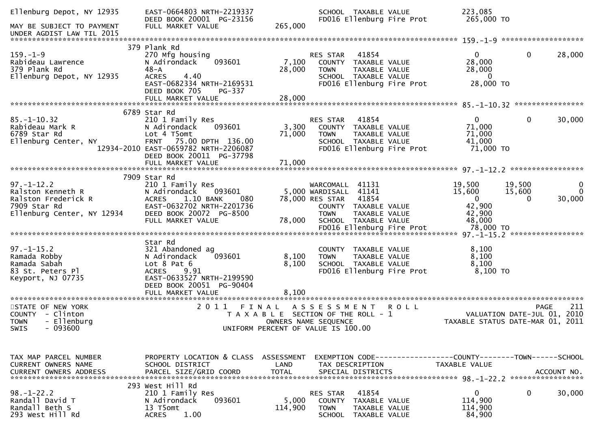| Ellenburg Depot, NY 12935                                                                                  | EAST-0664803 NRTH-2219337<br>DEED BOOK 20001 PG-23156                                                                                                                             |                      | SCHOOL TAXABLE VALUE<br>FD016 Ellenburg Fire Prot                                                                                                    | 223,085<br>265,000 TO                                                                                         |                                       |
|------------------------------------------------------------------------------------------------------------|-----------------------------------------------------------------------------------------------------------------------------------------------------------------------------------|----------------------|------------------------------------------------------------------------------------------------------------------------------------------------------|---------------------------------------------------------------------------------------------------------------|---------------------------------------|
| MAY BE SUBJECT TO PAYMENT<br>UNDER AGDIST LAW TIL 2015                                                     | FULL MARKET VALUE                                                                                                                                                                 | 265,000              |                                                                                                                                                      |                                                                                                               |                                       |
|                                                                                                            |                                                                                                                                                                                   |                      |                                                                                                                                                      |                                                                                                               |                                       |
| $159. - 1 - 9$<br>Rabideau Lawrence<br>379 Plank Rd<br>Ellenburg Depot, NY 12935                           | 379 Plank Rd<br>270 Mfg housing<br>093601<br>N Adirondack<br>$48 - A$<br>4.40<br><b>ACRES</b><br>EAST-0682334 NRTH-2169531<br>DEED BOOK 705<br>PG-337                             | 7,100<br>28,000      | 41854<br>RES STAR<br>COUNTY TAXABLE VALUE<br><b>TOWN</b><br>TAXABLE VALUE<br>SCHOOL TAXABLE VALUE<br>FD016 Ellenburg Fire Prot                       | $\mathbf{0}$<br>$\overline{0}$<br>28,000<br>28,000<br>$\Omega$<br>28,000 TO                                   | 28,000                                |
|                                                                                                            |                                                                                                                                                                                   |                      |                                                                                                                                                      |                                                                                                               |                                       |
| $85. - 1 - 10.32$<br>Rabideau Mark R<br>6789 Star Rd<br>Ellenburg Center, NY                               | 6789 Star Rd<br>210 1 Family Res<br>N Adirondack<br>093601<br>Lot 4 T5omt<br>75.00 DPTH 136.00<br><b>FRNT</b><br>12934-2010 EAST-0659782 NRTH-2206087<br>DEED BOOK 20011 PG-37798 | 3,300<br>71,000      | RES STAR<br>41854<br>COUNTY TAXABLE VALUE<br>TAXABLE VALUE<br>TOWN<br>SCHOOL TAXABLE VALUE<br>FD016 Ellenburg Fire Prot                              | $\mathbf{0}$<br>$\mathbf{0}$<br>71,000<br>71,000<br>41,000<br>71,000 TO                                       | 30,000                                |
|                                                                                                            |                                                                                                                                                                                   |                      |                                                                                                                                                      |                                                                                                               |                                       |
| $97. - 1 - 12.2$<br>Ralston Kenneth R<br>Ralston Frederick R<br>7909 Star Rd<br>Ellenburg Center, NY 12934 | 7909 Star Rd<br>210 1 Family Res<br>N Adirondack<br>093601<br>1.10 BANK<br><b>ACRES</b><br>080<br>EAST-0632702 NRTH-2201736<br>DEED BOOK 20072 PG-8500<br>FULL MARKET VALUE       | 78,000               | WARCOMALL 41131<br>5,000 WARDISALL 41141<br>78,000 RES STAR<br>41854<br>COUNTY TAXABLE VALUE<br>TAXABLE VALUE<br><b>TOWN</b><br>SCHOOL TAXABLE VALUE | 19,500<br>19,500<br>15,600<br>15,600<br>$\overline{0}$<br>$\Omega$<br>42,900<br>42,900<br>48,000              | $\mathbf 0$<br>$\mathbf{0}$<br>30,000 |
| $97. - 1 - 15.2$<br>Ramada Robby<br>Ramada Sabah<br>83 St. Peters Pl<br>Keyport, NJ 07735                  | Star Rd<br>321 Abandoned ag<br>093601<br>N Adirondack<br>Lot $8$ Pat $6$<br><b>ACRES</b><br>9.91<br>EAST-0633527 NRTH-2199590<br>DEED BOOK 20051 PG-90404                         | 8,100<br>8,100       | COUNTY TAXABLE VALUE<br>TAXABLE VALUE<br>TOWN<br>SCHOOL TAXABLE VALUE<br>FD016 Ellenburg Fire Prot                                                   | 8,100<br>8,100<br>8,100<br>8,100 то                                                                           |                                       |
| STATE OF NEW YORK<br>COUNTY - Clinton<br>- Ellenburg<br><b>TOWN</b><br>SWIS<br>$-093600$                   | 2011 FINAL                                                                                                                                                                        |                      | ASSESSMENT<br><b>ROLL</b><br>T A X A B L E SECTION OF THE ROLL - 1<br>OWNERS NAME SEQUENCE<br>UNIFORM PERCENT OF VALUE IS 100.00                     | <b>PAGE</b><br>VALUATION DATE-JUL 01, 2010<br>VALUATION DATE-JUL 01, 2010<br>TAXABLE STATUS DATE-MAR 01, 2011 | 211                                   |
|                                                                                                            |                                                                                                                                                                                   |                      |                                                                                                                                                      |                                                                                                               |                                       |
| TAX MAP PARCEL NUMBER<br><b>CURRENT OWNERS NAME</b><br><b>CURRENT OWNERS ADDRESS</b>                       | PROPERTY LOCATION & CLASS ASSESSMENT<br>SCHOOL DISTRICT<br>PARCEL SIZE/GRID COORD                                                                                                 | LAND<br><b>TOTAL</b> | TAX DESCRIPTION<br>SPECIAL DISTRICTS                                                                                                                 | EXEMPTION CODE-----------------COUNTY-------TOWN------SCHOOL<br>TAXABLE VALUE                                 | ACCOUNT NO.                           |
|                                                                                                            | 293 West Hill Rd                                                                                                                                                                  |                      |                                                                                                                                                      |                                                                                                               |                                       |
| $98. - 1 - 22.2$<br>Randall David T<br>Randall Beth S<br>293 West Hill Rd                                  | 210 1 Family Res<br>N Adirondack<br>093601<br>13 T5omt<br>1.00<br><b>ACRES</b>                                                                                                    | 5,000<br>114,900     | 41854<br>RES STAR<br>COUNTY<br>TAXABLE VALUE<br><b>TOWN</b><br>TAXABLE VALUE<br><b>SCHOOL</b><br>TAXABLE VALUE                                       | $\mathbf{0}$<br>0<br>114,900<br>114,900<br>84,900                                                             | 30,000                                |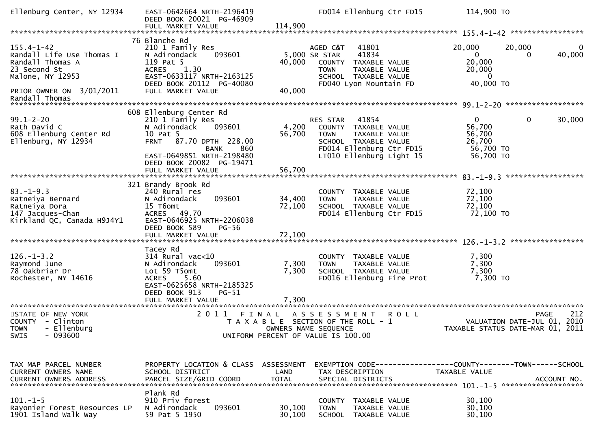| Ellenburg Center, NY 12934                                                                                                                          | EAST-0642664 NRTH-2196419<br>DEED BOOK 20021 PG-46909<br>FULL MARKET VALUE                                                                                                                                                | 114,900                   | FD014 Ellenburg Ctr FD15                                                                                                                                  |             | 114,900 TO                                                               |                                            |                          |
|-----------------------------------------------------------------------------------------------------------------------------------------------------|---------------------------------------------------------------------------------------------------------------------------------------------------------------------------------------------------------------------------|---------------------------|-----------------------------------------------------------------------------------------------------------------------------------------------------------|-------------|--------------------------------------------------------------------------|--------------------------------------------|--------------------------|
|                                                                                                                                                     |                                                                                                                                                                                                                           |                           |                                                                                                                                                           |             |                                                                          |                                            |                          |
| $155.4 - 1 - 42$<br>Randall Life Use Thomas I<br>Randall Thomas A<br>23 Second St<br>Malone, NY 12953<br>PRIOR OWNER ON 3/01/2011<br>Randall Thomas | 76 Blanche Rd<br>210 1 Family Res<br>093601<br>N Adirondack<br>119 Pat 5<br><b>ACRES</b><br>1.30<br>EAST-0633117 NRTH-2163125<br>DEED BOOK 20112 PG-40080<br>FULL MARKET VALUE                                            | 40,000<br>40,000          | AGED C&T<br>41801<br>5,000 SR STAR<br>41834<br>COUNTY TAXABLE VALUE<br>TAXABLE VALUE<br><b>TOWN</b><br>SCHOOL TAXABLE VALUE<br>FD040 Lyon Mountain FD     |             | 20,000<br>$\overline{0}$<br>20,000<br>20,000<br>$\mathbf 0$<br>40,000 TO | 20,000<br>0                                | $\overline{0}$<br>40,000 |
|                                                                                                                                                     |                                                                                                                                                                                                                           |                           |                                                                                                                                                           |             |                                                                          |                                            |                          |
| $99.1 - 2 - 20$<br>Rath David C<br>608 Ellenburg Center Rd<br>Ellenburg, NY 12934                                                                   | 608 Ellenburg Center Rd<br>210 1 Family Res<br>093601<br>N Adirondack<br>10 Pat 5<br>87.70 DPTH 228.00<br><b>FRNT</b><br>860<br><b>BANK</b><br>EAST-0649851 NRTH-2198480<br>DEED BOOK 20082 PG-19471<br>FULL MARKET VALUE | 4,200<br>56,700<br>56,700 | 41854<br>RES STAR<br>COUNTY TAXABLE VALUE<br>TAXABLE VALUE<br><b>TOWN</b><br>SCHOOL TAXABLE VALUE<br>FD014 Ellenburg Ctr FD15<br>LT010 Ellenburg Light 15 |             | $\Omega$<br>56,700<br>56,700<br>26,700<br>56,700 TO<br>56,700 TO         | $\mathbf 0$                                | 30,000                   |
|                                                                                                                                                     |                                                                                                                                                                                                                           |                           |                                                                                                                                                           |             |                                                                          |                                            |                          |
| $83. - 1 - 9.3$<br>Ratneiya Bernard<br>Ratneiya Dora<br>147 Jacques-Chan<br>Kirkland QC, Canada H9J4Y1                                              | 321 Brandy Brook Rd<br>240 Rural res<br>093601<br>N Adirondack<br>15 T6omt<br>ACRES 49.70<br>EAST-0646925 NRTH-2206038<br>DEED BOOK 589<br><b>PG-56</b>                                                                   | 34,400<br>72,100          | COUNTY TAXABLE VALUE<br><b>TOWN</b><br>TAXABLE VALUE<br>SCHOOL TAXABLE VALUE<br>FD014 Ellenburg Ctr FD15                                                  |             | 72,100<br>72,100<br>72,100<br>72,100 TO                                  |                                            |                          |
|                                                                                                                                                     |                                                                                                                                                                                                                           |                           |                                                                                                                                                           |             |                                                                          | *****************                          |                          |
| $126. - 1 - 3.2$<br>Raymond June<br>78 Oakbriar Dr<br>Rochester, NY 14616                                                                           | Tacey Rd<br>314 Rural vac<10<br>093601<br>N Adirondack<br>Lot 59 T5omt<br><b>ACRES</b><br>5.60<br>EAST-0625658 NRTH-2185325<br>DEED BOOK 913<br>$PG-51$<br>FULL MARKET VALUE                                              | 7,300<br>7,300<br>7,300   | COUNTY TAXABLE VALUE<br><b>TOWN</b><br>TAXABLE VALUE<br>SCHOOL TAXABLE VALUE<br>FD016 Ellenburg Fire Prot                                                 |             | 7,300<br>7,300<br>7,300<br>7,300 TO                                      |                                            |                          |
|                                                                                                                                                     | 2 0 1 1                                                                                                                                                                                                                   |                           |                                                                                                                                                           |             |                                                                          |                                            |                          |
| STATE OF NEW YORK<br>COUNTY - Clinton<br>TOWN - Ellenburg<br>$-093600$<br><b>SWIS</b>                                                               | FINAL                                                                                                                                                                                                                     |                           | ASSESSMENT<br>T A X A B L E SECTION OF THE ROLL - 1<br>OWNERS NAME SEQUENCE<br>UNIFORM PERCENT OF VALUE IS 100.00                                         | <b>ROLL</b> | TAXABLE STATUS DATE-MAR 01, 2011                                         | <b>PAGE</b><br>VALUATION DATE-JUL 01, 2010 | 212                      |
|                                                                                                                                                     |                                                                                                                                                                                                                           |                           |                                                                                                                                                           |             |                                                                          |                                            |                          |
| TAX MAP PARCEL NUMBER<br><b>CURRENT OWNERS NAME</b>                                                                                                 | PROPERTY LOCATION & CLASS ASSESSMENT<br>SCHOOL DISTRICT                                                                                                                                                                   | LAND                      | EXEMPTION CODE------------------COUNTY--------TOWN------SCHOOL<br>TAX DESCRIPTION                                                                         |             | TAXABLE VALUE                                                            |                                            |                          |
|                                                                                                                                                     | Plank Rd                                                                                                                                                                                                                  |                           |                                                                                                                                                           |             |                                                                          |                                            |                          |
| $101. -1 - 5$<br>Rayonier Forest Resources LP<br>1901 Island Walk Way                                                                               | 910 Priv forest<br>093601<br>N Adirondack<br>59 Pat 5 1950                                                                                                                                                                | 30,100<br>30,100          | COUNTY TAXABLE VALUE<br><b>TOWN</b><br>TAXABLE VALUE<br>SCHOOL TAXABLE VALUE                                                                              |             | 30,100<br>30,100<br>30,100                                               |                                            |                          |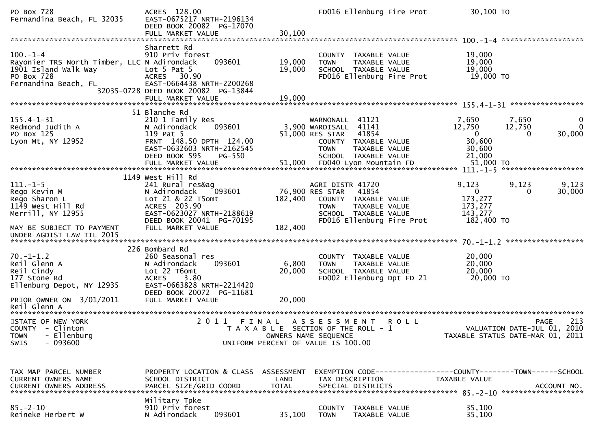| PO Box 728<br>Fernandina Beach, FL 32035                                                                                                            | ACRES 128.00<br>EAST-0675217 NRTH-2196134<br>DEED BOOK 20082 PG-17070<br>FULL MARKET VALUE                                                                                         | 30,100                     | FD016 Ellenburg Fire Prot                                                                                                                                 | 30,100 TO                                                              |                                                                                       |
|-----------------------------------------------------------------------------------------------------------------------------------------------------|------------------------------------------------------------------------------------------------------------------------------------------------------------------------------------|----------------------------|-----------------------------------------------------------------------------------------------------------------------------------------------------------|------------------------------------------------------------------------|---------------------------------------------------------------------------------------|
| $100. - 1 - 4$<br>Rayonier TRS North Timber, LLC N Adirondack<br>1901 Island Walk Way<br>PO Box 728<br>Fernandina Beach, FL                         | Sharrett Rd<br>910 Priv forest<br>093601<br>Lot $5$ Pat $5$<br>ACRES 30.90<br>EAST-0664438 NRTH-2200268<br>32035-0728 DEED BOOK 20082 PG-13844<br>FULL MARKET VALUE                | 19,000<br>19,000<br>19,000 | COUNTY TAXABLE VALUE<br>TAXABLE VALUE<br><b>TOWN</b><br>SCHOOL TAXABLE VALUE<br>FD016 Ellenburg Fire Prot                                                 | 19,000<br>19,000<br>19,000<br>19,000 TO                                |                                                                                       |
| $155.4 - 1 - 31$<br>Redmond Judith A<br>PO Box 125<br>Lyon Mt, NY 12952                                                                             | 51 Blanche Rd<br>210 1 Family Res<br>093601<br>N Adirondack<br>119 Pat 5<br>FRNT 148.50 DPTH 124.00<br>EAST-0632603 NRTH-2162545<br>DEED BOOK 595<br>PG-550                        |                            | WARNONALL 41121<br>3,900 WARDISALL 41141<br>51,000 RES STAR<br>41854<br>COUNTY TAXABLE VALUE<br><b>TOWN</b><br>TAXABLE VALUE<br>SCHOOL TAXABLE VALUE      | 7,650<br>12,750<br>$\overline{0}$<br>30,600<br>30,600<br>21,000        | 7,650<br>0<br>0<br>12,750<br>30,000<br>0                                              |
| $111. - 1 - 5$<br>Rego Kevin M<br>Rego Sharon L<br>1149 West Hill Rd<br>Merrill, NY 12955<br>MAY BE SUBJECT TO PAYMENT<br>UNDER AGDIST LAW TIL 2015 | 1149 West Hill Rd<br>241 Rural res&ag<br>093601<br>N Adirondack<br>Lot 21 & 22 T5omt<br>ACRES 203.90<br>EAST-0623027 NRTH-2188619<br>DEED BOOK 20041 PG-70195<br>FULL MARKET VALUE | 182,400<br>182,400         | AGRI DISTR 41720<br>76,900 RES STAR<br>41854<br>COUNTY TAXABLE VALUE<br>TAXABLE VALUE<br><b>TOWN</b><br>SCHOOL TAXABLE VALUE<br>FD016 Ellenburg Fire Prot | 9,123<br>$\overline{0}$<br>173,277<br>173,277<br>143,277<br>182,400 TO | 9,123<br>9,123<br>30,000<br>$\Omega$                                                  |
| $70. - 1 - 1.2$<br>Reil Glenn A<br>Reil Cindy<br>177 Stone Rd<br>Ellenburg Depot, NY 12935<br>PRIOR OWNER ON 3/01/2011<br>Reil Glenn A              | 226 Bombard Rd<br>260 Seasonal res<br>N Adirondack<br>093601<br>Lot 22 T6omt<br><b>ACRES</b><br>3.80<br>EAST-0663828 NRTH-2214420<br>DEED BOOK 20072 PG-11681<br>FULL MARKET VALUE | 6,800<br>20,000<br>20,000  | COUNTY TAXABLE VALUE<br>TAXABLE VALUE<br><b>TOWN</b><br>SCHOOL TAXABLE VALUE<br>FD002 Ellenburg Dpt FD 21                                                 | 20,000<br>20,000<br>20,000<br>20,000 TO                                |                                                                                       |
| STATE OF NEW YORK<br>COUNTY - Clinton<br>- Ellenburg<br><b>TOWN</b><br>$-093600$<br>SWIS                                                            | 2011<br>FINAL                                                                                                                                                                      |                            | A S S E S S M E N T<br><b>ROLL</b><br>T A X A B L E SECTION OF THE ROLL - 1<br>OWNERS NAME SEQUENCE<br>UNIFORM PERCENT OF VALUE IS 100.00                 |                                                                        | 213<br><b>PAGE</b><br>VALUATION DATE-JUL 01, 2010<br>TAXABLE STATUS DATE-MAR 01, 2011 |
| TAX MAP PARCEL NUMBER<br>CURRENT OWNERS NAME<br>CURRENT OWNERS ADDRESS                                                                              | PROPERTY LOCATION & CLASS ASSESSMENT<br>SCHOOL DISTRICT<br>PARCEL SIZE/GRID COORD                                                                                                  | LAND<br><b>TOTAL</b>       | EXEMPTION CODE------------------COUNTY--------TOWN------SCHOOL<br>TAX DESCRIPTION<br>SPECIAL DISTRICTS                                                    | <b>TAXABLE VALUE</b>                                                   | ACCOUNT NO.                                                                           |
| $85. - 2 - 10$<br>Reineke Herbert W                                                                                                                 | Military Tpke<br>910 Priv forest<br>093601<br>N Adirondack                                                                                                                         | 35,100                     | COUNTY TAXABLE VALUE<br><b>TOWN</b><br>TAXABLE VALUE                                                                                                      | 35,100<br>35,100                                                       |                                                                                       |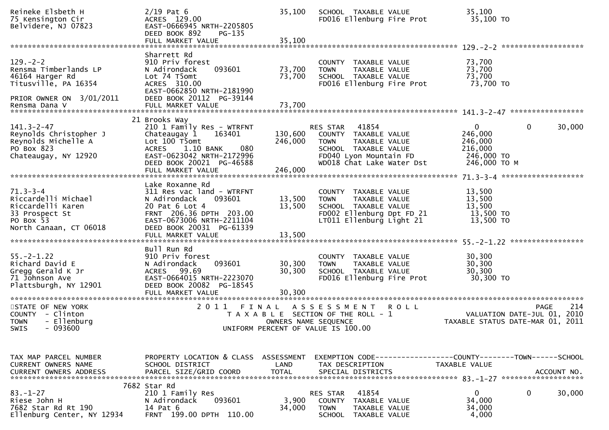| Reineke Elsbeth H<br>75 Kensington Cir<br>Belvidere, NJ 07823                                                       | $2/19$ Pat 6<br>ACRES 129.00<br>EAST-0666945 NRTH-2205805<br>DEED BOOK 892<br>PG-135<br>FULL MARKET VALUE                                                                          | 35,100<br>35,100           | SCHOOL TAXABLE VALUE<br>FD016 Ellenburg Fire Prot                                                                                                        | 35,100<br>35,100 TO                                                         |                       |
|---------------------------------------------------------------------------------------------------------------------|------------------------------------------------------------------------------------------------------------------------------------------------------------------------------------|----------------------------|----------------------------------------------------------------------------------------------------------------------------------------------------------|-----------------------------------------------------------------------------|-----------------------|
|                                                                                                                     |                                                                                                                                                                                    |                            |                                                                                                                                                          |                                                                             |                       |
| $129. - 2 - 2$<br>Rensma Timberlands LP<br>46164 Harger Rd<br>Titusville, PA 16354                                  | Sharrett Rd<br>910 Priv forest<br>093601<br>N Adirondack<br>Lot 74 T5omt<br>ACRES 310.00<br>EAST-0662850 NRTH-2181990                                                              | 73,700<br>73,700           | COUNTY TAXABLE VALUE<br>TAXABLE VALUE<br><b>TOWN</b><br>SCHOOL TAXABLE VALUE<br>FD016 Ellenburg Fire Prot                                                | 73,700<br>73,700<br>73,700<br>73,700 TO                                     |                       |
| PRIOR OWNER ON 3/01/2011                                                                                            | DEED BOOK 20112 PG-39144                                                                                                                                                           |                            |                                                                                                                                                          |                                                                             |                       |
| $141.3 - 2 - 47$<br>Reynolds Christopher J<br>Reynolds Michelle A<br>PO Box 823<br>Chateaugay, NY 12920             | 21 Brooks Way<br>210 1 Family Res - WTRFNT<br>Chateaugay 1<br>163401<br>Lot 100 T5omt<br>1.10 BANK<br>080<br><b>ACRES</b><br>EAST-0623042 NRTH-2172996<br>DEED BOOK 20021 PG-46588 | 130,600<br>246,000         | 41854<br>RES STAR<br>COUNTY TAXABLE VALUE<br>TAXABLE VALUE<br><b>TOWN</b><br>SCHOOL TAXABLE VALUE<br>FD040 Lyon Mountain FD<br>WD018 Chat Lake Water Dst | $\mathbf{0}$<br>246,000<br>246,000<br>216,000<br>246,000 TO<br>246,000 ТО М | $\mathbf 0$<br>30,000 |
|                                                                                                                     |                                                                                                                                                                                    |                            |                                                                                                                                                          |                                                                             |                       |
| $71.3 - 3 - 4$<br>Riccardelli Michael<br>Riccardelli Karen<br>33 Prospect St<br>PO Box 53<br>North Canaan, CT 06018 | Lake Roxanne Rd<br>311 Res vac land - WTRFNT<br>093601<br>N Adirondack<br>20 Pat 6 Lot 4<br>FRNT 206.36 DPTH 203.00<br>EAST-0673006 NRTH-2211104<br>DEED BOOK 20031 PG-61339       | 13,500<br>13,500           | COUNTY TAXABLE VALUE<br>TAXABLE VALUE<br>TOWN<br>SCHOOL TAXABLE VALUE<br>FD002 Ellenburg Dpt FD 21<br>LT011 Ellenburg Light 21                           | 13,500<br>13,500<br>13,500<br>13,500 TO<br>13,500 TO                        |                       |
|                                                                                                                     | Bull Run Rd                                                                                                                                                                        |                            |                                                                                                                                                          |                                                                             |                       |
| $55. - 2 - 1.22$<br>Richard David E<br>Gregg Gerald K Jr<br>71 Johnson Ave<br>Plattsburgh, NY 12901                 | 910 Priv forest<br>093601<br>N Adirondack<br>ACRES 99.69<br>EAST-0664015 NRTH-2223070<br>DEED BOOK 20082 PG-18545<br>FULL MARKET VALUE                                             | 30,300<br>30,300<br>30,300 | COUNTY TAXABLE VALUE<br>TAXABLE VALUE<br><b>TOWN</b><br>SCHOOL TAXABLE VALUE<br>FD016 Ellenburg Fire Prot                                                | 30,300<br>30,300<br>30,300<br>30,300 TO                                     |                       |
| STATE OF NEW YORK<br>COUNTY - Clinton<br><b>TOWN</b><br>- Ellenburg                                                 | 2011                                                                                                                                                                               | FINAL                      | A S S E S S M E N T<br><b>ROLL</b><br>T A X A B L E SECTION OF THE ROLL - 1<br>OWNERS NAME SEQUENCE<br>UNIFORM PERCENT OF VALUE IS 100.00                | VALUATION DATE-JUL 01, 2010<br>TAXABLE STATUS DATE-MAR 01, 2011             | 214<br><b>PAGE</b>    |
| SWIS - 093600                                                                                                       |                                                                                                                                                                                    |                            |                                                                                                                                                          |                                                                             |                       |
|                                                                                                                     |                                                                                                                                                                                    |                            |                                                                                                                                                          |                                                                             |                       |
| TAX MAP PARCEL NUMBER<br>CURRENT OWNERS NAME                                                                        | PROPERTY LOCATION & CLASS ASSESSMENT<br>SCHOOL DISTRICT                                                                                                                            | LAND                       | EXEMPTION CODE-----------------COUNTY-------TOWN------SCHOOL<br>TAX DESCRIPTION                                                                          | TAXABLE VALUE                                                               |                       |
|                                                                                                                     | 7682 Star Rd                                                                                                                                                                       |                            |                                                                                                                                                          |                                                                             |                       |
| $83 - 1 - 27$<br>Riese John H<br>7682 Star Rd Rt 190<br>Ellenburg Center, NY 12934                                  | 210 1 Family Res<br>093601<br>N Adirondack<br>14 Pat 6<br>FRNT 199.00 DPTH 110.00                                                                                                  | 3,900<br>34,000            | 41854<br><b>RES STAR</b><br>COUNTY TAXABLE VALUE<br><b>TOWN</b><br>TAXABLE VALUE<br>SCHOOL TAXABLE VALUE                                                 | $\mathbf{0}$<br>34,000<br>34,000<br>4,000                                   | 0<br>30,000           |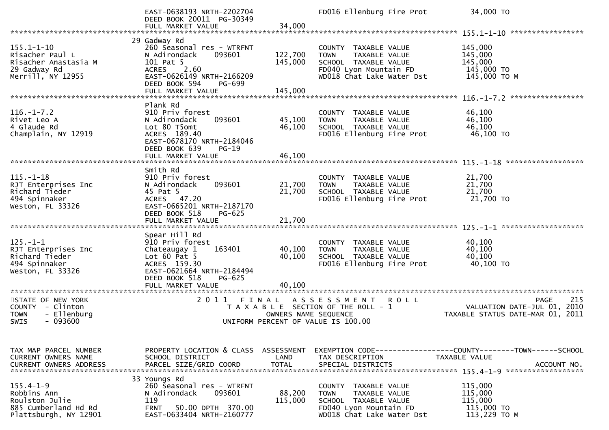|                                                                                                   | EAST-0638193 NRTH-2202704<br>DEED BOOK 20011 PG-30349<br>FULL MARKET VALUE                                                                                                  | 34,000                     | FD016 Ellenburg Fire Prot                                                                                                           | 34,000 TO                                                                                    |
|---------------------------------------------------------------------------------------------------|-----------------------------------------------------------------------------------------------------------------------------------------------------------------------------|----------------------------|-------------------------------------------------------------------------------------------------------------------------------------|----------------------------------------------------------------------------------------------|
|                                                                                                   |                                                                                                                                                                             |                            |                                                                                                                                     |                                                                                              |
| $155.1 - 1 - 10$<br>Risacher Paul L<br>Risacher Anastasia M<br>29 Gadway Rd<br>Merrill, NY 12955  | 29 Gadway Rd<br>260 Seasonal res - WTRFNT<br>N Adirondack<br>093601<br>101 Pat 5<br>ACRES<br>2.60<br>EAST-0626149 NRTH-2166209<br>DEED BOOK 594<br>PG-699                   | 122,700<br>145,000         | COUNTY TAXABLE VALUE<br><b>TOWN</b><br>TAXABLE VALUE<br>SCHOOL TAXABLE VALUE<br>FD040 Lyon Mountain FD<br>WD018 Chat Lake Water Dst | 145,000<br>145,000<br>145,000<br>145,000 TO<br>145,000 TO M                                  |
|                                                                                                   | FULL MARKET VALUE                                                                                                                                                           | 145,000                    |                                                                                                                                     |                                                                                              |
| $116. - 1 - 7.2$<br>Rivet Leo A<br>4 Glaude Rd<br>Champlain, NY 12919                             | Plank Rd<br>910 Priv forest<br>093601<br>N Adirondack<br>Lot 80 T5omt<br>ACRES 189.40<br>EAST-0678170 NRTH-2184046<br>DEED BOOK 639<br>$PG-19$                              | 45,100<br>46,100           | COUNTY TAXABLE VALUE<br><b>TOWN</b><br>TAXABLE VALUE<br>SCHOOL TAXABLE VALUE<br>FD016 Ellenburg Fire Prot                           | 46,100<br>46,100<br>46,100<br>46,100 TO                                                      |
|                                                                                                   | FULL MARKET VALUE                                                                                                                                                           | 46,100                     |                                                                                                                                     |                                                                                              |
| $115. - 1 - 18$<br>RJT Enterprises Inc<br>Richard Tieder<br>494 Spinnaker                         | Smith Rd<br>910 Priv forest<br>093601<br>N Adirondack<br>45 Pat 5<br>ACRES 47.20                                                                                            | 21,700<br>21,700           | COUNTY TAXABLE VALUE<br>TAXABLE VALUE<br><b>TOWN</b><br>SCHOOL TAXABLE VALUE<br>FD016 Ellenburg Fire Prot                           | 21,700<br>21,700<br>21,700<br>21,700 TO                                                      |
| Weston, FL 33326                                                                                  | EAST-0665201 NRTH-2187170<br>DEED BOOK 518<br>$PG-625$<br>FULL MARKET VALUE                                                                                                 | 21,700                     |                                                                                                                                     |                                                                                              |
| $125. - 1 - 1$<br>RJT Enterprises Inc<br>Richard Tieder<br>494 Spinnaker<br>Weston, FL 33326      | Spear Hill Rd<br>910 Priv forest<br>Chateaugay 1<br>163401<br>Lot $60$ Pat $5$<br>ACRES 159.30<br>EAST-0621664 NRTH-2184494<br>DEED BOOK 518<br>PG-625<br>FULL MARKET VALUE | 40,100<br>40,100<br>40.100 | COUNTY TAXABLE VALUE<br><b>TOWN</b><br>TAXABLE VALUE<br>SCHOOL TAXABLE VALUE<br>FD016 Ellenburg Fire Prot                           | 40,100<br>40,100<br>40,100<br>40,100 TO                                                      |
| ************************                                                                          | *****************************                                                                                                                                               |                            |                                                                                                                                     |                                                                                              |
| STATE OF NEW YORK<br>COUNTY - Clinton<br>- Ellenburg<br><b>TOWN</b><br>$-093600$<br>SWIS          | 2011<br>FINAL                                                                                                                                                               | OWNERS NAME SEQUENCE       | A S S E S S M E N T<br><b>ROLL</b><br>T A X A B L E SECTION OF THE ROLL - 1<br>UNIFORM PERCENT OF VALUE IS 100.00                   | 215<br><b>PAGE</b><br>VALUATION DATE-JUL 01, 2010<br>TAXABLE STATUS DATE-MAR 01, 2011        |
| TAX MAP PARCEL NUMBER<br>CURRENT OWNERS NAME<br><b>CURRENT OWNERS ADDRESS</b>                     | PROPERTY LOCATION & CLASS ASSESSMENT<br>SCHOOL DISTRICT<br>PARCEL SIZE/GRID COORD                                                                                           | LAND<br><b>TOTAL</b>       | TAX DESCRIPTION<br>SPECIAL DISTRICTS                                                                                                | EXEMPTION CODE-----------------COUNTY-------TOWN------SCHOOL<br>TAXABLE VALUE<br>ACCOUNT NO. |
| $155.4 - 1 - 9$<br>Robbins Ann<br>Roulston Julie<br>885 Cumberland Hd Rd<br>Plattsburgh, NY 12901 | 33 Youngs Rd<br>260 Seasonal res - WTRFNT<br>N Adirondack<br>093601<br>119<br><b>FRNT</b><br>50.00 DPTH 370.00<br>EAST-0633404 NRTH-2160777                                 | 88,200<br>115,000          | COUNTY TAXABLE VALUE<br>TAXABLE VALUE<br>TOWN<br>SCHOOL TAXABLE VALUE<br>FD040 Lyon Mountain FD<br>WD018 Chat Lake Water Dst        | 115,000<br>115,000<br>115,000<br>115,000 TO<br>113,229 TO M                                  |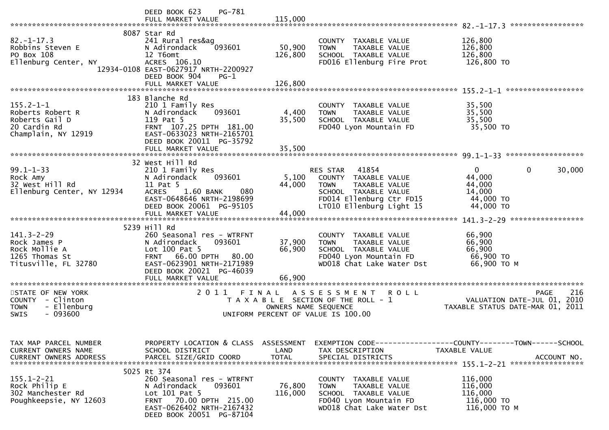|                                                                                              | PG-781<br>DEED BOOK 623                                                                                                                                                            |                                    |                                                                                                                                                              | *****************                                                                            |
|----------------------------------------------------------------------------------------------|------------------------------------------------------------------------------------------------------------------------------------------------------------------------------------|------------------------------------|--------------------------------------------------------------------------------------------------------------------------------------------------------------|----------------------------------------------------------------------------------------------|
| $82. - 1 - 17.3$<br>Robbins Steven E<br>PO Box 108<br>Ellenburg Center, NY                   | 8087 Star Rd<br>241 Rural res&ag<br>N Adirondack<br>093601<br>12 T6omt<br>ACRES 106.10<br>12934-0108 EAST-0627917 NRTH-2200927<br>DEED BOOK 904<br>$PG-1$<br>FULL MARKET VALUE     | 50,900<br>126,800<br>126,800       | COUNTY TAXABLE VALUE<br>TAXABLE VALUE<br><b>TOWN</b><br>SCHOOL TAXABLE VALUE<br>FD016 Ellenburg Fire Prot                                                    | 126,800<br>126,800<br>126,800<br>126,800 TO                                                  |
|                                                                                              |                                                                                                                                                                                    |                                    |                                                                                                                                                              |                                                                                              |
| $155.2 - 1 - 1$<br>Roberts Robert R<br>Roberts Gail D<br>20 Cardin Rd<br>Champlain, NY 12919 | 183 Blanche Rd<br>210 1 Family Res<br>N Adirondack<br>093601<br>119 Pat 5<br>FRNT 107.25 DPTH 181.00<br>EAST-0633023 NRTH-2165701<br>DEED BOOK 20011 PG-35792                      | 4,400<br>35,500                    | COUNTY TAXABLE VALUE<br>TAXABLE VALUE<br><b>TOWN</b><br>SCHOOL TAXABLE VALUE<br>FD040 Lyon Mountain FD                                                       | 35,500<br>35,500<br>35,500<br>35,500 TO                                                      |
|                                                                                              |                                                                                                                                                                                    |                                    |                                                                                                                                                              |                                                                                              |
| $99.1 - 1 - 33$<br>Rock Amy<br>32 West Hill Rd<br>Ellenburg Center, NY 12934                 | 32 West Hill Rd<br>210 1 Family Res<br>N Adirondack<br>093601<br>11 Pat 5<br>1.60 BANK<br>080<br><b>ACRES</b><br>EAST-0648646 NRTH-2198699<br>DEED BOOK 20061 PG-95105             | 5,100<br>44,000                    | 41854<br>RES STAR<br>COUNTY<br>TAXABLE VALUE<br>TAXABLE VALUE<br><b>TOWN</b><br>SCHOOL TAXABLE VALUE<br>FD014 Ellenburg Ctr FD15<br>LT010 Ellenburg Light 15 | $\Omega$<br>$\mathbf 0$<br>30,000<br>44,000<br>44,000<br>14,000<br>44,000 TO<br>44,000 TO    |
|                                                                                              | FULL MARKET VALUE                                                                                                                                                                  | 44,000                             |                                                                                                                                                              |                                                                                              |
| $141.3 - 2 - 29$<br>Rock James P<br>Rock Mollie A<br>1265 Thomas St<br>Titusville, FL 32780  | 5239 Hill Rd<br>260 Seasonal res - WTRFNT<br>093601<br>N Adirondack<br>Lot $100$ Pat 5<br>66.00 DPTH 80.00<br><b>FRNT</b><br>EAST-0623901 NRTH-2171989<br>DEED BOOK 20021 PG-46039 | 37,900<br>66,900                   | COUNTY TAXABLE VALUE<br>TAXABLE VALUE<br><b>TOWN</b><br>SCHOOL TAXABLE VALUE<br>FD040 Lyon Mountain FD<br>WD018 Chat Lake Water Dst                          | 66,900<br>66,900<br>66,900<br>66,900 ТО<br>66,900 ТО М                                       |
|                                                                                              | FULL MARKET VALUE                                                                                                                                                                  | 66,900                             |                                                                                                                                                              |                                                                                              |
| STATE OF NEW YORK<br>COUNTY - Clinton<br>- Ellenburg<br><b>TOWN</b><br>$-093600$<br>SWIS     | 2011 FINAL                                                                                                                                                                         |                                    | A S S E S S M E N T<br>R O L L<br>T A X A B L E SECTION OF THE ROLL - 1<br>OWNERS NAME SEQUENCE<br>UNIFORM PERCENT OF VALUE IS 100.00                        | 216<br><b>PAGE</b><br>VALUATION DATE-JUL 01,<br>2010<br>TAXABLE STATUS DATE-MAR 01, 2011     |
| TAX MAP PARCEL NUMBER<br>CURRENT OWNERS NAME<br><b>CURRENT OWNERS ADDRESS</b>                | PROPERTY LOCATION & CLASS<br>SCHOOL DISTRICT<br>PARCEL SIZE/GRID COORD                                                                                                             | ASSESSMENT<br>LAND<br><b>TOTAL</b> | TAX DESCRIPTION<br>SPECIAL DISTRICTS                                                                                                                         | EXEMPTION CODE-----------------COUNTY-------TOWN------SCHOOL<br>TAXABLE VALUE<br>ACCOUNT NO. |
| $155.1 - 2 - 21$<br>Rock Philip E<br>302 Manchester Rd<br>Poughkeepsie, NY 12603             | 5025 Rt 374<br>260 Seasonal res - WTRFNT<br>093601<br>N Adirondack<br>Lot $101$ Pat 5<br>FRNT 70.00 DPTH 215.00<br>EAST-0626402 NRTH-2167432<br>DEED BOOK 20051 PG-87104           | 76,800<br>116,000                  | COUNTY TAXABLE VALUE<br><b>TOWN</b><br>TAXABLE VALUE<br>SCHOOL TAXABLE VALUE<br>FD040 Lyon Mountain FD<br>WD018 Chat Lake Water Dst                          | 116,000<br>116,000<br>116,000<br>116,000 TO<br>116,000 ТО М                                  |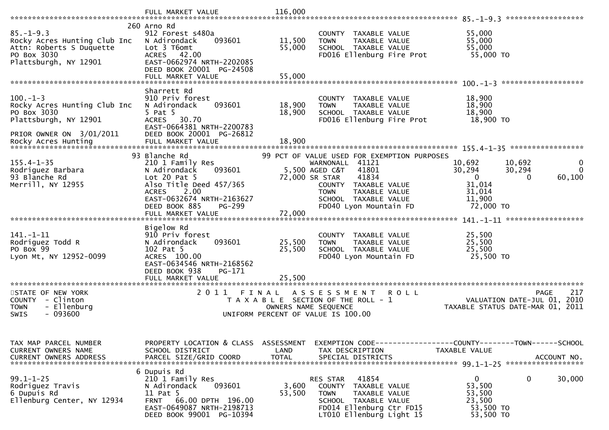|                                                                                                                     | FULL MARKET VALUE                                                                                                                                                                          | 116,000                            |                                                                                                                                                                                                                                |                                                                                                               | ******************      |
|---------------------------------------------------------------------------------------------------------------------|--------------------------------------------------------------------------------------------------------------------------------------------------------------------------------------------|------------------------------------|--------------------------------------------------------------------------------------------------------------------------------------------------------------------------------------------------------------------------------|---------------------------------------------------------------------------------------------------------------|-------------------------|
|                                                                                                                     | 260 Arno Rd                                                                                                                                                                                |                                    |                                                                                                                                                                                                                                |                                                                                                               |                         |
| $85. - 1 - 9.3$<br>Rocky Acres Hunting Club Inc<br>Attn: Roberts S Duquette<br>PO Box 3030<br>Plattsburgh, NY 12901 | 912 Forest s480a<br>093601<br>N Adirondack<br>Lot 3 T6omt<br>ACRES 42.00<br>EAST-0662974 NRTH-2202085                                                                                      | 11,500<br>55,000                   | COUNTY TAXABLE VALUE<br>TAXABLE VALUE<br><b>TOWN</b><br>SCHOOL TAXABLE VALUE<br>FD016 Ellenburg Fire Prot                                                                                                                      | 55,000<br>55,000<br>55,000<br>55,000 TO                                                                       |                         |
|                                                                                                                     | DEED BOOK 20001 PG-24508<br>FULL MARKET VALUE                                                                                                                                              | 55,000                             |                                                                                                                                                                                                                                |                                                                                                               |                         |
|                                                                                                                     |                                                                                                                                                                                            |                                    |                                                                                                                                                                                                                                |                                                                                                               |                         |
| $100.-1-3$<br>Rocky Acres Hunting Club Inc<br>PO Box 3030<br>Plattsburgh, NY 12901                                  | Sharrett Rd<br>910 Priv forest<br>093601<br>N Adirondack<br>5 Pat 5<br>30.70<br><b>ACRES</b><br>EAST-0664381 NRTH-2200783                                                                  | 18,900<br>18,900                   | COUNTY<br>TAXABLE VALUE<br>TAXABLE VALUE<br><b>TOWN</b><br>SCHOOL TAXABLE VALUE<br>FD016 Ellenburg Fire Prot                                                                                                                   | 18,900<br>18,900<br>18,900<br>18,900 TO                                                                       |                         |
| PRIOR OWNER ON 3/01/2011                                                                                            | DEED BOOK 20001 PG-26812                                                                                                                                                                   |                                    |                                                                                                                                                                                                                                |                                                                                                               |                         |
|                                                                                                                     |                                                                                                                                                                                            |                                    |                                                                                                                                                                                                                                |                                                                                                               |                         |
| $155.4 - 1 - 35$<br>Rodriguez Barbara<br>93 Blanche Rd<br>Merrill, NY 12955                                         | 93 Blanche Rd<br>210 1 Family Res<br>093601<br>N Adirondack<br>Lot $20$ Pat $5$<br>Also Title Deed 457/365<br>2.00<br><b>ACRES</b><br>EAST-0632674 NRTH-2163627<br>DEED BOOK 885<br>PG-299 |                                    | 99 PCT OF VALUE USED FOR EXEMPTION PURPOSES<br>WARNONALL 41121<br>41801<br>5,500 AGED C&T<br>72,000 SR STAR<br>41834<br>COUNTY TAXABLE VALUE<br>TAXABLE VALUE<br><b>TOWN</b><br>SCHOOL TAXABLE VALUE<br>FD040 Lyon Mountain FD | 10,692<br>10,692<br>30,294<br>30,294<br>$\overline{0}$<br>$\Omega$<br>31,014<br>31,014<br>11,900<br>72,000 TO | 0<br>$\Omega$<br>60,100 |
|                                                                                                                     | FULL MARKET VALUE                                                                                                                                                                          | 72,000                             |                                                                                                                                                                                                                                |                                                                                                               |                         |
|                                                                                                                     | Bigelow Rd                                                                                                                                                                                 |                                    |                                                                                                                                                                                                                                |                                                                                                               | ******************      |
| $141. - 1 - 11$<br>Rodriguez Todd R<br>PO Box 99<br>Lyon Mt, NY 12952-0099                                          | 910 Priv forest<br>N Adirondack<br>093601<br>102 Pat 5<br>ACRES 100.00<br>EAST-0634546 NRTH-2168562<br>DEED BOOK 938<br>PG-171                                                             | 25,500<br>25,500                   | COUNTY<br>TAXABLE VALUE<br><b>TOWN</b><br>TAXABLE VALUE<br>SCHOOL TAXABLE VALUE<br>FD040 Lyon Mountain FD                                                                                                                      | 25,500<br>25,500<br>25,500<br>25,500 TO                                                                       |                         |
| ********************                                                                                                | FULL MARKET VALUE<br>*********************                                                                                                                                                 | 25,500                             |                                                                                                                                                                                                                                |                                                                                                               |                         |
| STATE OF NEW YORK<br><b>COUNTY</b><br>- Clinton<br>- Ellenburg<br><b>TOWN</b><br>$-093600$<br>SWIS                  | 2011<br>FINAL                                                                                                                                                                              |                                    | ASSESSMENT<br>R O L L<br>T A X A B L E SECTION OF THE ROLL - 1<br>OWNERS NAME SEQUENCE<br>UNIFORM PERCENT OF VALUE IS 100.00                                                                                                   | VALUATION DATE-JUL 01, 2010<br>TAXABLE STATUS DATE-MAR 01, 2011                                               | 217<br><b>PAGE</b>      |
| TAX MAP PARCEL NUMBER<br>CURRENT OWNERS NAME<br><b>CURRENT OWNERS ADDRESS</b>                                       | PROPERTY LOCATION & CLASS<br>SCHOOL DISTRICT<br>PARCEL SIZE/GRID COORD                                                                                                                     | ASSESSMENT<br>LAND<br><b>TOTAL</b> | TAX DESCRIPTION<br>SPECIAL DISTRICTS                                                                                                                                                                                           | EXEMPTION CODE-----------------COUNTY--------TOWN------SCHOOL<br>TAXABLE VALUE                                | ACCOUNT NO.             |
| $99.1 - 1 - 25$<br>Rodriguez Travis<br>6 Dupuis Rd<br>Ellenburg Center, NY 12934                                    | 6 Dupuis Rd<br>210 1 Family Res<br>093601<br>N Adirondack<br>11 Pat 5<br>FRNT 66.00 DPTH 196.00<br>EAST-0649087 NRTH-2198713<br>DEED BOOK 99001 PG-10394                                   | 3,600<br>53,500                    | RES STAR<br>41854<br><b>COUNTY</b><br>TAXABLE VALUE<br><b>TOWN</b><br>TAXABLE VALUE<br>SCHOOL TAXABLE VALUE<br>FD014 Ellenburg Ctr FD15<br>LT010 Ellenburg Light 15                                                            | $\mathbf{0}$<br>0<br>53,500<br>53,500<br>23,500<br>53,500 TO<br>53,500 TO                                     | 30,000                  |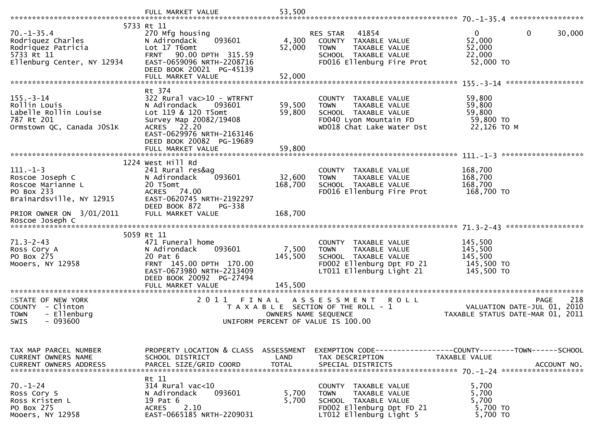|                                                                                                           | 5733 Rt 11                                                                                                                                                                        |                               |                                                                                                                                       |                                                                                              |
|-----------------------------------------------------------------------------------------------------------|-----------------------------------------------------------------------------------------------------------------------------------------------------------------------------------|-------------------------------|---------------------------------------------------------------------------------------------------------------------------------------|----------------------------------------------------------------------------------------------|
| $70. - 1 - 35.4$<br>Rodriquez Charles<br>Rodriquez Patricia<br>5733 Rt 11<br>Ellenburg Center, NY 12934   | 270 Mfg housing<br>093601<br>N Adirondack<br>Lot 17 T6omt<br><b>FRNT</b><br>90.00 DPTH 315.59<br>EAST-0659096 NRTH-2208716<br>DEED BOOK 20021 PG-45139                            | 4,300<br>52,000               | 41854<br>RES STAR<br>COUNTY TAXABLE VALUE<br>TAXABLE VALUE<br><b>TOWN</b><br>SCHOOL TAXABLE VALUE<br>FD016 Ellenburg Fire Prot        | $\mathbf{0}$<br>0<br>30,000<br>52,000<br>52,000<br>22,000<br>52,000 TO                       |
|                                                                                                           | Rt 374                                                                                                                                                                            |                               |                                                                                                                                       |                                                                                              |
| $155. - 3 - 14$<br>Rollin Louis<br>Labelle Rollin Louise<br>787 Rt 201<br>Ormstown QC, Canada JOS1K       | $322$ Rural vac $510 - WTRFNT$<br>N Adirondack<br>093601<br>Lot 119 & 120 T5omt<br>Survey Map 20082/19408<br>ACRES 22.20<br>EAST-0629976 NRTH-2163146<br>DEED BOOK 20082 PG-19689 | 59,500<br>59,800              | COUNTY TAXABLE VALUE<br>TAXABLE VALUE<br><b>TOWN</b><br>SCHOOL TAXABLE VALUE<br>FD040 Lyon Mountain FD<br>WD018 Chat Lake Water Dst   | 59,800<br>59,800<br>59,800<br>59,800 TO<br>22,126 TO M                                       |
|                                                                                                           | FULL MARKET VALUE                                                                                                                                                                 | 59,800                        |                                                                                                                                       |                                                                                              |
|                                                                                                           |                                                                                                                                                                                   |                               |                                                                                                                                       |                                                                                              |
| $111. - 1 - 3$<br>Roscoe Joseph C<br>Roscoe Marianne L<br>PO Box 233<br>Brainardsville, NY 12915          | 1224 West Hill Rd<br>241 Rural res&aq<br>093601<br>N Adirondack<br>20 T5omt<br>ACRES 74.00<br>EAST-0620745 NRTH-2192297                                                           | 32,600<br>168,700             | COUNTY TAXABLE VALUE<br>TAXABLE VALUE<br><b>TOWN</b><br>SCHOOL TAXABLE VALUE<br>FD016 Ellenburg Fire Prot                             | 168,700<br>168,700<br>168,700<br>168,700 TO                                                  |
| PRIOR OWNER ON 3/01/2011<br>Roscoe Joseph C                                                               | DEED BOOK 872<br>PG-338<br>FULL MARKET VALUE                                                                                                                                      | 168,700                       |                                                                                                                                       |                                                                                              |
|                                                                                                           | 5059 Rt 11                                                                                                                                                                        |                               |                                                                                                                                       |                                                                                              |
| $71.3 - 2 - 43$<br>Ross Cory A<br>PO Box 275<br>Mooers, NY 12958                                          | 471 Funeral home<br>093601<br>N Adirondack<br>20 Pat 6<br>FRNT 145.00 DPTH 170.00<br>EAST-0673980 NRTH-2213409<br>DEED BOOK 20092 PG-27494<br>FULL MARKET VALUE                   | 7,500<br>145,500<br>145,500   | COUNTY TAXABLE VALUE<br><b>TOWN</b><br>TAXABLE VALUE<br>SCHOOL TAXABLE VALUE<br>FD002 Ellenburg Dpt FD 21<br>LT011 Ellenburg Light 21 | 145,500<br>145,500<br>145,500<br>145,500 TO<br>145,500 TO                                    |
|                                                                                                           |                                                                                                                                                                                   |                               |                                                                                                                                       |                                                                                              |
| STATE OF NEW YORK<br>- Clinton<br><b>COUNTY</b><br><b>TOWN</b><br>- Ellenburg<br>$-093600$<br><b>SWIS</b> | 2011                                                                                                                                                                              | FINAL<br>OWNERS NAME SEQUENCE | A S S E S S M E N T<br><b>ROLL</b><br>T A X A B L E SECTION OF THE ROLL - 1<br>UNIFORM PERCENT OF VALUE IS 100.00                     | 218<br><b>PAGE</b><br>2010<br>VALUATION DATE-JUL 01,<br>TAXABLE STATUS DATE-MAR 01, 2011     |
|                                                                                                           |                                                                                                                                                                                   |                               |                                                                                                                                       |                                                                                              |
| TAX MAP PARCEL NUMBER<br><b>CURRENT OWNERS NAME</b><br><b>CURRENT OWNERS ADDRESS</b>                      | PROPERTY LOCATION & CLASS ASSESSMENT<br>SCHOOL DISTRICT<br>PARCEL SIZE/GRID COORD                                                                                                 | LAND<br><b>TOTAL</b>          | TAX DESCRIPTION<br>SPECIAL DISTRICTS                                                                                                  | EXEMPTION CODE-----------------COUNTY-------TOWN------SCHOOL<br>TAXABLE VALUE<br>ACCOUNT NO. |
| $70. - 1 - 24$<br>Ross Cory S<br>Ross Kristen L<br>PO Box 275<br>Mooers, NY 12958                         | Rt 11<br>314 Rural vac<10<br>N Adirondack<br>093601<br>19 Pat 6<br>2.10<br><b>ACRES</b><br>EAST-0665185 NRTH-2209031                                                              | 5,700<br>5,700                | COUNTY TAXABLE VALUE<br><b>TOWN</b><br>TAXABLE VALUE<br>SCHOOL TAXABLE VALUE<br>FD002 Ellenburg Dpt FD 21<br>LT012 Ellenburg Light 5  | 5,700<br>5,700<br>5,700<br>5,700 TO<br>5,700 TO                                              |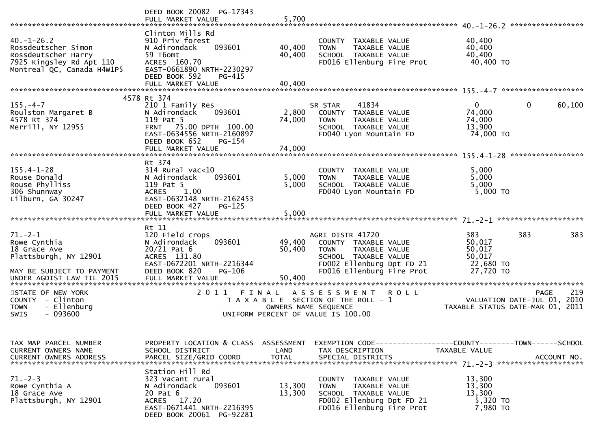|                                                                                                                          | DEED BOOK 20082 PG-17343<br>FULL MARKET VALUE                                                                                                                                 | 5,700                         |                                                                                                                                                            |                                                             | ****************                                  |
|--------------------------------------------------------------------------------------------------------------------------|-------------------------------------------------------------------------------------------------------------------------------------------------------------------------------|-------------------------------|------------------------------------------------------------------------------------------------------------------------------------------------------------|-------------------------------------------------------------|---------------------------------------------------|
| $40. - 1 - 26.2$<br>Rossdeutscher Simon<br>Rossdeutscher Harry<br>7925 Kingsley Rd Apt 110<br>Montreal QC, Canada H4W1P5 | Clinton Mills Rd<br>910 Priv forest<br>093601<br>N Adirondack<br>59 T6omt<br>ACRES 160.70<br>EAST-0661890 NRTH-2230297<br>DEED BOOK 592<br>PG-415<br>FULL MARKET VALUE        | 40,400<br>40,400<br>40,400    | COUNTY TAXABLE VALUE<br>TAXABLE VALUE<br><b>TOWN</b><br>SCHOOL TAXABLE VALUE<br>FD016 Ellenburg Fire Prot                                                  | 40,400<br>40,400<br>40,400<br>40,400 TO                     |                                                   |
|                                                                                                                          |                                                                                                                                                                               |                               |                                                                                                                                                            |                                                             |                                                   |
| $155. - 4 - 7$<br>Roulston Margaret B<br>4578 Rt 374<br>Merrill, NY 12955                                                | 4578 Rt 374<br>210 1 Family Res<br>N Adirondack<br>093601<br>119 Pat 5<br>FRNT 75.00 DPTH 100.00<br>EAST-0634556 NRTH-2160897<br>DEED BOOK 652<br>PG-154<br>FULL MARKET VALUE | 2,800<br>74,000<br>74,000     | 41834<br>SR STAR<br>COUNTY TAXABLE VALUE<br><b>TOWN</b><br>TAXABLE VALUE<br>SCHOOL TAXABLE VALUE<br>FD040 Lyon Mountain FD                                 | $\overline{0}$<br>74,000<br>74,000<br>13,900<br>74,000 TO   | $\mathbf{0}$<br>60,100                            |
|                                                                                                                          |                                                                                                                                                                               |                               |                                                                                                                                                            |                                                             |                                                   |
| $155.4 - 1 - 28$<br>Rouse Donald<br>Rouse Phylliss<br>306 Shunnway<br>Lilburn, GA 30247                                  | Rt 374<br>$314$ Rural vac< $10$<br>N Adirondack<br>093601<br>119 Pat 5<br><b>ACRES</b><br>1.00<br>EAST-0632148 NRTH-2162453<br>DEED BOOK 427<br><b>PG-125</b>                 | 5,000<br>5,000                | COUNTY TAXABLE VALUE<br><b>TOWN</b><br>TAXABLE VALUE<br>SCHOOL TAXABLE VALUE<br>FD040 Lyon Mountain FD                                                     | 5,000<br>5,000<br>5,000<br>5,000 TO                         |                                                   |
|                                                                                                                          | FULL MARKET VALUE                                                                                                                                                             | 5,000                         |                                                                                                                                                            |                                                             |                                                   |
| $71. - 2 - 1$<br>Rowe Cynthia<br>18 Grace Ave<br>Plattsburgh, NY 12901<br>MAY BE SUBJECT TO PAYMENT                      | Rt 11<br>120 Field crops<br>N Adirondack<br>093601<br>$20/21$ Pat 6<br>ACRES 131.80<br>EAST-0672201 NRTH-2216344<br>DEED BOOK 820<br>PG-106                                   | 49,400<br>50,400              | AGRI DISTR 41720<br>COUNTY TAXABLE VALUE<br>TAXABLE VALUE<br><b>TOWN</b><br>SCHOOL TAXABLE VALUE<br>FD002 Ellenburg Dpt FD 21<br>FD016 Ellenburg Fire Prot | 383<br>50,017<br>50,017<br>50,017<br>22,680 TO<br>27,720 TO | 383<br>383                                        |
| UNDER AGDIST LAW TIL 2015<br>******************************                                                              | FULL MARKET VALUE<br>**********************                                                                                                                                   | 50,400<br>**************      |                                                                                                                                                            |                                                             |                                                   |
| STATE OF NEW YORK<br>COUNTY - Clinton<br>- Ellenburg<br><b>TOWN</b><br>$-093600$<br>SWIS                                 | 2011                                                                                                                                                                          | FINAL<br>OWNERS NAME SEQUENCE | A S S E S S M E N T<br><b>ROLL</b><br>T A X A B L E SECTION OF THE ROLL - 1<br>UNIFORM PERCENT OF VALUE IS 100.00                                          | TAXABLE STATUS DATE-MAR 01, 2011                            | 219<br><b>PAGE</b><br>VALUATION DATE-JUL 01, 2010 |
| TAX MAP PARCEL NUMBER<br>CURRENT OWNERS NAME                                                                             | PROPERTY LOCATION & CLASS<br>SCHOOL DISTRICT                                                                                                                                  | ASSESSMENT<br>LAND            | EXEMPTION CODE------------------COUNTY--------TOWN------SCHOOL<br>TAX DESCRIPTION                                                                          | TAXABLE VALUE                                               |                                                   |
| $71. - 2 - 3$<br>Rowe Cynthia A<br>18 Grace Ave<br>Plattsburgh, NY 12901                                                 | Station Hill Rd<br>323 Vacant rural<br>093601<br>N Adirondack<br>20 Pat 6<br>ACRES 17.20<br>EAST-0671441 NRTH-2216395<br>DEED BOOK 20061 PG-92281                             | 13,300<br>13,300              | COUNTY TAXABLE VALUE<br>TAXABLE VALUE<br><b>TOWN</b><br>SCHOOL TAXABLE VALUE<br>FD002 Ellenburg Dpt FD 21<br>FD016 Ellenburg Fire Prot                     | 13,300<br>13,300<br>13,300<br>5,320 TO<br>7,980 TO          |                                                   |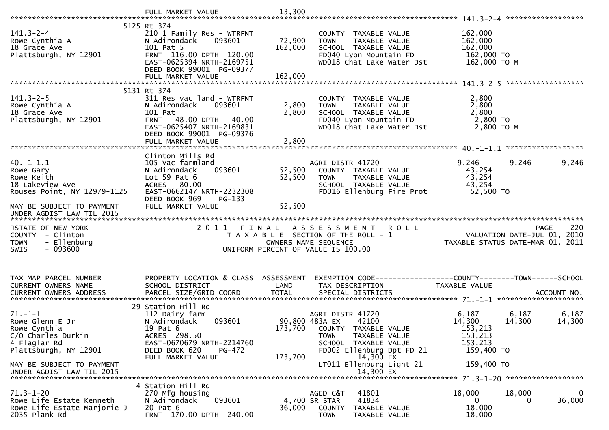|                                                                                                 | FULL MARKET VALUE                                                                                                                                    | 13,300            |                                                                                                                                             |                                                                                |                 |
|-------------------------------------------------------------------------------------------------|------------------------------------------------------------------------------------------------------------------------------------------------------|-------------------|---------------------------------------------------------------------------------------------------------------------------------------------|--------------------------------------------------------------------------------|-----------------|
|                                                                                                 | 5125 Rt 374                                                                                                                                          |                   |                                                                                                                                             |                                                                                |                 |
| $141.3 - 2 - 4$<br>Rowe Cynthia A<br>18 Grace Ave<br>Plattsburgh, NY 12901                      | 210 1 Family Res - WTRFNT<br>N Adirondack<br>093601<br>101 Pat 5<br>FRNT 116.00 DPTH 120.00<br>EAST-0625394 NRTH-2169751<br>DEED BOOK 99001 PG-09377 | 72,900<br>162,000 | COUNTY TAXABLE VALUE<br><b>TOWN</b><br>TAXABLE VALUE<br>SCHOOL TAXABLE VALUE<br>FD040 Lyon Mountain FD<br>WD018 Chat Lake Water Dst         | 162,000<br>162,000<br>162,000<br>162,000 TO<br>162,000 ТО М                    |                 |
|                                                                                                 | FULL MARKET VALUE                                                                                                                                    | 162,000           |                                                                                                                                             |                                                                                |                 |
| $141.3 - 2 - 5$                                                                                 | 5131 Rt 374                                                                                                                                          |                   |                                                                                                                                             | 2,800                                                                          |                 |
| Rowe Cynthia A<br>18 Grace Ave<br>Plattsburgh, NY 12901                                         | 311 Res vac land - WTRFNT<br>093601<br>N Adirondack<br>101 Pat<br>FRNT 48.00 DPTH 40.00<br>EAST-0625407 NRTH-2169831<br>DEED BOOK 99001 PG-09376     | 2,800<br>2,800    | COUNTY TAXABLE VALUE<br>TAXABLE VALUE<br><b>TOWN</b><br>SCHOOL TAXABLE VALUE<br>FD040 Lyon Mountain FD<br>WD018 Chat Lake Water Dst         | 2,800<br>2,800<br>2,800 TO<br>2,800 TO M                                       |                 |
|                                                                                                 |                                                                                                                                                      |                   |                                                                                                                                             |                                                                                |                 |
|                                                                                                 | Clinton Mills Rd                                                                                                                                     |                   |                                                                                                                                             |                                                                                |                 |
| $40. -1 - 1.1$<br>Rowe Gary<br>Rowe Keith<br>18 Lakeview Ave<br>Rouses Point, NY 12979-1125     | 105 Vac farmland<br>093601<br>N Adirondack<br>Lot $59$ Pat $6$<br>ACRES 80.00<br>EAST-0662147 NRTH-2232308<br>DEED BOOK 969<br>PG-133                | 52,500<br>52,500  | AGRI DISTR 41720<br>COUNTY TAXABLE VALUE<br><b>TOWN</b><br>TAXABLE VALUE<br>SCHOOL TAXABLE VALUE<br>FD016 Ellenburg Fire Prot               | 9,246<br>9,246<br>43,254<br>43,254<br>43,254<br>52,500 TO                      | 9,246           |
| MAY BE SUBJECT TO PAYMENT                                                                       | FULL MARKET VALUE                                                                                                                                    | 52,500            |                                                                                                                                             |                                                                                |                 |
| UNDER AGDIST LAW TIL 2015                                                                       |                                                                                                                                                      |                   |                                                                                                                                             |                                                                                |                 |
| STATE OF NEW YORK<br>COUNTY - Clinton<br>- Ellenburg<br><b>TOWN</b><br>$-093600$<br><b>SWIS</b> |                                                                                                                                                      |                   | 2011 FINAL ASSESSMENT<br><b>ROLL</b><br>T A X A B L E SECTION OF THE ROLL - 1<br>OWNERS NAME SEQUENCE<br>UNIFORM PERCENT OF VALUE IS 100.00 | <b>PAGE</b><br>VALUATION DATE-JUL 01, 2010<br>TAXABLE STATUS DATE-MAR 01, 2011 | 220             |
|                                                                                                 |                                                                                                                                                      |                   |                                                                                                                                             |                                                                                |                 |
| TAX MAP PARCEL NUMBER<br>CURRENT OWNERS NAME                                                    | PROPERTY LOCATION & CLASS ASSESSMENT<br>SCHOOL DISTRICT                                                                                              | LAND              | TAX DESCRIPTION                                                                                                                             | <b>TAXABLE VALUE</b>                                                           |                 |
|                                                                                                 |                                                                                                                                                      |                   |                                                                                                                                             |                                                                                |                 |
| $71. - 1 - 1$<br>Rowe Glenn E Jr<br>Rowe Cynthia<br>C/O Charles Durkin                          | 29 Station Hill Rd<br>112 Dairy farm<br>093601<br>N Adirondack<br>19 Pat 6<br>ACRES 298.50                                                           |                   | AGRI DISTR 41720<br>42100<br>90,800 483A EX<br>173,700 COUNTY TAXABLE VALUE<br>TAXABLE VALUE<br><b>TOWN</b>                                 | 6,187<br>6,187<br>14,300<br>14,300<br>153,213<br>153,213                       | 6,187<br>14,300 |
| 4 Flaglar Rd                                                                                    | EAST-0670679 NRTH-2214760<br>PG-472                                                                                                                  |                   | SCHOOL TAXABLE VALUE                                                                                                                        | 153,213                                                                        |                 |
| Plattsburgh, NY 12901<br>MAY BE SUBJECT TO PAYMENT<br>UNDER AGDIST LAW TIL 2015                 | DEED BOOK 620<br>FULL MARKET VALUE                                                                                                                   | 173,700           | FD002 Ellenburg Dpt FD 21<br>14,300 EX<br>LT011 Ellenburg Light 21<br>14,300 EX                                                             | 159,400 TO<br>159,400 TO                                                       |                 |
|                                                                                                 | 4 Station Hill Rd                                                                                                                                    |                   |                                                                                                                                             |                                                                                |                 |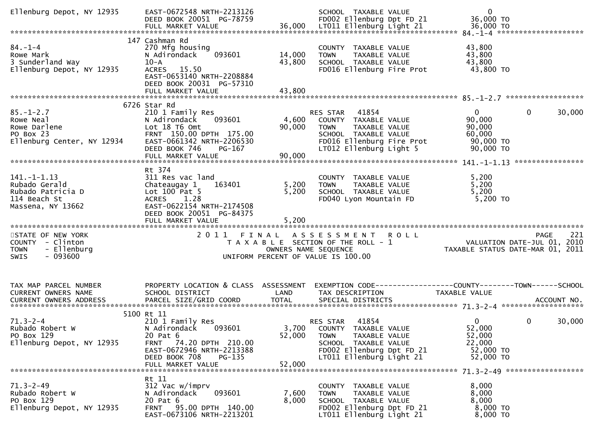| Ellenburg Depot, NY 12935                                                                       | EAST-0672548 NRTH-2213126<br>DEED BOOK 20051 PG-78759                                                                                                               |                         | SCHOOL TAXABLE VALUE<br>FD002 Ellenburg Dpt FD 21                                                                                                                | $\mathbf 0$<br>36,000 TO                                                                         |        |
|-------------------------------------------------------------------------------------------------|---------------------------------------------------------------------------------------------------------------------------------------------------------------------|-------------------------|------------------------------------------------------------------------------------------------------------------------------------------------------------------|--------------------------------------------------------------------------------------------------|--------|
|                                                                                                 |                                                                                                                                                                     |                         |                                                                                                                                                                  |                                                                                                  |        |
| $84. - 1 - 4$<br>Rowe Mark<br>3 Sunderland Way<br>Ellenburg Depot, NY 12935                     | 147 Cashman Rd<br>270 Mfg housing<br>093601<br>N Adirondack<br>$10 - A$<br>ACRES 15.50<br>EAST-0653140 NRTH-2208884<br>DEED BOOK 20031 PG-57310                     | 14,000<br>43,800        | COUNTY TAXABLE VALUE<br><b>TOWN</b><br>TAXABLE VALUE<br>SCHOOL TAXABLE VALUE<br>FD016 Ellenburg Fire Prot                                                        | 43,800<br>43,800<br>43,800<br>43,800 TO                                                          |        |
|                                                                                                 | FULL MARKET VALUE                                                                                                                                                   | 43,800                  |                                                                                                                                                                  |                                                                                                  |        |
|                                                                                                 |                                                                                                                                                                     |                         |                                                                                                                                                                  |                                                                                                  |        |
| $85. - 1 - 2.7$<br>Rowe Neal<br>Rowe Darlene<br>PO Box 23<br>Ellenburg Center, NY 12934         | 6726 Star Rd<br>210 1 Family Res<br>093601<br>N Adirondack<br>Lot 18 T6 Omt<br>FRNT 150.00 DPTH 175.00<br>EAST-0661342 NRTH-2206530<br>DEED BOOK 746<br>$PG-167$    | 4,600<br>90,000         | RES STAR 41854<br>COUNTY TAXABLE VALUE<br><b>TOWN</b><br>TAXABLE VALUE<br>SCHOOL TAXABLE VALUE<br>FD016 Ellenburg Fire Prot<br>LT012 Ellenburg Light 5           | $\mathbf 0$<br>0<br>90,000<br>90,000<br>60,000<br>90,000 TO<br>90,000 TO                         | 30,000 |
|                                                                                                 | FULL MARKET VALUE                                                                                                                                                   | 90,000                  |                                                                                                                                                                  |                                                                                                  |        |
|                                                                                                 |                                                                                                                                                                     |                         |                                                                                                                                                                  |                                                                                                  |        |
| $141. - 1 - 1.13$<br>Rubado Gerald<br>Rubado Patricia D<br>114 Beach St<br>Massena, NY 13662    | Rt 374<br>311 Res vac land<br>Chateaugay 1<br>163401<br>Lot $100$ Pat 5<br>ACRES 1.28<br>EAST-0622154 NRTH-2174508<br>DEED BOOK 20051 PG-84375<br>FULL MARKET VALUE | 5,200<br>5,200<br>5,200 | COUNTY TAXABLE VALUE<br><b>TOWN</b><br>TAXABLE VALUE<br>SCHOOL TAXABLE VALUE<br>FD040 Lyon Mountain FD                                                           | 5,200<br>5,200<br>5,200<br>5,200 TO                                                              |        |
|                                                                                                 |                                                                                                                                                                     |                         |                                                                                                                                                                  |                                                                                                  |        |
| STATE OF NEW YORK<br>COUNTY - Clinton<br>- Ellenburg<br><b>TOWN</b><br>$-093600$<br><b>SWIS</b> |                                                                                                                                                                     | OWNERS NAME SEQUENCE    | 2011 FINAL ASSESSMENT ROLL<br>T A X A B L E SECTION OF THE ROLL - 1<br>UNIFORM PERCENT OF VALUE IS 100.00                                                        | <b>PAGE</b><br>VALUATION DATE-JUL 01, 2010<br>TAXABLE STATUS DATE-MAR 01, 2011                   | 221    |
| TAX MAP PARCEL NUMBER<br>CURRENT OWNERS NAME                                                    | PROPERTY LOCATION & CLASS ASSESSMENT<br>SCHOOL DISTRICT                                                                                                             | LAND                    | TAX DESCRIPTION                                                                                                                                                  | TAXABLE VALUE                                                                                    |        |
|                                                                                                 | 5100 Rt 11                                                                                                                                                          |                         |                                                                                                                                                                  |                                                                                                  |        |
| $71.3 - 2 - 4$<br>Rubado Robert W<br>PO Box 129<br>Ellenburg Depot, NY 12935                    | 210 1 Family Res<br>093601<br>N Adirondack<br>20 Pat 6<br>74.20 DPTH 210.00<br>FRNT<br>EAST-0672946 NRTH-2213388<br>DEED BOOK 708<br>PG-135<br>FULL MARKET VALUE    | 52,000<br>52,000        | 41854<br>RES STAR<br>3,700 COUNTY TAXABLE VALUE<br><b>TOWN</b><br>TAXABLE VALUE<br>SCHOOL TAXABLE VALUE<br>FD002 Ellenburg Dpt FD 21<br>LT011 Ellenburg Light 21 | $\mathbf{0}$<br>$\overline{0}$<br>30,000<br>52,000<br>52,000<br>22,000<br>52,000 TO<br>52,000 TO |        |
|                                                                                                 |                                                                                                                                                                     |                         |                                                                                                                                                                  |                                                                                                  |        |
| $71.3 - 2 - 49$<br>Rubado Robert W<br>PO Box 129<br>Ellenburg Depot, NY 12935                   | Rt 11<br>312 Vac w/imprv<br>093601<br>N Adirondack<br>20 Pat 6<br>FRNT 95.00 DPTH 140.00<br>EAST-0673106 NRTH-2213201                                               | 7,600<br>8,000          | COUNTY TAXABLE VALUE<br>TAXABLE VALUE<br><b>TOWN</b><br>SCHOOL TAXABLE VALUE<br>FD002 Ellenburg Dpt FD 21<br>LT011 Ellenburg Light 21                            | 8,000<br>8,000<br>8,000<br>8,000 TO<br>8,000 TO                                                  |        |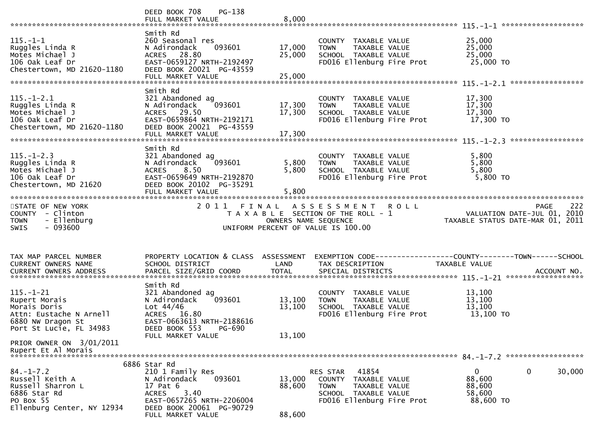|                                                                                                                             | DEED BOOK 708<br>$PG-138$<br>FULL MARKET VALUE                                                                                                                               | 8,000                      |                                                                                                                                |                                                                                 |        |
|-----------------------------------------------------------------------------------------------------------------------------|------------------------------------------------------------------------------------------------------------------------------------------------------------------------------|----------------------------|--------------------------------------------------------------------------------------------------------------------------------|---------------------------------------------------------------------------------|--------|
| $115. - 1 - 1$<br>Ruggles Linda R<br>Motes Michael J<br>106 Oak Leaf Dr<br>Chestertown, MD 21620-1180                       | Smith Rd<br>260 Seasonal res<br>093601<br>N Adirondack<br>ACRES 28.80<br>EAST-0659127 NRTH-2192497<br>DEED BOOK 20021 PG-43559<br>FULL MARKET VALUE                          | 17,000<br>25,000<br>25,000 | COUNTY TAXABLE VALUE<br>TAXABLE VALUE<br><b>TOWN</b><br>SCHOOL TAXABLE VALUE<br>FD016 Ellenburg Fire Prot                      | 25,000<br>25,000<br>25,000<br>25,000 TO                                         |        |
| $115. - 1 - 2.1$<br>Ruggles Linda R<br>Motes Michael J<br>106 Oak Leaf Dr<br>Chestertown, MD 21620-1180                     | Smith Rd<br>321 Abandoned ag<br>N Adirondack<br>093601<br>ACRES 29.50<br>EAST-0659864 NRTH-2192171<br>DEED BOOK 20021 PG-43559<br>FULL MARKET VALUE                          | 17,300<br>17,300<br>17,300 | COUNTY TAXABLE VALUE<br>TAXABLE VALUE<br>TOWN<br>SCHOOL TAXABLE VALUE<br>FD016 Ellenburg Fire Prot                             | 17,300<br>17,300<br>17,300<br>17,300 TO                                         |        |
| $115. - 1 - 2.3$<br>Ruggles Linda R<br>Motes Michael J<br>106 Oak Leaf Dr<br>Chestertown, MD 21620                          | Smith Rd<br>321 Abandoned ag<br>093601<br>N Adirondack<br>ACRES 8.50<br>EAST-0659649 NRTH-2192870<br>DEED BOOK 20102 PG-35291<br>FULL MARKET VALUE                           | 5,800<br>5,800<br>5,800    | COUNTY TAXABLE VALUE<br><b>TOWN</b><br>TAXABLE VALUE<br>SCHOOL TAXABLE VALUE<br>FD016 Ellenburg Fire Prot                      | 5,800<br>5,800<br>5,800<br>5,800 TO                                             |        |
| STATE OF NEW YORK<br>COUNTY - Clinton<br><b>TOWN</b><br>- Ellenburg<br>$-093600$<br><b>SWIS</b>                             |                                                                                                                                                                              | OWNERS NAME SEQUENCE       | 2011 FINAL ASSESSMENT ROLL<br>T A X A B L E SECTION OF THE ROLL - 1<br>UNIFORM PERCENT OF VALUE IS 100.00                      | <b>PAGE</b><br>VALUATION DATE-JUL 01, 2010<br>TAXABLE STATUS DATE-MAR 01, 2011  | 222    |
| TAX MAP PARCEL NUMBER<br>CURRENT OWNERS NAME                                                                                | PROPERTY LOCATION & CLASS ASSESSMENT<br>SCHOOL DISTRICT                                                                                                                      | LAND                       | TAX DESCRIPTION                                                                                                                | EXEMPTION CODE------------------COUNTY--------TOWN------SCHOOL<br>TAXABLE VALUE |        |
| $115. - 1 - 21$<br>Rupert Morais<br>Morais Doris<br>Attn: Eustache N Arnell<br>6880 NW Dragon St<br>Port St Lucie, FL 34983 | Smith Rd<br>321 Abandoned ag<br>093601<br>N Adirondack<br>Lot $44/46$<br>ACRES 16.80<br>EAST-0663613 NRTH-2188616<br>DEED BOOK 553<br>PG-690                                 | 13,100<br>13,100           | COUNTY TAXABLE VALUE<br>TAXABLE VALUE<br>TOWN<br>SCHOOL TAXABLE VALUE<br>FD016 Ellenburg Fire Prot                             | 13,100<br>13,100<br>13,100<br>13,100 TO                                         |        |
| PRIOR OWNER ON 3/01/2011<br>Rupert Et Al Morais                                                                             | FULL MARKET VALUE                                                                                                                                                            | 13,100                     |                                                                                                                                |                                                                                 |        |
| $84. - 1 - 7.2$<br>Russell Keith A<br>Russell Sharron L<br>6886 Star Rd<br>PO Box 55<br>Ellenburg Center, NY 12934          | 6886 Star Rd<br>210 1 Family Res<br>093601<br>N Adirondack<br>17 Pat 6<br>3.40<br><b>ACRES</b><br>EAST-0657265 NRTH-2206004<br>DEED BOOK 20061 PG-90729<br>FULL MARKET VALUE | 13,000<br>88,600<br>88,600 | 41854<br>RES STAR<br>COUNTY TAXABLE VALUE<br><b>TOWN</b><br>TAXABLE VALUE<br>SCHOOL TAXABLE VALUE<br>FD016 Ellenburg Fire Prot | 0<br>$\overline{0}$<br>88,600<br>88,600<br>58,600<br>88,600 TO                  | 30,000 |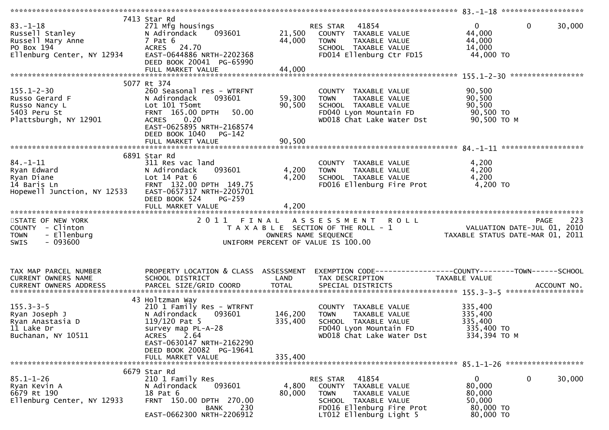| $83 - 1 - 18$<br>Russell Stanley<br>Russell Mary Anne<br>PO Box 194<br>Ellenburg Center, NY 12934 | 7413 Star Rd<br>271 Mfg housings<br>N Adirondack<br>093601<br>7 Pat 6<br>ACRES 24.70<br>EAST-0644886 NRTH-2202368<br>DEED BOOK 20041 PG-65990                                             | 21,500<br>44,000        | <b>RES STAR 41854</b><br>COUNTY TAXABLE VALUE<br>TAXABLE VALUE<br><b>TOWN</b><br>SCHOOL TAXABLE VALUE<br>FD014 Ellenburg Ctr FD15                                | $\mathbf 0$<br>$\mathbf{0}$<br>30,000<br>44,000<br>44,000<br>14,000<br>44,000 TO    |
|---------------------------------------------------------------------------------------------------|-------------------------------------------------------------------------------------------------------------------------------------------------------------------------------------------|-------------------------|------------------------------------------------------------------------------------------------------------------------------------------------------------------|-------------------------------------------------------------------------------------|
|                                                                                                   |                                                                                                                                                                                           |                         |                                                                                                                                                                  |                                                                                     |
| $155.1 - 2 - 30$<br>Russo Gerard F<br>Russo Nancy L<br>5403 Peru St<br>Plattsburgh, NY 12901      | 5077 Rt 374<br>260 Seasonal res - WTRFNT<br>093601<br>N Adirondack<br>Lot 101 T5omt<br>FRNT 165.00 DPTH<br>50.00<br>ACRES 0.20<br>EAST-0625895 NRTH-2168574<br>DEED BOOK 1040 PG-142      | 59,300<br>90,500        | COUNTY TAXABLE VALUE<br>TAXABLE VALUE<br><b>TOWN</b><br>SCHOOL TAXABLE VALUE<br>FD040 Lyon Mountain FD<br>WD018 Chat Lake Water Dst                              | 90,500<br>90,500<br>90,500<br>90,500 TO<br>90,500 ТО М                              |
|                                                                                                   | FULL MARKET VALUE                                                                                                                                                                         | 90,500                  |                                                                                                                                                                  |                                                                                     |
| 84.-1-11<br>Ryan Edward<br>Ryan Diane<br>14 Baris Ln<br>Hopewell Junction, NY 12533               | 6891 Star Rd<br>311 Res vac land<br>093601<br>N Adirondack<br>Lot $14$ Pat $6$<br>FRNT 132.00 DPTH 149.75<br>EAST-0657317 NRTH-2205701<br>DEED BOOK 524<br>PG-259<br>FULL MARKET VALUE    | 4,200<br>4,200<br>4,200 | COUNTY TAXABLE VALUE<br>TAXABLE VALUE<br><b>TOWN</b><br>SCHOOL TAXABLE VALUE<br>FD016 Ellenburg Fire Prot                                                        | 4,200<br>4,200<br>4,200<br>4,200 TO                                                 |
| STATE OF NEW YORK<br>COUNTY - Clinton<br>- Ellenburg<br><b>TOWN</b><br>$-093600$<br><b>SWIS</b>   |                                                                                                                                                                                           | OWNERS NAME SEQUENCE    | 2011 FINAL ASSESSMENT ROLL<br>T A X A B L E SECTION OF THE ROLL - 1<br>UNIFORM PERCENT OF VALUE IS 100.00                                                        | PAGE 223<br>VALUATION DATE-JUL 01, 2010<br>TAXABLE STATILS DATE 115 24 10           |
| TAX MAP PARCEL NUMBER<br>CURRENT OWNERS NAME                                                      | PROPERTY LOCATION & CLASS ASSESSMENT<br>SCHOOL DISTRICT                                                                                                                                   | LAND                    | TAX DESCRIPTION                                                                                                                                                  | EXEMPTION CODE-----------------COUNTY-------TOWN------SCHOOL<br>TAXABLE VALUE       |
| $155.3 - 3 - 5$<br>Ryan Joseph J<br>Ryan Anastasia D<br>11 Lake Dr<br>Buchanan, NY 10511          | 43 Holtzman Way<br>210 1 Family Res - WTRFNT<br>093601<br>N Adirondack<br>$119/120$ Pat 5<br>survey map PL-A-28<br>ACRES<br>2.64<br>EAST-0630147 NRTH-2162290<br>DEED BOOK 20082 PG-19641 | 146,200<br>335,400      | COUNTY TAXABLE VALUE<br>TAXABLE VALUE<br><b>TOWN</b><br>SCHOOL TAXABLE VALUE<br>FD040 Lyon Mountain FD<br>WD018 Chat Lake Water Dst                              | 335,400<br>335,400<br>335,400<br>335,400 TO<br>334,394 ТО М                         |
|                                                                                                   | FULL MARKET VALUE                                                                                                                                                                         | 335,400                 |                                                                                                                                                                  |                                                                                     |
| $85.1 - 1 - 26$<br>Ryan Kevin A<br>6679 Rt 190<br>Ellenburg Center, NY 12933                      | 6679 Star Rd<br>210 1 Family Res<br>093601<br>N Adirondack<br>18 Pat 6<br>FRNT 150.00 DPTH 270.00<br>230<br><b>BANK</b><br>EAST-0662300 NRTH-2206912                                      | 4,800<br>80,000         | 41854<br><b>RES STAR</b><br>COUNTY TAXABLE VALUE<br><b>TOWN</b><br>TAXABLE VALUE<br>SCHOOL TAXABLE VALUE<br>FD016 Ellenburg Fire Prot<br>LT012 Ellenburg Light 5 | $\mathbf{0}$<br>0<br>30,000<br>80,000<br>80,000<br>50,000<br>80,000 TO<br>80,000 TO |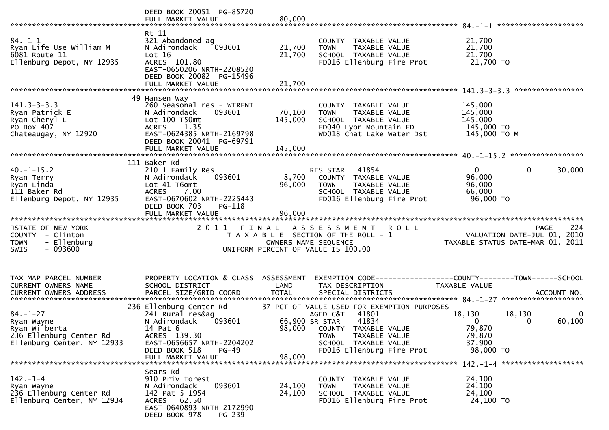|                                                                                                        | DEED BOOK 20051 PG-85720<br>FULL MARKET VALUE                                                                                                                                   | 80,000                     |                                                                                                                                                                                               | ********************                                                                                           |
|--------------------------------------------------------------------------------------------------------|---------------------------------------------------------------------------------------------------------------------------------------------------------------------------------|----------------------------|-----------------------------------------------------------------------------------------------------------------------------------------------------------------------------------------------|----------------------------------------------------------------------------------------------------------------|
| $84. - 1 - 1$<br>Ryan Life Use William M<br>6081 Route 11<br>Ellenburg Depot, NY 12935                 | Rt 11<br>321 Abandoned ag<br>N Adirondack<br>093601<br>Lot 16<br>ACRES 101.80<br>EAST-0650206 NRTH-2208520<br>DEED BOOK 20082 PG-15496<br>FULL MARKET VALUE                     | 21,700<br>21,700<br>21,700 | COUNTY TAXABLE VALUE<br><b>TOWN</b><br>TAXABLE VALUE<br>SCHOOL TAXABLE VALUE<br>FD016 Ellenburg Fire Prot                                                                                     | 21,700<br>21,700<br>21,700<br>21,700 TO                                                                        |
|                                                                                                        |                                                                                                                                                                                 |                            |                                                                                                                                                                                               | ****************                                                                                               |
| $141.3 - 3 - 3.3$<br>Ryan Patrick E<br>Ryan Cheryl L<br>PO Box 407<br>Chateaugay, NY 12920             | 49 Hansen Way<br>260 Seasonal res - WTRFNT<br>N Adirondack<br>093601<br>Lot 100 T50mt<br>1.35<br><b>ACRES</b><br>EAST-0624385 NRTH-2169798<br>DEED BOOK 20041 PG-69791          | 70,100<br>145,000          | COUNTY TAXABLE VALUE<br>TAXABLE VALUE<br><b>TOWN</b><br>SCHOOL TAXABLE VALUE<br>FD040 Lyon Mountain FD<br>WD018 Chat Lake Water Dst                                                           | 145,000<br>145,000<br>145,000<br>145,000 TO<br>145,000 TO M                                                    |
|                                                                                                        |                                                                                                                                                                                 |                            |                                                                                                                                                                                               |                                                                                                                |
| $40. -1 - 15.2$<br>Ryan Terry<br>Ryan Linda<br>111 Baker Rd<br>Ellenburg Depot, NY 12935               | 111 Baker Rd<br>210 1 Family Res<br>N Adirondack<br>093601<br>Lot 41 T6omt<br>ACRES 7.00<br>EAST-0670602 NRTH-2225443<br>DEED BOOK 703<br>PG-118                                | 8,700<br>96,000            | 41854<br>RES STAR<br>COUNTY TAXABLE VALUE<br><b>TOWN</b><br>TAXABLE VALUE<br>SCHOOL TAXABLE VALUE<br>FD016 Ellenburg Fire Prot                                                                | $\overline{0}$<br>$\mathbf 0$<br>30,000<br>96,000<br>96,000<br>66,000<br>96,000 TO                             |
|                                                                                                        | FULL MARKET VALUE                                                                                                                                                               | 96,000                     |                                                                                                                                                                                               |                                                                                                                |
| STATE OF NEW YORK<br>COUNTY - Clinton<br>- Ellenburg<br><b>TOWN</b><br>$-093600$<br><b>SWIS</b>        | 2011 FINAL                                                                                                                                                                      | OWNERS NAME SEQUENCE       | <b>ROLL</b><br>A S S E S S M E N T<br>T A X A B L E SECTION OF THE ROLL - 1<br>UNIFORM PERCENT OF VALUE IS 100.00                                                                             | 224<br><b>PAGE</b><br>VALUATION DATE-JUL 01, 2010<br>TAXABLE STATUS DATE-MAR 01, 2011                          |
| TAX MAP PARCEL NUMBER<br>CURRENT OWNERS NAME                                                           | PROPERTY LOCATION & CLASS ASSESSMENT<br>SCHOOL DISTRICT                                                                                                                         | LAND                       | TAX DESCRIPTION                                                                                                                                                                               | <b>TAXABLE VALUE</b>                                                                                           |
| $84. - 1 - 27$<br>Ryan Wayne<br>Ryan Wilberta<br>236 Ellenburg Center Rd<br>Ellenburg Center, NY 12933 | 236 Ellenburg Center Rd<br>241 Rural res&ag<br>N Adirondack<br>093601<br>14 Pat 6<br>ACRES 139.30<br>EAST-0656657 NRTH-2204202<br>DEED BOOK 518<br>$PG-49$<br>FULL MARKET VALUE | 66,900 SR STAR<br>98,000   | 37 PCT OF VALUE USED FOR EXEMPTION PURPOSES<br>41801<br>AGED C&T<br>41834<br>98,000 COUNTY TAXABLE VALUE<br>TAXABLE VALUE<br><b>TOWN</b><br>SCHOOL TAXABLE VALUE<br>FD016 Ellenburg Fire Prot | 18,130<br>18,130<br>$\overline{0}$<br>60,100<br>$\overline{0}$<br>0<br>79,870<br>79,870<br>37,900<br>98,000 TO |
| $142. - 1 - 4$<br>Ryan Wayne<br>236 Ellenburg Center Rd<br>Ellenburg Center, NY 12934                  | Sears Rd<br>910 Priv forest<br>093601<br>N Adirondack<br>142 Pat 5 1954<br>ACRES 62.50<br>EAST-0640893 NRTH-2172990<br>DEED BOOK 978<br>PG-239                                  | 24,100<br>24,100           | COUNTY TAXABLE VALUE<br>TAXABLE VALUE<br><b>TOWN</b><br>SCHOOL TAXABLE VALUE<br>FD016 Ellenburg Fire Prot                                                                                     | 24,100<br>24,100<br>24,100<br>24,100 TO                                                                        |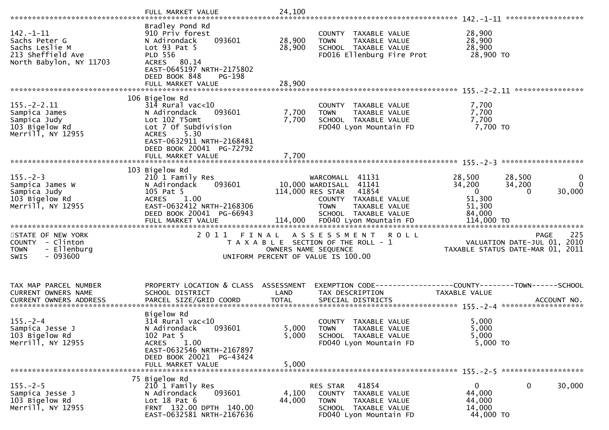| $142. - 1 - 11$<br>Sachs Peter G<br>Sachs Leslie M<br>213 Sheffield Ave<br>North Babylon, NY 11703 | Bradley Pond Rd<br>910 Priv forest<br>093601<br>N Adirondack<br>Lot 93 Pat 5<br><b>PLD 556</b><br>ACRES 80.14<br>EAST-0645197 NRTH-2175802<br>DEED BOOK 848<br>PG-198                    | 28,900<br>28,900        | COUNTY TAXABLE VALUE<br>TAXABLE VALUE<br><b>TOWN</b><br>SCHOOL TAXABLE VALUE<br>FD016 Ellenburg Fire Prot                                           | 28,900<br>28,900<br>28,900<br>28,900 TO                       |                                                                                       |
|----------------------------------------------------------------------------------------------------|------------------------------------------------------------------------------------------------------------------------------------------------------------------------------------------|-------------------------|-----------------------------------------------------------------------------------------------------------------------------------------------------|---------------------------------------------------------------|---------------------------------------------------------------------------------------|
|                                                                                                    |                                                                                                                                                                                          |                         |                                                                                                                                                     |                                                               |                                                                                       |
| $155. - 2 - 2.11$<br>Sampica James<br>Sampica Judy<br>103 Bigelow Rd<br>Merrill, NY 12955          | 106 Bigelow Rd<br>$314$ Rural vac<10<br>N Adirondack<br>093601<br>Lot 102 T5omt<br>Lot 7 Of Subdivision<br>5.30<br><b>ACRES</b><br>EAST-0632911 NRTH-2168481<br>DEED BOOK 20041 PG-72792 | 7,700<br>7,700          | COUNTY TAXABLE VALUE<br><b>TOWN</b><br>TAXABLE VALUE<br>SCHOOL TAXABLE VALUE<br>FD040 Lyon Mountain FD                                              | 7,700<br>7,700<br>7,700<br>7,700 TO                           |                                                                                       |
|                                                                                                    | FULL MARKET VALUE                                                                                                                                                                        | 7,700                   |                                                                                                                                                     |                                                               |                                                                                       |
| $155. - 2 - 3$<br>Sampica James W<br>Sampica Judy<br>103 Bigelow Rd<br>Merrill, NY 12955           | 103 Bigelow Rd<br>210 1 Family Res<br>093601<br>N Adirondack<br>105 Pat 5<br>1.00<br><b>ACRES</b><br>EAST-0632412 NRTH-2168306<br>DEED BOOK 20041 PG-66943                               |                         | WARCOMALL 41131<br>10,000 WARDISALL 41141<br>114,000 RES STAR 41854<br>COUNTY TAXABLE VALUE<br><b>TOWN</b><br>TAXABLE VALUE<br>SCHOOL TAXABLE VALUE | 28,500<br>34,200<br>$\mathbf 0$<br>51,300<br>51,300<br>84,000 | 28,500<br>0<br>34,200<br>$\overline{0}$<br>$\Omega$<br>30,000                         |
|                                                                                                    |                                                                                                                                                                                          |                         |                                                                                                                                                     |                                                               |                                                                                       |
| STATE OF NEW YORK<br>COUNTY - Clinton<br>- Ellenburg<br><b>TOWN</b><br>$-093600$<br><b>SWIS</b>    |                                                                                                                                                                                          | OWNERS NAME SEQUENCE    | 2011 FINAL ASSESSMENT<br><b>ROLL</b><br>T A X A B L E SECTION OF THE ROLL - 1<br>UNIFORM PERCENT OF VALUE IS 100.00                                 |                                                               | 225<br><b>PAGE</b><br>VALUATION DATE-JUL 01, 2010<br>TAXABLE STATUS DATE-MAR 01, 2011 |
| TAX MAP PARCEL NUMBER<br>CURRENT OWNERS NAME                                                       | PROPERTY LOCATION & CLASS ASSESSMENT<br>SCHOOL DISTRICT                                                                                                                                  | LAND                    | TAX DESCRIPTION                                                                                                                                     | TAXABLE VALUE                                                 |                                                                                       |
| $155. - 2 - 4$<br>Sampica Jesse J<br>103 Bigelow Rd<br>Merrill, NY 12955                           | Bigelow Rd<br>$314$ Rural vac< $10$<br>N Adirondack<br>093601<br>102 Pat 5<br>1.00<br><b>ACRES</b><br>EAST-0632546 NRTH-2167897<br>DEED BOOK 20021 PG-43424<br>FULL MARKET VALUE         | 5,000<br>5,000<br>5,000 | COUNTY TAXABLE VALUE<br><b>TOWN</b><br><b>TAXABLE VALUE</b><br>SCHOOL TAXABLE VALUE<br>FD040 Lyon Mountain FD                                       | 5,000<br>5,000<br>5,000<br>5,000 TO                           |                                                                                       |
| $155. - 2 - 5$<br>Sampica Jesse J<br>103 Bigelow Rd<br>Merrill, NY 12955                           | 75 Bigelow Rd<br>210 1 Family Res<br>093601<br>N Adirondack<br>Lot $18$ Pat $6$<br>FRNT 132.00 DPTH 140.00<br>EAST-0632581 NRTH-2167636                                                  | 4,100<br>44,000         | RES STAR<br>41854<br>COUNTY<br>TAXABLE VALUE<br><b>TOWN</b><br>TAXABLE VALUE<br>SCHOOL TAXABLE VALUE<br>FD040 Lyon Mountain FD                      | $\mathbf{0}$<br>44,000<br>44,000<br>14,000<br>44,000 TO       | $\mathbf 0$<br>30,000                                                                 |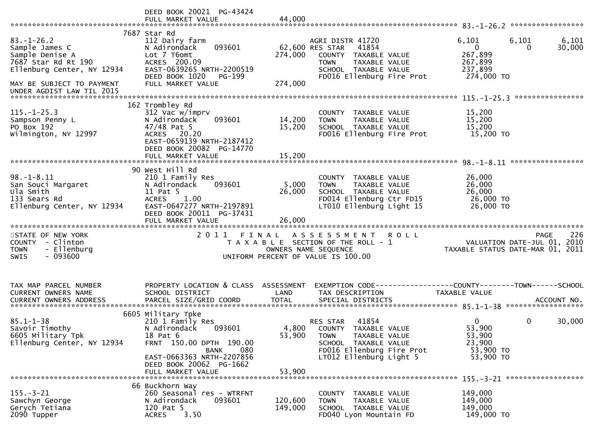|                                                                                                                                                                      | DEED BOOK 20021 PG-43424<br>FULL MARKET VALUE                                                                                                                                                       | 44,000                     |                                                                                                                                                                 |                                                                                                                 |                 |
|----------------------------------------------------------------------------------------------------------------------------------------------------------------------|-----------------------------------------------------------------------------------------------------------------------------------------------------------------------------------------------------|----------------------------|-----------------------------------------------------------------------------------------------------------------------------------------------------------------|-----------------------------------------------------------------------------------------------------------------|-----------------|
| $83. - 1 - 26.2$<br>Sample James C<br>Sample Denise A<br>7687 Star Rd Rt 190<br>Ellenburg Center, NY 12934<br>MAY BE SUBJECT TO PAYMENT<br>UNDER AGDIST LAW TIL 2015 | 7687 Star Rd<br>112 Dairy farm<br>093601<br>N Adirondack<br>Lot 7 T6omt<br>ACRES 200.09<br>EAST-0639265 NRTH-2200519<br>DEED BOOK 1020<br>PG-199<br>FULL MARKET VALUE                               | 274,000<br>274,000         | AGRI DISTR 41720<br>62,600 RES STAR<br>41854<br>COUNTY TAXABLE VALUE<br>TAXABLE VALUE<br><b>TOWN</b><br>SCHOOL TAXABLE VALUE<br>FD016 Ellenburg Fire Prot       | 6,101<br>6,101<br>$\overline{0}$<br>$\Omega$<br>267,899<br>267,899<br>237,899<br>274,000 TO<br>**************** | 6,101<br>30,000 |
| $115. - 1 - 25.3$<br>Sampson Penny L<br>PO Box 192<br>Wilmington, NY 12997                                                                                           | 162 Trombley Rd<br>312 Vac w/imprv<br>093601<br>N Adirondack<br>$47/48$ Pat 5<br>ACRES 20.20<br>EAST-0659139 NRTH-2187412<br>DEED BOOK 20082 PG-14770<br>FULL MARKET VALUE                          | 14,200<br>15,200<br>15,200 | COUNTY TAXABLE VALUE<br><b>TOWN</b><br>TAXABLE VALUE<br>SCHOOL TAXABLE VALUE<br>FD016 Ellenburg Fire Prot                                                       | 15,200<br>15,200<br>15,200<br>15,200 TO                                                                         |                 |
| $98. - 1 - 8.11$<br>San Souci Margaret<br>Ula Smith<br>133 Sears Rd<br>Ellenburg Center, NY 12934                                                                    | 90 West Hill Rd<br>210 1 Family Res<br>N Adirondack<br>093601<br>11 Pat 5<br><b>ACRES</b><br>1.00<br>EAST-0647277 NRTH-2197891<br>DEED BOOK 20011 PG-37431                                          | 5,000<br>26,000            | COUNTY TAXABLE VALUE<br><b>TOWN</b><br>TAXABLE VALUE<br>SCHOOL TAXABLE VALUE<br>FD014 Ellenburg Ctr FD15<br>LT010 Ellenburg Light 15                            | 26,000<br>26,000<br>26,000<br>26,000 TO<br>26,000 TO                                                            |                 |
| STATE OF NEW YORK<br>COUNTY - Clinton<br>- Ellenburg<br><b>TOWN</b><br>$-093600$<br><b>SWIS</b>                                                                      |                                                                                                                                                                                                     | OWNERS NAME SEQUENCE       | 2011 FINAL ASSESSMENT<br><b>ROLL</b><br>T A X A B L E SECTION OF THE ROLL - 1<br>UNIFORM PERCENT OF VALUE IS 100.00                                             | PAGE<br>VALUATION DATE-JUL 01, 2010<br>TAXABLE STATUS DATE-MAR 01, 2011                                         | 226             |
| TAX MAP PARCEL NUMBER<br>CURRENT OWNERS NAME                                                                                                                         | PROPERTY LOCATION & CLASS ASSESSMENT<br>SCHOOL DISTRICT                                                                                                                                             | LAND                       | EXEMPTION CODE------------------COUNTY--------TOWN------SCHOOL<br>TAX DESCRIPTION                                                                               | <b>TAXABLE VALUE</b>                                                                                            |                 |
| $85.1 - 1 - 38$<br>Savoir Timothy<br>6605 Military Tpk<br>Ellenburg Center, NY 12934                                                                                 | 6605 Military Tpke<br>210 1 Family Res<br>N Adirondack<br>093601<br>18 Pat 6<br>FRNT 150.00 DPTH 190.00<br>080<br>BANK<br>EAST-0663363 NRTH-2207856<br>DEED BOOK 20062 PG-1662<br>FULL MARKET VALUE | 53,900<br>53,900           | 41854<br>RES STAR<br>4,800 COUNTY TAXABLE VALUE<br><b>TOWN</b><br>TAXABLE VALUE<br>SCHOOL TAXABLE VALUE<br>FD016 Ellenburg Fire Prot<br>LT012 Ellenburg Light 5 | 0<br>0<br>53,900<br>53,900<br>23,900<br>53,900 TO<br>53,900 TO                                                  | 30,000          |
| $155. - 3 - 21$<br>Sawchyn George<br>Gerych Tetiana<br>2090 Tupper                                                                                                   | 66 Buckhorn Way<br>260 Seasonal res - WTRFNT<br>093601<br>N Adirondack<br>120 Pat 5<br>3.50<br><b>ACRES</b>                                                                                         | 120,600<br>149,000         | COUNTY TAXABLE VALUE<br>TAXABLE VALUE<br><b>TOWN</b><br>SCHOOL TAXABLE VALUE<br>FD040 Lyon Mountain FD                                                          | 149,000<br>149,000<br>149,000<br>149,000 TO                                                                     |                 |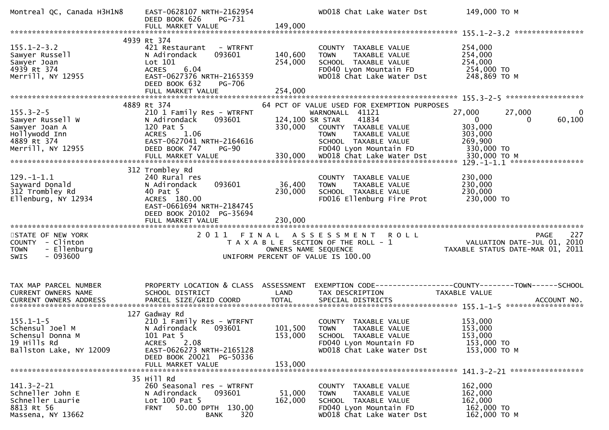| Montreal QC, Canada H3H1N8                                                                       | EAST-0628107 NRTH-2162954<br>DEED BOOK 626<br>PG-731<br>FULL MARKET VALUE                                                                                                            | 149,000                            | WD018 Chat Lake Water Dst                                                                                                                               | 149,000 ТО М                                                                                     |
|--------------------------------------------------------------------------------------------------|--------------------------------------------------------------------------------------------------------------------------------------------------------------------------------------|------------------------------------|---------------------------------------------------------------------------------------------------------------------------------------------------------|--------------------------------------------------------------------------------------------------|
|                                                                                                  |                                                                                                                                                                                      |                                    |                                                                                                                                                         |                                                                                                  |
| $155.1 - 2 - 3.2$<br>Sawyer Russell<br>Sawyer Joan<br>4939 Rt 374<br>Merrill, NY 12955           | 4939 Rt 374<br>421 Restaurant - WTRFNT<br>N Adirondack<br>093601<br>Lot 101<br>6.04<br><b>ACRES</b><br>EAST-0627376 NRTH-2165359                                                     | 140,600<br>254,000                 | COUNTY TAXABLE VALUE<br>TAXABLE VALUE<br><b>TOWN</b><br>SCHOOL TAXABLE VALUE<br>FD040 Lyon Mountain FD<br>WD018 Chat Lake Water Dst                     | 254,000<br>254,000<br>254,000<br>254,000 TO<br>248,869 TO M                                      |
|                                                                                                  | DEED BOOK 632<br><b>PG-706</b><br>FULL MARKET VALUE                                                                                                                                  | 254,000                            |                                                                                                                                                         |                                                                                                  |
|                                                                                                  |                                                                                                                                                                                      |                                    |                                                                                                                                                         |                                                                                                  |
| $155.3 - 2 - 5$<br>Sawyer Russell W<br>Sawyer Joan A<br>Hollywodd Inn<br>4889 Rt 374             | 4889 Rt 374<br>210 1 Family Res - WTRFNT<br>N Adirondack<br>093601<br>120 Pat 5<br>ACRES 1.06<br>EAST-0627041 NRTH-2164616                                                           | 124,100 SR STAR<br>330,000         | 64 PCT OF VALUE USED FOR EXEMPTION PURPOSES<br>WARNONALL 41121<br>41834<br>COUNTY TAXABLE VALUE<br>TAXABLE VALUE<br><b>TOWN</b><br>SCHOOL TAXABLE VALUE | 27,000<br>27,000<br>$\mathbf{0}$<br>$\mathbf{0}$<br>60,100<br>0<br>303,000<br>303,000<br>269,900 |
| Merrill, NY 12955                                                                                | DEED BOOK 747<br><b>PG-90</b><br>FULL MARKET VALUE                                                                                                                                   | 330,000                            | FD040 Lyon Mountain FD<br>WD018 Chat Lake Water Dst                                                                                                     | 330,000 TO<br>330,000 ТО М                                                                       |
| $129. - 1 - 1.1$<br>Sayward Donald<br>312 Trombley Rd<br>Ellenburg, NY 12934                     | 312 Trombley Rd<br>240 Rural res<br>093601<br>N Adirondack<br>40 Pat 5<br>ACRES 180.00<br>EAST-0661694 NRTH-2184745<br>DEED BOOK 20102 PG-35694<br>FULL MARKET VALUE                 | 36,400<br>230,000<br>230,000       | COUNTY TAXABLE VALUE<br>TAXABLE VALUE<br><b>TOWN</b><br>SCHOOL TAXABLE VALUE<br>FD016 Ellenburg Fire Prot                                               | 230,000<br>230,000<br>230,000<br>230,000 TO                                                      |
| STATE OF NEW YORK<br>COUNTY - Clinton<br>- Ellenburg<br><b>TOWN</b><br>$-093600$<br><b>SWIS</b>  |                                                                                                                                                                                      | OWNERS NAME SEQUENCE               | 2011 FINAL ASSESSMENT ROLL<br>T A X A B L E SECTION OF THE ROLL - 1<br>UNIFORM PERCENT OF VALUE IS 100.00                                               | 227<br><b>PAGE</b><br>VALUATION DATE-JUL 01, 2010<br>TAXABLE STATUS DATE-MAR 01, 2011            |
| TAX MAP PARCEL NUMBER<br>CURRENT OWNERS NAME                                                     | PROPERTY LOCATION & CLASS ASSESSMENT<br>SCHOOL DISTRICT                                                                                                                              | LAND                               | TAX DESCRIPTION                                                                                                                                         | EXEMPTION CODE-----------------COUNTY-------TOWN------SCHOOL<br><b>TAXABLE VALUE</b>             |
| $155.1 - 1 - 5$<br>Schensul Joel M<br>Schensul Donna M<br>19 Hills Rd<br>Ballston Lake, NY 12009 | 127 Gadway Rd<br>210 1 Family Res - WTRFNT<br>N Adirondack 093601<br>101 Pat 5<br>2.08<br><b>ACRES</b><br>EAST-0626273 NRTH-2165128<br>DEED BOOK 20021 PG-50336<br>FULL MARKET VALUE | 101,500 TOWN<br>153,000<br>153,000 | COUNTY TAXABLE VALUE<br>TAXABLE VALUE<br>SCHOOL TAXABLE VALUE<br>FD040 Lyon Mountain FD<br>WD018 Chat Lake Water Dst                                    | 153,000<br>153,000<br>153,000<br>153,000 TO<br>153,000 ТО М                                      |
| $141.3 - 2 - 21$<br>Schneller John E<br>Schneller Laurie<br>8813 Rt 56<br>Massena, NY 13662      | 35 Hill Rd<br>260 Seasonal res - WTRFNT<br>N Adirondack<br>093601<br>Lot 100 Pat 5<br>50.00 DPTH 130.00<br><b>FRNT</b><br>320<br><b>BANK</b>                                         | 51,000<br>162,000                  | COUNTY TAXABLE VALUE<br>TAXABLE VALUE<br><b>TOWN</b><br>SCHOOL TAXABLE VALUE<br>FD040 Lyon Mountain FD<br>WD018 Chat Lake Water Dst                     | 162,000<br>162,000<br>162,000<br>162,000 TO<br>162,000 TO M                                      |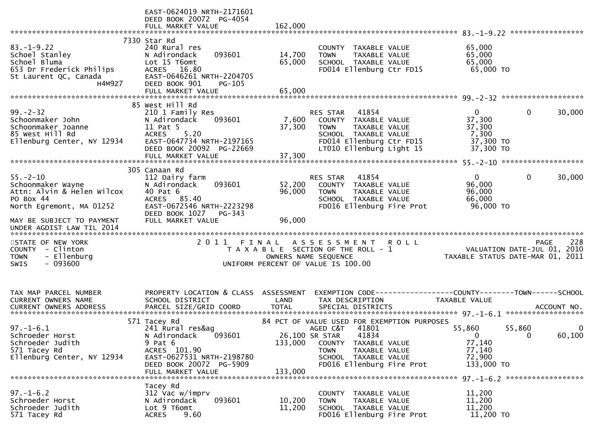|                                                                                                                   | EAST-0624019 NRTH-2171601<br>DEED BOOK 20072 PG-4054<br>FULL MARKET VALUE                                                                                              | 162,000                              |                                                                                                                                                                                     |                                                                                |                                                   |
|-------------------------------------------------------------------------------------------------------------------|------------------------------------------------------------------------------------------------------------------------------------------------------------------------|--------------------------------------|-------------------------------------------------------------------------------------------------------------------------------------------------------------------------------------|--------------------------------------------------------------------------------|---------------------------------------------------|
| $83. - 1 - 9.22$<br>Schoel Stanley<br>Schoel Bluma<br>653 Dr Frederick Philips<br>St Laurent QC, Canada<br>H4M9Z7 | 7330 Star Rd<br>240 Rural res<br>093601<br>N Adirondack<br>Lot 15 T6omt<br>ACRES 16.80<br>EAST-0646261 NRTH-2204705<br>DEED BOOK 901<br>PG-105<br>FULL MARKET VALUE    | 14,700<br>65,000<br>65,000           | COUNTY TAXABLE VALUE<br>TAXABLE VALUE<br><b>TOWN</b><br>SCHOOL TAXABLE VALUE<br>FD014 Ellenburg Ctr FD15                                                                            | 65,000<br>65,000<br>65,000<br>65,000 TO                                        |                                                   |
|                                                                                                                   | 85 West Hill Rd                                                                                                                                                        |                                      |                                                                                                                                                                                     |                                                                                |                                                   |
| $99 - 2 - 32$<br>Schoonmaker John<br>Schoonmaker Joanne<br>85 West Hill Rd<br>Ellenburg Center, NY 12934          | 210 1 Family Res<br>093601<br>N Adirondack<br>11 Pat 5<br>5.20<br><b>ACRES</b><br>EAST-0647734 NRTH-2197165<br>DEED BOOK 20092 PG-22669                                | 7,600<br>37,300                      | RES STAR<br>41854<br>COUNTY TAXABLE VALUE<br><b>TOWN</b><br>TAXABLE VALUE<br>SCHOOL TAXABLE VALUE<br>FD014 Ellenburg Ctr FD15<br>LT010 Ellenburg Light 15                           | $\Omega$<br>37,300<br>37,300<br>7,300<br>37,300 TO<br>37,300 TO                | 30,000<br>0                                       |
|                                                                                                                   | FULL MARKET VALUE                                                                                                                                                      | 37,300                               |                                                                                                                                                                                     |                                                                                |                                                   |
| $55. - 2 - 10$<br>Schoonmaker Wayne<br>Attn: Alvin & Helen Wilcox<br>PO Box 44<br>North Egremont, MA 01252        | 305 Canaan Rd<br>112 Dairy farm<br>093601<br>N Adirondack<br>40 Pat 6<br>ACRES 85.40<br>EAST-0672546 NRTH-2223298<br>PG-343                                            | 52,200<br>96,000                     | 41854<br>RES STAR<br>COUNTY TAXABLE VALUE<br><b>TOWN</b><br>TAXABLE VALUE<br>SCHOOL TAXABLE VALUE<br>FD016 Ellenburg Fire Prot                                                      | $\overline{0}$<br>96,000<br>96,000<br>66,000<br>96,000 TO                      | $\mathbf{0}$<br>30,000                            |
| MAY BE SUBJECT TO PAYMENT                                                                                         | DEED BOOK 1027<br>FULL MARKET VALUE                                                                                                                                    | 96,000                               |                                                                                                                                                                                     |                                                                                |                                                   |
| STATE OF NEW YORK<br>COUNTY - Clinton<br>- Ellenburg<br><b>TOWN</b><br>$-093600$<br>SWIS                          | 2011<br>FINAL                                                                                                                                                          | OWNERS NAME SEQUENCE                 | ASSESSMENT ROLL<br>T A X A B L E SECTION OF THE ROLL - 1<br>UNIFORM PERCENT OF VALUE IS 100.00                                                                                      | TAXABLE STATUS DATE-MAR 01, 2011                                               | 228<br><b>PAGE</b><br>VALUATION DATE-JUL 01, 2010 |
| TAX MAP PARCEL NUMBER<br><b>CURRENT OWNERS NAME</b><br><b>CURRENT OWNERS ADDRESS</b>                              | PROPERTY LOCATION & CLASS ASSESSMENT<br>SCHOOL DISTRICT<br>PARCEL SIZE/GRID COORD                                                                                      | LAND<br><b>TOTAL</b>                 | EXEMPTION CODE-----------------COUNTY-------TOWN------SCHOOL<br>TAX DESCRIPTION<br>SPECIAL DISTRICTS                                                                                | TAXABLE VALUE                                                                  | ACCOUNT NO.                                       |
| $97. - 1 - 6.1$<br>Schroeder Horst<br>Schroeder Judith<br>571 Tacey Rd<br>Ellenburg Center, NY 12934              | 571 Tacey Rd<br>241 Rural res&ag<br>093601<br>N Adirondack<br>$9$ Pat $6$<br>ACRES 101.90<br>EAST-0627531 NRTH-2198780<br>DEED BOOK 20072 PG-5909<br>FULL MARKET VALUE | 26,100 SR STAR<br>133,000<br>133,000 | 84 PCT OF VALUE USED FOR EXEMPTION PURPOSES<br>AGED C&T 41801<br>41834<br>COUNTY TAXABLE VALUE<br><b>TOWN</b><br>TAXABLE VALUE<br>SCHOOL TAXABLE VALUE<br>FD016 Ellenburg Fire Prot | 55,860<br>55,860<br>$\overline{0}$<br>77,140<br>77,140<br>72,900<br>133,000 TO | 60,100<br>$\Omega$                                |
| $97. - 1 - 6.2$<br>Schroeder Horst<br>Schroeder Judith<br>571 Tacey Rd                                            | Tacey Rd<br>312 Vac w/imprv<br>093601<br>N Adirondack<br>Lot 9 T6omt<br>9.60<br><b>ACRES</b>                                                                           | 10,200<br>11,200                     | COUNTY TAXABLE VALUE<br>TAXABLE VALUE<br>TOWN<br>SCHOOL TAXABLE VALUE<br>FD016 Ellenburg Fire Prot                                                                                  | 11,200<br>11,200<br>11,200<br>11,200 TO                                        |                                                   |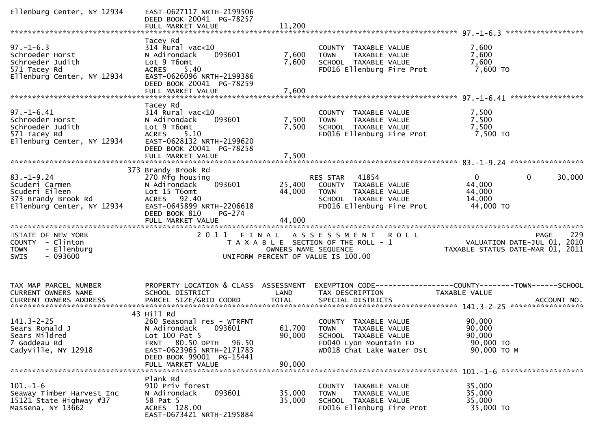| Ellenburg Center, NY 12934                                                                                | EAST-0627117 NRTH-2199506<br>DEED BOOK 20041 PG-78257<br>FULL MARKET VALUE                                                                                                                         | 11,200                     |                                                                                                                                  |                                                                 |             |
|-----------------------------------------------------------------------------------------------------------|----------------------------------------------------------------------------------------------------------------------------------------------------------------------------------------------------|----------------------------|----------------------------------------------------------------------------------------------------------------------------------|-----------------------------------------------------------------|-------------|
| $97. - 1 - 6.3$<br>Schroeder Horst<br>Schroeder Judith<br>571 Tacey Rd<br>Ellenburg Center, NY 12934      | Tacey Rd<br>$314$ Rural vac< $10$<br>N Adirondack<br>093601<br>Lot 9 T6omt<br>ACRES 5.40<br>EAST-0626096 NRTH-2199386<br>DEED BOOK 20041 PG-78259<br>FULL MARKET VALUE                             | 7,600<br>7,600<br>7,600    | COUNTY TAXABLE VALUE<br>TAXABLE VALUE<br><b>TOWN</b><br>SCHOOL TAXABLE VALUE<br>FD016 Ellenburg Fire Prot                        | 7,600<br>7,600<br>7,600<br>7,600 TO                             |             |
| $97. - 1 - 6.41$<br>Schroeder Horst<br>Schroeder Judith<br>571 Tacey Rd<br>Ellenburg Center, NY 12934     | Tacey Rd<br>$314$ Rural vac< $10$<br>093601<br>N Adirondack<br>Lot 9 T6omt<br>ACRES 5.10<br>EAST-0628132 NRTH-2199620<br>DEED BOOK 20041 PG-78258<br>FULL MARKET VALUE                             | 7,500<br>7,500<br>7,500    | COUNTY TAXABLE VALUE<br><b>TOWN</b><br>TAXABLE VALUE<br>SCHOOL TAXABLE VALUE<br>FD016 Ellenburg Fire Prot                        | 7,500<br>7,500<br>7,500<br>7,500 TO                             |             |
| $83. - 1 - 9.24$<br>Scuderi Carmen<br>Scuderi Eileen<br>373 Brandy Brook Rd<br>Ellenburg Center, NY 12934 | 373 Brandy Brook Rd<br>270 Mfg housing<br>093601<br>N Adirondack<br>Lot 15 T6omt<br>ACRES 92.40<br>EAST-0645899 NRTH-2206618<br>DEED BOOK 810<br>PG-274<br>FULL MARKET VALUE                       | 25,400<br>44,000<br>44,000 | RES STAR<br>41854<br>COUNTY TAXABLE VALUE<br><b>TOWN</b><br>TAXABLE VALUE<br>SCHOOL TAXABLE VALUE<br>FD016 Ellenburg Fire Prot   | $\mathbf{0}$<br>44,000<br>44,000<br>14,000<br>44,000 TO         | 30,000<br>0 |
| STATE OF NEW YORK<br>COUNTY - Clinton<br>- Ellenburg<br><b>TOWN</b><br>$-093600$<br><b>SWIS</b>           |                                                                                                                                                                                                    | OWNERS NAME SEQUENCE       | 2011 FINAL ASSESSMENT<br><b>ROLL</b><br>T A X A B L E SECTION OF THE ROLL - 1<br>UNIFORM PERCENT OF VALUE IS 100.00              | VALUATION DATE-JUL 01, 2010<br>TAXABLE STATUS DATE-MAR 01, 2011 | 229<br>PAGE |
| TAX MAP PARCEL NUMBER<br>CURRENT OWNERS NAME                                                              | PROPERTY LOCATION & CLASS ASSESSMENT<br>SCHOOL DISTRICT                                                                                                                                            | LAND                       | TAX DESCRIPTION                                                                                                                  | TAXABLE VALUE                                                   |             |
| $141.3 - 2 - 25$<br>Sears Ronald J<br>Sears Mildred<br>7 Goddeau Rd<br>Cadyville, NY 12918                | 43 Hill Rd<br>260 Seasonal res - WTRFNT<br>N Adirondack 093601<br>Lot $100$ Pat 5<br>80.50 DPTH 96.50<br><b>FRNT</b><br>EAST-0623965 NRTH-2171783<br>DEED BOOK 99001 PG-15441<br>FULL MARKET VALUE | 90,000<br>90,000           | COUNTY TAXABLE VALUE<br>61,700 TOWN TAXABLE VALUE<br>SCHOOL TAXABLE VALUE<br>FD040 Lyon Mountain FD<br>WD018 Chat Lake Water Dst | 90,000<br>90,000<br>90,000<br>90,000 TO<br>90,000 TO M          |             |
| $101. - 1 - 6$<br>Seaway Timber Harvest Inc<br>15121 State Highway #37<br>Massena, NY 13662               | Plank Rd<br>910 Priv forest<br>093601<br>N Adirondack<br>58 Pat 5<br>ACRES 128.00<br>EAST-0673421 NRTH-2195884                                                                                     | 35,000<br>35,000           | COUNTY TAXABLE VALUE<br>TAXABLE VALUE<br><b>TOWN</b><br>SCHOOL TAXABLE VALUE<br>FD016 Ellenburg Fire Prot                        | 35,000<br>35,000<br>35,000<br>35,000 TO                         |             |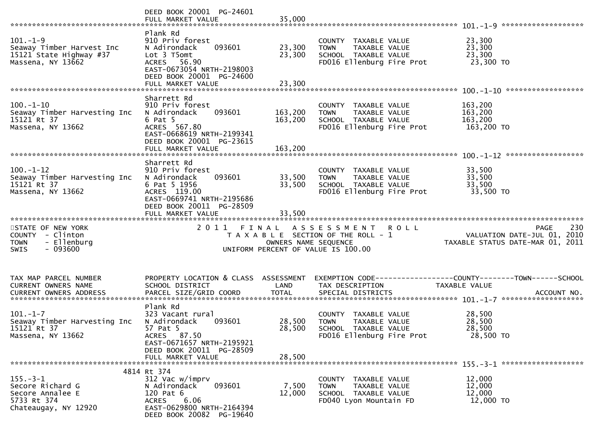|                                                                                             | DEED BOOK 20001 PG-24601<br>FULL MARKET VALUE                                                                                                                     | 35,000                     |                                                                                                                   |                                                                                       |
|---------------------------------------------------------------------------------------------|-------------------------------------------------------------------------------------------------------------------------------------------------------------------|----------------------------|-------------------------------------------------------------------------------------------------------------------|---------------------------------------------------------------------------------------|
| $101. - 1 - 9$<br>Seaway Timber Harvest Inc<br>15121 State Highway #37<br>Massena, NY 13662 | Plank Rd<br>910 Priv forest<br>093601<br>N Adirondack<br>Lot 3 T5omt<br>ACRES 56.90<br>EAST-0673054 NRTH-2198003<br>DEED BOOK 20001 PG-24600<br>FULL MARKET VALUE | 23,300<br>23,300<br>23,300 | COUNTY TAXABLE VALUE<br>TAXABLE VALUE<br><b>TOWN</b><br>SCHOOL TAXABLE VALUE<br>FD016 Ellenburg Fire Prot         | 23,300<br>23,300<br>23,300<br>23,300 TO                                               |
|                                                                                             | Sharrett Rd                                                                                                                                                       |                            |                                                                                                                   |                                                                                       |
| $100. - 1 - 10$<br>Seaway Timber Harvesting Inc<br>15121 Rt 37<br>Massena, NY 13662         | 910 Priv forest<br>093601<br>N Adirondack<br>$6$ Pat $5$<br>ACRES 567.80<br>EAST-0668619 NRTH-2199341<br>DEED BOOK 20001 PG-23615                                 | 163,200<br>163,200         | COUNTY TAXABLE VALUE<br>TAXABLE VALUE<br>TOWN<br>SCHOOL TAXABLE VALUE<br>FD016 Ellenburg Fire Prot                | 163,200<br>163,200<br>163,200<br>163,200 TO                                           |
|                                                                                             | FULL MARKET VALUE                                                                                                                                                 | 163,200                    |                                                                                                                   |                                                                                       |
|                                                                                             | Sharrett Rd                                                                                                                                                       |                            |                                                                                                                   |                                                                                       |
| $100. - 1 - 12$<br>Seaway Timber Harvesting Inc<br>15121 Rt 37<br>Massena, NY 13662         | 910 Priv forest<br>093601<br>N Adirondack<br>6 Pat 5 1956<br>ACRES 119.00<br>EAST-0669741 NRTH-2195686<br>DEED BOOK 20011 PG-28509                                | 33,500<br>33,500           | COUNTY TAXABLE VALUE<br>TAXABLE VALUE<br><b>TOWN</b><br>SCHOOL TAXABLE VALUE<br>FD016 Ellenburg Fire Prot         | 33,500<br>33,500<br>33,500<br>33,500 TO                                               |
|                                                                                             | FULL MARKET VALUE                                                                                                                                                 | 33,500                     |                                                                                                                   |                                                                                       |
| STATE OF NEW YORK<br>COUNTY - Clinton<br>- Ellenburg<br><b>TOWN</b><br>$-093600$<br>SWIS    | 2011 FINAL                                                                                                                                                        | OWNERS NAME SEQUENCE       | A S S E S S M E N T<br><b>ROLL</b><br>T A X A B L E SECTION OF THE ROLL - 1<br>UNIFORM PERCENT OF VALUE IS 100.00 | 230<br><b>PAGE</b><br>VALUATION DATE-JUL 01, 2010<br>TAXABLE STATUS DATE-MAR 01, 2011 |
| TAX MAP PARCEL NUMBER                                                                       |                                                                                                                                                                   |                            |                                                                                                                   |                                                                                       |
| CURRENT OWNERS NAME                                                                         | PROPERTY LOCATION & CLASS ASSESSMENT<br>SCHOOL DISTRICT                                                                                                           | LAND                       | TAX DESCRIPTION                                                                                                   | TAXABLE VALUE                                                                         |
|                                                                                             |                                                                                                                                                                   |                            |                                                                                                                   |                                                                                       |
| $101. - 1 - 7$<br>Seaway Timber Harvesting Inc<br>15121 Rt 37<br>Massena, NY 13662          | Plank Rd<br>323 Vacant rural<br>093601<br>N Adirondack<br>57 Pat 5<br>ACRES 87.50<br>EAST-0671657 NRTH-2195921                                                    | 28,500<br>28,500           | COUNTY TAXABLE VALUE<br><b>TOWN</b><br><b>TAXABLE VALUE</b><br>SCHOOL TAXABLE VALUE<br>FD016 Ellenburg Fire Prot  | 28,500<br>28,500<br>28,500<br>28,500 TO                                               |
|                                                                                             | DEED BOOK 20011 PG-28509<br>FULL MARKET VALUE                                                                                                                     | 28,500                     |                                                                                                                   |                                                                                       |
|                                                                                             | 4814 Rt 374                                                                                                                                                       |                            |                                                                                                                   |                                                                                       |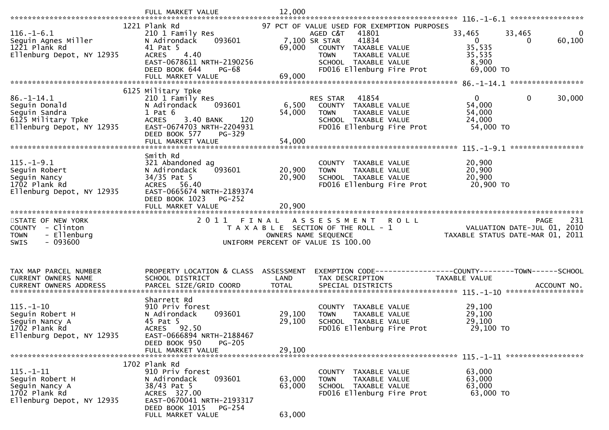|                                                          | FULL MARKET VALUE                                                           | 12,000           |                                                                                   |                                                                   |                       |
|----------------------------------------------------------|-----------------------------------------------------------------------------|------------------|-----------------------------------------------------------------------------------|-------------------------------------------------------------------|-----------------------|
|                                                          | 1221 Plank Rd                                                               |                  | 97 PCT OF VALUE USED FOR EXEMPTION PURPOSES                                       |                                                                   |                       |
| $116. - 1 - 6.1$<br>Seguin Agnes Miller<br>1221 Plank Rd | 210 1 Family Res<br>093601<br>N Adirondack<br>41 Pat 5                      | 69,000           | 41801<br>AGED C&T<br>41834<br>7,100 SR STAR<br>COUNTY TAXABLE VALUE               | 33,465<br>33,465<br>$\Omega$<br>$\Omega$<br>35,535                | $\mathbf 0$<br>60,100 |
| Ellenburg Depot, NY 12935                                | 4.40<br><b>ACRES</b><br>EAST-0678611 NRTH-2190256<br>DEED BOOK 644<br>PG-68 |                  | <b>TOWN</b><br>TAXABLE VALUE<br>SCHOOL TAXABLE VALUE<br>FD016 Ellenburg Fire Prot | 35,535<br>8,900<br>69,000 TO                                      |                       |
|                                                          |                                                                             |                  |                                                                                   |                                                                   |                       |
|                                                          | 6125 Military Tpke                                                          |                  |                                                                                   |                                                                   |                       |
| $86. - 1 - 14.1$<br>Seguin Donald                        | 210 1 Family Res<br>N Adirondack<br>093601                                  | 6,500            | 41854<br>RES STAR<br>COUNTY TAXABLE VALUE                                         | $\overline{0}$<br>$\mathbf 0$<br>54,000                           | 30,000                |
| Seguin Sandra                                            | $1$ Pat $6$                                                                 | 54,000           | <b>TOWN</b><br>TAXABLE VALUE                                                      | 54,000                                                            |                       |
| 6125 Military Tpke                                       | 3.40 BANK<br>120<br><b>ACRES</b>                                            |                  | SCHOOL TAXABLE VALUE                                                              | 24,000                                                            |                       |
| Ellenburg Depot, NY 12935                                | EAST-0674703 NRTH-2204931<br>DEED BOOK 577<br>PG-329                        |                  | FD016 Ellenburg Fire Prot                                                         | 54,000 TO                                                         |                       |
|                                                          | FULL MARKET VALUE                                                           | 54,000           |                                                                                   |                                                                   |                       |
|                                                          |                                                                             |                  |                                                                                   |                                                                   |                       |
| $115. - 1 - 9.1$                                         | Smith Rd                                                                    |                  |                                                                                   | 20,900                                                            |                       |
| Seguin Robert                                            | 321 Abandoned ag<br>093601<br>N Adirondack                                  | 20,900           | COUNTY TAXABLE VALUE<br><b>TOWN</b><br>TAXABLE VALUE                              | 20,900                                                            |                       |
| Seguin Nancy                                             | 34/35 Pat 5                                                                 | 20,900           | SCHOOL TAXABLE VALUE                                                              | 20,900                                                            |                       |
| 1702 Plank Rd                                            | ACRES 56.40                                                                 |                  | FD016 Ellenburg Fire Prot                                                         | 20,900 TO                                                         |                       |
| Ellenburg Depot, NY 12935                                | EAST-0665674 NRTH-2189374<br>DEED BOOK 1023<br>PG-252                       |                  |                                                                                   |                                                                   |                       |
|                                                          | FULL MARKET VALUE                                                           | 20,900           |                                                                                   |                                                                   |                       |
|                                                          |                                                                             |                  |                                                                                   |                                                                   |                       |
|                                                          |                                                                             |                  |                                                                                   |                                                                   |                       |
| STATE OF NEW YORK                                        |                                                                             |                  | 2011 FINAL ASSESSMENT ROLL                                                        | <b>PAGE</b>                                                       | 231                   |
| COUNTY - Clinton<br><b>TOWN</b><br>- Ellenburg           |                                                                             |                  | T A X A B L E SECTION OF THE ROLL - 1<br>OWNERS NAME SEQUENCE                     | VALUATION DATE-JUL $01, 2010$<br>TAXABLE STATUS DATE-MAR 01, 2011 |                       |
| $-093600$<br><b>SWIS</b>                                 |                                                                             |                  | UNIFORM PERCENT OF VALUE IS 100.00                                                |                                                                   |                       |
|                                                          |                                                                             |                  |                                                                                   |                                                                   |                       |
|                                                          |                                                                             |                  |                                                                                   |                                                                   |                       |
| TAX MAP PARCEL NUMBER                                    | PROPERTY LOCATION & CLASS ASSESSMENT                                        |                  |                                                                                   | EXEMPTION CODE------------------COUNTY--------TOWN------SCHOOL    |                       |
| CURRENT OWNERS NAME                                      | SCHOOL DISTRICT                                                             | LAND             | TAX DESCRIPTION                                                                   | TAXABLE VALUE                                                     |                       |
|                                                          |                                                                             |                  |                                                                                   |                                                                   |                       |
|                                                          | Sharrett Rd                                                                 |                  |                                                                                   |                                                                   |                       |
| $115. - 1 - 10$                                          | 910 Priv forest                                                             |                  | COUNTY TAXABLE VALUE                                                              | 29,100                                                            |                       |
| Seguin Robert H<br>Seguin Nancy A                        | 093601<br>N Adirondack<br>45 Pat 5                                          | 29,100<br>29,100 | TAXABLE VALUE<br><b>TOWN</b><br>SCHOOL TAXABLE VALUE                              | 29,100<br>29,100                                                  |                       |
| 1702 Plank Rd                                            | ACRES 92.50                                                                 |                  | FD016 Ellenburg Fire Prot                                                         | 29,100 TO                                                         |                       |
| Ellenburg Depot, NY 12935                                | EAST-0666894 NRTH-2188467                                                   |                  |                                                                                   |                                                                   |                       |
|                                                          | DEED BOOK 950<br><b>PG-205</b><br>FULL MARKET VALUE                         | 29,100           |                                                                                   |                                                                   |                       |
|                                                          |                                                                             |                  |                                                                                   |                                                                   |                       |
|                                                          | 1702 Plank Rd                                                               |                  |                                                                                   |                                                                   |                       |
| $115. - 1 - 11$                                          | 910 Priv forest                                                             |                  | COUNTY TAXABLE VALUE<br><b>TOWN</b>                                               | 63,000                                                            |                       |
| Sequin Robert H<br>Seguin Nancy A                        | N Adirondack<br>093601<br>38/43 Pat 5                                       | 63,000<br>63,000 | TAXABLE VALUE<br>SCHOOL TAXABLE VALUE                                             | 63,000<br>63,000                                                  |                       |
| 1702 Plank Rd                                            | ACRES 327.00                                                                |                  | FD016 Ellenburg Fire Prot                                                         | 63,000 TO                                                         |                       |
| Ellenburg Depot, NY 12935                                | EAST-0670041 NRTH-2193317<br>DEED BOOK 1015<br>PG-254                       |                  |                                                                                   |                                                                   |                       |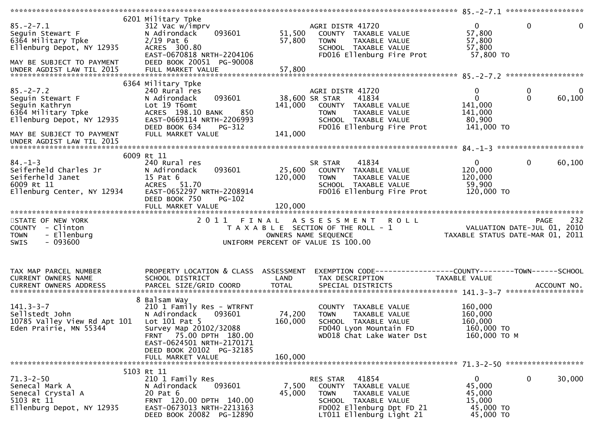| $85. - 2 - 7.1$<br>Sequin Stewart F<br>6364 Military Tpke<br>Ellenburg Depot, NY 12935<br>6364 Military Tpke<br>MAY BE SUBJECT TO PAYMENT | 6201 Military Tpke<br>312 Vac w/imprv<br>093601<br>N Adirondack<br>$2/19$ Pat 6<br>ACRES 300.80<br>EAST-0670818 NRTH-2204106<br>DEED BOOK 20051 PG-90008                                            | 51,500<br>57,800             | AGRI DISTR 41720<br>COUNTY TAXABLE VALUE<br>TAXABLE VALUE<br><b>TOWN</b><br>SCHOOL TAXABLE VALUE<br>FD016 Ellenburg Fire Prot                              | $\overline{0}$<br>57,800<br>57,800<br>57,800<br>57,800 TO                | $\mathbf 0$<br>$\mathbf 0$                              |
|-------------------------------------------------------------------------------------------------------------------------------------------|-----------------------------------------------------------------------------------------------------------------------------------------------------------------------------------------------------|------------------------------|------------------------------------------------------------------------------------------------------------------------------------------------------------|--------------------------------------------------------------------------|---------------------------------------------------------|
|                                                                                                                                           |                                                                                                                                                                                                     |                              |                                                                                                                                                            |                                                                          |                                                         |
|                                                                                                                                           | 6364 Military Tpke                                                                                                                                                                                  |                              |                                                                                                                                                            |                                                                          |                                                         |
| $85. - 2 - 7.2$<br>Seguin Stewart F<br>Seguin Kathryn<br>6364 Military Tpke<br>Ellenburg Depot, NY 12935<br>MAY BE SUBJECT TO PAYMENT     | 240 Rural res<br>093601<br>N Adirondack<br>Lot 19 T6omt<br>ACRES 198.10 BANK<br>850<br>EAST-0669114 NRTH-2206993<br>DEED BOOK 634<br>PG-312<br>FULL MARKET VALUE                                    | 141,000<br>141,000           | AGRI DISTR 41720<br>38,600 SR STAR<br>41834<br>COUNTY TAXABLE VALUE<br><b>TOWN</b><br>TAXABLE VALUE<br>SCHOOL TAXABLE VALUE<br>FD016 Ellenburg Fire Prot   | $\mathbf 0$<br>$\mathbf 0$<br>141,000<br>141,000<br>80,900<br>141,000 TO | $\mathbf 0$<br>$\overline{0}$<br>$\mathbf{0}$<br>60,100 |
| UNDER AGDIST LAW TIL 2015                                                                                                                 |                                                                                                                                                                                                     |                              |                                                                                                                                                            |                                                                          |                                                         |
|                                                                                                                                           |                                                                                                                                                                                                     |                              |                                                                                                                                                            |                                                                          |                                                         |
| $84. - 1 - 3$<br>Seiferheld Charles Jr<br>seiterneid Janet<br>6009 Rt 11<br>Ellenburg Center, NY 12934                                    | 6009 Rt 11<br>240 Rural res<br>093601<br>N Adirondack<br>15 Pat 6<br>ACRES 51.70<br>EAST-0652297 NRTH-2208914<br>DEED BOOK 750<br>PG-102<br>FULL MARKET VALUE                                       | 25,600<br>120,000<br>120,000 | 41834<br>SR STAR<br>COUNTY TAXABLE VALUE<br><b>TOWN</b><br>TAXABLE VALUE<br>SCHOOL TAXABLE VALUE<br>FD016 Ellenburg Fire Prot                              | $\mathbf{0}$<br>120,000<br>120,000<br>59,900<br>120,000 TO               | $\overline{0}$<br>60,100                                |
| STATE OF NEW YORK<br>COUNTY - Clinton<br>- Ellenburg<br><b>TOWN</b><br>$-093600$<br><b>SWIS</b>                                           |                                                                                                                                                                                                     |                              |                                                                                                                                                            |                                                                          |                                                         |
| TAX MAP PARCEL NUMBER<br>CURRENT OWNERS NAME                                                                                              | PROPERTY LOCATION & CLASS ASSESSMENT<br>SCHOOL DISTRICT                                                                                                                                             | LAND                         | EXEMPTION CODE------------------COUNTY--------TOWN------SCHOOL<br>TAX DESCRIPTION                                                                          | TAXABLE VALUE                                                            |                                                         |
| $141.3 - 3 - 7$<br>Sellstedt John<br>10785 Valley View Rd Apt 101<br>Eden Prairie, MN 55344                                               | 8 Balsam Way<br>210 1 Family Res - WTRFNT<br>N Adirondack<br>093601<br>Lot $101$ Pat 5<br>Survey Map 20102/32088<br>FRNT 75.00 DPTH 180.00<br>EAST-0624501 NRTH-2170171<br>DEED BOOK 20102 PG-32185 | 74,200<br>160,000            | COUNTY TAXABLE VALUE<br>TAXABLE VALUE<br><b>TOWN</b><br>SCHOOL TAXABLE VALUE<br>FD040 Lyon Mountain FD<br>WD018 Chat Lake Water Dst                        | 160,000<br>160,000<br>160,000<br>160,000 TO<br>160,000 ТО М              |                                                         |
|                                                                                                                                           | FULL MARKET VALUE                                                                                                                                                                                   | 160,000                      |                                                                                                                                                            |                                                                          |                                                         |
|                                                                                                                                           | 5103 Rt 11                                                                                                                                                                                          |                              |                                                                                                                                                            |                                                                          |                                                         |
| $71.3 - 2 - 50$<br>Senecal Mark A<br>Senecal Crystal A<br>5103 Rt 11<br>Ellenburg Depot, NY 12935                                         | 210 1 Family Res<br>093601<br>N Adirondack<br>20 Pat 6<br>FRNT 120.00 DPTH 140.00<br>EAST-0673013 NRTH-2213163<br>DEED BOOK 20082 PG-12890                                                          | 7,500<br>45,000              | 41854<br>RES STAR<br>COUNTY TAXABLE VALUE<br><b>TOWN</b><br>TAXABLE VALUE<br>SCHOOL TAXABLE VALUE<br>FD002 Ellenburg Dpt FD 21<br>LT011 Ellenburg Light 21 | 0<br>45,000<br>45,000<br>15,000<br>45,000 TO<br>45,000 TO                | 0<br>30,000                                             |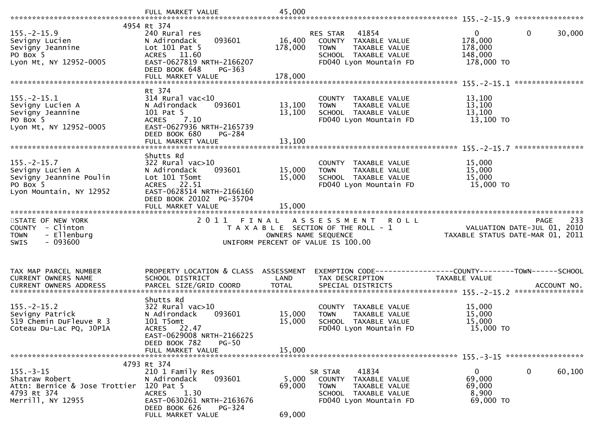|                                                                                                         | FULL MARKET VALUE                                                                                                                                                          | 45,000                        |                                                                                                                             |                                                                                              |        |
|---------------------------------------------------------------------------------------------------------|----------------------------------------------------------------------------------------------------------------------------------------------------------------------------|-------------------------------|-----------------------------------------------------------------------------------------------------------------------------|----------------------------------------------------------------------------------------------|--------|
|                                                                                                         | 4954 Rt 374                                                                                                                                                                |                               |                                                                                                                             |                                                                                              |        |
| $155. - 2 - 15.9$<br>Sevigny Lucien<br>Sevigny Jeannine<br>PO Box 5<br>Lyon Mt, NY 12952-0005           | 240 Rural res<br>093601<br>N Adirondack<br>Lot 101 Pat 5<br>ACRES 11.60<br>EAST-0627819 NRTH-2166207<br>DEED BOOK 648<br>$PG-363$                                          | 16,400<br>178,000             | 41854<br>RES STAR<br>COUNTY TAXABLE VALUE<br>TAXABLE VALUE<br><b>TOWN</b><br>SCHOOL TAXABLE VALUE<br>FD040 Lyon Mountain FD | $\mathbf{0}$<br>$\mathbf{0}$<br>178,000<br>178,000<br>148,000<br>178,000 TO                  | 30,000 |
|                                                                                                         |                                                                                                                                                                            |                               |                                                                                                                             |                                                                                              |        |
| $155. - 2 - 15.1$<br>Sevigny Lucien A<br>Sevigny Jeannine<br>PO Box 5<br>Lyon Mt, NY 12952-0005         | Rt 374<br>$314$ Rural vac<10<br>093601<br>N Adirondack<br>101 Pat 5<br>7.10<br><b>ACRES</b><br>EAST-0627936 NRTH-2165739<br>DEED BOOK 680<br>PG-284                        | 13,100<br>13,100              | COUNTY TAXABLE VALUE<br>TAXABLE VALUE<br><b>TOWN</b><br>SCHOOL TAXABLE VALUE<br>FD040 Lyon Mountain FD                      | 13,100<br>13,100<br>13,100<br>13,100 TO                                                      |        |
|                                                                                                         | FULL MARKET VALUE                                                                                                                                                          | 13,100                        |                                                                                                                             |                                                                                              |        |
| $155. - 2 - 15.7$<br>Sevigny Lucien A<br>Sevigny Jeannine Poulin<br>PO Box 5<br>Lyon Mountain, NY 12952 | Shutts Rd<br>$322$ Rural vac $>10$<br>N Adirondack<br>093601<br>Lot 101 T5omt<br>ACRES 22.51<br>EAST-0628514 NRTH-2166160<br>DEED BOOK 20102 PG-35704<br>FULL MARKET VALUE | 15,000<br>15,000<br>15,000    | COUNTY TAXABLE VALUE<br>TAXABLE VALUE<br><b>TOWN</b><br>SCHOOL TAXABLE VALUE<br>FD040 Lyon Mountain FD                      | 15,000<br>15,000<br>15,000<br>15,000 TO                                                      |        |
|                                                                                                         |                                                                                                                                                                            |                               |                                                                                                                             |                                                                                              |        |
|                                                                                                         |                                                                                                                                                                            |                               |                                                                                                                             |                                                                                              |        |
| STATE OF NEW YORK<br>COUNTY - Clinton<br>- Ellenburg<br>TOWN<br>$-093600$<br>SWIS                       | 2011                                                                                                                                                                       | FINAL<br>OWNERS NAME SEQUENCE | ASSESSMENT ROLL<br>T A X A B L E SECTION OF THE ROLL - 1<br>UNIFORM PERCENT OF VALUE IS 100.00                              | PAGE<br>VALUATION DATE-JUL 01, 2010<br>TAXABLE STATUS DATE-MAR 01, 2011                      | 233    |
| TAX MAP PARCEL NUMBER<br>CURRENT OWNERS NAME<br>CURRENT OWNERS ADDRESS                                  | PROPERTY LOCATION & CLASS ASSESSMENT<br>SCHOOL DISTRICT<br>PARCEL SIZE/GRID COORD                                                                                          | LAND<br><b>TOTAL</b>          | TAX DESCRIPTION<br>SPECIAL DISTRICTS                                                                                        | EXEMPTION CODE-----------------COUNTY-------TOWN------SCHOOL<br>TAXABLE VALUE<br>ACCOUNT NO. |        |
| $155. - 2 - 15.2$<br>Sevigny Patrick<br>519 Chemin DuFleuve R 3<br>Coteau Du-Lac PQ, JOP1A              | Shutts Rd<br>$322$ Rural vac $>10$<br>N Adirondack<br>093601<br>101 T5omt<br>ACRES 22.47<br>EAST-0629008 NRTH-2166225                                                      | 15,000<br>15,000              | COUNTY TAXABLE VALUE<br>TAXABLE VALUE<br><b>TOWN</b><br>SCHOOL TAXABLE VALUE<br>FD040 Lyon Mountain FD                      | 15,000<br>15,000<br>15,000<br>15,000 TO                                                      |        |
|                                                                                                         | DEED BOOK 782<br>$PG-50$<br>FULL MARKET VALUE                                                                                                                              | 15,000                        |                                                                                                                             |                                                                                              |        |
|                                                                                                         |                                                                                                                                                                            |                               |                                                                                                                             |                                                                                              |        |
| $155. - 3 - 15$<br>Shatraw Robert<br>Attn: Bernice & Jose Trottier<br>4793 Rt 374<br>Merrill, NY 12955  | 4793 Rt 374<br>210 1 Family Res<br>N Adirondack<br>093601<br>120 Pat 5<br>1.30<br>ACRES<br>EAST-0630261 NRTH-2163676<br>DEED BOOK 626<br>PG-324<br>FULL MARKET VALUE       | 5,000<br>69,000<br>69,000     | 41834<br>SR STAR<br>COUNTY TAXABLE VALUE<br><b>TOWN</b><br>TAXABLE VALUE<br>SCHOOL TAXABLE VALUE<br>FD040 Lyon Mountain FD  | $\mathbf{0}$<br>0<br>69,000<br>69,000<br>8,900<br>69,000 TO                                  | 60,100 |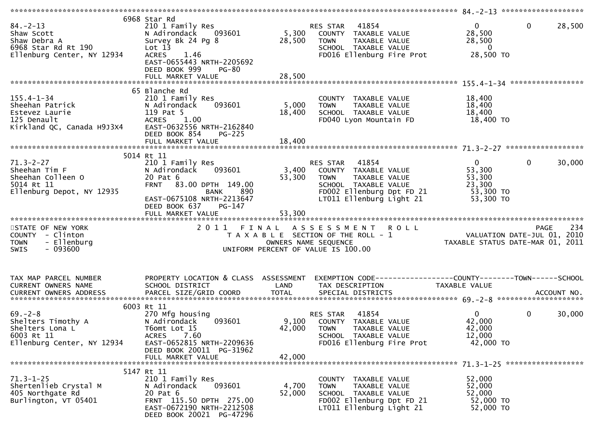| $84 - 2 - 13$<br>Shaw Scott<br>Shaw Debra A<br>6968 Star Rd Rt 190<br>Ellenburg Center, NY 12934   | 6968 Star Rd<br>210 1 Family Res<br>093601<br>N Adirondack<br>Survey Bk 24 Pg 8<br>Lot 13<br><b>ACRES</b><br>1.46<br>EAST-0655443 NRTH-2205692<br>DEED BOOK 999<br>PG-80 | 5,300<br>28,500           | 41854<br>RES STAR<br>COUNTY TAXABLE VALUE<br><b>TOWN</b><br>TAXABLE VALUE<br>SCHOOL TAXABLE VALUE<br>FD016 Ellenburg Fire Prot                             | $\Omega$<br>28,500<br>28,500<br>$\overline{\mathbf{0}}$<br>28,500 TO        | $\mathbf 0$<br>28,500  |
|----------------------------------------------------------------------------------------------------|--------------------------------------------------------------------------------------------------------------------------------------------------------------------------|---------------------------|------------------------------------------------------------------------------------------------------------------------------------------------------------|-----------------------------------------------------------------------------|------------------------|
|                                                                                                    |                                                                                                                                                                          |                           |                                                                                                                                                            |                                                                             |                        |
| $155.4 - 1 - 34$<br>Sheehan Patrick<br>Estevez Laurie<br>125 Denault<br>Kirkland QC, Canada H9J3X4 | 65 Blanche Rd<br>210 1 Family Res<br>093601<br>N Adirondack<br>119 Pat 5<br>ACRES 1.00<br>EAST-0632556 NRTH-2162840<br>DEED BOOK 854<br><b>PG-225</b>                    | 5,000<br>18,400           | COUNTY TAXABLE VALUE<br>TAXABLE VALUE<br><b>TOWN</b><br>SCHOOL TAXABLE VALUE<br>FD040 Lyon Mountain FD                                                     | 18,400<br>18,400<br>18,400<br>18,400 TO                                     |                        |
|                                                                                                    | FULL MARKET VALUE                                                                                                                                                        | 18,400                    |                                                                                                                                                            |                                                                             |                        |
|                                                                                                    |                                                                                                                                                                          |                           |                                                                                                                                                            |                                                                             |                        |
| $71.3 - 2 - 27$<br>Sheehan Tim F<br>Sheehan Colleen O<br>5014 Rt 11<br>Ellenburg Depot, NY 12935   | 5014 Rt 11<br>210 1 Family Res<br>093601<br>N Adirondack<br>20 Pat 6<br>FRNT 83.00 DPTH 149.00<br>890<br>BANK<br>EAST-0675108 NRTH-2213647<br>DEED BOOK 637<br>PG-147    | 3,400<br>53,300           | RES STAR<br>41854<br>COUNTY TAXABLE VALUE<br>TAXABLE VALUE<br><b>TOWN</b><br>SCHOOL TAXABLE VALUE<br>FD002 Ellenburg Dpt FD 21<br>LT011 Ellenburg Light 21 | $\mathbf{0}$<br>53,300<br>53,300<br>23,300<br>53,300 TO<br>53,300 TO        | 30,000<br>0            |
|                                                                                                    |                                                                                                                                                                          |                           |                                                                                                                                                            |                                                                             |                        |
| STATE OF NEW YORK<br>COUNTY - Clinton<br>- Ellenburg<br><b>TOWN</b><br>$-093600$<br><b>SWIS</b>    |                                                                                                                                                                          | OWNERS NAME SEQUENCE      | 2011 FINAL ASSESSMENT ROLL<br>T A X A B L E SECTION OF THE ROLL - 1<br>UNIFORM PERCENT OF VALUE IS 100.00                                                  | PAGE 234<br>VALUATION DATE-JUL 01, 2010<br>TAXABLE STATUS DATE-MAR 01, 2011 |                        |
| TAX MAP PARCEL NUMBER<br>CURRENT OWNERS NAME<br>CURRENT OWNERS ADDRESS                             | PROPERTY LOCATION & CLASS ASSESSMENT<br>SCHOOL DISTRICT                                                                                                                  | LAND                      | EXEMPTION CODE-----------------COUNTY--------TOWN------SCHOOL<br>TAX DESCRIPTION                                                                           | TAXABLE VALUE                                                               |                        |
|                                                                                                    | 6003 Rt 11                                                                                                                                                               |                           |                                                                                                                                                            |                                                                             |                        |
| $69. - 2 - 8$<br>Shelters Timothy A<br>Shelters Lona L<br>6003 Rt 11<br>Ellenburg Center, NY 12934 | 270 Mfg housing<br>093601<br>N Adirondack<br>T6omt Lot 15<br><b>ACRES</b><br>7.60<br>EAST-0652815 NRTH-2209636<br>DEED BOOK 20011 PG-31962<br>FULL MARKET VALUE          | 9,100<br>42,000<br>42,000 | 41854<br><b>RES STAR</b><br>COUNTY TAXABLE VALUE<br><b>TOWN</b><br>TAXABLE VALUE<br>SCHOOL TAXABLE VALUE<br>FD016 Ellenburg Fire Prot                      | 0<br>42,000<br>42,000<br>12,000<br>42,000 TO                                | $\mathbf{0}$<br>30,000 |
|                                                                                                    |                                                                                                                                                                          |                           |                                                                                                                                                            |                                                                             |                        |
| $71.3 - 1 - 25$<br>Shertenlieb Crystal M<br>405 Northgate Rd<br>Burlington, VT 05401               | 5147 Rt 11<br>210 1 Family Res<br>N Adirondack<br>093601<br>20 Pat 6<br>FRNT 115.50 DPTH 275.00<br>EAST-0672190 NRTH-2212508<br>DEED BOOK 20021 PG-47296                 | 4,700<br>52,000           | COUNTY TAXABLE VALUE<br><b>TOWN</b><br>TAXABLE VALUE<br>SCHOOL TAXABLE VALUE<br>FD002 Ellenburg Dpt FD 21<br>LT011 Ellenburg Light 21                      | 52,000<br>52,000<br>52,000<br>52,000 TO<br>52,000 TO                        |                        |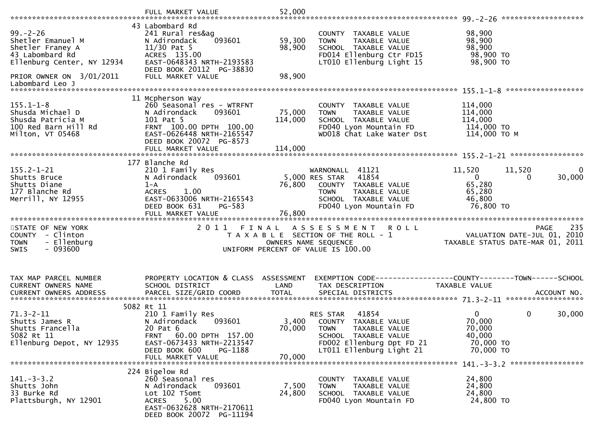|                                                                                                                                      | FULL MARKET VALUE                                                                                                                                                            | 52,000                     |                                                                                                                                                                  |                                                                                                                     |
|--------------------------------------------------------------------------------------------------------------------------------------|------------------------------------------------------------------------------------------------------------------------------------------------------------------------------|----------------------------|------------------------------------------------------------------------------------------------------------------------------------------------------------------|---------------------------------------------------------------------------------------------------------------------|
| $99. - 2 - 26$<br>Shetler Emanuel M<br>Shetler Franey A<br>43 Labombard Rd<br>Ellenburg Center, NY 12934<br>PRIOR OWNER ON 3/01/2011 | 43 Labombard Rd<br>241 Rural res&ag<br>093601<br>N Adirondack<br>$11/30$ Pat 5<br>ACRES 135.00<br>EAST-0648343 NRTH-2193583<br>DEED BOOK 20112 PG-38830<br>FULL MARKET VALUE | 59,300<br>98,900<br>98,900 | COUNTY TAXABLE VALUE<br>TAXABLE VALUE<br><b>TOWN</b><br>SCHOOL TAXABLE VALUE<br>FD014 Ellenburg Ctr FD15<br>LT010 Ellenburg Light 15                             | 98,900<br>98,900<br>98,900<br>98,900 TO<br>98,900 TO                                                                |
| Labombard Leo J                                                                                                                      |                                                                                                                                                                              |                            |                                                                                                                                                                  |                                                                                                                     |
| $155.1 - 1 - 8$<br>Shusda Michael D<br>Shusda Patricia M<br>100 Red Barn Hill Rd<br>Milton, VT 05468                                 | 11 Mcpherson Way<br>260 Seasonal res - WTRFNT<br>093601<br>N Adirondack<br>101 Pat 5<br>FRNT 100.00 DPTH 100.00<br>EAST-0626448 NRTH-2165547<br>DEED BOOK 20072 PG-8573      | 75,000<br>114,000          | COUNTY TAXABLE VALUE<br>TAXABLE VALUE<br><b>TOWN</b><br>SCHOOL TAXABLE VALUE<br>FD040 Lyon Mountain FD<br>WD018 Chat Lake Water Dst                              | 114,000<br>114,000<br>114,000<br>114,000 TO<br>114,000 ТО М                                                         |
|                                                                                                                                      | 177 Blanche Rd                                                                                                                                                               |                            |                                                                                                                                                                  |                                                                                                                     |
| $155.2 - 1 - 21$<br>Shutts Bruce<br>Shutts Diane<br>177 Blanche Rd<br>Merrill, NY 12955                                              | 210 1 Family Res<br>093601<br>N Adirondack<br>$1 - A$<br><b>ACRES</b><br>1.00<br>EAST-0633006 NRTH-2165543<br>DEED BOOK 631<br>PG-583                                        | 76,800                     | WARNONALL 41121<br>5,000 RES STAR<br>41854<br>COUNTY TAXABLE VALUE<br><b>TOWN</b><br>TAXABLE VALUE<br>SCHOOL TAXABLE VALUE<br>FD040 Lyon Mountain FD             | 11,520<br>11,520<br>$\mathbf{0}$<br>30,000<br>$\overline{0}$<br>$\Omega$<br>65,280<br>65,280<br>46,800<br>76,800 TO |
|                                                                                                                                      | FULL MARKET VALUE                                                                                                                                                            | 76,800                     |                                                                                                                                                                  |                                                                                                                     |
|                                                                                                                                      |                                                                                                                                                                              |                            |                                                                                                                                                                  |                                                                                                                     |
| STATE OF NEW YORK<br>COUNTY - Clinton<br><b>TOWN</b><br>- Ellenburg<br>$-093600$<br><b>SWIS</b>                                      | 2011 FINAL                                                                                                                                                                   | OWNERS NAME SEQUENCE       | <b>ROLL</b><br>A S S E S S M E N T<br>T A X A B L E SECTION OF THE ROLL - 1<br>UNIFORM PERCENT OF VALUE IS 100.00                                                | 235<br><b>PAGE</b><br>VALUATION DATE-JUL 01, 2010<br>TAXABLE STATUS DATE-MAR 01, 2011                               |
| TAX MAP PARCEL NUMBER<br>CURRENT OWNERS NAME                                                                                         | PROPERTY LOCATION & CLASS ASSESSMENT<br>SCHOOL DISTRICT                                                                                                                      | LAND                       | TAX DESCRIPTION                                                                                                                                                  | TAXABLE VALUE                                                                                                       |
|                                                                                                                                      | 5082 Rt 11                                                                                                                                                                   |                            |                                                                                                                                                                  |                                                                                                                     |
| $71.3 - 2 - 11$<br>Shutts James R<br>Shutts Francella<br>5082 Rt 11<br>Ellenburg Depot, NY 12935                                     | 210 1 Family Res<br>N Adirondack<br>093601<br>20 Pat 6<br>FRNT 60.00 DPTH 157.00<br>EAST-0673433 NRTH-2213547<br>PG-1188<br>DEED BOOK 600                                    | 70,000                     | 41854<br>RES STAR<br>3,400 COUNTY TAXABLE VALUE<br><b>TOWN</b><br>TAXABLE VALUE<br>SCHOOL TAXABLE VALUE<br>FD002 Ellenburg Dpt FD 21<br>LT011 Ellenburg Light 21 | $\mathbf{0}$<br>$\mathbf 0$<br>30,000<br>70,000<br>70,000<br>40,000<br>70,000 TO<br>70,000 TO                       |
|                                                                                                                                      | FULL MARKET VALUE<br>224 Bigelow Rd                                                                                                                                          | 70,000                     |                                                                                                                                                                  |                                                                                                                     |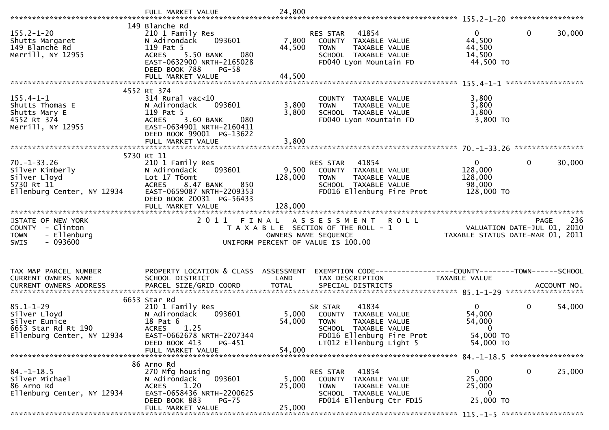|                                                                                                       | 149 Blanche Rd                                                                                                                                                        |                               |                                                                                                                                                          |                                                                                |             |
|-------------------------------------------------------------------------------------------------------|-----------------------------------------------------------------------------------------------------------------------------------------------------------------------|-------------------------------|----------------------------------------------------------------------------------------------------------------------------------------------------------|--------------------------------------------------------------------------------|-------------|
| $155.2 - 1 - 20$<br>Shutts Margaret<br>149 Blanche Rd<br>Merrill, NY 12955                            | 210 1 Family Res<br>093601<br>N Adirondack<br>119 Pat 5<br>080<br><b>ACRES</b><br>5.50 BANK<br>EAST-0632900 NRTH-2165028<br>DEED BOOK 788<br>$PG-58$                  | 7,800<br>44,500               | 41854<br>RES STAR<br>COUNTY TAXABLE VALUE<br>TAXABLE VALUE<br><b>TOWN</b><br>SCHOOL TAXABLE VALUE<br>FD040 Lyon Mountain FD                              | $\mathbf{0}$<br>0<br>44,500<br>44,500<br>14,500<br>44,500 TO                   | 30,000      |
|                                                                                                       | FULL MARKET VALUE                                                                                                                                                     | 44,500                        |                                                                                                                                                          |                                                                                |             |
| $155.4 - 1 - 1$<br>Shutts Thomas E<br>Shutts Mary E<br>4552 Rt 374<br>Merrill, NY 12955               | 4552 Rt 374<br>$314$ Rural vac<10<br>093601<br>N Adirondack<br>119 Pat 5<br>3.60 BANK<br><b>ACRES</b><br>080<br>EAST-0634901 NRTH-2160411<br>DEED BOOK 99001 PG-13622 | 3,800<br>3,800                | COUNTY TAXABLE VALUE<br>TAXABLE VALUE<br><b>TOWN</b><br>SCHOOL TAXABLE VALUE<br>FD040 Lyon Mountain FD                                                   | 3,800<br>3,800<br>3,800<br>$3,800$ TO                                          |             |
|                                                                                                       | FULL MARKET VALUE                                                                                                                                                     | 3,800                         |                                                                                                                                                          |                                                                                |             |
| $70. - 1 - 33.26$<br>Silver Kimberly<br>Silver Lloyd<br>5730 Rt 11<br>Ellenburg Center, NY 12934      | 5730 Rt 11<br>210 1 Family Res<br>N Adirondack<br>093601<br>Lot 17 T6omt<br>8.47 BANK<br>850<br><b>ACRES</b><br>EAST-0659087 NRTH-2209353<br>DEED BOOK 20031 PG-56433 | 9,500<br>128,000              | 41854<br><b>RES STAR</b><br>COUNTY TAXABLE VALUE<br>TAXABLE VALUE<br><b>TOWN</b><br>SCHOOL TAXABLE VALUE<br>FD016 Ellenburg Fire Prot                    | $\mathbf{0}$<br>0<br>128,000<br>128,000<br>98,000<br>128,000 TO                | 30,000      |
|                                                                                                       |                                                                                                                                                                       | 128,000                       |                                                                                                                                                          |                                                                                |             |
|                                                                                                       | FULL MARKET VALUE                                                                                                                                                     |                               |                                                                                                                                                          |                                                                                |             |
| STATE OF NEW YORK<br>COUNTY - Clinton<br>- Ellenburg<br><b>TOWN</b><br>$-093600$<br>SWIS              | 2011                                                                                                                                                                  | FINAL<br>OWNERS NAME SEQUENCE | A S S E S S M E N T<br><b>ROLL</b><br>T A X A B L E SECTION OF THE ROLL - 1<br>UNIFORM PERCENT OF VALUE IS 100.00                                        | <b>PAGE</b><br>VALUATION DATE-JUL 01, 2010<br>TAXABLE STATUS DATE-MAR 01, 2011 | 236         |
| TAX MAP PARCEL NUMBER<br>CURRENT OWNERS NAME<br><b>CURRENT OWNERS ADDRESS</b>                         | PROPERTY LOCATION & CLASS ASSESSMENT<br>SCHOOL DISTRICT<br>PARCEL SIZE/GRID COORD                                                                                     | LAND<br><b>TOTAL</b>          | EXEMPTION CODE-----------------COUNTY--------TOWN------SCHOOL<br>TAX DESCRIPTION<br>SPECIAL DISTRICTS                                                    | TAXABLE VALUE                                                                  | ACCOUNT NO. |
| $85.1 - 1 - 29$<br>Silver Lloyd<br>Silver Eunice<br>6653 Star Rd Rt 190<br>Ellenburg Center, NY 12934 | 6653 Star Rd<br>210 1 Family Res<br>N Adirondack<br>093601<br>18 Pat 6<br>1.25<br><b>ACRES</b><br>EAST-0662678 NRTH-2207344<br>PG-451<br>DEED BOOK 413                | 5,000<br>54,000               | 41834<br>SR STAR<br>COUNTY TAXABLE VALUE<br><b>TOWN</b><br>TAXABLE VALUE<br>SCHOOL TAXABLE VALUE<br>FD016 Ellenburg Fire Prot<br>LT012 Ellenburg Light 5 | $\mathbf{0}$<br>0<br>54,000<br>54,000<br>$\mathbf 0$<br>54,000 TO<br>54,000 TO | 54,000      |
|                                                                                                       | FULL MARKET VALUE                                                                                                                                                     | 54,000                        |                                                                                                                                                          |                                                                                |             |
| $84. - 1 - 18.5$<br>Silver Michael<br>86 Arno Rd<br>Ellenburg Center, NY 12934                        | 86 Arno Rd<br>270 Mfg housing<br>N Adirondack<br>093601<br>1.20<br>ACRES<br>EAST-0658436 NRTH-2200625<br>DEED BOOK 883<br><b>PG-75</b><br>FULL MARKET VALUE           | 5,000<br>25,000<br>25,000     | RES STAR<br>41854<br>COUNTY TAXABLE VALUE<br>TAXABLE VALUE<br><b>TOWN</b><br>SCHOOL TAXABLE VALUE<br>FD014 Ellenburg Ctr FD15                            | 0<br>0<br>25,000<br>25,000<br>0<br>25,000 TO                                   | 25,000      |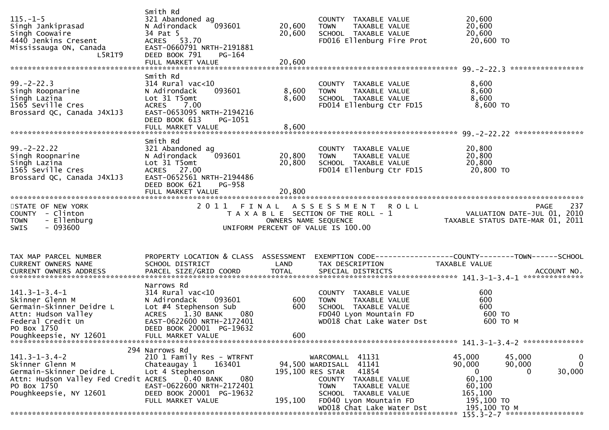| $115. - 1 - 5$<br>Singh Jankiprasad<br>Singh Coowaire<br>4440 Jenkins Cresent<br>Mississauga ON, Canada<br>L5R1T9                                         | Smith Rd<br>321 Abandoned ag<br>093601<br>N Adirondack<br>34 Pat 5<br>ACRES 53.70<br>EAST-0660791 NRTH-2191881<br>DEED BOOK 791<br>PG-164                                                   | 20,600<br>20,600     | COUNTY TAXABLE VALUE<br><b>TOWN</b><br>TAXABLE VALUE<br>SCHOOL TAXABLE VALUE<br>FD016 Ellenburg Fire Prot                            | 20,600<br>20,600<br>20,600<br>20,600 TO                                                          |                             |
|-----------------------------------------------------------------------------------------------------------------------------------------------------------|---------------------------------------------------------------------------------------------------------------------------------------------------------------------------------------------|----------------------|--------------------------------------------------------------------------------------------------------------------------------------|--------------------------------------------------------------------------------------------------|-----------------------------|
|                                                                                                                                                           |                                                                                                                                                                                             |                      |                                                                                                                                      |                                                                                                  |                             |
| $99. -2 - 22.3$<br>Singh Roopnarine<br>Singh Lazina<br>1565 Seville Cres<br>Brossard QC, Canada J4X1J3                                                    | Smith Rd<br>$314$ Rural vac<10<br>093601<br>N Adirondack<br>Lot 31 T5omt<br>7.00<br><b>ACRES</b><br>EAST-0653095 NRTH-2194216<br>DEED BOOK 613<br>PG-1051                                   | 8,600<br>8,600       | COUNTY TAXABLE VALUE<br><b>TOWN</b><br>TAXABLE VALUE<br>SCHOOL TAXABLE VALUE<br>FD014 Ellenburg Ctr FD15                             | 8,600<br>8,600<br>8,600<br>$8,600$ TO                                                            |                             |
|                                                                                                                                                           | Smith Rd                                                                                                                                                                                    |                      |                                                                                                                                      |                                                                                                  |                             |
| $99. -2 - 22.22$<br>Singh Roopnarine<br>Singh Lazina<br>1565 Seville Cres<br>Brossard QC, Canada J4X1J3                                                   | 321 Abandoned ag<br>093601<br>N Adirondack<br>Lot 31 T5omt<br>ACRES 27.00<br>EAST-0652561 NRTH-2194486<br>DEED BOOK 621<br>PG-958                                                           | 20,800<br>20,800     | COUNTY TAXABLE VALUE<br><b>TOWN</b><br>TAXABLE VALUE<br>SCHOOL TAXABLE VALUE<br>FD014 Ellenburg Ctr FD15                             | 20,800<br>20,800<br>20,800<br>20,800 TO                                                          |                             |
|                                                                                                                                                           | FULL MARKET VALUE                                                                                                                                                                           | 20,800               |                                                                                                                                      |                                                                                                  |                             |
| STATE OF NEW YORK<br>COUNTY - Clinton<br><b>TOWN</b><br>- Ellenburg<br>$-093600$<br><b>SWIS</b>                                                           | 2011 FINAL                                                                                                                                                                                  | OWNERS NAME SEQUENCE | ASSESSMENT ROLL<br>T A X A B L E SECTION OF THE ROLL - 1<br>UNIFORM PERCENT OF VALUE IS 100.00                                       | <b>PAGE</b><br>O L L<br>VALUATION DATE-JUL 01, 2010<br>TAXABLE STATUS DATE-MAR 01, 2011          | 237                         |
| TAX MAP PARCEL NUMBER<br>CURRENT OWNERS NAME                                                                                                              | PROPERTY LOCATION & CLASS ASSESSMENT<br>SCHOOL DISTRICT                                                                                                                                     | LAND                 | TAX DESCRIPTION                                                                                                                      | EXEMPTION CODE------------------COUNTY--------TOWN------SCHOOL<br>TAXABLE VALUE                  |                             |
| $141.3 - 1 - 3.4 - 1$<br>Skinner Glenn M<br>Germain-Skinner Deidre L<br>Attn: Hudson Valley<br>Federal Credit Un<br>PO Box 1750<br>Poughkeepsie, NY 12601 | Narrows Rd<br>$314$ Rural vac<10<br>N Adirondack<br>093601<br>Lot #4 Stephenson Sub<br>ACRES 1.30 BANK<br>080<br>EAST-0622600 NRTH-2172401<br>DEED BOOK 20001 PG-19632<br>FULL MARKET VALUE | 600<br>600<br>600    | COUNTY TAXABLE VALUE<br><b>TOWN</b><br>TAXABLE VALUE<br>SCHOOL TAXABLE VALUE<br>FD040 Lyon Mountain FD<br>WD018 Chat Lake Water Dst  | 600<br>600<br>600<br>600 TO<br>600 то м                                                          |                             |
|                                                                                                                                                           | 294 Narrows Rd                                                                                                                                                                              |                      |                                                                                                                                      |                                                                                                  |                             |
| $141.3 - 1 - 3.4 - 2$<br>Skinner Glenn M<br>Germain-Skinner Deidre L<br>Attn: Hudson Valley Fed Credit ACRES<br>PO Box 1750                               | 210 1 Family Res - WTRFNT<br>Chateaugay 1<br>163401<br>Lot 4 Stephenson<br>0.40 BANK<br>080<br>EAST-0622600 NRTH-2172401                                                                    |                      | 41131<br>WARCOMALL<br>41141<br>94,500 WARDISALL<br>41854<br>195,100 RES STAR<br>COUNTY TAXABLE VALUE<br><b>TOWN</b><br>TAXABLE VALUE | 45,000<br>45,000<br>90,000<br>90,000<br>30,000<br>$\overline{0}$<br>$\Omega$<br>60,100<br>60,100 | $\mathbf 0$<br>$\mathbf{0}$ |
| Poughkeepsie, NY 12601                                                                                                                                    | DEED BOOK 20001 PG-19632<br>FULL MARKET VALUE                                                                                                                                               | 195,100              | SCHOOL TAXABLE VALUE<br>FD040 Lyon Mountain FD<br>WD018 Chat Lake Water Dst                                                          | 165,100<br>195,100 TO<br>195,100 ТО М                                                            |                             |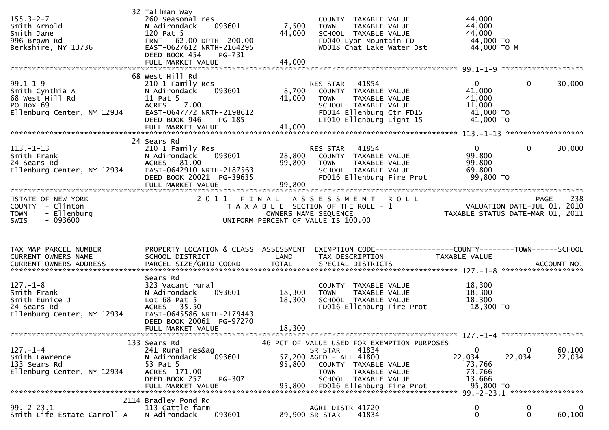| $155.3 - 2 - 7$<br>Smith Arnold<br>Smith Jane<br>996 Brown Rd<br>Berkshire, NY 13736                             | 32 Tallman Way<br>260 Seasonal res<br>N Adirondack<br>093601<br>120 Pat 5<br>FRNT 62.00 DPTH 200.00<br>EAST-0627612 NRTH-2164295<br>DEED BOOK 454<br>PG-731<br>FULL MARKET VALUE | 7,500<br>44,000<br>44,000  | COUNTY TAXABLE VALUE<br>TAXABLE VALUE<br>TOWN<br>SCHOOL TAXABLE VALUE<br>FD040 Lyon Mountain FD<br>WD018 Chat Lake Water Dst                              | 44,000<br>44,000<br>44,000<br>44,000 TO<br>44,000 TO M               |                    |                    |
|------------------------------------------------------------------------------------------------------------------|----------------------------------------------------------------------------------------------------------------------------------------------------------------------------------|----------------------------|-----------------------------------------------------------------------------------------------------------------------------------------------------------|----------------------------------------------------------------------|--------------------|--------------------|
| $99.1 - 1 - 9$<br>Smith Cynthia A<br>68 West Hill Rd<br>PO Box 69<br>Ellenburg Center, NY 12934                  | 68 West Hill Rd<br>210 1 Family Res<br>093601<br>N Adirondack<br>11 Pat 5<br>7.00<br><b>ACRES</b><br>EAST-0647772 NRTH-2198612<br>DEED BOOK 946<br>PG-185                        | 8,700<br>41,000            | 41854<br>RES STAR<br>COUNTY TAXABLE VALUE<br><b>TOWN</b><br>TAXABLE VALUE<br>SCHOOL TAXABLE VALUE<br>FD014 Ellenburg Ctr FD15<br>LT010 Ellenburg Light 15 | $\mathbf{0}$<br>41,000<br>41,000<br>11,000<br>41,000 TO<br>41,000 TO | $\Omega$           | 30,000             |
| $113. - 1 - 13$<br>Smith Frank<br>24 Sears Rd<br>Ellenburg Center, NY 12934                                      | 24 Sears Rd<br>210 1 Family Res<br>093601<br>N Adirondack<br>ACRES 81.00<br>EAST-0642910 NRTH-2187563<br>DEED BOOK 20021 PG-39635<br>FULL MARKET VALUE                           | 28,800<br>99,800<br>99,800 | 41854<br>RES STAR<br>COUNTY TAXABLE VALUE<br>TAXABLE VALUE<br>TOWN<br>SCHOOL TAXABLE VALUE<br>FD016 Ellenburg Fire Prot                                   | $\mathbf{0}$<br>99,800<br>99,800<br>69,800<br>99,800 TO              | $\Omega$           | 30,000             |
| STATE OF NEW YORK<br>COUNTY - Clinton<br>- Ellenburg<br><b>TOWN</b><br>$-093600$<br>SWIS                         |                                                                                                                                                                                  | OWNERS NAME SEQUENCE       | 2011 FINAL ASSESSMENT ROLL<br>T A X A B L E SECTION OF THE ROLL - 1<br>UNIFORM PERCENT OF VALUE IS 100.00                                                 | 238 PAGE<br>2010 VALUATION DATE-JUL<br>2011 TAXABLE STATUS DATE-MAR  |                    | 238<br><b>PAGE</b> |
|                                                                                                                  |                                                                                                                                                                                  |                            |                                                                                                                                                           |                                                                      |                    |                    |
| TAX MAP PARCEL NUMBER<br>CURRENT OWNERS NAME                                                                     | PROPERTY LOCATION & CLASS ASSESSMENT<br>SCHOOL DISTRICT                                                                                                                          | LAND                       | EXEMPTION CODE-----------------COUNTY--------TOWN------SCHOOL<br>TAX DESCRIPTION                                                                          | TAXABLE VALUE                                                        |                    |                    |
| $127. - 1 - 8$<br>Smith Frank<br>Smith Eunice J<br>24 Sears Rd<br>Ellenburg Center, NY 12934                     | Sears Rd<br>323 Vacant rural<br>093601<br>N Adirondack<br>Lot $68$ Pat $5$<br>ACRES 35.50<br>EAST-0645586 NRTH-2179443<br>DEED BOOK 20061 PG-97270<br>FULL MARKET VALUE          | 18,300<br>18,300<br>18,300 | COUNTY TAXABLE VALUE<br><b>TOWN</b><br>TAXABLE VALUE<br>SCHOOL TAXABLE VALUE<br>FD016 Ellenburg Fire Prot                                                 | 18,300<br>18,300<br>18,300<br>18,300 TO                              |                    |                    |
|                                                                                                                  | 133 Sears Rd                                                                                                                                                                     |                            | 46 PCT OF VALUE USED FOR EXEMPTION PURPOSES                                                                                                               |                                                                      |                    |                    |
| $127. - 1 - 4$<br>Smith Lawrence<br>133 Sears Rd<br>Ellenburg Center, NY 12934<br>****************************** | 241 Rural res&ag<br>093601<br>N Adirondack<br>53 Pat 5<br>ACRES 171.00<br>DEED BOOK 257<br>PG-307<br>FULL MARKET VALUE                                                           | 95,800<br>95,800           | 41834<br>SR STAR<br>57,200 AGED - ALL 41800<br>COUNTY TAXABLE VALUE<br><b>TOWN</b><br>TAXABLE VALUE<br>SCHOOL TAXABLE VALUE<br>FD016 Ellenburg Fire Prot  | 0<br>22,034<br>73,766<br>73,766<br>13,666<br>95,800 TO               | $\bf{0}$<br>22,034 | 60,100<br>22,034   |
| $99. - 2 - 23.1$                                                                                                 | 2114 Bradley Pond Rd<br>113 Cattle farm                                                                                                                                          |                            | AGRI DISTR 41720                                                                                                                                          | $\mathbf 0$                                                          | $\bf{0}$           | $\mathbf 0$        |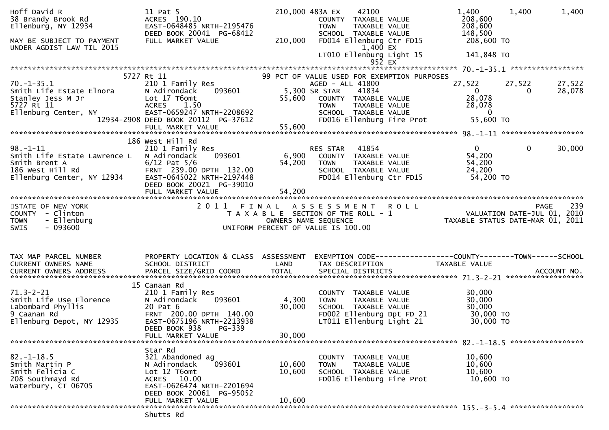| Hoff David R<br>38 Brandy Brook Rd<br>Ellenburg, NY 12934<br>MAY BE SUBJECT TO PAYMENT<br>UNDER AGDIST LAW TIL 2015 | 11 Pat 5<br>ACRES 190.10<br>EAST-0648485 NRTH-2195476<br>DEED BOOK 20041 PG-68412<br>FULL MARKET VALUE                                                                      | 210,000 483A EX<br>210,000 | 42100<br>COUNTY TAXABLE VALUE<br><b>TOWN</b><br>TAXABLE VALUE<br>SCHOOL TAXABLE VALUE<br>FD014 Ellenburg Ctr FD15<br>1,400 EX<br>LT010 Ellenburg Light 15                                                           |                                | 1,400<br>208,600<br>208,600<br>148,500<br>208,600 TO<br>141,848 TO          | 1,400                  | 1,400              |
|---------------------------------------------------------------------------------------------------------------------|-----------------------------------------------------------------------------------------------------------------------------------------------------------------------------|----------------------------|---------------------------------------------------------------------------------------------------------------------------------------------------------------------------------------------------------------------|--------------------------------|-----------------------------------------------------------------------------|------------------------|--------------------|
|                                                                                                                     |                                                                                                                                                                             |                            |                                                                                                                                                                                                                     | 952 EX                         |                                                                             |                        |                    |
|                                                                                                                     | 5727 Rt 11                                                                                                                                                                  |                            | 99 PCT OF VALUE USED FOR EXEMPTION PURPOSES                                                                                                                                                                         |                                |                                                                             |                        |                    |
| $70. - 1 - 35.1$<br>Smith Life Estate Elnora<br>Stanley Jess M Jr<br>5727 Rt 11<br>Ellenburg Center, NY             | 210 1 Family Res<br>093601<br>N Adirondack<br>Lot 17 T6omt<br><b>ACRES</b><br>1.50<br>EAST-0659247 NRTH-2208692<br>12934-2908 DEED BOOK 20112 PG-37612                      | 55,600                     | AGED - ALL 41800<br>5,300 SR STAR<br>41834<br>COUNTY TAXABLE VALUE<br><b>TOWN</b><br>SCHOOL TAXABLE VALUE<br>FD016 Ellenburg Fire Prot                                                                              | TAXABLE VALUE<br>TAXABLE VALUE | 27,522<br>$\overline{0}$<br>28,078<br>28,078<br>$\overline{0}$<br>55,600 TO | 27,522<br>$\mathbf{0}$ | 27,522<br>28,078   |
|                                                                                                                     |                                                                                                                                                                             |                            |                                                                                                                                                                                                                     |                                |                                                                             |                        |                    |
|                                                                                                                     |                                                                                                                                                                             |                            |                                                                                                                                                                                                                     |                                |                                                                             |                        |                    |
| $98. - 1 - 11$<br>Smith Life Estate Lawrence L<br>Smith Brent A<br>186 West Hill Rd<br>Ellenburg Center, NY 12934   | 186 West Hill Rd<br>210 1 Family Res<br>N Adirondack<br>093601<br>$6/12$ Pat $5/6$<br>FRNT 239.00 DPTH 132.00<br>EAST-0645022 NRTH-2197448                                  | 6,900<br>54,200            | 41854<br>RES STAR<br>COUNTY TAXABLE VALUE<br>TAXABLE VALUE<br><b>TOWN</b><br>SCHOOL TAXABLE VALUE<br>FD014 Ellenburg Ctr FD15                                                                                       |                                | $0 \qquad \qquad$<br>54,200<br>54,200<br>24,200<br>54,200 TO                | $\overline{0}$         | 30,000             |
|                                                                                                                     | DEED BOOK 20021 PG-39010                                                                                                                                                    |                            |                                                                                                                                                                                                                     |                                |                                                                             |                        |                    |
|                                                                                                                     | FULL MARKET VALUE                                                                                                                                                           | 54,200                     |                                                                                                                                                                                                                     |                                |                                                                             |                        |                    |
| STATE OF NEW YORK<br>COUNTY - Clinton<br>- Ellenburg<br><b>TOWN</b><br>$-093600$<br><b>SWIS</b>                     |                                                                                                                                                                             |                            | 2011 FINAL ASSESSMENT ROLL<br>I FINAL ASSESSMENT ROLL<br>TAXABLE SECTION OF THE ROLL - 1 VALUATION DATE-JUL 01, 2010<br>OWNERS NAME SEQUENCE TAXABLE STATUS DATE-MAR 01, 2011<br>UNIFORM PERCENT OF VALUE IS 100.00 |                                |                                                                             |                        | 239<br><b>PAGE</b> |
| TAX MAP PARCEL NUMBER<br>CURRENT OWNERS NAME                                                                        | PROPERTY LOCATION & CLASS ASSESSMENT<br>SCHOOL DISTRICT                                                                                                                     | LAND                       | EXEMPTION CODE-----------------COUNTY-------TOWN------SCHOOL<br>TAX DESCRIPTION                                                                                                                                     |                                | TAXABLE VALUE                                                               |                        |                    |
|                                                                                                                     |                                                                                                                                                                             |                            |                                                                                                                                                                                                                     |                                |                                                                             |                        |                    |
| $71.3 - 2 - 21$<br>Smith Life Use Florence<br>Labombard Phyllis<br>9 Caanan Rd<br>Ellenburg Depot, NY 12935         | 15 Canaan Rd<br>210 1 Family Res<br>N Adirondack<br>093601<br>20 Pat 6<br>FRNT 200.00 DPTH 140.00<br>EAST-0675196 NRTH-2213938<br>DEED BOOK 938 PG-339<br>FULL MARKET VALUE | 4,300<br>30,000<br>30,000  | COUNTY TAXABLE VALUE<br><b>TOWN</b><br>TAXABLE VALUE<br>SCHOOL TAXABLE VALUE<br>FD002 Ellenburg Dpt FD 21<br>LT011 Ellenburg Light 21                                                                               |                                | 30,000<br>30,000<br>30,000<br>30,000 TO<br>30,000 TO                        |                        |                    |
|                                                                                                                     |                                                                                                                                                                             |                            |                                                                                                                                                                                                                     |                                |                                                                             |                        |                    |
| $82. - 1 - 18.5$<br>Smith Martin P<br>Smith Felicia C<br>208 Southmayd Rd<br>Waterbury, CT 06705                    | Star Rd<br>321 Abandoned ag<br>093601<br>N Adirondack<br>Lot 12 T6omt<br>ACRES 10.00<br>EAST-0626474 NRTH-2201694<br>DEED BOOK 20061 PG-95052                               | 10,600<br>10,600           | COUNTY<br>TAXABLE VALUE<br>TAXABLE VALUE<br><b>TOWN</b><br>SCHOOL TAXABLE VALUE<br>FD016 Ellenburg Fire Prot                                                                                                        |                                | 10,600<br>10,600<br>10,600<br>10,600 TO                                     |                        |                    |
|                                                                                                                     | FULL MARKET VALUE                                                                                                                                                           | 10,600                     |                                                                                                                                                                                                                     |                                |                                                                             |                        |                    |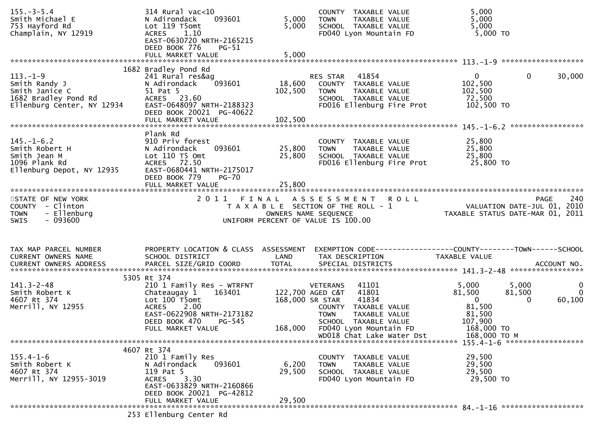| $155. - 3 - 5.4$<br>Smith Michael E<br>753 Hayford Rd<br>Champlain, NY 12919                            | 314 Rural vac<10<br>093601<br>N Adirondack<br>Lot 119 T5omt<br>1.10<br><b>ACRES</b><br>EAST-0630720 NRTH-2165215<br>DEED BOOK 776<br>$PG-51$<br>FULL MARKET VALUE            | 5,000<br>5,000<br>5,000      | COUNTY TAXABLE VALUE<br><b>TOWN</b><br>TAXABLE VALUE<br>SCHOOL TAXABLE VALUE<br>FD040 Lyon Mountain FD                                       | 5,000<br>5,000<br>5,000<br>5,000 TO                                                  |                    |
|---------------------------------------------------------------------------------------------------------|------------------------------------------------------------------------------------------------------------------------------------------------------------------------------|------------------------------|----------------------------------------------------------------------------------------------------------------------------------------------|--------------------------------------------------------------------------------------|--------------------|
|                                                                                                         |                                                                                                                                                                              |                              |                                                                                                                                              |                                                                                      |                    |
| $113. - 1 - 9$<br>Smith Randy J<br>Smith Janice C<br>1682 Bradley Pond Rd<br>Ellenburg Center, NY 12934 | 1682 Bradley Pond Rd<br>241 Rural res&ag<br>093601<br>N Adirondack<br>51 Pat 5<br>ACRES 23.60<br>EAST-0648097 NRTH-2188323<br>DEED BOOK 20021 PG-40622<br>FULL MARKET VALUE  | 18,600<br>102,500<br>102,500 | RES STAR<br>41854<br>COUNTY TAXABLE VALUE<br><b>TOWN</b><br>TAXABLE VALUE<br>SCHOOL TAXABLE VALUE<br>FD016 Ellenburg Fire Prot               | $\overline{0}$<br>$\mathbf{0}$<br>102,500<br>102,500<br>72,500<br>102,500 TO         | 30,000             |
|                                                                                                         | Plank Rd                                                                                                                                                                     |                              |                                                                                                                                              |                                                                                      |                    |
| $145. - 1 - 6.2$<br>Smith Robert H<br>Smith Jean M<br>1096 Plank Rd<br>Ellenburg Depot, NY 12935        | 910 Priv forest<br>093601<br>N Adirondack<br>Lot 110 T5 Omt<br>ACRES 72.50<br>EAST-0680441 NRTH-2175017<br>DEED BOOK 779<br><b>PG-70</b>                                     | 25,800<br>25,800             | COUNTY TAXABLE VALUE<br>TAXABLE VALUE<br>TOWN<br>SCHOOL TAXABLE VALUE<br>FD016 Ellenburg Fire Prot                                           | 25,800<br>25,800<br>25,800<br>25,800 TO                                              |                    |
|                                                                                                         | FULL MARKET VALUE                                                                                                                                                            | 25,800                       |                                                                                                                                              |                                                                                      |                    |
| STATE OF NEW YORK<br>COUNTY - Clinton<br>- Ellenburg<br><b>TOWN</b><br>$-093600$<br><b>SWIS</b>         |                                                                                                                                                                              | OWNERS NAME SEQUENCE         | 2011 FINAL ASSESSMENT ROLL<br>T A X A B L E SECTION OF THE ROLL - 1<br>UNIFORM PERCENT OF VALUE IS 100.00                                    | VALUATION DATE-JUL 01, 2010<br>TAXABLE STATUS DATE-MAR 01, 2011                      | 240<br>PAGE        |
| TAX MAP PARCEL NUMBER<br>CURRENT OWNERS NAME                                                            | PROPERTY LOCATION & CLASS ASSESSMENT<br>SCHOOL DISTRICT                                                                                                                      | LAND                         | EXEMPTION CODE-----------------COUNTY--------TOWN------SCHOOL<br>TAX DESCRIPTION                                                             | TAXABLE VALUE                                                                        |                    |
| $141.3 - 2 - 48$                                                                                        | 5305 Rt 374<br>210 1 Family Res - WTRFNT                                                                                                                                     |                              | 41101<br><b>VETERANS</b>                                                                                                                     | 5,000<br>5,000                                                                       | $\overline{0}$     |
| Smith Robert K<br>4607 Rt 374<br>Merrill, NY 12955                                                      | Chateaugay 1<br>163401<br>Lot 100 T5omt<br><b>ACRES</b><br>2.00<br>EAST-0622908 NRTH-2173182<br>PG-545<br>DEED BOOK 470<br>FULL MARKET VALUE                                 | 168,000 SR STAR<br>168,000   | 122,700 AGED C&T<br>41801<br>41834<br>COUNTY TAXABLE VALUE<br><b>TOWN</b><br>TAXABLE VALUE<br>SCHOOL TAXABLE VALUE<br>FD040 Lyon Mountain FD | 81,500<br>81,500<br>$\overline{0}$<br>0<br>81,500<br>81,500<br>107,900<br>168,000 TO | $\Omega$<br>60,100 |
|                                                                                                         |                                                                                                                                                                              |                              | WD018 Chat Lake Water Dst                                                                                                                    | 168,000 ТО М                                                                         |                    |
| $155.4 - 1 - 6$<br>Smith Robert K<br>4607 Rt 374<br>Merrill, NY 12955-3019                              | 4607 Rt 374<br>210 1 Family Res<br>093601<br>N Adirondack<br>119 Pat 5<br>3.30<br><b>ACRES</b><br>EAST-0633829 NRTH-2160866<br>DEED BOOK 20021 PG-42812<br>FULL MARKET VALUE | 6,200<br>29,500<br>29,500    | COUNTY TAXABLE VALUE<br>TAXABLE VALUE<br><b>TOWN</b><br>SCHOOL TAXABLE VALUE<br>FD040 Lyon Mountain FD                                       | 29,500<br>29,500<br>29,500<br>29,500 TO                                              |                    |
|                                                                                                         |                                                                                                                                                                              |                              |                                                                                                                                              |                                                                                      |                    |
|                                                                                                         | 253 Ellenburg Center Rd                                                                                                                                                      |                              |                                                                                                                                              |                                                                                      |                    |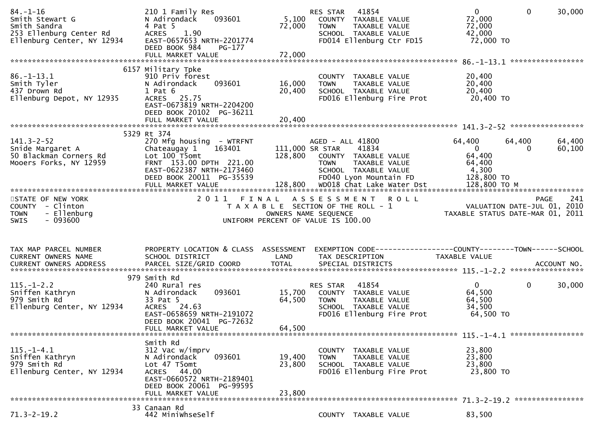| $84. - 1 - 16$<br>Smith Stewart G<br>Smith Sandra<br>253 Ellenburg Center Rd<br>Ellenburg Center, NY 12934 | 210 1 Family Res<br>093601<br>N Adirondack<br>4 Pat 5<br>1.90<br><b>ACRES</b><br>EAST-0657653 NRTH-2201774<br>DEED BOOK 984<br>$PG-177$                                | 5,100<br>72,000            | RES STAR<br>41854<br>COUNTY TAXABLE VALUE<br><b>TOWN</b><br>TAXABLE VALUE<br>SCHOOL TAXABLE VALUE<br>FD014 Ellenburg Ctr FD15       | $\overline{0}$<br>$\mathbf 0$<br>72,000<br>72,000<br>42,000<br>72,000 TO                  | 30,000<br>***************** |
|------------------------------------------------------------------------------------------------------------|------------------------------------------------------------------------------------------------------------------------------------------------------------------------|----------------------------|-------------------------------------------------------------------------------------------------------------------------------------|-------------------------------------------------------------------------------------------|-----------------------------|
|                                                                                                            | 6157 Military Tpke                                                                                                                                                     |                            |                                                                                                                                     |                                                                                           |                             |
| $86. - 1 - 13.1$<br>Smith Tyler<br>437 Drown Rd<br>Ellenburg Depot, NY 12935                               | 910 Priv forest<br>093601<br>N Adirondack<br>$1$ Pat $6$<br>ACRES 25.75<br>EAST-0673819 NRTH-2204200<br>DEED BOOK 20102 PG-36211<br>FULL MARKET VALUE                  | 16,000<br>20,400<br>20,400 | COUNTY TAXABLE VALUE<br>TAXABLE VALUE<br><b>TOWN</b><br>SCHOOL TAXABLE VALUE<br>FD016 Ellenburg Fire Prot                           | 20,400<br>20,400<br>20,400<br>20,400 TO                                                   |                             |
|                                                                                                            |                                                                                                                                                                        |                            |                                                                                                                                     |                                                                                           |                             |
| $141.3 - 2 - 52$<br>Snide Margaret A<br>50 Blackman Corners Rd<br>Mooers Forks, NY 12959                   | 5329 Rt 374<br>270 Mfg housing - WTRFNT<br>163401<br>Chateaugay 1<br>Lot 100 T5omt<br>FRNT 153.00 DPTH 221.00<br>EAST-0622387 NRTH-2173460<br>DEED BOOK 20011 PG-35539 | 111,000 SR STAR<br>128,800 | AGED - ALL 41800<br>41834<br>COUNTY TAXABLE VALUE<br><b>TOWN</b><br>TAXABLE VALUE<br>SCHOOL TAXABLE VALUE<br>FD040 Lyon Mountain FD | 64,400<br>64,400<br>$\overline{0}$<br>$\Omega$<br>64,400<br>64,400<br>4,300<br>128,800 TO | 64,400<br>60,100            |
| STATE OF NEW YORK                                                                                          |                                                                                                                                                                        |                            | 2011 FINAL ASSESSMENT ROLL                                                                                                          |                                                                                           | <b>PAGE</b><br>241          |
| COUNTY - Clinton<br><b>TOWN</b>                                                                            |                                                                                                                                                                        |                            | T A X A B L E SECTION OF THE ROLL - 1                                                                                               | 241 PAGE<br>VALUATION DATE-JUL 01, 2010<br>TAXARLE STATUS DITE USE USE 2010               |                             |
| - Ellenburg<br>$-093600$<br><b>SWIS</b>                                                                    |                                                                                                                                                                        |                            | OWNERS NAME SEQUENCE<br>UNIFORM PERCENT OF VALUE IS 100.00                                                                          | TAXABLE STATUS DATE-MAR 01, 2011                                                          |                             |
|                                                                                                            |                                                                                                                                                                        |                            |                                                                                                                                     |                                                                                           |                             |
| TAX MAP PARCEL NUMBER<br>CURRENT OWNERS NAME                                                               | PROPERTY LOCATION & CLASS ASSESSMENT<br>SCHOOL DISTRICT                                                                                                                | LAND                       | TAX DESCRIPTION                                                                                                                     | TAXABLE VALUE                                                                             |                             |
|                                                                                                            | 979 Smith Rd                                                                                                                                                           |                            |                                                                                                                                     |                                                                                           |                             |
| $115. - 1 - 2.2$<br>Sniffen Kathryn<br>979 Smith Rd<br>Ellenburg Center, NY 12934                          | 240 Rural res<br>093601<br>N Adirondack<br>33 Pat 5<br>ACRES 24.63<br>EAST-0658659 NRTH-2191072<br>DEED BOOK 20041 PG-72632                                            | 15,700<br>64,500           | 41854<br>RES STAR<br>COUNTY TAXABLE VALUE<br><b>TOWN</b><br>TAXABLE VALUE<br>SCHOOL TAXABLE VALUE<br>FD016 Ellenburg Fire Prot      | $\mathbf 0$<br>$\mathbf{0}$<br>64,500<br>64,500<br>34,500<br>64,500 TO                    | 30,000                      |
|                                                                                                            | FULL MARKET VALUE                                                                                                                                                      | 64,500                     |                                                                                                                                     |                                                                                           |                             |
| $115. - 1 - 4.1$<br>Sniffen Kathryn<br>979 Smith Rd<br>Ellenburg Center, NY 12934                          | Smith Rd<br>312 Vac w/imprv<br>093601<br>N Adirondack<br>Lot 47 T5omt<br>ACRES 44.00<br>EAST-0660572 NRTH-2189401<br>DEED BOOK 20061 PG-99595                          | 19,400<br>23,800           | COUNTY TAXABLE VALUE<br><b>TOWN</b><br>TAXABLE VALUE<br>SCHOOL TAXABLE VALUE<br>FD016 Ellenburg Fire Prot                           | 23,800<br>23,800<br>23,800<br>23,800 TO                                                   |                             |
|                                                                                                            | FULL MARKET VALUE<br>33 Canaan Rd                                                                                                                                      | 23,800                     |                                                                                                                                     |                                                                                           |                             |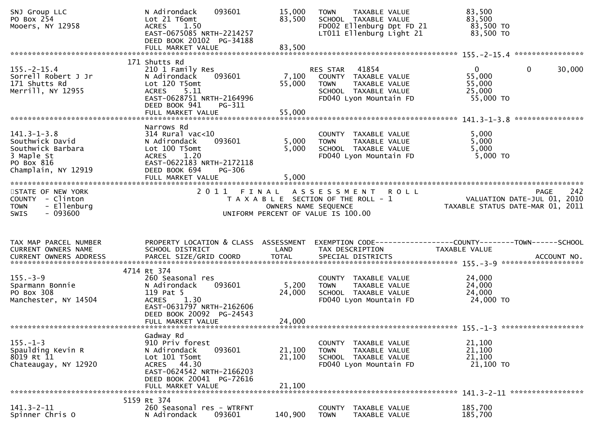| SNJ Group LLC<br>PO Box 254<br>Mooers, NY 12958                                                              | N Adirondack<br>093601<br>Lot 21 T6omt<br><b>ACRES</b><br>1.50<br>EAST-0675085 NRTH-2214257<br>DEED BOOK 20102 PG-34188                                                           | 15,000<br>83,500           | <b>TAXABLE VALUE</b><br><b>TOWN</b><br>SCHOOL TAXABLE VALUE<br>FD002 Ellenburg Dpt FD 21<br>LT011 Ellenburg Light 21 | 83,500<br>83,500<br>83,500 TO<br>83,500 TO                              |                    |
|--------------------------------------------------------------------------------------------------------------|-----------------------------------------------------------------------------------------------------------------------------------------------------------------------------------|----------------------------|----------------------------------------------------------------------------------------------------------------------|-------------------------------------------------------------------------|--------------------|
|                                                                                                              |                                                                                                                                                                                   |                            |                                                                                                                      |                                                                         |                    |
| $155. - 2 - 15.4$<br>Sorrell Robert J Jr<br>171 Shutts Rd<br>Merrill, NY 12955                               | 171 Shutts Rd<br>210 1 Family Res<br>N Adirondack<br>093601<br>Lot 120 T5omt<br><b>ACRES</b><br>5.11<br>EAST-0628751 NRTH-2164996<br>DEED BOOK 941<br>PG-311<br>FULL MARKET VALUE | 7,100<br>55,000<br>55,000  | 41854<br>RES STAR<br>COUNTY TAXABLE VALUE<br>TAXABLE VALUE<br>TOWN<br>SCHOOL TAXABLE VALUE<br>FD040 Lyon Mountain FD | $\mathbf{0}$<br>$\mathbf{0}$<br>55,000<br>55,000<br>25,000<br>55,000 TO | 30,000             |
|                                                                                                              |                                                                                                                                                                                   |                            |                                                                                                                      |                                                                         |                    |
| $141.3 - 1 - 3.8$<br>Southwick David<br>Southwick Barbara<br>3 Maple St<br>PO Box 816<br>Champlain, NY 12919 | Narrows Rd<br>$314$ Rural vac< $10$<br>093601<br>N Adirondack<br>Lot 100 T5omt<br>1.20<br><b>ACRES</b><br>EAST-0622183 NRTH-2172118<br>DEED BOOK 694<br>PG-306                    | 5,000<br>5,000             | COUNTY TAXABLE VALUE<br>TAXABLE VALUE<br><b>TOWN</b><br>SCHOOL TAXABLE VALUE<br>FD040 Lyon Mountain FD               | 5,000<br>5,000<br>5,000<br>$5,000$ TO                                   |                    |
|                                                                                                              |                                                                                                                                                                                   |                            |                                                                                                                      |                                                                         |                    |
| STATE OF NEW YORK<br>COUNTY - Clinton<br>- Ellenburg<br><b>TOWN</b><br>$-093600$<br><b>SWIS</b>              |                                                                                                                                                                                   | OWNERS NAME SEQUENCE       | 2011 FINAL ASSESSMENT ROLL<br>T A X A B L E SECTION OF THE ROLL - 1<br>UNIFORM PERCENT OF VALUE IS 100.00            | VALUATION DATE-JUL 01, 2010<br>TAXABLE STATUS DATE-MAR 01, 2011         | 242<br><b>PAGE</b> |
| TAX MAP PARCEL NUMBER<br>CURRENT OWNERS NAME                                                                 | PROPERTY LOCATION & CLASS ASSESSMENT<br>SCHOOL DISTRICT                                                                                                                           | LAND                       | EXEMPTION CODE-----------------COUNTY-------TOWN------SCHOOL<br>TAX DESCRIPTION                                      | <b>TAXABLE VALUE</b>                                                    |                    |
|                                                                                                              | 4714 Rt 374                                                                                                                                                                       |                            |                                                                                                                      |                                                                         |                    |
| $155. - 3 - 9$<br>Sparmann Bonnie<br>PO Box 308<br>Manchester, NY 14504                                      | 260 Seasonal res<br>093601<br>N Adirondack<br>119 Pat 5<br>1.30<br><b>ACRES</b><br>EAST-0631797 NRTH-2162606<br>DEED BOOK 20092 PG-24543<br>FULL MARKET VALUE                     | 5,200<br>24,000<br>24,000  | COUNTY TAXABLE VALUE<br><b>TOWN</b><br>TAXABLE VALUE<br>SCHOOL TAXABLE VALUE<br>FD040 Lyon Mountain FD               | 24,000<br>24,000<br>24,000<br>24,000 TO                                 |                    |
|                                                                                                              |                                                                                                                                                                                   |                            |                                                                                                                      |                                                                         |                    |
| $155. - 1 - 3$<br>Spaulding Kevin R<br>8019 Rt 11<br>Chateaugay, NY 12920                                    | Gadway Rd<br>910 Priv forest<br>093601<br>N Adirondack<br>Lot 101 T5omt<br>44.30<br><b>ACRES</b><br>EAST-0624542 NRTH-2166203<br>DEED BOOK 20041 PG-72616<br>FULL MARKET VALUE    | 21,100<br>21,100<br>21,100 | COUNTY<br>TAXABLE VALUE<br><b>TOWN</b><br>TAXABLE VALUE<br>SCHOOL TAXABLE VALUE<br>FD040 Lyon Mountain FD            | 21,100<br>21,100<br>21,100<br>21,100 TO                                 |                    |
|                                                                                                              |                                                                                                                                                                                   |                            |                                                                                                                      |                                                                         |                    |
| $141.3 - 2 - 11$<br>Spinner Chris O                                                                          | 5159 Rt 374<br>260 Seasonal res - WTRFNT<br>N Adirondack<br>093601                                                                                                                | 140,900                    | <b>COUNTY</b><br>TAXABLE VALUE<br><b>TOWN</b><br>TAXABLE VALUE                                                       | 185,700<br>185,700                                                      |                    |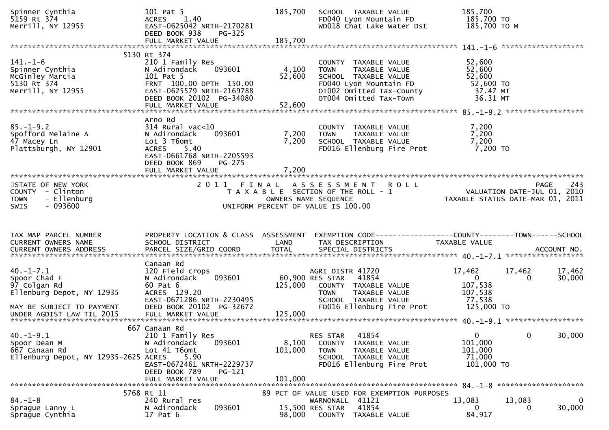| Spinner Cynthia<br>5159 Rt 374<br>Merrill, NY 12955                                                      | 101 Pat 5<br>ACRES 1.40<br>EAST-0625042 NRTH-2170281<br>DEED BOOK 938<br>$PG-325$<br>FULL MARKET VALUE                                                             | 185,700<br>185,700        | SCHOOL TAXABLE VALUE<br>FD040 Lyon Mountain FD<br>WD018 Chat Lake Water Dst                                                                                  | 185,700<br>185,700 TO<br>185,700 ТО М                                                  |                  |
|----------------------------------------------------------------------------------------------------------|--------------------------------------------------------------------------------------------------------------------------------------------------------------------|---------------------------|--------------------------------------------------------------------------------------------------------------------------------------------------------------|----------------------------------------------------------------------------------------|------------------|
|                                                                                                          | 5130 Rt 374                                                                                                                                                        |                           |                                                                                                                                                              |                                                                                        |                  |
| $141. - 1 - 6$<br>Spinner Cynthia<br>McGinley Marcia<br>5130 Rt 374<br>Merrill, NY 12955                 | 210 1 Family Res<br>093601<br>N Adirondack<br>101 Pat 5<br>FRNT 100.00 DPTH 150.00<br>EAST-0625579 NRTH-2169788<br>DEED BOOK 20102 PG-34080<br>FULL MARKET VALUE   | 4,100<br>52,600<br>52,600 | COUNTY TAXABLE VALUE<br>TAXABLE VALUE<br><b>TOWN</b><br>SCHOOL TAXABLE VALUE<br>FD040 Lyon Mountain FD<br>OT002 Omitted Tax-County<br>OT004 Omitted Tax-Town | 52,600<br>52,600<br>52,600<br>52,600 TO<br>37.47 MT<br>36.31 MT                        |                  |
|                                                                                                          | Arno Rd                                                                                                                                                            |                           |                                                                                                                                                              |                                                                                        |                  |
| $85. - 1 - 9.2$<br>Spofford Melaine A<br>47 Macey Ln<br>Plattsburgh, NY 12901                            | $314$ Rural vac<10<br>093601<br>N Adirondack<br>Lot 3 T6omt<br><b>ACRES</b><br>5.40<br>EAST-0661768 NRTH-2205593<br>DEED BOOK 869<br>$PG-275$<br>FULL MARKET VALUE | 7,200<br>7,200<br>7,200   | COUNTY TAXABLE VALUE<br>TAXABLE VALUE<br>TOWN<br>SCHOOL TAXABLE VALUE<br>FD016 Ellenburg Fire Prot                                                           | 7,200<br>7,200<br>7,200<br>7,200 TO                                                    |                  |
|                                                                                                          |                                                                                                                                                                    |                           |                                                                                                                                                              |                                                                                        |                  |
| STATE OF NEW YORK<br>COUNTY - Clinton<br>- Ellenburg<br><b>TOWN</b><br>$-093600$<br><b>SWIS</b>          | 2011 FINAL                                                                                                                                                         |                           | <b>ROLL</b><br>A S S E S S M E N T<br>T A X A B L E SECTION OF THE ROLL - 1<br>OWNERS NAME SEQUENCE<br>UNIFORM PERCENT OF VALUE IS 100.00                    | <b>PAGE</b><br>VALUATION DATE-JUL 01, 2010<br>TAXABLE STATUS DATE-MAR 01, 2011         | 243              |
|                                                                                                          |                                                                                                                                                                    |                           |                                                                                                                                                              |                                                                                        |                  |
| TAX MAP PARCEL NUMBER<br>CURRENT OWNERS NAME<br><b>CURRENT OWNERS ADDRESS</b>                            | PROPERTY LOCATION & CLASS ASSESSMENT<br>SCHOOL DISTRICT<br>PARCEL SIZE/GRID COORD                                                                                  | LAND<br><b>TOTAL</b>      | EXEMPTION CODE-----------------COUNTY-------TOWN------SCHOOL<br>TAX DESCRIPTION<br>SPECIAL DISTRICTS                                                         | TAXABLE VALUE                                                                          | ACCOUNT NO.      |
| $40. -1 - 7.1$<br>Spoor Chad F<br>97 Colgan Rd<br>Ellenburg Depot, NY 12935<br>MAY BE SUBJECT TO PAYMENT | Canaan Rd<br>120 Field crops<br>N Adirondack<br>093601<br>60 Pat 6<br>ACRES 129.20<br>EAST-0671286 NRTH-2230495<br>DEED BOOK 20102 PG-32672                        | 125,000                   | AGRI DISTR 41720<br>60,900 RES STAR<br>41854<br>COUNTY TAXABLE VALUE<br>TAXABLE VALUE<br><b>TOWN</b><br>SCHOOL TAXABLE VALUE<br>FD016 Ellenburg Fire Prot    | 17,462<br>17,462<br>$\Omega$<br>$\Omega$<br>107,538<br>107,538<br>77,538<br>125,000 TO | 17,462<br>30,000 |
|                                                                                                          |                                                                                                                                                                    |                           |                                                                                                                                                              |                                                                                        |                  |
| $40. -1 - 9.1$<br>Spoor Dean M<br>667 Canaan Rd<br>Ellenburg Depot, NY 12935-2625 ACRES                  | 667 Canaan Rd<br>210 1 Family Res<br>N Adirondack<br>093601<br>Lot 41 T6omt<br>5.90<br>EAST-0672461 NRTH-2229737<br>DEED BOOK 789<br>PG-121                        | 8,100<br>101,000          | 41854<br>RES STAR<br>COUNTY TAXABLE VALUE<br><b>TOWN</b><br>TAXABLE VALUE<br>SCHOOL TAXABLE VALUE<br>FD016 Ellenburg Fire Prot                               | $\overline{0}$<br>0<br>101,000<br>101,000<br>71,000<br>101,000 TO                      | 30,000           |
|                                                                                                          | FULL MARKET VALUE<br>5768 Rt 11                                                                                                                                    | 101,000                   | 89 PCT OF VALUE USED FOR EXEMPTION PURPOSES                                                                                                                  |                                                                                        |                  |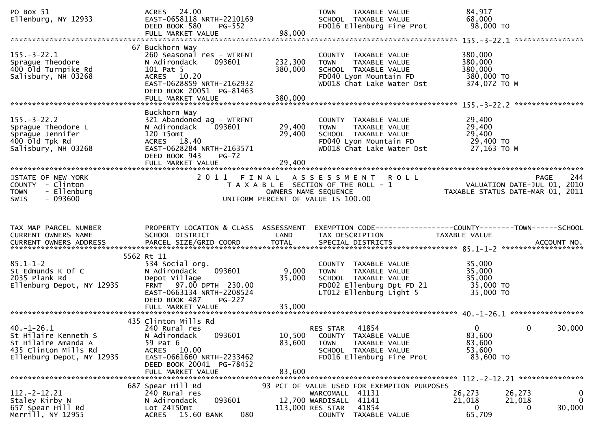| PO Box 51<br>Ellenburg, NY 12933                                                                                     | ACRES 24.00<br>EAST-0658118 NRTH-2210169<br>DEED BOOK 580<br><b>PG-552</b><br>FULL MARKET VALUE                                                                                    | 98,000                     | <b>TOWN</b><br>TAXABLE VALUE<br>SCHOOL TAXABLE VALUE<br>FD016 Ellenburg Fire Prot                                                    | 84,917<br>68,000<br>98,000 TO                                   |                    |
|----------------------------------------------------------------------------------------------------------------------|------------------------------------------------------------------------------------------------------------------------------------------------------------------------------------|----------------------------|--------------------------------------------------------------------------------------------------------------------------------------|-----------------------------------------------------------------|--------------------|
| $155. - 3 - 22.1$<br>Sprague Theodore<br>400 Old Turnpike Rd<br>Salisbury, NH 03268                                  | 67 Buckhorn Way<br>260 Seasonal res - WTRFNT<br>N Adirondack<br>093601<br>101 Pat 5<br>ACRES 10.20<br>EAST-0628859 NRTH-2162932<br>DEED BOOK 20051 PG-81463                        | 232,300<br>380,000         | COUNTY TAXABLE VALUE<br>TAXABLE VALUE<br><b>TOWN</b><br>SCHOOL TAXABLE VALUE<br>FD040 Lyon Mountain FD<br>WD018 Chat Lake Water Dst  | 380,000<br>380,000<br>380,000<br>380,000 TO<br>374,072 TO M     |                    |
| $155. - 3 - 22.2$<br>Sprague Theodore L<br>Sprague Jennifer<br>400 old Tpk Rd<br>Salisbury, NH 03268                 | Buckhorn Way<br>321 Abandoned ag - WTRFNT<br>N Adirondack<br>093601<br>120 T5omt<br>ACRES 18.40<br>EAST-0628284 NRTH-2163571<br>DEED BOOK 943<br><b>PG-72</b><br>FULL MARKET VALUE | 29,400<br>29,400<br>29,400 | COUNTY TAXABLE VALUE<br>TAXABLE VALUE<br>TOWN<br>SCHOOL TAXABLE VALUE<br>FD040 Lyon Mountain FD<br>WD018 Chat Lake Water Dst         | 29,400<br>29,400<br>29,400<br>29,400 TO<br>27,163 TO M          |                    |
| STATE OF NEW YORK<br>COUNTY - Clinton<br>- Ellenburg<br><b>TOWN</b><br>$-093600$<br><b>SWIS</b>                      | 2011                                                                                                                                                                               | OWNERS NAME SEQUENCE       | <b>ROLL</b><br>FINAL ASSESSMENT<br>T A X A B L E SECTION OF THE ROLL - 1<br>UNIFORM PERCENT OF VALUE IS 100.00                       | VALUATION DATE-JUL 01, 2010<br>TAXABLE STATUS DATE-MAR 01, 2011 | 244<br><b>PAGE</b> |
|                                                                                                                      |                                                                                                                                                                                    |                            |                                                                                                                                      |                                                                 |                    |
| TAX MAP PARCEL NUMBER<br>CURRENT OWNERS NAME                                                                         | PROPERTY LOCATION & CLASS ASSESSMENT<br>SCHOOL DISTRICT                                                                                                                            | LAND                       | EXEMPTION CODE------------------COUNTY--------TOWN------SCHOOL<br>TAX DESCRIPTION                                                    | TAXABLE VALUE                                                   |                    |
| $85.1 - 1 - 2$<br>St Edmunds K Of C<br>2035 Plank Rd<br>Ellenburg Depot, NY 12935                                    | 5562 Rt 11<br>534 Social org.<br>093601<br>N Adirondack<br>Depot Village<br>FRNT 97.00 DPTH 230.00<br>EAST-0663134 NRTH-2208524<br>DEED BOOK 487<br>PG-227<br>FULL MARKET VALUE    | 9,000<br>35,000<br>35,000  | COUNTY TAXABLE VALUE<br>TAXABLE VALUE<br><b>TOWN</b><br>SCHOOL TAXABLE VALUE<br>FD002 Ellenburg Dpt FD 21<br>LT012 Ellenburg Light 5 | 35,000<br>35,000<br>35,000<br>35,000 TO<br>35,000 TO            |                    |
| $40. - 1 - 26.1$<br>St Hilaire Kenneth S<br>St Hilaire Amanda A<br>435 Clinton Mills Rd<br>Ellenburg Depot, NY 12935 | 435 Clinton Mills Rd<br>240 Rural res<br>N Adirondack<br>093601<br>59 Pat 6<br>ACRES 10.00<br>EAST-0661660 NRTH-2233462<br>DEED BOOK 20041 PG-78452<br>FULL MARKET VALUE           | 10,500<br>83,600<br>83,600 | 41854<br>RES STAR<br>COUNTY TAXABLE VALUE<br>TAXABLE VALUE<br><b>TOWN</b><br>SCHOOL TAXABLE VALUE<br>FD016 Ellenburg Fire Prot       | $\Omega$<br>83,600<br>83,600<br>53,600<br>83,600 TO             | 30,000<br>0        |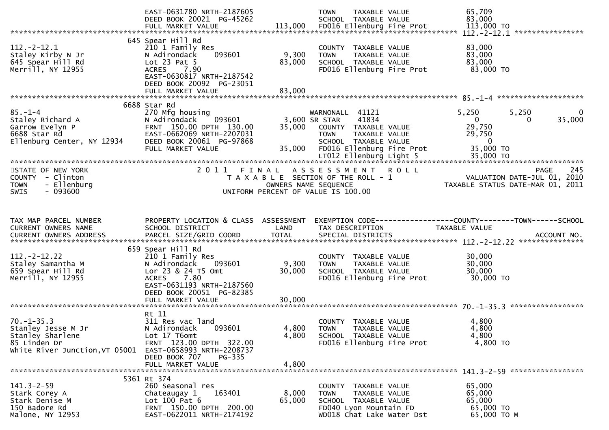|                                                                                                              | EAST-0631780 NRTH-2187605<br>DEED BOOK 20021 PG-45262                                                                                                                |                               | <b>TOWN</b><br><b>TAXABLE VALUE</b><br>SCHOOL TAXABLE VALUE                                                                                            | 65,709<br>83,000                                                         |                                                                                       |
|--------------------------------------------------------------------------------------------------------------|----------------------------------------------------------------------------------------------------------------------------------------------------------------------|-------------------------------|--------------------------------------------------------------------------------------------------------------------------------------------------------|--------------------------------------------------------------------------|---------------------------------------------------------------------------------------|
|                                                                                                              |                                                                                                                                                                      |                               |                                                                                                                                                        |                                                                          |                                                                                       |
| $112 - 2 - 12.1$<br>Staley Kirby N Jr<br>645 Spear Hill Rd<br>Merrill, NY 12955                              | 645 Spear Hill Rd<br>210 1 Family Res<br>093601<br>N Adirondack<br>Lot $23$ Pat $5$<br>7.90<br><b>ACRES</b><br>EAST-0630817 NRTH-2187542<br>DEED BOOK 20092 PG-23051 | 9,300<br>83,000               | COUNTY TAXABLE VALUE<br><b>TOWN</b><br>TAXABLE VALUE<br>SCHOOL TAXABLE VALUE<br>FD016 Ellenburg Fire Prot                                              | 83,000<br>83,000<br>83,000<br>83,000 TO                                  |                                                                                       |
|                                                                                                              | FULL MARKET VALUE                                                                                                                                                    | 83,000                        |                                                                                                                                                        |                                                                          |                                                                                       |
|                                                                                                              |                                                                                                                                                                      |                               |                                                                                                                                                        |                                                                          |                                                                                       |
| $85. - 1 - 4$<br>Staley Richard A<br>Garrow Evelyn P<br>6688 Star Rd<br>Ellenburg Center, NY 12934           | 6688 Star Rd<br>270 Mfg housing<br>093601<br>N Adirondack<br>FRNT 150.00 DPTH 130.00<br>EAST-0662069 NRTH-2207031<br>DEED BOOK 20061 PG-97868<br>FULL MARKET VALUE   | 35,000<br>35,000              | WARNONALL 41121<br>3,600 SR STAR<br>41834<br>COUNTY TAXABLE VALUE<br>TAXABLE VALUE<br><b>TOWN</b><br>SCHOOL TAXABLE VALUE<br>FD016 Ellenburg Fire Prot | 5,250<br>$\mathbf{0}$<br>29,750<br>29,750<br>$\overline{0}$<br>35,000 TO | 5,250<br>0<br>35,000<br>$\Omega$                                                      |
|                                                                                                              |                                                                                                                                                                      |                               |                                                                                                                                                        |                                                                          |                                                                                       |
| STATE OF NEW YORK<br>COUNTY - Clinton<br>- Ellenburg<br><b>TOWN</b><br>$-093600$<br><b>SWIS</b>              | 2011                                                                                                                                                                 | FINAL<br>OWNERS NAME SEQUENCE | <b>ROLL</b><br>A S S E S S M E N T<br>T A X A B L E SECTION OF THE ROLL - 1<br>UNIFORM PERCENT OF VALUE IS 100.00                                      |                                                                          | 245<br><b>PAGE</b><br>VALUATION DATE-JUL 01, 2010<br>TAXABLE STATUS DATE-MAR 01, 2011 |
|                                                                                                              |                                                                                                                                                                      |                               |                                                                                                                                                        |                                                                          |                                                                                       |
|                                                                                                              |                                                                                                                                                                      |                               |                                                                                                                                                        |                                                                          |                                                                                       |
| TAX MAP PARCEL NUMBER<br>CURRENT OWNERS NAME                                                                 | PROPERTY LOCATION & CLASS ASSESSMENT<br>SCHOOL DISTRICT                                                                                                              | LAND                          | EXEMPTION CODE-----------------COUNTY--------TOWN------SCHOOL<br>TAX DESCRIPTION                                                                       | TAXABLE VALUE                                                            |                                                                                       |
|                                                                                                              | 659 Spear Hill Rd                                                                                                                                                    |                               |                                                                                                                                                        |                                                                          |                                                                                       |
| $112. -2 - 12.22$<br>Staley Samantha M<br>659 Spear Hill Rd<br>Merrill, NY 12955                             | 210 1 Family Res<br>093601<br>N Adirondack<br>Lor 23 & 24 T5 Omt<br>ACRES 7.80<br>EAST-0631193 NRTH-2187560<br>DEED BOOK 20051 PG-82385<br>FULL MARKET VALUE         | 9,300<br>30,000<br>30,000     | COUNTY TAXABLE VALUE<br>TAXABLE VALUE<br><b>TOWN</b><br>SCHOOL TAXABLE VALUE<br>FD016 Ellenburg Fire Prot                                              | 30,000<br>30,000<br>30,000<br>30,000 TO                                  |                                                                                       |
|                                                                                                              |                                                                                                                                                                      |                               |                                                                                                                                                        |                                                                          |                                                                                       |
| $70. - 1 - 35.3$<br>Stanley Jesse M Jr<br>Stanley Sharlene<br>85 Linden Dr<br>White River Junction, VT 05001 | Rt 11<br>311 Res vac land<br>093601<br>N Adirondack<br>Lot 17 T6omt<br>FRNT 123.00 DPTH 322.00<br>EAST-0658993 NRTH-2208737<br>DEED BOOK 707<br>PG-335               | 4,800<br>4,800                | COUNTY TAXABLE VALUE<br><b>TOWN</b><br>TAXABLE VALUE<br>SCHOOL TAXABLE VALUE<br>FD016 Ellenburg Fire Prot                                              | 4,800<br>4,800<br>4,800<br>4,800 TO                                      |                                                                                       |
|                                                                                                              | FULL MARKET VALUE                                                                                                                                                    | 4,800                         |                                                                                                                                                        |                                                                          |                                                                                       |
|                                                                                                              | 5361 Rt 374                                                                                                                                                          |                               |                                                                                                                                                        |                                                                          |                                                                                       |
| $141.3 - 2 - 59$<br>Stark Corey A<br>Stark Denise M<br>150 Badore Rd<br>Malone, NY 12953                     | 260 Seasonal res<br>Chateaugay 1<br>163401<br>Lot 100 Pat 6<br>FRNT 150.00 DPTH 200.00<br>EAST-0622011 NRTH-2174192                                                  | 8,000<br>65,000               | COUNTY TAXABLE VALUE<br>TAXABLE VALUE<br><b>TOWN</b><br>SCHOOL TAXABLE VALUE<br>FD040 Lyon Mountain FD<br>WD018 Chat Lake Water Dst                    | 65,000<br>65,000<br>65,000<br>65,000 TO<br>65,000 ТО М                   |                                                                                       |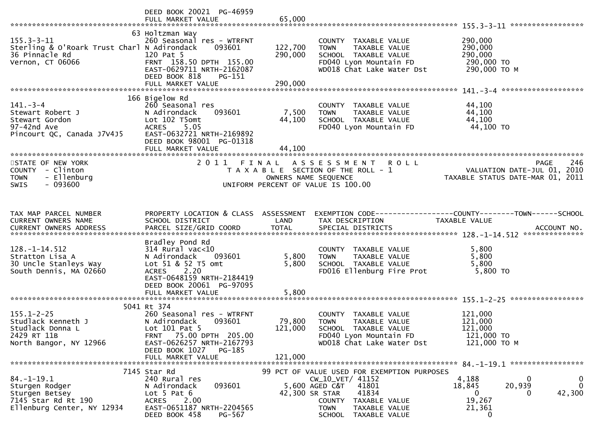|                                                                                                           | DEED BOOK 20021 PG-46959<br>FULL MARKET VALUE                                                                                                                                               | 65,000                       |                                                                                                                                            |                                                                                |                                   |
|-----------------------------------------------------------------------------------------------------------|---------------------------------------------------------------------------------------------------------------------------------------------------------------------------------------------|------------------------------|--------------------------------------------------------------------------------------------------------------------------------------------|--------------------------------------------------------------------------------|-----------------------------------|
| $155.3 - 3 - 11$<br>Sterling & O'Roark Trust Charl N Adirondack<br>36 Pinnacle Rd<br>Vernon, CT 06066     | 63 Holtzman Way<br>260 Seasonal res - WTRFNT<br>093601<br>120 Pat 5<br>FRNT 158.50 DPTH 155.00<br>EAST-0629711 NRTH-2162087<br>DEED BOOK 818<br>PG-151                                      | 122,700<br>290,000           | COUNTY TAXABLE VALUE<br><b>TOWN</b><br>TAXABLE VALUE<br>SCHOOL TAXABLE VALUE<br>FD040 Lyon Mountain FD<br>WD018 Chat Lake Water Dst        | 290,000<br>290,000<br>290,000<br>290,000 TO<br>290,000 ТО М                    |                                   |
|                                                                                                           |                                                                                                                                                                                             |                              |                                                                                                                                            |                                                                                |                                   |
| 141. – 3–4<br>Stewart Robert J<br>Stewart Gordon<br>97-42nd Ave<br>Pincourt QC, Canada J7V4J5             | 166 Bigelow Rd<br>260 Seasonal res<br>N Adirondack<br>093601<br>Lot 102 T5omt<br>5.05<br><b>ACRES</b><br>EAST-0632721 NRTH-2169892<br>DEED BOOK 98001 PG-01318                              | 7,500<br>44,100              | COUNTY TAXABLE VALUE<br>TAXABLE VALUE<br><b>TOWN</b><br>SCHOOL TAXABLE VALUE<br>FD040 Lyon Mountain FD                                     | 44,100<br>44,100<br>44,100<br>44,100 TO                                        |                                   |
|                                                                                                           | FULL MARKET VALUE                                                                                                                                                                           | 44,100                       |                                                                                                                                            |                                                                                |                                   |
| STATE OF NEW YORK<br>COUNTY - Clinton<br>- Ellenburg<br><b>TOWN</b><br>$-093600$<br>SWIS                  | 2011 FINAL                                                                                                                                                                                  | OWNERS NAME SEQUENCE         | A S S E S S M E N T R O L L<br>T A X A B L E SECTION OF THE ROLL - 1<br>UNIFORM PERCENT OF VALUE IS 100.00                                 | <b>PAGE</b><br>VALUATION DATE-JUL 01, 2010<br>TAXABLE STATUS DATE-MAR 01, 2011 | 246                               |
|                                                                                                           |                                                                                                                                                                                             |                              |                                                                                                                                            |                                                                                |                                   |
| TAX MAP PARCEL NUMBER<br><b>CURRENT OWNERS NAME</b>                                                       | PROPERTY LOCATION & CLASS ASSESSMENT<br>SCHOOL DISTRICT                                                                                                                                     | LAND                         | TAX DESCRIPTION                                                                                                                            | EXEMPTION CODE-----------------COUNTY-------TOWN------SCHOOL<br>TAXABLE VALUE  |                                   |
| 128. -1-14. 512<br>Stratton Lisa A<br>30 Uncle Stanleys Way<br>South Dennis, MA 02660                     | Bradley Pond Rd<br>$314$ Rural vac< $10$<br>N Adirondack<br>093601<br>Lot 51 & 52 T5 omt<br><b>ACRES</b><br>2.20<br>EAST-0648159 NRTH-2184419<br>DEED BOOK 20061 PG-97095                   | 5,800<br>5,800<br>5,800      | COUNTY TAXABLE VALUE<br>TAXABLE VALUE<br><b>TOWN</b><br>SCHOOL TAXABLE VALUE<br>FD016 Ellenburg Fire Prot                                  | 5,800<br>5,800<br>5,800<br>5,800 TO                                            |                                   |
|                                                                                                           | FULL MARKET VALUE                                                                                                                                                                           |                              |                                                                                                                                            |                                                                                |                                   |
| $155.1 - 2 - 25$<br>Studlack Kenneth J<br>Studlack Donna L<br>2429 RT 11B<br>North Bangor, NY 12966       | 5041 Rt 374<br>260 Seasonal res - WTRFNT<br>093601<br>N Adirondack<br>Lot 101 Pat 5<br>FRNT 75.00 DPTH 205.00<br>EAST-0626257 NRTH-2167793<br>DEED BOOK 1027<br>PG-185<br>FULL MARKET VALUE | 79,800<br>121,000<br>121,000 | COUNTY TAXABLE VALUE<br><b>TOWN</b><br><b>TAXABLE VALUE</b><br>SCHOOL TAXABLE VALUE<br>FD040 Lyon Mountain FD<br>WD018 Chat Lake Water Dst | 121,000<br>121,000<br>121,000<br>121,000 TO<br>121,000 ТО М                    |                                   |
|                                                                                                           | 7145 Star Rd                                                                                                                                                                                |                              | 99 PCT OF VALUE USED FOR EXEMPTION PURPOSES                                                                                                |                                                                                |                                   |
| $84. - 1 - 19.1$<br>Sturgen Rodger<br>Sturgen Betsey<br>7145 Star Rd Rt 190<br>Ellenburg Center, NY 12934 | 240 Rural res<br>093601<br>N Adirondack<br>Lot $5$ Pat $6$<br>2.00<br><b>ACRES</b><br>EAST-0651187 NRTH-2204565<br>DEED BOOK 458<br>PG-567                                                  | 42,300 SR STAR               | CW_10_VET/ 41152<br>5,600 AGED C&T<br>41801<br>41834<br>COUNTY TAXABLE VALUE<br>TAXABLE VALUE<br>TOWN<br>SCHOOL TAXABLE VALUE              | 4,188<br>0<br>20,939<br>18,845<br>0<br>$\Omega$<br>19,267<br>21,361<br>0       | $\bf{0}$<br>$\mathbf 0$<br>42,300 |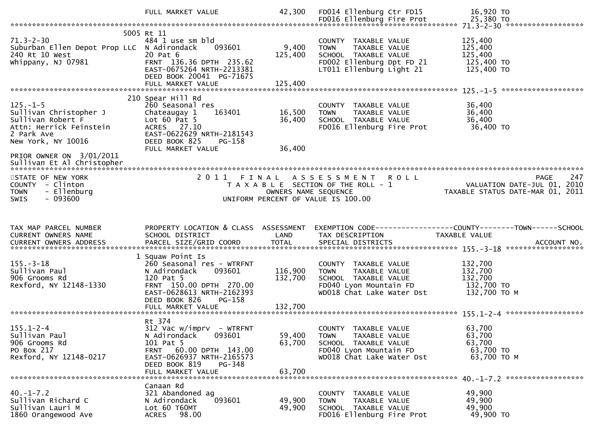|                                                                                                                              | FULL MARKET VALUE                                                                                                                                                                            | 42,300                        | FD014 Ellenburg Ctr FD15                                                                                                              | 16,920 TO                                                                                       |
|------------------------------------------------------------------------------------------------------------------------------|----------------------------------------------------------------------------------------------------------------------------------------------------------------------------------------------|-------------------------------|---------------------------------------------------------------------------------------------------------------------------------------|-------------------------------------------------------------------------------------------------|
| $71.3 - 2 - 30$<br>Suburban Ellen Depot Prop LLC N Adirondack<br>240 Rt 10 West<br>Whippany, NJ 07981                        | 5005 Rt 11<br>484 1 use sm bld<br>093601<br>20 Pat 6<br>FRNT 136.36 DPTH 235.62<br>EAST-0675264 NRTH-2213381<br>DEED BOOK 20041 PG-71675<br>FULL MARKET VALUE                                | 9,400<br>125,400<br>125,400   | COUNTY TAXABLE VALUE<br>TAXABLE VALUE<br><b>TOWN</b><br>SCHOOL TAXABLE VALUE<br>FD002 Ellenburg Dpt FD 21<br>LT011 Ellenburg Light 21 | 125,400<br>125,400<br>125,400<br>125,400 TO<br>125,400 TO                                       |
|                                                                                                                              | 210 Spear Hill Rd                                                                                                                                                                            |                               |                                                                                                                                       |                                                                                                 |
| $125. - 1 - 5$<br>Sullivan Christopher J<br>Sullivan Robert F<br>Attn: Herrick Feinstein<br>2 Park Ave<br>New York, NY 10016 | 260 Seasonal res<br>163401<br>Chateaugay 1<br>Lot $60$ Pat $5$<br>ACRES 27.10<br>EAST-0622629 NRTH-2181543<br>DEED BOOK 825<br>PG-158                                                        | 16,500<br>36,400              | COUNTY TAXABLE VALUE<br>TAXABLE VALUE<br>TOWN<br>SCHOOL TAXABLE VALUE<br>FD016 Ellenburg Fire Prot                                    | 36,400<br>36,400<br>36,400<br>36,400 TO                                                         |
| PRIOR OWNER ON 3/01/2011                                                                                                     | FULL MARKET VALUE                                                                                                                                                                            | 36,400                        |                                                                                                                                       |                                                                                                 |
| STATE OF NEW YORK<br>COUNTY - Clinton<br>- Ellenburg<br><b>TOWN</b><br>$-093600$<br>SWIS                                     |                                                                                                                                                                                              | OWNERS NAME SEQUENCE          | 2011 FINAL ASSESSMENT ROLL<br>T A X A B L E SECTION OF THE ROLL - 1<br>UNIFORM PERCENT OF VALUE IS 100.00                             | 247<br>PAGE<br>247 PAGE<br>2010 VALUATION DATE-JUL 01, 2010<br>TAXABLE STATUS DATE-MAR 01, 2011 |
|                                                                                                                              |                                                                                                                                                                                              |                               |                                                                                                                                       |                                                                                                 |
| TAX MAP PARCEL NUMBER<br>CURRENT OWNERS NAME                                                                                 | PROPERTY LOCATION & CLASS ASSESSMENT<br>SCHOOL DISTRICT                                                                                                                                      | LAND                          | TAX DESCRIPTION                                                                                                                       | TAXABLE VALUE                                                                                   |
| $155. - 3 - 18$<br>Sullivan Paul<br>906 Grooms Rd<br>Rexford, NY 12148-1330                                                  | 1 Squaw Point Is<br>260 Seasonal res - WTRFNT<br>093601<br>N Adirondack<br>120 Pat 5<br>FRNT 150.00 DPTH 270.00<br>EAST-0628613 NRTH-2162393<br>DEED BOOK 826<br>PG-158<br>FULL MARKET VALUE | 116,900<br>132,700<br>132,700 | COUNTY TAXABLE VALUE<br><b>TOWN</b><br>TAXABLE VALUE<br>SCHOOL TAXABLE VALUE<br>FD040 Lyon Mountain FD<br>WD018 Chat Lake Water Dst   | 132,700<br>132,700<br>132,700<br>132,700 TO<br>132,700 TO M                                     |
| $155.1 - 2 - 4$<br>Sullivan Paul<br>906 Grooms Rd<br>PO Box 217<br>Rexford, NY 12148-0217                                    | Rt 374<br>312 Vac w/imprv - WTRFNT<br>093601<br>N Adirondack<br>101 Pat 5<br>FRNT 60.00 DPTH 143.00<br>EAST-0626937 NRTH-2165573<br>DEED BOOK 819<br>PG-348<br>FULL MARKET VALUE             | 59,400<br>63,700<br>63,700    | COUNTY TAXABLE VALUE<br><b>TOWN</b><br>TAXABLE VALUE<br>SCHOOL TAXABLE VALUE<br>FD040 Lyon Mountain FD<br>WD018 Chat Lake Water Dst   | 63,700<br>63,700<br>63,700<br>63,700 TO<br>63,700 ТО М                                          |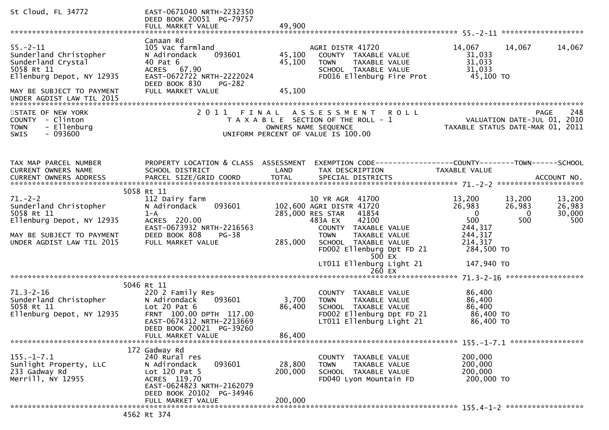| St Cloud, FL 34772                                                                                                                                                  | EAST-0671040 NRTH-2232350<br>DEED BOOK 20051 PG-79757<br>FULL MARKET VALUE                                                                                                            | 49,900                       |                                                                                                                                                                                                                                                              |                                                                                                                                     |                                   |
|---------------------------------------------------------------------------------------------------------------------------------------------------------------------|---------------------------------------------------------------------------------------------------------------------------------------------------------------------------------------|------------------------------|--------------------------------------------------------------------------------------------------------------------------------------------------------------------------------------------------------------------------------------------------------------|-------------------------------------------------------------------------------------------------------------------------------------|-----------------------------------|
| $55. - 2 - 11$<br>Sunderland Christopher<br>Sunderland Crystal<br>5058 Rt 11<br>Ellenburg Depot, NY 12935<br>MAY BE SUBJECT TO PAYMENT<br>UNDER AGDIST LAW TIL 2015 | Canaan Rd<br>105 Vac farmland<br>093601<br>N Adirondack<br>40 Pat 6<br>ACRES 67.90<br>EAST-0672722 NRTH-2222024<br>DEED BOOK 830<br>PG-282<br>FULL MARKET VALUE                       | 45,100<br>45,100<br>45,100   | AGRI DISTR 41720<br>COUNTY TAXABLE VALUE<br>TAXABLE VALUE<br><b>TOWN</b><br>SCHOOL TAXABLE VALUE<br>FD016 Ellenburg Fire Prot                                                                                                                                | 14,067<br>14,067<br>31,033<br>31,033<br>31,033<br>45,100 TO                                                                         | 14,067                            |
| STATE OF NEW YORK<br><b>COUNTY</b><br>- Clinton<br>- Ellenburg<br><b>TOWN</b><br>$-093600$<br><b>SWIS</b>                                                           | 2011                                                                                                                                                                                  | FINAL                        | <b>ROLL</b><br>A S S E S S M E N T<br>T A X A B L E SECTION OF THE ROLL - 1<br>OWNERS NAME SEQUENCE<br>UNIFORM PERCENT OF VALUE IS 100.00                                                                                                                    | VALUATION DATE-JUL 01, 2010<br>TAXABLE STATUS DATE-MAR 01, 2011                                                                     | 248<br><b>PAGE</b>                |
| TAX MAP PARCEL NUMBER<br>CURRENT OWNERS NAME                                                                                                                        | PROPERTY LOCATION & CLASS ASSESSMENT<br>SCHOOL DISTRICT                                                                                                                               | LAND                         | TAX DESCRIPTION                                                                                                                                                                                                                                              | <b>TAXABLE VALUE</b>                                                                                                                |                                   |
| $71. - 2 - 2$<br>Sunderland Christopher<br>5058 Rt 11<br>Ellenburg Depot, NY 12935<br>MAY BE SUBJECT TO PAYMENT<br>UNDER AGDIST LAW TIL 2015                        | 5058 Rt 11<br>112 Dairy farm<br>093601<br>N Adirondack<br>$1 - A$<br>ACRES 220.00<br>EAST-0673932 NRTH-2216563<br>DEED BOOK 808<br>PG-38<br>FULL MARKET VALUE                         | 285,000                      | 10 YR AGR 41700<br>102,600 AGRI DISTR 41720<br>285,000 RES STAR<br>41854<br>483A EX<br>42100<br>COUNTY<br>TAXABLE VALUE<br><b>TOWN</b><br>TAXABLE VALUE<br>SCHOOL TAXABLE VALUE<br>FD002 Ellenburg Dpt FD 21<br>500 EX<br>LT011 Ellenburg Light 21<br>260 EX | 13,200<br>13,200<br>26,983<br>26,983<br>$\mathbf 0$<br>0<br>500<br>500<br>244,317<br>244,317<br>214,317<br>284,500 TO<br>147,940 TO | 13,200<br>26,983<br>30,000<br>500 |
| $71.3 - 2 - 16$<br>Sunderland Christopher<br>5058 Rt 11<br>Ellenburg Depot, NY 12935                                                                                | 5046 Rt 11<br>220 2 Family Res<br>093601<br>N Adirondack<br>Lot $20$ Pat $6$<br>FRNT 100.00 DPTH 117.00<br>EAST-0674312 NRTH-2213669<br>DEED BOOK 20021 PG-39260<br>FULL MARKET VALUE | 3,700<br>86,400<br>86,400    | <b>COUNTY</b><br>TAXABLE VALUE<br>TAXABLE VALUE<br><b>TOWN</b><br>SCHOOL TAXABLE VALUE<br>FD002 Ellenburg Dpt FD 21<br>LT011 Ellenburg Light 21                                                                                                              | 86,400<br>86,400<br>86,400<br>86,400 TO<br>86,400 TO                                                                                |                                   |
| $155. - 1 - 7.1$<br>Sunlight Property, LLC<br>233 Gadway Rd<br>Merrill, NY 12955                                                                                    | 172 Gadway Rd<br>240 Rural res<br>093601<br>N Adirondack<br>Lot $120$ Pat 5<br>ACRES 119.70<br>EAST-0624823 NRTH-2162079<br>DEED BOOK 20102 PG-34946<br>FULL MARKET VALUE             | 28,800<br>200,000<br>200,000 | COUNTY TAXABLE VALUE<br>TAXABLE VALUE<br>TOWN<br>SCHOOL TAXABLE VALUE<br>FD040 Lyon Mountain FD                                                                                                                                                              | 200,000<br>200,000<br>200,000<br>200,000 TO                                                                                         |                                   |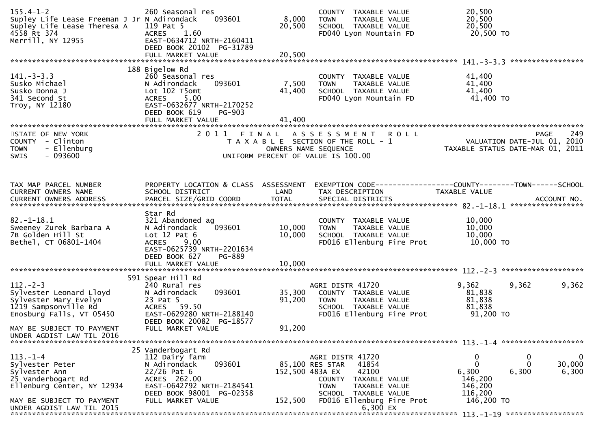| $155.4 - 1 - 2$<br>Supley Life Lease Freeman J Jr N Adirondack<br>Supley Life Lease Theresa A<br>4558 Rt 374<br>Merrill, NY 12955 | 260 Seasonal res<br>093601<br>119 Pat 5<br>1.60<br><b>ACRES</b><br>EAST-0634712 NRTH-2160411<br>DEED BOOK 20102 PG-31789<br>FULL MARKET VALUE                                      | 8,000<br>20,500<br>20,500 | COUNTY TAXABLE VALUE<br><b>TOWN</b><br>TAXABLE VALUE<br>SCHOOL TAXABLE VALUE<br>FD040 Lyon Mountain FD                                                    | 20,500<br>20,500<br>20,500<br>20,500 TO<br>*****************                   |                      |
|-----------------------------------------------------------------------------------------------------------------------------------|------------------------------------------------------------------------------------------------------------------------------------------------------------------------------------|---------------------------|-----------------------------------------------------------------------------------------------------------------------------------------------------------|--------------------------------------------------------------------------------|----------------------|
| $141 - 3 - 3.3$<br>Susko Michael<br>Susko Donna J<br>341 Second St<br>Troy, NY 12180                                              | 188 Bigelow Rd<br>260 Seasonal res<br>N Adirondack<br>093601<br>Lot 102 T5omt<br>5.00<br><b>ACRES</b><br>EAST-0632677 NRTH-2170252<br>DEED BOOK 619<br>PG-903<br>FULL MARKET VALUE | 7,500<br>41,400<br>41,400 | COUNTY TAXABLE VALUE<br>TAXABLE VALUE<br><b>TOWN</b><br>SCHOOL TAXABLE VALUE<br>FD040 Lyon Mountain FD                                                    | 41,400<br>41,400<br>41,400<br>41,400 TO                                        |                      |
| STATE OF NEW YORK<br>COUNTY - Clinton<br>- Ellenburg<br><b>TOWN</b><br>$-093600$<br>SWIS                                          | 2011 FINAL                                                                                                                                                                         | OWNERS NAME SEQUENCE      | A S S E S S M E N T<br><b>ROLL</b><br>T A X A B L E SECTION OF THE ROLL - 1<br>UNIFORM PERCENT OF VALUE IS 100.00                                         | <b>PAGE</b><br>VALUATION DATE-JUL 01, 2010<br>TAXABLE STATUS DATE-MAR 01, 2011 | 249                  |
| TAX MAP PARCEL NUMBER<br>CURRENT OWNERS NAME<br><b>CURRENT OWNERS ADDRESS</b>                                                     | PROPERTY LOCATION & CLASS ASSESSMENT<br>SCHOOL DISTRICT<br>PARCEL SIZE/GRID COORD                                                                                                  | LAND<br>TOTAL             | TAX DESCRIPTION<br>SPECIAL DISTRICTS                                                                                                                      | TAXABLE VALUE                                                                  | ACCOUNT NO.          |
| $82. - 1 - 18.1$<br>Sweeney Zurek Barbara A<br>7B Golden Hill St<br>Bethel, CT 06801-1404                                         | Star Rd<br>321 Abandoned ag<br>N Adirondack<br>093601<br>Lot $12$ Pat $6$<br><b>ACRES</b><br>9.00<br>EAST-0625739 NRTH-2201634<br>DEED BOOK 627<br>PG-889                          | 10,000<br>10,000          | COUNTY TAXABLE VALUE<br>TAXABLE VALUE<br><b>TOWN</b><br>SCHOOL TAXABLE VALUE<br>FD016 Ellenburg Fire Prot                                                 | 10,000<br>10,000<br>10,000<br>10,000 TO                                        |                      |
|                                                                                                                                   |                                                                                                                                                                                    |                           |                                                                                                                                                           |                                                                                |                      |
| $112 - 2 - 3$<br>Sylvester Leonard Lloyd<br>Sylvester Mary Evelyn<br>1219 Sampsonville Rd<br>Enosburg Falls, VT 05450             | 591 Spear Hill Rd<br>240 Rural res<br>093601<br>N Adirondack<br>23 Pat 5<br>ACRES 59.50<br>EAST-0629280 NRTH-2188140<br>DEED BOOK 20082 PG-18577                                   | 35,300<br>91,200          | AGRI DISTR 41720<br>COUNTY TAXABLE VALUE<br>TAXABLE VALUE<br><b>TOWN</b><br>SCHOOL TAXABLE VALUE<br>FD016 Ellenburg Fire Prot                             | 9,362<br>9,362<br>81,838<br>81,838<br>81,838<br>91,200 TO                      | 9,362                |
| MAY BE SUBJECT TO PAYMENT<br>UNDER AGDIST LAW TIL 2016                                                                            | FULL MARKET VALUE                                                                                                                                                                  | 91,200                    |                                                                                                                                                           |                                                                                |                      |
|                                                                                                                                   | 25 Vanderbogart Rd                                                                                                                                                                 |                           |                                                                                                                                                           |                                                                                |                      |
| $113. - 1 - 4$<br>Sylvester Peter<br>Sylvester Ann<br>25 Vanderbogart Rd<br>Ellenburg Center, NY 12934                            | 112 Dairy farm<br>093601<br>N Adirondack<br>$22/26$ Pat 6<br>ACRES 262.00<br>EAST-0642792 NRTH-2184541<br>DEED BOOK 98001 PG-02358                                                 | 152,500 483A EX           | AGRI DISTR 41720<br>41854<br>85,100 RES STAR<br>42100<br><b>COUNTY</b><br>TAXABLE VALUE<br><b>TOWN</b><br>TAXABLE VALUE<br><b>SCHOOL</b><br>TAXABLE VALUE | 0<br>0<br>$\Omega$<br>0<br>6,300<br>6,300<br>146,200<br>146,200<br>116,200     | 0<br>30,000<br>6,300 |
| MAY BE SUBJECT TO PAYMENT<br>UNDER AGDIST LAW TIL 2015                                                                            | FULL MARKET VALUE                                                                                                                                                                  | 152,500                   | FD016 Ellenburg Fire Prot<br>6,300 EX                                                                                                                     | 146,200 TO                                                                     |                      |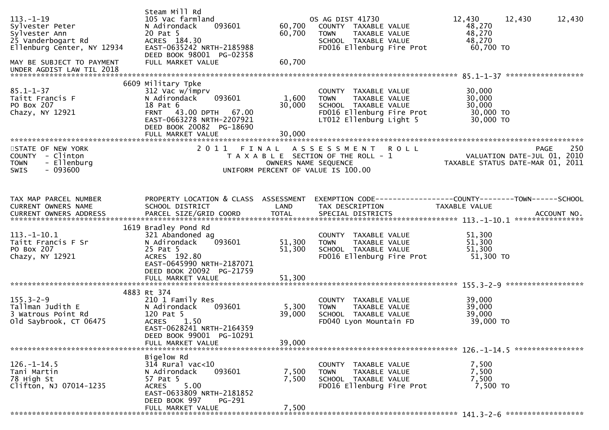| $113. - 1 - 19$<br>Sylvester Peter<br>Sylvester Ann<br>25 Vanderbogart Rd<br>Ellenburg Center, NY 12934<br>MAY BE SUBJECT TO PAYMENT<br>UNDER AGDIST LAW TIL 2018 | Steam Mill Rd<br>105 Vac farmland<br>093601<br>N Adirondack<br>20 Pat 5<br>ACRES 184.30<br>EAST-0635242 NRTH-2185988<br>DEED BOOK 98001 PG-02358<br>FULL MARKET VALUE              | 60,700<br>60,700<br>60,700    | OS AG DIST 41730<br>COUNTY TAXABLE VALUE<br>TAXABLE VALUE<br><b>TOWN</b><br>SCHOOL TAXABLE VALUE<br>FD016 Ellenburg Fire Prot        | 12,430<br>12,430<br>48,270<br>48,270<br>48,270<br>60,700 TO                    | 12,430      |
|-------------------------------------------------------------------------------------------------------------------------------------------------------------------|------------------------------------------------------------------------------------------------------------------------------------------------------------------------------------|-------------------------------|--------------------------------------------------------------------------------------------------------------------------------------|--------------------------------------------------------------------------------|-------------|
| $85.1 - 1 - 37$<br>Taitt Francis F<br>PO Box 207<br>Chazy, NY 12921                                                                                               | 6609 Military Tpke<br>312 Vac w/imprv<br>093601<br>N Adirondack<br>18 Pat 6<br>FRNT 43.00 DPTH 67.00<br>EAST-0663278 NRTH-2207921<br>DEED BOOK 20082 PG-18690<br>FULL MARKET VALUE | 1,600<br>30,000<br>30,000     | COUNTY TAXABLE VALUE<br>TAXABLE VALUE<br><b>TOWN</b><br>SCHOOL TAXABLE VALUE<br>FD016 Ellenburg Fire Prot<br>LT012 Ellenburg Light 5 | 30,000<br>30,000<br>30,000<br>30,000 TO<br>30,000 TO                           |             |
| STATE OF NEW YORK<br>COUNTY - Clinton<br><b>TOWN</b><br>- Ellenburg<br>$-093600$<br><b>SWIS</b>                                                                   | 2 0 1 1                                                                                                                                                                            | FINAL<br>OWNERS NAME SEQUENCE | A S S E S S M E N T<br><b>ROLL</b><br>T A X A B L E SECTION OF THE ROLL - 1<br>UNIFORM PERCENT OF VALUE IS 100.00                    | <b>PAGE</b><br>VALUATION DATE-JUL 01, 2010<br>TAXABLE STATUS DATE-MAR 01, 2011 | 250         |
| TAX MAP PARCEL NUMBER<br><b>CURRENT OWNERS NAME</b>                                                                                                               | PROPERTY LOCATION & CLASS ASSESSMENT<br>SCHOOL DISTRICT                                                                                                                            | <b>LAND</b>                   | TAX DESCRIPTION                                                                                                                      | EXEMPTION CODE-----------------COUNTY-------TOWN------SCHOOL<br>TAXABLE VALUE  | ACCOUNT NO. |
| $113.-1-10.1$<br>Taitt Francis F Sr<br>PO Box 207<br>Chazy, NY 12921                                                                                              | 1619 Bradley Pond Rd<br>321 Abandoned ag<br>N Adirondack<br>093601<br>25 Pat 5<br>ACRES 192.80<br>EAST-0645990 NRTH-2187071<br>DEED BOOK 20092 PG-21759                            | 51,300<br>51,300              | COUNTY TAXABLE VALUE<br><b>TAXABLE VALUE</b><br>TOWN<br>SCHOOL TAXABLE VALUE<br>FD016 Ellenburg Fire Prot                            | ****************<br>51,300<br>51,300<br>51,300<br>51,300 TO                    |             |
| $155.3 - 2 - 9$<br>Tallman Judith E<br>3 Watrous Point Rd<br>old Saybrook, CT 06475                                                                               | 4883 Rt 374<br>210 1 Family Res<br>N Adirondack<br>093601<br>120 Pat 5<br>1.50<br><b>ACRES</b><br>EAST-0628241 NRTH-2164359<br>DEED BOOK 99001 PG-10291<br>FULL MARKET VALUE       | 5,300<br>39,000<br>39,000     | COUNTY TAXABLE VALUE<br><b>TOWN</b><br>TAXABLE VALUE<br>SCHOOL TAXABLE VALUE<br>FD040 Lyon Mountain FD                               | 39,000<br>39,000<br>39,000<br>39,000 TO                                        |             |
| $126. - 1 - 14.5$<br>Tani Martin<br>78 High St<br>Clifton, NJ 07014-1235                                                                                          | Bigelow Rd<br>$314$ Rural vac<10<br>093601<br>N Adirondack<br>57 Pat 5<br>5.00<br>ACRES<br>EAST-0633809 NRTH-2181852<br>DEED BOOK 997<br>PG-291<br>FULL MARKET VALUE               | 7,500<br>7,500<br>7,500       | COUNTY TAXABLE VALUE<br>TAXABLE VALUE<br>TOWN<br>SCHOOL TAXABLE VALUE<br>FD016 Ellenburg Fire Prot                                   | 7,500<br>7,500<br>7,500<br>7,500 TO                                            |             |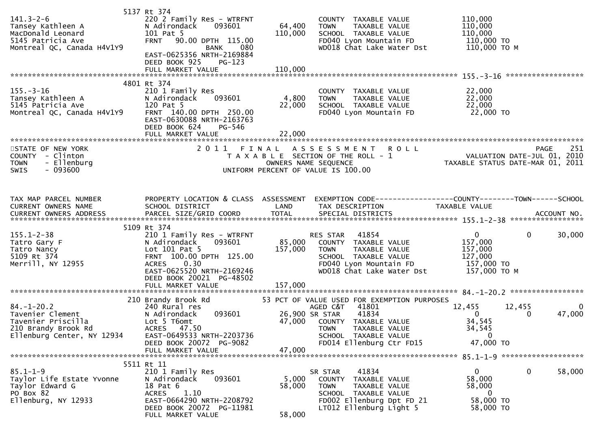| $141.3 - 2 - 6$<br>Tansey Kathleen A<br>MacDonald Leonard<br>5145 Patricia Ave<br>Montreal QC, Canada H4V1Y9    | 5137 Rt 374<br>220 2 Family Res - WTRFNT<br>N Adirondack<br>093601<br>101 Pat 5<br>FRNT 90.00 DPTH 115.00<br>BANK<br>080<br>EAST-0625356 NRTH-2169884<br>DEED BOOK 925<br>$PG-123$<br>FULL MARKET VALUE                | 64,400<br>110,000<br>110,000 | COUNTY TAXABLE VALUE<br><b>TOWN</b><br>TAXABLE VALUE<br>SCHOOL TAXABLE VALUE<br>FD040 Lyon Mountain FD<br>WD018 Chat Lake Water Dst                                                                     | 110,000<br>110,000<br>110,000<br>110,000 TO<br>110,000 ТО М                                 |                       |
|-----------------------------------------------------------------------------------------------------------------|------------------------------------------------------------------------------------------------------------------------------------------------------------------------------------------------------------------------|------------------------------|---------------------------------------------------------------------------------------------------------------------------------------------------------------------------------------------------------|---------------------------------------------------------------------------------------------|-----------------------|
| $155. - 3 - 16$<br>Tansey Kathleen A<br>5145 Patricia Ave<br>Montreal QC, Canada H4V1Y9                         | 4801 Rt 374<br>210 1 Family Res<br>N Adirondack<br>093601<br>120 Pat 5<br>FRNT 140.00 DPTH 250.00<br>EAST-0630088 NRTH-2163763<br>DEED BOOK 624<br>PG-546<br>FULL MARKET VALUE                                         | 4,800<br>22,000<br>22,000    | COUNTY TAXABLE VALUE<br>TAXABLE VALUE<br><b>TOWN</b><br>SCHOOL TAXABLE VALUE<br>FD040 Lyon Mountain FD                                                                                                  | 22,000<br>22,000<br>22,000<br>22,000 TO                                                     |                       |
| STATE OF NEW YORK<br>COUNTY - Clinton<br>- Ellenburg<br><b>TOWN</b><br>SWIS<br>- 093600                         | 2011 FINAL                                                                                                                                                                                                             |                              | A S S E S S M E N T<br><b>ROLL</b><br>T A X A B L E SECTION OF THE ROLL - 1<br>OWNERS NAME SEQUENCE<br>UNIFORM PERCENT OF VALUE IS 100.00                                                               | VALUATION DATE-JUL 01, 2010<br>TAXABLE STATUS DATE-MAR 01, 2011                             | 251<br>PAGE           |
| TAX MAP PARCEL NUMBER<br>CURRENT OWNERS NAME                                                                    | PROPERTY LOCATION & CLASS ASSESSMENT<br>SCHOOL DISTRICT                                                                                                                                                                | LAND                         | EXEMPTION CODE-----------------COUNTY--------TOWN------SCHOOL<br>TAX DESCRIPTION                                                                                                                        | TAXABLE VALUE                                                                               |                       |
| $155.1 - 2 - 38$<br>Tatro Gary F<br>Tatro Nancy<br>5109 Rt 374<br>Merrill, NY 12955                             | 5109 Rt 374<br>210 1 Family Res - WTRFNT<br>093601<br>N Adirondack<br>Lot $101$ Pat 5<br>FRNT 100.00 DPTH 125.00<br>0.30<br><b>ACRES</b><br>EAST-0625520 NRTH-2169246<br>DEED BOOK 20021 PG-48502<br>FULL MARKET VALUE | 85,000<br>157,000<br>157,000 | 41854<br>RES STAR<br>COUNTY TAXABLE VALUE<br>TAXABLE VALUE<br><b>TOWN</b><br>SCHOOL TAXABLE VALUE<br>FD040 Lyon Mountain FD<br>WD018 Chat Lake Water Dst                                                | $\mathbf{0}$<br>$\mathbf{0}$<br>157,000<br>157,000<br>127,000<br>157,000 TO<br>157,000 ТО М | 30,000                |
| $84. - 1 - 20.2$<br>Tavenier Clement<br>Tavenier Priscilla<br>210 Brandy Brook Rd<br>Ellenburg Center, NY 12934 | 210 Brandy Brook Rd<br>240 Rural res<br>093601<br>N Adirondack<br>Lot 5 T6omt<br>ACRES 47.50<br>EAST-0649533 NRTH-2203736<br>DEED BOOK 20072 PG-9082<br>FULL MARKET VALUE                                              | 47,000<br>47,000             | 53 PCT OF VALUE USED FOR EXEMPTION PURPOSES<br>AGED C&T<br>41801<br>41834<br>26,900 SR STAR<br>COUNTY TAXABLE VALUE<br><b>TOWN</b><br>TAXABLE VALUE<br>SCHOOL TAXABLE VALUE<br>FD014 Ellenburg Ctr FD15 | 12,455<br>12,455<br>$\Omega$<br>0<br>34,545<br>34,545<br>$\mathbf 0$<br>47,000 TO           | $\mathbf 0$<br>47,000 |
| $85.1 - 1 - 9$<br>Taylor Life Estate Yvonne<br>Taylor Edward G<br>PO Box 82<br>Ellenburg, NY 12933              | 5511 Rt 11<br>210 1 Family Res<br>093601<br>N Adirondack<br>18 Pat 6<br>1.10<br><b>ACRES</b><br>EAST-0664290 NRTH-2208792<br>DEED BOOK 20072 PG-11981<br>FULL MARKET VALUE                                             | 5,000<br>58,000<br>58,000    | 41834<br>SR STAR<br>COUNTY TAXABLE VALUE<br><b>TOWN</b><br>TAXABLE VALUE<br>SCHOOL TAXABLE VALUE<br>FD002 Ellenburg Dpt FD 21<br>LT012 Ellenburg Light 5                                                | $\mathbf 0$<br>$\mathbf{0}$<br>58,000<br>58,000<br>- 0<br>58,000 TO<br>58,000 TO            | 58,000                |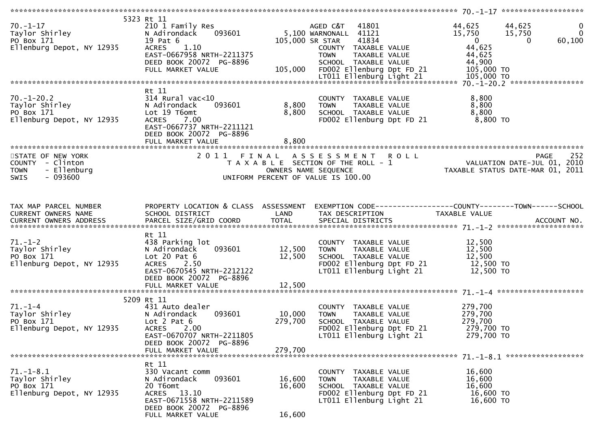|                                                                                                    | 5323 Rt 11                           |                 |                              |                                                                                                                                                                                         |                       |
|----------------------------------------------------------------------------------------------------|--------------------------------------|-----------------|------------------------------|-----------------------------------------------------------------------------------------------------------------------------------------------------------------------------------------|-----------------------|
| $70. -1 - 17$                                                                                      | 210 1 Family Res                     |                 | AGED C&T 41801               | 44,625                                                                                                                                                                                  | $\mathbf 0$<br>44,625 |
|                                                                                                    | 093601<br>N Adirondack               |                 | 5,100 WARNONALL 41121        | 15,750 15,750                                                                                                                                                                           | $\mathbf 0$           |
|                                                                                                    |                                      |                 |                              | $\overline{\mathbf{0}}$                                                                                                                                                                 |                       |
| 70.-1-17<br>Taylor Shirley<br>PO Box 171<br>Ellenburg Depot, NY 12935                              | 19 Pat 6                             | 105,000 SR STAR | 41834                        |                                                                                                                                                                                         | 60,100<br>$\Omega$    |
|                                                                                                    | ACRES 1.10                           |                 | COUNTY TAXABLE VALUE         | 44,625                                                                                                                                                                                  |                       |
|                                                                                                    | EAST-0667958 NRTH-2211375            |                 | <b>TOWN</b><br>TAXABLE VALUE | 44,625                                                                                                                                                                                  |                       |
|                                                                                                    |                                      |                 |                              |                                                                                                                                                                                         |                       |
|                                                                                                    |                                      |                 |                              |                                                                                                                                                                                         |                       |
|                                                                                                    |                                      |                 |                              |                                                                                                                                                                                         |                       |
|                                                                                                    |                                      |                 |                              |                                                                                                                                                                                         |                       |
|                                                                                                    |                                      |                 |                              |                                                                                                                                                                                         |                       |
|                                                                                                    | Rt 11                                |                 |                              |                                                                                                                                                                                         |                       |
| $70. - 1 - 20.2$                                                                                   | $314$ Rural vac<10                   |                 | COUNTY TAXABLE VALUE         | 8,800                                                                                                                                                                                   |                       |
| Taylor Shirley<br>PO Box 171<br>Ellenburg Depot, NY 12935                                          | 093601<br>N Adirondack               | 8,800           | <b>TOWN</b><br>TAXABLE VALUE | 8,800                                                                                                                                                                                   |                       |
|                                                                                                    | Lot 19 T6omt                         | 8,800           | SCHOOL TAXABLE VALUE         | 8,800                                                                                                                                                                                   |                       |
|                                                                                                    |                                      |                 |                              | $8,800$ TO                                                                                                                                                                              |                       |
|                                                                                                    | <b>ACRES</b><br>7.00                 |                 | FD002 Ellenburg Dpt FD 21    |                                                                                                                                                                                         |                       |
|                                                                                                    | EAST-0667737 NRTH-2211121            |                 |                              |                                                                                                                                                                                         |                       |
|                                                                                                    | DEED BOOK 20072 PG-8896              |                 |                              |                                                                                                                                                                                         |                       |
|                                                                                                    | FULL MARKET VALUE                    | 8,800           |                              |                                                                                                                                                                                         |                       |
|                                                                                                    |                                      |                 |                              |                                                                                                                                                                                         |                       |
|                                                                                                    |                                      |                 |                              |                                                                                                                                                                                         |                       |
| STATE OF NEW YORK                                                                                  |                                      |                 |                              | 2011 FINAL ASSESSMENT ROLL<br>TAXABLE SECTION OF THE ROLL -1 WALUATION DATE-JUL 01, 2010<br>OWNERS NAME SEQUENCE TAXABLE STATUS DATE-MAR 01, 2011<br>UNIFORM PERCENT OF VALUE IS 100.00 |                       |
| COUNTY - Clinton                                                                                   |                                      |                 |                              |                                                                                                                                                                                         |                       |
| <b>TOWN</b><br>- Ellenburg                                                                         |                                      |                 |                              |                                                                                                                                                                                         |                       |
| $-093600$<br><b>SWIS</b>                                                                           |                                      |                 |                              |                                                                                                                                                                                         |                       |
|                                                                                                    |                                      |                 |                              |                                                                                                                                                                                         |                       |
|                                                                                                    |                                      |                 |                              |                                                                                                                                                                                         |                       |
|                                                                                                    |                                      |                 |                              |                                                                                                                                                                                         |                       |
|                                                                                                    |                                      |                 |                              |                                                                                                                                                                                         |                       |
| TAX MAP PARCEL NUMBER                                                                              | PROPERTY LOCATION & CLASS ASSESSMENT |                 |                              | EXEMPTION CODE-----------------COUNTY--------TOWN------SCHOOL                                                                                                                           |                       |
|                                                                                                    |                                      |                 |                              | TAXABLE VALUE                                                                                                                                                                           |                       |
|                                                                                                    |                                      |                 |                              |                                                                                                                                                                                         |                       |
|                                                                                                    |                                      |                 |                              |                                                                                                                                                                                         |                       |
|                                                                                                    | Rt 11                                |                 |                              |                                                                                                                                                                                         |                       |
|                                                                                                    |                                      |                 |                              |                                                                                                                                                                                         |                       |
| $71. - 1 - 2$                                                                                      | 438 Parking lot                      |                 | COUNTY TAXABLE VALUE         | 12,500                                                                                                                                                                                  |                       |
| Taylor Shirley                                                                                     | 093601<br>N Adirondack               | 12,500          | <b>TOWN</b><br>TAXABLE VALUE | 12,500                                                                                                                                                                                  |                       |
| PO Box 171                                                                                         | Lot $20$ Pat $6$                     | 12,500          | SCHOOL TAXABLE VALUE         | 12,500                                                                                                                                                                                  |                       |
| Ellenburg Depot, NY 12935                                                                          | ACRES 2.50                           |                 |                              |                                                                                                                                                                                         |                       |
|                                                                                                    | EAST-0670545 NRTH-2212122            |                 |                              | LT011 Ellenburg Light 21 12,500 TO                                                                                                                                                      |                       |
|                                                                                                    |                                      |                 |                              |                                                                                                                                                                                         |                       |
|                                                                                                    | DEED BOOK 20072 PG-8896              |                 |                              |                                                                                                                                                                                         |                       |
|                                                                                                    |                                      |                 |                              |                                                                                                                                                                                         |                       |
|                                                                                                    |                                      |                 |                              |                                                                                                                                                                                         |                       |
|                                                                                                    | 5209 Rt 11                           |                 |                              |                                                                                                                                                                                         |                       |
|                                                                                                    | 431 Auto dealer                      |                 | COUNTY TAXABLE VALUE         | 279,700                                                                                                                                                                                 |                       |
| $71.-1-4$<br>Taylor Shirley<br>$20 \times 171$<br>$50 \times 171$<br>$50 \times 12935$<br>AV 12935 | 093601                               | 10,000          | <b>TOWN</b><br>TAXABLE VALUE | 279,700                                                                                                                                                                                 |                       |
|                                                                                                    | N Adirondack                         |                 |                              |                                                                                                                                                                                         |                       |
|                                                                                                    | Lot $2$ Pat $6$                      | 279,700         | SCHOOL TAXABLE VALUE         | 279,700                                                                                                                                                                                 |                       |
|                                                                                                    | <b>ACRES</b><br>2.00                 |                 | FD002 Ellenburg Dpt FD 21    | 279,700 TO                                                                                                                                                                              |                       |
|                                                                                                    | EAST-0670707 NRTH-2211805            |                 | LT011 Ellenburg Light 21     | 279,700 TO                                                                                                                                                                              |                       |
|                                                                                                    | DEED BOOK 20072 PG-8896              |                 |                              |                                                                                                                                                                                         |                       |
|                                                                                                    | FULL MARKET VALUE                    | 279,700         |                              |                                                                                                                                                                                         |                       |
|                                                                                                    |                                      |                 |                              |                                                                                                                                                                                         |                       |
|                                                                                                    |                                      |                 |                              |                                                                                                                                                                                         |                       |
|                                                                                                    | Rt 11                                |                 |                              |                                                                                                                                                                                         |                       |
| $71. - 1 - 8.1$                                                                                    | 330 Vacant comm                      |                 | COUNTY TAXABLE VALUE         | 16,600                                                                                                                                                                                  |                       |
| Taylor Shirley                                                                                     | N Adirondack<br>093601               | 16,600          | TAXABLE VALUE<br><b>TOWN</b> | 16,600                                                                                                                                                                                  |                       |
| PO Box 171                                                                                         | 20 T6omt                             | 16,600          | SCHOOL TAXABLE VALUE         | 16,600                                                                                                                                                                                  |                       |
|                                                                                                    |                                      |                 |                              |                                                                                                                                                                                         |                       |
| Ellenburg Depot, NY 12935                                                                          | ACRES 13.10                          |                 | FD002 Ellenburg Dpt FD 21    | 16,600 TO                                                                                                                                                                               |                       |
|                                                                                                    | EAST-0671558 NRTH-2211589            |                 | LT011 Ellenburg Light 21     | 16,600 TO                                                                                                                                                                               |                       |
|                                                                                                    | DEED BOOK 20072 PG-8896              |                 |                              |                                                                                                                                                                                         |                       |
|                                                                                                    | FULL MARKET VALUE                    | 16,600          |                              |                                                                                                                                                                                         |                       |
|                                                                                                    |                                      |                 |                              |                                                                                                                                                                                         |                       |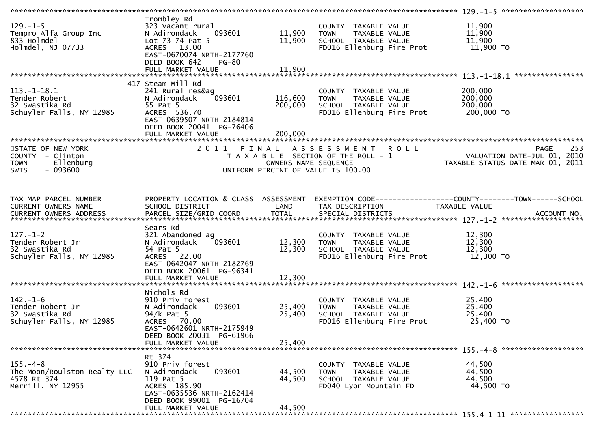| $129. - 1 - 5$<br>Tempro Alfa Group Inc<br>833 Holmdel<br>Holmdel, NJ 07733                    | Trombley Rd<br>323 Vacant rural<br>093601<br>N Adirondack<br>Lot $73-74$ Pat 5<br>ACRES 13.00<br>EAST-0670074 NRTH-2177760<br>DEED BOOK 642<br><b>PG-80</b><br>FULL MARKET VALUE | 11,900<br>11,900<br>11,900    | COUNTY TAXABLE VALUE<br>TAXABLE VALUE<br><b>TOWN</b><br>SCHOOL TAXABLE VALUE<br>FD016 Ellenburg Fire Prot | 11,900<br>11,900<br>11,900<br>11,900 TO                                                                 |
|------------------------------------------------------------------------------------------------|----------------------------------------------------------------------------------------------------------------------------------------------------------------------------------|-------------------------------|-----------------------------------------------------------------------------------------------------------|---------------------------------------------------------------------------------------------------------|
|                                                                                                |                                                                                                                                                                                  |                               |                                                                                                           |                                                                                                         |
| $113.-1-18.1$<br>Tender Robert<br>32 Swastika Rd<br>Schuyler Falls, NY 12985                   | 417 Steam Mill Rd<br>241 Rural res&ag<br>093601<br>N Adirondack<br>55 Pat 5<br>ACRES 536.70<br>EAST-0639507 NRTH-2184814<br>DEED BOOK 20041 PG-76406<br>FULL MARKET VALUE        | 116,600<br>200,000<br>200,000 | COUNTY TAXABLE VALUE<br>TAXABLE VALUE<br><b>TOWN</b><br>SCHOOL TAXABLE VALUE<br>FD016 Ellenburg Fire Prot | 200,000<br>200,000<br>200,000<br>200,000 TO                                                             |
|                                                                                                |                                                                                                                                                                                  |                               |                                                                                                           |                                                                                                         |
| STATE OF NEW YORK<br>COUNTY - Clinton<br>- Ellenburg<br><b>TOWN</b><br><b>SWIS</b><br>- 093600 |                                                                                                                                                                                  | OWNERS NAME SEQUENCE          | 2011 FINAL ASSESSMENT ROLL<br>T A X A B L E SECTION OF THE ROLL - 1<br>UNIFORM PERCENT OF VALUE IS 100.00 | 253<br><b>PAGE</b><br>VALUATION DATE-JUL 01, 2010<br>TAXABLE STATUS DATE-MAR 01, 2011                   |
| TAX MAP PARCEL NUMBER                                                                          | PROPERTY LOCATION & CLASS ASSESSMENT                                                                                                                                             |                               |                                                                                                           | EXEMPTION CODE-----------------COUNTY--------TOWN------SCHOOL                                           |
| CURRENT OWNERS NAME                                                                            | SCHOOL DISTRICT                                                                                                                                                                  | LAND                          | TAX DESCRIPTION                                                                                           | TAXABLE VALUE<br>CURRENT OWNERS ADDRESS PARCEL SIZE/GRID COORD TOTAL SPECIAL DISTRICTS 700. ACCOUNT NO. |
| $127. - 1 - 2$<br>Tender Robert Jr<br>32 Swastika Rd<br>Schuyler Falls, NY 12985               | Sears Rd<br>321 Abandoned ag<br>093601<br>N Adirondack<br>54 Pat 5<br>ACRES 22.00<br>EAST-0642047 NRTH-2182769<br>DEED BOOK 20061 PG-96341                                       | 12,300<br>12,300              | COUNTY TAXABLE VALUE<br>TAXABLE VALUE<br><b>TOWN</b><br>SCHOOL TAXABLE VALUE<br>FD016 Ellenburg Fire Prot | 12,300<br>12,300<br>12,300<br>12,300 TO                                                                 |
|                                                                                                |                                                                                                                                                                                  |                               |                                                                                                           |                                                                                                         |
|                                                                                                |                                                                                                                                                                                  |                               |                                                                                                           |                                                                                                         |
| $142. - 1 - 6$<br>Tender Robert Jr<br>32 Swastika Rd<br>Schuyler Falls, NY 12985               | Nichols Rd<br>910 Priv forest<br>N Adirondack<br>093601<br>$94/k$ Pat 5<br>ACRES 70.00<br>EAST-0642601 NRTH-2175949<br>DEED BOOK 20031 PG-61966                                  | 25,400<br>25,400              | COUNTY TAXABLE VALUE<br>TAXABLE VALUE<br><b>TOWN</b><br>SCHOOL TAXABLE VALUE<br>FD016 Ellenburg Fire Prot | 25,400<br>25,400<br>25,400<br>25,400 TO                                                                 |
|                                                                                                | FULL MARKET VALUE                                                                                                                                                                | 25,400                        |                                                                                                           |                                                                                                         |
|                                                                                                |                                                                                                                                                                                  |                               |                                                                                                           |                                                                                                         |
| $155. - 4 - 8$<br>The Moon/Roulston Realty LLC<br>4578 Rt 374<br>Merrill, NY 12955             | Rt 374<br>910 Priv forest<br>N Adirondack<br>093601<br>119 Pat 5<br>ACRES 185.90<br>EAST-0635536 NRTH-2162414<br>DEED BOOK 99001 PG-16704                                        | 44,500<br>44,500              | COUNTY TAXABLE VALUE<br>TAXABLE VALUE<br><b>TOWN</b><br>SCHOOL TAXABLE VALUE<br>FD040 Lyon Mountain FD    | 44,500<br>44,500<br>44,500<br>44,500 TO                                                                 |
|                                                                                                | FULL MARKET VALUE                                                                                                                                                                | 44,500                        |                                                                                                           |                                                                                                         |
|                                                                                                |                                                                                                                                                                                  |                               |                                                                                                           |                                                                                                         |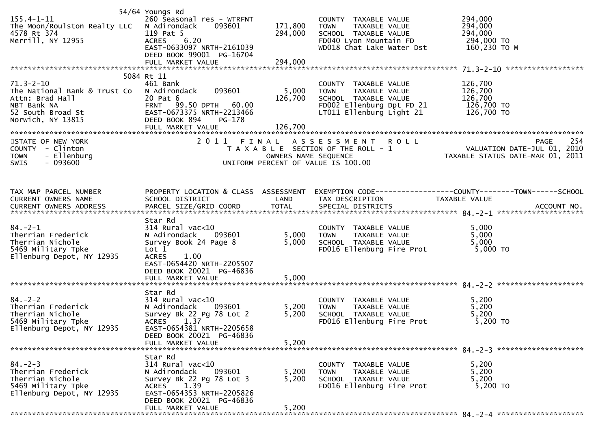| $155.4 - 1 - 11$<br>The Moon/Roulston Realty LLC N Adirondack<br>4578 Rt 374<br>4578 Rt 374<br>Merrill, NY 12955                                                                                | 54/64 Youngs Rd<br>260 Seasonal res - WTRFNT<br>093601<br>119 Pat 5<br>ACRES 6.20<br>EAST-0633097 NRTH-2161039<br>DEED BOOK 99001 PG-16704                                              | 171,800<br>294,000<br>294,000 | COUNTY TAXABLE VALUE<br><b>TOWN</b><br>TAXABLE VALUE<br>SCHOOL TAXABLE VALUE<br>FD040 Lyon Mountain FD<br>WD018 Chat Lake Water Dst 160,230 TO M | 294,000<br>294,000<br>294,000<br>294,000 TO                                                                                                                            |
|-------------------------------------------------------------------------------------------------------------------------------------------------------------------------------------------------|-----------------------------------------------------------------------------------------------------------------------------------------------------------------------------------------|-------------------------------|--------------------------------------------------------------------------------------------------------------------------------------------------|------------------------------------------------------------------------------------------------------------------------------------------------------------------------|
|                                                                                                                                                                                                 | 5084 Rt 11                                                                                                                                                                              |                               |                                                                                                                                                  |                                                                                                                                                                        |
| $71.3 - 2 - 10$<br>The National Bank & Trust Co<br>Attn: Brad Hall<br>NBT Bank NA<br>S2 South Broad St<br>Norwich, NY 13815<br>Norwich, NY 13815<br>CHE DREED BOOK 894<br>CHE MORKE MALL PG-178 | 461 Bank<br>093601<br>N Adirondack                                                                                                                                                      | 5,000<br>126,700<br>126,700   | COUNTY TAXABLE VALUE<br>LT011 Ellenburg Light 21 126,700 TO                                                                                      | 126,700                                                                                                                                                                |
|                                                                                                                                                                                                 |                                                                                                                                                                                         |                               |                                                                                                                                                  |                                                                                                                                                                        |
| STATE OF NEW YORK<br>COUNTY - Clinton<br><b>TOWN</b><br>- Ellenburg<br>$-093600$<br>SWIS                                                                                                        |                                                                                                                                                                                         |                               | 2011 FINAL ASSESSMENT ROLL<br>UNIFORM PERCENT OF VALUE IS 100.00                                                                                 | 254<br><b>PAGE</b><br>I FINAL ASSESSMENT ROLL<br>TAXABLE SECTION OF THE ROLL - 1 VALUATION DATE-JUL 01, 2010<br>OWNERS NAME SEQUENCE  TAXABLE STATUS DATE-MAR 01, 2011 |
| TAX MAP PARCEL NUMBER<br>CURRENT OWNERS NAME                                                                                                                                                    | SCHOOL DISTRICT                                                                                                                                                                         | LAND                          | TAX DESCRIPTION                                                                                                                                  | PROPERTY LOCATION & CLASS ASSESSMENT EXEMPTION CODE----------------COUNTY-------TOWN------SCHOOL<br>TAXABLE VALUE                                                      |
| $84 - 2 - 1$<br>Therrian Frederick<br>Therrian Nichole<br>5469 Military Tpke<br>Ellenburg Depot, NY 12935                                                                                       | Star Rd<br>vac<10<br>N Adirondack    093601<br>Survey Book 24 Boos °<br>Survey Book 24 Page 8<br>Lot 1<br><b>ACRES</b><br>1.00<br>EAST-0654420 NRTH-2205507<br>DEED BOOK 20021 PG-46836 | 5,000<br>5,000                | COUNTY TAXABLE VALUE<br>TOWN      TAXABLE VALUE<br>SCHOOL TAXABLE VALUE<br>FD016 Ellenburg Fire Prot                                             | 5,000<br>5,000<br>5,000<br>5,000 TO                                                                                                                                    |
|                                                                                                                                                                                                 | Star Rd                                                                                                                                                                                 |                               |                                                                                                                                                  |                                                                                                                                                                        |
| $84.-2-2$<br>Therrian Frederick<br>Therrian Nichole<br>5469 Military Tpke<br>Ellenburg Depot, NY 12935                                                                                          | 314 Rural vac<10<br>N Adirondack<br>093601<br>Survey Bk 22 Pg 78 Lot 2<br>ACRES 1.37<br>EAST-0654381 NRTH-2205658<br>DEED BOOK 20021 PG-46836<br>FULL MARKET VALUE                      | 5,200<br>5,200<br>5,200       | COUNTY TAXABLE VALUE<br><b>TOWN</b><br>TAXABLE VALUE<br>SCHOOL TAXABLE VALUE<br>FD016 Ellenburg Fire Prot                                        | 5,200<br>5,200<br>5,200<br>5,200 TO                                                                                                                                    |
|                                                                                                                                                                                                 |                                                                                                                                                                                         |                               |                                                                                                                                                  |                                                                                                                                                                        |
| $84. - 2 - 3$<br>Therrian Frederick<br>Therrian Nichole<br>5469 Military Tpke<br>Ellenburg Depot, NY 12935                                                                                      | Star Rd<br>314 Rural vac<10<br>N Adirondack<br>093601<br>Survey Bk 22 Pg 78 Lot 3<br>1.39<br>ACRES<br>EAST-0654353 NRTH-2205826<br>DEED BOOK 20021 PG-46836                             | 5,200<br>5,200                | COUNTY TAXABLE VALUE<br><b>TOWN</b><br>TAXABLE VALUE<br>SCHOOL TAXABLE VALUE<br>FD016 Ellenburg Fire Prot                                        | 5,200<br>5,200<br>5,200<br>5,200 TO                                                                                                                                    |
|                                                                                                                                                                                                 | FULL MARKET VALUE                                                                                                                                                                       | 5,200                         |                                                                                                                                                  |                                                                                                                                                                        |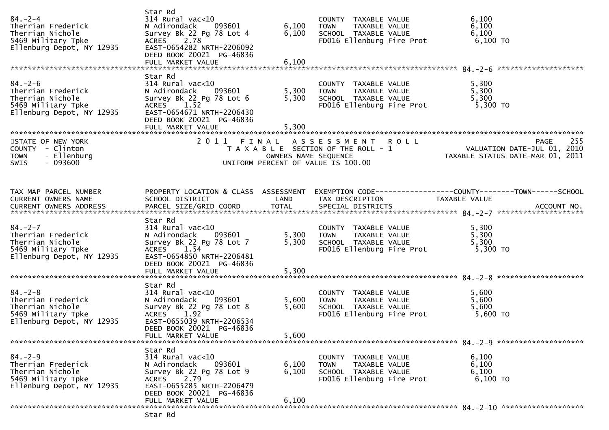| $84 - 2 - 4$<br>Therrian Frederick<br>Therrian Nichole<br>5469 Military Tpke<br>Ellenburg Depot, NY 12935  | Star Rd<br>314 Rural vac<10<br>N Adirondack 093601<br>Survey Bk 22 Pg 78 Lot 4<br>ACRES 2.78<br>EAST-0654282 NRTH-2206092<br>DEED BOOK 20021 PG-46836<br>FULL MARKET VALUE         | 6,100<br>6,100<br>6,100 | COUNTY TAXABLE VALUE<br><b>TOWN</b><br>TAXABLE VALUE<br>SCHOOL TAXABLE VALUE<br>FD016 Ellenburg Fire Prot           | 6,100<br>6,100<br>6,100<br>$6,100$ TO                                                                                                                                                                               |
|------------------------------------------------------------------------------------------------------------|------------------------------------------------------------------------------------------------------------------------------------------------------------------------------------|-------------------------|---------------------------------------------------------------------------------------------------------------------|---------------------------------------------------------------------------------------------------------------------------------------------------------------------------------------------------------------------|
| $84. - 2 - 6$<br>Therrian Frederick<br>Therrian Nichole<br>5469 Military Tpke<br>Ellenburg Depot, NY 12935 | Star Rd<br>$314$ Rural vac<10<br>N Adirondack 093601<br>Survey Bk 22 Pg 78 Lot 6<br>ACRES 1.52<br>EAST-0654671 NRTH-2206430<br>DEED BOOK 20021 PG-46836<br>FULL MARKET VALUE       | 5,300<br>5,300<br>5,300 | COUNTY TAXABLE VALUE<br>TAXABLE VALUE<br><b>TOWN</b><br>SCHOOL TAXABLE VALUE<br>FD016 Ellenburg Fire Prot           | 5,300<br>5,300<br>5,300<br>5,300 TO                                                                                                                                                                                 |
| STATE OF NEW YORK<br>COUNTY - Clinton<br>- Ellenburg<br><b>TOWN</b><br>$-093600$<br>SWIS                   |                                                                                                                                                                                    | OWNERS NAME SEQUENCE    | 2011 FINAL ASSESSMENT<br><b>ROLL</b><br>T A X A B L E SECTION OF THE ROLL - 1<br>UNIFORM PERCENT OF VALUE IS 100.00 | 255<br><b>PAGE</b><br>rase 233<br>2010 VALUATION DATE-JUL 01, 2010<br>2011 TAXABLE STATUS DATE-MAR 01,                                                                                                              |
| TAX MAP PARCEL NUMBER<br>CURRENT OWNERS NAME                                                               | SCHOOL DISTRICT                                                                                                                                                                    | LAND                    | TAX DESCRIPTION                                                                                                     | PROPERTY LOCATION & CLASS ASSESSMENT EXEMPTION CODE----------------COUNTY-------TOWN------SCHOOL<br>TAXABLE VALUE<br>CURRENT OWNERS ADDRESS FARCEL SIZE/GRID COORD TOTAL SPECIAL DISTRICTS (2019) 2013 MACCOUNT NO. |
| $84 - 2 - 7$<br>Therrian Frederick<br>Therrian Nichole<br>5469 Military Tpke<br>Ellenburg Depot, NY 12935  | Star Rd<br>$314$ Rural vac< $10$<br>N Adirondack<br>093601<br>Survey Bk 22 Pg 78 Lot 7<br>ACRES 1.54<br>EAST-0654850 NRTH-2206481<br>DEED BOOK 20021 PG-46836<br>FULL MARKET VALUE | 5,300<br>5,300<br>5,300 | COUNTY TAXABLE VALUE<br>TAXABLE VALUE<br><b>TOWN</b><br>SCHOOL TAXABLE VALUE<br>FD016 Ellenburg Fire Prot           | 5,300<br>5,300<br>5,300<br>5,300 TO                                                                                                                                                                                 |
| $84. - 2 - 8$<br>Therrian Frederick<br>Therrian Nichole<br>5469 Military Tpke<br>Ellenburg Depot, NY 12935 | Star Rd<br>$314$ Rural vac< $10$<br>093601<br>N Adirondack<br>Survey Bk 22 Pg 78 Lot 8<br>ACRES 1.92<br>EAST-0655039 NRTH-2206534<br>DEED BOOK 20021 PG-46836<br>FULL MARKET VALUE | 5,600<br>5,600<br>5,600 | COUNTY TAXABLE VALUE<br>TOWN<br>TAXABLE VALUE<br>SCHOOL TAXABLE VALUE<br>FD016 Ellenburg Fire Prot                  | 5,600<br>5,600<br>5,600<br>5,600 TO                                                                                                                                                                                 |
| $84. - 2 - 9$<br>Therrian Frederick<br>Therrian Nichole<br>5469 Military Tpke<br>Ellenburg Depot, NY 12935 | Star Rd<br>$314$ Rural vac<10<br>093601<br>N Adirondack<br>Survey Bk 22 Pg 78 Lot 9<br>2.79<br>ACRES<br>EAST-0655285 NRTH-2206479<br>DEED BOOK 20021 PG-46836<br>FULL MARKET VALUE | 6,100<br>6,100<br>6,100 | COUNTY TAXABLE VALUE<br><b>TOWN</b><br>TAXABLE VALUE<br>SCHOOL TAXABLE VALUE<br>FD016 Ellenburg Fire Prot           | 6,100<br>6,100<br>6,100<br>6,100 TO                                                                                                                                                                                 |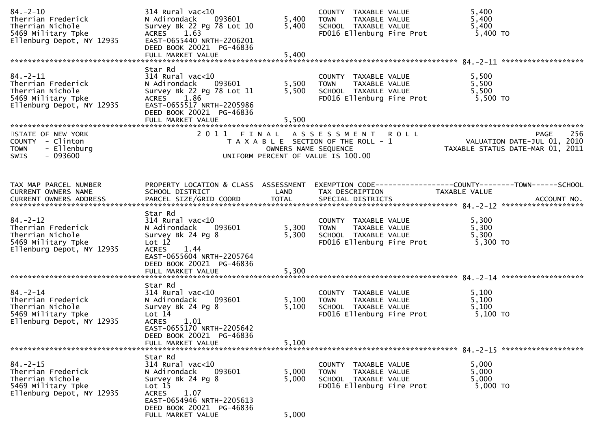| $84. - 2 - 10$<br>Therrian Frederick<br>Therrian Nichole<br>5469 Military Tpke<br>Ellenburg Depot, NY 12935 | 314 Rural vac<10<br>093601<br>N Adirondack<br>Survey Bk 22 Pg 78 Lot 10<br>ACRES 1.63<br>EAST-0655440 NRTH-2206201<br>DEED BOOK 20021 PG-46836<br>FULL MARKET VALUE                             | 5,400<br>5,400<br>5,400 | COUNTY TAXABLE VALUE<br>TAXABLE VALUE<br>TOWN<br>SCHOOL TAXABLE VALUE<br>FD016 Ellenburg Fire Prot        | 5,400<br>5,400<br>5,400<br>5,400 TO                                                                               |
|-------------------------------------------------------------------------------------------------------------|-------------------------------------------------------------------------------------------------------------------------------------------------------------------------------------------------|-------------------------|-----------------------------------------------------------------------------------------------------------|-------------------------------------------------------------------------------------------------------------------|
| $84. - 2 - 11$<br>Therrian Frederick<br>Therrian Nichole<br>5469 Military Tpke<br>Ellenburg Depot, NY 12935 | Star Rd<br>$314$ Rural vac<10<br>N Adirondack<br>093601<br>Survey Bk 22 Pg 78 Lot 11<br>ACRES 1.86<br>EAST-0655517 NRTH-2205986<br>DEED BOOK 20021 PG-46836<br>FULL MARKET VALUE                | 5,500<br>5,500<br>5,500 | COUNTY TAXABLE VALUE<br>TAXABLE VALUE<br><b>TOWN</b><br>SCHOOL TAXABLE VALUE<br>FD016 Ellenburg Fire Prot | 5,500<br>5,500<br>5,500<br>5,500 TO                                                                               |
| STATE OF NEW YORK<br>COUNTY - Clinton<br>- Ellenburg<br><b>TOWN</b><br>$-093600$<br>SWIS                    |                                                                                                                                                                                                 | OWNERS NAME SEQUENCE    | 2011 FINAL ASSESSMENT ROLL<br>T A X A B L E SECTION OF THE ROLL - 1<br>UNIFORM PERCENT OF VALUE IS 100.00 | 256<br><b>PAGE</b><br>VALUATION DATE-JUL 01, 2010<br>TAXABLE STATUS DATE-MAR 01, 2011                             |
| TAX MAP PARCEL NUMBER<br>CURRENT OWNERS NAME                                                                | SCHOOL DISTRICT                                                                                                                                                                                 | LAND                    | TAX DESCRIPTION                                                                                           | PROPERTY LOCATION & CLASS ASSESSMENT EXEMPTION CODE----------------COUNTY-------TOWN------SCHOOL<br>TAXABLE VALUE |
| $84. - 2 - 12$<br>Therrian Frederick<br>Therrian Nichole<br>5469 Military Tpke<br>Ellenburg Depot, NY 12935 | Star Rd<br>$314$ Rural vac< $10$<br>N Adirondack<br>093601<br>Survey Bk 24 Pg 8<br>Lot 12<br><b>ACRES</b><br>1.44<br>EAST-0655604 NRTH-2205764<br>DEED BOOK 20021 PG-46836<br>FULL MARKET VALUE | 5,300<br>5,300<br>5,300 | COUNTY TAXABLE VALUE<br>TAXABLE VALUE<br><b>TOWN</b><br>SCHOOL TAXABLE VALUE<br>FD016 Ellenburg Fire Prot | 5,300<br>5,300<br>5,300<br>5,300 TO                                                                               |
| $84. - 2 - 14$<br>Therrian Frederick<br>Therrian Nichole<br>5469 Military Tpke<br>Ellenburg Depot, NY 12935 | Star Rd<br>$314$ Rural vac< $10$<br>093601<br>N Adirondack<br>Survey Bk 24 Pg 8<br>Lot 14<br><b>ACRES</b><br>1.01<br>EAST-0655170 NRTH-2205642<br>DEED BOOK 20021 PG-46836<br>FULL MARKET VALUE | 5,100<br>5,100<br>5,100 | COUNTY TAXABLE VALUE<br>TAXABLE VALUE<br><b>TOWN</b><br>SCHOOL TAXABLE VALUE<br>FD016 Ellenburg Fire Prot | 5,100<br>5,100<br>5,100<br>5,100 TO                                                                               |
| $84. - 2 - 15$<br>Therrian Frederick<br>Therrian Nichole<br>5469 Military Tpke<br>Ellenburg Depot, NY 12935 | Star Rd<br>$314$ Rural vac<10<br>093601<br>N Adirondack<br>Survey Bk 24 Pg 8<br>Lot 15<br><b>ACRES</b><br>1.07<br>EAST-0654946 NRTH-2205613<br>DEED BOOK 20021 PG-46836<br>FULL MARKET VALUE    | 5,000<br>5,000<br>5,000 | COUNTY TAXABLE VALUE<br><b>TOWN</b><br>TAXABLE VALUE<br>SCHOOL TAXABLE VALUE<br>FD016 Ellenburg Fire Prot | 5,000<br>5,000<br>5,000<br>5,000 TO                                                                               |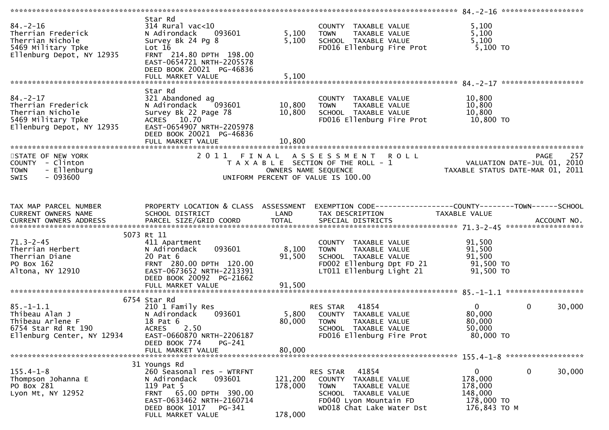| Star Rd<br>$84. - 2 - 16$<br>5,100<br>$314$ Rural vac<10<br>COUNTY TAXABLE VALUE<br>5,100<br>Therrian Frederick<br>093601<br>5,100<br>N Adirondack<br><b>TOWN</b><br>TAXABLE VALUE<br>Therrian Nichole<br>5,100<br>Survey Bk 24 Pg 8<br>5,100<br>SCHOOL TAXABLE VALUE<br>5,100 TO<br>5469 Military Tpke<br>Lot 16<br>FD016 Ellenburg Fire Prot<br>Ellenburg Depot, NY 12935<br>FRNT 214.80 DPTH 198.00<br>EAST-0654721 NRTH-2205578<br>DEED BOOK 20021 PG-46836<br>Star Rd<br>$84. - 2 - 17$<br>321 Abandoned ag<br>10,800<br>COUNTY TAXABLE VALUE<br>10,800<br>10,800<br>093601<br>Therrian Frederick<br>N Adirondack<br>TAXABLE VALUE<br><b>TOWN</b><br>10,800<br>Therrian Nichole<br>10,800<br>SCHOOL TAXABLE VALUE<br>Survey Bk 22 Page 78<br>5469 Military Tpke<br>ACRES 10.70<br>FD016 Ellenburg Fire Prot<br>10,800 TO<br>Ellenburg Depot, NY 12935<br>EAST-0654907 NRTH-2205978<br>DEED BOOK 20021 PG-46836<br>FULL MARKET VALUE<br>10,800<br>STATE OF NEW YORK<br>2011 FINAL ASSESSMENT ROLL<br>257<br>PAGE<br>VALUATION DATE-JUL 01, 2010<br>TAXABLE STATUS DATE-MAR 01, 2011<br>COUNTY - Clinton<br>T A X A B L E SECTION OF THE ROLL - 1<br>- Ellenburg<br><b>TOWN</b><br>OWNERS NAME SEQUENCE<br>- 093600<br><b>SWIS</b><br>UNIFORM PERCENT OF VALUE IS 100.00<br>TAX MAP PARCEL NUMBER<br>PROPERTY LOCATION & CLASS ASSESSMENT<br>EXEMPTION CODE-----------------COUNTY--------TOWN-----SCHOOL<br>CURRENT OWNERS NAME<br>SCHOOL DISTRICT<br>LAND<br>TAX DESCRIPTION<br>TAXABLE VALUE<br>5073 Rt 11<br>$71.3 - 2 - 45$<br>91,500<br>411 Apartment<br>COUNTY TAXABLE VALUE<br>093601<br>8,100<br>91,500<br>Therrian Herbert<br><b>TOWN</b><br>TAXABLE VALUE<br>N Adirondack<br>91,500<br>91,500<br>Therrian Diane<br>20 Pat 6<br>SCHOOL TAXABLE VALUE<br>FD002 Ellenburg Dpt FD 21<br>91,500 TO<br>PO Box 162<br>FRNT 280.00 DPTH 120.00<br>Altona, NY 12910<br>EAST-0673652 NRTH-2213391<br>LT011 Ellenburg Light 21<br>91,500 TO<br>DEED BOOK 20092 PG-21662<br>91,500<br>FULL MARKET VALUE<br>6754 Star Rd |
|---------------------------------------------------------------------------------------------------------------------------------------------------------------------------------------------------------------------------------------------------------------------------------------------------------------------------------------------------------------------------------------------------------------------------------------------------------------------------------------------------------------------------------------------------------------------------------------------------------------------------------------------------------------------------------------------------------------------------------------------------------------------------------------------------------------------------------------------------------------------------------------------------------------------------------------------------------------------------------------------------------------------------------------------------------------------------------------------------------------------------------------------------------------------------------------------------------------------------------------------------------------------------------------------------------------------------------------------------------------------------------------------------------------------------------------------------------------------------------------------------------------------------------------------------------------------------------------------------------------------------------------------------------------------------------------------------------------------------------------------------------------------------------------------------------------------------------------------------------------------------------------------------------------------------------------------------------------------------------------------------------------------------|
|                                                                                                                                                                                                                                                                                                                                                                                                                                                                                                                                                                                                                                                                                                                                                                                                                                                                                                                                                                                                                                                                                                                                                                                                                                                                                                                                                                                                                                                                                                                                                                                                                                                                                                                                                                                                                                                                                                                                                                                                                           |
|                                                                                                                                                                                                                                                                                                                                                                                                                                                                                                                                                                                                                                                                                                                                                                                                                                                                                                                                                                                                                                                                                                                                                                                                                                                                                                                                                                                                                                                                                                                                                                                                                                                                                                                                                                                                                                                                                                                                                                                                                           |
|                                                                                                                                                                                                                                                                                                                                                                                                                                                                                                                                                                                                                                                                                                                                                                                                                                                                                                                                                                                                                                                                                                                                                                                                                                                                                                                                                                                                                                                                                                                                                                                                                                                                                                                                                                                                                                                                                                                                                                                                                           |
|                                                                                                                                                                                                                                                                                                                                                                                                                                                                                                                                                                                                                                                                                                                                                                                                                                                                                                                                                                                                                                                                                                                                                                                                                                                                                                                                                                                                                                                                                                                                                                                                                                                                                                                                                                                                                                                                                                                                                                                                                           |
|                                                                                                                                                                                                                                                                                                                                                                                                                                                                                                                                                                                                                                                                                                                                                                                                                                                                                                                                                                                                                                                                                                                                                                                                                                                                                                                                                                                                                                                                                                                                                                                                                                                                                                                                                                                                                                                                                                                                                                                                                           |
|                                                                                                                                                                                                                                                                                                                                                                                                                                                                                                                                                                                                                                                                                                                                                                                                                                                                                                                                                                                                                                                                                                                                                                                                                                                                                                                                                                                                                                                                                                                                                                                                                                                                                                                                                                                                                                                                                                                                                                                                                           |
|                                                                                                                                                                                                                                                                                                                                                                                                                                                                                                                                                                                                                                                                                                                                                                                                                                                                                                                                                                                                                                                                                                                                                                                                                                                                                                                                                                                                                                                                                                                                                                                                                                                                                                                                                                                                                                                                                                                                                                                                                           |
|                                                                                                                                                                                                                                                                                                                                                                                                                                                                                                                                                                                                                                                                                                                                                                                                                                                                                                                                                                                                                                                                                                                                                                                                                                                                                                                                                                                                                                                                                                                                                                                                                                                                                                                                                                                                                                                                                                                                                                                                                           |
|                                                                                                                                                                                                                                                                                                                                                                                                                                                                                                                                                                                                                                                                                                                                                                                                                                                                                                                                                                                                                                                                                                                                                                                                                                                                                                                                                                                                                                                                                                                                                                                                                                                                                                                                                                                                                                                                                                                                                                                                                           |
| $\overline{0}$<br>$\mathbf 0$<br>$85. - 1 - 1.1$<br>41854<br>30,000<br>210 1 Family Res<br>RES STAR<br>80,000<br>Thibeau Alan J<br>N Adirondack<br>093601<br>5,800<br>COUNTY TAXABLE VALUE<br>80,000<br>Thibeau Arlene F<br>18 Pat 6<br>80,000<br><b>TOWN</b><br>TAXABLE VALUE<br>2.50<br>50,000<br>6754 Star Rd Rt 190<br><b>ACRES</b><br>SCHOOL TAXABLE VALUE<br>80,000 TO<br>Ellenburg Center, NY 12934<br>FD016 Ellenburg Fire Prot<br>EAST-0660870 NRTH-2206187<br>PG-241                                                                                                                                                                                                                                                                                                                                                                                                                                                                                                                                                                                                                                                                                                                                                                                                                                                                                                                                                                                                                                                                                                                                                                                                                                                                                                                                                                                                                                                                                                                                            |
| DEED BOOK 774<br>80,000<br>FULL MARKET VALUE                                                                                                                                                                                                                                                                                                                                                                                                                                                                                                                                                                                                                                                                                                                                                                                                                                                                                                                                                                                                                                                                                                                                                                                                                                                                                                                                                                                                                                                                                                                                                                                                                                                                                                                                                                                                                                                                                                                                                                              |
|                                                                                                                                                                                                                                                                                                                                                                                                                                                                                                                                                                                                                                                                                                                                                                                                                                                                                                                                                                                                                                                                                                                                                                                                                                                                                                                                                                                                                                                                                                                                                                                                                                                                                                                                                                                                                                                                                                                                                                                                                           |
| 31 Youngs Rd<br>$\mathbf 0$<br>$155.4 - 1 - 8$<br>$\mathbf{0}$<br>30,000<br>260 Seasonal res - WTRFNT<br>RES STAR 41854<br>121,200<br>178,000<br>Thompson Johanna E<br>N Adirondack<br>093601<br>COUNTY TAXABLE VALUE<br>PO Box 281<br>119 Pat 5<br>178,000<br>TAXABLE VALUE<br>178,000<br>TOWN<br>FRNT 65.00 DPTH 390.00<br>148,000<br>Lyon Mt, NY 12952<br>SCHOOL TAXABLE VALUE<br>EAST-0633462 NRTH-2160714<br>FD040 Lyon Mountain FD<br>178,000 TO<br>DEED BOOK 1017<br>WD018 Chat Lake Water Dst<br>176,843 ТО М<br>PG-341<br>178,000<br>FULL MARKET VALUE                                                                                                                                                                                                                                                                                                                                                                                                                                                                                                                                                                                                                                                                                                                                                                                                                                                                                                                                                                                                                                                                                                                                                                                                                                                                                                                                                                                                                                                           |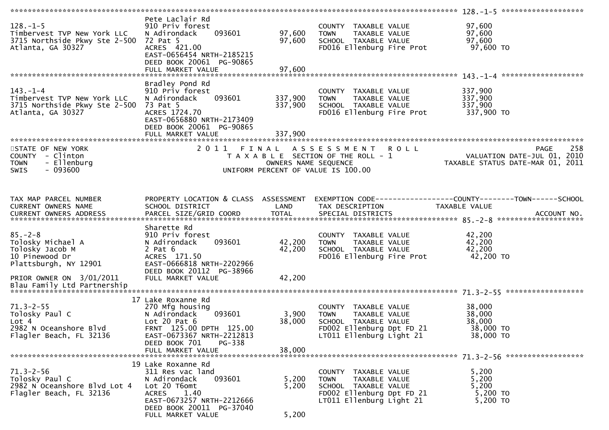| $128. - 1 - 5$<br>Timbervest TVP New York LLC<br>3715 Northside Pkwy Ste 2-500<br>Atlanta, GA 30327 | Pete Laclair Rd<br>910 Priv forest<br>093601<br>N Adirondack<br>72 Pat 5<br>ACRES 421.00<br>EAST-0656454 NRTH-2185215<br>DEED BOOK 20061 PG-90865<br>FULL MARKET VALUE          | 97,600<br>97,600<br>97,600 | COUNTY TAXABLE VALUE<br>TAXABLE VALUE<br><b>TOWN</b><br>SCHOOL TAXABLE VALUE<br>FD016 Ellenburg Fire Prot                             | 97,600<br>97,600<br>97,600<br>97,600 TO                                        |     |
|-----------------------------------------------------------------------------------------------------|---------------------------------------------------------------------------------------------------------------------------------------------------------------------------------|----------------------------|---------------------------------------------------------------------------------------------------------------------------------------|--------------------------------------------------------------------------------|-----|
|                                                                                                     |                                                                                                                                                                                 |                            |                                                                                                                                       |                                                                                |     |
| $143. - 1 - 4$<br>Timbervest TVP New York LLC<br>3715 Northside Pkwy Ste 2-500<br>Atlanta, GA 30327 | Bradley Pond Rd<br>910 Priv forest<br>093601<br>N Adirondack<br>73 Pat 5<br>ACRES 1724.70<br>EAST-0656880 NRTH-2173409<br>DEED BOOK 20061 PG-90865                              | 337,900<br>337,900         | COUNTY TAXABLE VALUE<br>TAXABLE VALUE<br>TOWN<br>SCHOOL TAXABLE VALUE<br>FD016 Ellenburg Fire Prot                                    | 337,900<br>337,900<br>337,900<br>337,900 TO                                    |     |
|                                                                                                     |                                                                                                                                                                                 |                            |                                                                                                                                       |                                                                                |     |
| STATE OF NEW YORK<br>COUNTY - Clinton<br>- Ellenburg<br><b>TOWN</b><br>SWIS<br>- 093600             |                                                                                                                                                                                 | OWNERS NAME SEQUENCE       | 2011 FINAL ASSESSMENT ROLL<br>T A X A B L E SECTION OF THE ROLL - 1<br>UNIFORM PERCENT OF VALUE IS 100.00                             | <b>PAGE</b><br>VALUATION DATE-JUL 01, 2010<br>TAXABLE STATUS DATE-MAR 01, 2011 | 258 |
|                                                                                                     |                                                                                                                                                                                 |                            |                                                                                                                                       |                                                                                |     |
| TAX MAP PARCEL NUMBER<br>CURRENT OWNERS NAME                                                        | PROPERTY LOCATION & CLASS ASSESSMENT<br>SCHOOL DISTRICT                                                                                                                         | LAND                       | EXEMPTION CODE------------------COUNTY--------TOWN------SCHOOL<br>TAX DESCRIPTION                                                     | TAXABLE VALUE                                                                  |     |
|                                                                                                     | Sharette Rd                                                                                                                                                                     |                            |                                                                                                                                       |                                                                                |     |
| $85. - 2 - 8$<br>Tolosky Michael A<br>Tolosky Jacob M<br>10 Pinewood Dr<br>Plattsburgh, NY 12901    | 910 Priv forest<br>093601<br>N Adirondack<br>$2$ Pat $6$<br>ACRES 171.50<br>EAST-0666818 NRTH-2202966<br>DEED BOOK 20112 PG-38966                                               | 42,200<br>42,200           | COUNTY TAXABLE VALUE<br><b>TOWN</b><br>TAXABLE VALUE<br>SCHOOL TAXABLE VALUE<br>FD016 Ellenburg Fire Prot                             | 42,200<br>42,200<br>42,200<br>42,200 TO                                        |     |
| PRIOR OWNER ON 3/01/2011                                                                            | FULL MARKET VALUE                                                                                                                                                               | 42,200                     |                                                                                                                                       |                                                                                |     |
| Blau Family Ltd Partnership                                                                         |                                                                                                                                                                                 |                            |                                                                                                                                       |                                                                                |     |
|                                                                                                     |                                                                                                                                                                                 |                            |                                                                                                                                       |                                                                                |     |
| $71.3 - 2 - 55$<br>Tolosky Paul C<br>Lot 4<br>2982 N Oceanshore Blvd<br>Flagler Beach, FL 32136     | 17 Lake Roxanne Rd<br>270 Mfg housing<br>N Adirondack<br>093601<br>Lot $20$ Pat $6$<br>FRNT 125.00 DPTH 125.00<br>EAST-0673367 NRTH-2212813<br>PG-338<br>DEED BOOK 701          | 3,900<br>38,000            | COUNTY TAXABLE VALUE<br>TAXABLE VALUE<br>TOWN<br>SCHOOL TAXABLE VALUE<br>FD002 Ellenburg Dpt FD 21<br>LT011 Ellenburg Light 21        | 38,000<br>38,000<br>38,000<br>38,000 TO<br>38,000 TO                           |     |
|                                                                                                     | FULL MARKET VALUE                                                                                                                                                               | 38,000                     |                                                                                                                                       |                                                                                |     |
|                                                                                                     |                                                                                                                                                                                 |                            |                                                                                                                                       |                                                                                |     |
| $71.3 - 2 - 56$<br>Tolosky Paul C<br>2982 N Oceanshore Blvd Lot 4<br>Flagler Beach, FL 32136        | 19 Lake Roxanne Rd<br>311 Res vac land<br>093601<br>N Adirondack<br>Lot 20 T6omt<br>1.40<br>ACRES<br>EAST-0673257 NRTH-2212666<br>DEED BOOK 20011 PG-37040<br>FULL MARKET VALUE | 5,200<br>5,200<br>5,200    | COUNTY TAXABLE VALUE<br>TAXABLE VALUE<br><b>TOWN</b><br>SCHOOL TAXABLE VALUE<br>FD002 Ellenburg Dpt FD 21<br>LT011 Ellenburg Light 21 | 5,200<br>5,200<br>5,200<br>5,200 TO<br>5,200 TO                                |     |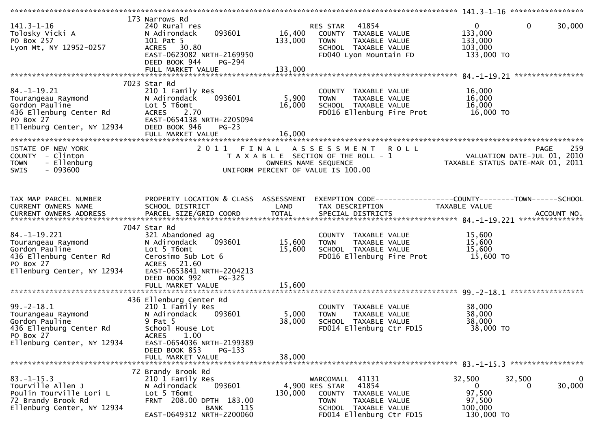| $141.3 - 1 - 16$<br>Tolosky Vicki A<br>PO Box 257<br>Lyon Mt, NY 12952-0257                                                     | 173 Narrows Rd<br>240 Rural res<br>093601<br>N Adirondack<br>101 Pat 5<br>ACRES 30.80<br>EAST-0623082 NRTH-2169950<br>DEED BOOK 944<br>PG-294<br>FULL MARKET VALUE | 16,400<br>133,000<br>133,000 | 41854<br>RES STAR<br>COUNTY TAXABLE VALUE<br><b>TOWN</b><br>TAXABLE VALUE<br>SCHOOL TAXABLE VALUE<br>FD040 Lyon Mountain FD                               | $\mathbf{0}$<br>$\mathbf{0}$<br>133,000<br>133,000<br>103,000<br>133,000 TO          | 30,000      |
|---------------------------------------------------------------------------------------------------------------------------------|--------------------------------------------------------------------------------------------------------------------------------------------------------------------|------------------------------|-----------------------------------------------------------------------------------------------------------------------------------------------------------|--------------------------------------------------------------------------------------|-------------|
|                                                                                                                                 |                                                                                                                                                                    |                              |                                                                                                                                                           |                                                                                      |             |
| $84. - 1 - 19.21$<br>Tourangeau Raymond<br>Gordon Pauline<br>436 Ellenburg Center Rd<br>PO Box 27<br>Ellenburg Center, NY 12934 | 7023 Star Rd<br>210 1 Family Res<br>N Adirondack<br>093601<br>Lot 5 T6omt<br><b>ACRES</b><br>2.70<br>EAST-0654138 NRTH-2205094<br>DEED BOOK 946<br>$PG-23$         | 5,900<br>16,000              | COUNTY TAXABLE VALUE<br>TAXABLE VALUE<br><b>TOWN</b><br>SCHOOL TAXABLE VALUE<br>FD016 Ellenburg Fire Prot                                                 | 16,000<br>16,000<br>16,000<br>16,000 TO                                              |             |
|                                                                                                                                 |                                                                                                                                                                    |                              |                                                                                                                                                           |                                                                                      |             |
| STATE OF NEW YORK<br>COUNTY - Clinton<br>- Ellenburg<br><b>TOWN</b><br>$-093600$<br>SWIS                                        |                                                                                                                                                                    | OWNERS NAME SEQUENCE         | 2011 FINAL ASSESSMENT ROLL<br>T A X A B L E SECTION OF THE ROLL - 1<br>UNIFORM PERCENT OF VALUE IS 100.00                                                 | <b>PAGE</b><br>VALUATION DATE-JUL 01, 2010<br>TAXABLE STATUS DATE-MAR 01, 2011       | 259         |
|                                                                                                                                 |                                                                                                                                                                    |                              |                                                                                                                                                           |                                                                                      |             |
| TAX MAP PARCEL NUMBER<br>CURRENT OWNERS NAME                                                                                    | PROPERTY LOCATION & CLASS ASSESSMENT<br>SCHOOL DISTRICT                                                                                                            | LAND                         | TAX DESCRIPTION                                                                                                                                           | EXEMPTION CODE-----------------COUNTY-------TOWN------SCHOOL<br><b>TAXABLE VALUE</b> |             |
|                                                                                                                                 | 7047 Star Rd                                                                                                                                                       |                              |                                                                                                                                                           |                                                                                      |             |
| $84. -1 - 19.221$<br>Tourangeau Raymond<br>Gordon Pauline<br>436 Ellenburg Center Rd<br>PO Box 27<br>Ellenburg Center, NY 12934 | 321 Abandoned ag<br>093601<br>N Adirondack<br>Lot 5 T6omt<br>Cerosimo Sub Lot 6<br>ACRES 21.60<br>EAST-0653841 NRTH-2204213<br>DEED BOOK 992<br>$PG-325$           | 15,600<br>15,600             | COUNTY TAXABLE VALUE<br>TAXABLE VALUE<br><b>TOWN</b><br>SCHOOL TAXABLE VALUE<br>FD016 Ellenburg Fire Prot                                                 | 15,600<br>15,600<br>15,600<br>15,600 TO                                              |             |
|                                                                                                                                 | FULL MARKET VALUE                                                                                                                                                  | 15,600                       |                                                                                                                                                           |                                                                                      |             |
|                                                                                                                                 |                                                                                                                                                                    |                              |                                                                                                                                                           |                                                                                      |             |
| $99. - 2 - 18.1$<br>Tourangeau Raymond<br>Gordon Pauline<br>436 Ellenburg Center Rd<br>PO Box 27<br>Ellenburg Center, NY 12934  | 436 Ellenburg Center Rd<br>210 1 Family Res<br>N Adirondack<br>093601<br>9 Pat 5<br>School House Lot<br>1.00<br><b>ACRES</b><br>EAST-0654036 NRTH-2199389          | 5,000<br>38,000              | COUNTY TAXABLE VALUE<br>TAXABLE VALUE<br><b>TOWN</b><br>SCHOOL TAXABLE VALUE<br>FD014 Ellenburg Ctr FD15                                                  | 38,000<br>38,000<br>38,000<br>38,000 TO                                              |             |
|                                                                                                                                 | DEED BOOK 853<br>$PG-133$<br>FULL MARKET VALUE                                                                                                                     | 38,000                       |                                                                                                                                                           |                                                                                      |             |
|                                                                                                                                 | 72 Brandy Brook Rd                                                                                                                                                 |                              |                                                                                                                                                           |                                                                                      |             |
| $83. - 1 - 15.3$<br>Tourville Allen J<br>Poulin Tourville Lori L<br>72 Brandy Brook Rd<br>Ellenburg Center, NY 12934            | 210 1 Family Res<br>093601<br>N Adirondack<br>Lot 5 T6omt<br>FRNT 208.00 DPTH 183.00<br>115<br>BANK<br>EAST-0649312 NRTH-2200060                                   | 130,000                      | WARCOMALL 41131<br>41854<br>4,900 RES STAR<br>COUNTY<br>TAXABLE VALUE<br>TAXABLE VALUE<br><b>TOWN</b><br>SCHOOL TAXABLE VALUE<br>FD014 Ellenburg Ctr FD15 | 32,500<br>32,500<br>0<br>0<br>97,500<br>97,500<br>100,000<br>130,000 TO              | 0<br>30,000 |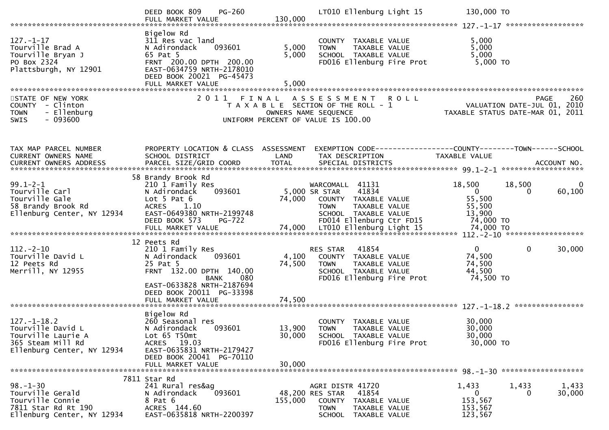|                                                                                                                 | <b>PG-260</b><br>DEED BOOK 809<br>FULL MARKET VALUE                                                                                                                                                  | 130,000                   | LT010 Ellenburg Light 15                                                                                                                              | 130,000 TO                                                          |                               |
|-----------------------------------------------------------------------------------------------------------------|------------------------------------------------------------------------------------------------------------------------------------------------------------------------------------------------------|---------------------------|-------------------------------------------------------------------------------------------------------------------------------------------------------|---------------------------------------------------------------------|-------------------------------|
| $127. - 1 - 17$<br>Tourville Brad A<br>Tourville Bryan J<br>PO Box 2324<br>Plattsburgh, NY 12901                | Bigelow Rd<br>311 Res vac land<br>093601<br>N Adirondack<br>65 Pat 5<br>FRNT 200.00 DPTH 200.00<br>EAST-0634759 NRTH-2178010<br>DEED BOOK 20021 PG-45473<br>FULL MARKET VALUE                        | 5,000<br>5,000<br>5.000   | COUNTY TAXABLE VALUE<br>TAXABLE VALUE<br><b>TOWN</b><br>SCHOOL TAXABLE VALUE<br>FD016 Ellenburg Fire Prot                                             | 5,000<br>5,000<br>5,000<br>5,000 TO                                 |                               |
| STATE OF NEW YORK<br>COUNTY - Clinton<br>- Ellenburg<br>TOWN<br>$-093600$<br><b>SWIS</b>                        | 2 0 1 1                                                                                                                                                                                              | FINAL                     | A S S E S S M E N T<br><b>ROLL</b><br>T A X A B L E SECTION OF THE ROLL - 1<br>OWNERS NAME SEQUENCE<br>UNIFORM PERCENT OF VALUE IS 100.00             | VALUATION DATE-JUL 01, 2010<br>TAXABLE STATUS DATE-MAR 01, 2011     | 260<br><b>PAGE</b>            |
| TAX MAP PARCEL NUMBER<br>CURRENT OWNERS NAME<br>CURRENT OWNERS ADDRESS                                          | PROPERTY LOCATION & CLASS ASSESSMENT<br>SCHOOL DISTRICT                                                                                                                                              | LAND                      | EXEMPTION CODE------------------COUNTY--------TOWN------SCHOOL<br>TAX DESCRIPTION                                                                     | TAXABLE VALUE                                                       |                               |
| $99.1 - 2 - 1$<br>Tourville Carl<br>Tourville Gale<br>58 Brandy Brook Rd<br>Ellenburg Center, NY 12934          | 58 Brandy Brook Rd<br>210 1 Family Res<br>093601<br>N Adirondack<br>Lot $5$ Pat $6$<br><b>ACRES</b><br>1.10<br>EAST-0649380 NRTH-2199748<br>DEED BOOK 573<br><b>PG-722</b>                           | 74,000                    | WARCOMALL 41131<br>41834<br>5,000 SR STAR<br>COUNTY TAXABLE VALUE<br>TAXABLE VALUE<br><b>TOWN</b><br>SCHOOL TAXABLE VALUE<br>FD014 Ellenburg Ctr FD15 | 18,500<br>$\overline{0}$<br>55,500<br>55,500<br>13,900<br>74,000 TO | 18,500<br>0<br>60,100<br>0    |
| $112 - 2 - 10$<br>Tourville David L<br>12 Peets Rd<br>Merrill, NY 12955                                         | 12 Peets Rd<br>210 1 Family Res<br>N Adirondack<br>093601<br>25 Pat 5<br>FRNT 132.00 DPTH 140.00<br>080<br><b>BANK</b><br>EAST-0633828 NRTH-2187694<br>DEED BOOK 20011 PG-33398<br>FULL MARKET VALUE | 4,100<br>74,500<br>74,500 | 41854<br>RES STAR<br>COUNTY TAXABLE VALUE<br>TAXABLE VALUE<br><b>TOWN</b><br>SCHOOL TAXABLE VALUE<br>FD016 Ellenburg Fire Prot                        | $\mathbf{0}$<br>74,500<br>74,500<br>44,500<br>74,500 TO             | $\mathbf{0}$<br>30,000        |
| $127. - 1 - 18.2$<br>Tourville David L<br>Tourville Laurie A<br>365 Steam Mill Rd<br>Ellenburg Center, NY 12934 | Bigelow Rd<br>260 Seasonal res<br>N Adirondack<br>093601<br>Lot 65 T50mt<br>ACRES 19.03<br>EAST-0635831 NRTH-2179427<br>DEED BOOK 20041 PG-70110<br>FULL MARKET VALUE                                | 30,000<br>30,000          | COUNTY TAXABLE VALUE<br>13,900 TOWN<br>TAXABLE VALUE<br>SCHOOL TAXABLE VALUE<br>FD016 Ellenburg Fire Prot                                             | 30,000<br>30,000<br>30,000<br>30,000 TO                             |                               |
| $98. - 1 - 30$<br>Tourville Gerald<br>Tourville Connie<br>7811 Star Rd Rt 190<br>Ellenburg Center, NY 12934     | 7811 Star Rd<br>241 Rural res&ag<br>093601<br>N Adirondack<br>8 Pat 6<br>ACRES 144.60<br>EAST-0635818 NRTH-2200397                                                                                   | 155,000                   | AGRI DISTR 41720<br>41854<br>48,200 RES STAR<br>COUNTY TAXABLE VALUE<br>TAXABLE VALUE<br>TOWN<br>SCHOOL TAXABLE VALUE                                 | 1,433<br>0<br>153,567<br>153,567<br>123,567                         | 1,433<br>1,433<br>30,000<br>0 |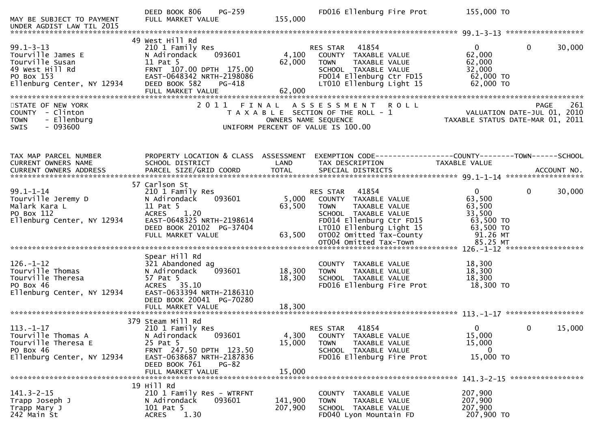| MAY BE SUBJECT TO PAYMENT<br>UNDER AGDIST LAW TIL 2015                                                                 | PG-259<br>DEED BOOK 806<br>FULL MARKET VALUE                                                                                                                                         | 155,000                    | FD016 Ellenburg Fire Prot                                                                                                                                                             | 155,000 TO                                                                         |                                              |
|------------------------------------------------------------------------------------------------------------------------|--------------------------------------------------------------------------------------------------------------------------------------------------------------------------------------|----------------------------|---------------------------------------------------------------------------------------------------------------------------------------------------------------------------------------|------------------------------------------------------------------------------------|----------------------------------------------|
|                                                                                                                        |                                                                                                                                                                                      |                            |                                                                                                                                                                                       |                                                                                    |                                              |
| $99.1 - 3 - 13$<br>Tourville James E<br>Tourville Susan<br>49 West Hill Rd<br>PO Box 153<br>Ellenburg Center, NY 12934 | 49 West Hill Rd<br>210 1 Family Res<br>093601<br>N Adirondack<br>11 Pat 5<br>FRNT 107.00 DPTH 175.00<br>EAST-0648342 NRTH-2198086<br>DEED BOOK 582<br>PG-418<br>FULL MARKET VALUE    | 4,100<br>62,000<br>62,000  | 41854<br><b>RES STAR</b><br>COUNTY TAXABLE VALUE<br>TAXABLE VALUE<br><b>TOWN</b><br>SCHOOL TAXABLE VALUE<br>FD014 Ellenburg Ctr FD15<br>LT010 Ellenburg Light 15                      | $\overline{0}$<br>62,000<br>62,000<br>32,000<br>62,000 TO<br>62,000 TO             | $\mathbf{0}$<br>30,000                       |
| STATE OF NEW YORK<br>COUNTY - Clinton<br>- Ellenburg<br><b>TOWN</b><br>$-093600$<br><b>SWIS</b>                        |                                                                                                                                                                                      |                            | 2011 FINAL ASSESSMENT ROLL<br>T A X A B L E SECTION OF THE ROLL - 1<br>OWNERS NAME SEQUENCE<br>UNIFORM PERCENT OF VALUE IS 100.00                                                     | PAGE 261<br>VALUATION DATE-JUL 01, 2010<br>TAXABLE STATUS DATE-MAR 01, 2011        |                                              |
| TAX MAP PARCEL NUMBER<br>CURRENT OWNERS NAME                                                                           | PROPERTY LOCATION & CLASS ASSESSMENT<br>SCHOOL DISTRICT                                                                                                                              | LAND                       | EXEMPTION CODE-----------------COUNTY-------TOWN------SCHOOL<br>TAX DESCRIPTION                                                                                                       | TAXABLE VALUE                                                                      |                                              |
| $99.1 - 1 - 14$<br>Tourville Jeremy D<br>Malark Kara L<br>PO Box 112<br>Ellenburg Center, NY 12934                     | 57 Carlson St<br>210 1 Family Res<br>093601<br>N Adirondack<br>11 Pat 5<br>ACRES 1.20<br>EAST-0648325 NRTH-2198614<br>DEED BOOK 20102 PG-37404<br>FULL MARKET VALUE                  | 5,000<br>63,500<br>63,500  | 41854<br>RES STAR<br>COUNTY TAXABLE VALUE<br><b>TOWN</b><br>TAXABLE VALUE<br>SCHOOL TAXABLE VALUE<br>FD014 Ellenburg Ctr FD15<br>LT010 Ellenburg Light 15<br>OT002 Omitted Tax-County | $\overline{0}$<br>63,500<br>63,500<br>33,500<br>63,500 TO<br>63,500 TO<br>91.26 MT | $\Omega$<br>30,000                           |
| $126. - 1 - 12$<br>Tourville Thomas<br>Tourville Theresa<br>PO Box 46<br>Ellenburg Center, NY 12934                    | Spear Hill Rd<br>321 Abandoned ag<br>093601<br>N Adirondack<br>57 Pat 5<br>ACRES 35.10<br>EAST-0633394 NRTH-2186310<br>DEED BOOK 20041 PG-70280<br>FULL MARKET VALUE                 | 18,300<br>18,300<br>18,300 | COUNTY TAXABLE VALUE<br>TAXABLE VALUE<br><b>TOWN</b><br>SCHOOL TAXABLE VALUE<br>FD016 Ellenburg Fire Prot                                                                             | 18,300<br>18,300<br>18,300<br>18,300 TO                                            |                                              |
| $113. - 1 - 17$<br>Tourville Thomas A<br>Tourville Theresa E<br>PO Box 46<br>Ellenburg Center, NY 12934                | 379 Steam Mill Rd<br>210 1 Family Res<br>093601<br>N Adirondack<br>25 Pat 5<br>FRNT 247.50 DPTH 123.50<br>EAST-0638687 NRTH-2187836<br>DEED BOOK 761<br>$PG-82$<br>FULL MARKET VALUE | 4,300<br>15,000<br>15,000  | 41854<br>RES STAR<br>COUNTY TAXABLE VALUE<br><b>TOWN</b><br>TAXABLE VALUE<br>SCHOOL TAXABLE VALUE<br>FD016 Ellenburg Fire Prot                                                        | $\mathbf{0}$<br>15,000<br>15,000<br>0<br>15,000 TO                                 | 15,000<br>0<br>141.3-2-15 ****************** |
| $141.3 - 2 - 15$<br>Trapp Joseph J<br>Trapp Mary J<br>242 Main St                                                      | 19 Hill Rd<br>210 1 Family Res - WTRFNT<br>093601<br>N Adirondack<br>101 Pat 5<br>1.30<br><b>ACRES</b>                                                                               | 141,900<br>207,900         | COUNTY TAXABLE VALUE<br>TAXABLE VALUE<br><b>TOWN</b><br>SCHOOL TAXABLE VALUE<br>FD040 Lyon Mountain FD                                                                                | 207,900<br>207,900<br>207,900<br>207,900 TO                                        |                                              |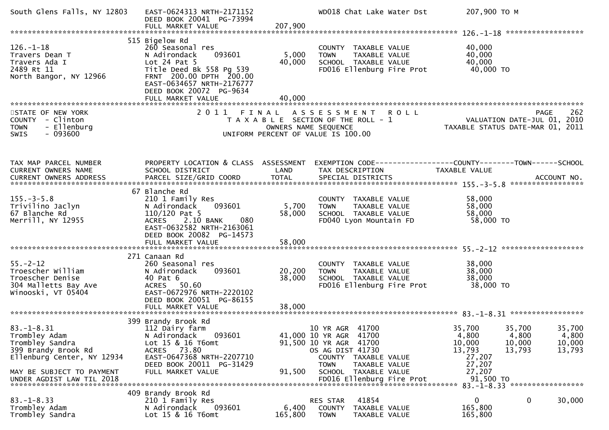| South Glens Falls, NY 12803                                                                               | EAST-0624313 NRTH-2171152<br>DEED BOOK 20041 PG-73994<br>FULL MARKET VALUE                                                                                                                      | 207,900                                                                                             |                                                                                                        |                                         | WD018 Chat Lake Water Dst | 207,900 ТО М                                                                  |                                     |                                     |
|-----------------------------------------------------------------------------------------------------------|-------------------------------------------------------------------------------------------------------------------------------------------------------------------------------------------------|-----------------------------------------------------------------------------------------------------|--------------------------------------------------------------------------------------------------------|-----------------------------------------|---------------------------|-------------------------------------------------------------------------------|-------------------------------------|-------------------------------------|
|                                                                                                           |                                                                                                                                                                                                 |                                                                                                     |                                                                                                        |                                         |                           |                                                                               |                                     |                                     |
| $126. - 1 - 18$<br>Travers Dean T<br>Travers Ada I<br>2489 Rt 11<br>North Bangor, NY 12966                | 515 Bigelow Rd<br>260 Seasonal res<br>093601<br>N Adirondack<br>Lot $24$ Pat $5$<br>Title Deed Bk 558 Pg 539<br>FRNT 200.00 DPTH 200.00<br>EAST-0634657 NRTH-2176777<br>DEED BOOK 20072 PG-9634 | 5,000<br>40,000                                                                                     | COUNTY TAXABLE VALUE<br><b>TOWN</b><br>SCHOOL TAXABLE VALUE                                            | TAXABLE VALUE                           | FD016 Ellenburg Fire Prot | 40,000<br>40,000<br>40,000<br>40,000 TO                                       |                                     |                                     |
|                                                                                                           | FULL MARKET VALUE                                                                                                                                                                               | 40,000                                                                                              |                                                                                                        |                                         |                           |                                                                               |                                     |                                     |
| STATE OF NEW YORK<br>COUNTY - Clinton<br>- Ellenburg<br><b>TOWN</b><br>$-093600$<br>SWIS                  | 2011 FINAL ASSESSMENT                                                                                                                                                                           | T A X A B L E SECTION OF THE ROLL - 1<br>OWNERS NAME SEQUENCE<br>UNIFORM PERCENT OF VALUE IS 100.00 |                                                                                                        |                                         | <b>ROLL</b>               | VALUATION DATE-JUL 01, 2010<br>TAXABLE STATUS DATE-MAR 01, 2011               |                                     | 262<br><b>PAGE</b>                  |
| TAX MAP PARCEL NUMBER<br>CURRENT OWNERS NAME                                                              | PROPERTY LOCATION & CLASS ASSESSMENT<br>SCHOOL DISTRICT                                                                                                                                         | LAND                                                                                                | TAX DESCRIPTION                                                                                        |                                         |                           | EXEMPTION CODE-----------------COUNTY-------TOWN------SCHOOL<br>TAXABLE VALUE |                                     |                                     |
| $155. - 3 - 5.8$<br>Trivilino Jaclyn<br>67 Blanche Rd<br>Merrill, NY 12955                                | 67 Blanche Rd<br>210 1 Family Res<br>093601<br>N Adirondack<br>$110/120$ Pat 5<br>2.10 BANK<br><b>ACRES</b><br>080<br>EAST-0632582 NRTH-2163061<br>DEED BOOK 20082 PG-14573                     | 5,700<br>58,000                                                                                     | COUNTY TAXABLE VALUE<br><b>TOWN</b><br>SCHOOL TAXABLE VALUE<br>FD040 Lyon Mountain FD                  | TAXABLE VALUE                           |                           | 58,000<br>58,000<br>58,000<br>58,000 TO                                       |                                     |                                     |
|                                                                                                           |                                                                                                                                                                                                 |                                                                                                     |                                                                                                        |                                         |                           |                                                                               |                                     |                                     |
| $55. - 2 - 12$<br>Troescher William<br>Troescher Denise<br>304 Malletts Bay Ave<br>Winooski, VT 05404     | 271 Canaan Rd<br>260 Seasonal res<br>093601<br>N Adirondack<br>40 Pat 6<br><b>ACRES</b><br>50.60<br>EAST-0672976 NRTH-2220102<br>DEED BOOK 20051 PG-86155<br>FULL MARKET VALUE                  | 20,200<br>38,000<br>38,000                                                                          | COUNTY TAXABLE VALUE<br><b>TOWN</b><br>SCHOOL TAXABLE VALUE                                            | TAXABLE VALUE                           | FD016 Ellenburg Fire Prot | 38,000<br>38,000<br>38,000<br>38,000 TO                                       |                                     |                                     |
|                                                                                                           |                                                                                                                                                                                                 |                                                                                                     |                                                                                                        |                                         |                           |                                                                               |                                     |                                     |
| $83. - 1 - 8.31$<br>Trombley Adam<br>Trombley Sandra<br>399 Brandy Brook Rd<br>Ellenburg Center, NY 12934 | 399 Brandy Brook Rd<br>112 Dairy farm<br>093601<br>N Adirondack<br>Lot 15 & 16 T6omt<br>ACRES 73.80<br>EAST-0647368 NRTH-2207710<br>DEED BOOK 20011 PG-31429                                    |                                                                                                     | 10 YR AGR 41700<br>41,000 10 YR AGR 41700<br>91,500 10 YR AGR 41700<br>OS AG DIST 41730<br><b>TOWN</b> | COUNTY TAXABLE VALUE<br>TAXABLE VALUE   |                           | 35,700<br>4,800<br>10,000<br>13,793<br>27,207<br>27,207                       | 35,700<br>4,800<br>10,000<br>13,793 | 35,700<br>4,800<br>10,000<br>13,793 |
| MAY BE SUBJECT TO PAYMENT<br>UNDER AGDIST LAW TIL 2018                                                    | FULL MARKET VALUE                                                                                                                                                                               | 91,500                                                                                              | SCHOOL TAXABLE VALUE                                                                                   |                                         | FD016 Ellenburg Fire Prot | 27,207<br>91,500 TO                                                           |                                     |                                     |
|                                                                                                           | 409 Brandy Brook Rd                                                                                                                                                                             |                                                                                                     |                                                                                                        |                                         |                           |                                                                               |                                     |                                     |
| $83. - 1 - 8.33$<br>Trombley Adam<br>Trombley Sandra                                                      | 210 1 Family Res<br>N Adirondack<br>093601<br>Lot 15 & 16 T6omt                                                                                                                                 | 6,400<br>165,800                                                                                    | RES STAR<br>COUNTY<br><b>TOWN</b>                                                                      | 41854<br>TAXABLE VALUE<br>TAXABLE VALUE |                           | $\mathbf{0}$<br>165,800<br>165,800                                            | 0                                   | 30,000                              |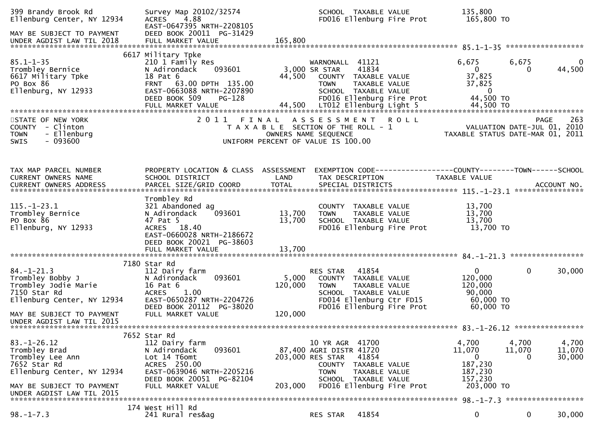| 399 Brandy Brook Rd<br>Ellenburg Center, NY 12934<br>MAY BE SUBJECT TO PAYMENT                                                                                 | Survey Map 20102/32574<br>ACRES 4.88<br>EAST-0647395 NRTH-2208105<br>DEED BOOK 20011 PG-31429                                                                          |                            | SCHOOL TAXABLE VALUE<br>FD016 Ellenburg Fire Prot                                                                                                                                       | 135,800<br>165,800 TO                                                      |                      |                           |
|----------------------------------------------------------------------------------------------------------------------------------------------------------------|------------------------------------------------------------------------------------------------------------------------------------------------------------------------|----------------------------|-----------------------------------------------------------------------------------------------------------------------------------------------------------------------------------------|----------------------------------------------------------------------------|----------------------|---------------------------|
|                                                                                                                                                                |                                                                                                                                                                        |                            |                                                                                                                                                                                         |                                                                            |                      |                           |
| $85.1 - 1 - 35$<br>Trombley Bernice<br>6617 Military Tpke<br>PO Box 86<br>Ellenburg, NY 12933                                                                  | 6617 Military Tpke<br>210 1 Family Res<br>093601<br>N Adirondack<br>18 Pat 6<br>FRNT 63.00 DPTH 135.00<br>EAST-0663088 NRTH-2207890<br>DEED BOOK 509<br>PG-128         |                            | WARNONALL 41121<br>41834<br>3,000 SR STAR<br>44,500 COUNTY TAXABLE VALUE<br><b>TOWN</b><br>TAXABLE VALUE<br>SCHOOL TAXABLE VALUE<br>FD016 Ellenburg Fire Prot                           | 6,675<br>$\overline{0}$<br>37,825<br>37,825<br>$\overline{0}$<br>44,500 TO | 6,675<br>0           | $\overline{0}$<br>44,500  |
| STATE OF NEW YORK<br>COUNTY - Clinton<br>- Ellenburg<br><b>TOWN</b><br>$-093600$<br>SWIS                                                                       |                                                                                                                                                                        |                            | 2011 FINAL ASSESSMENT ROLL<br>T A X A B L E SECTION OF THE ROLL - 1<br>OWNERS NAME SEQUENCE<br>UNIFORM PERCENT OF VALUE IS 100.00                                                       | PAGE 263<br>TAXABLE STATION DATE-JUL 01, 2010                              |                      |                           |
| TAX MAP PARCEL NUMBER<br>CURRENT OWNERS NAME                                                                                                                   | PROPERTY LOCATION & CLASS ASSESSMENT<br>SCHOOL DISTRICT                                                                                                                | LAND                       | EXEMPTION CODE------------------COUNTY--------TOWN------SCHOOL<br>TAX DESCRIPTION                                                                                                       | TAXABLE VALUE                                                              |                      |                           |
| $115. - 1 - 23.1$<br>Trombley Bernice<br>PO Box 86<br>Ellenburg, NY 12933                                                                                      | Trombley Rd<br>321 Abandoned ag<br>N Adirondack<br>093601<br>47 Pat 5<br>ACRES 18.40<br>EAST-0660028 NRTH-2186672<br>DEED BOOK 20021 PG-38603<br>FULL MARKET VALUE     | 13,700<br>13,700<br>13,700 | COUNTY TAXABLE VALUE<br>TOWN     TAXABLE VALUE<br>SCHOOL   TAXABLE VALUE<br>FD016 Ellenburg Fire Prot                                                                                   | 13,700<br>13,700<br>13,700<br>13,700 TO                                    |                      |                           |
|                                                                                                                                                                | 7180 Star Rd                                                                                                                                                           |                            |                                                                                                                                                                                         |                                                                            |                      |                           |
| $84. - 1 - 21.3$<br>Trombley Bobby J<br>Trombley 10die :<br>Trombley Jodie Marie<br>7150 Star Rd<br>Ellenburg Center, NY 12934                                 | 112 Dairy farm<br>093601<br>N Adirondack<br>16 Pat 6<br>ACRES 1.00<br>EAST-0650287 NRTH-2204726<br>DEED BOOK 20112 PG-38020                                            | 5,000<br>120,000           | RES STAR 41854<br>COUNTY TAXABLE VALUE<br><b>TOWN</b><br>TAXABLE VALUE<br>SCHOOL TAXABLE VALUE<br>FD014 Ellenburg Ctr FD15<br>FD016 Ellenburg Fire Prot                                 | $\mathbf{0}$<br>120,000<br>120,000<br>90,000<br>60,000 TO<br>60,000 TO     | $\mathbf 0$          | 30,000                    |
| MAY BE SUBJECT TO PAYMENT<br>UNDER AGDIST LAW TIL 2015                                                                                                         | FULL MARKET VALUE                                                                                                                                                      | 120,000                    |                                                                                                                                                                                         |                                                                            |                      |                           |
| $83. - 1 - 26.12$<br>Trombley Brad<br>Trombley Lee Ann<br>7652 Star Rd<br>Ellenburg Center, NY 12934<br>MAY BE SUBJECT TO PAYMENT<br>UNDER AGDIST LAW TIL 2015 | 7652 Star Rd<br>112 Dairy farm<br>093601<br>N Adirondack<br>Lot 14 T6omt<br>ACRES 250.00<br>EAST-0639046 NRTH-2205216<br>DEED BOOK 20051 PG-82104<br>FULL MARKET VALUE | 203,000                    | 10 YR AGR 41700<br>87,400 AGRI DISTR 41720<br>41854<br>203,000 RES STAR<br>COUNTY<br>TAXABLE VALUE<br><b>TOWN</b><br>TAXABLE VALUE<br>SCHOOL TAXABLE VALUE<br>FD016 Ellenburg Fire Prot | 4,700<br>11,070<br>0<br>187,230<br>187,230<br>157,230<br>203,000 TO        | 4,700<br>11,070<br>0 | 4,700<br>11,070<br>30,000 |
| $98. - 1 - 7.3$                                                                                                                                                | 174 West Hill Rd<br>241 Rural res&ag                                                                                                                                   |                            | 41854<br>RES STAR                                                                                                                                                                       | 0                                                                          | 0                    | 30,000                    |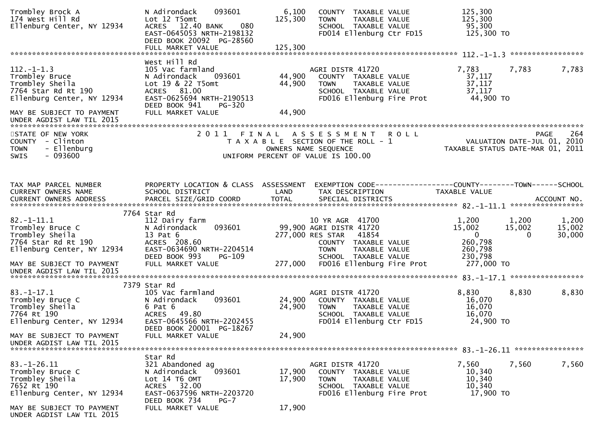| Trombley Brock A<br>174 West Hill Rd<br>Ellenburg Center, NY 12934                                         | 093601<br>N Adirondack<br>Lot 12 T5omt<br>080<br>ACRES 12.40 BANK<br>EAST-0645053 NRTH-2198132<br>DEED BOOK 20092 PG-28560  | 6,100<br>125,300 | COUNTY TAXABLE VALUE<br>TAXABLE VALUE<br><b>TOWN</b><br>SCHOOL TAXABLE VALUE<br>FD014 Ellenburg Ctr FD15               | 125,300<br>125,300<br>95,300<br>125,300 TO                      |                    |
|------------------------------------------------------------------------------------------------------------|-----------------------------------------------------------------------------------------------------------------------------|------------------|------------------------------------------------------------------------------------------------------------------------|-----------------------------------------------------------------|--------------------|
|                                                                                                            |                                                                                                                             |                  |                                                                                                                        |                                                                 |                    |
| $112. - 1 - 1.3$<br>Trombley Bruce<br>Trombley Sheila<br>7764 Star Rd Rt 190<br>Ellenburg Center, NY 12934 | West Hill Rd<br>105 Vac farmland<br>N Adirondack<br>093601<br>Lot 19 & 22 T5omt<br>ACRES 81.00<br>EAST-0625694 NRTH-2190513 | 44,900<br>44,900 | AGRI DISTR 41720<br>COUNTY TAXABLE VALUE<br>TAXABLE VALUE<br>TOWN<br>SCHOOL TAXABLE VALUE<br>FD016 Ellenburg Fire Prot | 7,783<br>7,783<br>37,117<br>37,117<br>37,117<br>44,900 TO       | 7,783              |
| MAY BE SUBJECT TO PAYMENT                                                                                  | DEED BOOK 941<br>PG-320<br>FULL MARKET VALUE                                                                                | 44,900           |                                                                                                                        |                                                                 |                    |
| STATE OF NEW YORK                                                                                          |                                                                                                                             |                  | 2011 FINAL ASSESSMENT ROLL                                                                                             |                                                                 | 264<br><b>PAGE</b> |
| COUNTY - Clinton                                                                                           |                                                                                                                             |                  | T A X A B L E SECTION OF THE ROLL - 1                                                                                  |                                                                 |                    |
| - Ellenburg<br><b>TOWN</b>                                                                                 |                                                                                                                             |                  | OWNERS NAME SEQUENCE                                                                                                   | VALUATION DATE-JUL 01, 2010<br>TAXABLE STATUS DATE-MAR 01, 2011 |                    |
| $-093600$<br><b>SWIS</b>                                                                                   |                                                                                                                             |                  | UNIFORM PERCENT OF VALUE IS 100.00                                                                                     |                                                                 |                    |
|                                                                                                            |                                                                                                                             |                  |                                                                                                                        |                                                                 |                    |
| TAX MAP PARCEL NUMBER                                                                                      | PROPERTY LOCATION & CLASS ASSESSMENT                                                                                        |                  | EXEMPTION CODE------------------COUNTY--------TOWN------SCHOOL                                                         |                                                                 |                    |
| CURRENT OWNERS NAME                                                                                        | SCHOOL DISTRICT                                                                                                             | LAND             | TAX DESCRIPTION                                                                                                        | TAXABLE VALUE                                                   |                    |
|                                                                                                            |                                                                                                                             |                  |                                                                                                                        |                                                                 |                    |
|                                                                                                            | 7764 Star Rd                                                                                                                |                  |                                                                                                                        |                                                                 |                    |
| $82.-1-11.1$                                                                                               | 112 Dairy farm                                                                                                              |                  | 10 YR AGR 41700                                                                                                        | 1,200<br>1,200                                                  | 1,200              |
| Trombley Bruce C                                                                                           | 093601<br>N Adirondack                                                                                                      |                  | 99,900 AGRI DISTR 41720                                                                                                | 15,002<br>15,002                                                | 15,002             |
| Trombley Sheila                                                                                            | 13 Pat 6                                                                                                                    |                  | 277,000 RES STAR<br>41854                                                                                              | $\overline{0}$<br>$\Omega$                                      | 30,000             |
| 7764 Star Rd Rt 190                                                                                        | ACRES 208.60                                                                                                                |                  | COUNTY TAXABLE VALUE                                                                                                   | 260,798                                                         |                    |
| Ellenburg Center, NY 12934                                                                                 | EAST-0634690 NRTH-2204514<br>DEED BOOK 993<br><b>PG-109</b>                                                                 |                  | <b>TOWN</b><br>TAXABLE VALUE<br>SCHOOL TAXABLE VALUE                                                                   | 260,798<br>230,798                                              |                    |
| MAY BE SUBJECT TO PAYMENT                                                                                  | FULL MARKET VALUE                                                                                                           |                  | 277,000 FD016 Ellenburg Fire Prot                                                                                      | 277,000 TO                                                      |                    |
| UNDER AGDIST LAW TIL 2015                                                                                  |                                                                                                                             |                  |                                                                                                                        |                                                                 |                    |
|                                                                                                            |                                                                                                                             |                  |                                                                                                                        |                                                                 |                    |
|                                                                                                            | 7379 Star Rd                                                                                                                |                  |                                                                                                                        |                                                                 |                    |
| $83.-1-17.1$                                                                                               | 105 Vac farmland                                                                                                            |                  | AGRI DISTR 41720                                                                                                       | 8,830<br>8,830                                                  | 8,830              |
| Trombley Bruce C                                                                                           | 093601<br>N Adirondack                                                                                                      | 24,900           | COUNTY TAXABLE VALUE                                                                                                   | 16,070                                                          |                    |
| Trombley Sheila<br>7764 Rt 190                                                                             | 6 Pat 6<br>ACRES 49.80                                                                                                      | 24,900           | <b>TOWN</b><br>TAXABLE VALUE<br>SCHOOL TAXABLE VALUE                                                                   | 16,070<br>16,070                                                |                    |
| Ellenburg Center, NY 12934                                                                                 | EAST-0645566 NRTH-2202455                                                                                                   |                  | FD014 Ellenburg Ctr FD15                                                                                               | 24,900 TO                                                       |                    |
|                                                                                                            | DEED BOOK 20001 PG-18267                                                                                                    |                  |                                                                                                                        |                                                                 |                    |
| MAY BE SUBJECT TO PAYMENT                                                                                  | FULL MARKET VALUE                                                                                                           | 24,900           |                                                                                                                        |                                                                 |                    |
| UNDER AGDIST LAW TIL 2015                                                                                  |                                                                                                                             |                  |                                                                                                                        |                                                                 |                    |
|                                                                                                            |                                                                                                                             |                  |                                                                                                                        |                                                                 |                    |
| $83. - 1 - 26.11$                                                                                          | Star Rd<br>321 Abandoned ag                                                                                                 |                  | AGRI DISTR 41720                                                                                                       | 7,560                                                           | 7,560              |
| Trombley Bruce C                                                                                           | 093601<br>N Adirondack                                                                                                      | 17,900           | COUNTY TAXABLE VALUE                                                                                                   | 7,560<br>10,340                                                 |                    |
| Trombley Sheila                                                                                            | Lot 14 T6 OMT                                                                                                               | 17,900           | <b>TOWN</b><br>TAXABLE VALUE                                                                                           | 10,340                                                          |                    |
| 7652 Rt 190                                                                                                | ACRES 32.00                                                                                                                 |                  | SCHOOL TAXABLE VALUE                                                                                                   | 10,340                                                          |                    |
| Ellenburg Center, NY 12934                                                                                 | EAST-0637596 NRTH-2203720                                                                                                   |                  | FD016 Ellenburg Fire Prot                                                                                              | 17,900 TO                                                       |                    |
|                                                                                                            | DEED BOOK 734<br>$PG-7$                                                                                                     |                  |                                                                                                                        |                                                                 |                    |
| MAY BE SUBJECT TO PAYMENT<br>UNDER AGDIST LAW TIL 2015                                                     | FULL MARKET VALUE                                                                                                           | 17,900           |                                                                                                                        |                                                                 |                    |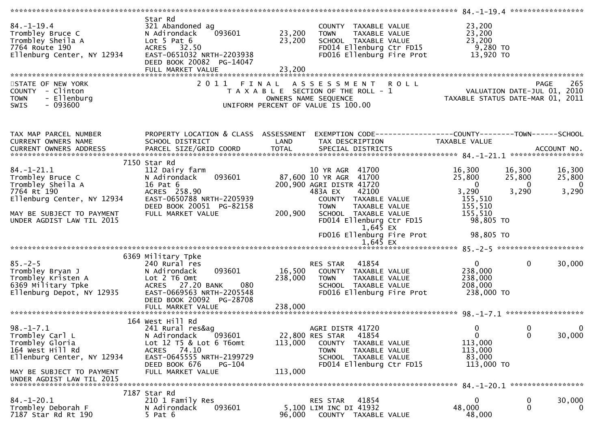| $84. - 1 - 19.4$<br>Trombley Bruce C<br>Trombley Sheila A<br>7764 Route 190<br>Ellenburg Center, NY 12934 | Star Rd<br>321 Abandoned ag<br>093601<br>N Adirondack<br>Lot $5$ Pat $6$<br>ACRES 32.50<br>EAST-0651032 NRTH-2203938<br>DEED BOOK 20082 PG-14047<br>FULL MARKET VALUE | 23,200<br>23,200<br>23,200 | COUNTY TAXABLE VALUE<br>TAXABLE VALUE<br><b>TOWN</b><br>SCHOOL TAXABLE VALUE<br>FD014 Ellenburg Ctr FD15<br>FD016 Ellenburg Fire Prot | 23,200<br>23,200<br>23,200<br>9,280 TO<br>13,920 TO                      |                                            |
|-----------------------------------------------------------------------------------------------------------|-----------------------------------------------------------------------------------------------------------------------------------------------------------------------|----------------------------|---------------------------------------------------------------------------------------------------------------------------------------|--------------------------------------------------------------------------|--------------------------------------------|
| STATE OF NEW YORK                                                                                         | 2011 FINAL                                                                                                                                                            |                            | ASSESSMENT ROLL                                                                                                                       |                                                                          | 265<br>PAGE                                |
| COUNTY - Clinton<br>- Ellenburg<br><b>TOWN</b><br>$-093600$<br><b>SWIS</b>                                |                                                                                                                                                                       |                            | T A X A B L E SECTION OF THE ROLL - 1<br>OWNERS NAME SEQUENCE<br>UNIFORM PERCENT OF VALUE IS 100.00                                   | 0 L L<br>VALUATION DATE-JUL 01, 2010<br>TAXABLE STATUS DATE-MAR 01, 2011 |                                            |
| TAX MAP PARCEL NUMBER                                                                                     | PROPERTY LOCATION & CLASS ASSESSMENT                                                                                                                                  |                            | EXEMPTION CODE-----------------COUNTY--------TOWN------SCHOOL                                                                         |                                                                          |                                            |
| CURRENT OWNERS NAME                                                                                       | SCHOOL DISTRICT                                                                                                                                                       | LAND                       | TAX DESCRIPTION                                                                                                                       | TAXABLE VALUE                                                            |                                            |
|                                                                                                           |                                                                                                                                                                       |                            |                                                                                                                                       |                                                                          |                                            |
|                                                                                                           | 7150 Star Rd                                                                                                                                                          |                            |                                                                                                                                       |                                                                          |                                            |
| $84. - 1 - 21.1$                                                                                          | 112 Dairy farm                                                                                                                                                        |                            | 10 YR AGR 41700                                                                                                                       | 16,300<br>16,300                                                         | 16,300                                     |
| 84.-1-21.1<br>Trombley Bruce C<br>Trombley Sheila A<br><sup>7764</sup> Pt 190                             | 093601<br>N Adirondack<br>16 Pat 6                                                                                                                                    |                            | 87,600 10 YR AGR 41700<br>200,900 AGRI DISTR 41720                                                                                    | 25,800<br>25,800<br>$\overline{0}$                                       | 25,800<br>$\overline{0}$<br>$\overline{0}$ |
|                                                                                                           | ACRES 258.90                                                                                                                                                          |                            | 42100<br>483A EX                                                                                                                      | 3,290<br>3,290                                                           | 3,290                                      |
| Ellenburg Center, NY 12934                                                                                | EAST-0650788 NRTH-2205939                                                                                                                                             |                            | COUNTY TAXABLE VALUE                                                                                                                  | 155,510                                                                  |                                            |
| MAY BE SUBJECT TO PAYMENT                                                                                 | DEED BOOK 20051 PG-82158<br>FULL MARKET VALUE                                                                                                                         | 200,900                    | <b>TOWN</b><br>TAXABLE VALUE<br>SCHOOL TAXABLE VALUE                                                                                  | 155,510<br>155,510                                                       |                                            |
| UNDER AGDIST LAW TIL 2015                                                                                 |                                                                                                                                                                       |                            | FD014 Ellenburg Ctr FD15                                                                                                              | 98,805 TO                                                                |                                            |
|                                                                                                           |                                                                                                                                                                       |                            | $1,645$ EX                                                                                                                            | 98,805 TO                                                                |                                            |
|                                                                                                           |                                                                                                                                                                       |                            | FD016 Ellenburg Fire Prot<br>$1,645$ EX                                                                                               |                                                                          |                                            |
|                                                                                                           |                                                                                                                                                                       |                            |                                                                                                                                       |                                                                          |                                            |
| $85. - 2 - 5$                                                                                             | 6369 Military Tpke                                                                                                                                                    |                            | RES STAR 41854                                                                                                                        | $\mathbf{0}$                                                             | $\overline{0}$                             |
| Trombley Bryan J                                                                                          | 240 Rural res<br>093601<br>N Adirondack                                                                                                                               |                            | 16,500 COUNTY TAXABLE VALUE                                                                                                           | 238,000                                                                  | 30,000                                     |
| Trombley Kristen A                                                                                        | Lot 2 T6 Omt                                                                                                                                                          | 238,000                    | <b>TOWN</b><br>TAXABLE VALUE                                                                                                          | 238,000                                                                  |                                            |
| 6369 Military Tpke                                                                                        | 080<br>ACRES 27.20 BANK<br>EAST-0669563 NRTH-2205548                                                                                                                  |                            | SCHOOL TAXABLE VALUE                                                                                                                  | 208,000<br>238,000 TO                                                    |                                            |
| Ellenburg Depot, NY 12935                                                                                 | DEED BOOK 20092 PG-28708                                                                                                                                              |                            | FD016 Ellenburg Fire Prot                                                                                                             |                                                                          |                                            |
|                                                                                                           |                                                                                                                                                                       |                            |                                                                                                                                       |                                                                          |                                            |
|                                                                                                           | 164 West Hill Rd                                                                                                                                                      |                            |                                                                                                                                       |                                                                          |                                            |
| $98. - 1 - 7.1$                                                                                           | 241 Rural res&ag                                                                                                                                                      |                            | AGRI DISTR 41720                                                                                                                      | $\Omega$                                                                 | $\mathbf{0}$<br>0                          |
| Trombley Carl L                                                                                           | N Adirondack<br>093601                                                                                                                                                |                            | 22,800 RES STAR<br>41854                                                                                                              | $\overline{0}$                                                           | 30,000<br>$\mathbf 0$                      |
| Trombley Gloria<br>164 West Hill Rd                                                                       | Lot 12 T5 & Lot 6 T6omt<br>ACRES 74.10                                                                                                                                | 113,000                    | COUNTY<br>TAXABLE VALUE<br><b>TOWN</b><br>TAXABLE VALUE                                                                               | 113,000<br>113,000                                                       |                                            |
| Ellenburg Center, NY 12934                                                                                | EAST-0645555 NRTH-2199729                                                                                                                                             |                            | SCHOOL TAXABLE VALUE                                                                                                                  | 83,000                                                                   |                                            |
|                                                                                                           | DEED BOOK 676<br><b>PG-104</b>                                                                                                                                        |                            | FD014 Ellenburg Ctr FD15                                                                                                              | 113,000 TO                                                               |                                            |
| MAY BE SUBJECT TO PAYMENT<br>UNDER AGDIST LAW TIL 2015                                                    | FULL MARKET VALUE                                                                                                                                                     | 113,000                    |                                                                                                                                       |                                                                          |                                            |
|                                                                                                           |                                                                                                                                                                       |                            |                                                                                                                                       | 84. -1-20.1 ******************                                           |                                            |
| $84. - 1 - 20.1$                                                                                          | 7187 Star Rd                                                                                                                                                          |                            |                                                                                                                                       | $\Omega$                                                                 |                                            |
| Trombley Deborah F                                                                                        | 210 1 Family Res<br>093601<br>N Adirondack                                                                                                                            |                            | 41854<br>RES STAR<br>5,100 LIM INC DI 41932                                                                                           | 48,000                                                                   | 30,000<br>0<br>$\Omega$<br>0               |
| 7187 Star Rd Rt 190                                                                                       | $5$ Pat $6$                                                                                                                                                           | 96,000                     | COUNTY TAXABLE VALUE                                                                                                                  | 48,000                                                                   |                                            |
|                                                                                                           |                                                                                                                                                                       |                            |                                                                                                                                       |                                                                          |                                            |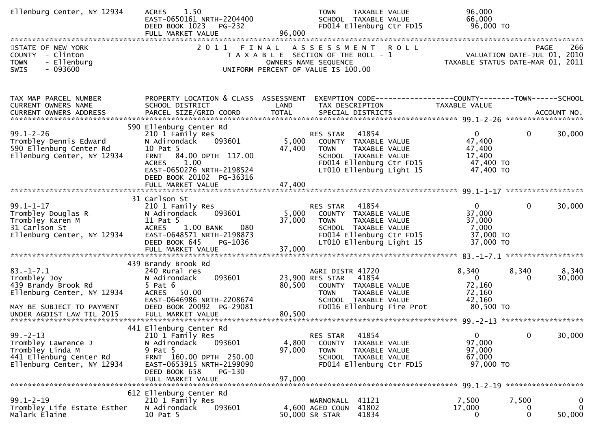| Ellenburg Center, NY 12934                                                                                         | 1.50<br><b>ACRES</b><br>EAST-0650161 NRTH-2204400<br>DEED BOOK 1023<br><b>PG-232</b><br>FULL MARKET VALUE                                                                                              | 96,000                    | <b>TOWN</b><br>TAXABLE VALUE<br>SCHOOL TAXABLE VALUE<br>FD014 Ellenburg Ctr FD15                                                                          |             | 96,000<br>66,000<br>96,000 TO                                       |                           |                                   |
|--------------------------------------------------------------------------------------------------------------------|--------------------------------------------------------------------------------------------------------------------------------------------------------------------------------------------------------|---------------------------|-----------------------------------------------------------------------------------------------------------------------------------------------------------|-------------|---------------------------------------------------------------------|---------------------------|-----------------------------------|
| STATE OF NEW YORK<br>COUNTY - Clinton<br>- Ellenburg<br><b>TOWN</b><br>SWIS<br>- 093600                            | 2 0 1 1                                                                                                                                                                                                | FINAL                     | A S S E S S M E N T<br>T A X A B L E SECTION OF THE ROLL - 1<br>OWNERS NAME SEQUENCE<br>UNIFORM PERCENT OF VALUE IS 100.00                                | <b>ROLL</b> | VALUATION DATE-JUL 01, 2010<br>TAXABLE STATUS DATE-MAR 01, 2011     | PAGE                      | 266                               |
| TAX MAP PARCEL NUMBER<br>CURRENT OWNERS NAME                                                                       | PROPERTY LOCATION & CLASS ASSESSMENT<br>SCHOOL DISTRICT                                                                                                                                                | LAND                      | EXEMPTION CODE-----------------COUNTY-------TOWN------SCHOOL<br>TAX DESCRIPTION                                                                           |             | TAXABLE VALUE                                                       |                           |                                   |
| $99.1 - 2 - 26$<br>Trombley Dennis Edward<br>590 Ellenburg Center Rd<br>Ellenburg Center, NY 12934                 | 590 Ellenburg Center Rd<br>210 1 Family Res<br>093601<br>N Adirondack<br>10 Pat 5<br>84.00 DPTH 117.00<br><b>FRNT</b><br>1.00<br><b>ACRES</b><br>EAST-0650276 NRTH-2198524<br>DEED BOOK 20102 PG-36316 | 5,000<br>47,400           | RES STAR<br>41854<br>COUNTY TAXABLE VALUE<br><b>TOWN</b><br>TAXABLE VALUE<br>SCHOOL TAXABLE VALUE<br>FD014 Ellenburg Ctr FD15<br>LT010 Ellenburg Light 15 |             | $\Omega$<br>47,400<br>47,400<br>17,400<br>47,400 TO<br>47,400 TO    | $\mathbf{0}$              | 30,000                            |
| $99.1 - 1 - 17$<br>Trombley Douglas R<br>Trombley Karen M<br>31 Carlson St<br>Ellenburg Center, NY 12934           | 31 Carlson St<br>210 1 Family Res<br>093601<br>N Adirondack<br>11 Pat 5<br><b>ACRES</b><br>1.00 BANK<br>080<br>EAST-0648571 NRTH-2198873<br>DEED BOOK 645<br>PG-1036<br>FULL MARKET VALUE              | 5,000<br>37,000<br>37,000 | RES STAR<br>41854<br>COUNTY TAXABLE VALUE<br>TAXABLE VALUE<br><b>TOWN</b><br>SCHOOL TAXABLE VALUE<br>FD014 Ellenburg Ctr FD15<br>LT010 Ellenburg Light 15 |             | $\mathbf{0}$<br>37,000<br>37,000<br>7,000<br>37,000 TO<br>37,000 TO | $\mathbf 0$               | 30,000                            |
| $83. - 1 - 7.1$<br>Trombley Joy<br>439 Brandy Brook Rd<br>Ellenburg Center, NY 12934<br>MAY BE SUBJECT TO PAYMENT  | 439 Brandy Brook Rd<br>240 Rural res<br>093601<br>N Adirondack<br>$5$ Pat $6$<br>ACRES 50.00<br>EAST-0646986 NRTH-2208674<br>DEED BOOK 20092 PG-29081                                                  | 80,500                    | AGRI DISTR 41720<br>41854<br>23,900 RES STAR<br>COUNTY TAXABLE VALUE<br><b>TOWN</b><br>TAXABLE VALUE<br>SCHOOL TAXABLE VALUE<br>FD016 Ellenburg Fire Prot |             | 8,340<br>$\Omega$<br>72,160<br>72,160<br>42,160<br>80,500 TO        | 8,340<br>$\Omega$         | 8,340<br>30,000                   |
| $99. - 2 - 13$<br>Trombley Lawrence J<br>Trombley Linda M<br>441 Ellenburg Center Rd<br>Ellenburg Center, NY 12934 | 441 Ellenburg Center Rd<br>210 1 Family Res<br>093601<br>N Adirondack<br>9 Pat 5<br>FRNT 160.00 DPTH 250.00<br>EAST-0653915 NRTH-2199090<br>DEED BOOK 658<br>PG-130<br>FULL MARKET VALUE               | 4,800<br>97,000<br>97,000 | 41854<br>RES STAR<br>COUNTY TAXABLE VALUE<br><b>TOWN</b><br>TAXABLE VALUE<br>SCHOOL TAXABLE VALUE<br>FD014 Ellenburg Ctr FD15                             |             | $\Omega$<br>97,000<br>97,000<br>67,000<br>97,000 TO                 | 0                         | 30,000                            |
| $99.1 - 2 - 19$<br>Trombley Life Estate Esther<br>Malark Elaine                                                    | 612 Ellenburg Center Rd<br>210 1 Family Res<br>093601<br>N Adirondack<br>10 Pat 5                                                                                                                      |                           | 41121<br>WARNONALL<br>41802<br>4,600 AGED COUN<br>41834<br>50,000 SR STAR                                                                                 |             | 7,500<br>17,000<br>0                                                | 7,500<br>U<br>$\mathbf 0$ | $\bf{0}$<br>$\mathbf 0$<br>50,000 |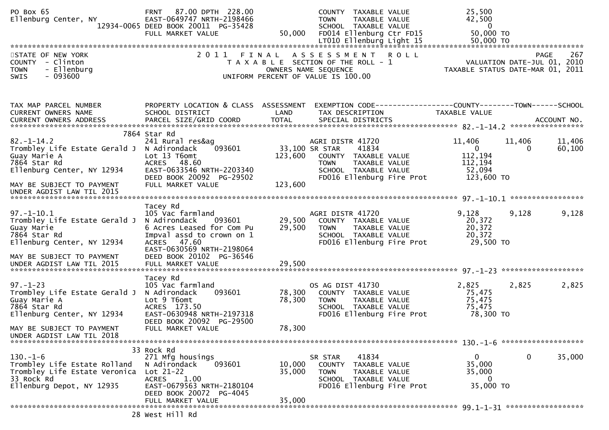| PO Box 65<br>Ellenburg Center, NY                                                                                                                         | 87.00 DPTH 228.00<br><b>FRNT</b><br>EAST-0649747 NRTH-2198466<br>12934-0065 DEED BOOK 20011 PG-35428<br>FULL MARKET VALUE                                                                | 50,000               | COUNTY TAXABLE VALUE<br><b>TOWN</b><br>TAXABLE VALUE<br>SCHOOL TAXABLE VALUE<br>FD014 Ellenburg Ctr FD15<br>LT010 Ellenburg Light 15                     | 25,500<br>42,500<br>$\mathbf 0$<br>50,000 TO<br>50,000 TO                             |                    |
|-----------------------------------------------------------------------------------------------------------------------------------------------------------|------------------------------------------------------------------------------------------------------------------------------------------------------------------------------------------|----------------------|----------------------------------------------------------------------------------------------------------------------------------------------------------|---------------------------------------------------------------------------------------|--------------------|
| STATE OF NEW YORK<br>COUNTY - Clinton<br>- Ellenburg<br><b>TOWN</b><br>$-093600$<br>SWIS                                                                  | 2011                                                                                                                                                                                     | FINAL                | A S S E S S M E N T R O L L<br>T A X A B L E SECTION OF THE ROLL - 1<br>OWNERS NAME SEQUENCE<br>UNIFORM PERCENT OF VALUE IS 100.00                       | VALUATION DATE-JUL 01, 2010<br>TAXABLE STATUS DATE-MAR 01, 2011                       | 267<br><b>PAGE</b> |
| TAX MAP PARCEL NUMBER<br>CURRENT OWNERS NAME<br><b>CURRENT OWNERS ADDRESS</b>                                                                             | SCHOOL DISTRICT<br>PARCEL SIZE/GRID COORD                                                                                                                                                | LAND<br><b>TOTAL</b> | PROPERTY LOCATION & CLASS ASSESSMENT EXEMPTION CODE----------------COUNTY-------TOWN------SCHOOL<br>TAX DESCRIPTION<br>SPECIAL DISTRICTS                 | TAXABLE VALUE                                                                         | ACCOUNT NO.        |
| $82. - 1 - 14.2$<br>Trombley Life Estate Gerald J N Adirondack<br>Guay Marie A<br>7864 Star Rd<br>Ellenburg Center, NY 12934<br>MAY BE SUBJECT TO PAYMENT | 7864 Star Rd<br>241 Rural res&ag<br>093601<br>Lot 13 T6omt<br>ACRES 48.60<br>EAST-0633546 NRTH-2203340<br>DEED BOOK 20092 PG-29502<br>FULL MARKET VALUE                                  | 123,600<br>123,600   | AGRI DISTR 41720<br>33,100 SR STAR<br>41834<br>COUNTY TAXABLE VALUE<br>TAXABLE VALUE<br><b>TOWN</b><br>SCHOOL TAXABLE VALUE<br>FD016 Ellenburg Fire Prot | 11,406<br>11,406<br>$\overline{0}$<br>0<br>112,194<br>112,194<br>52,094<br>123,600 TO | 11,406<br>60,100   |
| UNDER AGDIST LAW TIL 2015                                                                                                                                 |                                                                                                                                                                                          |                      |                                                                                                                                                          |                                                                                       |                    |
| $97. - 1 - 10.1$<br>Trombley Life Estate Gerald J<br>Guay Marie<br>7864 Star Rd<br>Ellenburg Center, NY 12934                                             | Tacey Rd<br>105 Vac farmland<br>N Adirondack<br>093601<br>6 Acres Leased for Com Pu<br>Impval assd to crown on 1<br>ACRES 47.60<br>EAST-0630569 NRTH-2198064<br>DEED BOOK 20102 PG-36546 | 29,500<br>29,500     | AGRI DISTR 41720<br>COUNTY TAXABLE VALUE<br><b>TOWN</b><br>TAXABLE VALUE<br>SCHOOL TAXABLE VALUE<br>FD016 Ellenburg Fire Prot                            | 9,128<br>9,128<br>20,372<br>20,372<br>20,372<br>29,500 TO                             | 9,128              |
| MAY BE SUBJECT TO PAYMENT                                                                                                                                 |                                                                                                                                                                                          |                      |                                                                                                                                                          |                                                                                       |                    |
| $97. - 1 - 23$<br>Trombley Life Estate Gerald J<br>Guay Marie A<br>7864 Star Rd<br>Ellenburg Center, NY 12934                                             | Tacey Rd<br>105 Vac farmland<br>093601<br>N Adirondack<br>Lot 9 T6omt<br>ACRES 173.50<br>EAST-0630948 NRTH-2197318<br>DEED BOOK 20092 PG-29500                                           | 78,300<br>78,300     | OS AG DIST 41730<br>COUNTY TAXABLE VALUE<br><b>TOWN</b><br>TAXABLE VALUE<br>SCHOOL TAXABLE VALUE<br>FD016 Ellenburg Fire Prot                            | 2,825<br>2,825<br>75,475<br>75,475<br>75,475<br>78,300 TO                             | 2,825              |
| MAY BE SUBJECT TO PAYMENT<br>UNDER AGDIST LAW TIL 2018                                                                                                    | FULL MARKET VALUE                                                                                                                                                                        | 78,300               |                                                                                                                                                          |                                                                                       |                    |
|                                                                                                                                                           | 33 Rock Rd                                                                                                                                                                               |                      |                                                                                                                                                          |                                                                                       |                    |
| $130. - 1 - 6$<br>Trombley Life Estate Rolland<br>Trombley Life Estate Veronica<br>33 Rock Rd<br>Ellenburg Depot, NY 12935                                | 271 Mfg housings<br>N Adirondack<br>093601<br>$Lot 21-22$<br><b>ACRES</b><br>1.00<br>EAST-0679563 NRTH-2180104<br>DEED BOOK 20072 PG-4045                                                | 10,000<br>35,000     | 41834<br>SR STAR<br>COUNTY TAXABLE VALUE<br><b>TOWN</b><br>TAXABLE VALUE<br>SCHOOL TAXABLE VALUE<br>FD016 Ellenburg Fire Prot                            | 0<br>$\mathbf{0}$<br>35,000<br>35,000<br>$\overline{0}$<br>35,000 TO                  | 35,000             |
|                                                                                                                                                           | FULL MARKET VALUE                                                                                                                                                                        | 35,000               |                                                                                                                                                          |                                                                                       |                    |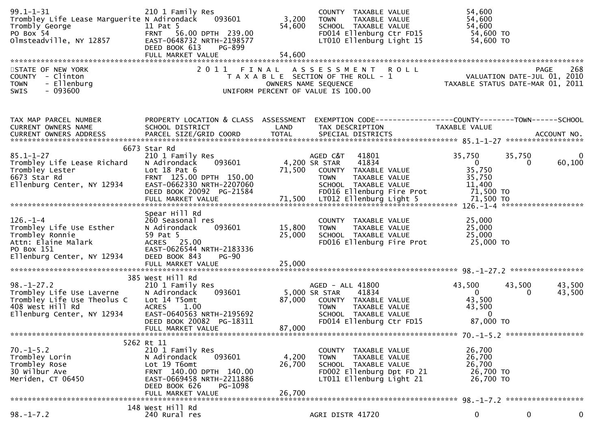| $99.1 - 1 - 31$<br>Trombley Life Lease Marguerite N Adirondack<br>Trombly George<br>PO Box 54<br>Olmsteadville, NY 12857         | 210 1 Family Res<br>093601<br>11 Pat 5<br>FRNT 56.00 DPTH 239.00<br>EAST-0648732 NRTH-2198577<br>DEED BOOK 613<br>PG-899<br>FULL MARKET VALUE                                        | 3,200<br>54,600<br>54,600 | COUNTY TAXABLE VALUE<br><b>TOWN</b><br>TAXABLE VALUE<br>SCHOOL TAXABLE VALUE<br>FD014 Ellenburg Ctr FD15<br>LT010 Ellenburg Light 15                   | 54,600<br>54,600<br>54,600<br>54,600 TO<br>54,600 TO                                                            |                                            |
|----------------------------------------------------------------------------------------------------------------------------------|--------------------------------------------------------------------------------------------------------------------------------------------------------------------------------------|---------------------------|--------------------------------------------------------------------------------------------------------------------------------------------------------|-----------------------------------------------------------------------------------------------------------------|--------------------------------------------|
| STATE OF NEW YORK<br>COUNTY - Clinton<br>- Ellenburg<br><b>TOWN</b><br><b>SWIS</b><br>- 093600                                   |                                                                                                                                                                                      |                           | 2011 FINAL ASSESSMENT ROLL<br>T A X A B L E SECTION OF THE ROLL - 1<br>OWNERS NAME SEQUENCE<br>UNIFORM PERCENT OF VALUE IS 100.00                      | PAGE 268<br>VALUATION DATE-JUL 01, 2010<br>TAXARLE STATUS DATE USE 21, 2010<br>TAXABLE STATUS DATE-MAR 01, 2011 |                                            |
| TAX MAP PARCEL NUMBER<br>CURRENT OWNERS NAME                                                                                     | SCHOOL DISTRICT                                                                                                                                                                      | LAND                      | PROPERTY LOCATION & CLASS ASSESSMENT EXEMPTION CODE----------------COUNTY-------TOWN------SCHOOL<br>TAX DESCRIPTION                                    | TAXABLE VALUE                                                                                                   |                                            |
| $85.1 - 1 - 27$<br>Trombley Life Lease Richard<br>Trombley Lester<br>6673 Star Rd<br>Ellenburg Center, NY 12934                  | 6673 Star Rd<br>210 1 Family Res<br>N Adirondack<br>093601<br>Lot $18$ Pat $6$<br>FRNT 125.00 DPTH 150.00<br>EAST-0662330 NRTH-2207060<br>DEED BOOK 20092 PG-21584                   | 71,500                    | AGED C&T<br>41801<br>4,200 SR STAR<br>41834<br>COUNTY TAXABLE VALUE<br>TAXABLE VALUE<br>TOWN<br>SCHOOL TAXABLE VALUE<br>FD016 Ellenburg Fire Prot      | 35,750<br>$\mathbf{0}$<br>35,750<br>35,750<br>11,400<br>71,500 TO                                               | 35,750<br>0<br>60,100<br>$\mathbf{0}$      |
| $126. - 1 - 4$<br>Trombley Life Use Esther<br>Trombley Ronnie<br>Attn: Elaine Malark<br>PO Box 151<br>Ellenburg Center, NY 12934 | Spear Hill Rd<br>260 Seasonal res<br>N Adirondack<br>093601<br>59 Pat 5<br>ACRES 25.00<br>EAST-0626544 NRTH-2183336<br>DEED BOOK 843<br><b>PG-90</b>                                 | 15,800<br>25,000          | COUNTY TAXABLE VALUE<br>TAXABLE VALUE<br><b>TOWN</b><br>SCHOOL TAXABLE VALUE<br>FD016 Ellenburg Fire Prot                                              | 25,000<br>25,000<br>25,000<br>25,000 TO                                                                         |                                            |
| $98. - 1 - 27.2$<br>Trombley Life Use Laverne<br>Trombley Life Use Theolus C<br>408 West Hill Rd<br>Ellenburg Center, NY 12934   | 385 West Hill Rd<br>210 1 Family Res<br>093601<br>N Adirondack<br>Lot 14 T5omt<br>1.00<br><b>ACRES</b><br>EAST-0640563 NRTH-2195692<br>DEED BOOK 20082 PG-18311<br>FULL MARKET VALUE | 87,000<br>87,000          | AGED - ALL 41800<br>41834<br>5,000 SR STAR<br>COUNTY TAXABLE VALUE<br>TAXABLE VALUE<br><b>TOWN</b><br>SCHOOL TAXABLE VALUE<br>FD014 Ellenburg Ctr FD15 | 43,500<br>$\overline{0}$<br>43,500<br>43,500<br>$\overline{0}$<br>87,000 TO                                     | 43,500<br>43,500<br>43,500<br>$\mathbf{0}$ |
| $70. -1 - 5.2$<br>Trombley Lorin<br>Trombley Rose<br>30 Wilbur Ave<br>Meriden, CT 06450                                          | 5262 Rt 11<br>210 1 Family Res<br>N Adirondack<br>093601<br>Lot 19 T6omt<br>FRNT 140.00 DPTH 140.00<br>EAST-0669458 NRTH-2211886<br>DEED BOOK 626<br>PG-1098<br>FULL MARKET VALUE    | 4,200<br>26,700<br>26,700 | COUNTY TAXABLE VALUE<br><b>TOWN</b><br>TAXABLE VALUE<br>SCHOOL TAXABLE VALUE<br>FD002 Ellenburg Dpt FD 21<br>LT011 Ellenburg Light 21                  | 26,700<br>26,700<br>26,700<br>26,700 TO<br>26,700 TO                                                            |                                            |
| $98. - 1 - 7.2$                                                                                                                  | 148 West Hill Rd<br>240 Rural res                                                                                                                                                    |                           | AGRI DISTR 41720                                                                                                                                       | 0                                                                                                               | $\mathbf 0$<br>0                           |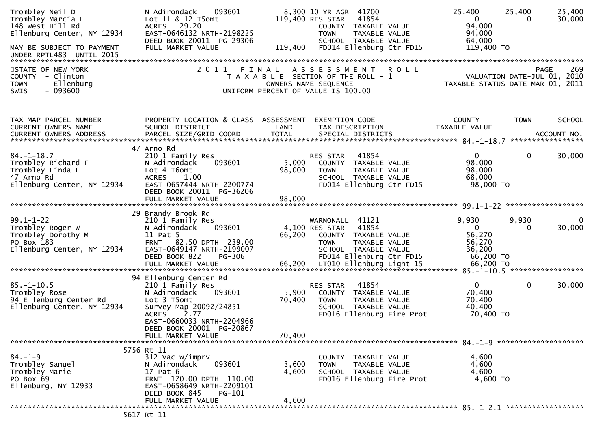| Trombley Neil D<br>Trombley Marcia L<br>148 West Hill Rd<br>Ellenburg Center, NY 12934<br>MAY BE SUBJECT TO PAYMENT<br>UNDER RPTL483 UNTIL 2015 | N Adirondack<br>093601<br>Lot 11 & 12 T5omt<br>ACRES 29.20<br>EAST-0646132 NRTH-2198225<br>DEED BOOK 20011 PG-29306<br>FULL MARKET VALUE                                                                            | 119,400                   | 8,300 10 YR AGR 41700<br>41854<br>119,400 RES STAR<br>COUNTY TAXABLE VALUE<br><b>TOWN</b><br>TAXABLE VALUE<br>SCHOOL TAXABLE VALUE<br>FD014 Ellenburg Ctr FD15 | 25,400<br>25,400<br>$\mathbf{0}$<br>94,000<br>94,000<br>64,000<br>119,400 TO | 25,400<br>30,000<br>$\Omega$                      |
|-------------------------------------------------------------------------------------------------------------------------------------------------|---------------------------------------------------------------------------------------------------------------------------------------------------------------------------------------------------------------------|---------------------------|----------------------------------------------------------------------------------------------------------------------------------------------------------------|------------------------------------------------------------------------------|---------------------------------------------------|
| STATE OF NEW YORK<br>COUNTY - Clinton<br>- Ellenburg<br><b>TOWN</b><br>$-093600$<br>SWIS                                                        | 2011 FINAL                                                                                                                                                                                                          |                           | A S S E S S M E N T<br><b>ROLL</b><br>T A X A B L E SECTION OF THE ROLL - 1<br>OWNERS NAME SEQUENCE<br>UNIFORM PERCENT OF VALUE IS 100.00                      | TAXABLE STATUS DATE-MAR 01, 2011                                             | 269<br><b>PAGE</b><br>VALUATION DATE-JUL 01, 2010 |
| TAX MAP PARCEL NUMBER<br>CURRENT OWNERS NAME                                                                                                    | PROPERTY LOCATION & CLASS ASSESSMENT<br>SCHOOL DISTRICT                                                                                                                                                             | LAND                      | EXEMPTION CODE-----------------COUNTY--------TOWN------SCHOOL<br>TAX DESCRIPTION                                                                               | TAXABLE VALUE                                                                |                                                   |
| $84. - 1 - 18.7$<br>Trombley Richard F<br>Trombley Linda L<br>47 Arno Rd<br>Ellenburg Center, NY 12934                                          | 47 Arno Rd<br>210 1 Family Res<br>093601<br>N Adirondack<br>Lot 4 T6omt<br>1.00<br><b>ACRES</b><br>EAST-0657444 NRTH-2200774<br>DEED BOOK 20011 PG-36206                                                            | 5,000<br>98,000           | 41854<br><b>RES STAR</b><br>COUNTY TAXABLE VALUE<br>TAXABLE VALUE<br><b>TOWN</b><br>SCHOOL TAXABLE VALUE<br>FD014 Ellenburg Ctr FD15                           | $\mathbf{0}$<br>98,000<br>98,000<br>68,000<br>98,000 TO                      | $\mathbf{0}$<br>30,000                            |
| $99.1 - 1 - 22$<br>Trombley Roger W<br>Trombley Dorothy M<br>PO Box 183<br>Ellenburg Center, NY 12934                                           | 29 Brandy Brook Rd<br>210 1 Family Res<br>093601<br>N Adirondack<br>11 Pat 5<br>FRNT 82.50 DPTH 239.00<br>EAST-0649147 NRTH-2199007<br>DEED BOOK 822<br>PG-306                                                      | 66,200                    | WARNONALL 41121<br>41854<br>4,100 RES STAR<br>COUNTY TAXABLE VALUE<br><b>TOWN</b><br>TAXABLE VALUE<br>SCHOOL TAXABLE VALUE<br>FD014 Ellenburg Ctr FD15         | 9,930<br>9,930<br>$\overline{0}$<br>56,270<br>56,270<br>36,200<br>66,200 TO  | 30,000<br>0                                       |
| $85. - 1 - 10.5$<br>Trombley Rose<br>94 Ellenburg Center Rd<br>Ellenburg Center, NY 12934                                                       | 94 Ellenburg Center Rd<br>210 1 Family Res<br>093601<br>N Adirondack<br>Lot 3 T5omt<br>Survey Map 20092/24851<br>2.77<br><b>ACRES</b><br>EAST-0660033 NRTH-2204966<br>DEED BOOK 20001 PG-20867<br>FULL MARKET VALUE | 5,900<br>70,400<br>70,400 | 41854<br>RES STAR<br>COUNTY TAXABLE VALUE<br><b>TOWN</b><br>TAXABLE VALUE<br>SCHOOL TAXABLE VALUE<br>FD016 Ellenburg Fire Prot                                 | $\mathbf{0}$<br>70,400<br>70,400<br>40,400<br>70,400 TO                      | $\mathbf 0$<br>30,000                             |
|                                                                                                                                                 | 5756 Rt 11                                                                                                                                                                                                          |                           |                                                                                                                                                                |                                                                              |                                                   |
| $84. - 1 - 9$<br>Trombley Samuel<br>Trombley Marie<br>PO Box 69<br>Ellenburg, NY 12933                                                          | 312 Vac w/imprv<br>093601<br>N Adirondack<br>$17$ Pat $6$<br>FRNT 120.00 DPTH 110.00<br>EAST-0658649 NRTH-2209101<br>DEED BOOK 845<br>PG-101                                                                        | 3,600<br>4,600            | COUNTY TAXABLE VALUE<br>TAXABLE VALUE<br><b>TOWN</b><br>SCHOOL TAXABLE VALUE<br>FD016 Ellenburg Fire Prot                                                      | 4,600<br>4,600<br>4,600<br>4,600 TO                                          |                                                   |
|                                                                                                                                                 | FULL MARKET VALUE                                                                                                                                                                                                   | 4,600                     |                                                                                                                                                                |                                                                              |                                                   |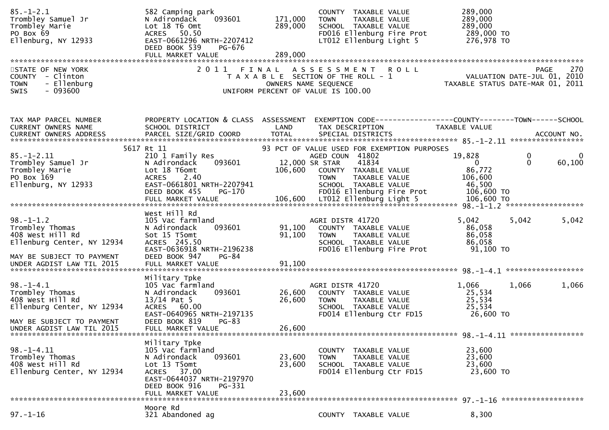| $85. - 1 - 2.1$<br>Trombley Samuel Jr<br>Trombley Marie<br>PO Box 69<br>Ellenburg, NY 12933                                                    | 582 Camping park<br>093601<br>N Adirondack<br>Lot 18 T6 Omt<br>ACRES 50.50<br>EAST-0661296 NRTH-2207412<br>DEED BOOK 539<br>PG-676                                        | 171,000<br>289,000                                                                                  | TOWN                                                                     | COUNTY TAXABLE VALUE<br>TAXABLE VALUE<br>SCHOOL TAXABLE VALUE | FD016 Ellenburg Fire Prot<br>LT012 Ellenburg Light 5 | 289,000<br>289,000<br>289,000<br>289,000 TO<br>276,978 TO                     |                   |                    |
|------------------------------------------------------------------------------------------------------------------------------------------------|---------------------------------------------------------------------------------------------------------------------------------------------------------------------------|-----------------------------------------------------------------------------------------------------|--------------------------------------------------------------------------|---------------------------------------------------------------|------------------------------------------------------|-------------------------------------------------------------------------------|-------------------|--------------------|
| STATE OF NEW YORK<br>COUNTY - Clinton<br>- Ellenburg<br><b>TOWN</b><br>SWIS<br>- 093600                                                        | 2011 FINAL ASSESSMENT ROLL                                                                                                                                                | T A X A B L E SECTION OF THE ROLL - 1<br>OWNERS NAME SEQUENCE<br>UNIFORM PERCENT OF VALUE IS 100.00 |                                                                          |                                                               |                                                      | VALUATION DATE-JUL 01, 2010<br>TAXABLE STATUS DATE-MAR 01, 2011               |                   | 270<br><b>PAGE</b> |
| TAX MAP PARCEL NUMBER<br>CURRENT OWNERS NAME                                                                                                   | PROPERTY LOCATION & CLASS ASSESSMENT<br>SCHOOL DISTRICT                                                                                                                   | LAND                                                                                                | TAX DESCRIPTION                                                          |                                                               |                                                      | EXEMPTION CODE-----------------COUNTY-------TOWN------SCHOOL<br>TAXABLE VALUE |                   |                    |
| 5617 Rt 11<br>$85. - 1 - 2.11$<br>Trombley Samuel Jr<br>Trombley Marie<br>PO Box 169<br>Ellenburg, NY 12933                                    | 210 1 Family Res<br>093601<br>N Adirondack<br>Lot 18 T6omt<br>2.40<br><b>ACRES</b><br>EAST-0661801 NRTH-2207941<br>DEED BOOK 455<br>PG-170                                | 93 PCT OF VALUE USED FOR EXEMPTION PURPOSES<br>106,600                                              | AGED COUN 41802<br>12,000 SR STAR<br>COUNTY TAXABLE VALUE<br><b>TOWN</b> | 41834<br>TAXABLE VALUE<br>SCHOOL TAXABLE VALUE                | FD016 Ellenburg Fire Prot                            | 19,828<br>$\mathbf{0}$<br>86,772<br>106,600<br>46,500<br>106,600 TO           | 0<br>$\mathbf{0}$ | 60,100             |
|                                                                                                                                                |                                                                                                                                                                           |                                                                                                     |                                                                          |                                                               |                                                      |                                                                               |                   |                    |
| $98. - 1 - 1.2$<br>Trombley Thomas<br>408 West Hill Rd<br>Ellenburg Center, NY 12934<br>MAY BE SUBJECT TO PAYMENT                              | West Hill Rd<br>105 Vac farmland<br>N Adirondack<br>093601<br>Sot 15 T5omt<br>ACRES 245.50<br>EAST-0636918 NRTH-2196238<br>DEED BOOK 947<br>$PG-84$                       | 91,100<br>91,100                                                                                    | AGRI DISTR 41720<br>COUNTY TAXABLE VALUE<br><b>TOWN</b>                  | TAXABLE VALUE<br>SCHOOL TAXABLE VALUE                         | FD016 Ellenburg Fire Prot                            | 5,042<br>86,058<br>86,058<br>86,058<br>91,100 TO                              | 5,042             | 5,042              |
| $98. - 1 - 4.1$<br>Trombley Thomas<br>408 West Hill Rd<br>Ellenburg Center, NY 12934<br>MAY BE SUBJECT TO PAYMENT<br>UNDER AGDIST LAW TIL 2015 | Military Tpke<br>105 Vac farmland<br>093601<br>N Adirondack<br>$13/14$ Pat 5<br>ACRES 60.00<br>EAST-0640965 NRTH-2197135<br>DEED BOOK 819<br>$PG-83$<br>FULL MARKET VALUE | 26,600<br>26,600<br>26,600                                                                          | AGRI DISTR 41720<br>COUNTY TAXABLE VALUE<br><b>TOWN</b>                  | TAXABLE VALUE<br>SCHOOL TAXABLE VALUE                         | FD014 Ellenburg Ctr FD15                             | 1,066<br>25,534<br>25,534<br>25,534<br>26,600 TO                              | 1,066             | 1,066              |
| $98. - 1 - 4.11$<br>Trombley Thomas<br>408 West Hill Rd<br>Ellenburg Center, NY 12934                                                          | Military Tpke<br>105 Vac farmland<br>093601<br>N Adirondack<br>Lot 13 T5omt<br>ACRES 37.00<br>EAST-0644037 NRTH-2197970<br>DEED BOOK 916<br>PG-331<br>FULL MARKET VALUE   | 23,600<br>23,600<br>23,600                                                                          | <b>TOWN</b>                                                              | COUNTY TAXABLE VALUE<br>TAXABLE VALUE<br>SCHOOL TAXABLE VALUE | FD014 Ellenburg Ctr FD15                             | 23,600<br>23,600<br>23,600<br>23,600 TO                                       |                   |                    |
| Moore Rd                                                                                                                                       |                                                                                                                                                                           |                                                                                                     |                                                                          |                                                               |                                                      |                                                                               |                   |                    |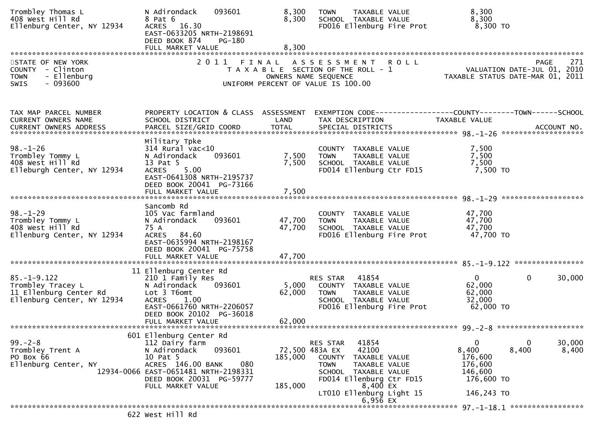| Trombley Thomas L<br>408 West Hill Rd<br>Ellenburg Center, NY 12934                             | N Adirondack<br>093601<br>8 Pat 6<br>16.30<br><b>ACRES</b><br>EAST-0633205 NRTH-2198691<br>DEED BOOK 874<br>PG-180<br>FULL MARKET VALUE                                                   | 8,300<br>8,300<br>8,300    | <b>TAXABLE VALUE</b><br><b>TOWN</b><br>SCHOOL TAXABLE VALUE<br>FD016 Ellenburg Fire Prot                                                                                                                                                | 8,300<br>8,300<br>8,300 TO                                                            |                 |
|-------------------------------------------------------------------------------------------------|-------------------------------------------------------------------------------------------------------------------------------------------------------------------------------------------|----------------------------|-----------------------------------------------------------------------------------------------------------------------------------------------------------------------------------------------------------------------------------------|---------------------------------------------------------------------------------------|-----------------|
| STATE OF NEW YORK<br>COUNTY - Clinton<br>- Ellenburg<br><b>TOWN</b><br>$-093600$<br><b>SWIS</b> |                                                                                                                                                                                           |                            | 2011 FINAL ASSESSMENT ROLL<br>T A X A B L E SECTION OF THE ROLL - 1<br>OWNERS NAME SEQUENCE<br>UNIFORM PERCENT OF VALUE IS 100.00                                                                                                       | PAGE<br>VALUATION DATE-JUL 01, 2010<br>TAXABLE STATUS DATE-MAR 01, 2011               | 271             |
| TAX MAP PARCEL NUMBER<br><b>CURRENT OWNERS NAME</b><br>CURRENT OWNERS ADDRESS                   | PROPERTY LOCATION & CLASS ASSESSMENT<br>SCHOOL DISTRICT                                                                                                                                   | LAND                       | TAX DESCRIPTION                                                                                                                                                                                                                         | EXEMPTION        CODE-----------------COUNTY-------TOWN------SCHOOL<br>TAXABLE VALUE  |                 |
| $98. - 1 - 26$<br>Trombley Tommy L<br>408 West Hill Rd<br>Elleburgh Center, NY 12934            | Military Tpke<br>$314$ Rural vac<10<br>N Adirondack<br>093601<br>13 Pat 5<br>5.00<br><b>ACRES</b><br>EAST-0641308 NRTH-2195737<br>DEED BOOK 20041 PG-73166<br>FULL MARKET VALUE           | 7,500<br>7,500<br>7,500    | COUNTY TAXABLE VALUE<br><b>TOWN</b><br>TAXABLE VALUE<br>SCHOOL TAXABLE VALUE<br>FD014 Ellenburg Ctr FD15                                                                                                                                | 7,500<br>7,500<br>7,500<br>7,500 TO                                                   |                 |
| $98. - 1 - 29$<br>Trombley Tommy L<br>408 West Hill Rd<br>Ellenburg Center, NY 12934            | Sancomb Rd<br>105 Vac farmland<br>N Adirondack<br>093601<br>75 A<br>ACRES 84.60<br>EAST-0635994 NRTH-2198167<br>DEED BOOK 20041 PG-75758<br>FULL MARKET VALUE                             | 47,700<br>47,700<br>47,700 | COUNTY TAXABLE VALUE<br>TAXABLE VALUE<br><b>TOWN</b><br>SCHOOL TAXABLE VALUE<br>FD016 Ellenburg Fire Prot                                                                                                                               | 47,700<br>47,700<br>47,700<br>47,700 TO                                               |                 |
| $85. - 1 - 9.122$<br>Trombley Tracey L<br>11 Ellenburg Center Rd<br>Ellenburg Center, NY 12934  | 11 Ellenburg Center Rd<br>210 1 Family Res<br>093601<br>N Adirondack<br>Lot 3 T6omt<br><b>ACRES</b><br>1.00<br>EAST-0661760 NRTH-2206057<br>DEED BOOK 20102 PG-36018<br>FULL MARKET VALUE | 5,000<br>62,000<br>62,000  | 41854<br><b>RES STAR</b><br>COUNTY TAXABLE VALUE<br><b>TOWN</b><br>TAXABLE VALUE<br>SCHOOL TAXABLE VALUE<br>FD016 Ellenburg Fire Prot                                                                                                   | $\mathbf{0}$<br>$\mathbf{0}$<br>62,000<br>62,000<br>32,000<br>62,000 TO               | 30,000          |
|                                                                                                 | 601 Ellenburg Center Rd                                                                                                                                                                   |                            |                                                                                                                                                                                                                                         |                                                                                       |                 |
| $99 - 2 - 8$<br>Trombley Trent A<br>PO Box 66<br>Ellenburg Center, NY                           | 112 Dairy farm<br>093601<br>N Adirondack<br>10 Pat 5<br>ACRES 146.00 BANK<br>080<br>12934-0066 EAST-0651481 NRTH-2198331<br>DEED BOOK 20031 PG-59777<br>FULL MARKET VALUE                 | 185,000<br>185,000         | 41854<br><b>RES STAR</b><br>72,500 483A EX<br>42100<br><b>COUNTY</b><br>TAXABLE VALUE<br>TAXABLE VALUE<br><b>TOWN</b><br><b>SCHOOL</b><br>TAXABLE VALUE<br>FD014 Ellenburg Ctr FD15<br>8,400 EX<br>LT010 Ellenburg Light 15<br>6,956 EX | 0<br>0<br>8,400<br>8,400<br>176,600<br>176,600<br>146,600<br>176,600 TO<br>146,243 TO | 30,000<br>8,400 |
|                                                                                                 | $C22$ $W22+11-7$                                                                                                                                                                          |                            |                                                                                                                                                                                                                                         | 97. -1-18.1 ******************                                                        |                 |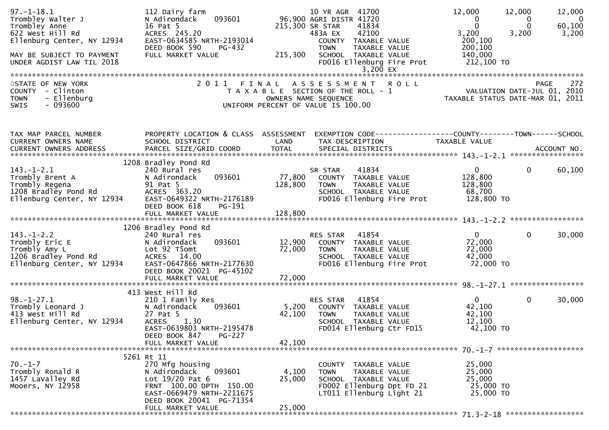| $97. - 1 - 18.1$<br>Trombley Walter J<br>Trombley Anne<br>622 West Hill Rd<br>Ellenburg Center, NY 12934<br>MAY BE SUBJECT TO PAYMENT<br>UNDER AGDIST LAW TIL 2018 | 112 Dairy farm<br>093601<br>N Adirondack<br>16 Pat 5<br>ACRES 245.20<br>EAST-0634585 NRTH-2193014<br>DEED BOOK 590<br>PG-432<br>FULL MARKET VALUE                                      | 215,300                      | 10 YR AGR 41700<br>96,900 AGRI DISTR 41720<br>215,300 SR STAR<br>41834<br>42100<br>483A EX<br>COUNTY TAXABLE VALUE<br>TAXABLE VALUE<br><b>TOWN</b><br>SCHOOL TAXABLE VALUE<br>FD016 Ellenburg Fire Prot | 12,000<br>0<br>$\Omega$<br>3,200<br>200,100<br>200,100<br>140,000<br>212,100 TO | 12,000<br>12,000<br>$\overline{\phantom{0}}$<br>0<br>60,100<br>$\Omega$<br>3,200<br>3,200 |
|--------------------------------------------------------------------------------------------------------------------------------------------------------------------|----------------------------------------------------------------------------------------------------------------------------------------------------------------------------------------|------------------------------|---------------------------------------------------------------------------------------------------------------------------------------------------------------------------------------------------------|---------------------------------------------------------------------------------|-------------------------------------------------------------------------------------------|
| STATE OF NEW YORK<br>COUNTY - Clinton<br>- Ellenburg<br><b>TOWN</b><br>$-093600$<br><b>SWIS</b>                                                                    | 2011 FINAL                                                                                                                                                                             |                              | 3,200 EX<br>ASSESSMENT ROLL<br>T A X A B L E SECTION OF THE ROLL - 1<br>OWNERS NAME SEQUENCE<br>UNIFORM PERCENT OF VALUE IS 100.00                                                                      | VALUATION DATE-JUL 01, 2010<br>TAXABLE STATUS DATE-MAR 01, 2011                 | 272<br><b>PAGE</b>                                                                        |
| TAX MAP PARCEL NUMBER<br>CURRENT OWNERS NAME                                                                                                                       | PROPERTY LOCATION & CLASS ASSESSMENT<br>SCHOOL DISTRICT                                                                                                                                | LAND                         | EXEMPTION CODE------------------COUNTY--------TOWN------SCHOOL<br>TAX DESCRIPTION                                                                                                                       | TAXABLE VALUE                                                                   |                                                                                           |
| $143.-1-2.1$<br>Trombly Brent A<br>Trombly Regena<br>1208 Bradley Pond Rd<br>Ellenburg Center, NY 12934                                                            | 1208 Bradley Pond Rd<br>240 Rural res<br>093601<br>N Adirondack<br>91 Pat 5<br>ACRES 363.20<br>EAST-0649322 NRTH-2176189<br>DEED BOOK 618<br>PG-191<br>FULL MARKET VALUE               | 77,800<br>128,800<br>128,800 | 41834<br>SR STAR<br>COUNTY TAXABLE VALUE<br><b>TOWN</b><br>TAXABLE VALUE<br>SCHOOL TAXABLE VALUE<br>FD016 Ellenburg Fire Prot                                                                           | $\mathbf{0}$<br>128,800<br>128,800<br>68,700<br>128,800 TO                      | $\mathbf{0}$<br>60,100                                                                    |
| $143. - 1 - 2.2$<br>Trombly Eric E<br>Trombly Amy L<br>1206 Bradley Pond Rd<br>Ellenburg Center, NY 12934                                                          | 1206 Bradley Pond Rd<br>240 Rural res<br>093601<br>N Adirondack<br>Lot 92 T5omt<br>ACRES 14.00<br>EAST-0647866 NRTH-2177630<br>DEED BOOK 20021 PG-45102<br>FULL MARKET VALUE           | 12,900<br>72,000<br>72,000   | 41854<br>RES STAR<br>COUNTY TAXABLE VALUE<br><b>TOWN</b><br>TAXABLE VALUE<br>SCHOOL TAXABLE VALUE<br>FD016 Ellenburg Fire Prot                                                                          | $\mathbf{0}$<br>72,000<br>72,000<br>42,000<br>72,000 TO                         | $\mathbf{0}$<br>30,000                                                                    |
| $98. - 1 - 27.1$<br>Trombly Leonard J<br>413 West Hill Rd<br>Ellenburg Center, NY 12934                                                                            | 413 West Hill Rd<br>210 1 Family Res<br>N Adirondack<br>093601<br>27 Pat 5<br><b>ACRES</b><br>1.30<br>EAST-0639803 NRTH-2195478<br>DEED BOOK 847<br><b>PG-227</b><br>FULL MARKET VALUE | 5,200<br>42,100<br>42,100    | 41854<br>RES STAR<br>COUNTY TAXABLE VALUE<br>TAXABLE VALUE<br><b>TOWN</b><br>SCHOOL TAXABLE VALUE<br>FD014 Ellenburg Ctr FD15                                                                           | $\mathbf{0}$<br>42,100<br>42,100<br>12,100<br>42,100 TO                         | 30,000<br>$\mathbf{0}$                                                                    |
|                                                                                                                                                                    | 5261 Rt 11                                                                                                                                                                             |                              |                                                                                                                                                                                                         |                                                                                 |                                                                                           |
| $70. - 1 - 7$<br>Trombly Ronald R<br>1457 LaValley Rd<br>Mooers, NY 12958                                                                                          | 270 Mfg housing<br>093601<br>N Adirondack<br>Lot $19/20$ Pat 6<br>FRNT 100.00 DPTH 150.00<br>EAST-0669479 NRTH-2211675<br>DEED BOOK 20041 PG-71354<br>FULL MARKET VALUE                | 4,100<br>25,000<br>25,000    | COUNTY TAXABLE VALUE<br><b>TOWN</b><br>TAXABLE VALUE<br>SCHOOL TAXABLE VALUE<br>FD002 Ellenburg Dpt FD 21<br>LT011 Ellenburg Light 21                                                                   | 25,000<br>25,000<br>25,000<br>25,000 TO<br>25,000 TO                            |                                                                                           |
|                                                                                                                                                                    |                                                                                                                                                                                        |                              |                                                                                                                                                                                                         |                                                                                 |                                                                                           |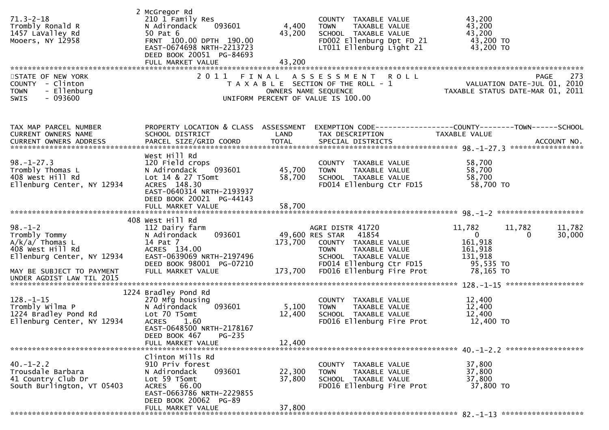| $71.3 - 2 - 18$<br>Trombly Ronald R<br>1457 LaValley Rd<br>Mooers, NY 12958                                               | 2 McGregor Rd<br>210 1 Family Res<br>093601<br>N Adirondack<br>50 Pat 6<br>FRNT 100.00 DPTH 190.00<br>EAST-0674698 NRTH-2213723<br>DEED BOOK 20051 PG-84693<br>FULL MARKET VALUE | 4,400<br>43,200<br>43,200 | COUNTY TAXABLE VALUE<br><b>TOWN</b><br>TAXABLE VALUE<br>SCHOOL TAXABLE VALUE<br>FD002 Ellenburg Dpt FD 21<br>LT011 Ellenburg Light 21                  | 43,200<br>43,200<br>43,200<br>43,200 TO<br>43,200 TO                                                                    |
|---------------------------------------------------------------------------------------------------------------------------|----------------------------------------------------------------------------------------------------------------------------------------------------------------------------------|---------------------------|--------------------------------------------------------------------------------------------------------------------------------------------------------|-------------------------------------------------------------------------------------------------------------------------|
| STATE OF NEW YORK<br>COUNTY - Clinton<br>- Ellenburg<br><b>TOWN</b><br>$-093600$<br>SWIS                                  |                                                                                                                                                                                  | OWNERS NAME SEQUENCE      | 2011 FINAL ASSESSMENT ROLL<br>T A X A B L E SECTION OF THE ROLL - 1<br>UNIFORM PERCENT OF VALUE IS 100.00                                              | 273<br>PAGE<br>VALUATION DATE-JUL 01, 2010<br>2010 VALUATION DATE-JUL 01, 2010<br>2011 TAXABLE STATUS DATE-MAR 01, 2011 |
| TAX MAP PARCEL NUMBER<br>CURRENT OWNERS NAME                                                                              | PROPERTY LOCATION & CLASS ASSESSMENT<br>SCHOOL DISTRICT                                                                                                                          | LAND                      | TAX DESCRIPTION                                                                                                                                        | EXEMPTION CODE------------------COUNTY--------TOWN------SCHOOL<br>TAXABLE VALUE                                         |
| $98. - 1 - 27.3$<br>Trombly Thomas L<br>408 West Hill Rd<br>Ellenburg Center, NY 12934                                    | West Hill Rd<br>120 Field crops<br>093601<br>N Adirondack<br>Lot 14 & 27 T5omt<br>ACRES 148.30<br>EAST-0640314 NRTH-2193937<br>DEED BOOK 20021 PG-44143                          | 45,700<br>58,700          | COUNTY TAXABLE VALUE<br><b>TOWN</b><br>TAXABLE VALUE<br>SCHOOL TAXABLE VALUE<br>FD014 Ellenburg Ctr FD15                                               | 58,700<br>58,700<br>58,700<br>$58,700$ TO                                                                               |
|                                                                                                                           | FULL MARKET VALUE                                                                                                                                                                | 58,700                    |                                                                                                                                                        |                                                                                                                         |
| $98. - 1 - 2$<br>Trombly Tommy Tromble Translation<br>$A/k/a/$ Thomas L<br>408 West Hill Rd<br>Ellenburg Center, NY 12934 | 408 West Hill Rd<br>112 Dairy farm<br>093601<br>N Adirondack<br>14 Pat 7<br>ACRES 134.00<br>EAST-0639069 NRTH-2197496<br>DEED BOOK 98001 PG-07210                                |                           | AGRI DISTR 41720<br>49,600 RES STAR 41854<br>173,700 COUNTY TAXABLE VALUE<br>TOWN<br>TAXABLE VALUE<br>SCHOOL TAXABLE VALUE<br>FD014 Ellenburg Ctr FD15 | 11,782<br>11,782<br>11,782<br>$\overline{0}$<br>30,000<br>0<br>161,918<br>161,918<br>131,918<br>$95,535$ TO             |
| MAY BE SUBJECT TO PAYMENT<br>UNDER AGDIST LAW TIL 2015                                                                    | FULL MARKET VALUE                                                                                                                                                                |                           | 173,700 FD016 Ellenburg Fire Prot                                                                                                                      | 78,165 TO                                                                                                               |
| $128. - 1 - 15$<br>יששע y wiima P<br>1224 Bradley Pond Rd<br>Fllopburg C<br>Ellenburg Center, NY 12934                    | 1224 Bradley Pond Rd<br>270 Mfg housing<br>093601<br>N Adirondack<br>Lot 70 T5omt<br><b>ACRES</b><br>1.60<br>EAST-0648500 NRTH-2178167<br>$PG-235$<br>DEED BOOK 467              | 5,100<br>12,400           | COUNTY TAXABLE VALUE<br>TAXABLE VALUE<br><b>TOWN</b><br>SCHOOL TAXABLE VALUE<br>FD016 Ellenburg Fire Prot                                              | 12,400<br>12,400<br>12,400<br>12,400 TO                                                                                 |
|                                                                                                                           | FULL MARKET VALUE                                                                                                                                                                | 12,400                    |                                                                                                                                                        |                                                                                                                         |
| $40. - 1 - 2.2$<br>Trousdale Barbara<br>41 Country Club Dr<br>South Burlington, VT 05403                                  | Clinton Mills Rd<br>910 Priv forest<br>N Adirondack<br>093601<br>Lot 59 T5omt<br>ACRES 66.00<br>EAST-0663786 NRTH-2229855<br>DEED BOOK 20062 PG-89                               | 22,300<br>37,800          | COUNTY TAXABLE VALUE<br>TAXABLE VALUE<br><b>TOWN</b><br>SCHOOL TAXABLE VALUE<br>FD016 Ellenburg Fire Prot                                              | 37,800<br>37,800<br>37,800<br>37,800 TO                                                                                 |
|                                                                                                                           | FULL MARKET VALUE                                                                                                                                                                | 37,800                    |                                                                                                                                                        |                                                                                                                         |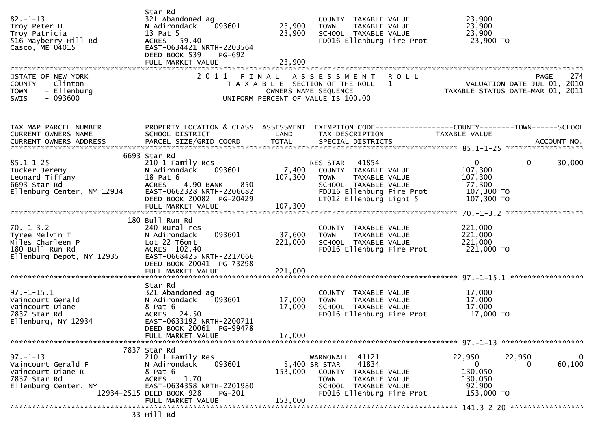| $82. - 1 - 13$<br>Troy Peter H<br>Troy Patricia<br>516 Mayberry Hill Rd<br>Casco, ME 04015                                                   | Star Rd<br>321 Abandoned ag<br>N Adirondack<br>13 Pat 5<br>ACRES 59.40<br>EAST-0634421 NRTH-2203564<br>DEED BOOK 539<br>PG-692<br>FULL MARKET VALUE                                                         | 23,900<br>23,900             | COUNTY TAXABLE VALUE<br>TOWN      TAXABLE VALUE<br>SCHOOL   TAXABLE VALUE<br>FD016 Ellenburg Fire Prot 23,900 TO                                              | 23,900<br>23,900<br>23,900                                                                                       |
|----------------------------------------------------------------------------------------------------------------------------------------------|-------------------------------------------------------------------------------------------------------------------------------------------------------------------------------------------------------------|------------------------------|---------------------------------------------------------------------------------------------------------------------------------------------------------------|------------------------------------------------------------------------------------------------------------------|
| STATE OF NEW YORK<br>COUNTY - Clinton<br>- Ellenburg<br><b>TOWN</b><br>$-093600$<br>SWIS                                                     |                                                                                                                                                                                                             |                              | 2011 FINAL ASSESSMENT ROLL<br>T A X A B L E SECTION OF THE ROLL - 1<br>OWNERS NAME SEQUENCE<br>UNIFORM PERCENT OF VALUE IS 100.00                             | <b>PAGE</b><br>FAGE 274<br>ROLL - 1 VALUATION DATE-JUL 01, 2010<br>TAXABLE STATUS DATE-MAR 01, 2011              |
| TAX MAP PARCEL NUMBER<br>CURRENT OWNERS NAME                                                                                                 | SCHOOL DISTRICT                                                                                                                                                                                             | LAND                         | TAX DESCRIPTION                                                                                                                                               | PROPERTY LOCATION & CLASS ASSESSMENT EXEMPTION CODE---------------COUNTY-------TOWN------SCHOOL<br>TAXABLE VALUE |
| $85.1 - 1 - 25$<br>Tucker Jeremy<br>Leonard Tiffany<br>6693 Star Rd<br>Ellenburg Center, NY 12934                                            | 6693 Star Rd<br>210 1 Family Res<br>093601<br>N Adirondack<br>18 Pat 6<br><b>ACRES</b><br>4.90 BANK<br>850<br>EAST-0662328 NRTH-2206682<br>DEED BOOK 20082 PG-20429<br>FULL MARKET VALUE                    | 107,300<br>107,300           | RES STAR 41854<br>7,400 COUNTY TAXABLE VALUE<br>TAXABLE VALUE<br><b>TOWN</b><br>SCHOOL TAXABLE VALUE<br>FD016 Ellenburg Fire Prot<br>LT012 Ellenburg Light 5  | $\mathbf{0}$<br>$\mathbf{0}$<br>30,000<br>107,300<br>107,300<br>77,300<br>107,300 TO<br>107,300 TO               |
| $70.-1-3.2$<br>Tyree Melvin T<br>$\begin{array}{ccc}\n 1 & 0 & 0 \\  0 & -1 & -3.2 \\  0 & 0 & -9\n\end{array}$<br>Ellenburg Depot, NY 12935 | 180 Bull Run Rd<br>240 Rural res<br>093601<br>N Adirondack<br>Lot 22 T6omt<br>ACRES 102.40<br>EAST-0668425 NRTH-2217066<br>DEED BOOK 20041 PG-73298<br>FULL MARKET VALUE                                    | 37,600<br>221,000<br>221,000 | COUNTY TAXABLE VALUE<br>TOWN<br>TAXABLE VALUE<br>SCHOOL TAXABLE VALUE<br>FD016 Ellenburg Fire Prot                                                            | 221,000<br>221,000<br>221,000<br>221,000 TO                                                                      |
| $97. - 1 - 15.1$<br>Vaincourt Gerald<br>Vaincourt Diane<br>7837 Star Rd<br>Ellenburg, NY 12934                                               | Star Rd<br>321 Abandoned ag<br>093601<br>N Adirondack<br>8 Pat 6<br>ACRES 24.50<br>EAST-0633192 NRTH-2200711<br>DEED BOOK 20061 PG-99478<br>FULL MARKET VALUE                                               | 17,000<br>17,000<br>17,000   | COUNTY TAXABLE VALUE<br>TAXABLE VALUE<br><b>TOWN</b><br>SCHOOL TAXABLE VALUE<br>FD016 Ellenburg Fire Prot 17,000 TO                                           | 17,000<br>17,000<br>17,000                                                                                       |
| $97. - 1 - 13$<br>Vaincourt Gerald F<br>Vaincourt Diane R<br>7837 Star Rd<br>Ellenburg Center, NY                                            | 7837 Star Rd<br>210 1 Family Res<br>N Adirondack<br>093601<br>8 Pat 6<br>1.70<br><b>ACRES</b><br>EAST-0634358 NRTH-2201980<br>12934-2515 DEED BOOK 928<br><b>PG-201</b><br>FULL MARKET VALUE<br>Aa FFIJI CC | 153,000<br>153,000           | WARNONALL 41121<br>41834<br>5,400 SR STAR<br>COUNTY TAXABLE VALUE<br><b>TOWN</b><br><b>TAXABLE VALUE</b><br>SCHOOL TAXABLE VALUE<br>FD016 Ellenburg Fire Prot | 22,950<br>22,950<br>0<br>60,100<br>$\overline{0}$<br>$\Omega$<br>130,050<br>130,050<br>92,900<br>153,000 TO      |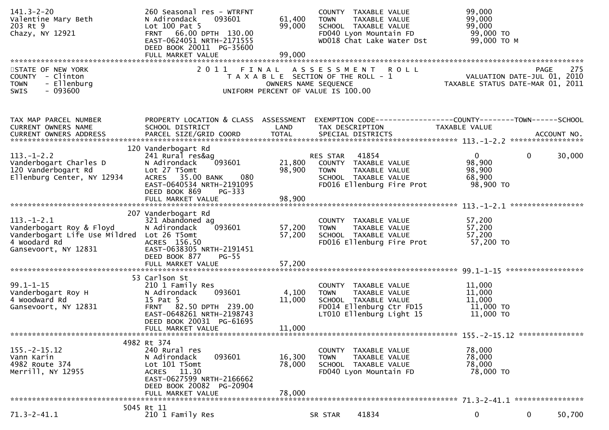| $141.3 - 2 - 20$<br>Valentine Mary Beth<br>203 Rt 9<br>Chazy, NY 12921                                                         | 260 Seasonal res - WTRFNT<br>093601<br>N Adirondack<br>Lot $100$ Pat 5<br>FRNT 66.00 DPTH 130.00<br>EAST-0624051 NRTH-2171555<br>DEED BOOK 20011 PG-35600<br>FULL MARKET VALUE | 61,400<br>99,000<br>99,000 | COUNTY TAXABLE VALUE<br><b>TOWN</b><br>TAXABLE VALUE<br>SCHOOL TAXABLE VALUE<br>FD040 Lyon Mountain FD<br>WD018 Chat Lake Water Dst | 99,000<br>99,000<br>99,000<br>99,000 TO<br>99,000 TO M                                                          |                        |
|--------------------------------------------------------------------------------------------------------------------------------|--------------------------------------------------------------------------------------------------------------------------------------------------------------------------------|----------------------------|-------------------------------------------------------------------------------------------------------------------------------------|-----------------------------------------------------------------------------------------------------------------|------------------------|
| STATE OF NEW YORK<br>COUNTY - Clinton<br>- Ellenburg<br><b>TOWN</b><br>$-093600$<br>SWIS                                       |                                                                                                                                                                                |                            | 2011 FINAL ASSESSMENT ROLL<br>T A X A B L E SECTION OF THE ROLL - 1<br>OWNERS NAME SEQUENCE<br>UNIFORM PERCENT OF VALUE IS 100.00   | PAGE 275<br>VALUATION DATE-JUL 01, 2010<br>TAXARLE STATUS DATE ::: 21, 2010<br>TAXABLE STATUS DATE-MAR 01, 2011 | 275<br><b>PAGE</b>     |
| TAX MAP PARCEL NUMBER<br>CURRENT OWNERS NAME                                                                                   | PROPERTY LOCATION & CLASS ASSESSMENT<br>SCHOOL DISTRICT                                                                                                                        | LAND                       | EXEMPTION CODE-----------------COUNTY-------TOWN------SCHOOL<br>TAX DESCRIPTION                                                     | TAXABLE VALUE                                                                                                   |                        |
| $113. - 1 - 2.2$<br>Vanderbogart Charles D<br>120 Vanderbogart Rd<br>Ellenburg Center, NY 12934                                | 120 Vanderbogart Rd<br>241 Rural res&ag<br>093601<br>N Adirondack<br>Lot 27 T5omt<br>080<br>ACRES 35.00 BANK<br>EAST-0640534 NRTH-2191095<br>DEED BOOK 869<br>PG-333           | 21,800<br>98,900           | 41854<br>RES STAR<br>COUNTY TAXABLE VALUE<br><b>TOWN</b><br>TAXABLE VALUE<br>SCHOOL TAXABLE VALUE<br>FD016 Ellenburg Fire Prot      | $\mathbf{0}$<br>98,900<br>98,900<br>68,900<br>98,900 TO                                                         | $\mathbf{0}$<br>30,000 |
| $113.-1-2.1$<br>Vanderbogart Roy & Floyd<br>Vanderbogart Life Use Mildred Lot 26 T5omt<br>4 Woodard Rd<br>Gansevoort, NY 12831 | 207 Vanderbogart Rd<br>321 Abandoned ag<br>093601<br>N Adirondack<br>ACRES 156.50<br>EAST-0638305 NRTH-2191451<br>DEED BOOK 877<br>$PG-55$                                     | 57,200<br>57,200           | COUNTY TAXABLE VALUE<br><b>TOWN</b><br>TAXABLE VALUE<br>SCHOOL TAXABLE VALUE<br>FD016 Ellenburg Fire Prot                           | 57,200<br>57,200<br>57,200<br>57,200 TO                                                                         |                        |
| $99.1 - 1 - 15$<br>Vanderbogart Roy H<br>4 Woodward Rd<br>Gansevoort, NY 12831                                                 | 53 Carlson St<br>210 1 Family Res<br>093601<br>N Adirondack<br>15 Pat 5<br>FRNT 82.50 DPTH 239.00                                                                              | 4,100<br>11,000            | COUNTY TAXABLE VALUE<br><b>TOWN</b><br>TAXABLE VALUE<br>SCHOOL TAXABLE VALUE<br>FD014 Ellenburg Ctr FD15                            | 11,000<br>11,000<br>11,000<br>11,000 TO                                                                         |                        |
|                                                                                                                                | EAST-0648261 NRTH-2198743<br>DEED BOOK 20031 PG-61695<br>FULL MARKET VALUE                                                                                                     | 11,000                     | LT010 Ellenburg Light 15                                                                                                            | 11,000 TO                                                                                                       |                        |
| $155. -2 - 15.12$<br>Vann Karin<br>4982 Route 374<br>Merrill, NY 12955                                                         | 4982 Rt 374<br>240 Rural res<br>093601<br>N Adirondack<br>Lot 101 T5omt<br>ACRES 11.30<br>EAST-0627599 NRTH-2166662<br>DEED BOOK 20082 PG-20904<br>FULL MARKET VALUE           | 16,300<br>78,000<br>78,000 | COUNTY TAXABLE VALUE<br><b>TOWN</b><br>TAXABLE VALUE<br>SCHOOL TAXABLE VALUE<br>FD040 Lyon Mountain FD                              | 78,000<br>78,000<br>78,000<br>78,000 TO                                                                         |                        |
| $71.3 - 2 - 41.1$                                                                                                              | 5045 Rt 11<br>210 1 Family Res                                                                                                                                                 |                            | 41834<br>SR STAR                                                                                                                    | 0                                                                                                               | $\mathbf{0}$<br>50,700 |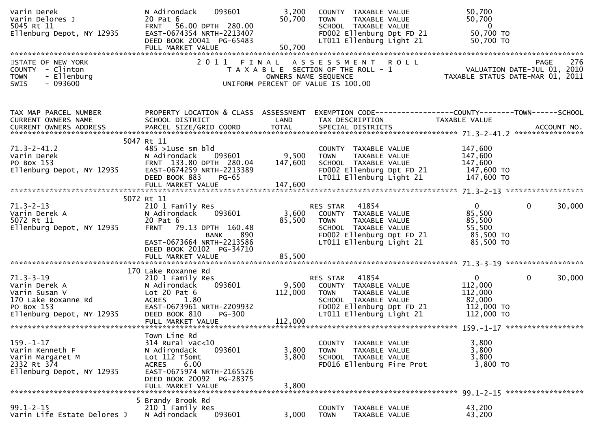| Varin Derek<br>Varin Delores J<br>5045 Rt 11<br>Ellenburg Depot, NY 12935                                           | 093601<br>N Adirondack<br>20 Pat 6<br>FRNT 56.00 DPTH 280.00<br>EAST-0674354 NRTH-2213407<br>DEED BOOK 20041 PG-65483                                                                      | 3,200<br>50,700             | <b>TOWN</b>                                                                                         | COUNTY TAXABLE VALUE<br>TAXABLE VALUE<br>SCHOOL TAXABLE VALUE<br>FD002 Ellenburg Dpt FD 21<br>LT011 Ellenburg Light 21          | 50,700<br>50,700<br>$\overline{\mathbf{0}}$<br>50,700 TO<br>50,700 TO                                          |                        |
|---------------------------------------------------------------------------------------------------------------------|--------------------------------------------------------------------------------------------------------------------------------------------------------------------------------------------|-----------------------------|-----------------------------------------------------------------------------------------------------|---------------------------------------------------------------------------------------------------------------------------------|----------------------------------------------------------------------------------------------------------------|------------------------|
|                                                                                                                     |                                                                                                                                                                                            |                             |                                                                                                     |                                                                                                                                 |                                                                                                                |                        |
| STATE OF NEW YORK<br>COUNTY - Clinton<br><b>TOWN</b><br>- Ellenburg<br><b>SWIS</b><br>- 093600                      | 2011 FINAL ASSESSMENT ROLL                                                                                                                                                                 |                             | T A X A B L E SECTION OF THE ROLL - 1<br>OWNERS NAME SEQUENCE<br>UNIFORM PERCENT OF VALUE IS 100.00 |                                                                                                                                 | 0 L L<br>VALUATION DATE-JUL 01, 2010<br>TAXABLE STATUS DATE-MAR 01, 2011                                       | 276<br>PAGE            |
| TAX MAP PARCEL NUMBER<br>CURRENT OWNERS NAME                                                                        | PROPERTY LOCATION & CLASS ASSESSMENT<br>SCHOOL DISTRICT                                                                                                                                    | LAND                        | TAX DESCRIPTION                                                                                     |                                                                                                                                 | EXEMPTION CODE-----------------COUNTY-------TOWN------SCHOOL<br>TAXABLE VALUE                                  |                        |
|                                                                                                                     | 5047 Rt 11                                                                                                                                                                                 |                             |                                                                                                     |                                                                                                                                 |                                                                                                                |                        |
| $71.3 - 2 - 41.2$<br>Varin Derek<br>PO Box 153<br>Ellenburg Depot, NY 12935                                         | $485 > 1$ use sm bld<br>N Adirondack<br>093601<br>FRNT 133.80 DPTH 280.04<br>EAST-0674259 NRTH-2213389<br>DEED BOOK 883<br>$PG-65$                                                         | 9,500<br>147,600            | <b>TOWN</b>                                                                                         | COUNTY TAXABLE VALUE<br>TAXABLE VALUE<br>SCHOOL TAXABLE VALUE                                                                   | 147,600<br>147,600<br>147,600<br>FD002 Ellenburg Dpt FD $21$ 147,600 TO<br>LT011 Ellenburg Light 21 147,600 TO |                        |
|                                                                                                                     | FULL MARKET VALUE                                                                                                                                                                          | 147,600                     |                                                                                                     |                                                                                                                                 |                                                                                                                |                        |
|                                                                                                                     |                                                                                                                                                                                            |                             |                                                                                                     |                                                                                                                                 |                                                                                                                |                        |
| $71.3 - 2 - 13$<br>Varin Derek A<br>5072 Rt 11<br>ouzz Kt II<br>Ellenburg Depot, NY 12935                           | 5072 Rt 11<br>210 1 Family Res<br>N Adirondack<br>093601<br>20 Pat 6<br><b>FRNT</b><br>79.13 DPTH 160.48<br>890<br>BANK<br>EAST-0673664 NRTH-2213586<br>DEED BOOK 20102 PG-34710           | 3,600<br>85,500             | RES STAR<br><b>TOWN</b>                                                                             | 41854<br>COUNTY TAXABLE VALUE<br>TAXABLE VALUE<br>SCHOOL TAXABLE VALUE<br>FD002 Ellenburg Dpt FD 21<br>LT011 Ellenburg Light 21 | $\mathbf{0}$<br>85,500<br>85,500<br>55,500<br>85,500 TO<br>85,500 TO                                           | $\Omega$<br>30,000     |
|                                                                                                                     |                                                                                                                                                                                            |                             |                                                                                                     |                                                                                                                                 |                                                                                                                |                        |
| $71.3 - 3 - 19$<br>Varin Derek A<br>Varin Susan V<br>170 Lake Roxanne Rd<br>PO Box 153<br>Ellenburg Depot, NY 12935 | 170 Lake Roxanne Rd<br>210 1 Family Res<br>093601<br>N Adirondack<br>Lot $20$ Pat $6$<br>ACRES<br>1.80<br>EAST-0673961 NRTH-2209932<br>DEED BOOK 810<br><b>PG-300</b><br>FULL MARKET VALUE | 9,500<br>112,000<br>112,000 | RES STAR<br><b>TOWN</b>                                                                             | 41854<br>COUNTY TAXABLE VALUE<br>TAXABLE VALUE<br>SCHOOL TAXABLE VALUE<br>FD002 Ellenburg Dpt FD 21<br>LT011 Ellenburg Light 21 | $\mathbf{0}$<br>112,000<br>112,000<br>82,000<br>112,000 TO<br>112,000 TO                                       | $\mathbf{0}$<br>30,000 |
|                                                                                                                     |                                                                                                                                                                                            |                             |                                                                                                     |                                                                                                                                 |                                                                                                                |                        |
| $159. - 1 - 17$<br>Varin Kenneth F<br>Varin Margaret M<br>2332 Rt 374<br>Ellenburg Depot, NY 12935                  | Town Line Rd<br>$314$ Rural vac<10<br>093601<br>N Adirondack<br>Lot 112 T5omt<br>6.00<br><b>ACRES</b><br>EAST-0675974 NRTH-2165526<br>DEED BOOK 20092 PG-28375<br>FULL MARKET VALUE        | 3,800<br>3,800<br>3,800     | COUNTY<br><b>TOWN</b>                                                                               | TAXABLE VALUE<br>TAXABLE VALUE<br>SCHOOL TAXABLE VALUE<br>FD016 Ellenburg Fire Prot                                             | 3,800<br>3,800<br>3,800<br>3,800 TO                                                                            |                        |
|                                                                                                                     |                                                                                                                                                                                            |                             |                                                                                                     |                                                                                                                                 |                                                                                                                |                        |
| $99.1 - 2 - 15$<br>Varin Life Estate Delores J                                                                      | 5 Brandy Brook Rd<br>210 1 Family Res<br>N Adirondack<br>093601                                                                                                                            | 3,000                       | <b>COUNTY</b><br><b>TOWN</b>                                                                        | TAXABLE VALUE<br>TAXABLE VALUE                                                                                                  | 43,200<br>43,200                                                                                               |                        |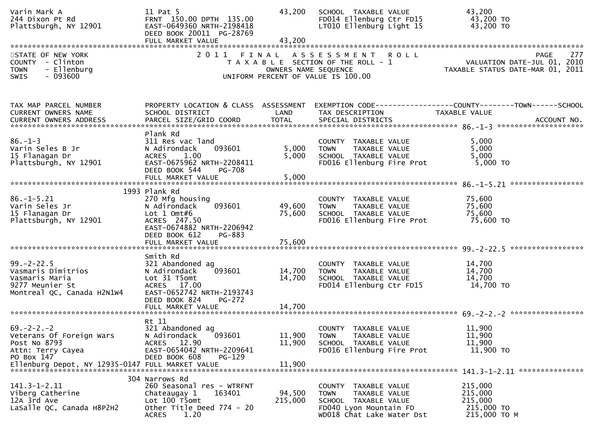| Varin Mark A<br>244 Dixon Pt Rd<br>Plattsburgh, NY 12901                                                  | 11 Pat 5<br>FRNT 150.00 DPTH 135.00<br>EAST-0649360 NRTH-2198418<br>DEED BOOK 20011 PG-28769<br>FULL MARKET VALUE                                    | 43,200<br>43,200     | SCHOOL TAXABLE VALUE<br>FD014 Ellenburg Ctr FD15<br>LT010 Ellenburg Light 15                                                        | 43,200<br>43,200 TO<br>43,200 TO                                                                         |
|-----------------------------------------------------------------------------------------------------------|------------------------------------------------------------------------------------------------------------------------------------------------------|----------------------|-------------------------------------------------------------------------------------------------------------------------------------|----------------------------------------------------------------------------------------------------------|
| STATE OF NEW YORK<br>COUNTY - Clinton<br><b>TOWN</b><br>- Ellenburg<br>$-093600$<br><b>SWIS</b>           |                                                                                                                                                      | OWNERS NAME SEQUENCE | 2011 FINAL ASSESSMENT ROLL<br>T A X A B L E SECTION OF THE ROLL - 1<br>UNIFORM PERCENT OF VALUE IS 100.00                           | PAGE 277<br>VALUATION DATE-JUL 01, 2010<br>TAXARLE STATUS DATE  2010<br>TAXABLE STATUS DATE-MAR 01, 2011 |
| TAX MAP PARCEL NUMBER<br><b>CURRENT OWNERS NAME</b>                                                       | PROPERTY LOCATION & CLASS ASSESSMENT<br>SCHOOL DISTRICT                                                                                              | LAND                 | TAX DESCRIPTION                                                                                                                     | <b>TAXABLE VALUE</b>                                                                                     |
| $86. - 1 - 3$<br>Varin Seles B Jr<br>15 Flanagan Dr<br>Plattsburgh, NY 12901                              | Plank Rd<br>311 Res vac land<br>093601<br>N Adirondack<br>1.00<br>ACRES<br>EAST-0675962 NRTH-2208411<br>DEED BOOK 544<br>PG-708                      | 5,000<br>5,000       | COUNTY TAXABLE VALUE<br>TAXABLE VALUE<br>TOWN<br>SCHOOL TAXABLE VALUE<br>FD016 Ellenburg Fire Prot                                  | 5,000<br>5,000<br>5,000<br>$5,000$ TO                                                                    |
| $86. - 1 - 5.21$<br>Varin Seles Jr<br>15 Flanagan Dr<br>Plattsburgh, NY 12901                             | 1993 Plank Rd<br>270 Mfg housing<br>093601<br>N Adirondack<br>Lot $1$ Omt#6<br>ACRES 247.50<br>EAST-0674882 NRTH-2206942<br>DEED BOOK 612<br>PG-883  | 49,600<br>75,600     | COUNTY TAXABLE VALUE<br><b>TOWN</b><br>TAXABLE VALUE<br>SCHOOL TAXABLE VALUE<br>FD016 Ellenburg Fire Prot                           | 75,600<br>75,600<br>75,600<br>75,600 TO                                                                  |
| $99. - 2 - 22.5$<br>Vasmaris Dimitrios<br>Vasmaris Maria<br>9277 Meunier St<br>Montreal QC, Canada H2N1W4 | Smith Rd<br>321 Abandoned ag<br>093601<br>N Adirondack<br>Lot 31 T5omt<br>ACRES 17.00<br>EAST-0652742 NRTH-2193743<br>DEED BOOK 824<br><b>PG-272</b> | 14,700<br>14,700     | COUNTY TAXABLE VALUE<br>TAXABLE VALUE<br><b>TOWN</b><br>SCHOOL TAXABLE VALUE<br>FD014 Ellenburg Ctr FD15                            | 14,700<br>14,700<br>14,700<br>14,700 TO                                                                  |
| $69. -2 - 2. - 2$<br>Veterans Of Foreign Wars<br>Post No 8793<br>Attn: Terry Cayea<br>PO Box 147          | Rt 11<br>321 Abandoned ag<br>093601<br>N Adirondack<br>ACRES 12.90<br>EAST-0654042 NRTH-2209641<br>DEED BOOK 608<br>PG-129                           | 11,900<br>11,900     | COUNTY TAXABLE VALUE<br>TAXABLE VALUE<br><b>TOWN</b><br>SCHOOL TAXABLE VALUE<br>FD016 Ellenburg Fire Prot                           | 11,900<br>11,900<br>11,900<br>11,900 TO                                                                  |
| $141.3 - 1 - 2.11$<br>Viberg Catherine<br>12A 3rd Ave<br>LaSalle QC, Canada H8P2H2                        | 304 Narrows Rd<br>260 Seasonal res - WTRFNT<br>163401<br>Chateaugay 1<br>Lot 100 T5omt<br>Other Title Deed 774 - 20<br>1.20<br><b>ACRES</b>          | 94,500<br>215,000    | COUNTY TAXABLE VALUE<br><b>TOWN</b><br>TAXABLE VALUE<br>SCHOOL TAXABLE VALUE<br>FD040 Lyon Mountain FD<br>WD018 Chat Lake Water Dst | 215,000<br>215,000<br>215,000<br>215,000 TO<br>215,000 TO M                                              |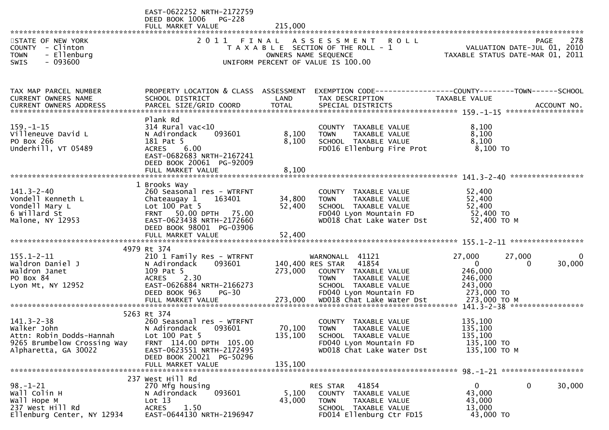|                                                                                                                    | EAST-0622252 NRTH-2172759<br>DEED BOOK 1006<br>PG-228<br>FULL MARKET VALUE                                                                                                                  | 215,000                 |                                                                                                                                                                                  |                                                                                                               |                    |
|--------------------------------------------------------------------------------------------------------------------|---------------------------------------------------------------------------------------------------------------------------------------------------------------------------------------------|-------------------------|----------------------------------------------------------------------------------------------------------------------------------------------------------------------------------|---------------------------------------------------------------------------------------------------------------|--------------------|
| STATE OF NEW YORK<br>COUNTY - Clinton<br><b>TOWN</b><br>- Ellenburg<br>$-093600$<br><b>SWIS</b>                    |                                                                                                                                                                                             |                         | 2011 FINAL ASSESSMENT ROLL<br>T A X A B L E SECTION OF THE ROLL - 1<br>OWNERS NAME SEQUENCE<br>UNIFORM PERCENT OF VALUE IS 100.00                                                | VALUATION DATE-JUL 01, 2010<br>TAXABLE STATUS DATE-MAR 01, 2011                                               | 278<br><b>PAGE</b> |
| TAX MAP PARCEL NUMBER<br>CURRENT OWNERS NAME                                                                       | SCHOOL DISTRICT                                                                                                                                                                             | LAND                    | PROPERTY LOCATION & CLASS ASSESSMENT EXEMPTION CODE----------------COUNTY--------TOWN------SCHOOL<br>TAX DESCRIPTION                                                             | TAXABLE VALUE                                                                                                 |                    |
| $159. - 1 - 15$<br>Villeneuve David L<br>PO Box 266<br>Underhill, VT 05489                                         | Plank Rd<br>$314$ Rural vac< $10$<br>093601<br>N Adirondack<br>181 Pat 5<br><b>ACRES</b><br>6.00<br>EAST-0682683 NRTH-2167241<br>DEED BOOK 20061 PG-92009<br>FULL MARKET VALUE              | 8,100<br>8,100<br>8,100 | COUNTY TAXABLE VALUE<br>TAXABLE VALUE<br>TOWN<br>SCHOOL TAXABLE VALUE<br>FD016 Ellenburg Fire Prot                                                                               | 8,100<br>8,100<br>8,100<br>8,100 TO                                                                           |                    |
| $141.3 - 2 - 40$<br>Vondell Kenneth L<br>Vondell Mary L<br>6 Willard St<br>Malone, NY 12953                        | 1 Brooks Way<br>260 Seasonal res - WTRFNT<br>Chateaugay 1<br>163401<br>Lot $100$ Pat 5<br>FRNT 50.00 DPTH 75.00<br>EAST-0623438 NRTH-2172660<br>DEED BOOK 98001 PG-03906                    | 34,800<br>52,400        | COUNTY TAXABLE VALUE<br>TAXABLE VALUE<br>TOWN<br>SCHOOL TAXABLE VALUE<br>FD040 Lyon Mountain FD<br>WD018 Chat Lake Water Dst                                                     | 52,400<br>52,400<br>52,400<br>52,400 TO<br>52,400 ТО М                                                        |                    |
| $155.1 - 2 - 11$<br>Waldron Daniel J<br>Waldron Janet<br>PO Box 84<br>Lyon Mt, NY 12952                            | 4979 Rt 374<br>210 1 Family Res - WTRFNT<br>093601<br>N Adirondack<br>109 Pat 5<br><b>ACRES</b><br>2.30<br>EAST-0626884 NRTH-2166273<br>DEED BOOK 963<br><b>PG-30</b><br>FULL MARKET VALUE  | 273,000<br>273,000      | WARNONALL 41121<br>140,400 RES STAR 41854<br>COUNTY TAXABLE VALUE<br><b>TOWN</b><br>TAXABLE VALUE<br>SCHOOL TAXABLE VALUE<br>FD040 Lyon Mountain FD<br>WD018 Chat Lake Water Dst | 27,000<br>27,000<br>$\overline{0}$<br>$\Omega$<br>246,000<br>246,000<br>243,000<br>273,000 TO<br>273,000 ТО М | $\Omega$<br>30,000 |
| $141.3 - 2 - 38$<br>Walker John<br>Attn: Robin Dodds-Hannah<br>9265 Brumbelow Crossing Way<br>Alpharetta, GA 30022 | 5263 Rt 374<br>260 Seasonal res - WTRFNT<br>N Adirondack 093601<br>Lot $100$ Pat 5<br>FRNT 114.00 DPTH 105.00<br>EAST-0623551 NRTH-2172495<br>DEED BOOK 20021 PG-50296<br>FULL MARKET VALUE | 135,100<br>135,100      | COUNTY TAXABLE VALUE<br>70,100 TOWN TAXABLE VALUE<br>SCHOOL TAXABLE VALUE<br>FD040 Lyon Mountain FD<br>WD018 Chat Lake Water Dst                                                 | 135,100<br>135,100<br>135,100<br>135,100 TO<br>135,100 ТО М                                                   |                    |
| $98. - 1 - 21$<br>Wall Colin H<br>Wall Hope M<br>237 West Hill Rd<br>Ellenburg Center, NY 12934                    | 237 West Hill Rd<br>270 Mfg housing<br>093601<br>N Adirondack<br>Lot 13<br>1.50<br><b>ACRES</b><br>EAST-0644130 NRTH-2196947                                                                | 5,100<br>43,000         | 41854<br>RES STAR<br>COUNTY TAXABLE VALUE<br>TAXABLE VALUE<br><b>TOWN</b><br>SCHOOL TAXABLE VALUE<br>FD014 Ellenburg Ctr FD15                                                    | $\mathbf{0}$<br>$\overline{0}$<br>43,000<br>43,000<br>13,000<br>43,000 TO                                     | 30,000             |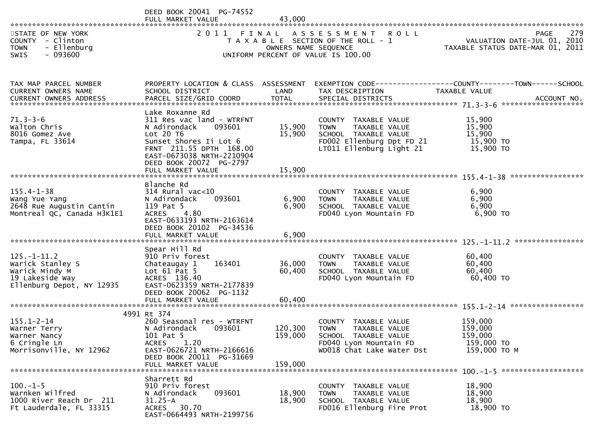|                                                                                                         | DEED BOOK 20041 PG-74552<br>FULL MARKET VALUE                                                                                                                                                    | 43,000                     |                                                                                                                                   |                                                                                |     |
|---------------------------------------------------------------------------------------------------------|--------------------------------------------------------------------------------------------------------------------------------------------------------------------------------------------------|----------------------------|-----------------------------------------------------------------------------------------------------------------------------------|--------------------------------------------------------------------------------|-----|
| STATE OF NEW YORK<br>COUNTY - Clinton<br>- Ellenburg<br><b>TOWN</b><br>$-093600$<br>SWIS                |                                                                                                                                                                                                  | OWNERS NAME SEQUENCE       | 2011 FINAL ASSESSMENT ROLL<br>T A X A B L E SECTION OF THE ROLL - 1<br>UNIFORM PERCENT OF VALUE IS 100.00                         | PAGE<br>VALUATION DATE-JUL 01, 2010<br>TAXABLE STATUS DATE-MAR 01, 2011        | 279 |
| TAX MAP PARCEL NUMBER<br>CURRENT OWNERS NAME                                                            | PROPERTY LOCATION & CLASS ASSESSMENT<br>SCHOOL DISTRICT                                                                                                                                          | LAND                       | TAX DESCRIPTION                                                                                                                   | TAXABLE VALUE                                                                  |     |
| $71.3 - 3 - 6$<br>Walton Chris<br>8016 Gomez Ave<br>Tampa, FL 33614                                     | Lake Roxanne Rd<br>311 Res vac land - WTRFNT<br>093601<br>N Adirondack<br>Lot 20 T6<br>Sunset Shores Ii Lot 6<br>FRNT 211.55 DPTH 168.00<br>EAST-0673038 NRTH-2210904<br>DEED BOOK 20072 PG-2797 | 15,900<br>15,900           | COUNTY TAXABLE VALUE<br>TAXABLE VALUE<br>TOWN<br>SCHOOL TAXABLE VALUE<br>FD002 Ellenburg Dpt FD 21<br>LT011 Ellenburg Light 21    | 15,900<br>15,900<br>15,900<br>15,900 TO<br>15,900 TO                           |     |
| $155.4 - 1 - 38$<br>Wang Yue Yang<br>2648 Rue Augustin Cantin<br>Montreal QC, Canada H3K1E1             | Blanche Rd<br>314 Rural vac<10<br>093601<br>N Adirondack<br>119 Pat 5<br><b>ACRES</b><br>4.80<br>EAST-0633193 NRTH-2163614<br>DEED BOOK 20102 PG-34536<br>FULL MARKET VALUE                      | 6,900<br>6,900<br>6,900    | COUNTY TAXABLE VALUE<br><b>TOWN</b><br>TAXABLE VALUE<br>SCHOOL TAXABLE VALUE<br>FD040 Lyon Mountain FD                            | 6,900<br>6,900<br>6,900<br>6,900 TO                                            |     |
| $125. - 1 - 11.2$<br>Warick Stanley S<br>Warick Mindy M<br>19 Lakeside Way<br>Ellenburg Depot, NY 12935 | Spear Hill Rd<br>910 Priv forest<br>Chateaugay 1<br>163401<br>Lot $61$ Pat 5<br>ACRES 136.40<br>EAST-0623359 NRTH-2177839<br>DEED BOOK 20062 PG-1132<br>FULL MARKET VALUE                        | 36,000<br>60,400<br>60,400 | COUNTY TAXABLE VALUE<br>TAXABLE VALUE<br><b>TOWN</b><br>SCHOOL TAXABLE VALUE<br>FD040 Lyon Mountain FD                            | 60,400<br>60,400<br>60,400<br>60,400 TO                                        |     |
| $155.1 - 2 - 14$<br>Warner Terry<br>Warner Nancy<br>6 Cringle Ln<br>Morrisonville, NY 12962             | 4991 Rt 374<br>260 Seasonal res - WTRFNT<br>N Adirondack 093601<br>101 Pat 5<br>1.20<br><b>ACRES</b><br>EAST-0626721 NRTH-2166616<br>DEED BOOK 20011 PG-31669<br>FULL MARKET VALUE               | 159,000<br>159,000         | COUNTY TAXABLE VALUE<br>120,300 TOWN TAXABLE VALUE<br>SCHOOL TAXABLE VALUE<br>FD040 Lyon Mountain FD<br>WD018 Chat Lake Water Dst | 159,000<br>159,000<br>159,000<br>159,000 TO<br>159,000 ТО М                    |     |
| $100. -1 - 5$<br>Warnken Wilfred<br>1000 River Reach Dr 211<br>Ft Lauderdale, FL 33315                  | Sharrett Rd<br>910 Priv forest<br>N Adirondack<br>093601<br>$31.25 - A$<br>30.70<br>ACRES<br>EAST-0664493 NRTH-2199756                                                                           | 18,900<br>18,900           | COUNTY TAXABLE VALUE<br>TAXABLE VALUE<br><b>TOWN</b><br>SCHOOL TAXABLE VALUE<br>FD016 Ellenburg Fire Prot                         | $100. -1 - 5$ *********************<br>18,900<br>18,900<br>18,900<br>18,900 TO |     |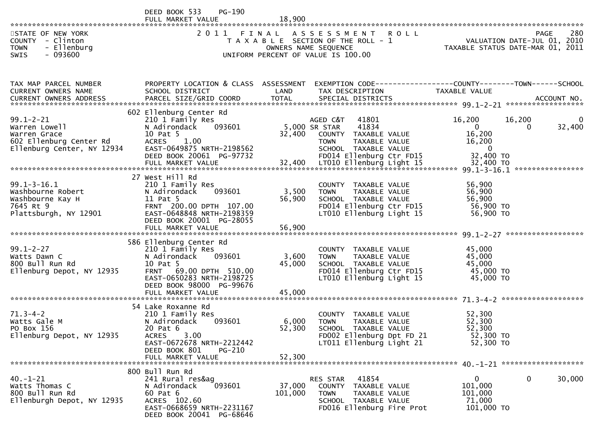|                                                                                                           | DEED BOOK 533<br>$PG-190$<br>FULL MARKET VALUE                                                                                                                     | 18,900            |                                                                                                                                                  |                                                                             |                                     |                       |
|-----------------------------------------------------------------------------------------------------------|--------------------------------------------------------------------------------------------------------------------------------------------------------------------|-------------------|--------------------------------------------------------------------------------------------------------------------------------------------------|-----------------------------------------------------------------------------|-------------------------------------|-----------------------|
| STATE OF NEW YORK<br>COUNTY - Clinton<br><b>TOWN</b><br>- Ellenburg<br>$-093600$<br><b>SWIS</b>           |                                                                                                                                                                    |                   | 2011 FINAL ASSESSMENT ROLL<br>T A X A B L E SECTION OF THE ROLL - 1<br>OWNERS NAME SEQUENCE<br>UNIFORM PERCENT OF VALUE IS 100.00                | TAXABLE STATUS DATE-MAR 01, 2011                                            | PAGE<br>VALUATION DATE-JUL 01, 2010 | 280                   |
|                                                                                                           |                                                                                                                                                                    |                   |                                                                                                                                                  |                                                                             |                                     |                       |
| TAX MAP PARCEL NUMBER<br>CURRENT OWNERS NAME<br>CURRENT OWNERS ADDRESS                                    | PROPERTY LOCATION & CLASS ASSESSMENT EXEMPTION CODE---------------COUNTY-------TOWN------SCHOOL<br>SCHOOL DISTRICT                                                 | LAND              | TAX DESCRIPTION                                                                                                                                  | TAXABLE VALUE                                                               |                                     |                       |
| $99.1 - 2 - 21$<br>Warren Lowell<br>Warren Grace<br>602 Ellenburg Center Rd<br>Ellenburg Center, NY 12934 | 602 Ellenburg Center Rd<br>210 1 Family Res<br>093601<br>N Adirondack<br>10 Pat 5<br><b>ACRES</b><br>1.00<br>EAST-0649875 NRTH-2198562<br>DEED BOOK 20061 PG-97732 | 32,400            | AGED C&T<br>41801<br>5,000 SR STAR<br>41834<br>COUNTY TAXABLE VALUE<br>TAXABLE VALUE<br>TOWN<br>SCHOOL TAXABLE VALUE<br>FD014 Ellenburg Ctr FD15 | 16,200<br>$\overline{0}$<br>16,200<br>16,200<br>$\overline{0}$<br>32,400 TO | 16,200<br>$\Omega$                  | $\mathbf 0$<br>32,400 |
|                                                                                                           |                                                                                                                                                                    |                   |                                                                                                                                                  |                                                                             |                                     |                       |
| $99.1 - 3 - 16.1$<br>Washbourne Robert<br>Washbourne Kay H<br>7645 Rt 9<br>Plattsburgh, NY 12901          | 27 West Hill Rd<br>210 1 Family Res<br>N Adirondack<br>093601<br>11 Pat 5<br>FRNT 200.00 DPTH 107.00<br>EAST-0648848 NRTH-2198359<br>DEED BOOK 20001 PG-28055      | 3,500<br>56,900   | COUNTY TAXABLE VALUE<br><b>TOWN</b><br>TAXABLE VALUE<br>SCHOOL TAXABLE VALUE<br>FD014 Ellenburg Ctr FD15<br>LT010 Ellenburg Light 15             | 56,900<br>56,900<br>56,900<br>56,900 TO<br>56,900 TO                        |                                     |                       |
|                                                                                                           | 586 Ellenburg Center Rd                                                                                                                                            |                   |                                                                                                                                                  |                                                                             |                                     |                       |
| $99.1 - 2 - 27$<br>Watts Dawn C<br>800 Bull Run Rd<br>Ellenburg Depot, NY 12935                           | 210 1 Family Res<br>N Adirondack<br>093601<br>10 Pat 5<br>FRNT 69.00 DPTH 510.00<br>EAST-0650283 NRTH-2198725<br>DEED BOOK 98000 PG-99676                          | 3,600<br>45,000   | COUNTY TAXABLE VALUE<br><b>TOWN</b><br>TAXABLE VALUE<br>SCHOOL TAXABLE VALUE<br>FD014 Ellenburg Ctr FD15<br>LT010 Ellenburg Light 15             | 45,000<br>45,000<br>45,000<br>45,000 TO<br>45,000 TO                        |                                     |                       |
|                                                                                                           | 54 Lake Roxanne Rd                                                                                                                                                 |                   |                                                                                                                                                  |                                                                             |                                     |                       |
| $71.3 - 4 - 2$<br>Watts Gale M<br>PO Box 156<br>Ellenburg Depot, NY 12935                                 | 210 1 Family Res<br>N Adirondack<br>093601<br>20 Pat 6<br>3.00<br><b>ACRES</b><br>EAST-0672678 NRTH-2212442<br>DEED BOOK 801<br>$PG-210$                           | 6,000<br>52,300   | COUNTY TAXABLE VALUE<br><b>TOWN</b><br>TAXABLE VALUE<br>SCHOOL TAXABLE VALUE<br>FD002 Ellenburg Dpt FD 21<br>LT011 Ellenburg Light 21            | 52,300<br>52,300<br>52,300<br>52,300 TO<br>52,300 TO                        |                                     |                       |
|                                                                                                           | FULL MARKET VALUE                                                                                                                                                  | 52,300            |                                                                                                                                                  |                                                                             |                                     |                       |
| $40. - 1 - 21$<br>Watts Thomas C<br>800 Bull Run Rd<br>Ellenburgh Depot, NY 12935                         | 800 Bull Run Rd<br>241 Rural res&ag<br>093601<br>N Adirondack<br>60 Pat 6<br>ACRES 102.60<br>EAST-0668659 NRTH-2231167<br>DEED BOOK 20041 PG-68646                 | 37,000<br>101,000 | 41854<br>RES STAR<br><b>COUNTY</b><br>TAXABLE VALUE<br>TAXABLE VALUE<br><b>TOWN</b><br>SCHOOL TAXABLE VALUE<br>FD016 Ellenburg Fire Prot         | $\mathbf{0}$<br>101,000<br>101,000<br>71,000<br>101,000 TO                  | 0                                   | 30,000                |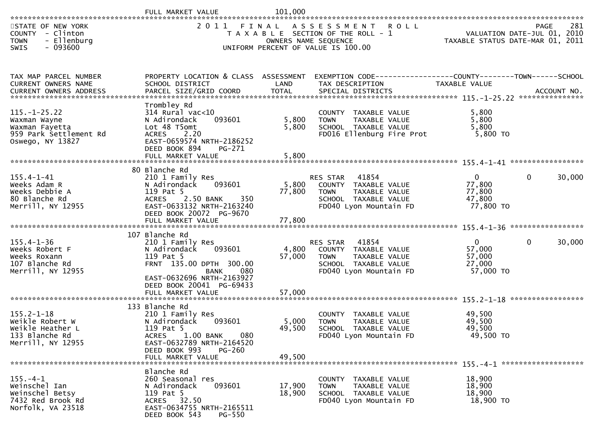| STATE OF NEW YORK<br><b>COUNTY</b><br>- Clinton<br>- Ellenburg<br><b>TOWN</b><br>$-093600$<br><b>SWIS</b> |                                                                                                                                                                                                   | OWNERS NAME SEQUENCE      | 2011 FINAL ASSESSMENT ROLL<br>T A X A B L E SECTION OF THE ROLL - 1<br>UNIFORM PERCENT OF VALUE IS 100.00                   | TAXABLE STATUS DATE-MAR 01, 2011                          | 281<br>PAGE<br>VALUATION DATE-JUL 01, 2010 |
|-----------------------------------------------------------------------------------------------------------|---------------------------------------------------------------------------------------------------------------------------------------------------------------------------------------------------|---------------------------|-----------------------------------------------------------------------------------------------------------------------------|-----------------------------------------------------------|--------------------------------------------|
| TAX MAP PARCEL NUMBER<br><b>CURRENT OWNERS NAME</b>                                                       | PROPERTY LOCATION & CLASS ASSESSMENT<br>SCHOOL DISTRICT                                                                                                                                           | LAND                      | TAX DESCRIPTION                                                                                                             | TAXABLE VALUE                                             |                                            |
| $115. - 1 - 25.22$<br>Waxman Wayne<br>Waxman Fayetta<br>959 Park Settlement Rd<br>Oswego, NY 13827        | Trombley Rd<br>$314$ Rural vac<10<br>093601<br>N Adirondack<br>Lot 48 T5omt<br>ACRES 2.20<br>EAST-0659574 NRTH-2186252<br>DEED BOOK 894<br>PG-271<br>FULL MARKET VALUE                            | 5,800<br>5,800<br>5,800   | COUNTY TAXABLE VALUE<br><b>TOWN</b><br>TAXABLE VALUE<br>SCHOOL TAXABLE VALUE<br>FD016 Ellenburg Fire Prot                   | 5,800<br>5,800<br>5,800<br>5,800 TO                       |                                            |
| $155.4 - 1 - 41$<br>Weeks Adam R<br>Weeks Debbie A<br>80 Blanche Rd<br>Merrill, NY 12955                  | 80 Blanche Rd<br>210 1 Family Res<br>093601<br>N Adirondack<br>119 Pat 5<br>ACRES<br>2.50 BANK<br>350<br>EAST-0633132 NRTH-2163240<br>DEED BOOK 20072 PG-9670<br>FULL MARKET VALUE                | 5,800<br>77,800<br>77,800 | RES STAR<br>41854<br>COUNTY TAXABLE VALUE<br><b>TOWN</b><br>TAXABLE VALUE<br>SCHOOL TAXABLE VALUE<br>FD040 Lyon Mountain FD | $\mathbf{0}$<br>77,800<br>77,800<br>47,800<br>77,800 TO   | 30,000<br>0                                |
| $155.4 - 1 - 36$<br>Weeks Robert F<br>Weeks Roxann<br>107 Blanche Rd<br>Merrill, NY 12955                 | 107 Blanche Rd<br>210 1 Family Res<br>093601<br>N Adirondack<br>119 Pat 5<br>FRNT 135.00 DPTH 300.00<br>080<br>BANK<br>EAST-0632696 NRTH-2163927<br>DEED BOOK 20041 PG-69433<br>FULL MARKET VALUE | 4,800<br>57,000<br>57,000 | 41854<br>RES STAR<br>COUNTY TAXABLE VALUE<br>TAXABLE VALUE<br><b>TOWN</b><br>SCHOOL TAXABLE VALUE<br>FD040 Lyon Mountain FD | $\overline{0}$<br>57,000<br>57,000<br>27,000<br>57,000 TO | 30,000<br>0                                |
| $155.2 - 1 - 18$<br>Weikle Robert W<br>Weikle Heather L<br>133 Blanche Rd<br>Merrill, NY 12955            | 133 Blanche Rd<br>210 1 Family Res<br>093601<br>N Adirondack<br>119 Pat 5<br>ACRES 1.00 BANK<br>080<br>EAST-0632789 NRTH-2164520<br>DEED BOOK 993<br>PG-260<br>FULL MARKET VALUE                  | 5,000<br>49,500<br>49,500 | COUNTY TAXABLE VALUE<br><b>TOWN</b><br><b>TAXABLE VALUE</b><br>SCHOOL TAXABLE VALUE<br>FD040 Lyon Mountain FD               | 49,500<br>49,500<br>49,500<br>49,500 TO                   |                                            |
| $155. - 4 - 1$<br>Weinschel Ian<br>Weinschel Betsy<br>7432 Red Brook Rd<br>Norfolk, VA 23518              | Blanche Rd<br>260 Seasonal res<br>093601<br>N Adirondack<br>119 Pat 5<br>ACRES 32.50<br>EAST-0634755 NRTH-2165511<br>DEED BOOK 543<br>PG-550                                                      | 17,900<br>18,900          | COUNTY TAXABLE VALUE<br>TAXABLE VALUE<br><b>TOWN</b><br>SCHOOL TAXABLE VALUE<br>FD040 Lyon Mountain FD                      | 18,900<br>18,900<br>18,900<br>18,900 TO                   |                                            |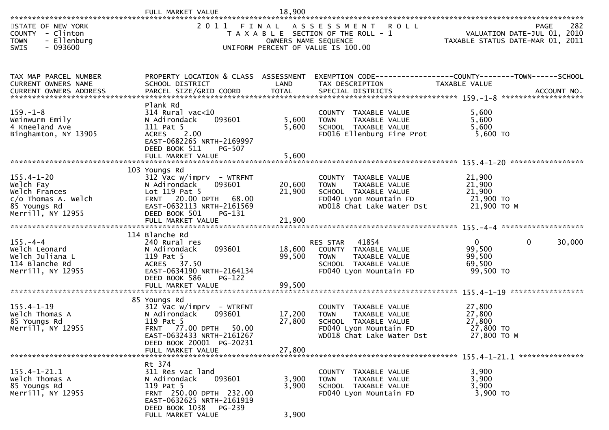| STATE OF NEW YORK<br>COUNTY - Clinton<br>- Ellenburg<br><b>TOWN</b><br>$-093600$<br><b>SWIS</b> |                                                                                                                                                                               | OWNERS NAME SEQUENCE       | 2011 FINAL ASSESSMENT ROLL<br>T A X A B L E SECTION OF THE ROLL - 1<br>UNIFORM PERCENT OF VALUE IS 100.00                           | VALUATION DATE-JUL 01, 2010<br>TAXABLE STATUS DATE-MAR 01, 2011       | -282<br>PAGE |
|-------------------------------------------------------------------------------------------------|-------------------------------------------------------------------------------------------------------------------------------------------------------------------------------|----------------------------|-------------------------------------------------------------------------------------------------------------------------------------|-----------------------------------------------------------------------|--------------|
| TAX MAP PARCEL NUMBER<br>CURRENT OWNERS NAME<br>CURRENT OWNERS ADDRESS                          | PROPERTY LOCATION & CLASS ASSESSMENT<br>SCHOOL DISTRICT                                                                                                                       | LAND                       | EXEMPTION CODE-----------------COUNTY-------TOWN------SCHOOL<br>TAX DESCRIPTION                                                     | TAXABLE VALUE                                                         |              |
| $159. - 1 - 8$<br>Weinwurm Emily<br>4 Kneeland Ave<br>Binghamton, NY 13905                      | Plank Rd<br>$314$ Rural vac< $10$<br>093601<br>N Adirondack<br>111 Pat 5<br>2.00<br><b>ACRES</b><br>EAST-0682265 NRTH-2169997<br>DEED BOOK 511<br>PG-507<br>FULL MARKET VALUE | 5,600<br>5,600<br>5,600    | COUNTY TAXABLE VALUE<br>TAXABLE VALUE<br><b>TOWN</b><br>SCHOOL TAXABLE VALUE<br>FD016 Ellenburg Fire Prot                           | 5,600<br>5,600<br>5,600<br>$5,600$ TO                                 |              |
| $155.4 - 1 - 20$<br>Welch Fay<br>Welch Frances                                                  | 103 Youngs Rd<br>$312$ Vac w/imprv - WTRFNT<br>N Adirondack<br>093601<br>Lot 119 Pat 5                                                                                        | 20,600<br>21,900           | COUNTY TAXABLE VALUE<br>TAXABLE VALUE<br><b>TOWN</b><br>SCHOOL TAXABLE VALUE                                                        | 21,900<br>21,900<br>21,900                                            |              |
| c/o Thomas A. Welch<br>85 Youngs Rd<br>Merrill, NY 12955                                        | FRNT 20.00 DPTH 68.00<br>EAST-0632113 NRTH-2161569<br>DEED BOOK 501<br>PG-131                                                                                                 |                            | FD040 Lyon Mountain FD<br>WD018 Chat Lake Water Dst                                                                                 | 21,900 TO<br>21,900 ТО М                                              |              |
| $155. - 4 - 4$<br>Welch Leonard<br>Welch Juliana L<br>114 Blanche Rd<br>Merrill, NY 12955       | 114 Blanche Rd<br>240 Rural res<br>093601<br>N Adirondack<br>119 Pat 5<br>ACRES 37.50<br>EAST-0634190 NRTH-2164134<br>DEED BOOK 586<br>$PG-122$<br>FULL MARKET VALUE          | 18,600<br>99,500<br>99,500 | 41854<br>RES STAR<br>COUNTY TAXABLE VALUE<br>TAXABLE VALUE<br><b>TOWN</b><br>SCHOOL TAXABLE VALUE<br>FD040 Lyon Mountain FD         | $\overline{0}$<br>$\Omega$<br>99,500<br>99,500<br>69,500<br>99,500 TO | 30,000       |
|                                                                                                 | 85 Youngs Rd                                                                                                                                                                  |                            |                                                                                                                                     |                                                                       |              |
| $155.4 - 1 - 19$<br>Welch Thomas A<br>85 Youngs Rd<br>Merrill, NY 12955                         | $312$ Vac w/imprv - WTRFNT<br>093601<br>N Adirondack<br>119 Pat 5<br>FRNT 77.00 DPTH 50.00<br>EAST-0632433 NRTH-2161267<br>DEED BOOK 20001 PG-20231                           | 17,200<br>27,800           | COUNTY TAXABLE VALUE<br>TAXABLE VALUE<br><b>TOWN</b><br>SCHOOL TAXABLE VALUE<br>FD040 Lyon Mountain FD<br>WD018 Chat Lake Water Dst | 27,800<br>27,800<br>27,800<br>27,800 TO<br>27,800 TO M                |              |
|                                                                                                 | FULL MARKET VALUE                                                                                                                                                             | 27,800                     |                                                                                                                                     |                                                                       |              |
| $155.4 - 1 - 21.1$<br>Welch Thomas A<br>85 Youngs Rd<br>Merrill, NY 12955                       | Rt 374<br>311 Res vac land<br>093601<br>N Adirondack<br>119 Pat 5<br>FRNT 250.00 DPTH 232.00<br>EAST-0632625 NRTH-2161919<br>DEED BOOK 1038 PG-239                            | 3,900<br>3,900             | COUNTY TAXABLE VALUE<br>TAXABLE VALUE<br><b>TOWN</b><br>SCHOOL TAXABLE VALUE<br>FD040 Lyon Mountain FD                              | 3,900<br>3,900<br>3,900<br>3,900 TO                                   |              |
|                                                                                                 | FULL MARKET VALUE                                                                                                                                                             | 3,900                      |                                                                                                                                     |                                                                       |              |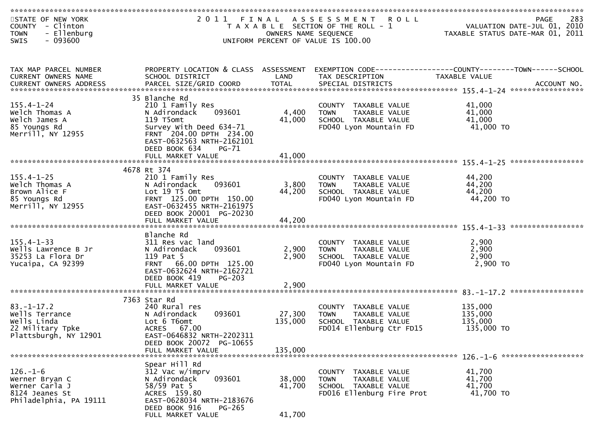| STATE OF NEW YORK<br>COUNTY - Clinton<br>- Ellenburg<br><b>TOWN</b><br>$-093600$<br><b>SWIS</b> |                                                                                                                                                                                                              | OWNERS NAME SEQUENCE         | 2011 FINAL ASSESSMENT ROLL<br>T A X A B L E SECTION OF THE ROLL - 1<br>UNIFORM PERCENT OF VALUE IS 100.00 | 283<br>PAGE<br>VALUATION DATE-JUL 01, 2010<br>TAXABLE STATUS DATE-MAR 01, 2011 |
|-------------------------------------------------------------------------------------------------|--------------------------------------------------------------------------------------------------------------------------------------------------------------------------------------------------------------|------------------------------|-----------------------------------------------------------------------------------------------------------|--------------------------------------------------------------------------------|
| TAX MAP PARCEL NUMBER<br>CURRENT OWNERS NAME                                                    | PROPERTY LOCATION & CLASS ASSESSMENT<br>SCHOOL DISTRICT                                                                                                                                                      | LAND                         | TAX DESCRIPTION                                                                                           | TAXABLE VALUE                                                                  |
|                                                                                                 |                                                                                                                                                                                                              |                              |                                                                                                           |                                                                                |
| $155.4 - 1 - 24$<br>Welch Thomas A<br>Welch James A<br>85 Youngs Rd<br>Merrill, NY 12955        | 35 Blanche Rd<br>210 1 Family Res<br>N Adirondack<br>093601<br>119 T5omt<br>Survey With Deed 634-71<br>FRNT 204.00 DPTH 234.00<br>EAST-0632563 NRTH-2162101<br>DEED BOOK 634<br>$PG-71$<br>FULL MARKET VALUE | 4,400<br>41,000<br>41,000    | COUNTY TAXABLE VALUE<br><b>TOWN</b><br>TAXABLE VALUE<br>SCHOOL TAXABLE VALUE<br>FD040 Lyon Mountain FD    | 41,000<br>41,000<br>41,000<br>41,000 TO                                        |
|                                                                                                 |                                                                                                                                                                                                              |                              |                                                                                                           |                                                                                |
| $155.4 - 1 - 25$<br>Welch Thomas A<br>Brown Alice F<br>85 Youngs Rd<br>Merrill, NY 12955        | 4678 Rt 374<br>210 1 Family Res<br>093601<br>N Adirondack<br>Lot 19 T5 Omt<br>FRNT 125.00 DPTH 150.00<br>EAST-0632455 NRTH-2161975<br>DEED BOOK 20001 PG-20230                                               | 3,800<br>44,200              | COUNTY TAXABLE VALUE<br><b>TOWN</b><br>TAXABLE VALUE<br>SCHOOL TAXABLE VALUE<br>FD040 Lyon Mountain FD    | 44,200<br>44,200<br>44,200<br>44,200 TO                                        |
| $155.4 - 1 - 33$<br>Wells Lawrence B Jr<br>35253 La Flora Dr<br>Yucaipa, CA 92399               | Blanche Rd<br>311 Res vac land<br>N Adirondack<br>093601<br>119 Pat 5<br>FRNT 66.00 DPTH 125.00<br>EAST-0632624 NRTH-2162721<br>DEED BOOK 419<br>$PG-203$<br>FULL MARKET VALUE                               | 2,900<br>2,900<br>2,900      | COUNTY TAXABLE VALUE<br><b>TOWN</b><br>TAXABLE VALUE<br>SCHOOL TAXABLE VALUE<br>FD040 Lyon Mountain FD    | 2,900<br>2,900<br>2,900<br>2,900 TO                                            |
| $83. - 1 - 17.2$<br>Wells Terrance<br>Wells Linda<br>22 Military Tpke<br>Plattsburgh, NY 12901  | 7363 Star Rd<br>240 Rural res<br>N Adirondack<br>093601<br>Lot 6 T6omt<br>ACRES 67.00<br>EAST-0646832 NRTH-2202311<br>DEED BOOK 20072 PG-10655<br>FULL MARKET VALUE                                          | 27,300<br>135,000<br>135,000 | COUNTY TAXABLE VALUE<br><b>TOWN</b><br>TAXABLE VALUE<br>SCHOOL TAXABLE VALUE<br>FD014 Ellenburg Ctr FD15  | 135,000<br>135,000<br>135,000<br>135,000 TO                                    |
| $126. - 1 - 6$<br>Werner Bryan C<br>Werner Carla J<br>8124 Jeanes St<br>Philadelphia, PA 19111  | Spear Hill Rd<br>312 Vac w/imprv<br>093601<br>N Adirondack<br>58/59 Pat 5<br>ACRES 159.80<br>EAST-0628034 NRTH-2183676<br>DEED BOOK 916<br>$PG-265$<br>FULL MARKET VALUE                                     | 38,000<br>41,700<br>41,700   | COUNTY TAXABLE VALUE<br><b>TOWN</b><br>TAXABLE VALUE<br>SCHOOL TAXABLE VALUE<br>FD016 Ellenburg Fire Prot | 41,700<br>41,700<br>41,700<br>41,700 TO                                        |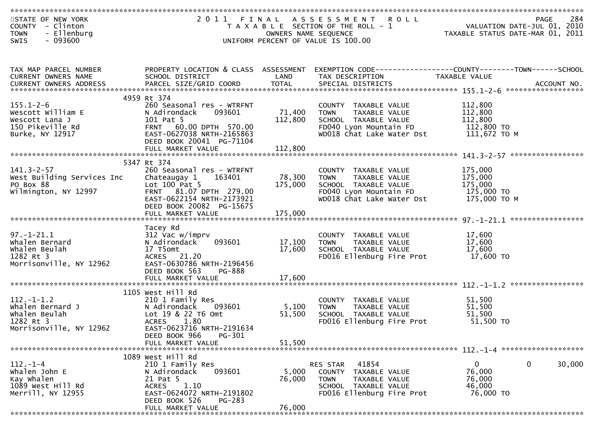| STATE OF NEW YORK          |                                      |                      | 2011 FINAL ASSESSMENT ROLL                                   | PAGE 284<br>VALUATION DATE-JUL 01, 2010<br>TAXARLE STATUS DATE 1115 |        |
|----------------------------|--------------------------------------|----------------------|--------------------------------------------------------------|---------------------------------------------------------------------|--------|
| COUNTY - Clinton           |                                      |                      | T A X A B L E SECTION OF THE ROLL - 1                        |                                                                     |        |
| - Ellenburg<br><b>TOWN</b> |                                      | OWNERS NAME SEQUENCE |                                                              | TAXABLE STATUS DATE-MAR 01, 2011                                    |        |
| $-093600$<br>SWIS          |                                      |                      | UNIFORM PERCENT OF VALUE IS 100.00                           |                                                                     |        |
|                            |                                      |                      |                                                              |                                                                     |        |
|                            |                                      |                      |                                                              |                                                                     |        |
|                            |                                      |                      |                                                              |                                                                     |        |
| TAX MAP PARCEL NUMBER      | PROPERTY LOCATION & CLASS ASSESSMENT |                      | EXEMPTION CODE-----------------COUNTY-------TOWN------SCHOOL |                                                                     |        |
| CURRENT OWNERS NAME        | SCHOOL DISTRICT                      | LAND                 | TAX DESCRIPTION                                              | TAXABLE VALUE                                                       |        |
|                            |                                      |                      |                                                              |                                                                     |        |
|                            |                                      |                      |                                                              |                                                                     |        |
|                            | 4959 Rt 374                          |                      |                                                              |                                                                     |        |
| $155.1 - 2 - 6$            | 260 Seasonal res - WTRFNT            |                      | COUNTY TAXABLE VALUE                                         | 112,800                                                             |        |
| Wescott William E          | N Adirondack<br>093601               | 71,400               | TAXABLE VALUE<br><b>TOWN</b>                                 | 112,800                                                             |        |
| Wescott Lana J             | 101 Pat 5                            | 112,800              | SCHOOL TAXABLE VALUE                                         | 112,800                                                             |        |
| 150 Pikeville Rd           | FRNT 60.00 DPTH 570.00               |                      | FD040 Lyon Mountain FD                                       | 112,800 TO                                                          |        |
| Burke, NY 12917            | EAST-0627038 NRTH-2165863            |                      | WD018 Chat Lake Water Dst                                    | 111,672 ТО М                                                        |        |
|                            | DEED BOOK 20041 PG-71104             |                      |                                                              |                                                                     |        |
|                            | FULL MARKET VALUE                    | 112,800              |                                                              |                                                                     |        |
|                            |                                      |                      |                                                              |                                                                     |        |
|                            | 5347 Rt 374                          |                      |                                                              |                                                                     |        |
| $141.3 - 2 - 57$           | 260 Seasonal res - WTRFNT            |                      | COUNTY TAXABLE VALUE                                         | 175,000                                                             |        |
| West Building Services Inc | Chateaugay 1<br>163401               | 78,300               | TAXABLE VALUE<br><b>TOWN</b>                                 | 175,000                                                             |        |
| PO Box 88                  | Lot $100$ Pat 5                      | 175,000              | SCHOOL TAXABLE VALUE                                         | 175,000                                                             |        |
| Wilmington, NY 12997       | FRNT 81.07 DPTH 279.00               |                      | FD040 Lyon Mountain FD                                       | 175,000 TO                                                          |        |
|                            | EAST-0622154 NRTH-2173921            |                      | WD018 Chat Lake Water Dst                                    | 175,000 ТО М                                                        |        |
|                            | DEED BOOK 20082 PG-15675             |                      |                                                              |                                                                     |        |
|                            | FULL MARKET VALUE                    | 175,000              |                                                              |                                                                     |        |
|                            |                                      |                      |                                                              |                                                                     |        |
|                            | Tacey Rd                             |                      |                                                              |                                                                     |        |
| $97. - 1 - 21.1$           | 312 Vac w/imprv                      |                      | COUNTY TAXABLE VALUE                                         | 17,600                                                              |        |
| Whalen Bernard             | 093601<br>N Adirondack               | 17,100               | <b>TOWN</b><br>TAXABLE VALUE                                 | 17,600                                                              |        |
| Whalen Beulah              | 17 T5omt                             | 17,600               | SCHOOL TAXABLE VALUE                                         | 17,600                                                              |        |
| 1282 Rt 3                  | ACRES 21.20                          |                      | FD016 Ellenburg Fire Prot                                    | 17,600 TO                                                           |        |
| Morrisonville, NY 12962    | EAST-0630786 NRTH-2196456            |                      |                                                              |                                                                     |        |
|                            | DEED BOOK 563<br><b>PG-888</b>       |                      |                                                              |                                                                     |        |
|                            | FULL MARKET VALUE                    | 17,600               |                                                              |                                                                     |        |
|                            |                                      |                      |                                                              |                                                                     |        |
|                            | 1105 West Hill Rd                    |                      |                                                              |                                                                     |        |
| $112. - 1 - 1.2$           | 210 1 Family Res                     |                      | COUNTY TAXABLE VALUE                                         | 51,500                                                              |        |
| Whalen Bernard J           | N Adirondack<br>093601               | 5,100                | TAXABLE VALUE<br><b>TOWN</b>                                 | 51,500                                                              |        |
| Whalen Beulah              | Lot 19 & 22 T6 Omt                   | 51,500               | SCHOOL TAXABLE VALUE                                         | 51,500                                                              |        |
| 1282 Rt 3                  | <b>ACRES</b><br>1.80                 |                      | FD016 Ellenburg Fire Prot                                    | 51,500 TO                                                           |        |
| Morrisonville, NY 12962    | EAST-0623716 NRTH-2191634            |                      |                                                              |                                                                     |        |
|                            | PG-301<br>DEED BOOK 966              |                      |                                                              |                                                                     |        |
|                            |                                      | 51,500               |                                                              |                                                                     |        |
|                            | FULL MARKET VALUE                    |                      |                                                              |                                                                     |        |
|                            | 1089 West Hill Rd                    |                      |                                                              |                                                                     |        |
| $112. - 1 - 4$             | 210 1 Family Res                     |                      | 41854<br>RES STAR                                            | 0<br>0                                                              | 30,000 |
| Whalen John E              | 093601<br>N Adirondack               | 5,000                | COUNTY TAXABLE VALUE                                         | 76,000                                                              |        |
| Kay Whalen                 | 21 Pat 5                             | 76,000               | <b>TOWN</b><br>TAXABLE VALUE                                 | 76,000                                                              |        |
| 1089 West Hill Rd          | 1.10<br><b>ACRES</b>                 |                      | SCHOOL TAXABLE VALUE                                         | 46,000                                                              |        |
| Merrill, NY 12955          | EAST-0624072 NRTH-2191802            |                      | FD016 Ellenburg Fire Prot                                    | 76,000 TO                                                           |        |
|                            |                                      |                      |                                                              |                                                                     |        |
|                            | DEED BOOK 526<br>PG-283              | 76,000               |                                                              |                                                                     |        |
|                            | FULL MARKET VALUE                    |                      |                                                              |                                                                     |        |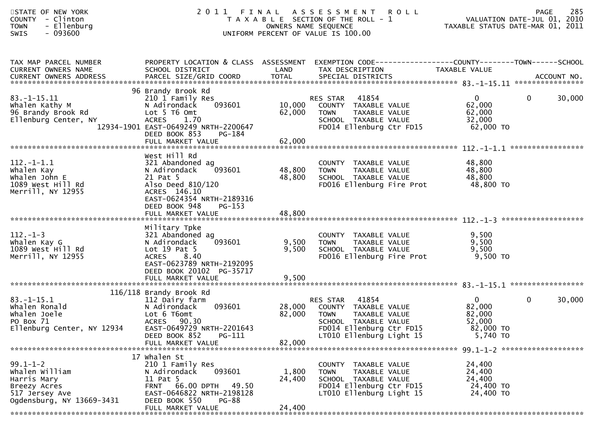| STATE OF NEW YORK<br>- Clinton<br><b>COUNTY</b><br>- Ellenburg<br><b>TOWN</b><br>$-093600$<br><b>SWIS</b>      |                                                                                                                                                                                                  |                            | 2011 FINAL ASSESSMENT<br><b>ROLL</b><br>T A X A B L E SECTION OF THE ROLL - 1<br>OWNERS NAME SEQUENCE<br>UNIFORM PERCENT OF VALUE IS 100.00        |                                                                       | 285<br><b>PAGE</b><br>VALUATION DATE-JUL 01, 2010<br>TAXABLE STATUS DATE-MAR 01, 2011 |
|----------------------------------------------------------------------------------------------------------------|--------------------------------------------------------------------------------------------------------------------------------------------------------------------------------------------------|----------------------------|----------------------------------------------------------------------------------------------------------------------------------------------------|-----------------------------------------------------------------------|---------------------------------------------------------------------------------------|
| TAX MAP PARCEL NUMBER<br>CURRENT OWNERS NAME                                                                   | SCHOOL DISTRICT                                                                                                                                                                                  | LAND                       | PROPERTY LOCATION & CLASS ASSESSMENT EXEMPTION CODE----------------COUNTY-------TOWN------SCHOOL<br>TAX DESCRIPTION                                | TAXABLE VALUE                                                         |                                                                                       |
| $83. - 1 - 15.11$<br>Whalen Kathy M<br>96 Brandy Brook Rd<br>Ellenburg Center, NY                              | 96 Brandy Brook Rd<br>210 1 Family Res<br>093601<br>N Adirondack<br>Lot 5 T6 Omt<br><b>ACRES</b><br>1.70<br>12934-1901 EAST-0649249 NRTH-2200647<br>DEED BOOK 853<br>PG-184<br>FULL MARKET VALUE | 10,000<br>62,000<br>62,000 | 41854<br>RES STAR<br>COUNTY TAXABLE VALUE<br><b>TOWN</b><br>TAXABLE VALUE<br>SCHOOL TAXABLE VALUE<br>FD014 Ellenburg Ctr FD15                      | $\mathbf{0}$<br>62,000<br>62,000<br>32,000<br>62,000 TO               | $\mathbf{0}$<br>30,000                                                                |
|                                                                                                                | West Hill Rd                                                                                                                                                                                     |                            |                                                                                                                                                    |                                                                       |                                                                                       |
| $112.-1-1.1$<br>Whalen Kay<br>Whalen John E<br>1089 West Hill Rd<br>Merrill, NY 12955                          | 321 Abandoned ag<br>093601<br>N Adirondack<br>21 Pat 5<br>Also Deed 810/120<br>ACRES 146.10<br>EAST-0624354 NRTH-2189316<br>DEED BOOK 948<br>$PG-153$                                            | 48,800<br>48,800           | COUNTY TAXABLE VALUE<br><b>TOWN</b><br>TAXABLE VALUE<br>SCHOOL TAXABLE VALUE<br>FD016 Ellenburg Fire Prot                                          | 48,800<br>48,800<br>48,800<br>48,800 TO                               |                                                                                       |
|                                                                                                                |                                                                                                                                                                                                  |                            |                                                                                                                                                    |                                                                       |                                                                                       |
| $112. - 1 - 3$<br>Whalen Kay G<br>1089 West Hill Rd<br>Merrill, NY 12955                                       | Military Tpke<br>321 Abandoned ag<br>093601<br>N Adirondack<br>Lot $19$ Pat $5$<br>8.40<br><b>ACRES</b><br>EAST-0623789 NRTH-2192095<br>DEED BOOK 20102 PG-35717                                 | 9,500<br>9,500             | COUNTY TAXABLE VALUE<br>TAXABLE VALUE<br><b>TOWN</b><br>SCHOOL TAXABLE VALUE<br>FD016 Ellenburg Fire Prot                                          | 9,500<br>9,500<br>9,500<br>9,500 TO                                   |                                                                                       |
|                                                                                                                | 116/118 Brandy Brook Rd                                                                                                                                                                          |                            |                                                                                                                                                    |                                                                       |                                                                                       |
| $83. - 1 - 15.1$<br>Whalen Ronald<br>Whalen Joele<br>PO Box 71<br>Ellenburg Center, NY 12934                   | 112 Dairy farm<br>093601<br>N Adirondack<br>Lot 6 T6omt<br>ACRES 90.30<br>EAST-0649729 NRTH-2201643<br>DEED BOOK 852<br>PG-111                                                                   | 28,000<br>82,000           | 41854<br>RES STAR<br>COUNTY TAXABLE VALUE<br>TAXABLE VALUE<br>TOWN<br>SCHOOL TAXABLE VALUE<br>FD014 Ellenburg Ctr FD15<br>LT010 Ellenburg Light 15 | $\mathbf{0}$<br>82,000<br>82,000<br>52,000<br>82,000 TO<br>$5,740$ TO | $\mathbf 0$<br>30,000                                                                 |
|                                                                                                                | FULL MARKET VALUE                                                                                                                                                                                | 82,000                     |                                                                                                                                                    |                                                                       |                                                                                       |
| $99.1 - 1 - 2$<br>Whalen William<br>Harris Mary<br>Breezy Acres<br>517 Jersey Ave<br>Ogdensburg, NY 13669-3431 | 17 whalen St<br>210 1 Family Res<br>093601<br>N Adirondack<br>11 Pat 5<br>FRNT 66.00 DPTH 49.50<br>EAST-0646822 NRTH-2198128<br>DEED BOOK 550<br>PG-88<br>FULL MARKET VALUE                      | 1,800<br>24,400<br>24,400  | COUNTY TAXABLE VALUE<br><b>TOWN</b><br>TAXABLE VALUE<br>SCHOOL TAXABLE VALUE<br>FD014 Ellenburg Ctr FD15<br>LT010 Ellenburg Light 15               | 24,400<br>24,400<br>24,400<br>24,400 TO<br>24,400 TO                  |                                                                                       |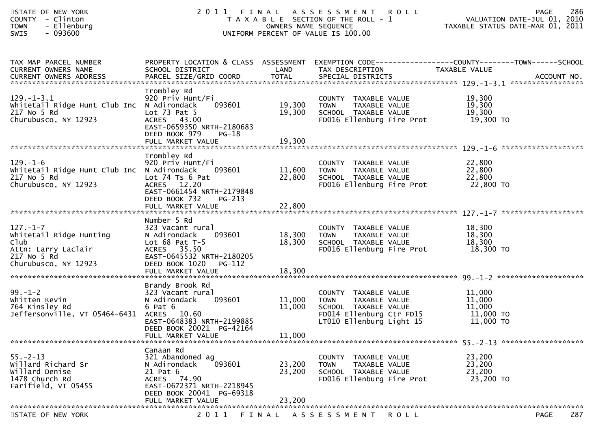| STATE OF NEW YORK<br>- Clinton<br>COUNTY<br><b>TOWN</b><br>- Ellenburg<br>$-093600$<br>SWIS                     |                                                                                                                                                                       | OWNERS NAME SEQUENCE            | 2011 FINAL ASSESSMENT<br><b>ROLL</b><br>T A X A B L E SECTION OF THE ROLL - 1<br>UNIFORM PERCENT OF VALUE IS 100.00   | 286<br><b>PAGE</b><br>VALUATION DATE-JUL 01, 2010<br>TAXABLE STATUS DATE-MAR 01, 2011                             |
|-----------------------------------------------------------------------------------------------------------------|-----------------------------------------------------------------------------------------------------------------------------------------------------------------------|---------------------------------|-----------------------------------------------------------------------------------------------------------------------|-------------------------------------------------------------------------------------------------------------------|
| TAX MAP PARCEL NUMBER<br><b>CURRENT OWNERS NAME</b><br>CURRENT OWNERS ADDRESS                                   | SCHOOL DISTRICT                                                                                                                                                       | LAND                            | TAX DESCRIPTION                                                                                                       | PROPERTY LOCATION & CLASS ASSESSMENT EXEMPTION CODE----------------COUNTY-------TOWN------SCHOOL<br>TAXABLE VALUE |
| $129. - 1 - 3.1$<br>Whitetail Ridge Hunt Club Inc N Adirondack<br>217 No 5 Rd<br>Churubusco, NY 12923           | Trombley Rd<br>920 Priv Hunt/Fi<br>093601<br>Lot $73$ Pat $5$<br>ACRES 43.00<br>EAST-0659350 NRTH-2180683<br>DEED BOOK 979<br>PG-18                                   | 19,300<br>19,300                | COUNTY TAXABLE VALUE<br>TAXABLE VALUE<br><b>TOWN</b><br>SCHOOL TAXABLE VALUE<br>FD016 Ellenburg Fire Prot 19,300 TO   | 19,300<br>19,300<br>19,300                                                                                        |
|                                                                                                                 | FULL MARKET VALUE                                                                                                                                                     | 19,300                          |                                                                                                                       |                                                                                                                   |
| $129. - 1 - 6$<br>Whitetail Ridge Hunt Club Inc N Adirondack<br>217 No 5 Rd<br>Churubusco, NY 12923             | Trombley Rd<br>920 Priv Hunt/Fi<br>093601<br>Lot $74$ Ts $6$ Pat<br>ACRES 12.20<br>EAST-0661454 NRTH-2179848<br>DEED BOOK 732<br>$PG-213$                             | 11,600 TOWN<br>22,800           | COUNTY TAXABLE VALUE<br>TAXABLE VALUE<br>TAXABLE VALUE<br>SCHOOL TAXABLE VALUE<br>FD016 Ellenburg Fire Prot           | 22,800<br>$\frac{22}{22},\frac{800}{22}$<br>22,800 TO                                                             |
|                                                                                                                 | FULL MARKET VALUE                                                                                                                                                     | 22,800                          |                                                                                                                       |                                                                                                                   |
| $127. - 1 - 7$<br>Whitetail Ridge Hunting<br>Club<br>Attn: Larry Laclair<br>217 No 5 Rd<br>Churubusco, NY 12923 | Number 5 Rd<br>323 Vacant rural<br>N Adirondack<br>093601<br>Lot $68$ Pat T-5<br>ACRES 35.50<br>EAST-0645532 NRTH-2180205<br>DEED BOOK 1020<br>PG-112                 | 18,300<br>18,300                | COUNTY TAXABLE VALUE<br><b>TOWN</b><br>TAXABLE VALUE<br>SCHOOL TAXABLE VALUE<br>FD016 Ellenburg Fire Prot 18,300 TO   | 18,300<br>18,300<br>18,300                                                                                        |
| $99. - 1 - 2$<br>Whitten Kevin<br>764 Kinsley Rd<br>Jeffersonville, VT 05464-6431                               | Brandy Brook Rd<br>323 Vacant rural<br>093601<br>N Adirondack<br>6 Pat 6<br>ACRES 10.60<br>EAST-0648383 NRTH-2199885<br>DEED BOOK 20021 PG-42164<br>FULL MARKET VALUE | 11,000 TOWN<br>11,000<br>11,000 | COUNTY TAXABLE VALUE<br>TAXABLE VALUE<br>SCHOOL TAXABLE VALUE<br>FD014 Ellenburg Ctr FD15<br>LT010 Ellenburg Light 15 | 11,000<br>11,000<br>11,000<br>11,000 TO<br>11,000 TO                                                              |
|                                                                                                                 | Canaan Rd                                                                                                                                                             |                                 |                                                                                                                       |                                                                                                                   |
| $55. - 2 - 13$<br>Willard Richard Sr<br>Willard Denise<br>1478 Church Rd<br>Farifield, VT 05455                 | 321 Abandoned ag<br>N Adirondack<br>093601<br>21 Pat 6<br>ACRES 74.90<br>EAST-0672371 NRTH-2218945<br>DEED BOOK 20041 PG-69318<br>FULL MARKET VALUE                   | 23,200<br>23,200<br>23,200      | COUNTY TAXABLE VALUE<br>TAXABLE VALUE<br><b>TOWN</b><br>SCHOOL TAXABLE VALUE<br>FD016 Ellenburg Fire Prot             | 23,200<br>23,200<br>23,200<br>23,200 TO                                                                           |
|                                                                                                                 |                                                                                                                                                                       |                                 |                                                                                                                       |                                                                                                                   |
| STATE OF NEW YORK                                                                                               | 2 0 1 1                                                                                                                                                               | FINAL                           | A S S E S S M E N T<br><b>ROLL</b>                                                                                    | 287<br><b>PAGE</b>                                                                                                |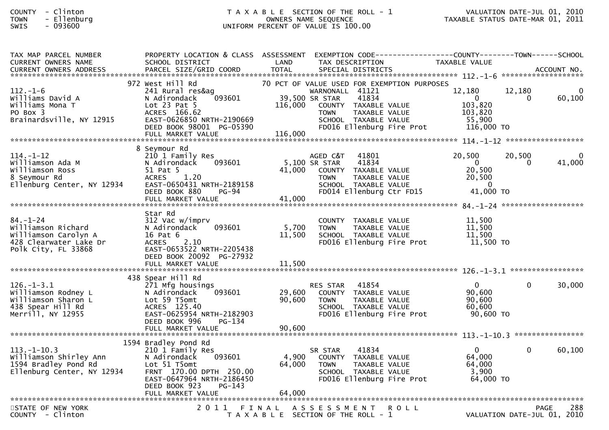#### COUNTY - Clinton T A X A B L E SECTION OF THE ROLL - 1 VALUATION DATE-JUL 01, 2010TOWN - Ellenburg OWNERS NAME SEQUENCE TAXABLE STATUS DATE-MAR 01, 2011SWIS - 093600 UNIFORM PERCENT OF VALUE IS 100.00

| TAX MAP PARCEL NUMBER<br><b>CURRENT OWNERS NAME</b><br><b>CURRENT OWNERS ADDRESS</b>                          | PROPERTY LOCATION & CLASS ASSESSMENT EXEMPTION CODE----------------COUNTY-------TOWN------SCHOOL<br>SCHOOL DISTRICT<br>PARCEL SIZE/GRID COORD                                    | LAND<br><b>TOTAL</b> | TAX DESCRIPTION<br>SPECIAL DISTRICTS                                                                                                                                                                   | TAXABLE VALUE                                                               | ACCOUNT NO.                         |                |
|---------------------------------------------------------------------------------------------------------------|----------------------------------------------------------------------------------------------------------------------------------------------------------------------------------|----------------------|--------------------------------------------------------------------------------------------------------------------------------------------------------------------------------------------------------|-----------------------------------------------------------------------------|-------------------------------------|----------------|
|                                                                                                               |                                                                                                                                                                                  |                      |                                                                                                                                                                                                        |                                                                             |                                     |                |
| $112. - 1 - 6$<br>Williams David A<br>Williams Mona T<br>PO Box 3<br>Brainardsville, NY 12915                 | 972 West Hill Rd<br>241 Rural res&ag<br>093601<br>N Adirondack<br>Lot $23$ Pat $5$<br>ACRES 166.62<br>EAST-0626850 NRTH-2190669<br>DEED BOOK 98001 PG-05390<br>FULL MARKET VALUE | 116,000<br>116,000   | 70 PCT OF VALUE USED FOR EXEMPTION PURPOSES<br>WARNONALL 41121<br>39,500 SR STAR<br>41834<br>COUNTY TAXABLE VALUE<br><b>TOWN</b><br>TAXABLE VALUE<br>SCHOOL TAXABLE VALUE<br>FD016 Ellenburg Fire Prot | 12,180<br>$\Omega$<br>103,820<br>103,820<br>55,900<br>116,000 TO            | 12,180<br>60,100<br>$\Omega$        |                |
|                                                                                                               | 8 Seymour Rd                                                                                                                                                                     |                      |                                                                                                                                                                                                        |                                                                             |                                     |                |
| $114. - 1 - 12$<br>Williamson Ada M<br>Williamson Ross<br>8 Seymour Rd<br>Ellenburg Center, NY 12934          | 210 1 Family Res<br>093601<br>N Adirondack<br>51 Pat 5<br>1.20<br><b>ACRES</b><br>EAST-0650431 NRTH-2189158<br>DEED BOOK 880<br>PG-94                                            | 41,000               | 41801<br>AGED C&T<br>5,100 SR STAR<br>41834<br>COUNTY TAXABLE VALUE<br>TAXABLE VALUE<br><b>TOWN</b><br>SCHOOL TAXABLE VALUE<br>FD014 Ellenburg Ctr FD15                                                | 20,500<br>$\overline{0}$<br>20,500<br>20,500<br>$\overline{0}$<br>41,000 TO | 20,500<br>41,000<br>0               | $\overline{0}$ |
|                                                                                                               |                                                                                                                                                                                  |                      |                                                                                                                                                                                                        |                                                                             |                                     |                |
| $84. - 1 - 24$<br>Williamson Richard<br>Williamson Carolyn A<br>428 Clearwater Lake Dr<br>Polk City, FL 33868 | Star Rd<br>312 Vac w/imprv<br>N Adirondack<br>093601<br>16 Pat 6<br>2.10<br><b>ACRES</b><br>EAST-0653522 NRTH-2205438<br>DEED BOOK 20092 PG-27932                                | 5,700<br>11,500      | COUNTY TAXABLE VALUE<br>TAXABLE VALUE<br><b>TOWN</b><br>SCHOOL TAXABLE VALUE<br>FD016 Ellenburg Fire Prot                                                                                              | 11,500<br>11,500<br>11,500<br>11,500 TO                                     |                                     |                |
|                                                                                                               |                                                                                                                                                                                  |                      |                                                                                                                                                                                                        |                                                                             |                                     |                |
| $126. - 1 - 3.1$<br>Williamson Rodney L<br>Williamson Sharon L<br>438 Spear Hill Rd<br>Merrill, NY 12955      | 438 Spear Hill Rd<br>271 Mfg housings<br>093601<br>N Adirondack<br>Lot 59 T5omt<br>ACRES 125.40<br>EAST-0625954 NRTH-2182903<br>DEED BOOK 996<br>PG-134                          | 29,600<br>90,600     | 41854<br><b>RES STAR</b><br>COUNTY TAXABLE VALUE<br><b>TOWN</b><br>TAXABLE VALUE<br>SCHOOL TAXABLE VALUE<br>FD016 Ellenburg Fire Prot                                                                  | $\mathbf{0}$<br>90,600<br>90,600<br>60,600<br>90,600 TO                     | 30,000<br>$\Omega$                  |                |
|                                                                                                               |                                                                                                                                                                                  |                      |                                                                                                                                                                                                        |                                                                             |                                     |                |
| $113.-1-10.3$<br>Williamson Shirley Ann<br>1594 Bradley Pond Rd<br>Ellenburg Center, NY 12934                 | 1594 Bradley Pond Rd<br>210 1 Family Res<br>N Adirondack<br>093601<br>Lot 51 T5omt<br>FRNT 170.00 DPTH 250.00<br>EAST-0647964 NRTH-2186450<br>PG-143<br>DEED BOOK 923            | 4,900<br>64,000      | 41834<br>SR STAR<br>COUNTY TAXABLE VALUE<br>TAXABLE VALUE<br><b>TOWN</b><br>SCHOOL TAXABLE VALUE<br>FD016 Ellenburg Fire Prot                                                                          | $\mathbf{0}$<br>64,000<br>64,000<br>3,900<br>64,000 TO                      | 60,100<br>$\Omega$                  |                |
|                                                                                                               |                                                                                                                                                                                  |                      |                                                                                                                                                                                                        |                                                                             |                                     |                |
| STATE OF NEW YORK<br>COUNTY - Clinton                                                                         |                                                                                                                                                                                  |                      | 2011 FINAL ASSESSMENT<br><b>ROLL</b><br>T A X A B L E SECTION OF THE ROLL - 1                                                                                                                          |                                                                             | PAGE<br>VALUATION DATE-JUL 01, 2010 | 288            |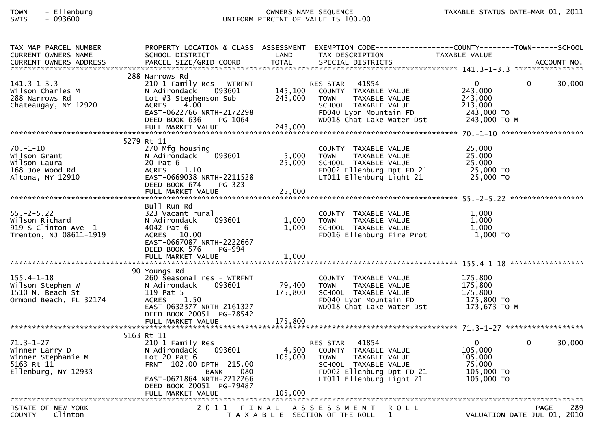# TOWN - Ellenburg OWNERS NAME SEQUENCE TAXABLE STATUS DATE-MAR 01, 2011SWIS - 093600 UNIFORM PERCENT OF VALUE IS 100.00

| TAX MAP PARCEL NUMBER                                               |                                                                                           |         | PROPERTY LOCATION & CLASS ASSESSMENT EXEMPTION CODE---------------COUNTY-------TOWN------SCHOOL |               |                             |
|---------------------------------------------------------------------|-------------------------------------------------------------------------------------------|---------|-------------------------------------------------------------------------------------------------|---------------|-----------------------------|
| CURRENT OWNERS NAME                                                 | SCHOOL DISTRICT                                                                           | LAND    | TAX DESCRIPTION                                                                                 | TAXABLE VALUE |                             |
|                                                                     |                                                                                           |         |                                                                                                 |               |                             |
|                                                                     |                                                                                           |         |                                                                                                 |               |                             |
|                                                                     | 288 Narrows Rd                                                                            |         |                                                                                                 |               |                             |
| $141.3 - 1 - 3.3$                                                   | 210 1 Family Res - WTRFNT<br>N Adirondack 093601 145,100<br>Lot #3 Stephenson Sub 243.000 |         | RES STAR 41854                                                                                  | $\Omega$      | 30,000<br>$\Omega$          |
| Wilson Charles M                                                    |                                                                                           |         | COUNTY TAXABLE VALUE                                                                            | 243,000       |                             |
| 288 Narrows Rd                                                      | Lot #3 Stephenson Sub                                                                     | 243,000 | TAXABLE VALUE<br><b>TOWN</b>                                                                    | 243,000       |                             |
| Chateaugay, NY 12920                                                | ACRES 4.00                                                                                |         | SCHOOL TAXABLE VALUE                                                                            | 213,000       |                             |
|                                                                     | EAST-0622766 NRTH-2172298                                                                 |         | FD040 Lyon Mountain FD                                                                          | 243,000 TO    |                             |
|                                                                     | DEED BOOK 636<br>PG-1064                                                                  |         | WD018 Chat Lake Water Dst                                                                       | 243,000 ТО М  |                             |
|                                                                     |                                                                                           | 243,000 |                                                                                                 |               |                             |
|                                                                     |                                                                                           |         |                                                                                                 |               |                             |
|                                                                     | 5279 Rt 11                                                                                |         |                                                                                                 |               |                             |
| $70. - 1 - 10$                                                      | 270 Mfg housing                                                                           |         | COUNTY TAXABLE VALUE                                                                            | 25,000        |                             |
| Wilson Grant                                                        | 093601<br>N Adirondack                                                                    | 5,000   | <b>TOWN</b><br>TAXABLE VALUE                                                                    | 25,000        |                             |
|                                                                     | 20 Pat 6                                                                                  | 25,000  | SCHOOL TAXABLE VALUE                                                                            | 25,000        |                             |
| wiison Grand<br>Wilson Laura<br>168 Joe Wood Rd<br>Altona, NY 12910 | ACRES 1.10                                                                                |         | FD002 Ellenburg Dpt FD 21                                                                       | 25,000 TO     |                             |
|                                                                     | EAST-0669038 NRTH-2211528                                                                 |         | LT011 Ellenburg Light 21 25,000 TO                                                              |               |                             |
|                                                                     | PG-323<br>DEED BOOK 674                                                                   |         |                                                                                                 |               |                             |
|                                                                     |                                                                                           |         |                                                                                                 |               |                             |
|                                                                     |                                                                                           |         |                                                                                                 |               |                             |
|                                                                     | Bull Run Rd                                                                               |         |                                                                                                 |               |                             |
| $55. - 2 - 5.22$                                                    | 323 Vacant rural                                                                          |         | COUNTY TAXABLE VALUE                                                                            | 1,000         |                             |
| Wilson Richard                                                      | 093601<br>N Adirondack                                                                    | 1,000   | <b>TOWN</b><br>TAXABLE VALUE                                                                    | 1,000         |                             |
| 919 S Clinton Ave 1                                                 | 4042 Pat 6                                                                                | 1,000   | SCHOOL _ TAXABLE VALUE                                                                          | 1,000         |                             |
| Trenton, NJ 08611-1919                                              | ACRES 10.00                                                                               |         | FD016 Ellenburg Fire Prot                                                                       | 1,000 TO      |                             |
|                                                                     | EAST-0667087 NRTH-2222667                                                                 |         |                                                                                                 |               |                             |
|                                                                     | DEED BOOK 576<br>PG-994                                                                   |         |                                                                                                 |               |                             |
|                                                                     |                                                                                           |         |                                                                                                 |               |                             |
|                                                                     |                                                                                           |         |                                                                                                 |               |                             |
|                                                                     | 90 Youngs Rd                                                                              |         |                                                                                                 |               |                             |
| $155.4 - 1 - 18$                                                    | 260 Seasonal res - WTRFNT                                                                 |         | COUNTY TAXABLE VALUE                                                                            | 175,800       |                             |
| Wilson Stephen W                                                    | N Adirondack<br>093601                                                                    | 79,400  | TOWN TAXABLE VALUE                                                                              | 175,800       |                             |
| 1510 N. Beach St                                                    | 119 Pat 5                                                                                 | 175,800 | <b>FD040 Lyon Mountain FD</b><br>WD018 Chat Lake WG                                             | 175,800       |                             |
| Ormond Beach, FL 32174                                              | ACRES 1.50                                                                                |         |                                                                                                 | 175,800 TO    |                             |
|                                                                     | EAST-0632377 NRTH-2161327                                                                 |         | WD018 Chat Lake Water Dst                                                                       | 173,673 ТО М  |                             |
|                                                                     | DEED BOOK 20051 PG-78542                                                                  |         |                                                                                                 |               |                             |
|                                                                     |                                                                                           |         |                                                                                                 |               |                             |
|                                                                     |                                                                                           |         |                                                                                                 |               |                             |
|                                                                     | 5163 Rt 11                                                                                |         |                                                                                                 |               |                             |
| $71.3 - 1 - 27$                                                     | 210 1 Family Res                                                                          |         | RES STAR 41854                                                                                  | $\mathbf{0}$  | $\Omega$<br>30,000          |
| Winner Larry D                                                      | 093601<br>N Adirondack                                                                    | 4,500   | COUNTY TAXABLE VALUE                                                                            | 105,000       |                             |
| Winner Stephanie M                                                  | Lot 20 Pat $6$                                                                            | 105,000 | <b>TOWN</b><br>TAXABLE VALUE                                                                    | 105,000       |                             |
| 5163 Rt 11                                                          | FRNT 102.00 DPTH 215.00                                                                   |         | SCHOOL TAXABLE VALUE                                                                            | 75,000        |                             |
| Ellenburg, NY 12933                                                 | 080<br><b>BANK</b>                                                                        |         | FD002 Ellenburg Dpt FD 21                                                                       | 105,000 TO    |                             |
|                                                                     | EAST-0671864 NRTH-2212266                                                                 |         | LT011 Ellenburg Light 21                                                                        | 105,000 TO    |                             |
|                                                                     | DEED BOOK 20051 PG-79487                                                                  |         |                                                                                                 |               |                             |
|                                                                     |                                                                                           |         |                                                                                                 |               |                             |
|                                                                     |                                                                                           |         |                                                                                                 |               |                             |
| STATE OF NEW YORK                                                   |                                                                                           |         | 2011 FINAL ASSESSMENT<br><b>ROLL</b>                                                            |               | 289<br>PAGE                 |
| COUNTY - Clinton                                                    |                                                                                           |         | T A X A B L E SECTION OF THE ROLL - 1                                                           |               | VALUATION DATE-JUL 01, 2010 |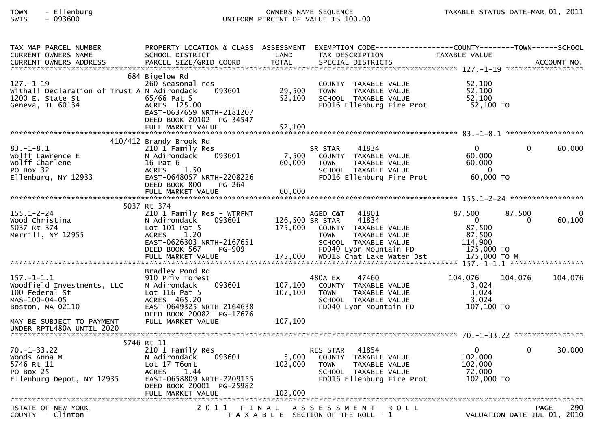# TOWN - Ellenburg OWNERS NAME SEQUENCE TAXABLE STATUS DATE-MAR 01, 2011SWIS - 093600 UNIFORM PERCENT OF VALUE IS 100.00

| TAX MAP PARCEL NUMBER<br>CURRENT OWNERS NAME<br>CURRENT OWNERS ADDRESS PARCEL SIZE/GRID COORD TOTAL SPECIAL DISTRICTS 700 MONERS ADDRESS PARCEL SIZE/GRID COORD TOTAL SPECIAL DISTRICTS 700 MONERS ADDRESS<br>CURRENT OWNERS ADDRESS | PROPERTY LOCATION & CLASS ASSESSMENT EXEMPTION CODE----------------COUNTY-------TOWN------SCHOOL<br>SCHOOL DISTRICT                                               | LAND                       | TAX DESCRIPTION                                                                                                                       | TAXABLE VALUE                                                         |                                            |         |
|--------------------------------------------------------------------------------------------------------------------------------------------------------------------------------------------------------------------------------------|-------------------------------------------------------------------------------------------------------------------------------------------------------------------|----------------------------|---------------------------------------------------------------------------------------------------------------------------------------|-----------------------------------------------------------------------|--------------------------------------------|---------|
| $127. - 1 - 19$<br>Withall Declaration of Trust A N Adirondack<br>1200 E. State St<br>Geneva, IL 60134                                                                                                                               | 684 Bigelow Rd<br>260 Seasonal res<br>093601<br>$65/66$ Pat 5<br>ACRES 125.00<br>EAST-0637659 NRTH-2181207<br>DEED BOOK 20102 PG-34547                            | 29,500<br>52,100           | COUNTY TAXABLE VALUE<br>TAXABLE VALUE<br><b>TOWN</b><br>SCHOOL TAXABLE VALUE<br>FD016 Ellenburg Fire Prot                             | 52,100<br>52,100<br>52,100<br>52,100 TO                               |                                            |         |
|                                                                                                                                                                                                                                      |                                                                                                                                                                   |                            |                                                                                                                                       |                                                                       |                                            |         |
| $83. - 1 - 8.1$<br>Wolff Lawrence E<br>Wolff Charlene<br>PO Box 32<br>Ellenburg, NY 12933                                                                                                                                            | 410/412 Brandy Brook Rd<br>210 1 Family Res<br>093601<br>N Adirondack<br>16 Pat 6<br><b>ACRES</b><br>1.50<br>EAST-0648057 NRTH-2208226<br>DEED BOOK 800<br>PG-264 | 7,500<br>60,000            | 41834<br>SR STAR<br>COUNTY TAXABLE VALUE<br><b>TOWN</b><br>TAXABLE VALUE<br>SCHOOL TAXABLE VALUE<br>FD016 Ellenburg Fire Prot         | $\overline{0}$<br>60,000<br>60,000<br>$\Omega$<br>60,000 TO           | 0                                          | 60,000  |
|                                                                                                                                                                                                                                      | FULL MARKET VALUE                                                                                                                                                 | 60,000                     |                                                                                                                                       |                                                                       |                                            |         |
|                                                                                                                                                                                                                                      | 5037 Rt 374                                                                                                                                                       |                            |                                                                                                                                       |                                                                       |                                            |         |
| $155.1 - 2 - 24$<br>Wood Christina<br>5037 Rt 374<br>Merrill, NY 12955                                                                                                                                                               | 210 1 Family Res - WTRFNT<br>093601<br>N Adirondack<br>Lot 101 Pat 5<br><b>ACRES</b><br>1.20<br>EAST-0626303 NRTH-2167651<br>DEED BOOK 567<br><b>PG-909</b>       | 126,500 SR STAR<br>175,000 | AGED C&T<br>41801<br>41834<br>COUNTY TAXABLE VALUE<br>TAXABLE VALUE<br><b>TOWN</b><br>SCHOOL TAXABLE VALUE<br>FD040 Lyon Mountain FD  | 87,500<br>$\overline{0}$<br>87,500<br>87,500<br>114,900<br>175,000 TO | 87,500<br>$\Omega$                         | 60,100  |
|                                                                                                                                                                                                                                      |                                                                                                                                                                   |                            |                                                                                                                                       |                                                                       |                                            |         |
| $157. - 1 - 1.1$<br>Woodfield Investments, LLC<br>100 Federal St<br>MAS-100-04-05<br>Boston, MA 02110                                                                                                                                | Bradley Pond Rd<br>910 Priv forest<br>093601<br>N Adirondack<br>Lot $116$ Pat 5<br>ACRES 465.20<br>EAST-0649325 NRTH-2164638<br>DEED BOOK 20082 PG-17676          | 107,100<br>107,100         | 480A EX<br>47460<br>COUNTY TAXABLE VALUE<br><b>TOWN</b><br>TAXABLE VALUE<br>SCHOOL TAXABLE VALUE<br>FD040 Lyon Mountain FD            | 104,076<br>3,024<br>3,024<br>3,024<br>107,100 TO                      | 104,076                                    | 104,076 |
| MAY BE SUBJECT TO PAYMENT                                                                                                                                                                                                            | FULL MARKET VALUE                                                                                                                                                 | 107,100                    |                                                                                                                                       |                                                                       |                                            |         |
|                                                                                                                                                                                                                                      |                                                                                                                                                                   |                            |                                                                                                                                       |                                                                       |                                            |         |
| $70. - 1 - 33.22$<br>Woods Anna M<br>5746 Rt 11<br>PO Box 25<br>Ellenburg Depot, NY 12935                                                                                                                                            | 5746 Rt 11<br>210 1 Family Res<br>N Adirondack<br>093601<br>Lot 17 T6omt<br>1.44<br><b>ACRES</b><br>EAST-0658809 NRTH-2209155<br>DEED BOOK 20001 PG-25982         |                            | 41854<br>RES STAR<br>5,000 COUNTY TAXABLE VALUE<br>102,000 TOWN<br>TAXABLE VALUE<br>SCHOOL TAXABLE VALUE<br>FD016 Ellenburg Fire Prot | $\overline{0}$<br>102,000<br>102,000<br>72,000<br>102,000 TO          | 0                                          | 30,000  |
|                                                                                                                                                                                                                                      | FULL MARKET VALUE                                                                                                                                                 | 102,000                    |                                                                                                                                       |                                                                       |                                            |         |
| STATE OF NEW YORK<br>COUNTY - Clinton                                                                                                                                                                                                | 2011<br>FINAL                                                                                                                                                     |                            | A S S E S S M E N T R O L L<br>T A X A B L E SECTION OF THE ROLL - 1                                                                  |                                                                       | <b>PAGE</b><br>VALUATION DATE-JUL 01, 2010 | 290     |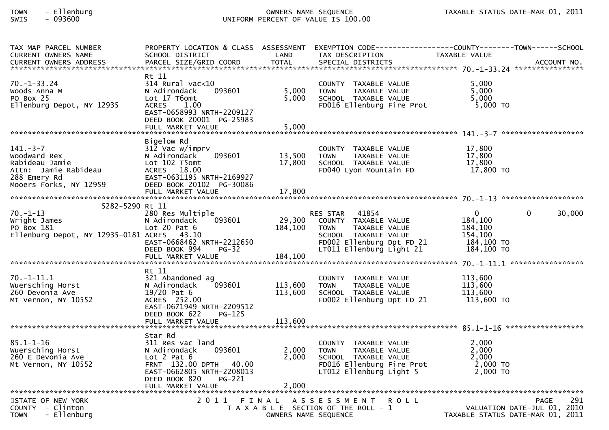# TOWN - Ellenburg OWNERS NAME SEQUENCE TAXABLE STATUS DATE-MAR 01, 2011SWIS - 093600 UNIFORM PERCENT OF VALUE IS 100.00

| TAX MAP PARCEL NUMBER                          |                                                   |                      |                                                   | PROPERTY LOCATION & CLASS ASSESSMENT EXEMPTION CODE----------------COUNTY--------TOWN------SCHOOL |
|------------------------------------------------|---------------------------------------------------|----------------------|---------------------------------------------------|---------------------------------------------------------------------------------------------------|
| <b>CURRENT OWNERS NAME</b>                     | SCHOOL DISTRICT                                   | LAND                 | TAX DESCRIPTION                                   | TAXABLE VALUE                                                                                     |
|                                                |                                                   |                      |                                                   |                                                                                                   |
|                                                |                                                   |                      |                                                   |                                                                                                   |
| $70. - 1 - 33.24$                              | Rt 11<br>314 Rural vac<10                         |                      |                                                   |                                                                                                   |
| Woods Anna M                                   | N Adirondack<br>093601                            | 5,000                | COUNTY TAXABLE VALUE<br>TAXABLE VALUE             | 5,000<br>5,000                                                                                    |
|                                                |                                                   |                      | <b>TOWN</b>                                       |                                                                                                   |
| PO Box 25                                      | Lot 17 T6omt                                      | 5,000                | SCHOOL TAXABLE VALUE<br>FD016 Ellenburg Fire Prot | 5,000                                                                                             |
| Ellenburg Depot, NY 12935                      | 1.00<br><b>ACRES</b><br>EAST-0658993 NRTH-2209127 |                      |                                                   | 5,000 TO                                                                                          |
|                                                | DEED BOOK 20001 PG-25983                          |                      |                                                   |                                                                                                   |
|                                                |                                                   |                      |                                                   |                                                                                                   |
|                                                |                                                   |                      |                                                   |                                                                                                   |
|                                                | Bigelow Rd                                        |                      |                                                   |                                                                                                   |
| $141. - 3 - 7$                                 | 312 Vac w/imprv                                   |                      | COUNTY TAXABLE VALUE                              | 17,800                                                                                            |
| Woodward Rex                                   | 093601<br>N Adirondack                            | 13,500               | <b>TOWN</b><br>TAXABLE VALUE                      | 17,800                                                                                            |
| Rabideau Jamie                                 | Lot 102 T5omt                                     | 17,800               | SCHOOL TAXABLE VALUE                              | 17,800                                                                                            |
| Attn: Jamie Rabideau                           | ACRES 18.00                                       |                      | FD040 Lyon Mountain FD                            | 17,800 TO                                                                                         |
| 288 Emery Rd                                   | EAST-0631195 NRTH-2169927                         |                      |                                                   |                                                                                                   |
| Mooers Forks, NY 12959                         | DEED BOOK 20102 PG-30086                          |                      |                                                   |                                                                                                   |
|                                                |                                                   |                      |                                                   |                                                                                                   |
|                                                |                                                   |                      |                                                   |                                                                                                   |
| 5282-5290 Rt 11                                |                                                   |                      |                                                   |                                                                                                   |
| 70. - 1 - 13                                   | 280 Res Multiple                                  |                      | <b>RES STAR</b><br>41854                          | $\Omega$<br>30,000<br>0                                                                           |
| Wright James                                   | 093601<br>N Adirondack                            | 29,300               | COUNTY TAXABLE VALUE                              | 184,100                                                                                           |
| PO Box 181                                     | Lot $20$ Pat $6$                                  | 184,100              | TAXABLE VALUE<br><b>TOWN</b>                      | 184,100                                                                                           |
| Ellenburg Depot, NY 12935-0181 ACRES 43.10     |                                                   |                      | SCHOOL TAXABLE VALUE                              | 154,100                                                                                           |
|                                                | EAST-0668462 NRTH-2212650                         |                      | FD002 Ellenburg Dpt FD 21                         | 184,100 TO                                                                                        |
|                                                | DEED BOOK 994<br>$PG-32$                          |                      | LT011 Ellenburg Light 21                          | 184,100 TO                                                                                        |
|                                                |                                                   |                      |                                                   |                                                                                                   |
|                                                |                                                   |                      |                                                   |                                                                                                   |
|                                                | Rt 11                                             |                      |                                                   |                                                                                                   |
| $70.-1-11.1$                                   | 321 Abandoned ag                                  |                      | COUNTY TAXABLE VALUE                              | 113,600                                                                                           |
| Wuersching Horst                               | N Adirondack<br>093601                            | 113,600              | <b>TOWN</b><br>TAXABLE VALUE                      | 113,600                                                                                           |
| 260 Devonia Ave                                | $19/20$ Pat $6$                                   | 113,600              | SCHOOL TAXABLE VALUE                              | 113,600                                                                                           |
| Mt Vernon, NY 10552                            | ACRES 252.00                                      |                      | FD002 Ellenburg Dpt FD 21                         | 113,600 TO                                                                                        |
|                                                | EAST-0671949 NRTH-2209512                         |                      |                                                   |                                                                                                   |
|                                                | DEED BOOK 622<br>$PG-125$                         |                      |                                                   |                                                                                                   |
|                                                |                                                   |                      |                                                   |                                                                                                   |
|                                                |                                                   |                      |                                                   |                                                                                                   |
|                                                | Star Rd                                           |                      |                                                   |                                                                                                   |
| $85.1 - 1 - 16$                                | 311 Res vac land                                  |                      | COUNTY TAXABLE VALUE                              | 2,000                                                                                             |
| Wuersching Horst                               | 093601<br>N Adirondack                            | 2,000                | <b>TOWN</b><br>TAXABLE VALUE                      | 2,000                                                                                             |
| 260 E Devonia Ave                              | Lot $2$ Pat $6$                                   | 2,000                | SCHOOL TAXABLE VALUE                              | 2,000                                                                                             |
| Mt Vernon, NY 10552                            | FRNT 132.00 DPTH 40.00                            |                      | FD016 Ellenburg Fire Prot                         | 2,000 TO                                                                                          |
|                                                | EAST-0662805 NRTH-2208013                         |                      | LT012 Ellenburg Light 5                           | 2,000 TO                                                                                          |
|                                                | DEED BOOK 820<br>PG-221                           |                      |                                                   |                                                                                                   |
|                                                | FULL MARKET VALUE                                 | 2,000                |                                                   |                                                                                                   |
|                                                |                                                   |                      |                                                   | 291                                                                                               |
| STATE OF NEW YORK                              |                                                   |                      | 2011 FINAL ASSESSMENT<br><b>ROLL</b>              | PAGE                                                                                              |
| COUNTY - Clinton<br>- Ellenburg<br><b>TOWN</b> |                                                   |                      | T A X A B L E SECTION OF THE ROLL - 1             | VALUATION DATE-JUL 01, 2010<br>TAXABLE STATUS DATE-MAR 01, 2011                                   |
|                                                |                                                   | OWNERS NAME SEQUENCE |                                                   |                                                                                                   |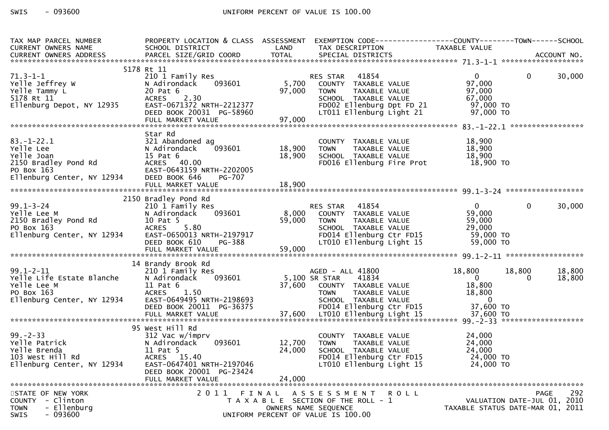| TAX MAP PARCEL NUMBER                                                                                                                                                                                                                                                                                                                                                                                                                                                        | PROPERTY LOCATION & CLASS ASSESSMENT EXEMPTION CODE----------------COUNTY-------TOWN------SCHOOL |        |                                                                                                                                              |               |                                  |                             |        |
|------------------------------------------------------------------------------------------------------------------------------------------------------------------------------------------------------------------------------------------------------------------------------------------------------------------------------------------------------------------------------------------------------------------------------------------------------------------------------|--------------------------------------------------------------------------------------------------|--------|----------------------------------------------------------------------------------------------------------------------------------------------|---------------|----------------------------------|-----------------------------|--------|
| CURRENT OWNERS NAME                                                                                                                                                                                                                                                                                                                                                                                                                                                          | SCHOOL DISTRICT LAND                                                                             |        | TAX DESCRIPTION TAXABLE VALUE                                                                                                                |               |                                  |                             |        |
|                                                                                                                                                                                                                                                                                                                                                                                                                                                                              |                                                                                                  |        |                                                                                                                                              |               |                                  |                             |        |
|                                                                                                                                                                                                                                                                                                                                                                                                                                                                              |                                                                                                  |        |                                                                                                                                              |               |                                  |                             |        |
| 5178<br>71.3-1-1<br>Yelle Jeffrey W<br>Yelle Tammy L<br>5178 Rt 11<br>Ellenburg Depot, NY 12935                                                                                                                                                                                                                                                                                                                                                                              | 5178 Rt 11                                                                                       |        |                                                                                                                                              |               |                                  |                             |        |
|                                                                                                                                                                                                                                                                                                                                                                                                                                                                              | 210 1 Family Res                                                                                 |        |                                                                                                                                              |               | $\overline{0}$<br>97,000         | $\overline{0}$              | 30,000 |
| 1997,000 COUNTITY PAYABLE VALUE<br>TRANSFERENCE PRIMAGE VALUE TANNIS ACRES<br>TRANSFERENCE ACRES 2.30<br>EITIANIS ENGLY SCHOOL TAXABLE VALUE 5178 Rt 11<br>EITIANING DEPOTT AND ENSITY CHERO SCHOOL TAXABLE VALUE FOR CHOOL TAXABLE VA                                                                                                                                                                                                                                       | N Adirondack                                                                                     |        |                                                                                                                                              |               |                                  |                             |        |
|                                                                                                                                                                                                                                                                                                                                                                                                                                                                              |                                                                                                  |        |                                                                                                                                              |               |                                  |                             |        |
|                                                                                                                                                                                                                                                                                                                                                                                                                                                                              |                                                                                                  |        |                                                                                                                                              |               |                                  |                             |        |
|                                                                                                                                                                                                                                                                                                                                                                                                                                                                              |                                                                                                  |        |                                                                                                                                              |               |                                  |                             |        |
|                                                                                                                                                                                                                                                                                                                                                                                                                                                                              |                                                                                                  |        |                                                                                                                                              |               |                                  |                             |        |
|                                                                                                                                                                                                                                                                                                                                                                                                                                                                              |                                                                                                  |        |                                                                                                                                              |               |                                  |                             |        |
|                                                                                                                                                                                                                                                                                                                                                                                                                                                                              | Star Rd                                                                                          |        |                                                                                                                                              |               |                                  |                             |        |
|                                                                                                                                                                                                                                                                                                                                                                                                                                                                              |                                                                                                  |        |                                                                                                                                              |               |                                  |                             |        |
|                                                                                                                                                                                                                                                                                                                                                                                                                                                                              |                                                                                                  |        |                                                                                                                                              |               |                                  |                             |        |
|                                                                                                                                                                                                                                                                                                                                                                                                                                                                              |                                                                                                  |        |                                                                                                                                              |               |                                  |                             |        |
|                                                                                                                                                                                                                                                                                                                                                                                                                                                                              |                                                                                                  |        | COUNTY TAXABLE VALUE 18,900<br>18,900 TOWN TAXABLE VALUE 18,900<br>18,900 SCHOOL TAXABLE VALUE 18,900<br>FDO16 Ellenburg Fire Prot 18,900 TO |               |                                  |                             |        |
|                                                                                                                                                                                                                                                                                                                                                                                                                                                                              |                                                                                                  |        |                                                                                                                                              |               |                                  |                             |        |
| 83.-1-22.1<br>Yelle Lee 321 Abandoned ag<br>Yelle Joan 15 Pat 6<br>2150 Bradley Pond Rd 4CRES 40.00<br>PO Box 163 EAST-0643159 NRTH-2202005<br>Ellenburg Center, NY 12934 DEED BOOK 646                                                                                                                                                                                                                                                                                      |                                                                                                  |        |                                                                                                                                              |               |                                  |                             |        |
|                                                                                                                                                                                                                                                                                                                                                                                                                                                                              |                                                                                                  |        |                                                                                                                                              |               |                                  |                             |        |
|                                                                                                                                                                                                                                                                                                                                                                                                                                                                              |                                                                                                  |        |                                                                                                                                              |               |                                  |                             |        |
|                                                                                                                                                                                                                                                                                                                                                                                                                                                                              |                                                                                                  |        |                                                                                                                                              |               |                                  |                             |        |
|                                                                                                                                                                                                                                                                                                                                                                                                                                                                              |                                                                                                  |        |                                                                                                                                              |               |                                  |                             |        |
|                                                                                                                                                                                                                                                                                                                                                                                                                                                                              |                                                                                                  |        |                                                                                                                                              |               |                                  |                             |        |
|                                                                                                                                                                                                                                                                                                                                                                                                                                                                              |                                                                                                  |        |                                                                                                                                              |               |                                  |                             |        |
| 2150<br>99.1-3-24<br>Yelle Lee M<br>2150 Bradley Pond Rd<br>PO Box 163<br>Ellenburg Center, NY 12934                                                                                                                                                                                                                                                                                                                                                                         |                                                                                                  |        |                                                                                                                                              |               |                                  |                             |        |
|                                                                                                                                                                                                                                                                                                                                                                                                                                                                              |                                                                                                  |        |                                                                                                                                              |               |                                  |                             |        |
|                                                                                                                                                                                                                                                                                                                                                                                                                                                                              |                                                                                                  |        |                                                                                                                                              |               |                                  |                             |        |
|                                                                                                                                                                                                                                                                                                                                                                                                                                                                              |                                                                                                  |        |                                                                                                                                              |               |                                  |                             |        |
| 2150 Bradley Pond Rd 2150 Bradley Pond Rd 210 1 Family Res 210 1 Family Res 210 1 Family Res 210 1 Family Res 2150 Bradley Pond Rd 2150 Bradley Pond Rd 2150 Bradley Pond Rd 2150 Bradley Pond Rd 2150 Bradley Pond Rd 2150 Br                                                                                                                                                                                                                                               |                                                                                                  |        |                                                                                                                                              |               |                                  |                             |        |
|                                                                                                                                                                                                                                                                                                                                                                                                                                                                              |                                                                                                  |        |                                                                                                                                              |               |                                  |                             |        |
|                                                                                                                                                                                                                                                                                                                                                                                                                                                                              |                                                                                                  |        |                                                                                                                                              |               |                                  | 18,800                      | 18,800 |
|                                                                                                                                                                                                                                                                                                                                                                                                                                                                              |                                                                                                  |        |                                                                                                                                              |               |                                  | $\Omega$                    | 18,800 |
|                                                                                                                                                                                                                                                                                                                                                                                                                                                                              |                                                                                                  |        |                                                                                                                                              |               |                                  |                             |        |
|                                                                                                                                                                                                                                                                                                                                                                                                                                                                              |                                                                                                  |        |                                                                                                                                              |               |                                  |                             |        |
|                                                                                                                                                                                                                                                                                                                                                                                                                                                                              |                                                                                                  |        |                                                                                                                                              |               |                                  |                             |        |
|                                                                                                                                                                                                                                                                                                                                                                                                                                                                              |                                                                                                  |        |                                                                                                                                              |               |                                  |                             |        |
| 14 Brandy Brook Rd<br>210 1 Family Res<br>Yelle Life Estate Blanche Nadirondack 093601<br>Yelle Life Estate Blanche Nadirondack 093601<br>Yelle Life Estate Blanche 18,800<br>Yelle Life Estate Blanche 18,800<br>Yelle Life Estate Blanch<br>ETTERDate of the contract of the contract of the contract of the contract of the contract of the contract of the contract of the contract of the contract of the contract of the contract of the contract of the contract of t |                                                                                                  |        |                                                                                                                                              |               |                                  |                             |        |
| 39.-2-33<br>Yelle Patrick<br>Yolle Patrick<br>Yolle Brenda<br>Yolle Brenda<br>Yill Rd<br>Yille 32.12934                                                                                                                                                                                                                                                                                                                                                                      | 95 West Hill Rd                                                                                  |        |                                                                                                                                              |               |                                  |                             |        |
|                                                                                                                                                                                                                                                                                                                                                                                                                                                                              | 312 Vac w/imprv                                                                                  |        | COUNTY TAXABLE VALUE                                                                                                                         |               | 24,000                           |                             |        |
|                                                                                                                                                                                                                                                                                                                                                                                                                                                                              | 093601<br>N Adirondack                                                                           | 12,700 | TOWN                                                                                                                                         | TAXABLE VALUE | 24,000                           |                             |        |
|                                                                                                                                                                                                                                                                                                                                                                                                                                                                              | 11 Pat 5                                                                                         | 24,000 | SCHOOL TAXABLE VALUE                                                                                                                         |               | 24,000                           |                             |        |
|                                                                                                                                                                                                                                                                                                                                                                                                                                                                              | ACRES 15.40                                                                                      |        | FD014 Ellenburg Ctr FD15                                                                                                                     |               | 24,000 TO                        |                             |        |
| Ellenburg Center, NY 12934                                                                                                                                                                                                                                                                                                                                                                                                                                                   | EAST-0647401 NRTH-2197046                                                                        |        | LT010 Ellenburg Light 15                                                                                                                     |               | 24,000 TO                        |                             |        |
|                                                                                                                                                                                                                                                                                                                                                                                                                                                                              | DEED BOOK 20001 PG-23424                                                                         |        |                                                                                                                                              |               |                                  |                             |        |
|                                                                                                                                                                                                                                                                                                                                                                                                                                                                              | FULL MARKET VALUE                                                                                | 24,000 |                                                                                                                                              |               |                                  |                             |        |
|                                                                                                                                                                                                                                                                                                                                                                                                                                                                              |                                                                                                  |        |                                                                                                                                              |               |                                  |                             |        |
| STATE OF NEW YORK                                                                                                                                                                                                                                                                                                                                                                                                                                                            |                                                                                                  |        | 2011 FINAL ASSESSMENT ROLL                                                                                                                   |               |                                  | <b>PAGE</b>                 | 292    |
| COUNTY - Clinton                                                                                                                                                                                                                                                                                                                                                                                                                                                             |                                                                                                  |        | T A X A B L E SECTION OF THE ROLL - 1                                                                                                        |               |                                  | VALUATION DATE-JUL 01, 2010 |        |
| - Ellenburg<br><b>TOWN</b>                                                                                                                                                                                                                                                                                                                                                                                                                                                   |                                                                                                  |        | OWNERS NAME SEQUENCE                                                                                                                         |               | TAXABLE STATUS DATE-MAR 01, 2011 |                             |        |
| $-093600$<br>SWIS                                                                                                                                                                                                                                                                                                                                                                                                                                                            |                                                                                                  |        | UNIFORM PERCENT OF VALUE IS 100.00                                                                                                           |               |                                  |                             |        |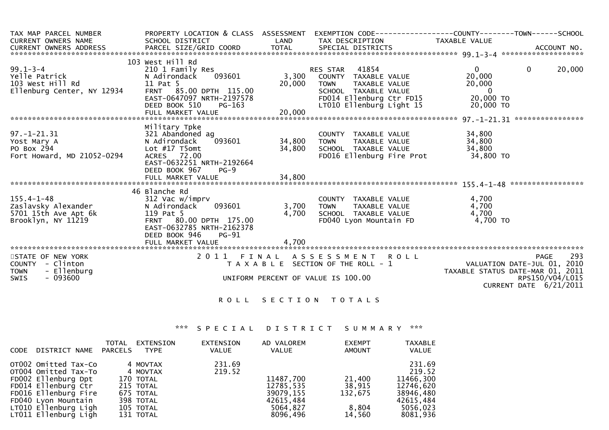| TAX MAP PARCEL NUMBER<br><b>CURRENT OWNERS NAME</b>                                                | PROPERTY LOCATION & CLASS ASSESSMENT<br>SCHOOL DISTRICT                                                                                                                           | LAND                      | EXEMPTION        CODE-----------------COUNTY-------TOWN------SCHOOL<br>TAX DESCRIPTION                                                                        | TAXABLE VALUE                                                                |                                                                                                                                    |
|----------------------------------------------------------------------------------------------------|-----------------------------------------------------------------------------------------------------------------------------------------------------------------------------------|---------------------------|---------------------------------------------------------------------------------------------------------------------------------------------------------------|------------------------------------------------------------------------------|------------------------------------------------------------------------------------------------------------------------------------|
| CURRENT OWNERS ADDRESS                                                                             |                                                                                                                                                                                   |                           |                                                                                                                                                               |                                                                              |                                                                                                                                    |
| $99.1 - 3 - 4$<br>Yelle Patrick<br>103 West Hill Rd<br>Ellenburg Center, NY 12934                  | 103 West Hill Rd<br>210 1 Family Res<br>093601<br>N Adirondack<br>11 Pat 5<br>FRNT 85.00 DPTH 115.00<br>EAST-0647097 NRTH-2197578<br>DEED BOOK 510<br>PG-163<br>FULL MARKET VALUE | 3,300<br>20,000<br>20,000 | <b>RES STAR 41854</b><br>COUNTY TAXABLE VALUE<br><b>TOWN</b><br>TAXABLE VALUE<br>SCHOOL TAXABLE VALUE<br>FD014 Ellenburg Ctr FD15<br>LT010 Ellenburg Light 15 | $\overline{0}$<br>20,000<br>20,000<br>$\mathbf{0}$<br>20,000 TO<br>20,000 TO | $\mathbf{0}$<br>20,000                                                                                                             |
|                                                                                                    |                                                                                                                                                                                   |                           |                                                                                                                                                               |                                                                              |                                                                                                                                    |
| $97. - 1 - 21.31$<br>Yost Mary A<br>PO Box 294<br>Fort Howard, MD 21052-0294                       | Military Tpke<br>321 Abandoned ag<br>093601<br>N Adirondack<br>Lot #17 T5omt<br>ACRES 72.00<br>EAST-0632251 NRTH-2192664<br>DEED BOOK 967<br>$PG-9$                               | 34,800<br>34,800          | COUNTY TAXABLE VALUE<br><b>TOWN</b><br>TAXABLE VALUE<br>SCHOOL TAXABLE VALUE<br>FD016 Ellenburg Fire Prot                                                     | 34,800<br>34,800<br>34,800<br>34,800 TO                                      |                                                                                                                                    |
|                                                                                                    | FULL MARKET VALUE                                                                                                                                                                 | 34,800                    |                                                                                                                                                               |                                                                              |                                                                                                                                    |
|                                                                                                    |                                                                                                                                                                                   |                           |                                                                                                                                                               |                                                                              |                                                                                                                                    |
| $155.4 - 1 - 48$<br>Zaslavsky Alexander<br>5701 15th Ave Apt 6k<br>Brooklyn, NY 11219              | 46 Blanche Rd<br>312 Vac w/imprv<br>093601<br>N Adirondack<br>119 Pat 5<br>FRNT 80.00 DPTH 175.00<br>EAST-0632785 NRTH-2162378<br>DEED BOOK 946<br><b>PG-91</b>                   | 3,700<br>4,700            | COUNTY TAXABLE VALUE<br><b>TOWN</b><br>TAXABLE VALUE<br>SCHOOL TAXABLE VALUE<br>FD040 Lyon Mountain FD                                                        | 4,700<br>4,700<br>4,700<br>4,700 TO                                          |                                                                                                                                    |
|                                                                                                    | FULL MARKET VALUE                                                                                                                                                                 | 4,700                     |                                                                                                                                                               |                                                                              |                                                                                                                                    |
| STATE OF NEW YORK<br>COUNTY<br>- Clinton<br>- Ellenburg<br><b>TOWN</b><br>$-093600$<br><b>SWIS</b> | 2011                                                                                                                                                                              | FINAL                     | ASSESSMENT ROLL<br>T A X A B L E SECTION OF THE ROLL - 1<br>UNIFORM PERCENT OF VALUE IS 100.00                                                                |                                                                              | 293<br><b>PAGE</b><br>VALUATION DATE-JUL 01, 2010<br>TAXABLE STATUS DATE-MAR 01, 2011<br>RPS150/V04/L015<br>CURRENT DATE 6/21/2011 |

## \*\*\* S P E C I A L D I S T R I C T S U M M A R Y \*\*\*

| <b>CODE</b> | DISTRICT NAME                                                                                                                                                                             | <b>TOTAL</b><br>PARCELS | <b>EXTENSION</b><br><b>TYPE</b>                                                                    | <b>EXTENSION</b><br><b>VALUE</b> | AD VALOREM<br>VALUE                                                      | <b>EXEMPT</b><br>AMOUNT                        | <b>TAXABLE</b><br>VALUE                                                                      |
|-------------|-------------------------------------------------------------------------------------------------------------------------------------------------------------------------------------------|-------------------------|----------------------------------------------------------------------------------------------------|----------------------------------|--------------------------------------------------------------------------|------------------------------------------------|----------------------------------------------------------------------------------------------|
|             | OT002 Omitted Tax-Co<br>OT004 Omitted Tax-To<br>FD002 Ellenburg Dpt<br>FD014 Ellenburg Ctr<br>FD016 Ellenburg Fire<br>FD040 Lyon Mountain<br>LT010 Ellenburg Ligh<br>LT011 Ellenburg Ligh |                         | 4 MOVTAX<br>4 MOVTAX<br>170 TOTAL<br>215 TOTAL<br>675 TOTAL<br>398 TOTAL<br>105 TOTAL<br>131 TOTAL | 231.69<br>219.52                 | 11487,700<br>12785,535<br>39079,155<br>42615,484<br>5064,827<br>8096,496 | 21,400<br>38,915<br>132,675<br>8,804<br>14,560 | 231.69<br>219.52<br>11466.300<br>12746.620<br>38946,480<br>42615.484<br>5056,023<br>8081,936 |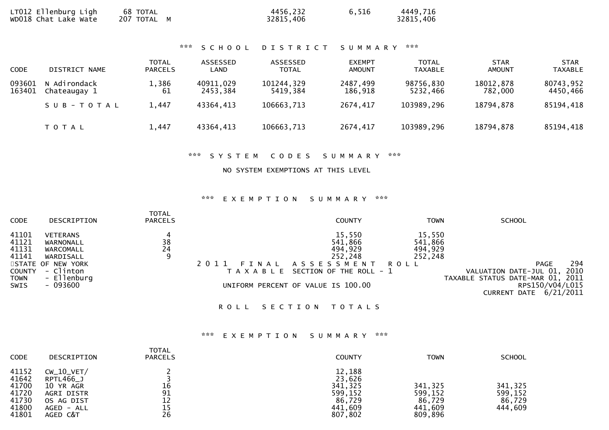|  | LT012 Ellenburg Ligh<br>wDO18 Chat Lake Wate | 68 TOTAL<br>207 TOTAL M | 4456,232<br>32815,406 | 6,516 | 4449,716<br>32815,406 |
|--|----------------------------------------------|-------------------------|-----------------------|-------|-----------------------|
|--|----------------------------------------------|-------------------------|-----------------------|-------|-----------------------|

\*\*\* S C H O O L D I S T R I C T S U M M A R Y \*\*\*

| <b>CODE</b>      | DISTRICT NAME                | <b>TOTAL</b><br><b>PARCELS</b> | ASSESSED<br>LAND      | ASSESSED<br><b>TOTAL</b> | <b>EXEMPT</b><br><b>AMOUNT</b> | <b>TOTAL</b><br>TAXABLE | <b>STAR</b><br><b>AMOUNT</b> | <b>STAR</b><br><b>TAXABLE</b> |
|------------------|------------------------------|--------------------------------|-----------------------|--------------------------|--------------------------------|-------------------------|------------------------------|-------------------------------|
| 093601<br>163401 | N Adirondack<br>Chateaugay 1 | 1,386<br>61                    | 40911,029<br>2453,384 | 101244,329<br>5419.384   | 2487,499<br>186,918            | 98756,830<br>5232.466   | 18012,878<br>782,000         | 80743,952<br>4450,466         |
|                  | SUB-TOTAL                    | 1,447                          | 43364,413             | 106663,713               | 2674,417                       | 103989,296              | 18794.878                    | 85194,418                     |
|                  | T O T A L                    | 1.447                          | 43364,413             | 106663,713               | 2674,417                       | 103989,296              | 18794,878                    | 85194,418                     |

\*\*\* S Y S T E M C O D E S S U M M A R Y \*\*\*

NO SYSTEM EXEMPTIONS AT THIS LEVEL

## \*\*\* E X E M P T I O N S U M M A R Y \*\*\*

| <b>CODE</b>                                                                     | <b>DESCRIPTION</b>                                                                                                   | <b>TOTAL</b><br><b>PARCELS</b> |                                   | <b>COUNTY</b>                                                                                                                   | TOWN                                               | <b>SCHOOL</b>                                                                                                                            |
|---------------------------------------------------------------------------------|----------------------------------------------------------------------------------------------------------------------|--------------------------------|-----------------------------------|---------------------------------------------------------------------------------------------------------------------------------|----------------------------------------------------|------------------------------------------------------------------------------------------------------------------------------------------|
| 41101<br>41121<br>41131<br>41141<br><b>COUNTY</b><br><b>TOWN</b><br><b>SWIS</b> | <b>VETERANS</b><br>WARNONALL<br>WARCOMALL<br>WARDISALL<br>STATE OF NEW YORK<br>- Clinton<br>- Ellenburg<br>$-093600$ | 38<br>24<br>9                  | FINAL<br>2 0 1 1<br>T A X A B L E | 15,550<br>541,866<br>494,929<br>252,248<br>A S S E S S M E N T<br>SECTION OF THE ROLL - 1<br>UNIFORM PERCENT OF VALUE IS 100.00 | 15,550<br>541,866<br>494,929<br>252,248<br>R O L L | 294<br><b>PAGE</b><br>2010<br>VALUATION DATE-JUL 01,<br>TAXABLE STATUS DATE-MAR 01, 2011<br>RPS150/V04/L015<br>6/21/2011<br>CURRENT DATE |

ROLL SECTION TOTALS

## \*\*\* E X E M P T I O N S U M M A R Y \*\*\*

| <b>CODE</b>                                                 | DESCRIPTION                                                                                    | <b>TOTAL</b><br><b>PARCELS</b> | <b>COUNTY</b>                                                          | <b>TOWN</b>                                        | <b>SCHOOL</b>                           |
|-------------------------------------------------------------|------------------------------------------------------------------------------------------------|--------------------------------|------------------------------------------------------------------------|----------------------------------------------------|-----------------------------------------|
| 41152<br>41642<br>41700<br>41720<br>41730<br>41800<br>41801 | $CW_10_VET/$<br>RPTL466_J<br>10 YR AGR<br>AGRI DISTR<br>OS AG DIST<br>$AGED - ALL$<br>AGED C&T | 16<br>91<br>12<br>15<br>26     | 12,188<br>23,626<br>341,325<br>599,152<br>86,729<br>441,609<br>807,802 | 341,325<br>599,152<br>86,729<br>441,609<br>809,896 | 341,325<br>599,152<br>86,729<br>444,609 |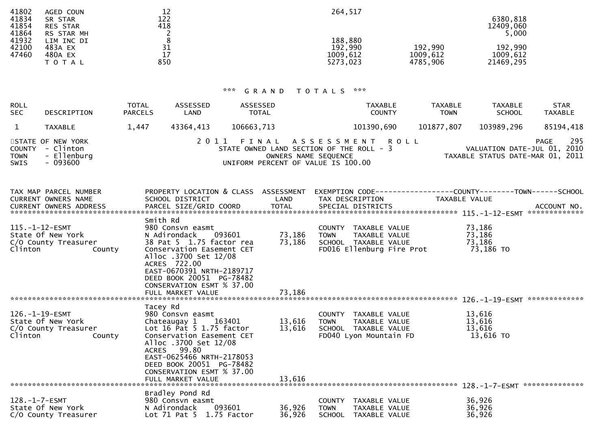| 41802 | AGED COUN       | 12  | 264,517  |          |           |
|-------|-----------------|-----|----------|----------|-----------|
| 41834 | SR STAR         | 122 |          |          | 6380,818  |
| 41854 | <b>RES STAR</b> | 418 |          |          | 12409,060 |
| 41864 | RS STAR MH      |     |          |          | 5,000     |
| 41932 | LIM INC DI      |     | 188,880  |          |           |
| 42100 | 483A EX         | 31  | 192,990  | 192,990  | 192,990   |
| 47460 | 480A EX         | 17  | 1009,612 | 1009,612 | 1009,612  |
|       | T O T A L       | 850 | 5273,023 | 4785,906 | 21469,295 |
|       |                 |     |          |          |           |

# \*\*\* G R A N D T O T A L S \*\*\*

| <b>ROLL</b><br><b>SEC</b>         | DESCRIPTION                                                | <b>TOTAL</b><br><b>PARCELS</b> | ASSESSED<br>LAND                                                                                                                                                                                                                              | ASSESSED<br>TOTAL |                                                                                                        |                 | <b>TAXABLE</b><br><b>COUNTY</b>                                                         |                           | <b>TAXABLE</b><br><b>TOWN</b> | <b>TAXABLE</b>                          | <b>SCHOOL</b> | <b>STAR</b><br><b>TAXABLE</b>                                                         |
|-----------------------------------|------------------------------------------------------------|--------------------------------|-----------------------------------------------------------------------------------------------------------------------------------------------------------------------------------------------------------------------------------------------|-------------------|--------------------------------------------------------------------------------------------------------|-----------------|-----------------------------------------------------------------------------------------|---------------------------|-------------------------------|-----------------------------------------|---------------|---------------------------------------------------------------------------------------|
| $\mathbf{1}$                      | <b>TAXABLE</b>                                             | 1,447                          | 43364,413                                                                                                                                                                                                                                     | 106663,713        |                                                                                                        |                 | 101390,690                                                                              |                           | 101877,807                    | 103989,296                              |               | 85194,418                                                                             |
| COUNTY<br><b>TOWN</b><br>SWIS     | STATE OF NEW YORK<br>- Clinton<br>- Ellenburg<br>$-093600$ |                                | 2011                                                                                                                                                                                                                                          | FINAL             | STATE OWNED LAND SECTION OF THE ROLL - 3<br>OWNERS NAME SEQUENCE<br>UNIFORM PERCENT OF VALUE IS 100.00 | ASSESSMENT ROLL |                                                                                         |                           |                               |                                         |               | 295<br><b>PAGE</b><br>VALUATION DATE-JUL 01, 2010<br>TAXABLE STATUS DATE-MAR 01, 2011 |
|                                   | TAX MAP PARCEL NUMBER<br>CURRENT OWNERS NAME               |                                | PROPERTY LOCATION & CLASS ASSESSMENT<br>SCHOOL DISTRICT                                                                                                                                                                                       |                   | LAND                                                                                                   |                 | TAX DESCRIPTION                                                                         |                           | TAXABLE VALUE                 |                                         |               | EXEMPTION CODE-----------------COUNTY-------TOWN------SCHOOL                          |
| $115. - 1 - 12 - ESMT$<br>Clinton | State Of New York<br>C/O County Treasurer<br>County        | Smith Rd                       | 980 Consvn easmt<br>N Adirondack<br>38 Pat 5 1.75 factor rea<br>Conservation Easement CET<br>Alloc .3700 Set 12/08<br>ACRES 722.00<br>EAST-0670391 NRTH-2189717<br>DEED BOOK 20051 PG-78482<br>CONSERVATION ESMT % 37.00<br>FULL MARKET VALUE | 093601            | 73,186<br>73,186<br>73,186                                                                             | <b>TOWN</b>     | COUNTY TAXABLE VALUE<br>TAXABLE VALUE<br>SCHOOL TAXABLE VALUE                           | FD016 Ellenburg Fire Prot |                               | 73,186<br>73,186<br>73,186<br>73,186 TO |               |                                                                                       |
| 126. -1-19-ESMT<br>Clinton        | State Of New York<br>C/O County Treasurer<br>County        | Tacey Rd                       | 980 Consvn easmt<br>Chateaugay 1<br>Lot 16 Pat 5 1.75 factor<br>Conservation Easement CET<br>Alloc .3700 Set 12/08<br>ACRES 99.80<br>EAST-0625466 NRTH-2178053<br>DEED BOOK 20051 PG-78482<br>CONSERVATION ESMT % 37.00                       | 163401            | 13,616<br>13,616                                                                                       | <b>TOWN</b>     | COUNTY TAXABLE VALUE<br>TAXABLE VALUE<br>SCHOOL TAXABLE VALUE<br>FD040 Lyon Mountain FD |                           |                               | 13,616<br>13,616<br>13,616<br>13,616 TO |               |                                                                                       |
| $128. - 1 - 7 - ESMT$             | State Of New York<br>C/O County Treasurer                  |                                | Bradley Pond Rd<br>980 Consyn easmt<br>N Adirondack<br>Lot $71$ Pat $5$ $1.75$ Factor                                                                                                                                                         | 093601            | 36,926<br>36,926                                                                                       | <b>TOWN</b>     | COUNTY TAXABLE VALUE<br>TAXABLE VALUE<br>SCHOOL TAXABLE VALUE                           |                           |                               | 36,926<br>36,926<br>36,926              |               |                                                                                       |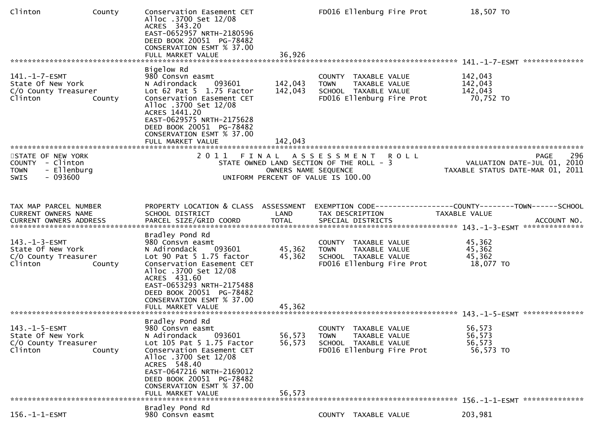| Clinton                                                                                        | County | Conservation Easement CET<br>Alloc .3700 Set 12/08<br>ACRES 343.20<br>EAST-0652957 NRTH-2180596<br>DEED BOOK 20051 PG-78482<br>CONSERVATION ESMT % 37.00<br>FULL MARKET VALUE                                                                                               | 36,926                                                                                                 |             |                                                               | FD016 Ellenburg Fire Prot | 18,507 TO                                                                            |                    |
|------------------------------------------------------------------------------------------------|--------|-----------------------------------------------------------------------------------------------------------------------------------------------------------------------------------------------------------------------------------------------------------------------------|--------------------------------------------------------------------------------------------------------|-------------|---------------------------------------------------------------|---------------------------|--------------------------------------------------------------------------------------|--------------------|
|                                                                                                |        | Bigelow Rd                                                                                                                                                                                                                                                                  |                                                                                                        |             |                                                               |                           |                                                                                      |                    |
| $141. - 1 - 7 - ESMT$<br>State Of New York<br>C/O County Treasurer<br>Clinton                  | County | 980 Consvn easmt<br>093601<br>N Adirondack<br>Lot $62$ Pat $5$ 1.75 Factor<br>Conservation Easement CET<br>Alloc .3700 Set 12/08<br>ACRES 1441.20<br>EAST-0629575 NRTH-2175628<br>DEED BOOK 20051 PG-78482<br>CONSERVATION ESMT % 37.00                                     | 142,043<br>142,043                                                                                     | <b>TOWN</b> | COUNTY TAXABLE VALUE<br>TAXABLE VALUE<br>SCHOOL TAXABLE VALUE | FD016 Ellenburg Fire Prot | 142,043<br>142,043<br>142,043<br>70,752 TO                                           |                    |
|                                                                                                |        | FULL MARKET VALUE                                                                                                                                                                                                                                                           | 142,043                                                                                                |             |                                                               |                           |                                                                                      |                    |
| STATE OF NEW YORK<br>COUNTY - Clinton<br><b>TOWN</b><br>- Ellenburg<br><b>SWIS</b><br>- 093600 |        | 2011 FINAL ASSESSMENT                                                                                                                                                                                                                                                       | STATE OWNED LAND SECTION OF THE ROLL - 3<br>OWNERS NAME SEQUENCE<br>UNIFORM PERCENT OF VALUE IS 100.00 |             |                                                               | <b>ROLL</b>               | VALUATION DATE-JUL 01, 2010<br>TAXABLE STATUS DATE-MAR 01, 2011                      | 296<br><b>PAGE</b> |
| TAX MAP PARCEL NUMBER<br>CURRENT OWNERS NAME                                                   |        | PROPERTY LOCATION & CLASS ASSESSMENT<br>SCHOOL DISTRICT                                                                                                                                                                                                                     | LAND                                                                                                   |             | TAX DESCRIPTION                                               |                           | EXEMPTION CODE-----------------COUNTY-------TOWN------SCHOOL<br><b>TAXABLE VALUE</b> |                    |
| $143. - 1 - 3 - ESMT$<br>State Of New York<br>C/O County Treasurer<br>Clinton                  | County | Bradley Pond Rd<br>980 Consvn easmt<br>N Adirondack<br>093601<br>Lot 90 Pat 5 1.75 factor<br>Conservation Easement CET<br>Alloc .3700 Set 12/08<br>ACRES 431.60<br>EAST-0653293 NRTH-2175488<br>DEED BOOK 20051 PG-78482<br>CONSERVATION ESMT % 37.00<br>FULL MARKET VALUE  | 45,362<br>45,362<br>45,362                                                                             | <b>TOWN</b> | COUNTY TAXABLE VALUE<br>TAXABLE VALUE<br>SCHOOL TAXABLE VALUE | FD016 Ellenburg Fire Prot | 45,362<br>45,362<br>45,362<br>18,077 TO                                              |                    |
| 143.-1-5-ESMT<br>State Of New York<br>C/O County Treasurer<br>Clinton                          | County | Bradley Pond Rd<br>980 Consyn easmt<br>093601<br>N Adirondack<br>Lot 105 Pat 5 1.75 Factor<br>Conservation Easement CET<br>Alloc .3700 Set 12/08<br>ACRES 548.40<br>EAST-0647216 NRTH-2169012<br>DEED BOOK 20051 PG-78482<br>CONSERVATION ESMT % 37.00<br>FULL MARKET VALUE | 56,573<br>56,573<br>56.573                                                                             | <b>TOWN</b> | COUNTY TAXABLE VALUE<br>TAXABLE VALUE<br>SCHOOL TAXABLE VALUE | FD016 Ellenburg Fire Prot | 56,573<br>56,573<br>56,573<br>56,573 TO                                              |                    |
|                                                                                                |        | Bradley Pond Rd                                                                                                                                                                                                                                                             |                                                                                                        |             |                                                               |                           |                                                                                      |                    |
| $156. - 1 - 1 - ESMT$                                                                          |        | 980 Consvn easmt                                                                                                                                                                                                                                                            |                                                                                                        |             | COUNTY TAXABLE VALUE                                          |                           | 203,981                                                                              |                    |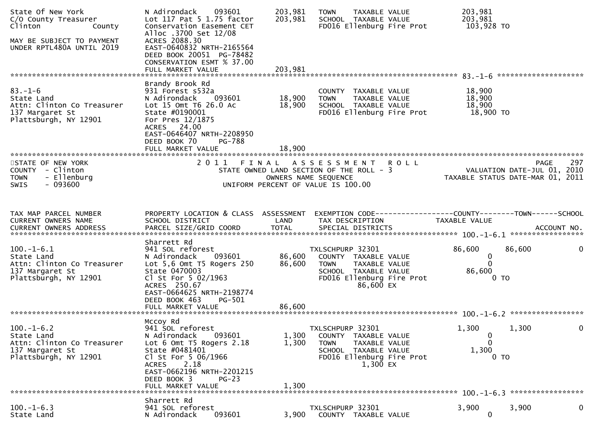| State Of New York<br>C/O County Treasurer<br>Clinton<br>County<br>MAY BE SUBJECT TO PAYMENT<br>UNDER RPTL480A UNTIL 2019                                      | 093601<br>N Adirondack<br>Lot 117 Pat 5 1.75 factor<br>Conservation Easement CET<br>Alloc .3700 Set 12/08<br>ACRES 2088.30<br>EAST-0640832 NRTH-2165564<br>DEED BOOK 20051 PG-78482<br>CONSERVATION ESMT % 37.00<br>FULL MARKET VALUE | 203,981<br>203,981<br>203,981 | TAXABLE VALUE<br>TOWN<br>SCHOOL TAXABLE VALUE<br>FD016 Ellenburg Fire Prot                                                                |             | 203,981<br>203,981<br>103,928 TO        | ********************                                                           |
|---------------------------------------------------------------------------------------------------------------------------------------------------------------|---------------------------------------------------------------------------------------------------------------------------------------------------------------------------------------------------------------------------------------|-------------------------------|-------------------------------------------------------------------------------------------------------------------------------------------|-------------|-----------------------------------------|--------------------------------------------------------------------------------|
| $83 - 1 - 6$<br>State Land<br>Attn: Clinton Co Treasurer<br>137 Margaret St<br>Plattsburgh, NY 12901                                                          | Brandy Brook Rd<br>931 Forest s532a<br>093601<br>N Adirondack<br>Lot 15 Omt T6 26.0 Ac<br>State #0190001<br>For Pres 12/1875<br>ACRES 24.00<br>EAST-0646407 NRTH-2208950<br>DEED BOOK 70<br>PG-788                                    | 18,900<br>18,900              | COUNTY TAXABLE VALUE<br>TAXABLE VALUE<br><b>TOWN</b><br>SCHOOL TAXABLE VALUE<br>FD016 Ellenburg Fire Prot                                 |             | 18,900<br>18,900<br>18,900<br>18,900 TO |                                                                                |
| STATE OF NEW YORK<br>COUNTY - Clinton<br>- Ellenburg<br><b>TOWN</b><br>- 093600<br><b>SWIS</b>                                                                | 2011 FINAL                                                                                                                                                                                                                            |                               | A S S E S S M E N T<br>STATE OWNED LAND SECTION OF THE ROLL - 3<br>OWNERS NAME SEQUENCE<br>UNIFORM PERCENT OF VALUE IS 100.00             | <b>ROLL</b> |                                         | 297<br>PAGE<br>VALUATION DATE-JUL 01, 2010<br>TAXABLE STATUS DATE-MAR 01, 2011 |
| TAX MAP PARCEL NUMBER<br>CURRENT OWNERS NAME<br>CURRENT OWNERS ADDRESS PARCEL SIZE/GRID COORD TOTAL SPECIAL DISTRICTS (ACCOUNT NO. 40000000 ACCOUNT NO. 1-6.1 | PROPERTY LOCATION & CLASS ASSESSMENT<br>SCHOOL DISTRICT                                                                                                                                                                               | LAND                          | TAX DESCRIPTION                                                                                                                           |             | TAXABLE VALUE                           |                                                                                |
| $100.-1-6.1$<br>State Land<br>Attn: Clinton Co Treasurer<br>137 Margaret St<br>Plattsburgh, NY 12901                                                          | Sharrett Rd<br>941 SOL reforest<br>N Adirondack<br>093601<br>Lot $5,6$ Omt T5 Rogers 250<br>State 0470003<br>Cl St For 5 02/1963<br>ACRES 250.67<br>EAST-0664625 NRTH-2198774<br>DEED BOOK 463<br>PG-501<br>FULL MARKET VALUE         | 86,600<br>86,600<br>86,600    | TXLSCHPURP 32301<br>COUNTY TAXABLE VALUE<br>TAXABLE VALUE<br>TOWN<br>SCHOOL TAXABLE VALUE<br>FD016 Ellenburg Fire Prot<br>86,600 EX       |             | 86,600<br>0<br>$\Omega$<br>86,600       | 86,600<br>0<br>0 <sub>T</sub>                                                  |
| $100.-1-6.2$<br>State Land<br>Attn: Clinton Co Treasurer<br>137 Margaret St<br>Plattsburgh, NY 12901                                                          | Mccoy Rd<br>941 SOL reforest<br>093601<br>N Adirondack<br>Lot 6 Omt T5 Rogers 2.18<br>State #0481401<br>Cl St For 5 06/1966<br>2.18<br>ACRES<br>EAST-0662196 NRTH-2201215<br>DEED BOOK 3<br>$PG-23$<br>FULL MARKET VALUE              | 1,300<br>1,300<br>1,300       | TXLSCHPURP 32301<br>COUNTY TAXABLE VALUE<br><b>TOWN</b><br>TAXABLE VALUE<br>SCHOOL TAXABLE VALUE<br>FD016 Ellenburg Fire Prot<br>1,300 EX |             | 1,300<br>0<br>0<br>1,300                | 1,300<br>0 <sub>T</sub>                                                        |
| $100.-1-6.3$<br>State Land                                                                                                                                    | Sharrett Rd<br>941 SOL reforest<br>093601<br>N Adirondack                                                                                                                                                                             | 3,900                         | TXLSCHPURP 32301<br>COUNTY TAXABLE VALUE                                                                                                  |             | 3,900<br>$\mathbf 0$                    | 3,900<br>0                                                                     |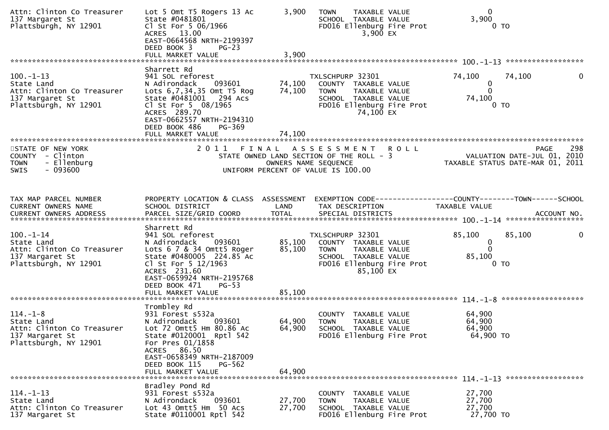| Attn: Clinton Co Treasurer<br>137 Margaret St<br>Plattsburgh, NY 12901                                  | Lot 5 Omt T5 Rogers 13 Ac<br>State #0481801<br>Cl St For 5 06/1966<br>ACRES 13.00<br>EAST-0664568 NRTH-2199397<br>DEED BOOK 3<br>$PG-23$<br>FULL MARKET VALUE                                                                                   | 3,900<br>3,900             | <b>TAXABLE VALUE</b><br><b>TOWN</b><br>SCHOOL TAXABLE VALUE<br>FD016 Ellenburg Fire Prot<br>$3,900$ EX                                     | $\mathbf{0}$<br>3,900<br>0 <sub>T</sub>                                                                                                                                                 |              |
|---------------------------------------------------------------------------------------------------------|-------------------------------------------------------------------------------------------------------------------------------------------------------------------------------------------------------------------------------------------------|----------------------------|--------------------------------------------------------------------------------------------------------------------------------------------|-----------------------------------------------------------------------------------------------------------------------------------------------------------------------------------------|--------------|
| $100. - 1 - 13$<br>State Land<br>Attn: Clinton Co Treasurer<br>137 Margaret St<br>Plattsburgh, NY 12901 | Sharrett Rd<br>941 SOL reforest<br>N Adirondack<br>093601<br>Lots 6,7,34,35 Omt T5 Rog<br>State #0481001 294 Acs<br>Cl St For 5 08/1965<br>ACRES 289.70<br>EAST-0662557 NRTH-2194310<br>DEED BOOK 486<br>PG-369<br>FULL MARKET VALUE            | 74,100<br>74,100<br>74,100 | TXLSCHPURP 32301<br>COUNTY TAXABLE VALUE<br>TAXABLE VALUE<br><b>TOWN</b><br>SCHOOL TAXABLE VALUE<br>FD016 Ellenburg Fire Prot<br>74,100 EX | 74,100<br>74,100<br>0<br>$\mathbf 0$<br>74,100<br>0 <sub>T</sub>                                                                                                                        | $\mathbf{0}$ |
| STATE OF NEW YORK<br>COUNTY - Clinton<br>- Ellenburg<br><b>TOWN</b><br><b>SWIS</b><br>- 093600          |                                                                                                                                                                                                                                                 | OWNERS NAME SEQUENCE       | 2011 FINAL ASSESSMENT<br><b>ROLL</b><br>STATE OWNED LAND SECTION OF THE ROLL - 3<br>UNIFORM PERCENT OF VALUE IS 100.00                     | <b>PAGE</b><br>VALUATION DATE-JUL 01, 2010<br>TAXABLE STATUS DATE-MAR 01, 2011                                                                                                          | 298          |
| TAX MAP PARCEL NUMBER<br>CURRENT OWNERS NAME                                                            | PROPERTY LOCATION & CLASS ASSESSMENT<br>SCHOOL DISTRICT                                                                                                                                                                                         | LAND                       | TAX DESCRIPTION                                                                                                                            | EXEMPTION CODE------------------COUNTY--------TOWN------SCHOOL<br><b>TAXABLE VALUE</b><br>CURRENT OWNERS ADDRESS PARCEL SIZE/GRID COORD TOTAL SPECIAL DISTRICTS (2001) 101. ACCOUNT NO. |              |
| $100. -1 - 14$<br>State Land<br>Attn: Clinton Co Treasurer<br>137 Margaret St<br>Plattsburgh, NY 12901  | Sharrett Rd<br>941 SOL reforest<br>093601<br>N Adirondack<br>Lots $6$ $7$ $8$ $34$ Omtt5 Roger<br>State #0480005 224.85 Ac<br>Cl St For 5 12/1963<br>ACRES 231.60<br>EAST-0659924 NRTH-2195768<br>DEED BOOK 471<br>$PG-53$<br>FULL MARKET VALUE | 85,100<br>85,100<br>85,100 | TXLSCHPURP 32301<br>COUNTY TAXABLE VALUE<br>TAXABLE VALUE<br>TOWN<br>SCHOOL TAXABLE VALUE<br>FD016 Ellenburg Fire Prot<br>85,100 EX        | 85,100<br>85,100<br>$\mathbf 0$<br>$\mathbf{0}$<br>85,100<br>0 TO                                                                                                                       | 0            |
| $114. - 1 - 8$<br>State Land<br>Attn: Clinton Co Treasurer<br>137 Margaret St<br>Plattsburgh, NY 12901  | Trombley Rd<br>931 Forest s532a<br>N Adirondack<br>093601<br>Lot 72 Omtt5 Hm 80.86 Ac<br>State #0120001 Rptl 542<br>For Pres 01/1858<br>ACRES 86.50<br>EAST-0658349 NRTH-2187009<br>DEED BOOK 115<br>PG-562<br>FULL MARKET VALUE                | 64,900<br>64,900<br>64,900 | COUNTY TAXABLE VALUE<br><b>TOWN</b><br>TAXABLE VALUE<br>SCHOOL TAXABLE VALUE<br>FD016 Ellenburg Fire Prot                                  | 64,900<br>64,900<br>64,900<br>64,900 TO                                                                                                                                                 |              |
| $114. - 1 - 13$<br>State Land<br>Attn: Clinton Co Treasurer<br>137 Margaret St                          | Bradley Pond Rd<br>931 Forest s532a<br>093601<br>N Adirondack<br>Lot 43 Omtt5 Hm 50 Acs<br>State #0110001 Rptl 542                                                                                                                              | 27,700<br>27,700           | COUNTY TAXABLE VALUE<br><b>TOWN</b><br>TAXABLE VALUE<br>SCHOOL TAXABLE VALUE<br>FD016 Ellenburg Fire Prot                                  | 27,700<br>27,700<br>27,700<br>27,700 TO                                                                                                                                                 |              |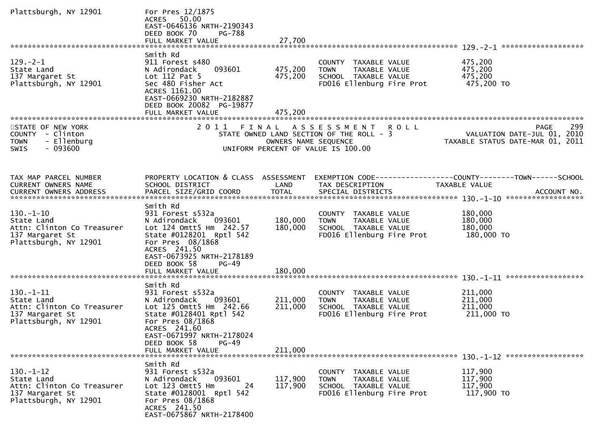| Plattsburgh, NY 12901                                                                                   | For Pres 12/1875<br>ACRES 50.00<br>EAST-0646136 NRTH-2190343<br>DEED BOOK 70<br><b>PG-788</b>                                                                                                |                      |                                                                                                                  |                                                                                               |
|---------------------------------------------------------------------------------------------------------|----------------------------------------------------------------------------------------------------------------------------------------------------------------------------------------------|----------------------|------------------------------------------------------------------------------------------------------------------|-----------------------------------------------------------------------------------------------|
|                                                                                                         |                                                                                                                                                                                              |                      |                                                                                                                  |                                                                                               |
| $129. - 2 - 1$<br>State Land<br>137 Margaret St<br>Plattsburgh, NY 12901                                | Smith Rd<br>911 Forest s480<br>093601<br>N Adirondack<br>Lot $112$ Pat 5<br>Sec 480 Fisher Act<br>ACRES 1161.00<br>EAST-0669230 NRTH-2182887<br>DEED BOOK 20082 PG-19877                     | 475,200<br>475,200   | COUNTY TAXABLE VALUE<br>TAXABLE VALUE<br>TOWN<br>SCHOOL TAXABLE VALUE<br>FD016 Ellenburg Fire Prot               | 475,200<br>475,200<br>475,200<br>475,200 TO                                                   |
|                                                                                                         | FULL MARKET VALUE                                                                                                                                                                            | 475,200              |                                                                                                                  |                                                                                               |
|                                                                                                         |                                                                                                                                                                                              |                      |                                                                                                                  |                                                                                               |
| STATE OF NEW YORK<br>COUNTY - Clinton<br>- Ellenburg<br><b>TOWN</b><br>$-093600$<br><b>SWIS</b>         |                                                                                                                                                                                              | OWNERS NAME SEQUENCE | 2011 FINAL ASSESSMENT ROLL<br>STATE OWNED LAND SECTION OF THE ROLL - 3<br>UNIFORM PERCENT OF VALUE IS 100.00     | 299<br><b>PAGE</b><br>VALUATION DATE-JUL 01, 2010<br>TAXABLE STATUS DATE-MAR 01, 2011         |
|                                                                                                         |                                                                                                                                                                                              |                      |                                                                                                                  |                                                                                               |
| TAX MAP PARCEL NUMBER<br>CURRENT OWNERS NAME<br><b>CURRENT OWNERS ADDRESS</b>                           | PROPERTY LOCATION & CLASS ASSESSMENT<br>SCHOOL DISTRICT<br>PARCEL SIZE/GRID COORD                                                                                                            | LAND<br><b>TOTAL</b> | TAX DESCRIPTION<br>SPECIAL DISTRICTS                                                                             | EXEMPTION CODE-----------------COUNTY--------TOWN------SCHOOL<br>TAXABLE VALUE<br>ACCOUNT NO. |
|                                                                                                         | Smith Rd                                                                                                                                                                                     |                      |                                                                                                                  |                                                                                               |
| $130. - 1 - 10$<br>State Land<br>Attn: Clinton Co Treasurer<br>137 Margaret St<br>Plattsburgh, NY 12901 | 931 Forest s532a<br>N Adirondack<br>093601<br>Lot 124 Omtt5 Hm 242.57<br>State #0128201 Rptl 542<br>For Pres 08/1868<br>ACRES 241.50<br>EAST-0673925 NRTH-2178189<br>DEED BOOK 58<br>$PG-49$ | 180,000<br>180,000   | COUNTY TAXABLE VALUE<br>TAXABLE VALUE<br><b>TOWN</b><br>SCHOOL TAXABLE VALUE<br>FD016 Ellenburg Fire Prot        | 180,000<br>180,000<br>180,000<br>180,000 TO                                                   |
|                                                                                                         | FULL MARKET VALUE                                                                                                                                                                            | 180,000              |                                                                                                                  |                                                                                               |
|                                                                                                         | Smith Rd                                                                                                                                                                                     |                      |                                                                                                                  |                                                                                               |
| $130. -1 - 11$<br>State Land<br>Attn: Clinton Co Treasurer<br>137 Margaret St<br>Plattsburgh, NY 12901  | 931 Forest s532a<br>093601<br>N Adirondack<br>Lot 125 Omtt5 Hm 242.66<br>State #0128401 Rptl 542<br>For Pres 08/1868<br>ACRES 241.60<br>EAST-0671997 NRTH-2178024<br>DEED BOOK 58<br>$PG-49$ | 211,000<br>211,000   | COUNTY TAXABLE VALUE<br><b>TOWN</b><br>TAXABLE VALUE<br>SCHOOL TAXABLE VALUE<br>FD016 Ellenburg Fire Prot        | 211,000<br>211,000<br>211,000<br>211,000 TO                                                   |
|                                                                                                         | FULL MARKET VALUE                                                                                                                                                                            | 211,000              |                                                                                                                  |                                                                                               |
| $130.-1-12$<br>State Land<br>Attn: Clinton Co Treasurer<br>137 Margaret St<br>Plattsburgh, NY 12901     | Smith Rd<br>931 Forest s532a<br>093601<br>N Adirondack<br>Lot 123 Omtt5 Hm<br>24<br>State #0128001 Rptl 542<br>For Pres 08/1868<br>ACRES 241.50<br>EAST-0675867 NRTH-2178400                 | 117,900<br>117,900   | COUNTY TAXABLE VALUE<br><b>TAXABLE VALUE</b><br><b>TOWN</b><br>SCHOOL TAXABLE VALUE<br>FD016 Ellenburg Fire Prot | 117,900<br>117,900<br>117,900<br>117,900 TO                                                   |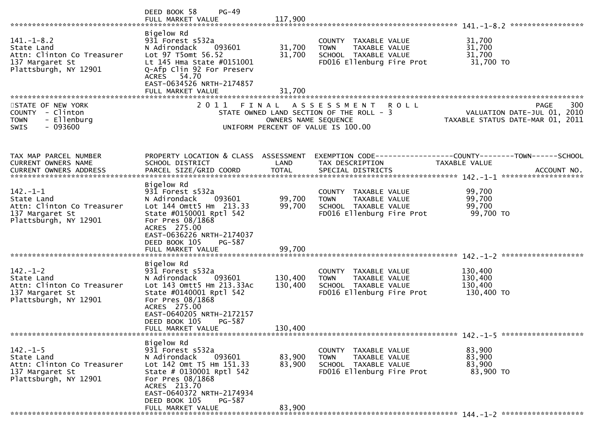|                                                                                                          | $PG-49$<br>DEED BOOK 58<br>FULL MARKET VALUE                                                                                                                                                                                      | 117,900                       |                                                                                                              |                                                                                        |
|----------------------------------------------------------------------------------------------------------|-----------------------------------------------------------------------------------------------------------------------------------------------------------------------------------------------------------------------------------|-------------------------------|--------------------------------------------------------------------------------------------------------------|----------------------------------------------------------------------------------------|
| $141. - 1 - 8.2$<br>State Land<br>Attn: Clinton Co Treasurer<br>137 Margaret St<br>Plattsburgh, NY 12901 | Bigelow Rd<br>931 Forest s532a<br>N Adirondack<br>093601<br>Lot 97 T5omt 56.52<br>Lt 145 Hma State #0151001<br>Q-Afp Clin 92 For Preserv<br>ACRES 54.70<br>EAST-0634526 NRTH-2174857<br>FULL MARKET VALUE                         | 31,700<br>31,700<br>31,700    | COUNTY TAXABLE VALUE<br>TAXABLE VALUE<br><b>TOWN</b><br>SCHOOL TAXABLE VALUE<br>FD016 Ellenburg Fire Prot    | 31,700<br>31,700<br>31,700<br>31,700 TO                                                |
| STATE OF NEW YORK<br>COUNTY - Clinton<br><b>TOWN</b><br>- Ellenburg<br>$-093600$<br><b>SWIS</b>          |                                                                                                                                                                                                                                   | OWNERS NAME SEQUENCE          | 2011 FINAL ASSESSMENT ROLL<br>STATE OWNED LAND SECTION OF THE ROLL - 3<br>UNIFORM PERCENT OF VALUE IS 100.00 | 300<br><b>PAGE</b><br>VALUATION DATE-JUL 01, 2010<br>TAXABLE STATUS DATE-MAR 01, 2011  |
| TAX MAP PARCEL NUMBER<br>CURRENT OWNERS NAME                                                             | PROPERTY LOCATION & CLASS ASSESSMENT<br>SCHOOL DISTRICT                                                                                                                                                                           | LAND                          | TAX DESCRIPTION                                                                                              | EXEMPTION CODE------------------COUNTY--------TOWN------SCHOOL<br><b>TAXABLE VALUE</b> |
| $142. - 1 - 1$<br>State Land<br>Attn: Clinton Co Treasurer<br>137 Margaret St<br>Plattsburgh, NY 12901   | Bigelow Rd<br>931 Forest s532a<br>093601<br>N Adirondack<br>Lot 144 Omtt5 Hm 213.33<br>State #0150001 Rptl 542<br>For Pres 08/1868<br>ACRES 275.00<br>EAST-0636226 NRTH-2174037<br>DEED BOOK 105<br>PG-587<br>FULL MARKET VALUE   | 99,700<br>99,700<br>99.700    | COUNTY TAXABLE VALUE<br>TAXABLE VALUE<br><b>TOWN</b><br>SCHOOL TAXABLE VALUE<br>FD016 Ellenburg Fire Prot    | 99,700<br>99,700<br>99,700<br>99,700 TO                                                |
| $142. - 1 - 2$<br>State Land<br>Attn: Clinton Co Treasurer<br>137 Margaret St<br>Plattsburgh, NY 12901   | Bigelow Rd<br>931 Forest s532a<br>093601<br>N Adirondack<br>Lot 143 Omtt5 Hm 213.33Ac<br>State #0140001 Rptl 542<br>For Pres 08/1868<br>ACRES 275.00<br>EAST-0640205 NRTH-2172157<br>DEED BOOK 105<br>PG-587<br>FULL MARKET VALUE | 130,400<br>130,400<br>130,400 | COUNTY TAXABLE VALUE<br>TAXABLE VALUE<br><b>TOWN</b><br>SCHOOL TAXABLE VALUE<br>FD016 Ellenburg Fire Prot    | 130,400<br>130,400<br>130,400<br>130,400 TO                                            |
| $142. - 1 - 5$<br>State Land<br>Attn: Clinton Co Treasurer<br>137 Margaret St<br>Plattsburgh, NY 12901   | Bigelow Rd<br>931 Forest s532a<br>N Adirondack<br>093601<br>Lot 142 Omt T5 Hm 151.33<br>State # 0130001 Rptl 542<br>For Pres 08/1868<br>ACRES 213.70<br>EAST-0640372 NRTH-2174934<br>DEED BOOK 105<br>PG-587<br>FULL MARKET VALUE | 83,900<br>83,900<br>83,900    | COUNTY TAXABLE VALUE<br><b>TOWN</b><br>TAXABLE VALUE<br>SCHOOL TAXABLE VALUE<br>FD016 Ellenburg Fire Prot    | 83,900<br>83,900<br>83,900<br>83,900 TO                                                |
|                                                                                                          |                                                                                                                                                                                                                                   |                               |                                                                                                              |                                                                                        |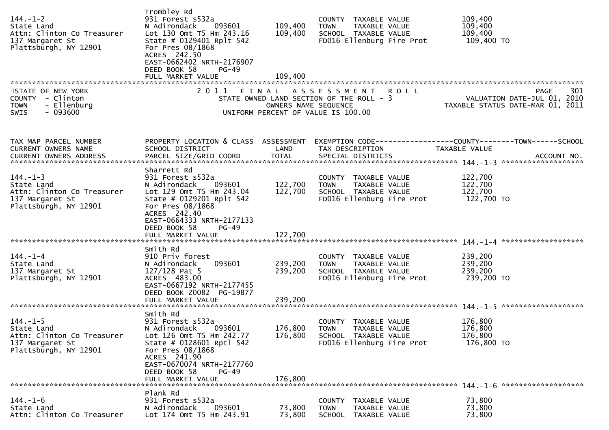| $144. - 1 - 2$<br>State Land<br>Attn: Clinton Co Treasurer<br>137 Margaret St<br>Plattsburgh, NY 12901 | Trombley Rd<br>931 Forest s532a<br>N Adirondack<br>093601<br>Lot 130 Omt T5 Hm 243.16<br>State # 0129401 Rplt 542<br>For Pres 08/1868<br>ACRES 242.50<br>EAST-0662402 NRTH-2176907<br>DEED BOOK 58<br><b>PG-49</b><br>FULL MARKET VALUE | 109,400<br>109,400<br>109,400 | COUNTY TAXABLE VALUE<br>TAXABLE VALUE<br><b>TOWN</b><br>SCHOOL TAXABLE VALUE<br>FD016 Ellenburg Fire Prot           | 109,400<br>109,400<br>109,400<br>109,400 TO                                           |
|--------------------------------------------------------------------------------------------------------|-----------------------------------------------------------------------------------------------------------------------------------------------------------------------------------------------------------------------------------------|-------------------------------|---------------------------------------------------------------------------------------------------------------------|---------------------------------------------------------------------------------------|
|                                                                                                        |                                                                                                                                                                                                                                         |                               |                                                                                                                     |                                                                                       |
| STATE OF NEW YORK<br>COUNTY - Clinton<br>- Ellenburg<br><b>TOWN</b><br>$-093600$<br><b>SWIS</b>        |                                                                                                                                                                                                                                         | OWNERS NAME SEQUENCE          | 2011 FINAL ASSESSMENT ROLL<br>STATE OWNED LAND SECTION OF THE ROLL - 3<br>UNIFORM PERCENT OF VALUE IS 100.00        | 301<br><b>PAGE</b><br>VALUATION DATE-JUL 01, 2010<br>TAXABLE STATUS DATE-MAR 01, 2011 |
| TAX MAP PARCEL NUMBER                                                                                  | PROPERTY LOCATION & CLASS ASSESSMENT                                                                                                                                                                                                    |                               |                                                                                                                     |                                                                                       |
| CURRENT OWNERS NAME                                                                                    | SCHOOL DISTRICT                                                                                                                                                                                                                         | LAND                          | TAX DESCRIPTION                                                                                                     | TAXABLE VALUE                                                                         |
|                                                                                                        |                                                                                                                                                                                                                                         |                               |                                                                                                                     |                                                                                       |
|                                                                                                        |                                                                                                                                                                                                                                         |                               |                                                                                                                     |                                                                                       |
| $144. - 1 - 3$                                                                                         | Sharrett Rd<br>931 Forest s532a                                                                                                                                                                                                         |                               | COUNTY TAXABLE VALUE                                                                                                | 122,700                                                                               |
| State Land                                                                                             | 093601<br>N Adirondack                                                                                                                                                                                                                  | 122,700                       | TAXABLE VALUE<br><b>TOWN</b>                                                                                        | 122,700                                                                               |
| Attn: Clinton Co Treasurer                                                                             | Lot 129 Omt T5 Hm 243.04                                                                                                                                                                                                                | 122,700                       | SCHOOL TAXABLE VALUE                                                                                                | 122,700                                                                               |
| 137 Margaret St<br>Plattsburgh, NY 12901                                                               | State # 0129201 Rplt 542<br>For Pres 08/1868<br>ACRES 242.40<br>EAST-0664333 NRTH-2177133<br>DEED BOOK 58<br>$PG-49$<br>FULL MARKET VALUE                                                                                               | 122,700                       | FD016 Ellenburg Fire Prot                                                                                           | 122,700 TO                                                                            |
|                                                                                                        |                                                                                                                                                                                                                                         |                               |                                                                                                                     |                                                                                       |
| $144. - 1 - 4$<br>State Land<br>137 Margaret St<br>Plattsburgh, NY 12901                               | Smith Rd<br>910 Priv forest<br>093601<br>N Adirondack<br>$127/128$ Pat 5<br>ACRES 483.00<br>EAST-0667192 NRTH-2177455<br>DEED BOOK 20082 PG-19877                                                                                       | 239,200<br>239,200            | COUNTY TAXABLE VALUE<br>TAXABLE VALUE<br><b>TOWN</b><br>SCHOOL TAXABLE VALUE<br>FD016 Ellenburg Fire Prot           | 239,200<br>239,200<br>239,200<br>239,200 TO                                           |
|                                                                                                        | FULL MARKET VALUE                                                                                                                                                                                                                       | 239,200                       |                                                                                                                     |                                                                                       |
| $144. - 1 - 5$<br>State Land<br>Attn: Clinton Co Treasurer<br>137 Margaret St<br>Plattsburgh, NY 12901 | Smith Rd<br>931 Forest s532a<br>093601<br>N Adirondack<br>Lot 126 Omt T5 Hm 242.77<br>State # 0128601 Rptl 542<br>For Pres 08/1868<br>ACRES 241.90<br>EAST-0670074 NRTH-2177760<br>DEED BOOK 58<br><b>PG-49</b><br>FULL MARKET VALUE    | 176,800<br>176,800<br>176,800 | COUNTY<br>TAXABLE VALUE<br><b>TOWN</b><br><b>TAXABLE VALUE</b><br>SCHOOL TAXABLE VALUE<br>FD016 Ellenburg Fire Prot | 176,800<br>176,800<br>176,800<br>176,800 TO                                           |
|                                                                                                        | Plank Rd                                                                                                                                                                                                                                |                               |                                                                                                                     |                                                                                       |
| $144. - 1 - 6$<br>State Land<br>Attn: Clinton Co Treasurer                                             | 931 Forest s532a<br>093601<br>N Adirondack<br>Lot 174 Omt T5 Hm 243.91                                                                                                                                                                  | 73,800<br>73,800              | <b>COUNTY</b><br>TAXABLE VALUE<br>TAXABLE VALUE<br><b>TOWN</b><br><b>SCHOOL</b><br>TAXABLE VALUE                    | 73,800<br>73,800<br>73,800                                                            |
|                                                                                                        |                                                                                                                                                                                                                                         |                               |                                                                                                                     |                                                                                       |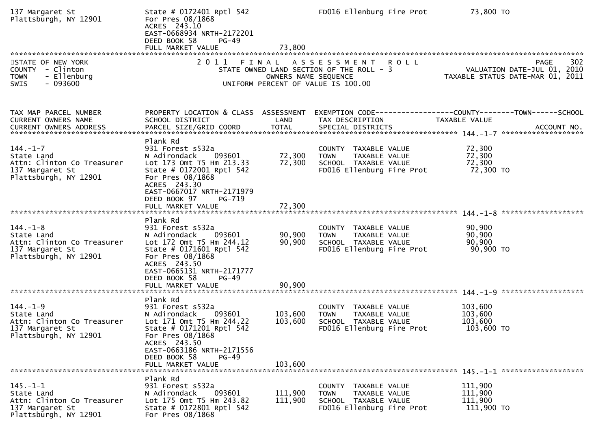| 137 Margaret St<br>Plattsburgh, NY 12901                                                               | State # 0172401 Rptl 542<br>For Pres 08/1868<br>ACRES 243.10<br>EAST-0668934 NRTH-2172201<br>DEED BOOK 58<br>$PG-49$<br>FULL MARKET VALUE                                                                                      | 73,800                     | FD016 Ellenburg Fire Prot                                                                                    | 73,800 TO                                                                            |
|--------------------------------------------------------------------------------------------------------|--------------------------------------------------------------------------------------------------------------------------------------------------------------------------------------------------------------------------------|----------------------------|--------------------------------------------------------------------------------------------------------------|--------------------------------------------------------------------------------------|
| STATE OF NEW YORK<br>COUNTY - Clinton<br>- Ellenburg<br><b>TOWN</b><br>$-093600$<br>SWIS               |                                                                                                                                                                                                                                | OWNERS NAME SEQUENCE       | 2011 FINAL ASSESSMENT ROLL<br>STATE OWNED LAND SECTION OF THE ROLL - 3<br>UNIFORM PERCENT OF VALUE IS 100.00 | 302<br>PAGE<br>VALUATION DATE-JUL 01, 2010<br>TAXABLE STATUS DATE-MAR 01, 2011       |
| TAX MAP PARCEL NUMBER<br>CURRENT OWNERS NAME                                                           | PROPERTY LOCATION & CLASS ASSESSMENT<br>SCHOOL DISTRICT                                                                                                                                                                        | LAND                       | TAX DESCRIPTION                                                                                              | EXEMPTION        CODE-----------------COUNTY-------TOWN------SCHOOL<br>TAXABLE VALUE |
| $144. - 1 - 7$<br>State Land<br>Attn: Clinton Co Treasurer<br>137 Margaret St<br>Plattsburgh, NY 12901 | Plank Rd<br>931 Forest s532a<br>N Adirondack<br>093601<br>Lot 173 Omt T5 Hm 213.33<br>State # 0172001 Rptl 542<br>For Pres 08/1868<br>ACRES 243.30<br>EAST-0667017 NRTH-2171979<br>DEED BOOK 97<br>PG-719<br>FULL MARKET VALUE | 72,300<br>72,300<br>72,300 | COUNTY TAXABLE VALUE<br>TAXABLE VALUE<br><b>TOWN</b><br>SCHOOL TAXABLE VALUE<br>FD016 Ellenburg Fire Prot    | 72,300<br>72,300<br>72,300<br>72,300 TO                                              |
| $144. - 1 - 8$<br>State Land<br>Attn: Clinton Co Treasurer<br>137 Margaret St<br>Plattsburgh, NY 12901 | Plank Rd<br>931 Forest s532a<br>093601<br>N Adirondack<br>Lot 172 Omt T5 Hm 244.12<br>State # 0171601 Rptl 542<br>For Pres 08/1868<br>ACRES 243.50<br>EAST-0665131 NRTH-2171777<br>DEED BOOK 58<br>PG-49<br>FULL MARKET VALUE  | 90,900<br>90,900<br>90,900 | COUNTY TAXABLE VALUE<br>TAXABLE VALUE<br><b>TOWN</b><br>SCHOOL TAXABLE VALUE<br>FD016 Ellenburg Fire Prot    | 90,900<br>90,900<br>90,900<br>90,900 TO                                              |
|                                                                                                        | Plank Rd                                                                                                                                                                                                                       |                            |                                                                                                              |                                                                                      |
| $144. - 1 - 9$<br>State Land<br>Attn: Clinton Co Treasurer<br>137 Margaret St<br>Plattsburgh, NY 12901 | 931 Forest s532a<br>N Adirondack<br>093601<br>Lot 171 Omt T5 Hm 244.22<br>State # 0171201 Rptl 542<br>For Pres 08/1868<br>ACRES 243.50<br>EAST-0663186 NRTH-2171556<br>DEED BOOK 58<br>$PG-49$                                 | 103,600<br>103,600         | COUNTY TAXABLE VALUE<br>TAXABLE VALUE<br><b>TOWN</b><br>SCHOOL TAXABLE VALUE<br>FD016 Ellenburg Fire Prot    | 103,600<br>103,600<br>103,600<br>103,600 TO                                          |
|                                                                                                        | FULL MARKET VALUE                                                                                                                                                                                                              | 103,600                    |                                                                                                              |                                                                                      |
| $145. - 1 - 1$<br>State Land<br>Attn: Clinton Co Treasurer<br>137 Margaret St<br>Plattsburgh, NY 12901 | Plank Rd<br>931 Forest s532a<br>093601<br>N Adirondack<br>Lot 175 Omt T5 Hm 243.82<br>State # 0172801 Rptl 542<br>For Pres 08/1868                                                                                             | 111,900<br>111,900         | COUNTY TAXABLE VALUE<br>TAXABLE VALUE<br><b>TOWN</b><br>SCHOOL TAXABLE VALUE<br>FD016 Ellenburg Fire Prot    | 111,900<br>111,900<br>111,900<br>111,900 TO                                          |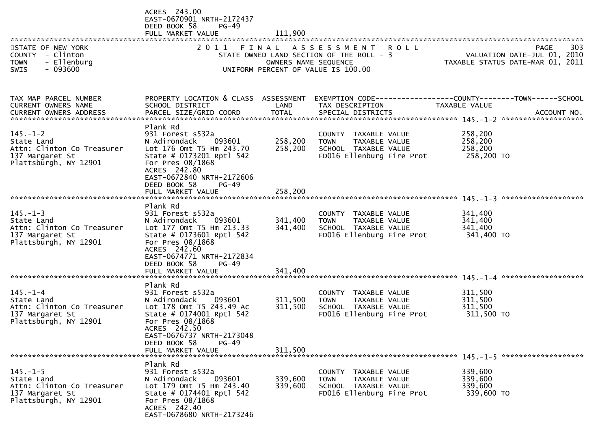|                                                                                                        | ACRES 243.00<br>EAST-0670901 NRTH-2172437<br>DEED BOOK 58<br>$PG-49$<br>FULL MARKET VALUE                                                                                                                                       | 111,900                       |                                                                                                                   |                                             |                                                                                |
|--------------------------------------------------------------------------------------------------------|---------------------------------------------------------------------------------------------------------------------------------------------------------------------------------------------------------------------------------|-------------------------------|-------------------------------------------------------------------------------------------------------------------|---------------------------------------------|--------------------------------------------------------------------------------|
| STATE OF NEW YORK<br>COUNTY - Clinton<br>- Ellenburg<br><b>TOWN</b><br>SWIS<br>- 093600                | 2 0 1 1                                                                                                                                                                                                                         | OWNERS NAME SEQUENCE          | FINAL ASSESSMENT<br><b>ROLL</b><br>STATE OWNED LAND SECTION OF THE ROLL - 3<br>UNIFORM PERCENT OF VALUE IS 100.00 |                                             | PAGE<br>303<br>VALUATION DATE-JUL 01, 2010<br>TAXABLE STATUS DATE-MAR 01, 2011 |
| TAX MAP PARCEL NUMBER<br><b>CURRENT OWNERS NAME</b><br>CURRENT OWNERS ADDRESS                          | PROPERTY LOCATION & CLASS ASSESSMENT<br>SCHOOL DISTRICT<br>PARCEL SIZE/GRID COORD                                                                                                                                               | LAND<br><b>TOTAL</b>          | EXEMPTION CODE-----------------COUNTY-------TOWN------SCHOOL<br>TAX DESCRIPTION<br>SPECIAL DISTRICTS              | TAXABLE VALUE                               | ACCOUNT NO.                                                                    |
| $145. - 1 - 2$<br>State Land<br>Attn: Clinton Co Treasurer<br>137 Margaret St<br>Plattsburgh, NY 12901 | Plank Rd<br>931 Forest s532a<br>093601<br>N Adirondack<br>Lot 176 Omt T5 Hm 243.70<br>State # 0173201 Rptl 542<br>For Pres 08/1868<br>ACRES 242.80<br>EAST-0672840 NRTH-2172606                                                 | 258,200<br>258,200            | COUNTY TAXABLE VALUE<br><b>TOWN</b><br>TAXABLE VALUE<br>SCHOOL TAXABLE VALUE<br>FD016 Ellenburg Fire Prot         | 258,200<br>258,200<br>258,200<br>258,200 TO |                                                                                |
|                                                                                                        | DEED BOOK 58<br>$PG-49$<br>FULL MARKET VALUE                                                                                                                                                                                    | 258,200                       |                                                                                                                   |                                             |                                                                                |
| $145. - 1 - 3$<br>State Land<br>Attn: Clinton Co Treasurer<br>137 Margaret St<br>Plattsburgh, NY 12901 | Plank Rd<br>931 Forest s532a<br>093601<br>N Adirondack<br>Lot 177 Omt T5 Hm 213.33<br>State # 0173601 Rptl 542<br>For Pres 08/1868<br>ACRES 242.60<br>EAST-0674771 NRTH-2172834<br>DEED BOOK 58<br>$PG-49$<br>FULL MARKET VALUE | 341,400<br>341,400<br>341,400 | COUNTY TAXABLE VALUE<br>TAXABLE VALUE<br><b>TOWN</b><br>SCHOOL TAXABLE VALUE<br>FD016 Ellenburg Fire Prot         | 341,400<br>341,400<br>341,400<br>341,400 TO |                                                                                |
|                                                                                                        |                                                                                                                                                                                                                                 |                               |                                                                                                                   |                                             |                                                                                |
| $145. - 1 - 4$<br>State Land<br>Attn: Clinton Co Treasurer<br>137 Margaret St<br>Plattsburgh, NY 12901 | Plank Rd<br>931 Forest s532a<br>093601<br>N Adirondack<br>Lot 178 Omt T5 243.49 Ac<br>State # 0174001 Rptl 542<br>For Pres 08/1868<br>ACRES 242.50<br>EAST-0676737 NRTH-2173048<br>DEED BOOK 58<br>$PG-49$<br>FULL MARKET VALUE | 311,500<br>311,500<br>311,500 | COUNTY TAXABLE VALUE<br><b>TOWN</b><br>TAXABLE VALUE<br>SCHOOL TAXABLE VALUE<br>FD016 Ellenburg Fire Prot         | 311,500<br>311,500<br>311,500<br>311,500 TO |                                                                                |
|                                                                                                        |                                                                                                                                                                                                                                 |                               |                                                                                                                   |                                             |                                                                                |
| $145. - 1 - 5$<br>State Land<br>Attn: Clinton Co Treasurer<br>137 Margaret St<br>Plattsburgh, NY 12901 | Plank Rd<br>931 Forest s532a<br>N Adirondack<br>093601<br>Lot 179 Omt T5 Hm 243.40<br>State # 0174401 Rptl 542<br>For Pres 08/1868<br>ACRES 242.40<br>EAST-0678680 NRTH-2173246                                                 | 339,600<br>339,600            | COUNTY TAXABLE VALUE<br>TAXABLE VALUE<br>TOWN<br>SCHOOL TAXABLE VALUE<br>FD016 Ellenburg Fire Prot                | 339,600<br>339,600<br>339,600<br>339,600 TO |                                                                                |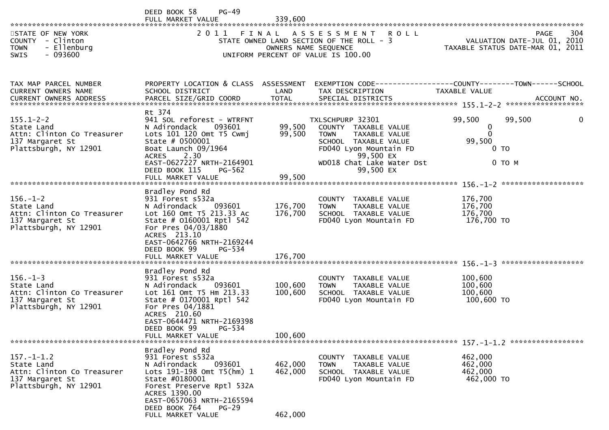|                                                                                                                                          | $PG-49$<br>DEED BOOK 58<br>FULL MARKET VALUE                                                                                                                                                                                                  | 339,600                       |                                                                                                                                                                                   |                                                                                       |     |
|------------------------------------------------------------------------------------------------------------------------------------------|-----------------------------------------------------------------------------------------------------------------------------------------------------------------------------------------------------------------------------------------------|-------------------------------|-----------------------------------------------------------------------------------------------------------------------------------------------------------------------------------|---------------------------------------------------------------------------------------|-----|
| STATE OF NEW YORK<br>COUNTY - Clinton<br>- Ellenburg<br><b>TOWN</b><br>$-093600$<br>SWIS                                                 | 2011                                                                                                                                                                                                                                          |                               | FINAL ASSESSMENT ROLL<br>STATE OWNED LAND SECTION OF THE ROLL - 3<br>OWNERS NAME SEQUENCE<br>UNIFORM PERCENT OF VALUE IS 100.00                                                   | <b>PAGE</b><br>VALUATION DATE-JUL 01, 2010<br>TAXABLE STATUS DATE-MAR 01, 2011        | 304 |
| TAX MAP PARCEL NUMBER<br><b>CURRENT OWNERS NAME</b>                                                                                      | PROPERTY LOCATION & CLASS ASSESSMENT<br>SCHOOL DISTRICT                                                                                                                                                                                       | LAND                          | TAX DESCRIPTION                                                                                                                                                                   | EXEMPTION CODE-----------------COUNTY--------TOWN------SCHOOL<br><b>TAXABLE VALUE</b> |     |
| $155.1 - 2 - 2$<br>State Land<br>Attn: Clinton Co Treasurer<br>137 Margaret St<br>Plattsburgh, NY 12901                                  | Rt 374<br>941 SOL reforest - WTRFNT<br>093601<br>N Adirondack<br>Lots 101 120 Omt T5 Cwmj<br>State $# 0500001$<br>Boat Launch 09/1964<br>2.30<br><b>ACRES</b><br>EAST-0627227 NRTH-2164901<br>DEED BOOK 115<br>PG-562                         | 99,500<br>99,500              | TXLSCHPURP 32301<br>COUNTY TAXABLE VALUE<br><b>TOWN</b><br>TAXABLE VALUE<br>SCHOOL TAXABLE VALUE<br>FD040 Lyon Mountain FD<br>99,500 EX<br>WD018 Chat Lake Water Dst<br>99,500 EX | 99,500<br>99,500<br>0<br>$\Omega$<br>99,500<br>0 <sub>T</sub><br>$0$ TO M             |     |
| $156. - 1 - 2$<br>State Land<br>Attn: Clinton Co Treasurer<br>137 Margaret St<br>Plattsburgh, NY 12901                                   | Bradley Pond Rd<br>931 Forest s532a<br>N Adirondack<br>093601<br>Lot 160 Omt T5 213.33 Ac<br>State # 0160001 Rptl 542<br>For Pres 04/03/1880<br>ACRES 213.10<br>EAST-0642766 NRTH-2169244<br>DEED BOOK 99<br>PG-534<br>FULL MARKET VALUE      | 176,700<br>176,700<br>176,700 | COUNTY TAXABLE VALUE<br><b>TOWN</b><br><b>TAXABLE VALUE</b><br>SCHOOL TAXABLE VALUE<br>FD040 Lyon Mountain FD                                                                     | 176,700<br>176,700<br>176,700<br>176,700 TO                                           |     |
| $156. - 1 - 3$<br>State Land<br>Attn: Clinton Co Treasurer<br>137 Margaret St<br>Plattsburgh, NY 12901<br>****************************** | Bradley Pond Rd<br>931 Forest s532a<br>093601<br>N Adirondack<br>Lot 161 Omt T5 Hm 213.33<br>State # 0170001 Rptl 542<br>For Pres 04/1881<br>ACRES 210.60<br>EAST-0644471 NRTH-2169398<br>DEED BOOK 99<br>PG-534<br>FULL MARKET VALUE         | 100,600<br>100,600<br>100,600 | COUNTY TAXABLE VALUE<br><b>TOWN</b><br>TAXABLE VALUE<br>SCHOOL TAXABLE VALUE<br>FD040 Lyon Mountain FD                                                                            | 100,600<br>100,600<br>100,600<br>100,600 TO                                           |     |
| $157. - 1 - 1.2$<br>State Land<br>Attn: Clinton Co Treasurer<br>137 Margaret St<br>Plattsburgh, NY 12901                                 | Bradley Pond Rd<br>931 Forest s532a<br>093601<br>N Adirondack<br>Lots 191-198 Omt T5(hm) 1<br>State #0180001<br>Forest Preserve Rptl 532A<br>ACRES 1390.00<br>EAST-0657063 NRTH-2165594<br>DEED BOOK 764<br><b>PG-29</b><br>FULL MARKET VALUE | 462,000<br>462,000<br>462,000 | COUNTY TAXABLE VALUE<br>TAXABLE VALUE<br>TOWN<br>SCHOOL TAXABLE VALUE<br>FD040 Lyon Mountain FD                                                                                   | 462,000<br>462,000<br>462,000<br>462,000 TO                                           |     |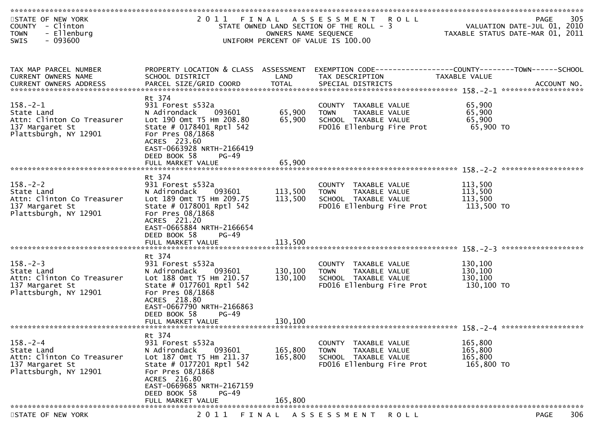| STATE OF NEW YORK<br>COUNTY - Clinton<br>- Ellenburg<br><b>TOWN</b><br>$-093600$<br>SWIS               |                                                                                                                                                                                                                               | OWNERS NAME SEQUENCE          | 2011 FINAL ASSESSMENT ROLL<br>STATE OWNED LAND SECTION OF THE ROLL - 3<br>UNIFORM PERCENT OF VALUE IS 100.00        |             |                                             | 305<br>PAGE<br>VALUATION DATE-JUL 01, 2010<br>TAXABLE STATUS DATE-MAR 01, 2011 |
|--------------------------------------------------------------------------------------------------------|-------------------------------------------------------------------------------------------------------------------------------------------------------------------------------------------------------------------------------|-------------------------------|---------------------------------------------------------------------------------------------------------------------|-------------|---------------------------------------------|--------------------------------------------------------------------------------|
|                                                                                                        |                                                                                                                                                                                                                               |                               |                                                                                                                     |             |                                             |                                                                                |
| TAX MAP PARCEL NUMBER<br>CURRENT OWNERS NAME                                                           | PROPERTY LOCATION & CLASS ASSESSMENT<br>SCHOOL DISTRICT                                                                                                                                                                       | LAND                          | TAX DESCRIPTION                                                                                                     |             | TAXABLE VALUE                               | EXEMPTION CODE------------------COUNTY--------TOWN------SCHOOL                 |
| $158. - 2 - 1$<br>State Land<br>Attn: Clinton Co Treasurer<br>137 Margaret St<br>Plattsburgh, NY 12901 | Rt 374<br>931 Forest s532a<br>N Adirondack<br>093601<br>Lot 190 Omt T5 Hm 208.80<br>State # 0178401 Rptl 542<br>For Pres 08/1868<br>ACRES 223.60<br>EAST-0663928 NRTH-2166419<br>DEED BOOK 58<br>$PG-49$                      | 65,900<br>65,900              | COUNTY TAXABLE VALUE<br><b>TOWN</b><br>TAXABLE VALUE<br>SCHOOL TAXABLE VALUE<br>FD016 Ellenburg Fire Prot           |             | 65,900<br>65,900<br>65,900<br>65,900 TO     |                                                                                |
|                                                                                                        |                                                                                                                                                                                                                               |                               |                                                                                                                     |             |                                             |                                                                                |
| $158. - 2 - 2$<br>State Land<br>Attn: Clinton Co Treasurer<br>137 Margaret St<br>Plattsburgh, NY 12901 | Rt 374<br>931 Forest s532a<br>093601<br>N Adirondack<br>Lot 189 Omt T5 Hm 209.75<br>State # 0178001 Rptl 542<br>For Pres 08/1868<br>ACRES 221.20<br>EAST-0665884 NRTH-2166654<br>DEED BOOK 58<br>$PG-49$<br>FULL MARKET VALUE | 113,500<br>113,500<br>113,500 | COUNTY TAXABLE VALUE<br><b>TOWN</b><br>TAXABLE VALUE<br>SCHOOL TAXABLE VALUE<br>FD016 Ellenburg Fire Prot           |             | 113,500<br>113,500<br>113,500<br>113,500 TO |                                                                                |
|                                                                                                        |                                                                                                                                                                                                                               |                               |                                                                                                                     |             |                                             |                                                                                |
| $158. - 2 - 3$<br>State Land<br>Attn: Clinton Co Treasurer<br>137 Margaret St<br>Plattsburgh, NY 12901 | Rt 374<br>931 Forest s532a<br>093601<br>N Adirondack<br>Lot 188 Omt T5 Hm 210.57<br>State # 0177601 Rptl 542<br>For Pres 08/1868<br>ACRES 218.80<br>EAST-0667790 NRTH-2166863<br>DEED BOOK 58<br>$PG-49$                      | 130,100<br>130,100            | COUNTY TAXABLE VALUE<br>TAXABLE VALUE<br><b>TOWN</b><br>SCHOOL TAXABLE VALUE<br>FD016 Ellenburg Fire Prot           |             | 130,100<br>130,100<br>130,100<br>130,100 TO |                                                                                |
|                                                                                                        | FULL MARKET VALUE                                                                                                                                                                                                             | 130,100                       |                                                                                                                     |             |                                             |                                                                                |
|                                                                                                        |                                                                                                                                                                                                                               |                               |                                                                                                                     |             |                                             |                                                                                |
| $158. - 2 - 4$<br>State Land<br>Attn: Clinton Co Treasurer<br>137 Margaret St<br>Plattsburgh, NY 12901 | Rt 374<br>931 Forest s532a<br>N Adirondack<br>093601<br>Lot 187 Omt T5 Hm 211.37<br>State # 0177201 Rptl 542<br>For Pres 08/1868<br>ACRES 216.80<br>EAST-0669685 NRTH-2167159<br>DEED BOOK 58<br><b>PG-49</b>                 | 165,800<br>165,800            | <b>COUNTY</b><br>TAXABLE VALUE<br><b>TOWN</b><br>TAXABLE VALUE<br>SCHOOL TAXABLE VALUE<br>FD016 Ellenburg Fire Prot |             | 165,800<br>165,800<br>165,800<br>165,800 TO |                                                                                |
|                                                                                                        | FULL MARKET VALUE                                                                                                                                                                                                             | 165,800                       |                                                                                                                     |             |                                             |                                                                                |
| STATE OF NEW YORK                                                                                      | 2011                                                                                                                                                                                                                          | FINAL                         | A S S E S S M E N T                                                                                                 | <b>ROLL</b> |                                             | 306<br><b>PAGE</b>                                                             |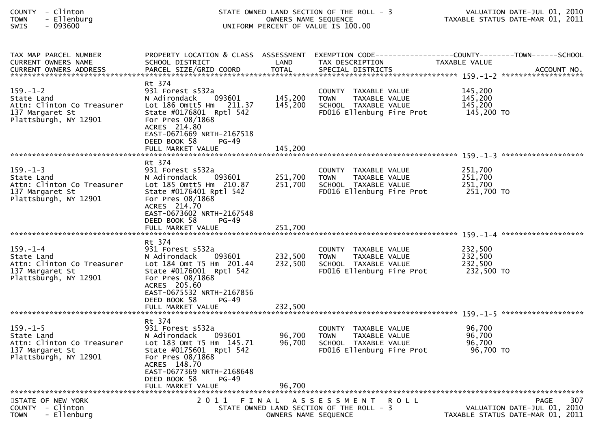| <b>COUNTY</b> |          | Clinton  |
|---------------|----------|----------|
| <b>TOWN</b>   | $\equiv$ | Ellenbur |

# STATE OWNED LAND SECTION OF THE ROLL - 3<br>CONNERS NAME SEQUENCE CONFINE AND MAXABLE STATUS DATE-MAR 01, 2011 TOWN - Ellenburg OWNERS NAME SEQUENCE TAXABLE STATUS DATE-MAR 01, 2011SWIS - 093600 UNIFORM PERCENT OF VALUE IS 100.00

| TAX MAP PARCEL NUMBER                    | PROPERTY LOCATION & CLASS ASSESSMENT               |                      |                                                      | EXEMPTION CODE-----------------COUNTY-------TOWN------SCHOOL |             |
|------------------------------------------|----------------------------------------------------|----------------------|------------------------------------------------------|--------------------------------------------------------------|-------------|
| <b>CURRENT OWNERS NAME</b>               | SCHOOL DISTRICT                                    | LAND                 | TAX DESCRIPTION                                      | TAXABLE VALUE                                                |             |
| <b>CURRENT OWNERS ADDRESS</b>            | PARCEL SIZE/GRID COORD                             | <b>TOTAL</b>         | SPECIAL DISTRICTS                                    |                                                              | ACCOUNT NO. |
|                                          |                                                    |                      |                                                      |                                                              |             |
|                                          | Rt 374                                             |                      |                                                      |                                                              |             |
| $159. - 1 - 2$                           | 931 Forest s532a                                   |                      | COUNTY TAXABLE VALUE                                 | 145,200                                                      |             |
| State Land                               | N Adirondack<br>093601                             | 145,200              | TAXABLE VALUE<br>TOWN                                | 145,200                                                      |             |
| Attn: Clinton Co Treasurer               | Lot 186 Omtt5 Hm 211.37                            | 145,200              | SCHOOL TAXABLE VALUE                                 | 145,200                                                      |             |
| 137 Margaret St                          | State #0176801 Rptl 542                            |                      | FD016 Ellenburg Fire Prot                            | 145,200 TO                                                   |             |
| Plattsburgh, NY 12901                    | For Pres 08/1868                                   |                      |                                                      |                                                              |             |
|                                          | ACRES 214.80                                       |                      |                                                      |                                                              |             |
|                                          | EAST-0671669 NRTH-2167518                          |                      |                                                      |                                                              |             |
|                                          | DEED BOOK 58<br>PG-49                              |                      |                                                      |                                                              |             |
|                                          |                                                    |                      |                                                      |                                                              |             |
|                                          |                                                    |                      |                                                      |                                                              |             |
|                                          | Rt 374                                             |                      |                                                      |                                                              |             |
| $159. - 1 - 3$                           | 931 Forest s532a                                   |                      | COUNTY TAXABLE VALUE                                 | 251,700<br>251,700                                           |             |
| State Land<br>Attn: Clinton Co Treasurer | N Adirondack<br>093601<br>Lot 185 Omtt5 Hm 210.87  | 251,700<br>251,700   | TAXABLE VALUE<br><b>TOWN</b><br>SCHOOL TAXABLE VALUE | 251,700                                                      |             |
| 137 Margaret St                          | State #0176401 Rptl 542                            |                      | FD016 Ellenburg Fire Prot                            | 251,700 TO                                                   |             |
| Plattsburgh, NY 12901                    | For Pres 08/1868                                   |                      |                                                      |                                                              |             |
|                                          | ACRES 214.70                                       |                      |                                                      |                                                              |             |
|                                          | EAST-0673602 NRTH-2167548                          |                      |                                                      |                                                              |             |
|                                          | DEED BOOK 58<br>$PG-49$                            |                      |                                                      |                                                              |             |
|                                          |                                                    |                      |                                                      |                                                              |             |
|                                          |                                                    |                      |                                                      |                                                              |             |
|                                          | Rt 374                                             |                      |                                                      |                                                              |             |
| $159. - 1 - 4$                           | 931 Forest s532a                                   |                      | COUNTY TAXABLE VALUE                                 | 232,500                                                      |             |
| State Land                               | N Adirondack<br>093601                             | 232,500              | TAXABLE VALUE<br><b>TOWN</b>                         | 232,500                                                      |             |
| Attn: Clinton Co Treasurer               | Lot 184 Omt T5 Hm 201.44                           | 232,500              | SCHOOL TAXABLE VALUE                                 | 232,500                                                      |             |
| 137 Margaret St                          | State #0176001 Rptl 542                            |                      | FD016 Ellenburg Fire Prot                            | 232,500 TO                                                   |             |
| Plattsburgh, NY 12901                    | For Pres 08/1868                                   |                      |                                                      |                                                              |             |
|                                          | ACRES 205.60                                       |                      |                                                      |                                                              |             |
|                                          | EAST-0675532 NRTH-2167856                          |                      |                                                      |                                                              |             |
|                                          | DEED BOOK 58<br>PG-49                              |                      |                                                      |                                                              |             |
|                                          | FULL MARKET VALUE                                  | 232,500              |                                                      |                                                              |             |
|                                          |                                                    |                      |                                                      |                                                              |             |
|                                          | Rt 374                                             |                      |                                                      |                                                              |             |
| $159. - 1 - 5$                           | 931 Forest s532a                                   | 96,700               | COUNTY TAXABLE VALUE                                 | 96,700<br>96,700                                             |             |
| State Land<br>Attn: Clinton Co Treasurer | 093601<br>N Adirondack<br>Lot 183 Omt T5 Hm 145.71 | 96,700               | TAXABLE VALUE<br>TOWN<br>SCHOOL TAXABLE VALUE        | 96,700                                                       |             |
| 137 Margaret St                          | State #0175601 Rptl 542                            |                      | FD016 Ellenburg Fire Prot                            | 96,700 TO                                                    |             |
| Plattsburgh, NY 12901                    | For Pres 08/1868                                   |                      |                                                      |                                                              |             |
|                                          | ACRES 148.70                                       |                      |                                                      |                                                              |             |
|                                          | EAST-0677369 NRTH-2168648                          |                      |                                                      |                                                              |             |
|                                          | DEED BOOK 58<br>$PG-49$                            |                      |                                                      |                                                              |             |
|                                          | FULL MARKET VALUE                                  | 96,700               |                                                      |                                                              |             |
|                                          |                                                    |                      |                                                      |                                                              |             |
| STATE OF NEW YORK                        |                                                    |                      | 2011 FINAL ASSESSMENT<br>ROLL                        | PAGE                                                         | 307         |
| $COUNTY - Clinton$                       |                                                    |                      | STATE OWNED LAND SECTION OF THE ROLL - 3             | VALUATION DATE-JUL 01, 2010                                  |             |
| <b>TOWN</b><br>- Ellenburg               |                                                    | OWNERS NAME SEQUENCE |                                                      | TAXABLE STATUS DATE-MAR 01, 2011                             |             |
|                                          |                                                    |                      |                                                      |                                                              |             |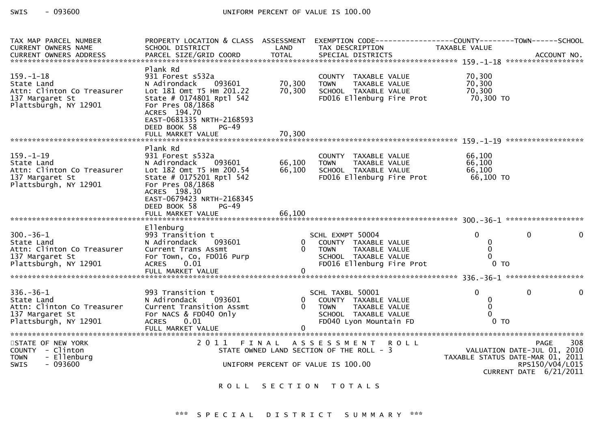| TAX MAP PARCEL NUMBER<br>CURRENT OWNERS NAME                                                            | SCHOOL DISTRICT                                                                                                                                                                                                                 | LAND                       | PROPERTY LOCATION & CLASS ASSESSMENT EXEMPTION CODE----------------COUNTY-------TOWN------SCHOOL<br>TAX DESCRIPTION        | TAXABLE VALUE                                                   |                                                                 |
|---------------------------------------------------------------------------------------------------------|---------------------------------------------------------------------------------------------------------------------------------------------------------------------------------------------------------------------------------|----------------------------|----------------------------------------------------------------------------------------------------------------------------|-----------------------------------------------------------------|-----------------------------------------------------------------|
| $159. - 1 - 18$<br>State Land<br>Attn: Clinton Co Treasurer<br>137 Margaret St<br>Plattsburgh, NY 12901 | Plank Rd<br>931 Forest s532a<br>093601<br>N Adirondack<br>Lot 181 Omt T5 Hm 201.22<br>State # 0174801 Rptl 542<br>For Pres 08/1868<br>ACRES 194.70<br>EAST-0681335 NRTH-2168593<br>DEED BOOK 58<br><b>PG-49</b>                 | 70,300<br>70,300           | COUNTY TAXABLE VALUE<br><b>TOWN</b><br>TAXABLE VALUE<br>SCHOOL TAXABLE VALUE<br>FD016 Ellenburg Fire Prot 70,300 TO        | 70,300<br>, J, 300<br>70, 300<br>70, 200                        |                                                                 |
| $159. - 1 - 19$<br>State Land<br>Attn: Clinton Co Treasurer<br>137 Margaret St<br>Plattsburgh, NY 12901 | Plank Rd<br>931 Forest s532a<br>093601<br>N Adirondack<br>Lot 182 Omt T5 Hm 200.54<br>State # 0175201 Rptl 542<br>For Pres 08/1868<br>ACRES 198.30<br>EAST-0679423 NRTH-2168345<br>DEED BOOK 58<br>$PG-49$<br>FULL MARKET VALUE | 66,100<br>66,100<br>66,100 | COUNTY TAXABLE VALUE<br>TAXABLE VALUE<br><b>TOWN</b><br>SCHOOL TAXABLE VALUE<br>FD016 Ellenburg Fire Prot                  | 66,100<br>66,100<br>66,100<br>66,100<br>66,100 TO               |                                                                 |
| $300 - 36 - 1$<br>State Land<br>Attn: Clinton Co Treasurer<br>137 Margaret St<br>Plattsburgh, NY 12901  | Ellenburg<br>993 Transition t<br>093601<br>N Adirondack<br>Current Trans Assmt<br>For Town, Co, FD016 Purp<br>ACRES 0.01                                                                                                        |                            | SCHL EXMPT 50004<br>0 COUNTY TAXABLE VALUE<br>0 TOWN<br>TAXABLE VALUE<br>SCHOOL TAXABLE VALUE<br>FD016 Ellenburg Fire Prot | $\Omega$<br>0<br>$\Omega$<br>$\Omega$<br>$0$ TO                 | $\Omega$<br>$\Omega$                                            |
| $336. - 36 - 1$<br>State Land<br>Attn: Clinton Co Treasurer<br>137 Margaret St<br>Plattsburgh, NY 12901 | 993 Transition t<br>N Adirondack<br>093601<br>Current Transition Assmt<br>For NACS & FD040 Only<br>ACRES 0.01                                                                                                                   | $\mathbf{0}$<br>$\Omega$   | SCHL TAXBL 50001<br>COUNTY TAXABLE VALUE<br><b>TOWN</b><br>TAXABLE VALUE<br>SCHOOL TAXABLE VALUE<br>FD040 Lyon Mountain FD | $\Omega$<br>$\mathbf{0}$<br>$\mathbf 0$<br>$\Omega$<br>$0$ TO   | $\mathbf 0$<br>$\mathbf 0$                                      |
| STATE OF NEW YORK<br>COUNTY - Clinton<br>- Ellenburg<br><b>TOWN</b><br>SWIS<br>$-093600$                |                                                                                                                                                                                                                                 |                            | 2011 FINAL ASSESSMENT ROLL<br>STATE OWNED LAND SECTION OF THE ROLL - 3<br>UNIFORM PERCENT OF VALUE IS 100.00               | VALUATION DATE-JUL 01, 2010<br>TAXABLE STATUS DATE-MAR 01, 2011 | 308<br><b>PAGE</b><br>RPS150/V04/L015<br>CURRENT DATE 6/21/2011 |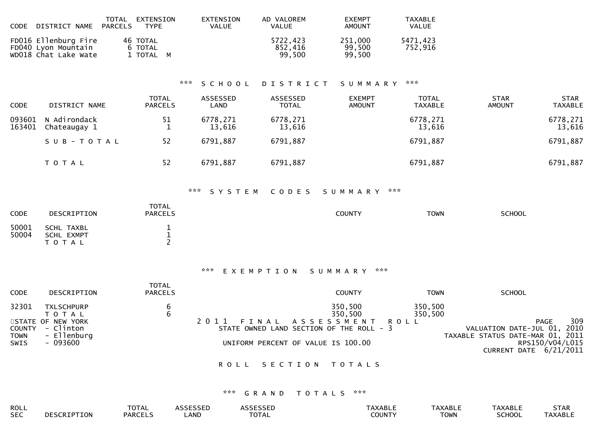| CODE DISTRICT NAME                                                  | TOTAL EXTENSION<br>PARCELS<br><b>TYPE</b> | EXTENSION<br>VALUE | AD VALOREM<br>VALUE           | <b>FXEMPT</b><br>AMOUNT     | TAXABLE<br>VALUE    |
|---------------------------------------------------------------------|-------------------------------------------|--------------------|-------------------------------|-----------------------------|---------------------|
| FD016 Ellenburg Fire<br>FD040 Lyon Mountain<br>WD018 Chat Lake Wate | 46 TOTAL<br>6 TOTAL<br>1 TOTAL M          |                    | 5722.423<br>852.416<br>99.500 | 251,000<br>99,500<br>99.500 | 5471,423<br>752,916 |

## \*\*\* S C H O O L D I S T R I C T S U M M A R Y \*\*\*

| <b>CODE</b>      | DISTRICT NAME                | <b>TOTAL</b><br><b>PARCELS</b> | ASSESSED<br>LAND   | ASSESSED<br><b>TOTAL</b> | <b>EXEMPT</b><br><b>AMOUNT</b> | TOTAL<br><b>TAXABLE</b> | <b>STAR</b><br><b>AMOUNT</b> | <b>STAR</b><br>TAXABLE |
|------------------|------------------------------|--------------------------------|--------------------|--------------------------|--------------------------------|-------------------------|------------------------------|------------------------|
| 093601<br>163401 | N Adirondack<br>Chateaugay 1 | 51<br><b>.</b>                 | 6778,271<br>13,616 | 6778,271<br>13,616       |                                | 6778,271<br>13,616      |                              | 6778,271<br>13,616     |
|                  | SUB-TOTAL                    | 52                             | 6791,887           | 6791,887                 |                                | 6791,887                |                              | 6791,887               |
|                  | T O T A L                    | 52                             | 6791,887           | 6791,887                 |                                | 6791,887                |                              | 6791,887               |

## \*\*\* S Y S T E M C O D E S S U M M A R Y \*\*\*

| CODE           | DESCRIPTION                           | <b>TOTAL</b><br><b>PARCELS</b> | <b>COUNTY</b> | <b>TOWN</b> | <b>SCHOOL</b> |
|----------------|---------------------------------------|--------------------------------|---------------|-------------|---------------|
| 50001<br>50004 | SCHL TAXBL<br>SCHL EXMPT<br>T O T A L |                                |               |             |               |

## \*\*\* E X E M P T I O N S U M M A R Y \*\*\*

| <b>CODE</b> | DESCRIPTION                                          | <b>TOTAL</b><br><b>PARCELS</b> | <b>COUNTY</b>                                                          | <b>TOWN</b>        | <b>SCHOOL</b>                                                                  |
|-------------|------------------------------------------------------|--------------------------------|------------------------------------------------------------------------|--------------------|--------------------------------------------------------------------------------|
| 32301       | <b>TXLSCHPURP</b><br>T O T A L                       | 6                              | 350,500<br>350,500                                                     | 350,500<br>350,500 |                                                                                |
| <b>TOWN</b> | STATE OF NEW YORK<br>COUNTY - Clinton<br>- Ellenburg |                                | 2011 FINAL ASSESSMENT ROLL<br>STATE OWNED LAND SECTION OF THE ROLL - 3 |                    | 309<br>PAGE<br>VALUATION DATE-JUL 01, 2010<br>TAXABLE STATUS DATE-MAR 01, 2011 |
| SWIS        | - 093600                                             |                                | UNIFORM PERCENT OF VALUE IS 100.00                                     |                    | RPS150/V04/L015<br>CURRENT DATE 6/21/2011                                      |

## ROLL SECTION TOTALS

# \*\*\* G R A N D T O T A L S \*\*\*

| <b>ROLL</b> |             | <b>AL</b>     |      |                       |                   | :XABL       | AXABI | $\sim$ 1. All $\sim$ |
|-------------|-------------|---------------|------|-----------------------|-------------------|-------------|-------|----------------------|
| <b>SEC</b>  | τολ<br>יי ו | <b>PARCEL</b> | _AND | $-2 - 1$<br>$\Lambda$ | דוגו וח־<br>,,,,, | <b>TOWN</b> |       | ៶∟∟                  |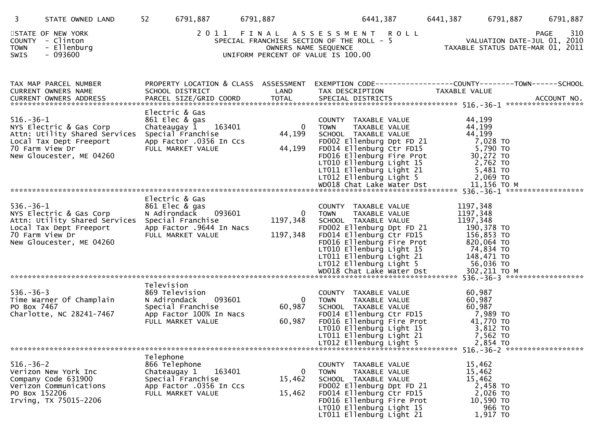| 3                                | STATE OWNED LAND                                                                                                                                     | 52<br>6791,887                                                                                                        | 6791,887                                                                                                                         | 6441,387                                                                                                                                                                                                                                              | 6441,387<br>6791,887                                                                                               | 6791,887                                                                       |
|----------------------------------|------------------------------------------------------------------------------------------------------------------------------------------------------|-----------------------------------------------------------------------------------------------------------------------|----------------------------------------------------------------------------------------------------------------------------------|-------------------------------------------------------------------------------------------------------------------------------------------------------------------------------------------------------------------------------------------------------|--------------------------------------------------------------------------------------------------------------------|--------------------------------------------------------------------------------|
| COUNTY<br><b>TOWN</b><br>SWIS    | STATE OF NEW YORK<br>- Clinton<br>- Ellenburg<br>$-093600$                                                                                           |                                                                                                                       | 2011 FINAL ASSESSMENT<br>SPECIAL FRANCHISE SECTION OF THE ROLL - 5<br>OWNERS NAME SEQUENCE<br>UNIFORM PERCENT OF VALUE IS 100.00 | <b>ROLL</b>                                                                                                                                                                                                                                           |                                                                                                                    | 310<br>PAGE<br>VALUATION DATE-JUL 01, 2010<br>TAXABLE STATUS DATE-MAR 01, 2011 |
|                                  | TAX MAP PARCEL NUMBER<br>CURRENT OWNERS NAME                                                                                                         | SCHOOL DISTRICT                                                                                                       | PROPERTY LOCATION & CLASS ASSESSMENT<br>LAND                                                                                     | EXEMPTION CODE------------------COUNTY--------TOWN------SCHOOL<br>TAX DESCRIPTION                                                                                                                                                                     | TAXABLE VALUE                                                                                                      |                                                                                |
| $516. - 36 - 1$                  | NYS Electric & Gas Corp<br>Attn: Utility Shared Services<br>Local Tax Dept Freeport<br>70 Farm View Dr<br>New Gloucester, ME 04260                   | Electric & Gas<br>861 Elec & gas<br>Chateaugay 1<br>Special Franchise<br>App Factor .0356 In Ccs<br>FULL MARKET VALUE | 163401<br>$\mathbf{0}$<br>44,199<br>44,199                                                                                       | COUNTY TAXABLE VALUE<br><b>TOWN</b><br>TAXABLE VALUE<br>SCHOOL TAXABLE VALUE<br>FD002 Ellenburg Dpt FD 21<br>FD014 Ellenburg Ctr FD15<br>FD016 Ellenburg Fire Prot<br>LT010 Ellenburg Light 15<br>LT011 Ellenburg Light 21<br>LT012 Ellenburg Light 5 | 44,199<br>44,199<br>44,199<br>7,028 TO<br>5,790 TO<br>30,272 TO<br>2,762 TO<br>5,481 TO<br>2,069 TO                |                                                                                |
| $536. - 36 - 1$                  | NYS Electric & Gas Corp<br>Attn: Utility Shared Services Special Franchise<br>Local Tax Dept Freeport<br>70 Farm View Dr<br>New Gloucester, ME 04260 | Electric & Gas<br>861 Elec & gas<br>N Adirondack<br>App Factor .9644 In Nacs<br>FULL MARKET VALUE                     | 093601<br>$\mathbf 0$<br>1197,348<br>1197,348                                                                                    | COUNTY TAXABLE VALUE<br>TAXABLE VALUE<br><b>TOWN</b><br>SCHOOL TAXABLE VALUE<br>FD002 Ellenburg Dpt FD 21<br>FD014 Ellenburg Ctr FD15<br>FD016 Ellenburg Fire Prot<br>LT010 Ellenburg Light 15<br>LT011 Ellenburg Light 21<br>LT012 Ellenburg Light 5 | 1197,348<br>1197,348<br>1197,348<br>190,378 TO<br>156,853 TO<br>820,064 TO<br>74,834 TO<br>148,471 TO<br>56,036 TO |                                                                                |
|                                  |                                                                                                                                                      |                                                                                                                       |                                                                                                                                  |                                                                                                                                                                                                                                                       |                                                                                                                    |                                                                                |
| $536. - 36 - 3$<br>PO Box 7467   | Time Warner Of Champlain<br>Charlotte, NC 28241-7467                                                                                                 | Television<br>869 Television<br>N Adirondack<br>Special Franchise<br>App Factor 100% In Nacs<br>FULL MARKET VALUE     | 093601<br>$\mathbf{0}$<br>60,987<br>60,987                                                                                       | COUNTY TAXABLE VALUE<br>TAXABLE VALUE<br>TOWN<br>SCHOOL TAXABLE VALUE<br>FD014 Ellenburg Ctr FD15<br>FD016 Ellenburg Fire Prot<br>LT010 Ellenburg Light 15<br>LT011 Ellenburg Light 21                                                                | 60,987<br>60,987<br>60,987<br>7,989 то<br>41,770 TO<br>3,812 TO<br>7,562 TO                                        |                                                                                |
|                                  |                                                                                                                                                      |                                                                                                                       |                                                                                                                                  | LT012 Ellenburg Light 5                                                                                                                                                                                                                               | 2,854 TO                                                                                                           |                                                                                |
| $516. - 36 - 2$<br>PO Box 152206 | Verizon New York Inc<br>Company Code 631900<br>Verizon Communications<br>Irving, TX 75015-2206                                                       | Telephone<br>866 Telephone<br>Chateaugay 1<br>Special Franchise<br>App Factor .0356 In Ccs<br>FULL MARKET VALUE       | $\mathbf 0$<br>163401<br>15,462<br>15,462                                                                                        | COUNTY TAXABLE VALUE<br><b>TOWN</b><br>TAXABLE VALUE<br>SCHOOL TAXABLE VALUE<br>FD002 Ellenburg Dpt FD 21<br>FD014 Ellenburg Ctr FD15<br>FD016 Ellenburg Fire Prot<br>LT010 Ellenburg Light 15<br>LT011 Ellenburg Light 21                            | 15,462<br>15,462<br>15,462<br>2,458 TO<br>2,026 TO<br>10,590 TO<br>966 TO<br>1,917 TO                              |                                                                                |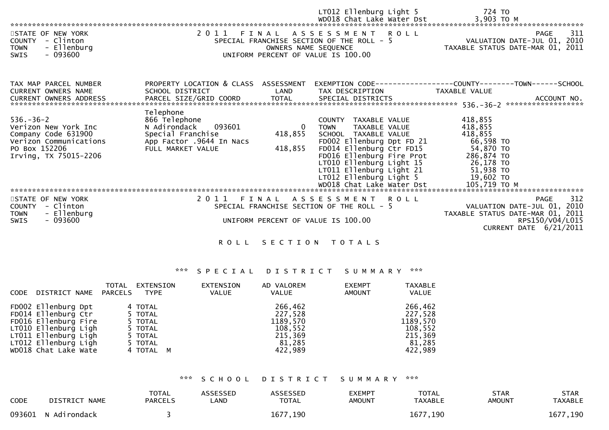| STATE OF NEW YORK<br>COUNTY - Clinton<br>- Ellenburg<br><b>TOWN</b><br>- 093600<br>SWIS                                            | 2011 FINAL                                                                                                                 |                                      | LTO12 Ellenburg Light 5<br>WDO18 Chat Lake Water Dst<br>ASSESSMENT ROLL<br>SPECIAL FRANCHISE SECTION OF THE ROLL - 5<br>OWNERS NAME SEQUENCE<br>UNIFORM PERCENT OF VALUE IS 100.00                                                                                                 | 724 TO<br>3,903 TO M<br>311<br><b>PAGE</b><br>VALUATION DATE-JUL 01, 2010<br>TAXABLE STATUS DATE-MAR 01,<br>2011                     |
|------------------------------------------------------------------------------------------------------------------------------------|----------------------------------------------------------------------------------------------------------------------------|--------------------------------------|------------------------------------------------------------------------------------------------------------------------------------------------------------------------------------------------------------------------------------------------------------------------------------|--------------------------------------------------------------------------------------------------------------------------------------|
| TAX MAP PARCEL NUMBER<br><b>CURRENT OWNERS NAME</b><br>CURRENT OWNERS ADDRESS                                                      | PROPERTY LOCATION & CLASS ASSESSMENT<br>SCHOOL DISTRICT                                                                    | LAND                                 | TAX DESCRIPTION                                                                                                                                                                                                                                                                    | TAXABLE VALUE<br>ACCOUNT NO.<br>******************                                                                                   |
| $536. - 36 - 2$<br>Verizon New York Inc<br>Company Code 631900<br>Verizon Communications<br>PO Box 152206<br>Irving, TX 75015-2206 | Telephone<br>866 Telephone<br>093601<br>N Adirondack<br>Special Franchise<br>App Factor .9644 In Nacs<br>FULL MARKET VALUE | $\overline{0}$<br>418,855<br>418,855 | COUNTY TAXABLE VALUE<br><b>TOWN</b><br>TAXABLE VALUE<br>SCHOOL TAXABLE VALUE<br>FD002 Ellenburg Dpt FD 21<br>FD014 Ellenburg Ctr FD15<br>FD016 Ellenburg Fire Prot<br>LT010 Ellenburg Light 15<br>LT011 Ellenburg Light 21<br>LT012 Ellenburg Light 5<br>WD018 Chat Lake Water Dst | 418,855<br>418,855<br>418,855<br>66,598 TO<br>54,870 TO<br>286,874 TO<br>26,178 TO<br>51,938 TO<br>19,602 TO<br>105,719 ТО М         |
| STATE OF NEW YORK<br>COUNTY - Clinton<br>- Ellenburg<br><b>TOWN</b><br>$-093600$<br>SWIS                                           |                                                                                                                            |                                      | 2011 FINAL ASSESSMENT ROLL<br>SPECIAL FRANCHISE SECTION OF THE ROLL - 5<br>UNIFORM PERCENT OF VALUE IS 100.00                                                                                                                                                                      | 312<br><b>PAGE</b><br>VALUATION DATE-JUL 01, 2010<br>TAXABLE STATUS DATE-MAR 01, 2011<br>RPS150/V04/L015<br>CURRENT DATE $6/21/2011$ |

# \*\*\* S P E C I A L D I S T R I C T S U M M A R Y \*\*\*

| CODE | DISTRICT NAME PARCELS                                                                                                                                              | <b>TOTAL</b> | EXTENSION<br>TYPE                                                           | EXTENSION<br><b>VALUE</b> | AD VALOREM<br>VALUE                                                       | <b>EXEMPT</b><br><b>AMOUNT</b> | <b>TAXABLE</b><br>VALUE                                                   |
|------|--------------------------------------------------------------------------------------------------------------------------------------------------------------------|--------------|-----------------------------------------------------------------------------|---------------------------|---------------------------------------------------------------------------|--------------------------------|---------------------------------------------------------------------------|
|      | FD002 Ellenburg Dpt<br>FD014 Ellenburg Ctr<br>FD016 Ellenburg Fire<br>LT010 Ellenburg Ligh<br>LT011 Ellenburg Ligh<br>LT012 Ellenburg Ligh<br>WD018 Chat Lake Wate |              | 4 TOTAL<br>5 TOTAL<br>5 TOTAL<br>5 TOTAL<br>5 TOTAL<br>5 TOTAL<br>4 TOTAL M |                           | 266,462<br>227,528<br>1189,570<br>108,552<br>215,369<br>81,285<br>422,989 |                                | 266,462<br>227,528<br>1189,570<br>108,552<br>215,369<br>81,285<br>422,989 |

## \*\*\* S C H O O L D I S T R I C T S U M M A R Y \*\*\*

| <b>CODE</b> | DISTRICT NAME       | <b>TOTAL</b><br><b>PARCELS</b> | <b>ASSESSED</b><br>LAND | <b>ASSESSED</b><br><b>TOTAL</b> | <b>EXEMPT</b><br>AMOUNT | <b>TOTAL</b><br>TAXABLE | <b>STAR</b><br>AMOUNT | STAR<br>TAXABLE |
|-------------|---------------------|--------------------------------|-------------------------|---------------------------------|-------------------------|-------------------------|-----------------------|-----------------|
|             | 093601 N Adirondack |                                |                         | 1677, 190                       |                         | 1677, 190               |                       | 1677,190        |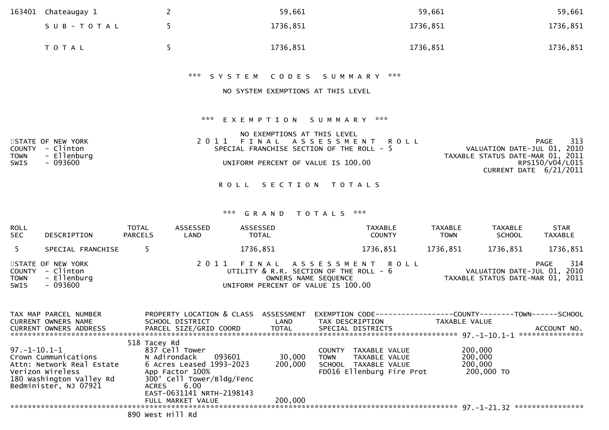| 163401                               | Chateaugay 1                                               | $\overline{2}$ |             | 59,661                                                                                                                                                                                                       |                      | 59,661         |                                                                                           | 59,661                         |
|--------------------------------------|------------------------------------------------------------|----------------|-------------|--------------------------------------------------------------------------------------------------------------------------------------------------------------------------------------------------------------|----------------------|----------------|-------------------------------------------------------------------------------------------|--------------------------------|
|                                      | SUB-TOTAL                                                  | 5              |             | 1736,851                                                                                                                                                                                                     |                      | 1736,851       |                                                                                           | 1736,851                       |
|                                      | TOTAL                                                      | 5              |             | 1736,851                                                                                                                                                                                                     |                      | 1736,851       |                                                                                           | 1736,851                       |
|                                      |                                                            |                |             | *** SYSTEM<br>CODES                                                                                                                                                                                          | ***<br>S U M M A R Y |                |                                                                                           |                                |
|                                      |                                                            |                |             | NO SYSTEM EXEMPTIONS AT THIS LEVEL                                                                                                                                                                           |                      |                |                                                                                           |                                |
| <b>COUNTY</b><br><b>TOWN</b><br>SWIS | STATE OF NEW YORK<br>- Clinton<br>- Ellenburg<br>$-093600$ |                | ***<br>2011 | EXEMPTION SUMMARY ***<br>NO EXEMPTIONS AT THIS LEVEL<br>FINAL ASSESSMENT<br>SPECIAL FRANCHISE SECTION OF THE ROLL - 5<br>UNIFORM PERCENT OF VALUE IS 100.00<br>ROLL SECTION TOTALS<br>***<br>GRAND<br>TOTALS | <b>ROLL</b><br>***   |                | VALUATION DATE-JUL 01, 2010<br>TAXABLE STATUS DATE-MAR 01, 2011<br>CURRENT DATE 6/21/2011 | PAGE<br>313<br>RPS150/V04/L015 |
| <b>ROLL</b>                          |                                                            | <b>TOTAL</b>   | ASSESSED    | ASSESSED                                                                                                                                                                                                     | <b>TAXABLE</b>       | <b>TAXABLE</b> | <b>TAXABLE</b>                                                                            | <b>STAR</b>                    |
| <b>SEC</b>                           | DESCRIPTION                                                | <b>PARCELS</b> | LAND        | <b>TOTAL</b>                                                                                                                                                                                                 | <b>COUNTY</b>        | <b>TOWN</b>    | <b>SCHOOL</b>                                                                             | <b>TAXABLE</b>                 |
| 5                                    | SPECIAL FRANCHISE                                          | 5              |             | 1736,851                                                                                                                                                                                                     | 1736,851             | 1736,851       | 1736,851                                                                                  | 1736,851                       |
| <b>COUNTY</b><br><b>TOWN</b><br>SWIS | STATE OF NEW YORK<br>- Clinton<br>- Ellenburg<br>$-093600$ |                | 2011        | FINAL<br>ASSESSMENT<br>UTILITY & R.R. SECTION OF THE ROLL - 6<br>OWNERS NAME SEQUENCE<br>UNIFORM PERCENT OF VALUE IS 100.00                                                                                  | R O L L              |                | VALUATION DATE-JUL 01, 2010<br>TAXABLE STATUS DATE-MAR 01, 2011                           | PAGE<br>314                    |

| TAX MAP PARCEL NUMBER<br><b>CURRENT OWNERS NAME</b>                                                                                        | PROPERTY LOCATION & CLASS<br>SCHOOL DISTRICT                                                                                                                              | ASSESSMENT<br>LAND | EXEMPTION CODE-----------------<br>TAX DESCRIPTION                                                                  | -COUNTY--------TOWN------SCHOOL<br>TAXABLE VALUE |
|--------------------------------------------------------------------------------------------------------------------------------------------|---------------------------------------------------------------------------------------------------------------------------------------------------------------------------|--------------------|---------------------------------------------------------------------------------------------------------------------|--------------------------------------------------|
| CURRENT OWNERS ADDRESS                                                                                                                     | PARCEL SIZE/GRID COORD                                                                                                                                                    | TOTAL              | SPECIAL DISTRICTS                                                                                                   | ACCOUNT NO.<br>***************                   |
|                                                                                                                                            | 518 Tacey Rd                                                                                                                                                              |                    |                                                                                                                     |                                                  |
| 97.-1-10.1-1<br>Crown Cummunications<br>Attn: Network Real Estate<br>Verizon Wireless<br>180 Washington Valley Rd<br>Bedminister, NJ 07921 | 837 Cell Tower<br>N Adirondack<br>093601<br>6 Acres Leased 1993-2023<br>App Factor 100%<br>300' Cell Tower/Bldg/Fenc<br>6.00<br><b>ACRES</b><br>EAST-0631141 NRTH-2198143 | 30,000<br>200,000  | TAXABLE VALUE<br><b>COUNTY</b><br><b>TOWN</b><br>TAXABLE VALUE<br>SCHOOL TAXABLE VALUE<br>FD016 Ellenburg Fire Prot | 200,000<br>200,000<br>200,000<br>200,000 TO      |
|                                                                                                                                            | FULL MARKET VALUE                                                                                                                                                         | 200,000            |                                                                                                                     | ****************                                 |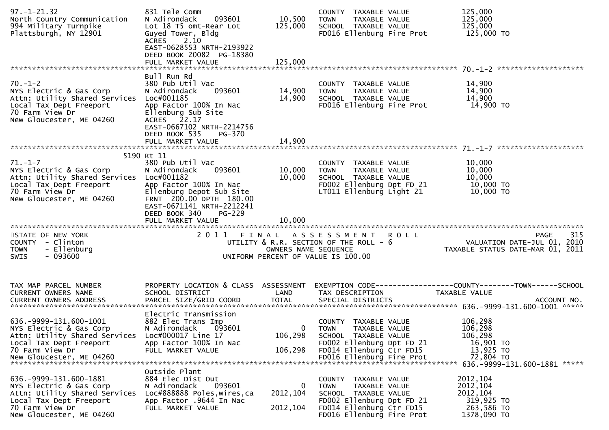| $97. - 1 - 21.32$<br>North Country Communication<br>994 Military Turnpike<br>Plattsburgh, NY 12901                                                                  | 831 Tele Comm<br>093601<br>N Adirondack<br>Lot 18 T5 omt-Rear Lot<br>Guyed Tower, Bldg<br>2.10<br><b>ACRES</b><br>EAST-0628553 NRTH-2193922<br>DEED BOOK 20082 PG-18380                             | 10,500<br>125,000                  | COUNTY TAXABLE VALUE<br>TAXABLE VALUE<br><b>TOWN</b><br>SCHOOL TAXABLE VALUE<br>FD016 Ellenburg Fire Prot                                                          | 125,000<br>125,000<br>125,000<br>125,000 TO                                                             |
|---------------------------------------------------------------------------------------------------------------------------------------------------------------------|-----------------------------------------------------------------------------------------------------------------------------------------------------------------------------------------------------|------------------------------------|--------------------------------------------------------------------------------------------------------------------------------------------------------------------|---------------------------------------------------------------------------------------------------------|
|                                                                                                                                                                     |                                                                                                                                                                                                     |                                    |                                                                                                                                                                    |                                                                                                         |
| $70. - 1 - 2$<br>NYS Electric & Gas Corp<br>Attn: Utility Shared Services<br>Local Tax Dept Freeport<br>70 Farm View Dr<br>New Gloucester, ME 04260                 | Bull Run Rd<br>380 Pub Util Vac<br>093601<br>N Adirondack<br>Loc#001185<br>App Factor 100% In Nac<br>Ellenburg Sub Site<br>ACRES 22.17<br>EAST-0667102 NRTH-2214756<br>DEED BOOK 535<br>PG-370      | 14,900<br>14,900                   | COUNTY TAXABLE VALUE<br>TAXABLE VALUE<br><b>TOWN</b><br>SCHOOL TAXABLE VALUE<br>FD016 Ellenburg Fire Prot                                                          | 14,900<br>14,900<br>14,900<br>14,900 TO                                                                 |
|                                                                                                                                                                     |                                                                                                                                                                                                     |                                    |                                                                                                                                                                    |                                                                                                         |
| $71. - 1 - 7$<br>NYS Electric & Gas Corp<br>Attn: Utility Shared Services Loc#001182<br>Local Tax Dept Freeport<br>70 Farm View Dr<br>New Gloucester, ME 04260      | 5190 Rt 11<br>380 Pub Util Vac<br>093601<br>N Adirondack<br>App Factor 100% In Nac<br>Ellenburg Depot Sub Site<br>FRNT 200.00 DPTH 180.00<br>EAST-0671141 NRTH-2212241<br>DEED BOOK 340<br>$PG-229$ | 10,000<br>10,000                   | COUNTY TAXABLE VALUE<br><b>TOWN</b><br>TAXABLE VALUE<br>SCHOOL TAXABLE VALUE<br>FD002 Ellenburg Dpt FD 21<br>LT011 Ellenburg Light 21                              | 10,000<br>10,000<br>10,000<br>10,000 TO<br>10,000 TO                                                    |
|                                                                                                                                                                     | FULL MARKET VALUE                                                                                                                                                                                   | 10,000                             |                                                                                                                                                                    |                                                                                                         |
| STATE OF NEW YORK<br>COUNTY - Clinton<br>- Ellenburg<br><b>TOWN</b><br>$-093600$<br><b>SWIS</b>                                                                     |                                                                                                                                                                                                     | OWNERS NAME SEQUENCE               | 2011 FINAL ASSESSMENT ROLL<br>UTILITY & R.R. SECTION OF THE ROLL - 6<br>UNIFORM PERCENT OF VALUE IS 100.00                                                         | 315<br>PAGE<br>VALUATION DATE-JUL 01, 2010<br>TAXABLE STATUS DATE-MAR 01, 2011                          |
| TAX MAP PARCEL NUMBER<br>CURRENT OWNERS NAME<br><b>CURRENT OWNERS ADDRESS</b>                                                                                       | PROPERTY LOCATION & CLASS ASSESSMENT<br>SCHOOL DISTRICT<br>PARCEL SIZE/GRID COORD                                                                                                                   | LAND<br><b>TOTAL</b>               | TAX DESCRIPTION<br>SPECIAL DISTRICTS                                                                                                                               | EXEMPTION CODE-----------------COUNTY-------TOWN------SCHOOL<br>TAXABLE VALUE<br>ACCOUNT NO.            |
| 636. - 9999 - 131. 600 - 1001<br>NYS Electric & Gas Corp<br>Attn: Utility Shared Services<br>Local Tax Dept Freeport<br>70 Farm View Dr<br>New Gloucester, ME 04260 | Electric Transmission<br>882 Elec Trans Imp<br>093601<br>N Adirondack<br>Loc#000017 Line 17<br>App Factor 100% In Nac<br>FULL MARKET VALUE                                                          | $\mathbf{0}$<br>106,298<br>106,298 | COUNTY TAXABLE VALUE<br><b>TOWN</b><br>TAXABLE VALUE<br>SCHOOL TAXABLE VALUE<br>FD002 Ellenburg Dpt FD 21<br>FD014 Ellenburg Ctr FD15<br>FD016 Ellenburg Fire Prot | 106,298<br>106,298<br>106,298<br>16,901 TO<br>13,925 TO<br>72,804 TO<br>636. - 9999-131. 600-1881 ***** |
| 636. - 9999 - 131. 600 - 1881<br>NYS Electric & Gas Corp<br>Attn: Utility Shared Services<br>Local Tax Dept Freeport<br>70 Farm View Dr<br>New Gloucester, ME 04260 | Outside Plant<br>884 Elec Dist Out<br>093601<br>N Adirondack<br>Loc#888888 Poles, wires, ca<br>App Factor .9644 In Nac<br>FULL MARKET VALUE                                                         | 0<br>2012, 104<br>2012, 104        | COUNTY TAXABLE VALUE<br>TAXABLE VALUE<br><b>TOWN</b><br>SCHOOL TAXABLE VALUE<br>FD002 Ellenburg Dpt FD 21<br>FD014 Ellenburg Ctr FD15<br>FD016 Ellenburg Fire Prot | 2012, 104<br>2012, 104<br>2012, 104<br>319,925 TO<br>263,586 TO<br>1378,090 TO                          |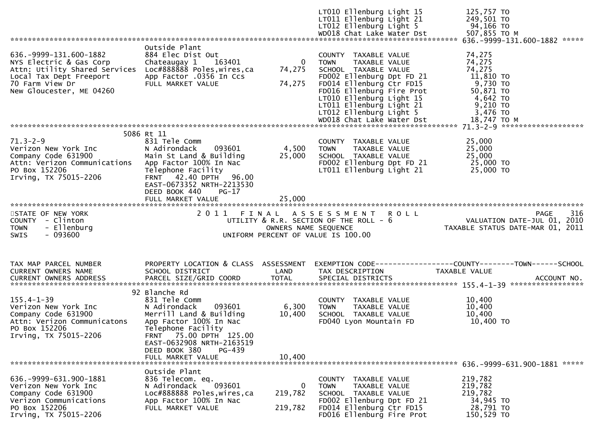|                                                                                                                                                                     |                                                                                                                                                                                                                                            |                           | LT010 Ellenburg Light 15<br>LT011 Ellenburg Light 21<br>LT012 Ellenburg Light 5<br>WD018 Chat Lake Water Dst                                                                                                                                                                       | 125,757 TO<br>249,501 TO<br>94,166 то<br>507,855 TO M                                                               |
|---------------------------------------------------------------------------------------------------------------------------------------------------------------------|--------------------------------------------------------------------------------------------------------------------------------------------------------------------------------------------------------------------------------------------|---------------------------|------------------------------------------------------------------------------------------------------------------------------------------------------------------------------------------------------------------------------------------------------------------------------------|---------------------------------------------------------------------------------------------------------------------|
|                                                                                                                                                                     |                                                                                                                                                                                                                                            |                           |                                                                                                                                                                                                                                                                                    | 636. - 9999-131.600-1882 *****                                                                                      |
| 636. - 9999 - 131. 600 - 1882<br>NYS Electric & Gas Corp<br>Attn: Utility Shared Services<br>Local Tax Dept Freeport<br>70 Farm View Dr<br>New Gloucester, ME 04260 | Outside Plant<br>884 Elec Dist Out<br>163401<br>Chateaugay 1<br>Loc#888888 Poles,wires,ca<br>App Factor .0356 In Ccs<br>FULL MARKET VALUE                                                                                                  | 0<br>74,275<br>74,275     | COUNTY TAXABLE VALUE<br>TAXABLE VALUE<br><b>TOWN</b><br>SCHOOL TAXABLE VALUE<br>FD002 Ellenburg Dpt FD 21<br>FD014 Ellenburg Ctr FD15<br>FD016 Ellenburg Fire Prot<br>LT010 Ellenburg Light 15<br>LT011 Ellenburg Light 21<br>LT012 Ellenburg Light 5<br>WD018 Chat Lake Water Dst | 74,275<br>74,275<br>74,275<br>11,810 TO<br>9,730 TO<br>50,871 TO<br>4,642 TO<br>9,210 TO<br>3,476 TO<br>18,747 TO M |
|                                                                                                                                                                     | 5086 Rt 11                                                                                                                                                                                                                                 |                           |                                                                                                                                                                                                                                                                                    |                                                                                                                     |
| $71.3 - 2 - 9$<br>Verizon New York Inc<br>Company Code 631900<br>Attn: Verizon Communications<br>PO Box 152206<br>Irving, TX 75015-2206                             | 831 Tele Comm<br>N Adirondack<br>093601<br>Main St Land & Building<br>App Factor 100% In Nac<br>Telephone Facility<br>FRNT 42.40 DPTH<br>96.00<br>EAST-0673352 NRTH-2213530                                                                | 4,500<br>25,000           | COUNTY TAXABLE VALUE<br>TAXABLE VALUE<br><b>TOWN</b><br>SCHOOL TAXABLE VALUE<br>FD002 Ellenburg Dpt FD 21<br>LT011 Ellenburg Light 21                                                                                                                                              | 25,000<br>25,000<br>25,000<br>25,000 TO<br>25,000 TO                                                                |
|                                                                                                                                                                     | DEED BOOK 440<br>$PG-17$                                                                                                                                                                                                                   |                           |                                                                                                                                                                                                                                                                                    |                                                                                                                     |
|                                                                                                                                                                     | FULL MARKET VALUE                                                                                                                                                                                                                          | 25,000                    |                                                                                                                                                                                                                                                                                    |                                                                                                                     |
| STATE OF NEW YORK<br>COUNTY - Clinton                                                                                                                               | 2011 FINAL                                                                                                                                                                                                                                 |                           | A S S E S S M E N T R O L L                                                                                                                                                                                                                                                        | 316<br><b>PAGE</b>                                                                                                  |
| <b>TOWN</b><br>- Ellenburg<br>$-093600$<br>SWIS                                                                                                                     |                                                                                                                                                                                                                                            | OWNERS NAME SEQUENCE      | UTILITY & R.R. SECTION OF THE ROLL - 6<br>UNIFORM PERCENT OF VALUE IS 100.00                                                                                                                                                                                                       | VALUATION DATE-JUL 01, 2010<br>TAXABLE STATUS DATE-MAR 01, 2011                                                     |
| TAX MAP PARCEL NUMBER<br><b>CURRENT OWNERS NAME</b>                                                                                                                 | PROPERTY LOCATION & CLASS ASSESSMENT<br>SCHOOL DISTRICT                                                                                                                                                                                    | LAND                      | TAX DESCRIPTION                                                                                                                                                                                                                                                                    | EXEMPTION CODE-----------------COUNTY-------TOWN------SCHOOL<br>TAXABLE VALUE                                       |
| $155.4 - 1 - 39$<br>Verizon New York Inc<br>Company Code 631900<br>Attn: Verizon Communicatons<br>PO Box 152206<br>Irving, TX 75015-2206                            | 92 Blanche Rd<br>831 Tele Comm<br>N Adirondack<br>093601<br>Merrill Land & Building<br>App Factor 100% In Nac<br>Telephone Facility<br>FRNT 75.00 DPTH 125.00<br>EAST-0632908 NRTH-2163519<br>DEED BOOK 380<br>PG-439<br>FULL MARKET VALUE | 6,300<br>10,400<br>10,400 | COUNTY TAXABLE VALUE<br><b>TOWN</b><br>TAXABLE VALUE<br>SCHOOL TAXABLE VALUE<br>FD040 Lyon Mountain FD                                                                                                                                                                             | 10,400<br>10,400<br>10,400<br>10,400 TO                                                                             |
|                                                                                                                                                                     |                                                                                                                                                                                                                                            |                           |                                                                                                                                                                                                                                                                                    |                                                                                                                     |
| 636. - 9999 - 631. 900 - 1881<br>Verizon New York Inc<br>Company Code 631900<br>Verizon Communications<br>PO Box 152206                                             | Outside Plant<br>836 Telecom. eq.<br>N Adirondack<br>093601<br>Loc#888888 Poles, wires, ca<br>App Factor 100% In Nac<br>FULL MARKET VALUE                                                                                                  | 0<br>219,782<br>219,782   | COUNTY TAXABLE VALUE<br><b>TOWN</b><br>TAXABLE VALUE<br>SCHOOL TAXABLE VALUE<br>FD002 Ellenburg Dpt FD 21<br>FD014 Ellenburg Ctr FD15                                                                                                                                              | 219,782<br>219,782<br>219,782<br>34,945 TO<br>28,791 TO                                                             |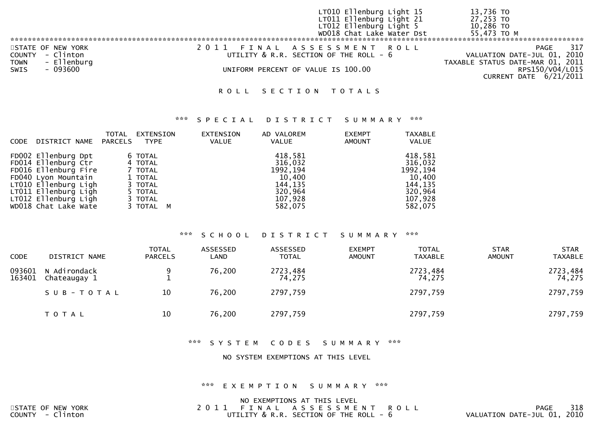|                                                                                   | LT010 Ellenburg Light 15<br>LT011 Ellenburg Light 21<br>LT012 Ellenburg Light 5<br>WD018 Chat Lake Water Dst | 13,736 TO<br>$27,253$ TO<br>10,286 TO<br>55,473 TO M                                                                        |
|-----------------------------------------------------------------------------------|--------------------------------------------------------------------------------------------------------------|-----------------------------------------------------------------------------------------------------------------------------|
| STATE OF NEW YORK<br>COUNTY - Clinton<br>- Ellenburg<br>TOWN<br>SWIS<br>$-093600$ | 2011 FINAL ASSESSMENT ROLL<br>UTILITY & R.R. SECTION OF THE ROLL - 6<br>UNIFORM PERCENT OF VALUE IS 100.00   | 317<br>PAGE<br>VALUATION DATE-JUL 01, 2010<br>TAXABLE STATUS DATE-MAR 01, 2011<br>RPS150/V04/L015<br>CURRENT DATE 6/21/2011 |

## \*\*\* S P E C I A L D I S T R I C T S U M M A R Y \*\*\*

| CODE                                                                                                                                                                                      | <b>TOTAL</b><br>DISTRICT NAME<br>PARCELS | EXTENSION<br>TYPE                                                                      | EXTENSION<br>VALUE | AD VALOREM<br>VALUE                                                                   | <b>EXEMPT</b><br>AMOUNT | <b>TAXABLE</b><br>VALUE                                                               |
|-------------------------------------------------------------------------------------------------------------------------------------------------------------------------------------------|------------------------------------------|----------------------------------------------------------------------------------------|--------------------|---------------------------------------------------------------------------------------|-------------------------|---------------------------------------------------------------------------------------|
| FD002 Ellenburg Dpt<br>FD014 Ellenburg Ctr<br>FD016 Ellenburg Fire<br>FD040 Lyon Mountain<br>LT010 Ellenburg Ligh<br>LT011 Ellenburg Ligh<br>LT012 Ellenburg Ligh<br>WD018 Chat Lake Wate |                                          | 6 TOTAL<br>4 TOTAL<br>7 TOTAL<br>1 TOTAL<br>3 TOTAL<br>5 TOTAL<br>3 TOTAL<br>3 TOTAL M |                    | 418,581<br>316,032<br>1992, 194<br>10,400<br>144,135<br>320,964<br>107,928<br>582,075 |                         | 418,581<br>316,032<br>1992, 194<br>10,400<br>144,135<br>320,964<br>107,928<br>582,075 |

## \*\*\* S C H O O L D I S T R I C T S U M M A R Y \*\*\*

| <b>CODE</b>      | DISTRICT NAME                | <b>TOTAL</b><br><b>PARCELS</b> | ASSESSED<br>LAND | ASSESSED<br><b>TOTAL</b> | <b>EXEMPT</b><br><b>AMOUNT</b> | <b>TOTAL</b><br><b>TAXABLE</b> | <b>STAR</b><br><b>AMOUNT</b> | <b>STAR</b><br><b>TAXABLE</b> |
|------------------|------------------------------|--------------------------------|------------------|--------------------------|--------------------------------|--------------------------------|------------------------------|-------------------------------|
| 093601<br>163401 | N Adirondack<br>Chateaugay 1 | 9                              | 76,200           | 2723,484<br>74,275       |                                | 2723,484<br>74,275             |                              | 2723,484<br>74,275            |
|                  | SUB-TOTAL                    | 10                             | 76,200           | 2797,759                 |                                | 2797,759                       |                              | 2797,759                      |
|                  | T O T A L                    | 10                             | 76,200           | 2797,759                 |                                | 2797,759                       |                              | 2797,759                      |

## \*\*\* S Y S T E M C O D E S S U M M A R Y \*\*\*

#### NO SYSTEM EXEMPTIONS AT THIS LEVEL

#### \*\*\* E X E M P T I O N S U M M A R Y \*\*\*

|                   | NO EXEMPTIONS AT THIS LEVEL                 |                             |
|-------------------|---------------------------------------------|-----------------------------|
| STATE OF NEW YORK | 2011 FINAL ASSESSMENT ROLL                  | 318<br>PAGE                 |
| COUNTY - Clinton  | UTILITY $\&$ R.R. SECTION OF THE ROLL - $6$ | VALUATION DATE-JUL 01, 2010 |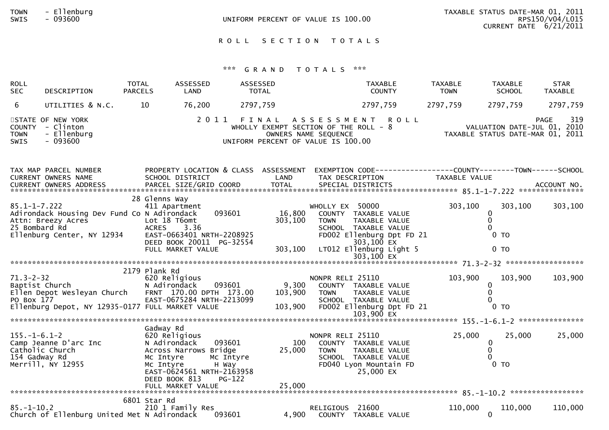| <b>TOWN</b>  | Ellenburg |
|--------------|-----------|
| <b>SINTS</b> | nazann    |

# \*\*\* G R A N D T O T A L S \*\*\*

| <b>ROLL</b><br><b>SEC</b>             | DESCRIPTION                                                                                                                            | <b>TOTAL</b><br><b>PARCELS</b>      | ASSESSED<br>LAND                                                                                                                                      | ASSESSED<br><b>TOTAL</b>                                                    |                                 | <b>TAXABLE</b><br><b>COUNTY</b>                                                                                                                     | <b>TAXABLE</b><br><b>TOWN</b>                                                 | <b>TAXABLE</b><br><b>SCHOOL</b>                      | <b>STAR</b><br><b>TAXABLE</b> |
|---------------------------------------|----------------------------------------------------------------------------------------------------------------------------------------|-------------------------------------|-------------------------------------------------------------------------------------------------------------------------------------------------------|-----------------------------------------------------------------------------|---------------------------------|-----------------------------------------------------------------------------------------------------------------------------------------------------|-------------------------------------------------------------------------------|------------------------------------------------------|-------------------------------|
| 6                                     | UTILITIES & N.C.                                                                                                                       | 10                                  | 76,200                                                                                                                                                | 2797,759                                                                    |                                 | 2797,759                                                                                                                                            | 2797,759                                                                      | 2797,759                                             | 2797,759                      |
| <b>TOWN</b><br>SWIS                   | STATE OF NEW YORK<br>COUNTY - Clinton<br>- Ellenburg<br>$-093600$                                                                      |                                     |                                                                                                                                                       | WHOLLY EXEMPT SECTION OF THE ROLL - 8<br>UNIFORM PERCENT OF VALUE IS 100.00 | OWNERS NAME SEQUENCE            | 2011 FINAL ASSESSMENT ROLL                                                                                                                          | 915 - PAGE<br>VALUATION DATE-JUL 01, 2010<br>TAXABLE STATUS DATE-MAR 01, 2011 |                                                      | 319<br><b>PAGE</b>            |
|                                       | TAX MAP PARCEL NUMBER<br>CURRENT OWNERS NAME                                                                                           |                                     | PROPERTY LOCATION & CLASS ASSESSMENT<br>SCHOOL DISTRICT                                                                                               | LAND                                                                        |                                 | EXEMPTION CODE------------------COUNTY--------TOWN------SCHOOL<br>TAX DESCRIPTION                                                                   | TAXABLE VALUE                                                                 |                                                      |                               |
| $85.1 - 1 - 7.222$<br>25 Bombard Rd   | Adirondack Housing Dev Fund Co N Adirondack<br>Attn: Breezy Acres<br>Ellenburg Center, NY 12934                                        | 28 Glenns Way<br><b>ACRES</b>       | 411 Apartment<br>093601<br>Lot 18 T6omt<br>3.36<br>EAST-0663401 NRTH-2208925<br>DEED BOOK 20011 PG-32554<br>FULL MARKET VALUE                         | 16,800<br>303,100<br>303,100                                                | WHOLLY EX 50000<br><b>TOWN</b>  | COUNTY TAXABLE VALUE<br>TAXABLE VALUE<br>SCHOOL TAXABLE VALUE<br>FD002 Ellenburg Dpt FD 21<br>303,100 EX<br>LT012 Ellenburg Light 5<br>$303,100$ EX | 303,100                                                                       | 303,100<br>0<br>$\Omega$<br>$0$ TO<br>0 <sub>T</sub> | 303,100                       |
|                                       |                                                                                                                                        |                                     |                                                                                                                                                       |                                                                             |                                 |                                                                                                                                                     |                                                                               |                                                      |                               |
| PO Box 177                            | 71.3-2-32<br>Baptist Church<br>Ellen Depot Wesleyan Church FRNT 170.00 DPTH 173.00<br>Ellenburg Depot, NY 12935-0177 FULL MARKET VALUE | 2179 Plank Rd                       | 620 Religious<br>N Adirondack<br>093601<br>EAST-0675284 NRTH-2213099                                                                                  | 9,300<br>103,900<br>103,900                                                 | NONPR RELI 25110<br><b>TOWN</b> | COUNTY TAXABLE VALUE<br>TAXABLE VALUE<br>SCHOOL TAXABLE VALUE<br>FD002 Ellenburg Dpt FD 21<br>103,900 EX                                            | 103,900                                                                       | 103,900<br>$\Omega$<br>$0$ TO                        | 103,900                       |
|                                       |                                                                                                                                        |                                     |                                                                                                                                                       |                                                                             |                                 |                                                                                                                                                     |                                                                               |                                                      |                               |
| $155. - 1 - 6.1 - 2$<br>154 Gadway Rd | Camp Jeanne D'arc Inc<br>Catholic Church<br>Merrill, NY 12955                                                                          | Gadway Rd<br>Mc Intyre<br>Mc Intyre | 620 Religious<br>093601<br>N Adirondack<br>Across Narrows Bridge<br>Mc Intyre<br>H Way<br>EAST-0624561 NRTH-2163958<br>DEED BOOK 813<br><b>PG-122</b> | 100<br>25,000                                                               | NONPR RELI 25110<br><b>TOWN</b> | COUNTY TAXABLE VALUE<br>TAXABLE VALUE<br>SCHOOL TAXABLE VALUE<br>FD040 Lyon Mountain FD<br>25,000 EX                                                | 25,000                                                                        | 25,000<br>0<br>$\mathbf{0}$<br>$0$ TO                | 25,000                        |
| $85. - 1 - 10.2$                      | Church of Ellenburg United Met N Adirondack                                                                                            | 6801 Star Rd                        | 210 1 Family Res<br>093601                                                                                                                            | 4,900                                                                       | RELIGIOUS 21600                 | COUNTY TAXABLE VALUE                                                                                                                                | 110,000                                                                       | 110,000<br>$\Omega$                                  | 110,000                       |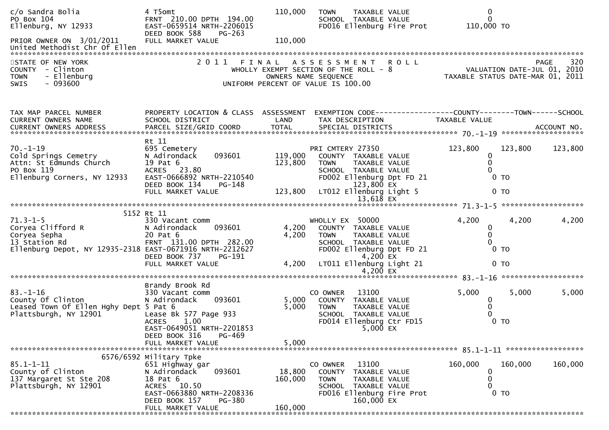| c/o Sandra Bolia<br>PO Box 104<br>Ellenburg, NY 12933<br>PRIOR OWNER ON 3/01/2011<br>United Methodist Chr Of Ellen               | 4 T5omt<br>FRNT 210.00 DPTH 194.00<br>EAST-0659514 NRTH-2206015<br>DEED BOOK 588<br>PG-263<br>FULL MARKET VALUE                                                              | 110,000<br>110,000            | <b>TOWN</b><br>TAXABLE VALUE<br>SCHOOL TAXABLE VALUE<br>FD016 Ellenburg Fire Prot                                                                                      |             | $\mathbf 0$<br>$\Omega$<br>110,000 TO                           |                    |
|----------------------------------------------------------------------------------------------------------------------------------|------------------------------------------------------------------------------------------------------------------------------------------------------------------------------|-------------------------------|------------------------------------------------------------------------------------------------------------------------------------------------------------------------|-------------|-----------------------------------------------------------------|--------------------|
| STATE OF NEW YORK<br>COUNTY - Clinton<br><b>TOWN</b><br>- Ellenburg<br>$-093600$<br><b>SWIS</b>                                  | 2 0 1 1                                                                                                                                                                      |                               | FINAL ASSESSMENT<br>WHOLLY EXEMPT SECTION OF THE ROLL - 8<br>OWNERS NAME SEQUENCE<br>UNIFORM PERCENT OF VALUE IS 100.00                                                | <b>ROLL</b> | VALUATION DATE-JUL 01, 2010<br>TAXABLE STATUS DATE-MAR 01, 2011 | 320<br><b>PAGE</b> |
| TAX MAP PARCEL NUMBER<br>CURRENT OWNERS NAME                                                                                     | PROPERTY LOCATION & CLASS ASSESSMENT<br>SCHOOL DISTRICT                                                                                                                      | LAND                          | TAX DESCRIPTION                                                                                                                                                        |             | TAXABLE VALUE                                                   |                    |
| $70. - 1 - 19$<br>Cold Springs Cemetry<br>Attn: St Edmunds Church<br>PO Box 119<br>Ellenburg Corners, NY 12933                   | Rt 11<br>695 Cemetery<br>093601<br>N Adirondack<br>19 Pat 6<br>ACRES 23.80<br>EAST-0666892 NRTH-2210540<br>DEED BOOK 134<br>PG-148<br>FULL MARKET VALUE                      | 119,000<br>123,800<br>123,800 | PRI CMTERY 27350<br>COUNTY TAXABLE VALUE<br>TAXABLE VALUE<br>TOWN<br>SCHOOL TAXABLE VALUE<br>FD002 Ellenburg Dpt FD 21<br>123,800 EX<br>LT012 Ellenburg Light 5        |             | 123,800<br>123,800<br>0<br>0 <sub>T</sub><br>0 <sub>T</sub>     | 123,800            |
|                                                                                                                                  |                                                                                                                                                                              |                               |                                                                                                                                                                        |             |                                                                 |                    |
| $71.3 - 1 - 5$<br>Coryea Clifford R<br>Coryea Sepha<br>13 Station Rd<br>Ellenburg Depot, NY 12935-2318 EAST-0671916 NRTH-2212627 | 5152 Rt 11<br>330 Vacant comm<br>N Adirondack<br>093601<br>20 Pat 6<br>FRNT 131.00 DPTH 282.00<br>DEED BOOK 737<br>PG-191<br>FULL MARKET VALUE                               | 4,200<br>4,200<br>4,200       | WHOLLY EX 50000<br>COUNTY TAXABLE VALUE<br><b>TOWN</b><br>TAXABLE VALUE<br>SCHOOL TAXABLE VALUE<br>FD002 Ellenburg Dpt FD 21<br>$4,200$ EX<br>LT011 Ellenburg Light 21 |             | 4,200<br>4,200<br>0<br>0<br>0 <sub>T</sub><br>0 <sub>T</sub>    | 4,200              |
|                                                                                                                                  |                                                                                                                                                                              |                               | 4,200 $EX$                                                                                                                                                             |             |                                                                 |                    |
| $83. - 1 - 16$<br>County Of Clinton<br>Leased Town Of Ellen Hghy Dept 5 Pat 6<br>Plattsburgh, NY 12901                           | Brandy Brook Rd<br>330 Vacant comm<br>093601<br>N Adirondack<br>Lease Bk 577 Page 933<br>1.00<br><b>ACRES</b><br>EAST-0649051 NRTH-2201853<br>PG-469                         | 5,000<br>5,000                | 13100<br>CO OWNER<br>COUNTY TAXABLE VALUE<br>TAXABLE VALUE<br><b>TOWN</b><br>SCHOOL TAXABLE VALUE<br>FD014 Ellenburg Ctr FD15<br>5,000 EX                              |             | 5,000<br>5,000<br>0<br>0 <sub>T</sub>                           | 5,000              |
|                                                                                                                                  | DEED BOOK 316<br>FULL MARKET VALUE                                                                                                                                           | 5,000                         |                                                                                                                                                                        |             |                                                                 |                    |
| $85.1 - 1 - 11$<br>County of Clinton<br>137 Margaret St Ste 208<br>Plattsburgh, NY 12901                                         | 6576/6592 Military Tpke<br>651 Highway gar<br>093601<br>N Adirondack<br>18 Pat 6<br>ACRES 10.50<br>EAST-0663880 NRTH-2208336<br>DEED BOOK 157<br>PG-380<br>FULL MARKET VALUE | 18,800<br>160,000<br>160,000  | 13100<br>CO OWNER<br>COUNTY<br>TAXABLE VALUE<br><b>TOWN</b><br>TAXABLE VALUE<br>SCHOOL TAXABLE VALUE<br>FD016 Ellenburg Fire Prot<br>160,000 EX                        |             | 160,000<br>160,000<br>0 TO                                      | 160,000            |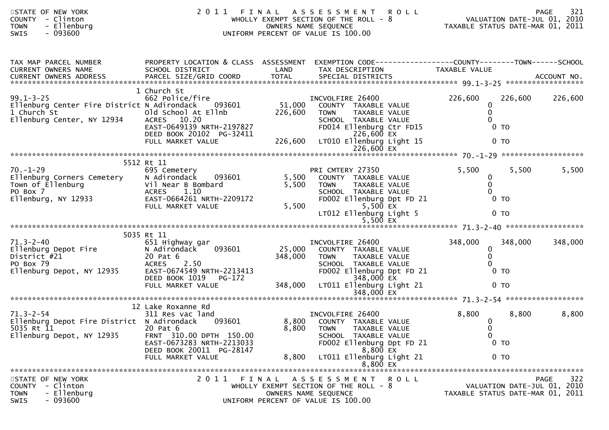| STATE OF NEW YORK<br><b>COUNTY</b><br>- Clinton<br>- Ellenburg<br><b>TOWN</b><br>SWIS<br>$-093600$                 | 2011 FINAL                                                                                                                                                                |                              | A S S E S S M E N T<br>WHOLLY EXEMPT SECTION OF THE ROLL - 8<br>OWNERS NAME SEQUENCE<br>UNIFORM PERCENT OF VALUE IS 100.00                                                                 | R O L L<br>VALUATION DATE-JUL 01, 2010<br>TAXABLE STATUS DATE-MAR 01, 2011 |                                                                 |             |
|--------------------------------------------------------------------------------------------------------------------|---------------------------------------------------------------------------------------------------------------------------------------------------------------------------|------------------------------|--------------------------------------------------------------------------------------------------------------------------------------------------------------------------------------------|----------------------------------------------------------------------------|-----------------------------------------------------------------|-------------|
| TAX MAP PARCEL NUMBER<br>CURRENT OWNERS NAME                                                                       | PROPERTY LOCATION & CLASS ASSESSMENT<br>SCHOOL DISTRICT                                                                                                                   | LAND                         | EXEMPTION CODE----------------COUNTY-------TOWN------SCHOOL<br>TAX DESCRIPTION                                                                                                             | TAXABLE VALUE                                                              |                                                                 |             |
| $99.1 - 3 - 25$<br>Ellenburg Center Fire District N Adirondack 093601<br>1 Church St<br>Ellenburg Center, NY 12934 | 1 Church St<br>662 Police/fire<br>old School At Ellnb<br>ACRES 10.20<br>EAST-0649139 NRTH-2197827<br>DEED BOOK 20102 PG-32411<br>FULL MARKET VALUE                        | 51,000<br>226,600<br>226,600 | INCVOLFIRE 26400<br>COUNTY TAXABLE VALUE<br>TAXABLE VALUE<br><b>TOWN</b><br>SCHOOL TAXABLE VALUE<br>FD014 Ellenburg Ctr FD15<br>226,600 EX<br>LT010 Ellenburg Light 15                     | 226,600<br>0<br>$\mathbf{0}$<br>$\Omega$                                   | 226,600<br>0 <sub>T</sub><br>$0$ TO                             | 226,600     |
|                                                                                                                    |                                                                                                                                                                           |                              |                                                                                                                                                                                            |                                                                            |                                                                 |             |
| $70. - 1 - 29$<br>Ellenburg Corners Cemetery<br>Town of Ellenburg<br>PO Box 7<br>Ellenburg, NY 12933               | 5512 Rt 11<br>695 Cemetery<br>N Adirondack<br>093601<br>Vil Near B Bombard<br>1.10<br><b>ACRES</b><br>EAST-0664261 NRTH-2209172<br>FULL MARKET VALUE                      | 5,500<br>5,500<br>5,500      | PRI CMTERY 27350<br>COUNTY TAXABLE VALUE<br>TAXABLE VALUE<br>TOWN<br>SCHOOL TAXABLE VALUE<br>FD002 Ellenburg Dpt FD 21<br>5,500 $\overline{EX}$<br>LT012 Ellenburg Light 5<br>$5,500$ $EX$ | 5,500<br>$\bf{0}$<br>$\mathbf{0}$<br>$\Omega$                              | 5,500<br>0 <sub>T</sub><br>0 <sub>T</sub>                       | 5,500       |
| $71.3 - 2 - 40$<br>Ellenburg Depot Fire<br>District #21<br>PO Box 79<br>Ellenburg Depot, NY 12935                  | 5035 Rt 11<br>651 Highway gar<br>093601<br>N Adirondack<br>20 Pat 6<br><b>ACRES</b><br>2.50<br>EAST-0674549 NRTH-2213413<br>DEED BOOK 1019<br>PG-172<br>FULL MARKET VALUE | 25,000<br>348,000<br>348,000 | INCVOLFIRE 26400<br>COUNTY TAXABLE VALUE<br>TAXABLE VALUE<br><b>TOWN</b><br>SCHOOL TAXABLE VALUE<br>FD002 Ellenburg Dpt FD 21<br>348,000 EX<br>LT011 Ellenburg Light 21                    | 348,000<br>$\mathbf{0}$<br>$\mathbf{0}$                                    | 348,000<br>$0$ TO<br>0 <sub>T</sub>                             | 348,000     |
|                                                                                                                    |                                                                                                                                                                           |                              | 348,000 EX                                                                                                                                                                                 |                                                                            |                                                                 |             |
| $71.3 - 2 - 54$<br>Ellenburg Depot Fire District N Adirondack<br>5035 Rt 11 20 Pat 6<br>Ellenburg Depot, NY 12935  | 12 Lake Roxanne Rd<br>311 Res vac land<br>093601<br>FRNT 310.00 DPTH 150.00<br>EAST-0673283 NRTH-2213033<br>DEED BOOK 20011 PG-28147<br>FULL MARKET VALUE                 | 8,800                        | INCVOLFIRE 26400<br>8,800 COUNTY TAXABLE VALUE<br>8,800 TOWN TAXABLE VALUE<br>SCHOOL TAXABLE VALUE<br>FD002 Ellenburg Dpt FD 21<br>8,800 EX<br>LT011 Ellenburg Light 21<br>8,800 EX        | 8,800<br>$\bf{0}$<br>$\Omega$<br>$\mathbf 0$                               | 8,800<br>$0$ TO<br>0 <sub>T</sub>                               | 8,800       |
| STATE OF NEW YORK<br>COUNTY - Clinton<br><b>TOWN</b><br>- Ellenburg<br>SWIS<br>- 093600                            |                                                                                                                                                                           |                              | 2011 FINAL ASSESSMENT ROLL<br>WHOLLY EXEMPT SECTION OF THE ROLL - 8<br>OWNERS NAME SEQUENCE<br>UNIFORM PERCENT OF VALUE IS 100.00                                                          |                                                                            | VALUATION DATE-JUL 01, 2010<br>TAXABLE STATUS DATE-MAR 01, 2011 | 322<br>PAGE |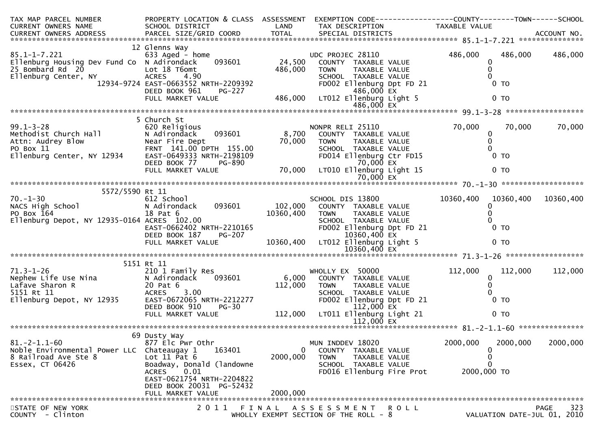| TAX MAP PARCEL NUMBER<br>CURRENT OWNERS NAME                                                                                                                                                                                                                    | SCHOOL DISTRICT                                                                                                                                                                                                                                                                              |                                                               | PROPERTY LOCATION & CLASS ASSESSMENT EXEMPTION CODE----------------COUNTY-------TOWN------SCHOOL<br>LAND TAX DESCRIPTION                                                                                                                                         | TAXABLE VALUE                                                                |                                            |
|-----------------------------------------------------------------------------------------------------------------------------------------------------------------------------------------------------------------------------------------------------------------|----------------------------------------------------------------------------------------------------------------------------------------------------------------------------------------------------------------------------------------------------------------------------------------------|---------------------------------------------------------------|------------------------------------------------------------------------------------------------------------------------------------------------------------------------------------------------------------------------------------------------------------------|------------------------------------------------------------------------------|--------------------------------------------|
| CURRENT OWNERS ADDRESS FARCEL SIZE/GRID COORD<br>FARCEL SIZE/GRID COORD TOTAL SPECIAL DISTRICTS AND MERS ADDRESS PARCEL SIZE/GRID COORD TOTAL SPECIAL DISTRICTS                                                                                                 |                                                                                                                                                                                                                                                                                              |                                                               |                                                                                                                                                                                                                                                                  |                                                                              |                                            |
| $85.1 - 1 - 7.221$<br>Ellenburg Housing Dev Fund Co N Adirondack<br>25 Bombard Rd 20<br>Ellenburg Center, NY                                                                                                                                                    | 12 Glenns Way<br>633 Aged - home<br>V Fund Co N Adironack<br>Lot 18 T6omt<br>ACRES 4.90<br>12934-9724 EAST-0663552 NRTH-2209392<br>DEED BOOK 961 PG-227<br>FULL MARKET VALUE<br>486,000 LT012 Ellenburg Light 5<br>486,000 EX<br>486,000 EX<br>486,000 EX<br>486,000 EX<br>486,000 EX<br>4   | $\begin{array}{cc} \sqrt{11} & 24,500 \\ 486,000 \end{array}$ | UDC PROJEC 28110<br>COUNTY TAXABLE VALUE<br>FD002 Ellenburg Dpt FD 21                                                                                                                                                                                            | 486,000<br>$\mathbf 0$<br>0<br>$\Omega$<br>$0$ TO<br>0 <sub>T</sub>          | 486,000 486,000                            |
|                                                                                                                                                                                                                                                                 |                                                                                                                                                                                                                                                                                              |                                                               |                                                                                                                                                                                                                                                                  |                                                                              |                                            |
| 99.1-3-28<br>Methodist Church Hall<br>Attn: Audrey Blow Mear Fire Dept<br>PO Box 11 FRNT 141.00 DPTH 155.00<br>Ellenburg Center, NY 12934 EAST-0649333 NRTH-2198109                                                                                             | 5 Church St<br>620 Religious<br>DEED BOOK 77<br>FULL MARKET VALUE                                                                                                                                                                                                                            |                                                               | NONPR RELI 25110<br>SCHOOL TAXABLE VALUE<br>FDO14 Ellenburg Ctr FD15<br>TO,000 EX<br>LTO10 Ellenburg Linh+ 17<br>70,000 TOWN TAXABLE VALUE<br>H 155.00 70,000 TOWN TAXABLE VALUE<br>H-2198109 FD014 Ellenburg Ctr FD15<br>PG-890 70,000 LT010 Ellenburg Light 15 | 70,000<br>0<br>$\mathbf 0$<br>$0$ TO<br>0 <sub>T</sub>                       | 70,000<br>70,000                           |
|                                                                                                                                                                                                                                                                 |                                                                                                                                                                                                                                                                                              |                                                               |                                                                                                                                                                                                                                                                  |                                                                              |                                            |
| 5572/5590 Rt 11<br>$70. - 1 - 30$<br>NACS High School<br><b>ANGLE TO BOX 164</b><br>PO BOX 164<br>Ellenburg Depot, NY 12935-0164 ACRES 102.00                                                                                                                   | Rt 11<br>612 School<br>N Adirondack 093601 102,000 COUNTY TAXABLE VALUE<br>18 Pat 6 10360,400 TOWN TAXABLE VALUE<br>ACRES 102.00 10360,400 TOWN TAXABLE VALUE<br>FOOR TAXABLE VALUE<br>SCHOL SCHOL<br>EAST-0662402 NRTH-2210165<br>DEED BOOK 187 PG-207<br>FULL MARKET VALUE 10360,400 LT012 |                                                               | SCHOOL DIS 13800<br>FD002 Ellenburg Dpt FD 21<br>10360,400 EX<br>10360,400 LT012 Ellenburg Light 5<br>$10360,400$ EX                                                                                                                                             | 10360,400 10360,400<br>0<br>$\Omega$<br>0 <sub>T</sub><br>0 <sub>T</sub>     | 10360,400                                  |
|                                                                                                                                                                                                                                                                 |                                                                                                                                                                                                                                                                                              |                                                               |                                                                                                                                                                                                                                                                  |                                                                              |                                            |
| 5151 Rt 11<br>71.3-1-26<br>Nephew Life Use Nina<br>Lafave Sharon R<br>5151 Rt 11<br>5151 Rt 11<br>5151 Rt 11<br>5151 Rt 11<br>671-0672065 NRT<br>811<br>820 Pat 6<br>8.00<br>811<br>820 Pat 6<br>8.00<br>820 Base 6<br>8.00<br>820 Base 6<br>8.00<br>820 Base 6 | 210 1 Family Res<br>093601                                                                                                                                                                                                                                                                   | 6,000                                                         | WHOLLY EX 50000<br>COUNTY TAXABLE VALUE<br>20 Pat 6<br>ACRES 3.00<br>EAST-0672065 NRTH-2212277<br>DEED BOOK 910 PG-30<br>FULL MARKET VALUE<br>FULL MARKET VALUE<br>PG-30<br>112,000 LT011 Ellenburg Light 21<br>FD002 Ellenburg Dpt FD 21                        | 112,000<br>0<br>$\mathbf{0}$<br>$\Omega$<br>0 <sub>T</sub><br>0 <sub>T</sub> | 112,000<br>112,000                         |
|                                                                                                                                                                                                                                                                 |                                                                                                                                                                                                                                                                                              |                                                               |                                                                                                                                                                                                                                                                  |                                                                              |                                            |
| $81. - 2 - 1.1 - 60$<br>Noble Environmental Power LLC<br>8 Railroad Ave Ste 8<br>Essex, CT 06426                                                                                                                                                                | 69 Dusty Way<br>877 Elc Pwr Othr<br>Chateaugay 1<br>163401<br>Lot $11$ Pat $6$<br>Boadway, Donald (landowne<br><b>ACRES</b><br>0.01<br>EAST-0621754 NRTH-2204822<br>DEED BOOK 20031 PG-52432<br>FULL MARKET VALUE                                                                            | 0<br>2000,000<br>2000,000                                     | MUN INDDEV 18020<br>COUNTY TAXABLE VALUE<br><b>TOWN</b><br>TAXABLE VALUE<br>SCHOOL TAXABLE VALUE<br>FD016 Ellenburg Fire Prot                                                                                                                                    | 2000,000<br>0<br>0<br>2000,000 TO                                            | 2000,000<br>2000,000                       |
|                                                                                                                                                                                                                                                                 |                                                                                                                                                                                                                                                                                              |                                                               |                                                                                                                                                                                                                                                                  |                                                                              |                                            |
| STATE OF NEW YORK<br>COUNTY - Clinton                                                                                                                                                                                                                           | 2011                                                                                                                                                                                                                                                                                         | FINAL                                                         | ASSESSMENT ROLL<br>WHOLLY EXEMPT SECTION OF THE ROLL - 8                                                                                                                                                                                                         |                                                                              | 323<br>PAGE<br>VALUATION DATE-JUL 01, 2010 |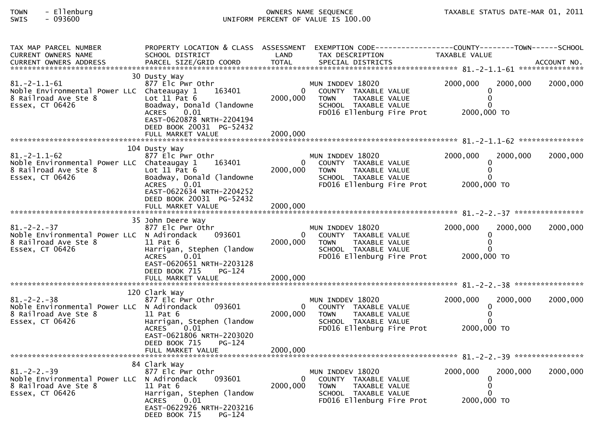# TOWN - Ellenburg OWNERS NAME SEQUENCE TAXABLE STATUS DATE-MAR 01, 2011SWIS - 093600 UNIFORM PERCENT OF VALUE IS 100.00

| TAX MAP PARCEL NUMBER<br>CURRENT OWNERS NAME                                                                  | PROPERTY LOCATION & CLASS ASSESSMENT<br>SCHOOL DISTRICT                                                                                                                                            | LAND                             | EXEMPTION CODE-----------------COUNTY-------TOWN------SCHOOL<br>TAX DESCRIPTION                                               | <b>TAXABLE VALUE</b>                                            |          |
|---------------------------------------------------------------------------------------------------------------|----------------------------------------------------------------------------------------------------------------------------------------------------------------------------------------------------|----------------------------------|-------------------------------------------------------------------------------------------------------------------------------|-----------------------------------------------------------------|----------|
| $81. - 2 - 1.1 - 61$<br>Noble Environmental Power LLC Chateaugay 1<br>8 Railroad Ave Ste 8<br>Essex, CT 06426 | 30 Dusty Way<br>877 Elc Pwr Othr<br>163401<br>Lot $11$ Pat $6$<br>Boadway, Donald (landowne<br>0.01<br><b>ACRES</b><br>EAST-0620878 NRTH-2204194<br>DEED BOOK 20031 PG-52432<br>FULL MARKET VALUE  | 2000,000<br>2000,000             | MUN INDDEV 18020<br>COUNTY TAXABLE VALUE<br>TAXABLE VALUE<br><b>TOWN</b><br>SCHOOL TAXABLE VALUE<br>FD016 Ellenburg Fire Prot | 2000,000<br>2000,000<br>$\mathbf{0}$<br>$\Omega$<br>2000,000 TO | 2000,000 |
| $81.-2-1.1-62$<br>Noble Environmental Power LLC Chateaugay 1<br>8 Railroad Ave Ste 8<br>Essex, CT 06426       | 104 Dusty Way<br>877 Elc Pwr Othr<br>163401<br>Lot $11$ Pat $6$<br>Boadway, Donald (landowne<br><b>ACRES</b><br>0.01<br>EAST-0622634 NRTH-2204252<br>DEED BOOK 20031 PG-52432<br>FULL MARKET VALUE | $\Omega$<br>2000,000<br>2000,000 | MUN INDDEV 18020<br>COUNTY TAXABLE VALUE<br>TAXABLE VALUE<br><b>TOWN</b><br>SCHOOL TAXABLE VALUE<br>FD016 Ellenburg Fire Prot | 2000,000<br>2000,000<br>$\mathbf{0}$<br>0<br>2000,000 TO        | 2000,000 |
| $81. - 2 - 2. - 37$<br>Noble Environmental Power LLC N Adirondack<br>8 Railroad Ave Ste 8<br>Essex, CT 06426  | 35 John Deere Way<br>877 Elc Pwr Othr<br>093601<br>11 Pat 6<br>Harrigan, Stephen (landow<br><b>ACRES</b><br>0.01<br>EAST-0620651 NRTH-2203128<br>DEED BOOK 715<br>PG-124<br>FULL MARKET VALUE      | 0<br>2000,000<br>2000,000        | MUN INDDEV 18020<br>COUNTY TAXABLE VALUE<br>TAXABLE VALUE<br><b>TOWN</b><br>SCHOOL TAXABLE VALUE<br>FD016 Ellenburg Fire Prot | 2000,000<br>2000,000<br>$\Omega$<br>2000,000 TO                 | 2000,000 |
| $81 - 2 - 2 - 38$<br>Noble Environmental Power LLC N Adirondack<br>8 Railroad Ave Ste 8<br>Essex, CT 06426    | 120 Clark Way<br>877 Elc Pwr Othr<br>093601<br>$11$ Pat $6$<br>Harrigan, Stephen (landow<br>ACRES<br>0.01<br>EAST-0621806 NRTH-2203020<br>DEED BOOK 715<br>$PG-124$                                | 2000,000                         | MUN INDDEV 18020<br>COUNTY TAXABLE VALUE<br><b>TOWN</b><br>TAXABLE VALUE<br>SCHOOL TAXABLE VALUE<br>FD016 Ellenburg Fire Prot | 2000,000<br>2000,000<br>$\Omega$<br>$\Omega$<br>2000,000 TO     | 2000,000 |
| $81 - 2 - 2 - 39$<br>Noble Environmental Power LLC N Adirondack<br>8 Railroad Ave Ste 8<br>Essex, CT 06426    | 84 Clark Way<br>877 Elc Pwr Othr<br>093601<br>11 Pat 6<br>Harrigan, Stephen (landow<br>0.01<br><b>ACRES</b><br>EAST-0622926 NRTH-2203216<br>$PG-124$<br>DEED BOOK 715                              | 0<br>2000,000                    | MUN INDDEV 18020<br>COUNTY TAXABLE VALUE<br><b>TOWN</b><br>TAXABLE VALUE<br>SCHOOL TAXABLE VALUE<br>FD016 Ellenburg Fire Prot | 2000,000<br>2000,000<br>0<br>2000,000 TO                        | 2000,000 |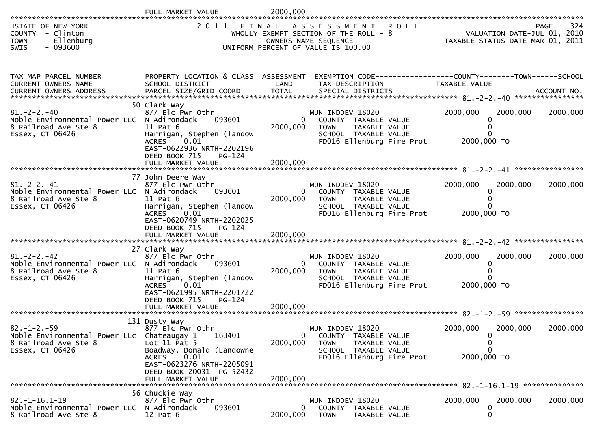|                                                                                                              | FULL MARKET VALUE                                                                                                                                                                         | 2000,000                               |                                                                                                                                     |                                                                                |             |
|--------------------------------------------------------------------------------------------------------------|-------------------------------------------------------------------------------------------------------------------------------------------------------------------------------------------|----------------------------------------|-------------------------------------------------------------------------------------------------------------------------------------|--------------------------------------------------------------------------------|-------------|
| STATE OF NEW YORK<br>COUNTY - Clinton<br>- Ellenburg<br><b>TOWN</b><br>$-093600$<br>SWIS                     |                                                                                                                                                                                           |                                        | 2011 FINAL ASSESSMENT ROLL<br>WHOLLY EXEMPT SECTION OF THE ROLL - $8$<br>OWNERS NAME SEQUENCE<br>UNIFORM PERCENT OF VALUE IS 100.00 | 324 PAGE<br>2010 VALUATION DATE-JUL 01, 20<br>TAXABLE STATUS DATE-MAR 01, 2011 | 324<br>PAGE |
| TAX MAP PARCEL NUMBER<br>CURRENT OWNERS NAME                                                                 | SCHOOL DISTRICT                                                                                                                                                                           | LAND                                   | PROPERTY LOCATION & CLASS ASSESSMENT EXEMPTION CODE----------------COUNTY-------TOWN------SCHOOL<br>TAX DESCRIPTION                 | TAXABLE VALUE                                                                  |             |
| $81. - 2 - 2. - 40$<br>Noble Environmental Power LLC N Adirondack<br>8 Railroad Ave Ste 8<br>Essex, CT 06426 | 50 Clark Way<br>877 Elc Pwr Othr<br>093601<br>11 Pat 6<br>Harrigan, Stephen (landow<br><b>ACRES</b><br>0.01<br>EAST-0622936 NRTH-2202196<br>DEED BOOK 715<br>PG-124<br>FULL MARKET VALUE  | $\overline{0}$<br>2000,000<br>2000,000 | MUN INDDEV 18020<br>COUNTY TAXABLE VALUE<br><b>TOWN</b><br>TAXABLE VALUE<br>SCHOOL TAXABLE VALUE<br>FD016 Ellenburg Fire Prot       | 2000,000<br>2000,000<br>$\bf{0}$<br>2000,000 TO                                | 2000,000    |
|                                                                                                              |                                                                                                                                                                                           |                                        |                                                                                                                                     |                                                                                |             |
| $81. - 2 - 2. - 41$<br>Noble Environmental Power LLC N Adirondack<br>8 Railroad Ave Ste 8<br>Essex, CT 06426 | 77 John Deere Way<br>877 Elc Pwr Othr<br>093601<br>$11$ Pat $6$<br>Harrigan, Stephen (landow<br><b>ACRES</b><br>0.01<br>EAST-0620749 NRTH-2202025<br>DEED BOOK 715<br>PG-124              | $\mathbf{0}$<br>2000,000               | MUN INDDEV 18020<br>COUNTY TAXABLE VALUE<br>TAXABLE VALUE<br><b>TOWN</b><br>SCHOOL TAXABLE VALUE<br>FD016 Ellenburg Fire Prot       | 2000,000<br>2000,000<br>0<br>$\Omega$<br>2000,000 TO                           | 2000,000    |
|                                                                                                              | FULL MARKET VALUE                                                                                                                                                                         | 2000,000                               |                                                                                                                                     |                                                                                |             |
| $81 - 2 - 2 - 42$<br>Noble Environmental Power LLC N Adirondack<br>8 Railroad Ave Ste 8<br>Essex, CT 06426   | 27 Clark Way<br>877 Elc Pwr Othr<br>093601<br>11 Pat 6<br>Harrigan, Stephen (landow<br><b>ACRES</b><br>0.01<br>EAST-0621995 NRTH-2201722<br>DEED BOOK 715<br>PG-124                       | $\overline{0}$<br>2000,000             | MUN INDDEV 18020<br>COUNTY TAXABLE VALUE<br><b>TOWN</b><br>TAXABLE VALUE<br>SCHOOL TAXABLE VALUE<br>FD016 Ellenburg Fire Prot       | 2000,000<br>2000,000<br>2000,000 TO                                            | 2000,000    |
|                                                                                                              | FULL MARKET VALUE                                                                                                                                                                         | 2000,000                               |                                                                                                                                     |                                                                                |             |
| $82. - 1 - 2. - 59$<br>Noble Environmental Power LLc Chateaugay 1<br>8 Railroad Ave Ste 8<br>Essex, CT 06426 | 131 Dusty Way<br>877 Elc Pwr Othr<br>163401<br>Lot $11$ Pat 5<br>Boadway, Donald (Landowne<br>0.01<br>ACRES<br>EAST-0623276 NRTH-2205091<br>DEED BOOK 20031 PG-52432<br>FULL MARKET VALUE | 0<br>2000,000<br>2000,000              | MUN INDDEV 18020<br>COUNTY TAXABLE VALUE<br><b>TOWN</b><br>TAXABLE VALUE<br>SCHOOL TAXABLE VALUE<br>FD016 Ellenburg Fire Prot       | 2000,000<br>2000,000<br>U<br>0<br>0<br>2000,000 TO                             | 2000,000    |
|                                                                                                              | 56 Chuckie Way                                                                                                                                                                            |                                        |                                                                                                                                     |                                                                                |             |
| $82. -1 - 16.1 - 19$<br>Noble Environmental Power LLC N Adirondack<br>8 Railroad Ave Ste 8                   | 877 Elc Pwr Othr<br>093601<br>$12$ Pat $6$                                                                                                                                                | $\mathbf{0}$<br>2000,000               | MUN INDDEV 18020<br>COUNTY TAXABLE VALUE<br><b>TOWN</b><br>TAXABLE VALUE                                                            | 2000,000<br>2000,000<br>0<br>0                                                 | 2000,000    |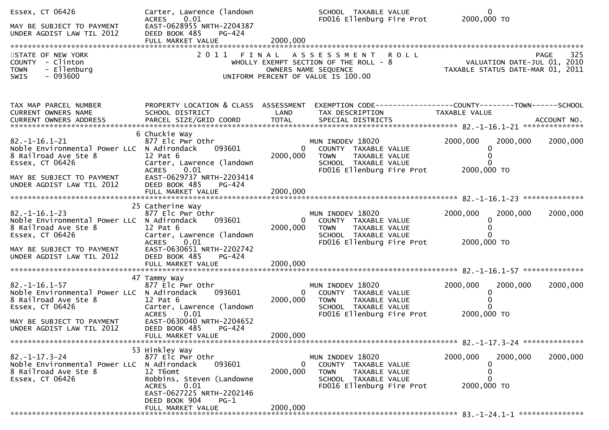| Essex, CT 06426<br>MAY BE SUBJECT TO PAYMENT<br>UNDER AGDIST LAW TIL 2012                                                                                                | Carter, Lawrence (landown<br>0.01<br><b>ACRES</b><br>EAST-0628955 NRTH-2204387<br>DEED BOOK 485<br>PG-424<br>FULL MARKET VALUE                                                     | 2000,000                   | SCHOOL TAXABLE VALUE<br>FD016 Ellenburg Fire Prot 2000,000 TO                                                                 | $\mathbf{0}$                                                                                                      |          |
|--------------------------------------------------------------------------------------------------------------------------------------------------------------------------|------------------------------------------------------------------------------------------------------------------------------------------------------------------------------------|----------------------------|-------------------------------------------------------------------------------------------------------------------------------|-------------------------------------------------------------------------------------------------------------------|----------|
| STATE OF NEW YORK<br>COUNTY - Clinton<br>- Ellenburg<br><b>TOWN</b><br>- 093600<br><b>SWIS</b>                                                                           | 2011 FINAL                                                                                                                                                                         |                            | ASSESSMENT ROLL<br>WHOLLY EXEMPT SECTION OF THE ROLL - 8<br>OWNERS NAME SEQUENCE<br>UNIFORM PERCENT OF VALUE IS 100.00        | <b>PAGE</b><br>ROLL - 8<br>VALUATION DATE-JUL 01, 2010<br>TAXABLE STATUS DATE-MAR 01, 2011                        | 325      |
| TAX MAP PARCEL NUMBER<br>CURRENT OWNERS NAME                                                                                                                             | SCHOOL DISTRICT                                                                                                                                                                    | LAND                       | TAX DESCRIPTION                                                                                                               | PROPERTY LOCATION & CLASS ASSESSMENT EXEMPTION CODE----------------COUNTY-------TOWN------SCHOOL<br>TAXABLE VALUE |          |
| $82. -1 - 16.1 - 21$<br>Noble Environmental Power LLC N Adirondack<br>8 Railroad Ave Ste 8<br>Essex, CT 06426<br>MAY BE SUBJECT TO PAYMENT<br>UNDER AGDIST LAW TIL 2012  | 6 Chuckie Way<br>877 Elc Pwr Othr<br>093601<br>12 Pat 6<br>Carter, Lawrence (landown<br>ACRES 0.01<br>EAST-0629737 NRTH-2203414<br>DEED BOOK 485<br>PG-424                         | $\mathbf{0}$<br>2000,000   | MUN INDDEV 18020<br>COUNTY TAXABLE VALUE<br><b>TOWN</b><br>TAXABLE VALUE<br>SCHOOL TAXABLE VALUE<br>FD016 Ellenburg Fire Prot | 2000,000<br>2000,000<br>0<br>0<br>$\Omega$<br>2000,000 TO                                                         | 2000,000 |
|                                                                                                                                                                          |                                                                                                                                                                                    |                            |                                                                                                                               |                                                                                                                   |          |
| $82. - 1 - 16.1 - 23$<br>Noble Environmental Power LLC N Adirondack<br>8 Railroad Ave Ste 8<br>Essex, CT 06426<br>MAY BE SUBJECT TO PAYMENT<br>UNDER AGDIST LAW TIL 2012 | 25 Catherine Way<br>877 Elc Pwr Othr<br>093601<br>$12$ Pat $6$<br>Carter, Lawrence (landown<br><b>ACRES</b><br>0.01<br>EAST-0630651 NRTH-2202742<br>DEED BOOK 485<br><b>PG-424</b> | 0<br>2000,000              | MUN INDDEV 18020<br>COUNTY TAXABLE VALUE<br><b>TOWN</b><br>TAXABLE VALUE<br>SCHOOL TAXABLE VALUE<br>FD016 Ellenburg Fire Prot | 2000,000<br>2000,000<br>0<br>0<br>2000,000 TO                                                                     | 2000,000 |
|                                                                                                                                                                          |                                                                                                                                                                                    |                            |                                                                                                                               |                                                                                                                   |          |
| $82. -1 - 16.1 - 57$<br>Noble Environmental Power LLC N Adirondack<br>8 Railroad Ave Ste 8<br>Essex, CT 06426<br>MAY BE SUBJECT TO PAYMENT                               | 47 Tammy Way<br>877 Elc Pwr Othr<br>093601<br>$12$ Pat $6$<br>Carter, Lawrence (landown<br><b>ACRES</b><br>0.01<br>EAST-0630040 NRTH-2204652                                       | $\mathbf{0}$<br>2000,000   | MUN INDDEV 18020<br>COUNTY TAXABLE VALUE<br>TAXABLE VALUE<br><b>TOWN</b><br>SCHOOL TAXABLE VALUE<br>FD016 Ellenburg Fire Prot | 2000,000<br>2000,000<br>$\mathbf{0}$<br>$\Omega$<br>2000,000 TO                                                   | 2000,000 |
| UNDER AGDIST LAW TIL 2012                                                                                                                                                | DEED BOOK 485<br>PG-424<br>FULL MARKET VALUE                                                                                                                                       | 2000,000                   |                                                                                                                               |                                                                                                                   |          |
| $82. -1 - 17.3 - 24$                                                                                                                                                     | 53 Hinkley Way<br>877 Elc Pwr Othr                                                                                                                                                 |                            | MUN INDDEV 18020                                                                                                              | 2000,000<br>2000,000                                                                                              | 2000,000 |
| Noble Environmental Power LLC N Adirondack<br>8 Railroad Ave Ste 8<br>Essex, CT 06426                                                                                    | 093601<br>12 T6omt<br>Robbins, Steven (Landowne<br>0.01<br><b>ACRES</b><br>EAST-0627225 NRTH-2202146<br>DEED BOOK 904<br>$PG-1$                                                    | $\overline{0}$<br>2000,000 | COUNTY TAXABLE VALUE<br>TAXABLE VALUE<br><b>TOWN</b><br>SCHOOL TAXABLE VALUE<br>FD016 Ellenburg Fire Prot                     | 0<br>0<br>2000,000 TO                                                                                             |          |
|                                                                                                                                                                          | FULL MARKET VALUE                                                                                                                                                                  | 2000,000                   |                                                                                                                               |                                                                                                                   |          |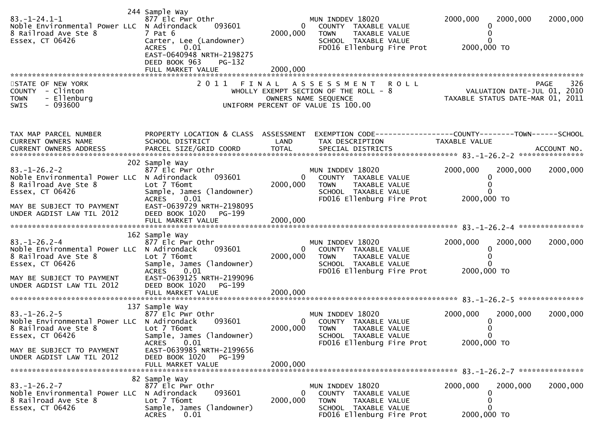| $83. - 1 - 24.1 - 1$<br>Noble Environmental Power LLC N Adirondack<br>8 Railroad Ave Ste 8<br>Essex, CT 06426 | 244 Sample Way<br>877 Elc Pwr Othr<br>093601<br>7 Pat 6<br>Carter, Lee (Landowner)<br>0.01<br><b>ACRES</b><br>EAST-0640948 NRTH-2198275<br>DEED BOOK 963<br>$PG-132$ | $\mathbf{0}$<br>2000,000   | MUN INDDEV 18020<br>COUNTY TAXABLE VALUE<br>TAXABLE VALUE<br><b>TOWN</b><br>SCHOOL TAXABLE VALUE<br>FD016 Ellenburg Fire Prot             | 2000,000<br>2000,000<br>$\Omega$<br>2000,000 TO                               | 2000,000    |
|---------------------------------------------------------------------------------------------------------------|----------------------------------------------------------------------------------------------------------------------------------------------------------------------|----------------------------|-------------------------------------------------------------------------------------------------------------------------------------------|-------------------------------------------------------------------------------|-------------|
|                                                                                                               | FULL MARKET VALUE                                                                                                                                                    | 2000,000                   |                                                                                                                                           |                                                                               |             |
| STATE OF NEW YORK<br>COUNTY - Clinton<br>- Ellenburg<br><b>TOWN</b><br>$-093600$<br><b>SWIS</b>               | 2011<br>FINAL                                                                                                                                                        |                            | A S S E S S M E N T<br><b>ROLL</b><br>WHOLLY EXEMPT SECTION OF THE ROLL - 8<br>OWNERS NAME SEQUENCE<br>UNIFORM PERCENT OF VALUE IS 100.00 | VALUATION DATE-JUL 01, 2010<br>VALUATION DATE SUP 01, 2011                    | 326<br>PAGE |
| TAX MAP PARCEL NUMBER<br>CURRENT OWNERS NAME                                                                  | PROPERTY LOCATION & CLASS ASSESSMENT<br>SCHOOL DISTRICT                                                                                                              | LAND                       | TAX DESCRIPTION                                                                                                                           | EXEMPTION CODE-----------------COUNTY-------TOWN------SCHOOL<br>TAXABLE VALUE |             |
| $83. - 1 - 26.2 - 2$<br>Noble Environmental Power LLC N Adirondack<br>8 Railroad Ave Ste 8<br>Essex, CT 06426 | 202 Sample Way<br>877 Elc Pwr Othr<br>093601<br>Lot 7 T6omt<br>Sample, James (landowner)<br>0.01<br><b>ACRES</b>                                                     | $\overline{0}$<br>2000,000 | MUN INDDEV 18020<br>COUNTY TAXABLE VALUE<br>TAXABLE VALUE<br><b>TOWN</b><br>SCHOOL TAXABLE VALUE<br>FD016 Ellenburg Fire Prot             | 2000,000<br>2000,000<br>2000,000 TO                                           | 2000,000    |
| MAY BE SUBJECT TO PAYMENT<br>UNDER AGDIST LAW TIL 2012                                                        | EAST-0639729 NRTH-2198095<br>DEED BOOK 1020<br>PG-199                                                                                                                |                            |                                                                                                                                           |                                                                               |             |
| $83. - 1 - 26.2 - 4$<br>Noble Environmental Power LLC N Adirondack<br>8 Railroad Ave Ste 8<br>Essex, CT 06426 | 162 Sample Way<br>877 Elc Pwr Othr<br>093601<br>Lot 7 T6omt<br>Sample, James (landowner)<br>0.01<br><b>ACRES</b>                                                     | $\bf{0}$<br>2000,000       | MUN INDDEV 18020<br>COUNTY TAXABLE VALUE<br><b>TOWN</b><br>TAXABLE VALUE<br>SCHOOL TAXABLE VALUE<br>FD016 Ellenburg Fire Prot             | 2000,000<br>2000,000<br>2000,000 TO                                           | 2000,000    |
| MAY BE SUBJECT TO PAYMENT<br>UNDER AGDIST LAW TIL 2012                                                        | EAST-0639125 NRTH-2199096<br>DEED BOOK 1020<br>PG-199                                                                                                                |                            |                                                                                                                                           |                                                                               |             |
|                                                                                                               | 137 Sample Way                                                                                                                                                       |                            |                                                                                                                                           |                                                                               |             |
| $83. - 1 - 26.2 - 5$<br>Noble Environmental Power LLC N Adirondack<br>8 Railroad Ave Ste 8<br>Essex, CT 06426 | 877 Elc Pwr Othr<br>093601<br>Lot 7 T6omt<br>Sample, James (landowner)<br>0.01<br><b>ACRES</b>                                                                       | 0<br>2000,000              | MUN INDDEV 18020<br>COUNTY TAXABLE VALUE<br><b>TOWN</b><br><b>TAXABLE VALUE</b><br>SCHOOL TAXABLE VALUE<br>FD016 Ellenburg Fire Prot      | 2000,000<br>2000,000<br>0<br>0<br>2000,000 TO                                 | 2000,000    |
| MAY BE SUBJECT TO PAYMENT<br>UNDER AGDIST LAW TIL 2012                                                        | EAST-0639985 NRTH-2199656<br>DEED BOOK 1020 PG-199                                                                                                                   |                            |                                                                                                                                           |                                                                               |             |
| $83. - 1 - 26.2 - 7$<br>Noble Environmental Power LLC N Adirondack<br>8 Railroad Ave Ste 8<br>Essex, CT 06426 | 82 Sample Way<br>877 Elc Pwr Othr<br>093601<br>Lot 7 T6omt<br>Sample, James (landowner)<br><b>ACRES</b><br>0.01                                                      | $\bf{0}$<br>2000,000       | MUN INDDEV 18020<br>COUNTY TAXABLE VALUE<br><b>TOWN</b><br>TAXABLE VALUE<br>SCHOOL TAXABLE VALUE<br>FD016 Ellenburg Fire Prot             | 2000,000<br>2000,000<br>0<br>2000,000 TO                                      | 2000,000    |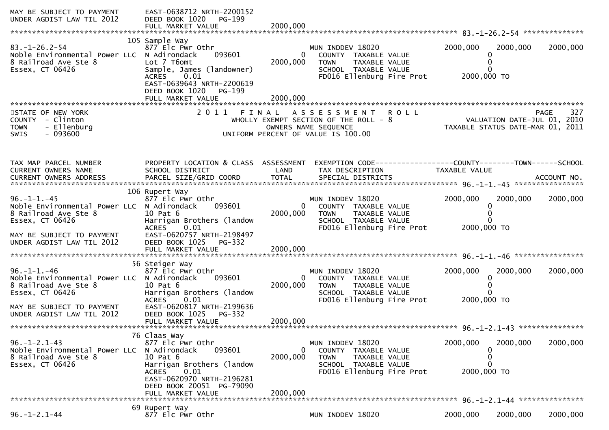| MAY BE SUBJECT TO PAYMENT<br>UNDER AGDIST LAW TIL 2012                                                                                                                 | EAST-0638712 NRTH-2200152<br>DEED BOOK 1020<br>PG-199<br>FULL MARKET VALUE                                                                                                                                | 2000,000                               |                                                                                                                               |                                                                                                |          |             |
|------------------------------------------------------------------------------------------------------------------------------------------------------------------------|-----------------------------------------------------------------------------------------------------------------------------------------------------------------------------------------------------------|----------------------------------------|-------------------------------------------------------------------------------------------------------------------------------|------------------------------------------------------------------------------------------------|----------|-------------|
| $83. - 1 - 26.2 - 54$<br>Noble Environmental Power LLC N Adirondack<br>8 Railroad Ave Ste 8<br>Essex, CT 06426                                                         | 105 Sample Way<br>877 Elc Pwr Othr<br>093601<br>Lot 7 T6omt<br>Sample, James (landowner)<br>0.01<br><b>ACRES</b><br>EAST-0639643 NRTH-2200619<br>DEED BOOK 1020<br>PG-199                                 | $\mathbf{0}$<br>2000,000               | MUN INDDEV 18020<br>COUNTY TAXABLE VALUE<br>TAXABLE VALUE<br><b>TOWN</b><br>SCHOOL TAXABLE VALUE<br>FD016 Ellenburg Fire Prot | 2000,000<br>0<br>0<br>0<br>2000,000 TO                                                         | 2000,000 | 2000,000    |
| STATE OF NEW YORK<br>COUNTY - Clinton<br>- Ellenburg<br><b>TOWN</b><br>$-093600$<br><b>SWIS</b>                                                                        | 2011 FINAL                                                                                                                                                                                                |                                        | ASSESSMENT ROLL<br>WHOLLY EXEMPT SECTION OF THE ROLL $-8$<br>OWNERS NAME SEQUENCE<br>UNIFORM PERCENT OF VALUE IS 100.00       | VALUATION DATE-JUL 01, 2010<br>VALUATION DATE-JUL 01, ZO10<br>TAXABLE STATUS DATE-MAR 01, 2011 |          | 327<br>PAGE |
| TAX MAP PARCEL NUMBER<br>CURRENT OWNERS NAME                                                                                                                           | PROPERTY LOCATION & CLASS ASSESSMENT<br>SCHOOL DISTRICT                                                                                                                                                   | LAND                                   | EXEMPTION CODE-----------------COUNTY--------TOWN------SCHOOL<br>TAX DESCRIPTION                                              | TAXABLE VALUE                                                                                  |          |             |
| $96. - 1 - 1. - 45$<br>Noble Environmental Power LLC N Adirondack<br>8 Railroad Ave Ste 8<br>Essex, CT 06426<br>MAY BE SUBJECT TO PAYMENT<br>UNDER AGDIST LAW TIL 2012 | 106 Rupert Way<br>877 Elc Pwr Othr<br>093601<br>10 Pat 6<br>Harrigan Brothers (landow<br><b>ACRES</b><br>0.01<br>EAST-0620757 NRTH-2198497<br>DEED BOOK 1025<br>PG-332<br>FULL MARKET VALUE               | $\overline{0}$<br>2000,000<br>2000,000 | MUN INDDEV 18020<br>COUNTY TAXABLE VALUE<br>TAXABLE VALUE<br><b>TOWN</b><br>SCHOOL TAXABLE VALUE<br>FD016 Ellenburg Fire Prot | 2000,000<br>0<br>0<br>0<br>2000,000 TO                                                         | 2000,000 | 2000,000    |
| $96. - 1 - 1. - 46$<br>Noble Environmental Power LLC N Adirondack<br>8 Railroad Ave Ste 8<br>Essex, CT 06426<br>MAY BE SUBJECT TO PAYMENT<br>UNDER AGDIST LAW TIL 2012 | 56 Steiger Way<br>877 Elc Pwr Othr<br>093601<br>10 Pat 6<br>Harrigan Brothers (landow<br><b>ACRES</b><br>0.01<br>EAST-0620817 NRTH-2199636<br>DEED BOOK 1025<br>PG-332<br>FULL MARKET VALUE               | $\Omega$<br>2000,000<br>2000,000       | MUN INDDEV 18020<br>COUNTY TAXABLE VALUE<br><b>TOWN</b><br>TAXABLE VALUE<br>SCHOOL TAXABLE VALUE<br>FD016 Ellenburg Fire Prot | 2000,000<br>0<br>0<br>2000,000 TO                                                              | 2000,000 | 2000,000    |
| $96. - 1 - 2.1 - 43$<br>Noble Environmental Power LLC<br>8 Railroad Ave Ste 8<br>Essex, CT 06426                                                                       | 76 Claas Way<br>877 Elc Pwr Othr<br>N Adirondack<br>093601<br>10 Pat 6<br>Harrigan Brothers (landow<br><b>ACRES</b><br>0.01<br>EAST-0620970 NRTH-2196281<br>DEED BOOK 20051 PG-79090<br>FULL MARKET VALUE | $\mathbf 0$<br>2000,000<br>2000,000    | MUN INDDEV 18020<br>COUNTY TAXABLE VALUE<br>TAXABLE VALUE<br><b>TOWN</b><br>SCHOOL TAXABLE VALUE<br>FD016 Ellenburg Fire Prot | 2000,000<br>0<br>0<br>0<br>2000,000 TO                                                         | 2000,000 | 2000,000    |
| $96. - 1 - 2.1 - 44$                                                                                                                                                   | 69 Rupert Way<br>877 Elc Pwr Othr                                                                                                                                                                         |                                        | MUN INDDEV 18020                                                                                                              | 2000,000                                                                                       | 2000,000 | 2000,000    |
|                                                                                                                                                                        |                                                                                                                                                                                                           |                                        |                                                                                                                               |                                                                                                |          |             |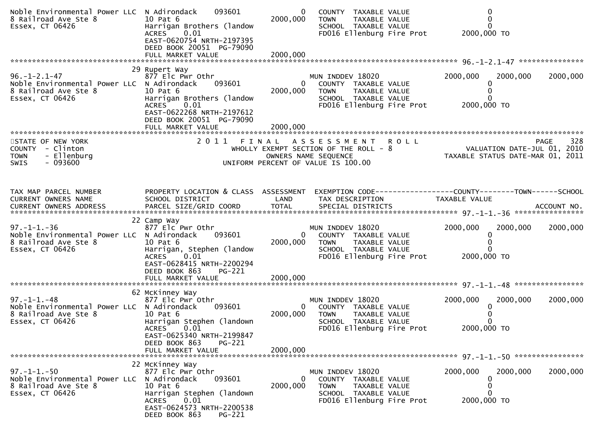| Noble Environmental Power LLC N Adirondack<br>8 Railroad Ave Ste 8<br>Essex, CT 06426                         | 093601<br>10 Pat 6<br>Harrigan Brothers (landow<br>0.01<br><b>ACRES</b><br>EAST-0620754 NRTH-2197395<br>DEED BOOK 20051 PG-79090                                                           | 0<br>2000,000             | COUNTY TAXABLE VALUE<br>TAXABLE VALUE<br><b>TOWN</b><br>SCHOOL TAXABLE VALUE<br>FD016 Ellenburg Fire Prot                        |               | 2000,000 TO                                                                    |
|---------------------------------------------------------------------------------------------------------------|--------------------------------------------------------------------------------------------------------------------------------------------------------------------------------------------|---------------------------|----------------------------------------------------------------------------------------------------------------------------------|---------------|--------------------------------------------------------------------------------|
|                                                                                                               |                                                                                                                                                                                            |                           |                                                                                                                                  |               |                                                                                |
| $96. - 1 - 2.1 - 47$<br>Noble Environmental Power LLC N Adirondack<br>8 Railroad Ave Ste 8<br>Essex, CT 06426 | 29 Rupert Way<br>877 Elc Pwr Othr<br>093601<br>10 Pat 6<br>Harrigan Brothers (landow<br>0.01<br><b>ACRES</b><br>EAST-0622268 NRTH-2197612<br>DEED BOOK 20051 PG-79090<br>FULL MARKET VALUE | 0<br>2000,000<br>2000,000 | MUN INDDEV 18020<br>COUNTY TAXABLE VALUE<br>TAXABLE VALUE<br><b>TOWN</b><br>SCHOOL TAXABLE VALUE<br>FD016 Ellenburg Fire Prot    | 2000,000      | 2000,000<br>2000,000<br>2000,000 TO                                            |
| STATE OF NEW YORK<br>COUNTY - Clinton<br><b>TOWN</b><br>- Ellenburg                                           | 2011 FINAL                                                                                                                                                                                 |                           | A S S E S S M E N T R O L L<br>WHOLLY EXEMPT SECTION OF THE ROLL - 8<br>OWNERS NAME SEQUENCE                                     |               | 328<br>PAGE<br>VALUATION DATE-JUL 01, 2010<br>TAXABLE STATUS DATE-MAR 01, 2011 |
| $-093600$<br><b>SWIS</b>                                                                                      |                                                                                                                                                                                            |                           | UNIFORM PERCENT OF VALUE IS 100.00                                                                                               |               |                                                                                |
| TAX MAP PARCEL NUMBER<br>CURRENT OWNERS NAME                                                                  | PROPERTY LOCATION & CLASS ASSESSMENT<br>SCHOOL DISTRICT                                                                                                                                    | LAND                      | TAX DESCRIPTION                                                                                                                  | TAXABLE VALUE | EXEMPTION CODE------------------COUNTY--------TOWN------SCHOOL                 |
| $97. - 1 - 1. - 36$<br>Noble Environmental Power LLC N Adirondack<br>8 Railroad Ave Ste 8<br>Essex, CT 06426  | 22 Camp Way<br>877 Elc Pwr Othr<br>093601<br>10 Pat 6<br>Harrigan, Stephen (landow<br>0.01<br><b>ACRES</b><br>EAST-0628415 NRTH-2200294<br>DEED BOOK 863<br><b>PG-221</b>                  | 0<br>2000,000             | MUN INDDEV 18020<br>COUNTY TAXABLE VALUE<br><b>TOWN</b><br>TAXABLE VALUE<br>SCHOOL TAXABLE VALUE<br>FD016 Ellenburg Fire Prot    | 2000,000      | 2000,000<br>2000,000<br>0<br>2000,000 TO                                       |
|                                                                                                               | FULL MARKET VALUE                                                                                                                                                                          | 2000,000                  |                                                                                                                                  |               |                                                                                |
| $97. - 1 - 1. - 48$<br>Noble Environmental Power LLC N Adirondack<br>8 Railroad Ave Ste 8<br>Essex, CT 06426  | 62 McKinney Way<br>877 Elc Pwr Othr<br>093601<br>10 Pat 6<br>Harrigan Stephen (landown<br><b>ACRES</b><br>0.01<br>EAST-0625340 NRTH-2199847                                                | $\mathbf{0}$<br>2000,000  | MUN INDDEV 18020<br>COUNTY TAXABLE VALUE<br><b>TOWN</b><br>TAXABLE VALUE<br>SCHOOL TAXABLE VALUE<br>FD016 Ellenburg Fire Prot    | 2000,000      | 2000,000<br>2000,000<br>2000,000 TO                                            |
|                                                                                                               | DEED BOOK 863<br>PG-221<br>FULL MARKET VALUE                                                                                                                                               | 2000,000                  |                                                                                                                                  |               |                                                                                |
|                                                                                                               |                                                                                                                                                                                            |                           |                                                                                                                                  |               |                                                                                |
| $97. - 1 - 1. - 50$<br>Noble Environmental Power LLC<br>8 Railroad Ave Ste 8<br>Essex, CT 06426               | 22 McKinney Way<br>877 Elc Pwr Othr<br>N Adirondack<br>093601<br>10 Pat 6<br>Harrigan Stephen (landown<br>0.01<br><b>ACRES</b><br>EAST-0624573 NRTH-2200538<br>DEED BOOK 863<br>PG-221     | 0<br>2000,000             | MUN INDDEV 18020<br>COUNTY<br>TAXABLE VALUE<br><b>TOWN</b><br>TAXABLE VALUE<br>SCHOOL TAXABLE VALUE<br>FD016 Ellenburg Fire Prot | 2000,000      | 2000,000<br>2000,000<br>0<br>2000,000 TO                                       |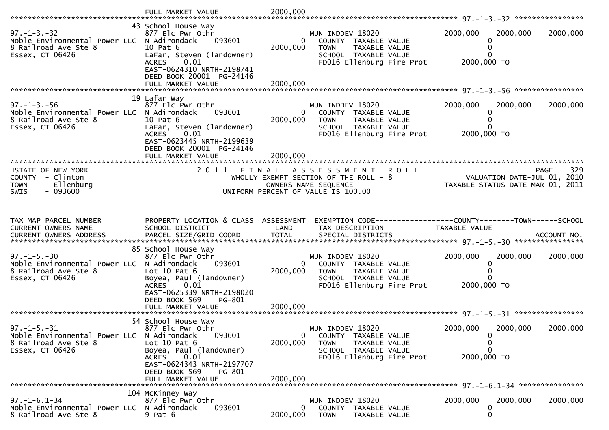|                                                                                                              | FULL MARKET VALUE                                                                                                                                                                                     | 2000,000                               |                                                                                                                                           |                                                                           |             |
|--------------------------------------------------------------------------------------------------------------|-------------------------------------------------------------------------------------------------------------------------------------------------------------------------------------------------------|----------------------------------------|-------------------------------------------------------------------------------------------------------------------------------------------|---------------------------------------------------------------------------|-------------|
| $97. - 1 - 3. - 32$<br>Noble Environmental Power LLC N Adirondack<br>8 Railroad Ave Ste 8<br>Essex, CT 06426 | 43 School House Way<br>877 Elc Pwr Othr<br>093601<br>10 Pat 6<br>LaFar, Steven (landowner)<br>0.01<br><b>ACRES</b><br>EAST-0624310 NRTH-2198741<br>DEED BOOK 20001 PG-24146<br>FULL MARKET VALUE      | $\mathbf{0}$<br>2000,000<br>2000,000   | MUN INDDEV 18020<br>COUNTY TAXABLE VALUE<br>TAXABLE VALUE<br><b>TOWN</b><br>SCHOOL TAXABLE VALUE<br>FD016 Ellenburg Fire Prot             | 2000,000<br>2000,000<br>$\Omega$<br>0<br>2000,000 TO                      | 2000,000    |
| $97. - 1 - 3. - 56$<br>Noble Environmental Power LLC N Adirondack<br>8 Railroad Ave Ste 8<br>Essex, CT 06426 | 19 Lafar Way<br>877 Elc Pwr Othr<br>093601<br>10 Pat 6<br>LaFar, Steven (landowner)<br>0.01<br><b>ACRES</b><br>EAST-0623445 NRTH-2199639<br>DEED BOOK 20001 PG-24146<br>FULL MARKET VALUE             | $\overline{0}$<br>2000,000<br>2000,000 | MUN INDDEV 18020<br>COUNTY TAXABLE VALUE<br>TAXABLE VALUE<br><b>TOWN</b><br>SCHOOL TAXABLE VALUE<br>FD016 Ellenburg Fire Prot             | 2000,000<br>2000,000<br>0<br>$\Omega$<br>2000,000 TO                      | 2000,000    |
| STATE OF NEW YORK<br>COUNTY - Clinton<br>- Ellenburg<br><b>TOWN</b><br>$-093600$<br><b>SWIS</b>              | 2 0 1 1                                                                                                                                                                                               | FINAL                                  | A S S E S S M E N T<br><b>ROLL</b><br>WHOLLY EXEMPT SECTION OF THE ROLL - 8<br>OWNERS NAME SEQUENCE<br>UNIFORM PERCENT OF VALUE IS 100.00 | <b>PAGE</b><br>VALUATION DATE-JUL 01, 2010<br>VALUATION DATE-MAR 01, 2011 | 329         |
|                                                                                                              |                                                                                                                                                                                                       |                                        |                                                                                                                                           |                                                                           |             |
| TAX MAP PARCEL NUMBER<br>CURRENT OWNERS NAME<br>CURRENT OWNERS ADDRESS                                       | PROPERTY LOCATION & CLASS ASSESSMENT<br>SCHOOL DISTRICT<br>PARCEL SIZE/GRID COORD                                                                                                                     | LAND<br><b>TOTAL</b>                   | TAX DESCRIPTION<br>SPECIAL DISTRICTS                                                                                                      | TAXABLE VALUE                                                             | ACCOUNT NO. |
| $97. - 1 - 5. - 30$<br>Noble Environmental Power LLC N Adirondack<br>8 Railroad Ave Ste 8<br>Essex, CT 06426 | 85 School House Way<br>877 Elc Pwr Othr<br>093601<br>Lot $10$ Pat $6$<br>Boyea, Paul (landowner)<br>0.01<br><b>ACRES</b><br>EAST-0625339 NRTH-2198020<br>DEED BOOK 569<br>PG-801                      | $\overline{0}$<br>2000,000             | MUN INDDEV 18020<br>COUNTY TAXABLE VALUE<br><b>TOWN</b><br>TAXABLE VALUE<br>SCHOOL TAXABLE VALUE<br>FD016 Ellenburg Fire Prot             | 2000,000<br>2000,000<br>0<br>0<br>U<br>2000,000 TO                        | 2000,000    |
| $97. - 1 - 5. - 31$<br>Noble Environmental Power LLC N Adirondack<br>8 Railroad Ave Ste 8<br>Essex, CT 06426 | 54 School House Way<br>877 Elc Pwr Othr<br>093601<br>Lot $10$ Pat $6$<br>Boyea, Paul (landowner)<br>0.01<br><b>ACRES</b><br>EAST-0624343 NRTH-2197707<br>DEED BOOK 569<br>PG-801<br>FULL MARKET VALUE | 0<br>2000,000<br>2000.000              | MUN INDDEV 18020<br>COUNTY TAXABLE VALUE<br><b>TOWN</b><br>TAXABLE VALUE<br>SCHOOL TAXABLE VALUE<br>FD016 Ellenburg Fire Prot             | 2000,000<br>2000,000<br>$\bf{0}$<br>0<br>0<br>2000,000 TO                 | 2000,000    |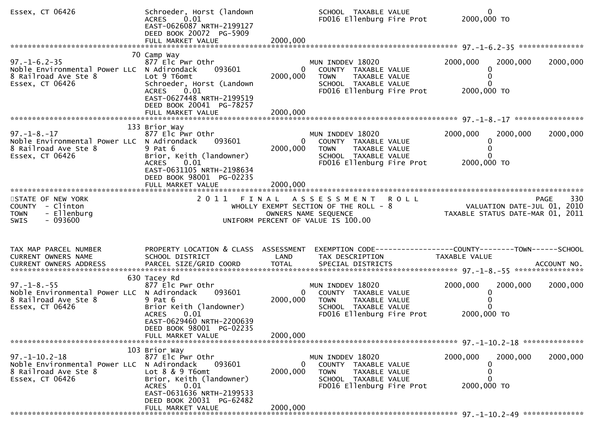| Essex, CT 06426                                                                                                | Schroeder, Horst (landown<br>ACRES 0.01<br>EAST-0626087 NRTH-2199127<br>DEED BOOK 20072 PG-5909<br>FULL MARKET VALUE                                                                         | 2000,000                               | SCHOOL TAXABLE VALUE<br>FD016 Ellenburg Fire Prot                                                                                           | $\mathbf{0}$<br>2000,000 TO                                                           |             |
|----------------------------------------------------------------------------------------------------------------|----------------------------------------------------------------------------------------------------------------------------------------------------------------------------------------------|----------------------------------------|---------------------------------------------------------------------------------------------------------------------------------------------|---------------------------------------------------------------------------------------|-------------|
| $97. - 1 - 6.2 - 35$<br>Noble Environmental Power LLC N Adirondack<br>8 Railroad Ave Ste 8<br>Essex, CT 06426  | 70 Camp Way<br>877 Elc Pwr Othr<br>093601<br>Lot 9 T6omt<br>Schroeder, Horst (Landown<br>0.01<br><b>ACRES</b><br>EAST-0627448 NRTH-2199519<br>DEED BOOK 20041 PG-78257                       | $\overline{0}$<br>2000,000             | MUN INDDEV 18020<br>COUNTY TAXABLE VALUE<br><b>TOWN</b><br>TAXABLE VALUE<br>SCHOOL TAXABLE VALUE<br>FD016 Ellenburg Fire Prot               | 2000,000<br>2000,000<br>0<br>2000,000 TO                                              | 2000,000    |
|                                                                                                                |                                                                                                                                                                                              |                                        |                                                                                                                                             |                                                                                       |             |
| $97. - 1 - 8. - 17$<br>Noble Environmental Power LLC N Adirondack<br>8 Railroad Ave Ste 8<br>Essex, CT 06426   | 133 Brior Way<br>877 Elc Pwr Othr<br>093601<br>$9$ Pat $6$<br>Brior, Keith (landowner)<br>0.01<br><b>ACRES</b><br>EAST-0631105 NRTH-2198634<br>DEED BOOK 98001 PG-02235<br>FULL MARKET VALUE | 0<br>2000,000<br>2000,000              | MUN INDDEV 18020<br>COUNTY TAXABLE VALUE<br>TAXABLE VALUE<br><b>TOWN</b><br>SCHOOL TAXABLE VALUE<br>FD016 Ellenburg Fire Prot               | 2000,000<br>2000,000<br>2000,000 TO                                                   | 2000,000    |
| STATE OF NEW YORK<br>COUNTY - Clinton<br>- Ellenburg<br><b>TOWN</b><br>- 093600<br><b>SWIS</b>                 |                                                                                                                                                                                              |                                        | 2011 FINAL ASSESSMENT<br><b>ROLL</b><br>WHOLLY EXEMPT SECTION OF THE ROLL - 8<br>OWNERS NAME SEQUENCE<br>UNIFORM PERCENT OF VALUE IS 100.00 | 230 PAGE<br>2010 VALUATION DATE-JUL 01, 2010<br>TAXABLE STATUS DATE-MAR 01, 2011      | 330<br>PAGE |
| TAX MAP PARCEL NUMBER<br>CURRENT OWNERS NAME                                                                   | PROPERTY LOCATION & CLASS ASSESSMENT<br>SCHOOL DISTRICT                                                                                                                                      | LAND                                   | TAX DESCRIPTION                                                                                                                             | EXEMPTION CODE------------------COUNTY-------TOWN------SCHOOL<br><b>TAXABLE VALUE</b> |             |
| $97. - 1 - 8. - 55$<br>Noble Environmental Power LLC N Adirondack<br>8 Railroad Ave Ste 8<br>Essex, CT 06426   | 630 Tacey Rd<br>877 Elc Pwr Othr<br>093601<br>9 Pat 6<br>Brior Keith (landowner)<br>0.01<br><b>ACRES</b><br>EAST-0629460 NRTH-2200639<br>DEED BOOK 98001 PG-02235<br>FULL MARKET VALUE       | $\overline{0}$<br>2000,000<br>2000,000 | MUN INDDEV 18020<br>COUNTY TAXABLE VALUE<br><b>TOWN</b><br>TAXABLE VALUE<br>SCHOOL TAXABLE VALUE<br>FD016 Ellenburg Fire Prot               | 2000,000<br>2000,000<br>0<br>2000,000 TO                                              | 2000,000    |
|                                                                                                                |                                                                                                                                                                                              |                                        |                                                                                                                                             |                                                                                       |             |
| $97. - 1 - 10.2 - 18$<br>Noble Environmental Power LLC N Adirondack<br>8 Railroad Ave Ste 8<br>Essex, CT 06426 | 103 Brior Way<br>877 Elc Pwr Othr<br>093601<br>Lot $8 \& 9 \t{T6}$<br>Brior, Keith (landowner)<br>0.01<br><b>ACRES</b><br>EAST-0631636 NRTH-2199533<br>DEED BOOK 20031 PG-62482              | $\Omega$<br>2000,000                   | MUN INDDEV 18020<br>COUNTY TAXABLE VALUE<br>TAXABLE VALUE<br><b>TOWN</b><br>SCHOOL TAXABLE VALUE<br>FD016 Ellenburg Fire Prot               | 2000,000<br>2000,000<br>2000,000 TO                                                   | 2000,000    |
|                                                                                                                | FULL MARKET VALUE                                                                                                                                                                            | 2000,000                               |                                                                                                                                             |                                                                                       |             |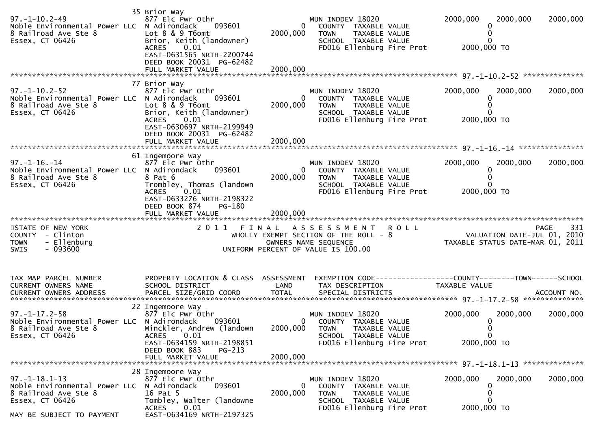|                                                                                                                | 35 Brior Way                                                                                              |                          |                                                                                                  |                                                                                |          |
|----------------------------------------------------------------------------------------------------------------|-----------------------------------------------------------------------------------------------------------|--------------------------|--------------------------------------------------------------------------------------------------|--------------------------------------------------------------------------------|----------|
| 97. –1–10. 2–49<br>Noble Environmental Power LLC N Adirondack<br>8 Railroad Ave Ste 8<br>Essex, CT 06426       | 877 Elc Pwr Othr<br>093601<br>Lot 8 & 9 T6omt<br>Brior, Keith (landowner)                                 | $\mathbf{0}$<br>2000,000 | MUN INDDEV 18020<br>COUNTY TAXABLE VALUE<br>TAXABLE VALUE<br><b>TOWN</b><br>SCHOOL TAXABLE VALUE | 2000,000<br>2000,000<br>0<br>0<br>0                                            | 2000,000 |
|                                                                                                                | 0.01<br>ACRES<br>EAST-0631565 NRTH-2200744<br>DEED BOOK 20031 PG-62482<br>FULL MARKET VALUE               | 2000,000                 | FD016 Ellenburg Fire Prot                                                                        | 2000,000 TO                                                                    |          |
|                                                                                                                | 77 Brior Way                                                                                              |                          |                                                                                                  |                                                                                |          |
| $97. - 1 - 10.2 - 52$<br>Noble Environmental Power LLC N Adirondack<br>8 Railroad Ave Ste 8<br>Essex, CT 06426 | 877 Elc Pwr Othr<br>093601<br>Lot 8 & 9 T6omt<br>Brior, Keith (landowner)                                 | 0<br>2000,000            | MUN INDDEV 18020<br>COUNTY TAXABLE VALUE<br><b>TOWN</b><br>TAXABLE VALUE<br>SCHOOL TAXABLE VALUE | 2000,000<br>2000,000<br>0<br>0<br>0                                            | 2000,000 |
|                                                                                                                | 0.01<br>ACRES<br>EAST-0630697 NRTH-2199949<br>DEED BOOK 20031 PG-62482                                    |                          | FD016 Ellenburg Fire Prot                                                                        | 2000,000 TO                                                                    |          |
|                                                                                                                |                                                                                                           |                          |                                                                                                  |                                                                                |          |
|                                                                                                                | 61 Ingemoore Way                                                                                          |                          |                                                                                                  |                                                                                |          |
| $97. - 1 - 16. - 14$<br>Noble Environmental Power LLC N Adirondack<br>8 Railroad Ave Ste 8                     | 877 Elc Pwr Othr<br>093601<br>8 Pat 6                                                                     | 2000,000                 | MUN INDDEV 18020<br>0<br>COUNTY TAXABLE VALUE<br>TAXABLE VALUE<br><b>TOWN</b>                    | 2000,000<br>2000,000<br>0<br>$\Omega$                                          | 2000,000 |
| Essex, CT 06426                                                                                                | Trombley, Thomas (landown<br>0.01<br><b>ACRES</b><br>EAST-0633276 NRTH-2198322<br>DEED BOOK 874<br>PG-180 |                          | SCHOOL TAXABLE VALUE<br>FD016 Ellenburg Fire Prot                                                | O.<br>2000,000 TO                                                              |          |
|                                                                                                                | FULL MARKET VALUE                                                                                         | 2000,000                 |                                                                                                  |                                                                                |          |
| STATE OF NEW YORK<br>COUNTY - Clinton<br>- Ellenburg<br><b>TOWN</b>                                            | 2011<br>FINAL                                                                                             |                          | <b>ROLL</b><br>ASSESSMENT<br>WHOLLY EXEMPT SECTION OF THE ROLL - 8<br>OWNERS NAME SEQUENCE       | <b>PAGE</b><br>VALUATION DATE-JUL 01, 2010<br>TAXABLE STATUS DATE-MAR 01, 2011 | 331      |
| - 093600<br><b>SWIS</b>                                                                                        |                                                                                                           |                          | UNIFORM PERCENT OF VALUE IS 100.00                                                               |                                                                                |          |
|                                                                                                                |                                                                                                           |                          |                                                                                                  |                                                                                |          |
| TAX MAP PARCEL NUMBER<br>CURRENT OWNERS NAME                                                                   | PROPERTY LOCATION & CLASS ASSESSMENT<br>SCHOOL DISTRICT                                                   | LAND                     | EXEMPTION CODE-----------------COUNTY-------TOWN------SCHOOL<br>TAX DESCRIPTION                  | TAXABLE VALUE                                                                  |          |
|                                                                                                                |                                                                                                           |                          |                                                                                                  |                                                                                |          |
|                                                                                                                | 22 Ingemoore Way                                                                                          |                          |                                                                                                  |                                                                                |          |
| $97. - 1 - 17.2 - 58$<br>Noble Environmental Power LLC N Adirondack                                            | 877 Elc Pwr Othr<br>093601                                                                                |                          | MUN INDDEV 18020<br>0 COUNTY TAXABLE VALUE                                                       | 2000,000<br>2000,000<br>0<br>$\Omega$                                          | 2000,000 |
| 8 Railroad Ave Ste 8 Minckler, Andrew (landown<br>Essex, CT 06426                                              | ACRES 0.01<br>EAST-0634159 NRTH-2198851                                                                   |                          | 2000,000 TOWN TAXABLE VALUE<br>SCHOOL TAXABLE VALUE<br>FD016 Ellenburg Fire Prot                 | $\mathbf 0$<br>2000,000 TO                                                     |          |
|                                                                                                                | DEED BOOK 883<br>PG-213                                                                                   |                          |                                                                                                  |                                                                                |          |
|                                                                                                                | FULL MARKET VALUE                                                                                         | 2000,000                 |                                                                                                  |                                                                                |          |
|                                                                                                                | 28 Ingemoore Way                                                                                          |                          |                                                                                                  |                                                                                |          |
| $97. - 1 - 18.1 - 13$<br>Noble Environmental Power LLC N Adirondack                                            | 877 Elc Pwr Othr<br>093601                                                                                | $\mathbf{0}$             | MUN INDDEV 18020<br>COUNTY TAXABLE VALUE                                                         | 2000,000<br>2000,000<br>$\Omega$                                               | 2000,000 |
| 8 Railroad Ave Ste 8                                                                                           | 16 Pat 5                                                                                                  | 2000,000                 | <b>TOWN</b><br>TAXABLE VALUE                                                                     | O                                                                              |          |
| Essex, CT 06426                                                                                                | Tombley, Walter (landowne<br>0.01<br>ACRES                                                                |                          | SCHOOL TAXABLE VALUE<br>FD016 Ellenburg Fire Prot                                                | O<br>2000,000 TO                                                               |          |
| MAY BE SUBJECT TO PAYMENT                                                                                      | EAST-0634169 NRTH-2197325                                                                                 |                          |                                                                                                  |                                                                                |          |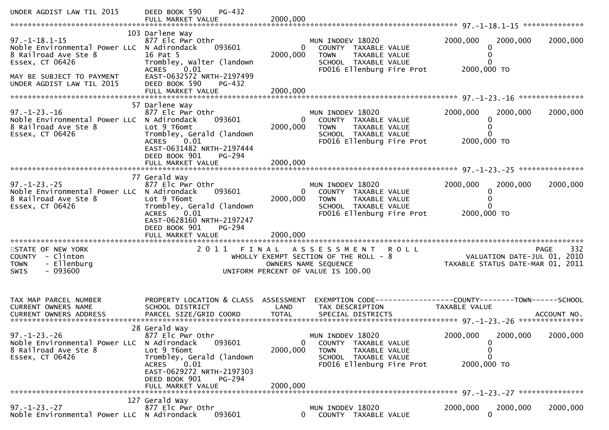| UNDER AGDIST LAW TIL 2015                                                                                                                                                | DEED BOOK 590<br>PG-432<br>FULL MARKET VALUE                                                                                                                                                                 | 2000,000                               |                                                                                                                                             |                                                                 |             |
|--------------------------------------------------------------------------------------------------------------------------------------------------------------------------|--------------------------------------------------------------------------------------------------------------------------------------------------------------------------------------------------------------|----------------------------------------|---------------------------------------------------------------------------------------------------------------------------------------------|-----------------------------------------------------------------|-------------|
|                                                                                                                                                                          |                                                                                                                                                                                                              |                                        |                                                                                                                                             |                                                                 |             |
| $97. - 1 - 18.1 - 15$<br>Noble Environmental Power LLC N Adirondack<br>8 Railroad Ave Ste 8<br>Essex, CT 06426<br>MAY BE SUBJECT TO PAYMENT<br>UNDER AGDIST LAW TIL 2015 | 103 Darlene Way<br>877 Elc Pwr Othr<br>093601<br>16 Pat 5<br>Trombley, Walter (landown<br>0.01<br><b>ACRES</b><br>EAST-0632572 NRTH-2197499<br>DEED BOOK 590<br>PG-432                                       | $\mathbf{0}$<br>2000,000               | MUN INDDEV 18020<br>COUNTY TAXABLE VALUE<br><b>TOWN</b><br>TAXABLE VALUE<br>SCHOOL TAXABLE VALUE<br>FD016 Ellenburg Fire Prot               | 2000,000<br>2000,000<br>0<br>0<br>0<br>2000,000 TO              | 2000,000    |
|                                                                                                                                                                          |                                                                                                                                                                                                              |                                        |                                                                                                                                             |                                                                 |             |
|                                                                                                                                                                          | 57 Darlene Way                                                                                                                                                                                               |                                        |                                                                                                                                             |                                                                 |             |
| $97. - 1 - 23. - 16$<br>Noble Environmental Power LLC N Adirondack<br>8 Railroad Ave Ste 8<br>Essex, CT 06426                                                            | 877 Elc Pwr Othr<br>093601<br>Lot 9 T6omt<br>Trombley, Gerald (landown<br>0.01<br><b>ACRES</b><br>EAST-0631482 NRTH-2197444<br>DEED BOOK 901<br>PG-294                                                       | $\overline{0}$<br>2000,000             | MUN INDDEV 18020<br>COUNTY TAXABLE VALUE<br>TAXABLE VALUE<br><b>TOWN</b><br>SCHOOL TAXABLE VALUE<br>FD016 Ellenburg Fire Prot               | 2000,000<br>2000,000<br>0<br>0<br>2000,000 TO                   | 2000,000    |
|                                                                                                                                                                          |                                                                                                                                                                                                              |                                        |                                                                                                                                             |                                                                 |             |
|                                                                                                                                                                          |                                                                                                                                                                                                              |                                        |                                                                                                                                             |                                                                 |             |
| $97. - 1 - 23. - 25$<br>Noble Environmental Power LLC N Adirondack<br>8 Railroad Ave Ste 8<br>Essex, CT 06426                                                            | 77 Gerald Way<br>877 Elc Pwr Othr<br>093601<br>Lot 9 T6omt<br>Trombley, Gerald (landown<br><b>ACRES</b><br>0.01<br>EAST-0628160 NRTH-2197247<br>DEED BOOK 901<br>PG-294<br>FULL MARKET VALUE                 | $\overline{0}$<br>2000,000<br>2000,000 | MUN INDDEV 18020<br>COUNTY TAXABLE VALUE<br><b>TOWN</b><br>TAXABLE VALUE<br>SCHOOL TAXABLE VALUE<br>FD016 Ellenburg Fire Prot               | 2000,000<br>2000,000<br>0<br>0<br>2000,000 TO                   | 2000,000    |
| *************************                                                                                                                                                | *************************                                                                                                                                                                                    |                                        |                                                                                                                                             |                                                                 |             |
| STATE OF NEW YORK<br>COUNTY - Clinton<br>- Ellenburg<br><b>TOWN</b><br>$-093600$<br>SWIS                                                                                 | 2011                                                                                                                                                                                                         | FINAL                                  | A S S E S S M E N T<br><b>ROLL</b><br>WHOLLY EXEMPT SECTION OF THE ROLL - $8$<br>OWNERS NAME SEQUENCE<br>UNIFORM PERCENT OF VALUE IS 100.00 | VALUATION DATE-JUL 01, 2010<br>TAXABLE STATUS DATE-MAR 01, 2011 | 332<br>PAGE |
| TAX MAP PARCEL NUMBER<br>CURRENT OWNERS NAME                                                                                                                             | PROPERTY LOCATION & CLASS ASSESSMENT<br>SCHOOL DISTRICT                                                                                                                                                      | LAND                                   | EXEMPTION CODE-----------------COUNTY--------TOWN------SCHOOL<br>TAX DESCRIPTION                                                            | TAXABLE VALUE                                                   |             |
| $97. - 1 - 23. - 26$<br>Noble Environmental Power LLC<br>8 Railroad Ave Ste 8<br>Essex, CT 06426                                                                         | 28 Gerald Way<br>877 Elc Pwr Othr<br>N Adirondack<br>093601<br>Lot 9 T6omt<br>Trombley, Gerald (landown<br>0.01<br><b>ACRES</b><br>EAST-0629272 NRTH-2197303<br>DEED BOOK 901<br>PG-294<br>FULL MARKET VALUE | 0<br>2000,000<br>2000,000              | MUN INDDEV 18020<br><b>COUNTY</b><br>TAXABLE VALUE<br><b>TOWN</b><br>TAXABLE VALUE<br>SCHOOL TAXABLE VALUE<br>FD016 Ellenburg Fire Prot     | 2000,000<br>2000,000<br>0<br>0<br>0<br>2000,000 TO              | 2000,000    |
|                                                                                                                                                                          | 127 Gerald Way                                                                                                                                                                                               |                                        |                                                                                                                                             |                                                                 |             |
| $97. - 1 - 23. - 27$<br>Noble Environmental Power LLC N Adirondack                                                                                                       | 877 Elc Pwr Othr<br>093601                                                                                                                                                                                   | 0                                      | MUN INDDEV 18020<br>COUNTY TAXABLE VALUE                                                                                                    | 2000,000<br>2000,000<br>$\Omega$                                | 2000,000    |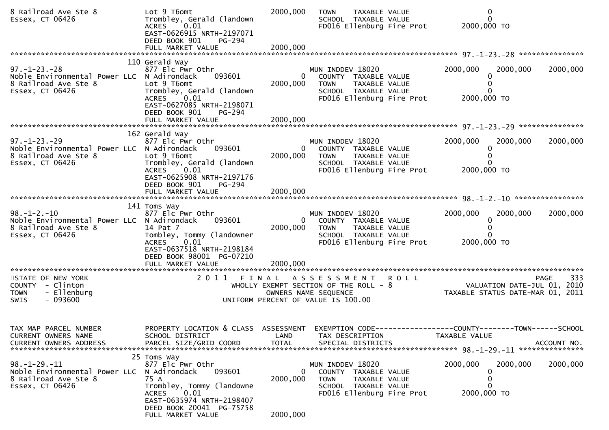| 8 Railroad Ave Ste 8<br>Essex, CT 06426                                                                       | Lot 9 T6omt<br>Trombley, Gerald (landown<br><b>ACRES</b><br>0.01<br>EAST-0626915 NRTH-2197071<br>DEED BOOK 901<br>PG-294                                                                             | 2000,000                         | <b>TAXABLE VALUE</b><br><b>TOWN</b><br>SCHOOL TAXABLE VALUE<br>FD016 Ellenburg Fire Prot                                      | 0<br>$\mathbf{0}$<br>2000,000 TO                                              |                    |
|---------------------------------------------------------------------------------------------------------------|------------------------------------------------------------------------------------------------------------------------------------------------------------------------------------------------------|----------------------------------|-------------------------------------------------------------------------------------------------------------------------------|-------------------------------------------------------------------------------|--------------------|
|                                                                                                               |                                                                                                                                                                                                      |                                  |                                                                                                                               |                                                                               |                    |
| $97. - 1 - 23. - 28$<br>Noble Environmental Power LLC N Adirondack<br>8 Railroad Ave Ste 8<br>Essex, CT 06426 | 110 Gerald Way<br>877 Elc Pwr Othr<br>093601<br>Lot 9 T6omt<br>Trombley, Gerald (landown<br>0.01<br><b>ACRES</b><br>EAST-0627085 NRTH-2198071<br>DEED BOOK 901<br>PG-294                             | $\overline{0}$<br>2000,000       | MUN INDDEV 18020<br>COUNTY TAXABLE VALUE<br>TAXABLE VALUE<br><b>TOWN</b><br>SCHOOL TAXABLE VALUE<br>FD016 Ellenburg Fire Prot | 2000,000<br>2000,000<br>0<br>2000,000 TO                                      | 2000,000           |
|                                                                                                               |                                                                                                                                                                                                      |                                  |                                                                                                                               |                                                                               |                    |
| $97. - 1 - 23. - 29$<br>Noble Environmental Power LLC N Adirondack<br>8 Railroad Ave Ste 8<br>Essex, CT 06426 | 162 Gerald Way<br>877 Elc Pwr Othr<br>093601<br>Lot 9 T6omt<br>Trombley, Gerald (landown<br>0.01<br><b>ACRES</b><br>EAST-0625908 NRTH-2197176                                                        | $\overline{0}$<br>2000,000       | MUN INDDEV 18020<br>COUNTY TAXABLE VALUE<br><b>TOWN</b><br>TAXABLE VALUE<br>SCHOOL TAXABLE VALUE<br>FD016 Ellenburg Fire Prot | 2000,000<br>2000,000<br>0<br>0<br>2000,000 TO                                 | 2000,000           |
|                                                                                                               | DEED BOOK 901<br>PG-294<br>FULL MARKET VALUE                                                                                                                                                         | 2000,000                         |                                                                                                                               |                                                                               |                    |
| $98. - 1 - 2. - 10$<br>Noble Environmental Power LLC N Adirondack<br>8 Railroad Ave Ste 8<br>Essex, CT 06426  | 141 Toms Way<br>877 Elc Pwr Othr<br>093601<br>14 Pat 7<br>Tombley, Tommy (landowner<br><b>ACRES</b><br>0.01<br>EAST-0637518 NRTH-2198184<br>DEED BOOK 98001 PG-07210                                 | $\overline{0}$<br>2000,000       | MUN INDDEV 18020<br>COUNTY TAXABLE VALUE<br>TAXABLE VALUE<br><b>TOWN</b><br>SCHOOL TAXABLE VALUE<br>FD016 Ellenburg Fire Prot | 2000,000<br>2000,000<br>0<br>2000,000 TO                                      | 2000,000           |
|                                                                                                               |                                                                                                                                                                                                      |                                  |                                                                                                                               |                                                                               |                    |
| STATE OF NEW YORK<br>COUNTY - Clinton<br>- Ellenburg<br><b>TOWN</b><br>$-093600$<br>SWIS                      | 2011<br>FINAL                                                                                                                                                                                        |                                  | ASSESSMENT ROLL<br>WHOLLY EXEMPT SECTION OF THE ROLL - 8<br>OWNERS NAME SEQUENCE<br>UNIFORM PERCENT OF VALUE IS 100.00        | VALUATION DATE-JUL 01, 2010<br>TAXABLE STATUS DATE-MAR 01, 2011               | 333<br><b>PAGE</b> |
| TAX MAP PARCEL NUMBER<br>CURRENT OWNERS NAME<br><b>CURRENT OWNERS ADDRESS</b>                                 | PROPERTY LOCATION & CLASS ASSESSMENT<br>SCHOOL DISTRICT<br>PARCEL SIZE/GRID COORD                                                                                                                    | LAND<br><b>TOTAL</b>             | TAX DESCRIPTION<br>SPECIAL DISTRICTS                                                                                          | EXEMPTION CODE-----------------COUNTY-------TOWN------SCHOOL<br>TAXABLE VALUE | ACCOUNT NO.        |
| $98. - 1 - 29. - 11$<br>Noble Environmental Power LLC<br>8 Railroad Ave Ste 8<br>Essex, CT 06426              | 25 Toms Way<br>877 Elc Pwr Othr<br>N Adirondack<br>093601<br>75 A<br>Trombley, Tommy (landowne<br><b>ACRES</b><br>0.01<br>EAST-0635974 NRTH-2198407<br>DEED BOOK 20041 PG-75758<br>FULL MARKET VALUE | $\bf{0}$<br>2000,000<br>2000,000 | MUN INDDEV 18020<br>COUNTY TAXABLE VALUE<br><b>TOWN</b><br>TAXABLE VALUE<br>SCHOOL TAXABLE VALUE<br>FD016 Ellenburg Fire Prot | 2000,000<br>2000,000<br>0<br>0<br>2000,000 TO                                 | 2000,000           |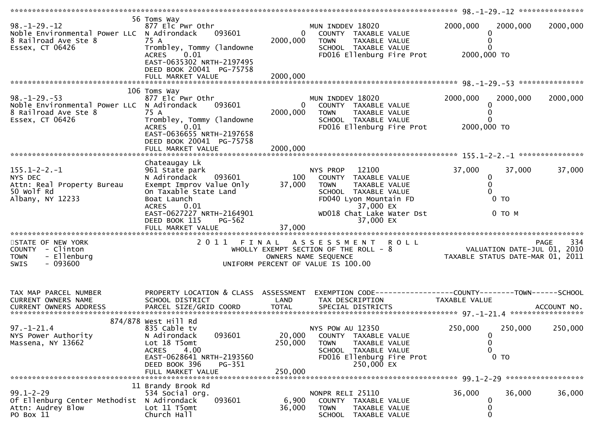| $98. - 1 - 29. - 12$<br>Noble Environmental Power LLC N Adirondack 093601<br>8 Railroad Ave Ste 8<br>Essex, CT 06426 | 56 Toms Way<br>877 Elc Pwr Othr<br>75 A<br>Trombley, Tommy (landowne<br>ACRES 0.01<br>EAST-0635302 NRTH-2197495<br>DEED BOOK 20041 PG-75758                                         | $\overline{0}$<br>2000,000   | MUN INDDEV 18020<br>COUNTY TAXABLE VALUE<br><b>TOWN</b><br>TAXABLE VALUE<br>SCHOOL TAXABLE VALUE<br>FD016 Ellenburg Fire Prot                                                             | 2000,000<br>2000,000<br>0<br>0<br>2000,000 TO        | 2000,000           |
|----------------------------------------------------------------------------------------------------------------------|-------------------------------------------------------------------------------------------------------------------------------------------------------------------------------------|------------------------------|-------------------------------------------------------------------------------------------------------------------------------------------------------------------------------------------|------------------------------------------------------|--------------------|
|                                                                                                                      | 106 Toms Way                                                                                                                                                                        |                              |                                                                                                                                                                                           |                                                      |                    |
| $98. - 1 - 29. - 53$<br>Noble Environmental Power LLC N Adirondack<br>8 Railroad Ave Ste 8<br>Essex, CT 06426        | 877 Elc Pwr Othr<br>093601<br>75 A<br>Trombley, Tommy (landowne<br><b>ACRES</b><br>0.01<br>EAST-0636655 NRTH-2197658                                                                | $\mathbf{0}$<br>2000,000     | MUN INDDEV 18020<br>COUNTY TAXABLE VALUE<br>TAXABLE VALUE<br><b>TOWN</b><br>SCHOOL TAXABLE VALUE<br>FD016 Ellenburg Fire Prot                                                             | 2000,000<br>2000,000<br>0<br>$\Omega$<br>2000,000 TO | 2000,000           |
|                                                                                                                      | DEED BOOK 20041 PG-75758                                                                                                                                                            | 2000,000                     |                                                                                                                                                                                           |                                                      |                    |
|                                                                                                                      |                                                                                                                                                                                     |                              |                                                                                                                                                                                           |                                                      |                    |
| $155.1 - 2 - 2. - 1$<br>NYS DEC<br>Attn: Real Property Bureau<br>50 Wolf Rd<br>Albany, NY 12233                      | Chateaugay Lk<br>961 State park<br>093601<br>N Adirondack<br>Exempt Improv Value Only<br>On Taxable State Land<br>Boat Launch<br>ACRES 0.01                                         | 100<br>37,000                | NYS PROP 12100<br>COUNTY TAXABLE VALUE<br><b>TOWN</b><br>TAXABLE VALUE<br>SCHOOL TAXABLE VALUE<br>FD040 Lyon Mountain FD<br>37,000 EX                                                     | 37,000<br>0<br>$\mathbf{0}$<br>$\Omega$<br>$0$ TO    | 37,000<br>37,000   |
|                                                                                                                      | EAST-0627227 NRTH-2164901<br>DEED BOOK 115<br>PG-562                                                                                                                                | 37,000                       | WD018 Chat Lake Water Dst<br>37,000 EX                                                                                                                                                    | 0 TO M                                               |                    |
| STATE OF NEW YORK<br>COUNTY - Clinton<br>- Ellenburg<br><b>TOWN</b><br>$-093600$<br>SWIS                             |                                                                                                                                                                                     |                              | 2011 FINAL ASSESSMENT ROLL<br>FINAL ASSESSMENT ROLL<br>WHOLLY EXEMPT SECTION OF THE ROLL - 8<br>OWNERS NAME SEQUENCE CONTRESTATUS DATE-MAR 01, 2011<br>UNIFORM PERCENT OF VALUE IS 100.00 |                                                      | -334<br>PAGE       |
| TAX MAP PARCEL NUMBER                                                                                                | PROPERTY LOCATION & CLASS ASSESSMENT                                                                                                                                                |                              | EXEMPTION CODE-----------------COUNTY--------TOWN------SCHOOL                                                                                                                             |                                                      |                    |
| CURRENT OWNERS NAME                                                                                                  | SCHOOL DISTRICT                                                                                                                                                                     | LAND                         | TAX DESCRIPTION                                                                                                                                                                           | TAXABLE VALUE                                        |                    |
|                                                                                                                      |                                                                                                                                                                                     |                              |                                                                                                                                                                                           |                                                      |                    |
| $97. - 1 - 21.4$<br>NYS Power Authority<br>Massena, NY 13662                                                         | 874/878 West Hill Rd<br>835 Cable tv<br>093601<br>N Adirondack<br>Lot 18 T5omt<br><b>ACRES</b><br>4.00<br>EAST-0628641 NRTH-2193560<br>DEED BOOK 396<br>PG-351<br>FULL MARKET VALUE | 20,000<br>250,000<br>250,000 | NYS POW AU 12350<br><b>COUNTY</b><br>TAXABLE VALUE<br><b>TOWN</b><br>TAXABLE VALUE<br>SCHOOL TAXABLE VALUE<br>FD016 Ellenburg Fire Prot<br>250,000 EX                                     | 250,000<br>0<br>0<br>0<br>$0$ TO                     | 250,000<br>250,000 |
|                                                                                                                      | 11 Brandy Brook Rd                                                                                                                                                                  |                              |                                                                                                                                                                                           |                                                      |                    |
| $99.1 - 2 - 29$<br>Of Ellenburg Center Methodist<br>Attn: Audrey Blow<br>PO Box 11                                   | 534 Social org.<br>093601<br>N Adirondack<br>Lot 11 T5omt<br>Church Hall                                                                                                            | 6,900<br>36,000              | NONPR RELI 25110<br>COUNTY TAXABLE VALUE<br><b>TOWN</b><br>TAXABLE VALUE<br>SCHOOL TAXABLE VALUE                                                                                          | 36,000<br>0<br>0<br>0                                | 36,000<br>36,000   |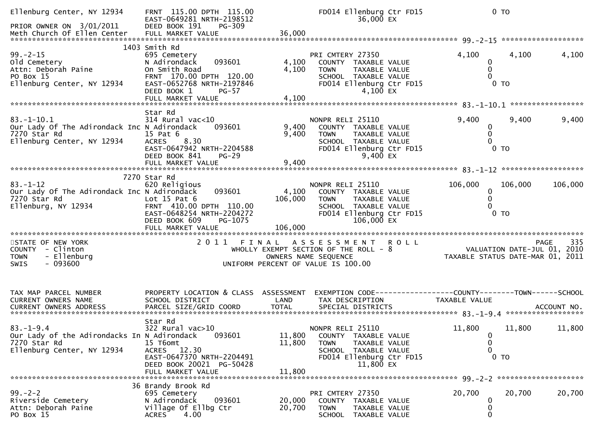| Ellenburg Center, NY 12934<br>PRIOR OWNER ON 3/01/2011                                                       | FRNT 115.00 DPTH 115.00<br>EAST-0649281 NRTH-2198512<br>DEED BOOK 191<br>PG-309                                                                                 |                            | FD014 Ellenburg Ctr FD15<br>36,000 EX                                                                                                       | $0$ TO                                                                 |             |
|--------------------------------------------------------------------------------------------------------------|-----------------------------------------------------------------------------------------------------------------------------------------------------------------|----------------------------|---------------------------------------------------------------------------------------------------------------------------------------------|------------------------------------------------------------------------|-------------|
| $99. - 2 - 15$<br>old Cemetery<br>Attn: Deborah Paine<br>PO Box 15<br>Ellenburg Center, NY 12934             | 1403 Smith Rd<br>695 Cemetery<br>093601<br>N Adirondack<br>On Smith Road<br>FRNT 170.00 DPTH 120.00<br>EAST-0652768 NRTH-2197846<br>DEED BOOK 1<br><b>PG-57</b> | 4,100<br>4,100             | PRI CMTERY 27350<br>COUNTY TAXABLE VALUE<br>TAXABLE VALUE<br>TOWN<br>SCHOOL TAXABLE VALUE<br>FD014 Ellenburg Ctr FD15<br>4,100 EX           | 4,100<br>4,100<br>0<br>0<br>$\Omega$<br>$0$ TO                         | 4,100       |
| $83.-1-10.1$<br>Our Lady Of The Adirondack Inc N Adirondack<br>7270 Star Rd<br>Ellenburg Center, NY 12934    | Star Rd<br>$314$ Rural vac<10<br>093601<br>15 Pat 6<br><b>ACRES</b><br>8.30<br>EAST-0647942 NRTH-2204588<br>DEED BOOK 841<br>$PG-29$<br>FULL MARKET VALUE       | 9,400<br>9,400<br>9,400    | NONPR RELI 25110<br>COUNTY TAXABLE VALUE<br>TAXABLE VALUE<br><b>TOWN</b><br>SCHOOL TAXABLE VALUE<br>FD014 Ellenburg Ctr FD15<br>$9,400$ EX  | 9,400<br>9,400<br>$\mathbf{0}$<br>0<br>0<br>$0$ TO                     | 9,400       |
| $83 - 1 - 12$<br>Our Lady Of The Adirondack Inc N Adirondack<br>7270 Star Rd<br>Ellenburg, NY 12934          | 7270 Star Rd<br>620 Religious<br>093601<br>Lot $15$ Pat $6$<br>FRNT 410.00 DPTH 110.00<br>EAST-0648254 NRTH-2204272<br>PG-1075<br>DEED BOOK 609                 | 4,100<br>106,000           | NONPR RELI 25110<br>COUNTY TAXABLE VALUE<br>TAXABLE VALUE<br><b>TOWN</b><br>SCHOOL TAXABLE VALUE<br>FD014 Ellenburg Ctr FD15<br>106,000 EX  | 106,000<br>106,000<br>0<br>0<br>0<br>$0$ TO                            | 106,000     |
| STATE OF NEW YORK<br>COUNTY - Clinton<br>- Ellenburg<br><b>TOWN</b><br>$-093600$<br>SWIS                     |                                                                                                                                                                 |                            | 2011 FINAL ASSESSMENT<br><b>ROLL</b><br>WHOLLY EXEMPT SECTION OF THE ROLL - 8<br>OWNERS NAME SEQUENCE<br>UNIFORM PERCENT OF VALUE IS 100.00 | ss><br>VALUATION DATE-JUL 01, 2010<br>TAXABLE STATUS DATE-MAR 01, 2011 | 335<br>PAGE |
| TAX MAP PARCEL NUMBER<br>CURRENT OWNERS NAME                                                                 | PROPERTY LOCATION & CLASS ASSESSMENT<br>SCHOOL DISTRICT                                                                                                         | LAND                       | TAX DESCRIPTION                                                                                                                             | TAXABLE VALUE                                                          |             |
| $83. - 1 - 9.4$<br>Our Lady of the Adirondacks In N Adirondack<br>7270 Star Rd<br>Ellenburg Center, NY 12934 | Star Rd<br>322 Rural vac>10<br>093601<br>15 T6omt<br>ACRES 12.30<br>EAST-0647370 NRTH-2204491<br>DEED BOOK 20021 PG-50428<br>FULL MARKET VALUE                  | 11,800<br>11,800<br>11,800 | NONPR RELI 25110<br>COUNTY TAXABLE VALUE<br>TAXABLE VALUE<br><b>TOWN</b><br>SCHOOL TAXABLE VALUE<br>FD014 Ellenburg Ctr FD15<br>11,800 EX   | 11,800<br>11,800<br>0<br>0<br>0<br>$0$ TO                              | 11,800      |
| $99. - 2 - 2$<br>Riverside Cemetery<br>Attn: Deborah Paine<br>PO Box 15                                      | 36 Brandy Brook Rd<br>695 Cemetery<br>N Adirondack<br>093601<br>Village Of Ellbg Ctr<br>4.00<br>ACRES                                                           | 20,000<br>20,700           | PRI CMTERY 27350<br>COUNTY TAXABLE VALUE<br>TOWN<br>TAXABLE VALUE<br>SCHOOL TAXABLE VALUE                                                   | 20,700<br>20,700<br>0<br>0<br>0                                        | 20,700      |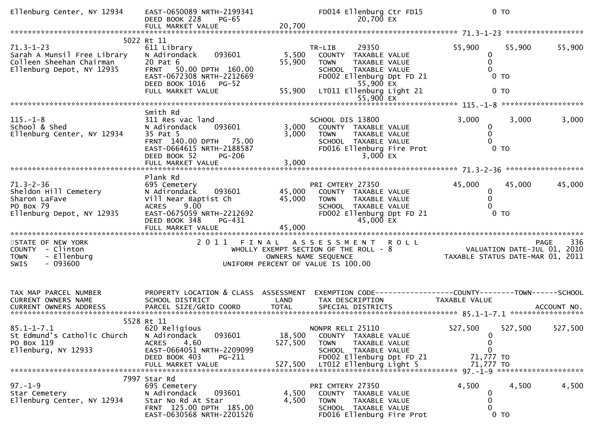| Ellenburg Center, NY 12934                                                                              | EAST-0650089 NRTH-2199341<br>DEED BOOK 228<br>PG-65<br>FULL MARKET VALUE                                                                                                                | 20,700                       | FD014 Ellenburg Ctr FD15<br>20,700 EX                                                                                                                                                 |                                                  | 0 <sub>T</sub>                                                                        |
|---------------------------------------------------------------------------------------------------------|-----------------------------------------------------------------------------------------------------------------------------------------------------------------------------------------|------------------------------|---------------------------------------------------------------------------------------------------------------------------------------------------------------------------------------|--------------------------------------------------|---------------------------------------------------------------------------------------|
|                                                                                                         |                                                                                                                                                                                         |                              |                                                                                                                                                                                       |                                                  |                                                                                       |
| $71.3 - 1 - 23$<br>Sarah A Munsil Free Library<br>Colleen Sheehan Chairman<br>Ellenburg Depot, NY 12935 | 5022 Rt 11<br>611 Library<br>N Adirondack<br>093601<br>20 Pat 6<br>50.00 DPTH 160.00<br><b>FRNT</b><br>EAST-0672308 NRTH-2212669<br>DEED BOOK 1016<br><b>PG-52</b><br>FULL MARKET VALUE | 5,500<br>55,900<br>55,900    | 29350<br>TR-LIB<br>COUNTY<br>TAXABLE VALUE<br>TAXABLE VALUE<br><b>TOWN</b><br>SCHOOL TAXABLE VALUE<br>FD002 Ellenburg Dpt FD 21<br>55,900 EX<br>LT011 Ellenburg Light 21<br>55,900 EX | 55,900<br>0<br>0<br>0                            | 55,900<br>55,900<br>$0$ TO<br>0 <sub>T</sub>                                          |
|                                                                                                         |                                                                                                                                                                                         |                              |                                                                                                                                                                                       |                                                  |                                                                                       |
| $115. - 1 - 8$<br>School & Shed<br>Ellenburg Center, NY 12934                                           | Smith Rd<br>311 Res vac land<br>093601<br>N Adirondack<br>35 Pat 5<br>FRNT 140.00 DPTH 75.00<br>EAST-0664615 NRTH-2188587<br>DEED BOOK 52<br><b>PG-206</b><br>FULL MARKET VALUE         | 3,000<br>3,000<br>3,000      | SCHOOL DIS 13800<br>COUNTY TAXABLE VALUE<br>TAXABLE VALUE<br>TOWN<br>SCHOOL TAXABLE VALUE<br>FD016 Ellenburg Fire Prot<br>$3,000$ EX                                                  | 3,000<br>$\mathbf 0$<br>0<br>0                   | 3,000<br>3,000<br>$0$ TO                                                              |
|                                                                                                         |                                                                                                                                                                                         |                              |                                                                                                                                                                                       |                                                  |                                                                                       |
| $71.3 - 2 - 36$<br>Sheldon Hill Cemetery<br>Sharon LaFave<br>PO Box 79<br>Ellenburg Depot, NY 12935     | Plank Rd<br>695 Cemetery<br>N Adirondack<br>093601<br>Vill Near Baptist Ch<br>9.00<br><b>ACRES</b><br>EAST-0675059 NRTH-2212692<br>DEED BOOK 348<br>PG-431                              | 45,000<br>45,000             | PRI CMTERY 27350<br>COUNTY TAXABLE VALUE<br>TAXABLE VALUE<br><b>TOWN</b><br>SCHOOL TAXABLE VALUE<br>FD002 Ellenburg Dpt FD 21<br>45,000 EX                                            | 45,000<br>0<br>$\mathbf{0}$<br>$\Omega$          | 45,000<br>45,000<br>0 <sub>T</sub>                                                    |
|                                                                                                         |                                                                                                                                                                                         |                              |                                                                                                                                                                                       |                                                  |                                                                                       |
| STATE OF NEW YORK<br>COUNTY - Clinton<br>- Ellenburg<br><b>TOWN</b><br>$-093600$<br><b>SWIS</b>         |                                                                                                                                                                                         |                              | 2011 FINAL ASSESSMENT<br><b>ROLL</b><br>WHOLLY EXEMPT SECTION OF THE ROLL - 8<br>OWNERS NAME SEQUENCE<br>UNIFORM PERCENT OF VALUE IS 100.00                                           |                                                  | 336<br><b>PAGE</b><br>VALUATION DATE-JUL 01, 2010<br>TAXABLE STATUS DATE-MAR 01, 2011 |
| TAX MAP PARCEL NUMBER<br>CURRENT OWNERS NAME                                                            | PROPERTY LOCATION & CLASS ASSESSMENT<br>SCHOOL DISTRICT                                                                                                                                 | LAND                         | TAX DESCRIPTION                                                                                                                                                                       | TAXABLE VALUE                                    |                                                                                       |
|                                                                                                         |                                                                                                                                                                                         |                              |                                                                                                                                                                                       |                                                  |                                                                                       |
| $85.1 - 1 - 7.1$<br>St Edmund's Catholic Church<br>PO Box 119<br>Ellenburg, NY 12933                    | 5528 Rt 11<br>620 Religious<br>093601<br>N Adirondack<br><b>ACRES</b><br>4.60<br>EAST-0664051 NRTH-2209099<br>DEED BOOK 403<br>PG-211<br>FULL MARKET VALUE                              | 18,500<br>527,500<br>527,500 | NONPR RELI 25110<br>COUNTY TAXABLE VALUE<br><b>TOWN</b><br>TAXABLE VALUE<br>SCHOOL TAXABLE VALUE<br>FD002 Ellenburg Dpt FD 21<br>LT012 Ellenburg Light 5                              | 527,500<br>0<br>0<br>0<br>71,777 TO<br>71,777 TO | 527,500<br>527,500                                                                    |
| $97. - 1 - 9$<br>Star Cemetery<br>Ellenburg Center, NY 12934                                            | 7997 Star Rd<br>695 Cemetery<br>093601<br>N Adirondack<br>Star No Rd At Star<br>FRNT 125.00 DPTH 185.00<br>EAST-0630568 NRTH-2201526                                                    | 4,500<br>4,500               | PRI CMTERY 27350<br>COUNTY TAXABLE VALUE<br><b>TOWN</b><br>TAXABLE VALUE<br>SCHOOL TAXABLE VALUE<br>FD016 Ellenburg Fire Prot                                                         | 4,500<br>0<br>0<br>0                             | 4,500<br>4,500<br>$0$ TO                                                              |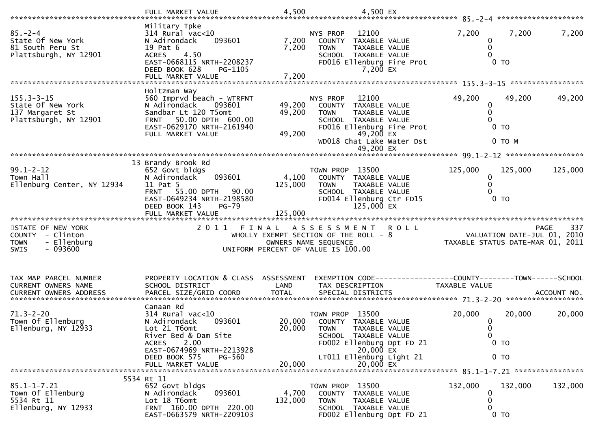| *************************                                                                          | FULL MARKET VALUE                                                                                                                                                                                                | 4,500                      | 4,500 EX                                                                                                                                                                                        |                                                                                      |     |
|----------------------------------------------------------------------------------------------------|------------------------------------------------------------------------------------------------------------------------------------------------------------------------------------------------------------------|----------------------------|-------------------------------------------------------------------------------------------------------------------------------------------------------------------------------------------------|--------------------------------------------------------------------------------------|-----|
| $85. - 2 - 4$<br>State Of New York<br>81 South Peru St<br>Plattsburgh, NY 12901                    | Military Tpke<br>314 Rural vac<10<br>093601<br>N Adirondack<br>19 Pat 6<br><b>ACRES</b><br>4.50<br>EAST-0668115 NRTH-2208237<br>DEED BOOK 628<br>PG-1105                                                         | 7,200<br>7,200             | NYS PROP<br>12100<br><b>COUNTY</b><br>TAXABLE VALUE<br>TAXABLE VALUE<br><b>TOWN</b><br>SCHOOL TAXABLE VALUE<br>FD016 Ellenburg Fire Prot<br>7,200 EX                                            | 7,200<br>7,200<br>7,200<br>0<br>0<br>0 <sub>T</sub>                                  |     |
|                                                                                                    |                                                                                                                                                                                                                  |                            |                                                                                                                                                                                                 |                                                                                      |     |
| $155.3 - 3 - 15$<br>State Of New York<br>137 Margaret St<br>Plattsburgh, NY 12901                  | Holtzman Way<br>560 Imprvd beach - WTRFNT<br>093601<br>N Adirondack<br>Sandbar Lt 120 T5omt<br>50.00 DPTH 600.00<br><b>FRNT</b><br>EAST-0629170 NRTH-2161940<br>FULL MARKET VALUE                                | 49,200<br>49,200<br>49,200 | 12100<br>NYS PROP<br><b>COUNTY</b><br>TAXABLE VALUE<br><b>TOWN</b><br>TAXABLE VALUE<br>SCHOOL TAXABLE VALUE<br>FD016 Ellenburg Fire Prot<br>49,200 EX<br>WD018 Chat Lake Water Dst              | 49,200<br>49,200<br>49,200<br>0<br>0<br>0<br>$0$ TO<br>0 TO M                        |     |
|                                                                                                    |                                                                                                                                                                                                                  |                            | 49,200 EX                                                                                                                                                                                       |                                                                                      |     |
| $99.1 - 2 - 12$<br>Town Hall                                                                       | 13 Brandy Brook Rd<br>652 Govt bldgs<br>N Adirondack<br>093601                                                                                                                                                   | 4,100                      | TOWN PROP 13500<br>COUNTY<br>TAXABLE VALUE                                                                                                                                                      | 125,000<br>125,000<br>125,000<br>0                                                   |     |
| Ellenburg Center, NY 12934                                                                         | 11 Pat 5<br>55.00 DPTH<br><b>FRNT</b><br>90.00<br>EAST-0649234 NRTH-2198580<br>DEED BOOK 143<br><b>PG-79</b><br>FULL MARKET VALUE                                                                                | 125,000<br>125,000         | <b>TOWN</b><br>TAXABLE VALUE<br>SCHOOL TAXABLE VALUE<br>FD014 Ellenburg Ctr FD15<br>125,000 EX                                                                                                  | 0<br>0<br>0 <sub>T</sub>                                                             |     |
| STATE OF NEW YORK<br><b>COUNTY</b><br>- Clinton<br>- Ellenburg<br><b>TOWN</b><br>$-093600$<br>SWIS | 2011<br>FINAL                                                                                                                                                                                                    |                            | A S S E S S M E N T<br><b>ROLL</b><br>WHOLLY EXEMPT SECTION OF THE ROLL - 8<br>OWNERS NAME SEQUENCE<br>UNIFORM PERCENT OF VALUE IS 100.00                                                       | <b>PAGE</b><br>VALUATION DATE-JUL 01, 2010<br>TAXABLE STATUS DATE-MAR 01, 2011       | 337 |
| TAX MAP PARCEL NUMBER<br><b>CURRENT OWNERS NAME</b>                                                | PROPERTY LOCATION & CLASS<br>SCHOOL DISTRICT                                                                                                                                                                     | ASSESSMENT<br>LAND         | TAX DESCRIPTION                                                                                                                                                                                 | EXEMPTION CODE-----------------COUNTY-------TOWN------SCHOOL<br><b>TAXABLE VALUE</b> |     |
| $71.3 - 2 - 20$<br>Town Of Ellenburg<br>Ellenburg, NY 12933                                        | Canaan Rd<br>$314$ Rural vac< $10$<br>093601<br>N Adirondack<br>Lot 21 T6omt<br>River Bed & Dam Site<br>2.00<br><b>ACRES</b><br>EAST-0674969 NRTH-2213928<br>DEED BOOK 575<br><b>PG-560</b><br>FULL MARKET VALUE | 20,000<br>20,000<br>20,000 | 13500<br>TOWN PROP<br>TAXABLE VALUE<br><b>COUNTY</b><br><b>TOWN</b><br>TAXABLE VALUE<br>SCHOOL TAXABLE VALUE<br>FD002 Ellenburg Dpt FD 21<br>20,000 EX<br>LT011 Ellenburg Light 21<br>20,000 EX | 20,000<br>20,000<br>20,000<br>$\bf{0}$<br>0<br>0<br>$0$ TO<br>0 <sub>T</sub>         |     |
| $85.1 - 1 - 7.21$<br>Town Of Ellenburg<br>5534 Rt 11<br>Ellenburg, NY 12933                        | 5534 Rt 11<br>652 Govt bldgs<br>093601<br>N Adirondack<br>Lot 18 T6omt<br>FRNT 160.00 DPTH 220.00<br>EAST-0663579 NRTH-2209103                                                                                   | 4,700<br>132,000           | TOWN PROP 13500<br>COUNTY TAXABLE VALUE<br>TAXABLE VALUE<br><b>TOWN</b><br>SCHOOL TAXABLE VALUE<br>FD002 Ellenburg Dpt FD 21                                                                    | 132,000<br>132,000<br>132,000<br>0<br>0<br>0<br>0 <sub>T</sub>                       |     |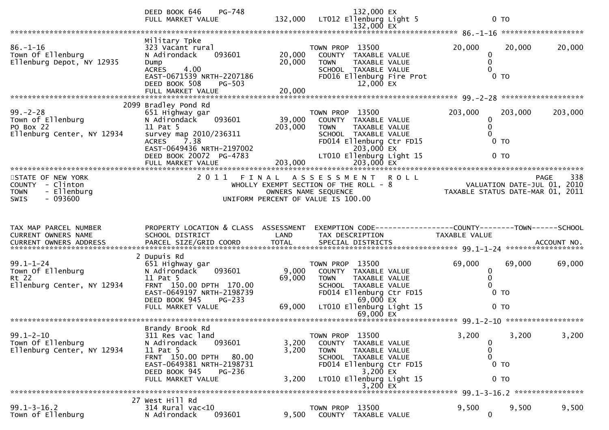|                                                                                          | PG-748<br>DEED BOOK 646<br>FULL MARKET VALUE                                                                                                                                        |                            | 132,000 EX<br>132,000 LT012 Ellenburg Light 5<br>132,000 EX                                                                                                                   |             |                                                                             | 0 <sub>T</sub>                                                |                    |
|------------------------------------------------------------------------------------------|-------------------------------------------------------------------------------------------------------------------------------------------------------------------------------------|----------------------------|-------------------------------------------------------------------------------------------------------------------------------------------------------------------------------|-------------|-----------------------------------------------------------------------------|---------------------------------------------------------------|--------------------|
|                                                                                          |                                                                                                                                                                                     |                            |                                                                                                                                                                               |             |                                                                             |                                                               |                    |
| $86. - 1 - 16$<br>Town Of Ellenburg<br>Ellenburg Depot, NY 12935                         | Military Tpke<br>323 Vacant rural<br>093601<br>N Adirondack<br>Dump<br>4.00<br><b>ACRES</b><br>EAST-0671539 NRTH-2207186<br>DEED BOOK 508<br><b>PG-503</b><br>FULL MARKET VALUE     | 20,000<br>20,000<br>20,000 | TOWN PROP 13500<br>COUNTY TAXABLE VALUE<br>TAXABLE VALUE<br><b>TOWN</b><br>SCHOOL TAXABLE VALUE<br>FD016 Ellenburg Fire Prot<br>12,000 EX                                     |             | 20,000                                                                      | 20,000<br>0<br>0<br>$\Omega$<br>$0$ TO                        | 20,000             |
|                                                                                          | 2099 Bradley Pond Rd                                                                                                                                                                |                            |                                                                                                                                                                               |             |                                                                             |                                                               |                    |
| $99. - 2 - 28$<br>Town of Ellenburg<br>PO Box 22<br>Ellenburg Center, NY 12934           | 651 Highway gar<br>093601<br>N Adirondack<br>11 Pat 5<br>survey map 2010/236311<br><b>ACRES</b><br>7.38<br>EAST-0649436 NRTH-2197002<br>DEED BOOK 20072 PG-4783                     | 39,000<br>203,000          | TOWN PROP 13500<br>COUNTY TAXABLE VALUE<br><b>TOWN</b><br>TAXABLE VALUE<br>SCHOOL TAXABLE VALUE<br>FD014 Ellenburg Ctr FD15<br>203,000 EX<br>LT010 Ellenburg Light 15         |             | 203,000                                                                     | 203,000<br>0<br>$\mathbf{0}$<br>0<br>$0$ TO<br>0 <sub>T</sub> | 203,000            |
|                                                                                          |                                                                                                                                                                                     |                            |                                                                                                                                                                               |             |                                                                             |                                                               |                    |
| STATE OF NEW YORK<br>COUNTY - Clinton<br>- Ellenburg<br><b>TOWN</b><br>$-093600$<br>SWIS | 2011 FINAL                                                                                                                                                                          |                            | ASSESSMENT<br>WHOLLY EXEMPT SECTION OF THE ROLL - $8$<br>OWNERS NAME SEQUENCE<br>UNIFORM PERCENT OF VALUE IS 100.00                                                           | <b>ROLL</b> | 938 PAGE<br>VALUATION DATE-JUL 01, 2010<br>TAXABLE STATUS DATE-MAR 01, 2011 |                                                               | 338<br><b>PAGE</b> |
|                                                                                          |                                                                                                                                                                                     |                            |                                                                                                                                                                               |             |                                                                             |                                                               |                    |
| TAX MAP PARCEL NUMBER                                                                    | PROPERTY LOCATION & CLASS ASSESSMENT                                                                                                                                                |                            | EXEMPTION CODE-----------------COUNTY-------TOWN------SCHOOL                                                                                                                  |             |                                                                             |                                                               |                    |
| CURRENT OWNERS NAME<br>CURRENT OWNERS ADDRESS                                            | SCHOOL DISTRICT                                                                                                                                                                     | LAND                       | TAX DESCRIPTION                                                                                                                                                               |             | TAXABLE VALUE                                                               |                                                               |                    |
|                                                                                          |                                                                                                                                                                                     |                            |                                                                                                                                                                               |             |                                                                             |                                                               |                    |
| $99.1 - 1 - 24$<br>Town Of Ellenburg<br>Rt 22<br>Ellenburg Center, NY 12934              | 2 Dupuis Rd<br>651 Highway gar<br>N Adirondack<br>093601<br>11 Pat 5<br>FRNT 150.00 DPTH 170.00<br>EAST-0649197 NRTH-2198739<br>DEED BOOK 945<br>PG-233                             | 9,000<br>69,000            | TOWN PROP 13500<br>COUNTY TAXABLE VALUE<br>TAXABLE VALUE<br><b>TOWN</b><br>SCHOOL TAXABLE VALUE<br>FD014 Ellenburg Ctr FD15<br>69,000 EX                                      |             | 69,000                                                                      | 69,000<br>0<br>0<br>0<br>$0$ TO                               | 69,000             |
|                                                                                          | FULL MARKET VALUE                                                                                                                                                                   | 69,000                     | LT010 Ellenburg Light 15<br>69,000 EX                                                                                                                                         |             |                                                                             | $0$ TO                                                        |                    |
|                                                                                          |                                                                                                                                                                                     |                            |                                                                                                                                                                               |             |                                                                             |                                                               |                    |
| $99.1 - 2 - 10$<br>Town Of Ellenburg<br>Ellenburg Center, NY 12934                       | Brandy Brook Rd<br>311 Res vac land<br>093601<br>N Adirondack<br>11 Pat 5<br>FRNT 150.00 DPTH<br>80.00<br>EAST-0649381 NRTH-2198731<br>DEED BOOK 945<br>PG-236<br>FULL MARKET VALUE | 3,200<br>3,200<br>3,200    | TOWN PROP 13500<br><b>COUNTY</b><br>TAXABLE VALUE<br><b>TOWN</b><br>TAXABLE VALUE<br>SCHOOL TAXABLE VALUE<br>FD014 Ellenburg Ctr FD15<br>3,200 EX<br>LT010 Ellenburg Light 15 |             | 3,200                                                                       | 3,200<br>0<br>0<br>0<br>$0$ TO<br>0 <sub>T</sub>              | 3,200              |
|                                                                                          | 27 West Hill Rd                                                                                                                                                                     |                            | $3,200$ EX                                                                                                                                                                    |             |                                                                             |                                                               |                    |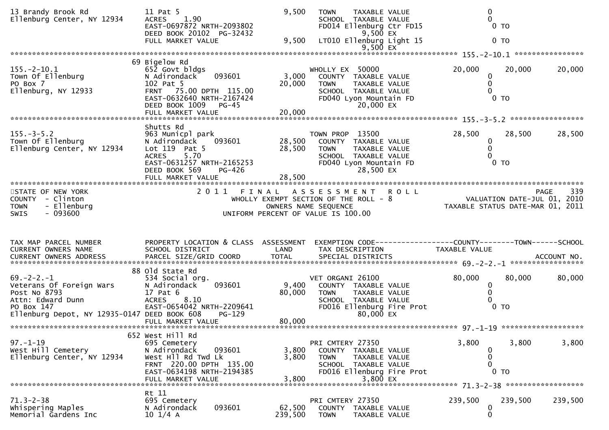| 13 Brandy Brook Rd<br>Ellenburg Center, NY 12934                                                                                                 | 11 Pat 5<br><b>ACRES</b><br>1.90<br>EAST-0697872 NRTH-2093802<br>DEED BOOK 20102 PG-32432<br>FULL MARKET VALUE                                               | 9,500<br>9,500            | TOWN<br>TAXABLE VALUE<br>SCHOOL TAXABLE VALUE<br>FD014 Ellenburg Ctr FD15<br>9,500 EX<br>LT010 Ellenburg Light 15                          | 0<br>0<br>0 <sub>T</sub><br>0 <sub>T</sub>                                       |             |
|--------------------------------------------------------------------------------------------------------------------------------------------------|--------------------------------------------------------------------------------------------------------------------------------------------------------------|---------------------------|--------------------------------------------------------------------------------------------------------------------------------------------|----------------------------------------------------------------------------------|-------------|
|                                                                                                                                                  |                                                                                                                                                              |                           | $9,500$ EX                                                                                                                                 |                                                                                  |             |
| $155. - 2 - 10.1$<br>Town Of Ellenburg<br>PO Box 7<br>Ellenburg, NY 12933                                                                        | 69 Bigelow Rd<br>652 Govt bldgs<br>093601<br>N Adirondack<br>102 Pat 5<br>FRNT 75.00 DPTH 115.00<br>EAST-0632640 NRTH-2167424<br>DEED BOOK 1009 PG-45        | 3,000<br>20,000           | WHOLLY EX 50000<br>COUNTY TAXABLE VALUE<br><b>TOWN</b><br>TAXABLE VALUE<br>SCHOOL TAXABLE VALUE<br>FD040 Lyon Mountain FD<br>20,000 EX     | 20,000<br>20,000<br>0<br>0<br>0<br>$0$ TO                                        | 20,000      |
|                                                                                                                                                  | FULL MARKET VALUE                                                                                                                                            | 20,000                    |                                                                                                                                            |                                                                                  |             |
| $155. - 3 - 5.2$<br>Town Of Ellenburg<br>Ellenburg Center, NY 12934                                                                              | Shutts Rd<br>963 Municpl park<br>N Adirondack<br>093601<br>Lot 119 Pat 5<br>5.70<br><b>ACRES</b><br>EAST-0631257 NRTH-2165253<br>PG-426<br>DEED BOOK 569     | 28,500<br>28,500          | TOWN PROP 13500<br>COUNTY TAXABLE VALUE<br><b>TOWN</b><br>TAXABLE VALUE<br>SCHOOL TAXABLE VALUE<br>FD040 Lyon Mountain FD<br>28,500 EX     | 28,500<br>28,500<br>0<br>0<br>0<br>0 <sub>T</sub>                                | 28,500      |
|                                                                                                                                                  |                                                                                                                                                              |                           |                                                                                                                                            |                                                                                  |             |
| STATE OF NEW YORK<br>COUNTY - Clinton<br>- Ellenburg<br><b>TOWN</b><br>$-093600$<br><b>SWIS</b>                                                  |                                                                                                                                                              |                           | 2011 FINAL ASSESSMENT ROLL<br>WHOLLY EXEMPT SECTION OF THE ROLL - 8<br>OWNERS NAME SEQUENCE<br>UNIFORM PERCENT OF VALUE IS 100.00          | PAGE 339<br>2010 VALUATION DATE-JUL 01, 2010<br>TAXABLE STATUS DATE-MAR 01, 2011 | 339<br>PAGE |
| TAX MAP PARCEL NUMBER<br>CURRENT OWNERS NAME                                                                                                     | SCHOOL DISTRICT                                                                                                                                              | LAND                      | PROPERTY LOCATION & CLASS ASSESSMENT EXEMPTION CODE----------------COUNTY-------TOWN------SCHOOL<br>TAX DESCRIPTION                        | TAXABLE VALUE                                                                    |             |
| $69. -2 - 2. - 1$<br>Veterans Of Foreign Wars<br>Post No 8793<br>Attn: Edward Dunn<br>PO Box 147<br>Ellenburg Depot, NY 12935-0147 DEED BOOK 608 | 88 old State Rd<br>534 Social org.<br>N Adirondack<br>093601<br>17 Pat 6<br><b>ACRES</b><br>8.10<br>EAST-0654042 NRTH-2209641<br>PG-129<br>FULL MARKET VALUE | 9,400<br>80,000<br>80,000 | VET ORGANI 26100<br>COUNTY TAXABLE VALUE<br><b>TOWN</b><br>TAXABLE VALUE<br>SCHOOL TAXABLE VALUE<br>FD016 Ellenburg Fire Prot<br>80,000 EX | 80,000<br>80,000<br>0<br>0<br>0<br>$0$ TO                                        | 80,000      |
|                                                                                                                                                  | 652 West Hill Rd                                                                                                                                             |                           |                                                                                                                                            |                                                                                  |             |
| $97. - 1 - 19$<br>West Hill Cemetery<br>Ellenburg Center, NY 12934                                                                               | 695 Cemetery<br>093601<br>N Adirondack<br>West Hll Rd Twd Lk<br>FRNT 220.00 DPTH 135.00<br>EAST-0634198 NRTH-2194385<br>FULL MARKET VALUE                    | 3,800<br>3,800<br>3,800   | PRI CMTERY 27350<br>COUNTY TAXABLE VALUE<br><b>TOWN</b><br>TAXABLE VALUE<br>SCHOOL TAXABLE VALUE<br>FD016 Ellenburg Fire Prot<br>3,800 EX  | 3,800<br>3,800<br>0<br>0<br>0<br>$0$ TO                                          | 3,800       |
|                                                                                                                                                  | Rt 11                                                                                                                                                        |                           |                                                                                                                                            |                                                                                  |             |
| $71.3 - 2 - 38$<br>Whispering Maples<br>Memorial Gardens Inc                                                                                     | 695 Cemetery<br>N Adirondack<br>093601<br>$10 \frac{1}{4}$ A                                                                                                 | 62,500<br>239,500         | PRI CMTERY 27350<br><b>COUNTY</b><br>TAXABLE VALUE<br><b>TOWN</b><br>TAXABLE VALUE                                                         | 239,500<br>239,500<br>0<br>0                                                     | 239,500     |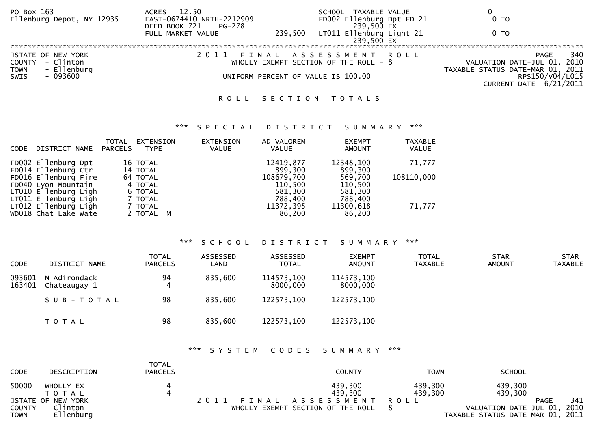| PO Box 163<br>Ellenburg Depot, NY 12935                                       | 12.50<br><b>ACRES</b><br>EAST-0674410 NRTH-2212909<br>DEED BOOK 721<br>PG-278 |         | TAXABLE VALUE<br>SCHOOL<br>FD002 Ellenburg Dpt FD 21<br>239,500 EX | 0 TO                                                                           |
|-------------------------------------------------------------------------------|-------------------------------------------------------------------------------|---------|--------------------------------------------------------------------|--------------------------------------------------------------------------------|
|                                                                               | FULL MARKET VALUE                                                             | 239,500 | LT011 Ellenburg Light 21<br>239,500 EX                             | 0 TO                                                                           |
|                                                                               |                                                                               |         |                                                                    |                                                                                |
| STATE OF NEW YORK<br>- Clinton<br><b>COUNTY</b><br>- Ellenburg<br><b>TOWN</b> |                                                                               |         | FINAL ASSESSMENT ROLL<br>WHOLLY EXEMPT SECTION OF THE ROLL - $8$   | 340<br>PAGE<br>VALUATION DATE-JUL 01, 2010<br>TAXABLE STATUS DATE-MAR 01, 2011 |
| - 093600<br><b>SWIS</b>                                                       |                                                                               |         | UNIFORM PERCENT OF VALUE IS 100.00                                 | RPS150/V04/L015<br>CURRENT DATE 6/21/2011                                      |
|                                                                               |                                                                               |         | ROLL SECTION TOTALS                                                |                                                                                |

### \*\*\* S P E C I A L D I S T R I C T S U M M A R Y \*\*\*

| DISTRICT NAME<br><b>CODE</b>                                                                | TOTAL<br>PARCELS | EXTENSION<br><b>TYPE</b>                  | <b>EXTENSION</b><br><b>VALUE</b> | AD VALOREM<br>VALUE                         | <b>EXEMPT</b><br>AMOUNT                  | <b>TAXABLE</b><br>VALUE |
|---------------------------------------------------------------------------------------------|------------------|-------------------------------------------|----------------------------------|---------------------------------------------|------------------------------------------|-------------------------|
| FD002 Ellenburg Dpt<br>FD014 Ellenburg Ctr                                                  |                  | 16 TOTAL<br>14 TOTAL                      |                                  | 12419,877<br>899.300                        | 12348,100<br>899,300                     | 71,777                  |
| FD016 Ellenburg Fire<br>FD040 Lyon Mountain<br>LT010 Ellenburg Ligh<br>LT011 Ellenburg Ligh |                  | 64 TOTAL<br>4 TOTAL<br>6 TOTAL<br>7 TOTAL |                                  | 108679,700<br>110,500<br>581,300<br>788,400 | 569,700<br>110,500<br>581,300<br>788,400 | 108110,000              |
| LT012 Ellenburg Ligh<br>WD018 Chat Lake Wate                                                |                  | 7 TOTAL<br>2 TOTAL M                      |                                  | 11372,395<br>86,200                         | 11300,618<br>86,200                      | 71,777                  |

#### \*\*\* S C H O O L D I S T R I C T S U M M A R Y \*\*\*

| <b>CODE</b>      | DISTRICT NAME                | <b>TOTAL</b><br><b>PARCELS</b> | ASSESSED<br>LAND | ASSESSED<br><b>TOTAL</b> | <b>EXEMPT</b><br><b>AMOUNT</b> | <b>TOTAL</b><br><b>TAXABLE</b> | <b>STAR</b><br><b>AMOUNT</b> | <b>STAR</b><br><b>TAXABLE</b> |
|------------------|------------------------------|--------------------------------|------------------|--------------------------|--------------------------------|--------------------------------|------------------------------|-------------------------------|
| 093601<br>163401 | N Adirondack<br>Chateaugay 1 | 94<br>4                        | 835,600          | 114573,100<br>8000,000   | 114573,100<br>8000,000         |                                |                              |                               |
|                  | SUB-TOTAL                    | 98                             | 835,600          | 122573,100               | 122573,100                     |                                |                              |                               |
|                  | T O T A L                    | 98                             | 835,600          | 122573,100               | 122573,100                     |                                |                              |                               |

### \*\*\* S Y S T E M C O D E S S U M M A R Y \*\*\*

| <b>CODE</b>           | DESCRIPTION                                   | TOTAL<br><b>PARCELS</b> | <b>COUNTY</b>                                                         | <b>TOWN</b>        | <b>SCHOOL</b>                                                   |             |     |
|-----------------------|-----------------------------------------------|-------------------------|-----------------------------------------------------------------------|--------------------|-----------------------------------------------------------------|-------------|-----|
| 50000                 | WHOLLY EX<br>T O T A L                        | 4                       | 439,300<br>439.300                                                    | 439,300<br>439,300 | 439,300<br>439,300                                              |             |     |
| COUNTY<br><b>TOWN</b> | STATE OF NEW YORK<br>- Clinton<br>- Ellenburg |                         | 2011 FINAL ASSESSMENT ROLL<br>WHOLLY EXEMPT SECTION OF THE ROLL - $8$ |                    | VALUATION DATE-JUL 01, 2010<br>TAXABLE STATUS DATE-MAR 01, 2011 | <b>PAGE</b> | 341 |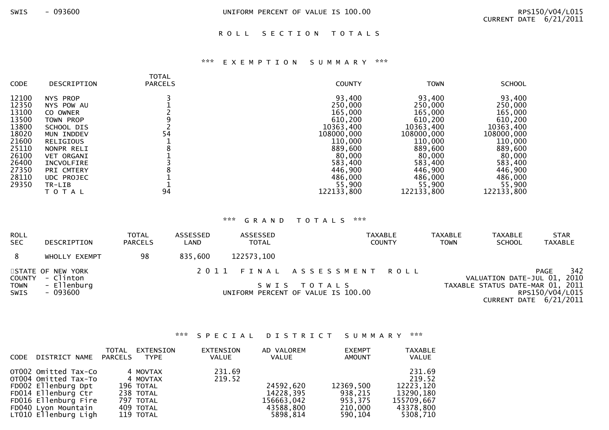#### ROLL SECTION TOTALS

# \*\*\* E X E M P T I O N S U M M A R Y \*\*\*

| <b>CODE</b><br>DESCRIPTION                                                                                                                                                                                                                                                                                                      | <b>TOTAL</b><br><b>PARCELS</b> | <b>COUNTY</b>                                                                                                                                               | <b>TOWN</b>                                                                                                                                                 | <b>SCHOOL</b>                                                                                                                                               |
|---------------------------------------------------------------------------------------------------------------------------------------------------------------------------------------------------------------------------------------------------------------------------------------------------------------------------------|--------------------------------|-------------------------------------------------------------------------------------------------------------------------------------------------------------|-------------------------------------------------------------------------------------------------------------------------------------------------------------|-------------------------------------------------------------------------------------------------------------------------------------------------------------|
| 12100<br>NYS PROP<br>12350<br>NYS POW AU<br>13100<br>CO OWNER<br>13500<br>TOWN PROP<br>13800<br>SCHOOL DIS<br>18020<br>MUN INDDEV<br>21600<br><b>RELIGIOUS</b><br>25110<br>NONPR RELI<br>26100<br><b>VET ORGANI</b><br>26400<br>INCVOLFIRE<br>27350<br>PRI CMTERY<br>28110<br><b>UDC PROJEC</b><br>29350<br>TR-LIB<br>T O T A L | 54<br>ი<br>94                  | 93,400<br>250,000<br>165,000<br>610,200<br>10363,400<br>108000,000<br>110,000<br>889,600<br>80,000<br>583,400<br>446,900<br>486,000<br>55,900<br>122133,800 | 93,400<br>250,000<br>165,000<br>610,200<br>10363,400<br>108000,000<br>110,000<br>889,600<br>80,000<br>583,400<br>446,900<br>486,000<br>55,900<br>122133,800 | 93,400<br>250,000<br>165,000<br>610,200<br>10363,400<br>108000,000<br>110,000<br>889,600<br>80,000<br>583,400<br>446,900<br>486,000<br>55,900<br>122133,800 |

# \*\*\* G R A N D T O T A L S \*\*\*

| <b>ROLL</b><br><b>SEC</b>  | DESCRIPTION                           | <b>TOTAL</b><br><b>PARCELS</b> | ASSESSED<br>LAND | ASSESSED<br><b>TOTAL</b> | TAXABLE<br><b>COUNTY</b>                          | <b>TAXABLE</b><br><b>TOWN</b> | <b>TAXABLE</b><br><b>SCHOOL</b> | <b>STAR</b><br>TAXABLE                                                        |
|----------------------------|---------------------------------------|--------------------------------|------------------|--------------------------|---------------------------------------------------|-------------------------------|---------------------------------|-------------------------------------------------------------------------------|
| 8                          | WHOLLY EXEMPT                         | 98                             | 835,600          | 122573,100               |                                                   |                               |                                 |                                                                               |
|                            | STATE OF NEW YORK<br>COUNTY - Clinton |                                |                  |                          | 2011 FINAL ASSESSMENT ROLL                        |                               |                                 | 342<br><b>PAGE</b><br>VALUATION DATE-JUL 01, 2010                             |
| <b>TOWN</b><br><b>SWIS</b> | - Ellenburg<br>- 093600               |                                |                  |                          | SWIS TOTALS<br>UNIFORM PERCENT OF VALUE IS 100.00 |                               |                                 | TAXABLE STATUS DATE-MAR 01, 2011<br>RPS150/V04/L015<br>CURRENT DATE 6/21/2011 |

### \*\*\* S P E C I A L D I S T R I C T S U M M A R Y \*\*\*

| CODE | DISTRICT NAME                                                                                                                                                     | TOTAL<br>PARCELS | EXTENSION<br><b>TYPE</b>                                                              | <b>EXTENSION</b><br>VALUE | AD VALOREM<br>VALUE                                           | <b>EXEMPT</b><br><b>AMOUNT</b>                        | <b>TAXABLE</b><br><b>VALUE</b>                                                    |
|------|-------------------------------------------------------------------------------------------------------------------------------------------------------------------|------------------|---------------------------------------------------------------------------------------|---------------------------|---------------------------------------------------------------|-------------------------------------------------------|-----------------------------------------------------------------------------------|
|      | OT002 Omitted Tax-Co<br>OT004 Omitted Tax-To<br>FD002 Ellenburg Dpt<br>FD014 Ellenburg Ctr<br>FD016 Ellenburg Fire<br>FD040 Lyon Mountain<br>LT010 Ellenburg Ligh |                  | 4 MOVTAX<br>4 MOVTAX<br>196 TOTAL<br>238 TOTAL<br>797 TOTAL<br>409 TOTAL<br>119 TOTAL | 231.69<br>219.52          | 24592,620<br>14228,395<br>156663,042<br>43588,800<br>5898,814 | 12369,500<br>938,215<br>953,375<br>210,000<br>590,104 | 231.69<br>219.52<br>12223,120<br>13290,180<br>155709,667<br>43378,800<br>5308,710 |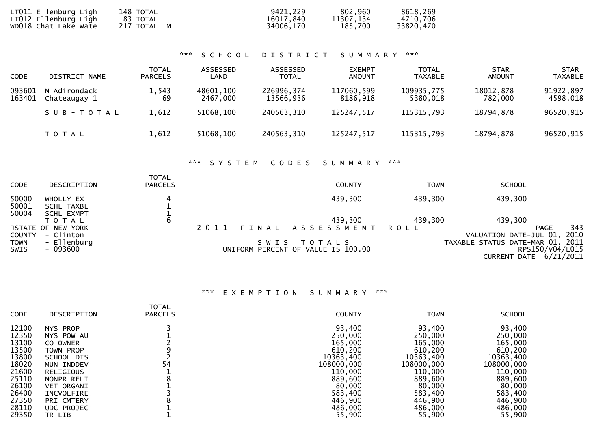| LT011 Ellenburg Ligh | 148 TOTAL   | 9421,229  | 802,960   | 8618,269  |
|----------------------|-------------|-----------|-----------|-----------|
| LT012 Ellenburg Ligh | 83 TOTAL    | 16017,840 | 11307.134 | 4710,706  |
| WD018 Chat Lake Wate | 217 TOTAL M | 34006,170 | 185,700   | 33820,470 |

### \*\*\* S C H O O L D I S T R I C T S U M M A R Y \*\*\*

| <b>CODE</b>      | DISTRICT NAME                | <b>TOTAL</b><br><b>PARCELS</b> | ASSESSED<br>LAND      | ASSESSED<br><b>TOTAL</b> | <b>EXEMPT</b><br><b>AMOUNT</b> | <b>TOTAL</b><br><b>TAXABLE</b> | <b>STAR</b><br><b>AMOUNT</b> | <b>STAR</b><br><b>TAXABLE</b> |
|------------------|------------------------------|--------------------------------|-----------------------|--------------------------|--------------------------------|--------------------------------|------------------------------|-------------------------------|
| 093601<br>163401 | N Adirondack<br>Chateaugay 1 | 1,543<br>69                    | 48601,100<br>2467.000 | 226996,374<br>13566,936  | 117060,599<br>8186.918         | 109935,775<br>5380.018         | 18012,878<br>782.000         | 91922,897<br>4598.018         |
|                  | SUB-TOTAL                    | 1,612                          | 51068,100             | 240563,310               | 125247,517                     | 115315,793                     | 18794,878                    | 96520,915                     |
|                  | T O T A L                    | 1,612                          | 51068,100             | 240563,310               | 125247,517                     | 115315,793                     | 18794,878                    | 96520,915                     |

### \*\*\* S Y S T E M C O D E S S U M M A R Y \*\*\*

| <b>CODE</b>         | DESCRIPTION                    | <b>TOTAL</b><br><b>PARCELS</b> |         |      | <b>COUNTY</b>                                     | TOWN    | <b>SCHOOL</b>                                                     |                     |
|---------------------|--------------------------------|--------------------------------|---------|------|---------------------------------------------------|---------|-------------------------------------------------------------------|---------------------|
| 50000<br>50001      | WHOLLY EX<br>SCHL TAXBL        |                                |         |      | 439,300                                           | 439,300 | 439,300                                                           |                     |
| 50004               | SCHL EXMPT<br>T O T A L        | 6                              |         |      | 439,300                                           | 439,300 | 439,300                                                           |                     |
| <b>COUNTY</b>       | STATE OF NEW YORK<br>- Clinton |                                | 2 0 1 1 |      | FINAL ASSESSMENT                                  | ROLL    | VALUATION DATE-JUL 01,                                            | 343<br>PAGE<br>2010 |
| <b>TOWN</b><br>SWIS | - Ellenburg<br>- 093600        |                                |         | SWIS | T O T A L S<br>UNIFORM PERCENT OF VALUE IS 100.00 |         | TAXABLE STATUS DATE-MAR 01, 2011<br><b>CURRENT DATE 6/21/2011</b> | RPS150/V04/L015     |

## \*\*\* E X E M P T I O N S U M M A R Y \*\*\*

| <b>CODE</b> | DESCRIPTION       | <b>TOTAL</b><br><b>PARCELS</b> | <b>COUNTY</b> | <b>TOWN</b> | <b>SCHOOL</b> |
|-------------|-------------------|--------------------------------|---------------|-------------|---------------|
| 12100       | NYS PROP          | 54                             | 93,400        | 93,400      | 93,400        |
| 12350       | NYS POW AU        |                                | 250,000       | 250,000     | 250,000       |
| 13100       | CO OWNER          |                                | 165,000       | 165,000     | 165,000       |
| 13500       | TOWN PROP         |                                | 610,200       | 610,200     | 610,200       |
| 13800       | SCHOOL DIS        |                                | 10363,400     | 10363,400   | 10363,400     |
| 18020       | MUN INDDEV        |                                | 108000,000    | 108000,000  | 108000,000    |
| 21600       | <b>RELIGIOUS</b>  |                                | 110,000       | 110,000     | 110,000       |
| 25110       | NONPR RELI        |                                | 889,600       | 889,600     | 889,600       |
| 26100       | <b>VET ORGANI</b> |                                | 80,000        | 80,000      | 80,000        |
| 26400       | INCVOLFIRE        |                                | 583,400       | 583,400     | 583,400       |
| 27350       | PRI CMTERY        |                                | 446,900       | 446,900     | 446,900       |
| 28110       | <b>UDC PROJEC</b> |                                | 486,000       | 486,000     | 486,000       |
| 29350       | TR-LIB            |                                | 55,900        | 55,900      | 55,900        |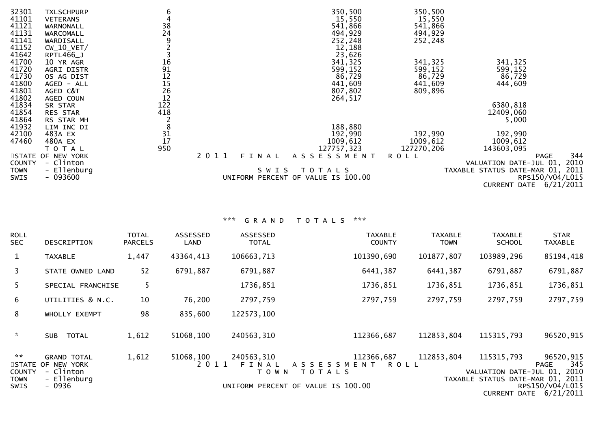| 32301<br>41101<br>41121<br>41131<br>41141 | <b>TXLSCHPURP</b><br><b>VETERANS</b><br>WARNONALL<br>WARCOMALL<br>WARDISALL | 6<br>4<br>38<br>24         |                  | 350,500<br>15,550<br>541,866<br>494,929<br>252,248 | 350,500<br>15,550<br>541,866<br>494,929<br>252,248 |                                                                                  |     |
|-------------------------------------------|-----------------------------------------------------------------------------|----------------------------|------------------|----------------------------------------------------|----------------------------------------------------|----------------------------------------------------------------------------------|-----|
| 41152<br>41642                            | $CW_10_VET/$<br>RPTL466_J                                                   |                            |                  | 12,188<br>23,626                                   |                                                    |                                                                                  |     |
| 41700<br>41720                            | 10 YR AGR<br>AGRI DISTR                                                     |                            |                  | 341,325<br>599,152                                 | 341,325<br>599,152                                 | 341,325<br>599,152                                                               |     |
| 41730<br>41800<br>41801                   | OS AG DIST<br>AGED - ALL<br>AGED C&T                                        | 16<br>91<br>12<br>15<br>26 |                  | 86,729<br>441,609<br>807,802                       | 86,729<br>441,609<br>809,896                       | 86,729<br>444,609                                                                |     |
| 41802<br>41834                            | AGED COUN<br>SR STAR                                                        | 12<br>122                  |                  | 264,517                                            |                                                    | 6380,818                                                                         |     |
| 41854<br>41864                            | <b>RES STAR</b><br>RS STAR MH                                               | 418                        |                  |                                                    |                                                    | 12409,060<br>5,000                                                               |     |
| 41932<br>42100                            | LIM INC DI<br>483A EX                                                       | 8<br>31                    |                  | 188,880<br>192,990                                 | 192,990                                            | 192,990                                                                          |     |
| 47460                                     | 480A EX<br>T O T A L                                                        | 17<br>950                  |                  | 1009,612<br>127757,323                             | 1009,612<br>127270,206                             | 1009,612<br>143603,095                                                           |     |
| <b>COUNTY</b>                             | STATE OF NEW YORK<br>- Clinton                                              |                            | 2 0 1 1<br>FINAL | ASSESSMENT                                         | <b>ROLL</b>                                        | <b>PAGE</b><br>VALUATION DATE-JUL 01, 2010                                       | 344 |
| <b>TOWN</b><br>SWIS                       | - Ellenburg<br>$-093600$                                                    |                            | SWIS             | TOTALS<br>UNIFORM PERCENT OF VALUE IS 100.00       |                                                    | TAXABLE STATUS DATE-MAR 01, 2011<br>RPS150/V04/L015<br>6/21/2011<br>CURRENT DATE |     |

# \*\*\* G R A N D T O T A L S \*\*\*

| <b>ROLL</b><br><b>SEC</b>           | <b>DESCRIPTION</b>                                                             | <b>TOTAL</b><br><b>PARCELS</b> | <b>ASSESSED</b><br>LAND | ASSESSED<br><b>TOTAL</b>       | <b>TAXABLE</b><br><b>COUNTY</b>                                                   | <b>TAXABLE</b><br><b>TOWN</b> | <b>TAXABLE</b><br><b>SCHOOL</b>                                          | <b>STAR</b><br><b>TAXABLE</b>                                                 |
|-------------------------------------|--------------------------------------------------------------------------------|--------------------------------|-------------------------|--------------------------------|-----------------------------------------------------------------------------------|-------------------------------|--------------------------------------------------------------------------|-------------------------------------------------------------------------------|
| $\mathbf{1}$                        | <b>TAXABLE</b>                                                                 | 1,447                          | 43364,413               | 106663,713                     | 101390,690                                                                        | 101877,807                    | 103989,296                                                               | 85194,418                                                                     |
| $\overline{3}$                      | STATE OWNED LAND                                                               | 52                             | 6791,887                | 6791,887                       | 6441,387                                                                          | 6441,387                      | 6791,887                                                                 | 6791,887                                                                      |
| 5                                   | SPECIAL FRANCHISE                                                              | 5.                             |                         | 1736,851                       | 1736,851                                                                          | 1736,851                      | 1736,851                                                                 | 1736,851                                                                      |
| 6                                   | UTILITIES & N.C.                                                               | 10                             | 76,200                  | 2797,759                       | 2797,759                                                                          | 2797,759                      | 2797,759                                                                 | 2797,759                                                                      |
| 8                                   | WHOLLY EXEMPT                                                                  | 98                             | 835,600                 | 122573,100                     |                                                                                   |                               |                                                                          |                                                                               |
| $\sim$                              | TOTAL<br><b>SUB</b>                                                            | 1,612                          | 51068,100               | 240563,310                     | 112366,687                                                                        | 112853,804                    | 115315,793                                                               | 96520,915                                                                     |
| **<br><b>COUNTY</b><br>TOWN<br>SWIS | <b>GRAND TOTAL</b><br>STATE OF NEW YORK<br>- Clinton<br>- Ellenburg<br>$-0936$ | 1,612                          | 51068,100<br>2011       | 240563,310<br>FINAL<br>T O W N | 112366,687<br>A S S E S S M E N T<br>TOTALS<br>UNIFORM PERCENT OF VALUE IS 100.00 | 112853,804<br>ROLL            | 115315,793<br>VALUATION DATE-JUL 01,<br>TAXABLE STATUS DATE-MAR 01, 2011 | 96520,915<br>345<br>PAGE<br>2010<br>RPS150/V04/L015<br>CURRENT DATE 6/21/2011 |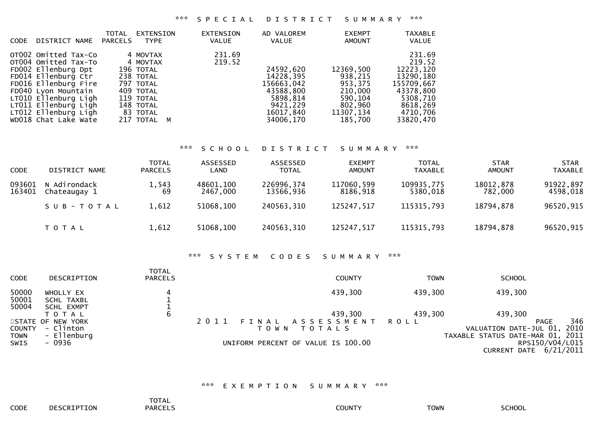### \*\*\* S P E C I A L D I S T R I C T S U M M A R Y \*\*\*

| <b>CODE</b> | DISTRICT NAME                                                                                                                                                                                                                             | <b>TOTAL</b><br>PARCELS | EXTENSION<br><b>TYPE</b>                                                                                                      | <b>EXTENSION</b><br><b>VALUE</b> | AD VALOREM<br>VALUE                                                                                 | <b>EXEMPT</b><br><b>AMOUNT</b>                                                           | <b>TAXABLE</b><br><b>VALUE</b>                                                                                          |
|-------------|-------------------------------------------------------------------------------------------------------------------------------------------------------------------------------------------------------------------------------------------|-------------------------|-------------------------------------------------------------------------------------------------------------------------------|----------------------------------|-----------------------------------------------------------------------------------------------------|------------------------------------------------------------------------------------------|-------------------------------------------------------------------------------------------------------------------------|
|             | OTO02 Omitted Tax-Co<br>OT004 Omitted Tax-To<br>FD002 Ellenburg Dpt<br>FD014 Ellenburg Ctr<br>FD016 Ellenburg Fire<br>FD040 Lyon Mountain<br>LT010 Ellenburg Ligh<br>LT011 Ellenburg Ligh<br>LT012 Ellenburg Ligh<br>WD018 Chat Lake Wate |                         | 4 MOVTAX<br>4 MOVTAX<br>196 TOTAL<br>238 TOTAL<br>797 TOTAL<br>409 TOTAL<br>119 TOTAL<br>148 TOTAL<br>83 TOTAL<br>217 TOTAL M | 231.69<br>219.52                 | 24592,620<br>14228,395<br>156663,042<br>43588,800<br>5898,814<br>9421.229<br>16017,840<br>34006,170 | 12369,500<br>938,215<br>953,375<br>210,000<br>590,104<br>802,960<br>11307,134<br>185,700 | 231.69<br>219.52<br>12223,120<br>13290, 180<br>155709,667<br>43378,800<br>5308,710<br>8618,269<br>4710,706<br>33820,470 |

#### \*\*\* S C H O O L D I S T R I C T S U M M A R Y \*\*\*

| <b>CODE</b>      | DISTRICT NAME                | TOTAL<br><b>PARCELS</b> | ASSESSED<br>LAND      | ASSESSED<br><b>TOTAL</b> | <b>EXEMPT</b><br>AMOUNT | <b>TOTAL</b><br><b>TAXABLE</b> | <b>STAR</b><br><b>AMOUNT</b> | <b>STAR</b><br>TAXABLE |
|------------------|------------------------------|-------------------------|-----------------------|--------------------------|-------------------------|--------------------------------|------------------------------|------------------------|
| 093601<br>163401 | N Adirondack<br>Chateaugay 1 | 1,543<br>69             | 48601,100<br>2467.000 | 226996,374<br>13566,936  | 117060,599<br>8186.918  | 109935,775<br>5380,018         | 18012,878<br>782.000         | 91922,897<br>4598,018  |
|                  | SUB-TOTAL                    | 1,612                   | 51068,100             | 240563,310               | 125247,517              | 115315,793                     | 18794,878                    | 96520,915              |
|                  | T O T A L                    | 1,612                   | 51068,100             | 240563,310               | 125247,517              | 115315,793                     | 18794,878                    | 96520,915              |

# \*\*\* S Y S T E M C O D E S S U M M A R Y \*\*\*

| <b>CODE</b>                  | DESCRIPTION                              | <b>TOTAL</b><br><b>PARCELS</b> |         |         | <b>COUNTY</b>                      | TOWN    | <b>SCHOOL</b>                                              |      |
|------------------------------|------------------------------------------|--------------------------------|---------|---------|------------------------------------|---------|------------------------------------------------------------|------|
| 50000<br>50001               | WHOLLY EX<br>SCHL TAXBL                  |                                |         |         | 439,300                            | 439,300 | 439,300                                                    |      |
| 50004                        | SCHL EXMPT<br>TOTAL<br>STATE OF NEW YORK | b                              | 2 0 1 1 | FINAL   | 439,300<br>ASSESSMENT ROLL         | 439,300 | 439,300<br><b>PAGE</b>                                     | 346  |
| <b>COUNTY</b><br><b>TOWN</b> | - Clinton<br>- Ellenburg                 |                                |         | T O W N | T O T A L S                        |         | VALUATION DATE-JUL 01,<br>TAXABLE STATUS DATE-MAR 01, 2011 | 2010 |
| SWIS                         | - 0936                                   |                                |         |         | UNIFORM PERCENT OF VALUE IS 100.00 |         | RPS150/V04/L015<br><b>CURRENT DATE 6/21/2011</b>           |      |

### \*\*\* E X E M P T I O N S U M M A R Y \*\*\*

**PARCELS**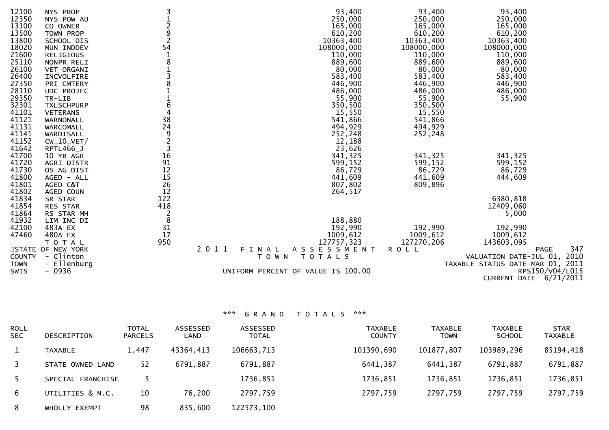| 12100<br>12350<br>13100<br>13500<br>13800<br>18020<br>21600<br>25110<br>26100<br>26400<br>27350<br>28110<br>29350<br>32301<br>41101<br>41121<br>41131<br>41141<br>41152<br>41642 | NYS PROP<br>NYS POW AU<br>CO OWNER<br>TOWN PROP<br>SCHOOL DIS<br>MUN INDDEV<br><b>RELIGIOUS</b><br>NONPR RELI<br>VET ORGANI<br>INCVOLFIRE<br>PRI CMTERY<br>UDC PROJEC<br>TR-LIB<br><b>TXLSCHPURP</b><br><b>VETERANS</b><br>WARNONALL<br>WARCOMALL<br>WARDISALL<br>$CW_10_VET/$<br>RPTL466_J | 3<br>2<br>9<br>$\overline{2}$<br>54<br>8<br>3<br>8<br>$\mathbf 1$<br>$\frac{1}{6}$<br>$\overline{4}$<br>38<br>24<br>9<br>$\overline{c}$<br>3 | 93,400<br>250,000<br>165,000<br>610,200<br>10363,400<br>108000,000<br>110,000<br>889,600<br>80,000<br>583,400<br>446,900<br>486,000<br>55,900<br>350,500<br>15,550<br>541,866<br>494,929<br>252,248<br>12,188<br>23,626 | 93,400<br>250,000<br>165,000<br>610,200<br>10363,400<br>108000,000<br>110,000<br>889,600<br>80,000<br>583,400<br>446,900<br>486,000<br>55,900<br>350,500<br>15,550<br>541,866<br>494,929<br>252,248 | 93,400<br>250,000<br>165,000<br>610,200<br>10363,400<br>108000,000<br>110,000<br>889,600<br>80,000<br>583,400<br>446,900<br>486,000<br>55,900 |
|----------------------------------------------------------------------------------------------------------------------------------------------------------------------------------|---------------------------------------------------------------------------------------------------------------------------------------------------------------------------------------------------------------------------------------------------------------------------------------------|----------------------------------------------------------------------------------------------------------------------------------------------|-------------------------------------------------------------------------------------------------------------------------------------------------------------------------------------------------------------------------|-----------------------------------------------------------------------------------------------------------------------------------------------------------------------------------------------------|-----------------------------------------------------------------------------------------------------------------------------------------------|
| 41700<br>41720                                                                                                                                                                   | 10 YR AGR<br>AGRI DISTR                                                                                                                                                                                                                                                                     | 16<br>91                                                                                                                                     | 341,325<br>599,152                                                                                                                                                                                                      | 341,325<br>599,152                                                                                                                                                                                  | 341,325<br>599,152                                                                                                                            |
| 41730<br>41800<br>41801<br>41802                                                                                                                                                 | OS AG DIST<br>AGED - ALL<br>AGED C&T<br>AGED COUN                                                                                                                                                                                                                                           | 12<br>15<br>26<br>12                                                                                                                         | 86,729<br>441,609<br>807,802<br>264,517                                                                                                                                                                                 | 86,729<br>441,609<br>809,896                                                                                                                                                                        | 86,729<br>444,609                                                                                                                             |
| 41834<br>41854<br>41864                                                                                                                                                          | SR STAR<br>RES STAR<br>RS STAR MH                                                                                                                                                                                                                                                           | 122<br>418<br>$\overline{c}$                                                                                                                 |                                                                                                                                                                                                                         |                                                                                                                                                                                                     | 6380,818<br>12409,060<br>5,000                                                                                                                |
| 41932<br>42100<br>47460                                                                                                                                                          | LIM INC DI<br>483A EX<br>480A EX<br>TOTAL                                                                                                                                                                                                                                                   | 8<br>31<br>17<br>950                                                                                                                         | 188,880<br>192,990<br>1009,612<br>127757,323                                                                                                                                                                            | 192,990<br>1009,612<br>127270,206                                                                                                                                                                   | 192,990<br>1009,612<br>143603,095                                                                                                             |
| <b>COUNTY</b><br><b>TOWN</b><br>SWIS                                                                                                                                             | STATE OF NEW YORK<br>- Clinton<br>- Ellenburg<br>$-0936$                                                                                                                                                                                                                                    | 2 0 1 1                                                                                                                                      | A S S E S S M E N T<br>FINAL<br>T O W N<br>T O T A L S<br>UNIFORM PERCENT OF VALUE IS 100.00                                                                                                                            | <b>ROLL</b>                                                                                                                                                                                         | 347<br><b>PAGE</b><br>VALUATION DATE-JUL 01, 2010<br>TAXABLE STATUS DATE-MAR 01, 2011<br>RPS150/V04/L015<br>CURRENT DATE 6/21/2011            |

\*\*\* G R A N D T O T A L S \*\*\*

| <b>ROLL</b><br><b>SEC</b> | DESCRIPTION       | <b>TOTAL</b><br><b>PARCELS</b> | ASSESSED<br>LAND | <b>ASSESSED</b><br><b>TOTAL</b> | <b>TAXABLE</b><br><b>COUNTY</b> | <b>TAXABLE</b><br><b>TOWN</b> | <b>TAXABLE</b><br><b>SCHOOL</b> | <b>STAR</b><br><b>TAXABLE</b> |
|---------------------------|-------------------|--------------------------------|------------------|---------------------------------|---------------------------------|-------------------------------|---------------------------------|-------------------------------|
|                           | <b>TAXABLE</b>    | 1,447                          | 43364,413        | 106663,713                      | 101390,690                      | 101877,807                    | 103989,296                      | 85194,418                     |
| $\overline{3}$            | STATE OWNED LAND  | 52                             | 6791,887         | 6791,887                        | 6441,387                        | 6441,387                      | 6791,887                        | 6791,887                      |
| 5.                        | SPECIAL FRANCHISE |                                |                  | 1736,851                        | 1736,851                        | 1736,851                      | 1736,851                        | 1736,851                      |
| 6                         | UTILITIES & N.C.  | 10                             | 76,200           | 2797,759                        | 2797,759                        | 2797,759                      | 2797,759                        | 2797,759                      |
| 8                         | WHOLLY EXEMPT     | 98                             | 835,600          | 122573,100                      |                                 |                               |                                 |                               |